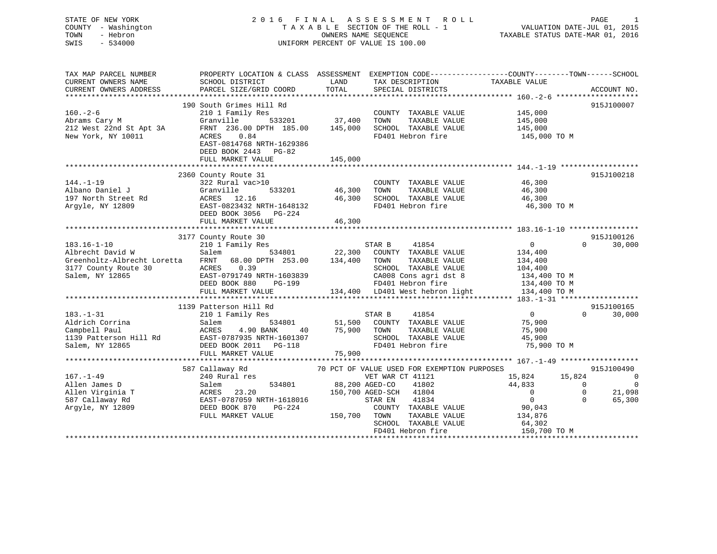## STATE OF NEW YORK 2 0 1 6 F I N A L A S S E S S M E N T R O L L PAGE 1 COUNTY - Washington T A X A B L E SECTION OF THE ROLL - 1 VALUATION DATE-JUL 01, 2015 TOWN - Hebron OWNERS NAME SEQUENCE TAXABLE STATUS DATE-MAR 01, 2016 SWIS - 534000 UNIFORM PERCENT OF VALUE IS 100.00

| TAX MAP PARCEL NUMBER<br>CURRENT OWNERS NAME<br>CURRENT OWNERS ADDRESS                                          | PROPERTY LOCATION & CLASS ASSESSMENT<br>SCHOOL DISTRICT<br>PARCEL SIZE/GRID COORD                                                                                                   | LAND<br>TOTAL                       | EXEMPTION CODE-----------------COUNTY--------TOWN------SCHOOL<br>TAX DESCRIPTION<br>SPECIAL DISTRICTS                                                                                                                    | TAXABLE VALUE                                                                                                                   | ACCOUNT NO.                                                                             |
|-----------------------------------------------------------------------------------------------------------------|-------------------------------------------------------------------------------------------------------------------------------------------------------------------------------------|-------------------------------------|--------------------------------------------------------------------------------------------------------------------------------------------------------------------------------------------------------------------------|---------------------------------------------------------------------------------------------------------------------------------|-----------------------------------------------------------------------------------------|
| $160. - 2 - 6$<br>Abrams Cary M<br>212 West 22nd St Apt 3A<br>New York, NY 10011                                | 190 South Grimes Hill Rd<br>210 1 Family Res<br>Granville<br>FRNT 236.00 DPTH 185.00<br>0.84<br>ACRES<br>EAST-0814768 NRTH-1629386<br>DEED BOOK 2443 PG-82<br>FULL MARKET VALUE     | 533201 37,400<br>145,000<br>145,000 | COUNTY TAXABLE VALUE<br>TOWN<br>TAXABLE VALUE<br>SCHOOL TAXABLE VALUE<br>FD401 Hebron fire                                                                                                                               | 145,000<br>145,000<br>145,000<br>145,000 TO M                                                                                   | 915J100007                                                                              |
| $144. - 1 - 19$<br>Albano Daniel J<br>197 North Street Rd<br>Argyle, NY 12809                                   | 2360 County Route 31<br>322 Rural vac>10<br>533201<br>Granville<br>ACRES 12.16<br>EAST-0823432 NRTH-1648132<br>DEED BOOK 3056 PG-224<br>FULL MARKET VALUE                           | 46,300<br>46,300<br>46,300          | COUNTY TAXABLE VALUE<br>TOWN<br>TAXABLE VALUE<br>SCHOOL TAXABLE VALUE<br>FD401 Hebron fire                                                                                                                               | 46,300<br>46,300<br>46,300<br>46,300 TO M                                                                                       | 915J100218                                                                              |
| $183.16 - 1 - 10$<br>Albrecht David W<br>Greenholtz-Albrecht Loretta<br>3177 County Route 30<br>Salem, NY 12865 | 3177 County Route 30<br>210 1 Family Res<br>534801<br>Salem<br>FRNT<br>68.00 DPTH 253.00<br>ACRES 0.39<br>EAST-0791749 NRTH-1603839<br>DEED BOOK 880<br>PG-199<br>FULL MARKET VALUE | 22,300<br>134,400                   | STAR B<br>41854<br>COUNTY TAXABLE VALUE<br>TAXABLE VALUE<br>TOWN<br>SCHOOL TAXABLE VALUE<br>CA008 Cons agri dst 8<br>FD401 Hebron fire<br>FD401 Hebron fire 134,400 TO M<br>134,400 LD401 West hebron light 134,400 TO M | $\overline{0}$<br>134,400<br>134,400<br>104,400<br>134,400 TO M                                                                 | 915J100126<br>$\Omega$<br>30,000                                                        |
| $183. - 1 - 31$<br>Aldrich Corrina<br>Campbell Paul<br>1139 Patterson Hill Rd<br>Salem, NY 12865                | 1139 Patterson Hill Rd<br>210 1 Family Res<br>534801<br>Salem<br>4.90 BANK<br>ACRES<br>40<br>EAST-0787935 NRTH-1601307<br>DEED BOOK 2011    PG-118<br>FULL MARKET VALUE             | 75,900<br>75,900                    | STAR B<br>41854<br>51,500 COUNTY TAXABLE VALUE<br>TOWN<br>TAXABLE VALUE<br>SCHOOL TAXABLE VALUE<br>FD401 Hebron fire                                                                                                     | $\overline{0}$<br>75,900<br>75,900<br>45,900<br>75,900 TO M                                                                     | 915J100165<br>$\Omega$<br>30,000                                                        |
| $167. - 1 - 49$<br>Allen James D<br>Allen Virginia T<br>587 Callaway Rd<br>Argyle, NY 12809                     | 587 Callaway Rd<br>240 Rural res<br>534801<br>Salem<br>23.20<br>ACRES<br>EAST-0787059 NRTH-1618016<br>DEED BOOK 870<br>PG-224<br>FULL MARKET VALUE                                  | 88,200 AGED-CO<br>150,700 TOWN      | 70 PCT OF VALUE USED FOR EXEMPTION PURPOSES<br>VET WAR CT 41121<br>41802<br>150,700 AGED-SCH 41804<br>41834<br>STAR EN<br>COUNTY TAXABLE VALUE<br>TAXABLE VALUE<br>SCHOOL TAXABLE VALUE<br>FD401 Hebron fire             | 15,824<br>15,824<br>44,833<br>$\overline{0}$<br>$\overline{0}$<br>$\overline{0}$<br>90,043<br>134,876<br>64,302<br>150,700 TO M | 915J100490<br>$\overline{0}$<br>$\Omega$<br>$\mathbf 0$<br>21,098<br>$\Omega$<br>65,300 |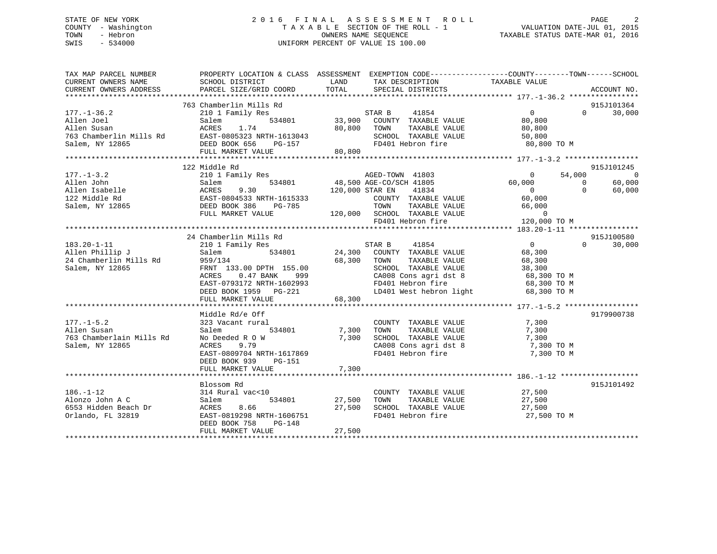## STATE OF NEW YORK 2 0 1 6 F I N A L A S S E S S M E N T R O L L PAGE 2 COUNTY - Washington T A X A B L E SECTION OF THE ROLL - 1 VALUATION DATE-JUL 01, 2015 TOWN - Hebron OWNERS NAME SEQUENCE TAXABLE STATUS DATE-MAR 01, 2016 SWIS - 534000 UNIFORM PERCENT OF VALUE IS 100.00

| TAX MAP PARCEL NUMBER<br>CURRENT OWNERS NAME                                    | PROPERTY LOCATION & CLASS ASSESSMENT EXEMPTION CODE---------------COUNTY-------TOWN-----SCHOOL<br>SCHOOL DISTRICT                                                                                                                                              | <b>LAND</b> | TAX DESCRIPTION                                                                                                                                                     | TAXABLE VALUE                                                              |                                  |
|---------------------------------------------------------------------------------|----------------------------------------------------------------------------------------------------------------------------------------------------------------------------------------------------------------------------------------------------------------|-------------|---------------------------------------------------------------------------------------------------------------------------------------------------------------------|----------------------------------------------------------------------------|----------------------------------|
| CURRENT OWNERS ADDRESS                                                          | PARCEL SIZE/GRID COORD TOTAL SPECIAL DISTRICTS                                                                                                                                                                                                                 |             |                                                                                                                                                                     |                                                                            | ACCOUNT NO.                      |
|                                                                                 | 763 Chamberlin Mills Rd                                                                                                                                                                                                                                        |             |                                                                                                                                                                     |                                                                            | 915J101364                       |
| $177. - 1 - 36.2$                                                               | 210 1 Family Res<br>177.-1-36.2<br>Allen Joel Salem ACRES 1.74<br>763 Chamberlin Mills Rd EAST-0805323 NRTH-1613043<br>80,800 TOWN TAXABLE VALUE 80,800<br>Salem, NY 12865 DEED BOOK 656 PG-157 B0,800<br>FULL MARKET VALUE 80,800<br>FULL MARKET VALUE 80,800 |             | FRI<br>STAR B 41854<br>534801 33,900 COUNTY TAXABLE VALUE                                                                                                           | $\overline{0}$                                                             | $0 \t 30,000$                    |
|                                                                                 |                                                                                                                                                                                                                                                                |             |                                                                                                                                                                     |                                                                            |                                  |
|                                                                                 | 122 Middle Rd                                                                                                                                                                                                                                                  |             |                                                                                                                                                                     |                                                                            | 915J101245                       |
|                                                                                 |                                                                                                                                                                                                                                                                |             |                                                                                                                                                                     |                                                                            |                                  |
|                                                                                 |                                                                                                                                                                                                                                                                |             |                                                                                                                                                                     |                                                                            |                                  |
| $183.20 - 1 - 11$<br>Salem, NY 12865                                            | 24 Chamberlin Mills Rd<br>210 1 Family Res<br>FRNT 133.00 DPTH 155.00<br>ACRES 0.47 BANK 999                                                                                                                                                                   | 68,300 TOWN | STAR B<br>41854<br>AMALY ACCUMPTY TAXABLE VALUE<br>534801 68.300 TOWN TAXABLE VALUE<br>TAXABLE VALUE<br>SCHOOL TAXABLE VALUE<br>LD401 West hebron light 68,300 TO M | $\overline{0}$<br>68,300<br>68,300<br>38,300<br>68,300 TO M<br>68,300 TO M | 915J100580<br>$\Omega$<br>30,000 |
|                                                                                 |                                                                                                                                                                                                                                                                |             |                                                                                                                                                                     |                                                                            |                                  |
| $177. - 1 - 5.2$<br>Allen Susan<br>763 Chamberlain Mills Rd<br>Salem, NY 12865  | Middle Rd/e Off<br>323 Vacant rural<br>534801 7,300 TOWN<br>Salem<br>No Deeded R O W 7,300 SCHOOL TAXABLE VALUE<br>ACRES 9.79 CA008 Cons agri dst 8<br>EAST-0809704 NRTH-1617869<br>DEED BOOK 939 PG-151<br>FULL MARKET VALUE                                  | 7,300       | COUNTY TAXABLE VALUE<br>vALUE کیلئے۔<br>TAXABLE VALUE<br>TAXABLE TAXAFLE<br>CA008 Cons agri dst 8<br>FD401 Hebron fire                                              | 7,300<br>7,300<br>7,300<br>7,300 TO M<br>7,300 TO M                        | 9179900738                       |
|                                                                                 |                                                                                                                                                                                                                                                                |             |                                                                                                                                                                     |                                                                            |                                  |
| $186. - 1 - 12$<br>Alonzo John A C<br>6553 Hidden Beach Dr<br>Orlando, FL 32819 | Blossom Rd<br>314 Rural vac<10<br>534801 27,500 TOWN<br>Salem<br>ACRES<br>8.66<br>EAST-0819298 NRTH-1606751<br>DEED BOOK 758<br>PG-148<br>FULL MARKET VALUE                                                                                                    | 27,500      | COUNTY TAXABLE VALUE<br>TAXABLE VALUE<br>27,500 SCHOOL TAXABLE VALUE 27,500<br>FD401 Hebron fire                                                                    | 27,500<br>27,500<br>27,500 TO M                                            | 915J101492                       |
|                                                                                 |                                                                                                                                                                                                                                                                |             |                                                                                                                                                                     |                                                                            |                                  |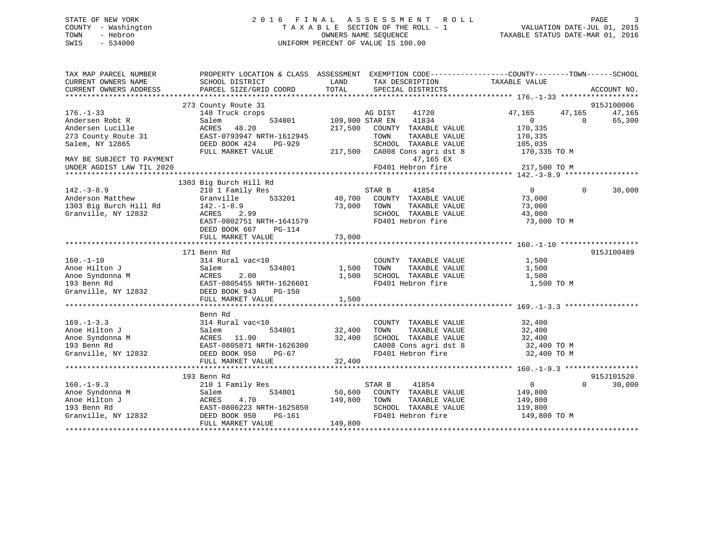## STATE OF NEW YORK 2 0 1 6 F I N A L A S S E S S M E N T R O L L PAGE 3 COUNTY - Washington T A X A B L E SECTION OF THE ROLL - 1 VALUATION DATE-JUL 01, 2015 TOWN - Hebron OWNERS NAME SEQUENCE TAXABLE STATUS DATE-MAR 01, 2016 SWIS - 534000 UNIFORM PERCENT OF VALUE IS 100.00

| TAX MAP PARCEL NUMBER                                                                         | PROPERTY LOCATION & CLASS ASSESSMENT EXEMPTION CODE---------------COUNTY-------TOWN-----SCHOOL                    |              |                                                   |                               |             |
|-----------------------------------------------------------------------------------------------|-------------------------------------------------------------------------------------------------------------------|--------------|---------------------------------------------------|-------------------------------|-------------|
| CURRENT OWNERS NAME                                                                           | SCHOOL DISTRICT                                                                                                   | LAND         | TAX DESCRIPTION                                   | TAXABLE VALUE                 |             |
| CURRENT OWNERS ADDRESS                                                                        | PARCEL SIZE/GRID COORD                                                                                            | TOTAL        | SPECIAL DISTRICTS                                 |                               | ACCOUNT NO. |
|                                                                                               |                                                                                                                   |              |                                                   |                               |             |
|                                                                                               | 273 County Route 31                                                                                               |              | AG DIST 41720                                     |                               | 915J100006  |
| $176. - 1 - 33$                                                                               | 140 Truck crops                                                                                                   |              |                                                   | 47,165<br>47,165              | 47,165      |
| Andersen Robt R                                                                               | Salem                                                                                                             |              | 534801 109,900 STAR EN 41834                      | $\Omega$<br>$0 \qquad \qquad$ | 65,300      |
| Andersen Lucille                                                                              | ACRES 48.20                                                                                                       |              | 217,500 COUNTY TAXABLE VALUE                      | 170,335<br>170,335            |             |
| 273 County Route 31                                                                           | ACKES 30.20<br>EAST-0793947 NRTH-1612945                                                                          |              | TOWN<br>TAXABLE VALUE                             |                               |             |
| Salem, NY 12865                                                                               | DEED BOOK 424<br>PG-929                                                                                           |              | SCHOOL TAXABLE VALUE 105,035                      |                               |             |
|                                                                                               | FULL MARKET VALUE                                                                                                 |              | 217,500 CA008 Cons agri dst 8                     | 170,335 TO M                  |             |
| MAY BE SUBJECT TO PAYMENT                                                                     |                                                                                                                   |              | 47,165 EX                                         |                               |             |
|                                                                                               |                                                                                                                   |              |                                                   |                               |             |
|                                                                                               |                                                                                                                   |              |                                                   |                               |             |
|                                                                                               | 1303 Big Burch Hill Rd                                                                                            |              |                                                   |                               |             |
| $142 - 3 - 8.9$                                                                               | 210 1 Family Res                                                                                                  | STAR B       | 41854                                             | $\overline{0}$<br>$\Omega$    | 30,000      |
| Anderson Matthew                                                                              | Granville                                                                                                         |              | 533201 40,700 COUNTY TAXABLE VALUE 73,000         |                               |             |
|                                                                                               |                                                                                                                   | 73,000 TOWN  | TAXABLE VALUE                                     |                               |             |
|                                                                                               |                                                                                                                   |              | SCHOOL TAXABLE VALUE                              | 73,000<br>43,000              |             |
|                                                                                               | EAST-0802751 NRTH-1641579                                                                                         |              | FD401 Hebron fire                                 | 73,000 TO M                   |             |
|                                                                                               | DEED BOOK 667 PG-114                                                                                              |              |                                                   |                               |             |
|                                                                                               |                                                                                                                   |              |                                                   |                               |             |
|                                                                                               |                                                                                                                   |              |                                                   |                               |             |
|                                                                                               | 171 Benn Rd                                                                                                       |              |                                                   |                               | 915J100489  |
| $160. - 1 - 10$                                                                               | 314 Rural vac<10                                                                                                  |              | COUNTY TAXABLE VALUE 1,500                        |                               |             |
| Anoe Hilton J                                                                                 | 534801<br>Salem                                                                                                   | 1,500        | TAXABLE VALUE<br>TOWN                             | 1,500                         |             |
| Anoe Syndonna M                                                                               |                                                                                                                   | 1,500        | SCHOOL TAXABLE VALUE                              | 1,500                         |             |
| 193 Benn Rd                                                                                   |                                                                                                                   |              | FD401 Hebron fire                                 | 1,500 TO M                    |             |
| Granville, NY 12832                                                                           |                                                                                                                   |              |                                                   |                               |             |
|                                                                                               | M<br>EAST-0805455 NRTH-1626601<br>EAST-0805455 NRTH-1626601<br>DEED BOOK 943 PG-150                               | 1,500        |                                                   |                               |             |
|                                                                                               |                                                                                                                   |              |                                                   |                               |             |
|                                                                                               | Benn Rd                                                                                                           |              |                                                   |                               |             |
| $169. - 1 - 3.3$                                                                              | 314 Rural vac<10                                                                                                  |              | COUNTY TAXABLE VALUE                              | 32,400                        |             |
| Anoe Hilton J                                                                                 | Salem<br>534801                                                                                                   |              | COUNTY TAXABLE VALUE<br>32,400 TOWN TAXABLE VALUE | 32,400                        |             |
|                                                                                               |                                                                                                                   | 32,400       | SCHOOL TAXABLE VALUE 32,400                       |                               |             |
|                                                                                               | EAST-0805871 NRTH-1626300                                                                                         |              |                                                   | 32,400 TO M                   |             |
|                                                                                               | $PG-67$                                                                                                           |              | CA008 Cons agri dst 8<br>FD401 Hebron fire        | 32,400 TO M                   |             |
| Anoe Syndonna M<br>193 Benn Rd<br>Granville, NY 12832<br>Granville, NY 12832<br>DEED BOOK 950 | FULL MARKET VALUE                                                                                                 | 32,400       |                                                   |                               |             |
|                                                                                               |                                                                                                                   |              |                                                   |                               |             |
|                                                                                               | 193 Benn Rd                                                                                                       |              |                                                   |                               | 915J101520  |
| $160. - 1 - 9.3$                                                                              | 210 1 Family Res                                                                                                  |              | 41854<br>STAR B                                   | $\overline{0}$<br>$\Omega$    | 30,000      |
| Anoe Syndonna M                                                                               | Salem                                                                                                             |              | 534801 50,600 COUNTY TAXABLE VALUE                | 149,800                       |             |
|                                                                                               |                                                                                                                   | 149,800 TOWN | TAXABLE VALUE                                     | 149,800                       |             |
|                                                                                               |                                                                                                                   |              | SCHOOL TAXABLE VALUE                              | 119,800                       |             |
|                                                                                               | Ano Filton J<br>Ano Hilton J<br>193 Benn Rd<br>Granville, NY 12832<br>DEED BOOK 950 PG-161<br>H-1625850<br>PG-161 |              | FD401 Hebron fire                                 | 149,800 TO M                  |             |
|                                                                                               | FULL MARKET VALUE                                                                                                 | 149,800      |                                                   |                               |             |
|                                                                                               |                                                                                                                   |              |                                                   |                               |             |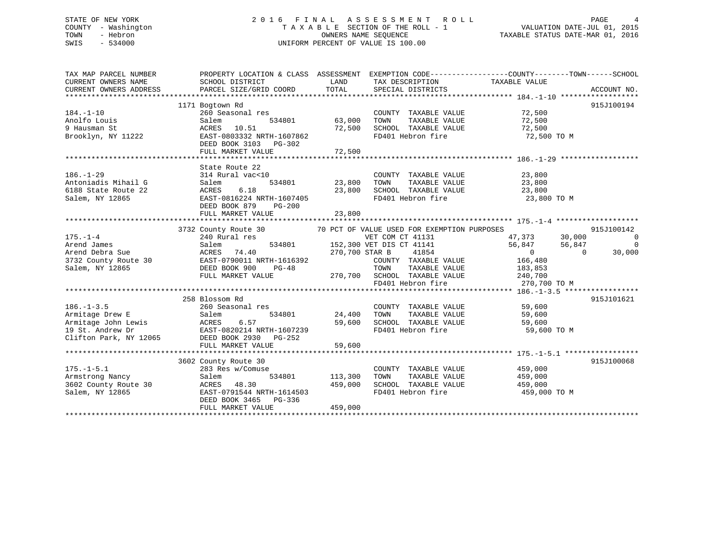## STATE OF NEW YORK 2 0 1 6 F I N A L A S S E S S M E N T R O L L PAGE 4 COUNTY - Washington T A X A B L E SECTION OF THE ROLL - 1 VALUATION DATE-JUL 01, 2015 TOWN - Hebron OWNERS NAME SEQUENCE TAXABLE STATUS DATE-MAR 01, 2016 SWIS - 534000 UNIFORM PERCENT OF VALUE IS 100.00

| TAX MAP PARCEL NUMBER                   |                                                                                                      |                                                                               | PROPERTY LOCATION & CLASS ASSESSMENT EXEMPTION CODE----------------COUNTY-------TOWN------SCHOOL |
|-----------------------------------------|------------------------------------------------------------------------------------------------------|-------------------------------------------------------------------------------|--------------------------------------------------------------------------------------------------|
| CURRENT OWNERS NAME                     | SCHOOL DISTRICT                                                                                      | TAX DESCRIPTION TAXABLE VALUE<br>LAND                                         |                                                                                                  |
| CURRENT OWNERS ADDRESS                  | PARCEL SIZE/GRID COORD                                                                               | TOTAL SPECIAL DISTRICTS                                                       | ACCOUNT NO.                                                                                      |
|                                         |                                                                                                      |                                                                               |                                                                                                  |
| $184. - 1 - 10$                         | 1171 Bogtown Rd<br>260 Seasonal res                                                                  |                                                                               | 915J100194                                                                                       |
| Anolfo Louis                            | 534801 63,000<br>Salem                                                                               |                                                                               |                                                                                                  |
| 9 Hausman St                            | ACRES 10.51                                                                                          | 72,500                                                                        |                                                                                                  |
| Brooklyn, NY 11222                      | EAST-0803332 NRTH-1607862                                                                            | FD401 Hebron fire 72,500 TO M                                                 |                                                                                                  |
|                                         | DEED BOOK 3103 PG-302                                                                                |                                                                               |                                                                                                  |
|                                         | FULL MARKET VALUE                                                                                    | 72,500                                                                        |                                                                                                  |
|                                         |                                                                                                      |                                                                               |                                                                                                  |
|                                         | State Route 22                                                                                       |                                                                               |                                                                                                  |
| $186. - 1 - 29$                         | 314 Rural vac<10                                                                                     | COUNTY TAXABLE VALUE 23,800                                                   |                                                                                                  |
| Antoniadis Mihail G                     |                                                                                                      | 534801 23,800<br>TOWN                                                         | TAXABLE VALUE<br>TAXABLE VALUE 23,800<br>TAXABLE VALUE 23,800<br>ebron fire 23,800 TO M          |
| 6188 State Route 22                     |                                                                                                      | 23,800 SCHOOL TAXABLE VALUE<br>FD401 Hebron fire                              |                                                                                                  |
| Salem, NY 12865                         | Salem 534801 23,800<br>ACRES 6.18 23,800<br>EAST-0816224 NRTH-1607405                                |                                                                               |                                                                                                  |
|                                         | DEED BOOK 879<br>$PG-200$                                                                            |                                                                               |                                                                                                  |
|                                         |                                                                                                      |                                                                               |                                                                                                  |
|                                         | 3732 County Route 30                                                                                 |                                                                               | 915J100142                                                                                       |
| $175. - 1 - 4$                          |                                                                                                      | 70 PCT OF VALUE USED FOR EXEMPTION PURPOSES<br>VET COM CT 41131 47,373 30,000 | $\overline{0}$                                                                                   |
| Arend James                             |                                                                                                      |                                                                               | $\overline{0}$                                                                                   |
|                                         |                                                                                                      | 270,700 STAR B<br>41854                                                       | $\overline{0}$<br>$\overline{0}$<br>30,000                                                       |
|                                         | Arend Debra Sue<br>3732 County Route 30<br>Salem, NY 12865<br>Salem, NY 12865<br>CEED BOOK 900 PG-48 | COUNTY TAXABLE VALUE                                                          | 166,480                                                                                          |
|                                         |                                                                                                      | $PG-48$<br>TOWN                                                               | TAXABLE VALUE 183,853                                                                            |
|                                         | FULL MARKET VALUE                                                                                    | 270,700 SCHOOL TAXABLE VALUE 240,700                                          |                                                                                                  |
|                                         |                                                                                                      | FD401 Hebron fire                                                             | 270,700 TO M                                                                                     |
|                                         |                                                                                                      |                                                                               |                                                                                                  |
|                                         | 258 Blossom Rd                                                                                       |                                                                               | 915J101621                                                                                       |
| $186. - 1 - 3.5$                        | 260 Seasonal res                                                                                     | COUNTY TAXABLE VALUE 59,600<br>TOWN TAXABLE VALUE 59,600                      |                                                                                                  |
| Armitage Drew E                         | Salem                                                                                                | 534801 24,400 TOWN                                                            |                                                                                                  |
|                                         |                                                                                                      | 59,600 SCHOOL TAXABLE VALUE 59,600                                            |                                                                                                  |
|                                         | $53480 \perp$<br>$6.57$ 59,<br>$59,$                                                                 | FD401 Hebron fire                                                             | 59,600 TO M                                                                                      |
|                                         |                                                                                                      |                                                                               |                                                                                                  |
|                                         | FULL MARKET VALUE                                                                                    | 59,600                                                                        |                                                                                                  |
|                                         | 3602 County Route 30                                                                                 |                                                                               | 915J100068                                                                                       |
| $175. - 1 - 5.1$                        | 283 Res w/Comuse                                                                                     | COUNTY TAXABLE VALUE 459,000                                                  |                                                                                                  |
|                                         | 534801<br>Salem                                                                                      | 113,300                                                                       |                                                                                                  |
| Armstrong Nancy<br>3602 County Route 30 | 48.30<br>ACRES                                                                                       | 459,000                                                                       |                                                                                                  |
| Salem, NY 12865                         | EAST-0791544 NRTH-1614503                                                                            | FD401 Hebron fire 459,000 TO M                                                |                                                                                                  |
|                                         | DEED BOOK 3465 PG-336                                                                                |                                                                               |                                                                                                  |
|                                         | FULL MARKET VALUE                                                                                    | 459,000                                                                       |                                                                                                  |
|                                         |                                                                                                      |                                                                               |                                                                                                  |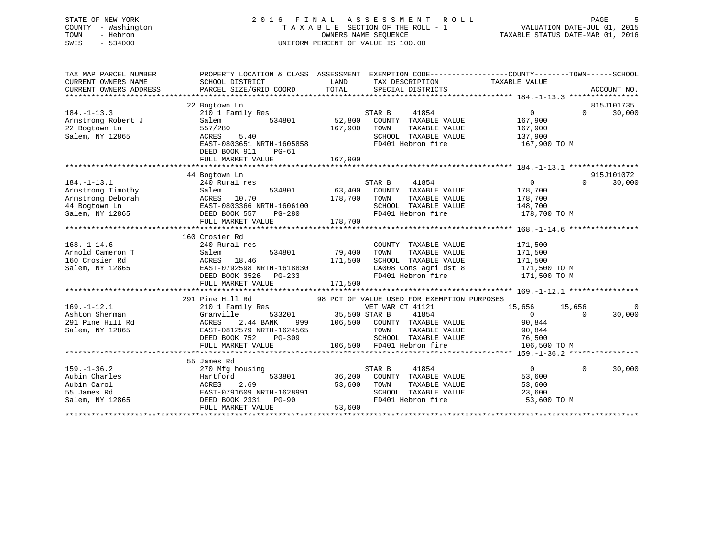## STATE OF NEW YORK 2 0 1 6 F I N A L A S S E S S M E N T R O L L PAGE 5 COUNTY - Washington T A X A B L E SECTION OF THE ROLL - 1 VALUATION DATE-JUL 01, 2015 TOWN - Hebron OWNERS NAME SEQUENCE TAXABLE STATUS DATE-MAR 01, 2016 SWIS - 534000 UNIFORM PERCENT OF VALUE IS 100.00

| TAX MAP PARCEL NUMBER<br>CURRENT OWNERS NAME<br>CURRENT OWNERS ADDRESS      | SCHOOL DISTRICT                                                                                                                                                                                                                                                                    | PROPERTY LOCATION & CLASS ASSESSMENT EXEMPTION CODE----------------COUNTY-------TOWN------SCHOOL<br>LAND<br>TAX DESCRIPTION TAXABLE VALUE                                                                                                                                             |                                                                                   |
|-----------------------------------------------------------------------------|------------------------------------------------------------------------------------------------------------------------------------------------------------------------------------------------------------------------------------------------------------------------------------|---------------------------------------------------------------------------------------------------------------------------------------------------------------------------------------------------------------------------------------------------------------------------------------|-----------------------------------------------------------------------------------|
| $184. - 1 - 13.3$<br>Armstrong Robert J<br>22 Bogtown Ln<br>Salem, NY 12865 | 22 Bogtown Ln<br>210 1 Family Res<br>Salem<br>557/280<br>ACRES 5.40<br>EAST-0803651 NRTH-1605858<br>DEED BOOK 911<br>PG-61<br>FULL MARKET VALUE                                                                                                                                    | STAR B<br>41854<br>534801 52,800 COUNTY TAXABLE VALUE 167,900<br>167,900<br>TOWN<br>TAXABLE VALUE<br>SCHOOL TAXABLE VALUE 137,900<br>FD401 Hebron fire<br>167,900                                                                                                                     | 815J101735<br>$\overline{0}$<br>$\Omega$<br>30,000<br>167,900<br>167,900 TO M     |
| $184. - 1 - 13.1$                                                           | 44 Bogtown Ln<br>240 Rural res                                                                                                                                                                                                                                                     | al res 534801 63,400 COUNTY TAXABLE VALUE 178,700<br>Armstrong Timothy<br>Armstrong Deborah (178,700 Salem 178,700 178,700 178,700 178,700 178,700 178,700 178,700 178,700 178,700 178,700 178,700 1814 Bogtown Ln EAST-0803366 NRTH-1606100 178,700 178,700 178,700 1814 18,700 1814 | 915J101072<br>$\Omega$<br>30,000                                                  |
|                                                                             | 160 Crosier Rd<br>168.-1-14.6<br>Arnold Cameron T<br>160 Crosier Rd<br>Salem, NY 12865<br>2008 2326 PG-233<br>2008 2526 PG-233<br>2018 233<br>2008 2526 PG-233<br>2018 233<br>2019 233<br>2019 233<br>2019 233<br>2019 233<br>2019 233<br>2019 233<br>2019 233<br>2019 233<br>2019 | COUNTY TAXABLE VALUE<br>TOWN<br>TAXABLE VALUE<br>SCHOOL TAXABLE VALUE<br>SCHOOL TAXABLE VALUE 171,500<br>CA008 Cons agri dst 8 171,500 TO M<br>FD401 Hebron fire 171,500 TO M                                                                                                         | 171,500<br>171,500                                                                |
| $169. - 1 - 12.1$<br>Ashton Sherman<br>291 Pine Hill Rd<br>Salem, NY 12865  | 210 1 Family Res<br>210 1 Family Res<br>Granville 533201<br>ACRES 2.44 BANK 999<br>EAST-0812579 NRTH-1624565<br>TITE TO 2012579 NRTH-1624565<br>EAST-0812579 NRTH-1624565<br>DEED BOOK 752 PG-309<br>FULL MARKET VALUE                                                             | 291 Pine Hill Rd 98 PCT OF VALUE USED FOR EXEMPTION PURPOSES<br>VET WAR CT 41121<br>سمبر سے دی۔<br>533201 35,500 STAR B<br>41854<br>999 106,500 COUNTY TAXABLE VALUE 90,844<br>106,500 FD401 Hebron fire                                                                              | 15,656 15,656<br>0<br>$\sim$ 0<br>$\overline{0}$<br>30,000<br>106,500 TO M        |
|                                                                             | 55 James Rd                                                                                                                                                                                                                                                                        | 159.-1-36.2<br>Aubin Charles<br>Aubin Charles<br>Aubin Carol across to the Hartford 533801<br>Salem, NY 12865<br>Aubin Carol across 2.69<br>Salem, NY 12865<br>PULL MARKET VALUE<br>PULL MARKET VALUE<br>FULL MARKET VALUE<br>FULL MARKET VALUE<br>F<br>SCHOOL TAXABLE VALUE          | $\overline{0}$<br>$\Omega$<br>30,000<br>53,600<br>53,600<br>23,600<br>53,600 TO M |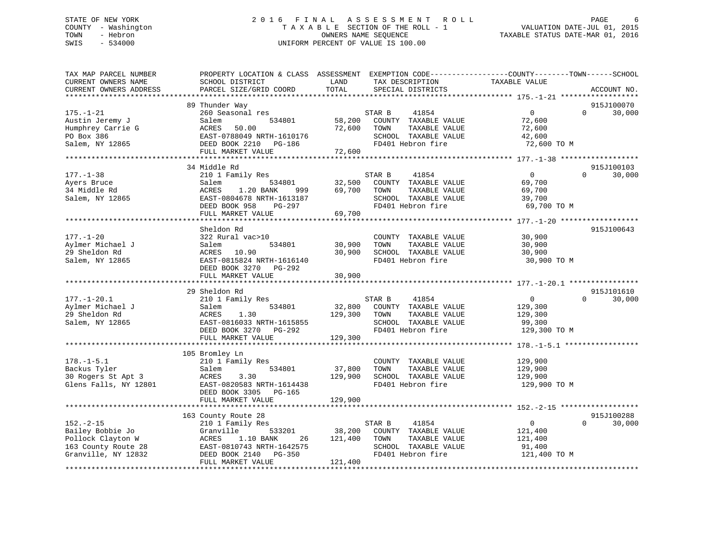## STATE OF NEW YORK 2 0 1 6 F I N A L A S S E S S M E N T R O L L PAGE 6 COUNTY - Washington T A X A B L E SECTION OF THE ROLL - 1 VALUATION DATE-JUL 01, 2015 TOWN - Hebron OWNERS NAME SEQUENCE TAXABLE STATUS DATE-MAR 01, 2016 SWIS - 534000 UNIFORM PERCENT OF VALUE IS 100.00

| TAX MAP PARCEL NUMBER  |                           |                                 | PROPERTY LOCATION & CLASS ASSESSMENT EXEMPTION CODE----------------COUNTY-------TOWN------SCHOOL |                        |
|------------------------|---------------------------|---------------------------------|--------------------------------------------------------------------------------------------------|------------------------|
| CURRENT OWNERS NAME    | SCHOOL DISTRICT           | LAND<br>TAX DESCRIPTION         | TAXABLE VALUE                                                                                    |                        |
| CURRENT OWNERS ADDRESS | PARCEL SIZE/GRID COORD    | TOTAL<br>SPECIAL DISTRICTS      |                                                                                                  | ACCOUNT NO.            |
|                        |                           |                                 |                                                                                                  |                        |
|                        | 89 Thunder Way            |                                 |                                                                                                  | 915J100070             |
| $175. - 1 - 21$        | 260 Seasonal res          | 41854<br>STAR B                 | $\Omega$                                                                                         | $\Omega$<br>30,000     |
| Austin Jeremy J        | 534801<br>Salem           | 58,200<br>COUNTY TAXABLE VALUE  | 72,600                                                                                           |                        |
| Humphrey Carrie G      | 50.00<br>ACRES            | 72,600<br>TOWN                  | TAXABLE VALUE<br>72,600                                                                          |                        |
| PO Box 386             | EAST-0788049 NRTH-1610176 | SCHOOL TAXABLE VALUE            | 42,600                                                                                           |                        |
| Salem, NY 12865        | DEED BOOK 2210<br>PG-186  | FD401 Hebron fire               | 72,600 TO M                                                                                      |                        |
|                        | FULL MARKET VALUE         | 72,600                          |                                                                                                  |                        |
|                        |                           |                                 |                                                                                                  |                        |
|                        | 34 Middle Rd              |                                 |                                                                                                  | 915J100103<br>$\Omega$ |
| $177. - 1 - 38$        | 210 1 Family Res          | STAR B<br>41854                 | $\overline{0}$                                                                                   | 30,000                 |
| Ayers Bruce            | 534801<br>Salem           | 32,500<br>COUNTY TAXABLE VALUE  | 69,700                                                                                           |                        |
| 34 Middle Rd           | ACRES<br>1.20 BANK<br>999 | 69,700<br>TOWN                  | TAXABLE VALUE<br>69,700                                                                          |                        |
| Salem, NY 12865        | EAST-0804678 NRTH-1613187 | SCHOOL TAXABLE VALUE            | 39,700                                                                                           |                        |
|                        | DEED BOOK 958<br>PG-297   | FD401 Hebron fire               | 69,700 TO M                                                                                      |                        |
|                        | FULL MARKET VALUE         | 69,700                          |                                                                                                  |                        |
|                        |                           |                                 |                                                                                                  |                        |
|                        | Sheldon Rd                |                                 |                                                                                                  | 915J100643             |
| $177. - 1 - 20$        | 322 Rural vac>10          | COUNTY TAXABLE VALUE            | 30,900                                                                                           |                        |
| Aylmer Michael J       | 534801<br>Salem           | 30,900<br>TOWN                  | TAXABLE VALUE<br>30,900                                                                          |                        |
| 29 Sheldon Rd          | ACRES<br>10.90            | 30,900<br>SCHOOL TAXABLE VALUE  | 30,900                                                                                           |                        |
| Salem, NY 12865        | EAST-0815824 NRTH-1616140 | FD401 Hebron fire               | 30,900 TO M                                                                                      |                        |
|                        | DEED BOOK 3270 PG-292     |                                 |                                                                                                  |                        |
|                        | FULL MARKET VALUE         | 30,900                          |                                                                                                  |                        |
|                        |                           |                                 |                                                                                                  |                        |
|                        | 29 Sheldon Rd             |                                 |                                                                                                  | 915J101610             |
| $177. - 1 - 20.1$      | 210 1 Family Res          | STAR B<br>41854                 | $\overline{0}$                                                                                   | $\Omega$<br>30,000     |
| Aylmer Michael J       | 534801<br>Salem           | 32,800<br>COUNTY TAXABLE VALUE  | 129,300                                                                                          |                        |
| 29 Sheldon Rd          | ACRES<br>1.30             | 129,300<br>TOWN                 | TAXABLE VALUE<br>129,300                                                                         |                        |
| Salem, NY 12865        | EAST-0816033 NRTH-1615855 | SCHOOL TAXABLE VALUE            | 99,300                                                                                           |                        |
|                        | DEED BOOK 3270 PG-292     | FD401 Hebron fire               | 129,300 TO M                                                                                     |                        |
|                        | FULL MARKET VALUE         | 129,300                         |                                                                                                  |                        |
|                        |                           |                                 |                                                                                                  |                        |
|                        | 105 Bromley Ln            |                                 |                                                                                                  |                        |
| $178. - 1 - 5.1$       | 210 1 Family Res          | COUNTY TAXABLE VALUE            | 129,900                                                                                          |                        |
| Backus Tyler           | 534801<br>Salem           | 37,800<br>TOWN                  | TAXABLE VALUE<br>129,900                                                                         |                        |
| 30 Rogers St Apt 3     | ACRES<br>3.30             | 129,900<br>SCHOOL TAXABLE VALUE | 129,900                                                                                          |                        |
| Glens Falls, NY 12801  | EAST-0820583 NRTH-1614438 | FD401 Hebron fire               | 129,900 TO M                                                                                     |                        |
|                        | DEED BOOK 3305 PG-165     |                                 |                                                                                                  |                        |
|                        | FULL MARKET VALUE         | 129,900                         |                                                                                                  |                        |
|                        |                           |                                 |                                                                                                  |                        |
|                        | 163 County Route 28       |                                 |                                                                                                  | 915J100288             |
| $152. - 2 - 15$        | 210 1 Family Res          | 41854<br>STAR B                 | $\overline{0}$                                                                                   | $\Omega$<br>30,000     |
| Bailey Bobbie Jo       | Granville<br>533201       | 38,200<br>COUNTY TAXABLE VALUE  | 121,400                                                                                          |                        |
| Pollock Clayton W      | ACRES<br>1.10 BANK<br>26  | 121,400<br>TOWN                 | TAXABLE VALUE<br>121,400                                                                         |                        |
| 163 County Route 28    | EAST-0810743 NRTH-1642575 | SCHOOL TAXABLE VALUE            | 91,400                                                                                           |                        |
| Granville, NY 12832    | DEED BOOK 2140 PG-350     | FD401 Hebron fire               | 121,400 TO M                                                                                     |                        |
|                        | FULL MARKET VALUE         | 121,400                         |                                                                                                  |                        |
|                        |                           |                                 |                                                                                                  |                        |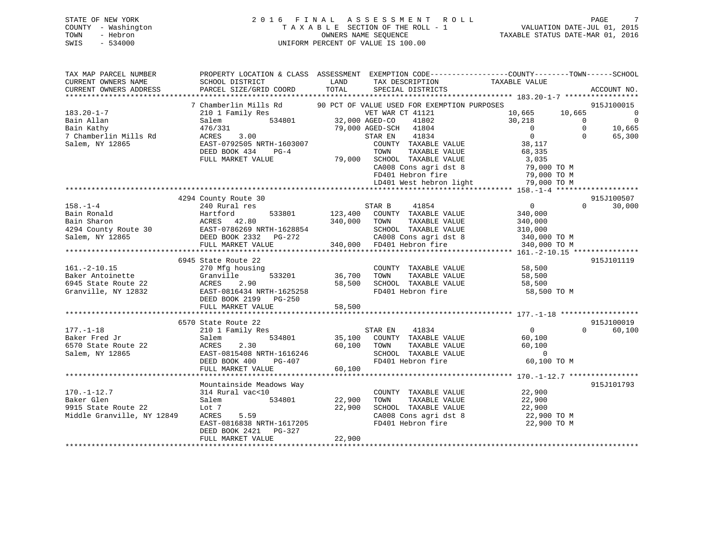#### STATE OF NEW YORK 2 0 1 6 F I N A L A S S E S S M E N T R O L L PAGE 7COUNTY - Washington T A X A B L E SECTION OF THE ROLL - 1 TOWN - Hebron **CONNERS NAME SEQUENCE** TAXABLE STATUS DATE-MAR 01, 2016 SWIS - 534000 UNIFORM PERCENT OF VALUE IS 100.00

VALUATION DATE-JUL 01, 2015

| TAX MAP PARCEL NUMBER  | PROPERTY LOCATION & CLASS | ASSESSMENT | EXEMPTION CODE-----------------COUNTY--------TOWN------SCHOOL |               |        |                    |
|------------------------|---------------------------|------------|---------------------------------------------------------------|---------------|--------|--------------------|
| CURRENT OWNERS NAME    | SCHOOL DISTRICT           | LAND       | TAX DESCRIPTION                                               | TAXABLE VALUE |        |                    |
| CURRENT OWNERS ADDRESS | PARCEL SIZE/GRID COORD    | TOTAL      | SPECIAL DISTRICTS                                             |               |        | ACCOUNT NO.        |
|                        |                           |            |                                                               |               |        |                    |
|                        | 7 Chamberlin Mills Rd     |            | 90 PCT OF VALUE USED FOR EXEMPTION PURPOSES                   |               |        | 915J100015         |
| $183.20 - 1 - 7$       | 210 1 Family Res          |            | VET WAR CT 41121                                              | 10,665        | 10,665 | $\Omega$           |
| Bain Allan             | Salem<br>534801           |            | 41802<br>32,000 AGED-CO                                       | 30,218        |        | $\Omega$           |
| made the black         | 1.771331                  |            | $\sqrt{1700}$<br><b>DO 000 30DD COTT</b>                      |               |        | 10 C <sub>CD</sub> |

| $183.20 - 1 - 7$<br>Bain Allan<br>Bain Kathy<br>7 Chamberlin Mills Rd<br>Salem, NY 12865 | 7 Chamberlin Mills Rd<br>210 1 Family Res<br>534801<br>Salem<br>476/331<br>ACRES<br>3.00<br>EAST-0792505 NRTH-1603007                                     | 90 PCT OF VALUE USED FOR EXEMPTION PURPOSES<br>VET WAR CT 41121<br>32,000 AGED-CO<br>41802<br>79,000 AGED-SCH 41804<br>41834<br>STAR EN<br>COUNTY TAXABLE VALUE             | 915J100015<br>10,665 10,665<br>C<br>30,218<br>$\Omega$<br>$\mathsf{C}$<br>$\Omega$<br>10,665<br>$\overline{0}$<br>$\overline{0}$<br>$\Omega$<br>65,300<br>38,117 |
|------------------------------------------------------------------------------------------|-----------------------------------------------------------------------------------------------------------------------------------------------------------|-----------------------------------------------------------------------------------------------------------------------------------------------------------------------------|------------------------------------------------------------------------------------------------------------------------------------------------------------------|
|                                                                                          | DEED BOOK 434<br>$PG-4$<br>FULL MARKET VALUE                                                                                                              | TOWN<br>TAXABLE VALUE<br>79,000 SCHOOL TAXABLE VALUE<br>CA008 Cons agri dst 8<br>FD401 Hebron fire<br>LD401 West hebron light                                               | 68,335<br>3,035<br>79,000 TO M<br>79,000 TO M<br>79,000 TO M                                                                                                     |
|                                                                                          | 4294 County Route 30                                                                                                                                      |                                                                                                                                                                             | 915J100507                                                                                                                                                       |
| $158. - 1 - 4$<br>Bain Ronald<br>Bain Sharon                                             | 240 Rural res<br>Hartford<br>533801<br>ACRES 42.80<br>FULL MARKET VALUE                                                                                   | 41854<br>STAR B<br>123,400 COUNTY TAXABLE VALUE<br>340,000 TOWN<br>TAXABLE VALUE<br>SCHOOL TAXABLE VALUE<br>CA008 Cons agri dst 8 340,000 TO M<br>340,000 FD401 Hebron fire | $\overline{0}$<br>30,000<br>$\Omega$<br>340,000<br>340,000<br>310,000<br>340,000 TO M                                                                            |
|                                                                                          |                                                                                                                                                           |                                                                                                                                                                             |                                                                                                                                                                  |
| $161. - 2 - 10.15$<br>Baker Antoinette<br>6945 State Route 22<br>Granville, NY 12832     | 6945 State Route 22<br>270 Mfg housing<br>Granville<br>533201<br>2.90<br>ACRES<br>EAST-0816434 NRTH-1625258<br>DEED BOOK 2199 PG-250<br>FULL MARKET VALUE | COUNTY TAXABLE VALUE<br>36,700 TOWN<br>TAXABLE VALUE<br>58,500 SCHOOL TAXABLE VALUE<br>FD401 Hebron fire<br>58,500                                                          | 915J101119<br>58,500<br>58,500<br>58,500<br>58,500 TO M                                                                                                          |
|                                                                                          | 6570 State Route 22                                                                                                                                       |                                                                                                                                                                             | 915J100019                                                                                                                                                       |
| $177. - 1 - 18$<br>Baker Fred Jr<br>6570 State Route 22<br>Salem, NY 12865               | 210 1 Family Res<br>534801<br>Salem<br>2.30<br>ACRES<br>EAST-0815408 NRTH-1616246<br>DEED BOOK 400<br>PG-407<br>FULL MARKET VALUE                         | 41834<br>STAR EN<br>35,100 COUNTY TAXABLE VALUE<br>TAXABLE VALUE<br>60,100 TOWN<br>SCHOOL TAXABLE VALUE<br>FD401 Hebron fire<br>60,100                                      | $\overline{0}$<br>60,100<br>$\Omega$<br>60,100<br>60,100<br>$\overline{0}$<br>60,100 TO M                                                                        |
|                                                                                          |                                                                                                                                                           |                                                                                                                                                                             |                                                                                                                                                                  |
| $170. - 1 - 12.7$<br>Baker Glen<br>9915 State Route 22<br>Middle Granville, NY 12849     | Mountainside Meadows Way<br>314 Rural vac<10<br>Salem<br>534801<br>Lot 7<br>5.59<br>ACRES<br>EAST-0816838 NRTH-1617205                                    | COUNTY TAXABLE VALUE<br>22,900<br>TOWN<br>TAXABLE VALUE<br>22,900<br>SCHOOL TAXABLE VALUE<br>CA008 Cons agri dst 8<br>FD401 Hebron fire                                     | 915J101793<br>22,900<br>22,900<br>22,900<br>22,900 TO M<br>22,900 TO M                                                                                           |
|                                                                                          | DEED BOOK 2421 PG-327<br>FULL MARKET VALUE                                                                                                                | 22,900                                                                                                                                                                      |                                                                                                                                                                  |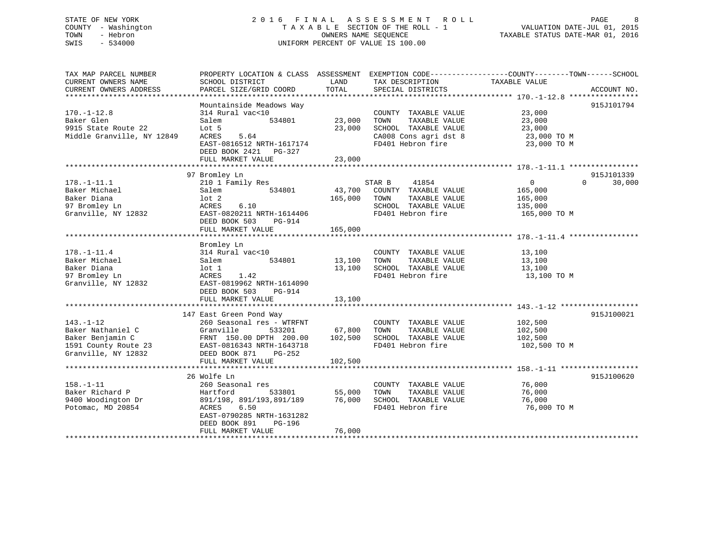## STATE OF NEW YORK 2 0 1 6 F I N A L A S S E S S M E N T R O L L PAGE 8 COUNTY - Washington T A X A B L E SECTION OF THE ROLL - 1 VALUATION DATE-JUL 01, 2015 TOWN - Hebron OWNERS NAME SEQUENCE TAXABLE STATUS DATE-MAR 01, 2016 SWIS - 534000 UNIFORM PERCENT OF VALUE IS 100.00

| TAX MAP PARCEL NUMBER<br>CURRENT OWNERS NAME<br>CURRENT OWNERS ADDRESS                                  | PROPERTY LOCATION & CLASS ASSESSMENT<br>SCHOOL DISTRICT<br>PARCEL SIZE/GRID COORD                                                                                                           | LAND<br>TOTAL                | TAX DESCRIPTION<br>SPECIAL DISTRICTS                                                                                | EXEMPTION CODE-----------------COUNTY-------TOWN------SCHOOL<br>TAXABLE VALUE | ACCOUNT NO.                      |
|---------------------------------------------------------------------------------------------------------|---------------------------------------------------------------------------------------------------------------------------------------------------------------------------------------------|------------------------------|---------------------------------------------------------------------------------------------------------------------|-------------------------------------------------------------------------------|----------------------------------|
| $170. - 1 - 12.8$<br>Baker Glen<br>9915 State Route 22<br>Middle Granville, NY 12849                    | Mountainside Meadows Way<br>314 Rural vac<10<br>534801<br>Salem<br>Lot 5<br>5.64<br>ACRES<br>EAST-0816512 NRTH-1617174<br>DEED BOOK 2421 PG-327<br>FULL MARKET VALUE                        | 23,000<br>23,000<br>23,000   | COUNTY TAXABLE VALUE<br>TAXABLE VALUE<br>TOWN<br>SCHOOL TAXABLE VALUE<br>CA008 Cons agri dst 8<br>FD401 Hebron fire | 23,000<br>23,000<br>23,000<br>23,000 TO M<br>23,000 TO M                      | 915J101794                       |
| $178. - 1 - 11.1$<br>Baker Michael<br>Baker Diana<br>97 Bromley Ln<br>Granville, NY 12832               | 97 Bromley Ln<br>210 1 Family Res<br>534801<br>Salem<br>$1$ ot $2$<br>6.10<br>ACRES<br>EAST-0820211 NRTH-1614406<br>DEED BOOK 503<br>PG-914<br>FULL MARKET VALUE                            | 43,700<br>165,000<br>165,000 | STAR B<br>41854<br>COUNTY TAXABLE VALUE<br>TAXABLE VALUE<br>TOWN<br>SCHOOL TAXABLE VALUE<br>FD401 Hebron fire       | $\overline{0}$<br>165,000<br>165,000<br>135,000<br>165,000 TO M               | 915J101339<br>$\Omega$<br>30,000 |
| $178. - 1 - 11.4$<br>Baker Michael<br>Baker Diana<br>97 Bromley Ln<br>Granville, NY 12832               | Bromley Ln<br>314 Rural vac<10<br>534801<br>Salem<br>lot 1<br>ACRES<br>1.42<br>EAST-0819962 NRTH-1614090<br>DEED BOOK 503<br>PG-914<br>FULL MARKET VALUE                                    | 13,100<br>13,100<br>13,100   | COUNTY TAXABLE VALUE<br>TAXABLE VALUE<br>TOWN<br>SCHOOL TAXABLE VALUE<br>FD401 Hebron fire                          | 13,100<br>13,100<br>13,100<br>13,100 TO M                                     |                                  |
| $143. - 1 - 12$<br>Baker Nathaniel C<br>Baker Benjamin C<br>1591 County Route 23<br>Granville, NY 12832 | 147 East Green Pond Way<br>260 Seasonal res - WTRFNT<br>Granville<br>533201<br>FRNT 150.00 DPTH 200.00 102,500<br>EAST-0816343 NRTH-1643718<br>DEED BOOK 871<br>PG-252<br>FULL MARKET VALUE | 67,800<br>102,500            | COUNTY TAXABLE VALUE<br>TAXABLE VALUE<br>TOWN<br>SCHOOL TAXABLE VALUE<br>FD401 Hebron fire                          | 102,500<br>102,500<br>102,500<br>102,500 TO M                                 | 915J100021                       |
| $158. - 1 - 11$<br>Baker Richard P<br>9400 Woodington Dr<br>Potomac, MD 20854                           | 26 Wolfe Ln<br>260 Seasonal res<br>Hartford<br>533801<br>891/198, 891/193,891/189<br>ACRES<br>6.50<br>EAST-0790285 NRTH-1631282<br>DEED BOOK 891<br>PG-196<br>FULL MARKET VALUE             | 55,000<br>76,000<br>76,000   | COUNTY TAXABLE VALUE<br>TAXABLE VALUE<br>TOWN<br>SCHOOL TAXABLE VALUE<br>FD401 Hebron fire                          | 76,000<br>76,000<br>76,000<br>76,000 TO M                                     | 915J100620                       |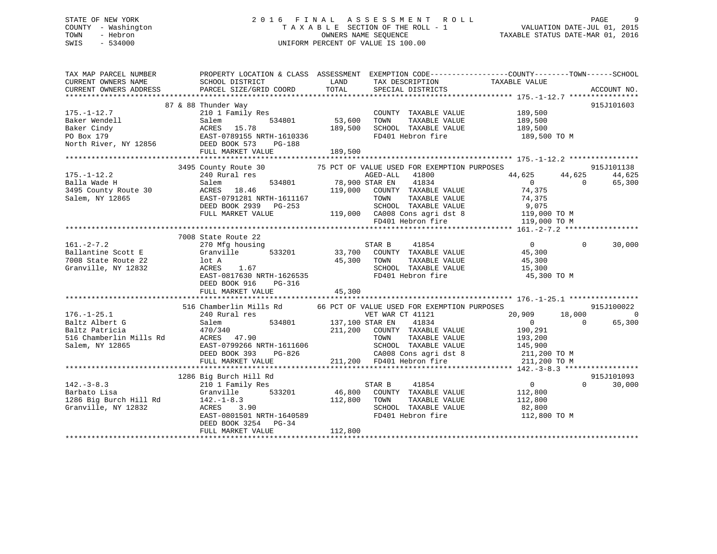## STATE OF NEW YORK 2 0 1 6 F I N A L A S S E S S M E N T R O L L PAGE 9 COUNTY - Washington T A X A B L E SECTION OF THE ROLL - 1 VALUATION DATE-JUL 01, 2015 TOWN - Hebron OWNERS NAME SEQUENCE TAXABLE STATUS DATE-MAR 01, 2016 SWIS - 534000 UNIFORM PERCENT OF VALUE IS 100.00

| TAX MAP PARCEL NUMBER<br>CURRENT OWNERS NAME<br>CURRENT OWNERS ADDRESS                                                                                                                                                                                                              | PROPERTY LOCATION & CLASS ASSESSMENT EXEMPTION CODE---------------COUNTY-------TOWN-----SCHOOL<br>SCHOOL DISTRICT<br>PARCEL SIZE/GRID COORD                                                                         | <b>LAND</b><br>TOTAL | TAX DESCRIPTION<br>SPECIAL DISTRICTS                                                                                                                                          | TAXABLE VALUE                                                                                                                                                                                       | ACCOUNT NO.                      |
|-------------------------------------------------------------------------------------------------------------------------------------------------------------------------------------------------------------------------------------------------------------------------------------|---------------------------------------------------------------------------------------------------------------------------------------------------------------------------------------------------------------------|----------------------|-------------------------------------------------------------------------------------------------------------------------------------------------------------------------------|-----------------------------------------------------------------------------------------------------------------------------------------------------------------------------------------------------|----------------------------------|
| $175. - 1 - 12.7$<br>Baker Wendell<br>Baker Wendell<br>Baker Cindy<br>Baker Cindy<br>De Box 179<br>Po Box 179<br>North River, NY 12856<br>North River, NY 12856<br>Po Box 179<br>Po Box 179<br>Po Box 179<br>Po Box 179<br>Po Box 179<br>Po Box 179<br>Po Box 179<br>Po Box 179<br> | 87 & 88 Thunder Way<br>210 1 Family Res                                                                                                                                                                             |                      | COUNTY TAXABLE VALUE 189,500<br>TOWN                                                                                                                                          | TAXABLE VALUE 189,500<br>SCHOOL TAXABLE VALUE 189,500<br>FD401 Hebron fire 189,500 TO M                                                                                                             | 915J101603                       |
| 175.-1-12.2<br>Balla Wade H<br>3495 County Route 30 RORES 18.46<br>2791191.75 PACRES<br>Salem, NY 12865                                                                                                                                                                             | 3495 County Route 30 75 PCT OF VALUE USED FOR EXEMPTION PURPOSES<br>534801 78,900 STAR EN<br>119,000 COUNTY<br>EAST-0791281 NRTH-1611167<br>EAST-0791281 NRTH-1611167<br>DEED BOOK 2939 PG-253<br>FULL MARKET VALUE |                      | AGED-ALL 41800<br>41834<br>COUNTY TAXABLE VALUE 74,375                                                                                                                        | 44,625 44,625<br>$\overline{0}$<br>$\overline{0}$<br>11167 TOWN TAXABLE VALUE 74,375<br>5CHOOL TAXABLE VALUE 74,375<br>119,000 CA008 Cons agri dst 8 119,000 TO M<br>FD401 Hebron fire 119,000 TO M | 915J101138<br>44,625<br>65,300   |
| $161. - 2 - 7.2$<br>Ballantine Scott E<br>Tone State Route 22<br>Granville, NY 12832                                                                                                                                                                                                | 7008 State Route 22<br>270 Mfg housing<br>Granville<br>lot A<br>ACRES 1.67<br>EAST-0817630 NRTH-1626535<br>DEED BOOK 916<br>PG-316                                                                                  |                      | 41854<br>STAR B<br>STAR B 41854 0<br>533201 33,700 COUNTY TAXABLE VALUE 45,300<br>45,300 TOWN TAXABLE VALUE 45,300<br>SCHOOL TAXABLE VALUE 15,300<br>FD401 Hebron fire 15,300 | $\overline{0}$<br>45,300 TO M                                                                                                                                                                       | $\Omega$<br>30,000               |
| $\frac{G}{a}$<br>$176. - 1 - 25.1$<br>Baltz Albert G<br>Baltz Patricia                                                                                                                                                                                                              | 516 Chamberlin Mills Rd 66 PCT OF VALUE USED FOR EXEMPTION PURPOSES<br>240 Rural res<br>Salem<br>470/340                                                                                                            |                      | VET WAR CT 41121<br>534801 137,100 STAR EN 41834 20,909<br>211,200 COUNTY TAXABLE VALUE 190,291                                                                               | 20,909 18,000<br>$\overline{0}$                                                                                                                                                                     | 915J100022<br>$\Omega$<br>65,300 |
| 142.-3-8.3<br>Barbato Lisa (10 1 Family Res)<br>1286 Big Burch Hill Rd 142.-1-8.3<br>Granville, NY 12832 ACRES 3.90                                                                                                                                                                 | 1286 Big Burch Hill Rd<br>Granville 533201 46,800<br>142.-1-8.3 112,800<br>ACRES 3.90 EAST-0801501 NRTH-1640589<br>DEED BOOK 3254 PG-34<br>FULL MARKET VALUE                                                        | 112,800              | 41854<br>STAR B<br>COUNTY TAXABLE VALUE<br>TOWN      TAXABLE VALUE<br>TOWN<br>FD401 Hebron fire                                                                               | $\overline{0}$<br>112,800<br>112,800<br>SCHOOL TAXABLE VALUE 82,800<br>FD401 Hebron fire 112,800 TO M                                                                                               | 915J101093<br>$\Omega$<br>30,000 |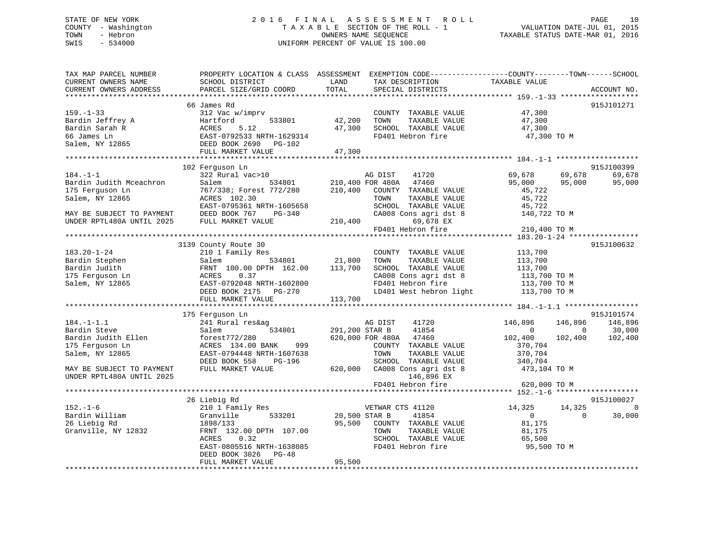## STATE OF NEW YORK 2 0 1 6 F I N A L A S S E S S M E N T R O L L PAGE 10 COUNTY - Washington T A X A B L E SECTION OF THE ROLL - 1 VALUATION DATE-JUL 01, 2015 TOWN - Hebron OWNERS NAME SEQUENCE TAXABLE STATUS DATE-MAR 01, 2016 SWIS - 534000 UNIFORM PERCENT OF VALUE IS 100.00

| TAX MAP PARCEL NUMBER<br>CURRENT OWNERS NAME<br>CURRENT OWNERS ADDRESS | SCHOOL DISTRICT<br>PARCEL SIZE/GRID COORD | PROPERTY LOCATION & CLASS ASSESSMENT EXEMPTION CODE----------------COUNTY-------TOWN------SCHOOL<br>LAND<br>TAX DESCRIPTION<br>TOTAL<br>SPECIAL DISTRICTS | TAXABLE VALUE<br>ACCOUNT NO.                |
|------------------------------------------------------------------------|-------------------------------------------|-----------------------------------------------------------------------------------------------------------------------------------------------------------|---------------------------------------------|
|                                                                        |                                           |                                                                                                                                                           |                                             |
|                                                                        | 66 James Rd                               |                                                                                                                                                           | 915J101271                                  |
| $159. - 1 - 33$                                                        | 312 Vac w/imprv                           | COUNTY TAXABLE VALUE                                                                                                                                      | 47,300                                      |
| Bardin Jeffrey A                                                       | 533801<br>Hartford                        | 42,200<br>TOWN<br>TAXABLE VALUE                                                                                                                           | 47,300                                      |
| Bardin Sarah R                                                         | ACRES<br>5.12                             | 47,300<br>SCHOOL TAXABLE VALUE                                                                                                                            | 47,300                                      |
| 66 James Ln                                                            | ACRES 3.12<br>EAST-0792533 NRTH-1629314   | FD401 Hebron fire                                                                                                                                         | 47,300 TO M                                 |
| Salem, NY 12865                                                        | DEED BOOK 2690 PG-102                     |                                                                                                                                                           |                                             |
|                                                                        | FULL MARKET VALUE                         | 47,300                                                                                                                                                    |                                             |
|                                                                        |                                           |                                                                                                                                                           |                                             |
|                                                                        | 102 Ferguson Ln                           |                                                                                                                                                           | 915J100399                                  |
| $184. - 1 - 1$                                                         | 322 Rural vac>10                          | AG DIST<br>41720                                                                                                                                          | 69,678<br>69,678<br>69,678                  |
| Bardin Judith Mceachron                                                | Salem                                     | 534801 210,400 FOR 480A 47460                                                                                                                             | 95,000<br>95,000<br>95,000                  |
| 175 Ferguson Ln                                                        | 767/338; Forest 772/280                   | 210,400<br>COUNTY TAXABLE VALUE                                                                                                                           | 45,722                                      |
| Salem, NY 12865                                                        | ACRES 102.30                              | TOWN<br>TAXABLE VALUE                                                                                                                                     | 45,722                                      |
|                                                                        | EAST-0795361 NRTH-1605658                 | SCHOOL TAXABLE VALUE                                                                                                                                      | 45,722                                      |
| MAY BE SUBJECT TO PAYMENT                                              | DEED BOOK 767<br>PG-340                   | CA008 Cons agri dst 8                                                                                                                                     | 140,722 TO M                                |
| UNDER RPTL480A UNTIL 2025                                              | FULL MARKET VALUE                         | 210,400<br>69,678 EX                                                                                                                                      |                                             |
|                                                                        |                                           | FD401 Hebron fire                                                                                                                                         | 210,400 TO M                                |
|                                                                        |                                           |                                                                                                                                                           |                                             |
|                                                                        | 3139 County Route 30                      |                                                                                                                                                           | 915J100632                                  |
| $183.20 - 1 - 24$                                                      | 210 1 Family Res                          | COUNTY TAXABLE VALUE                                                                                                                                      | 113,700                                     |
| Bardin Stephen                                                         | 534801<br>Salem                           | 21,800<br>TOWN<br>TAXABLE VALUE                                                                                                                           | 113,700                                     |
| Bardin Judith                                                          | FRNT 100.00 DPTH 162.00 113,700           | SCHOOL TAXABLE VALUE                                                                                                                                      | 113,700                                     |
| 175 Ferguson Ln                                                        | ACRES<br>0.37                             | CA008 Cons agri dst 8                                                                                                                                     | 113,700 TO M                                |
| Salem, NY 12865                                                        | EAST-0792048 NRTH-1602800                 | FD401 Hebron fire                                                                                                                                         | 113,700 TO M                                |
|                                                                        | DEED BOOK 2175 PG-270                     | LD401 West hebron light                                                                                                                                   | 113,700 TO M                                |
|                                                                        |                                           |                                                                                                                                                           |                                             |
|                                                                        | FULL MARKET VALUE                         | 113,700                                                                                                                                                   |                                             |
|                                                                        |                                           |                                                                                                                                                           |                                             |
| $184. - 1 - 1.1$                                                       | 175 Ferguson Ln<br>241 Rural res&ag       | 41720<br>AG DIST                                                                                                                                          | 915J101574<br>146,896<br>146,896<br>146,896 |
| Bardin Steve                                                           | Salem<br>534801                           | 291,200 STAR B<br>41854                                                                                                                                   | $\overline{0}$                              |
|                                                                        |                                           |                                                                                                                                                           | 30,000<br>$\mathbf{0}$                      |
| Bardin Judith Ellen                                                    | forest772/280                             | 620,000 FOR 480A 47460                                                                                                                                    | 102,400<br>102,400<br>102,400               |
| 175 Ferguson Ln                                                        | ACRES 134.00 BANK<br>999                  | COUNTY TAXABLE VALUE                                                                                                                                      | 370,704                                     |
| Salem, NY 12865                                                        | EAST-0794448 NRTH-1607638                 | TOWN<br>TAXABLE VALUE                                                                                                                                     | 370,704                                     |
|                                                                        | DEED BOOK 558<br>PG-196                   | SCHOOL TAXABLE VALUE                                                                                                                                      | 340,704                                     |
| MAY BE SUBJECT TO PAYMENT                                              | FULL MARKET VALUE                         | 620,000 CA008 Cons agri dst 8                                                                                                                             | 473,104 TO M                                |
| UNDER RPTL480A UNTIL 2025                                              |                                           | 146,896 EX                                                                                                                                                |                                             |
|                                                                        |                                           | FD401 Hebron fire                                                                                                                                         | 620,000 TO M                                |
|                                                                        |                                           |                                                                                                                                                           |                                             |
|                                                                        | 26 Liebig Rd                              |                                                                                                                                                           | 915J100027                                  |
| $152. - 1 - 6$                                                         | 210 1 Family Res                          | VETWAR CTS 41120                                                                                                                                          | 14,325<br>14,325<br>$\mathbf 0$             |
| Bardin William                                                         | Granville<br>533201                       | 20,500 STAR B<br>41854                                                                                                                                    | 30,000<br>$\overline{0}$<br>$\Omega$        |
| 26 Liebig Rd                                                           | 1898/133                                  | 95,500 COUNTY TAXABLE VALUE                                                                                                                               | 81,175                                      |
| Granville, NY 12832                                                    | FRNT 132.00 DPTH 107.00                   | TOWN<br>TAXABLE VALUE                                                                                                                                     | 81,175                                      |
|                                                                        | ACRES<br>0.32                             | SCHOOL TAXABLE VALUE                                                                                                                                      | 65,500                                      |
|                                                                        | EAST-0805516 NRTH-1638085                 | FD401 Hebron fire                                                                                                                                         | 95,500 TO M                                 |
|                                                                        | DEED BOOK 3026 PG-48                      |                                                                                                                                                           |                                             |
|                                                                        | FULL MARKET VALUE                         | 95,500                                                                                                                                                    |                                             |
|                                                                        |                                           |                                                                                                                                                           |                                             |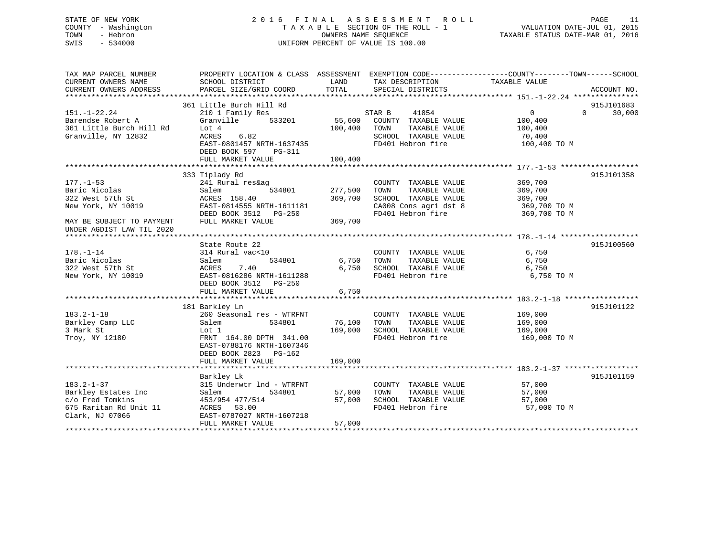## STATE OF NEW YORK 2 0 1 6 F I N A L A S S E S S M E N T R O L L PAGE 11 COUNTY - Washington T A X A B L E SECTION OF THE ROLL - 1 VALUATION DATE-JUL 01, 2015 TOWN - Hebron OWNERS NAME SEQUENCE TAXABLE STATUS DATE-MAR 01, 2016 SWIS - 534000 UNIFORM PERCENT OF VALUE IS 100.00

| TAX MAP PARCEL NUMBER<br>CURRENT OWNERS NAME<br>CURRENT OWNERS ADDRESS                                                               | PROPERTY LOCATION & CLASS ASSESSMENT EXEMPTION CODE----------------COUNTY-------TOWN------SCHOOL<br>SCHOOL DISTRICT<br>PARCEL SIZE/GRID COORD                                 | LAND<br>TOTAL                 | TAX DESCRIPTION<br>SPECIAL DISTRICTS                                                                                | TAXABLE VALUE                                                 | ACCOUNT NO.                      |
|--------------------------------------------------------------------------------------------------------------------------------------|-------------------------------------------------------------------------------------------------------------------------------------------------------------------------------|-------------------------------|---------------------------------------------------------------------------------------------------------------------|---------------------------------------------------------------|----------------------------------|
| $151. - 1 - 22.24$<br>Barendse Robert A<br>361 Little Burch Hill Rd<br>Granville, NY 12832                                           | 361 Little Burch Hill Rd<br>210 1 Family Res<br>Granville<br>533201<br>Lot 4<br>6.82<br>ACRES<br>EAST-0801457 NRTH-1637435<br>DEED BOOK 597<br>PG-311<br>FULL MARKET VALUE    | 55,600<br>100,400<br>100,400  | STAR B<br>41854<br>COUNTY TAXABLE VALUE<br>TOWN<br>TAXABLE VALUE<br>SCHOOL TAXABLE VALUE<br>FD401 Hebron fire       | $\Omega$<br>100,400<br>100,400<br>70,400<br>100,400 TO M      | 915J101683<br>$\Omega$<br>30,000 |
| $177. - 1 - 53$<br>Baric Nicolas<br>322 West 57th St<br>New York, NY 10019<br>MAY BE SUBJECT TO PAYMENT<br>UNDER AGDIST LAW TIL 2020 | 333 Tiplady Rd<br>241 Rural res&ag<br>534801<br>Salem<br>ACRES 158.40<br>EAST-0814555 NRTH-1611181<br>DEED BOOK 3512 PG-250<br>FULL MARKET VALUE                              | 277,500<br>369,700<br>369,700 | COUNTY TAXABLE VALUE<br>TOWN<br>TAXABLE VALUE<br>SCHOOL TAXABLE VALUE<br>CA008 Cons agri dst 8<br>FD401 Hebron fire | 369,700<br>369,700<br>369,700<br>369,700 TO M<br>369,700 TO M | 915J101358                       |
| $178. - 1 - 14$<br>Baric Nicolas<br>322 West 57th St<br>New York, NY 10019                                                           | State Route 22<br>314 Rural vac<10<br>534801<br>Salem<br>7.40<br>ACRES<br>EAST-0816286 NRTH-1611288<br>DEED BOOK 3512 PG-250<br>FULL MARKET VALUE                             | 6,750<br>6,750<br>6,750       | COUNTY TAXABLE VALUE<br>TAXABLE VALUE<br>TOWN<br>SCHOOL TAXABLE VALUE<br>FD401 Hebron fire                          | 6,750<br>6,750<br>6,750<br>6,750 TO M                         | 915J100560                       |
| $183.2 - 1 - 18$<br>Barkley Camp LLC<br>3 Mark St<br>Troy, NY 12180                                                                  | 181 Barkley Ln<br>260 Seasonal res - WTRFNT<br>534801<br>Salem<br>Lot 1<br>FRNT 164.00 DPTH 341.00<br>EAST-0788176 NRTH-1607346<br>DEED BOOK 2823 PG-162<br>FULL MARKET VALUE | 76,100<br>169,000<br>169,000  | COUNTY TAXABLE VALUE<br>TAXABLE VALUE<br>TOWN<br>SCHOOL TAXABLE VALUE<br>FD401 Hebron fire                          | 169,000<br>169,000<br>169,000<br>169,000 TO M                 | 915J101122                       |
| $183.2 - 1 - 37$<br>Barkley Estates Inc<br>c/o Fred Tomkins<br>675 Raritan Rd Unit 11<br>Clark, NJ 07066                             | Barkley Lk<br>315 Underwtr 1nd - WTRFNT<br>534801<br>Salem<br>453/954 477/514<br>ACRES 53.00<br>EAST-0787027 NRTH-1607218<br>FULL MARKET VALUE                                | 57,000<br>57,000<br>57,000    | COUNTY TAXABLE VALUE<br>TOWN<br>TAXABLE VALUE<br>SCHOOL TAXABLE VALUE<br>FD401 Hebron fire                          | 57,000<br>57,000<br>57,000<br>57,000 TO M                     | 915J101159                       |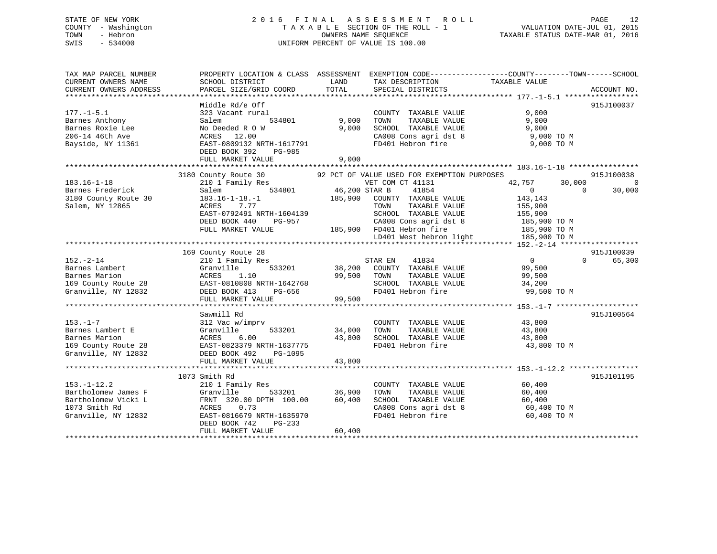## STATE OF NEW YORK 2 0 1 6 F I N A L A S S E S S M E N T R O L L PAGE 12 COUNTY - Washington T A X A B L E SECTION OF THE ROLL - 1 VALUATION DATE-JUL 01, 2015 TOWN - Hebron OWNERS NAME SEQUENCE TAXABLE STATUS DATE-MAR 01, 2016 SWIS - 534000 UNIFORM PERCENT OF VALUE IS 100.00

| TAX MAP PARCEL NUMBER<br>CURRENT OWNERS NAME<br>CURRENT OWNERS ADDRESS                                                                                                                                                                                                                          | SCHOOL DISTRICT<br>PARCEL SIZE/GRID COORD                                                                                                                                                                                                                                                                                                                                                                                                                                                                                                                                      | LAND<br>TOTAL                  | PROPERTY LOCATION & CLASS ASSESSMENT EXEMPTION CODE----------------COUNTY-------TOWN------SCHOOL<br>TAX DESCRIPTION<br>SPECIAL DISTRICTS          | TAXABLE VALUE                                                                                                                                                                                                                                                                                                                                                         | ACCOUNT NO.                            |
|-------------------------------------------------------------------------------------------------------------------------------------------------------------------------------------------------------------------------------------------------------------------------------------------------|--------------------------------------------------------------------------------------------------------------------------------------------------------------------------------------------------------------------------------------------------------------------------------------------------------------------------------------------------------------------------------------------------------------------------------------------------------------------------------------------------------------------------------------------------------------------------------|--------------------------------|---------------------------------------------------------------------------------------------------------------------------------------------------|-----------------------------------------------------------------------------------------------------------------------------------------------------------------------------------------------------------------------------------------------------------------------------------------------------------------------------------------------------------------------|----------------------------------------|
| $177. - 1 - 5.1$<br>Barnes Anthony<br>Barnes Roxie Lee<br>006-14 46th Ave<br>206-14 46th Ave<br>Bayside, NY 11361                                                                                                                                                                               | Middle Rd/e Off<br>323 Vacant rural<br>Salem<br>No Deeded R O W<br>ACRES 12.00<br>EAST-0809132 NRTH-1617791<br>DEED BOOK 392<br>PG-985<br>FULL MARKET VALUE                                                                                                                                                                                                                                                                                                                                                                                                                    | 534801 9,000<br>9,000<br>9,000 | COUNTY TAXABLE VALUE<br>TOWN<br>TAXABLE VALUE<br>SCHOOL TAXABLE VALUE 9,000<br>CA008 Cons agri dst 8 9,000 TO M<br>FD401 Hebron fire 9,000 TO M   | 9,000<br>9,000                                                                                                                                                                                                                                                                                                                                                        | 915J100037                             |
| $183.16 - 1 - 18$<br>Barnes Frederick<br>3180 County Route 30<br>Salem, NY 12865                                                                                                                                                                                                                | 3180 County Route 30 92 PCT OF VALUE USED FOR EXEMPTION PURPOSES<br>210 1 Family Res<br>Family Res<br>534801 634801 46,200 STAR B<br>Salem<br>$\begin{array}{ccccccccc} 183.16-1-18.-1 & & & & 185,900 & & \text{COUNTY} & \text{TAXABLE VALUE} \\ \text{ACRES} & 7.77 & & & & & & \text{TOWN} & & \text{TAXABLE VALUE} \end{array}$<br>ACRES<br>7.77<br>EAST-0792491 NRTH-1604139 SCHOOL TAXABLE VALUE 155,900<br>DEED BOOK 440 PG-957 CA008 Cons agri dst 8 185,900 TO M<br>FULL MARKET VALUE 185,900 FD401 Hebron fire 185,900 TO M<br>LD401 West hebron light 185,900 TO M |                                | VET COM CT 41131<br>41854<br>TAXABLE VALUE<br>TOWN                                                                                                | 42,757<br>30,000<br>$\overline{0}$<br>$\Omega$<br>143,143<br>155,900                                                                                                                                                                                                                                                                                                  | 915J100038<br>$\overline{0}$<br>30,000 |
| $152 - 2 - 14$<br>Barnes Lambert<br>Barnes Marion<br>m ------<br>169 County Route 28 EAST-0810808 NRTH-1642768 SCHOOL TAXABLE VALUE<br>Granville, NY 12832 DEED BOOK 413 PG-656 SCHOOL TAXABLE VALUE<br>FULL MARKET VALUE<br>FULL MARKET VALUE<br>PULL MARKET VALUE<br>PULL MARKET VALUE 20 CAO | 169 County Route 28<br>210 1 Family Res<br>Granville<br>ACRES<br>1.10                                                                                                                                                                                                                                                                                                                                                                                                                                                                                                          |                                | 5<br>533201 38,200 COUNTY TAXABLE VALUE<br>99,500 TOWN TAXABLE VALUE<br>99,500 TOWN TAXABLE VALUE<br>TAXABLE VALUE<br>SCHOOL TAXABLE VALUE 34,200 | $\overline{0}$ and $\overline{0}$ and $\overline{0}$ and $\overline{0}$ and $\overline{0}$ and $\overline{0}$ and $\overline{0}$ and $\overline{0}$ and $\overline{0}$ and $\overline{0}$ and $\overline{0}$ and $\overline{0}$ and $\overline{0}$ and $\overline{0}$ and $\overline{0}$ and $\overline{0}$ and $\overline{0}$ and<br>99,500<br>99,500<br>99,500 TO M | 915J100039<br>$\Omega$<br>65,300       |
| $153. - 1 - 7$<br>Extra 13,800<br>Barnes Lambert E<br>Granville 533201<br>Barnes Marion (19 County Route 28 EAST-0823379 NRTH-1637775<br>Granville, NY 12832<br>                                                                                                                                | Sawmill Rd<br>312 Vac w/imprv<br>FULL MARKET VALUE                                                                                                                                                                                                                                                                                                                                                                                                                                                                                                                             | 43,800                         | COUNTY TAXABLE VALUE 43,800                                                                                                                       | 43,800 TO M                                                                                                                                                                                                                                                                                                                                                           | 915J100564                             |
| $153. - 1 - 12.2$<br>Bartholomew James F<br>Bartholomew Vicki L<br>1073 Smith Rd<br>Granville, NY 12832                                                                                                                                                                                         | 1073 Smith Rd<br>210 1 Family Res<br>533201 36,900<br>0 DPTH 100.00 60,400<br>Granville 533201<br>FRNT 320.00 DPTH 100.00<br>ACRES 0.73<br>EAST-0816679 NRTH-1635970<br>EAST-0816679 NRTH-1635970<br>DEED BOOK 742<br>PG-233<br>FULL MARKET VALUE                                                                                                                                                                                                                                                                                                                              | 60,400                         | COUNTY TAXABLE VALUE<br>TAXABLE VALUE<br>TOWN<br>SCHOOL TAXABLE VALUE<br>CA008 Cons agri dst 8 $60,400$ TO M<br>FD401 Hebron fire                 | 60,400<br>60,400<br>60,400<br>60,400 TO M                                                                                                                                                                                                                                                                                                                             | 915J101195                             |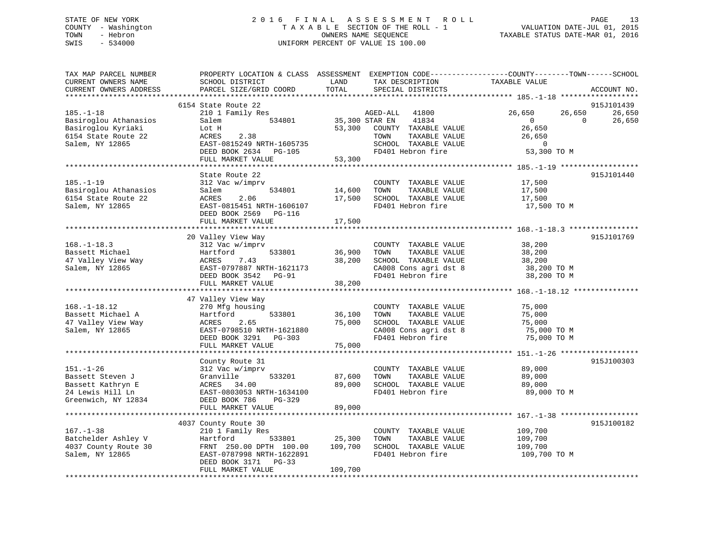## STATE OF NEW YORK 2 0 1 6 F I N A L A S S E S S M E N T R O L L PAGE 13 COUNTY - Washington T A X A B L E SECTION OF THE ROLL - 1 VALUATION DATE-JUL 01, 2015 TOWN - Hebron OWNERS NAME SEQUENCE TAXABLE STATUS DATE-MAR 01, 2016 SWIS - 534000 UNIFORM PERCENT OF VALUE IS 100.00

| TAX MAP PARCEL NUMBER<br>CURRENT OWNERS NAME<br>CURRENT OWNERS ADDRESS                                   | PROPERTY LOCATION & CLASS ASSESSMENT<br>SCHOOL DISTRICT<br>PARCEL SIZE/GRID COORD                                                                               | LAND<br>TOTAL                      | EXEMPTION CODE-----------------COUNTY-------TOWN------SCHOOL<br>TAX DESCRIPTION<br>SPECIAL DISTRICTS                     | TAXABLE VALUE                                                                              | ACCOUNT NO.                    |
|----------------------------------------------------------------------------------------------------------|-----------------------------------------------------------------------------------------------------------------------------------------------------------------|------------------------------------|--------------------------------------------------------------------------------------------------------------------------|--------------------------------------------------------------------------------------------|--------------------------------|
| *************************                                                                                |                                                                                                                                                                 |                                    |                                                                                                                          |                                                                                            |                                |
| $185. - 1 - 18$<br>Basiroglou Athanasios<br>Basiroglou Kyriaki<br>6154 State Route 22<br>Salem, NY 12865 | 6154 State Route 22<br>210 1 Family Res<br>534801<br>Salem<br>Lot H<br>2.38<br>ACRES<br>EAST-0815249 NRTH-1605735<br>DEED BOOK 2634 PG-105<br>FULL MARKET VALUE | 35,300 STAR EN<br>53,300<br>53,300 | AGED-ALL<br>41800<br>41834<br>COUNTY TAXABLE VALUE<br>TAXABLE VALUE<br>TOWN<br>SCHOOL TAXABLE VALUE<br>FD401 Hebron fire | 26,650<br>26,650<br>$\Omega$<br>$\Omega$<br>26,650<br>26,650<br>$\mathbf 0$<br>53,300 TO M | 915J101439<br>26,650<br>26,650 |
|                                                                                                          |                                                                                                                                                                 |                                    |                                                                                                                          |                                                                                            |                                |
| $185. - 1 - 19$<br>Basiroglou Athanasios<br>6154 State Route 22<br>Salem, NY 12865                       | State Route 22<br>312 Vac w/imprv<br>534801<br>Salem<br>2.06<br>ACRES<br>EAST-0815451 NRTH-1606107<br>DEED BOOK 2569 PG-116<br>FULL MARKET VALUE                | 14,600<br>17,500<br>17,500         | COUNTY TAXABLE VALUE<br>TOWN<br>TAXABLE VALUE<br>SCHOOL TAXABLE VALUE<br>FD401 Hebron fire                               | 17,500<br>17,500<br>17,500<br>17,500 TO M                                                  | 915J101440                     |
|                                                                                                          |                                                                                                                                                                 |                                    |                                                                                                                          |                                                                                            |                                |
| $168. - 1 - 18.3$<br>Bassett Michael<br>47 Valley View Way<br>Salem, NY 12865                            | 20 Valley View Way<br>312 Vac w/imprv<br>Hartford<br>533801<br>ACRES<br>7.43<br>EAST-0797887 NRTH-1621173<br>DEED BOOK 3542<br>PG-91                            | 36,900<br>38,200                   | COUNTY TAXABLE VALUE<br>TOWN<br>TAXABLE VALUE<br>SCHOOL TAXABLE VALUE<br>CA008 Cons agri dst 8<br>FD401 Hebron fire      | 38,200<br>38,200<br>38,200<br>38,200 TO M<br>38,200 TO M                                   | 915J101769                     |
|                                                                                                          | FULL MARKET VALUE                                                                                                                                               | 38,200                             |                                                                                                                          |                                                                                            |                                |
| $168. - 1 - 18.12$<br>Bassett Michael A<br>47 Valley View Way<br>Salem, NY 12865                         | 47 Valley View Way<br>270 Mfg housing<br>Hartford<br>533801<br>ACRES<br>2.65<br>EAST-0798510 NRTH-1621880<br>DEED BOOK 3291 PG-303<br>FULL MARKET VALUE         | 36,100<br>75,000<br>75,000         | COUNTY TAXABLE VALUE<br>TOWN<br>TAXABLE VALUE<br>SCHOOL TAXABLE VALUE<br>CA008 Cons agri dst 8<br>FD401 Hebron fire      | 75,000<br>75,000<br>75,000<br>75,000 TO M<br>75,000 TO M                                   |                                |
|                                                                                                          |                                                                                                                                                                 |                                    |                                                                                                                          |                                                                                            |                                |
| $151. - 1 - 26$<br>Bassett Steven J<br>Bassett Kathryn E<br>24 Lewis Hill Ln<br>Greenwich, NY 12834      | County Route 31<br>312 Vac w/imprv<br>Granville<br>533201<br>ACRES 34.00<br>EAST-0803053 NRTH-1634100<br>DEED BOOK 786<br>$PG-329$                              | 87,600<br>89,000                   | COUNTY TAXABLE VALUE<br>TAXABLE VALUE<br>TOWN<br>SCHOOL TAXABLE VALUE<br>FD401 Hebron fire                               | 89,000<br>89,000<br>89,000<br>89,000 TO M                                                  | 915J100303                     |
|                                                                                                          | FULL MARKET VALUE                                                                                                                                               | 89,000                             |                                                                                                                          |                                                                                            |                                |
| $167. - 1 - 38$                                                                                          | 4037 County Route 30<br>210 1 Family Res                                                                                                                        |                                    | COUNTY TAXABLE VALUE                                                                                                     | 109,700                                                                                    | 915J100182                     |
| Batchelder Ashley V<br>4037 County Route 30<br>Salem, NY 12865                                           | Hartford<br>533801<br>FRNT 250.00 DPTH 100.00<br>EAST-0787998 NRTH-1622891<br>DEED BOOK 3171<br>$PG-33$                                                         | 25,300<br>109,700                  | TOWN<br>TAXABLE VALUE<br>SCHOOL TAXABLE VALUE<br>FD401 Hebron fire                                                       | 109,700<br>109,700<br>109,700 TO M                                                         |                                |
|                                                                                                          | FULL MARKET VALUE                                                                                                                                               | 109,700                            |                                                                                                                          |                                                                                            |                                |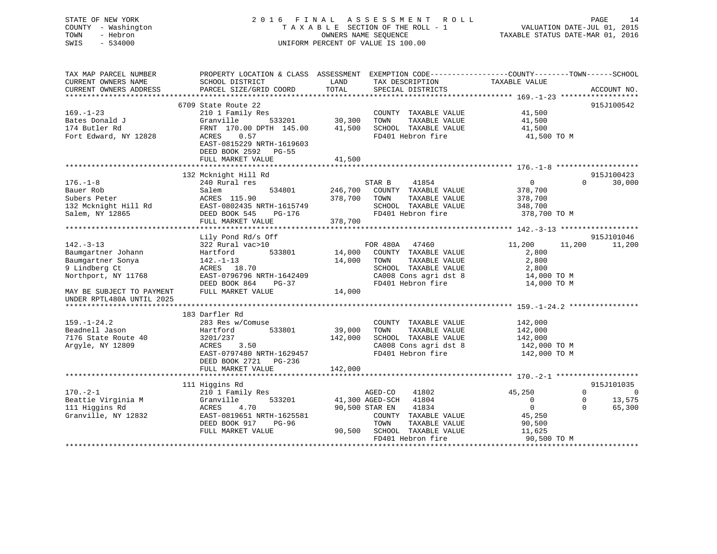| STATE OF NEW YORK<br>COUNTY - Washington<br>- Hebron<br>TOWN<br>SWIS<br>$-534000$                  |                                                                                                                                                                                                   |                              | 2016 FINAL ASSESSMENT ROLL<br>TAXABLE SECTION OF THE ROLL - 1<br>OWNERS NAME SEQUENCE<br>UNIFORM PERCENT OF VALUE IS 100.00                           | VALUATION DATE-JUL 01, 2015<br>TAXABLE STATUS DATE-MAR 01, 2016             | PAGE<br>14                                         |
|----------------------------------------------------------------------------------------------------|---------------------------------------------------------------------------------------------------------------------------------------------------------------------------------------------------|------------------------------|-------------------------------------------------------------------------------------------------------------------------------------------------------|-----------------------------------------------------------------------------|----------------------------------------------------|
| TAX MAP PARCEL NUMBER<br>CURRENT OWNERS NAME<br>CURRENT OWNERS ADDRESS<br>***********************  | PROPERTY LOCATION & CLASS ASSESSMENT EXEMPTION CODE----------------COUNTY-------TOWN------SCHOOL<br>SCHOOL DISTRICT<br>PARCEL SIZE/GRID COORD                                                     | LAND<br>TOTAL                | TAX DESCRIPTION TAXABLE VALUE<br>SPECIAL DISTRICTS                                                                                                    |                                                                             | ACCOUNT NO.                                        |
| $169. - 1 - 23$<br>Bates Donald J<br>174 Butler Rd<br>Fort Edward, NY 12828                        | 6709 State Route 22<br>210 1 Family Res<br>Granville<br>533201<br>TH 145.00<br>FRNT 170.00 DPTH 145.00<br>ACRES<br>0.57<br>EAST-0815229 NRTH-1619603<br>DEED BOOK 2592 PG-55<br>FULL MARKET VALUE | 30,300<br>41,500             | COUNTY TAXABLE VALUE<br>TOWN<br>TAXABLE VALUE<br>41,500 SCHOOL TAXABLE VALUE<br>FD401 Hebron fire                                                     | 41,500<br>41,500<br>41,500<br>41,500 TO M                                   | 915J100542                                         |
|                                                                                                    |                                                                                                                                                                                                   |                              |                                                                                                                                                       |                                                                             |                                                    |
| $176. - 1 - 8$<br>Bauer Rob<br>Subers Peter<br>132 Mcknight Hill Rd<br>Salem, NY 12865             | 132 Mcknight Hill Rd<br>240 Rural res<br>534801<br>Salem<br>ACRES 115.90<br>EAST-0802435 NRTH-1615749<br>DEED BOOK 545<br>PG-176                                                                  | 246,700<br>378,700           | STAR B<br>41854<br>COUNTY TAXABLE VALUE<br>TOWN<br>TAXABLE VALUE<br>SCHOOL TAXABLE VALUE<br>FD401 Hebron fire                                         | $\overline{0}$<br>378,700<br>378,700<br>348,700<br>378,700 TO M             | 915J100423<br>$\Omega$<br>30,000                   |
|                                                                                                    | FULL MARKET VALUE                                                                                                                                                                                 | 378,700                      |                                                                                                                                                       |                                                                             |                                                    |
|                                                                                                    |                                                                                                                                                                                                   |                              |                                                                                                                                                       |                                                                             | 915J101046                                         |
| $142. - 3 - 13$<br>Baumgartner Johann<br>Baumgartner Sonya<br>9 Lindberg Ct<br>Northport, NY 11768 | Lily Pond Rd/s Off<br>322 Rural vac>10<br>Hartford<br>533801<br>$142. - 1 - 13$<br>ACRES 18.70<br>EAST-0796796 NRTH-1642409<br>DEED BOOK 864 PG-37                                                | 14,000<br>14,000             | FOR 480A 47460<br>COUNTY TAXABLE VALUE<br>TAXABLE VALUE<br>TOWN<br>SCHOOL TAXABLE VALUE<br>CA008 Cons agri dst 8<br>FD401 Hebron fire                 | 11,200<br>2,800<br>2,800<br>2,800<br>14,000 TO M<br>14,000 TO M             | 11,200<br>11,200                                   |
| MAY BE SUBJECT TO PAYMENT<br>UNDER RPTL480A UNTIL 2025                                             | FULL MARKET VALUE                                                                                                                                                                                 | 14,000                       |                                                                                                                                                       |                                                                             |                                                    |
| $159. - 1 - 24.2$<br>Beadnell Jason<br>7176 State Route 40<br>Argyle, NY 12809                     | 183 Darfler Rd<br>283 Res w/Comuse<br>533801<br>Hartford<br>3201/237<br>ACRES<br>3.50<br>EAST-0797480 NRTH-1629457<br>DEED BOOK 2721 PG-236<br>FULL MARKET VALUE                                  | 39,000<br>142,000<br>142,000 | COUNTY TAXABLE VALUE<br>TOWN<br>TAXABLE VALUE<br>SCHOOL TAXABLE VALUE<br>CA008 Cons agri dst 8<br>FD401 Hebron fire                                   | 142,000<br>142,000<br>142,000<br>142,000 TO M<br>142,000 TO M               |                                                    |
|                                                                                                    |                                                                                                                                                                                                   |                              |                                                                                                                                                       |                                                                             |                                                    |
| $170. - 2 - 1$                                                                                     | 111 Higgins Rd<br>210 1 Family Res                                                                                                                                                                |                              | AGED-CO<br>41802                                                                                                                                      | 45,250                                                                      | 915J101035<br>$\Omega$<br>$\overline{\phantom{0}}$ |
| Beattie Virginia M<br>111 Higgins Rd<br>Granville, NY 12832                                        | Granville<br>533201<br>ACRES<br>4.70<br>EAST-0819651 NRTH-1625581<br>DEED BOOK 917 PG-96<br>FULL MARKET VALUE                                                                                     |                              | 41,300 AGED-SCH 41804<br>90,500 STAR EN<br>41834<br>COUNTY TAXABLE VALUE<br>TOWN<br>TAXABLE VALUE<br>90,500 SCHOOL TAXABLE VALUE<br>FD401 Hebron fire | $\overline{0}$<br>$\mathbf{0}$<br>45,250<br>90,500<br>11,625<br>90,500 TO M | $\mathbf{0}$<br>13,575<br>65,300<br>$\Omega$       |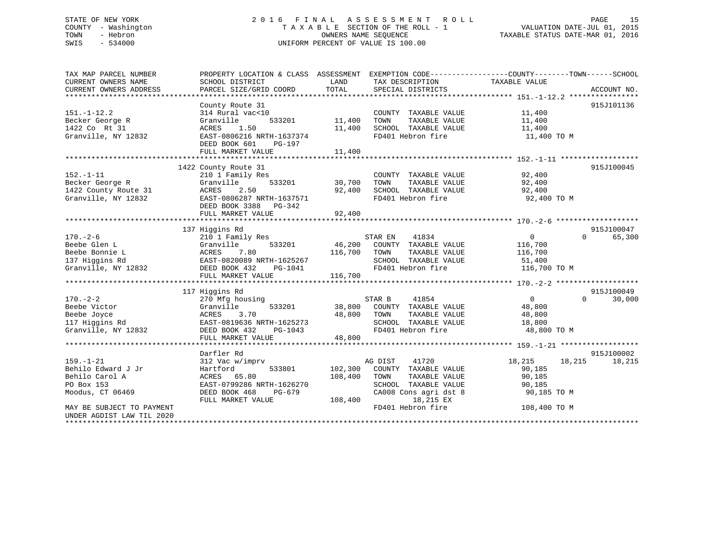## STATE OF NEW YORK 2 0 1 6 F I N A L A S S E S S M E N T R O L L PAGE 15 COUNTY - Washington T A X A B L E SECTION OF THE ROLL - 1 VALUATION DATE-JUL 01, 2015 TOWN - Hebron OWNERS NAME SEQUENCE TAXABLE STATUS DATE-MAR 01, 2016 SWIS - 534000 UNIFORM PERCENT OF VALUE IS 100.00

| TAX MAP PARCEL NUMBER<br>CURRENT OWNERS NAME<br>CURRENT OWNERS ADDRESS | PROPERTY LOCATION & CLASS ASSESSMENT EXEMPTION CODE---------------COUNTY-------TOWN-----SCHOOL<br>SCHOOL DISTRICT<br>PARCEL SIZE/GRID COORD | LAND<br>TOTAL | TAX DESCRIPTION<br>SPECIAL DISTRICTS                  | TAXABLE VALUE    | ACCOUNT NO.        |
|------------------------------------------------------------------------|---------------------------------------------------------------------------------------------------------------------------------------------|---------------|-------------------------------------------------------|------------------|--------------------|
|                                                                        |                                                                                                                                             |               |                                                       |                  |                    |
|                                                                        | County Route 31                                                                                                                             |               |                                                       |                  | 915J101136         |
| $151. - 1 - 12.2$                                                      | 314 Rural vac<10                                                                                                                            |               | COUNTY TAXABLE VALUE                                  | 11,400           |                    |
| Becker George R                                                        | 533201<br>Granville                                                                                                                         | 11,400        | TAXABLE VALUE<br>TOWN                                 | 11,400           |                    |
| 1422 Co Rt 31                                                          | 1.50<br>ACRES                                                                                                                               | 11,400        | SCHOOL TAXABLE VALUE                                  | 11,400           |                    |
| Granville, NY 12832                                                    | EAST-0806216 NRTH-1637374                                                                                                                   |               | FD401 Hebron fire                                     | 11,400 TO M      |                    |
|                                                                        | DEED BOOK 601<br>PG-197                                                                                                                     |               |                                                       |                  |                    |
|                                                                        | FULL MARKET VALUE                                                                                                                           | 11,400        |                                                       |                  |                    |
|                                                                        |                                                                                                                                             |               |                                                       |                  |                    |
|                                                                        | 1422 County Route 31                                                                                                                        |               |                                                       |                  | 915J100045         |
| $152. - 1 - 11$                                                        | 210 1 Family Res                                                                                                                            |               | COUNTY TAXABLE VALUE 92,400                           |                  |                    |
| Becker George R                                                        | 533201<br>Granville                                                                                                                         | 30,700        | TAXABLE VALUE<br>TOWN                                 | 92,400<br>92.400 |                    |
| Becker George R<br>1422 County Route 31                                | ACRES<br>2.50                                                                                                                               | 92,400        | TOWN       TAXABLE  VALUE<br>SCHOOL    TAXABLE  VALUE | 92,400           |                    |
| Granville, NY 12832                                                    | EAST-0806287 NRTH-1637571                                                                                                                   |               | FD401 Hebron fire                                     | 92,400 TO M      |                    |
|                                                                        | DEED BOOK 3388 PG-342                                                                                                                       |               |                                                       |                  |                    |
|                                                                        | FULL MARKET VALUE                                                                                                                           | 92,400        |                                                       |                  |                    |
|                                                                        |                                                                                                                                             |               |                                                       |                  |                    |
|                                                                        | 137 Higgins Rd                                                                                                                              |               |                                                       |                  | 915J100047         |
| $170. - 2 - 6$                                                         | 210 1 Family Res                                                                                                                            |               | STAR EN<br>41834                                      | $\overline{0}$   | $\Omega$<br>65,300 |
| Beebe Glen L                                                           | Granville<br>533201                                                                                                                         |               | 46,200 COUNTY TAXABLE VALUE                           | 116,700          |                    |
| Beebe Bonnie L                                                         | 7.80<br>ACRES                                                                                                                               | 116,700       | TAXABLE VALUE<br>TOWN                                 | 116,700          |                    |
| 137 Higgins Rd                                                         | EAST-0820089 NRTH-1625267                                                                                                                   |               | SCHOOL TAXABLE VALUE                                  | 51,400           |                    |
| Granville, NY 12832                                                    | DEED BOOK 432<br>PG-1041                                                                                                                    |               | FD401 Hebron fire                                     | 116,700 TO M     |                    |
|                                                                        | FULL MARKET VALUE                                                                                                                           | 116,700       |                                                       |                  |                    |
|                                                                        |                                                                                                                                             |               |                                                       |                  |                    |
|                                                                        | 117 Higgins Rd                                                                                                                              |               |                                                       |                  | 915J100049         |
| $170. - 2 - 2$                                                         | 270 Mfg housing                                                                                                                             |               | 41854<br>STAR B                                       | $\overline{0}$   | $\Omega$<br>30,000 |
| Beebe Victor                                                           | 533201<br>Granville                                                                                                                         |               | 38,800 COUNTY TAXABLE VALUE                           | 48,800           |                    |
| Beebe Joyce                                                            | ACRES<br>3.70                                                                                                                               | 48,800 TOWN   | TAXABLE VALUE                                         | 48,800           |                    |
| 117 Higgins Rd                                                         | EAST-0819636 NRTH-1625273                                                                                                                   |               | SCHOOL TAXABLE VALUE                                  | 18,800           |                    |
| Granville, NY 12832                                                    | DEED BOOK 432<br>PG-1043                                                                                                                    |               | FD401 Hebron fire                                     | 48,800 TO M      |                    |
|                                                                        | FULL MARKET VALUE                                                                                                                           | 48,800        |                                                       |                  |                    |
|                                                                        |                                                                                                                                             |               |                                                       |                  | 915J100002         |
| $159. - 1 - 21$                                                        | Darfler Rd<br>312 Vac w/imprv                                                                                                               |               | AG DIST<br>41720                                      |                  |                    |
|                                                                        |                                                                                                                                             |               |                                                       | 18,215<br>18,215 | 18,215             |
| Behilo Edward J Jr                                                     | Hartford<br>533801                                                                                                                          | 102,300       | COUNTY TAXABLE VALUE                                  | 90,185           |                    |
| Behilo Carol A<br>PO Box 153                                           | ACRES 65.80<br>EAST-0799286 NRTH-1626270                                                                                                    | 108,400       | TAXABLE VALUE<br>TOWN<br>SCHOOL TAXABLE VALUE         | 90,185<br>90,185 |                    |
|                                                                        | DEED BOOK 468                                                                                                                               |               |                                                       |                  |                    |
| Moodus, CT 06469                                                       | PG-679                                                                                                                                      |               | CA008 Cons agri dst 8                                 | 90,185 TO M      |                    |
|                                                                        | FULL MARKET VALUE                                                                                                                           | 108,400       | 18,215 EX<br>FD401 Hebron fire                        |                  |                    |
| MAY BE SUBJECT TO PAYMENT<br>UNDER AGDIST LAW TIL 2020                 |                                                                                                                                             |               |                                                       | 108,400 TO M     |                    |
|                                                                        |                                                                                                                                             |               |                                                       |                  |                    |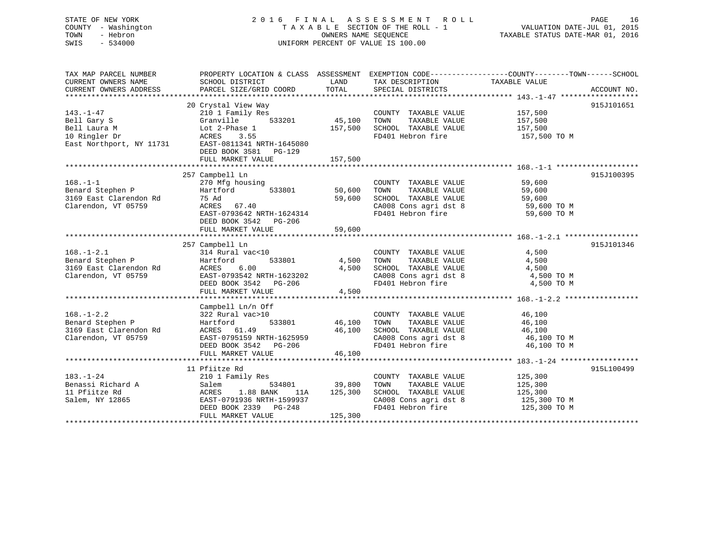## STATE OF NEW YORK 2 0 1 6 F I N A L A S S E S S M E N T R O L L PAGE 16 COUNTY - Washington T A X A B L E SECTION OF THE ROLL - 1 VALUATION DATE-JUL 01, 2015 TOWN - Hebron OWNERS NAME SEQUENCE TAXABLE STATUS DATE-MAR 01, 2016 SWIS - 534000 UNIFORM PERCENT OF VALUE IS 100.00

| TAX MAP PARCEL NUMBER<br>CURRENT OWNERS NAME<br>CURRENT OWNERS ADDRESS                | SCHOOL DISTRICT<br>PARCEL SIZE/GRID COORD                                                                                                                    | LAND<br>TOTAL                     | TAX DESCRIPTION TAXABLE VALUE<br>SPECIAL DISTRICTS                                                                                       | PROPERTY LOCATION & CLASS ASSESSMENT EXEMPTION CODE----------------COUNTY-------TOWN-----SCHOOL<br>ACCOUNT NO. |
|---------------------------------------------------------------------------------------|--------------------------------------------------------------------------------------------------------------------------------------------------------------|-----------------------------------|------------------------------------------------------------------------------------------------------------------------------------------|----------------------------------------------------------------------------------------------------------------|
| 143.-1-47<br>Bell Gary S<br>Bell Laura M<br>10 Ringler Dr<br>East Northport, NY 11731 | 20 Crystal View Way<br>210 1 Family Res<br>533201<br>Granville<br>Lot 2-Phase 1<br>ACRES<br>3.55<br>EAST-0811341 NRTH-1645080<br>DEED BOOK 3581 PG-129       | 45,100<br>157,500                 | COUNTY TAXABLE VALUE<br>TOWN<br>TAXABLE VALUE<br>SCHOOL TAXABLE VALUE<br>FD401 Hebron fire                                               | 915J101651<br>157,500<br>157,500<br>157,500<br>157,500 TO M                                                    |
|                                                                                       | FULL MARKET VALUE                                                                                                                                            | 157,500                           |                                                                                                                                          |                                                                                                                |
| $168. - 1 - 1$<br>Benard Stephen P<br>3169 East Clarendon Rd<br>Clarendon, VT 05759   | 257 Campbell Ln<br>270 Mfg housing<br>533801<br>Hartford<br>75 Ad<br>ACRES 67.40<br>EAST-0793642 NRTH-1624314<br>DEED BOOK 3542<br>PG-206                    | 50,600<br>59,600                  | COUNTY TAXABLE VALUE<br>TAXABLE VALUE<br>TOWN<br>SCHOOL TAXABLE VALUE<br>CA008 Cons agri dst 8<br>- 101 Tebron fire<br>FD401 Hebron fire | 915J100395<br>59,600<br>59,600<br>59,600<br>59,600 TO M<br>59,600 TO M                                         |
|                                                                                       | FULL MARKET VALUE                                                                                                                                            | 59,600                            |                                                                                                                                          |                                                                                                                |
| $168. - 1 - 2.1$<br>Benard Stephen P<br>3169 East Clarendon Rd<br>Clarendon, VT 05759 | 257 Campbell Ln<br>314 Rural vac<10<br>533801<br>Hartford<br>ACRES 6.00<br>EAST-0793542 NRTH-1623202<br>DEED BOOK 3542 PG-206<br>FULL MARKET VALUE           | 4,500<br>4,500<br>4,500           | COUNTY TAXABLE VALUE<br>TOWN<br>TAXABLE VALUE<br>SCHOOL TAXABLE VALUE<br>CA008 Cons agri dst 8<br>FD401 Hebron fire                      | 915J101346<br>4,500<br>4,500<br>4,500<br>4,500 TO M<br>4,500 TO M                                              |
|                                                                                       |                                                                                                                                                              |                                   |                                                                                                                                          |                                                                                                                |
| $168. - 1 - 2.2$<br>Benard Stephen P<br>3169 East Clarendon Rd<br>Clarendon, VT 05759 | Campbell Ln/n Off<br>322 Rural vac>10<br>Hartford<br>ACRES 61.49<br>EAST-0795159 NRTH-1625959<br>DEED BOOK 3542 PG-206<br>FULL MARKET VALUE                  | 533801 46,100<br>46,100<br>46,100 | COUNTY TAXABLE VALUE<br>TAXABLE VALUE<br>TOWN<br>SCHOOL TAXABLE VALUE<br>$CAO08$ Cons agri dst 8<br>FD401 Hebron fire                    | 46,100<br>46,100<br>46,100<br>46,100 TO M<br>46,100 TO M                                                       |
|                                                                                       |                                                                                                                                                              |                                   |                                                                                                                                          |                                                                                                                |
| $183. - 1 - 24$<br>Benassi Richard A<br>11 Pfiitze Rd<br>Salem, NY 12865              | 11 Pfiitze Rd<br>210 1 Family Res<br>Salem<br>534801<br>1.88 BANK<br>ACRES<br>11A<br>EAST-0791936 NRTH-1599937<br>DEED BOOK 2339 PG-248<br>FULL MARKET VALUE | 39,800<br>125,300<br>125,300      | COUNTY TAXABLE VALUE<br>TOWN<br>TAXABLE VALUE<br>SCHOOL TAXABLE VALUE<br>CA008 Cons agri dst 8<br>FD401 Hebron fire                      | 915L100499<br>125,300<br>125,300<br>125,300<br>125,300 TO M<br>125,300 TO M                                    |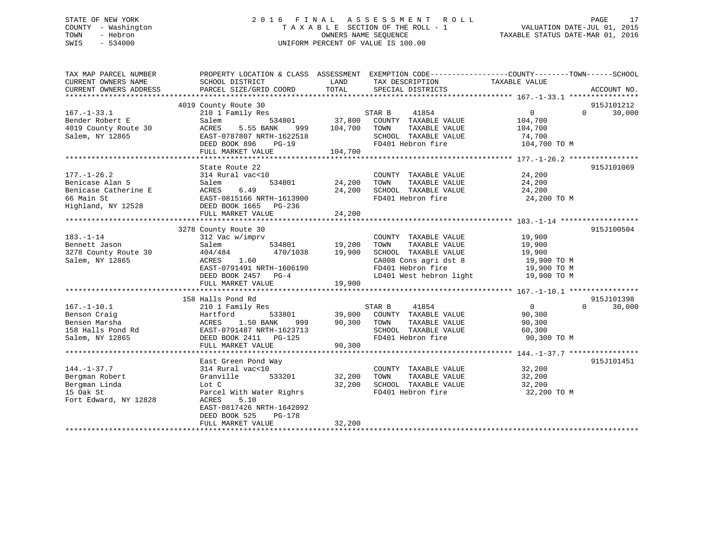## STATE OF NEW YORK 2 0 1 6 F I N A L A S S E S S M E N T R O L L PAGE 17 COUNTY - Washington T A X A B L E SECTION OF THE ROLL - 1 VALUATION DATE-JUL 01, 2015 TOWN - Hebron OWNERS NAME SEQUENCE TAXABLE STATUS DATE-MAR 01, 2016 SWIS - 534000 UNIFORM PERCENT OF VALUE IS 100.00

| TAX MAP PARCEL NUMBER                                                                                                                                                                                                                      | PROPERTY LOCATION & CLASS ASSESSMENT EXEMPTION CODE---------------COUNTY-------TOWN-----SCHOOL                                                          |               |                                                                      |                |                    |
|--------------------------------------------------------------------------------------------------------------------------------------------------------------------------------------------------------------------------------------------|---------------------------------------------------------------------------------------------------------------------------------------------------------|---------------|----------------------------------------------------------------------|----------------|--------------------|
| CURRENT OWNERS NAME                                                                                                                                                                                                                        | SCHOOL DISTRICT                                                                                                                                         | LAND          | TAX DESCRIPTION                                                      | TAXABLE VALUE  |                    |
| CURRENT OWNERS ADDRESS                                                                                                                                                                                                                     | PARCEL SIZE/GRID COORD                                                                                                                                  | TOTAL         | SPECIAL DISTRICTS                                                    |                | ACCOUNT NO.        |
|                                                                                                                                                                                                                                            |                                                                                                                                                         |               |                                                                      |                |                    |
|                                                                                                                                                                                                                                            | 4019 County Route 30<br>210 1 Family Res STAR B 41854                                                                                                   |               |                                                                      |                | 915J101212         |
| $167. - 1 - 33.1$                                                                                                                                                                                                                          |                                                                                                                                                         |               | $\frac{534801}{37,800}$ COUNTY TAXABLE VALUE 104,700                 | $\overline{0}$ | $\Omega$<br>30,000 |
| Bender Robert E                                                                                                                                                                                                                            | Salem                                                                                                                                                   |               |                                                                      |                |                    |
| 4019 County Route 30                                                                                                                                                                                                                       | 5.55 BANK 999 104,700 TOWN<br>ACRES                                                                                                                     |               | TOWN TAXABLE VALUE 104,700<br>SCHOOL TAXABLE VALUE 74,700            |                |                    |
|                                                                                                                                                                                                                                            |                                                                                                                                                         |               |                                                                      |                |                    |
|                                                                                                                                                                                                                                            |                                                                                                                                                         |               |                                                                      |                |                    |
| EAST-0787807 NRTH-1622518 SCHOOL TAXABLE VALUE 74,700<br>DEED BOOK 896 PG-19 FD401 Hebron fire 104,700 TO M<br>FULL MARKET VALUE 104,700<br>FULL MARKET VALUE 104,700                                                                      |                                                                                                                                                         |               |                                                                      |                |                    |
|                                                                                                                                                                                                                                            |                                                                                                                                                         |               |                                                                      |                |                    |
|                                                                                                                                                                                                                                            | State Route 22                                                                                                                                          |               |                                                                      |                | 915J101069         |
| $177. - 1 - 26.2$                                                                                                                                                                                                                          | 314 Rural vac<10                                                                                                                                        |               | COUNTY TAXABLE VALUE 24,200                                          |                |                    |
|                                                                                                                                                                                                                                            |                                                                                                                                                         | 534801 24,200 | TAXABLE VALUE 24,200<br>TOWN                                         |                |                    |
|                                                                                                                                                                                                                                            |                                                                                                                                                         | 24,200        | SCHOOL TAXABLE VALUE $24,200$<br>FD401 Hebron fire $24,200$ TO M     |                |                    |
|                                                                                                                                                                                                                                            |                                                                                                                                                         |               |                                                                      |                |                    |
| Benicase Alan S<br>Benicase Catherine E<br>66 Main St<br>Highland, NY 12528<br>The Contract Contract Contract CAST-0815166 NRTH-1613900<br>Highland, NY 12528<br>The Contract Contract Contract Contract Contract Contract Contract Contra |                                                                                                                                                         |               |                                                                      |                |                    |
|                                                                                                                                                                                                                                            | FULL MARKET VALUE                                                                                                                                       | 24,200        |                                                                      |                |                    |
|                                                                                                                                                                                                                                            |                                                                                                                                                         |               |                                                                      |                |                    |
|                                                                                                                                                                                                                                            | 3278 County Route 30                                                                                                                                    |               |                                                                      |                | 915J100504         |
| $183. - 1 - 14$                                                                                                                                                                                                                            | 312 Vac w/imprv                                                                                                                                         |               | COUNTY TAXABLE VALUE 19,900                                          |                |                    |
| Bennett Jason                                                                                                                                                                                                                              | $\begin{tabular}{l l l l l} \texttt{Salem} & \texttt{534801} & \texttt{19,200} \\ \texttt{404/484} & \texttt{470/1038} & \texttt{19,900} \end{tabular}$ |               |                                                                      |                |                    |
| 3278 County Route 30                                                                                                                                                                                                                       |                                                                                                                                                         |               |                                                                      |                |                    |
| Salem, NY 12865                                                                                                                                                                                                                            | ACRES 1.60                                                                                                                                              |               | CA008 Cons agri dst 8 19,900 TO M<br>FD401 Hebron fire 19,900 TO M   |                |                    |
|                                                                                                                                                                                                                                            | EAST-0791491 NRTH-1606190                                                                                                                               |               |                                                                      |                |                    |
|                                                                                                                                                                                                                                            | DEED BOOK 2457 PG-4                                                                                                                                     |               | LD401 West hebron light 19,900 TO M                                  |                |                    |
|                                                                                                                                                                                                                                            | FULL MARKET VALUE                                                                                                                                       | 19,900        |                                                                      |                |                    |
|                                                                                                                                                                                                                                            |                                                                                                                                                         |               |                                                                      |                |                    |
|                                                                                                                                                                                                                                            | 158 Halls Pond Rd                                                                                                                                       |               |                                                                      |                | 915J101398         |
| $167. - 1 - 10.1$                                                                                                                                                                                                                          | nuits roma nu<br>210 1 Family Res                                                                                                                       |               | STAR B 41854                                                         | $\overline{a}$ | 30,000<br>$\Omega$ |
|                                                                                                                                                                                                                                            |                                                                                                                                                         |               |                                                                      |                |                    |
|                                                                                                                                                                                                                                            |                                                                                                                                                         |               |                                                                      |                |                    |
|                                                                                                                                                                                                                                            |                                                                                                                                                         |               |                                                                      |                |                    |
|                                                                                                                                                                                                                                            |                                                                                                                                                         |               | FD401 Hebron fire 90,300 TO M                                        |                |                    |
| For the control of the Hartford and Hartford 533801 39,000 COUNTY TAXABLE VALUE 90,300<br>Bensen Marsha ACRES 1.50 BANK 999 90,300 TOWN TAXABLE VALUE 90,300<br>158 Halls Pond Rd EAST-0791487 NRTH-1623713 SCHOOL TAXABLE VALUE 6         |                                                                                                                                                         |               |                                                                      |                |                    |
|                                                                                                                                                                                                                                            |                                                                                                                                                         |               |                                                                      |                |                    |
|                                                                                                                                                                                                                                            | East Green Pond Way                                                                                                                                     |               |                                                                      |                | 915J101451         |
| $144. - 1 - 37.7$                                                                                                                                                                                                                          | 314 Rural vac<10                                                                                                                                        |               | COUNTY TAXABLE VALUE 32,200                                          |                |                    |
| Bergman Robert                                                                                                                                                                                                                             | 533201 32,200<br>Granville                                                                                                                              |               | TOWN                                                                 |                |                    |
| Bergman Linda                                                                                                                                                                                                                              | Lot C                                                                                                                                                   | 32,200        | TAXABLE VALUE 32,200<br>TAXABLE VALUE 32,200<br>SCHOOL TAXABLE VALUE |                |                    |
| 15 Oak St                                                                                                                                                                                                                                  | Parcel With Water Righrs                                                                                                                                |               | FD401 Hebron fire 32,200 TO M                                        |                |                    |
| Fort Edward, NY 12828                                                                                                                                                                                                                      | 5.10<br>ACRES                                                                                                                                           |               |                                                                      |                |                    |
|                                                                                                                                                                                                                                            | EAST-0817426 NRTH-1642092                                                                                                                               |               |                                                                      |                |                    |
|                                                                                                                                                                                                                                            | DEED BOOK 525<br>PG-178                                                                                                                                 |               |                                                                      |                |                    |
|                                                                                                                                                                                                                                            | FULL MARKET VALUE                                                                                                                                       | 32,200        |                                                                      |                |                    |
|                                                                                                                                                                                                                                            |                                                                                                                                                         |               |                                                                      |                |                    |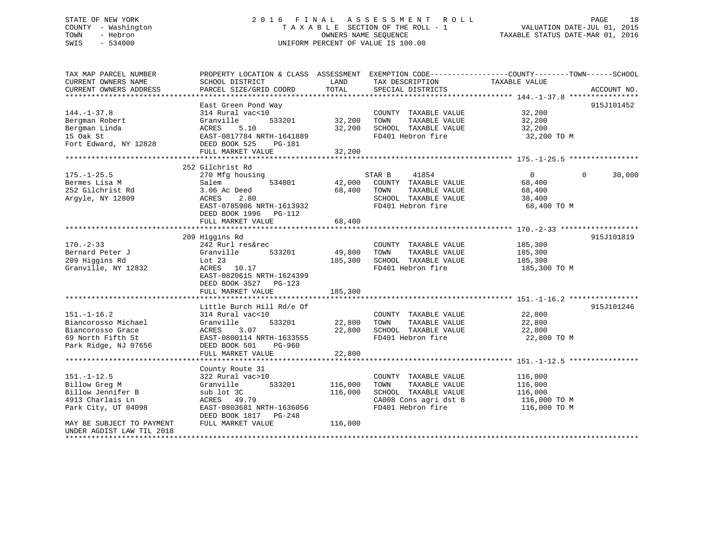## STATE OF NEW YORK 2 0 1 6 F I N A L A S S E S S M E N T R O L L PAGE 18 COUNTY - Washington T A X A B L E SECTION OF THE ROLL - 1 VALUATION DATE-JUL 01, 2015 TOWN - Hebron OWNERS NAME SEQUENCE TAXABLE STATUS DATE-MAR 01, 2016 SWIS - 534000 UNIFORM PERCENT OF VALUE IS 100.00

| TAX MAP PARCEL NUMBER<br>CURRENT OWNERS NAME<br>CURRENT OWNERS ADDRESS                                     | PROPERTY LOCATION & CLASS ASSESSMENT EXEMPTION CODE---------------COUNTY-------TOWN-----SCHOOL<br>SCHOOL DISTRICT<br>PARCEL SIZE/GRID COORD                        | LAND<br>TOTAL                | TAX DESCRIPTION<br>SPECIAL DISTRICTS                                                                                | TAXABLE VALUE                                                 | ACCOUNT NO.        |
|------------------------------------------------------------------------------------------------------------|--------------------------------------------------------------------------------------------------------------------------------------------------------------------|------------------------------|---------------------------------------------------------------------------------------------------------------------|---------------------------------------------------------------|--------------------|
| $144. - 1 - 37.8$<br>Bergman Robert<br>Bergman Linda<br>15 Oak St<br>Fort Edward, NY 12828                 | East Green Pond Way<br>314 Rural vac<10<br>533201<br>Granville<br>ACRES<br>5.10<br>EAST-0817784 NRTH-1641889<br>DEED BOOK 525<br>PG-181<br>FULL MARKET VALUE       | 32,200<br>32,200<br>32,200   | COUNTY TAXABLE VALUE<br>TOWN<br>TAXABLE VALUE<br>SCHOOL TAXABLE VALUE<br>FD401 Hebron fire                          | 32,200<br>32,200<br>32,200<br>32,200 TO M                     | 915J101452         |
| $175. - 1 - 25.5$<br>Bermes Lisa M<br>252 Gilchrist Rd<br>Argyle, NY 12809                                 | 252 Gilchrist Rd<br>270 Mfg housing<br>Salem<br>534801<br>3.06 Ac Deed<br>ACRES<br>2.80<br>EAST-0785906 NRTH-1613932<br>DEED BOOK 1996 PG-112<br>FULL MARKET VALUE | 42,000<br>68,400<br>68,400   | STAR B<br>41854<br>COUNTY TAXABLE VALUE<br>TOWN<br>TAXABLE VALUE<br>SCHOOL TAXABLE VALUE<br>FD401 Hebron fire       | $\overline{0}$<br>68,400<br>68,400<br>38,400<br>68,400 TO M   | 30,000<br>$\Omega$ |
| $170. - 2 - 33$<br>Bernard Peter J<br>209 Higgins Rd<br>Granville, NY 12832                                | 209 Higgins Rd<br>242 Rurl res&rec<br>533201<br>Granville<br>Lot $23$<br>ACRES 10.17<br>EAST-0820615 NRTH-1624399<br>DEED BOOK 3527 PG-123<br>FULL MARKET VALUE    | 49,800<br>185,300<br>185,300 | COUNTY TAXABLE VALUE<br>TAXABLE VALUE<br>TOWN<br>SCHOOL TAXABLE VALUE<br>FD401 Hebron fire                          | 185,300<br>185,300<br>185,300<br>185,300 TO M                 | 915J101819         |
| $151. - 1 - 16.2$<br>Biancorosso Michael<br>Biancorosso Grace<br>69 North Fifth St<br>Park Ridge, NJ 07656 | Little Burch Hill Rd/e Of<br>314 Rural vac<10<br>Granville<br>533201<br>ACRES<br>3.07<br>EAST-0800114 NRTH-1633555<br>DEED BOOK 501<br>PG-960<br>FULL MARKET VALUE | 22,800<br>22,800<br>22,800   | COUNTY TAXABLE VALUE<br>TAXABLE VALUE<br>TOWN<br>SCHOOL TAXABLE VALUE<br>FD401 Hebron fire                          | 22,800<br>22,800<br>22,800<br>22,800 TO M                     | 915J101246         |
| $151. - 1 - 12.5$<br>Billow Greg M<br>Billow Jennifer B<br>4913 Charlais Ln<br>Park City, UT 04098         | County Route 31<br>322 Rural vac>10<br>533201<br>Granville<br>sub lot 3C<br>ACRES 49.79<br>EAST-0803681 NRTH-1636056<br>DEED BOOK 1817 PG-248                      | 116,000<br>116,000           | COUNTY TAXABLE VALUE<br>TOWN<br>TAXABLE VALUE<br>SCHOOL TAXABLE VALUE<br>CA008 Cons agri dst 8<br>FD401 Hebron fire | 116,000<br>116,000<br>116,000<br>116,000 TO M<br>116,000 TO M |                    |
| MAY BE SUBJECT TO PAYMENT<br>UNDER AGDIST LAW TIL 2018<br>**********************                           | FULL MARKET VALUE                                                                                                                                                  | 116,000                      |                                                                                                                     |                                                               |                    |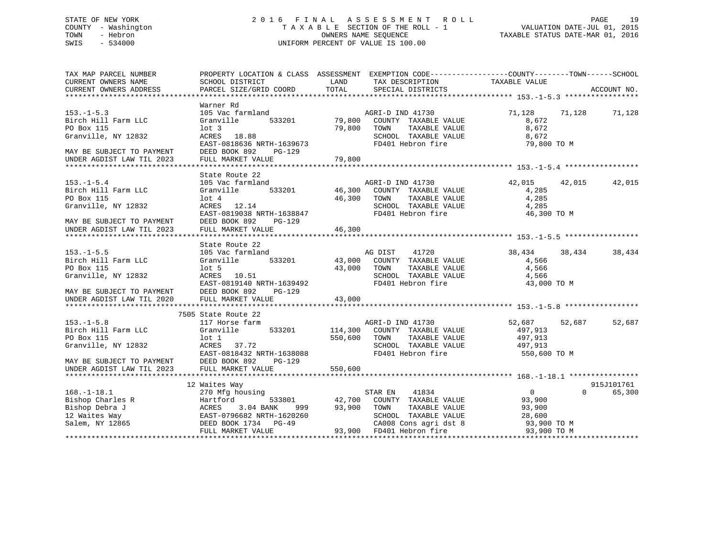## STATE OF NEW YORK 2 0 1 6 F I N A L A S S E S S M E N T R O L L PAGE 19 COUNTY - Washington T A X A B L E SECTION OF THE ROLL - 1 VALUATION DATE-JUL 01, 2015 TOWN - Hebron OWNERS NAME SEQUENCE TAXABLE STATUS DATE-MAR 01, 2016 SWIS - 534000 UNIFORM PERCENT OF VALUE IS 100.00

| TAX MAP PARCEL NUMBER                                                                                                                                                            |                                                                               | PROPERTY LOCATION & CLASS ASSESSMENT EXEMPTION CODE---------------COUNTY-------TOWN-----SCHOOL                                                                                           |                            |            |
|----------------------------------------------------------------------------------------------------------------------------------------------------------------------------------|-------------------------------------------------------------------------------|------------------------------------------------------------------------------------------------------------------------------------------------------------------------------------------|----------------------------|------------|
| CURRENT OWNERS NAME                                                                                                                                                              | SCHOOL DISTRICT                                                               | <b>LAND</b><br>TAX DESCRIPTION TAXABLE VALUE                                                                                                                                             |                            |            |
|                                                                                                                                                                                  |                                                                               | CORRENT OWNERS NATE: SCROOL DISTRICT AND THE TAX DESCRIPTION TRANSFERENT ON THE RESERVE ACCOUNT NO.<br>CURRENT OWNERS ADDRESS PARCEL SIZE/GRID COORD TOTAL SPECIAL DISTRICTS ACCOUNT NO. |                            |            |
|                                                                                                                                                                                  |                                                                               |                                                                                                                                                                                          |                            |            |
|                                                                                                                                                                                  | Warner Rd                                                                     |                                                                                                                                                                                          |                            |            |
| $153. - 1 - 5.3$                                                                                                                                                                 | 105 Vac farmland                                                              | AGRI-D IND 41730                                                                                                                                                                         | 71,128<br>71,128           | 71,128     |
| Birch Hill Farm LLC                                                                                                                                                              | $\frac{1}{533201}$ 79,800<br>79,800<br>Granville                              | COUNTY TAXABLE VALUE                                                                                                                                                                     | 8,672                      |            |
| PO Box 115                                                                                                                                                                       | $1$ ot 3                                                                      | TOWN<br>TAXABLE VALUE                                                                                                                                                                    | 8,672                      |            |
| Granville, NY 12832                                                                                                                                                              | ACRES 18.88                                                                   |                                                                                                                                                                                          | 8,672                      |            |
|                                                                                                                                                                                  | EAST-0818636 NRTH-1639673                                                     | TOWN IRANEWS<br>SCHOOL TAXABLE VALUE<br>FD401 Hebron fire                                                                                                                                | 79,800 TO M                |            |
| MAY BE SUBJECT TO PAYMENT                                                                                                                                                        | DEED BOOK 892<br>PG-129                                                       |                                                                                                                                                                                          |                            |            |
| MAY BE SUBJECT TO PAYMENT<br>UNDER AGDIST LAW TIL 2023                                                                                                                           |                                                                               |                                                                                                                                                                                          |                            |            |
|                                                                                                                                                                                  |                                                                               |                                                                                                                                                                                          |                            |            |
|                                                                                                                                                                                  |                                                                               |                                                                                                                                                                                          |                            |            |
|                                                                                                                                                                                  | State Route 22                                                                |                                                                                                                                                                                          |                            |            |
| $153. - 1 - 5.4$                                                                                                                                                                 | 105 Vac farmland<br>$\begin{array}{r} \text{cmland} \\ 533201 \end{array}$ AC | AGRI-D IND 41730                                                                                                                                                                         | 42,015<br>42,015           | 42,015     |
| Birch Hill Farm LLC                                                                                                                                                              | Granville                                                                     | COUNTY TAXABLE VALUE                                                                                                                                                                     | 4,285                      |            |
| PO Box 115                                                                                                                                                                       | $1$ ot $4$<br>$10t$ 4<br>ACRES $12.14$                                        | 46,300 TOWN<br>TAXABLE VALUE                                                                                                                                                             | 4,285                      |            |
| Granville, NY 12832                                                                                                                                                              |                                                                               |                                                                                                                                                                                          | 4,285                      |            |
|                                                                                                                                                                                  | ACRES 12.14<br>EAST-0819038 NRTH-1638847                                      | SCHOOL TAXABLE VALUE<br>FD401 Hebron fire<br>FD401 Hebron fire                                                                                                                           | 46,300 TO M                |            |
| MAY BE SUBJECT TO PAYMENT                                                                                                                                                        | DEED BOOK 892<br>PG-129                                                       |                                                                                                                                                                                          |                            |            |
|                                                                                                                                                                                  |                                                                               |                                                                                                                                                                                          |                            |            |
|                                                                                                                                                                                  |                                                                               |                                                                                                                                                                                          |                            |            |
|                                                                                                                                                                                  | State Route 22                                                                |                                                                                                                                                                                          |                            |            |
| $153. - 1 - 5.5$                                                                                                                                                                 | 105 Vac farmland                                                              | AG DIST<br>41720                                                                                                                                                                         | 38,434<br>38,434           | 38,434     |
| Birch Hill Farm LLC                                                                                                                                                              | Granville                                                                     | 533201 43,000 COUNTY TAXABLE VALUE                                                                                                                                                       | 4,566                      |            |
|                                                                                                                                                                                  |                                                                               | 43,000 TOWN                                                                                                                                                                              |                            |            |
| PO Box 115                                                                                                                                                                       | $1$ ot 5                                                                      | TAXABLE VALUE                                                                                                                                                                            | 4,566                      |            |
| Granville, NY 12832                                                                                                                                                              | ACRES 10.51<br>EAST-0819140 NRTH-1639492                                      | SCHOOL TAXABLE VALUE<br>FD401 Hebron fire                                                                                                                                                | 4,566                      |            |
|                                                                                                                                                                                  |                                                                               | FD401 Hebron fire                                                                                                                                                                        | 43,000 TO M                |            |
|                                                                                                                                                                                  | DEED BOOK 892<br>PG-129                                                       |                                                                                                                                                                                          |                            |            |
| MAY BE SUBJECT TO PAYMENT<br>UNDER AGDIST LAW TIL 2020                                                                                                                           |                                                                               |                                                                                                                                                                                          |                            |            |
|                                                                                                                                                                                  |                                                                               |                                                                                                                                                                                          |                            |            |
|                                                                                                                                                                                  | 7505 State Route 22                                                           |                                                                                                                                                                                          |                            |            |
| $153. - 1 - 5.8$                                                                                                                                                                 | 117 Horse farm                                                                | AGRI-D IND 41730                                                                                                                                                                         | 52,687<br>52,687           | 52,687     |
| Birch Hill Farm LLC                                                                                                                                                              | Granville                                                                     | 533201 114,300 COUNTY TAXABLE VALUE                                                                                                                                                      | 497,913                    |            |
| PO Box 115                                                                                                                                                                       | $1$ ot $1$                                                                    | 550,600 TOWN<br>TAXABLE VALUE                                                                                                                                                            | 497,913                    |            |
| Granville, NY 12832                                                                                                                                                              | ACRES 37.72<br>EAST-0818432 NRTH-1638088                                      | SCHOOL TAXABLE VALUE 497,913                                                                                                                                                             |                            |            |
|                                                                                                                                                                                  |                                                                               | FD401 Hebron fire                                                                                                                                                                        | 550,600 TO M               |            |
|                                                                                                                                                                                  | PG-129                                                                        |                                                                                                                                                                                          |                            |            |
| MAY BE SUBJECT TO PAYMENT DEED BOOK 892<br>UNDER AGDIST LAW TIL 2023 FULL MARKET V                                                                                               |                                                                               |                                                                                                                                                                                          |                            |            |
|                                                                                                                                                                                  |                                                                               |                                                                                                                                                                                          |                            |            |
|                                                                                                                                                                                  |                                                                               |                                                                                                                                                                                          |                            |            |
|                                                                                                                                                                                  | 12 Waites Way                                                                 |                                                                                                                                                                                          |                            | 915J101761 |
|                                                                                                                                                                                  |                                                                               | STAR EN<br>41834                                                                                                                                                                         | $\overline{0}$<br>$\Omega$ | 65,300     |
|                                                                                                                                                                                  |                                                                               | Hartford 533801 42,700 COUNTY TAXABLE VALUE                                                                                                                                              | 93,900                     |            |
|                                                                                                                                                                                  |                                                                               | 999<br>TAXABLE VALUE<br>93,900<br>TOWN                                                                                                                                                   | 93,900                     |            |
|                                                                                                                                                                                  | LOUI V/2000Z NKTH-1620260<br>DEED BOOK 1734 PG-49<br>FIIII MADMER VIIII       |                                                                                                                                                                                          |                            |            |
|                                                                                                                                                                                  |                                                                               |                                                                                                                                                                                          |                            |            |
| All Contract Manusing<br>Bishop Charles R<br>Bishop Debra J<br>12 Waites Way<br>Salem, NY 12865<br>Salem Manusian (1999)<br>DEED BOOK 1734<br>PG-49<br>CHERED BOOK 1734<br>PG-49 |                                                                               | SCHOOL TAXABLE VALUE $28,600$<br>CA008 Cons agri dst 8 93,900 TO M<br>FD401 Hebron fire 93,900 TO M<br>93,900 FD401 Hebron fire                                                          |                            |            |
|                                                                                                                                                                                  |                                                                               |                                                                                                                                                                                          |                            |            |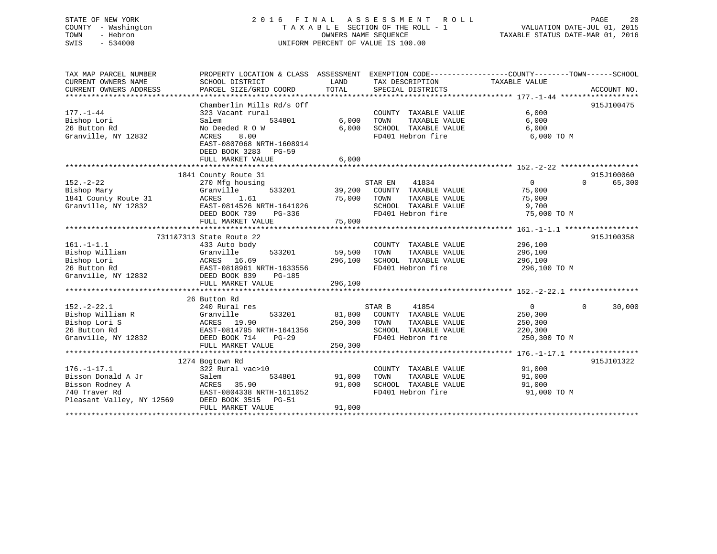## STATE OF NEW YORK 2 0 1 6 F I N A L A S S E S S M E N T R O L L PAGE 20 COUNTY - Washington T A X A B L E SECTION OF THE ROLL - 1 VALUATION DATE-JUL 01, 2015 TOWN - Hebron OWNERS NAME SEQUENCE TAXABLE STATUS DATE-MAR 01, 2016 SWIS - 534000 UNIFORM PERCENT OF VALUE IS 100.00

TAX MAP PARCEL NUMBER PROPERTY LOCATION & CLASS ASSESSMENT EXEMPTION CODE------------------COUNTY--------TOWN------SCHOOL CURRENT OWNERS NAME SCHOOL DISTRICT THE LAND TAX DESCRIPTION TAXABLE VALUE CURRENT OWNERS ADDRESS PARCEL SIZE/GRID COORD TOTAL SPECIAL DISTRICTS ACCOUNT NO. \*\*\*\*\*\*\*\*\*\*\*\*\*\*\*\*\*\*\*\*\*\*\*\*\*\*\*\*\*\*\*\*\*\*\*\*\*\*\*\*\*\*\*\*\*\*\*\*\*\*\*\*\*\*\*\*\*\*\*\*\*\*\*\*\*\*\*\*\*\*\*\*\*\*\*\*\*\*\*\*\*\*\*\*\*\*\*\*\*\*\*\*\*\*\*\*\*\*\*\*\*\*\* 177.-1-44 \*\*\*\*\*\*\*\*\*\*\*\*\*\*\*\*\*\*Chamberlin Mills Rd/s Off 915J100475 177.-1-44 323 Vacant rural COUNTY TAXABLE VALUE 6,000 Bishop Lori Salem 534801 6,000 TOWN TAXABLE VALUE 6,000 26 Button Rd No Deeded R O W 6,000 SCHOOL TAXABLE VALUE 6,000 Granville, NY 12832 ACRES 8.00 FD401 Hebron fire 6,000 TO M EAST-0807068 NRTH-1608914 DEED BOOK 3283 PG-59FULL MARKET VALUE 6,000 \*\*\*\*\*\*\*\*\*\*\*\*\*\*\*\*\*\*\*\*\*\*\*\*\*\*\*\*\*\*\*\*\*\*\*\*\*\*\*\*\*\*\*\*\*\*\*\*\*\*\*\*\*\*\*\*\*\*\*\*\*\*\*\*\*\*\*\*\*\*\*\*\*\*\*\*\*\*\*\*\*\*\*\*\*\*\*\*\*\*\*\*\*\*\*\*\*\*\*\*\*\*\* 152.-2-22 \*\*\*\*\*\*\*\*\*\*\*\*\*\*\*\*\*\*1841 County Route 31 915J100060<br>270 Mfg housing 85,300 STAR EN 91834 90 0 0 65,300 152.-2-22 270 Mfg housing STAR EN 41834 0 0 65,300 Bishop Mary Granville 533201 39,200 COUNTY TAXABLE VALUE 75,000 1841 County Route 31 ACRES 1.61 75,000 TOWN TAXABLE VALUE 75,000 Granville, NY 12832 EAST-0814526 NRTH-1641026 SCHOOL TAXABLE VALUE 9,700 DEED BOOK 739 PG-336 FD401 Hebron fire 75,000 TO M EAST-0814526 NATH 101-1<br>DEED BOOK 739 PG-336<br>- \*\*\*\*\*\*\* 75,000 \*\*\*\*\*\*\*\*\*\*\*\*\*\*\*\*\*\*\*\*\*\*\*\*\*\*\*\*\*\*\*\*\*\*\*\*\*\*\*\*\*\*\*\*\*\*\*\*\*\*\*\*\*\*\*\*\*\*\*\*\*\*\*\*\*\*\*\*\*\*\*\*\*\*\*\*\*\*\*\*\*\*\*\*\*\*\*\*\*\*\*\*\*\*\*\*\*\*\*\*\*\*\* 161.-1-1.1 \*\*\*\*\*\*\*\*\*\*\*\*\*\*\*\*\* 7311&7313 State Route 22 915J100358161.-1-1.1 433 Auto body COUNTY TAXABLE VALUE 296,100 Bishop William Granville 533201 59,500 TOWN TAXABLE VALUE 296,100 Bishop Lori ACRES 16.69 296,100 SCHOOL TAXABLE VALUE 296,100 296,100 Example Prince of MCRES 16.69<br>296,100 EAST-0818961 NRTH-1633556 296,100 ECHOOL TAXABLE VALUE 296,100 TO M<br>26 Button Rd EAST-0818961 NRTH-1633556 FD401 Hebron fire 296,100 TO M<br>396,100 TO M DEED BOOK 839 PG-185 FULL MARKET VALUE 296,100 \*\*\*\*\*\*\*\*\*\*\*\*\*\*\*\*\*\*\*\*\*\*\*\*\*\*\*\*\*\*\*\*\*\*\*\*\*\*\*\*\*\*\*\*\*\*\*\*\*\*\*\*\*\*\*\*\*\*\*\*\*\*\*\*\*\*\*\*\*\*\*\*\*\*\*\*\*\*\*\*\*\*\*\*\*\*\*\*\*\*\*\*\*\*\*\*\*\*\*\*\*\*\* 152.-2-22.1 \*\*\*\*\*\*\*\*\*\*\*\*\*\*\*\* 26 Button Rd240 Rural res 152.-2-22.1 240 Rural res STAR B 41854 0 0 30,000 Bishop William R Granville 533201 81,800 COUNTY TAXABLE VALUE 250,300 Bishop Lori S ACRES 19.90 250,300 TOWN TAXABLE VALUE 250,300 26 Button Rd EAST-0814795 NRTH-1641356 SCHOOL TAXABLE VALUE 220,300 Granville, NY 12832 DEED BOOK 714 PG-29 FD401 Hebron fire 250,300 TO M FULL MARKET VALUE 250,300 \*\*\*\*\*\*\*\*\*\*\*\*\*\*\*\*\*\*\*\*\*\*\*\*\*\*\*\*\*\*\*\*\*\*\*\*\*\*\*\*\*\*\*\*\*\*\*\*\*\*\*\*\*\*\*\*\*\*\*\*\*\*\*\*\*\*\*\*\*\*\*\*\*\*\*\*\*\*\*\*\*\*\*\*\*\*\*\*\*\*\*\*\*\*\*\*\*\*\*\*\*\*\* 176.-1-17.1 \*\*\*\*\*\*\*\*\*\*\*\*\*\*\*\* 1274 Bogtown Rd 915J101322 176.-1-17.1 322 Rural vac>10 COUNTY TAXABLE VALUE 91,000 Bisson Donald A Jr Salem 534801 91,000 TOWN TAXABLE VALUE 91,000 Bisson Rodney A ACRES 35.90 91,000 SCHOOL TAXABLE VALUE 91,000 740 Traver Rd EAST-0804338 NRTH-1611052 FD401 Hebron fire 91,000 TO M Pleasant Valley, NY 12569 DEED BOOK 3515 PG-51 FULL MARKET VALUE 91,000 \*\*\*\*\*\*\*\*\*\*\*\*\*\*\*\*\*\*\*\*\*\*\*\*\*\*\*\*\*\*\*\*\*\*\*\*\*\*\*\*\*\*\*\*\*\*\*\*\*\*\*\*\*\*\*\*\*\*\*\*\*\*\*\*\*\*\*\*\*\*\*\*\*\*\*\*\*\*\*\*\*\*\*\*\*\*\*\*\*\*\*\*\*\*\*\*\*\*\*\*\*\*\*\*\*\*\*\*\*\*\*\*\*\*\*\*\*\*\*\*\*\*\*\*\*\*\*\*\*\*\*\*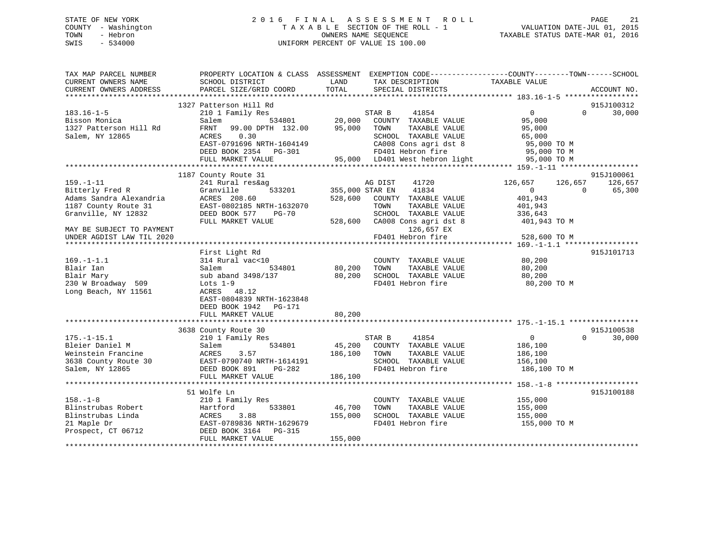## STATE OF NEW YORK 2 0 1 6 F I N A L A S S E S S M E N T R O L L PAGE 21 COUNTY - Washington T A X A B L E SECTION OF THE ROLL - 1 VALUATION DATE-JUL 01, 2015 TOWN - Hebron OWNERS NAME SEQUENCE TAXABLE STATUS DATE-MAR 01, 2016 SWIS - 534000 UNIFORM PERCENT OF VALUE IS 100.00

| TAX MAP PARCEL NUMBER<br>CURRENT OWNERS NAME | SCHOOL DISTRICT                 | LAND    | PROPERTY LOCATION & CLASS ASSESSMENT EXEMPTION CODE---------------COUNTY-------TOWN-----SCHOOL<br>TAX DESCRIPTION | TAXABLE VALUE      |                    |
|----------------------------------------------|---------------------------------|---------|-------------------------------------------------------------------------------------------------------------------|--------------------|--------------------|
| CURRENT OWNERS ADDRESS                       | PARCEL SIZE/GRID COORD          | TOTAL   | SPECIAL DISTRICTS                                                                                                 |                    | ACCOUNT NO.        |
|                                              | 1327 Patterson Hill Rd          |         |                                                                                                                   |                    | 915J100312         |
| $183.16 - 1 - 5$                             | 210 1 Family Res                |         | STAR B<br>41854                                                                                                   | $\mathbf{0}$       | $\Omega$<br>30,000 |
| Bisson Monica                                | Salem<br>534801                 | 20,000  | COUNTY TAXABLE VALUE                                                                                              | 95,000             |                    |
| 1327 Patterson Hill Rd                       | FRNT<br>99.00 DPTH 132.00       | 95,000  | TOWN<br>TAXABLE VALUE                                                                                             | 95,000             |                    |
| Salem, NY 12865                              | 0.30<br>ACRES                   |         | SCHOOL TAXABLE VALUE                                                                                              | 65,000             |                    |
|                                              | EAST-0791696 NRTH-1604149       |         | CA008 Cons agri dst 8                                                                                             | 95,000 TO M        |                    |
|                                              | DEED BOOK 2354<br><b>PG-301</b> |         | FD401 Hebron fire                                                                                                 | 95,000 TO M        |                    |
|                                              | FULL MARKET VALUE               |         | 95,000 LD401 West hebron light                                                                                    | 95,000 TO M        |                    |
|                                              | 1187 County Route 31            |         |                                                                                                                   |                    | 915J100061         |
| $159. - 1 - 11$                              | 241 Rural res&ag                |         | AG DIST<br>41720                                                                                                  | 126,657<br>126,657 | 126,657            |
| Bitterly Fred R                              | Granville<br>533201             |         | 355,000 STAR EN<br>41834                                                                                          | $\overline{0}$     | $\Omega$<br>65,300 |
| Adams Sandra Alexandria                      | ACRES 208.60                    | 528,600 | COUNTY TAXABLE VALUE                                                                                              | 401,943            |                    |
| 1187 County Route 31                         | EAST-0802185 NRTH-1632070       |         | TOWN<br>TAXABLE VALUE                                                                                             | 401,943            |                    |
| Granville, NY 12832                          | DEED BOOK 577<br><b>PG-70</b>   |         | SCHOOL TAXABLE VALUE                                                                                              | 336,643            |                    |
|                                              | FULL MARKET VALUE               | 528,600 | CA008 Cons agri dst 8                                                                                             | 401,943 TO M       |                    |
| MAY BE SUBJECT TO PAYMENT                    |                                 |         | 126,657 EX                                                                                                        |                    |                    |
| UNDER AGDIST LAW TIL 2020                    |                                 |         | FD401 Hebron fire                                                                                                 | 528,600 TO M       |                    |
|                                              |                                 |         |                                                                                                                   |                    |                    |
|                                              | First Light Rd                  |         |                                                                                                                   |                    | 915J101713         |
| $169. - 1 - 1.1$                             | 314 Rural vac<10                |         | COUNTY TAXABLE VALUE                                                                                              | 80,200             |                    |
| Blair Ian                                    | Salem<br>534801                 | 80,200  | TAXABLE VALUE<br>TOWN                                                                                             | 80,200             |                    |
| Blair Mary<br>230 W Broadway 509             | sub aband 3498/137              | 80,200  | SCHOOL TAXABLE VALUE<br>FD401 Hebron fire                                                                         | 80,200             |                    |
| Long Beach, NY 11561                         | Lots $1-9$<br>ACRES<br>48.12    |         |                                                                                                                   | 80,200 TO M        |                    |
|                                              | EAST-0804839 NRTH-1623848       |         |                                                                                                                   |                    |                    |
|                                              | DEED BOOK 1942<br>PG-171        |         |                                                                                                                   |                    |                    |
|                                              | FULL MARKET VALUE               | 80,200  |                                                                                                                   |                    |                    |
|                                              |                                 |         |                                                                                                                   |                    |                    |
|                                              | 3638 County Route 30            |         |                                                                                                                   |                    | 915J100538         |
| $175. - 1 - 15.1$                            | 210 1 Family Res                |         | 41854<br>STAR B                                                                                                   | $\mathbf 0$        | 30,000<br>$\Omega$ |
| Bleier Daniel M                              | 534801<br>Salem                 | 45,200  | COUNTY TAXABLE VALUE                                                                                              | 186,100            |                    |
| Weinstein Francine                           | ACRES<br>3.57                   | 186,100 | TOWN<br>TAXABLE VALUE                                                                                             | 186,100            |                    |
| 3638 County Route 30                         | EAST-0790740 NRTH-1614191       |         | SCHOOL TAXABLE VALUE                                                                                              | 156,100            |                    |
| Salem, NY 12865                              | DEED BOOK 891<br>PG-282         |         | FD401 Hebron fire                                                                                                 | 186,100 TO M       |                    |
|                                              | FULL MARKET VALUE               | 186,100 |                                                                                                                   |                    |                    |
|                                              | 51 Wolfe Ln                     |         |                                                                                                                   |                    | 915J100188         |
| $158. - 1 - 8$                               | 210 1 Family Res                |         | COUNTY TAXABLE VALUE                                                                                              | 155,000            |                    |
| Blinstrubas Robert                           | Hartford<br>533801              | 46,700  | TOWN<br>TAXABLE VALUE                                                                                             | 155,000            |                    |
| Blinstrubas Linda                            | ACRES<br>3.88                   | 155,000 | SCHOOL TAXABLE VALUE                                                                                              | 155,000            |                    |
| 21 Maple Dr                                  | EAST-0789836 NRTH-1629679       |         | FD401 Hebron fire                                                                                                 | 155,000 TO M       |                    |
| Prospect, CT 06712                           | DEED BOOK 3164<br>PG-315        |         |                                                                                                                   |                    |                    |
|                                              | FULL MARKET VALUE               | 155,000 |                                                                                                                   |                    |                    |
|                                              |                                 |         |                                                                                                                   |                    |                    |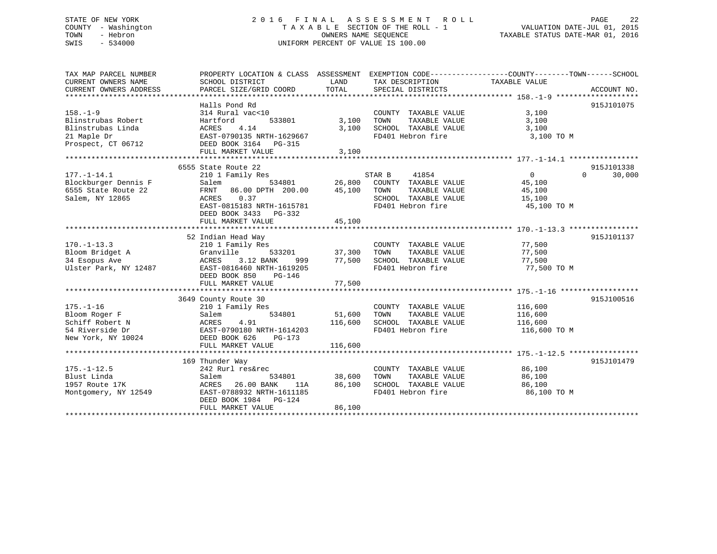## STATE OF NEW YORK 2 0 1 6 F I N A L A S S E S S M E N T R O L L PAGE 22 COUNTY - Washington T A X A B L E SECTION OF THE ROLL - 1 VALUATION DATE-JUL 01, 2015 TOWN - Hebron OWNERS NAME SEQUENCE TAXABLE STATUS DATE-MAR 01, 2016 SWIS - 534000 UNIFORM PERCENT OF VALUE IS 100.00

| TAX MAP PARCEL NUMBER                         | PROPERTY LOCATION & CLASS ASSESSMENT         |               | EXEMPTION CODE----------------COUNTY-------TOWN------SCHOOL |                |                        |
|-----------------------------------------------|----------------------------------------------|---------------|-------------------------------------------------------------|----------------|------------------------|
| CURRENT OWNERS NAME<br>CURRENT OWNERS ADDRESS | SCHOOL DISTRICT<br>PARCEL SIZE/GRID COORD    | LAND<br>TOTAL | TAX DESCRIPTION<br>SPECIAL DISTRICTS                        | TAXABLE VALUE  | ACCOUNT NO.            |
|                                               |                                              |               |                                                             |                |                        |
|                                               | Halls Pond Rd                                |               |                                                             |                | 915J101075             |
| $158. - 1 - 9$                                | 314 Rural vac<10                             |               | COUNTY TAXABLE VALUE                                        | 3,100          |                        |
| Blinstrubas Robert                            | Hartford<br>533801                           | 3,100         | TAXABLE VALUE<br>TOWN                                       | 3,100          |                        |
| Blinstrubas Linda                             | ACRES<br>4.14                                | 3,100         | SCHOOL TAXABLE VALUE                                        | 3,100          |                        |
| 21 Maple Dr                                   | EAST-0790135 NRTH-1629667                    |               | FD401 Hebron fire                                           | 3,100 TO M     |                        |
| Prospect, CT 06712                            | DEED BOOK 3164 PG-315                        |               |                                                             |                |                        |
|                                               | FULL MARKET VALUE                            | 3,100         |                                                             |                |                        |
|                                               |                                              |               |                                                             |                |                        |
| $177. - 1 - 14.1$                             | 6555 State Route 22                          |               | STAR B<br>41854                                             | $\overline{0}$ | 915J101338<br>$\Omega$ |
| Blockburger Dennis F                          | 210 1 Family Res<br>Salem<br>534801          | 26,800        | COUNTY TAXABLE VALUE                                        | 45,100         | 30,000                 |
| 6555 State Route 22                           | FRNT 86.00 DPTH 200.00                       | 45,100        | TAXABLE VALUE<br>TOWN                                       | 45,100         |                        |
| Salem, NY 12865                               | 0.37<br>ACRES                                |               | SCHOOL TAXABLE VALUE                                        | 15,100         |                        |
|                                               | EAST-0815183 NRTH-1615781                    |               | FD401 Hebron fire                                           | 45,100 TO M    |                        |
|                                               | DEED BOOK 3433 PG-332                        |               |                                                             |                |                        |
|                                               | FULL MARKET VALUE                            | 45,100        |                                                             |                |                        |
|                                               |                                              |               |                                                             |                |                        |
|                                               | 52 Indian Head Way                           |               |                                                             |                | 915J101137             |
| $170. - 1 - 13.3$                             | 210 1 Family Res                             |               | COUNTY TAXABLE VALUE                                        | 77,500         |                        |
| Bloom Bridget A                               | Granville<br>533201                          | 37,300        | TOWN<br>TAXABLE VALUE                                       | 77,500         |                        |
| 34 Esopus Ave                                 | 3.12 BANK<br>ACRES<br>999                    | 77,500        | SCHOOL TAXABLE VALUE                                        | 77,500         |                        |
| Ulster Park, NY 12487                         | EAST-0816460 NRTH-1619205                    |               | FD401 Hebron fire                                           | 77,500 TO M    |                        |
|                                               | DEED BOOK 850<br>PG-146                      |               |                                                             |                |                        |
|                                               | FULL MARKET VALUE                            | 77,500        |                                                             |                |                        |
|                                               |                                              |               |                                                             |                |                        |
|                                               | 3649 County Route 30                         |               |                                                             |                | 915J100516             |
| $175. - 1 - 16$                               | 210 1 Family Res                             |               | COUNTY TAXABLE VALUE                                        | 116,600        |                        |
| Bloom Roger F                                 | Salem<br>534801                              | 51,600        | TAXABLE VALUE<br>TOWN                                       | 116,600        |                        |
| Schiff Robert N                               | 4.91<br>ACRES                                | 116,600       | SCHOOL TAXABLE VALUE                                        | 116,600        |                        |
| 54 Riverside Dr                               | EAST-0790180 NRTH-1614203                    |               | FD401 Hebron fire                                           | 116,600 TO M   |                        |
| New York, NY 10024                            | DEED BOOK 626<br>PG-173<br>FULL MARKET VALUE | 116,600       |                                                             |                |                        |
|                                               |                                              |               |                                                             |                |                        |
|                                               | 169 Thunder Way                              |               |                                                             |                | 915J101479             |
| $175. - 1 - 12.5$                             | 242 Rurl res&rec                             |               | COUNTY TAXABLE VALUE                                        | 86,100         |                        |
| Blust Linda                                   | 534801<br>Salem                              | 38,600        | TOWN<br>TAXABLE VALUE                                       | 86,100         |                        |
| 1957 Route 17K                                | ACRES<br>26.00 BANK<br>11A                   | 86,100        | SCHOOL TAXABLE VALUE                                        | 86,100         |                        |
| Montgomery, NY 12549                          | EAST-0788932 NRTH-1611185                    |               | FD401 Hebron fire                                           | 86,100 TO M    |                        |
|                                               | DEED BOOK 1984 PG-124                        |               |                                                             |                |                        |
|                                               | FULL MARKET VALUE                            | 86,100        |                                                             |                |                        |
|                                               |                                              |               |                                                             |                |                        |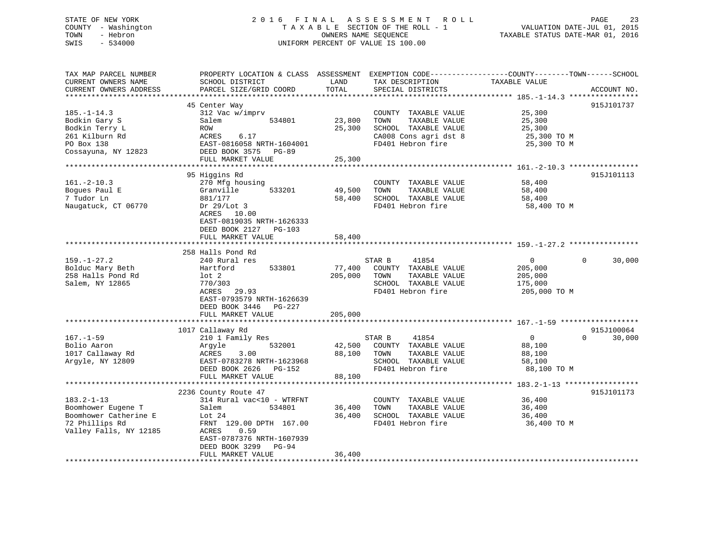## STATE OF NEW YORK 2 0 1 6 F I N A L A S S E S S M E N T R O L L PAGE 23 COUNTY - Washington T A X A B L E SECTION OF THE ROLL - 1 VALUATION DATE-JUL 01, 2015 TOWN - Hebron OWNERS NAME SEQUENCE TAXABLE STATUS DATE-MAR 01, 2016 SWIS - 534000 UNIFORM PERCENT OF VALUE IS 100.00

| TAX MAP PARCEL NUMBER  |                            |         |                       | PROPERTY LOCATION & CLASS ASSESSMENT EXEMPTION CODE---------------COUNTY-------TOWN-----SCHOOL |
|------------------------|----------------------------|---------|-----------------------|------------------------------------------------------------------------------------------------|
| CURRENT OWNERS NAME    | SCHOOL DISTRICT            | LAND    | TAX DESCRIPTION       | TAXABLE VALUE                                                                                  |
| CURRENT OWNERS ADDRESS | PARCEL SIZE/GRID COORD     | TOTAL   | SPECIAL DISTRICTS     | ACCOUNT NO.                                                                                    |
|                        |                            |         |                       | ***************** 185.-1-14.3 *****************                                                |
|                        | 45 Center Way              |         |                       | 915J101737                                                                                     |
| $185. - 1 - 14.3$      | 312 Vac w/imprv            |         | COUNTY TAXABLE VALUE  | 25,300                                                                                         |
| Bodkin Gary S          | 534801<br>Salem            | 23,800  | TOWN<br>TAXABLE VALUE | 25,300                                                                                         |
| Bodkin Terry L         | ROW                        | 25,300  | SCHOOL TAXABLE VALUE  | 25,300                                                                                         |
| 261 Kilburn Rd         | ACRES<br>6.17              |         | CA008 Cons agri dst 8 | 25,300 TO M                                                                                    |
| PO Box 138             | EAST-0816058 NRTH-1604001  |         | FD401 Hebron fire     | 25,300 TO M                                                                                    |
| Cossayuna, NY 12823    | DEED BOOK 3575 PG-89       |         |                       |                                                                                                |
|                        | FULL MARKET VALUE          | 25,300  |                       |                                                                                                |
|                        |                            |         |                       |                                                                                                |
|                        | 95 Higgins Rd              |         |                       | 915J101113                                                                                     |
| $161. - 2 - 10.3$      | 270 Mfg housing            |         | COUNTY TAXABLE VALUE  | 58,400                                                                                         |
| Boques Paul E          | Granville<br>533201        | 49,500  | TAXABLE VALUE<br>TOWN | 58,400                                                                                         |
| 7 Tudor Ln             | 881/177                    | 58,400  | SCHOOL TAXABLE VALUE  | 58,400                                                                                         |
| Naugatuck, CT 06770    | Dr $29/Lot$ 3              |         | FD401 Hebron fire     | 58,400 TO M                                                                                    |
|                        | ACRES 10.00                |         |                       |                                                                                                |
|                        | EAST-0819035 NRTH-1626333  |         |                       |                                                                                                |
|                        | DEED BOOK 2127<br>$PG-103$ |         |                       |                                                                                                |
|                        | FULL MARKET VALUE          | 58,400  |                       |                                                                                                |
|                        |                            |         |                       |                                                                                                |
|                        | 258 Halls Pond Rd          |         |                       |                                                                                                |
| $159. - 1 - 27.2$      | 240 Rural res              |         | STAR B<br>41854       | $\Omega$<br>30,000<br>$\overline{0}$                                                           |
| Bolduc Mary Beth       | 533801<br>Hartford         | 77,400  | COUNTY TAXABLE VALUE  | 205,000                                                                                        |
| 258 Halls Pond Rd      | lot 2                      | 205,000 | TOWN<br>TAXABLE VALUE | 205,000                                                                                        |
| Salem, NY 12865        | 770/303                    |         | SCHOOL TAXABLE VALUE  | 175,000                                                                                        |
|                        | ACRES<br>29.93             |         | FD401 Hebron fire     | 205,000 TO M                                                                                   |
|                        | EAST-0793579 NRTH-1626639  |         |                       |                                                                                                |
|                        | DEED BOOK 3446 PG-227      |         |                       |                                                                                                |
|                        | FULL MARKET VALUE          | 205,000 |                       |                                                                                                |
|                        |                            |         |                       |                                                                                                |
|                        | 1017 Callaway Rd           |         |                       | 915J100064                                                                                     |
| $167. - 1 - 59$        | 210 1 Family Res           |         | STAR B<br>41854       | $\mathbf{0}$<br>$\Omega$<br>30,000                                                             |
| Bolio Aaron            | 532001<br>Argyle           | 42,500  | COUNTY TAXABLE VALUE  | 88,100                                                                                         |
| 1017 Callaway Rd       | ACRES<br>3.00              | 88,100  | TOWN<br>TAXABLE VALUE | 88,100                                                                                         |
| Arqyle, NY 12809       | EAST-0783278 NRTH-1623968  |         | SCHOOL TAXABLE VALUE  | 58,100                                                                                         |
|                        | DEED BOOK 2626<br>PG-152   |         | FD401 Hebron fire     | 88,100 TO M                                                                                    |
|                        | FULL MARKET VALUE          | 88,100  |                       |                                                                                                |
|                        |                            |         |                       |                                                                                                |
|                        | 2236 County Route 47       |         |                       | 915J101173                                                                                     |
| $183.2 - 1 - 13$       | 314 Rural vac<10 - WTRFNT  |         | COUNTY TAXABLE VALUE  | 36,400                                                                                         |
| Boomhower Eugene T     | Salem<br>534801            | 36,400  | TOWN<br>TAXABLE VALUE | 36,400                                                                                         |
| Boomhower Catherine E  | Lot $24$                   | 36,400  | SCHOOL TAXABLE VALUE  | 36,400                                                                                         |
| 72 Phillips Rd         | FRNT 129.00 DPTH 167.00    |         | FD401 Hebron fire     | 36,400 TO M                                                                                    |
| Valley Falls, NY 12185 | <b>ACRES</b><br>0.59       |         |                       |                                                                                                |
|                        | EAST-0787376 NRTH-1607939  |         |                       |                                                                                                |
|                        | DEED BOOK 3299<br>$PG-94$  |         |                       |                                                                                                |
|                        | FULL MARKET VALUE          | 36,400  |                       |                                                                                                |
|                        |                            |         |                       |                                                                                                |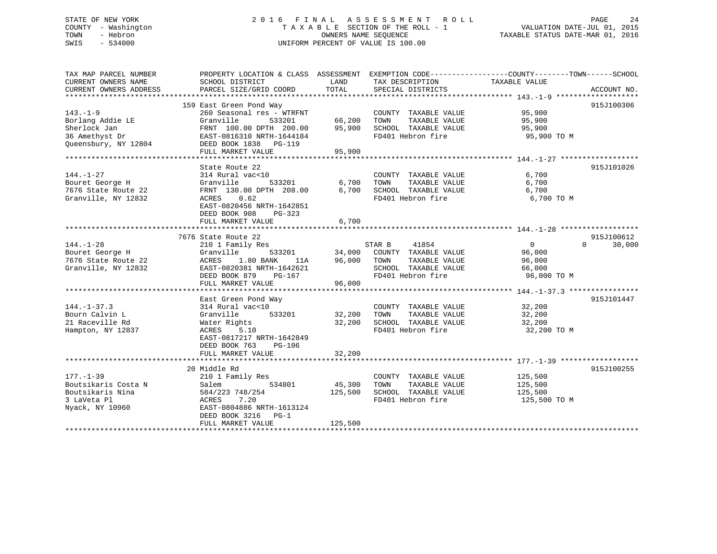## STATE OF NEW YORK 2 0 1 6 F I N A L A S S E S S M E N T R O L L PAGE 24 COUNTY - Washington T A X A B L E SECTION OF THE ROLL - 1 VALUATION DATE-JUL 01, 2015 TOWN - Hebron OWNERS NAME SEQUENCE TAXABLE STATUS DATE-MAR 01, 2016 SWIS - 534000 UNIFORM PERCENT OF VALUE IS 100.00

| TAX MAP PARCEL NUMBER  | PROPERTY LOCATION & CLASS ASSESSMENT EXEMPTION CODE---------------COUNTY-------TOWN-----SCHOOL |               |                             |                    |                    |
|------------------------|------------------------------------------------------------------------------------------------|---------------|-----------------------------|--------------------|--------------------|
| CURRENT OWNERS NAME    | SCHOOL DISTRICT                                                                                | LAND          | TAX DESCRIPTION             | TAXABLE VALUE      |                    |
| CURRENT OWNERS ADDRESS | PARCEL SIZE/GRID COORD                                                                         | TOTAL         | SPECIAL DISTRICTS           |                    | ACCOUNT NO.        |
|                        |                                                                                                |               |                             |                    |                    |
| $143. - 1 - 9$         | 159 East Green Pond Way<br>260 Seasonal res - WTRFNT                                           |               | COUNTY TAXABLE VALUE        | 95,900             | 915J100306         |
|                        | Granville                                                                                      | 66,200        |                             | 95,900             |                    |
| Borlang Addie LE       | 533201                                                                                         |               | TOWN<br>TAXABLE VALUE       |                    |                    |
| Sherlock Jan           | FRNT 100.00 DPTH 200.00                                                                        | 95,900        | SCHOOL TAXABLE VALUE        | 95,900             |                    |
| 36 Amethyst Dr         | EAST-0816310 NRTH-1644184                                                                      |               | FD401 Hebron fire           | 95,900 TO M        |                    |
| Oueensbury, NY 12804   | DEED BOOK 1838 PG-119                                                                          |               |                             |                    |                    |
|                        | FULL MARKET VALUE                                                                              | 95,900        |                             |                    |                    |
|                        | State Route 22                                                                                 |               |                             |                    | 915J101026         |
|                        |                                                                                                |               |                             |                    |                    |
| $144. - 1 - 27$        | 314 Rural vac<10                                                                               |               | COUNTY TAXABLE VALUE        | 6,700              |                    |
| Bouret George H        | 533201<br>Granville                                                                            | 6,700         | TAXABLE VALUE<br>TOWN       | 6,700              |                    |
| 7676 State Route 22    | FRNT 130.00 DPTH 208.00                                                                        | 6,700         | SCHOOL TAXABLE VALUE        | 6,700              |                    |
| Granville, NY 12832    | 0.62<br>ACRES                                                                                  |               | FD401 Hebron fire           | 6,700 TO M         |                    |
|                        | EAST-0820456 NRTH-1642851                                                                      |               |                             |                    |                    |
|                        | DEED BOOK 908<br>PG-323                                                                        |               |                             |                    |                    |
|                        | FULL MARKET VALUE                                                                              | 6,700         |                             |                    |                    |
|                        |                                                                                                |               |                             |                    |                    |
|                        | 7676 State Route 22                                                                            |               |                             |                    | 915J100612         |
| $144. - 1 - 28$        | 210 1 Family Res                                                                               |               | STAR B 41854                | $\overline{0}$     | $\Omega$<br>30,000 |
| Bouret George H        | Granville<br>533201                                                                            |               | 34,000 COUNTY TAXABLE VALUE | 96,000             |                    |
| 7676 State Route 22    | 1.80 BANK<br>ACRES<br>11A                                                                      | 96,000        | TOWN<br>TAXABLE VALUE       | 96,000             |                    |
| Granville, NY 12832    | EAST-0820381 NRTH-1642621                                                                      |               | SCHOOL TAXABLE VALUE        | 66,000             |                    |
|                        | DEED BOOK 879<br>PG-167                                                                        |               | FD401 Hebron fire           | 96,000 TO M        |                    |
|                        | FULL MARKET VALUE                                                                              | 96,000        |                             |                    |                    |
|                        |                                                                                                |               |                             |                    |                    |
|                        | East Green Pond Way                                                                            |               |                             |                    | 915J101447         |
| $144. - 1 - 37.3$      | 314 Rural vac<10                                                                               |               | COUNTY TAXABLE VALUE        | 32,200             |                    |
| Bourn Calvin L         | Granville                                                                                      | 533201 32,200 | TAXABLE VALUE<br>TOWN       | 32,200             |                    |
| 21 Raceville Rd        | Water Rights                                                                                   |               | 32,200 SCHOOL TAXABLE VALUE | 32,200             |                    |
| Hampton, NY 12837      | ACRES<br>5.10                                                                                  |               | FD401 Hebron fire           | 32,200 TO M        |                    |
|                        | EAST-0817217 NRTH-1642849                                                                      |               |                             |                    |                    |
|                        | DEED BOOK 763<br>PG-106                                                                        |               |                             |                    |                    |
|                        | FULL MARKET VALUE                                                                              | 32,200        |                             |                    |                    |
|                        |                                                                                                |               |                             |                    |                    |
|                        | 20 Middle Rd                                                                                   |               |                             |                    | 915J100255         |
| $177. - 1 - 39$        | 210 1 Family Res                                                                               |               | COUNTY TAXABLE VALUE        | 125,500<br>125,500 |                    |
| Boutsikaris Costa N    | 534801<br>Salem                                                                                | 45,300        | TAXABLE VALUE<br>TOWN       |                    |                    |
| Boutsikaris Nina       | 584/223 748/254                                                                                | 125,500       | SCHOOL TAXABLE VALUE        | 125,500            |                    |
| 3 LaVeta Pl            | 7.20<br>ACRES                                                                                  |               | FD401 Hebron fire           | 125,500 TO M       |                    |
| Nyack, NY 10960        | EAST-0804886 NRTH-1613124                                                                      |               |                             |                    |                    |
|                        | DEED BOOK 3216 PG-1                                                                            |               |                             |                    |                    |
|                        | FULL MARKET VALUE                                                                              | 125,500       |                             |                    |                    |
|                        |                                                                                                |               |                             |                    |                    |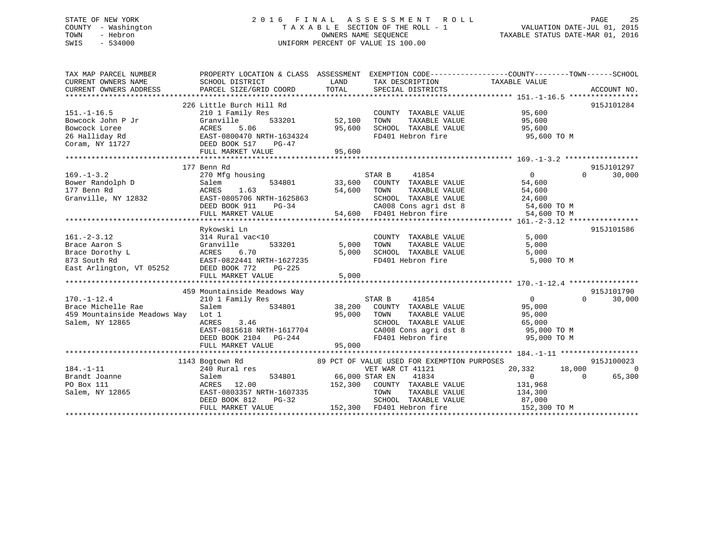## STATE OF NEW YORK 2 0 1 6 F I N A L A S S E S S M E N T R O L L PAGE 25 COUNTY - Washington T A X A B L E SECTION OF THE ROLL - 1 VALUATION DATE-JUL 01, 2015 TOWN - Hebron OWNERS NAME SEQUENCE TAXABLE STATUS DATE-MAR 01, 2016 SWIS - 534000 UNIFORM PERCENT OF VALUE IS 100.00

| TAX MAP PARCEL NUMBER                                                                                                                                                                                                                                                                                                                                                            | PROPERTY LOCATION & CLASS ASSESSMENT EXEMPTION CODE---------------COUNTY-------TOWN------SCHOOL |                   |                                                                                                                                                                                          |                                                               |                    |
|----------------------------------------------------------------------------------------------------------------------------------------------------------------------------------------------------------------------------------------------------------------------------------------------------------------------------------------------------------------------------------|-------------------------------------------------------------------------------------------------|-------------------|------------------------------------------------------------------------------------------------------------------------------------------------------------------------------------------|---------------------------------------------------------------|--------------------|
| CURRENT OWNERS NAME                                                                                                                                                                                                                                                                                                                                                              | SCHOOL DISTRICT                                                                                 | LAND              | TAX DESCRIPTION                                                                                                                                                                          | TAXABLE VALUE                                                 |                    |
|                                                                                                                                                                                                                                                                                                                                                                                  |                                                                                                 |                   |                                                                                                                                                                                          |                                                               |                    |
|                                                                                                                                                                                                                                                                                                                                                                                  | 226 Little Burch Hill Rd                                                                        |                   |                                                                                                                                                                                          |                                                               | 915J101284         |
| $151. - 1 - 16.5$                                                                                                                                                                                                                                                                                                                                                                | 210 1 Family Res                                                                                |                   | COUNTY TAXABLE VALUE 95,600                                                                                                                                                              |                                                               |                    |
|                                                                                                                                                                                                                                                                                                                                                                                  |                                                                                                 |                   |                                                                                                                                                                                          |                                                               |                    |
|                                                                                                                                                                                                                                                                                                                                                                                  | 533201 52,100<br>6 95,600                                                                       |                   | TOWN TAXABLE VALUE 95,600<br>SCHOOL TAXABLE VALUE 95,600                                                                                                                                 | 95,600                                                        |                    |
|                                                                                                                                                                                                                                                                                                                                                                                  |                                                                                                 |                   |                                                                                                                                                                                          | FD401 Hebron fire 95,600 TO M                                 |                    |
|                                                                                                                                                                                                                                                                                                                                                                                  |                                                                                                 |                   |                                                                                                                                                                                          |                                                               |                    |
| Bowcock John P Jr<br>Bowcock Loree acres 6.06 95,60<br>26 Halliday Rd EAST-0800470 NRTH-1634324<br>Coram, NY 11727 DEED BOOK 517 PG-47<br>FILL MARKET VALUE 95,60                                                                                                                                                                                                                |                                                                                                 |                   |                                                                                                                                                                                          |                                                               |                    |
|                                                                                                                                                                                                                                                                                                                                                                                  |                                                                                                 |                   |                                                                                                                                                                                          |                                                               |                    |
|                                                                                                                                                                                                                                                                                                                                                                                  | 177 Benn Rd                                                                                     |                   |                                                                                                                                                                                          |                                                               | 915J101297         |
| $169. - 1 - 3.2$                                                                                                                                                                                                                                                                                                                                                                 | 270 Mfg housing                                                                                 |                   |                                                                                                                                                                                          |                                                               | $\Omega$<br>30,000 |
| Bower Randolph D                                                                                                                                                                                                                                                                                                                                                                 | Salem                                                                                           |                   | $\begin{array}{cccccccccc} \texttt{STAR} & \texttt{B} & \texttt{41854} & & 0 \\ \texttt{534801} & & 33,600 & \texttt{COUNTY} & \texttt{TAXABLE} & \texttt{VALUE} & & 54,600 \end{array}$ |                                                               |                    |
|                                                                                                                                                                                                                                                                                                                                                                                  |                                                                                                 |                   |                                                                                                                                                                                          |                                                               |                    |
|                                                                                                                                                                                                                                                                                                                                                                                  |                                                                                                 |                   |                                                                                                                                                                                          |                                                               |                    |
|                                                                                                                                                                                                                                                                                                                                                                                  |                                                                                                 |                   |                                                                                                                                                                                          |                                                               |                    |
| EXERES 1.63<br>CRES 1.63<br>CRES 1.63<br>CRED BOOK 911 PG-34<br>EXERED BOOK 911 PG-34<br>EXERED BOOK 911 PG-34<br>CA008 CONS agri dst 8 54,600 TO M<br>FULL MARKET VALUE<br>TOWN TAXABLE VALUE<br>CA008 CONS agri dst 8 54,600 TO M<br>FULL MARKET                                                                                                                               |                                                                                                 |                   |                                                                                                                                                                                          |                                                               |                    |
|                                                                                                                                                                                                                                                                                                                                                                                  |                                                                                                 |                   |                                                                                                                                                                                          |                                                               |                    |
|                                                                                                                                                                                                                                                                                                                                                                                  | Rykowski Ln                                                                                     |                   |                                                                                                                                                                                          |                                                               | 915J101586         |
|                                                                                                                                                                                                                                                                                                                                                                                  |                                                                                                 |                   |                                                                                                                                                                                          | 5,000                                                         |                    |
|                                                                                                                                                                                                                                                                                                                                                                                  |                                                                                                 | 533201 5,000 TOWN | COUNTY TAXABLE VALUE<br>TOWN TAXABLE VALUE                                                                                                                                               | 5,000                                                         |                    |
|                                                                                                                                                                                                                                                                                                                                                                                  |                                                                                                 | 5,000             | SCHOOL TAXABLE VALUE 5,000                                                                                                                                                               |                                                               |                    |
|                                                                                                                                                                                                                                                                                                                                                                                  |                                                                                                 |                   | FD401 Hebron fire                                                                                                                                                                        | 5,000 TO M                                                    |                    |
| $\begin{tabular}{lllllllllllll} 161.-2-3.12 & 314~\mathrm{Rural}\,\, \mathrm{vac}{<}10 \\ \text{Brace\,\,Bar} & S & \text{Granville} & 533201 \\ \text{Brace\,\,Dorothy\,\,L} & \text{ACRES} & 6.70 \\ 873 & \text{South\,\,Rd} & \text{EAST-0822441\,\,\,RTH-1627235} \\ \text{East\,\,Arlington\,\,VT\,\,05252} & \text{DEED\,\,BOOK\,\,772} & \text{PG-225} \\ \end{tabular}$ |                                                                                                 |                   |                                                                                                                                                                                          |                                                               |                    |
|                                                                                                                                                                                                                                                                                                                                                                                  | FULL MARKET VALUE                                                                               | 5,000             |                                                                                                                                                                                          |                                                               |                    |
|                                                                                                                                                                                                                                                                                                                                                                                  |                                                                                                 |                   |                                                                                                                                                                                          |                                                               |                    |
|                                                                                                                                                                                                                                                                                                                                                                                  | 459 Mountainside Meadows Way                                                                    |                   |                                                                                                                                                                                          |                                                               | 915J101790         |
| $170. - 1 - 12.4$                                                                                                                                                                                                                                                                                                                                                                | 210 1 Family Res                                                                                |                   | STAR B<br>41854                                                                                                                                                                          | $\overline{0}$                                                | $\Omega$<br>30,000 |
| Brace Michelle Rae                                                                                                                                                                                                                                                                                                                                                               | Salem                                                                                           |                   | 534801 38,200 COUNTY TAXABLE VALUE                                                                                                                                                       | 95,000                                                        |                    |
| 459 Mountainside Meadows Way Lot 1                                                                                                                                                                                                                                                                                                                                               |                                                                                                 | 95,000            | TAXABLE VALUE<br>TOWN                                                                                                                                                                    | 95,000                                                        |                    |
| Salem, NY 12865                                                                                                                                                                                                                                                                                                                                                                  |                                                                                                 |                   | SCHOOL TAXABLE VALUE                                                                                                                                                                     | 65,000                                                        |                    |
|                                                                                                                                                                                                                                                                                                                                                                                  |                                                                                                 |                   | CA008 Cons agri dst 8 95,000 TO M<br>FD401 Hebron fire 95,000 TO M                                                                                                                       |                                                               |                    |
|                                                                                                                                                                                                                                                                                                                                                                                  | ACRES 3.46<br>EAST-0815618 NRTH-1617704<br>DEED BOOK 2104 PG-244                                |                   |                                                                                                                                                                                          |                                                               |                    |
|                                                                                                                                                                                                                                                                                                                                                                                  | FULL MARKET VALUE                                                                               | 95,000            |                                                                                                                                                                                          |                                                               |                    |
|                                                                                                                                                                                                                                                                                                                                                                                  |                                                                                                 |                   |                                                                                                                                                                                          |                                                               |                    |
|                                                                                                                                                                                                                                                                                                                                                                                  | 1143 Bogtown Rd                                                                                 |                   | 89 PCT OF VALUE USED FOR EXEMPTION PURPOSES                                                                                                                                              |                                                               | 915J100023         |
| $184. - 1 - 11$                                                                                                                                                                                                                                                                                                                                                                  | 240 Rural res<br>al res<br>534801 66,000 STAR EN                                                |                   | VET WAR CT 41121                                                                                                                                                                         | 20,332 18,000                                                 | 0                  |
| Brandt Joanne                                                                                                                                                                                                                                                                                                                                                                    | Salem                                                                                           |                   | 41834                                                                                                                                                                                    | $\overline{0}$                                                | $\Omega$<br>65,300 |
| PO Box 111                                                                                                                                                                                                                                                                                                                                                                       | ACRES 12.00                                                                                     |                   | 152,300 COUNTY TAXABLE VALUE 131,968                                                                                                                                                     |                                                               |                    |
| Salem, NY 12865                                                                                                                                                                                                                                                                                                                                                                  | EAST-0803357 NRTH-1607335                                                                       | $\frac{35}{2}$    | TOWN<br>TAXABLE VALUE                                                                                                                                                                    | 134,300                                                       |                    |
|                                                                                                                                                                                                                                                                                                                                                                                  | DEED BOOK 812<br>PG-32                                                                          |                   |                                                                                                                                                                                          |                                                               |                    |
|                                                                                                                                                                                                                                                                                                                                                                                  |                                                                                                 |                   |                                                                                                                                                                                          | SCHOOL TAXABLE VALUE 87,000<br>FD401 Hebron fire 152,300 TO M |                    |
|                                                                                                                                                                                                                                                                                                                                                                                  |                                                                                                 |                   |                                                                                                                                                                                          |                                                               |                    |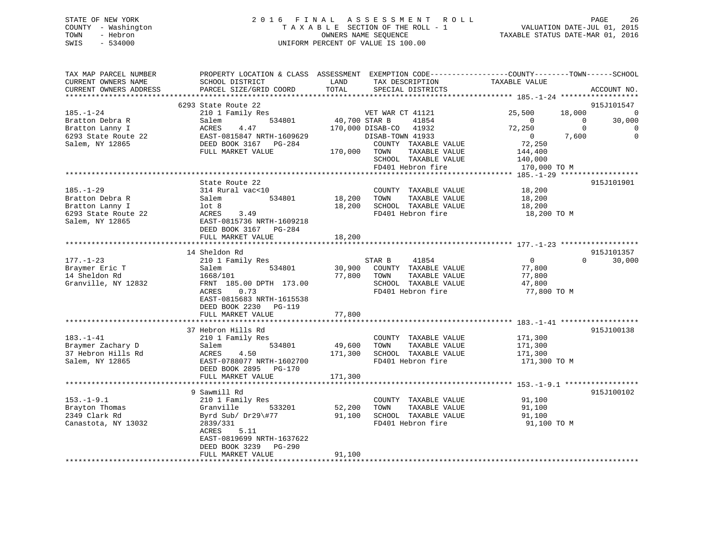## STATE OF NEW YORK 2 0 1 6 F I N A L A S S E S S M E N T R O L L PAGE 26 COUNTY - Washington T A X A B L E SECTION OF THE ROLL - 1 VALUATION DATE-JUL 01, 2015 TOWN - Hebron OWNERS NAME SEQUENCE TAXABLE STATUS DATE-MAR 01, 2016 SWIS - 534000 UNIFORM PERCENT OF VALUE IS 100.00

| TAX MAP PARCEL NUMBER<br>CURRENT OWNERS NAME<br>CURRENT OWNERS ADDRESS | SCHOOL DISTRICT<br>PARCEL SIZE/GRID COORD | LAND<br>TOTAL | TAX DESCRIPTION<br>SPECIAL DISTRICTS          | PROPERTY LOCATION & CLASS ASSESSMENT EXEMPTION CODE----------------COUNTY-------TOWN------SCHOOL<br>TAXABLE VALUE | ACCOUNT NO. |
|------------------------------------------------------------------------|-------------------------------------------|---------------|-----------------------------------------------|-------------------------------------------------------------------------------------------------------------------|-------------|
|                                                                        |                                           |               |                                               |                                                                                                                   |             |
|                                                                        | 6293 State Route 22                       |               |                                               |                                                                                                                   | 915J101547  |
| $185. - 1 - 24$                                                        | 210 1 Family Res                          |               | VET WAR CT 41121                              | 25,500<br>18,000                                                                                                  | 0           |
| Bratton Debra R                                                        | Salem<br>534801                           | 40,700 STAR B | 41854                                         | $\Omega$<br>0                                                                                                     | 30,000      |
| Bratton Lanny I                                                        | ACRES<br>4.47                             |               | 170,000 DISAB-CO<br>41932                     | 72,250<br>$\Omega$                                                                                                | $\Omega$    |
| 6293 State Route 22                                                    | EAST-0815847 NRTH-1609629                 |               | DISAB-TOWN 41933                              | $\overline{0}$<br>7,600                                                                                           | $\Omega$    |
| Salem, NY 12865                                                        | DEED BOOK 3167 PG-284                     |               | COUNTY TAXABLE VALUE                          | 72,250                                                                                                            |             |
|                                                                        | FULL MARKET VALUE                         | 170,000       | TOWN<br>TAXABLE VALUE<br>SCHOOL TAXABLE VALUE | 144,400<br>140,000                                                                                                |             |
|                                                                        |                                           |               | FD401 Hebron fire                             |                                                                                                                   |             |
|                                                                        | *****************************             |               | *********************                         | 170,000 TO M<br>**** 185.-1-29 ******                                                                             |             |
|                                                                        | State Route 22                            |               |                                               |                                                                                                                   | 915J101901  |
| $185. - 1 - 29$                                                        | 314 Rural vac<10                          |               | COUNTY TAXABLE VALUE                          | 18,200                                                                                                            |             |
| Bratton Debra R                                                        | Salem<br>534801                           | 18,200        | TOWN<br>TAXABLE VALUE                         | 18,200                                                                                                            |             |
| Bratton Lanny I                                                        | $1$ ot 8                                  | 18,200        | SCHOOL TAXABLE VALUE                          | 18,200                                                                                                            |             |
| 6293 State Route 22                                                    | ACRES<br>3.49                             |               | FD401 Hebron fire                             | 18,200 TO M                                                                                                       |             |
| Salem, NY 12865                                                        | EAST-0815736 NRTH-1609218                 |               |                                               |                                                                                                                   |             |
|                                                                        | DEED BOOK 3167<br>PG-284                  |               |                                               |                                                                                                                   |             |
|                                                                        | FULL MARKET VALUE                         | 18,200        |                                               |                                                                                                                   |             |
|                                                                        |                                           |               |                                               |                                                                                                                   |             |
|                                                                        | 14 Sheldon Rd                             |               |                                               |                                                                                                                   | 915J101357  |
| $177. - 1 - 23$                                                        | 210 1 Family Res                          |               | STAR B<br>41854                               | $\overline{0}$<br>$\Omega$                                                                                        | 30,000      |
| Braymer Eric T                                                         | 534801<br>Salem                           | 30,900        | COUNTY TAXABLE VALUE                          | 77,800                                                                                                            |             |
| 14 Sheldon Rd                                                          | 1668/101                                  | 77,800        | TAXABLE VALUE<br>TOWN                         | 77,800                                                                                                            |             |
| Granville, NY 12832                                                    | FRNT 185.00 DPTH 173.00                   |               | SCHOOL TAXABLE VALUE                          | 47,800                                                                                                            |             |
|                                                                        | ACRES<br>0.73                             |               | FD401 Hebron fire                             | 77,800 TO M                                                                                                       |             |
|                                                                        | EAST-0815683 NRTH-1615538                 |               |                                               |                                                                                                                   |             |
|                                                                        | DEED BOOK 2230<br><b>PG-119</b>           |               |                                               |                                                                                                                   |             |
|                                                                        | FULL MARKET VALUE                         | 77,800        |                                               |                                                                                                                   |             |
|                                                                        | 37 Hebron Hills Rd                        |               |                                               |                                                                                                                   | 915J100138  |
| $183. - 1 - 41$                                                        | 210 1 Family Res                          |               | COUNTY TAXABLE VALUE                          | 171,300                                                                                                           |             |
| Braymer Zachary D                                                      | 534801<br>Salem                           | 49,600        | TOWN<br>TAXABLE VALUE                         | 171,300                                                                                                           |             |
| 37 Hebron Hills Rd                                                     | 4.50<br>ACRES                             | 171,300       | SCHOOL TAXABLE VALUE                          | 171,300                                                                                                           |             |
| Salem, NY 12865                                                        | EAST-0788077 NRTH-1602700                 |               | FD401 Hebron fire                             | 171,300 TO M                                                                                                      |             |
|                                                                        | DEED BOOK 2895 PG-170                     |               |                                               |                                                                                                                   |             |
|                                                                        | FULL MARKET VALUE                         | 171,300       |                                               |                                                                                                                   |             |
|                                                                        |                                           |               |                                               |                                                                                                                   |             |
|                                                                        | 9 Sawmill Rd                              |               |                                               |                                                                                                                   | 915J100102  |
| $153. - 1 - 9.1$                                                       | 210 1 Family Res                          |               | COUNTY TAXABLE VALUE                          | 91,100                                                                                                            |             |
| Brayton Thomas                                                         | Granville<br>533201                       | 52,200        | TOWN<br>TAXABLE VALUE                         | 91,100                                                                                                            |             |
| 2349 Clark Rd                                                          | Byrd Sub/ Dr29\#77                        | 91,100        | SCHOOL TAXABLE VALUE                          | 91,100                                                                                                            |             |
| Canastota, NY 13032                                                    | 2839/331                                  |               | FD401 Hebron fire                             | 91,100 TO M                                                                                                       |             |
|                                                                        | ACRES<br>5.11                             |               |                                               |                                                                                                                   |             |
|                                                                        | EAST-0819699 NRTH-1637622                 |               |                                               |                                                                                                                   |             |
|                                                                        | DEED BOOK 3239<br><b>PG-290</b>           |               |                                               |                                                                                                                   |             |
|                                                                        | FULL MARKET VALUE                         | 91,100        |                                               |                                                                                                                   |             |
|                                                                        |                                           |               |                                               |                                                                                                                   |             |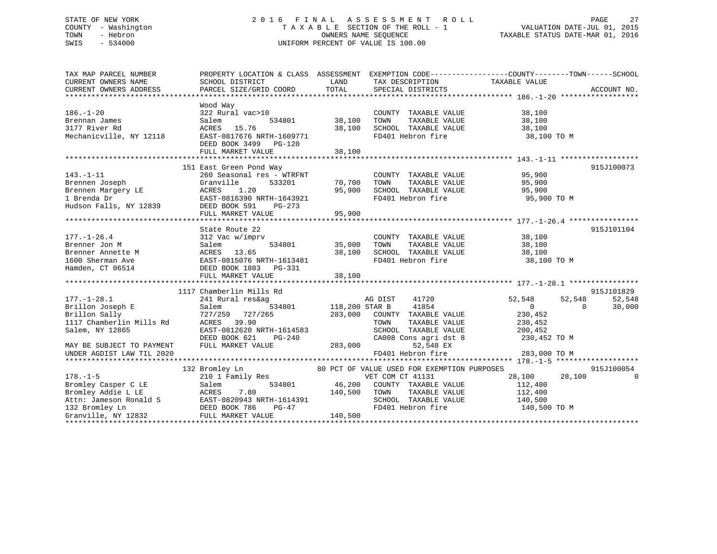## STATE OF NEW YORK 2 0 1 6 F I N A L A S S E S S M E N T R O L L PAGE 27 COUNTY - Washington T A X A B L E SECTION OF THE ROLL - 1 VALUATION DATE-JUL 01, 2015 TOWN - Hebron OWNERS NAME SEQUENCE TAXABLE STATUS DATE-MAR 01, 2016 SWIS - 534000 UNIFORM PERCENT OF VALUE IS 100.00

| TAX MAP PARCEL NUMBER                                                                        |                                                                                                                                                                                                                                               |                      | PROPERTY LOCATION & CLASS ASSESSMENT EXEMPTION CODE---------------COUNTY-------TOWN------SCHOOL |                       |                    |
|----------------------------------------------------------------------------------------------|-----------------------------------------------------------------------------------------------------------------------------------------------------------------------------------------------------------------------------------------------|----------------------|-------------------------------------------------------------------------------------------------|-----------------------|--------------------|
| CURRENT OWNERS NAME                                                                          | SCHOOL DISTRICT                                                                                                                                                                                                                               |                      |                                                                                                 |                       |                    |
|                                                                                              |                                                                                                                                                                                                                                               |                      |                                                                                                 |                       |                    |
|                                                                                              |                                                                                                                                                                                                                                               |                      |                                                                                                 |                       |                    |
|                                                                                              | Wood Way                                                                                                                                                                                                                                      |                      |                                                                                                 |                       |                    |
| $186. - 1 - 20$                                                                              | 1994 may 12<br>322 Rural vac>10<br>534801 38,100 TOWN                                                                                                                                                                                         |                      | COUNTY TAXABLE VALUE 38,100                                                                     |                       |                    |
|                                                                                              |                                                                                                                                                                                                                                               |                      |                                                                                                 |                       |                    |
|                                                                                              |                                                                                                                                                                                                                                               |                      |                                                                                                 |                       |                    |
|                                                                                              | Brennan James Salem 534801 38,100 TOWN TAXABLE VALUE 38,100 3177 River Rd ACRES 15.76 38,100 SCHOOL TAXABLE VALUE 38,100 ACRES 15.76 38,100 SCHOOL TAXABLE VALUE 38,100 SCHOOL TAXABLE VALUE 38,100 SCHOOL TAXABLE VALUE 38,10                |                      |                                                                                                 | 38,100 TO M           |                    |
|                                                                                              | DEED BOOK 3499 PG-120                                                                                                                                                                                                                         |                      |                                                                                                 |                       |                    |
|                                                                                              |                                                                                                                                                                                                                                               |                      |                                                                                                 |                       |                    |
|                                                                                              |                                                                                                                                                                                                                                               |                      |                                                                                                 |                       |                    |
|                                                                                              | 151 East Green Pond Way                                                                                                                                                                                                                       |                      |                                                                                                 |                       | 915J100073         |
| $143. - 1 - 11$                                                                              | 260 Seasonal res - WTRFNT                                                                                                                                                                                                                     |                      |                                                                                                 |                       |                    |
| n: 1 11<br>Brennen Joseph                                                                    | Granville                                                                                                                                                                                                                                     | $533201$ 70,700 TOWN | COUNTY TAXABLE VALUE 95,900<br>TOWN TAXABLE VALUE 95,900                                        | 95,900                |                    |
|                                                                                              |                                                                                                                                                                                                                                               |                      | 95,900 SCHOOL TAXABLE VALUE 95,900                                                              |                       |                    |
|                                                                                              |                                                                                                                                                                                                                                               |                      | FD401 Hebron fire                                                                               | 95,900 TO M           |                    |
|                                                                                              |                                                                                                                                                                                                                                               |                      |                                                                                                 |                       |                    |
|                                                                                              | FULL MARKET VALUE                                                                                                                                                                                                                             | 95,900               |                                                                                                 |                       |                    |
|                                                                                              |                                                                                                                                                                                                                                               |                      |                                                                                                 |                       |                    |
|                                                                                              | State Route 22                                                                                                                                                                                                                                |                      |                                                                                                 |                       | 915J101104         |
|                                                                                              |                                                                                                                                                                                                                                               |                      |                                                                                                 |                       |                    |
|                                                                                              |                                                                                                                                                                                                                                               |                      |                                                                                                 |                       |                    |
|                                                                                              |                                                                                                                                                                                                                                               |                      |                                                                                                 |                       |                    |
|                                                                                              |                                                                                                                                                                                                                                               |                      |                                                                                                 |                       |                    |
|                                                                                              |                                                                                                                                                                                                                                               |                      | FD401 Hebron fire 38,100 TO M                                                                   |                       |                    |
|                                                                                              |                                                                                                                                                                                                                                               |                      |                                                                                                 |                       |                    |
|                                                                                              | FULL MARKET VALUE                                                                                                                                                                                                                             | 38,100               |                                                                                                 |                       |                    |
|                                                                                              |                                                                                                                                                                                                                                               |                      |                                                                                                 |                       | 915J101829         |
|                                                                                              | 1117 Chamberlin Mills Rd                                                                                                                                                                                                                      |                      |                                                                                                 |                       |                    |
| $177. - 1 - 28.1$                                                                            | 241 Rural res&ag                                                                                                                                                                                                                              |                      | AG DIST                                                                                         | 41720 52,548 52,548   | 52,548             |
|                                                                                              |                                                                                                                                                                                                                                               |                      |                                                                                                 | $\overline{0}$        | 30,000<br>$\Omega$ |
| Brillon Joseph E<br>Salem Brillon Sally 727/259 727/<br>1117 Chamberlin Mills Rd ACRES 39.90 | 727/259 727/265<br>ACRES 39.90                                                                                                                                                                                                                |                      |                                                                                                 | 230,452               |                    |
|                                                                                              |                                                                                                                                                                                                                                               |                      | TOWN                                                                                            | TAXABLE VALUE 230,452 |                    |
| Salem, NY 12865                                                                              | EAST-0812620 NRTH-1614583<br>RTH-1614583<br>PG-240                                                                                                                                                                                            |                      | SCHOOL TAXABLE VALUE 200,452<br>CA008 Cons agri dst 8 230,452 TO M                              |                       |                    |
|                                                                                              | DEED BOOK 621                                                                                                                                                                                                                                 |                      |                                                                                                 |                       |                    |
| MAY BE SUBJECT TO PAYMENT                                                                    | FULL MARKET VALUE                                                                                                                                                                                                                             | 283,000              | 52,548 EX                                                                                       |                       |                    |
| UNDER AGDIST LAW TIL 2020                                                                    |                                                                                                                                                                                                                                               |                      | FD401 Hebron fire                                                                               | 283,000 TO M          |                    |
|                                                                                              |                                                                                                                                                                                                                                               |                      |                                                                                                 |                       |                    |
|                                                                                              | 132 Bromley Ln                                                                                                                                                                                                                                |                      | 80 PCT OF VALUE USED FOR EXEMPTION PURPOSES                                                     |                       | 915J100054         |
| $178. - 1 - 5$                                                                               | 210 1 Family Res                                                                                                                                                                                                                              |                      | VET COM CT 41131                                                                                | 28,100 28,100         | $\Omega$           |
| Bromley Casper C LE                                                                          | Salem                                                                                                                                                                                                                                         |                      | 534801 $46,200$ COUNTY TAXABLE VALUE                                                            | 112,400               |                    |
|                                                                                              |                                                                                                                                                                                                                                               |                      |                                                                                                 |                       |                    |
|                                                                                              |                                                                                                                                                                                                                                               |                      |                                                                                                 |                       |                    |
|                                                                                              |                                                                                                                                                                                                                                               |                      |                                                                                                 | 140,500 TO M          |                    |
|                                                                                              | Acces 7.80<br>Bromley Addie L LE ACRES 7.80<br>Attn: Jameson Ronald S<br>EXET-0820943 NRTH-1614391<br>DEED BOOK 786 PG-47 FD401 Hebron fire 140,500<br>Granville, NY 12832<br>FULL MARKET VALUE 140,500<br>Granville, NY 12832<br>FULL MARKET |                      |                                                                                                 |                       |                    |
|                                                                                              |                                                                                                                                                                                                                                               |                      |                                                                                                 |                       |                    |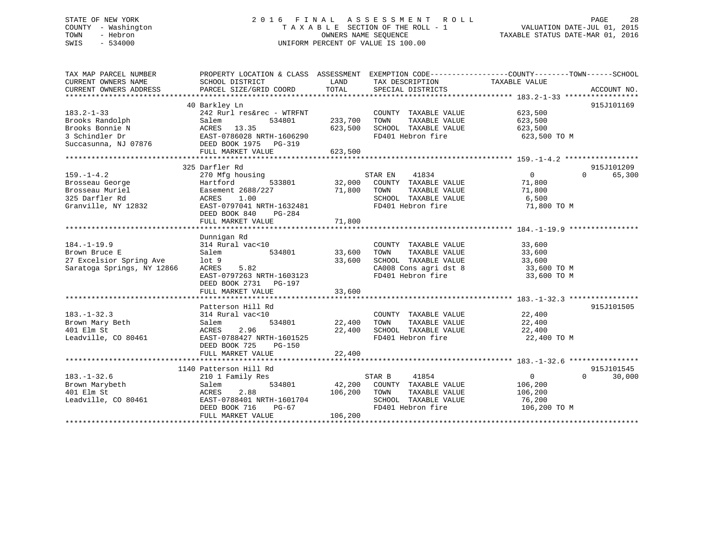## STATE OF NEW YORK 2 0 1 6 F I N A L A S S E S S M E N T R O L L PAGE 28 COUNTY - Washington T A X A B L E SECTION OF THE ROLL - 1 VALUATION DATE-JUL 01, 2015 TOWN - Hebron OWNERS NAME SEQUENCE TAXABLE STATUS DATE-MAR 01, 2016 SWIS - 534000 UNIFORM PERCENT OF VALUE IS 100.00

| TAX MAP PARCEL NUMBER                                                                                                              | PROPERTY LOCATION & CLASS ASSESSMENT EXEMPTION CODE---------------COUNTY-------TOWN------SCHOOL |               |                                              |                |                    |
|------------------------------------------------------------------------------------------------------------------------------------|-------------------------------------------------------------------------------------------------|---------------|----------------------------------------------|----------------|--------------------|
| CURRENT OWNERS NAME                                                                                                                | SCHOOL DISTRICT                                                                                 | LAND          | TAX DESCRIPTION                              | TAXABLE VALUE  |                    |
| CURRENT OWNERS ADDRESS                                                                                                             | PARCEL SIZE/GRID COORD                                                                          | TOTAL         | SPECIAL DISTRICTS                            |                | ACCOUNT NO.        |
|                                                                                                                                    | 40 Barkley Ln                                                                                   |               |                                              |                | 915J101169         |
| $183.2 - 1 - 33$                                                                                                                   | 242 Rurl res&rec - WTRFNT                                                                       |               | COUNTY TAXABLE VALUE                         |                |                    |
| Brooks Randolph                                                                                                                    | Salem<br>534801                                                                                 | 233,700       | TAXABLE VALUE                                | 623,500        |                    |
|                                                                                                                                    |                                                                                                 |               | TOWN                                         | 623,500        |                    |
| Brooks Bonnie N                                                                                                                    | ACRES 13.35                                                                                     | 623,500       | SCHOOL TAXABLE VALUE 623,500                 |                |                    |
| 3 Schindler Dr                         EAST-0786028 NRTH-1606290<br>Succasunna, NJ 07876                 DEED BOOK 1975     PG-319 | EAST-0786028 NRTH-1606290                                                                       |               | FD401 Hebron fire                            | 623,500 TO M   |                    |
|                                                                                                                                    |                                                                                                 |               |                                              |                |                    |
|                                                                                                                                    | FULL MARKET VALUE                                                                               | 623,500       |                                              |                |                    |
|                                                                                                                                    |                                                                                                 |               |                                              |                |                    |
|                                                                                                                                    | 325 Darfler Rd                                                                                  |               |                                              |                | 915J101209         |
| $159. - 1 - 4.2$                                                                                                                   | 270 Mfg housing<br>ing<br>533801                                                                |               | STAR EN 41834<br>32,000 COUNTY TAXABLE VALUE | $\overline{0}$ | $\Omega$<br>65,300 |
| Brosseau George                                                                                                                    | Hartford                                                                                        |               |                                              | 71,800         |                    |
| Brosseau Muriel                                                                                                                    | Easement 2688/227                                                                               | 71,800 TOWN   | TAXABLE VALUE                                | 71,800         |                    |
| 325 Darfler Rd                                                                                                                     | ACRES<br>1.00                                                                                   |               | SCHOOL TAXABLE VALUE                         | 6,500          |                    |
| Granville, NY 12832                                                                                                                | EAST-0797041 NRTH-1632481                                                                       |               | FD401 Hebron fire                            | 71,800 TO M    |                    |
|                                                                                                                                    | DEED BOOK 840<br>PG-284                                                                         |               |                                              |                |                    |
|                                                                                                                                    | FULL MARKET VALUE                                                                               | 71,800        |                                              |                |                    |
|                                                                                                                                    |                                                                                                 |               |                                              |                |                    |
|                                                                                                                                    | Dunnigan Rd                                                                                     |               |                                              |                |                    |
| $184. - 1 - 19.9$                                                                                                                  | 314 Rural vac<10                                                                                |               | COUNTY TAXABLE VALUE                         | 33,600         |                    |
| Brown Bruce E                                                                                                                      | Salem<br>534801                                                                                 | 33,600        | TAXABLE VALUE<br>TOWN                        | 33,600         |                    |
| 27 Excelsior Spring Ave                                                                                                            | lot 9                                                                                           | 33,600        | SCHOOL TAXABLE VALUE                         | 33,600         |                    |
| Saratoga Springs, NY 12866                                                                                                         | ACRES<br>5.82                                                                                   |               | CA008 Cons agri dst 8                        | 33,600 TO M    |                    |
|                                                                                                                                    | EAST-0797263 NRTH-1603123                                                                       |               | FD401 Hebron fire                            | 33,600 TO M    |                    |
|                                                                                                                                    | DEED BOOK 2731 PG-197                                                                           |               |                                              |                |                    |
|                                                                                                                                    |                                                                                                 |               |                                              |                |                    |
|                                                                                                                                    |                                                                                                 |               |                                              |                |                    |
|                                                                                                                                    | Patterson Hill Rd                                                                               |               |                                              |                | 915J101505         |
| $183. - 1 - 32.3$                                                                                                                  | 314 Rural vac<10                                                                                |               | COUNTY TAXABLE VALUE                         | 22,400         |                    |
| Brown Mary Beth                                                                                                                    | Salem                                                                                           | 534801 22,400 | TOWN<br>TAXABLE VALUE                        | 22,400         |                    |
| 401 Elm St                                                                                                                         | 2.96<br>ACRES                                                                                   | 22,400        | SCHOOL TAXABLE VALUE                         | 22,400         |                    |
| Leadville, CO 80461                                                                                                                | EAST-0788427 NRTH-1601525                                                                       |               | FD401 Hebron fire                            | 22,400 TO M    |                    |
|                                                                                                                                    | DEED BOOK 725<br>PG-150                                                                         |               |                                              |                |                    |
|                                                                                                                                    | FULL MARKET VALUE                                                                               | 22,400        |                                              |                |                    |
|                                                                                                                                    |                                                                                                 |               |                                              |                |                    |
|                                                                                                                                    | 1140 Patterson Hill Rd                                                                          |               |                                              |                | 915J101545         |
| $183. - 1 - 32.6$                                                                                                                  | 210 1 Family Res                                                                                |               | 41854<br>STAR B                              | $\overline{0}$ | $\Omega$<br>30,000 |
| Brown Marybeth                                                                                                                     | Salem                                                                                           |               | 534801 42,200 COUNTY TAXABLE VALUE           | 106,200        |                    |
| 401 Elm St                                                                                                                         | 2.88<br>ACRES                                                                                   | 106,200 TOWN  | TAXABLE VALUE                                | 106,200        |                    |
| Leadville, CO 80461                                                                                                                | EAST-0788401 NRTH-1601704                                                                       |               | SCHOOL TAXABLE VALUE                         | 76,200         |                    |
|                                                                                                                                    | $PG-67$<br>DEED BOOK 716                                                                        |               | FD401 Hebron fire                            | 106,200 TO M   |                    |
|                                                                                                                                    | FULL MARKET VALUE                                                                               | 106,200       |                                              |                |                    |
|                                                                                                                                    |                                                                                                 |               |                                              |                |                    |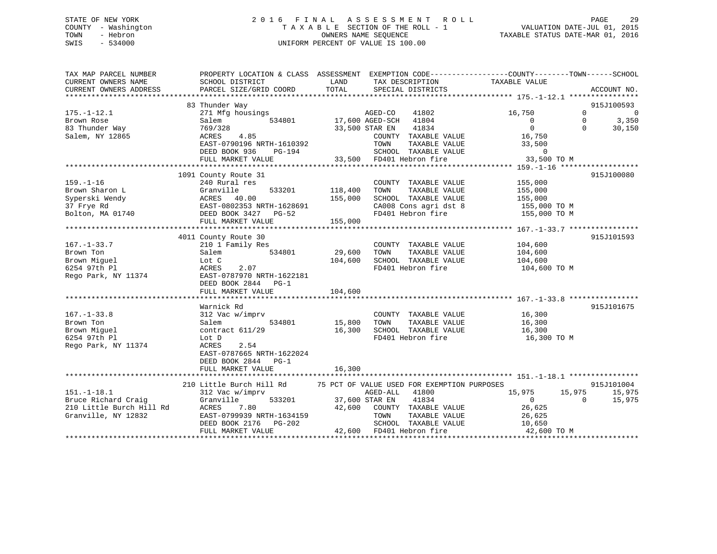## STATE OF NEW YORK 2 0 1 6 F I N A L A S S E S S M E N T R O L L PAGE 29 COUNTY - Washington T A X A B L E SECTION OF THE ROLL - 1 VALUATION DATE-JUL 01, 2015 TOWN - Hebron OWNERS NAME SEQUENCE TAXABLE STATUS DATE-MAR 01, 2016 SWIS - 534000 UNIFORM PERCENT OF VALUE IS 100.00

| TAX MAP PARCEL NUMBER<br>CURRENT OWNERS NAME | PROPERTY LOCATION & CLASS ASSESSMENT<br>SCHOOL DISTRICT | LAND<br>TAX DESCRIPTION                     | EXEMPTION CODE-----------------COUNTY-------TOWN------SCHOOL |                            |
|----------------------------------------------|---------------------------------------------------------|---------------------------------------------|--------------------------------------------------------------|----------------------------|
| CURRENT OWNERS ADDRESS                       | PARCEL SIZE/GRID COORD                                  | TOTAL<br>SPECIAL DISTRICTS                  | TAXABLE VALUE                                                | ACCOUNT NO.                |
|                                              |                                                         |                                             |                                                              |                            |
|                                              | 83 Thunder Way                                          |                                             |                                                              | 915J100593                 |
| $175. - 1 - 12.1$                            | 271 Mfg housings                                        | AGED-CO<br>41802                            | 16,750                                                       | $\Omega$<br>$\overline{0}$ |
| Brown Rose                                   | 534801<br>Salem                                         | 17,600 AGED-SCH 41804                       | $\overline{0}$                                               | $\Omega$<br>3,350          |
| 83 Thunder Way                               | 769/328                                                 | 41834<br>33,500 STAR EN                     | $\Omega$                                                     | $\Omega$<br>30,150         |
| Salem, NY 12865                              | 4.85<br>ACRES                                           | COUNTY TAXABLE VALUE                        | 16,750                                                       |                            |
|                                              | EAST-0790196 NRTH-1610392                               | TOWN                                        | TAXABLE VALUE<br>33,500                                      |                            |
|                                              | DEED BOOK 936<br>PG-194                                 | SCHOOL TAXABLE VALUE                        | $\Omega$                                                     |                            |
|                                              | FULL MARKET VALUE                                       | 33,500 FD401 Hebron fire                    | LUE <b>ANGELIA E</b><br>33,500 TO M                          |                            |
|                                              |                                                         |                                             |                                                              |                            |
|                                              | 1091 County Route 31                                    |                                             |                                                              | 915J100080                 |
| $159. - 1 - 16$                              | 240 Rural res                                           | COUNTY TAXABLE VALUE                        | 155,000                                                      |                            |
| Brown Sharon L                               | 533201<br>Granville                                     | 118,400<br>TOWN                             | 155,000<br>TAXABLE VALUE                                     |                            |
| Syperski Wendy                               | ACRES 40.00                                             | 155,000<br>SCHOOL TAXABLE VALUE             | 155,000                                                      |                            |
| 37 Frye Rd                                   |                                                         | CA008 Cons agri dst 8                       | 155,000 TO M                                                 |                            |
| Bolton, MA 01740                             | DEED BOOK 3427 PG-52                                    |                                             | FD401 Hebron fire 155,000 TO M                               |                            |
|                                              | FULL MARKET VALUE                                       | 155,000                                     |                                                              |                            |
|                                              |                                                         |                                             |                                                              |                            |
|                                              | 4011 County Route 30                                    |                                             |                                                              | 915J101593                 |
| $167. - 1 - 33.7$                            | 210 1 Family Res                                        | COUNTY TAXABLE VALUE                        | 104,600                                                      |                            |
| Brown Ton                                    | 534801<br>Salem                                         | 29,600<br>TOWN                              | TAXABLE VALUE<br>104,600                                     |                            |
| Brown Miguel                                 | Lot C                                                   | 104,600<br>SCHOOL TAXABLE VALUE             | 104,600                                                      |                            |
| 6254 97th Pl                                 | ACRES<br>2.07                                           | FD401 Hebron fire                           | 104,600 TO M                                                 |                            |
| Rego Park, NY 11374                          | EAST-0787970 NRTH-1622181                               |                                             |                                                              |                            |
|                                              | DEED BOOK 2844 PG-1                                     |                                             |                                                              |                            |
|                                              | FULL MARKET VALUE                                       | 104,600                                     |                                                              |                            |
|                                              |                                                         |                                             |                                                              |                            |
|                                              | Warnick Rd                                              |                                             |                                                              | 915J101675                 |
|                                              |                                                         |                                             |                                                              |                            |
| $167. - 1 - 33.8$                            | 312 Vac w/imprv                                         | COUNTY TAXABLE VALUE                        | 16,300                                                       |                            |
| Brown Ton                                    | Salem<br>534801                                         | 15,800<br>TOWN                              | TAXABLE VALUE<br>16,300<br>16,300                            |                            |
| Brown Miguel                                 | contract 611/29                                         | 16,300<br>SCHOOL TAXABLE VALUE              |                                                              |                            |
| 6254 97th Pl                                 | Lot D                                                   | FD401 Hebron fire                           | 16,300 TO M                                                  |                            |
| Rego Park, NY 11374                          | ACRES<br>2.54                                           |                                             |                                                              |                            |
|                                              | EAST-0787665 NRTH-1622024                               |                                             |                                                              |                            |
|                                              | DEED BOOK 2844<br>$PG-1$                                |                                             |                                                              |                            |
|                                              | FULL MARKET VALUE                                       | 16,300                                      |                                                              |                            |
|                                              |                                                         |                                             |                                                              |                            |
|                                              | 210 Little Burch Hill Rd                                | 75 PCT OF VALUE USED FOR EXEMPTION PURPOSES |                                                              | 915J101004                 |
| $151. - 1 - 18.1$                            | 312 Vac w/imprv                                         | AGED-ALL<br>41800                           | 15,975                                                       | 15,975<br>15,975           |
| Bruce Richard Craig                          | Granville<br>533201                                     | 37,600 STAR EN<br>41834                     | $\overline{0}$                                               | 15,975<br>$\Omega$         |
| 210 Little Burch Hill Rd                     | ACRES<br>7.80                                           | 42,600 COUNTY TAXABLE VALUE                 | 26,625                                                       |                            |
| Granville, NY 12832                          | EAST-0799939 NRTH-1634159                               | TOWN                                        | TAXABLE VALUE<br>26,625                                      |                            |
|                                              | DEED BOOK 2176<br>PG-202                                | SCHOOL TAXABLE VALUE                        | 10,650                                                       |                            |
|                                              |                                                         |                                             |                                                              |                            |
|                                              |                                                         |                                             |                                                              |                            |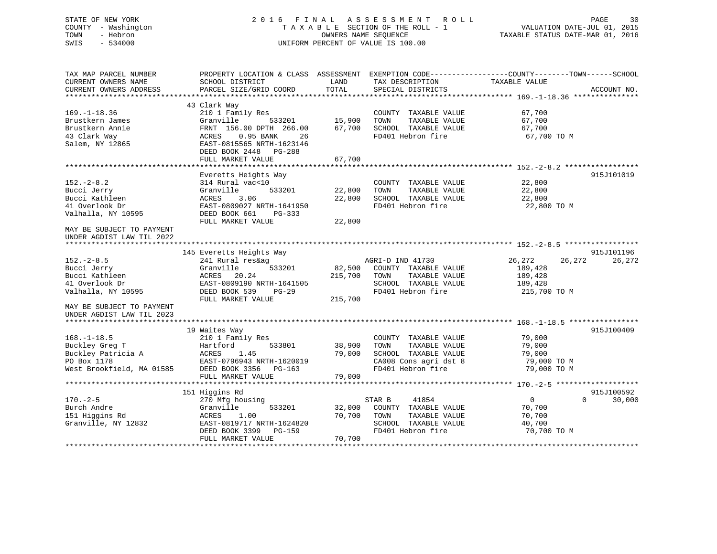STATE OF NEW YORK 2 0 1 6 F I N A L A S S E S S M E N T R O L L PAGE 30 COUNTY - Washington T A X A B L E SECTION OF THE ROLL - 1 VALUATION DATE-JUL 01, 2015 TOWN - Hebron OWNERS NAME SEQUENCE TAXABLE STATUS DATE-MAR 01, 2016 SWIS - 534000 UNIFORM PERCENT OF VALUE IS 100.00TAX MAP PARCEL NUMBER PROPERTY LOCATION & CLASS ASSESSMENT EXEMPTION CODE------------------COUNTY--------TOWN------SCHOOL CURRENT OWNERS NAME SCHOOL DISTRICT THE LAND TAX DESCRIPTION TAXABLE VALUE CURRENT OWNERS ADDRESS PARCEL SIZE/GRID COORD TOTAL SPECIAL DISTRICTS ACCOUNT NO. \*\*\*\*\*\*\*\*\*\*\*\*\*\*\*\*\*\*\*\*\*\*\*\*\*\*\*\*\*\*\*\*\*\*\*\*\*\*\*\*\*\*\*\*\*\*\*\*\*\*\*\*\*\*\*\*\*\*\*\*\*\*\*\*\*\*\*\*\*\*\*\*\*\*\*\*\*\*\*\*\*\*\*\*\*\*\*\*\*\*\*\*\*\*\*\*\*\*\*\*\*\*\* 169.-1-18.36 \*\*\*\*\*\*\*\*\*\*\*\*\*\*\*43 Clark Way

169.-1-18.36 210 1 Family Res COUNTY TAXABLE VALUE 67,700 Brustkern James Granville 533201 15,900 TOWN TAXABLE VALUE 67,700 Brustkern Annie FRNT 156.00 DPTH 266.00 67,700 SCHOOL TAXABLE VALUE 67,700 43 Clark Way ACRES 0.95 BANK 26 FD401 Hebron fire 67,700 TO M Salem, NY 12865 EAST-0815565 NRTH-1623146 DEED BOOK 2448 PG-288 FULL MARKET VALUE 67,700 \*\*\*\*\*\*\*\*\*\*\*\*\*\*\*\*\*\*\*\*\*\*\*\*\*\*\*\*\*\*\*\*\*\*\*\*\*\*\*\*\*\*\*\*\*\*\*\*\*\*\*\*\*\*\*\*\*\*\*\*\*\*\*\*\*\*\*\*\*\*\*\*\*\*\*\*\*\*\*\*\*\*\*\*\*\*\*\*\*\*\*\*\*\*\*\*\*\*\*\*\*\*\* 152.-2-8.2 \*\*\*\*\*\*\*\*\*\*\*\*\*\*\*\*\* Everetts Heights Way 915J101019 152.-2-8.2 314 Rural vac<10 COUNTY TAXABLE VALUE 22,800 Bucci Jerry Granville 533201 22,800 TOWN TAXABLE VALUE 22,800 22,800 SCHOOL TAXABLE VALUE 22,800 ACRES 3.06 22,800 SCHOOL TAXABLE VALUE 22,800 22,800 22,800 PD401 Hebron fire 22,800 TO M Valhalla, NY 10595 DEED BOOK 661 PG-333 FULL MARKET VALUE 22,800 MAY BE SUBJECT TO PAYMENTUNDER AGDIST LAW TIL 2022 \*\*\*\*\*\*\*\*\*\*\*\*\*\*\*\*\*\*\*\*\*\*\*\*\*\*\*\*\*\*\*\*\*\*\*\*\*\*\*\*\*\*\*\*\*\*\*\*\*\*\*\*\*\*\*\*\*\*\*\*\*\*\*\*\*\*\*\*\*\*\*\*\*\*\*\*\*\*\*\*\*\*\*\*\*\*\*\*\*\*\*\*\*\*\*\*\*\*\*\*\*\*\* 152.-2-8.5 \*\*\*\*\*\*\*\*\*\*\*\*\*\*\*\*\* 145 Everetts Heights Way 915J101196 152.-2-8.5 241 Rural res&ag AGRI-D IND 41730 26,272 26,272 26,272 Bucci Jerry Granville 533201 82,500 COUNTY TAXABLE VALUE 189,428 Bucci Kathleen ACRES 20.24 215,700 TOWN TAXABLE VALUE 189,428 41 Overlook Dr EAST-0809190 NRTH-1641505 SCHOOL TAXABLE VALUE 189,428 Valhalla, NY 10595 DEED BOOK 539 PG-29 FD401 Hebron fire 215,700 TO M<br>FULL MARKET VALUE 215.700 FULL MARKET VALUE MAY BE SUBJECT TO PAYMENT UNDER AGDIST LAW TIL 2023 \*\*\*\*\*\*\*\*\*\*\*\*\*\*\*\*\*\*\*\*\*\*\*\*\*\*\*\*\*\*\*\*\*\*\*\*\*\*\*\*\*\*\*\*\*\*\*\*\*\*\*\*\*\*\*\*\*\*\*\*\*\*\*\*\*\*\*\*\*\*\*\*\*\*\*\*\*\*\*\*\*\*\*\*\*\*\*\*\*\*\*\*\*\*\*\*\*\*\*\*\*\*\* 168.-1-18.5 \*\*\*\*\*\*\*\*\*\*\*\*\*\*\*\* 19 Waites Way 915J100409 168.-1-18.5 210 1 Family Res COUNTY TAXABLE VALUE 79,000 Buckley Greg T Hartford 533801 38,900 TOWN TAXABLE VALUE 79,000 Buckley Patricia A ACRES 1.45 79,000 SCHOOL TAXABLE VALUE 79,000 PO Box 1178 EAST-0796943 NRTH-1620019 CA008 Cons agri dst 8 79,000 TO M West Brookfield, MA 01585 DEED BOOK 3356 PG-163 FD401 Hebron fire 79,000 TO M FULL MARKET VALUE 79,000 \*\*\*\*\*\*\*\*\*\*\*\*\*\*\*\*\*\*\*\*\*\*\*\*\*\*\*\*\*\*\*\*\*\*\*\*\*\*\*\*\*\*\*\*\*\*\*\*\*\*\*\*\*\*\*\*\*\*\*\*\*\*\*\*\*\*\*\*\*\*\*\*\*\*\*\*\*\*\*\*\*\*\*\*\*\*\*\*\*\*\*\*\*\*\*\*\*\*\*\*\*\*\* 170.-2-5 \*\*\*\*\*\*\*\*\*\*\*\*\*\*\*\*\*\*\* 151 Higgins Rd 915J100592 170.-2-5 270 Mfg housing STAR B 41854 0 0 30,000 Burch Andre Granville 533201 32,000 COUNTY TAXABLE VALUE 70,700 151 Higgins Rd ACRES 1.00 70,700 TOWN TAXABLE VALUE 70,700 Granville, NY 12832 EAST-0819717 NRTH-1624820 SCHOOL TAXABLE VALUE 40,700 DEED BOOK 3399 PG-159 FD401 Hebron fire 70,700 TO M FULL MARKET VALUE 70,700 \*\*\*\*\*\*\*\*\*\*\*\*\*\*\*\*\*\*\*\*\*\*\*\*\*\*\*\*\*\*\*\*\*\*\*\*\*\*\*\*\*\*\*\*\*\*\*\*\*\*\*\*\*\*\*\*\*\*\*\*\*\*\*\*\*\*\*\*\*\*\*\*\*\*\*\*\*\*\*\*\*\*\*\*\*\*\*\*\*\*\*\*\*\*\*\*\*\*\*\*\*\*\*\*\*\*\*\*\*\*\*\*\*\*\*\*\*\*\*\*\*\*\*\*\*\*\*\*\*\*\*\*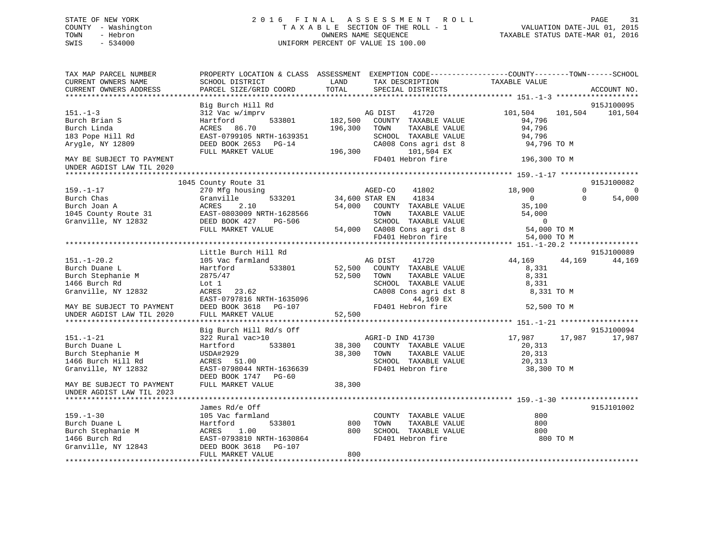# STATE OF NEW YORK 2 0 1 6 F I N A L A S S E S S M E N T R O L L PAGE 31COUNTY - Washington  $T A X A B L E$  SECTION OF THE ROLL - 1<br>TOWN - Hebron DATE-JUL 001, 2015 OWNERS NAME SEQUENCE SWIS - 534000 UNIFORM PERCENT OF VALUE IS 100.00

TAXABLE STATUS DATE-MAR 01, 2016

| CURRENT OWNERS NAME<br>TAXABLE VALUE<br>SCHOOL DISTRICT<br>LAND<br>TAX DESCRIPTION<br>TOTAL<br>CURRENT OWNERS ADDRESS<br>PARCEL SIZE/GRID COORD<br>SPECIAL DISTRICTS<br>ACCOUNT NO.<br>915J100095<br>Big Burch Hill Rd<br>312 Vac w/imprv<br>101,504<br>101,504<br>101,504<br>$151. - 1 - 3$<br>AG DIST<br>41720<br>182,500<br>Burch Brian S<br>Hartford<br>533801<br>COUNTY TAXABLE VALUE<br>94,796<br>94,796<br>Burch Linda<br>ACRES 86.70<br>196,300<br>TOWN<br>TAXABLE VALUE<br>183 Pope Hill Rd<br>EAST-0799105 NRTH-1639351<br>SCHOOL TAXABLE VALUE<br>94,796<br>Arygle, NY 12809<br>DEED BOOK 2653 PG-14<br>CA008 Cons agri dst 8<br>94,796 TO M<br>196,300<br>101,504 EX<br>FULL MARKET VALUE<br>FD401 Hebron fire<br>MAY BE SUBJECT TO PAYMENT<br>196,300 TO M<br>915J100082<br>1045 County Route 31<br>$\Omega$<br>18,900<br>$\overline{0}$<br>270 Mfg housing<br>AGED-CO<br>41802<br>533201 34,600 STAR EN 41834<br>Burch Chas<br>$\overline{0}$<br>$\Omega$<br>54,000<br>Granville<br>ACRES<br>2.10<br>54,000 COUNTY TAXABLE VALUE<br>35,100<br>Burch Joan A<br>1045 County Route 31<br>Granville, NY 12832<br>FULL MARKET VALUE<br>FULL MARKET VALUE<br>TOWN<br>TAXABLE VALUE<br>54,000<br>SCHOOL TAXABLE VALUE<br>$\overline{0}$<br>FD401 Hebron fire<br>54,000 TO M<br>915J100089<br>Little Burch Hill Rd<br>44,169<br>44,169<br>105 Vac farmland<br>AG DIST<br>41720<br>44,169<br>52,500<br>533801<br>COUNTY TAXABLE VALUE<br>8,331<br>Hartford<br>Burch Stephanie M<br>52,500<br>8,331<br>2875/47<br>TOWN<br>TAXABLE VALUE<br>1466 Burch Rd<br>SCHOOL TAXABLE VALUE<br>Lot 1<br>8,331<br>ACRES 23.62<br>Granville, NY 12832<br>CA008 Cons agri dst 8<br>8,331 TO M<br>EAST-0797816 NRTH-1635096<br>DEED BOOK 3618 PG-107<br>44,169 EX<br>FD401 Hebron fire<br>52,500 TO M<br>FULL MARKET VALUE<br>52,500<br>UNDER AGDIST LAW TIL 2020<br>915J100094<br>Big Burch Hill Rd/s Off<br>322 Rural vac>10<br>AGRI-D IND 41730<br>17,987 17,987<br>17,987<br>$151. - 1 - 21$<br>533801 38,300 COUNTY TAXABLE VALUE<br>Burch Duane L<br>Hartford<br>20,313<br>Burch Stephanie M<br>38,300 TOWN<br>TAXABLE VALUE<br>20,313<br>USDA#2929<br>1466 Burch Hill Rd<br>ACRES 51.00<br>SCHOOL TAXABLE VALUE<br>20,313<br>FD401 Hebron fire<br>Granville, NY 12832<br>EAST-0798044 NRTH-1636639<br>38,300 TO M<br>DEED BOOK 1747 PG-60<br>38,300<br>FULL MARKET VALUE<br>MAY BE SUBJECT TO PAYMENT<br>UNDER AGDIST LAW TIL 2023<br>James Rd/e Off<br>915J101002<br>$159. - 1 - 30$<br>105 Vac farmland<br>800<br>COUNTY TAXABLE VALUE<br>TAXABLE VALUE<br>800<br>Burch Duane L<br>Hartford<br>533801<br>800<br>TOWN<br>Burch Stephanie M<br>1.00<br>800<br>SCHOOL TAXABLE VALUE<br>ACRES<br>800<br>EAST-0793810 NRTH-1630864<br>FD401 Hebron fire<br>1466 Burch Rd<br>800 TO M<br>Granville, NY 12843 DEED BOOK 3618 PG-107<br>800<br>FULL MARKET VALUE | TAX MAP PARCEL NUMBER     |  | PROPERTY LOCATION & CLASS ASSESSMENT EXEMPTION CODE---------------COUNTY-------TOWN-----SCHOOL |  |  |
|--------------------------------------------------------------------------------------------------------------------------------------------------------------------------------------------------------------------------------------------------------------------------------------------------------------------------------------------------------------------------------------------------------------------------------------------------------------------------------------------------------------------------------------------------------------------------------------------------------------------------------------------------------------------------------------------------------------------------------------------------------------------------------------------------------------------------------------------------------------------------------------------------------------------------------------------------------------------------------------------------------------------------------------------------------------------------------------------------------------------------------------------------------------------------------------------------------------------------------------------------------------------------------------------------------------------------------------------------------------------------------------------------------------------------------------------------------------------------------------------------------------------------------------------------------------------------------------------------------------------------------------------------------------------------------------------------------------------------------------------------------------------------------------------------------------------------------------------------------------------------------------------------------------------------------------------------------------------------------------------------------------------------------------------------------------------------------------------------------------------------------------------------------------------------------------------------------------------------------------------------------------------------------------------------------------------------------------------------------------------------------------------------------------------------------------------------------------------------------------------------------------------------------------------------------------------------------------------------------------------------------------------------------------------------------------------------------------------------------------------------------------------------------------------------------------------------------------------------------|---------------------------|--|------------------------------------------------------------------------------------------------|--|--|
|                                                                                                                                                                                                                                                                                                                                                                                                                                                                                                                                                                                                                                                                                                                                                                                                                                                                                                                                                                                                                                                                                                                                                                                                                                                                                                                                                                                                                                                                                                                                                                                                                                                                                                                                                                                                                                                                                                                                                                                                                                                                                                                                                                                                                                                                                                                                                                                                                                                                                                                                                                                                                                                                                                                                                                                                                                                        |                           |  |                                                                                                |  |  |
|                                                                                                                                                                                                                                                                                                                                                                                                                                                                                                                                                                                                                                                                                                                                                                                                                                                                                                                                                                                                                                                                                                                                                                                                                                                                                                                                                                                                                                                                                                                                                                                                                                                                                                                                                                                                                                                                                                                                                                                                                                                                                                                                                                                                                                                                                                                                                                                                                                                                                                                                                                                                                                                                                                                                                                                                                                                        |                           |  |                                                                                                |  |  |
|                                                                                                                                                                                                                                                                                                                                                                                                                                                                                                                                                                                                                                                                                                                                                                                                                                                                                                                                                                                                                                                                                                                                                                                                                                                                                                                                                                                                                                                                                                                                                                                                                                                                                                                                                                                                                                                                                                                                                                                                                                                                                                                                                                                                                                                                                                                                                                                                                                                                                                                                                                                                                                                                                                                                                                                                                                                        |                           |  |                                                                                                |  |  |
|                                                                                                                                                                                                                                                                                                                                                                                                                                                                                                                                                                                                                                                                                                                                                                                                                                                                                                                                                                                                                                                                                                                                                                                                                                                                                                                                                                                                                                                                                                                                                                                                                                                                                                                                                                                                                                                                                                                                                                                                                                                                                                                                                                                                                                                                                                                                                                                                                                                                                                                                                                                                                                                                                                                                                                                                                                                        |                           |  |                                                                                                |  |  |
|                                                                                                                                                                                                                                                                                                                                                                                                                                                                                                                                                                                                                                                                                                                                                                                                                                                                                                                                                                                                                                                                                                                                                                                                                                                                                                                                                                                                                                                                                                                                                                                                                                                                                                                                                                                                                                                                                                                                                                                                                                                                                                                                                                                                                                                                                                                                                                                                                                                                                                                                                                                                                                                                                                                                                                                                                                                        |                           |  |                                                                                                |  |  |
|                                                                                                                                                                                                                                                                                                                                                                                                                                                                                                                                                                                                                                                                                                                                                                                                                                                                                                                                                                                                                                                                                                                                                                                                                                                                                                                                                                                                                                                                                                                                                                                                                                                                                                                                                                                                                                                                                                                                                                                                                                                                                                                                                                                                                                                                                                                                                                                                                                                                                                                                                                                                                                                                                                                                                                                                                                                        |                           |  |                                                                                                |  |  |
|                                                                                                                                                                                                                                                                                                                                                                                                                                                                                                                                                                                                                                                                                                                                                                                                                                                                                                                                                                                                                                                                                                                                                                                                                                                                                                                                                                                                                                                                                                                                                                                                                                                                                                                                                                                                                                                                                                                                                                                                                                                                                                                                                                                                                                                                                                                                                                                                                                                                                                                                                                                                                                                                                                                                                                                                                                                        |                           |  |                                                                                                |  |  |
|                                                                                                                                                                                                                                                                                                                                                                                                                                                                                                                                                                                                                                                                                                                                                                                                                                                                                                                                                                                                                                                                                                                                                                                                                                                                                                                                                                                                                                                                                                                                                                                                                                                                                                                                                                                                                                                                                                                                                                                                                                                                                                                                                                                                                                                                                                                                                                                                                                                                                                                                                                                                                                                                                                                                                                                                                                                        |                           |  |                                                                                                |  |  |
|                                                                                                                                                                                                                                                                                                                                                                                                                                                                                                                                                                                                                                                                                                                                                                                                                                                                                                                                                                                                                                                                                                                                                                                                                                                                                                                                                                                                                                                                                                                                                                                                                                                                                                                                                                                                                                                                                                                                                                                                                                                                                                                                                                                                                                                                                                                                                                                                                                                                                                                                                                                                                                                                                                                                                                                                                                                        |                           |  |                                                                                                |  |  |
|                                                                                                                                                                                                                                                                                                                                                                                                                                                                                                                                                                                                                                                                                                                                                                                                                                                                                                                                                                                                                                                                                                                                                                                                                                                                                                                                                                                                                                                                                                                                                                                                                                                                                                                                                                                                                                                                                                                                                                                                                                                                                                                                                                                                                                                                                                                                                                                                                                                                                                                                                                                                                                                                                                                                                                                                                                                        |                           |  |                                                                                                |  |  |
|                                                                                                                                                                                                                                                                                                                                                                                                                                                                                                                                                                                                                                                                                                                                                                                                                                                                                                                                                                                                                                                                                                                                                                                                                                                                                                                                                                                                                                                                                                                                                                                                                                                                                                                                                                                                                                                                                                                                                                                                                                                                                                                                                                                                                                                                                                                                                                                                                                                                                                                                                                                                                                                                                                                                                                                                                                                        | UNDER AGDIST LAW TIL 2020 |  |                                                                                                |  |  |
|                                                                                                                                                                                                                                                                                                                                                                                                                                                                                                                                                                                                                                                                                                                                                                                                                                                                                                                                                                                                                                                                                                                                                                                                                                                                                                                                                                                                                                                                                                                                                                                                                                                                                                                                                                                                                                                                                                                                                                                                                                                                                                                                                                                                                                                                                                                                                                                                                                                                                                                                                                                                                                                                                                                                                                                                                                                        |                           |  |                                                                                                |  |  |
|                                                                                                                                                                                                                                                                                                                                                                                                                                                                                                                                                                                                                                                                                                                                                                                                                                                                                                                                                                                                                                                                                                                                                                                                                                                                                                                                                                                                                                                                                                                                                                                                                                                                                                                                                                                                                                                                                                                                                                                                                                                                                                                                                                                                                                                                                                                                                                                                                                                                                                                                                                                                                                                                                                                                                                                                                                                        |                           |  |                                                                                                |  |  |
|                                                                                                                                                                                                                                                                                                                                                                                                                                                                                                                                                                                                                                                                                                                                                                                                                                                                                                                                                                                                                                                                                                                                                                                                                                                                                                                                                                                                                                                                                                                                                                                                                                                                                                                                                                                                                                                                                                                                                                                                                                                                                                                                                                                                                                                                                                                                                                                                                                                                                                                                                                                                                                                                                                                                                                                                                                                        | $159. - 1 - 17$           |  |                                                                                                |  |  |
|                                                                                                                                                                                                                                                                                                                                                                                                                                                                                                                                                                                                                                                                                                                                                                                                                                                                                                                                                                                                                                                                                                                                                                                                                                                                                                                                                                                                                                                                                                                                                                                                                                                                                                                                                                                                                                                                                                                                                                                                                                                                                                                                                                                                                                                                                                                                                                                                                                                                                                                                                                                                                                                                                                                                                                                                                                                        |                           |  |                                                                                                |  |  |
|                                                                                                                                                                                                                                                                                                                                                                                                                                                                                                                                                                                                                                                                                                                                                                                                                                                                                                                                                                                                                                                                                                                                                                                                                                                                                                                                                                                                                                                                                                                                                                                                                                                                                                                                                                                                                                                                                                                                                                                                                                                                                                                                                                                                                                                                                                                                                                                                                                                                                                                                                                                                                                                                                                                                                                                                                                                        | Burch Joan A              |  |                                                                                                |  |  |
|                                                                                                                                                                                                                                                                                                                                                                                                                                                                                                                                                                                                                                                                                                                                                                                                                                                                                                                                                                                                                                                                                                                                                                                                                                                                                                                                                                                                                                                                                                                                                                                                                                                                                                                                                                                                                                                                                                                                                                                                                                                                                                                                                                                                                                                                                                                                                                                                                                                                                                                                                                                                                                                                                                                                                                                                                                                        |                           |  |                                                                                                |  |  |
|                                                                                                                                                                                                                                                                                                                                                                                                                                                                                                                                                                                                                                                                                                                                                                                                                                                                                                                                                                                                                                                                                                                                                                                                                                                                                                                                                                                                                                                                                                                                                                                                                                                                                                                                                                                                                                                                                                                                                                                                                                                                                                                                                                                                                                                                                                                                                                                                                                                                                                                                                                                                                                                                                                                                                                                                                                                        |                           |  |                                                                                                |  |  |
|                                                                                                                                                                                                                                                                                                                                                                                                                                                                                                                                                                                                                                                                                                                                                                                                                                                                                                                                                                                                                                                                                                                                                                                                                                                                                                                                                                                                                                                                                                                                                                                                                                                                                                                                                                                                                                                                                                                                                                                                                                                                                                                                                                                                                                                                                                                                                                                                                                                                                                                                                                                                                                                                                                                                                                                                                                                        |                           |  |                                                                                                |  |  |
|                                                                                                                                                                                                                                                                                                                                                                                                                                                                                                                                                                                                                                                                                                                                                                                                                                                                                                                                                                                                                                                                                                                                                                                                                                                                                                                                                                                                                                                                                                                                                                                                                                                                                                                                                                                                                                                                                                                                                                                                                                                                                                                                                                                                                                                                                                                                                                                                                                                                                                                                                                                                                                                                                                                                                                                                                                                        |                           |  |                                                                                                |  |  |
|                                                                                                                                                                                                                                                                                                                                                                                                                                                                                                                                                                                                                                                                                                                                                                                                                                                                                                                                                                                                                                                                                                                                                                                                                                                                                                                                                                                                                                                                                                                                                                                                                                                                                                                                                                                                                                                                                                                                                                                                                                                                                                                                                                                                                                                                                                                                                                                                                                                                                                                                                                                                                                                                                                                                                                                                                                                        |                           |  |                                                                                                |  |  |
|                                                                                                                                                                                                                                                                                                                                                                                                                                                                                                                                                                                                                                                                                                                                                                                                                                                                                                                                                                                                                                                                                                                                                                                                                                                                                                                                                                                                                                                                                                                                                                                                                                                                                                                                                                                                                                                                                                                                                                                                                                                                                                                                                                                                                                                                                                                                                                                                                                                                                                                                                                                                                                                                                                                                                                                                                                                        |                           |  |                                                                                                |  |  |
|                                                                                                                                                                                                                                                                                                                                                                                                                                                                                                                                                                                                                                                                                                                                                                                                                                                                                                                                                                                                                                                                                                                                                                                                                                                                                                                                                                                                                                                                                                                                                                                                                                                                                                                                                                                                                                                                                                                                                                                                                                                                                                                                                                                                                                                                                                                                                                                                                                                                                                                                                                                                                                                                                                                                                                                                                                                        | $151. - 1 - 20.2$         |  |                                                                                                |  |  |
|                                                                                                                                                                                                                                                                                                                                                                                                                                                                                                                                                                                                                                                                                                                                                                                                                                                                                                                                                                                                                                                                                                                                                                                                                                                                                                                                                                                                                                                                                                                                                                                                                                                                                                                                                                                                                                                                                                                                                                                                                                                                                                                                                                                                                                                                                                                                                                                                                                                                                                                                                                                                                                                                                                                                                                                                                                                        | Burch Duane L             |  |                                                                                                |  |  |
|                                                                                                                                                                                                                                                                                                                                                                                                                                                                                                                                                                                                                                                                                                                                                                                                                                                                                                                                                                                                                                                                                                                                                                                                                                                                                                                                                                                                                                                                                                                                                                                                                                                                                                                                                                                                                                                                                                                                                                                                                                                                                                                                                                                                                                                                                                                                                                                                                                                                                                                                                                                                                                                                                                                                                                                                                                                        |                           |  |                                                                                                |  |  |
|                                                                                                                                                                                                                                                                                                                                                                                                                                                                                                                                                                                                                                                                                                                                                                                                                                                                                                                                                                                                                                                                                                                                                                                                                                                                                                                                                                                                                                                                                                                                                                                                                                                                                                                                                                                                                                                                                                                                                                                                                                                                                                                                                                                                                                                                                                                                                                                                                                                                                                                                                                                                                                                                                                                                                                                                                                                        |                           |  |                                                                                                |  |  |
|                                                                                                                                                                                                                                                                                                                                                                                                                                                                                                                                                                                                                                                                                                                                                                                                                                                                                                                                                                                                                                                                                                                                                                                                                                                                                                                                                                                                                                                                                                                                                                                                                                                                                                                                                                                                                                                                                                                                                                                                                                                                                                                                                                                                                                                                                                                                                                                                                                                                                                                                                                                                                                                                                                                                                                                                                                                        |                           |  |                                                                                                |  |  |
|                                                                                                                                                                                                                                                                                                                                                                                                                                                                                                                                                                                                                                                                                                                                                                                                                                                                                                                                                                                                                                                                                                                                                                                                                                                                                                                                                                                                                                                                                                                                                                                                                                                                                                                                                                                                                                                                                                                                                                                                                                                                                                                                                                                                                                                                                                                                                                                                                                                                                                                                                                                                                                                                                                                                                                                                                                                        |                           |  |                                                                                                |  |  |
|                                                                                                                                                                                                                                                                                                                                                                                                                                                                                                                                                                                                                                                                                                                                                                                                                                                                                                                                                                                                                                                                                                                                                                                                                                                                                                                                                                                                                                                                                                                                                                                                                                                                                                                                                                                                                                                                                                                                                                                                                                                                                                                                                                                                                                                                                                                                                                                                                                                                                                                                                                                                                                                                                                                                                                                                                                                        | MAY BE SUBJECT TO PAYMENT |  |                                                                                                |  |  |
|                                                                                                                                                                                                                                                                                                                                                                                                                                                                                                                                                                                                                                                                                                                                                                                                                                                                                                                                                                                                                                                                                                                                                                                                                                                                                                                                                                                                                                                                                                                                                                                                                                                                                                                                                                                                                                                                                                                                                                                                                                                                                                                                                                                                                                                                                                                                                                                                                                                                                                                                                                                                                                                                                                                                                                                                                                                        |                           |  |                                                                                                |  |  |
|                                                                                                                                                                                                                                                                                                                                                                                                                                                                                                                                                                                                                                                                                                                                                                                                                                                                                                                                                                                                                                                                                                                                                                                                                                                                                                                                                                                                                                                                                                                                                                                                                                                                                                                                                                                                                                                                                                                                                                                                                                                                                                                                                                                                                                                                                                                                                                                                                                                                                                                                                                                                                                                                                                                                                                                                                                                        |                           |  |                                                                                                |  |  |
|                                                                                                                                                                                                                                                                                                                                                                                                                                                                                                                                                                                                                                                                                                                                                                                                                                                                                                                                                                                                                                                                                                                                                                                                                                                                                                                                                                                                                                                                                                                                                                                                                                                                                                                                                                                                                                                                                                                                                                                                                                                                                                                                                                                                                                                                                                                                                                                                                                                                                                                                                                                                                                                                                                                                                                                                                                                        |                           |  |                                                                                                |  |  |
|                                                                                                                                                                                                                                                                                                                                                                                                                                                                                                                                                                                                                                                                                                                                                                                                                                                                                                                                                                                                                                                                                                                                                                                                                                                                                                                                                                                                                                                                                                                                                                                                                                                                                                                                                                                                                                                                                                                                                                                                                                                                                                                                                                                                                                                                                                                                                                                                                                                                                                                                                                                                                                                                                                                                                                                                                                                        |                           |  |                                                                                                |  |  |
|                                                                                                                                                                                                                                                                                                                                                                                                                                                                                                                                                                                                                                                                                                                                                                                                                                                                                                                                                                                                                                                                                                                                                                                                                                                                                                                                                                                                                                                                                                                                                                                                                                                                                                                                                                                                                                                                                                                                                                                                                                                                                                                                                                                                                                                                                                                                                                                                                                                                                                                                                                                                                                                                                                                                                                                                                                                        |                           |  |                                                                                                |  |  |
|                                                                                                                                                                                                                                                                                                                                                                                                                                                                                                                                                                                                                                                                                                                                                                                                                                                                                                                                                                                                                                                                                                                                                                                                                                                                                                                                                                                                                                                                                                                                                                                                                                                                                                                                                                                                                                                                                                                                                                                                                                                                                                                                                                                                                                                                                                                                                                                                                                                                                                                                                                                                                                                                                                                                                                                                                                                        |                           |  |                                                                                                |  |  |
|                                                                                                                                                                                                                                                                                                                                                                                                                                                                                                                                                                                                                                                                                                                                                                                                                                                                                                                                                                                                                                                                                                                                                                                                                                                                                                                                                                                                                                                                                                                                                                                                                                                                                                                                                                                                                                                                                                                                                                                                                                                                                                                                                                                                                                                                                                                                                                                                                                                                                                                                                                                                                                                                                                                                                                                                                                                        |                           |  |                                                                                                |  |  |
|                                                                                                                                                                                                                                                                                                                                                                                                                                                                                                                                                                                                                                                                                                                                                                                                                                                                                                                                                                                                                                                                                                                                                                                                                                                                                                                                                                                                                                                                                                                                                                                                                                                                                                                                                                                                                                                                                                                                                                                                                                                                                                                                                                                                                                                                                                                                                                                                                                                                                                                                                                                                                                                                                                                                                                                                                                                        |                           |  |                                                                                                |  |  |
|                                                                                                                                                                                                                                                                                                                                                                                                                                                                                                                                                                                                                                                                                                                                                                                                                                                                                                                                                                                                                                                                                                                                                                                                                                                                                                                                                                                                                                                                                                                                                                                                                                                                                                                                                                                                                                                                                                                                                                                                                                                                                                                                                                                                                                                                                                                                                                                                                                                                                                                                                                                                                                                                                                                                                                                                                                                        |                           |  |                                                                                                |  |  |
|                                                                                                                                                                                                                                                                                                                                                                                                                                                                                                                                                                                                                                                                                                                                                                                                                                                                                                                                                                                                                                                                                                                                                                                                                                                                                                                                                                                                                                                                                                                                                                                                                                                                                                                                                                                                                                                                                                                                                                                                                                                                                                                                                                                                                                                                                                                                                                                                                                                                                                                                                                                                                                                                                                                                                                                                                                                        |                           |  |                                                                                                |  |  |
|                                                                                                                                                                                                                                                                                                                                                                                                                                                                                                                                                                                                                                                                                                                                                                                                                                                                                                                                                                                                                                                                                                                                                                                                                                                                                                                                                                                                                                                                                                                                                                                                                                                                                                                                                                                                                                                                                                                                                                                                                                                                                                                                                                                                                                                                                                                                                                                                                                                                                                                                                                                                                                                                                                                                                                                                                                                        |                           |  |                                                                                                |  |  |
|                                                                                                                                                                                                                                                                                                                                                                                                                                                                                                                                                                                                                                                                                                                                                                                                                                                                                                                                                                                                                                                                                                                                                                                                                                                                                                                                                                                                                                                                                                                                                                                                                                                                                                                                                                                                                                                                                                                                                                                                                                                                                                                                                                                                                                                                                                                                                                                                                                                                                                                                                                                                                                                                                                                                                                                                                                                        |                           |  |                                                                                                |  |  |
|                                                                                                                                                                                                                                                                                                                                                                                                                                                                                                                                                                                                                                                                                                                                                                                                                                                                                                                                                                                                                                                                                                                                                                                                                                                                                                                                                                                                                                                                                                                                                                                                                                                                                                                                                                                                                                                                                                                                                                                                                                                                                                                                                                                                                                                                                                                                                                                                                                                                                                                                                                                                                                                                                                                                                                                                                                                        |                           |  |                                                                                                |  |  |
|                                                                                                                                                                                                                                                                                                                                                                                                                                                                                                                                                                                                                                                                                                                                                                                                                                                                                                                                                                                                                                                                                                                                                                                                                                                                                                                                                                                                                                                                                                                                                                                                                                                                                                                                                                                                                                                                                                                                                                                                                                                                                                                                                                                                                                                                                                                                                                                                                                                                                                                                                                                                                                                                                                                                                                                                                                                        |                           |  |                                                                                                |  |  |
|                                                                                                                                                                                                                                                                                                                                                                                                                                                                                                                                                                                                                                                                                                                                                                                                                                                                                                                                                                                                                                                                                                                                                                                                                                                                                                                                                                                                                                                                                                                                                                                                                                                                                                                                                                                                                                                                                                                                                                                                                                                                                                                                                                                                                                                                                                                                                                                                                                                                                                                                                                                                                                                                                                                                                                                                                                                        |                           |  |                                                                                                |  |  |
|                                                                                                                                                                                                                                                                                                                                                                                                                                                                                                                                                                                                                                                                                                                                                                                                                                                                                                                                                                                                                                                                                                                                                                                                                                                                                                                                                                                                                                                                                                                                                                                                                                                                                                                                                                                                                                                                                                                                                                                                                                                                                                                                                                                                                                                                                                                                                                                                                                                                                                                                                                                                                                                                                                                                                                                                                                                        |                           |  |                                                                                                |  |  |
|                                                                                                                                                                                                                                                                                                                                                                                                                                                                                                                                                                                                                                                                                                                                                                                                                                                                                                                                                                                                                                                                                                                                                                                                                                                                                                                                                                                                                                                                                                                                                                                                                                                                                                                                                                                                                                                                                                                                                                                                                                                                                                                                                                                                                                                                                                                                                                                                                                                                                                                                                                                                                                                                                                                                                                                                                                                        |                           |  |                                                                                                |  |  |
|                                                                                                                                                                                                                                                                                                                                                                                                                                                                                                                                                                                                                                                                                                                                                                                                                                                                                                                                                                                                                                                                                                                                                                                                                                                                                                                                                                                                                                                                                                                                                                                                                                                                                                                                                                                                                                                                                                                                                                                                                                                                                                                                                                                                                                                                                                                                                                                                                                                                                                                                                                                                                                                                                                                                                                                                                                                        |                           |  |                                                                                                |  |  |
|                                                                                                                                                                                                                                                                                                                                                                                                                                                                                                                                                                                                                                                                                                                                                                                                                                                                                                                                                                                                                                                                                                                                                                                                                                                                                                                                                                                                                                                                                                                                                                                                                                                                                                                                                                                                                                                                                                                                                                                                                                                                                                                                                                                                                                                                                                                                                                                                                                                                                                                                                                                                                                                                                                                                                                                                                                                        |                           |  |                                                                                                |  |  |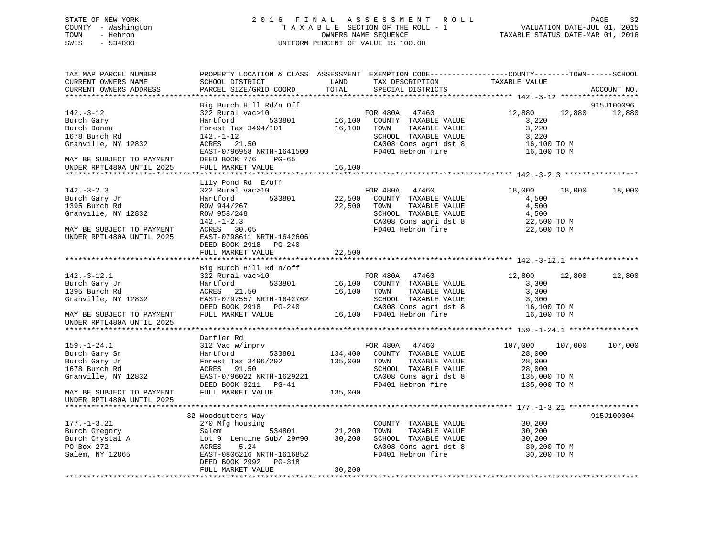## STATE OF NEW YORK 2 0 1 6 F I N A L A S S E S S M E N T R O L L PAGE 32 COUNTY - Washington T A X A B L E SECTION OF THE ROLL - 1 VALUATION DATE-JUL 01, 2015 TOWN - Hebron OWNERS NAME SEQUENCE TAXABLE STATUS DATE-MAR 01, 2016 SWIS - 534000 UNIFORM PERCENT OF VALUE IS 100.00

TAX MAP PARCEL NUMBER PROPERTY LOCATION & CLASS ASSESSMENT EXEMPTION CODE------------------COUNTY--------TOWN------SCHOOL CURRENT OWNERS NAME SCHOOL DISTRICT THE LAND TAX DESCRIPTION TAXABLE VALUE CURRENT OWNERS ADDRESS PARCEL SIZE/GRID COORD TOTAL SPECIAL DISTRICTS ACCOUNT NO. \*\*\*\*\*\*\*\*\*\*\*\*\*\*\*\*\*\*\*\*\*\*\*\*\*\*\*\*\*\*\*\*\*\*\*\*\*\*\*\*\*\*\*\*\*\*\*\*\*\*\*\*\*\*\*\*\*\*\*\*\*\*\*\*\*\*\*\*\*\*\*\*\*\*\*\*\*\*\*\*\*\*\*\*\*\*\*\*\*\*\*\*\*\*\*\*\*\*\*\*\*\*\* 142.-3-12 \*\*\*\*\*\*\*\*\*\*\*\*\*\*\*\*\*\* Big Burch Hill Rd/n Off 915J100096 142.-3-12 322 Rural vac>10 FOR 480A 47460 12,880 12,880 12,880 Burch Gary Hartford 533801 16,100 COUNTY TAXABLE VALUE 3,220 Burch Donna Forest Tax 3494/101 16,100 TOWN TAXABLE VALUE 3,220 1678 Burch Rd 142.-1-12 SCHOOL TAXABLE VALUE 3,220 Granville, NY 12832 ACRES 21.50 CA008 Cons agri dst 8 16,100 TO M EAST-0796958 NRTH-1641500 FD401 Hebron fire 16,100 TO M MAY BE SUBJECT TO PAYMENT DEED BOOK 776 PG-65 UNDER RPTL480A UNTIL 2025 FULL MARKET VALUE \*\*\*\*\*\*\*\*\*\*\*\*\*\*\*\*\*\*\*\*\*\*\*\*\*\*\*\*\*\*\*\*\*\*\*\*\*\*\*\*\*\*\*\*\*\*\*\*\*\*\*\*\*\*\*\*\*\*\*\*\*\*\*\*\*\*\*\*\*\*\*\*\*\*\*\*\*\*\*\*\*\*\*\*\*\*\*\*\*\*\*\*\*\*\*\*\*\*\*\*\*\*\* 142.-3-2.3 \*\*\*\*\*\*\*\*\*\*\*\*\*\*\*\*\* Lily Pond Rd E/off 142.-3-2.3 322 Rural vac>10 FOR 480A 47460 18,000 18,000 18,000 Burch Gary Jr Hartford 533801 22,500 COUNTY TAXABLE VALUE 4,500 1395 Burch Rd ROW 944/267 22,500 TOWN TAXABLE VALUE 4,500 Granville, NY 12832 ROW 958/248 SCHOOL TAXABLE VALUE 4,500 142.-1-2.3 CA008 Cons agri dst 8 22,500 TO M MAY BE SUBJECT TO PAYMENT ACRES 30.05 FD401 Hebron fire 22,500 TO M UNDER RPTL480A UNTIL 2025 EAST-0798611 NRTH-1642606 DEED BOOK 2918 PG-240FULL MARKET VALUE 22,500 \*\*\*\*\*\*\*\*\*\*\*\*\*\*\*\*\*\*\*\*\*\*\*\*\*\*\*\*\*\*\*\*\*\*\*\*\*\*\*\*\*\*\*\*\*\*\*\*\*\*\*\*\*\*\*\*\*\*\*\*\*\*\*\*\*\*\*\*\*\*\*\*\*\*\*\*\*\*\*\*\*\*\*\*\*\*\*\*\*\*\*\*\*\*\*\*\*\*\*\*\*\*\* 142.-3-12.1 \*\*\*\*\*\*\*\*\*\*\*\*\*\*\*\* Big Burch Hill Rd n/off 142.-3-12.1 322 Rural vac>10 FOR 480A 47460 12,800 12,800 12,800 Burch Gary Jr Hartford 533801 16,100 COUNTY TAXABLE VALUE 3,300 1395 Burch Rd ACRES 21.50 16,100 TOWN TAXABLE VALUE 3,300 Granville, NY 12832 EAST-0797557 NRTH-1642762 SCHOOL TAXABLE VALUE 3,300 DEED BOOK 2918 PG-240 CA008 Cons agri dst 8 16,100 TO M MAY BE SUBJECT TO PAYMENT FULL MARKET VALUE 16,100 FD401 Hebron fire 16,100 TO M UNDER RPTL480A UNTIL 2025 \*\*\*\*\*\*\*\*\*\*\*\*\*\*\*\*\*\*\*\*\*\*\*\*\*\*\*\*\*\*\*\*\*\*\*\*\*\*\*\*\*\*\*\*\*\*\*\*\*\*\*\*\*\*\*\*\*\*\*\*\*\*\*\*\*\*\*\*\*\*\*\*\*\*\*\*\*\*\*\*\*\*\*\*\*\*\*\*\*\*\*\*\*\*\*\*\*\*\*\*\*\*\* 159.-1-24.1 \*\*\*\*\*\*\*\*\*\*\*\*\*\*\*\* Darfler Rd312 Vac w/imprv 159.-1-24.1 312 Vac w/imprv FOR 480A 47460 107,000 107,000 107,000 Burch Gary Sr Hartford 533801 134,400 COUNTY TAXABLE VALUE 28,000 Burch Gary Jr Forest Tax 3496/292 135,000 TOWN TAXABLE VALUE 28,000 161 - 162<br>Forest Tax 3496/292<br>ACRES 91.50 Granville, NY 12832 EAST-0796022 NRTH-1629221 CA008 Cons agri dst 8 135,000 TO M DEED BOOK 3211 PG-41 FD401 Hebron fire 135,000 TO M MAY BE SUBJECT TO PAYMENT FULL MARKET VALUE 135,000 UNDER RPTL480A UNTIL 2025 \*\*\*\*\*\*\*\*\*\*\*\*\*\*\*\*\*\*\*\*\*\*\*\*\*\*\*\*\*\*\*\*\*\*\*\*\*\*\*\*\*\*\*\*\*\*\*\*\*\*\*\*\*\*\*\*\*\*\*\*\*\*\*\*\*\*\*\*\*\*\*\*\*\*\*\*\*\*\*\*\*\*\*\*\*\*\*\*\*\*\*\*\*\*\*\*\*\*\*\*\*\*\* 177.-1-3.21 \*\*\*\*\*\*\*\*\*\*\*\*\*\*\*\* 32 Woodcutters Way 915J100004 177.-1-3.21 270 Mfg housing COUNTY TAXABLE VALUE 30,200 Burch Gregory Salem 534801 21,200 TOWN TAXABLE VALUE 30,200 Burch Crystal A Lot 9 Lentine Sub/ 29#90 30,200 SCHOOL TAXABLE VALUE 30,200 PO Box 272 ACRES 5.24 CA008 Cons agri dst 8 30,200 TO M Salem, NY 12865 EAST-0806216 NRTH-1616852 FD401 Hebron fire DEED BOOK 2992 PG-318 FULL MARKET VALUE 30,200 \*\*\*\*\*\*\*\*\*\*\*\*\*\*\*\*\*\*\*\*\*\*\*\*\*\*\*\*\*\*\*\*\*\*\*\*\*\*\*\*\*\*\*\*\*\*\*\*\*\*\*\*\*\*\*\*\*\*\*\*\*\*\*\*\*\*\*\*\*\*\*\*\*\*\*\*\*\*\*\*\*\*\*\*\*\*\*\*\*\*\*\*\*\*\*\*\*\*\*\*\*\*\*\*\*\*\*\*\*\*\*\*\*\*\*\*\*\*\*\*\*\*\*\*\*\*\*\*\*\*\*\*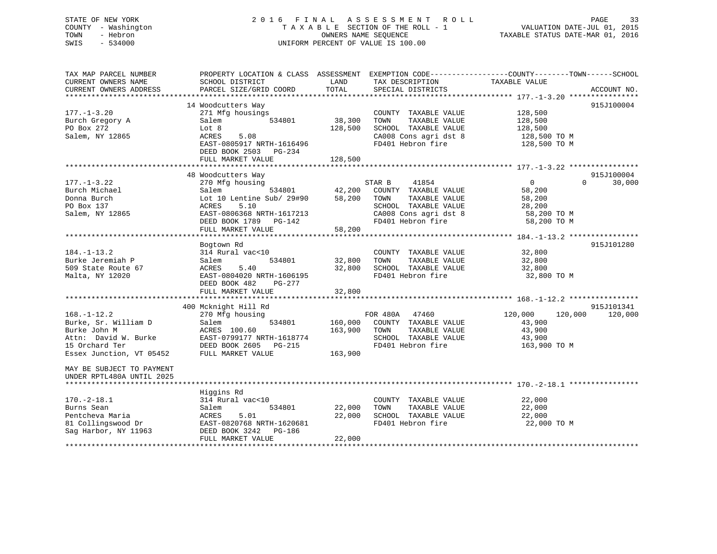## STATE OF NEW YORK 2 0 1 6 F I N A L A S S E S S M E N T R O L L PAGE 33 COUNTY - Washington T A X A B L E SECTION OF THE ROLL - 1 VALUATION DATE-JUL 01, 2015 TOWN - Hebron OWNERS NAME SEQUENCE TAXABLE STATUS DATE-MAR 01, 2016 SWIS - 534000 UNIFORM PERCENT OF VALUE IS 100.00

| TAX MAP PARCEL NUMBER<br>CURRENT OWNERS NAME<br>CURRENT OWNERS ADDRESS                                                                                     | PROPERTY LOCATION & CLASS ASSESSMENT<br>SCHOOL DISTRICT<br>PARCEL SIZE/GRID COORD                                                                                                 | LAND<br>TOTAL                 | TAX DESCRIPTION<br>SPECIAL DISTRICTS                                                                                                   | EXEMPTION CODE-----------------COUNTY-------TOWN------SCHOOL<br>TAXABLE VALUE<br>ACCOUNT NO.                   |
|------------------------------------------------------------------------------------------------------------------------------------------------------------|-----------------------------------------------------------------------------------------------------------------------------------------------------------------------------------|-------------------------------|----------------------------------------------------------------------------------------------------------------------------------------|----------------------------------------------------------------------------------------------------------------|
| $177. - 1 - 3.20$<br>Burch Gregory A<br>PO Box 272<br>Salem, NY 12865                                                                                      | 14 Woodcutters Way<br>271 Mfg housings<br>534801<br>Salem<br>Lot 8<br>5.08<br>ACRES<br>EAST-0805917 NRTH-1616496<br>DEED BOOK 2503<br>PG-234<br>FULL MARKET VALUE                 | 38,300<br>128,500<br>128,500  | COUNTY TAXABLE VALUE<br>TAXABLE VALUE<br>TOWN<br>SCHOOL TAXABLE VALUE<br>CA008 Cons agri dst 8<br>FD401 Hebron fire                    | 915J100004<br>128,500<br>128,500<br>128,500<br>128,500 TO M<br>128,500 TO M                                    |
| $177. - 1 - 3.22$<br>Burch Michael<br>Donna Burch<br>PO Box 137<br>Salem, NY 12865                                                                         | 48 Woodcutters Way<br>270 Mfg housing<br>534801<br>Salem<br>Lot 10 Lentine Sub/ 29#90<br>5.10<br>ACRES<br>EAST-0806368 NRTH-1617213<br>DEED BOOK 1789 PG-142<br>FULL MARKET VALUE | 42,200<br>58,200<br>58,200    | 41854<br>STAR B<br>COUNTY TAXABLE VALUE<br>TAXABLE VALUE<br>TOWN<br>SCHOOL TAXABLE VALUE<br>CA008 Cons agri dst 8<br>FD401 Hebron fire | 915J100004<br>$\overline{0}$<br>$\Omega$<br>30,000<br>58,200<br>58,200<br>28,200<br>58,200 TO M<br>58,200 TO M |
| $184. - 1 - 13.2$<br>Burke Jeremiah P<br>509 State Route 67<br>Malta, NY 12020                                                                             | Bogtown Rd<br>314 Rural vac<10<br>534801<br>Salem<br>ACRES<br>5.40<br>EAST-0804020 NRTH-1606195<br>DEED BOOK 482<br>$PG-277$<br>FULL MARKET VALUE                                 | 32,800<br>32,800<br>32,800    | COUNTY TAXABLE VALUE<br>TOWN<br>TAXABLE VALUE<br>SCHOOL TAXABLE VALUE<br>FD401 Hebron fire                                             | 915J101280<br>32,800<br>32,800<br>32,800<br>32,800 TO M                                                        |
| $168. - 1 - 12.2$<br>Burke, Sr. William D<br>Burke John M<br>Attn: David W. Burke<br>15 Orchard Ter<br>Essex Junction, VT 05452                            | 400 Mcknight Hill Rd<br>270 Mfg housing<br>534801<br>Salem<br>ACRES 100.60<br>EAST-0799177 NRTH-1618774<br>DEED BOOK 2605 PG-215<br>FULL MARKET VALUE                             | 160,000<br>163,900<br>163,900 | FOR 480A 47460<br>COUNTY TAXABLE VALUE<br>TOWN<br>TAXABLE VALUE<br>SCHOOL TAXABLE VALUE<br>FD401 Hebron fire                           | 915J101341<br>120,000<br>120,000<br>120,000<br>43,900<br>43,900<br>43,900<br>163,900 TO M                      |
| MAY BE SUBJECT TO PAYMENT<br>UNDER RPTL480A UNTIL 2025<br>$170. - 2 - 18.1$<br>Burns Sean<br>Pentcheva Maria<br>81 Collingswood Dr<br>Saq Harbor, NY 11963 | Higgins Rd<br>314 Rural vac<10<br>Salem<br>534801<br>5.01<br>ACRES<br>EAST-0820768 NRTH-1620681<br>DEED BOOK 3242 PG-186<br>FULL MARKET VALUE                                     | 22,000<br>22,000<br>22,000    | COUNTY TAXABLE VALUE<br>TAXABLE VALUE<br>TOWN<br>SCHOOL TAXABLE VALUE<br>FD401 Hebron fire                                             | 22,000<br>22,000<br>22,000<br>22,000 TO M                                                                      |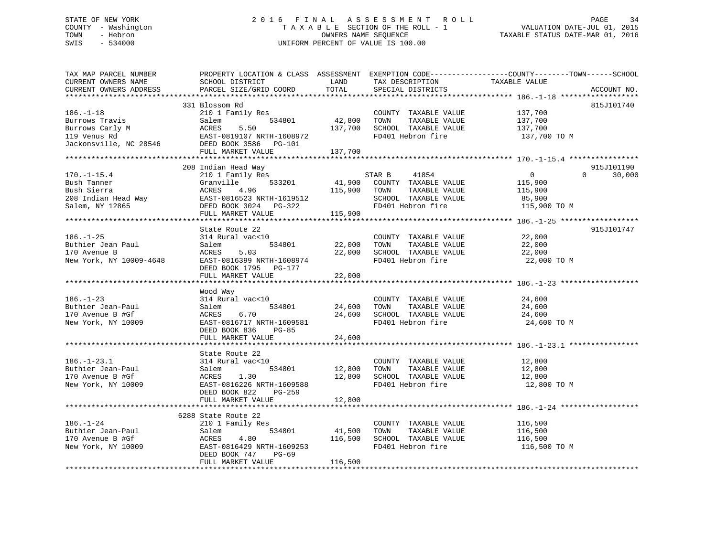## STATE OF NEW YORK 2 0 1 6 F I N A L A S S E S S M E N T R O L L PAGE 34 COUNTY - Washington T A X A B L E SECTION OF THE ROLL - 1 VALUATION DATE-JUL 01, 2015 TOWN - Hebron OWNERS NAME SEQUENCE TAXABLE STATUS DATE-MAR 01, 2016 SWIS - 534000 UNIFORM PERCENT OF VALUE IS 100.00

| TAX MAP PARCEL NUMBER<br>CURRENT OWNERS NAME<br>CURRENT OWNERS ADDRESS                                               | SCHOOL DISTRICT<br>PARCEL SIZE/GRID COORD                                                                                                                  | LAND<br>TOTAL                | TAX DESCRIPTION<br>SPECIAL DISTRICTS                                                                          | PROPERTY LOCATION & CLASS ASSESSMENT EXEMPTION CODE---------------COUNTY-------TOWN------SCHOOL<br>TAXABLE VALUE<br>ACCOUNT NO. |        |
|----------------------------------------------------------------------------------------------------------------------|------------------------------------------------------------------------------------------------------------------------------------------------------------|------------------------------|---------------------------------------------------------------------------------------------------------------|---------------------------------------------------------------------------------------------------------------------------------|--------|
|                                                                                                                      |                                                                                                                                                            |                              |                                                                                                               |                                                                                                                                 |        |
| $186. - 1 - 18$<br>Burrows Travis<br>Burrows Carly M<br>119 Venus Rd<br>Jackonsville, NC 28546 DEED BOOK 3586 PG-101 | 331 Blossom Rd<br>210 1 Family Res<br>534801<br>Salem<br>ACRES<br>5.50<br>EAST-0819107 NRTH-1608972                                                        | 42,800<br>137,700            | COUNTY TAXABLE VALUE<br>TOWN<br>TAXABLE VALUE<br>SCHOOL TAXABLE VALUE<br>FD401 Hebron fire                    | 815J101740<br>137,700<br>137,700<br>137,700<br>137,700 TO M                                                                     |        |
|                                                                                                                      | FULL MARKET VALUE                                                                                                                                          | 137,700                      |                                                                                                               |                                                                                                                                 |        |
| $170. - 1 - 15.4$<br>Bush Tanner<br>Bush Sierra<br>208 Indian Head Way<br>Salem, NY 12865                            | 208 Indian Head Way<br>210 1 Family Res<br>533201<br>Granville<br>4.96<br>ACRES<br>EAST-0816523 NRTH-1619512<br>DEED BOOK 3024 PG-322<br>FULL MARKET VALUE | 41,900<br>115,900<br>115,900 | STAR B<br>41854<br>COUNTY TAXABLE VALUE<br>TOWN<br>TAXABLE VALUE<br>SCHOOL TAXABLE VALUE<br>FD401 Hebron fire | 915J101190<br>$\overline{0}$<br>$\Omega$<br>115,900<br>115,900<br>85,900<br>115,900 TO M                                        | 30,000 |
|                                                                                                                      |                                                                                                                                                            |                              |                                                                                                               |                                                                                                                                 |        |
| $186. - 1 - 25$<br>Buthier Jean Paul<br>170 Avenue B<br>New York, NY 10009-4648                                      | State Route 22<br>314 Rural vac<10<br>534801<br>Salem<br>ACRES<br>5.03<br>EAST-0816399 NRTH-1608974<br>DEED BOOK 1795 PG-177<br>FULL MARKET VALUE          | 22,000<br>22,000<br>22,000   | COUNTY TAXABLE VALUE<br>TAXABLE VALUE<br>TOWN<br>SCHOOL TAXABLE VALUE<br>FD401 Hebron fire                    | 915J101747<br>22,000<br>22,000<br>22,000<br>22,000 TO M                                                                         |        |
|                                                                                                                      |                                                                                                                                                            |                              |                                                                                                               |                                                                                                                                 |        |
| $186. - 1 - 23$<br>Buthier Jean-Paul<br>170 Avenue B #Gf<br>New York, NY 10009                                       | Wood Way<br>314 Rural vac<10<br>534801<br>Salem<br>6.70<br>ACRES<br>EAST-0816717 NRTH-1609581<br>DEED BOOK 836<br>$PG-85$<br>FULL MARKET VALUE             | 24,600<br>24,600<br>24,600   | COUNTY TAXABLE VALUE<br>TAXABLE VALUE<br>TOWN<br>SCHOOL TAXABLE VALUE<br>FD401 Hebron fire                    | 24,600<br>24,600<br>24,600<br>24,600 TO M                                                                                       |        |
|                                                                                                                      |                                                                                                                                                            |                              |                                                                                                               |                                                                                                                                 |        |
| $186. - 1 - 23.1$<br>Buthier Jean-Paul<br>170 Avenue B #Gf<br>New York, NY 10009                                     | State Route 22<br>314 Rural vac<10<br>534801<br>Salem<br>ACRES<br>1.30<br>EAST-0816226 NRTH-1609588<br>DEED BOOK 822<br>PG-259<br>FULL MARKET VALUE        | 12,800<br>12,800<br>12,800   | COUNTY TAXABLE VALUE<br>TOWN<br>TAXABLE VALUE<br>SCHOOL TAXABLE VALUE<br>FD401 Hebron fire                    | 12,800<br>12,800<br>12,800<br>12,800 TO M                                                                                       |        |
|                                                                                                                      |                                                                                                                                                            |                              |                                                                                                               |                                                                                                                                 |        |
| $186. - 1 - 24$<br>Buthier Jean-Paul<br>170 Avenue B #Gf<br>New York, NY 10009                                       | 6288 State Route 22<br>210 1 Family Res<br>534801<br>Salem<br>ACRES<br>4.80<br>EAST-0816429 NRTH-1609253<br>DEED BOOK 747<br>PG-69                         | 41,500<br>116,500            | COUNTY TAXABLE VALUE<br>TOWN<br>TAXABLE VALUE<br>SCHOOL TAXABLE VALUE<br>FD401 Hebron fire                    | 116,500<br>116,500<br>116,500<br>116,500 TO M                                                                                   |        |
|                                                                                                                      | FULL MARKET VALUE                                                                                                                                          | 116,500                      |                                                                                                               |                                                                                                                                 |        |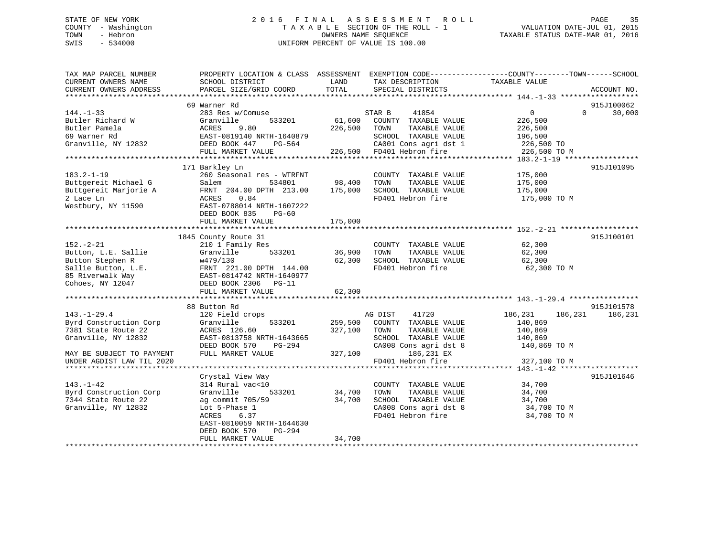# STATE OF NEW YORK 2 0 1 6 F I N A L A S S E S S M E N T R O L L PAGE 35COUNTY - Washington  $T A X A B L E$  SECTION OF THE ROLL - 1<br>TOWN - Hebron DATE-JUL 000NERS NAME SEQUENCE SWIS - 534000 UNIFORM PERCENT OF VALUE IS 100.00

TAXABLE STATUS DATE-MAR 01, 2016

| TAX MAP PARCEL NUMBER     | PROPERTY LOCATION & CLASS ASSESSMENT EXEMPTION CODE----------------COUNTY-------TOWN------SCHOOL |         |                           |                            |             |
|---------------------------|--------------------------------------------------------------------------------------------------|---------|---------------------------|----------------------------|-------------|
| CURRENT OWNERS NAME       | SCHOOL DISTRICT                                                                                  | LAND    | TAX DESCRIPTION           | TAXABLE VALUE              |             |
| CURRENT OWNERS ADDRESS    | PARCEL SIZE/GRID COORD                                                                           | TOTAL   | SPECIAL DISTRICTS         |                            | ACCOUNT NO. |
|                           |                                                                                                  |         |                           |                            |             |
|                           | 69 Warner Rd                                                                                     |         |                           |                            | 915J100062  |
| $144. - 1 - 33$           | 283 Res w/Comuse                                                                                 |         | 41854<br>STAR B           | $\overline{0}$<br>$\Omega$ | 30,000      |
| Butler Richard W          | 533201<br>Granville                                                                              | 61,600  | COUNTY TAXABLE VALUE      | 226,500                    |             |
| Butler Pamela             | 9.80<br>ACRES                                                                                    | 226,500 | TOWN<br>TAXABLE VALUE     | 226,500                    |             |
| 69 Warner Rd              | EAST-0819140 NRTH-1640879                                                                        |         | SCHOOL TAXABLE VALUE      | 196,500                    |             |
| Granville, NY 12832       | DEED BOOK 447<br>PG-564                                                                          |         | CA001 Cons agri dst 1     | 226,500 TO                 |             |
|                           | FULL MARKET VALUE                                                                                |         | 226,500 FD401 Hebron fire | 226,500 TO M               |             |
|                           |                                                                                                  |         |                           |                            |             |
|                           | 171 Barkley Ln                                                                                   |         |                           |                            | 915J101095  |
| $183.2 - 1 - 19$          | 260 Seasonal res - WTRFNT                                                                        |         | COUNTY TAXABLE VALUE      | 175,000                    |             |
| Buttgereit Michael G      | Salem<br>534801                                                                                  | 98,400  | TOWN<br>TAXABLE VALUE     | 175,000                    |             |
| Buttgereit Marjorie A     | FRNT 204.00 DPTH 213.00                                                                          | 175,000 | SCHOOL TAXABLE VALUE      | 175,000                    |             |
| 2 Lace Ln                 | ACRES<br>0.84                                                                                    |         | FD401 Hebron fire         | 175,000 TO M               |             |
| Westbury, NY 11590        | EAST-0788014 NRTH-1607222                                                                        |         |                           |                            |             |
|                           | DEED BOOK 835<br>$PG-60$                                                                         |         |                           |                            |             |
|                           | FULL MARKET VALUE                                                                                | 175,000 |                           |                            |             |
|                           |                                                                                                  |         |                           |                            |             |
|                           | 1845 County Route 31                                                                             |         |                           |                            | 915J100101  |
| $152. - 2 - 21$           | 210 1 Family Res                                                                                 |         | COUNTY TAXABLE VALUE      | 62,300                     |             |
| Button, L.E. Sallie       | 533201<br>Granville                                                                              | 36,900  | TAXABLE VALUE<br>TOWN     | 62,300                     |             |
| Button Stephen R          | w479/130                                                                                         | 62,300  | SCHOOL TAXABLE VALUE      | 62,300                     |             |
| Sallie Button, L.E.       | FRNT 221.00 DPTH 144.00                                                                          |         | FD401 Hebron fire         | 62,300 TO M                |             |
| 85 Riverwalk Way          | EAST-0814742 NRTH-1640977                                                                        |         |                           |                            |             |
| Cohoes, NY 12047          | DEED BOOK 2306 PG-11                                                                             |         |                           |                            |             |
|                           | FULL MARKET VALUE                                                                                | 62,300  |                           |                            |             |
|                           |                                                                                                  |         |                           |                            |             |
|                           | 88 Button Rd                                                                                     |         |                           |                            | 915J101578  |
| $143. - 1 - 29.4$         | 120 Field crops                                                                                  |         | AG DIST<br>41720          | 186,231<br>186,231         | 186,231     |
| Byrd Construction Corp    | Granville<br>533201                                                                              | 259,500 | COUNTY TAXABLE VALUE      | 140,869                    |             |
| 7381 State Route 22       | ACRES 126.60                                                                                     | 327,100 | TAXABLE VALUE<br>TOWN     | 140,869                    |             |
| Granville, NY 12832       | EAST-0813758 NRTH-1643665                                                                        |         | SCHOOL TAXABLE VALUE      | 140,869                    |             |
|                           | DEED BOOK 570<br>PG-294                                                                          |         | CA008 Cons agri dst 8     | 140,869 TO M               |             |
| MAY BE SUBJECT TO PAYMENT | FULL MARKET VALUE                                                                                | 327,100 | 186,231 EX                |                            |             |
| UNDER AGDIST LAW TIL 2020 |                                                                                                  |         | FD401 Hebron fire         | 327,100 TO M               |             |
|                           |                                                                                                  |         |                           |                            |             |
|                           | Crystal View Way                                                                                 |         |                           |                            | 915J101646  |
| $143. - 1 - 42$           | 314 Rural vac<10                                                                                 |         | COUNTY TAXABLE VALUE      | 34,700                     |             |
| Byrd Construction Corp    | Granville<br>533201                                                                              | 34,700  | TAXABLE VALUE<br>TOWN     | 34,700                     |             |
| 7344 State Route 22       | ag commit 705/59                                                                                 | 34,700  | SCHOOL TAXABLE VALUE      | 34,700                     |             |
| Granville, NY 12832       | Lot 5-Phase 1                                                                                    |         | CA008 Cons agri dst 8     | 34,700 TO M                |             |
|                           | ACRES<br>6.37                                                                                    |         | FD401 Hebron fire         | 34,700 TO M                |             |
|                           | EAST-0810059 NRTH-1644630                                                                        |         |                           |                            |             |
|                           | DEED BOOK 570<br>PG-294                                                                          |         |                           |                            |             |
|                           | FULL MARKET VALUE                                                                                | 34,700  |                           |                            |             |
|                           |                                                                                                  |         |                           |                            |             |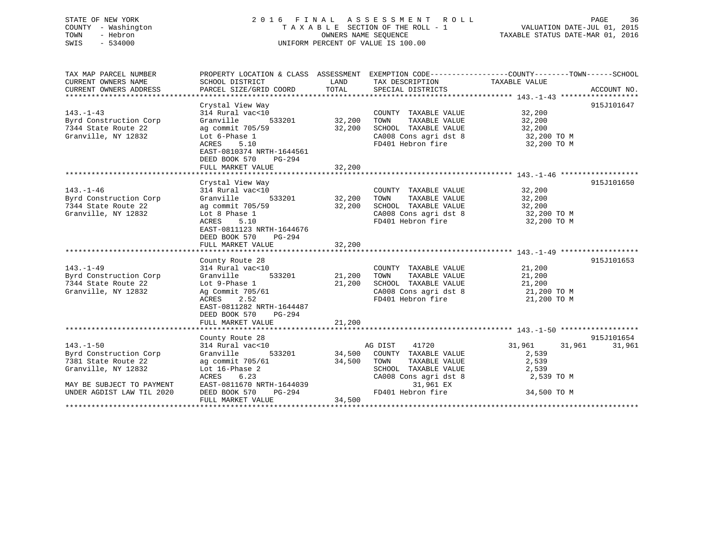#### STATE OF NEW YORK 2 0 1 6 F I N A L A S S E S S M E N T R O L L PAGE 36COUNTY - Washington T A X A B L E SECTION OF THE ROLL - 1 TOWN - Hebron OWNERS NAME SEQUENCE TAXABLE STATUS DATE-MAR 01, 2016 SWIS - 534000 UNIFORM PERCENT OF VALUE IS 100.00

oc PAGE<br>VALUATION DATE-JUL 01, 2015

| PROPERTY LOCATION & CLASS ASSESSMENT<br>SCHOOL DISTRICT<br>PARCEL SIZE/GRID COORD                                                                                                              | LAND<br>TOTAL                                             | TAX DESCRIPTION<br>SPECIAL DISTRICTS                                                                                                      | EXEMPTION CODE-----------------COUNTY-------TOWN------SCHOOL             |                                                                                                |
|------------------------------------------------------------------------------------------------------------------------------------------------------------------------------------------------|-----------------------------------------------------------|-------------------------------------------------------------------------------------------------------------------------------------------|--------------------------------------------------------------------------|------------------------------------------------------------------------------------------------|
| Crystal View Way<br>314 Rural vac<10<br>Granville<br>ag commit 705/59<br>Lot 6-Phase 1<br>5.10<br>ACRES<br>EAST-0810374 NRTH-1644561<br>DEED BOOK 570<br>PG-294                                | 32,200                                                    | COUNTY TAXABLE VALUE<br>TAXABLE VALUE<br>TOWN<br>SCHOOL TAXABLE VALUE<br>CA008 Cons agri dst 8<br>FD401 Hebron fire                       | 32,200<br>32,200<br>32,200<br>32,200 TO M<br>32,200 TO M                 |                                                                                                |
|                                                                                                                                                                                                |                                                           |                                                                                                                                           |                                                                          |                                                                                                |
| Crystal View Way<br>314 Rural vac<10<br>533201<br>Granville<br>ag commit 705/59<br>Lot 8 Phase 1<br>5.10<br>ACRES<br>EAST-0811123 NRTH-1644676<br>DEED BOOK 570<br>PG-294<br>FULL MARKET VALUE | 32,200<br>32,200                                          | COUNTY TAXABLE VALUE<br>TOWN<br>TAXABLE VALUE<br>SCHOOL TAXABLE VALUE<br>CA008 Cons agri dst 8<br>FD401 Hebron fire                       | 32,200<br>32,200<br>32,200<br>32,200 TO M<br>32,200 TO M                 |                                                                                                |
| County Route 28<br>314 Rural vac<10<br>Granville<br>Lot 9-Phase 1<br>Ag Commit 705/61<br>2.52<br>ACRES<br>EAST-0811282 NRTH-1644487<br>DEED BOOK 570<br>PG-294<br>FULL MARKET VALUE            | 21,200<br>21,200<br>21,200                                | COUNTY TAXABLE VALUE<br>TOWN<br>TAXABLE VALUE<br>SCHOOL TAXABLE VALUE<br>CA008 Cons agri dst 8<br>FD401 Hebron fire                       | 21,200<br>21,200<br>21,200<br>21,200 TO M<br>21,200 TO M                 |                                                                                                |
|                                                                                                                                                                                                |                                                           |                                                                                                                                           |                                                                          |                                                                                                |
| 314 Rural vac<10<br>533201<br>Granville<br>ag commit 705/61<br>Lot 16-Phase 2<br>ACRES<br>6.23<br>EAST-0811670 NRTH-1644039<br>DEED BOOK 570<br>PG-294                                         | 34,500                                                    | 41720<br>COUNTY TAXABLE VALUE<br>TAXABLE VALUE<br>TOWN<br>SCHOOL TAXABLE VALUE<br>CA008 Cons agri dst 8<br>31,961 EX<br>FD401 Hebron fire | 31,961<br>31,961<br>2,539<br>2,539<br>2,539<br>2,539 TO M<br>34,500 TO M |                                                                                                |
|                                                                                                                                                                                                | FULL MARKET VALUE<br>County Route 28<br>FULL MARKET VALUE | 533201 32,200<br>32,200<br>533201<br>34,500                                                                                               | 32,200<br>AG DIST<br>34,500                                              | TAXABLE VALUE<br>ACCOUNT NO.<br>915J101647<br>915J101650<br>915J101653<br>915J101654<br>31,961 |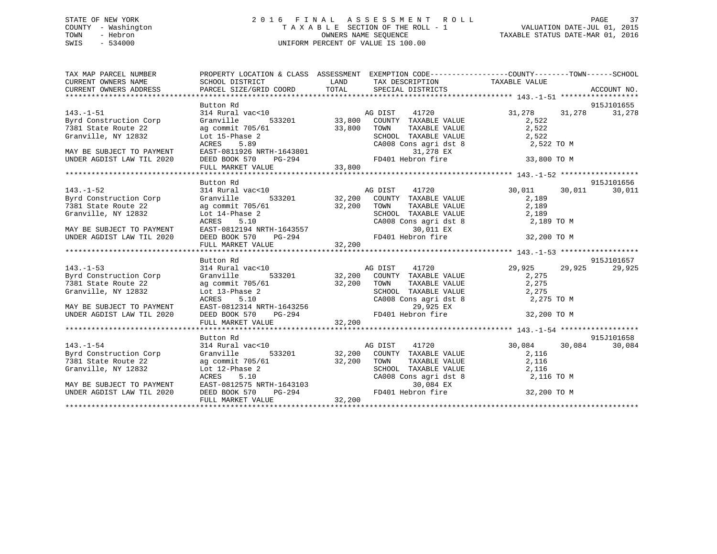# STATE OF NEW YORK 2 0 1 6 F I N A L A S S E S S M E N T R O L L PAGE 37 COUNTY - Washington T A X A B L E SECTION OF THE ROLL - 1 VALUATION DATE-JUL 01, 2015 TOWN - Hebron OWNERS NAME SEQUENCE TAXABLE STATUS DATE-MAR 01, 2016 SWIS - 534000 UNIFORM PERCENT OF VALUE IS 100.00

| TAX MAP PARCEL NUMBER                                                                                                         | PROPERII LOCAIIO<br>SCHOOL DISTRICT | PROPERTY LOCATION & CLASS ASSESSMENT EXEMPTION CODE-----------------COUNTY-------TOWN------SCHOOL                                                                                                                                                      |                     |            |
|-------------------------------------------------------------------------------------------------------------------------------|-------------------------------------|--------------------------------------------------------------------------------------------------------------------------------------------------------------------------------------------------------------------------------------------------------|---------------------|------------|
|                                                                                                                               |                                     |                                                                                                                                                                                                                                                        |                     |            |
|                                                                                                                               | Button Rd                           |                                                                                                                                                                                                                                                        |                     | 915J101655 |
| $143. - 1 - 51$                                                                                                               |                                     | 314 Rural vac<10<br>314 Rural vac<10<br>533201 33,800 COUNTY TAXABLE VALUE<br>31, 200 COUNTY TAXABLE VALUE                                                                                                                                             | 41720 31,278 31,278 | 31,278     |
| Byrd Construction Corp                                                                                                        |                                     |                                                                                                                                                                                                                                                        | 2,522               |            |
| 7381 State Route 22                                                                                                           |                                     |                                                                                                                                                                                                                                                        |                     |            |
| Granville, NY 12832                                                                                                           |                                     |                                                                                                                                                                                                                                                        |                     |            |
|                                                                                                                               |                                     | and commit 105/61<br>and commit 105/61<br>and 2,522<br>and 15-Phase 2<br>EAST-0811926 NRTH-1643801<br>DEED BOOK 570 PG-294<br>FULL MARKET VALUE<br>THE 33,800<br>CA008 Cons agri dst 8<br>2,522<br>CA008 Cons agri dst 8<br>31,278 EX<br>FD401 Hebron  |                     |            |
| MAY BE SUBJECT TO PAYMENT                                                                                                     |                                     |                                                                                                                                                                                                                                                        |                     |            |
| UNDER AGDIST LAW TIL 2020                                                                                                     |                                     |                                                                                                                                                                                                                                                        |                     |            |
|                                                                                                                               |                                     |                                                                                                                                                                                                                                                        |                     |            |
|                                                                                                                               | Button Rd                           |                                                                                                                                                                                                                                                        |                     | 915J101656 |
| $143. - 1 - 52$                                                                                                               |                                     |                                                                                                                                                                                                                                                        |                     | 30,011     |
| Byrd Construction Corp                                                                                                        |                                     | 314 Rural vac<10<br>314 Rural vac<10<br>67 Granville 533201 32,200 COUNTY TAXABLE VALUE 30,011                                                                                                                                                         |                     |            |
| 7381 State Route 22                                                                                                           |                                     |                                                                                                                                                                                                                                                        |                     |            |
|                                                                                                                               |                                     |                                                                                                                                                                                                                                                        |                     |            |
|                                                                                                                               |                                     |                                                                                                                                                                                                                                                        |                     |            |
|                                                                                                                               |                                     |                                                                                                                                                                                                                                                        |                     |            |
|                                                                                                                               |                                     |                                                                                                                                                                                                                                                        |                     |            |
|                                                                                                                               |                                     | 32,200 COMPT TAXABLE VALUE<br>7381 State Route 22 ag commit 705/61 32,200 COMPT TAXABLE VALUE<br>32,200 TOWN TAXABLE VALUE<br>32,200 TOWN TAXABLE VALUE<br>82,189 CHOOL TAXABLE VALUE<br>82,189 ACRES 5.10 CA008 Cons agri dst 8 2,189 T               |                     |            |
|                                                                                                                               |                                     |                                                                                                                                                                                                                                                        |                     |            |
| 143.-1-53<br>Byrd Construction Corp 314 Rural<br>Construction Corp Granville<br>Construction Corp and Granville<br>Tot 13-Pha |                                     |                                                                                                                                                                                                                                                        |                     | 915J101657 |
|                                                                                                                               |                                     |                                                                                                                                                                                                                                                        | 29,925<br>29,925    | 29,925     |
|                                                                                                                               |                                     | Button Rd<br>314 Rural vac<10 132,200 AG DIST 41720 29,925<br>Granville 533201 32,200 COUNTY TAXABLE VALUE 2,275<br>32,200 TOWN TAXABLE VALUE 2,275                                                                                                    |                     |            |
|                                                                                                                               |                                     |                                                                                                                                                                                                                                                        |                     |            |
|                                                                                                                               |                                     |                                                                                                                                                                                                                                                        |                     |            |
|                                                                                                                               |                                     |                                                                                                                                                                                                                                                        |                     |            |
|                                                                                                                               |                                     |                                                                                                                                                                                                                                                        |                     |            |
|                                                                                                                               |                                     | Byrd Construction Corp<br>TAXABLE VALUE<br>32, 200 TOWN TAXABLE VALUE<br>32, 200 TOWN TAXABLE VALUE<br>32, 200 TOWN TAXABLE VALUE<br>32, 200 TOWN TAXABLE VALUE<br>2, 275 TO M<br>MAY BE SUBJECT TO PAYMENT<br>EAST-0812314 NRTH-1643256<br>29,        |                     |            |
|                                                                                                                               |                                     |                                                                                                                                                                                                                                                        |                     |            |
|                                                                                                                               |                                     |                                                                                                                                                                                                                                                        |                     | 915J101658 |
| $143. - 1 - 54$                                                                                                               |                                     |                                                                                                                                                                                                                                                        | $30,084$ $30,084$   | 30,084     |
| 143.-1-54<br>Byrd Construction Corp<br>7381 State Route 22                                                                    |                                     |                                                                                                                                                                                                                                                        |                     |            |
|                                                                                                                               |                                     |                                                                                                                                                                                                                                                        |                     |            |
| Granville, NY 12832                                                                                                           |                                     |                                                                                                                                                                                                                                                        |                     |            |
|                                                                                                                               |                                     |                                                                                                                                                                                                                                                        | 2,116 TO M          |            |
| MAY BE SUBJECT TO PAYMENT                                                                                                     |                                     |                                                                                                                                                                                                                                                        |                     |            |
| UNDER AGDIST LAW TIL 2020                                                                                                     |                                     | FD401 Hebron fire 32,200 TO M                                                                                                                                                                                                                          |                     |            |
|                                                                                                                               |                                     | Button Rd<br>Button Rd<br>314 Rural vac<10<br>Granville 533201<br>533201<br>32,200 COUNTY TAXABLE VALUE 2,116<br>2,116<br>ag commit 705/61<br>Lot 12-Phase 2<br>ACRES 5.10<br>EAST-0812575 NRTH-1643103<br>DEED BOOK 570 PG-294<br>FD401 Hebron fire 3 |                     |            |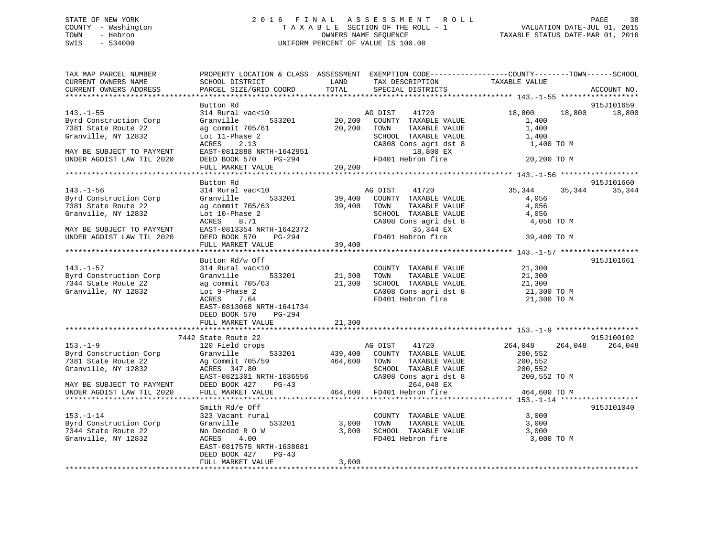# STATE OF NEW YORK 2 0 1 6 F I N A L A S S E S S M E N T R O L L PAGE 38 COUNTY - Washington T A X A B L E SECTION OF THE ROLL - 1 VALUATION DATE-JUL 01, 2015 TOWN - Hebron OWNERS NAME SEQUENCE TAXABLE STATUS DATE-MAR 01, 2016 SWIS - 534000 UNIFORM PERCENT OF VALUE IS 100.00

| TAX MAP PARCEL NUMBER     | PROPERTY LOCATION & CLASS ASSESSMENT EXEMPTION CODE---------------COUNTY-------TOWN------SCHOOL |              |                              |                    |             |
|---------------------------|-------------------------------------------------------------------------------------------------|--------------|------------------------------|--------------------|-------------|
| CURRENT OWNERS NAME       | SCHOOL DISTRICT                                                                                 | LAND         | TAX DESCRIPTION              | TAXABLE VALUE      |             |
| CURRENT OWNERS ADDRESS    | PARCEL SIZE/GRID COORD                                                                          | TOTAL        | SPECIAL DISTRICTS            |                    | ACCOUNT NO. |
|                           |                                                                                                 |              |                              |                    |             |
|                           | Button Rd                                                                                       |              |                              |                    | 915J101659  |
| $143. - 1 - 55$           | 314 Rural vac<10                                                                                |              | AG DIST<br>41720             | 18,800<br>18,800   | 18,800      |
| Byrd Construction Corp    | Granville<br>533201                                                                             | 20,200       | COUNTY TAXABLE VALUE         | 1,400              |             |
| 7381 State Route 22       | ag commit 705/61                                                                                | 20,200       | TOWN<br>TAXABLE VALUE        | 1,400              |             |
| Granville, NY 12832       | Lot 11-Phase 2                                                                                  |              | SCHOOL TAXABLE VALUE         | 1,400              |             |
|                           | ACRES<br>2.13                                                                                   |              | CA008 Cons agri dst 8        | 1,400 TO M         |             |
| MAY BE SUBJECT TO PAYMENT | EAST-0812888 NRTH-1642951                                                                       |              | 18,800 EX                    |                    |             |
| UNDER AGDIST LAW TIL 2020 | DEED BOOK 570<br>PG-294                                                                         |              | FD401 Hebron fire            | 20,200 TO M        |             |
|                           |                                                                                                 |              |                              |                    |             |
| **********************    | FULL MARKET VALUE<br>***********************                                                    | 20,200       |                              |                    |             |
|                           |                                                                                                 |              |                              |                    |             |
|                           | Button Rd                                                                                       |              |                              |                    | 915J101660  |
| $143. - 1 - 56$           | 314 Rural vac<10                                                                                |              | AG DIST<br>41720             | 35,344<br>35,344   | 35,344      |
| Byrd Construction Corp    | 533201<br>Granville                                                                             | 39,400       | COUNTY TAXABLE VALUE         | 4,056              |             |
| 7381 State Route 22       | ag commit 705/63                                                                                | 39,400       | TOWN<br>TAXABLE VALUE        | 4,056              |             |
| Granville, NY 12832       | Lot 10-Phase 2                                                                                  |              | SCHOOL TAXABLE VALUE         | 4,056              |             |
|                           | ACRES<br>8.71                                                                                   |              | CA008 Cons agri dst 8        | 4,056 TO M         |             |
| MAY BE SUBJECT TO PAYMENT | EAST-0813354 NRTH-1642372                                                                       |              | 35,344 EX                    |                    |             |
| UNDER AGDIST LAW TIL 2020 | DEED BOOK 570<br>PG-294                                                                         |              | FD401 Hebron fire            | 39,400 TO M        |             |
|                           | FULL MARKET VALUE                                                                               | 39,400       |                              |                    |             |
|                           |                                                                                                 |              |                              |                    |             |
|                           | Button Rd/w Off                                                                                 |              |                              |                    | 915J101661  |
| $143. - 1 - 57$           | 314 Rural vac<10                                                                                |              | COUNTY TAXABLE VALUE         | 21,300             |             |
| Byrd Construction Corp    | Granville 533201                                                                                | 21,300       | TAXABLE VALUE<br>TOWN        | 21,300             |             |
| 7344 State Route 22       | ag commit 705/63                                                                                |              | 21,300 SCHOOL TAXABLE VALUE  | 21,300             |             |
| Granville, NY 12832       | Lot 9-Phase 2                                                                                   |              | CA008 Cons agri dst 8        | 21,300 TO M        |             |
|                           | ACRES<br>7.64                                                                                   |              | FD401 Hebron fire            | 21,300 TO M        |             |
|                           |                                                                                                 |              |                              |                    |             |
|                           | EAST-0813068 NRTH-1641734                                                                       |              |                              |                    |             |
|                           | DEED BOOK 570<br>PG-294                                                                         |              |                              |                    |             |
|                           | FULL MARKET VALUE                                                                               | 21,300       |                              |                    |             |
|                           |                                                                                                 |              |                              |                    |             |
|                           | 7442 State Route 22                                                                             |              |                              |                    | 915J100102  |
| $153. - 1 - 9$            | 120 Field crops                                                                                 |              | AG DIST<br>41720             | 264,048<br>264,048 | 264,048     |
| Byrd Construction Corp    | 533201<br>Granville                                                                             |              | 439,400 COUNTY TAXABLE VALUE | 200,552            |             |
| 7381 State Route 22       | Ag Commit 705/59                                                                                | 464,600 TOWN | TAXABLE VALUE                | 200,552            |             |
| Granville, NY 12832       | ACRES 347.80                                                                                    |              | SCHOOL TAXABLE VALUE         | 200,552            |             |
|                           | EAST-0821301 NRTH-1636556                                                                       |              | CA008 Cons agri dst 8        | 200,552 TO M       |             |
| MAY BE SUBJECT TO PAYMENT | DEED BOOK 427<br>PG-43                                                                          |              | 264,048 EX                   |                    |             |
| UNDER AGDIST LAW TIL 2020 | FULL MARKET VALUE                                                                               | 464,600      | FD401 Hebron fire            | 464,600 TO M       |             |
|                           |                                                                                                 |              |                              |                    |             |
|                           | Smith Rd/e Off                                                                                  |              |                              |                    | 915J101040  |
| $153. - 1 - 14$           | 323 Vacant rural                                                                                |              | COUNTY TAXABLE VALUE         | 3,000              |             |
| Byrd Construction Corp    | Granville<br>533201                                                                             | 3,000        | TOWN<br>TAXABLE VALUE        | 3,000              |             |
| 7344 State Route 22       | No Deeded R O W                                                                                 | 3,000        | SCHOOL TAXABLE VALUE         | 3,000              |             |
| Granville, NY 12832       | 4.00<br>ACRES                                                                                   |              | FD401 Hebron fire            | 3,000 TO M         |             |
|                           | EAST-0817575 NRTH-1638681                                                                       |              |                              |                    |             |
|                           | DEED BOOK 427<br>PG-43                                                                          |              |                              |                    |             |
|                           |                                                                                                 | 3,000        |                              |                    |             |
|                           | FULL MARKET VALUE                                                                               |              |                              |                    |             |
|                           |                                                                                                 |              |                              |                    |             |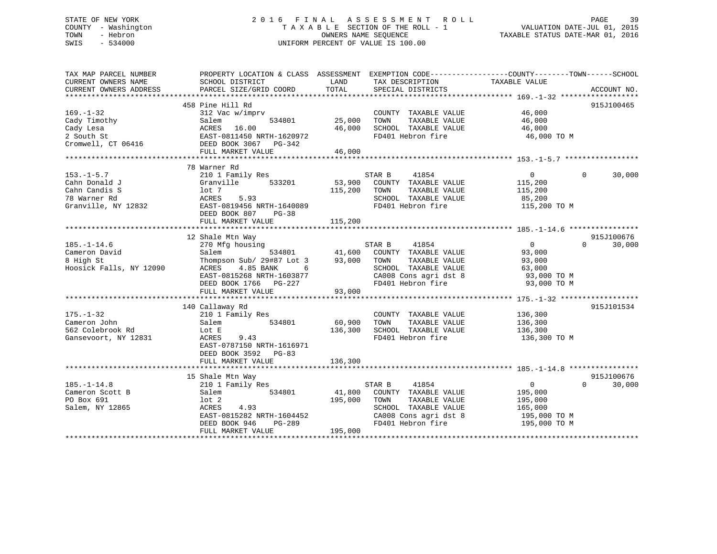# STATE OF NEW YORK 2 0 1 6 F I N A L A S S E S S M E N T R O L L PAGE 39 COUNTY - Washington T A X A B L E SECTION OF THE ROLL - 1 VALUATION DATE-JUL 01, 2015 TOWN - Hebron OWNERS NAME SEQUENCE TAXABLE STATUS DATE-MAR 01, 2016 SWIS - 534000 UNIFORM PERCENT OF VALUE IS 100.00

| TAX MAP PARCEL NUMBER<br>CURRENT OWNERS NAME<br>CURRENT OWNERS ADDRESS                    | PROPERTY LOCATION & CLASS ASSESSMENT<br>SCHOOL DISTRICT<br>PARCEL SIZE/GRID COORD                                                                                     | LAND<br>TOTAL                   | TAX DESCRIPTION<br>SPECIAL DISTRICTS                                                                                                   | EXEMPTION CODE----------------COUNTY-------TOWN-----SCHOOL<br>TAXABLE VALUE     | ACCOUNT NO.                      |
|-------------------------------------------------------------------------------------------|-----------------------------------------------------------------------------------------------------------------------------------------------------------------------|---------------------------------|----------------------------------------------------------------------------------------------------------------------------------------|---------------------------------------------------------------------------------|----------------------------------|
|                                                                                           | 458 Pine Hill Rd                                                                                                                                                      |                                 |                                                                                                                                        |                                                                                 | 915J100465                       |
| $169. - 1 - 32$<br>Cady Timothy<br>Cady Lesa<br>2 South St<br>Cromwell, CT 06416          | 312 Vac w/imprv<br>534801<br>Salem<br>ACRES<br>16.00<br>EAST-0811450 NRTH-1620972<br>DEED BOOK 3067 PG-342<br>FULL MARKET VALUE                                       | 25,000<br>46,000<br>46,000      | COUNTY TAXABLE VALUE<br>TOWN<br>TAXABLE VALUE<br>SCHOOL TAXABLE VALUE<br>FD401 Hebron fire                                             | 46,000<br>46,000<br>46,000<br>46,000 TO M                                       |                                  |
|                                                                                           | 78 Warner Rd                                                                                                                                                          |                                 |                                                                                                                                        |                                                                                 |                                  |
| $153. - 1 - 5.7$<br>Cahn Donald J<br>Cahn Candis S<br>78 Warner Rd<br>Granville, NY 12832 | 210 1 Family Res<br>Granville<br>533201<br>lot 7<br>ACRES<br>5.93<br>EAST-0819456 NRTH-1640089<br>DEED BOOK 807 PG-38                                                 | 53,900<br>115,200               | STAR B<br>41854<br>COUNTY TAXABLE VALUE<br>TOWN<br>TAXABLE VALUE<br>SCHOOL TAXABLE VALUE<br>FD401 Hebron fire                          | $\overline{0}$<br>115,200<br>115,200<br>85,200<br>115,200 TO M                  | $\Omega$<br>30,000               |
|                                                                                           | FULL MARKET VALUE                                                                                                                                                     | 115,200                         |                                                                                                                                        |                                                                                 |                                  |
|                                                                                           | 12 Shale Mtn Way                                                                                                                                                      |                                 |                                                                                                                                        |                                                                                 | 915J100676                       |
| $185. - 1 - 14.6$<br>Cameron David<br>8 High St<br>Hoosick Falls, NY 12090                | 270 Mfg housing<br>Salem<br>534801<br>Thompson Sub/ 29#87 Lot 3<br>ACRES<br>4.85 BANK<br>6<br>EAST-0815268 NRTH-1603877<br>DEED BOOK 1766 PG-227<br>FULL MARKET VALUE | 41,600<br>93,000 TOWN<br>93,000 | STAR B<br>41854<br>COUNTY TAXABLE VALUE<br>TAXABLE VALUE<br>SCHOOL TAXABLE VALUE<br>CA008 Cons agri dst 8<br>FD401 Hebron fire         | $\overline{0}$<br>93,000<br>93,000<br>63,000<br>93,000 TO M<br>93,000 TO M      | 30,000<br>$\Omega$               |
|                                                                                           |                                                                                                                                                                       |                                 |                                                                                                                                        |                                                                                 |                                  |
| $175. - 1 - 32$<br>Cameron John<br>562 Colebrook Rd<br>Gansevoort, NY 12831               | 140 Callaway Rd<br>210 1 Family Res<br>534801<br>Salem<br>Lot E<br>ACRES<br>9.43<br>EAST-0787150 NRTH-1616971<br>DEED BOOK 3592 PG-83                                 | 60,900<br>136,300               | COUNTY TAXABLE VALUE<br>TAXABLE VALUE<br>TOWN<br>SCHOOL TAXABLE VALUE<br>FD401 Hebron fire                                             | 136,300<br>136,300<br>136,300<br>136,300 TO M                                   | 915J101534                       |
|                                                                                           | FULL MARKET VALUE                                                                                                                                                     | 136,300                         |                                                                                                                                        |                                                                                 |                                  |
| $185. - 1 - 14.8$<br>Cameron Scott B<br>PO Box 691<br>Salem, NY 12865                     | 15 Shale Mtn Way<br>210 1 Family Res<br>534801<br>Salem<br>$1$ ot $2$<br>ACRES<br>4.93<br>EAST-0815282 NRTH-1604452<br>PG-289<br>DEED BOOK 946<br>FULL MARKET VALUE   | 41,800<br>195,000<br>195,000    | STAR B<br>41854<br>COUNTY TAXABLE VALUE<br>TOWN<br>TAXABLE VALUE<br>SCHOOL TAXABLE VALUE<br>CA008 Cons agri dst 8<br>FD401 Hebron fire | $\overline{0}$<br>195,000<br>195,000<br>165,000<br>195,000 ТО М<br>195,000 TO M | 915J100676<br>$\Omega$<br>30,000 |
|                                                                                           |                                                                                                                                                                       |                                 |                                                                                                                                        |                                                                                 |                                  |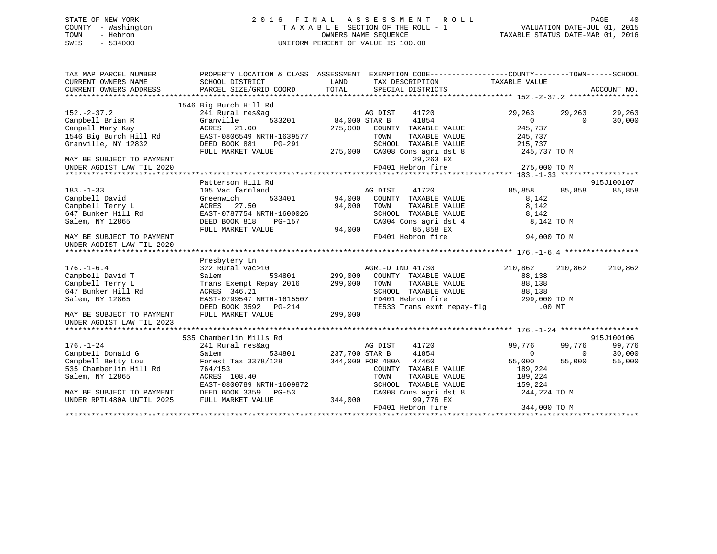# STATE OF NEW YORK 2 0 1 6 F I N A L A S S E S S M E N T R O L L PAGE 40 COUNTY - Washington T A X A B L E SECTION OF THE ROLL - 1 VALUATION DATE-JUL 01, 2015 TOWN - Hebron OWNERS NAME SEQUENCE TAXABLE STATUS DATE-MAR 01, 2016 SWIS - 534000 UNIFORM PERCENT OF VALUE IS 100.00

| TAX MAP PARCEL NUMBER<br>CURRENT OWNERS NAME<br>CURRENT OWNERS ADDRESS | SCHOOL DISTRICT<br>PARCEL SIZE/GRID COORD TOTAL | LAND                               | PROPERTY LOCATION & CLASS ASSESSMENT EXEMPTION CODE---------------COUNTY-------TOWN-----SCHOOL<br>TAX DESCRIPTION TAXABLE VALUE<br>SPECIAL DISTRICTS |                |                | ACCOUNT NO. |
|------------------------------------------------------------------------|-------------------------------------------------|------------------------------------|------------------------------------------------------------------------------------------------------------------------------------------------------|----------------|----------------|-------------|
|                                                                        | 1546 Big Burch Hill Rd                          |                                    |                                                                                                                                                      |                |                |             |
|                                                                        |                                                 |                                    |                                                                                                                                                      |                |                |             |
| $152 - 2 - 37.2$                                                       | 241 Rural res&ag                                |                                    | AG DIST<br>41720                                                                                                                                     | 29,263         | 29,263         | 29,263      |
| Campbell Brian R                                                       | Granville                                       | 533201 84,000 STAR B               | 41854                                                                                                                                                | $\overline{0}$ | $\Omega$       | 30,000      |
| Campell Mary Kay                                                       | ACRES 21.00                                     | 275,000                            | COUNTY TAXABLE VALUE                                                                                                                                 | 245,737        |                |             |
| 1546 Big Burch Hill Rd                                                 | EAST-0806549 NRTH-1639577                       |                                    | TAXABLE VALUE<br>TOWN                                                                                                                                | 245,737        |                |             |
| Granville, NY 12832                                                    | DEED BOOK 881<br>PG-291                         |                                    | SCHOOL TAXABLE VALUE                                                                                                                                 | 215,737        |                |             |
|                                                                        | FULL MARKET VALUE                               |                                    | 275,000 CA008 Cons agri dst 8 245,737 TO M                                                                                                           |                |                |             |
| MAY BE SUBJECT TO PAYMENT                                              |                                                 |                                    | 29,263 EX                                                                                                                                            |                |                |             |
| UNDER AGDIST LAW TIL 2020                                              |                                                 |                                    | FD401 Hebron fire                                                                                                                                    | 275,000 TO M   |                |             |
|                                                                        |                                                 |                                    |                                                                                                                                                      |                |                |             |
|                                                                        | Patterson Hill Rd                               |                                    |                                                                                                                                                      |                |                | 915J100107  |
| $183. - 1 - 33$                                                        | 105 Vac farmland                                |                                    | AG DIST 41720<br>94,000 COUNTY TAXABLE VALUE                                                                                                         | 85,858 85,858  |                | 85,858      |
| Campbell David                                                         | 533401<br>Greenwich                             |                                    |                                                                                                                                                      | 8,142          |                |             |
| Campbell Terry L                                                       | ACRES 27.50                                     | 94,000                             | TOWN<br>TAXABLE VALUE                                                                                                                                | 8,142          |                |             |
| 647 Bunker Hill Rd                                                     | EAST-0787754 NRTH-1600026                       |                                    | SCHOOL TAXABLE VALUE                                                                                                                                 | 8,142          |                |             |
| Salem, NY 12865                                                        | DEED BOOK 818<br>PG-157                         |                                    | CA004 Cons agri dst 4                                                                                                                                | 8,142 TO M     |                |             |
|                                                                        | FULL MARKET VALUE                               |                                    | 85,858 EX                                                                                                                                            |                |                |             |
| MAY BE SUBJECT TO PAYMENT                                              |                                                 | 94,000                             | FD401 Hebron fire                                                                                                                                    | 94,000 TO M    |                |             |
| UNDER AGDIST LAW TIL 2020                                              |                                                 |                                    |                                                                                                                                                      |                |                |             |
|                                                                        |                                                 |                                    |                                                                                                                                                      |                |                |             |
|                                                                        | Presbytery Ln                                   |                                    |                                                                                                                                                      |                |                |             |
| $176. - 1 - 6.4$                                                       | 322 Rural vac>10                                |                                    | AGRI-D IND 41730                                                                                                                                     | 210,862        | 210,862        | 210,862     |
| Campbell David T                                                       | Salem<br>534801                                 |                                    | 299,000 COUNTY TAXABLE VALUE                                                                                                                         | 88,138         |                |             |
| Campbell Terry L                                                       | Trans Exempt Repay 2016 299,000 TOWN            |                                    | TAXABLE VALUE                                                                                                                                        | 88,138         |                |             |
| 647 Bunker Hill Rd                                                     | ACRES 346.21                                    |                                    |                                                                                                                                                      |                |                |             |
| Salem, NY 12865                                                        | EAST-0799547 NRTH-1615507                       |                                    |                                                                                                                                                      |                |                |             |
|                                                                        | DEED BOOK 3592 PG-214                           |                                    | SCHOOL TAXABLE VALUE $88,138$<br>FD401 Hebron fire 299,000 TO M<br>TE533 Trans exmt repay-flg .00 MT                                                 |                |                |             |
|                                                                        | FULL MARKET VALUE                               | 299,000                            |                                                                                                                                                      |                |                |             |
| MAY BE SUBJECT TO PAYMENT                                              |                                                 |                                    |                                                                                                                                                      |                |                |             |
| UNDER AGDIST LAW TIL 2023                                              |                                                 |                                    |                                                                                                                                                      |                |                |             |
|                                                                        |                                                 |                                    |                                                                                                                                                      |                |                |             |
|                                                                        | 535 Chamberlin Mills Rd                         |                                    |                                                                                                                                                      |                |                | 915J100106  |
| $176. - 1 - 24$                                                        | 241 Rural res&ag                                | M AG DIST<br>534801 237,700 STAR B | 41720                                                                                                                                                | 99,776         | 99,776         | 99,776      |
| Campbell Donald G                                                      | Salem                                           |                                    | 41854                                                                                                                                                | $\Omega$       | $\overline{0}$ | 30,000      |
| Campbell Betty Lou                                                     | Forest Tax 3378/128                             |                                    | 344,000 FOR 480A 47460                                                                                                                               | 55,000         | 55,000         | 55,000      |
| 535 Chamberlin Hill Rd                                                 | 764/153                                         |                                    | COUNTY TAXABLE VALUE                                                                                                                                 | 189,224        |                |             |
| Salem, NY 12865                                                        | ACRES 108.40                                    |                                    | TOWN<br>TAXABLE VALUE                                                                                                                                | 189,224        |                |             |
|                                                                        | EAST-0800789 NRTH-1609872                       |                                    | SCHOOL TAXABLE VALUE                                                                                                                                 | 159, 224       |                |             |
| MAY BE SUBJECT TO PAYMENT                                              | DEED BOOK 3359 PG-53                            |                                    | CA008 Cons agri dst 8                                                                                                                                | 244,224 TO M   |                |             |
| UNDER RPTL480A UNTIL 2025                                              | FULL MARKET VALUE                               | 344,000                            | 99,776 EX                                                                                                                                            |                |                |             |
|                                                                        |                                                 |                                    | FD401 Hebron fire                                                                                                                                    | 344,000 TO M   |                |             |
|                                                                        |                                                 |                                    |                                                                                                                                                      |                |                |             |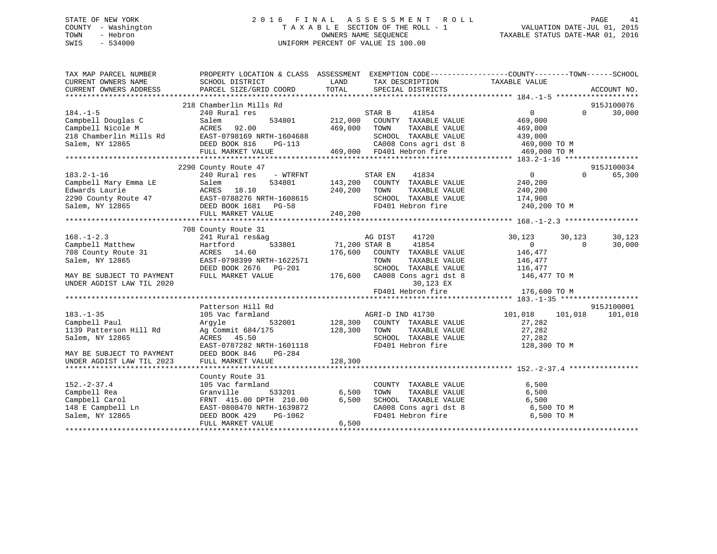# STATE OF NEW YORK 2 0 1 6 F I N A L A S S E S S M E N T R O L L PAGE 41 COUNTY - Washington T A X A B L E SECTION OF THE ROLL - 1 VALUATION DATE-JUL 01, 2015 TOWN - Hebron OWNERS NAME SEQUENCE TAXABLE STATUS DATE-MAR 01, 2016 SWIS - 534000 UNIFORM PERCENT OF VALUE IS 100.00

| TAX MAP PARCEL NUMBER<br>CURRENT OWNERS NAME<br>CURRENT OWNERS ADDRESS | PROPERTY LOCATION & CLASS ASSESSMENT EXEMPTION CODE---------------COUNTY-------TOWN-----SCHOOL<br>SCHOOL DISTRICT<br>PARCEL SIZE/GRID COORD | LAND<br>TOTAL | TAX DESCRIPTION<br>SPECIAL DISTRICTS | TAXABLE VALUE    | ACCOUNT NO.        |
|------------------------------------------------------------------------|---------------------------------------------------------------------------------------------------------------------------------------------|---------------|--------------------------------------|------------------|--------------------|
|                                                                        |                                                                                                                                             |               |                                      |                  |                    |
|                                                                        | 218 Chamberlin Mills Rd                                                                                                                     |               |                                      |                  | 915J100076         |
| $184. - 1 - 5$                                                         | 240 Rural res                                                                                                                               |               | STAR B<br>41854                      | $\overline{0}$   | $\Omega$<br>30,000 |
| Campbell Douglas C                                                     | 534801<br>Salem                                                                                                                             | 212,000       | COUNTY TAXABLE VALUE                 | 469,000          |                    |
| Campbell Nicole M                                                      | ACRES<br>92.00                                                                                                                              | 469,000       | TAXABLE VALUE<br>TOWN                | 469,000          |                    |
| 218 Chamberlin Mills Rd                                                | EAST-0798169 NRTH-1604688                                                                                                                   |               | SCHOOL TAXABLE VALUE                 | 439,000          |                    |
| Salem, NY 12865                                                        | DEED BOOK 816<br>PG-113                                                                                                                     |               | CA008 Cons agri dst 8                | 469,000 TO M     |                    |
|                                                                        | FULL MARKET VALUE                                                                                                                           |               | 469,000 FD401 Hebron fire            | 469,000 TO M     |                    |
|                                                                        |                                                                                                                                             |               |                                      |                  |                    |
|                                                                        | 2290 County Route 47                                                                                                                        |               |                                      |                  | 915J100034         |
| $183.2 - 1 - 16$                                                       | 240 Rural res<br>- WTRFNT                                                                                                                   |               | 41834<br>STAR EN                     | $\overline{0}$   | 65,300<br>$\Omega$ |
| Campbell Mary Emma LE                                                  | 534801<br>Salem                                                                                                                             | 143,200       | COUNTY TAXABLE VALUE                 | 240,200          |                    |
| Edwards Laurie                                                         | ACRES<br>18.10                                                                                                                              | 240,200       | TOWN<br>TAXABLE VALUE                | 240,200          |                    |
| 2290 County Route 47                                                   | EAST-0788276 NRTH-1608615                                                                                                                   |               | SCHOOL TAXABLE VALUE                 | 174,900          |                    |
| Salem, NY 12865                                                        | DEED BOOK 1681<br>PG-58                                                                                                                     |               | FD401 Hebron fire                    | 240,200 TO M     |                    |
|                                                                        | FULL MARKET VALUE                                                                                                                           | 240,200       |                                      |                  |                    |
|                                                                        |                                                                                                                                             |               |                                      |                  |                    |
|                                                                        | 708 County Route 31                                                                                                                         |               |                                      |                  |                    |
| $168. - 1 - 2.3$                                                       | 241 Rural res&ag                                                                                                                            |               | 41720<br>AG DIST                     | 30,123           | 30,123<br>30,123   |
| Campbell Matthew                                                       | 533801<br>Hartford                                                                                                                          | 71,200 STAR B | 41854                                | $\Omega$         | 30,000<br>$\Omega$ |
| 708 County Route 31                                                    | ACRES 14.60                                                                                                                                 |               | 176,600 COUNTY TAXABLE VALUE         | 146,477          |                    |
| Salem, NY 12865                                                        | EAST-0798399 NRTH-1622571                                                                                                                   |               | TOWN<br>TAXABLE VALUE                | 146,477          |                    |
|                                                                        | DEED BOOK 2676 PG-201                                                                                                                       |               | SCHOOL TAXABLE VALUE                 | 116,477          |                    |
| MAY BE SUBJECT TO PAYMENT                                              | FULL MARKET VALUE                                                                                                                           |               | 176,600 CA008 Cons agri dst 8        | 146,477 TO M     |                    |
| UNDER AGDIST LAW TIL 2020                                              |                                                                                                                                             |               | 30,123 EX                            |                  |                    |
|                                                                        |                                                                                                                                             |               | FD401 Hebron fire                    | 176,600 TO M     |                    |
|                                                                        |                                                                                                                                             |               |                                      |                  |                    |
|                                                                        | Patterson Hill Rd                                                                                                                           |               | AGRI-D IND 41730                     |                  | 915J100001         |
| $183. - 1 - 35$<br>Campbell Paul                                       | 105 Vac farmland                                                                                                                            |               | 532001 128,300 COUNTY TAXABLE VALUE  | 101,018          | 101,018<br>101,018 |
| 1139 Patterson Hill Rd                                                 | Arqyle<br>Ag Commit 684/175                                                                                                                 | 128,300       | TOWN<br>TAXABLE VALUE                | 27,282<br>27,282 |                    |
| Salem, NY 12865                                                        | ACRES 45.50                                                                                                                                 |               | SCHOOL TAXABLE VALUE                 | 27,282           |                    |
|                                                                        | EAST-0787282 NRTH-1601118                                                                                                                   |               | FD401 Hebron fire                    | 128,300 TO M     |                    |
| MAY BE SUBJECT TO PAYMENT                                              | DEED BOOK 846<br>PG-284                                                                                                                     |               |                                      |                  |                    |
| UNDER AGDIST LAW TIL 2023                                              | FULL MARKET VALUE                                                                                                                           | 128,300       |                                      |                  |                    |
|                                                                        |                                                                                                                                             |               |                                      |                  |                    |
|                                                                        | County Route 31                                                                                                                             |               |                                      |                  |                    |
| $152. - 2 - 37.4$                                                      | 105 Vac farmland                                                                                                                            |               | COUNTY TAXABLE VALUE                 | 6,500            |                    |
| Campbell Rea                                                           | Granville<br>533201                                                                                                                         | 6,500         | TAXABLE VALUE<br>TOWN                | 6,500            |                    |
| Campbell Carol                                                         | FRNT 415.00 DPTH 210.00                                                                                                                     | 6,500         | SCHOOL TAXABLE VALUE                 | 6,500            |                    |
| 148 E Campbell Ln                                                      | EAST-0808470 NRTH-1639872                                                                                                                   |               | CA008 Cons agri dst 8                | 6,500 TO M       |                    |
| Salem, NY 12865                                                        | DEED BOOK 429<br>PG-1062                                                                                                                    |               | FD401 Hebron fire                    | 6,500 TO M       |                    |
|                                                                        | FULL MARKET VALUE                                                                                                                           | 6,500         |                                      |                  |                    |
|                                                                        |                                                                                                                                             |               |                                      |                  |                    |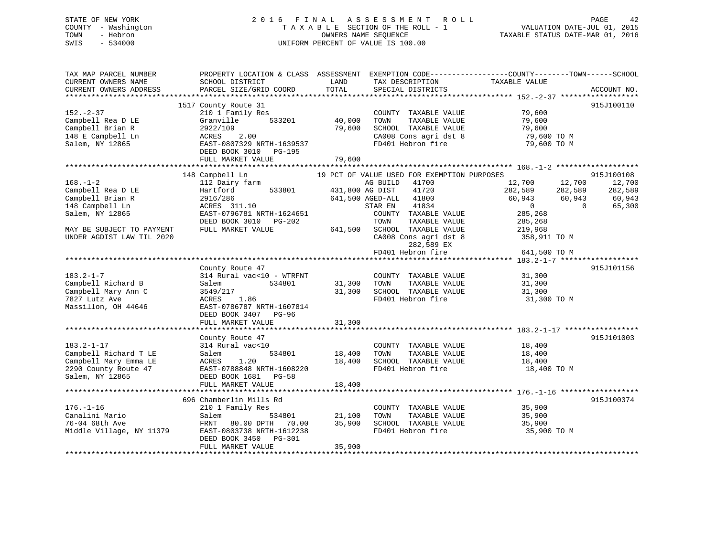# STATE OF NEW YORK 2 0 1 6 F I N A L A S S E S S M E N T R O L L PAGE 42 COUNTY - Washington T A X A B L E SECTION OF THE ROLL - 1 VALUATION DATE-JUL 01, 2015 TOWN - Hebron OWNERS NAME SEQUENCE TAXABLE STATUS DATE-MAR 01, 2016 SWIS - 534000 UNIFORM PERCENT OF VALUE IS 100.00

| TAX MAP PARCEL NUMBER                                                                                                                                                                                                                            | PROPERTY LOCATION & CLASS ASSESSMENT        |               |                                                          | EXEMPTION CODE-----------------COUNTY--------TOWN------SCHOOL                                                                                                                                                                                                                                                                                                                                            |            |
|--------------------------------------------------------------------------------------------------------------------------------------------------------------------------------------------------------------------------------------------------|---------------------------------------------|---------------|----------------------------------------------------------|----------------------------------------------------------------------------------------------------------------------------------------------------------------------------------------------------------------------------------------------------------------------------------------------------------------------------------------------------------------------------------------------------------|------------|
| CURRENT OWNERS NAME                                                                                                                                                                                                                              | SCHOOL DISTRICT                             | LAND          | TAX DESCRIPTION TAXABLE VALUE                            |                                                                                                                                                                                                                                                                                                                                                                                                          |            |
| CURRENT OWNERS ADDRESS                                                                                                                                                                                                                           |                                             |               |                                                          |                                                                                                                                                                                                                                                                                                                                                                                                          |            |
| ***********************                                                                                                                                                                                                                          |                                             |               |                                                          |                                                                                                                                                                                                                                                                                                                                                                                                          |            |
|                                                                                                                                                                                                                                                  | 1517 County Route 31                        |               |                                                          |                                                                                                                                                                                                                                                                                                                                                                                                          | 915J100110 |
| $152 - 2 - 37$                                                                                                                                                                                                                                   | 210 1 Family Res<br>Granville 533201 40,000 |               | COUNTY TAXABLE VALUE 79,600                              |                                                                                                                                                                                                                                                                                                                                                                                                          |            |
| Campbell Rea D LE                                                                                                                                                                                                                                |                                             |               | TOWN<br>TAXABLE VALUE                                    | 79,600                                                                                                                                                                                                                                                                                                                                                                                                   |            |
| Campbell Brian R                                                                                                                                                                                                                                 | 2922/109<br>ACRES 2.00                      | 79,600        |                                                          | TOWN TAXABLE VALUE<br>SCHOOL TAXABLE VALUE 79,600<br>2000 Cons agri dst 8 79,600 TO M                                                                                                                                                                                                                                                                                                                    |            |
| 148 E Campbell Ln                                                                                                                                                                                                                                |                                             |               |                                                          |                                                                                                                                                                                                                                                                                                                                                                                                          |            |
| Salem, NY 12865                                                                                                                                                                                                                                  | EAST-0807329 NRTH-1639537                   |               |                                                          | $\begin{array}{llll}\n\text{CA008} & \text{Cons}\n\text{ agrid} & \text{B}\n\end{array}\n\quad\n\begin{array}{llll}\n\text{A008} & \text{Cons}\n\end{array}\n\quad\n\begin{array}{llll}\n\text{C000} & \text{TO00} \\ \text{F0401} & \text{Hebron}\n\end{array}\n\quad\n\begin{array}{llll}\n\text{A000} & \text{TO00} \\ \text{A000} & \text{TO00} \\ \text{A000} & \text{TO00} \\ \text{A000} & \text$ |            |
|                                                                                                                                                                                                                                                  | DEED BOOK 3010 PG-195                       |               |                                                          |                                                                                                                                                                                                                                                                                                                                                                                                          |            |
|                                                                                                                                                                                                                                                  | FULL MARKET VALUE                           | 79,600        |                                                          |                                                                                                                                                                                                                                                                                                                                                                                                          |            |
|                                                                                                                                                                                                                                                  |                                             |               |                                                          |                                                                                                                                                                                                                                                                                                                                                                                                          |            |
|                                                                                                                                                                                                                                                  | 148 Campbell Ln                             |               | 19 PCT OF VALUE USED FOR EXEMPTION PURPOSES              |                                                                                                                                                                                                                                                                                                                                                                                                          | 915J100108 |
| $168. - 1 - 2$                                                                                                                                                                                                                                   | 112 Dairy farm                              |               | AG BUILD 41700                                           | S<br>12,700 12,700 915。                                                                                                                                                                                                                                                                                                                                                                                  | 12,700     |
| Campbell Rea D LE                                                                                                                                                                                                                                | 533801 431,800 AG DIST<br>Hartford          |               | 41720                                                    |                                                                                                                                                                                                                                                                                                                                                                                                          |            |
| Campbell Brian R                                                                                                                                                                                                                                 |                                             |               |                                                          |                                                                                                                                                                                                                                                                                                                                                                                                          |            |
| 148 Campbell Ln                                                                                                                                                                                                                                  | 2916/286<br>ACRES 311.10                    |               | 641,500 AGED-ALL 41800<br>STAR EN 41834                  | $282,589$<br>$60,943$<br>$60,943$<br>$282,589$<br>$60,943$<br>$60,943$<br>$60,943$<br>$60,943$<br>$65,300$<br>$285,268$                                                                                                                                                                                                                                                                                  |            |
| Salem, NY 12865                                                                                                                                                                                                                                  | EAST-0796781 NRTH-1624651                   |               | COUNTY TAXABLE VALUE                                     |                                                                                                                                                                                                                                                                                                                                                                                                          |            |
|                                                                                                                                                                                                                                                  | DEED BOOK 3010 PG-202                       |               | TAXABLE VALUE                                            |                                                                                                                                                                                                                                                                                                                                                                                                          |            |
| MAY BE SUBJECT TO PAYMENT                                                                                                                                                                                                                        | FULL MARKET VALUE                           |               | G-202 TOWN TAXABLE VALUE<br>641,500 SCHOOL TAXABLE VALUE | 285,268<br>219,968                                                                                                                                                                                                                                                                                                                                                                                       |            |
| UNDER AGDIST LAW TIL 2020                                                                                                                                                                                                                        |                                             |               |                                                          | CA008 Cons agri dst 8 358,911 TO M                                                                                                                                                                                                                                                                                                                                                                       |            |
|                                                                                                                                                                                                                                                  |                                             |               | 282,589 EX                                               |                                                                                                                                                                                                                                                                                                                                                                                                          |            |
|                                                                                                                                                                                                                                                  |                                             |               | FD401 Hebron fire                                        | 641,500 TO M                                                                                                                                                                                                                                                                                                                                                                                             |            |
|                                                                                                                                                                                                                                                  |                                             |               |                                                          |                                                                                                                                                                                                                                                                                                                                                                                                          |            |
|                                                                                                                                                                                                                                                  | County Route 47                             |               |                                                          |                                                                                                                                                                                                                                                                                                                                                                                                          | 915J101156 |
| $183.2 - 1 - 7$                                                                                                                                                                                                                                  | 314 Rural vac<10 - WTRFNT                   |               | COUNTY TAXABLE VALUE 31,300                              |                                                                                                                                                                                                                                                                                                                                                                                                          |            |
| Campbell Richard B                                                                                                                                                                                                                               | 534801 31,300<br>Salem                      |               | TOWN                                                     | TAXABLE VALUE 31,300                                                                                                                                                                                                                                                                                                                                                                                     |            |
| Campbell Mary Ann C                                                                                                                                                                                                                              | 3549/217                                    | 31,300        | SCHOOL TAXABLE VALUE                                     | 31,300                                                                                                                                                                                                                                                                                                                                                                                                   |            |
| 7827 Lutz Ave                                                                                                                                                                                                                                    | ACRES<br>1.86                               |               |                                                          | FD401 Hebron fire 31,300 TO M                                                                                                                                                                                                                                                                                                                                                                            |            |
| Massillon, OH 44646                                                                                                                                                                                                                              | EAST-0786787 NRTH-1607814                   |               |                                                          |                                                                                                                                                                                                                                                                                                                                                                                                          |            |
|                                                                                                                                                                                                                                                  | DEED BOOK 3407 PG-96                        |               |                                                          |                                                                                                                                                                                                                                                                                                                                                                                                          |            |
|                                                                                                                                                                                                                                                  | FULL MARKET VALUE                           | 31,300        |                                                          |                                                                                                                                                                                                                                                                                                                                                                                                          |            |
|                                                                                                                                                                                                                                                  |                                             |               |                                                          |                                                                                                                                                                                                                                                                                                                                                                                                          |            |
|                                                                                                                                                                                                                                                  | County Route 47                             |               |                                                          |                                                                                                                                                                                                                                                                                                                                                                                                          | 915J101003 |
| $183.2 - 1 - 17$                                                                                                                                                                                                                                 | 314 Rural vac<10                            |               | COUNTY TAXABLE VALUE 18,400                              |                                                                                                                                                                                                                                                                                                                                                                                                          |            |
| Campbell Richard T LE                                                                                                                                                                                                                            | Salem                                       | 534801 18,400 | TOWN<br>TAXABLE VALUE                                    | 18,400                                                                                                                                                                                                                                                                                                                                                                                                   |            |
| Campbell Mary Emma LE                                                                                                                                                                                                                            | 18,400<br>1.20<br>ACRES                     |               | SCHOOL TAXABLE VALUE 18,400                              |                                                                                                                                                                                                                                                                                                                                                                                                          |            |
| 2290 County Route 47                                                                                                                                                                                                                             | EAST-0788848 NRTH-1608220                   |               | FD401 Hebron fire                                        | 18,400 TO M                                                                                                                                                                                                                                                                                                                                                                                              |            |
| Salem, NY 12865                                                                                                                                                                                                                                  | DEED BOOK 1681 PG-58                        |               |                                                          |                                                                                                                                                                                                                                                                                                                                                                                                          |            |
|                                                                                                                                                                                                                                                  | FULL MARKET VALUE                           | 18,400        |                                                          |                                                                                                                                                                                                                                                                                                                                                                                                          |            |
|                                                                                                                                                                                                                                                  |                                             |               |                                                          |                                                                                                                                                                                                                                                                                                                                                                                                          |            |
|                                                                                                                                                                                                                                                  |                                             |               |                                                          |                                                                                                                                                                                                                                                                                                                                                                                                          | 915J100374 |
|                                                                                                                                                                                                                                                  |                                             |               | COUNTY TAXABLE VALUE 35,900                              |                                                                                                                                                                                                                                                                                                                                                                                                          |            |
|                                                                                                                                                                                                                                                  |                                             | 534801 21,100 | TOWN<br>TAXABLE VALUE                                    | 35,900                                                                                                                                                                                                                                                                                                                                                                                                   |            |
|                                                                                                                                                                                                                                                  |                                             |               | SCHOOL TAXABLE VALUE 35,900                              |                                                                                                                                                                                                                                                                                                                                                                                                          |            |
|                                                                                                                                                                                                                                                  |                                             |               | FD401 Hebron fire                                        | 35,900 TO M                                                                                                                                                                                                                                                                                                                                                                                              |            |
| Canalini Mario (1990)<br>Canalini Mario (1990)<br>76-04 68th Ave (1991)<br>76-04 68th Ave (1991)<br>76-04 68th Ave (1992)<br>76-04 68th Ave (1992)<br>76-04 68th Ave (1992)<br>76-04 68th Ave (1992)<br>76-04 68th Ave (1992)<br>76-0803738 NRTH |                                             |               |                                                          |                                                                                                                                                                                                                                                                                                                                                                                                          |            |
|                                                                                                                                                                                                                                                  | FULL MARKET VALUE                           | 35,900        |                                                          |                                                                                                                                                                                                                                                                                                                                                                                                          |            |
|                                                                                                                                                                                                                                                  |                                             |               |                                                          |                                                                                                                                                                                                                                                                                                                                                                                                          |            |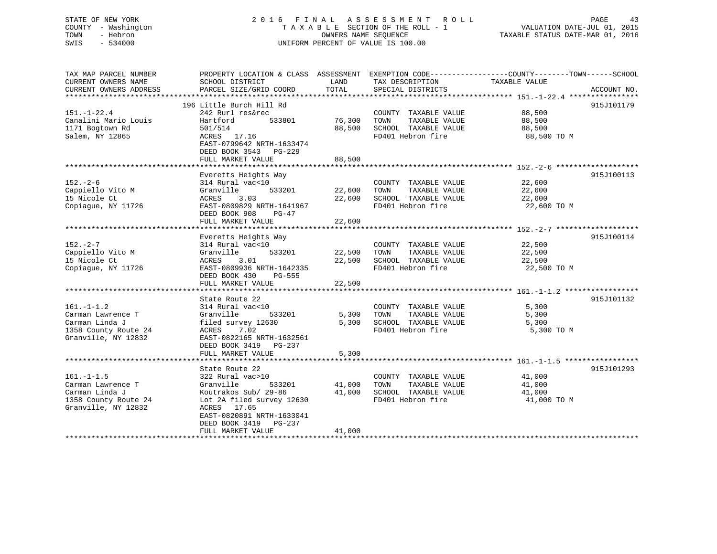# STATE OF NEW YORK 2 0 1 6 F I N A L A S S E S S M E N T R O L L PAGE 43 COUNTY - Washington T A X A B L E SECTION OF THE ROLL - 1 VALUATION DATE-JUL 01, 2015 TOWN - Hebron OWNERS NAME SEQUENCE TAXABLE STATUS DATE-MAR 01, 2016 SWIS - 534000 UNIFORM PERCENT OF VALUE IS 100.00

TAX MAP PARCEL NUMBER PROPERTY LOCATION & CLASS ASSESSMENT EXEMPTION CODE------------------COUNTY--------TOWN------SCHOOL

CURRENT OWNERS NAME SCHOOL DISTRICT LAND TAX DESCRIPTION TAXABLE VALUECURRENT OWNERS ADDRESS PARCEL SIZE/GRID COORD TOTAL SPECIAL DISTRICTS ACCOUNT NO. \*\*\*\*\*\*\*\*\*\*\*\*\*\*\*\*\*\*\*\*\*\*\*\*\*\*\*\*\*\*\*\*\*\*\*\*\*\*\*\*\*\*\*\*\*\*\*\*\*\*\*\*\*\*\*\*\*\*\*\*\*\*\*\*\*\*\*\*\*\*\*\*\*\*\*\*\*\*\*\*\*\*\*\*\*\*\*\*\*\*\*\*\*\*\*\*\*\*\*\*\*\*\* 151.-1-22.4 \*\*\*\*\*\*\*\*\*\*\*\*\*\*\*\* 196 Little Burch Hill Rd 915J101179151.-1-22.4 242 Rurl res&rec COUNTY TAXABLE VALUE 88,500 Canalini Mario Louis Hartford 533801 76,300 TOWN TAXABLE VALUE 88,500 1171 Bogtown Rd 501/514 88,500 SCHOOL TAXABLE VALUE 88,500 Salem, NY 12865 ACRES 17.16 FD401 Hebron fire 88,500 TO M EAST-0799642 NRTH-1633474 DEED BOOK 3543 PG-229 FULL MARKET VALUE 88,500 \*\*\*\*\*\*\*\*\*\*\*\*\*\*\*\*\*\*\*\*\*\*\*\*\*\*\*\*\*\*\*\*\*\*\*\*\*\*\*\*\*\*\*\*\*\*\*\*\*\*\*\*\*\*\*\*\*\*\*\*\*\*\*\*\*\*\*\*\*\*\*\*\*\*\*\*\*\*\*\*\*\*\*\*\*\*\*\*\*\*\*\*\*\*\*\*\*\*\*\*\*\*\* 152.-2-6 \*\*\*\*\*\*\*\*\*\*\*\*\*\*\*\*\*\*\* Everetts Heights Way 915J100113 152.-2-6 314 Rural vac<10 COUNTY TAXABLE VALUE 22,600 Cappiello Vito M Granville 533201 22,600 TOWN TAXABLE VALUE 22,600 15 Nicole Ct ACRES 3.03 22,600 SCHOOL TAXABLE VALUE 22,600 Copiague, NY 11726 EAST-0809829 NRTH-1641967 FD401 Hebron fire 22,600 TO M DEED BOOK 908 PG-47FULL MARKET VALUE 22,600 \*\*\*\*\*\*\*\*\*\*\*\*\*\*\*\*\*\*\*\*\*\*\*\*\*\*\*\*\*\*\*\*\*\*\*\*\*\*\*\*\*\*\*\*\*\*\*\*\*\*\*\*\*\*\*\*\*\*\*\*\*\*\*\*\*\*\*\*\*\*\*\*\*\*\*\*\*\*\*\*\*\*\*\*\*\*\*\*\*\*\*\*\*\*\*\*\*\*\*\*\*\*\* 152.-2-7 \*\*\*\*\*\*\*\*\*\*\*\*\*\*\*\*\*\*\* Everetts Heights Way 915J100114 152.-2-7 314 Rural vac<10 COUNTY TAXABLE VALUE 22,500 Cappiello Vito M Granville 533201 22,500 TOWN TAXABLE VALUE 22,500 15 Nicole Ct ACRES 3.01 22,500 SCHOOL TAXABLE VALUE 22,500 Copiague, NY 11726 **EAST-0809936 NRTH-1642335** FD401 Hebron fire 22,500 TO M DEED BOOK 430 PG-555FULL MARKET VALUE 22,500 \*\*\*\*\*\*\*\*\*\*\*\*\*\*\*\*\*\*\*\*\*\*\*\*\*\*\*\*\*\*\*\*\*\*\*\*\*\*\*\*\*\*\*\*\*\*\*\*\*\*\*\*\*\*\*\*\*\*\*\*\*\*\*\*\*\*\*\*\*\*\*\*\*\*\*\*\*\*\*\*\*\*\*\*\*\*\*\*\*\*\*\*\*\*\*\*\*\*\*\*\*\*\* 161.-1-1.2 \*\*\*\*\*\*\*\*\*\*\*\*\*\*\*\*\* State Route 22 915J101132161.-1-1.2 314 Rural vac<10 COUNTY TAXABLE VALUE 5,300 Carman Lawrence T Granville 533201 5,300 TOWN TAXABLE VALUE 5,300 Carman Linda J filed survey 12630 5,300 SCHOOL TAXABLE VALUE 5,300 1358 County Route 24 ACRES 7.02 FD401 Hebron fire 5,300 TO M Granville, NY 12832 EAST-0822165 NRTH-1632561 DEED BOOK 3419 PG-237FULL MARKET VALUE 5,300 \*\*\*\*\*\*\*\*\*\*\*\*\*\*\*\*\*\*\*\*\*\*\*\*\*\*\*\*\*\*\*\*\*\*\*\*\*\*\*\*\*\*\*\*\*\*\*\*\*\*\*\*\*\*\*\*\*\*\*\*\*\*\*\*\*\*\*\*\*\*\*\*\*\*\*\*\*\*\*\*\*\*\*\*\*\*\*\*\*\*\*\*\*\*\*\*\*\*\*\*\*\*\* 161.-1-1.5 \*\*\*\*\*\*\*\*\*\*\*\*\*\*\*\*\* State Route 22 915J101293161.-1-1.5 322 Rural vac>10 COUNTY TAXABLE VALUE 41,000 Carman Lawrence T Granville 533201 41,000 TOWN TAXABLE VALUE 41,000 Carman Linda J Koutrakos Sub/ 29-86 41,000 SCHOOL TAXABLE VALUE 41,000 1358 County Route 24 Lot 2A filed survey 12630 FD401 Hebron fire 41,000 TO M Granville, NY 12832 ACRES 17.65 EAST-0820891 NRTH-1633041 DEED BOOK 3419 PG-237FULL MARKET VALUE 41,000 \*\*\*\*\*\*\*\*\*\*\*\*\*\*\*\*\*\*\*\*\*\*\*\*\*\*\*\*\*\*\*\*\*\*\*\*\*\*\*\*\*\*\*\*\*\*\*\*\*\*\*\*\*\*\*\*\*\*\*\*\*\*\*\*\*\*\*\*\*\*\*\*\*\*\*\*\*\*\*\*\*\*\*\*\*\*\*\*\*\*\*\*\*\*\*\*\*\*\*\*\*\*\*\*\*\*\*\*\*\*\*\*\*\*\*\*\*\*\*\*\*\*\*\*\*\*\*\*\*\*\*\*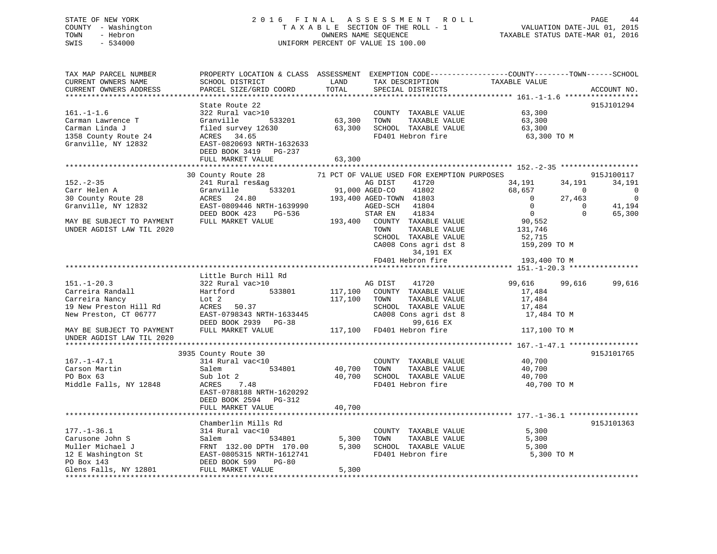# STATE OF NEW YORK 2 0 1 6 F I N A L A S S E S S M E N T R O L L PAGE 44 COUNTY - Washington T A X A B L E SECTION OF THE ROLL - 1 VALUATION DATE-JUL 01, 2015 TOWN - Hebron OWNERS NAME SEQUENCE TAXABLE STATUS DATE-MAR 01, 2016 SWIS - 534000 UNIFORM PERCENT OF VALUE IS 100.00

| TAX MAP PARCEL NUMBER                                                                                                                                                                                                                                          | PROPERTY LOCATION & CLASS ASSESSMENT EXEMPTION CODE----------------COUNTY-------TOWN-----SCHOOL                                                                                                                                                              |        |                                                                     |                                                                                                                                                                |                      |
|----------------------------------------------------------------------------------------------------------------------------------------------------------------------------------------------------------------------------------------------------------------|--------------------------------------------------------------------------------------------------------------------------------------------------------------------------------------------------------------------------------------------------------------|--------|---------------------------------------------------------------------|----------------------------------------------------------------------------------------------------------------------------------------------------------------|----------------------|
| CURRENT OWNERS NAME                                                                                                                                                                                                                                            | SCHOOL DISTRICT                                                                                                                                                                                                                                              | LAND   | TAX DESCRIPTION                                                     | TAXABLE VALUE                                                                                                                                                  |                      |
| CURRENT OWNERS ADDRESS                                                                                                                                                                                                                                         | PARCEL SIZE/GRID COORD                                                                                                                                                                                                                                       | TOTAL  | SPECIAL DISTRICTS                                                   |                                                                                                                                                                | ACCOUNT NO.          |
|                                                                                                                                                                                                                                                                |                                                                                                                                                                                                                                                              |        |                                                                     |                                                                                                                                                                |                      |
|                                                                                                                                                                                                                                                                | State Route 22                                                                                                                                                                                                                                               |        |                                                                     |                                                                                                                                                                | 915J101294           |
| $161. - 1 - 1.6$                                                                                                                                                                                                                                               | 322 Rural vac>10                                                                                                                                                                                                                                             |        | COUNTY TAXABLE VALUE 63,300                                         |                                                                                                                                                                |                      |
| Carman Lawrence T                                                                                                                                                                                                                                              |                                                                                                                                                                                                                                                              |        |                                                                     | 63,300                                                                                                                                                         |                      |
| Carman Linda J                                                                                                                                                                                                                                                 |                                                                                                                                                                                                                                                              |        |                                                                     | 63,300                                                                                                                                                         |                      |
| 1358 County Route 24                                                                                                                                                                                                                                           | Granville 533201 63,300 TOWN TAXABLE-VALUE<br>filed-survey-12630 63,300 SCHOOL TAXABLE-VALUE<br>ACRES 34.65 FD401 Hebron-fire                                                                                                                                |        |                                                                     | 63,300 TO M                                                                                                                                                    |                      |
| Granville, NY 12832                                                                                                                                                                                                                                            | EAST-0820693 NRTH-1632633                                                                                                                                                                                                                                    |        |                                                                     |                                                                                                                                                                |                      |
|                                                                                                                                                                                                                                                                |                                                                                                                                                                                                                                                              |        |                                                                     |                                                                                                                                                                |                      |
|                                                                                                                                                                                                                                                                | DEED BOOK 3419 PG-237                                                                                                                                                                                                                                        |        |                                                                     |                                                                                                                                                                |                      |
|                                                                                                                                                                                                                                                                | FULL MARKET VALUE                                                                                                                                                                                                                                            | 63,300 |                                                                     |                                                                                                                                                                |                      |
|                                                                                                                                                                                                                                                                |                                                                                                                                                                                                                                                              |        |                                                                     |                                                                                                                                                                |                      |
|                                                                                                                                                                                                                                                                | 30 County Route 28                                                                                                                                                                                                                                           |        | 71 PCT OF VALUE USED FOR EXEMPTION PURPOSES                         |                                                                                                                                                                | 915J100117           |
| $152 - 2 - 35$                                                                                                                                                                                                                                                 | 241 Rural res&ag<br>0 1 241 Rural reskag and DIST 41720<br>241 Rural reskag 33201 34,191<br>241 Rural reskag 33201 31,000 AGED-CO 41802 68,657<br>ACRES 24.80 193,400 AGED-TOWN 41803 0<br>EAST-0809446 NRTH-1639990 AGED-SCH 41804 0<br>DEED BOOK 423 PG-53 |        |                                                                     | 34, 191 34, 191                                                                                                                                                | 34,191               |
| Carr Helen A                                                                                                                                                                                                                                                   |                                                                                                                                                                                                                                                              |        |                                                                     | $\sim$ 0                                                                                                                                                       | $\overline{0}$       |
| 30 County Route 28                                                                                                                                                                                                                                             |                                                                                                                                                                                                                                                              |        |                                                                     | $\overline{0}$<br>27,463                                                                                                                                       | $\overline{0}$       |
| Granville, NY 12832                                                                                                                                                                                                                                            |                                                                                                                                                                                                                                                              |        |                                                                     |                                                                                                                                                                | 27,463 0<br>0 41,194 |
|                                                                                                                                                                                                                                                                |                                                                                                                                                                                                                                                              |        |                                                                     | $\Omega$                                                                                                                                                       | 65,300               |
| MAY BE SUBJECT TO PAYMENT                                                                                                                                                                                                                                      |                                                                                                                                                                                                                                                              |        |                                                                     |                                                                                                                                                                |                      |
| UNDER AGDIST LAW TIL 2020                                                                                                                                                                                                                                      |                                                                                                                                                                                                                                                              |        | TOWN<br>TAXABLE VALUE                                               | 131,746                                                                                                                                                        |                      |
|                                                                                                                                                                                                                                                                |                                                                                                                                                                                                                                                              |        | SCHOOL TAXABLE VALUE                                                |                                                                                                                                                                |                      |
|                                                                                                                                                                                                                                                                |                                                                                                                                                                                                                                                              |        |                                                                     | 52,715<br>159,209 TO M                                                                                                                                         |                      |
|                                                                                                                                                                                                                                                                |                                                                                                                                                                                                                                                              |        | CA008 Cons agri dst 8                                               |                                                                                                                                                                |                      |
|                                                                                                                                                                                                                                                                |                                                                                                                                                                                                                                                              |        | 34,191 EX                                                           | $FD401$ Hebron fire 193,400 TO M                                                                                                                               |                      |
|                                                                                                                                                                                                                                                                |                                                                                                                                                                                                                                                              |        |                                                                     |                                                                                                                                                                |                      |
|                                                                                                                                                                                                                                                                |                                                                                                                                                                                                                                                              |        |                                                                     |                                                                                                                                                                |                      |
|                                                                                                                                                                                                                                                                | Little Burch Hill Rd                                                                                                                                                                                                                                         |        |                                                                     |                                                                                                                                                                |                      |
|                                                                                                                                                                                                                                                                |                                                                                                                                                                                                                                                              |        | AG DIST 41720                                                       | 99,616 99,616 99,616                                                                                                                                           |                      |
|                                                                                                                                                                                                                                                                |                                                                                                                                                                                                                                                              |        |                                                                     | 17,484<br>17,484                                                                                                                                               |                      |
|                                                                                                                                                                                                                                                                |                                                                                                                                                                                                                                                              |        |                                                                     |                                                                                                                                                                |                      |
|                                                                                                                                                                                                                                                                |                                                                                                                                                                                                                                                              |        |                                                                     |                                                                                                                                                                |                      |
| 151.-1-20.3<br>Carreira Randall Hartford 533801 117,100 COUNTY TAXABLE VALUE<br>Carreira Nancy Lot 2<br>19 New Preston Hill Rd ACRES 50.37<br>New Preston, CT 06777 EAST-0798343 NRTH-1633445<br>CA008 Cons agri dst 8                                         |                                                                                                                                                                                                                                                              |        |                                                                     | $\begin{tabular}{lllllllll} \texttt{SCHOOL} & \texttt{TAXABLE VALUE} & & & 17,484 \\ \texttt{CA008 Cons agri dst 8} & & & 17,484\texttt{\ TO M} \end{tabular}$ |                      |
|                                                                                                                                                                                                                                                                | EAST-0798343 NRTH-1633445<br>CA008 Cons agri dst 8<br>DEED BOOK 2939 PG-38<br>FULL MARKET VALUE 117,100 FD401 Hebron fire 117,100 TO M                                                                                                                       |        |                                                                     |                                                                                                                                                                |                      |
| MAY BE SUBJECT TO PAYMENT                                                                                                                                                                                                                                      |                                                                                                                                                                                                                                                              |        |                                                                     |                                                                                                                                                                |                      |
| UNDER AGDIST LAW TIL 2020                                                                                                                                                                                                                                      |                                                                                                                                                                                                                                                              |        |                                                                     |                                                                                                                                                                |                      |
|                                                                                                                                                                                                                                                                |                                                                                                                                                                                                                                                              |        |                                                                     |                                                                                                                                                                |                      |
|                                                                                                                                                                                                                                                                | 3935 County Route 30                                                                                                                                                                                                                                         |        |                                                                     |                                                                                                                                                                | 915J101765           |
| $167. - 1 - 47.1$                                                                                                                                                                                                                                              | Soundy noute 50<br>314 Rural vac<10                                                                                                                                                                                                                          |        | COUNTY TAXABLE VALUE                                                | 40,700                                                                                                                                                         |                      |
| Carson Martin                                                                                                                                                                                                                                                  | 534801 40,700 TOWN<br>Salem                                                                                                                                                                                                                                  |        |                                                                     |                                                                                                                                                                |                      |
| PO Box 63                                                                                                                                                                                                                                                      | Sub lot 2                                                                                                                                                                                                                                                    |        |                                                                     | TAXABLE VALUE 40,700<br>TAXABLE VALUE 40,700                                                                                                                   |                      |
| Middle Falls, NY 12848 ACRES 7.48                                                                                                                                                                                                                              |                                                                                                                                                                                                                                                              |        | 40,700 SCHOOL TAXABLE VALUE 40,700<br>FD401 Hebron fire 40,700 TO M |                                                                                                                                                                |                      |
|                                                                                                                                                                                                                                                                |                                                                                                                                                                                                                                                              |        |                                                                     |                                                                                                                                                                |                      |
|                                                                                                                                                                                                                                                                | EAST-0788188 NRTH-1620292                                                                                                                                                                                                                                    |        |                                                                     |                                                                                                                                                                |                      |
|                                                                                                                                                                                                                                                                | DEED BOOK 2594 PG-312                                                                                                                                                                                                                                        |        |                                                                     |                                                                                                                                                                |                      |
|                                                                                                                                                                                                                                                                | FULL MARKET VALUE                                                                                                                                                                                                                                            | 40,700 |                                                                     |                                                                                                                                                                |                      |
|                                                                                                                                                                                                                                                                |                                                                                                                                                                                                                                                              |        |                                                                     |                                                                                                                                                                |                      |
|                                                                                                                                                                                                                                                                | Chamberlin Mills Rd                                                                                                                                                                                                                                          |        |                                                                     |                                                                                                                                                                | 915J101363           |
|                                                                                                                                                                                                                                                                |                                                                                                                                                                                                                                                              |        | COUNTY TAXABLE VALUE                                                | 5,300                                                                                                                                                          |                      |
|                                                                                                                                                                                                                                                                |                                                                                                                                                                                                                                                              |        | TOWN                                                                | TAXABLE VALUE 5,300                                                                                                                                            |                      |
|                                                                                                                                                                                                                                                                |                                                                                                                                                                                                                                                              |        | 5,300 SCHOOL TAXABLE VALUE                                          | 5,300                                                                                                                                                          |                      |
|                                                                                                                                                                                                                                                                |                                                                                                                                                                                                                                                              |        | FD401 Hebron fire                                                   | 5,300 TO M                                                                                                                                                     |                      |
| 177.-1-36.1<br>Carusone John S<br>Carusone John S<br>Muller Michael J<br>12 E Washington St<br>PO Box 143<br>PO Box 143<br>PO Box 143<br>PO Box 143<br>PO Box 143<br>PO Box 143<br>PO Box 143<br>PO Box 143<br>PO Box 143<br>PO Box 143<br>PO Box 143<br>PO BO |                                                                                                                                                                                                                                                              |        |                                                                     |                                                                                                                                                                |                      |
| Glens Falls, NY 12801                                                                                                                                                                                                                                          | FULL MARKET VALUE                                                                                                                                                                                                                                            | 5,300  |                                                                     |                                                                                                                                                                |                      |
|                                                                                                                                                                                                                                                                |                                                                                                                                                                                                                                                              |        |                                                                     |                                                                                                                                                                |                      |
|                                                                                                                                                                                                                                                                |                                                                                                                                                                                                                                                              |        |                                                                     |                                                                                                                                                                |                      |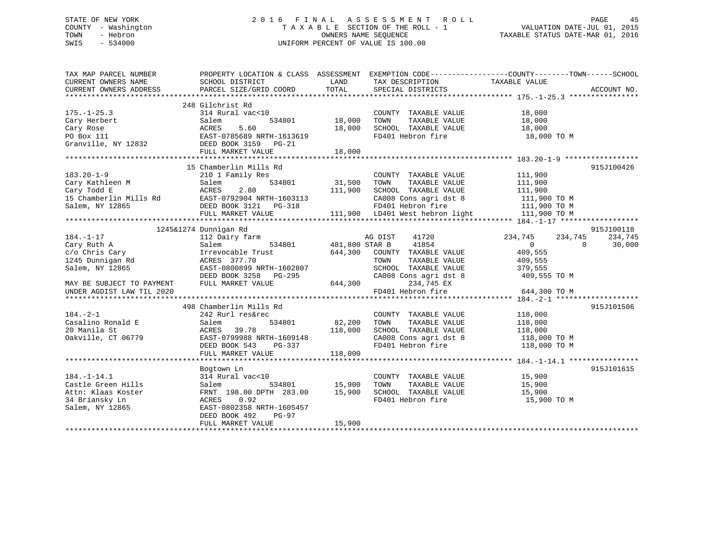# STATE OF NEW YORK 2 0 1 6 F I N A L A S S E S S M E N T R O L L PAGE 45 COUNTY - Washington T A X A B L E SECTION OF THE ROLL - 1 VALUATION DATE-JUL 01, 2015 TOWN - Hebron OWNERS NAME SEQUENCE TAXABLE STATUS DATE-MAR 01, 2016 SWIS - 534000 UNIFORM PERCENT OF VALUE IS 100.00

| TAX MAP PARCEL NUMBER          | PROPERTY LOCATION & CLASS ASSESSMENT EXEMPTION CODE---------------COUNTY-------TOWN-----SCHOOL |                |                                                                                |                            |             |
|--------------------------------|------------------------------------------------------------------------------------------------|----------------|--------------------------------------------------------------------------------|----------------------------|-------------|
| CURRENT OWNERS NAME            | SCHOOL DISTRICT                                                                                | LAND           | TAX DESCRIPTION                                                                | TAXABLE VALUE              |             |
| CURRENT OWNERS ADDRESS         | PARCEL SIZE/GRID COORD                                                                         | TOTAL          | SPECIAL DISTRICTS                                                              |                            | ACCOUNT NO. |
|                                |                                                                                                |                |                                                                                |                            |             |
|                                | 248 Gilchrist Rd                                                                               |                |                                                                                |                            |             |
| $175. - 1 - 25.3$              | 314 Rural vac<10                                                                               |                | COUNTY TAXABLE VALUE                                                           | 18,000                     |             |
| Cary Herbert                   | Salem<br>534801                                                                                | 18,000         | TOWN<br>TAXABLE VALUE                                                          | 18,000                     |             |
| Cary Rose                      | 5.60<br>ACRES                                                                                  | 18,000         | SCHOOL TAXABLE VALUE                                                           | 18,000                     |             |
| PO Box 111                     | EAST-0785689 NRTH-1613619                                                                      |                | FD401 Hebron fire                                                              | 18,000 TO M                |             |
| Granville, NY 12832            | DEED BOOK 3159 PG-21                                                                           |                |                                                                                |                            |             |
|                                |                                                                                                |                |                                                                                |                            |             |
|                                |                                                                                                |                |                                                                                |                            |             |
|                                | 15 Chamberlin Mills Rd                                                                         |                |                                                                                |                            | 915J100426  |
| $183.20 - 1 - 9$               | 210 1 Family Res                                                                               |                | COUNTY TAXABLE VALUE                                                           | 111,900                    |             |
| Cary Kathleen M<br>Cary Todd E | 534801<br>Salem                                                                                | 31,500         | TAXABLE VALUE<br>TOWN                                                          | 111,900                    |             |
| Cary Todd E                    | ACRES<br>2.80                                                                                  | 111,900        | SCHOOL TAXABLE VALUE                                                           | 111,900                    |             |
| 15 Chamberlin Mills Rd         | EAST-0792904 NRTH-1603113                                                                      |                | CA008 Cons agri dst 8 111,900 TO M                                             |                            |             |
| Salem, NY 12865                | DEED BOOK 3121 PG-318                                                                          |                |                                                                                |                            |             |
|                                | FULL MARKET VALUE                                                                              |                | FD401 Hebron fire 111,900 TO M<br>111,900 LD401 West hebron light 111,900 TO M |                            |             |
|                                |                                                                                                |                |                                                                                |                            |             |
|                                | 1245&1274 Dunnigan Rd                                                                          |                |                                                                                |                            | 915J100118  |
| $184. - 1 - 17$                | 112 Dairy farm                                                                                 |                | AG DIST<br>41720                                                               | 234,745<br>234,745         | 234,745     |
| Cary Ruth A                    | Salem<br>534801                                                                                | 481,800 STAR B | 41854                                                                          | $\overline{0}$<br>$\Omega$ | 30,000      |
| c/o Chris Cary                 | Irrevocable Trust                                                                              | 644,300        | COUNTY TAXABLE VALUE                                                           | 409,555                    |             |
| 1245 Dunnigan Rd               |                                                                                                |                | TAXABLE VALUE<br>TOWN                                                          | 409,555                    |             |
| Salem, NY 12865                | ACRES 377.10<br>EAST-0800899 NRTH-1602807<br>CAST 2050 DG-295                                  |                | SCHOOL TAXABLE VALUE                                                           | 379,555                    |             |
|                                | DEED BOOK 3258                                                                                 |                | CA008 Cons agri dst 8                                                          | 409,555 TO M               |             |
| MAY BE SUBJECT TO PAYMENT      | FULL MARKET VALUE                                                                              | 644,300        | 234,745 EX                                                                     |                            |             |
| UNDER AGDIST LAW TIL 2020      |                                                                                                |                | FD401 Hebron fire                                                              | 644,300 TO M               |             |
|                                |                                                                                                |                |                                                                                |                            |             |
|                                | 498 Chamberlin Mills Rd                                                                        |                |                                                                                |                            | 915J101506  |
| $184. - 2 - 1$                 | 242 Rurl res&rec                                                                               |                | COUNTY TAXABLE VALUE                                                           | 118,000                    |             |
| Casalino Ronald E              | 534801<br>Salem                                                                                | 82,200         | TAXABLE VALUE<br>TOWN                                                          | 118,000                    |             |
| 20 Manila St                   | 39.78<br>ACRES                                                                                 | 118,000        | SCHOOL TAXABLE VALUE 118,000                                                   |                            |             |
| Oakville, CT 06779             | EAST-0799988 NRTH-1609148                                                                      |                |                                                                                |                            |             |
|                                | DEED BOOK 543<br>PG-337                                                                        |                | CA008 Cons agri dst 8 $118,000$ TO M<br>FD401 Hebron fire                      | 118,000 TO M               |             |
|                                | FULL MARKET VALUE                                                                              | 118,000        |                                                                                |                            |             |
|                                |                                                                                                |                |                                                                                |                            |             |
|                                | Bogtown Ln                                                                                     |                |                                                                                |                            | 915J101615  |
| $184. - 1 - 14.1$              | 314 Rural vac<10                                                                               |                | COUNTY TAXABLE VALUE                                                           |                            |             |
| Castle Green Hills             | Salem<br>534801                                                                                | 15,900         | TAXABLE VALUE<br>TOWN                                                          | 15,900<br>15,900           |             |
| Attn: Klaas Koster             |                                                                                                |                | SCHOOL TAXABLE VALUE                                                           |                            |             |
| 34 Briansky Ln                 | FRNT 198.00 DPTH 283.00 15,900<br>0.92                                                         |                | FD401 Hebron fire                                                              | 15,900                     |             |
|                                | ACRES                                                                                          |                |                                                                                | 15,900 TO M                |             |
| Salem, NY 12865                | EAST-0802358 NRTH-1605457                                                                      |                |                                                                                |                            |             |
|                                | DEED BOOK 492<br>PG-97                                                                         |                |                                                                                |                            |             |
|                                | FULL MARKET VALUE                                                                              | 15,900         |                                                                                |                            |             |
|                                |                                                                                                |                |                                                                                |                            |             |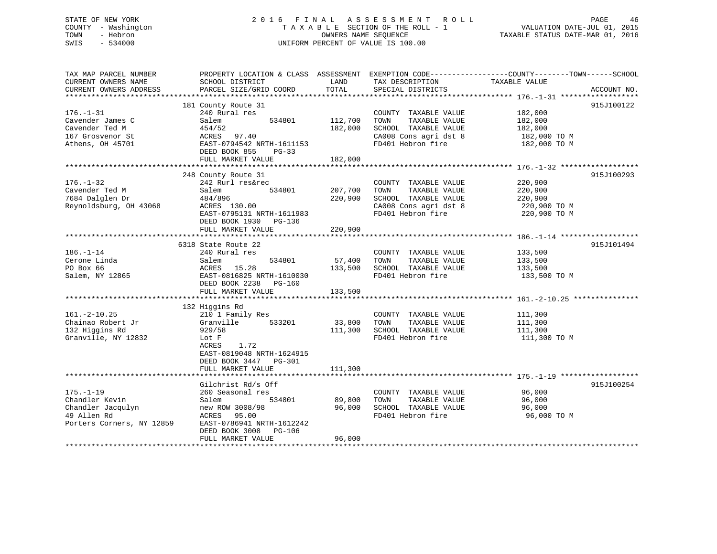# STATE OF NEW YORK 2 0 1 6 F I N A L A S S E S S M E N T R O L L PAGE 46 COUNTY - Washington T A X A B L E SECTION OF THE ROLL - 1 VALUATION DATE-JUL 01, 2015 TOWN - Hebron OWNERS NAME SEQUENCE TAXABLE STATUS DATE-MAR 01, 2016 SWIS - 534000 UNIFORM PERCENT OF VALUE IS 100.00

| TAX MAP PARCEL NUMBER<br>CURRENT OWNERS NAME<br>CURRENT OWNERS ADDRESS                             | SCHOOL DISTRICT<br>PARCEL SIZE/GRID COORD                                                                                                                              | LAND<br>TOTAL                 | TAX DESCRIPTION<br>SPECIAL DISTRICTS                                                                                | PROPERTY LOCATION & CLASS ASSESSMENT EXEMPTION CODE---------------COUNTY-------TOWN------SCHOOL<br>TAXABLE VALUE<br>ACCOUNT NO. |
|----------------------------------------------------------------------------------------------------|------------------------------------------------------------------------------------------------------------------------------------------------------------------------|-------------------------------|---------------------------------------------------------------------------------------------------------------------|---------------------------------------------------------------------------------------------------------------------------------|
|                                                                                                    |                                                                                                                                                                        |                               |                                                                                                                     |                                                                                                                                 |
| $176. - 1 - 31$<br>Cavender James C<br>Cavender Ted M<br>167 Grosvenor St<br>Athens, OH 45701      | 181 County Route 31<br>240 Rural res<br>534801<br>Salem<br>454/52<br>ACRES 97.40<br>EAST-0794542 NRTH-1611153<br>DEED BOOK 855<br>$PG-33$<br>FULL MARKET VALUE         | 112,700<br>182,000<br>182,000 | COUNTY TAXABLE VALUE<br>TOWN<br>TAXABLE VALUE<br>SCHOOL TAXABLE VALUE<br>CA008 Cons agri dst 8<br>FD401 Hebron fire | 915J100122<br>182,000<br>182,000<br>182,000<br>182,000 TO M<br>182,000 TO M                                                     |
|                                                                                                    |                                                                                                                                                                        |                               |                                                                                                                     |                                                                                                                                 |
| $176. - 1 - 32$<br>Cavender Ted M<br>7684 Dalglen Dr<br>Reynoldsburg, OH 43068                     | 248 County Route 31<br>242 Rurl res&rec<br>Salem<br>534801<br>484/896<br>ACRES 130.00<br>EAST-0795131 NRTH-1611983<br>DEED BOOK 1930 PG-136<br>FULL MARKET VALUE       | 207,700<br>220,900<br>220,900 | COUNTY TAXABLE VALUE<br>TOWN<br>TAXABLE VALUE<br>SCHOOL TAXABLE VALUE<br>CA008 Cons agri dst 8<br>FD401 Hebron fire | 915J100293<br>220,900<br>220,900<br>220,900<br>220,900 TO M<br>220,900 TO M                                                     |
|                                                                                                    |                                                                                                                                                                        |                               |                                                                                                                     |                                                                                                                                 |
|                                                                                                    | 6318 State Route 22                                                                                                                                                    |                               |                                                                                                                     | 915J101494                                                                                                                      |
| $186. - 1 - 14$<br>Cerone Linda<br>PO Box 66<br>Salem, NY 12865                                    | 240 Rural res<br>534801<br>Salem<br>ACRES 15.28<br>EAST-0816825 NRTH-1610030<br>DEED BOOK 2238<br>PG-160<br>FULL MARKET VALUE                                          | 57,400<br>133,500<br>133,500  | COUNTY TAXABLE VALUE<br>TOWN<br>TAXABLE VALUE<br>SCHOOL TAXABLE VALUE<br>FD401 Hebron fire                          | 133,500<br>133,500<br>133,500<br>133,500 TO M                                                                                   |
|                                                                                                    |                                                                                                                                                                        |                               |                                                                                                                     |                                                                                                                                 |
| $161. - 2 - 10.25$<br>Chainao Robert Jr<br>132 Higgins Rd<br>Granville, NY 12832                   | 132 Higgins Rd<br>210 1 Family Res<br>533201<br>Granville<br>929/58<br>Lot F<br>ACRES<br>1.72<br>EAST-0819048 NRTH-1624915<br>DEED BOOK 3447 PG-301                    | 33,800<br>111,300             | COUNTY TAXABLE VALUE<br>TOWN<br>TAXABLE VALUE<br>SCHOOL TAXABLE VALUE<br>FD401 Hebron fire                          | 111,300<br>111,300<br>111,300<br>111,300 TO M                                                                                   |
|                                                                                                    | FULL MARKET VALUE                                                                                                                                                      | 111,300                       |                                                                                                                     |                                                                                                                                 |
| $175. - 1 - 19$<br>Chandler Kevin<br>Chandler Jacqulyn<br>49 Allen Rd<br>Porters Corners, NY 12859 | Gilchrist Rd/s Off<br>260 Seasonal res<br>Salem<br>534801<br>new ROW 3008/98<br>ACRES 95.00<br>EAST-0786941 NRTH-1612242<br>DEED BOOK 3008 PG-106<br>FULL MARKET VALUE | 89,800<br>96,000<br>96,000    | COUNTY TAXABLE VALUE<br>TAXABLE VALUE<br>TOWN<br>SCHOOL TAXABLE VALUE<br>FD401 Hebron fire                          | 915J100254<br>96,000<br>96,000<br>96,000<br>96,000 TO M                                                                         |
|                                                                                                    |                                                                                                                                                                        |                               |                                                                                                                     |                                                                                                                                 |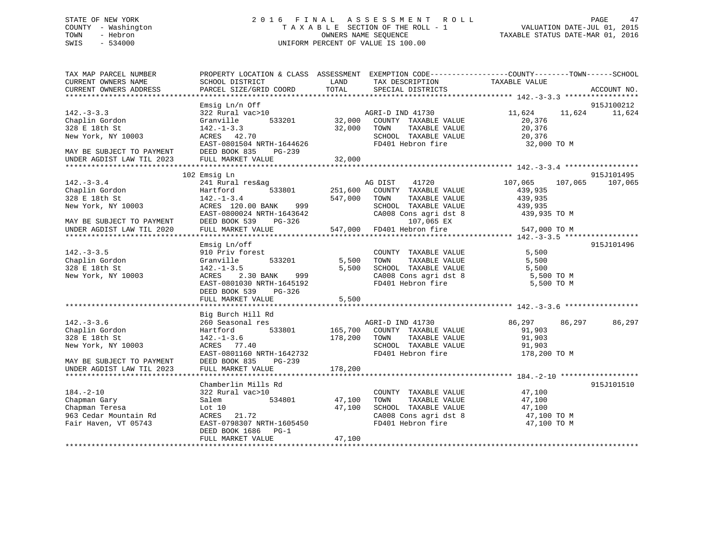# STATE OF NEW YORK 2 0 1 6 F I N A L A S S E S S M E N T R O L L PAGE 47 COUNTY - Washington T A X A B L E SECTION OF THE ROLL - 1 VALUATION DATE-JUL 01, 2015 TOWN - Hebron OWNERS NAME SEQUENCE TAXABLE STATUS DATE-MAR 01, 2016 SWIS - 534000 UNIFORM PERCENT OF VALUE IS 100.00

| SCHOOL DISTRICT<br>PARCEL SIZE/GRID COORD                                                        | LAND<br>TOTAL                                                                                                                                            | TAX DESCRIPTION<br>SPECIAL DISTRICTS                                                                                                                                                                                                                                |                                                                                                                                                   | ACCOUNT NO.                                                                                                                                                                                                                                                                                                                                                                                                                                                                                                                                                                                                                                                                                                                             |
|--------------------------------------------------------------------------------------------------|----------------------------------------------------------------------------------------------------------------------------------------------------------|---------------------------------------------------------------------------------------------------------------------------------------------------------------------------------------------------------------------------------------------------------------------|---------------------------------------------------------------------------------------------------------------------------------------------------|-----------------------------------------------------------------------------------------------------------------------------------------------------------------------------------------------------------------------------------------------------------------------------------------------------------------------------------------------------------------------------------------------------------------------------------------------------------------------------------------------------------------------------------------------------------------------------------------------------------------------------------------------------------------------------------------------------------------------------------------|
|                                                                                                  |                                                                                                                                                          |                                                                                                                                                                                                                                                                     |                                                                                                                                                   |                                                                                                                                                                                                                                                                                                                                                                                                                                                                                                                                                                                                                                                                                                                                         |
| Granville<br>$142. - 1 - 3.3$<br>ACRES 42.70                                                     |                                                                                                                                                          |                                                                                                                                                                                                                                                                     | 11,624 11,624 11,624<br>20,376<br>20,376                                                                                                          | 915J100212                                                                                                                                                                                                                                                                                                                                                                                                                                                                                                                                                                                                                                                                                                                              |
| DEED BOOK 835<br>MAY BE SUBJECT TO PAYMENT<br>PG-239<br>FULL MARKET VALUE                        |                                                                                                                                                          |                                                                                                                                                                                                                                                                     |                                                                                                                                                   |                                                                                                                                                                                                                                                                                                                                                                                                                                                                                                                                                                                                                                                                                                                                         |
|                                                                                                  |                                                                                                                                                          |                                                                                                                                                                                                                                                                     |                                                                                                                                                   | 915J101495                                                                                                                                                                                                                                                                                                                                                                                                                                                                                                                                                                                                                                                                                                                              |
| Hartford 533801<br>The Chaplin Gordon<br>200 F 18th St<br>$142. - 1 - 3.4$<br>New York, NY 10003 |                                                                                                                                                          | TOWN                                                                                                                                                                                                                                                                | 107,065<br>439,935<br>439,935<br>439,935 TO M                                                                                                     | 107,065                                                                                                                                                                                                                                                                                                                                                                                                                                                                                                                                                                                                                                                                                                                                 |
| DEED BOOK 539<br>PG-326                                                                          |                                                                                                                                                          |                                                                                                                                                                                                                                                                     |                                                                                                                                                   |                                                                                                                                                                                                                                                                                                                                                                                                                                                                                                                                                                                                                                                                                                                                         |
| FULL MARKET VALUE                                                                                |                                                                                                                                                          |                                                                                                                                                                                                                                                                     | 547,000 TO M                                                                                                                                      |                                                                                                                                                                                                                                                                                                                                                                                                                                                                                                                                                                                                                                                                                                                                         |
|                                                                                                  |                                                                                                                                                          |                                                                                                                                                                                                                                                                     |                                                                                                                                                   |                                                                                                                                                                                                                                                                                                                                                                                                                                                                                                                                                                                                                                                                                                                                         |
| 910 Priv forest<br>$142. - 1 - 3.5$<br>DEED BOOK 539<br>PG-326                                   |                                                                                                                                                          |                                                                                                                                                                                                                                                                     | 5,500<br>5,500 TO M<br>5,500 TO M                                                                                                                 | 915J101496                                                                                                                                                                                                                                                                                                                                                                                                                                                                                                                                                                                                                                                                                                                              |
| FULL MARKET VALUE                                                                                | 5,500                                                                                                                                                    |                                                                                                                                                                                                                                                                     |                                                                                                                                                   |                                                                                                                                                                                                                                                                                                                                                                                                                                                                                                                                                                                                                                                                                                                                         |
|                                                                                                  |                                                                                                                                                          |                                                                                                                                                                                                                                                                     |                                                                                                                                                   |                                                                                                                                                                                                                                                                                                                                                                                                                                                                                                                                                                                                                                                                                                                                         |
| 260 Seasonal res<br>Hartford<br>$142. - 1 - 3.6$<br>ACRES 77.40                                  |                                                                                                                                                          | TOWN<br>FD401 Hebron fire                                                                                                                                                                                                                                           | 86,297 86,297<br>91,903<br>91,903<br>91,903<br>178,200 TO M                                                                                       | 86,297                                                                                                                                                                                                                                                                                                                                                                                                                                                                                                                                                                                                                                                                                                                                  |
| UNDER AGDIST LAW TIL 2023<br>FULL MARKET VALUE                                                   | 178,200                                                                                                                                                  |                                                                                                                                                                                                                                                                     |                                                                                                                                                   |                                                                                                                                                                                                                                                                                                                                                                                                                                                                                                                                                                                                                                                                                                                                         |
| Chamberlin Mills Rd                                                                              |                                                                                                                                                          |                                                                                                                                                                                                                                                                     |                                                                                                                                                   | 915J101510                                                                                                                                                                                                                                                                                                                                                                                                                                                                                                                                                                                                                                                                                                                              |
| 322 Rural vac>10<br>Salem<br>Lot 10<br>ACRES 21.72<br>DEED BOOK 1686 PG-1<br>FULL MARKET VALUE   | 47,100                                                                                                                                                   | TOWN<br>FD401 Hebron fire                                                                                                                                                                                                                                           | 47,100<br>47,100<br>47,100 TO M                                                                                                                   |                                                                                                                                                                                                                                                                                                                                                                                                                                                                                                                                                                                                                                                                                                                                         |
|                                                                                                  | Emsig Ln/n Off<br>102 Emsig Ln<br>MAY BE SUBJECT TO PAYMENT<br>Emsig Ln/off<br>Big Burch Hill Rd<br>MAY BE SUBJECT TO PAYMENT<br>DEED BOOK 835<br>PG-239 | 322 Rural vac>10<br>EAST-0801504 NRTH-1644626<br>241 Rural res&ag<br>ACRES 120.00 BANK 999<br>EAST-0800024 NRTH-1643642<br>Granville 533201<br>ACRES 2.30 BANK 999<br>EAST-0801030 NRTH-1645192<br>EAST-0801160 NRTH-1642732<br>EAST-0798307 NRTH-1605450<br>47,100 | 32,000 TOWN<br>FD401 Hebron fire<br>32,000<br>AG DIST 41720<br>547,000<br>547,000 FD401 Hebron fire<br>5,500<br>5,500<br>178,200<br>534801 47,100 | PROPERTY LOCATION & CLASS ASSESSMENT EXEMPTION CODE----------------COUNTY-------TOWN-----SCHOOL<br>TAXABLE VALUE<br>AGRI-D IND 41730<br>533201 32,000 COUNTY TAXABLE VALUE<br>TAXABLE VALUE<br>SCHOOL TAXABLE VALUE 20,376<br>32,000 TO M<br>107,065<br>251,600 COUNTY TAXABLE VALUE<br>TAXABLE VALUE<br>SCHOOL TAXABLE VALUE 439,935<br>CA008 Cons agri dst 8 439,935<br>107,065 EX 439,935<br>COUNTY TAXABLE VALUE<br>CA008 Cons agri dst 8<br>FD401 Hebron fire<br>AGRI-D IND 41730<br>TAXABLE VALUE<br>SCHOOL TAXABLE VALUE<br>COUNTY TAXABLE VALUE<br>TAXABLE VALUE<br>$\begin{tabular}{lllllllll} \texttt{SCHOOL} & \texttt{TAXABLE VALUE} & & & & 47,100 \\ \texttt{CA008 Cons agri dst 8} & & & & 47,100 TO M \\ \end{tabular}$ |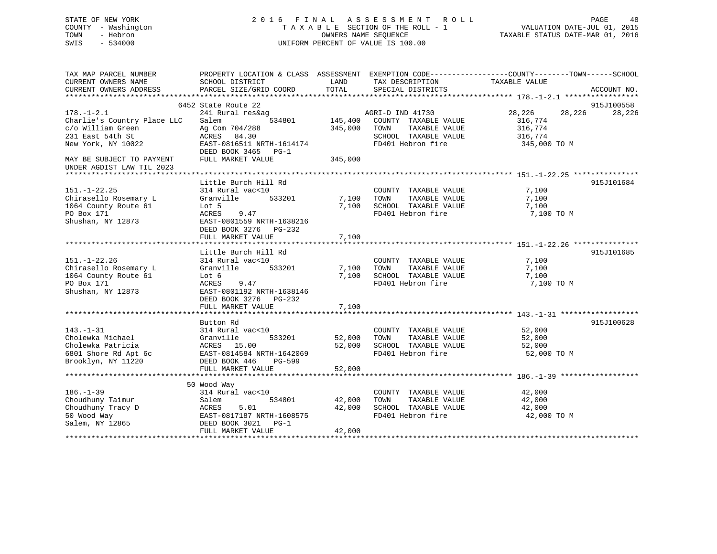| STATE OF NEW YORK<br>COUNTY - Washington<br>- Hebron<br>TOWN<br>SWIS<br>$-534000$ |                                            | OWNERS NAME SEQUENCE | 2016 FINAL ASSESSMENT ROLL<br>TAXABLE SECTION OF THE ROLL - 1<br>UNIFORM PERCENT OF VALUE IS 100.00 | PAGE<br>48<br>VALUATION DATE-JUL 01, 2015<br>TAXABLE STATUS DATE-MAR 01, 2016                                    |
|-----------------------------------------------------------------------------------|--------------------------------------------|----------------------|-----------------------------------------------------------------------------------------------------|------------------------------------------------------------------------------------------------------------------|
| TAX MAP PARCEL NUMBER<br>CURRENT OWNERS NAME                                      | SCHOOL DISTRICT                            | LAND                 |                                                                                                     | PROPERTY LOCATION & CLASS ASSESSMENT EXEMPTION CODE----------------COUNTY-------TOWN-----SCHOOL<br>TAXABLE VALUE |
| CURRENT OWNERS ADDRESS                                                            | PARCEL SIZE/GRID COORD                     | TOTAL                | TAX DESCRIPTION<br>SPECIAL DISTRICTS                                                                | ACCOUNT NO.                                                                                                      |
|                                                                                   |                                            |                      |                                                                                                     |                                                                                                                  |
|                                                                                   | 6452 State Route 22                        |                      |                                                                                                     | 915J100558                                                                                                       |
| $178. - 1 - 2.1$                                                                  | 241 Rural res&ag                           |                      | AGRI-D IND 41730                                                                                    | 28,226<br>28,226<br>28,226                                                                                       |
| Charlie's Country Place LLC                                                       | Salem<br>534801                            | 145,400              | COUNTY TAXABLE VALUE                                                                                | 316,774                                                                                                          |
| c/o William Green                                                                 | Ag Com 704/288                             | 345,000              | TOWN<br>TAXABLE VALUE                                                                               | 316,774                                                                                                          |
| 231 East 54th St<br>New York, NY 10022                                            | ACRES 84.30<br>EAST-0816511 NRTH-1614174   |                      | SCHOOL TAXABLE VALUE<br>FD401 Hebron fire                                                           | 316,774<br>345,000 TO M                                                                                          |
|                                                                                   | DEED BOOK 3465 PG-1                        |                      |                                                                                                     |                                                                                                                  |
| MAY BE SUBJECT TO PAYMENT<br>UNDER AGDIST LAW TIL 2023                            | FULL MARKET VALUE                          | 345,000              |                                                                                                     |                                                                                                                  |
|                                                                                   |                                            |                      |                                                                                                     |                                                                                                                  |
|                                                                                   | Little Burch Hill Rd                       |                      |                                                                                                     | 915J101684                                                                                                       |
| $151. - 1 - 22.25$                                                                | 314 Rural vac<10                           |                      | COUNTY TAXABLE VALUE                                                                                | 7,100                                                                                                            |
| Chirasello Rosemary L                                                             | Granville<br>533201                        | 7,100                | TOWN<br>TAXABLE VALUE                                                                               | 7,100                                                                                                            |
| 1064 County Route 61                                                              | Lot 5                                      | 7,100                | SCHOOL TAXABLE VALUE                                                                                | 7,100                                                                                                            |
| PO Box 171                                                                        | 9.47<br>ACRES                              |                      | FD401 Hebron fire                                                                                   | 7,100 TO M                                                                                                       |
| Shushan, NY 12873                                                                 | EAST-0801559 NRTH-1638216                  |                      |                                                                                                     |                                                                                                                  |
|                                                                                   | DEED BOOK 3276 PG-232<br>FULL MARKET VALUE | 7,100                |                                                                                                     |                                                                                                                  |
|                                                                                   |                                            |                      |                                                                                                     |                                                                                                                  |
|                                                                                   | Little Burch Hill Rd                       |                      |                                                                                                     | 915J101685                                                                                                       |
| $151. - 1 - 22.26$                                                                | 314 Rural vac<10                           |                      | COUNTY TAXABLE VALUE                                                                                | 7,100                                                                                                            |
| Chirasello Rosemary L                                                             | Granville<br>533201                        | 7,100                | TAXABLE VALUE<br>TOWN                                                                               | 7,100                                                                                                            |
| 1064 County Route 61                                                              | Lot 6                                      | 7,100                | SCHOOL TAXABLE VALUE                                                                                | 7,100                                                                                                            |
| PO Box 171                                                                        | ACRES<br>9.47                              |                      | FD401 Hebron fire                                                                                   | 7,100 TO M                                                                                                       |
| Shushan, NY 12873                                                                 | EAST-0801192 NRTH-1638146                  |                      |                                                                                                     |                                                                                                                  |
|                                                                                   | DEED BOOK 3276 PG-232<br>FULL MARKET VALUE | 7,100                |                                                                                                     |                                                                                                                  |
|                                                                                   |                                            |                      |                                                                                                     |                                                                                                                  |
|                                                                                   | Button Rd                                  |                      |                                                                                                     | 915J100628                                                                                                       |
| $143. - 1 - 31$                                                                   | 314 Rural vac<10                           |                      | COUNTY TAXABLE VALUE                                                                                | 52,000                                                                                                           |
| Cholewka Michael                                                                  | Granville<br>533201                        | 52,000               | TAXABLE VALUE<br>TOWN                                                                               | 52,000                                                                                                           |
| Cholewka Patricia                                                                 | ACRES 15.00                                | 52,000               | SCHOOL TAXABLE VALUE                                                                                | 52,000                                                                                                           |
| 6801 Shore Rd Apt 6c                                                              | EAST-0814584 NRTH-1642069                  |                      | FD401 Hebron fire                                                                                   | 52,000 TO M                                                                                                      |
| Brooklyn, NY 11220                                                                | DEED BOOK 446<br><b>PG-599</b>             |                      |                                                                                                     |                                                                                                                  |
|                                                                                   | FULL MARKET VALUE                          | 52,000               |                                                                                                     |                                                                                                                  |
|                                                                                   | 50 Wood Way                                |                      |                                                                                                     |                                                                                                                  |
| $186. - 1 - 39$                                                                   | 314 Rural vac<10                           |                      | COUNTY TAXABLE VALUE                                                                                | 42,000                                                                                                           |
| Choudhuny Taimur                                                                  | 534801<br>Salem                            | 42,000               | TOWN<br>TAXABLE VALUE                                                                               | 42,000                                                                                                           |
| Choudhuny Tracy D                                                                 | ACRES<br>5.01                              | 42,000               | SCHOOL TAXABLE VALUE                                                                                | 42,000                                                                                                           |
| 50 Wood Way                                                                       | EAST-0817187 NRTH-1608575                  |                      | FD401 Hebron fire                                                                                   | 42,000 TO M                                                                                                      |
| Salem, NY 12865                                                                   | DEED BOOK 3021<br>$PG-1$                   |                      |                                                                                                     |                                                                                                                  |
|                                                                                   | FULL MARKET VALUE                          | 42,000               |                                                                                                     |                                                                                                                  |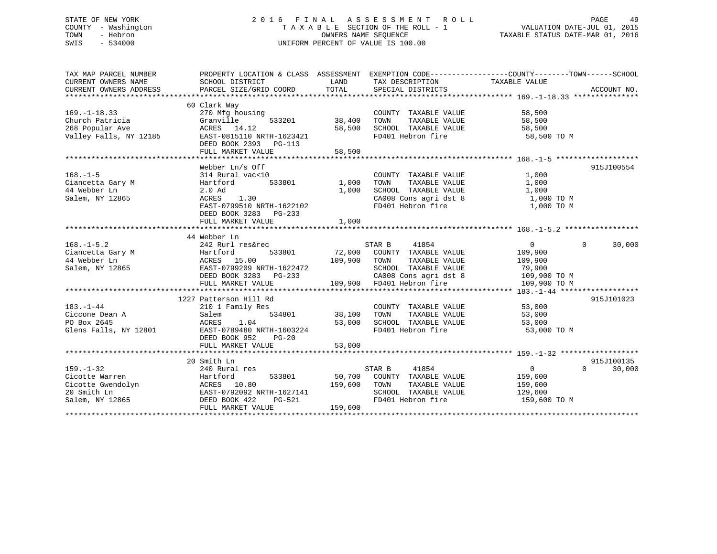# STATE OF NEW YORK 2 0 1 6 F I N A L A S S E S S M E N T R O L L PAGE 49 COUNTY - Washington T A X A B L E SECTION OF THE ROLL - 1 VALUATION DATE-JUL 01, 2015 TOWN - Hebron OWNERS NAME SEQUENCE TAXABLE STATUS DATE-MAR 01, 2016 SWIS - 534000 UNIFORM PERCENT OF VALUE IS 100.00

| TAX MAP PARCEL NUMBER                                  | PROPERTY LOCATION & CLASS ASSESSMENT EXEMPTION CODE---------------COUNTY-------TOWN-----SCHOOL                                                                                                                                                                                                |                    |                                                                                                 |                            |                    |
|--------------------------------------------------------|-----------------------------------------------------------------------------------------------------------------------------------------------------------------------------------------------------------------------------------------------------------------------------------------------|--------------------|-------------------------------------------------------------------------------------------------|----------------------------|--------------------|
| CURRENT OWNERS NAME                                    | SCHOOL DISTRICT                                                                                                                                                                                                                                                                               | LAND               | TAX DESCRIPTION                                                                                 | TAXABLE VALUE              |                    |
| CURRENT OWNERS ADDRESS                                 | PARCEL SIZE/GRID COORD                                                                                                                                                                                                                                                                        | TOTAL              | SPECIAL DISTRICTS                                                                               |                            | ACCOUNT NO.        |
|                                                        |                                                                                                                                                                                                                                                                                               |                    |                                                                                                 |                            |                    |
|                                                        | 60 Clark Way                                                                                                                                                                                                                                                                                  |                    |                                                                                                 |                            |                    |
| $169. - 1 - 18.33$                                     | 270 Mfg housing                                                                                                                                                                                                                                                                               |                    | COUNTY TAXABLE VALUE                                                                            | 58,500                     |                    |
| Church Patricia                                        | 533201<br>Granville                                                                                                                                                                                                                                                                           | 38,400             |                                                                                                 |                            |                    |
| 268 Popular Ave                                        | ACRES 14.12                                                                                                                                                                                                                                                                                   | 58,500             |                                                                                                 |                            |                    |
|                                                        | Valley Falls, NY 12185 EAST-0815110 NRTH-1623421                                                                                                                                                                                                                                              |                    | FD401 Hebron fire 58,500 TO M                                                                   |                            |                    |
|                                                        | DEED BOOK 2393 PG-113                                                                                                                                                                                                                                                                         |                    |                                                                                                 |                            |                    |
|                                                        |                                                                                                                                                                                                                                                                                               |                    |                                                                                                 |                            |                    |
|                                                        |                                                                                                                                                                                                                                                                                               |                    |                                                                                                 |                            |                    |
|                                                        | Webber Ln/s Off                                                                                                                                                                                                                                                                               |                    |                                                                                                 |                            | 915J100554         |
| $168. - 1 - 5$                                         | 314 Rural vac<10                                                                                                                                                                                                                                                                              |                    | COUNTY TAXABLE VALUE                                                                            | 1,000                      |                    |
| Ciancetta Gary M                                       | Hartford 533801 1,000                                                                                                                                                                                                                                                                         |                    | TOWN<br>TAXABLE VALUE                                                                           | 1,000                      |                    |
|                                                        | 2.0 Ad<br>2.0 Ad<br>ACRES       1.30                                                                                                                                                                                                                                                          | 1,000              |                                                                                                 |                            |                    |
| ** webber Ln<br>Salem, NY 12865                        |                                                                                                                                                                                                                                                                                               |                    | SCHOOL TAXABLE VALUE $1,000$<br>CA008 Cons agridst 8 1,000 TO M<br>FD401 Hebron fire 1,000 TO M |                            |                    |
|                                                        | EAST-0799510 NRTH-1622102                                                                                                                                                                                                                                                                     |                    |                                                                                                 |                            |                    |
|                                                        | DEED BOOK 3283 PG-233                                                                                                                                                                                                                                                                         |                    |                                                                                                 |                            |                    |
|                                                        |                                                                                                                                                                                                                                                                                               |                    |                                                                                                 |                            |                    |
|                                                        |                                                                                                                                                                                                                                                                                               |                    |                                                                                                 |                            |                    |
|                                                        | 44 Webber Ln                                                                                                                                                                                                                                                                                  |                    |                                                                                                 |                            |                    |
| $168. - 1 - 5.2$                                       | 242 Rurl res&rec                                                                                                                                                                                                                                                                              |                    | STAR B<br>41854                                                                                 | $\overline{0}$<br>$\Omega$ | 30,000             |
|                                                        |                                                                                                                                                                                                                                                                                               |                    | 533801 72,000 COUNTY TAXABLE VALUE                                                              | 109,900                    |                    |
|                                                        |                                                                                                                                                                                                                                                                                               | 109,900 TOWN       | TOWN TAXABLE VALUE 109,900<br>SCHOOL TAXABLE VALUE 79,900                                       |                            |                    |
|                                                        |                                                                                                                                                                                                                                                                                               |                    |                                                                                                 |                            |                    |
|                                                        | 168.-1-5.2<br>Ciancetta Gary M<br>44 Webber Ln<br>Salem, NY 12865<br>2000<br>2000<br>2000<br>2000<br>2000<br>2000<br>2000<br>2000<br>2000<br>2000<br>2000<br>2000<br>2000<br>2000<br>2000<br>2000<br>2000<br>2000<br>2000<br>2000<br>2000<br>2000<br>2000<br>2000<br>2000<br>2000<br>2000<br> |                    | CA008 Cons agri dst 8 109,900 TO M                                                              |                            |                    |
|                                                        | FULL MARKET VALUE                                                                                                                                                                                                                                                                             |                    | 109,900 FD401 Hebron fire                                                                       | 109,900 TO M               |                    |
|                                                        |                                                                                                                                                                                                                                                                                               |                    |                                                                                                 |                            |                    |
|                                                        | 1227 Patterson Hill Rd                                                                                                                                                                                                                                                                        |                    |                                                                                                 |                            | 915J101023         |
| $183. - 1 - 44$                                        | 210 1 Family Res                                                                                                                                                                                                                                                                              | 534801 38,100 TOWN | COUNTY TAXABLE VALUE<br>TOWN TAXABLE VALUE                                                      | 53,000                     |                    |
| $\frac{1}{5}$ Ciccone Dean A<br>$\frac{1}{5}$ Rox 2645 | 210 1 Family R<br>Salem<br>ACRES 1.04                                                                                                                                                                                                                                                         |                    |                                                                                                 | 53,000<br>53,000           |                    |
| Glens Falls, NY 12801                                  | ACRES 1.04 53,000 SCHOOL TAXABLE VALUE<br>EAST-0789480 NRTH-1603224 FD401 Hebron fire                                                                                                                                                                                                         |                    |                                                                                                 | 53,000 TO M                |                    |
|                                                        | DEED BOOK 952 PG-20                                                                                                                                                                                                                                                                           |                    |                                                                                                 |                            |                    |
|                                                        |                                                                                                                                                                                                                                                                                               |                    |                                                                                                 |                            |                    |
|                                                        |                                                                                                                                                                                                                                                                                               |                    |                                                                                                 |                            |                    |
|                                                        | 20 Smith Ln                                                                                                                                                                                                                                                                                   |                    |                                                                                                 |                            | 915J100135         |
| $159. - 1 - 32$                                        | 240 Rural res                                                                                                                                                                                                                                                                                 |                    | 41854<br>STAR B                                                                                 | $\overline{0}$             | $\Omega$<br>30,000 |
|                                                        |                                                                                                                                                                                                                                                                                               |                    |                                                                                                 |                            |                    |
|                                                        |                                                                                                                                                                                                                                                                                               |                    |                                                                                                 | 159,600<br>159,600         |                    |
|                                                        |                                                                                                                                                                                                                                                                                               |                    | SCHOOL TAXABLE VALUE 129,600                                                                    |                            |                    |
|                                                        |                                                                                                                                                                                                                                                                                               |                    | FD401 Hebron fire                                                                               | 159,600 TO M               |                    |
|                                                        | Cicotte Warren<br>Cicotte Gwendolyn<br>Cicotte Gwendolyn<br>20 Smith Ln<br>EAST-0792092 NRTH-1627141<br>EAST-0792092 NRTH-1627141<br>EAST-0792092 NRTH-1627141<br>EAST-0792092 NRTH-1627141<br>EAST-0792092 NRTH-1627141<br>EAST-0792092 NRTH-16<br>FULL MARKET VALUE                         | 159,600            |                                                                                                 |                            |                    |
|                                                        |                                                                                                                                                                                                                                                                                               |                    |                                                                                                 |                            |                    |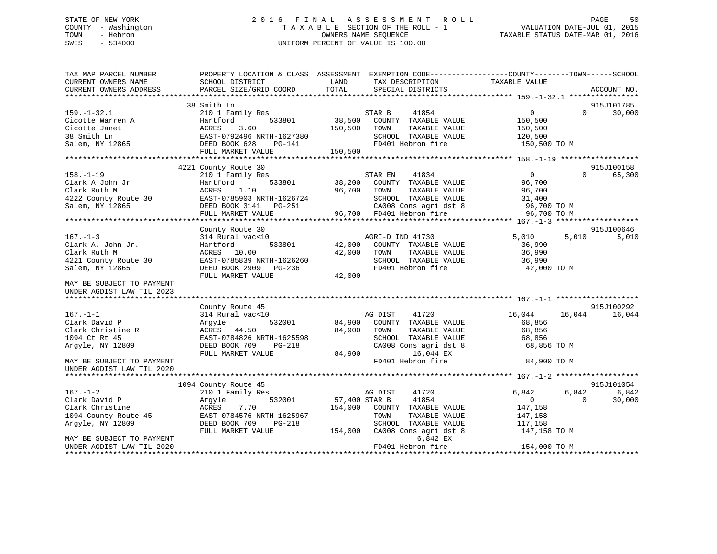# STATE OF NEW YORK 2 0 1 6 F I N A L A S S E S S M E N T R O L L PAGE 50 COUNTY - Washington T A X A B L E SECTION OF THE ROLL - 1 VALUATION DATE-JUL 01, 2015 TOWN - Hebron OWNERS NAME SEQUENCE TAXABLE STATUS DATE-MAR 01, 2016 SWIS - 534000 UNIFORM PERCENT OF VALUE IS 100.00

| TAX MAP PARCEL NUMBER<br>CURRENT OWNERS NAME<br>CURRENT OWNERS ADDRESS | PROPERTY LOCATION & CLASS ASSESSMENT<br>SCHOOL DISTRICT<br>PARCEL SIZE/GRID COORD | LAND<br>TOTAL | EXEMPTION CODE----------------COUNTY-------TOWN------SCHOOL<br>TAX DESCRIPTION<br>SPECIAL DISTRICTS | TAXABLE VALUE  |          | ACCOUNT NO.          |
|------------------------------------------------------------------------|-----------------------------------------------------------------------------------|---------------|-----------------------------------------------------------------------------------------------------|----------------|----------|----------------------|
| *************************                                              |                                                                                   |               |                                                                                                     |                |          |                      |
|                                                                        | 38 Smith Ln                                                                       |               |                                                                                                     |                |          | 915J101785           |
| $159. - 1 - 32.1$                                                      | 210 1 Family Res                                                                  |               | STAR B<br>41854                                                                                     | $\overline{0}$ | $\Omega$ | 30,000               |
| Cicotte Warren A                                                       | 533801<br>Hartford                                                                | 38,500        | COUNTY TAXABLE VALUE                                                                                | 150,500        |          |                      |
| Cicotte Janet                                                          | 3.60<br>ACRES                                                                     | 150,500       | TOWN<br>TAXABLE VALUE                                                                               | 150,500        |          |                      |
| 38 Smith Ln                                                            | EAST-0792496 NRTH-1627380                                                         |               | SCHOOL TAXABLE VALUE                                                                                | 120,500        |          |                      |
| Salem, NY 12865                                                        | DEED BOOK 628<br>PG-141                                                           |               | FD401 Hebron fire                                                                                   | 150,500 TO M   |          |                      |
|                                                                        | FULL MARKET VALUE                                                                 | 150,500       |                                                                                                     |                |          |                      |
|                                                                        |                                                                                   |               |                                                                                                     |                |          |                      |
|                                                                        | 4221 County Route 30                                                              |               |                                                                                                     | $\overline{0}$ | $\Omega$ | 915J100158<br>65,300 |
| $158. - 1 - 19$<br>Clark A John Jr                                     | 210 1 Family Res<br>Hartford<br>533801                                            | 38,200        | STAR EN<br>41834<br>COUNTY TAXABLE VALUE                                                            | 96,700         |          |                      |
| Clark Ruth M                                                           | ACRES<br>1.10                                                                     | 96,700        | TOWN<br>TAXABLE VALUE                                                                               | 96,700         |          |                      |
| 4222 County Route 30                                                   | EAST-0785903 NRTH-1626724                                                         |               | SCHOOL TAXABLE VALUE                                                                                | 31,400         |          |                      |
| Salem, NY 12865                                                        | DEED BOOK 3141 PG-251                                                             |               | CA008 Cons agri dst 8                                                                               | 96,700 TO M    |          |                      |
|                                                                        | FULL MARKET VALUE                                                                 |               | 96,700 FD401 Hebron fire                                                                            | 96,700 TO M    |          |                      |
|                                                                        |                                                                                   |               |                                                                                                     |                |          |                      |
|                                                                        | County Route 30                                                                   |               |                                                                                                     |                |          | 915J100646           |
| $167. - 1 - 3$                                                         | 314 Rural vac<10                                                                  |               | AGRI-D IND 41730                                                                                    | 5,010          | 5,010    | 5,010                |
| Clark A. John Jr.                                                      | 533801<br>Hartford                                                                | 42,000        | COUNTY TAXABLE VALUE                                                                                | 36,990         |          |                      |
| Clark Ruth M                                                           | ACRES 10.00                                                                       | 42,000        | TOWN<br>TAXABLE VALUE                                                                               | 36,990         |          |                      |
| 4221 County Route 30                                                   | EAST-0785839 NRTH-1626260                                                         |               | SCHOOL TAXABLE VALUE                                                                                | 36,990         |          |                      |
| Salem, NY 12865                                                        | DEED BOOK 2909 PG-236                                                             |               | FD401 Hebron fire                                                                                   | 42,000 TO M    |          |                      |
|                                                                        | FULL MARKET VALUE                                                                 | 42,000        |                                                                                                     |                |          |                      |
| MAY BE SUBJECT TO PAYMENT<br>UNDER AGDIST LAW TIL 2023                 |                                                                                   |               |                                                                                                     |                |          |                      |
|                                                                        |                                                                                   |               |                                                                                                     |                |          |                      |
|                                                                        | County Route 45                                                                   |               |                                                                                                     |                |          | 915J100292           |
| $167. - 1 - 1$                                                         | 314 Rural vac<10                                                                  |               | 41720<br>AG DIST                                                                                    | 16,044         | 16,044   | 16,044               |
| Clark David P                                                          | 532001<br>Argyle                                                                  | 84,900        | COUNTY TAXABLE VALUE                                                                                | 68,856         |          |                      |
| Clark Christine R                                                      | ACRES 44.50                                                                       | 84,900        | TOWN<br>TAXABLE VALUE                                                                               | 68,856         |          |                      |
| 1094 Ct Rt 45                                                          | EAST-0784826 NRTH-1625598                                                         |               | SCHOOL TAXABLE VALUE                                                                                | 68,856         |          |                      |
| Arqyle, NY 12809                                                       | DEED BOOK 709<br>$PG-218$                                                         |               | CA008 Cons agri dst 8                                                                               | 68,856 TO M    |          |                      |
|                                                                        | FULL MARKET VALUE                                                                 | 84,900        | 16,044 EX                                                                                           |                |          |                      |
| MAY BE SUBJECT TO PAYMENT                                              |                                                                                   |               | FD401 Hebron fire                                                                                   | 84,900 TO M    |          |                      |
| UNDER AGDIST LAW TIL 2020                                              |                                                                                   |               |                                                                                                     |                |          |                      |
|                                                                        |                                                                                   |               |                                                                                                     |                |          |                      |
|                                                                        | 1094 County Route 45                                                              |               |                                                                                                     |                |          | 915J101054           |
| $167. - 1 - 2$                                                         | 210 1 Family Res                                                                  |               | 41720<br>AG DIST                                                                                    | 6,842          | 6,842    | 6,842                |
| Clark David P                                                          | 532001<br>Argyle                                                                  | 57,400 STAR B | 41854                                                                                               | $\Omega$       | $\Omega$ | 30,000               |
| Clark Christine                                                        | ACRES<br>7.70                                                                     | 154,000       | COUNTY TAXABLE VALUE                                                                                | 147,158        |          |                      |
| 1094 County Route 45                                                   | EAST-0784576 NRTH-1625967                                                         |               | TAXABLE VALUE<br>TOWN                                                                               | 147,158        |          |                      |
| Argyle, NY 12809                                                       | DEED BOOK 709<br><b>PG-218</b>                                                    |               | SCHOOL TAXABLE VALUE                                                                                | 117,158        |          |                      |
| MAY BE SUBJECT TO PAYMENT                                              | FULL MARKET VALUE                                                                 | 154,000       | CA008 Cons agri dst 8<br>6,842 EX                                                                   | 147,158 TO M   |          |                      |
| UNDER AGDIST LAW TIL 2020                                              |                                                                                   |               | FD401 Hebron fire                                                                                   | 154,000 TO M   |          |                      |
| *********************                                                  |                                                                                   |               |                                                                                                     |                |          |                      |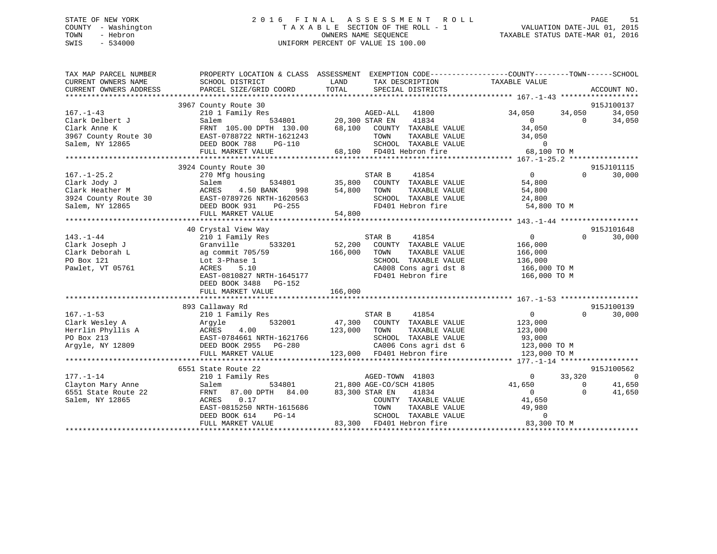# STATE OF NEW YORK 2 0 1 6 F I N A L A S S E S S M E N T R O L L PAGE 51 COUNTY - Washington T A X A B L E SECTION OF THE ROLL - 1 VALUATION DATE-JUL 01, 2015 TOWN - Hebron OWNERS NAME SEQUENCE TAXABLE STATUS DATE-MAR 01, 2016 SWIS - 534000 UNIFORM PERCENT OF VALUE IS 100.00

| 3967 County Route 30<br>915J100137<br>AGED-ALL<br>20,300 STAR EN<br>$167. - 1 - 43$<br>210 1 Family Res<br>AGED-ALL<br>41800<br>34,050<br>34,050<br>34,050<br>534801<br>Clark Delbert J<br>41834<br>$\overline{0}$<br>34,050<br>Salem<br>$\overline{0}$<br>Clark Anne K<br>FRNT 105.00 DPTH 130.00<br>68,100 COUNTY TAXABLE VALUE<br>34,050<br>3967 County Route 30<br>EAST-0788722 NRTH-1621243<br>TAXABLE VALUE<br>34,050<br>$\Omega$<br>Salem, NY 12865<br>DEED BOOK 788<br>PG-110<br>68,100 TO M<br>68,100 FD401 Hebron fire<br>FULL MARKET VALUE<br>3924 County Route 30<br>915J101115<br>$167. - 1 - 25.2$<br>$\Omega$<br>270 Mfg housing<br>STAR B<br>41854<br>$\Omega$<br>30,000<br>534801<br>35,800<br>Clark Jody J<br>Salem<br>COUNTY TAXABLE VALUE<br>54,800<br>Clark Heather M<br>ACRES<br>4.50 BANK<br>54,800<br>TOWN<br>TAXABLE VALUE<br>54,800<br>998<br>EAST-0789726 NRTH-1620563<br>SCHOOL TAXABLE VALUE<br>3924 County Route 30<br>24,800<br>FD401 Hebron fire<br>54,800 TO M<br>Salem, NY 12865<br>DEED BOOK 931<br>PG-255<br>FULL MARKET VALUE<br>54,800<br>915J101648<br>40 Crystal View Way<br>$143. - 1 - 44$<br>210 1 Family Res<br>STAR B<br>41854<br>$\overline{0}$<br>30,000<br>$\Omega$<br>533201<br>52,200 COUNTY TAXABLE VALUE<br>Clark Joseph J<br>Granville<br>166,000<br>166,000<br>Clark Deborah L<br>ag commit 705/59<br>TAXABLE VALUE<br>TOWN<br>166,000<br>PO Box 121<br>Lot 3-Phase 1<br>SCHOOL TAXABLE VALUE<br>136,000<br>Pawlet, VT 05761<br>ACRES<br>5.10<br>CA008 Cons agri dst 8<br>166,000 TO M<br>FD401 Hebron fire<br>EAST-0810827 NRTH-1645177<br>166,000 TO M<br>DEED BOOK 3488 PG-152<br>166,000<br>FULL MARKET VALUE<br>915J100139<br>893 Callaway Rd<br>$167. - 1 - 53$<br>41854<br>$\overline{0}$<br>$\Omega$<br>30,000<br>210 1 Family Res<br>STAR B<br>Clark Wesley A<br>532001<br>47,300 COUNTY TAXABLE VALUE<br>123,000<br>Argyle<br>Herrlin Phyllis A<br>ACRES<br>4.00<br>123,000<br>TAXABLE VALUE<br>TOWN<br>123,000<br>PO Box 213<br>EAST-0784661 NRTH-1621766<br>SCHOOL TAXABLE VALUE<br>93,000<br>123,000 TO M<br>DEED BOOK 2955 PG-280<br>CA006 Cons agri dst 6<br>Arqyle, NY 12809<br>123,000 FD401 Hebron fire<br>FULL MARKET VALUE<br>123,000 TO M<br>6551 State Route 22<br>915J100562<br>AGED-TOWN 41803<br>33,320<br>$177. - 1 - 14$<br>210 1 Family Res<br>$\Omega$<br>$\Omega$<br>534801 21,800 AGE-CO/SCH 41805<br>41,650<br>Clayton Mary Anne<br>41,650<br>$\Omega$<br>Salem<br>FRNT 87.00 DPTH 84.00<br>$\overline{0}$<br>41,650<br>6551 State Route 22<br>83,300 STAR EN<br>41834<br>$\Omega$<br>Salem, NY 12865<br>ACRES<br>0.17<br>COUNTY TAXABLE VALUE<br>41,650<br>49,980<br>EAST-0815250 NRTH-1615686<br>TOWN<br>TAXABLE VALUE<br>DEED BOOK 614<br>SCHOOL TAXABLE VALUE<br>$\Omega$<br>$PG-14$<br>83,300 TO M<br>83,300 FD401 Hebron fire<br>FULL MARKET VALUE | TAX MAP PARCEL NUMBER<br>CURRENT OWNERS NAME | SCHOOL DISTRICT        | PROPERTY LOCATION & CLASS ASSESSMENT EXEMPTION CODE----------------COUNTY-------TOWN-----SCHOOL<br>LAND<br>TAX DESCRIPTION | TAXABLE VALUE |
|------------------------------------------------------------------------------------------------------------------------------------------------------------------------------------------------------------------------------------------------------------------------------------------------------------------------------------------------------------------------------------------------------------------------------------------------------------------------------------------------------------------------------------------------------------------------------------------------------------------------------------------------------------------------------------------------------------------------------------------------------------------------------------------------------------------------------------------------------------------------------------------------------------------------------------------------------------------------------------------------------------------------------------------------------------------------------------------------------------------------------------------------------------------------------------------------------------------------------------------------------------------------------------------------------------------------------------------------------------------------------------------------------------------------------------------------------------------------------------------------------------------------------------------------------------------------------------------------------------------------------------------------------------------------------------------------------------------------------------------------------------------------------------------------------------------------------------------------------------------------------------------------------------------------------------------------------------------------------------------------------------------------------------------------------------------------------------------------------------------------------------------------------------------------------------------------------------------------------------------------------------------------------------------------------------------------------------------------------------------------------------------------------------------------------------------------------------------------------------------------------------------------------------------------------------------------------------------------------------------------------------------------------------------------------------------------------------------------------------------------------------------------------------------------------------------------------------------------|----------------------------------------------|------------------------|----------------------------------------------------------------------------------------------------------------------------|---------------|
|                                                                                                                                                                                                                                                                                                                                                                                                                                                                                                                                                                                                                                                                                                                                                                                                                                                                                                                                                                                                                                                                                                                                                                                                                                                                                                                                                                                                                                                                                                                                                                                                                                                                                                                                                                                                                                                                                                                                                                                                                                                                                                                                                                                                                                                                                                                                                                                                                                                                                                                                                                                                                                                                                                                                                                                                                                                | CURRENT OWNERS ADDRESS                       | PARCEL SIZE/GRID COORD | TOTAL<br>SPECIAL DISTRICTS                                                                                                 | ACCOUNT NO.   |
|                                                                                                                                                                                                                                                                                                                                                                                                                                                                                                                                                                                                                                                                                                                                                                                                                                                                                                                                                                                                                                                                                                                                                                                                                                                                                                                                                                                                                                                                                                                                                                                                                                                                                                                                                                                                                                                                                                                                                                                                                                                                                                                                                                                                                                                                                                                                                                                                                                                                                                                                                                                                                                                                                                                                                                                                                                                |                                              |                        |                                                                                                                            |               |
|                                                                                                                                                                                                                                                                                                                                                                                                                                                                                                                                                                                                                                                                                                                                                                                                                                                                                                                                                                                                                                                                                                                                                                                                                                                                                                                                                                                                                                                                                                                                                                                                                                                                                                                                                                                                                                                                                                                                                                                                                                                                                                                                                                                                                                                                                                                                                                                                                                                                                                                                                                                                                                                                                                                                                                                                                                                |                                              |                        |                                                                                                                            |               |
|                                                                                                                                                                                                                                                                                                                                                                                                                                                                                                                                                                                                                                                                                                                                                                                                                                                                                                                                                                                                                                                                                                                                                                                                                                                                                                                                                                                                                                                                                                                                                                                                                                                                                                                                                                                                                                                                                                                                                                                                                                                                                                                                                                                                                                                                                                                                                                                                                                                                                                                                                                                                                                                                                                                                                                                                                                                |                                              |                        |                                                                                                                            |               |
|                                                                                                                                                                                                                                                                                                                                                                                                                                                                                                                                                                                                                                                                                                                                                                                                                                                                                                                                                                                                                                                                                                                                                                                                                                                                                                                                                                                                                                                                                                                                                                                                                                                                                                                                                                                                                                                                                                                                                                                                                                                                                                                                                                                                                                                                                                                                                                                                                                                                                                                                                                                                                                                                                                                                                                                                                                                |                                              |                        |                                                                                                                            |               |
|                                                                                                                                                                                                                                                                                                                                                                                                                                                                                                                                                                                                                                                                                                                                                                                                                                                                                                                                                                                                                                                                                                                                                                                                                                                                                                                                                                                                                                                                                                                                                                                                                                                                                                                                                                                                                                                                                                                                                                                                                                                                                                                                                                                                                                                                                                                                                                                                                                                                                                                                                                                                                                                                                                                                                                                                                                                |                                              |                        |                                                                                                                            |               |
|                                                                                                                                                                                                                                                                                                                                                                                                                                                                                                                                                                                                                                                                                                                                                                                                                                                                                                                                                                                                                                                                                                                                                                                                                                                                                                                                                                                                                                                                                                                                                                                                                                                                                                                                                                                                                                                                                                                                                                                                                                                                                                                                                                                                                                                                                                                                                                                                                                                                                                                                                                                                                                                                                                                                                                                                                                                |                                              |                        |                                                                                                                            |               |
|                                                                                                                                                                                                                                                                                                                                                                                                                                                                                                                                                                                                                                                                                                                                                                                                                                                                                                                                                                                                                                                                                                                                                                                                                                                                                                                                                                                                                                                                                                                                                                                                                                                                                                                                                                                                                                                                                                                                                                                                                                                                                                                                                                                                                                                                                                                                                                                                                                                                                                                                                                                                                                                                                                                                                                                                                                                |                                              |                        |                                                                                                                            |               |
|                                                                                                                                                                                                                                                                                                                                                                                                                                                                                                                                                                                                                                                                                                                                                                                                                                                                                                                                                                                                                                                                                                                                                                                                                                                                                                                                                                                                                                                                                                                                                                                                                                                                                                                                                                                                                                                                                                                                                                                                                                                                                                                                                                                                                                                                                                                                                                                                                                                                                                                                                                                                                                                                                                                                                                                                                                                |                                              |                        |                                                                                                                            |               |
|                                                                                                                                                                                                                                                                                                                                                                                                                                                                                                                                                                                                                                                                                                                                                                                                                                                                                                                                                                                                                                                                                                                                                                                                                                                                                                                                                                                                                                                                                                                                                                                                                                                                                                                                                                                                                                                                                                                                                                                                                                                                                                                                                                                                                                                                                                                                                                                                                                                                                                                                                                                                                                                                                                                                                                                                                                                |                                              |                        |                                                                                                                            |               |
|                                                                                                                                                                                                                                                                                                                                                                                                                                                                                                                                                                                                                                                                                                                                                                                                                                                                                                                                                                                                                                                                                                                                                                                                                                                                                                                                                                                                                                                                                                                                                                                                                                                                                                                                                                                                                                                                                                                                                                                                                                                                                                                                                                                                                                                                                                                                                                                                                                                                                                                                                                                                                                                                                                                                                                                                                                                |                                              |                        |                                                                                                                            |               |
|                                                                                                                                                                                                                                                                                                                                                                                                                                                                                                                                                                                                                                                                                                                                                                                                                                                                                                                                                                                                                                                                                                                                                                                                                                                                                                                                                                                                                                                                                                                                                                                                                                                                                                                                                                                                                                                                                                                                                                                                                                                                                                                                                                                                                                                                                                                                                                                                                                                                                                                                                                                                                                                                                                                                                                                                                                                |                                              |                        |                                                                                                                            |               |
|                                                                                                                                                                                                                                                                                                                                                                                                                                                                                                                                                                                                                                                                                                                                                                                                                                                                                                                                                                                                                                                                                                                                                                                                                                                                                                                                                                                                                                                                                                                                                                                                                                                                                                                                                                                                                                                                                                                                                                                                                                                                                                                                                                                                                                                                                                                                                                                                                                                                                                                                                                                                                                                                                                                                                                                                                                                |                                              |                        |                                                                                                                            |               |
|                                                                                                                                                                                                                                                                                                                                                                                                                                                                                                                                                                                                                                                                                                                                                                                                                                                                                                                                                                                                                                                                                                                                                                                                                                                                                                                                                                                                                                                                                                                                                                                                                                                                                                                                                                                                                                                                                                                                                                                                                                                                                                                                                                                                                                                                                                                                                                                                                                                                                                                                                                                                                                                                                                                                                                                                                                                |                                              |                        |                                                                                                                            |               |
|                                                                                                                                                                                                                                                                                                                                                                                                                                                                                                                                                                                                                                                                                                                                                                                                                                                                                                                                                                                                                                                                                                                                                                                                                                                                                                                                                                                                                                                                                                                                                                                                                                                                                                                                                                                                                                                                                                                                                                                                                                                                                                                                                                                                                                                                                                                                                                                                                                                                                                                                                                                                                                                                                                                                                                                                                                                |                                              |                        |                                                                                                                            |               |
|                                                                                                                                                                                                                                                                                                                                                                                                                                                                                                                                                                                                                                                                                                                                                                                                                                                                                                                                                                                                                                                                                                                                                                                                                                                                                                                                                                                                                                                                                                                                                                                                                                                                                                                                                                                                                                                                                                                                                                                                                                                                                                                                                                                                                                                                                                                                                                                                                                                                                                                                                                                                                                                                                                                                                                                                                                                |                                              |                        |                                                                                                                            |               |
|                                                                                                                                                                                                                                                                                                                                                                                                                                                                                                                                                                                                                                                                                                                                                                                                                                                                                                                                                                                                                                                                                                                                                                                                                                                                                                                                                                                                                                                                                                                                                                                                                                                                                                                                                                                                                                                                                                                                                                                                                                                                                                                                                                                                                                                                                                                                                                                                                                                                                                                                                                                                                                                                                                                                                                                                                                                |                                              |                        |                                                                                                                            |               |
|                                                                                                                                                                                                                                                                                                                                                                                                                                                                                                                                                                                                                                                                                                                                                                                                                                                                                                                                                                                                                                                                                                                                                                                                                                                                                                                                                                                                                                                                                                                                                                                                                                                                                                                                                                                                                                                                                                                                                                                                                                                                                                                                                                                                                                                                                                                                                                                                                                                                                                                                                                                                                                                                                                                                                                                                                                                |                                              |                        |                                                                                                                            |               |
|                                                                                                                                                                                                                                                                                                                                                                                                                                                                                                                                                                                                                                                                                                                                                                                                                                                                                                                                                                                                                                                                                                                                                                                                                                                                                                                                                                                                                                                                                                                                                                                                                                                                                                                                                                                                                                                                                                                                                                                                                                                                                                                                                                                                                                                                                                                                                                                                                                                                                                                                                                                                                                                                                                                                                                                                                                                |                                              |                        |                                                                                                                            |               |
|                                                                                                                                                                                                                                                                                                                                                                                                                                                                                                                                                                                                                                                                                                                                                                                                                                                                                                                                                                                                                                                                                                                                                                                                                                                                                                                                                                                                                                                                                                                                                                                                                                                                                                                                                                                                                                                                                                                                                                                                                                                                                                                                                                                                                                                                                                                                                                                                                                                                                                                                                                                                                                                                                                                                                                                                                                                |                                              |                        |                                                                                                                            |               |
|                                                                                                                                                                                                                                                                                                                                                                                                                                                                                                                                                                                                                                                                                                                                                                                                                                                                                                                                                                                                                                                                                                                                                                                                                                                                                                                                                                                                                                                                                                                                                                                                                                                                                                                                                                                                                                                                                                                                                                                                                                                                                                                                                                                                                                                                                                                                                                                                                                                                                                                                                                                                                                                                                                                                                                                                                                                |                                              |                        |                                                                                                                            |               |
|                                                                                                                                                                                                                                                                                                                                                                                                                                                                                                                                                                                                                                                                                                                                                                                                                                                                                                                                                                                                                                                                                                                                                                                                                                                                                                                                                                                                                                                                                                                                                                                                                                                                                                                                                                                                                                                                                                                                                                                                                                                                                                                                                                                                                                                                                                                                                                                                                                                                                                                                                                                                                                                                                                                                                                                                                                                |                                              |                        |                                                                                                                            |               |
|                                                                                                                                                                                                                                                                                                                                                                                                                                                                                                                                                                                                                                                                                                                                                                                                                                                                                                                                                                                                                                                                                                                                                                                                                                                                                                                                                                                                                                                                                                                                                                                                                                                                                                                                                                                                                                                                                                                                                                                                                                                                                                                                                                                                                                                                                                                                                                                                                                                                                                                                                                                                                                                                                                                                                                                                                                                |                                              |                        |                                                                                                                            |               |
|                                                                                                                                                                                                                                                                                                                                                                                                                                                                                                                                                                                                                                                                                                                                                                                                                                                                                                                                                                                                                                                                                                                                                                                                                                                                                                                                                                                                                                                                                                                                                                                                                                                                                                                                                                                                                                                                                                                                                                                                                                                                                                                                                                                                                                                                                                                                                                                                                                                                                                                                                                                                                                                                                                                                                                                                                                                |                                              |                        |                                                                                                                            |               |
|                                                                                                                                                                                                                                                                                                                                                                                                                                                                                                                                                                                                                                                                                                                                                                                                                                                                                                                                                                                                                                                                                                                                                                                                                                                                                                                                                                                                                                                                                                                                                                                                                                                                                                                                                                                                                                                                                                                                                                                                                                                                                                                                                                                                                                                                                                                                                                                                                                                                                                                                                                                                                                                                                                                                                                                                                                                |                                              |                        |                                                                                                                            |               |
|                                                                                                                                                                                                                                                                                                                                                                                                                                                                                                                                                                                                                                                                                                                                                                                                                                                                                                                                                                                                                                                                                                                                                                                                                                                                                                                                                                                                                                                                                                                                                                                                                                                                                                                                                                                                                                                                                                                                                                                                                                                                                                                                                                                                                                                                                                                                                                                                                                                                                                                                                                                                                                                                                                                                                                                                                                                |                                              |                        |                                                                                                                            |               |
|                                                                                                                                                                                                                                                                                                                                                                                                                                                                                                                                                                                                                                                                                                                                                                                                                                                                                                                                                                                                                                                                                                                                                                                                                                                                                                                                                                                                                                                                                                                                                                                                                                                                                                                                                                                                                                                                                                                                                                                                                                                                                                                                                                                                                                                                                                                                                                                                                                                                                                                                                                                                                                                                                                                                                                                                                                                |                                              |                        |                                                                                                                            |               |
|                                                                                                                                                                                                                                                                                                                                                                                                                                                                                                                                                                                                                                                                                                                                                                                                                                                                                                                                                                                                                                                                                                                                                                                                                                                                                                                                                                                                                                                                                                                                                                                                                                                                                                                                                                                                                                                                                                                                                                                                                                                                                                                                                                                                                                                                                                                                                                                                                                                                                                                                                                                                                                                                                                                                                                                                                                                |                                              |                        |                                                                                                                            |               |
|                                                                                                                                                                                                                                                                                                                                                                                                                                                                                                                                                                                                                                                                                                                                                                                                                                                                                                                                                                                                                                                                                                                                                                                                                                                                                                                                                                                                                                                                                                                                                                                                                                                                                                                                                                                                                                                                                                                                                                                                                                                                                                                                                                                                                                                                                                                                                                                                                                                                                                                                                                                                                                                                                                                                                                                                                                                |                                              |                        |                                                                                                                            |               |
|                                                                                                                                                                                                                                                                                                                                                                                                                                                                                                                                                                                                                                                                                                                                                                                                                                                                                                                                                                                                                                                                                                                                                                                                                                                                                                                                                                                                                                                                                                                                                                                                                                                                                                                                                                                                                                                                                                                                                                                                                                                                                                                                                                                                                                                                                                                                                                                                                                                                                                                                                                                                                                                                                                                                                                                                                                                |                                              |                        |                                                                                                                            |               |
|                                                                                                                                                                                                                                                                                                                                                                                                                                                                                                                                                                                                                                                                                                                                                                                                                                                                                                                                                                                                                                                                                                                                                                                                                                                                                                                                                                                                                                                                                                                                                                                                                                                                                                                                                                                                                                                                                                                                                                                                                                                                                                                                                                                                                                                                                                                                                                                                                                                                                                                                                                                                                                                                                                                                                                                                                                                |                                              |                        |                                                                                                                            |               |
|                                                                                                                                                                                                                                                                                                                                                                                                                                                                                                                                                                                                                                                                                                                                                                                                                                                                                                                                                                                                                                                                                                                                                                                                                                                                                                                                                                                                                                                                                                                                                                                                                                                                                                                                                                                                                                                                                                                                                                                                                                                                                                                                                                                                                                                                                                                                                                                                                                                                                                                                                                                                                                                                                                                                                                                                                                                |                                              |                        |                                                                                                                            |               |
|                                                                                                                                                                                                                                                                                                                                                                                                                                                                                                                                                                                                                                                                                                                                                                                                                                                                                                                                                                                                                                                                                                                                                                                                                                                                                                                                                                                                                                                                                                                                                                                                                                                                                                                                                                                                                                                                                                                                                                                                                                                                                                                                                                                                                                                                                                                                                                                                                                                                                                                                                                                                                                                                                                                                                                                                                                                |                                              |                        |                                                                                                                            |               |
|                                                                                                                                                                                                                                                                                                                                                                                                                                                                                                                                                                                                                                                                                                                                                                                                                                                                                                                                                                                                                                                                                                                                                                                                                                                                                                                                                                                                                                                                                                                                                                                                                                                                                                                                                                                                                                                                                                                                                                                                                                                                                                                                                                                                                                                                                                                                                                                                                                                                                                                                                                                                                                                                                                                                                                                                                                                |                                              |                        |                                                                                                                            |               |
|                                                                                                                                                                                                                                                                                                                                                                                                                                                                                                                                                                                                                                                                                                                                                                                                                                                                                                                                                                                                                                                                                                                                                                                                                                                                                                                                                                                                                                                                                                                                                                                                                                                                                                                                                                                                                                                                                                                                                                                                                                                                                                                                                                                                                                                                                                                                                                                                                                                                                                                                                                                                                                                                                                                                                                                                                                                |                                              |                        |                                                                                                                            |               |
|                                                                                                                                                                                                                                                                                                                                                                                                                                                                                                                                                                                                                                                                                                                                                                                                                                                                                                                                                                                                                                                                                                                                                                                                                                                                                                                                                                                                                                                                                                                                                                                                                                                                                                                                                                                                                                                                                                                                                                                                                                                                                                                                                                                                                                                                                                                                                                                                                                                                                                                                                                                                                                                                                                                                                                                                                                                |                                              |                        |                                                                                                                            |               |
|                                                                                                                                                                                                                                                                                                                                                                                                                                                                                                                                                                                                                                                                                                                                                                                                                                                                                                                                                                                                                                                                                                                                                                                                                                                                                                                                                                                                                                                                                                                                                                                                                                                                                                                                                                                                                                                                                                                                                                                                                                                                                                                                                                                                                                                                                                                                                                                                                                                                                                                                                                                                                                                                                                                                                                                                                                                |                                              |                        |                                                                                                                            |               |
|                                                                                                                                                                                                                                                                                                                                                                                                                                                                                                                                                                                                                                                                                                                                                                                                                                                                                                                                                                                                                                                                                                                                                                                                                                                                                                                                                                                                                                                                                                                                                                                                                                                                                                                                                                                                                                                                                                                                                                                                                                                                                                                                                                                                                                                                                                                                                                                                                                                                                                                                                                                                                                                                                                                                                                                                                                                |                                              |                        |                                                                                                                            |               |
|                                                                                                                                                                                                                                                                                                                                                                                                                                                                                                                                                                                                                                                                                                                                                                                                                                                                                                                                                                                                                                                                                                                                                                                                                                                                                                                                                                                                                                                                                                                                                                                                                                                                                                                                                                                                                                                                                                                                                                                                                                                                                                                                                                                                                                                                                                                                                                                                                                                                                                                                                                                                                                                                                                                                                                                                                                                |                                              |                        |                                                                                                                            |               |
|                                                                                                                                                                                                                                                                                                                                                                                                                                                                                                                                                                                                                                                                                                                                                                                                                                                                                                                                                                                                                                                                                                                                                                                                                                                                                                                                                                                                                                                                                                                                                                                                                                                                                                                                                                                                                                                                                                                                                                                                                                                                                                                                                                                                                                                                                                                                                                                                                                                                                                                                                                                                                                                                                                                                                                                                                                                |                                              |                        |                                                                                                                            |               |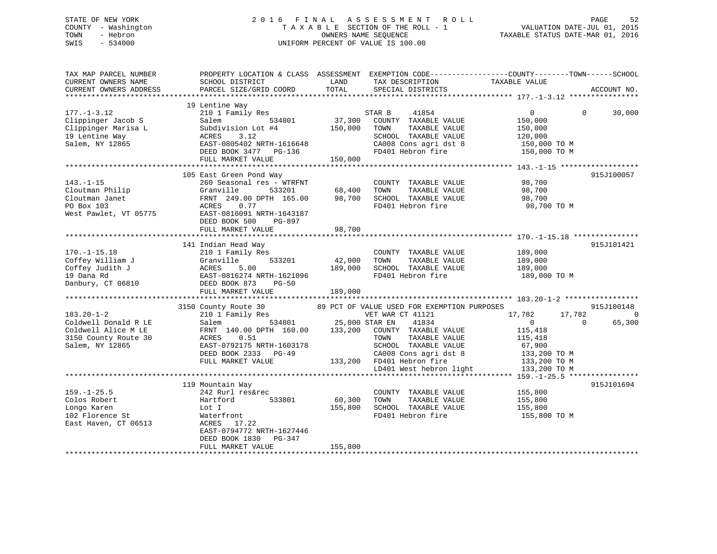# STATE OF NEW YORK 2 0 1 6 F I N A L A S S E S S M E N T R O L L PAGE 52 COUNTY - Washington T A X A B L E SECTION OF THE ROLL - 1 VALUATION DATE-JUL 01, 2015 TOWN - Hebron OWNERS NAME SEQUENCE TAXABLE STATUS DATE-MAR 01, 2016 SWIS - 534000 UNIFORM PERCENT OF VALUE IS 100.00

| TAX MAP PARCEL NUMBER<br>CURRENT OWNERS NAME<br>CURRENT OWNERS ADDRESS                                     | PROPERTY LOCATION & CLASS ASSESSMENT<br>SCHOOL DISTRICT<br>PARCEL SIZE/GRID COORD                                                                                                                    | LAND<br>TOTAL                | EXEMPTION CODE-----------------COUNTY-------TOWN------SCHOOL<br>TAX DESCRIPTION<br>SPECIAL DISTRICTS                                                                                                                                                 | TAXABLE VALUE                                                                                                                  | ACCOUNT NO.                      |
|------------------------------------------------------------------------------------------------------------|------------------------------------------------------------------------------------------------------------------------------------------------------------------------------------------------------|------------------------------|------------------------------------------------------------------------------------------------------------------------------------------------------------------------------------------------------------------------------------------------------|--------------------------------------------------------------------------------------------------------------------------------|----------------------------------|
| $177. - 1 - 3.12$<br>Clippinger Jacob S<br>Clippinger Marisa L<br>19 Lentine Way<br>Salem, NY 12865        | 19 Lentine Way<br>210 1 Family Res<br>534801<br>Salem<br>Subdivision Lot #4<br>3.12<br>ACRES<br>EAST-0805402 NRTH-1616648<br>DEED BOOK 3477 PG-136<br>FULL MARKET VALUE                              | 37,300<br>150,000<br>150,000 | STAR B<br>41854<br>COUNTY TAXABLE VALUE<br>TOWN<br>TAXABLE VALUE<br>SCHOOL TAXABLE VALUE<br>CA008 Cons agri dst 8<br>FD401 Hebron fire                                                                                                               | $\overline{0}$<br>150,000<br>150,000<br>120,000<br>150,000 ТО М<br>150,000 TO M                                                | 30,000<br>$\Omega$               |
| $143. - 1 - 15$<br>Cloutman Philip<br>Cloutman Janet<br>PO Box 103<br>West Pawlet, VT 05775                | 105 East Green Pond Way<br>260 Seasonal res - WTRFNT<br>Granville<br>533201<br>FRNT 249.00 DPTH 165.00<br>0.77<br>ACRES<br>EAST-0816091 NRTH-1643187<br>DEED BOOK 500<br>PG-897<br>FULL MARKET VALUE | 68,400<br>98,700<br>98,700   | COUNTY TAXABLE VALUE<br>TOWN<br>TAXABLE VALUE<br>SCHOOL TAXABLE VALUE<br>FD401 Hebron fire                                                                                                                                                           | 98,700<br>98,700<br>98,700<br>98,700 TO M                                                                                      | 915J100057                       |
| $170. - 1 - 15.18$<br>Coffey William J<br>Coffey Judith J<br>19 Dana Rd<br>Danbury, CT 06810               | 141 Indian Head Way<br>210 1 Family Res<br>533201<br>Granville<br>5.00<br>ACRES<br>EAST-0816274 NRTH-1621096<br>DEED BOOK 873<br>PG-50<br>FULL MARKET VALUE                                          | 42,000<br>189,000<br>189,000 | COUNTY TAXABLE VALUE<br>TAXABLE VALUE<br>TOWN<br>SCHOOL TAXABLE VALUE<br>FD401 Hebron fire                                                                                                                                                           | 189,000<br>189,000<br>189,000<br>189,000 TO M                                                                                  | 915J101421                       |
| $183.20 - 1 - 2$<br>Coldwell Donald R LE<br>Coldwell Alice M LE<br>3150 County Route 30<br>Salem, NY 12865 | 3150 County Route 30<br>210 1 Family Res<br>534801<br>Salem<br>FRNT 140.00 DPTH 160.00<br>ACRES<br>0.51<br>EAST-0792175 NRTH-1603178<br>DEED BOOK 2333<br>$PG-49$<br>FULL MARKET VALUE               | 133,200                      | 89 PCT OF VALUE USED FOR EXEMPTION PURPOSES<br>VET WAR CT 41121<br>25,000 STAR EN<br>41834<br>COUNTY TAXABLE VALUE<br>TAXABLE VALUE<br>TOWN<br>SCHOOL TAXABLE VALUE<br>CA008 Cons agri dst 8<br>133,200 FD401 Hebron fire<br>LD401 West hebron light | 17,782<br>17,782<br>$\overline{0}$<br>$\Omega$<br>115,418<br>115,418<br>67,900<br>133,200 TO M<br>133,200 TO M<br>133,200 TO M | 915J100148<br>$\Omega$<br>65,300 |
| $159. - 1 - 25.5$<br>Colos Robert<br>Longo Karen<br>102 Florence St<br>East Haven, CT 06513                | 119 Mountain Way<br>242 Rurl res&rec<br>Hartford<br>533801<br>Lot I<br>Waterfront<br>ACRES 17.22<br>EAST-0794772 NRTH-1627446<br>DEED BOOK 1830<br>PG-347<br>FULL MARKET VALUE                       | 60,300<br>155,800<br>155,800 | COUNTY TAXABLE VALUE<br>TOWN<br>TAXABLE VALUE<br>SCHOOL TAXABLE VALUE<br>FD401 Hebron fire                                                                                                                                                           | 155,800<br>155,800<br>155,800<br>155,800 TO M                                                                                  | 915J101694                       |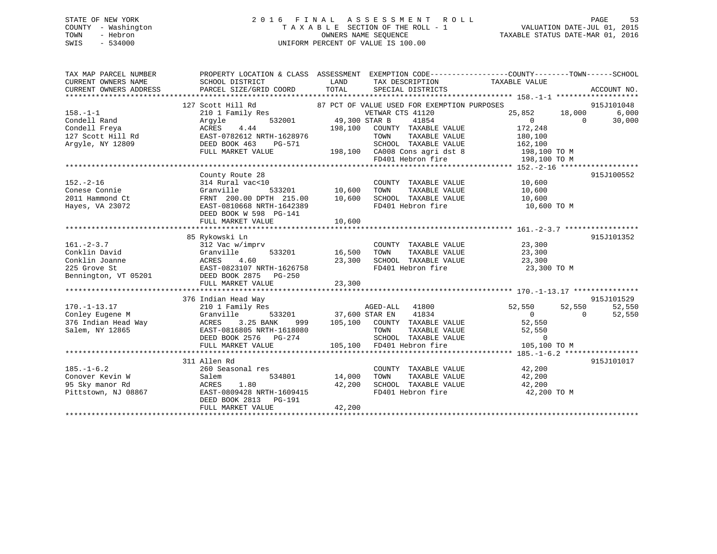# STATE OF NEW YORK 2 0 1 6 F I N A L A S S E S S M E N T R O L L PAGE 53 COUNTY - Washington T A X A B L E SECTION OF THE ROLL - 1 VALUATION DATE-JUL 01, 2015 TOWN - Hebron OWNERS NAME SEQUENCE TAXABLE STATUS DATE-MAR 01, 2016 SWIS - 534000 UNIFORM PERCENT OF VALUE IS 100.00

| TAX MAP PARCEL NUMBER<br>CURRENT OWNERS NAME<br>CURRENT OWNERS ADDRESS                                                                                                                                                        | SCHOOL DISTRICT<br>PARCEL SIZE/GRID COORD                                                                                                                                                   | LAND<br>TOTAL                   | TAX DESCRIPTION<br>SPECIAL DISTRICTS                                                                                                                                                                                                                | PROPERTY LOCATION & CLASS ASSESSMENT EXEMPTION CODE----------------COUNTY-------TOWN------SCHOOL<br>TAXABLE VALUE                                                                          | ACCOUNT NO.                    |
|-------------------------------------------------------------------------------------------------------------------------------------------------------------------------------------------------------------------------------|---------------------------------------------------------------------------------------------------------------------------------------------------------------------------------------------|---------------------------------|-----------------------------------------------------------------------------------------------------------------------------------------------------------------------------------------------------------------------------------------------------|--------------------------------------------------------------------------------------------------------------------------------------------------------------------------------------------|--------------------------------|
| $158. - 1 - 1$<br>Condell Rand<br>Condell Freya<br>127 Scott Hill Rd<br>Arqyle, NY 12809                                                                                                                                      | 127 Scott Hill Rd<br>210 1 Family Res<br>Arqyle<br>ACRES<br>4.44<br>EAST-0782612 NRTH-1628976<br>DEED BOOK 463<br><b>PG-571</b><br>FULL MARKET VALUE                                        | 532001 49,300 STAR B<br>198,100 | 87 PCT OF VALUE USED FOR EXEMPTION PURPOSES<br>VETWAR CTS 41120<br>41854<br>COUNTY TAXABLE VALUE<br>TOWN<br>FD401 Hebron fire                                                                                                                       | 25,852 18,000<br>$\overline{0}$<br>$\overline{0}$<br>172,248<br>TAXABLE VALUE 180,100<br>99-571 SCHOOL TAXABLE VALUE 162,100<br>198,100 CA008 Cons agri dst 8 198,100 TO M<br>198,100 TO M | 915J101048<br>6,000<br>30,000  |
| $152. - 2 - 16$<br>Conese Connie<br>2011 Hammond Ct<br>Hayes, VA 23072                                                                                                                                                        | County Route 28<br>ULE RUFAL VAC<10<br>Granville 533201 10,600<br>FRNT 200.00 DPTH 215.00 10,600<br>EAST-0810668 NPTH 1640000 10,600<br>EAST-0810668 NRTH-1642389<br>DEED BOOK W 598 PG-141 |                                 | COUNTY TAXABLE VALUE 10,600<br>$\begin{tabular}{lllllllllll} \textsc{Tom} & \textsc{TrXABLE} & \textsc{Value} & & \textsc{10,600} \\ \textsc{SCHOOL} & \textsc{TrXABLE} & \textsc{Value} & & \textsc{10,600} \\ \end{tabular}$<br>FD401 Hebron fire | 10,600 TO M                                                                                                                                                                                | 915J100552                     |
| $161. - 2 - 3.7$<br>Conklin David<br>Conklin David<br>Conklin Joanne<br>225 Grove St<br>Bennington, VT 05201<br>Conklin David<br>225 Grove St<br>EAST-0823107 NRTH-1626758<br>DEED BOOK 2875<br>PG-250<br>CONS 2875<br>PG-250 | 85 Rykowski Ln<br>312 Vac w/imprv<br>533201 16,500                                                                                                                                          | 23,300                          | COUNTY TAXABLE VALUE 23,300<br>TOWN<br>SCHOOL TAXABLE VALUE<br>FD401 Hebron fire                                                                                                                                                                    | TAXABLE VALUE 23,300<br>23,300<br>23,300 TO M                                                                                                                                              | 915J101352                     |
| $170. - 1 - 13.17$<br>Conley Eugene M<br>376 Indian Head Way<br>Salem, NY 12865<br>Salem, NY 12865                                                                                                                            | 376 Indian Head Way<br>210 1 Family Res<br>Granville<br>3.25 BANK<br>ACRES<br>EAST-0816805 NRTH-1618080<br>DEED BOOK 2576    PG-274<br>FULL MARKET VALUE                                    | 533201 37,600 STAR EN           | AGED-ALL 41800<br>41834<br>999 105,100 COUNTY TAXABLE VALUE 52,550<br>105,100 FD401 Hebron fire                                                                                                                                                     | 52,550<br>52,550<br>$\overline{0}$<br>$\Omega$<br>TOWN TAXABLE VALUE 52,550<br>SCHOOL TAXABLE VALUE 52,550<br>FD401 Hebron fire 105,100 TO M                                               | 915J101529<br>52,550<br>52,550 |
| $185. - 1 - 6.2$<br>Conover Kevin W<br>95 Sky manor Rd<br>Pittstown, NJ 08867                                                                                                                                                 | 311 Allen Rd<br>260 Seasonal res<br>534801<br>Salem<br>1.80<br>ACRES<br>EAST-0809428 NRTH-1609415<br>DEED BOOK 2813 PG-191<br>FULL MARKET VALUE                                             | 14,000<br>42,200<br>42,200      | COUNTY TAXABLE VALUE<br>TOWN<br>TAXABLE VALUE<br>SCHOOL TAXABLE VALUE 42,200                                                                                                                                                                        | 42,200<br>42,200<br>FD401 Hebron fire 42,200 TO M                                                                                                                                          | 915J101017                     |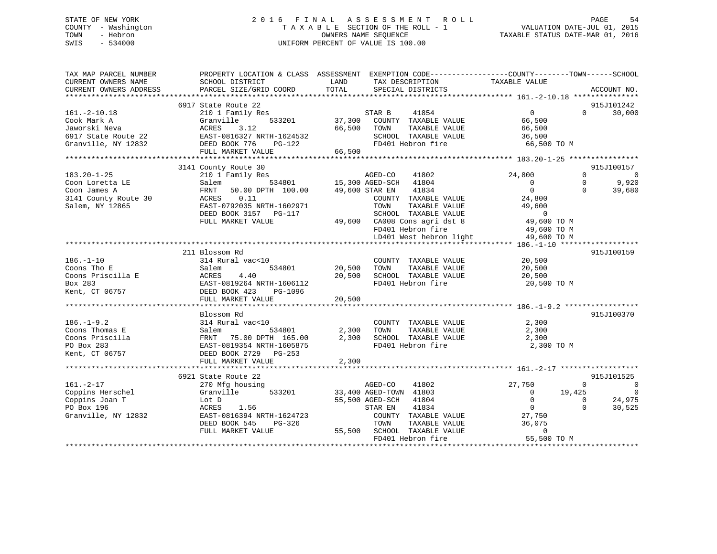# STATE OF NEW YORK 2 0 1 6 F I N A L A S S E S S M E N T R O L L PAGE 54 COUNTY - Washington T A X A B L E SECTION OF THE ROLL - 1 VALUATION DATE-JUL 01, 2015 TOWN - Hebron OWNERS NAME SEQUENCE TAXABLE STATUS DATE-MAR 01, 2016 SWIS - 534000 UNIFORM PERCENT OF VALUE IS 100.00

| TAX MAP PARCEL NUMBER<br>CURRENT OWNERS NAME<br>CURRENT OWNERS ADDRESS | SCHOOL DISTRICT<br>PARCEL SIZE/GRID COORD | LAND<br>TOTAL  | PROPERTY LOCATION & CLASS ASSESSMENT EXEMPTION CODE---------------COUNTY-------TOWN-----SCHOOL<br>TAX DESCRIPTION<br>SPECIAL DISTRICTS | TAXABLE VALUE            |          | ACCOUNT NO.                  |
|------------------------------------------------------------------------|-------------------------------------------|----------------|----------------------------------------------------------------------------------------------------------------------------------------|--------------------------|----------|------------------------------|
|                                                                        |                                           |                |                                                                                                                                        |                          |          |                              |
|                                                                        | 6917 State Route 22                       |                |                                                                                                                                        |                          |          | 915J101242                   |
| $161.-2-10.18$                                                         | 210 1 Family Res                          |                | STAR B<br>41854                                                                                                                        | $\overline{0}$           | $\Omega$ | 30,000                       |
| Cook Mark A                                                            | Granville<br>533201                       |                | 37,300 COUNTY TAXABLE VALUE                                                                                                            | 66,500                   |          |                              |
| Jaworski Neva                                                          | ACRES<br>3.12                             |                | 66,500 TOWN<br>TAXABLE VALUE                                                                                                           | 66,500                   |          |                              |
| 6917 State Route 22                                                    | EAST-0816327 NRTH-1624532                 |                | SCHOOL TAXABLE VALUE                                                                                                                   | 36,500                   |          |                              |
| Granville, NY 12832                                                    | DEED BOOK 776<br>$PG-122$                 |                | FD401 Hebron fire                                                                                                                      | 66,500 TO M              |          |                              |
|                                                                        | FULL MARKET VALUE                         | 66,500         |                                                                                                                                        |                          |          |                              |
|                                                                        | 3141 County Route 30                      |                |                                                                                                                                        |                          |          | 915J100157                   |
| $183.20 - 1 - 25$                                                      | 210 1 Family Res                          |                | AGED-CO<br>41802                                                                                                                       | 24,800                   | $\Omega$ | $\overline{0}$               |
| Coon Loretta LE                                                        | Salem                                     |                | 534801 15,300 AGED-SCH<br>41804                                                                                                        | $\overline{0}$           | $\Omega$ | 9,920                        |
| Coon James A                                                           | FRNT<br>50.00 DPTH 100.00                 | 49,600 STAR EN | 41834                                                                                                                                  | $\overline{0}$           | $\Omega$ | 39,680                       |
| 3141 County Route 30                                                   | 0.11<br>ACRES                             |                | COUNTY TAXABLE VALUE                                                                                                                   | 24,800                   |          |                              |
| Salem, NY 12865                                                        | EAST-0792035 NRTH-1602971                 |                | TOWN<br>TAXABLE VALUE                                                                                                                  | 49,600                   |          |                              |
|                                                                        | DEED BOOK 3157 PG-117                     |                | SCHOOL TAXABLE VALUE                                                                                                                   | $\overline{0}$           |          |                              |
|                                                                        | FULL MARKET VALUE                         |                | 49,600 CA008 Cons agri dst 8                                                                                                           | 49,600 TO M              |          |                              |
|                                                                        |                                           |                | FD401 Hebron fire                                                                                                                      | 49,600 TO M              |          |                              |
|                                                                        |                                           |                | LD401 West hebron light                                                                                                                | 49,600 TO M              |          |                              |
|                                                                        |                                           |                |                                                                                                                                        |                          |          |                              |
|                                                                        | 211 Blossom Rd                            |                |                                                                                                                                        |                          |          | 915J100159                   |
| $186. - 1 - 10$                                                        | 314 Rural vac<10                          |                | COUNTY TAXABLE VALUE                                                                                                                   | 20,500                   |          |                              |
| Coons Tho E                                                            | 534801<br>Salem                           | 20,500         | TOWN<br>TAXABLE VALUE                                                                                                                  | 20,500                   |          |                              |
| Coons Priscilla E                                                      | ACRES<br>4.40                             | 20,500         | SCHOOL TAXABLE VALUE                                                                                                                   | 20,500                   |          |                              |
| Box 283                                                                | EAST-0819264 NRTH-1606112                 |                | FD401 Hebron fire                                                                                                                      | 20,500 TO M              |          |                              |
| Kent, CT 06757                                                         | DEED BOOK 423<br>PG-1096                  |                |                                                                                                                                        |                          |          |                              |
|                                                                        | FULL MARKET VALUE                         | 20,500         |                                                                                                                                        |                          |          |                              |
|                                                                        |                                           |                |                                                                                                                                        |                          |          |                              |
|                                                                        | Blossom Rd                                |                |                                                                                                                                        |                          |          | 915J100370                   |
| $186. - 1 - 9.2$                                                       | 314 Rural vac<10                          |                | COUNTY TAXABLE VALUE                                                                                                                   | 2,300                    |          |                              |
| Coons Thomas E                                                         | 534801<br>Salem                           | 2,300          | TOWN<br>TAXABLE VALUE                                                                                                                  | 2,300                    |          |                              |
| Coons Priscilla                                                        | FRNT 75.00 DPTH 165.00                    | 2,300          | SCHOOL TAXABLE VALUE                                                                                                                   | 2,300                    |          |                              |
| PO Box 283                                                             | EAST-0819354 NRTH-1605875                 |                | FD401 Hebron fire                                                                                                                      | 2,300 TO M               |          |                              |
| Kent, CT 06757                                                         | DEED BOOK 2729 PG-253                     |                |                                                                                                                                        |                          |          |                              |
|                                                                        | FULL MARKET VALUE                         | 2,300          |                                                                                                                                        |                          |          |                              |
|                                                                        |                                           |                |                                                                                                                                        |                          |          |                              |
| $161. - 2 - 17$                                                        | 6921 State Route 22                       |                | AGED-CO<br>41802                                                                                                                       | 27,750                   | $\Omega$ | 915J101525<br>$\overline{0}$ |
| Coppins Herschel                                                       | 270 Mfg housing<br>533201<br>Granville    |                | 33,400 AGED-TOWN 41803                                                                                                                 | $\overline{0}$<br>19,425 |          | $\overline{\phantom{0}}$     |
| Coppins Joan T                                                         | Lot D                                     |                | 41804                                                                                                                                  | $\overline{0}$           | $\Omega$ | 24,975                       |
| PO Box 196                                                             | ACRES<br>1.56                             |                | 55,500 AGED-SCH<br>41834                                                                                                               | $\overline{0}$           | $\Omega$ | 30,525                       |
| Granville, NY 12832                                                    | EAST-0816394 NRTH-1624723                 |                | STAR EN<br>COUNTY TAXABLE VALUE                                                                                                        | 27,750                   |          |                              |
|                                                                        | DEED BOOK 545<br>PG-326                   |                | TOWN<br>TAXABLE VALUE                                                                                                                  | 36,075                   |          |                              |
|                                                                        | FULL MARKET VALUE                         |                | 55,500 SCHOOL TAXABLE VALUE                                                                                                            | $\overline{0}$           |          |                              |
|                                                                        |                                           |                | FD401 Hebron fire                                                                                                                      | 55,500 TO M              |          |                              |
|                                                                        |                                           |                |                                                                                                                                        |                          |          |                              |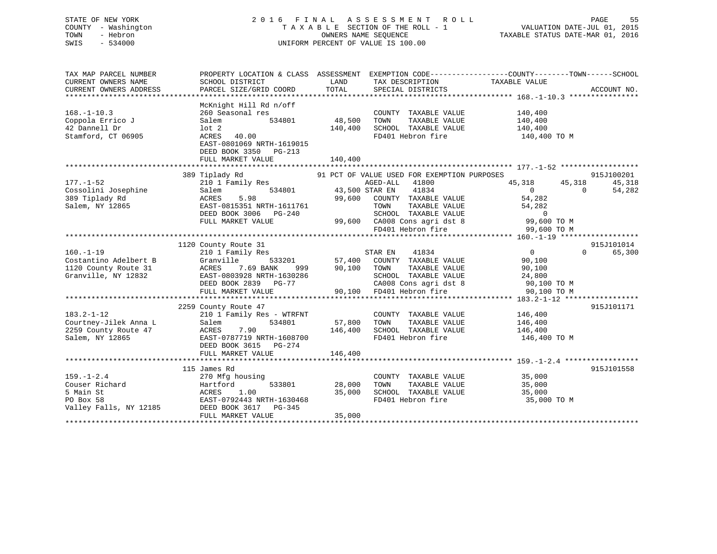# STATE OF NEW YORK 2 0 1 6 F I N A L A S S E S S M E N T R O L L PAGE 55 COUNTY - Washington T A X A B L E SECTION OF THE ROLL - 1 VALUATION DATE-JUL 01, 2015 TOWN - Hebron OWNERS NAME SEQUENCE TAXABLE STATUS DATE-MAR 01, 2016 SWIS - 534000 UNIFORM PERCENT OF VALUE IS 100.00

| TAX MAP PARCEL NUMBER                             | PROPERTY LOCATION & CLASS ASSESSMENT EXEMPTION CODE----------------COUNTY-------TOWN------SCHOOL                                                                            |                 |                                                                                             |                                            |             |
|---------------------------------------------------|-----------------------------------------------------------------------------------------------------------------------------------------------------------------------------|-----------------|---------------------------------------------------------------------------------------------|--------------------------------------------|-------------|
| CURRENT OWNERS NAME                               | SCHOOL DISTRICT                                                                                                                                                             | LAND            | TAX DESCRIPTION                                                                             | TAXABLE VALUE                              |             |
| CURRENT OWNERS ADDRESS                            | PARCEL SIZE/GRID COORD                                                                                                                                                      | TOTAL           | SPECIAL DISTRICTS                                                                           |                                            | ACCOUNT NO. |
|                                                   |                                                                                                                                                                             |                 |                                                                                             |                                            |             |
|                                                   | McKnight Hill Rd n/off                                                                                                                                                      |                 |                                                                                             |                                            |             |
| $168. - 1 - 10.3$                                 | 260 Seasonal res                                                                                                                                                            |                 | COUNTY TAXABLE VALUE 140,400                                                                |                                            |             |
| Coppola Errico J                                  | Salem                                                                                                                                                                       | 534801 48,500   | TOWN                                                                                        | TAXABLE VALUE 140,400                      |             |
| 42 Dannell Dr                                     | $1$ ot $2$                                                                                                                                                                  | 140,400         | SCHOOL TAXABLE VALUE                                                                        | 140,400                                    |             |
|                                                   | $ACRES$ 40.00                                                                                                                                                               |                 |                                                                                             |                                            |             |
| Stamford, CT 06905                                |                                                                                                                                                                             |                 | FD401 Hebron fire                                                                           | 140,400 TO M                               |             |
|                                                   | EAST-0801069 NRTH-1619015                                                                                                                                                   |                 |                                                                                             |                                            |             |
|                                                   | DEED BOOK 3350 PG-213                                                                                                                                                       |                 |                                                                                             |                                            |             |
|                                                   | FULL MARKET VALUE                                                                                                                                                           | 140,400         |                                                                                             |                                            |             |
|                                                   |                                                                                                                                                                             |                 |                                                                                             |                                            |             |
|                                                   | 389 Tiplady Rd                                                                                                                                                              |                 | 91 PCT OF VALUE USED FOR EXEMPTION PURPOSES                                                 |                                            | 915J100201  |
| $177. - 1 - 52$                                   | 210 1 Family Res                                                                                                                                                            |                 | AGED-ALL 41800                                                                              | 45,318<br>45,318                           | 45,318      |
| Cossolini Josephine<br><sup>289</sup> Tiplady Rd  | Res AGED-ALL<br>534801 43,500 STAR EN<br>Salem                                                                                                                              |                 | 41834                                                                                       | $\sim$ 0 $\sim$ 0 $\sim$<br>$\overline{0}$ | 54,282      |
| 389 Tiplady Rd                                    | ACRES<br>5.98                                                                                                                                                               |                 | 99,600 COUNTY TAXABLE VALUE                                                                 | 54,282                                     |             |
| Salem, NY 12865                                   | EAST-0815351 NRTH-1611761                                                                                                                                                   |                 | TAXABLE VALUE<br>TOWN                                                                       | 54,282                                     |             |
|                                                   | DEED BOOK 3006 PG-240                                                                                                                                                       |                 |                                                                                             |                                            |             |
|                                                   | FULL MARKET VALUE                                                                                                                                                           |                 |                                                                                             |                                            |             |
|                                                   |                                                                                                                                                                             |                 | G-240<br>G-240<br>99,600 CA008 Cons agri dst 8 99,600 TO M<br>FD401 Hebron fire 99,600 TO M |                                            |             |
|                                                   |                                                                                                                                                                             |                 |                                                                                             |                                            |             |
|                                                   | 1120 County Route 31                                                                                                                                                        |                 |                                                                                             |                                            | 915J101014  |
| $160. -1 - 19$                                    | 210 1 Family Res                                                                                                                                                            |                 |                                                                                             | $\overline{0}$<br>$\Omega$                 | 65,300      |
| 210 1<br>Granvi<br>ACRES<br>Costantino Adelbert B | Granville                                                                                                                                                                   |                 |                                                                                             | 90,100                                     |             |
| 1120 County Route 31                              | 7.69 BANK                                                                                                                                                                   | 999 90,100 TOWN | TAXABLE VALUE                                                                               | 90,100                                     |             |
| Granville, NY 12832                               |                                                                                                                                                                             |                 |                                                                                             |                                            |             |
|                                                   |                                                                                                                                                                             |                 |                                                                                             |                                            |             |
|                                                   | EAST-0803928 NRTH-1630286 SCHOOL TAXABLE VALUE $24,800$<br>DEED BOOK 2839 PG-77 CA008 Cons agri dst 8 90,100 TO M<br>FULL MARKET VALUE 90,100 FD401 Hebron fire 90,100 TO M |                 |                                                                                             |                                            |             |
|                                                   |                                                                                                                                                                             |                 |                                                                                             |                                            |             |
|                                                   |                                                                                                                                                                             |                 |                                                                                             |                                            |             |
|                                                   | 2259 County Route 47                                                                                                                                                        |                 |                                                                                             |                                            | 915J101171  |
| $183.2 - 1 - 12$                                  | 210 1 Family Res - WTRFNT                                                                                                                                                   | 57,800          | COUNTY TAXABLE VALUE 146,400                                                                |                                            |             |
| Courtney-Jilek Anna L                             | 534801<br>Salem                                                                                                                                                             |                 | TOWN      TAXABLE VALUE<br>SCHOOL   TAXABLE VALUE<br>TOWN                                   | 146,400<br>146,400                         |             |
| 2259 County Route 47                              | 7.90<br>ACRES                                                                                                                                                               | 146,400         |                                                                                             |                                            |             |
| Salem, NY 12865                                   | EAST-0787719 NRTH-1608700                                                                                                                                                   |                 | FD401 Hebron fire                                                                           | 146,400 TO M                               |             |
|                                                   | DEED BOOK 3615 PG-274                                                                                                                                                       |                 |                                                                                             |                                            |             |
|                                                   | FULL MARKET VALUE                                                                                                                                                           | 146,400         |                                                                                             |                                            |             |
|                                                   |                                                                                                                                                                             |                 |                                                                                             |                                            |             |
|                                                   | 115 James Rd                                                                                                                                                                |                 |                                                                                             |                                            | 915J101558  |
| $159. - 1 - 2.4$                                  | 270 Mfg housing                                                                                                                                                             |                 | COUNTY TAXABLE VALUE 35,000                                                                 |                                            |             |
|                                                   | 533801<br>Hartford                                                                                                                                                          | 28,000          | TOWN<br>TAXABLE VALUE                                                                       |                                            |             |
| Couser Richard<br>5 Main St                       | ACRES 1.00                                                                                                                                                                  | 35,000          | SCHOOL TAXABLE VALUE                                                                        | 35,000<br>35,000                           |             |
| PO Box 58                                         | EAST-0792443 NRTH-1630468                                                                                                                                                   |                 | FD401 Hebron fire                                                                           | 35,000 TO M                                |             |
|                                                   |                                                                                                                                                                             |                 |                                                                                             |                                            |             |
|                                                   | DEED BOOK 3617 PG-345                                                                                                                                                       |                 |                                                                                             |                                            |             |
| Valley Falls, NY 12185                            | FULL MARKET VALUE                                                                                                                                                           | 35,000          |                                                                                             |                                            |             |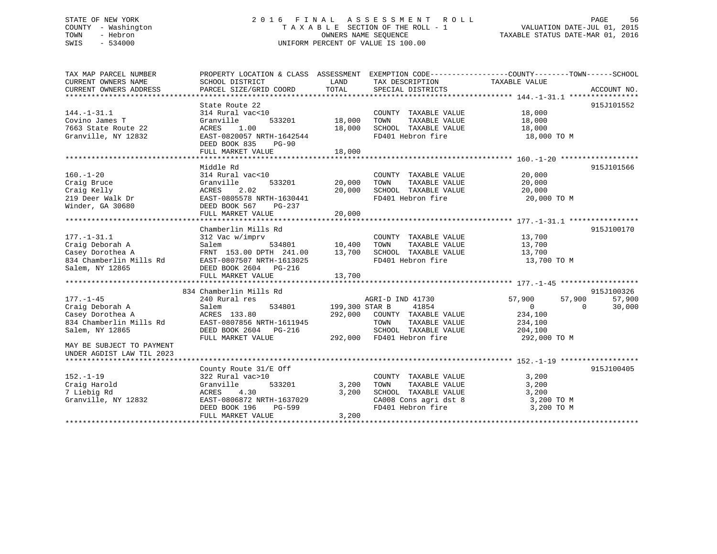# STATE OF NEW YORK 2 0 1 6 F I N A L A S S E S S M E N T R O L L PAGE 56 COUNTY - Washington T A X A B L E SECTION OF THE ROLL - 1 VALUATION DATE-JUL 01, 2015 TOWN - Hebron OWNERS NAME SEQUENCE TAXABLE STATUS DATE-MAR 01, 2016 SWIS - 534000 UNIFORM PERCENT OF VALUE IS 100.00

| TAX MAP PARCEL NUMBER     | PROPERTY LOCATION & CLASS ASSESSMENT EXEMPTION CODE---------------COUNTY-------TOWN------SCHOOL |                |                                               |                            |            |
|---------------------------|-------------------------------------------------------------------------------------------------|----------------|-----------------------------------------------|----------------------------|------------|
| CURRENT OWNERS NAME       | SCHOOL DISTRICT                                                                                 | LAND           | TAX DESCRIPTION                               | TAXABLE VALUE              |            |
|                           |                                                                                                 |                |                                               |                            |            |
|                           |                                                                                                 |                |                                               |                            |            |
|                           | State Route 22                                                                                  |                |                                               |                            | 915J101552 |
| $144. - 1 - 31.1$         | 314 Rural vac<10                                                                                |                | COUNTY TAXABLE VALUE 18,000                   |                            |            |
| Covino James T            | Granville                                                                                       | 533201 18,000  | TOWN<br>TAXABLE VALUE                         | 18,000                     |            |
| 7663 State Route 22       | ACRES<br>1.00                                                                                   | 18,000         | SCHOOL TAXABLE VALUE                          | 18,000                     |            |
| Granville, NY 12832       | EAST-0820057 NRTH-1642544                                                                       |                | FD401 Hebron fire                             | 18,000 TO M                |            |
|                           | DEED BOOK 835<br>$PG-90$                                                                        |                |                                               |                            |            |
|                           | FULL MARKET VALUE                                                                               | 18,000         |                                               |                            |            |
|                           |                                                                                                 |                |                                               |                            |            |
|                           | Middle Rd                                                                                       |                |                                               |                            | 915J101566 |
| $160. - 1 - 20$           | 314 Rural vac<10                                                                                |                | COUNTY TAXABLE VALUE                          | 20,000                     |            |
| Craig Bruce               | Granville                                                                                       |                | TAXABLE VALUE                                 | 20,000                     |            |
| Craig Kelly               | ACRES<br>2.02                                                                                   | 20,000         | SCHOOL TAXABLE VALUE                          | 20,000                     |            |
| 219 Deer Walk Dr          | EAST-0805578 NRTH-1630441                                                                       |                | FD401 Hebron fire                             | 20,000 TO M                |            |
| Winder, GA 30680          | DEED BOOK 567<br>PG-237                                                                         |                |                                               |                            |            |
|                           | FULL MARKET VALUE                                                                               | 20,000         |                                               |                            |            |
|                           |                                                                                                 |                |                                               |                            |            |
|                           | Chamberlin Mills Rd                                                                             |                |                                               |                            | 915J100170 |
| $177. - 1 - 31.1$         | 312 Vac w/imprv                                                                                 |                | COUNTY TAXABLE VALUE                          |                            |            |
| Craig Deborah A           | Salem<br>534801                                                                                 | 10,400         | TOWN<br>TAXABLE VALUE                         | 13,700<br>13,700           |            |
| Casey Dorothea A          | FRNT 153.00 DPTH 241.00                                                                         | 13,700         | SCHOOL TAXABLE VALUE                          | 13,700                     |            |
| 834 Chamberlin Mills Rd   | EAST-0807507 NRTH-1613025                                                                       |                | FD401 Hebron fire                             | 13,700 TO M                |            |
| Salem, NY 12865           | DEED BOOK 2604 PG-216                                                                           |                |                                               |                            |            |
|                           |                                                                                                 |                |                                               |                            |            |
|                           |                                                                                                 |                |                                               |                            |            |
|                           | 834 Chamberlin Mills Rd                                                                         |                |                                               |                            | 915J100326 |
| $177. - 1 - 45$           | 240 Rural res                                                                                   |                | AGRI-D IND 41730                              | 57,900<br>57,900           | 57,900     |
| Craig Deborah A           | 534801<br>Salem                                                                                 | 199,300 STAR B | 41854                                         | $\overline{0}$<br>$\Omega$ | 30,000     |
| Casey Dorothea A          | ACRES 133.80                                                                                    |                | 292,000 COUNTY TAXABLE VALUE                  | 234,100                    |            |
| 834 Chamberlin Mills Rd   | EAST-0807856 NRTH-1611945                                                                       |                | TOWN<br>TAXABLE VALUE                         | 234,100                    |            |
| Salem, NY 12865           | DEED BOOK 2604 PG-216                                                                           |                | SCHOOL TAXABLE VALUE                          | 204,100                    |            |
|                           | FULL MARKET VALUE                                                                               |                | 292,000 FD401 Hebron fire                     | 292,000 TO M               |            |
| MAY BE SUBJECT TO PAYMENT |                                                                                                 |                |                                               |                            |            |
| UNDER AGDIST LAW TIL 2023 |                                                                                                 |                |                                               |                            |            |
|                           |                                                                                                 |                |                                               |                            |            |
|                           | County Route 31/E Off                                                                           |                |                                               |                            | 915J100405 |
| $152. - 1 - 19$           | 322 Rural vac>10                                                                                |                | COUNTY TAXABLE VALUE                          | 3,200                      |            |
| Craig Harold              | 533201<br>Granville                                                                             | 3,200          | TOWN<br>TAXABLE VALUE                         | 3,200                      |            |
| 7 Liebig Rd               | ACRES<br>4.30                                                                                   | 3,200          | SCHOOL TAXABLE VALUE                          | 3,200                      |            |
| Granville, NY 12832       | EAST-0806872 NRTH-1637029                                                                       |                | SCHOOL TAXABLE VALUE<br>CA008 Cons agri dst 8 | 3,200 TO M                 |            |
|                           | DEED BOOK 196<br>PG-599                                                                         |                | FD401 Hebron fire                             | 3,200 TO M                 |            |
|                           | FULL MARKET VALUE                                                                               | 3,200          |                                               |                            |            |
|                           |                                                                                                 |                |                                               |                            |            |
|                           |                                                                                                 |                |                                               |                            |            |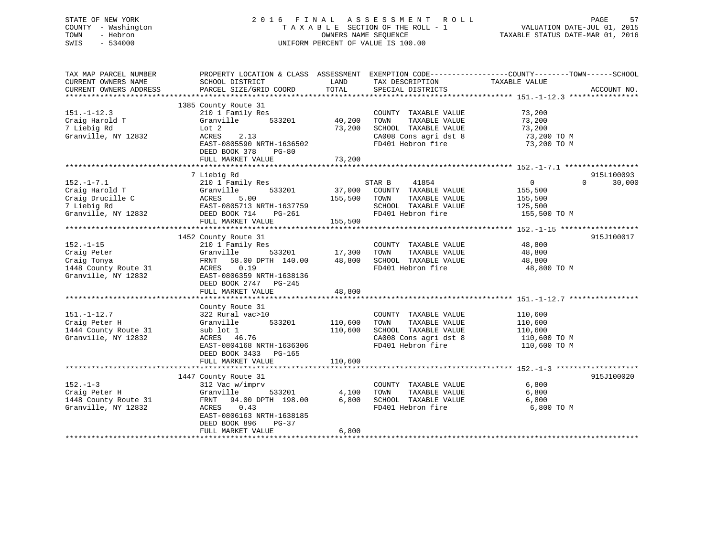# STATE OF NEW YORK 2 0 1 6 F I N A L A S S E S S M E N T R O L L PAGE 57 COUNTY - Washington T A X A B L E SECTION OF THE ROLL - 1 VALUATION DATE-JUL 01, 2015 TOWN - Hebron OWNERS NAME SEQUENCE TAXABLE STATUS DATE-MAR 01, 2016 SWIS - 534000 UNIFORM PERCENT OF VALUE IS 100.00

| TAX MAP PARCEL NUMBER<br>CURRENT OWNERS NAME<br>CURRENT OWNERS ADDRESS                       | PROPERTY LOCATION & CLASS ASSESSMENT<br>SCHOOL DISTRICT<br>PARCEL SIZE/GRID COORD                                                                                                    | LAND<br>TOTAL                     | EXEMPTION CODE-----------------COUNTY--------TOWN------SCHOOL<br>TAX DESCRIPTION<br>SPECIAL DISTRICTS               | TAXABLE VALUE                                                      | ACCOUNT NO.                      |
|----------------------------------------------------------------------------------------------|--------------------------------------------------------------------------------------------------------------------------------------------------------------------------------------|-----------------------------------|---------------------------------------------------------------------------------------------------------------------|--------------------------------------------------------------------|----------------------------------|
| $151. - 1 - 12.3$<br>Craig Harold T<br>7 Liebig Rd<br>Granville, NY 12832                    | 1385 County Route 31<br>210 1 Family Res<br>533201<br>Granville<br>Lot 2<br>2.13<br>ACRES<br>EAST-0805590 NRTH-1636502<br>DEED BOOK 378<br>$PG-80$<br>FULL MARKET VALUE              | 40,200<br>73,200<br>73,200        | COUNTY TAXABLE VALUE<br>TOWN<br>TAXABLE VALUE<br>SCHOOL TAXABLE VALUE<br>CA008 Cons agri dst 8<br>FD401 Hebron fire | 73,200<br>73,200<br>73,200<br>73,200 TO M<br>73,200 TO M           |                                  |
| $152. - 1 - 7.1$<br>Craig Harold T<br>Craig Drucille C<br>7 Liebig Rd<br>Granville, NY 12832 | 7 Liebig Rd<br>210 1 Family Res<br>533201<br>Granville<br>ACRES<br>5.00<br>EAST-0805713 NRTH-1637759<br>DEED BOOK 714<br>PG-261<br>FULL MARKET VALUE                                 | 37,000<br>155,500<br>155,500      | STAR B<br>41854<br>COUNTY TAXABLE VALUE<br>TAXABLE VALUE<br>TOWN<br>SCHOOL TAXABLE VALUE<br>FD401 Hebron fire       | $0 \qquad \qquad$<br>155,500<br>155,500<br>125,500<br>155,500 TO M | 915L100093<br>$\Omega$<br>30,000 |
| $152. - 1 - 15$<br>Craig Peter<br>Craig Tonya<br>1448 County Route 31<br>Granville, NY 12832 | 1452 County Route 31<br>210 1 Family Res<br>Granville<br>58.00 DPTH 140.00<br>FRNT<br>ACRES 0.19<br>EAST-0806359 NRTH-1638136<br>DEED BOOK 2747 PG-245<br>FULL MARKET VALUE          | 533201 17,300<br>48,800<br>48,800 | COUNTY TAXABLE VALUE<br>TAXABLE VALUE<br>TOWN<br>SCHOOL TAXABLE VALUE<br>FD401 Hebron fire                          | 48,800<br>48,800<br>48,800<br>48,800 TO M                          | 915J100017                       |
| $151. - 1 - 12.7$<br>Craig Peter H<br>1444 County Route 31<br>Granville, NY 12832            | County Route 31<br>322 Rural vac>10<br>Granville<br>533201<br>sub lot 1<br>ACRES 46.76<br>EAST-0804168 NRTH-1636306<br>DEED BOOK 3433 PG-165<br>FULL MARKET VALUE                    | 110,600<br>110,600<br>110,600     | COUNTY TAXABLE VALUE<br>TOWN<br>TAXABLE VALUE<br>SCHOOL TAXABLE VALUE<br>CA008 Cons agri dst 8<br>FD401 Hebron fire | 110,600<br>110,600<br>110,600<br>110,600 TO M<br>110,600 TO M      |                                  |
| $152. - 1 - 3$<br>Craig Peter H<br>1448 County Route 31<br>Granville, NY 12832               | 1447 County Route 31<br>312 Vac w/imprv<br>Granville<br>533201<br>FRNT 94.00 DPTH 198.00<br>ACRES 0.43<br>EAST-0806163 NRTH-1638185<br>DEED BOOK 896<br>$PG-37$<br>FULL MARKET VALUE | 4,100<br>6,800<br>6,800           | COUNTY TAXABLE VALUE<br>TAXABLE VALUE<br>TOWN<br>SCHOOL TAXABLE VALUE<br>FD401 Hebron fire                          | 6,800<br>6,800<br>6,800<br>6,800 TO M                              | 915J100020                       |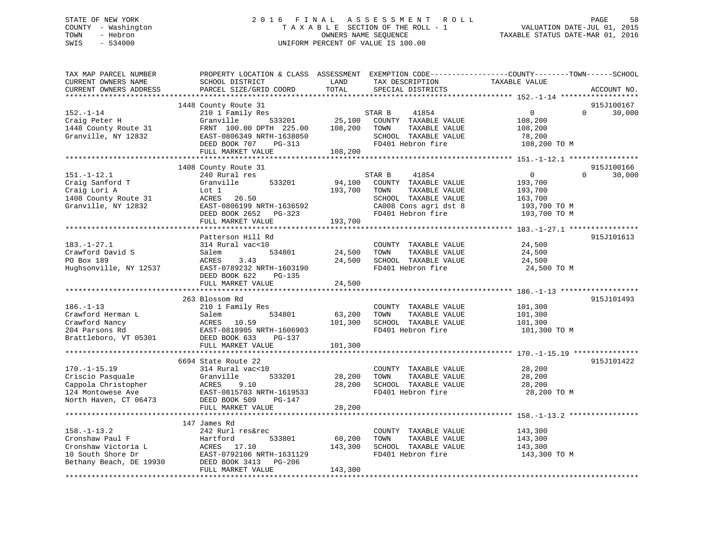# STATE OF NEW YORK 2 0 1 6 F I N A L A S S E S S M E N T R O L L PAGE 58 COUNTY - Washington T A X A B L E SECTION OF THE ROLL - 1 VALUATION DATE-JUL 01, 2015 TOWN - Hebron OWNERS NAME SEQUENCE TAXABLE STATUS DATE-MAR 01, 2016 SWIS - 534000 UNIFORM PERCENT OF VALUE IS 100.00

| TAX MAP PARCEL NUMBER<br>CURRENT OWNERS NAME<br>CURRENT OWNERS ADDRESS                                      | PROPERTY LOCATION & CLASS ASSESSMENT<br>SCHOOL DISTRICT<br>PARCEL SIZE/GRID COORD                                                                                         | LAND<br>TOTAL                | TAX DESCRIPTION<br>SPECIAL DISTRICTS                                                                                                   | EXEMPTION CODE-----------------COUNTY-------TOWN------SCHOOL<br>TAXABLE VALUE<br>ACCOUNT NO.                      |
|-------------------------------------------------------------------------------------------------------------|---------------------------------------------------------------------------------------------------------------------------------------------------------------------------|------------------------------|----------------------------------------------------------------------------------------------------------------------------------------|-------------------------------------------------------------------------------------------------------------------|
| *************************                                                                                   |                                                                                                                                                                           |                              |                                                                                                                                        |                                                                                                                   |
| $152. - 1 - 14$<br>Craig Peter H<br>1448 County Route 31<br>Granville, NY 12832                             | 1448 County Route 31<br>210 1 Family Res<br>533201<br>Granville<br>FRNT 100.00 DPTH 225.00<br>EAST-0806349 NRTH-1638050<br>DEED BOOK 707<br>$PG-313$<br>FULL MARKET VALUE | 25,100<br>108,200<br>108,200 | STAR B<br>41854<br>COUNTY TAXABLE VALUE<br>TAXABLE VALUE<br>TOWN<br>SCHOOL TAXABLE VALUE<br>FD401 Hebron fire                          | 915J100167<br>$\mathbf{0}$<br>$\Omega$<br>30,000<br>108,200<br>108,200<br>78,200<br>108,200 TO M                  |
|                                                                                                             |                                                                                                                                                                           |                              |                                                                                                                                        |                                                                                                                   |
| $151. - 1 - 12.1$<br>Craig Sanford T<br>Craig Lori A<br>1408 County Route 31<br>Granville, NY 12832         | 1408 County Route 31<br>240 Rural res<br>Granville<br>533201<br>Lot 1<br>26.50<br>ACRES<br>EAST-0806199 NRTH-1636592<br>DEED BOOK 2652<br>$PG-323$<br>FULL MARKET VALUE   | 94,100<br>193,700<br>193,700 | STAR B<br>41854<br>COUNTY TAXABLE VALUE<br>TAXABLE VALUE<br>TOWN<br>SCHOOL TAXABLE VALUE<br>CA008 Cons agri dst 8<br>FD401 Hebron fire | 915J100166<br>30,000<br>$\mathbf{0}$<br>$\Omega$<br>193,700<br>193,700<br>163,700<br>193,700 TO M<br>193,700 TO M |
|                                                                                                             |                                                                                                                                                                           |                              |                                                                                                                                        |                                                                                                                   |
| $183. - 1 - 27.1$<br>Crawford David S<br>PO Box 189<br>Hughsonville, NY 12537                               | Patterson Hill Rd<br>314 Rural vac<10<br>Salem<br>534801<br>ACRES<br>3.43<br>EAST-0789232 NRTH-1603190<br>DEED BOOK 622<br>PG-135                                         | 24,500<br>24,500             | COUNTY TAXABLE VALUE<br>TOWN<br>TAXABLE VALUE<br>SCHOOL TAXABLE VALUE<br>FD401 Hebron fire                                             | 915J101613<br>24,500<br>24,500<br>24,500<br>24,500 TO M                                                           |
|                                                                                                             | FULL MARKET VALUE                                                                                                                                                         | 24,500                       |                                                                                                                                        |                                                                                                                   |
|                                                                                                             |                                                                                                                                                                           |                              |                                                                                                                                        |                                                                                                                   |
| $186. - 1 - 13$<br>Crawford Herman L<br>Crawford Nancy<br>204 Parsons Rd<br>Brattleboro, VT 05301           | 263 Blossom Rd<br>210 1 Family Res<br>Salem<br>534801<br>ACRES<br>10.59<br>EAST-0818905 NRTH-1606903<br>DEED BOOK 633<br>PG-137<br>FULL MARKET VALUE                      | 63,200<br>101,300<br>101,300 | COUNTY TAXABLE VALUE<br>TOWN<br>TAXABLE VALUE<br>SCHOOL TAXABLE VALUE<br>FD401 Hebron fire                                             | 915J101493<br>101,300<br>101,300<br>101,300<br>101,300 TO M                                                       |
|                                                                                                             |                                                                                                                                                                           |                              |                                                                                                                                        |                                                                                                                   |
| $170. - 1 - 15.19$<br>Criscio Pasquale<br>Cappola Christopher<br>124 Montowese Ave<br>North Haven, CT 06473 | 6694 State Route 22<br>314 Rural vac<10<br>Granville<br>533201<br>ACRES<br>9.10<br>EAST-0815703 NRTH-1619533<br>DEED BOOK 509<br>PG-147                                   | 28,200<br>28,200             | COUNTY TAXABLE VALUE<br>TAXABLE VALUE<br>TOWN<br>SCHOOL TAXABLE VALUE<br>FD401 Hebron fire                                             | 915J101422<br>28,200<br>28,200<br>28,200<br>28,200 TO M                                                           |
|                                                                                                             | FULL MARKET VALUE                                                                                                                                                         | 28,200                       |                                                                                                                                        |                                                                                                                   |
|                                                                                                             | 147 James Rd                                                                                                                                                              |                              |                                                                                                                                        |                                                                                                                   |
| $158. - 1 - 13.2$<br>Cronshaw Paul F<br>Cronshaw Victoria L<br>10 South Shore Dr<br>Bethany Beach, DE 19930 | 242 Rurl res&rec<br>533801<br>Hartford<br>ACRES 17.10<br>EAST-0792106 NRTH-1631129<br>DEED BOOK 3413<br>PG-206                                                            | 60,200<br>143,300<br>143,300 | COUNTY TAXABLE VALUE<br>TOWN<br>TAXABLE VALUE<br>SCHOOL TAXABLE VALUE<br>FD401 Hebron fire                                             | 143,300<br>143,300<br>143,300<br>143,300 TO M                                                                     |
|                                                                                                             | FULL MARKET VALUE                                                                                                                                                         |                              |                                                                                                                                        |                                                                                                                   |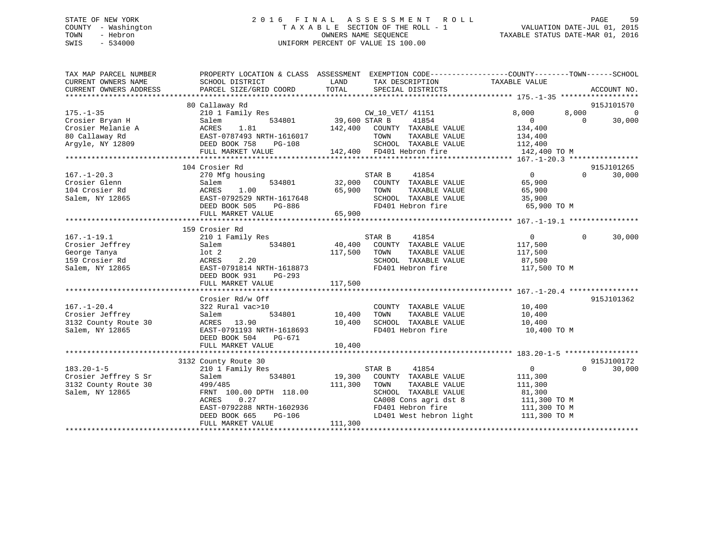# STATE OF NEW YORK 2 0 1 6 F I N A L A S S E S S M E N T R O L L PAGE 59 COUNTY - Washington T A X A B L E SECTION OF THE ROLL - 1 VALUATION DATE-JUL 01, 2015 TOWN - Hebron OWNERS NAME SEQUENCE TAXABLE STATUS DATE-MAR 01, 2016 SWIS - 534000 UNIFORM PERCENT OF VALUE IS 100.00

| TAX MAP PARCEL NUMBER<br>CURRENT OWNERS NAME<br>CURRENT OWNERS ADDRESS | PROPERTY LOCATION & CLASS ASSESSMENT EXEMPTION CODE----------------COUNTY-------TOWN------SCHOOL<br>SCHOOL DISTRICT<br>PARCEL SIZE/GRID COORD | LAND<br>TOTAL | TAX DESCRIPTION<br>SPECIAL DISTRICTS | TAXABLE VALUE  | ACCOUNT NO.        |
|------------------------------------------------------------------------|-----------------------------------------------------------------------------------------------------------------------------------------------|---------------|--------------------------------------|----------------|--------------------|
|                                                                        |                                                                                                                                               |               |                                      |                |                    |
|                                                                        | 80 Callaway Rd                                                                                                                                |               |                                      |                | 915J101570         |
| $175. - 1 - 35$                                                        | 210 1 Family Res                                                                                                                              |               | CW 10 VET/ 41151                     | 8,000<br>8,000 | $\Omega$           |
| Crosier Bryan H                                                        | 534801<br>Salem                                                                                                                               | 39,600 STAR B | 41854                                | $\Omega$       | $\Omega$<br>30,000 |
| Crosier Melanie A                                                      | ACRES<br>1.81                                                                                                                                 | 142,400       | COUNTY TAXABLE VALUE                 | 134,400        |                    |
| 80 Callaway Rd                                                         | EAST-0787493 NRTH-1616017                                                                                                                     |               | TOWN<br>TAXABLE VALUE                | 134,400        |                    |
| Arqyle, NY 12809                                                       | DEED BOOK 758<br>$PG-108$                                                                                                                     |               | SCHOOL TAXABLE VALUE                 | 112,400        |                    |
|                                                                        | FULL MARKET VALUE                                                                                                                             |               | 142,400 FD401 Hebron fire            | 142,400 TO M   |                    |
|                                                                        |                                                                                                                                               |               |                                      |                |                    |
|                                                                        | 104 Crosier Rd                                                                                                                                |               |                                      |                | 915J101265         |
| $167. - 1 - 20.3$                                                      | 270 Mfg housing                                                                                                                               |               | STAR B<br>41854                      | $\Omega$       | 30,000<br>$\Omega$ |
| Crosier Glenn                                                          | Salem<br>534801                                                                                                                               | 32,000        | COUNTY TAXABLE VALUE                 | 65,900         |                    |
| 104 Crosier Rd                                                         | ACRES<br>1.00                                                                                                                                 | 65,900        | TOWN<br>TAXABLE VALUE                | 65,900         |                    |
| Salem, NY 12865                                                        | EAST-0792529 NRTH-1617648                                                                                                                     |               | SCHOOL TAXABLE VALUE                 | 35,900         |                    |
|                                                                        | DEED BOOK 505<br>PG-886                                                                                                                       |               | FD401 Hebron fire                    | 65,900 TO M    |                    |
|                                                                        | FULL MARKET VALUE                                                                                                                             | 65,900        |                                      |                |                    |
|                                                                        |                                                                                                                                               |               |                                      |                |                    |
|                                                                        | 159 Crosier Rd                                                                                                                                |               |                                      |                |                    |
| $167. - 1 - 19.1$                                                      | 210 1 Family Res                                                                                                                              |               | 41854<br>STAR B                      | $\overline{0}$ | 30,000<br>$\Omega$ |
| Crosier Jeffrey                                                        | 534801<br>Salem                                                                                                                               | 40,400        | COUNTY TAXABLE VALUE                 | 117,500        |                    |
| George Tanya                                                           | $1$ ot $2$                                                                                                                                    | 117,500       | TOWN<br>TAXABLE VALUE                | 117,500        |                    |
| 159 Crosier Rd                                                         | 2.20<br>ACRES                                                                                                                                 |               | SCHOOL TAXABLE VALUE                 | 87,500         |                    |
| Salem, NY 12865                                                        | EAST-0791814 NRTH-1618873                                                                                                                     |               | FD401 Hebron fire                    | 117,500 TO M   |                    |
|                                                                        | DEED BOOK 931<br>PG-293                                                                                                                       |               |                                      |                |                    |
|                                                                        | FULL MARKET VALUE                                                                                                                             | 117,500       |                                      |                |                    |
|                                                                        |                                                                                                                                               |               |                                      |                |                    |
|                                                                        | Crosier Rd/w Off                                                                                                                              |               |                                      |                | 915J101362         |
| $167. - 1 - 20.4$                                                      | 322 Rural vac>10                                                                                                                              |               | COUNTY TAXABLE VALUE                 | 10,400         |                    |
| Crosier Jeffrey                                                        | 534801<br>Salem                                                                                                                               | 10,400        | TAXABLE VALUE<br>TOWN                | 10,400         |                    |
| 3132 County Route 30                                                   | 13.90<br>ACRES                                                                                                                                | 10,400        | SCHOOL TAXABLE VALUE                 | 10,400         |                    |
| Salem, NY 12865                                                        | EAST-0791193 NRTH-1618693                                                                                                                     |               | FD401 Hebron fire                    | 10,400 TO M    |                    |
|                                                                        | DEED BOOK 504<br>PG-671                                                                                                                       |               |                                      |                |                    |
|                                                                        | FULL MARKET VALUE                                                                                                                             | 10,400        |                                      |                |                    |
|                                                                        |                                                                                                                                               |               |                                      |                |                    |
|                                                                        | 3132 County Route 30                                                                                                                          |               |                                      |                | 915J100172         |
| $183.20 - 1 - 5$                                                       | 210 1 Family Res                                                                                                                              |               | STAR B<br>41854                      | $\overline{0}$ | $\Omega$<br>30,000 |
| Crosier Jeffrey S Sr                                                   | 534801<br>Salem                                                                                                                               | 19,300        | COUNTY TAXABLE VALUE                 | 111,300        |                    |
| 3132 County Route 30                                                   | 499/485                                                                                                                                       | 111,300       | TOWN<br>TAXABLE VALUE                | 111,300        |                    |
| Salem, NY 12865                                                        | FRNT 100.00 DPTH 118.00                                                                                                                       |               | SCHOOL TAXABLE VALUE                 | 81,300         |                    |
|                                                                        | ACRES<br>0.27                                                                                                                                 |               | CA008 Cons agri dst 8                | 111,300 TO M   |                    |
|                                                                        | EAST-0792288 NRTH-1602936                                                                                                                     |               | FD401 Hebron fire                    | 111,300 TO M   |                    |
|                                                                        | DEED BOOK 665<br>$PG-106$                                                                                                                     |               | LD401 West hebron light              | 111,300 TO M   |                    |
|                                                                        | FULL MARKET VALUE                                                                                                                             | 111,300       |                                      |                |                    |
|                                                                        |                                                                                                                                               |               |                                      |                |                    |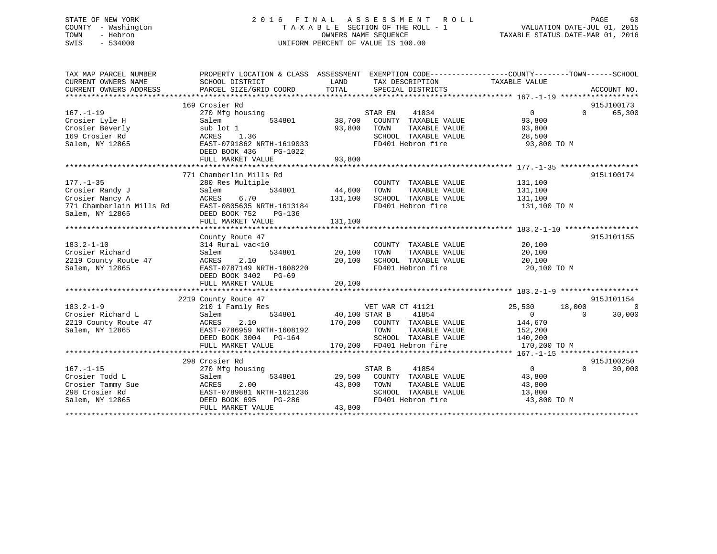# STATE OF NEW YORK 2 0 1 6 F I N A L A S S E S S M E N T R O L L PAGE 60 COUNTY - Washington T A X A B L E SECTION OF THE ROLL - 1 VALUATION DATE-JUL 01, 2015 TOWN - Hebron OWNERS NAME SEQUENCE TAXABLE STATUS DATE-MAR 01, 2016 SWIS - 534000 UNIFORM PERCENT OF VALUE IS 100.00

| TAX MAP PARCEL NUMBER<br>CURRENT OWNERS NAME<br>CURRENT OWNERS ADDRESS | PROPERTY LOCATION & CLASS ASSESSMENT EXEMPTION CODE---------------COUNTY-------TOWN-----SCHOOL<br>SCHOOL DISTRICT<br>PARCEL SIZE/GRID COORD | LAND<br>TOTAL | TAX DESCRIPTION<br>SPECIAL DISTRICTS                                       | TAXABLE VALUE  |          | ACCOUNT NO. |
|------------------------------------------------------------------------|---------------------------------------------------------------------------------------------------------------------------------------------|---------------|----------------------------------------------------------------------------|----------------|----------|-------------|
|                                                                        |                                                                                                                                             |               |                                                                            |                |          |             |
|                                                                        | 169 Crosier Rd                                                                                                                              |               |                                                                            |                |          | 915J100173  |
| $167. - 1 - 19$                                                        | 270 Mfg housing                                                                                                                             |               | STAR EN<br>41834                                                           | $\overline{0}$ | $\Omega$ | 65,300      |
| Crosier Lyle H                                                         | Salem                                                                                                                                       |               | 534801 38,700 COUNTY TAXABLE VALUE                                         | 93,800         |          |             |
| Crosier Beverly                                                        | sub lot 1                                                                                                                                   | 93,800        | TAXABLE VALUE<br>TOWN                                                      | 93,800         |          |             |
| 169 Crosier Rd                                                         | ACRES 1.36                                                                                                                                  |               | SCHOOL TAXABLE VALUE                                                       | 28,500         |          |             |
| Salem, NY 12865                                                        | EAST-0791862 NRTH-1619033<br>DEED BOOK 436 PG-1022<br>FULL MARKET VALUE                                                                     | 93,800        | FD401 Hebron fire                                                          | 93,800 TO M    |          |             |
|                                                                        |                                                                                                                                             |               |                                                                            |                |          |             |
|                                                                        | 771 Chamberlin Mills Rd                                                                                                                     |               |                                                                            |                |          | 915L100174  |
| $177. - 1 - 35$                                                        | 280 Res Multiple                                                                                                                            |               | COUNTY TAXABLE VALUE 131,100                                               |                |          |             |
| Crosier Randy J                                                        | 534801<br>Salem                                                                                                                             | 44,600        |                                                                            |                |          |             |
| Crosier Nancy A                                                        | ACRES<br>6.70                                                                                                                               | 131,100       |                                                                            |                |          |             |
| 771 Chamberlain Mills Rd EAST-0805635 NRTH-1613184                     |                                                                                                                                             |               | FD401 Hebron fire                                                          | 131,100 TO M   |          |             |
| Salem, NY 12865                                                        | DEED BOOK 752<br>PG-136                                                                                                                     |               |                                                                            |                |          |             |
|                                                                        |                                                                                                                                             |               |                                                                            |                |          |             |
|                                                                        |                                                                                                                                             |               |                                                                            |                |          |             |
|                                                                        | County Route 47                                                                                                                             |               |                                                                            |                |          | 915J101155  |
| $183.2 - 1 - 10$                                                       | 314 Rural vac<10                                                                                                                            |               | COUNTY TAXABLE VALUE                                                       | 20,100         |          |             |
| Crosier Richard                                                        | Salem                                                                                                                                       | 534801 20,100 | TOWN<br>TAXABLE VALUE                                                      | 20,100         |          |             |
| 2219 County Route 47                                                   | 2.10<br>ACRES                                                                                                                               | 20,100        | SCHOOL TAXABLE VALUE                                                       | 20,100         |          |             |
| Salem, NY 12865                                                        | EAST-0787149 NRTH-1608220                                                                                                                   |               | FD401 Hebron fire                                                          | 20,100 TO M    |          |             |
|                                                                        | DEED BOOK 3402 PG-69                                                                                                                        |               |                                                                            |                |          |             |
|                                                                        | FULL MARKET VALUE                                                                                                                           | 20,100        |                                                                            |                |          |             |
|                                                                        |                                                                                                                                             |               |                                                                            |                |          |             |
|                                                                        | 2219 County Route 47                                                                                                                        |               |                                                                            |                |          | 915J101154  |
| $183.2 - 1 - 9$                                                        | County Route 47<br>210 1 Family Res                                                                                                         |               | VET WAR CT 41121                                                           | 25,530 18,000  |          | $\Omega$    |
| Crosier Richard L                                                      | 534801 40,100 STAR B<br>Salem                                                                                                               |               | 41854                                                                      | $\overline{0}$ | $\Omega$ | 30,000      |
| 2219 County Route 47                                                   | 2.10<br>ACRES                                                                                                                               |               | 170,200 COUNTY TAXABLE VALUE 144,670                                       |                |          |             |
| Salem, NY 12865                                                        | EAST-0786959 NRTH-1608192                                                                                                                   |               | TOWN<br>TAXABLE VALUE                                                      | 152,200        |          |             |
|                                                                        | DEED BOOK 3004 PG-164                                                                                                                       |               | SCHOOL TAXABLE VALUE 140,200                                               |                |          |             |
|                                                                        |                                                                                                                                             |               |                                                                            |                |          |             |
|                                                                        |                                                                                                                                             |               |                                                                            |                |          |             |
|                                                                        | 298 Crosier Rd                                                                                                                              |               |                                                                            |                |          | 915J100250  |
| $167. - 1 - 15$                                                        | 270 Mfg housing                                                                                                                             |               | STAR B 41054<br>29,500 COUNTY TAXABLE VALUE<br>29,500 COUNTY TAXABLE VALUE | $\overline{0}$ | $\Omega$ | 30,000      |
| Crosier Todd L                                                         | Salem<br>534801                                                                                                                             |               |                                                                            | 43,800         |          |             |
| Crosier Tammy Sue                                                      | ACRES<br>2.00                                                                                                                               | 43,800 TOWN   | TAXABLE VALUE                                                              | 43,800         |          |             |
| 298 Crosier Rd                                                         | EAST-0789881 NRTH-1621236                                                                                                                   |               | SCHOOL TAXABLE VALUE                                                       | 13,800         |          |             |
| Salem, NY 12865                                                        | DEED BOOK 695<br>PG-286                                                                                                                     |               | FD401 Hebron fire                                                          | 43,800 TO M    |          |             |
|                                                                        | FULL MARKET VALUE                                                                                                                           | 43,800        |                                                                            |                |          |             |
|                                                                        |                                                                                                                                             |               |                                                                            |                |          |             |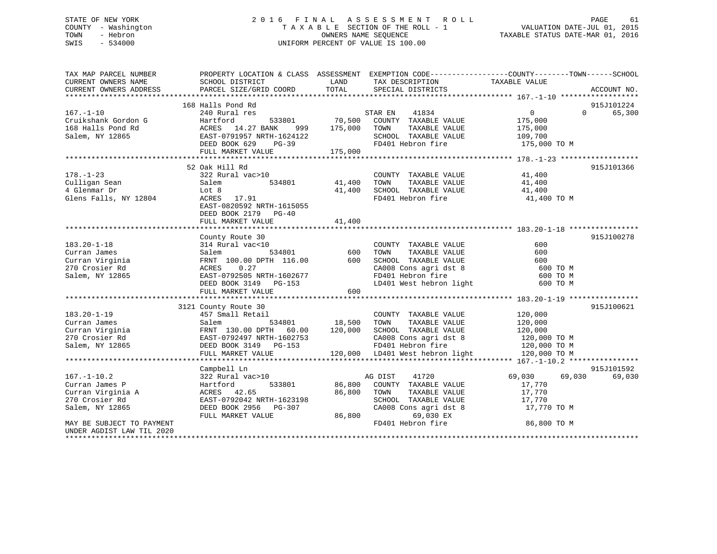#### STATE OF NEW YORK 2016 FINAL ASSESSMENT ROLL COUNTY - Washington T A X A B L E SECTION OF THE ROLL - 1 VALUATION DATE-JUL 01, 2015 OWNERS NAME SEQUENCE TAXABLE STATUS DATE-MAR 01, 2016 SWIS - 534000 UNIFORM PERCENT OF VALUE IS 100.00

| TAX MAP PARCEL NUMBER     | PROPERTY LOCATION & CLASS ASSESSMENT EXEMPTION CODE----------------COUNTY-------TOWN-----SCHOOL |         |                                 |                  |                    |
|---------------------------|-------------------------------------------------------------------------------------------------|---------|---------------------------------|------------------|--------------------|
| CURRENT OWNERS NAME       | SCHOOL DISTRICT                                                                                 | LAND    | TAX DESCRIPTION                 | TAXABLE VALUE    |                    |
| CURRENT OWNERS ADDRESS    | PARCEL SIZE/GRID COORD                                                                          | TOTAL   | SPECIAL DISTRICTS               |                  | ACCOUNT NO.        |
|                           | 168 Halls Pond Rd                                                                               |         |                                 |                  | 915J101224         |
| $167. - 1 - 10$           | 240 Rural res                                                                                   |         | 41834<br>STAR EN                | 0                | $\Omega$<br>65,300 |
| Cruikshank Gordon G       | Hartford<br>533801                                                                              | 70,500  | COUNTY TAXABLE VALUE            | 175,000          |                    |
| 168 Halls Pond Rd         | ACRES 14.27 BANK<br>999                                                                         | 175,000 | TAXABLE VALUE<br>TOWN           | 175,000          |                    |
| Salem, NY 12865           | EAST-0791957 NRTH-1624122                                                                       |         | SCHOOL TAXABLE VALUE            | 109,700          |                    |
|                           | DEED BOOK 629<br>$PG-39$                                                                        |         | FD401 Hebron fire               | 175,000 TO M     |                    |
|                           | FULL MARKET VALUE                                                                               | 175,000 |                                 |                  |                    |
|                           |                                                                                                 |         |                                 |                  |                    |
|                           | 52 Oak Hill Rd                                                                                  |         |                                 |                  | 915J101366         |
| $178. - 1 - 23$           | 322 Rural vac>10                                                                                |         | COUNTY TAXABLE VALUE            | 41,400           |                    |
| Culligan Sean             | Salem<br>534801                                                                                 | 41,400  | TAXABLE VALUE<br>TOWN           | 41,400           |                    |
| 4 Glenmar Dr              | Lot 8                                                                                           | 41,400  | SCHOOL TAXABLE VALUE            | 41,400           |                    |
| Glens Falls, NY 12804     | ACRES 17.91                                                                                     |         | FD401 Hebron fire               | 41,400 TO M      |                    |
|                           | EAST-0820592 NRTH-1615055                                                                       |         |                                 |                  |                    |
|                           | DEED BOOK 2179 PG-40                                                                            |         |                                 |                  |                    |
|                           | FULL MARKET VALUE                                                                               | 41,400  |                                 |                  |                    |
|                           |                                                                                                 |         |                                 |                  |                    |
|                           | County Route 30                                                                                 |         |                                 |                  | 915J100278         |
| $183.20 - 1 - 18$         | 314 Rural vac<10                                                                                |         | COUNTY TAXABLE VALUE            | 600              |                    |
| Curran James              | Salem<br>534801                                                                                 | 600     | TAXABLE VALUE<br>TOWN           | 600              |                    |
| Curran Virginia           | FRNT 100.00 DPTH 116.00                                                                         | 600     | SCHOOL TAXABLE VALUE            | 600              |                    |
| 270 Crosier Rd            | ACRES<br>0.27                                                                                   |         | CA008 Cons agri dst 8           | 600 TO M         |                    |
| Salem, NY 12865           | EAST-0792505 NRTH-1602677                                                                       |         | FD401 Hebron fire               | 600 TO M         |                    |
|                           | DEED BOOK 3149 PG-153                                                                           |         | LD401 West hebron light         | 600 TO M         |                    |
|                           | FULL MARKET VALUE                                                                               | 600     |                                 |                  |                    |
|                           |                                                                                                 |         |                                 |                  |                    |
|                           | 3121 County Route 30                                                                            |         |                                 |                  | 915J100621         |
| $183.20 - 1 - 19$         | 457 Small Retail                                                                                |         | COUNTY TAXABLE VALUE            | 120,000          |                    |
| Curran James              | 534801<br>Salem                                                                                 | 18,500  | TAXABLE VALUE<br>TOWN           | 120,000          |                    |
| Curran Virginia           | FRNT 130.00 DPTH<br>60.00                                                                       | 120,000 | SCHOOL TAXABLE VALUE            | 120,000          |                    |
| 270 Crosier Rd            | EAST-0792497 NRTH-1602753                                                                       |         | CA008 Cons agri dst 8           | 120,000 TO M     |                    |
| Salem, NY 12865           | DEED BOOK 3149 PG-153                                                                           |         | FD401 Hebron fire               | 120,000 TO M     |                    |
|                           | FULL MARKET VALUE                                                                               |         | 120,000 LD401 West hebron light | 120,000 TO M     |                    |
|                           |                                                                                                 |         |                                 |                  |                    |
|                           | Campbell Ln                                                                                     |         |                                 |                  | 915J101592         |
| $167. - 1 - 10.2$         | 322 Rural vac>10                                                                                |         | AG DIST<br>41720                | 69,030<br>69,030 | 69,030             |
| Curran James P            | 533801<br>Hartford                                                                              | 86,800  | COUNTY TAXABLE VALUE            | 17,770           |                    |
| Curran Virginia A         | ACRES 42.65                                                                                     | 86,800  | TOWN<br>TAXABLE VALUE           | 17,770           |                    |
| 270 Crosier Rd            | EAST-0792042 NRTH-1623198                                                                       |         | SCHOOL TAXABLE VALUE            | 17,770           |                    |
| Salem, NY 12865           | DEED BOOK 2956<br>PG-307                                                                        |         | CA008 Cons agri dst 8           | 17,770 TO M      |                    |
|                           | FULL MARKET VALUE                                                                               | 86,800  | 69,030 EX                       |                  |                    |
| MAY BE SUBJECT TO PAYMENT |                                                                                                 |         | FD401 Hebron fire               | 86,800 TO M      |                    |
| UNDER AGDIST LAW TIL 2020 |                                                                                                 |         |                                 |                  |                    |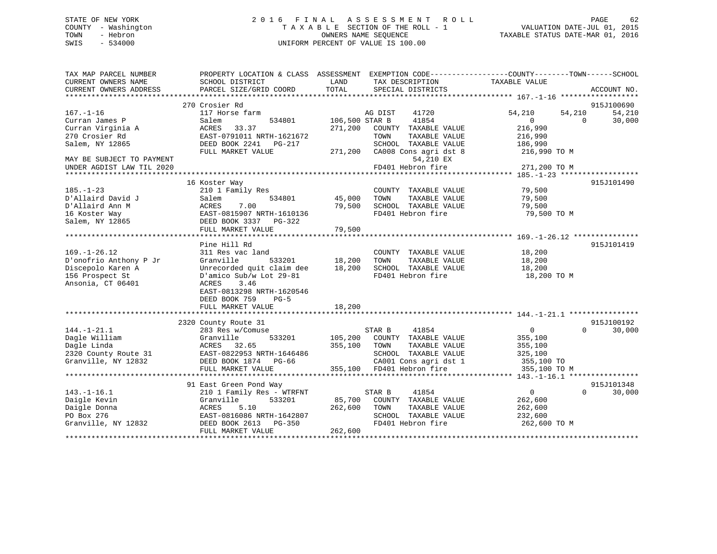# STATE OF NEW YORK 2 0 1 6 F I N A L A S S E S S M E N T R O L L PAGE 62 COUNTY - Washington T A X A B L E SECTION OF THE ROLL - 1 VALUATION DATE-JUL 01, 2015 TOWN - Hebron OWNERS NAME SEQUENCE TAXABLE STATUS DATE-MAR 01, 2016 SWIS - 534000 UNIFORM PERCENT OF VALUE IS 100.00

| TAX MAP PARCEL NUMBER<br>CURRENT OWNERS NAME<br>CURRENT OWNERS ADDRESS                                    | SCHOOL DISTRICT<br>PARCEL SIZE/GRID COORD                                                                                                                                                                            | PROPERTY LOCATION & CLASS ASSESSMENT EXEMPTION CODE----------------COUNTY-------TOWN------SCHOOL<br>LAND<br>TAX DESCRIPTION<br>TOTAL<br>SPECIAL DISTRICTS         | TAXABLE VALUE<br>ACCOUNT NO.                                                                        |
|-----------------------------------------------------------------------------------------------------------|----------------------------------------------------------------------------------------------------------------------------------------------------------------------------------------------------------------------|-------------------------------------------------------------------------------------------------------------------------------------------------------------------|-----------------------------------------------------------------------------------------------------|
| $167. - 1 - 16$                                                                                           | 270 Crosier Rd<br>117 Horse farm                                                                                                                                                                                     | AG DIST<br>41720                                                                                                                                                  | 915J100690<br>54,210<br>54,210<br>54,210                                                            |
| Curran James P<br>Curran Virginia A<br>270 Crosier Rd<br>Salem, NY 12865                                  | Salem<br>534801<br>ACRES<br>33.37<br>EAST-0791011 NRTH-1621672<br>DEED BOOK 2241 PG-217                                                                                                                              | 41854<br>106,500 STAR B<br>271,200<br>COUNTY TAXABLE VALUE<br>TOWN<br>TAXABLE VALUE<br>SCHOOL TAXABLE VALUE                                                       | 30,000<br>$\overline{0}$<br>$\Omega$<br>216,990<br>216,990<br>186,990                               |
| MAY BE SUBJECT TO PAYMENT<br>UNDER AGDIST LAW TIL 2020                                                    | FULL MARKET VALUE                                                                                                                                                                                                    | 271,200 CA008 Cons agri dst 8<br>54,210 EX<br>FD401 Hebron fire                                                                                                   | 216,990 ТО М<br>271,200 TO M                                                                        |
| $185. - 1 - 23$<br>D'Allaird David J<br>D'Allaird Ann M<br>16 Koster Way<br>Salem, NY 12865               | 16 Koster Way<br>210 1 Family Res<br>Salem<br>534801<br>ACRES<br>7.00<br>EAST-0815907 NRTH-1610136<br>DEED BOOK 3337 PG-322<br>FULL MARKET VALUE                                                                     | COUNTY TAXABLE VALUE<br>45,000<br>TOWN<br>TAXABLE VALUE<br>79,500<br>SCHOOL TAXABLE VALUE<br>FD401 Hebron fire<br>79,500                                          | 915J101490<br>79,500<br>79,500<br>79,500<br>79,500 TO M                                             |
| $169. - 1 - 26.12$<br>D'onofrio Anthony P Jr<br>Discepolo Karen A<br>156 Prospect St<br>Ansonia, CT 06401 | Pine Hill Rd<br>311 Res vac land<br>533201<br>Granville<br>Unrecorded quit claim dee 18,200<br>D'amico Sub/w Lot 29-81<br>ACRES<br>3.46<br>EAST-0813298 NRTH-1620546<br>DEED BOOK 759<br>$PG-5$<br>FULL MARKET VALUE | COUNTY TAXABLE VALUE<br>18,200<br>TOWN<br>TAXABLE VALUE<br>SCHOOL TAXABLE VALUE<br>FD401 Hebron fire<br>18,200                                                    | 915J101419<br>18,200<br>18,200<br>18,200<br>18,200 TO M                                             |
|                                                                                                           | 2320 County Route 31                                                                                                                                                                                                 |                                                                                                                                                                   | 915J100192                                                                                          |
| $144. - 1 - 21.1$<br>Dagle William<br>Dagle Linda<br>2320 County Route 31<br>Granville, NY 12832          | 283 Res w/Comuse<br>533201<br>Granville<br>ACRES 32.65<br>EAST-0822953 NRTH-1646486<br>DEED BOOK 1874 PG-66<br>FULL MARKET VALUE                                                                                     | 41854<br>STAR B<br>105,200 COUNTY TAXABLE VALUE<br>355,100<br>TOWN<br>TAXABLE VALUE<br>SCHOOL TAXABLE VALUE<br>CA001 Cons agri dst 1<br>355,100 FD401 Hebron fire | $\overline{0}$<br>30,000<br>$\Omega$<br>355,100<br>355,100<br>325,100<br>355,100 TO<br>355,100 TO M |
|                                                                                                           | 91 East Green Pond Way                                                                                                                                                                                               |                                                                                                                                                                   | 915J101348                                                                                          |
| $143. - 1 - 16.1$<br>Daigle Kevin<br>Daigle Donna<br>PO Box 276<br>Granville, NY 12832                    | 210 1 Family Res - WTRFNT<br>533201<br>Granville<br>ACRES<br>5.10<br>EAST-0816086 NRTH-1642807<br>DEED BOOK 2613<br>PG-350<br>FULL MARKET VALUE                                                                      | 41854<br>STAR B<br>85,700<br>COUNTY TAXABLE VALUE<br>262,600<br>TOWN<br>TAXABLE VALUE<br>SCHOOL TAXABLE VALUE<br>FD401 Hebron fire<br>262,600                     | $\overline{0}$<br>$\Omega$<br>30,000<br>262,600<br>262,600<br>232,600<br>262,600 TO M               |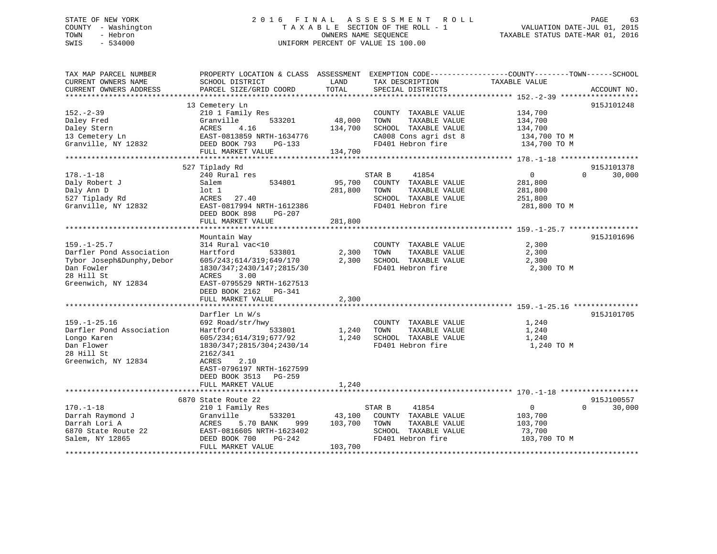# STATE OF NEW YORK 2 0 1 6 F I N A L A S S E S S M E N T R O L L PAGE 63 COUNTY - Washington T A X A B L E SECTION OF THE ROLL - 1 VALUATION DATE-JUL 01, 2015 TOWN - Hebron OWNERS NAME SEQUENCE TAXABLE STATUS DATE-MAR 01, 2016 SWIS - 534000 UNIFORM PERCENT OF VALUE IS 100.00

| TAX MAP PARCEL NUMBER<br>CURRENT OWNERS NAME                                                                     | PROPERTY LOCATION & CLASS ASSESSMENT<br>SCHOOL DISTRICT                                                                                                                                               | LAND<br>TOTAL                | TAX DESCRIPTION                                                                                                     | EXEMPTION CODE-----------------COUNTY-------TOWN------SCHOOL<br>TAXABLE VALUE |                      |
|------------------------------------------------------------------------------------------------------------------|-------------------------------------------------------------------------------------------------------------------------------------------------------------------------------------------------------|------------------------------|---------------------------------------------------------------------------------------------------------------------|-------------------------------------------------------------------------------|----------------------|
| CURRENT OWNERS ADDRESS                                                                                           | PARCEL SIZE/GRID COORD                                                                                                                                                                                |                              | SPECIAL DISTRICTS                                                                                                   |                                                                               | ACCOUNT NO.          |
| $152 - 2 - 39$<br>Daley Fred<br>Daley Stern<br>13 Cemetery Ln<br>Granville, NY 12832                             | 13 Cemetery Ln<br>210 1 Family Res<br>Granville<br>533201<br>ACRES<br>4.16<br>EAST-0813859 NRTH-1634776<br>DEED BOOK 793<br>$PG-133$<br>FULL MARKET VALUE                                             | 48,000<br>134,700<br>134,700 | COUNTY TAXABLE VALUE<br>TOWN<br>TAXABLE VALUE<br>SCHOOL TAXABLE VALUE<br>CA008 Cons agri dst 8<br>FD401 Hebron fire | 134,700<br>134,700<br>134,700<br>134,700 TO M<br>134,700 TO M                 | 915J101248           |
|                                                                                                                  |                                                                                                                                                                                                       |                              |                                                                                                                     |                                                                               |                      |
|                                                                                                                  | 527 Tiplady Rd                                                                                                                                                                                        |                              |                                                                                                                     |                                                                               | 915J101378           |
| $178. - 1 - 18$<br>Daly Robert J<br>Daly Ann D<br>527 Tiplady Rd<br>Granville, NY 12832                          | 240 Rural res<br>534801<br>Salem<br>$1$ ot $1$<br>ACRES 27.40<br>EAST-0817994 NRTH-1612386<br>DEED BOOK 898<br>PG-207                                                                                 | 95,700<br>281,800            | STAR B<br>41854<br>COUNTY TAXABLE VALUE<br>TOWN<br>TAXABLE VALUE<br>SCHOOL TAXABLE VALUE<br>FD401 Hebron fire       | $\mathbf{0}$<br>$\Omega$<br>281,800<br>281,800<br>251,800<br>281,800 TO M     | 30,000               |
|                                                                                                                  | FULL MARKET VALUE                                                                                                                                                                                     | 281,800                      |                                                                                                                     |                                                                               |                      |
| $159. - 1 - 25.7$<br>Darfler Pond Association<br>Tybor Joseph&Dunphy, Debor                                      | Mountain Way<br>314 Rural vac<10<br>Hartford<br>533801<br>605/243;614/319;649/170                                                                                                                     | 2,300<br>2,300               | COUNTY TAXABLE VALUE<br>TOWN<br>TAXABLE VALUE<br>SCHOOL TAXABLE VALUE                                               | 2,300<br>2,300<br>2,300                                                       | 915J101696           |
| Dan Fowler<br>28 Hill St<br>Greenwich, NY 12834                                                                  | 1830/347;2430/147;2815/30<br>ACRES<br>3.00<br>EAST-0795529 NRTH-1627513<br>DEED BOOK 2162<br>PG-341<br>FULL MARKET VALUE                                                                              | 2,300                        | FD401 Hebron fire                                                                                                   | 2,300 TO M                                                                    |                      |
|                                                                                                                  |                                                                                                                                                                                                       |                              |                                                                                                                     |                                                                               |                      |
| $159. - 1 - 25.16$<br>Darfler Pond Association<br>Longo Karen<br>Dan Flower<br>28 Hill St<br>Greenwich, NY 12834 | Darfler Ln W/s<br>692 Road/str/hwy<br>Hartford<br>533801<br>605/234;614/319;677/92<br>1830/347;2815/304;2430/14<br>2162/341<br>2.10<br>ACRES<br>EAST-0796197 NRTH-1627599<br>DEED BOOK 3513<br>PG-259 | 1,240<br>1,240               | COUNTY TAXABLE VALUE<br>TAXABLE VALUE<br>TOWN<br>SCHOOL TAXABLE VALUE<br>FD401 Hebron fire                          | 1,240<br>1,240<br>1,240<br>1,240 TO M                                         | 915J101705           |
|                                                                                                                  | FULL MARKET VALUE                                                                                                                                                                                     | 1,240                        |                                                                                                                     |                                                                               |                      |
|                                                                                                                  |                                                                                                                                                                                                       |                              |                                                                                                                     |                                                                               |                      |
| $170. - 1 - 18$<br>Darrah Raymond J<br>Darrah Lori A<br>6870 State Route 22<br>Salem, NY 12865                   | 6870 State Route 22<br>210 1 Family Res<br>Granville<br>533201<br>ACRES<br>5.70 BANK<br>999<br>EAST-0816605 NRTH-1623402<br>DEED BOOK 700<br>PG-242                                                   | 43,100<br>103,700            | STAR B<br>41854<br>COUNTY TAXABLE VALUE<br>TOWN<br>TAXABLE VALUE<br>SCHOOL TAXABLE VALUE<br>FD401 Hebron fire       | $\mathbf{0}$<br>$\Omega$<br>103,700<br>103,700<br>73,700<br>103,700 TO M      | 915J100557<br>30,000 |
|                                                                                                                  | FULL MARKET VALUE                                                                                                                                                                                     | 103,700                      |                                                                                                                     |                                                                               |                      |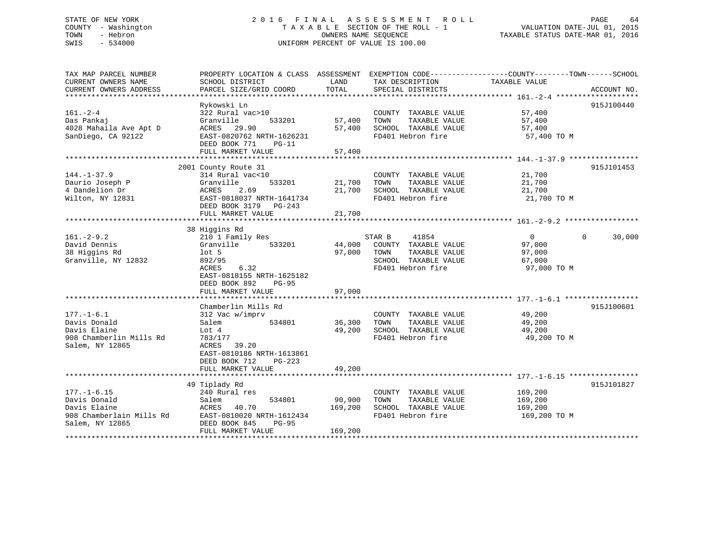# STATE OF NEW YORK 2 0 1 6 F I N A L A S S E S S M E N T R O L L PAGE 64 COUNTY - Washington T A X A B L E SECTION OF THE ROLL - 1 VALUATION DATE-JUL 01, 2015 TOWN - Hebron OWNERS NAME SEQUENCE TAXABLE STATUS DATE-MAR 01, 2016 SWIS - 534000 UNIFORM PERCENT OF VALUE IS 100.00

| TAX MAP PARCEL NUMBER    | PROPERTY LOCATION & CLASS ASSESSMENT |         | EXEMPTION CODE-----------------COUNTY-------TOWN------SCHOOL |                |                    |
|--------------------------|--------------------------------------|---------|--------------------------------------------------------------|----------------|--------------------|
| CURRENT OWNERS NAME      | SCHOOL DISTRICT                      | LAND    | TAX DESCRIPTION                                              | TAXABLE VALUE  |                    |
| CURRENT OWNERS ADDRESS   | PARCEL SIZE/GRID COORD               | TOTAL   | SPECIAL DISTRICTS                                            |                | ACCOUNT NO.        |
|                          |                                      |         |                                                              |                |                    |
|                          | Rykowski Ln                          |         |                                                              |                | 915J100440         |
| $161. - 2 - 4$           | 322 Rural vac>10                     |         | COUNTY TAXABLE VALUE                                         | 57,400         |                    |
| Das Pankaj               | Granville<br>533201                  | 57,400  | TAXABLE VALUE<br>TOWN                                        | 57,400         |                    |
| 4028 Mahaila Ave Apt D   | ACRES<br>29.90                       | 57,400  | SCHOOL TAXABLE VALUE                                         | 57,400         |                    |
| SanDiego, CA 92122       | EAST-0820762 NRTH-1626231            |         | FD401 Hebron fire                                            | 57,400 TO M    |                    |
|                          | DEED BOOK 771<br>$PG-11$             |         |                                                              |                |                    |
|                          | FULL MARKET VALUE                    | 57,400  |                                                              |                |                    |
|                          |                                      |         |                                                              |                |                    |
|                          | 2001 County Route 31                 |         |                                                              |                | 915J101453         |
| $144. - 1 - 37.9$        | 314 Rural vac<10                     |         | COUNTY TAXABLE VALUE                                         | 21,700         |                    |
| Daurio Joseph P          | 533201<br>Granville                  | 21,700  | TAXABLE VALUE<br>TOWN                                        | 21,700         |                    |
| 4 Dandelion Dr           | 2.69<br>ACRES                        | 21,700  | SCHOOL TAXABLE VALUE                                         | 21,700         |                    |
| Wilton, NY 12831         | EAST-0818037 NRTH-1641734            |         | FD401 Hebron fire                                            | 21,700 TO M    |                    |
|                          | DEED BOOK 3179 PG-243                |         |                                                              |                |                    |
|                          | FULL MARKET VALUE                    | 21,700  |                                                              |                |                    |
|                          |                                      |         |                                                              |                |                    |
|                          | 38 Higgins Rd                        |         |                                                              |                |                    |
| $161. - 2 - 9.2$         | 210 1 Family Res                     |         | STAR B<br>41854                                              | $\overline{0}$ | $\Omega$<br>30,000 |
| David Dennis             | Granville<br>533201                  | 44,000  | COUNTY TAXABLE VALUE                                         | 97,000         |                    |
| 38 Higgins Rd            | lot <sub>5</sub>                     | 97,000  | TAXABLE VALUE<br>TOWN                                        | 97,000         |                    |
| Granville, NY 12832      | 892/95                               |         | SCHOOL TAXABLE VALUE                                         | 67,000         |                    |
|                          | ACRES<br>6.32                        |         | FD401 Hebron fire                                            | 97,000 TO M    |                    |
|                          | EAST-0818155 NRTH-1625182            |         |                                                              |                |                    |
|                          | DEED BOOK 892<br>$PG-95$             |         |                                                              |                |                    |
|                          | FULL MARKET VALUE                    | 97,000  |                                                              |                |                    |
|                          |                                      |         |                                                              |                |                    |
|                          | Chamberlin Mills Rd                  |         |                                                              |                | 915J100601         |
| $177. - 1 - 6.1$         | 312 Vac w/imprv                      |         | COUNTY TAXABLE VALUE                                         | 49,200         |                    |
| Davis Donald             | 534801<br>Salem                      | 36,300  | TAXABLE VALUE<br>TOWN                                        | 49,200         |                    |
| Davis Elaine             | Lot 4                                | 49,200  | SCHOOL TAXABLE VALUE                                         | 49,200         |                    |
| 908 Chamberlin Mills Rd  | 783/177                              |         | FD401 Hebron fire                                            | 49,200 TO M    |                    |
| Salem, NY 12865          | ACRES<br>39.20                       |         |                                                              |                |                    |
|                          | EAST-0810186 NRTH-1613861            |         |                                                              |                |                    |
|                          | DEED BOOK 712<br>$PG-223$            |         |                                                              |                |                    |
|                          | FULL MARKET VALUE                    | 49,200  |                                                              |                |                    |
|                          |                                      |         |                                                              |                |                    |
|                          | 49 Tiplady Rd                        |         |                                                              |                | 915J101827         |
| $177. - 1 - 6.15$        | 240 Rural res                        |         | COUNTY TAXABLE VALUE                                         | 169,200        |                    |
| Davis Donald             | 534801<br>Salem                      | 90,900  | TAXABLE VALUE<br>TOWN                                        | 169,200        |                    |
| Davis Elaine             | ACRES<br>40.70                       | 169,200 | SCHOOL TAXABLE VALUE                                         | 169,200        |                    |
| 908 Chamberlain Mills Rd | EAST-0810020 NRTH-1612434            |         | FD401 Hebron fire                                            | 169,200 TO M   |                    |
| Salem, NY 12865          | DEED BOOK 845<br><b>PG-95</b>        |         |                                                              |                |                    |
|                          | FULL MARKET VALUE                    | 169,200 |                                                              |                |                    |
|                          |                                      |         |                                                              |                |                    |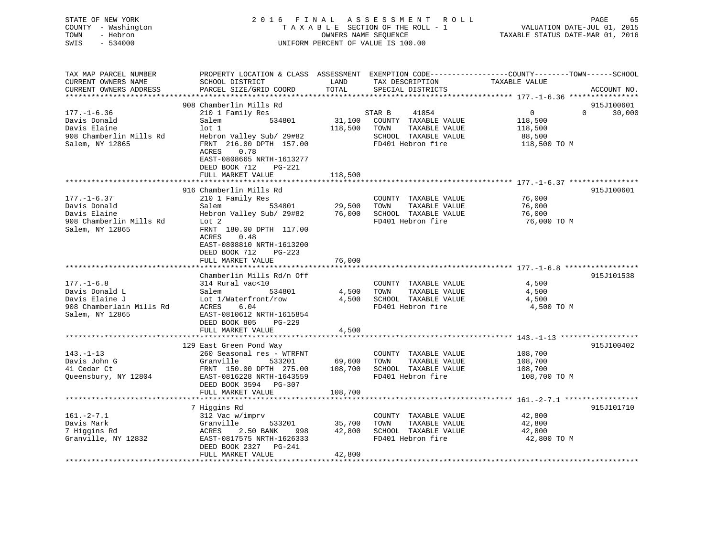| STATE OF NEW YORK<br>COUNTY - Washington<br>TOWN<br>- Hebron<br>$-534000$<br>SWIS | 2016 FINAL                                                                                                            | OWNERS NAME SEQUENCE | ASSESSMENT ROLL<br>TAXABLE SECTION OF THE ROLL - 1<br>UNIFORM PERCENT OF VALUE IS 100.00 | PAGE<br>65<br>VALUATION DATE-JUL 01, 2015<br>TAXABLE STATUS DATE-MAR 01, 2016                                                   |
|-----------------------------------------------------------------------------------|-----------------------------------------------------------------------------------------------------------------------|----------------------|------------------------------------------------------------------------------------------|---------------------------------------------------------------------------------------------------------------------------------|
| TAX MAP PARCEL NUMBER<br>CURRENT OWNERS NAME<br>CURRENT OWNERS ADDRESS            | SCHOOL DISTRICT<br>PARCEL SIZE/GRID COORD                                                                             | LAND<br>TOTAL        | TAX DESCRIPTION<br>SPECIAL DISTRICTS                                                     | PROPERTY LOCATION & CLASS ASSESSMENT EXEMPTION CODE---------------COUNTY-------TOWN------SCHOOL<br>TAXABLE VALUE<br>ACCOUNT NO. |
| ************************                                                          |                                                                                                                       |                      |                                                                                          |                                                                                                                                 |
|                                                                                   | 908 Chamberlin Mills Rd                                                                                               |                      |                                                                                          | 915J100601                                                                                                                      |
| $177. - 1 - 6.36$                                                                 | 210 1 Family Res                                                                                                      |                      | STAR B<br>41854                                                                          | $\mathbf{0}$<br>$\mathbf{0}$<br>30,000                                                                                          |
| Davis Donald                                                                      | Salem<br>534801                                                                                                       | 31,100               | COUNTY TAXABLE VALUE                                                                     | 118,500                                                                                                                         |
| Davis Elaine                                                                      | $1$ ot $1$                                                                                                            | 118,500              | TOWN<br>TAXABLE VALUE                                                                    | 118,500                                                                                                                         |
| 908 Chamberlin Mills Rd                                                           | Hebron Valley Sub/ 29#82                                                                                              |                      | SCHOOL TAXABLE VALUE                                                                     | 88,500                                                                                                                          |
| Salem, NY 12865                                                                   | FRNT 216.00 DPTH 157.00<br>ACRES<br>0.78<br>EAST-0808665 NRTH-1613277<br>DEED BOOK 712<br>PG-221                      |                      | FD401 Hebron fire                                                                        | 118,500 TO M                                                                                                                    |
|                                                                                   | FULL MARKET VALUE<br>************************                                                                         | 118,500              |                                                                                          |                                                                                                                                 |
|                                                                                   | 916 Chamberlin Mills Rd                                                                                               |                      |                                                                                          | 915J100601                                                                                                                      |
| $177. - 1 - 6.37$                                                                 | 210 1 Family Res                                                                                                      |                      | COUNTY TAXABLE VALUE                                                                     | 76,000                                                                                                                          |
| Davis Donald                                                                      | 534801<br>Salem                                                                                                       | 29,500               | TOWN<br>TAXABLE VALUE                                                                    | 76,000                                                                                                                          |
| Davis Elaine                                                                      | Hebron Valley Sub/ 29#82                                                                                              | 76,000               | SCHOOL TAXABLE VALUE                                                                     | 76,000                                                                                                                          |
| 908 Chamberlin Mills Rd                                                           | Lot 2                                                                                                                 |                      | FD401 Hebron fire                                                                        | 76,000 TO M                                                                                                                     |
| Salem, NY 12865                                                                   | FRNT 180.00 DPTH 117.00<br>ACRES<br>0.48<br>EAST-0808810 NRTH-1613200<br>DEED BOOK 712<br>PG-223<br>FULL MARKET VALUE | 76,000               |                                                                                          |                                                                                                                                 |
|                                                                                   |                                                                                                                       |                      |                                                                                          |                                                                                                                                 |
|                                                                                   | Chamberlin Mills Rd/n Off                                                                                             |                      |                                                                                          | 915J101538                                                                                                                      |
| $177. - 1 - 6.8$                                                                  | 314 Rural vac<10                                                                                                      |                      | COUNTY TAXABLE VALUE                                                                     | 4,500                                                                                                                           |
| Davis Donald L                                                                    | Salem<br>534801                                                                                                       | 4,500                | TOWN<br>TAXABLE VALUE                                                                    | 4,500                                                                                                                           |
| Davis Elaine J                                                                    | Lot 1/Waterfront/row                                                                                                  | 4,500                | SCHOOL TAXABLE VALUE                                                                     | 4,500                                                                                                                           |
| 908 Chamberlain Mills Rd<br>Salem, NY 12865                                       | ACRES<br>6.04<br>EAST-0810612 NRTH-1615854<br>DEED BOOK 805<br>PG-229                                                 |                      | FD401 Hebron fire                                                                        | 4,500 TO M                                                                                                                      |
|                                                                                   | FULL MARKET VALUE                                                                                                     | 4,500                |                                                                                          |                                                                                                                                 |
|                                                                                   |                                                                                                                       |                      |                                                                                          |                                                                                                                                 |
|                                                                                   | 129 East Green Pond Way                                                                                               |                      |                                                                                          | 915J100402                                                                                                                      |
| $143. - 1 - 13$<br>Davis John G                                                   | 260 Seasonal res - WTRFNT<br>Granville<br>533201                                                                      |                      | COUNTY TAXABLE VALUE<br>TOWN<br>TAXABLE VALUE                                            | 108,700                                                                                                                         |
| 41 Cedar Ct                                                                       |                                                                                                                       | 69,600<br>108,700    | SCHOOL TAXABLE VALUE                                                                     | 108,700<br>108,700                                                                                                              |
|                                                                                   | FRNT 150.00 DPTH 275.00<br>EAST-0816228 NRTH-1643559                                                                  |                      | FD401 Hebron fire                                                                        |                                                                                                                                 |
| Queensbury, NY 12804                                                              | DEED BOOK 3594 PG-307<br>FULL MARKET VALUE                                                                            | 108,700              |                                                                                          | 108,700 TO M                                                                                                                    |
|                                                                                   | ********************                                                                                                  |                      |                                                                                          | ********************** 161.-2-7.1 **************                                                                                |
|                                                                                   | 7 Higgins Rd                                                                                                          |                      |                                                                                          | 915J101710                                                                                                                      |
| $161. - 2 - 7.1$                                                                  | 312 Vac w/imprv                                                                                                       |                      | COUNTY TAXABLE VALUE                                                                     | 42,800                                                                                                                          |
| Davis Mark                                                                        | Granville<br>533201                                                                                                   | 35,700               | TOWN<br>TAXABLE VALUE                                                                    | 42,800                                                                                                                          |
| 7 Higgins Rd                                                                      | ACRES<br>2.50 BANK<br>998                                                                                             | 42,800               | SCHOOL TAXABLE VALUE                                                                     | 42,800                                                                                                                          |
| Granville, NY 12832                                                               | EAST-0817575 NRTH-1626333<br>DEED BOOK 2327<br>$PG-241$<br>FULL MARKET VALUE                                          | 42,800               | FD401 Hebron fire                                                                        | 42,800 TO M                                                                                                                     |
|                                                                                   |                                                                                                                       |                      |                                                                                          |                                                                                                                                 |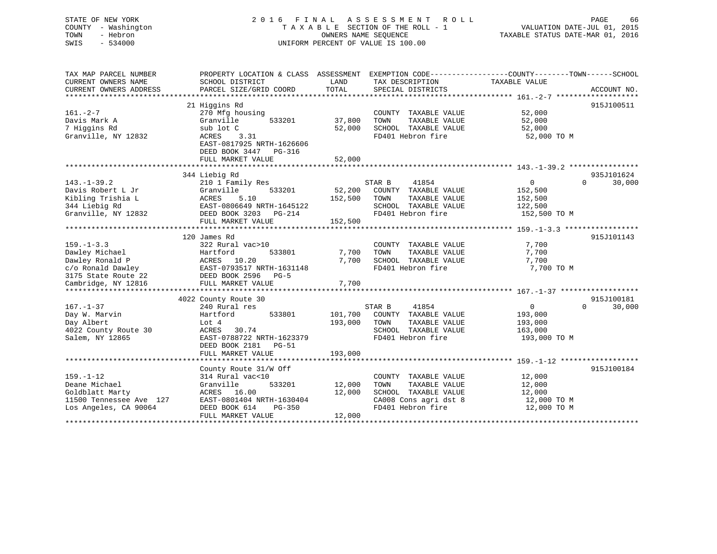| STATE OF NEW YORK<br>COUNTY - Washington<br>TOWN<br>- Hebron<br>SWIS<br>$-534000$                                        | A S S E S S M E N T<br>2016 FINAL<br><b>ROLL</b><br>TAXABLE SECTION OF THE ROLL - 1<br>OWNERS NAME SEQUENCE<br>UNIFORM PERCENT OF VALUE IS 100.00 |                         |                                                                                                                     | VALUATION DATE-JUL 01, 2015<br>TAXABLE STATUS DATE-MAR 01, 2016 | PAGE<br>66         |
|--------------------------------------------------------------------------------------------------------------------------|---------------------------------------------------------------------------------------------------------------------------------------------------|-------------------------|---------------------------------------------------------------------------------------------------------------------|-----------------------------------------------------------------|--------------------|
| TAX MAP PARCEL NUMBER<br>CURRENT OWNERS NAME                                                                             | PROPERTY LOCATION & CLASS ASSESSMENT EXEMPTION CODE---------------COUNTY-------TOWN------SCHOOL<br>SCHOOL DISTRICT                                | LAND                    | TAX DESCRIPTION                                                                                                     | <b>TAXABLE VALUE</b>                                            |                    |
| CURRENT OWNERS ADDRESS                                                                                                   | PARCEL SIZE/GRID COORD                                                                                                                            | TOTAL                   | SPECIAL DISTRICTS                                                                                                   |                                                                 | ACCOUNT NO.        |
| $161. - 2 - 7$<br>Davis Mark A<br>7 Higgins Rd<br>Granville, NY 12832                                                    | 21 Higgins Rd<br>270 Mfg housing<br>Granville<br>533201<br>sub lot C<br>ACRES<br>3.31<br>EAST-0817925 NRTH-1626606<br>DEED BOOK 3447 PG-316       | 37,800<br>52,000        | COUNTY TAXABLE VALUE<br>TAXABLE VALUE<br>TOWN<br>SCHOOL TAXABLE VALUE<br>FD401 Hebron fire                          | 52,000<br>52,000<br>52,000<br>52,000 TO M                       | 915J100511         |
|                                                                                                                          | FULL MARKET VALUE                                                                                                                                 | 52,000                  |                                                                                                                     |                                                                 |                    |
|                                                                                                                          | ***********************                                                                                                                           |                         |                                                                                                                     |                                                                 |                    |
|                                                                                                                          | 344 Liebig Rd                                                                                                                                     |                         |                                                                                                                     |                                                                 | 935J101624         |
| $143. - 1 - 39.2$<br>Davis Robert L Jr<br>Kibling Trishia L<br>344 Liebig Rd<br>Granville, NY 12832                      | 210 1 Family Res<br>533201<br>Granville<br>5.10<br>ACRES<br>EAST-0806649 NRTH-1645122<br>DEED BOOK 3203 PG-214                                    | 52,200<br>152,500       | STAR B<br>41854<br>COUNTY TAXABLE VALUE<br>TOWN<br>TAXABLE VALUE<br>SCHOOL TAXABLE VALUE<br>FD401 Hebron fire       | $\overline{0}$<br>152,500<br>152,500<br>122,500<br>152,500 TO M | 30,000<br>$\Omega$ |
|                                                                                                                          | FULL MARKET VALUE                                                                                                                                 | 152,500                 |                                                                                                                     |                                                                 |                    |
|                                                                                                                          | *************************                                                                                                                         |                         |                                                                                                                     |                                                                 |                    |
| $159. - 1 - 3.3$<br>Dawley Michael<br>Dawley Ronald P<br>c/o Ronald Dawley<br>3175 State Route 22<br>Cambridge, NY 12816 | 120 James Rd<br>322 Rural vac>10<br>Hartford<br>533801<br>10.20<br>ACRES<br>EAST-0793517 NRTH-1631148<br>DEED BOOK 2596 PG-5<br>FULL MARKET VALUE | 7,700<br>7,700<br>7,700 | COUNTY TAXABLE VALUE<br>TAXABLE VALUE<br>TOWN<br>SCHOOL TAXABLE VALUE<br>FD401 Hebron fire                          | 7,700<br>7,700<br>7,700<br>7,700 TO M                           | 915J101143         |
|                                                                                                                          | 4022 County Route 30                                                                                                                              |                         |                                                                                                                     |                                                                 | 915J100181         |
| $167. - 1 - 37$<br>Day W. Marvin<br>Day Albert<br>4022 County Route 30<br>Salem, NY 12865                                | 240 Rural res<br>Hartford<br>533801<br>Lot 4<br>ACRES<br>30.74<br>EAST-0788722 NRTH-1623379<br>DEED BOOK 2181 PG-51                               | 101,700<br>193,000      | STAR B<br>41854<br>COUNTY TAXABLE VALUE<br>TAXABLE VALUE<br>TOWN<br>SCHOOL TAXABLE VALUE<br>FD401 Hebron fire       | $\overline{0}$<br>193,000<br>193,000<br>163,000<br>193,000 TO M | 30,000<br>$\Omega$ |
|                                                                                                                          | FULL MARKET VALUE                                                                                                                                 | 193,000                 |                                                                                                                     |                                                                 |                    |
| $159. - 1 - 12$<br>Deane Michael<br>Goldblatt Marty<br>11500 Tennessee Ave 127<br>Los Angeles, CA 90064                  | County Route 31/W Off<br>314 Rural vac<10<br>Granville<br>533201<br>ACRES<br>16.00<br>EAST-0801404 NRTH-1630404<br>DEED BOOK 614<br>PG-350        | 12,000<br>12,000        | COUNTY TAXABLE VALUE<br>TOWN<br>TAXABLE VALUE<br>SCHOOL TAXABLE VALUE<br>CA008 Cons agri dst 8<br>FD401 Hebron fire | 12,000<br>12,000<br>12,000<br>12,000 TO M<br>12,000 TO M        | 915J100184         |

\*\*\*\*\*\*\*\*\*\*\*\*\*\*\*\*\*\*\*\*\*\*\*\*\*\*\*\*\*\*\*\*\*\*\*\*\*\*\*\*\*\*\*\*\*\*\*\*\*\*\*\*\*\*\*\*\*\*\*\*\*\*\*\*\*\*\*\*\*\*\*\*\*\*\*\*\*\*\*\*\*\*\*\*\*\*\*\*\*\*\*\*\*\*\*\*\*\*\*\*\*\*\*\*\*\*\*\*\*\*\*\*\*\*\*\*\*\*\*\*\*\*\*\*\*\*\*\*\*\*\*\*

FULL MARKET VALUE 12,000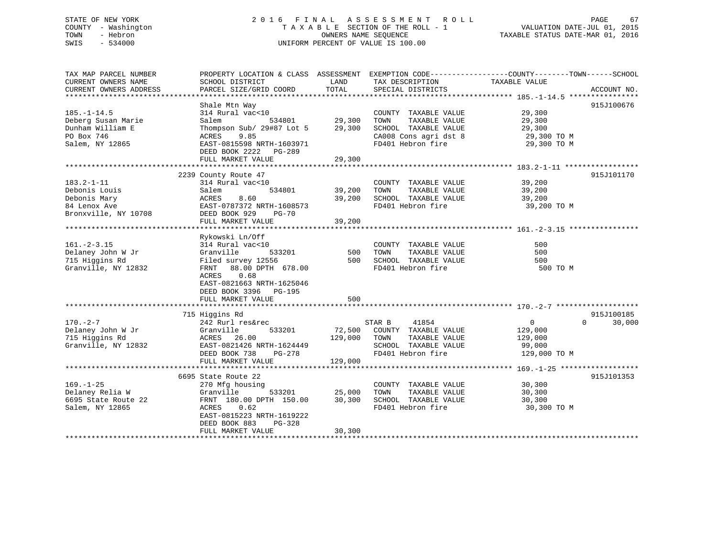# STATE OF NEW YORK 2 0 1 6 F I N A L A S S E S S M E N T R O L L PAGE 67 COUNTY - Washington T A X A B L E SECTION OF THE ROLL - 1 VALUATION DATE-JUL 01, 2015 TOWN - Hebron OWNERS NAME SEQUENCE TAXABLE STATUS DATE-MAR 01, 2016 SWIS - 534000 UNIFORM PERCENT OF VALUE IS 100.00

| TAX MAP PARCEL NUMBER<br>CURRENT OWNERS NAME<br>CURRENT OWNERS ADDRESS                       | PROPERTY LOCATION & CLASS ASSESSMENT EXEMPTION CODE---------------COUNTY-------TOWN-----SCHOOL<br>SCHOOL DISTRICT<br>PARCEL SIZE/GRID COORD                                                            | LAND<br>TOTAL              | TAX DESCRIPTION<br>SPECIAL DISTRICTS                                                                                                        | TAXABLE VALUE                                                          | ACCOUNT NO.                      |
|----------------------------------------------------------------------------------------------|--------------------------------------------------------------------------------------------------------------------------------------------------------------------------------------------------------|----------------------------|---------------------------------------------------------------------------------------------------------------------------------------------|------------------------------------------------------------------------|----------------------------------|
| $185. - 1 - 14.5$<br>Deberg Susan Marie<br>Dunham William E<br>PO Box 746<br>Salem, NY 12865 | Shale Mtn Way<br>314 Rural vac<10<br>534801<br>Salem<br>Thompson Sub/ 29#87 Lot 5 29,300<br>ACRES<br>9.85<br>EAST-0815598 NRTH-1603971<br>DEED BOOK 2222 PG-289<br>FULL MARKET VALUE                   | 29,300<br>29,300           | COUNTY TAXABLE VALUE<br>TOWN<br>TAXABLE VALUE<br>SCHOOL TAXABLE VALUE<br>SCHOOL TAXABLE VALUE<br>CA008 Cons agri dst 8<br>FD401 Hebron fire | 29,300<br>29,300<br>29, 300<br>29, 300 TO M<br>200 TO M<br>29,300 TO M | 915J100676                       |
| $183.2 - 1 - 11$<br>Debonis Louis<br>Debonis Mary<br>84 Lenox Ave<br>Bronxville, NY 10708    | 2239 County Route 47<br>314 Rural vac<10<br>534801<br>Salem<br>ACRES<br>8.60<br>EAST-0787372 NRTH-1608573<br>DEED BOOK 929<br>PG-70<br>FULL MARKET VALUE                                               | 39,200<br>39,200<br>39,200 | COUNTY TAXABLE VALUE<br>TAXABLE VALUE<br>TOWN<br>SCHOOL TAXABLE VALUE<br>FD401 Hebron fire                                                  | 39,200<br>39,200<br>39,200<br>39,200 TO M                              | 915J101170                       |
| $161. - 2 - 3.15$<br>Delaney John W Jr<br>715 Higgins Rd<br>Granville, NY 12832              | Rykowski Ln/Off<br>314 Rural vac<10<br>Granville<br>533201<br>Filed survey 12556<br>FRNT 88.00 DPTH 678.00<br>0.68<br>ACRES<br>EAST-0821663 NRTH-1625046<br>DEED BOOK 3396 PG-195<br>FULL MARKET VALUE | 500<br>500<br>500          | COUNTY TAXABLE VALUE<br>TAXABLE VALUE<br>TOWN<br>SCHOOL TAXABLE VALUE<br>FD401 Hebron fire                                                  | 500<br>500<br>500<br>500 TO M                                          |                                  |
| $170. - 2 - 7$<br>Delaney John W Jr<br>715 Higgins Rd<br>Granville, NY 12832                 | 715 Higgins Rd<br>242 Rurl res&rec<br>533201<br>Granville<br>ACRES 26.00<br>EAST-0821426 NRTH-1624449<br>PG-278<br>DEED BOOK 738<br>FULL MARKET VALUE                                                  | 129,000 TOWN<br>129,000    | 41854<br>STAR B<br>72,500 COUNTY TAXABLE VALUE<br>TAXABLE VALUE<br>SCHOOL TAXABLE VALUE<br>FD401 Hebron fire                                | $\overline{0}$<br>129,000<br>129,000<br>99,000<br>129,000 TO M         | 915J100185<br>$\Omega$<br>30,000 |
| $169. - 1 - 25$<br>Delaney Relia W<br>6695 State Route 22<br>Salem, NY 12865                 | 6695 State Route 22<br>270 Mfg housing<br>533201<br>Granville<br>FRNT 180.00 DPTH 150.00<br>ACRES<br>0.62<br>EAST-0815223 NRTH-1619222<br>DEED BOOK 883<br>PG-328<br>FULL MARKET VALUE                 | 25,000<br>30,300<br>30,300 | COUNTY TAXABLE VALUE<br>TAXABLE VALUE<br>TOWN<br>SCHOOL TAXABLE VALUE<br>FD401 Hebron fire                                                  | 30,300<br>30,300<br>30,300<br>30,300 TO M                              | 915J101353                       |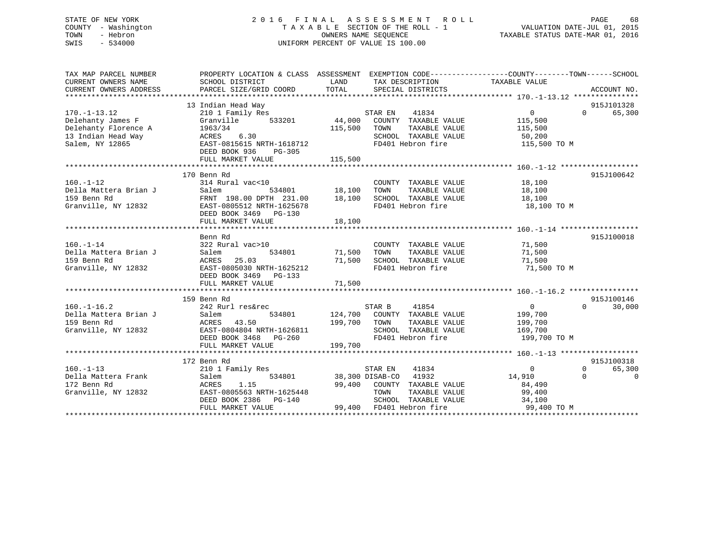# STATE OF NEW YORK 2 0 1 6 F I N A L A S S E S S M E N T R O L L PAGE 68 COUNTY - Washington T A X A B L E SECTION OF THE ROLL - 1 VALUATION DATE-JUL 01, 2015 TOWN - Hebron OWNERS NAME SEQUENCE TAXABLE STATUS DATE-MAR 01, 2016 SWIS - 534000 UNIFORM PERCENT OF VALUE IS 100.00

| TAX MAP PARCEL NUMBER                  | PROPERTY LOCATION & CLASS ASSESSMENT EXEMPTION CODE---------------COUNTY-------TOWN------SCHOOL |                          |                                           |                               |                       |                          |
|----------------------------------------|-------------------------------------------------------------------------------------------------|--------------------------|-------------------------------------------|-------------------------------|-----------------------|--------------------------|
| CURRENT OWNERS NAME                    | SCHOOL DISTRICT                                                                                 | LAND TAX DESCRIPTION     |                                           | TAXABLE VALUE                 |                       |                          |
| CURRENT OWNERS ADDRESS                 | PARCEL SIZE/GRID COORD                                                                          | TOTAL SPECIAL DISTRICTS  |                                           |                               |                       | ACCOUNT NO.              |
|                                        | 13 Indian Head Way                                                                              |                          |                                           |                               |                       | 915J101328               |
| $170. - 1 - 13.12$                     | 210 1 Family Res                                                                                | STAR EN                  | 41834                                     | $\overline{0}$                | $\Omega$ and $\Omega$ | 65,300                   |
| Delehanty James F                      | Granville 533201                                                                                |                          | 44,000 COUNTY TAXABLE VALUE               |                               |                       |                          |
| Delehanty Florence A                   | $\frac{1}{1963}/\frac{1}{34}$                                                                   | 115,500<br>TOWN          | TAXABLE VALUE                             | 115,500<br>115,500            |                       |                          |
| 13 Indian Head Way                     | ACRES 6.30                                                                                      |                          | SCHOOL TAXABLE VALUE                      | 50,200                        |                       |                          |
| Salem, NY 12865                        | EAST-0815615 NRTH-1618712                                                                       |                          | FD401 Hebron fire                         | 115,500 TO M                  |                       |                          |
|                                        | DEED BOOK 936 PG-305                                                                            |                          |                                           |                               |                       |                          |
|                                        |                                                                                                 |                          |                                           |                               |                       |                          |
|                                        |                                                                                                 |                          |                                           |                               |                       |                          |
|                                        | 170 Benn Rd                                                                                     |                          |                                           |                               |                       | 915J100642               |
| $160. - 1 - 12$                        |                                                                                                 |                          |                                           |                               |                       |                          |
| Della Mattera Brian J                  |                                                                                                 |                          |                                           |                               |                       |                          |
| 159 Benn Rd                            |                                                                                                 |                          |                                           |                               |                       |                          |
| Granville, NY 12832                    | EAST-0805512 NRTH-1625678                                                                       |                          |                                           | FD401 Hebron fire 18,100 TO M |                       |                          |
|                                        | DEED BOOK 3469 PG-130                                                                           |                          |                                           |                               |                       |                          |
|                                        |                                                                                                 |                          |                                           |                               |                       |                          |
|                                        | Benn Rd                                                                                         |                          |                                           |                               |                       | 915J100018               |
| $160. - 1 - 14$                        | 322 Rural vac>10                                                                                |                          | COUNTY TAXABLE VALUE 71,500               |                               |                       |                          |
| Della Mattera Brian J                  | Salem                                                                                           | 534801 71,500<br>TOWN    | TAXABLE VALUE                             | 71,500                        |                       |                          |
| 159 Benn Rd                            | ACRES 25.03                                                                                     | 71,500                   | SCHOOL TAXABLE VALUE                      | 71,500                        |                       |                          |
| Granville, NY 12832                    | EAST-0805030 NRTH-1625212                                                                       |                          | FD401 Hebron fire                         | 71,500 TO M                   |                       |                          |
|                                        | DEED BOOK 3469 PG-133                                                                           |                          |                                           |                               |                       |                          |
|                                        | FULL MARKET VALUE                                                                               | 71,500                   |                                           |                               |                       |                          |
|                                        |                                                                                                 |                          |                                           |                               |                       |                          |
|                                        | 159 Benn Rd                                                                                     |                          |                                           |                               |                       | 915J100146               |
| $160. - 1 - 16.2$                      | 242 Rurl res&rec                                                                                |                          | STAR B 41854                              | $\overline{0}$                | $\Omega$              | 30,000                   |
| Della Mattera Brian J                  | 534801<br>Salem                                                                                 |                          | 124,700 COUNTY TAXABLE VALUE 199,700      |                               |                       |                          |
| 159 Benn Rd                            | 43.50<br>ACRES                                                                                  | 199,700 TOWN             |                                           | TAXABLE VALUE 199,700         |                       |                          |
| Granville, NY 12832                    | EAST-0804804 NRTH-1626811                                                                       |                          | SCHOOL TAXABLE VALUE<br>FD401 Hebron fire | 169,700                       |                       |                          |
|                                        | EAST-0804804 NRTH-1626811<br>DEED BOOK 3468 PG-260                                              |                          |                                           | 199,700 TO M                  |                       |                          |
|                                        | FULL MARKET VALUE                                                                               | 199,700                  |                                           |                               |                       |                          |
|                                        |                                                                                                 |                          |                                           |                               |                       |                          |
|                                        | 172 Benn Rd                                                                                     |                          |                                           |                               |                       | 915J100318               |
| $160. - 1 - 13$<br>Della Mattera Frank | 210 1 Family Res<br>534801                                                                      | STAR EN                  | 41834                                     | $\Omega$                      | $\Omega$              | 65,300<br>$\overline{0}$ |
| 172 Benn Rd                            | Salem<br>ACRES<br>1.15                                                                          | 38,300 DISAB-CO 41932    | 99,400 COUNTY TAXABLE VALUE               | 14,910                        | $\Omega$              |                          |
| Granville, NY 12832                    | EAST-0805563 NRTH-1625448                                                                       | TOWN                     | TAXABLE VALUE                             | 84,490<br>99,400              |                       |                          |
|                                        | DEED BOOK 2386 PG-140                                                                           |                          | SCHOOL TAXABLE VALUE                      |                               |                       |                          |
|                                        | FULL MARKET VALUE                                                                               | 99,400 FD401 Hebron fire |                                           | 34,100<br>99,400 TO M         |                       |                          |
|                                        |                                                                                                 |                          |                                           |                               |                       |                          |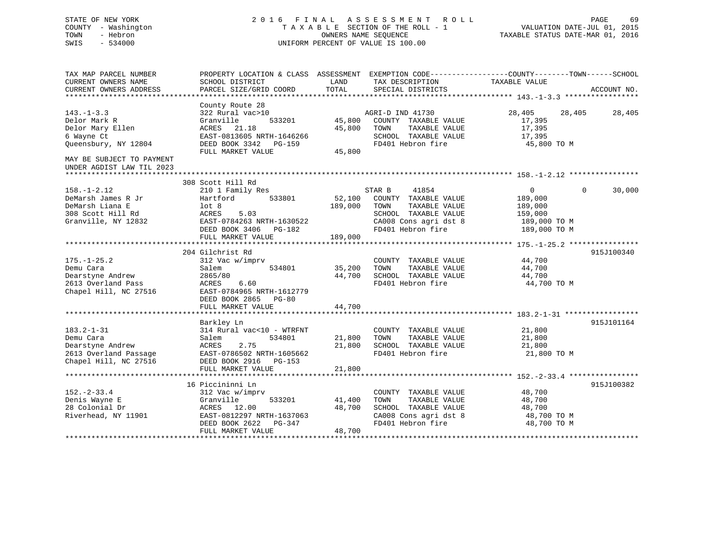# STATE OF NEW YORK 2 0 1 6 F I N A L A S S E S S M E N T R O L L PAGE 69 COUNTY - Washington T A X A B L E SECTION OF THE ROLL - 1 VALUATION DATE-JUL 01, 2015 TOWN - Hebron OWNERS NAME SEQUENCE TAXABLE STATUS DATE-MAR 01, 2016 SWIS - 534000 UNIFORM PERCENT OF VALUE IS 100.00

| TAX MAP PARCEL NUMBER<br>CURRENT OWNERS NAME<br>CURRENT OWNERS ADDRESS                                                                               | PROPERTY LOCATION & CLASS ASSESSMENT EXEMPTION CODE---------------COUNTY-------TOWN------SCHOOL<br>SCHOOL DISTRICT<br>PARCEL SIZE/GRID COORD                                                                                | LAND<br>TOTAL                      | TAX DESCRIPTION<br>SPECIAL DISTRICTS                                                                                                     | TAXABLE VALUE                                                                       |          | ACCOUNT NO. |
|------------------------------------------------------------------------------------------------------------------------------------------------------|-----------------------------------------------------------------------------------------------------------------------------------------------------------------------------------------------------------------------------|------------------------------------|------------------------------------------------------------------------------------------------------------------------------------------|-------------------------------------------------------------------------------------|----------|-------------|
| $143. - 1 - 3.3$<br>Delor Mark R<br>Delor Mary Ellen<br>6 Wayne Ct<br>Oueensbury, NY 12804<br>MAY BE SUBJECT TO PAYMENT<br>UNDER AGDIST LAW TIL 2023 | County Route 28<br>322 Rural vac>10<br>Granville<br>ACRES 21.18<br>EAST-0813605 NRTH-1646266<br>DEED BOOK 3342 PG-159<br>FULL MARKET VALUE                                                                                  | 45,800 TOWN<br>45,800              | AGRI-D IND 41730<br>533201 45,800 COUNTY TAXABLE VALUE<br>TAXABLE VALUE<br>SCHOOL TAXABLE VALUE<br>FD401 Hebron fire                     | 28,405 28,405<br>17,395<br>17,395<br>17,395<br>45,800 TO M                          |          | 28,405      |
| $158. - 1 - 2.12$<br>DeMarsh James R Jr<br>DeMarsh Liana E<br>308 Scott Hill Rd<br>Granville, NY 12832                                               | 308 Scott Hill Rd<br>210 1 Family Res<br>Hartford 533801<br>lot <sub>8</sub><br>5.03<br>ACRES<br>ACRES 5.03<br>EAST-0784263 NRTH-1630522<br>DEED BOOK 3406 PG-182<br>FULL MARKET VALUE                                      | STAR B<br>189,000 TOWN<br>189,000  | 41854<br>52,100 COUNTY TAXABLE VALUE<br>TAXABLE VALUE<br>SCHOOL TAXABLE VALUE<br>CA008 Cons agri dst 8<br>FD401 Hebron fire 189,000 TO M | $\overline{0}$<br>189,000<br>189,000<br>159,000<br>$189,000$ TO M<br>$189,000$ TO M | $\Omega$ | 30,000      |
| $175. - 1 - 25.2$<br>Demu Cara<br>Dearstyne Andrew<br>Dearstyne Andrew<br>2613 Overland Pass<br>Chanel Hill NC 27516<br>Chapel Hill, NC 27516        | 204 Gilchrist Rd<br>312 Vac w/imprv<br>534801<br>Salem<br>2865/80<br>6.60<br>ACRES<br>EAST-0784965 NRTH-1612779<br>DEED BOOK 2865 PG-80<br>FULL MARKET VALUE                                                                | 35,200<br>TOWN<br>44,700           | COUNTY TAXABLE VALUE 44,700<br>TAXABLE VALUE<br>44,700 SCHOOL TAXABLE VALUE<br>FD401 Hebron fire                                         | 44,700<br>$11,700$<br>$44,700$<br>44,700 TO M                                       |          | 915J100340  |
| $183.2 - 1 - 31$<br>Demu Cara<br>Dearstyne Andrew<br>Chapel Hill, NC 27516                                                                           | Barkley Ln<br>314 Rural vac<10 - WTRFNT<br>534801<br>Salem<br>ACRES<br>2.75<br>2613 Overland Passage BAST-0786502 NRTH-1605662<br>Chapel Hill. NC 27516 DEED BOOK 2916 PG-153<br>DEED BOOK 2916 PG-153<br>FULL MARKET VALUE | 21,800 TOWN<br>21,800              | COUNTY TAXABLE VALUE 21,800<br>21,800 TOWN TAXABLE VALUE<br>21,800 SCHOOL TAXABLE VALUE<br>FD401 Hebron fire                             | 21,800<br>21,800<br>21,800 TO M                                                     |          | 915J101164  |
| $152. - 2 - 33.4$<br>Denis Wayne E<br>28 Colonial Dr<br>Riverhead, NY 11901                                                                          | 16 Piccininni Ln<br>312 Vac w/imprv<br>Granville<br>533201<br>ACRES 12.00<br>EAST-0812297 NRTH-1637063<br>DEED BOOK 2622<br>PG-347<br>FULL MARKET VALUE                                                                     | 41,400<br>TOWN<br>48,700<br>48,700 | COUNTY TAXABLE VALUE<br>TAXABLE VALUE<br>SCHOOL TAXABLE VALUE<br>CA008 Cons agri dst 8<br>FD401 Hebron fire                              | 48,700<br>48,700<br>48,700<br>48,700 TO M<br>48,700 TO M                            |          | 915J100382  |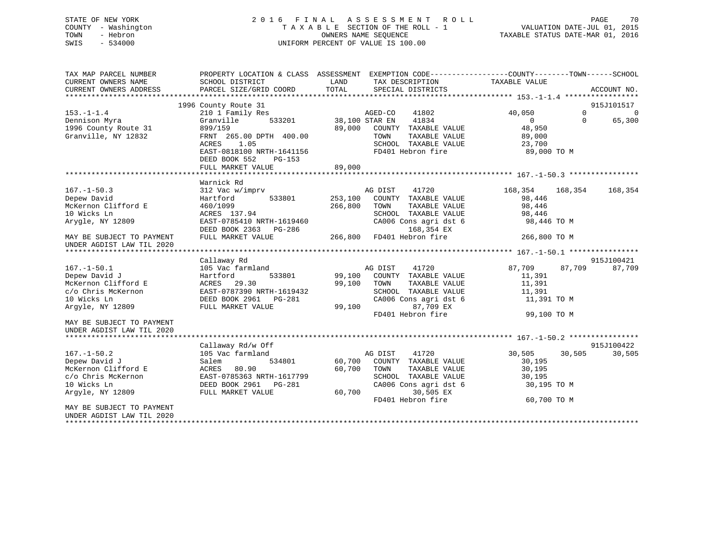# STATE OF NEW YORK 2 0 1 6 F I N A L A S S E S S M E N T R O L L PAGE 70 COUNTY - Washington T A X A B L E SECTION OF THE ROLL - 1 VALUATION DATE-JUL 01, 2015 TOWN - Hebron OWNERS NAME SEQUENCE TAXABLE STATUS DATE-MAR 01, 2016 SWIS - 534000 UNIFORM PERCENT OF VALUE IS 100.00

| TAX MAP PARCEL NUMBER<br>CURRENT OWNERS NAME<br>CURRENT OWNERS ADDRESS | PROPERTY LOCATION & CLASS ASSESSMENT EXEMPTION CODE----------------COUNTY-------TOWN-----SCHOOL<br>SCHOOL DISTRICT<br>PARCEL SIZE/GRID COORD | LAND<br>TOTAL | TAX DESCRIPTION<br>SPECIAL DISTRICTS | TAXABLE VALUE |          | ACCOUNT NO. |
|------------------------------------------------------------------------|----------------------------------------------------------------------------------------------------------------------------------------------|---------------|--------------------------------------|---------------|----------|-------------|
|                                                                        |                                                                                                                                              |               |                                      |               |          |             |
|                                                                        | 1996 County Route 31                                                                                                                         |               |                                      |               |          | 915J101517  |
| $153. - 1 - 1.4$                                                       | 210 1 Family Res                                                                                                                             |               | AGED-CO<br>41802                     | 40,050        | $\Omega$ | $\Omega$    |
| Dennison Myra                                                          | Granville<br>533201                                                                                                                          |               | 38,100 STAR EN<br>41834              | $\Omega$      | $\Omega$ | 65,300      |
| 1996 County Route 31                                                   | 899/159                                                                                                                                      | 89,000        | COUNTY TAXABLE VALUE                 | 48,950        |          |             |
| Granville, NY 12832                                                    | FRNT 265.00 DPTH 400.00                                                                                                                      |               | TOWN<br>TAXABLE VALUE                | 89,000        |          |             |
|                                                                        | ACRES<br>1.05                                                                                                                                |               | SCHOOL TAXABLE VALUE                 | 23,700        |          |             |
|                                                                        | EAST-0818100 NRTH-1641156                                                                                                                    |               | FD401 Hebron fire                    | 89,000 TO M   |          |             |
|                                                                        | DEED BOOK 552<br>$PG-153$                                                                                                                    |               |                                      |               |          |             |
|                                                                        | FULL MARKET VALUE                                                                                                                            | 89,000        |                                      |               |          |             |
|                                                                        | Warnick Rd                                                                                                                                   |               |                                      |               |          |             |
| $167. - 1 - 50.3$                                                      | 312 Vac w/imprv                                                                                                                              |               | AG DIST<br>41720                     | 168,354       | 168,354  | 168,354     |
| Depew David                                                            | 533801<br>Hartford                                                                                                                           | 253,100       | COUNTY TAXABLE VALUE                 | 98,446        |          |             |
| McKernon Clifford E                                                    | 460/1099                                                                                                                                     | 266,800       | TAXABLE VALUE<br>TOWN                | 98,446        |          |             |
| 10 Wicks Ln                                                            | ACRES 137.94                                                                                                                                 |               | SCHOOL TAXABLE VALUE                 | 98,446        |          |             |
| Arygle, NY 12809                                                       | EAST-0785410 NRTH-1619460                                                                                                                    |               | CA006 Cons agri dst 6                | 98,446 TO M   |          |             |
|                                                                        | DEED BOOK 2363 PG-286                                                                                                                        |               | 168,354 EX                           |               |          |             |
| MAY BE SUBJECT TO PAYMENT                                              | FULL MARKET VALUE                                                                                                                            | 266,800       | FD401 Hebron fire                    | 266,800 TO M  |          |             |
| UNDER AGDIST LAW TIL 2020                                              |                                                                                                                                              |               |                                      |               |          |             |
|                                                                        |                                                                                                                                              |               |                                      |               |          |             |
|                                                                        | Callaway Rd                                                                                                                                  |               |                                      |               |          | 915J100421  |
| $167. - 1 - 50.1$                                                      | 105 Vac farmland                                                                                                                             |               | AG DIST<br>41720                     | 87,709        | 87,709   | 87,709      |
| Depew David J                                                          | 533801<br>Hartford                                                                                                                           | 99,100        | COUNTY TAXABLE VALUE                 | 11,391        |          |             |
| McKernon Clifford E                                                    | ACRES<br>29.30                                                                                                                               | 99,100        | TOWN<br>TAXABLE VALUE                | 11,391        |          |             |
| c/o Chris McKernon                                                     | EAST-0787390 NRTH-1619432                                                                                                                    |               | SCHOOL TAXABLE VALUE                 | 11,391        |          |             |
| 10 Wicks Ln                                                            | DEED BOOK 2961 PG-281                                                                                                                        |               | CA006 Cons agri dst 6                | 11,391 TO M   |          |             |
| Arqyle, NY 12809                                                       | FULL MARKET VALUE                                                                                                                            | 99,100        | 87,709 EX                            |               |          |             |
|                                                                        |                                                                                                                                              |               | FD401 Hebron fire                    | 99,100 TO M   |          |             |
| MAY BE SUBJECT TO PAYMENT                                              |                                                                                                                                              |               |                                      |               |          |             |
| UNDER AGDIST LAW TIL 2020                                              |                                                                                                                                              |               |                                      |               |          |             |
|                                                                        | Callaway Rd/w Off                                                                                                                            |               |                                      |               |          | 915J100422  |
| $167. - 1 - 50.2$                                                      | 105 Vac farmland                                                                                                                             |               | 41720<br>AG DIST                     | 30,505        | 30,505   | 30,505      |
| Depew David J                                                          | Salem<br>534801                                                                                                                              | 60,700        | COUNTY TAXABLE VALUE                 | 30,195        |          |             |
| McKernon Clifford E                                                    | 80.90<br>ACRES                                                                                                                               | 60,700        | TOWN<br>TAXABLE VALUE                | 30,195        |          |             |
| c/o Chris McKernon                                                     | EAST-0785363 NRTH-1617799                                                                                                                    |               | SCHOOL TAXABLE VALUE                 | 30,195        |          |             |
| 10 Wicks Ln                                                            | DEED BOOK 2961<br>PG-281                                                                                                                     |               | CA006 Cons agri dst 6                | 30,195 TO M   |          |             |
| Argyle, NY 12809                                                       | FULL MARKET VALUE                                                                                                                            | 60,700        | 30,505 EX                            |               |          |             |
|                                                                        |                                                                                                                                              |               | FD401 Hebron fire                    | 60,700 TO M   |          |             |
| MAY BE SUBJECT TO PAYMENT                                              |                                                                                                                                              |               |                                      |               |          |             |
| UNDER AGDIST LAW TIL 2020                                              |                                                                                                                                              |               |                                      |               |          |             |
|                                                                        |                                                                                                                                              |               |                                      |               |          |             |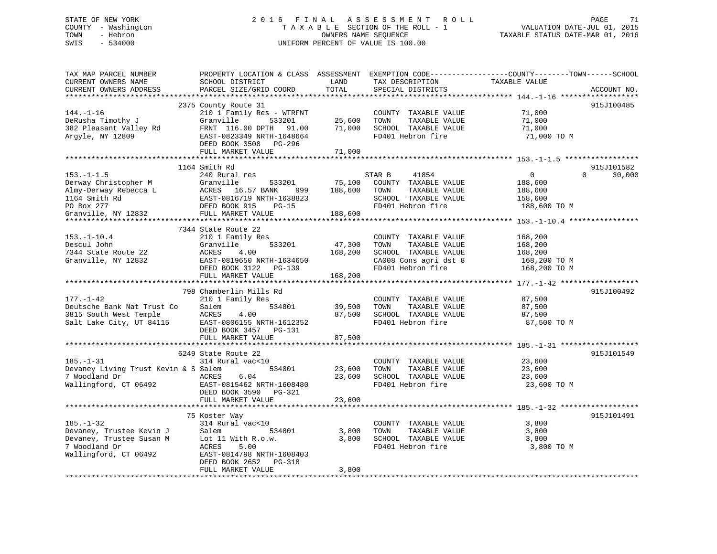# STATE OF NEW YORK 2 0 1 6 F I N A L A S S E S S M E N T R O L L PAGE 71 COUNTY - Washington T A X A B L E SECTION OF THE ROLL - 1 VALUATION DATE-JUL 01, 2015 TOWN - Hebron OWNERS NAME SEQUENCE TAXABLE STATUS DATE-MAR 01, 2016 SWIS - 534000 UNIFORM PERCENT OF VALUE IS 100.00

| TAX MAP PARCEL NUMBER<br>CURRENT OWNERS NAME<br>CURRENT OWNERS ADDRESS                                                  | PROPERTY LOCATION & CLASS ASSESSMENT<br>SCHOOL DISTRICT<br>PARCEL SIZE/GRID COORD                                                                                                                       | LAND<br>TOTAL                           | EXEMPTION CODE-----------------COUNTY-------TOWN------SCHOOL<br>TAX DESCRIPTION<br>SPECIAL DISTRICTS                | TAXABLE VALUE                                                   | ACCOUNT NO.        |
|-------------------------------------------------------------------------------------------------------------------------|---------------------------------------------------------------------------------------------------------------------------------------------------------------------------------------------------------|-----------------------------------------|---------------------------------------------------------------------------------------------------------------------|-----------------------------------------------------------------|--------------------|
| $144. - 1 - 16$<br>DeRusha Timothy J<br>382 Pleasant Valley Rd<br>Argyle, NY 12809                                      | **********************<br>2375 County Route 31<br>210 1 Family Res - WTRFNT<br>Granville<br>533201<br>FRNT 116.00 DPTH 91.00<br>EAST-0823349 NRTH-1648664<br>DEED BOOK 3508 PG-296<br>FULL MARKET VALUE | *********<br>25,600<br>71,000<br>71,000 | COUNTY TAXABLE VALUE<br>TAXABLE VALUE<br>TOWN<br>SCHOOL TAXABLE VALUE<br>FD401 Hebron fire                          | 71,000<br>71,000<br>71,000<br>71,000 TO M                       | 915J100485         |
|                                                                                                                         | 1164 Smith Rd                                                                                                                                                                                           |                                         |                                                                                                                     |                                                                 | 915J101582         |
| $153. - 1 - 1.5$<br>Derway Christopher M<br>Almy-Derway Rebecca L<br>1164 Smith Rd<br>PO Box 277<br>Granville, NY 12832 | 240 Rural res<br>Granville<br>533201<br>ACRES 16.57 BANK<br>999<br>EAST-0816719 NRTH-1638823<br>DEED BOOK 915<br>$PG-15$<br>FULL MARKET VALUE                                                           | 75,100<br>188,600<br>188,600            | STAR B<br>41854<br>COUNTY TAXABLE VALUE<br>TOWN<br>TAXABLE VALUE<br>SCHOOL TAXABLE VALUE<br>FD401 Hebron fire       | $\overline{0}$<br>188,600<br>188,600<br>158,600<br>188,600 TO M | 30,000<br>$\Omega$ |
|                                                                                                                         | 7344 State Route 22                                                                                                                                                                                     |                                         |                                                                                                                     |                                                                 |                    |
| $153.-1-10.4$<br>Descul John<br>7344 State Route 22<br>Granville, NY 12832                                              | 210 1 Family Res<br>Granville<br>533201<br>4.00<br>ACRES<br>EAST-0819650 NRTH-1634650<br>DEED BOOK 3122 PG-139<br>FULL MARKET VALUE                                                                     | 47,300<br>168,200<br>168,200            | COUNTY TAXABLE VALUE<br>TOWN<br>TAXABLE VALUE<br>SCHOOL TAXABLE VALUE<br>CA008 Cons agri dst 8<br>FD401 Hebron fire | 168,200<br>168,200<br>168,200<br>168,200 ТО М<br>168,200 TO M   |                    |
|                                                                                                                         |                                                                                                                                                                                                         |                                         |                                                                                                                     |                                                                 | 915J100492         |
| $177. - 1 - 42$<br>Deutsche Bank Nat Trust Co<br>3815 South West Temple<br>Salt Lake City, UT 84115                     | 798 Chamberlin Mills Rd<br>210 1 Family Res<br>Salem<br>534801<br>ACRES<br>4.00<br>EAST-0806155 NRTH-1612352<br>DEED BOOK 3457 PG-131                                                                   | 39,500<br>87,500                        | COUNTY TAXABLE VALUE<br>TOWN<br>TAXABLE VALUE<br>SCHOOL TAXABLE VALUE<br>FD401 Hebron fire                          | 87,500<br>87,500<br>87,500<br>87,500 TO M                       |                    |
|                                                                                                                         | FULL MARKET VALUE                                                                                                                                                                                       | 87,500                                  |                                                                                                                     |                                                                 |                    |
| $185. - 1 - 31$<br>Devaney Living Trust Kevin & S Salem<br>7 Woodland Dr<br>Wallingford, CT 06492                       | 6249 State Route 22<br>314 Rural vac<10<br>534801<br>ACRES<br>6.04<br>EAST-0815462 NRTH-1608480<br>DEED BOOK 3590<br>PG-321<br>FULL MARKET VALUE                                                        | 23,600<br>23,600<br>23,600              | COUNTY TAXABLE VALUE<br>TAXABLE VALUE<br>TOWN<br>SCHOOL TAXABLE VALUE<br>FD401 Hebron fire                          | 23,600<br>23,600<br>23,600<br>23,600 TO M                       | 915J101549         |
|                                                                                                                         |                                                                                                                                                                                                         |                                         |                                                                                                                     |                                                                 |                    |
| $185. - 1 - 32$<br>Devaney, Trustee Kevin J<br>Devaney, Trustee Susan M<br>7 Woodland Dr<br>Wallingford, CT 06492       | 75 Koster Way<br>314 Rural vac<10<br>534801<br>Salem<br>Lot 11 With R.o.w.<br>5.00<br>ACRES<br>EAST-0814798 NRTH-1608403<br>DEED BOOK 2652 PG-318                                                       | 3,800<br>3,800                          | COUNTY TAXABLE VALUE<br>TAXABLE VALUE<br>TOWN<br>SCHOOL TAXABLE VALUE<br>FD401 Hebron fire                          | 3,800<br>3,800<br>3,800<br>3,800 TO M                           | 915J101491         |
|                                                                                                                         | FULL MARKET VALUE                                                                                                                                                                                       | 3,800                                   |                                                                                                                     |                                                                 |                    |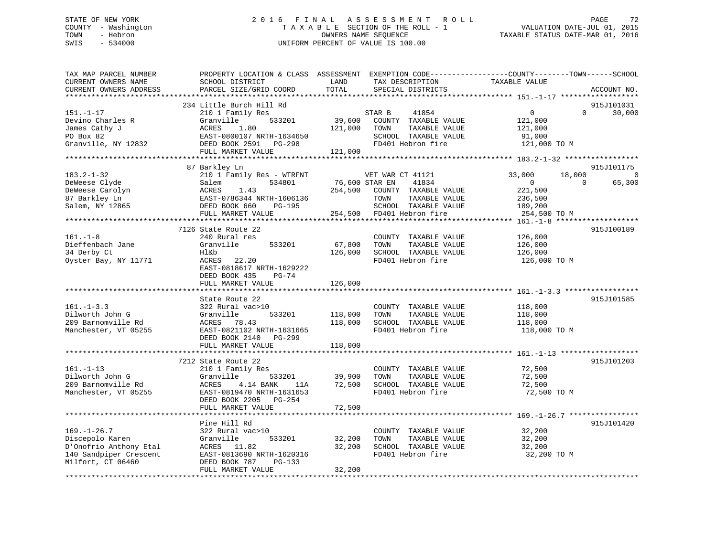# STATE OF NEW YORK 2 0 1 6 F I N A L A S S E S S M E N T R O L L PAGE 72 COUNTY - Washington T A X A B L E SECTION OF THE ROLL - 1 VALUATION DATE-JUL 01, 2015 TOWN - Hebron OWNERS NAME SEQUENCE TAXABLE STATUS DATE-MAR 01, 2016 SWIS - 534000 UNIFORM PERCENT OF VALUE IS 100.00

| TAX MAP PARCEL NUMBER<br>CURRENT OWNERS NAME<br>CURRENT OWNERS ADDRESS                                        | PROPERTY LOCATION & CLASS ASSESSMENT EXEMPTION CODE----------------COUNTY-------TOWN------SCHOOL<br>SCHOOL DISTRICT<br>PARCEL SIZE/GRID COORD                   | LAND<br>TOTAL                 | TAX DESCRIPTION<br>SPECIAL DISTRICTS                                                                                            | TAXABLE VALUE                                                                                 | ACCOUNT NO.                            |
|---------------------------------------------------------------------------------------------------------------|-----------------------------------------------------------------------------------------------------------------------------------------------------------------|-------------------------------|---------------------------------------------------------------------------------------------------------------------------------|-----------------------------------------------------------------------------------------------|----------------------------------------|
|                                                                                                               |                                                                                                                                                                 |                               |                                                                                                                                 |                                                                                               |                                        |
| $151. - 1 - 17$<br>Devino Charles R<br>James Cathy J<br>PO Box 82<br>Granville, NY 12832                      | 234 Little Burch Hill Rd<br>210 1 Family Res<br>533201<br>Granville<br>ACRES<br>1.80<br>EAST-0800107 NRTH-1634650<br>DEED BOOK 2591 PG-298<br>FULL MARKET VALUE | 39,600<br>121,000<br>121,000  | STAR B<br>41854<br>COUNTY TAXABLE VALUE<br>TOWN<br>TAXABLE VALUE<br>SCHOOL TAXABLE VALUE<br>FD401 Hebron fire                   | $\overline{0}$<br>$\Omega$<br>121,000<br>121,000<br>91,000<br>121,000 TO M                    | 915J101031<br>30,000                   |
|                                                                                                               |                                                                                                                                                                 |                               |                                                                                                                                 |                                                                                               |                                        |
| $183.2 - 1 - 32$<br>DeWeese Clyde<br>DeWeese Carolyn<br>87 Barkley Ln<br>Salem, NY 12865                      | 87 Barkley Ln<br>210 1 Family Res - WTRFNT<br>534801<br>Salem<br>1.43<br>ACRES<br>EAST-0786344 NRTH-1606136<br>DEED BOOK 660<br>PG-195<br>FULL MARKET VALUE     | 76,600 STAR EN<br>254,500     | VET WAR CT 41121<br>41834<br>COUNTY TAXABLE VALUE<br>TOWN<br>TAXABLE VALUE<br>SCHOOL TAXABLE VALUE<br>254,500 FD401 Hebron fire | 33,000<br>18,000<br>$\Omega$<br>$\mathbf{0}$<br>221,500<br>236,500<br>189,200<br>254,500 TO M | 915J101175<br>$\overline{0}$<br>65,300 |
|                                                                                                               |                                                                                                                                                                 |                               |                                                                                                                                 |                                                                                               |                                        |
| $161. - 1 - 8$<br>Dieffenbach Jane<br>34 Derby Ct<br>Oyster Bay, NY 11771                                     | 7126 State Route 22<br>240 Rural res<br>Granville<br>533201<br>Hl&b<br>ACRES 22.20<br>EAST-0818617 NRTH-1629222<br>DEED BOOK 435<br>PG-74                       | 67,800<br>126,000             | COUNTY TAXABLE VALUE<br>TOWN<br>TAXABLE VALUE<br>SCHOOL TAXABLE VALUE<br>FD401 Hebron fire                                      | 126,000<br>126,000<br>126,000<br>126,000 TO M                                                 | 915J100189                             |
|                                                                                                               | FULL MARKET VALUE                                                                                                                                               | 126,000                       |                                                                                                                                 |                                                                                               |                                        |
|                                                                                                               |                                                                                                                                                                 |                               |                                                                                                                                 |                                                                                               |                                        |
| $161. - 1 - 3.3$<br>Dilworth John G<br>209 Barnomville Rd<br>Manchester, VT 05255                             | State Route 22<br>322 Rural vac>10<br>Granville<br>533201<br>ACRES<br>78.43<br>EAST-0821102 NRTH-1631665<br>DEED BOOK 2140 PG-299<br>FULL MARKET VALUE          | 118,000<br>118,000<br>118,000 | COUNTY TAXABLE VALUE<br>TOWN<br>TAXABLE VALUE<br>SCHOOL TAXABLE VALUE<br>FD401 Hebron fire                                      | 118,000<br>118,000<br>118,000<br>118,000 TO M                                                 | 915J101585                             |
|                                                                                                               |                                                                                                                                                                 |                               |                                                                                                                                 |                                                                                               |                                        |
| $161. - 1 - 13$<br>Dilworth John G<br>209 Barnomville Rd<br>Manchester, VT 05255                              | 7212 State Route 22<br>210 1 Family Res<br>Granville<br>533201<br>ACRES<br>4.14 BANK<br>11A<br>EAST-0819470 NRTH-1631653<br>DEED BOOK 2205 PG-254               | 39,900<br>72,500              | COUNTY TAXABLE VALUE<br>TAXABLE VALUE<br>TOWN<br>SCHOOL TAXABLE VALUE<br>FD401 Hebron fire                                      | 72,500<br>72,500<br>72,500<br>72,500 TO M                                                     | 915J101203                             |
|                                                                                                               | FULL MARKET VALUE                                                                                                                                               | 72,500                        |                                                                                                                                 |                                                                                               |                                        |
| $169. - 1 - 26.7$<br>Discepolo Karen<br>D'Onofrio Anthony Etal<br>140 Sandpiper Crescent<br>Milfort, CT 06460 | Pine Hill Rd<br>322 Rural vac>10<br>Granville<br>533201<br>ACRES 11.82<br>EAST-0813690 NRTH-1620316<br>DEED BOOK 787<br>PG-133<br>FULL MARKET VALUE             | 32,200<br>32,200<br>32,200    | COUNTY TAXABLE VALUE<br>TOWN<br>TAXABLE VALUE<br>SCHOOL TAXABLE VALUE<br>FD401 Hebron fire                                      | 32,200<br>32,200<br>32,200<br>32,200 TO M                                                     | 915J101420                             |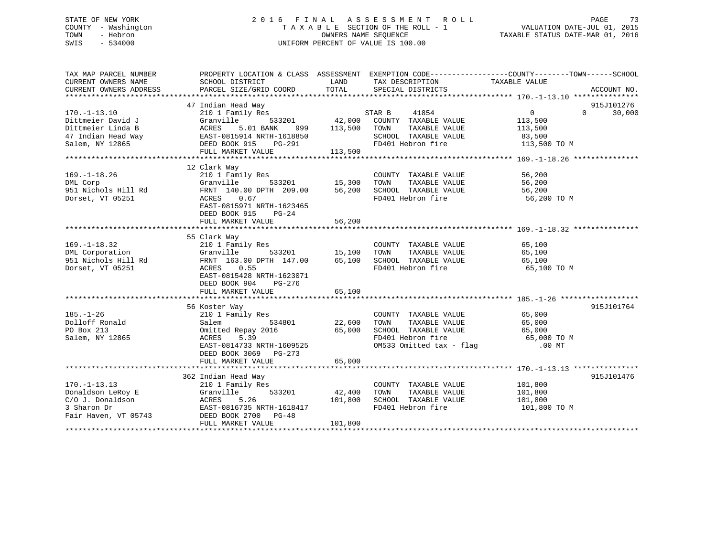# STATE OF NEW YORK 2 0 1 6 F I N A L A S S E S S M E N T R O L L PAGE 73 COUNTY - Washington T A X A B L E SECTION OF THE ROLL - 1 VALUATION DATE-JUL 01, 2015 TOWN - Hebron OWNERS NAME SEQUENCE TAXABLE STATUS DATE-MAR 01, 2016 SWIS - 534000 UNIFORM PERCENT OF VALUE IS 100.00

| TAX MAP PARCEL NUMBER<br>CURRENT OWNERS NAME<br>CURRENT OWNERS ADDRESS                                                                                                                                                          | SCHOOL DISTRICT<br>PARCEL SIZE/GRID COORD | <b>LAND</b><br>TOTAL | TAX DESCRIPTION TAXABLE VALUE SPECIAL DISTRICTS            | PROPERTY LOCATION & CLASS ASSESSMENT EXEMPTION CODE---------------COUNTY-------TOWN-----SCHOOL<br>ACCOUNT NO. |
|---------------------------------------------------------------------------------------------------------------------------------------------------------------------------------------------------------------------------------|-------------------------------------------|----------------------|------------------------------------------------------------|---------------------------------------------------------------------------------------------------------------|
|                                                                                                                                                                                                                                 |                                           |                      |                                                            |                                                                                                               |
|                                                                                                                                                                                                                                 | 47 Indian Head Way                        |                      |                                                            | 915J101276                                                                                                    |
| $170. - 1 - 13.10$                                                                                                                                                                                                              | 210 1 Family Res                          |                      |                                                            | $0 \qquad \qquad$<br>$0 \qquad \qquad$<br>30,000                                                              |
| Dittmeier David J                                                                                                                                                                                                               | Granville                                 |                      |                                                            | 113,500                                                                                                       |
|                                                                                                                                                                                                                                 |                                           | 999 113,500 TOWN     |                                                            | TAXABLE VALUE 113,500                                                                                         |
|                                                                                                                                                                                                                                 |                                           |                      |                                                            | 83,500                                                                                                        |
| Dittmeier Linda B<br>ACRES 5.01 BANK 999 113,500<br>47 Indian Head Way EAST-0815914 NRTH-1618850<br>Salem, NY 12865 DEED BOOK 915 PG-291                                                                                        |                                           |                      | SCHOOL TAXABLE VALUE<br>FD401 Hebron fire                  | 113,500 TO M                                                                                                  |
|                                                                                                                                                                                                                                 |                                           |                      |                                                            |                                                                                                               |
|                                                                                                                                                                                                                                 |                                           |                      |                                                            |                                                                                                               |
|                                                                                                                                                                                                                                 | 12 Clark Way                              |                      |                                                            |                                                                                                               |
| $169. - 1 - 18.26$                                                                                                                                                                                                              | 210 1 Family Res                          |                      |                                                            | 56,200                                                                                                        |
|                                                                                                                                                                                                                                 |                                           |                      | COUNTY TAXABLE VALUE<br>TOWN       TAXABLE  VALUE          | 56,200                                                                                                        |
|                                                                                                                                                                                                                                 |                                           |                      | SCHOOL TAXABLE VALUE                                       | 56,200                                                                                                        |
|                                                                                                                                                                                                                                 |                                           |                      | FD401 Hebron fire                                          | 56,200 TO M                                                                                                   |
|                                                                                                                                                                                                                                 | EAST-0815971 NRTH-1623465                 |                      |                                                            |                                                                                                               |
|                                                                                                                                                                                                                                 | DEED BOOK 915<br>$PG-24$                  |                      |                                                            |                                                                                                               |
|                                                                                                                                                                                                                                 | FULL MARKET VALUE                         | 56,200               |                                                            |                                                                                                               |
|                                                                                                                                                                                                                                 |                                           |                      |                                                            |                                                                                                               |
|                                                                                                                                                                                                                                 | 55 Clark Way                              |                      |                                                            |                                                                                                               |
|                                                                                                                                                                                                                                 |                                           |                      |                                                            |                                                                                                               |
|                                                                                                                                                                                                                                 |                                           |                      |                                                            |                                                                                                               |
| 169.-1-18.32<br>DML Corporation (Cranville 533201 15,100 TOWN TAXABLE VALUE 65,100 FOND SCHOOL TAXABLE VALUE 65,100 FOND SCHOOL TAXABLE VALUE 65,100 FOND SCHOOL TAXABLE VALUE 65,100 FOND SCHOOL TAXABLE VALUE 65,100 FOND SCH |                                           |                      |                                                            |                                                                                                               |
|                                                                                                                                                                                                                                 |                                           |                      | FD401 Hebron fire 65,100 TO M                              |                                                                                                               |
|                                                                                                                                                                                                                                 |                                           |                      |                                                            |                                                                                                               |
|                                                                                                                                                                                                                                 | EAST-0815428 NRTH-1623071                 |                      |                                                            |                                                                                                               |
|                                                                                                                                                                                                                                 | DEED BOOK 904<br>PG-276                   |                      |                                                            |                                                                                                               |
|                                                                                                                                                                                                                                 | FULL MARKET VALUE                         | 65,100               |                                                            |                                                                                                               |
|                                                                                                                                                                                                                                 |                                           |                      |                                                            |                                                                                                               |
|                                                                                                                                                                                                                                 | 56 Koster Way                             |                      |                                                            | 915J101764                                                                                                    |
| $185. - 1 - 26$                                                                                                                                                                                                                 | 210 1 Family Res                          |                      | COUNTY TAXABLE VALUE 65,000                                |                                                                                                               |
| Dolloff Ronald                                                                                                                                                                                                                  | Salem                                     | 534801 22,600        | TOWN<br>TAXABLE VALUE                                      | 65,000                                                                                                        |
| PO Box 213                                                                                                                                                                                                                      | Omitted Repay 2016<br>ACRES 5.39          | 65,000               | SCHOOL TAXABLE VALUE<br>FD401 Hebron fire                  | 65,000<br>65,000 то м                                                                                         |
| Salem, NY 12865                                                                                                                                                                                                                 | 5.39<br>ACRES                             |                      |                                                            |                                                                                                               |
|                                                                                                                                                                                                                                 | EAST-0814733 NRTH-1609525                 |                      | OM533 Omitted tax - flag                                   | $.00$ MT                                                                                                      |
|                                                                                                                                                                                                                                 | DEED BOOK 3069 PG-273                     |                      |                                                            |                                                                                                               |
|                                                                                                                                                                                                                                 | FULL MARKET VALUE                         | 65,000               |                                                            |                                                                                                               |
|                                                                                                                                                                                                                                 |                                           |                      |                                                            |                                                                                                               |
|                                                                                                                                                                                                                                 | 362 Indian Head Way                       |                      |                                                            | 915J101476                                                                                                    |
| $170. - 1 - 13.13$                                                                                                                                                                                                              | 210 1 Family Res                          |                      | COUNTY TAXABLE VALUE 101,800<br>TOWN TAXABLE VALUE 101,800 |                                                                                                               |
|                                                                                                                                                                                                                                 | $533201$ $42,400$                         |                      | TOWN                                                       |                                                                                                               |
|                                                                                                                                                                                                                                 | 101,800                                   |                      | SCHOOL TAXABLE VALUE 101,800                               |                                                                                                               |
|                                                                                                                                                                                                                                 |                                           |                      | FD401 Hebron fire                                          | 101,800 TO M                                                                                                  |
| 210 The S33201<br>Donaldson LeRoy E<br>C/O J. Donaldson<br>3 Sharon Dr<br>Fair Haven, VT 05743<br>PEED BOOK 2700 PG-48                                                                                                          |                                           |                      |                                                            |                                                                                                               |
|                                                                                                                                                                                                                                 | FULL MARKET VALUE                         | 101,800              |                                                            |                                                                                                               |
|                                                                                                                                                                                                                                 |                                           |                      |                                                            |                                                                                                               |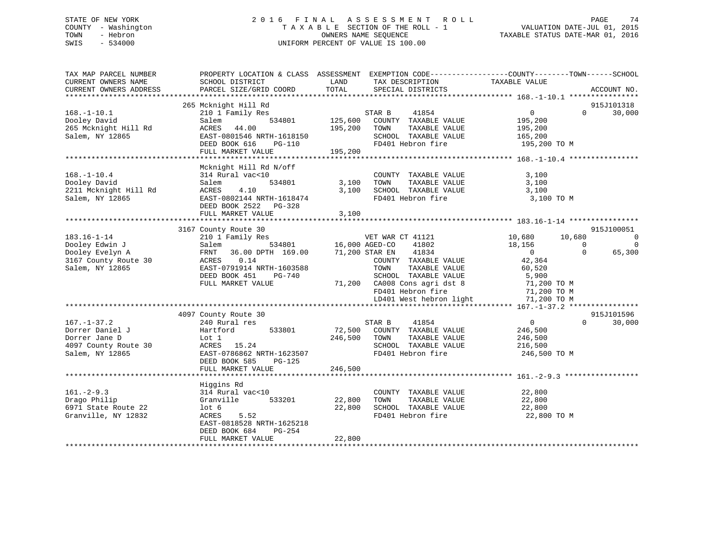# STATE OF NEW YORK 2 0 1 6 F I N A L A S S E S S M E N T R O L L PAGE 74 COUNTY - Washington T A X A B L E SECTION OF THE ROLL - 1 VALUATION DATE-JUL 01, 2015 TOWN - Hebron OWNERS NAME SEQUENCE TAXABLE STATUS DATE-MAR 01, 2016 SWIS - 534000 UNIFORM PERCENT OF VALUE IS 100.00

| TAX MAP PARCEL NUMBER<br>CURRENT OWNERS NAME<br>CURRENT OWNERS ADDRESS                                                                                                                                | PROPERTY LOCATION & CLASS ASSESSMENT<br>SCHOOL DISTRICT<br>PARCEL SIZE/GRID COORD                                                                                                                                                                                                                                                            | LAND<br>TAX DESCRIPTION<br>TOTAL<br>SPECIAL DISTRICTS                                                                                                                                                                                                                                                                                                                 | EXEMPTION CODE-----------------COUNTY-------TOWN------SCHOOL<br>TAXABLE VALUE<br>ACCOUNT NO.                                                                                                                                                                                                              |
|-------------------------------------------------------------------------------------------------------------------------------------------------------------------------------------------------------|----------------------------------------------------------------------------------------------------------------------------------------------------------------------------------------------------------------------------------------------------------------------------------------------------------------------------------------------|-----------------------------------------------------------------------------------------------------------------------------------------------------------------------------------------------------------------------------------------------------------------------------------------------------------------------------------------------------------------------|-----------------------------------------------------------------------------------------------------------------------------------------------------------------------------------------------------------------------------------------------------------------------------------------------------------|
|                                                                                                                                                                                                       |                                                                                                                                                                                                                                                                                                                                              |                                                                                                                                                                                                                                                                                                                                                                       |                                                                                                                                                                                                                                                                                                           |
|                                                                                                                                                                                                       | 265 Mcknight Hill Rd                                                                                                                                                                                                                                                                                                                         |                                                                                                                                                                                                                                                                                                                                                                       | 915J101318                                                                                                                                                                                                                                                                                                |
| $168. - 1 - 10.1$<br>Dooley David<br>265 Mcknight Hill Rd<br>Salem, NY 12865                                                                                                                          | 210 1 Family Res<br>534801<br>Salem<br>ACRES<br>44.00<br>EAST-0801546 NRTH-1618150<br>DEED BOOK 616<br><b>PG-110</b><br>FULL MARKET VALUE                                                                                                                                                                                                    | STAR B<br>41854<br>125,600<br>COUNTY TAXABLE VALUE<br>195,200<br>TOWN<br>TAXABLE VALUE<br>SCHOOL TAXABLE VALUE<br>FD401 Hebron fire<br>195,200                                                                                                                                                                                                                        | $\overline{0}$<br>$\Omega$<br>30,000<br>195,200<br>195,200<br>165,200<br>195,200 TO M                                                                                                                                                                                                                     |
|                                                                                                                                                                                                       | Mcknight Hill Rd N/off                                                                                                                                                                                                                                                                                                                       |                                                                                                                                                                                                                                                                                                                                                                       |                                                                                                                                                                                                                                                                                                           |
| $168. - 1 - 10.4$<br>Dooley David<br>2211 Mcknight Hill Rd<br>Salem, NY 12865                                                                                                                         | 314 Rural vac<10<br>534801<br>Salem<br>4.10<br>ACRES<br>EAST-0802144 NRTH-1618474<br>DEED BOOK 2522 PG-328<br>FULL MARKET VALUE                                                                                                                                                                                                              | COUNTY TAXABLE VALUE<br>3,100<br>TAXABLE VALUE<br>TOWN<br>3,100<br>SCHOOL TAXABLE VALUE<br>FD401 Hebron fire<br>3,100                                                                                                                                                                                                                                                 | 3,100<br>3,100<br>3,100<br>3,100 TO M                                                                                                                                                                                                                                                                     |
|                                                                                                                                                                                                       |                                                                                                                                                                                                                                                                                                                                              |                                                                                                                                                                                                                                                                                                                                                                       |                                                                                                                                                                                                                                                                                                           |
| $183.16 - 1 - 14$<br>Dooley Edwin J<br>Dooley Evelyn A<br>3167 County Route 30<br>Salem, NY 12865<br>$167. - 1 - 37.2$<br>Dorrer Daniel J<br>Dorrer Jane D<br>4097 County Route 30<br>Salem, NY 12865 | 3167 County Route 30<br>210 1 Family Res<br>Salem<br>534801<br>FRNT<br>36.00 DPTH 169.00<br>0.14<br>ACRES<br>EAST-0791914 NRTH-1603588<br>DEED BOOK 451<br>$PG-740$<br>FULL MARKET VALUE<br>4097 County Route 30<br>240 Rural res<br>Hartford<br>533801<br>Lot 1<br>15.24<br>ACRES<br>EAST-0786862 NRTH-1623507<br>DEED BOOK 585<br>$PG-125$ | VET WAR CT 41121<br>41802<br>16,000 AGED-CO<br>71,200 STAR EN<br>41834<br>COUNTY TAXABLE VALUE<br>TOWN<br>TAXABLE VALUE<br>SCHOOL TAXABLE VALUE<br>71,200 CA008 Cons agri dst 8<br>FD401 Hebron fire<br>LD401 West hebron light<br>STAR B<br>41854<br>72,500<br>COUNTY TAXABLE VALUE<br>246,500<br>TOWN<br>TAXABLE VALUE<br>SCHOOL TAXABLE VALUE<br>FD401 Hebron fire | 915J100051<br>10,680<br>10,680<br>$\mathbf 0$<br>$\Omega$<br>18,156<br>$\mathbf 0$<br>$\Omega$<br>65,300<br>$\overline{0}$<br>42,364<br>60,520<br>5,900<br>71,200 TO M<br>71,200 TO M<br>71,200 TO M<br>915J101596<br>$\mathbf{0}$<br>$\Omega$<br>30,000<br>246,500<br>246,500<br>216,500<br>246,500 TO M |
|                                                                                                                                                                                                       | FULL MARKET VALUE                                                                                                                                                                                                                                                                                                                            | 246,500                                                                                                                                                                                                                                                                                                                                                               |                                                                                                                                                                                                                                                                                                           |
| $161 - 2 - 9.3$<br>Drago Philip<br>6971 State Route 22<br>Granville, NY 12832                                                                                                                         | Higgins Rd<br>314 Rural vac<10<br>Granville<br>533201<br>$1$ ot 6<br>ACRES<br>5.52<br>EAST-0818528 NRTH-1625218<br>DEED BOOK 684<br>PG-254<br>FULL MARKET VALUE<br>**************************************                                                                                                                                    | COUNTY TAXABLE VALUE<br>22,800<br>TOWN<br>TAXABLE VALUE<br>22,800<br>SCHOOL TAXABLE VALUE<br>FD401 Hebron fire<br>22,800                                                                                                                                                                                                                                              | 22,800<br>22,800<br>22,800<br>22,800 TO M                                                                                                                                                                                                                                                                 |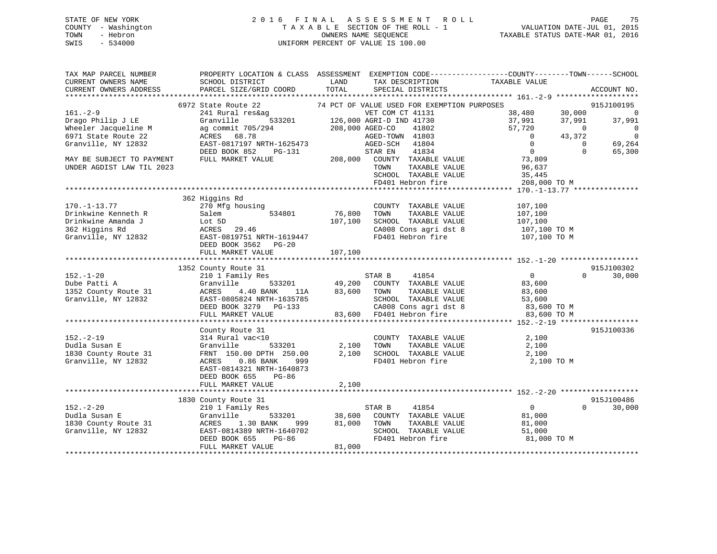# STATE OF NEW YORK 2 0 1 6 F I N A L A S S E S S M E N T R O L L PAGE 75 COUNTY - Washington T A X A B L E SECTION OF THE ROLL - 1 VALUATION DATE-JUL 01, 2015 TOWN - Hebron OWNERS NAME SEQUENCE TAXABLE STATUS DATE-MAR 01, 2016 SWIS - 534000 UNIFORM PERCENT OF VALUE IS 100.00

| 6972 State Route 22<br>915J100195<br>74 PCT OF VALUE USED FOR EXEMPTION PURPOSES<br>VET COM CT 41131<br>38,480<br>$\overline{0}$<br>241 Rural res&ag<br>30,000<br>533201<br>126,000 AGRI-D IND 41730<br>37,991<br>37,991<br>Granville<br>37,991<br>ag commit 705/294<br>208,000 AGED-CO<br>41802<br>57,720<br>$\Omega$<br>0<br>$\Omega$<br>ACRES 68.78<br>AGED-TOWN 41803<br>43,372<br>$\Omega$<br>$\Omega$<br>EAST-0817197 NRTH-1625473<br>AGED-SCH 41804<br>$\mathbf 0$<br>69,264<br>$\Omega$<br>41834<br>$\Omega$<br>65,300<br>DEED BOOK 852<br>PG-131<br>STAR EN<br>73,809<br>FULL MARKET VALUE<br>208,000<br>COUNTY TAXABLE VALUE<br>UNDER AGDIST LAW TIL 2023<br>TOWN<br>TAXABLE VALUE<br>96,637<br>SCHOOL TAXABLE VALUE<br>35,445<br>FD401 Hebron fire<br>208,000 TO M<br>362 Higgins Rd<br>$170. - 1 - 13.77$<br>270 Mfg housing<br>COUNTY TAXABLE VALUE<br>107,100<br>76,800<br>Drinkwine Kenneth R<br>534801<br>TOWN<br>TAXABLE VALUE<br>107,100<br>Salem<br>Drinkwine Amanda J<br>107,100<br>SCHOOL TAXABLE VALUE<br>107,100<br>Lot 5D<br>362 Higgins Rd<br>CA008 Cons agri dst 8<br>ACRES<br>29.46<br>107,100 TO M<br>Granville, NY 12832<br>EAST-0819751 NRTH-1619447<br>FD401 Hebron fire<br>107,100 TO M<br>DEED BOOK 3562<br>PG-20<br>107,100<br>FULL MARKET VALUE<br>915J100302<br>1352 County Route 31<br>$152. - 1 - 20$<br>$\overline{0}$<br>30,000<br>210 1 Family Res<br>STAR B<br>41854<br>$\Omega$<br>Dube Patti A<br>Granville<br>533201<br>49,200<br>COUNTY TAXABLE VALUE<br>83,600<br>1352 County Route 31<br>ACRES<br>4.40 BANK<br>83,600<br>TOWN<br>TAXABLE VALUE<br>83,600<br>11A<br>Granville, NY 12832<br>EAST-0805824 NRTH-1635785<br>SCHOOL TAXABLE VALUE<br>53,600<br>DEED BOOK 3279 PG-133<br>CA008 Cons agri dst 8<br>83,600 TO M<br>FULL MARKET VALUE<br>83,600<br>FD401 Hebron fire<br>83,600 TO M<br>915J100336<br>County Route 31<br>$152 - 2 - 19$<br>314 Rural vac<10<br>COUNTY TAXABLE VALUE<br>2,100<br>Dudla Susan E<br>Granville<br>533201<br>2,100<br>TOWN<br>TAXABLE VALUE<br>2,100<br>1830 County Route 31<br>FRNT 150.00 DPTH 250.00<br>2,100<br>SCHOOL TAXABLE VALUE<br>2,100<br>Granville, NY 12832<br>$0.86$ BANK<br>FD401 Hebron fire<br>2,100 TO M<br>ACRES<br>999<br>EAST-0814321 NRTH-1640873<br>DEED BOOK 655<br>PG-86<br>FULL MARKET VALUE<br>2,100<br>1830 County Route 31<br>915J100486<br>210 1 Family Res<br>41854<br>$\mathbf{0}$<br>30,000<br>STAR B<br>$\cap$<br>Granville<br>38,600<br>COUNTY TAXABLE VALUE<br>81,000<br>533201<br>ACRES<br>1.30 BANK<br>TAXABLE VALUE<br>999<br>81,000<br>TOWN<br>81,000<br>SCHOOL TAXABLE VALUE<br>EAST-0814389 NRTH-1640702<br>51,000<br>FD401 Hebron fire<br>DEED BOOK 655<br>$PG-86$<br>81,000 TO M<br>FULL MARKET VALUE<br>81,000 | TAX MAP PARCEL NUMBER<br>CURRENT OWNERS NAME<br>CURRENT OWNERS ADDRESS | PROPERTY LOCATION & CLASS ASSESSMENT EXEMPTION CODE----------------COUNTY-------TOWN------SCHOOL<br>SCHOOL DISTRICT<br>PARCEL SIZE/GRID COORD | LAND<br>TOTAL | TAX DESCRIPTION<br>SPECIAL DISTRICTS | TAXABLE VALUE | ACCOUNT NO. |
|---------------------------------------------------------------------------------------------------------------------------------------------------------------------------------------------------------------------------------------------------------------------------------------------------------------------------------------------------------------------------------------------------------------------------------------------------------------------------------------------------------------------------------------------------------------------------------------------------------------------------------------------------------------------------------------------------------------------------------------------------------------------------------------------------------------------------------------------------------------------------------------------------------------------------------------------------------------------------------------------------------------------------------------------------------------------------------------------------------------------------------------------------------------------------------------------------------------------------------------------------------------------------------------------------------------------------------------------------------------------------------------------------------------------------------------------------------------------------------------------------------------------------------------------------------------------------------------------------------------------------------------------------------------------------------------------------------------------------------------------------------------------------------------------------------------------------------------------------------------------------------------------------------------------------------------------------------------------------------------------------------------------------------------------------------------------------------------------------------------------------------------------------------------------------------------------------------------------------------------------------------------------------------------------------------------------------------------------------------------------------------------------------------------------------------------------------------------------------------------------------------------------------------------------------------------------------------------------------------------------------------------------------------------------------------------------------------------------------------------------|------------------------------------------------------------------------|-----------------------------------------------------------------------------------------------------------------------------------------------|---------------|--------------------------------------|---------------|-------------|
|                                                                                                                                                                                                                                                                                                                                                                                                                                                                                                                                                                                                                                                                                                                                                                                                                                                                                                                                                                                                                                                                                                                                                                                                                                                                                                                                                                                                                                                                                                                                                                                                                                                                                                                                                                                                                                                                                                                                                                                                                                                                                                                                                                                                                                                                                                                                                                                                                                                                                                                                                                                                                                                                                                                                             |                                                                        |                                                                                                                                               |               |                                      |               |             |
|                                                                                                                                                                                                                                                                                                                                                                                                                                                                                                                                                                                                                                                                                                                                                                                                                                                                                                                                                                                                                                                                                                                                                                                                                                                                                                                                                                                                                                                                                                                                                                                                                                                                                                                                                                                                                                                                                                                                                                                                                                                                                                                                                                                                                                                                                                                                                                                                                                                                                                                                                                                                                                                                                                                                             |                                                                        |                                                                                                                                               |               |                                      |               |             |
|                                                                                                                                                                                                                                                                                                                                                                                                                                                                                                                                                                                                                                                                                                                                                                                                                                                                                                                                                                                                                                                                                                                                                                                                                                                                                                                                                                                                                                                                                                                                                                                                                                                                                                                                                                                                                                                                                                                                                                                                                                                                                                                                                                                                                                                                                                                                                                                                                                                                                                                                                                                                                                                                                                                                             | $161 - 2 - 9$                                                          |                                                                                                                                               |               |                                      |               |             |
|                                                                                                                                                                                                                                                                                                                                                                                                                                                                                                                                                                                                                                                                                                                                                                                                                                                                                                                                                                                                                                                                                                                                                                                                                                                                                                                                                                                                                                                                                                                                                                                                                                                                                                                                                                                                                                                                                                                                                                                                                                                                                                                                                                                                                                                                                                                                                                                                                                                                                                                                                                                                                                                                                                                                             | Drago Philip J LE                                                      |                                                                                                                                               |               |                                      |               |             |
|                                                                                                                                                                                                                                                                                                                                                                                                                                                                                                                                                                                                                                                                                                                                                                                                                                                                                                                                                                                                                                                                                                                                                                                                                                                                                                                                                                                                                                                                                                                                                                                                                                                                                                                                                                                                                                                                                                                                                                                                                                                                                                                                                                                                                                                                                                                                                                                                                                                                                                                                                                                                                                                                                                                                             | Wheeler Jacqueline M                                                   |                                                                                                                                               |               |                                      |               |             |
|                                                                                                                                                                                                                                                                                                                                                                                                                                                                                                                                                                                                                                                                                                                                                                                                                                                                                                                                                                                                                                                                                                                                                                                                                                                                                                                                                                                                                                                                                                                                                                                                                                                                                                                                                                                                                                                                                                                                                                                                                                                                                                                                                                                                                                                                                                                                                                                                                                                                                                                                                                                                                                                                                                                                             | 6971 State Route 22                                                    |                                                                                                                                               |               |                                      |               |             |
|                                                                                                                                                                                                                                                                                                                                                                                                                                                                                                                                                                                                                                                                                                                                                                                                                                                                                                                                                                                                                                                                                                                                                                                                                                                                                                                                                                                                                                                                                                                                                                                                                                                                                                                                                                                                                                                                                                                                                                                                                                                                                                                                                                                                                                                                                                                                                                                                                                                                                                                                                                                                                                                                                                                                             | Granville, NY 12832                                                    |                                                                                                                                               |               |                                      |               |             |
|                                                                                                                                                                                                                                                                                                                                                                                                                                                                                                                                                                                                                                                                                                                                                                                                                                                                                                                                                                                                                                                                                                                                                                                                                                                                                                                                                                                                                                                                                                                                                                                                                                                                                                                                                                                                                                                                                                                                                                                                                                                                                                                                                                                                                                                                                                                                                                                                                                                                                                                                                                                                                                                                                                                                             |                                                                        |                                                                                                                                               |               |                                      |               |             |
|                                                                                                                                                                                                                                                                                                                                                                                                                                                                                                                                                                                                                                                                                                                                                                                                                                                                                                                                                                                                                                                                                                                                                                                                                                                                                                                                                                                                                                                                                                                                                                                                                                                                                                                                                                                                                                                                                                                                                                                                                                                                                                                                                                                                                                                                                                                                                                                                                                                                                                                                                                                                                                                                                                                                             | MAY BE SUBJECT TO PAYMENT                                              |                                                                                                                                               |               |                                      |               |             |
|                                                                                                                                                                                                                                                                                                                                                                                                                                                                                                                                                                                                                                                                                                                                                                                                                                                                                                                                                                                                                                                                                                                                                                                                                                                                                                                                                                                                                                                                                                                                                                                                                                                                                                                                                                                                                                                                                                                                                                                                                                                                                                                                                                                                                                                                                                                                                                                                                                                                                                                                                                                                                                                                                                                                             |                                                                        |                                                                                                                                               |               |                                      |               |             |
|                                                                                                                                                                                                                                                                                                                                                                                                                                                                                                                                                                                                                                                                                                                                                                                                                                                                                                                                                                                                                                                                                                                                                                                                                                                                                                                                                                                                                                                                                                                                                                                                                                                                                                                                                                                                                                                                                                                                                                                                                                                                                                                                                                                                                                                                                                                                                                                                                                                                                                                                                                                                                                                                                                                                             |                                                                        |                                                                                                                                               |               |                                      |               |             |
|                                                                                                                                                                                                                                                                                                                                                                                                                                                                                                                                                                                                                                                                                                                                                                                                                                                                                                                                                                                                                                                                                                                                                                                                                                                                                                                                                                                                                                                                                                                                                                                                                                                                                                                                                                                                                                                                                                                                                                                                                                                                                                                                                                                                                                                                                                                                                                                                                                                                                                                                                                                                                                                                                                                                             |                                                                        |                                                                                                                                               |               |                                      |               |             |
|                                                                                                                                                                                                                                                                                                                                                                                                                                                                                                                                                                                                                                                                                                                                                                                                                                                                                                                                                                                                                                                                                                                                                                                                                                                                                                                                                                                                                                                                                                                                                                                                                                                                                                                                                                                                                                                                                                                                                                                                                                                                                                                                                                                                                                                                                                                                                                                                                                                                                                                                                                                                                                                                                                                                             |                                                                        |                                                                                                                                               |               |                                      |               |             |
|                                                                                                                                                                                                                                                                                                                                                                                                                                                                                                                                                                                                                                                                                                                                                                                                                                                                                                                                                                                                                                                                                                                                                                                                                                                                                                                                                                                                                                                                                                                                                                                                                                                                                                                                                                                                                                                                                                                                                                                                                                                                                                                                                                                                                                                                                                                                                                                                                                                                                                                                                                                                                                                                                                                                             |                                                                        |                                                                                                                                               |               |                                      |               |             |
|                                                                                                                                                                                                                                                                                                                                                                                                                                                                                                                                                                                                                                                                                                                                                                                                                                                                                                                                                                                                                                                                                                                                                                                                                                                                                                                                                                                                                                                                                                                                                                                                                                                                                                                                                                                                                                                                                                                                                                                                                                                                                                                                                                                                                                                                                                                                                                                                                                                                                                                                                                                                                                                                                                                                             |                                                                        |                                                                                                                                               |               |                                      |               |             |
|                                                                                                                                                                                                                                                                                                                                                                                                                                                                                                                                                                                                                                                                                                                                                                                                                                                                                                                                                                                                                                                                                                                                                                                                                                                                                                                                                                                                                                                                                                                                                                                                                                                                                                                                                                                                                                                                                                                                                                                                                                                                                                                                                                                                                                                                                                                                                                                                                                                                                                                                                                                                                                                                                                                                             |                                                                        |                                                                                                                                               |               |                                      |               |             |
|                                                                                                                                                                                                                                                                                                                                                                                                                                                                                                                                                                                                                                                                                                                                                                                                                                                                                                                                                                                                                                                                                                                                                                                                                                                                                                                                                                                                                                                                                                                                                                                                                                                                                                                                                                                                                                                                                                                                                                                                                                                                                                                                                                                                                                                                                                                                                                                                                                                                                                                                                                                                                                                                                                                                             |                                                                        |                                                                                                                                               |               |                                      |               |             |
|                                                                                                                                                                                                                                                                                                                                                                                                                                                                                                                                                                                                                                                                                                                                                                                                                                                                                                                                                                                                                                                                                                                                                                                                                                                                                                                                                                                                                                                                                                                                                                                                                                                                                                                                                                                                                                                                                                                                                                                                                                                                                                                                                                                                                                                                                                                                                                                                                                                                                                                                                                                                                                                                                                                                             |                                                                        |                                                                                                                                               |               |                                      |               |             |
|                                                                                                                                                                                                                                                                                                                                                                                                                                                                                                                                                                                                                                                                                                                                                                                                                                                                                                                                                                                                                                                                                                                                                                                                                                                                                                                                                                                                                                                                                                                                                                                                                                                                                                                                                                                                                                                                                                                                                                                                                                                                                                                                                                                                                                                                                                                                                                                                                                                                                                                                                                                                                                                                                                                                             |                                                                        |                                                                                                                                               |               |                                      |               |             |
|                                                                                                                                                                                                                                                                                                                                                                                                                                                                                                                                                                                                                                                                                                                                                                                                                                                                                                                                                                                                                                                                                                                                                                                                                                                                                                                                                                                                                                                                                                                                                                                                                                                                                                                                                                                                                                                                                                                                                                                                                                                                                                                                                                                                                                                                                                                                                                                                                                                                                                                                                                                                                                                                                                                                             |                                                                        |                                                                                                                                               |               |                                      |               |             |
|                                                                                                                                                                                                                                                                                                                                                                                                                                                                                                                                                                                                                                                                                                                                                                                                                                                                                                                                                                                                                                                                                                                                                                                                                                                                                                                                                                                                                                                                                                                                                                                                                                                                                                                                                                                                                                                                                                                                                                                                                                                                                                                                                                                                                                                                                                                                                                                                                                                                                                                                                                                                                                                                                                                                             |                                                                        |                                                                                                                                               |               |                                      |               |             |
|                                                                                                                                                                                                                                                                                                                                                                                                                                                                                                                                                                                                                                                                                                                                                                                                                                                                                                                                                                                                                                                                                                                                                                                                                                                                                                                                                                                                                                                                                                                                                                                                                                                                                                                                                                                                                                                                                                                                                                                                                                                                                                                                                                                                                                                                                                                                                                                                                                                                                                                                                                                                                                                                                                                                             |                                                                        |                                                                                                                                               |               |                                      |               |             |
|                                                                                                                                                                                                                                                                                                                                                                                                                                                                                                                                                                                                                                                                                                                                                                                                                                                                                                                                                                                                                                                                                                                                                                                                                                                                                                                                                                                                                                                                                                                                                                                                                                                                                                                                                                                                                                                                                                                                                                                                                                                                                                                                                                                                                                                                                                                                                                                                                                                                                                                                                                                                                                                                                                                                             |                                                                        |                                                                                                                                               |               |                                      |               |             |
|                                                                                                                                                                                                                                                                                                                                                                                                                                                                                                                                                                                                                                                                                                                                                                                                                                                                                                                                                                                                                                                                                                                                                                                                                                                                                                                                                                                                                                                                                                                                                                                                                                                                                                                                                                                                                                                                                                                                                                                                                                                                                                                                                                                                                                                                                                                                                                                                                                                                                                                                                                                                                                                                                                                                             |                                                                        |                                                                                                                                               |               |                                      |               |             |
|                                                                                                                                                                                                                                                                                                                                                                                                                                                                                                                                                                                                                                                                                                                                                                                                                                                                                                                                                                                                                                                                                                                                                                                                                                                                                                                                                                                                                                                                                                                                                                                                                                                                                                                                                                                                                                                                                                                                                                                                                                                                                                                                                                                                                                                                                                                                                                                                                                                                                                                                                                                                                                                                                                                                             |                                                                        |                                                                                                                                               |               |                                      |               |             |
|                                                                                                                                                                                                                                                                                                                                                                                                                                                                                                                                                                                                                                                                                                                                                                                                                                                                                                                                                                                                                                                                                                                                                                                                                                                                                                                                                                                                                                                                                                                                                                                                                                                                                                                                                                                                                                                                                                                                                                                                                                                                                                                                                                                                                                                                                                                                                                                                                                                                                                                                                                                                                                                                                                                                             |                                                                        |                                                                                                                                               |               |                                      |               |             |
|                                                                                                                                                                                                                                                                                                                                                                                                                                                                                                                                                                                                                                                                                                                                                                                                                                                                                                                                                                                                                                                                                                                                                                                                                                                                                                                                                                                                                                                                                                                                                                                                                                                                                                                                                                                                                                                                                                                                                                                                                                                                                                                                                                                                                                                                                                                                                                                                                                                                                                                                                                                                                                                                                                                                             |                                                                        |                                                                                                                                               |               |                                      |               |             |
|                                                                                                                                                                                                                                                                                                                                                                                                                                                                                                                                                                                                                                                                                                                                                                                                                                                                                                                                                                                                                                                                                                                                                                                                                                                                                                                                                                                                                                                                                                                                                                                                                                                                                                                                                                                                                                                                                                                                                                                                                                                                                                                                                                                                                                                                                                                                                                                                                                                                                                                                                                                                                                                                                                                                             |                                                                        |                                                                                                                                               |               |                                      |               |             |
|                                                                                                                                                                                                                                                                                                                                                                                                                                                                                                                                                                                                                                                                                                                                                                                                                                                                                                                                                                                                                                                                                                                                                                                                                                                                                                                                                                                                                                                                                                                                                                                                                                                                                                                                                                                                                                                                                                                                                                                                                                                                                                                                                                                                                                                                                                                                                                                                                                                                                                                                                                                                                                                                                                                                             |                                                                        |                                                                                                                                               |               |                                      |               |             |
|                                                                                                                                                                                                                                                                                                                                                                                                                                                                                                                                                                                                                                                                                                                                                                                                                                                                                                                                                                                                                                                                                                                                                                                                                                                                                                                                                                                                                                                                                                                                                                                                                                                                                                                                                                                                                                                                                                                                                                                                                                                                                                                                                                                                                                                                                                                                                                                                                                                                                                                                                                                                                                                                                                                                             |                                                                        |                                                                                                                                               |               |                                      |               |             |
|                                                                                                                                                                                                                                                                                                                                                                                                                                                                                                                                                                                                                                                                                                                                                                                                                                                                                                                                                                                                                                                                                                                                                                                                                                                                                                                                                                                                                                                                                                                                                                                                                                                                                                                                                                                                                                                                                                                                                                                                                                                                                                                                                                                                                                                                                                                                                                                                                                                                                                                                                                                                                                                                                                                                             |                                                                        |                                                                                                                                               |               |                                      |               |             |
|                                                                                                                                                                                                                                                                                                                                                                                                                                                                                                                                                                                                                                                                                                                                                                                                                                                                                                                                                                                                                                                                                                                                                                                                                                                                                                                                                                                                                                                                                                                                                                                                                                                                                                                                                                                                                                                                                                                                                                                                                                                                                                                                                                                                                                                                                                                                                                                                                                                                                                                                                                                                                                                                                                                                             |                                                                        |                                                                                                                                               |               |                                      |               |             |
|                                                                                                                                                                                                                                                                                                                                                                                                                                                                                                                                                                                                                                                                                                                                                                                                                                                                                                                                                                                                                                                                                                                                                                                                                                                                                                                                                                                                                                                                                                                                                                                                                                                                                                                                                                                                                                                                                                                                                                                                                                                                                                                                                                                                                                                                                                                                                                                                                                                                                                                                                                                                                                                                                                                                             |                                                                        |                                                                                                                                               |               |                                      |               |             |
|                                                                                                                                                                                                                                                                                                                                                                                                                                                                                                                                                                                                                                                                                                                                                                                                                                                                                                                                                                                                                                                                                                                                                                                                                                                                                                                                                                                                                                                                                                                                                                                                                                                                                                                                                                                                                                                                                                                                                                                                                                                                                                                                                                                                                                                                                                                                                                                                                                                                                                                                                                                                                                                                                                                                             |                                                                        |                                                                                                                                               |               |                                      |               |             |
|                                                                                                                                                                                                                                                                                                                                                                                                                                                                                                                                                                                                                                                                                                                                                                                                                                                                                                                                                                                                                                                                                                                                                                                                                                                                                                                                                                                                                                                                                                                                                                                                                                                                                                                                                                                                                                                                                                                                                                                                                                                                                                                                                                                                                                                                                                                                                                                                                                                                                                                                                                                                                                                                                                                                             |                                                                        |                                                                                                                                               |               |                                      |               |             |
|                                                                                                                                                                                                                                                                                                                                                                                                                                                                                                                                                                                                                                                                                                                                                                                                                                                                                                                                                                                                                                                                                                                                                                                                                                                                                                                                                                                                                                                                                                                                                                                                                                                                                                                                                                                                                                                                                                                                                                                                                                                                                                                                                                                                                                                                                                                                                                                                                                                                                                                                                                                                                                                                                                                                             |                                                                        |                                                                                                                                               |               |                                      |               |             |
|                                                                                                                                                                                                                                                                                                                                                                                                                                                                                                                                                                                                                                                                                                                                                                                                                                                                                                                                                                                                                                                                                                                                                                                                                                                                                                                                                                                                                                                                                                                                                                                                                                                                                                                                                                                                                                                                                                                                                                                                                                                                                                                                                                                                                                                                                                                                                                                                                                                                                                                                                                                                                                                                                                                                             |                                                                        |                                                                                                                                               |               |                                      |               |             |
|                                                                                                                                                                                                                                                                                                                                                                                                                                                                                                                                                                                                                                                                                                                                                                                                                                                                                                                                                                                                                                                                                                                                                                                                                                                                                                                                                                                                                                                                                                                                                                                                                                                                                                                                                                                                                                                                                                                                                                                                                                                                                                                                                                                                                                                                                                                                                                                                                                                                                                                                                                                                                                                                                                                                             |                                                                        |                                                                                                                                               |               |                                      |               |             |
|                                                                                                                                                                                                                                                                                                                                                                                                                                                                                                                                                                                                                                                                                                                                                                                                                                                                                                                                                                                                                                                                                                                                                                                                                                                                                                                                                                                                                                                                                                                                                                                                                                                                                                                                                                                                                                                                                                                                                                                                                                                                                                                                                                                                                                                                                                                                                                                                                                                                                                                                                                                                                                                                                                                                             |                                                                        |                                                                                                                                               |               |                                      |               |             |
|                                                                                                                                                                                                                                                                                                                                                                                                                                                                                                                                                                                                                                                                                                                                                                                                                                                                                                                                                                                                                                                                                                                                                                                                                                                                                                                                                                                                                                                                                                                                                                                                                                                                                                                                                                                                                                                                                                                                                                                                                                                                                                                                                                                                                                                                                                                                                                                                                                                                                                                                                                                                                                                                                                                                             | $152 - 2 - 20$                                                         |                                                                                                                                               |               |                                      |               |             |
|                                                                                                                                                                                                                                                                                                                                                                                                                                                                                                                                                                                                                                                                                                                                                                                                                                                                                                                                                                                                                                                                                                                                                                                                                                                                                                                                                                                                                                                                                                                                                                                                                                                                                                                                                                                                                                                                                                                                                                                                                                                                                                                                                                                                                                                                                                                                                                                                                                                                                                                                                                                                                                                                                                                                             | Dudla Susan E                                                          |                                                                                                                                               |               |                                      |               |             |
|                                                                                                                                                                                                                                                                                                                                                                                                                                                                                                                                                                                                                                                                                                                                                                                                                                                                                                                                                                                                                                                                                                                                                                                                                                                                                                                                                                                                                                                                                                                                                                                                                                                                                                                                                                                                                                                                                                                                                                                                                                                                                                                                                                                                                                                                                                                                                                                                                                                                                                                                                                                                                                                                                                                                             | 1830 County Route 31                                                   |                                                                                                                                               |               |                                      |               |             |
|                                                                                                                                                                                                                                                                                                                                                                                                                                                                                                                                                                                                                                                                                                                                                                                                                                                                                                                                                                                                                                                                                                                                                                                                                                                                                                                                                                                                                                                                                                                                                                                                                                                                                                                                                                                                                                                                                                                                                                                                                                                                                                                                                                                                                                                                                                                                                                                                                                                                                                                                                                                                                                                                                                                                             | Granville, NY 12832                                                    |                                                                                                                                               |               |                                      |               |             |
|                                                                                                                                                                                                                                                                                                                                                                                                                                                                                                                                                                                                                                                                                                                                                                                                                                                                                                                                                                                                                                                                                                                                                                                                                                                                                                                                                                                                                                                                                                                                                                                                                                                                                                                                                                                                                                                                                                                                                                                                                                                                                                                                                                                                                                                                                                                                                                                                                                                                                                                                                                                                                                                                                                                                             |                                                                        |                                                                                                                                               |               |                                      |               |             |
|                                                                                                                                                                                                                                                                                                                                                                                                                                                                                                                                                                                                                                                                                                                                                                                                                                                                                                                                                                                                                                                                                                                                                                                                                                                                                                                                                                                                                                                                                                                                                                                                                                                                                                                                                                                                                                                                                                                                                                                                                                                                                                                                                                                                                                                                                                                                                                                                                                                                                                                                                                                                                                                                                                                                             |                                                                        |                                                                                                                                               |               |                                      |               |             |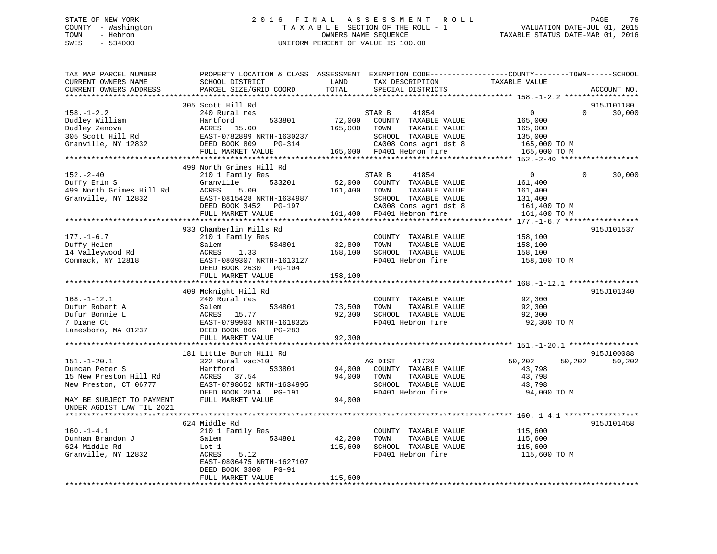# STATE OF NEW YORK 2 0 1 6 F I N A L A S S E S S M E N T R O L L PAGE 76 COUNTY - Washington T A X A B L E SECTION OF THE ROLL - 1 VALUATION DATE-JUL 01, 2015 TOWN - Hebron OWNERS NAME SEQUENCE TAXABLE STATUS DATE-MAR 01, 2016 SWIS - 534000 UNIFORM PERCENT OF VALUE IS 100.00

| TAX MAP PARCEL NUMBER<br>CURRENT OWNERS NAME<br>CURRENT OWNERS ADDRESS                                              | PROPERTY LOCATION & CLASS ASSESSMENT<br>SCHOOL DISTRICT<br>PARCEL SIZE/GRID COORD                                                                             | LAND<br>TOTAL                | TAX DESCRIPTION<br>SPECIAL DISTRICTS                                                                                                   | EXEMPTION CODE-----------------COUNTY-------TOWN------SCHOOL<br>TAXABLE VALUE               | ACCOUNT NO.          |
|---------------------------------------------------------------------------------------------------------------------|---------------------------------------------------------------------------------------------------------------------------------------------------------------|------------------------------|----------------------------------------------------------------------------------------------------------------------------------------|---------------------------------------------------------------------------------------------|----------------------|
|                                                                                                                     | ******************                                                                                                                                            | ********                     |                                                                                                                                        |                                                                                             |                      |
| $158. - 1 - 2.2$<br>Dudley William<br>Dudley Zenova<br>305 Scott Hill Rd<br>Granville, NY 12832                     | 305 Scott Hill Rd<br>240 Rural res<br>Hartford<br>533801<br>ACRES<br>15.00<br>EAST-0782899 NRTH-1630237<br>DEED BOOK 809<br>PG-314<br>FULL MARKET VALUE       | 72,000<br>165,000<br>165,000 | STAR B<br>41854<br>COUNTY TAXABLE VALUE<br>TOWN<br>TAXABLE VALUE<br>SCHOOL TAXABLE VALUE<br>CA008 Cons agri dst 8<br>FD401 Hebron fire | $\overline{0}$<br>$\Omega$<br>165,000<br>165,000<br>135,000<br>165,000 TO M<br>165,000 TO M | 915J101180<br>30,000 |
|                                                                                                                     | 499 North Grimes Hill Rd                                                                                                                                      |                              |                                                                                                                                        |                                                                                             |                      |
| $152 - 2 - 40$<br>Duffy Erin S<br>499 North Grimes Hill Rd<br>Granville, NY 12832                                   | 210 1 Family Res<br>Granville<br>533201<br>ACRES<br>5.00<br>EAST-0815428 NRTH-1634987<br>DEED BOOK 3452 PG-197<br>FULL MARKET VALUE                           | 52,000<br>161,400<br>161,400 | STAR B<br>41854<br>COUNTY TAXABLE VALUE<br>TAXABLE VALUE<br>TOWN<br>SCHOOL TAXABLE VALUE<br>CA008 Cons agri dst 8<br>FD401 Hebron fire | $\overline{0}$<br>$\Omega$<br>161,400<br>161,400<br>131,400<br>161,400 TO M<br>161,400 TO M | 30,000               |
|                                                                                                                     |                                                                                                                                                               |                              |                                                                                                                                        |                                                                                             |                      |
| $177. - 1 - 6.7$<br>Duffy Helen<br>14 Valleywood Rd<br>Commack, NY 12818                                            | 933 Chamberlin Mills Rd<br>210 1 Family Res<br>534801<br>Salem<br>ACRES<br>1.33<br>EAST-0809307 NRTH-1613127<br>DEED BOOK 2630<br>PG-104<br>FULL MARKET VALUE | 32,800<br>158,100<br>158,100 | COUNTY TAXABLE VALUE<br>TOWN<br>TAXABLE VALUE<br>SCHOOL TAXABLE VALUE<br>FD401 Hebron fire                                             | 158,100<br>158,100<br>158,100<br>158,100 TO M                                               | 915J101537           |
|                                                                                                                     |                                                                                                                                                               |                              |                                                                                                                                        |                                                                                             |                      |
| $168. - 1 - 12.1$<br>Dufur Robert A<br>Dufur Bonnie L<br>7 Diane Ct<br>Lanesboro, MA 01237                          | 409 Mcknight Hill Rd<br>240 Rural res<br>Salem<br>534801<br>ACRES<br>15.77<br>EAST-0799903 NRTH-1618325<br>DEED BOOK 866<br>$PG-283$                          | 73,500<br>92,300             | COUNTY TAXABLE VALUE<br>TOWN<br>TAXABLE VALUE<br>SCHOOL TAXABLE VALUE<br>FD401 Hebron fire                                             | 92,300<br>92,300<br>92,300<br>92,300 TO M                                                   | 915J101340           |
|                                                                                                                     | FULL MARKET VALUE                                                                                                                                             | 92,300                       |                                                                                                                                        |                                                                                             |                      |
| $151. - 1 - 20.1$<br>Duncan Peter S<br>15 New Preston Hill Rd<br>New Preston, CT 06777<br>MAY BE SUBJECT TO PAYMENT | 181 Little Burch Hill Rd<br>322 Rural vac>10<br>Hartford<br>533801<br>ACRES 37.54<br>EAST-0798652 NRTH-1634995<br>DEED BOOK 2814 PG-191<br>FULL MARKET VALUE  | 94,000<br>94,000<br>94,000   | AG DIST<br>41720<br>COUNTY TAXABLE VALUE<br>TOWN<br>TAXABLE VALUE<br>SCHOOL TAXABLE VALUE<br>FD401 Hebron fire                         | 50,202<br>50,202<br>43,798<br>43,798<br>43,798<br>94,000 TO M                               | 915J100088<br>50,202 |
| UNDER AGDIST LAW TIL 2021                                                                                           |                                                                                                                                                               |                              |                                                                                                                                        |                                                                                             |                      |
| $160. - 1 - 4.1$<br>Dunham Brandon J<br>624 Middle Rd<br>Granville, NY 12832                                        | 624 Middle Rd<br>210 1 Family Res<br>534801<br>Salem<br>Lot 1<br>ACRES<br>5.12<br>EAST-0806475 NRTH-1627107                                                   | 42,200<br>115,600            | COUNTY TAXABLE VALUE<br>TOWN<br>TAXABLE VALUE<br>SCHOOL TAXABLE VALUE<br>FD401 Hebron fire                                             | 115,600<br>115,600<br>115,600<br>115,600 TO M                                               | 915J101458           |
|                                                                                                                     | DEED BOOK 3300<br>PG-91<br>FULL MARKET VALUE                                                                                                                  | 115,600                      |                                                                                                                                        |                                                                                             |                      |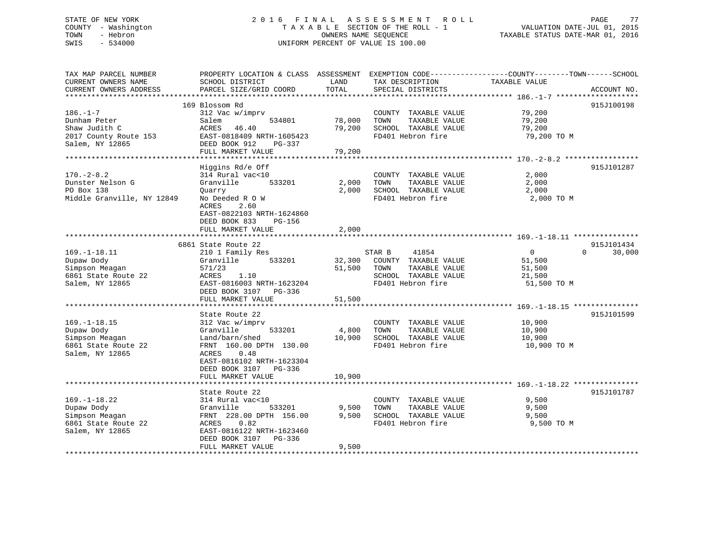# STATE OF NEW YORK 2 0 1 6 F I N A L A S S E S S M E N T R O L L PAGE 77 COUNTY - Washington T A X A B L E SECTION OF THE ROLL - 1 VALUATION DATE-JUL 01, 2015 TOWN - Hebron OWNERS NAME SEQUENCE TAXABLE STATUS DATE-MAR 01, 2016 SWIS - 534000 UNIFORM PERCENT OF VALUE IS 100.00

| TAX MAP PARCEL NUMBER                 | PROPERTY LOCATION & CLASS ASSESSMENT |        |                       | EXEMPTION CODE-----------------COUNTY-------TOWN------SCHOOL |             |
|---------------------------------------|--------------------------------------|--------|-----------------------|--------------------------------------------------------------|-------------|
| CURRENT OWNERS NAME                   | SCHOOL DISTRICT                      | LAND   | TAX DESCRIPTION       | TAXABLE VALUE                                                |             |
| CURRENT OWNERS ADDRESS                | PARCEL SIZE/GRID COORD               | TOTAL  | SPECIAL DISTRICTS     |                                                              | ACCOUNT NO. |
|                                       |                                      |        |                       |                                                              |             |
|                                       | 169 Blossom Rd                       |        |                       |                                                              | 915J100198  |
| $186. - 1 - 7$                        | 312 Vac w/imprv                      |        | COUNTY TAXABLE VALUE  | 79,200                                                       |             |
| Dunham Peter                          | Salem<br>534801                      | 78,000 | TAXABLE VALUE<br>TOWN | 79,200                                                       |             |
| Shaw Judith C                         | ACRES<br>46.40                       | 79,200 | SCHOOL TAXABLE VALUE  | 79,200                                                       |             |
| 2017 County Route 153                 | EAST-0818409 NRTH-1605423            |        | FD401 Hebron fire     | 79,200 TO M                                                  |             |
| Salem, NY 12865                       | DEED BOOK 912<br>PG-337              |        |                       |                                                              |             |
|                                       | FULL MARKET VALUE                    | 79,200 |                       |                                                              |             |
|                                       |                                      |        |                       |                                                              |             |
|                                       | Higgins Rd/e Off                     |        |                       |                                                              | 915J101287  |
| $170. - 2 - 8.2$                      | 314 Rural vac<10                     |        | COUNTY TAXABLE VALUE  | 2,000                                                        |             |
| Dunster Nelson G                      | Granville<br>533201                  | 2,000  | TOWN<br>TAXABLE VALUE | 2,000                                                        |             |
| PO Box 138                            | Quarry                               | 2,000  | SCHOOL TAXABLE VALUE  | 2,000                                                        |             |
| Middle Granville, NY 12849            | No Deeded R O W                      |        | FD401 Hebron fire     | 2,000 TO M                                                   |             |
|                                       | ACRES<br>2.60                        |        |                       |                                                              |             |
|                                       | EAST-0822103 NRTH-1624860            |        |                       |                                                              |             |
|                                       | DEED BOOK 833<br>PG-156              |        |                       |                                                              |             |
|                                       | FULL MARKET VALUE                    | 2,000  |                       |                                                              |             |
|                                       |                                      |        |                       |                                                              |             |
|                                       | 6861 State Route 22                  |        |                       |                                                              | 915J101434  |
| $169. - 1 - 18.11$                    | 210 1 Family Res                     |        | 41854<br>STAR B       | $\Omega$<br>$\Omega$                                         | 30,000      |
| Dupaw Dody                            | Granville<br>533201                  | 32,300 | COUNTY TAXABLE VALUE  | 51,500                                                       |             |
|                                       | 571/23                               | 51,500 | TOWN<br>TAXABLE VALUE |                                                              |             |
| Simpson Meagan<br>6861 State Route 22 | ACRES<br>1.10                        |        | SCHOOL TAXABLE VALUE  | 51,500<br>21,500                                             |             |
|                                       | EAST-0816003 NRTH-1623204            |        | FD401 Hebron fire     |                                                              |             |
| Salem, NY 12865                       |                                      |        |                       | 51,500 TO M                                                  |             |
|                                       | DEED BOOK 3107 PG-336                |        |                       |                                                              |             |
|                                       | FULL MARKET VALUE                    | 51,500 |                       |                                                              |             |
|                                       |                                      |        |                       |                                                              |             |
|                                       | State Route 22                       |        |                       |                                                              | 915J101599  |
| $169. - 1 - 18.15$                    | 312 Vac w/imprv                      |        | COUNTY TAXABLE VALUE  | 10,900                                                       |             |
| Dupaw Dody                            | Granville<br>533201                  | 4,800  | TOWN<br>TAXABLE VALUE | 10,900                                                       |             |
| Simpson Meagan                        | Land/barn/shed                       | 10,900 | SCHOOL TAXABLE VALUE  | 10,900                                                       |             |
| 6861 State Route 22                   | FRNT 160.00 DPTH 130.00              |        | FD401 Hebron fire     | 10,900 TO M                                                  |             |
| Salem, NY 12865                       | 0.48<br>ACRES                        |        |                       |                                                              |             |
|                                       | EAST-0816102 NRTH-1623304            |        |                       |                                                              |             |
|                                       | DEED BOOK 3107<br>PG-336             |        |                       |                                                              |             |
|                                       | FULL MARKET VALUE                    | 10,900 |                       |                                                              |             |
|                                       |                                      |        |                       |                                                              |             |
|                                       | State Route 22                       |        |                       |                                                              | 915J101787  |
| $169. - 1 - 18.22$                    | 314 Rural vac<10                     |        | COUNTY TAXABLE VALUE  | 9,500                                                        |             |
| Dupaw Dody                            | Granville<br>533201                  | 9,500  | TOWN<br>TAXABLE VALUE | 9,500                                                        |             |
| Simpson Meagan                        | FRNT 228.00 DPTH 156.00              | 9,500  | SCHOOL TAXABLE VALUE  | 9,500                                                        |             |
| 6861 State Route 22                   | 0.82<br>ACRES                        |        | FD401 Hebron fire     | 9,500 TO M                                                   |             |
| Salem, NY 12865                       | EAST-0816122 NRTH-1623460            |        |                       |                                                              |             |
|                                       | DEED BOOK 3107<br>$PG-336$           |        |                       |                                                              |             |
|                                       | FULL MARKET VALUE                    | 9,500  |                       |                                                              |             |
|                                       |                                      |        |                       |                                                              |             |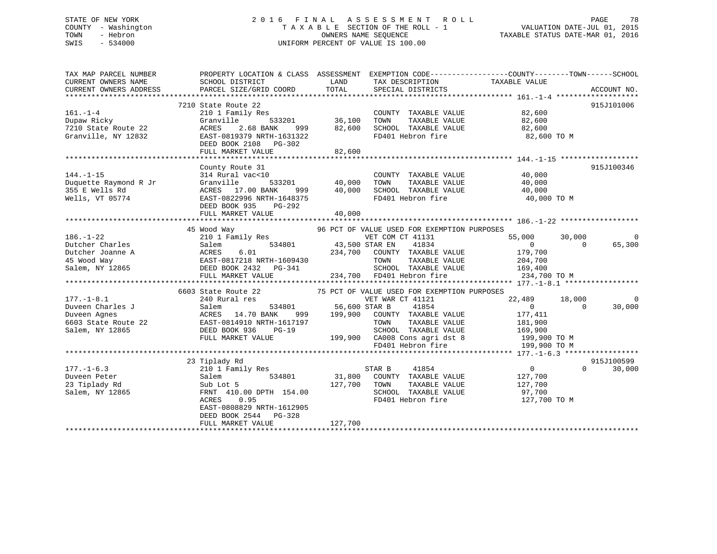# STATE OF NEW YORK 2 0 1 6 F I N A L A S S E S S M E N T R O L L PAGE 78 COUNTY - Washington T A X A B L E SECTION OF THE ROLL - 1 VALUATION DATE-JUL 01, 2015 TOWN - Hebron OWNERS NAME SEQUENCE TAXABLE STATUS DATE-MAR 01, 2016 SWIS - 534000 UNIFORM PERCENT OF VALUE IS 100.00

| TAX MAP PARCEL NUMBER<br>CURRENT OWNERS NAME<br>CURRENT OWNERS ADDRESS                                                                                                                                                                                                                                                                                                                                                   | PROPERTY LOCATION & CLASS ASSESSMENT EXEMPTION CODE---------------COUNTY-------TOWN-----SCHOOL<br>SCHOOL DISTRICT<br>PARCEL SIZE/GRID COORD | LAND<br>TOTAL                              | TAX DESCRIPTION TAXABLE VALUE SPECIAL DISTRICTS                                         |                                                                                                                                                                  | ACCOUNT NO.              |
|--------------------------------------------------------------------------------------------------------------------------------------------------------------------------------------------------------------------------------------------------------------------------------------------------------------------------------------------------------------------------------------------------------------------------|---------------------------------------------------------------------------------------------------------------------------------------------|--------------------------------------------|-----------------------------------------------------------------------------------------|------------------------------------------------------------------------------------------------------------------------------------------------------------------|--------------------------|
|                                                                                                                                                                                                                                                                                                                                                                                                                          | 7210 State Route 22                                                                                                                         |                                            |                                                                                         |                                                                                                                                                                  | 915J101006               |
| 161.-1-4<br>Dupaw Ricky                                                                                                                                                                                                                                                                                                                                                                                                  | 210 1 Family Res                                                                                                                            |                                            | COUNTY TAXABLE VALUE 82,600                                                             |                                                                                                                                                                  |                          |
|                                                                                                                                                                                                                                                                                                                                                                                                                          | Granville                                                                                                                                   |                                            |                                                                                         |                                                                                                                                                                  |                          |
| 7210 State Route 22                                                                                                                                                                                                                                                                                                                                                                                                      | 2.68 BANK<br>ACRES                                                                                                                          | $999$ 82,600                               |                                                                                         |                                                                                                                                                                  |                          |
| Granville, NY 12832                                                                                                                                                                                                                                                                                                                                                                                                      | EAST-0819379 NRTH-1631322                                                                                                                   |                                            | FD401 Hebron fire                                                                       | 82,600 TO M                                                                                                                                                      |                          |
|                                                                                                                                                                                                                                                                                                                                                                                                                          | DEED BOOK 2108 PG-302                                                                                                                       |                                            |                                                                                         |                                                                                                                                                                  |                          |
|                                                                                                                                                                                                                                                                                                                                                                                                                          | FULL MARKET VALUE                                                                                                                           | 82,600                                     |                                                                                         |                                                                                                                                                                  |                          |
|                                                                                                                                                                                                                                                                                                                                                                                                                          |                                                                                                                                             |                                            |                                                                                         |                                                                                                                                                                  |                          |
|                                                                                                                                                                                                                                                                                                                                                                                                                          | County Route 31                                                                                                                             |                                            |                                                                                         |                                                                                                                                                                  | 915J100346               |
| $144. - 1 - 15$                                                                                                                                                                                                                                                                                                                                                                                                          | 314 Rural vac<10                                                                                                                            | )<br>533201                         40,000 | COUNTY TAXABLE VALUE                                                                    | 40,000                                                                                                                                                           |                          |
|                                                                                                                                                                                                                                                                                                                                                                                                                          |                                                                                                                                             |                                            | TOWN                                                                                    | TAXABLE VALUE 40,000                                                                                                                                             |                          |
|                                                                                                                                                                                                                                                                                                                                                                                                                          |                                                                                                                                             |                                            |                                                                                         |                                                                                                                                                                  |                          |
|                                                                                                                                                                                                                                                                                                                                                                                                                          |                                                                                                                                             | 999 40,000<br>548375                       |                                                                                         | SCHOOL TAXABLE VALUE 40,000<br>FD401 Hebron fire 40,000 TO M                                                                                                     |                          |
|                                                                                                                                                                                                                                                                                                                                                                                                                          | DEED BOOK 935<br>PG-292                                                                                                                     |                                            |                                                                                         |                                                                                                                                                                  |                          |
|                                                                                                                                                                                                                                                                                                                                                                                                                          | FULL MARKET VALUE                                                                                                                           | 40,000                                     |                                                                                         |                                                                                                                                                                  |                          |
|                                                                                                                                                                                                                                                                                                                                                                                                                          |                                                                                                                                             |                                            |                                                                                         |                                                                                                                                                                  |                          |
|                                                                                                                                                                                                                                                                                                                                                                                                                          | 45 Wood Way                                                                                                                                 |                                            | 96 PCT OF VALUE USED FOR EXEMPTION PURPOSES                                             |                                                                                                                                                                  |                          |
| $186. - 1 - 22$                                                                                                                                                                                                                                                                                                                                                                                                          |                                                                                                                                             |                                            | VET COM CT 41131                                                                        | 55,000<br>30,000                                                                                                                                                 | $\overline{0}$           |
|                                                                                                                                                                                                                                                                                                                                                                                                                          |                                                                                                                                             |                                            |                                                                                         | $\overline{0}$                                                                                                                                                   | 65,300<br>$\Omega$       |
|                                                                                                                                                                                                                                                                                                                                                                                                                          |                                                                                                                                             |                                            |                                                                                         | 179,700                                                                                                                                                          |                          |
|                                                                                                                                                                                                                                                                                                                                                                                                                          |                                                                                                                                             |                                            |                                                                                         |                                                                                                                                                                  |                          |
|                                                                                                                                                                                                                                                                                                                                                                                                                          |                                                                                                                                             |                                            | TOWN TAXABLE VALUE 204,700<br>SCHOOL TAXABLE VALUE 169,400<br>FD401 Hebron fire 234,700 |                                                                                                                                                                  |                          |
| $\begin{array}{lllllllllllllllllllll} \text{186.-1--}\text{224} & \text{Dutcher Charles} & \text{Salem} & 534801 & 43,500~\text{SIAR} & \text{LIN} & \text{LIV} \\ \text{Dutcher Joanne A} & \text{ACRES} & 6.01 & 234,700 & \text{COUNTY} & \text{TAXABLE VALUE} \\ \text{45. Wood May} & \text{EAST-0817218 NRTH-1609430} & \text{TOWN} & \text{TAXABLE VALUE} \\ \text{53.1em, NY 12865} & \text{DEED BOOK 2432} & \$ |                                                                                                                                             |                                            |                                                                                         | 234,700 TO M                                                                                                                                                     |                          |
|                                                                                                                                                                                                                                                                                                                                                                                                                          |                                                                                                                                             |                                            |                                                                                         |                                                                                                                                                                  |                          |
|                                                                                                                                                                                                                                                                                                                                                                                                                          | 6603 State Route 22 75 PCT OF VALUE USED FOR EXEMPTION PURPOSES                                                                             |                                            |                                                                                         |                                                                                                                                                                  |                          |
| $177. - 1 - 8.1$                                                                                                                                                                                                                                                                                                                                                                                                         | 240 Rural res                                                                                                                               |                                            | VET WAR CT 41121                                                                        | 22,489<br>18,000                                                                                                                                                 | $\overline{\phantom{0}}$ |
| Puveen Charles J<br>Duveen Agnes<br>Salem agnes<br>6603 State Route 22<br>Salem, NY 12865<br>The Charles Cook 936<br>CHER BAST-0814910 NRTH-1617197<br>Salem, NY 12865<br>DEED BOOK 936<br>DEED BOOK 936<br>DEED BOOK 936<br>The Charles Cook 936<br>T                                                                                                                                                                   |                                                                                                                                             | 534801 56,600 STAR B                       | 41854                                                                                   | $\overline{0}$<br>$\overline{0}$                                                                                                                                 | 30,000                   |
|                                                                                                                                                                                                                                                                                                                                                                                                                          |                                                                                                                                             |                                            | 999 199,900 COUNTY TAXABLE VALUE                                                        | 177,411                                                                                                                                                          |                          |
|                                                                                                                                                                                                                                                                                                                                                                                                                          |                                                                                                                                             |                                            |                                                                                         |                                                                                                                                                                  |                          |
|                                                                                                                                                                                                                                                                                                                                                                                                                          |                                                                                                                                             |                                            |                                                                                         |                                                                                                                                                                  |                          |
|                                                                                                                                                                                                                                                                                                                                                                                                                          | FULL MARKET VALUE                                                                                                                           |                                            |                                                                                         |                                                                                                                                                                  |                          |
|                                                                                                                                                                                                                                                                                                                                                                                                                          |                                                                                                                                             |                                            |                                                                                         | RTH-1617197 TOWN TAXABLE VALUE 181,900<br>PG-19 SCHOOL TAXABLE VALUE 169,900<br>LUE 199,900 CA008 Cons agri dst 8 199,900 TO M<br>FD401 Hebron fire 199,900 TO M |                          |
|                                                                                                                                                                                                                                                                                                                                                                                                                          | - 1191ady Rd<br>210 1 Family Res<br>310 1 Family Res<br>514801<br>5                                                                         |                                            |                                                                                         |                                                                                                                                                                  |                          |
|                                                                                                                                                                                                                                                                                                                                                                                                                          |                                                                                                                                             |                                            |                                                                                         |                                                                                                                                                                  | 915J100599               |
| $177. - 1 - 6.3$                                                                                                                                                                                                                                                                                                                                                                                                         |                                                                                                                                             |                                            | 41854<br>STAR B                                                                         | $\overline{0}$                                                                                                                                                   | $\Omega$<br>30,000       |
| Duveen Peter                                                                                                                                                                                                                                                                                                                                                                                                             | 534801 31,800                                                                                                                               |                                            | COUNTY TAXABLE VALUE                                                                    | 127,700                                                                                                                                                          |                          |
| 23 Tiplady Rd                                                                                                                                                                                                                                                                                                                                                                                                            |                                                                                                                                             | 127,700                                    | TOWN<br>TAXABLE VALUE                                                                   | 127,700                                                                                                                                                          |                          |
| Salem, NY 12865                                                                                                                                                                                                                                                                                                                                                                                                          | FRNT 410.00 DPTH 154.00                                                                                                                     |                                            | SCHOOL TAXABLE VALUE 97,700                                                             |                                                                                                                                                                  |                          |
|                                                                                                                                                                                                                                                                                                                                                                                                                          | ACRES 0.95                                                                                                                                  |                                            | FD401 Hebron fire                                                                       | 127,700 TO M                                                                                                                                                     |                          |
|                                                                                                                                                                                                                                                                                                                                                                                                                          | EAST-0808829 NRTH-1612905                                                                                                                   |                                            |                                                                                         |                                                                                                                                                                  |                          |
|                                                                                                                                                                                                                                                                                                                                                                                                                          | DEED BOOK 2544 PG-328                                                                                                                       |                                            |                                                                                         |                                                                                                                                                                  |                          |
|                                                                                                                                                                                                                                                                                                                                                                                                                          | FULL MARKET VALUE                                                                                                                           | 127,700                                    |                                                                                         |                                                                                                                                                                  |                          |
|                                                                                                                                                                                                                                                                                                                                                                                                                          |                                                                                                                                             |                                            |                                                                                         |                                                                                                                                                                  |                          |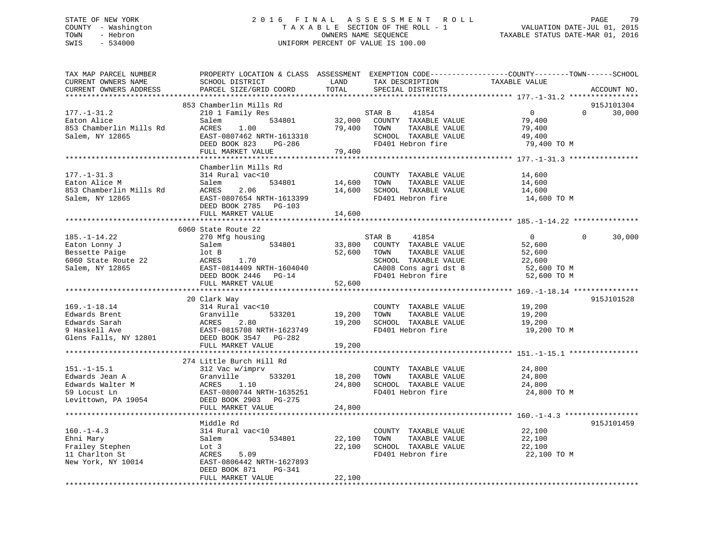# STATE OF NEW YORK 2 0 1 6 F I N A L A S S E S S M E N T R O L L PAGE 79 COUNTY - Washington T A X A B L E SECTION OF THE ROLL - 1 VALUATION DATE-JUL 01, 2015 TOWN - Hebron OWNERS NAME SEQUENCE TAXABLE STATUS DATE-MAR 01, 2016 SWIS - 534000 UNIFORM PERCENT OF VALUE IS 100.00

| TAX MAP PARCEL NUMBER<br>CURRENT OWNERS NAME<br>CURRENT OWNERS ADDRESS                         | PROPERTY LOCATION & CLASS ASSESSMENT EXEMPTION CODE---------------COUNTY-------TOWN-----SCHOOL<br>SCHOOL DISTRICT<br>PARCEL SIZE/GRID COORD | LAND<br>TOTAL              | TAX DESCRIPTION<br>SPECIAL DISTRICTS                                                                                | TAXABLE VALUE                                            |          | ACCOUNT NO.          |
|------------------------------------------------------------------------------------------------|---------------------------------------------------------------------------------------------------------------------------------------------|----------------------------|---------------------------------------------------------------------------------------------------------------------|----------------------------------------------------------|----------|----------------------|
|                                                                                                |                                                                                                                                             |                            |                                                                                                                     |                                                          |          |                      |
| $177. - 1 - 31.2$<br>Eaton Alice                                                               | 853 Chamberlin Mills Rd<br>210 1 Family Res<br>534801<br>Salem                                                                              | 32,000                     | STAR B<br>41854<br>COUNTY TAXABLE VALUE                                                                             | $\Omega$<br>79,400                                       | $\Omega$ | 915J101304<br>30,000 |
| 853 Chamberlin Mills Rd<br>Salem, NY 12865                                                     | ACRES<br>1.00<br>EAST-0807462 NRTH-1613318<br>DEED BOOK 823<br>PG-286<br>FULL MARKET VALUE                                                  | 79,400<br>79,400           | TOWN<br>TAXABLE VALUE<br>SCHOOL TAXABLE VALUE<br>FD401 Hebron fire                                                  | 79,400<br>49,400<br>79,400 TO M                          |          |                      |
|                                                                                                |                                                                                                                                             |                            |                                                                                                                     |                                                          |          |                      |
| $177. - 1 - 31.3$<br>Eaton Alice M<br>853 Chamberlin Mills Rd<br>Salem, NY 12865               | Chamberlin Mills Rd<br>314 Rural vac<10<br>Salem<br>534801<br>ACRES<br>2.06<br>EAST-0807654 NRTH-1613399<br>DEED BOOK 2785 PG-103           | 14,600<br>14,600           | COUNTY TAXABLE VALUE<br>TAXABLE VALUE<br>TOWN<br>SCHOOL TAXABLE VALUE<br>FD401 Hebron fire                          | 14,600<br>14,600<br>14,600<br>14,600 TO M                |          |                      |
|                                                                                                | FULL MARKET VALUE                                                                                                                           | 14,600                     |                                                                                                                     |                                                          |          |                      |
|                                                                                                | *************************                                                                                                                   | ************               |                                                                                                                     |                                                          |          |                      |
| $185. - 1 - 14.22$                                                                             | 6060 State Route 22<br>270 Mfg housing                                                                                                      |                            | STAR B<br>41854                                                                                                     | $\overline{0}$                                           | $\Omega$ | 30,000               |
| Eaton Lonny J<br>Bessette Paige<br>6060 State Route 22<br>Salem, NY 12865                      | Salem<br>534801<br>lot B<br>ACRES<br>1.70<br>EAST-0814409 NRTH-1604040<br>DEED BOOK 2446 PG-14<br>FULL MARKET VALUE                         | 33,800<br>52,600<br>52,600 | COUNTY TAXABLE VALUE<br>TAXABLE VALUE<br>TOWN<br>SCHOOL TAXABLE VALUE<br>CA008 Cons agri dst 8<br>FD401 Hebron fire | 52,600<br>52,600<br>22,600<br>52,600 TO M<br>52,600 TO M |          |                      |
|                                                                                                |                                                                                                                                             |                            |                                                                                                                     |                                                          |          |                      |
| $169. - 1 - 18.14$<br>Edwards Brent<br>Edwards Sarah<br>9 Haskell Ave<br>Glens Falls, NY 12801 | 20 Clark Way<br>314 Rural vac<10<br>Granville<br>533201<br>ACRES 2.80<br>EAST-0815708 NRTH-1623749<br>DEED BOOK 3547<br>PG-282              | 19,200<br>19,200           | COUNTY TAXABLE VALUE<br>TAXABLE VALUE<br>TOWN<br>SCHOOL TAXABLE VALUE<br>FD401 Hebron fire                          | 19,200<br>19,200<br>19,200<br>19,200 TO M                |          | 915J101528           |
|                                                                                                | FULL MARKET VALUE                                                                                                                           | 19,200                     |                                                                                                                     |                                                          |          |                      |
| $151. - 1 - 15.1$<br>Edwards Jean A<br>Edwards Walter M<br>59 Locust Ln<br>Levittown, PA 19054 | 274 Little Burch Hill Rd<br>312 Vac w/imprv<br>Granville<br>533201<br>ACRES<br>1.10<br>EAST-0800744 NRTH-1635251<br>DEED BOOK 2903 PG-275   | 18,200<br>24,800           | COUNTY TAXABLE VALUE<br>TAXABLE VALUE<br>TOWN<br>SCHOOL TAXABLE VALUE<br>FD401 Hebron fire                          | 24,800<br>24,800<br>24,800<br>24,800 TO M                |          |                      |
|                                                                                                | FULL MARKET VALUE                                                                                                                           | 24,800                     |                                                                                                                     |                                                          |          |                      |
|                                                                                                |                                                                                                                                             |                            |                                                                                                                     |                                                          |          |                      |
| $160. - 1 - 4.3$<br>Ehni Mary<br>Frailey Stephen<br>11 Charlton St<br>New York, NY 10014       | Middle Rd<br>314 Rural vac<10<br>534801<br>Salem<br>Lot 3<br>5.09<br>ACRES<br>EAST-0806442 NRTH-1627893<br>DEED BOOK 871<br>PG-341          | 22,100<br>22,100           | COUNTY TAXABLE VALUE<br>TOWN<br>TAXABLE VALUE<br>SCHOOL TAXABLE VALUE<br>FD401 Hebron fire                          | 22,100<br>22,100<br>22,100<br>22,100 TO M                |          | 915J101459           |
|                                                                                                | FULL MARKET VALUE                                                                                                                           | 22,100                     |                                                                                                                     |                                                          |          |                      |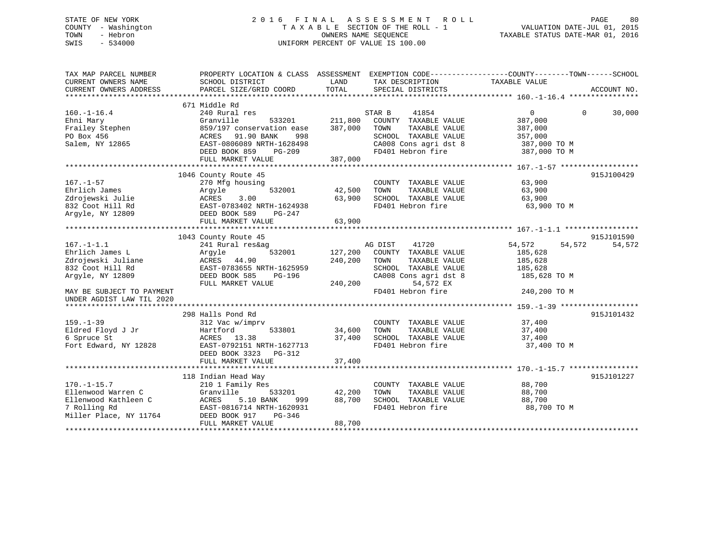# STATE OF NEW YORK 2 0 1 6 F I N A L A S S E S S M E N T R O L L PAGE 80 COUNTY - Washington T A X A B L E SECTION OF THE ROLL - 1 VALUATION DATE-JUL 01, 2015 TOWN - Hebron OWNERS NAME SEQUENCE TAXABLE STATUS DATE-MAR 01, 2016 SWIS - 534000 UNIFORM PERCENT OF VALUE IS 100.00

| TAX MAP PARCEL NUMBER<br>CURRENT OWNERS NAME<br>CURRENT OWNERS ADDRESS | PROPERTY LOCATION & CLASS ASSESSMENT<br>SCHOOL DISTRICT<br>PARCEL SIZE/GRID COORD | LAND<br>TOTAL      | TAX DESCRIPTION TAXABLE VALUE<br>SPECIAL DISTRICTS                    | EXEMPTION CODE-----------------COUNTY-------TOWN------SCHOOL | ACCOUNT NO. |
|------------------------------------------------------------------------|-----------------------------------------------------------------------------------|--------------------|-----------------------------------------------------------------------|--------------------------------------------------------------|-------------|
|                                                                        |                                                                                   |                    |                                                                       |                                                              |             |
| $160. - 1 - 16.4$                                                      | 671 Middle Rd<br>240 Rural res                                                    |                    | STAR B<br>41854                                                       | $\overline{0}$<br>$\Omega$                                   | 30,000      |
| Ehni Mary<br>Frailey Stephen<br>PO Box 456                             | Granville<br>533201<br>859/197 conservation ease<br>ACRES 91.90 BANK<br>998       | 211,800<br>387,000 | COUNTY TAXABLE VALUE<br>TAXABLE VALUE<br>TOWN<br>SCHOOL TAXABLE VALUE | 387,000<br>387,000<br>357,000                                |             |
| Salem, NY 12865                                                        | EAST-0806089 NRTH-1628498<br>DEED BOOK 859<br>$PG-209$                            |                    | CA008 Cons agri dst 8<br>FD401 Hebron fire                            | 387,000 TO M<br>387,000 TO M                                 |             |
|                                                                        | FULL MARKET VALUE                                                                 | 387,000            |                                                                       |                                                              |             |
|                                                                        |                                                                                   |                    |                                                                       |                                                              |             |
|                                                                        | 1046 County Route 45                                                              |                    |                                                                       |                                                              | 915J100429  |
| $167. - 1 - 57$<br>Ehrlich James                                       | 270 Mfg housing<br>532001<br>Argyle                                               | 42,500             | COUNTY TAXABLE VALUE<br>TOWN<br>TAXABLE VALUE                         | 63,900<br>63,900                                             |             |
| Zdrojewski Julie<br>832 Coot Hill Rd<br>Argyle, NY 12809               | ACRES<br>3.00<br>EAST-0783402 NRTH-1624938<br>DEED BOOK 589<br>PG-247             | 63,900             | SCHOOL TAXABLE VALUE<br>FD401 Hebron fire                             | 63,900<br>63,900 TO M                                        |             |
|                                                                        | FULL MARKET VALUE                                                                 | 63,900             |                                                                       |                                                              |             |
|                                                                        |                                                                                   |                    |                                                                       |                                                              |             |
|                                                                        | 1043 County Route 45                                                              |                    |                                                                       |                                                              | 915J101590  |
| $167. - 1 - 1.1$                                                       | 241 Rural res&ag                                                                  |                    | AG DIST<br>41720                                                      | 54,572<br>54,572                                             | 54,572      |
| Ehrlich James L                                                        | 532001<br>Argyle                                                                  | 127,200            | COUNTY TAXABLE VALUE                                                  | 185,628                                                      |             |
| Zdrojewski Juliane                                                     | ACRES 44.90                                                                       | 240,200            | TOWN<br>TAXABLE VALUE                                                 | 185,628                                                      |             |
| 832 Coot Hill Rd                                                       | EAST-0783655 NRTH-1625959                                                         |                    | SCHOOL TAXABLE VALUE                                                  | 185,628                                                      |             |
| Arqyle, NY 12809                                                       | DEED BOOK 585<br>PG-196                                                           |                    | CA008 Cons agri dst 8                                                 | 185,628 TO M                                                 |             |
|                                                                        | FULL MARKET VALUE                                                                 | 240,200            | 54,572 EX                                                             |                                                              |             |
| MAY BE SUBJECT TO PAYMENT                                              |                                                                                   |                    | FD401 Hebron fire                                                     | 240,200 TO M                                                 |             |
| UNDER AGDIST LAW TIL 2020                                              |                                                                                   |                    |                                                                       |                                                              |             |
|                                                                        |                                                                                   |                    |                                                                       |                                                              |             |
|                                                                        | 298 Halls Pond Rd                                                                 |                    |                                                                       |                                                              | 915J101432  |
| $159. - 1 - 39$                                                        | 312 Vac w/imprv                                                                   |                    | COUNTY TAXABLE VALUE                                                  | 37,400                                                       |             |
| Eldred Floyd J Jr                                                      | Hartford<br>533801                                                                | 34,600             | TOWN<br>TAXABLE VALUE                                                 | 37,400                                                       |             |
| 6 Spruce St                                                            | ACRES 13.38                                                                       | 37,400             | SCHOOL TAXABLE VALUE                                                  | 37,400                                                       |             |
| Fort Edward, NY 12828                                                  | EAST-0792151 NRTH-1627713<br>DEED BOOK 3323 PG-312<br>FULL MARKET VALUE           | 37,400             | FD401 Hebron fire                                                     | 37,400 TO M                                                  |             |
|                                                                        |                                                                                   |                    |                                                                       |                                                              |             |
|                                                                        | 118 Indian Head Way                                                               |                    |                                                                       |                                                              | 915J101227  |
| $170. - 1 - 15.7$<br>Ellenwood Warren C                                | 210 1 Family Res<br>Granville<br>533201                                           | 42,200             | COUNTY TAXABLE VALUE<br>TAXABLE VALUE<br>TOWN                         | 88,700<br>88,700                                             |             |
| Ellenwood Kathleen C                                                   | ACRES<br>5.10 BANK<br>999                                                         | 88,700             | SCHOOL TAXABLE VALUE                                                  | 88,700                                                       |             |
| 7 Rolling Rd                                                           | EAST-0816714 NRTH-1620931                                                         |                    | FD401 Hebron fire                                                     | 88,700 TO M                                                  |             |
| Miller Place, NY 11764                                                 | DEED BOOK 917<br>PG-346<br>FULL MARKET VALUE                                      | 88,700             |                                                                       |                                                              |             |
|                                                                        |                                                                                   |                    |                                                                       |                                                              |             |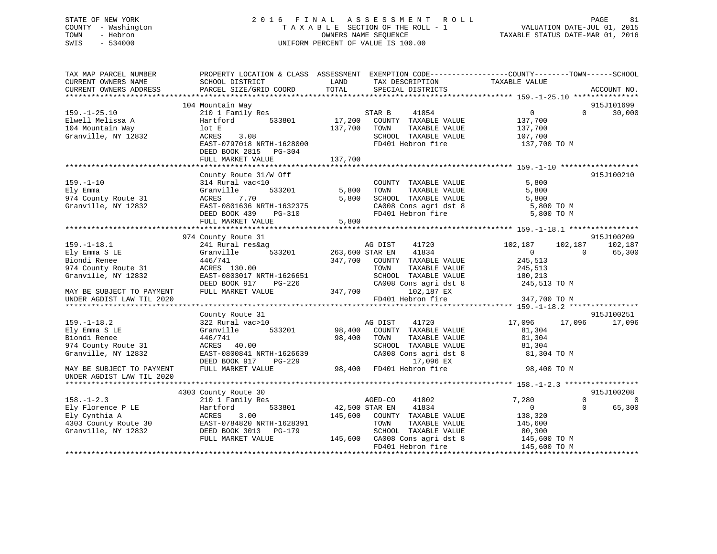# STATE OF NEW YORK 2 0 1 6 F I N A L A S S E S S M E N T R O L L PAGE 81 COUNTY - Washington T A X A B L E SECTION OF THE ROLL - 1 VALUATION DATE-JUL 01, 2015 TOWN - Hebron OWNERS NAME SEQUENCE TAXABLE STATUS DATE-MAR 01, 2016 SWIS - 534000 UNIFORM PERCENT OF VALUE IS 100.00

| TAX MAP PARCEL NUMBER<br>CURRENT OWNERS NAME<br>CURRENT OWNERS ADDRESS                           | PROPERTY LOCATION & CLASS ASSESSMENT<br>SCHOOL DISTRICT<br>PARCEL SIZE/GRID COORD                                                         | LAND<br>TAX DESCRIPTION<br>TOTAL<br>SPECIAL DISTRICTS                                                                                                     | EXEMPTION CODE-----------------COUNTY-------TOWN------SCHOOL<br>TAXABLE VALUE<br>ACCOUNT NO.                           |
|--------------------------------------------------------------------------------------------------|-------------------------------------------------------------------------------------------------------------------------------------------|-----------------------------------------------------------------------------------------------------------------------------------------------------------|------------------------------------------------------------------------------------------------------------------------|
|                                                                                                  |                                                                                                                                           |                                                                                                                                                           |                                                                                                                        |
|                                                                                                  | 104 Mountain Way                                                                                                                          |                                                                                                                                                           | 915J101699                                                                                                             |
| $159. - 1 - 25.10$<br>Elwell Melissa A<br>104 Mountain Way<br>Granville, NY 12832                | 210 1 Family Res<br>533801<br>Hartford<br>lot E<br>3.08<br>ACRES<br>EAST-0797018 NRTH-1628000<br>DEED BOOK 2815 PG-304                    | 41854<br>STAR B<br>17,200<br>COUNTY TAXABLE VALUE<br>137,700<br>TOWN<br>TAXABLE VALUE<br>SCHOOL TAXABLE VALUE<br>FD401 Hebron fire                        | $\overline{0}$<br>$\Omega$<br>30,000<br>137,700<br>137,700<br>107,700<br>137,700 TO M                                  |
|                                                                                                  | FULL MARKET VALUE                                                                                                                         | 137,700                                                                                                                                                   |                                                                                                                        |
|                                                                                                  |                                                                                                                                           |                                                                                                                                                           |                                                                                                                        |
| $159. - 1 - 10$<br>Ely Emma<br>974 County Route 31<br>Granville, NY 12832                        | County Route 31/W Off<br>314 Rural vac<10<br>533201<br>Granville<br>ACRES<br>7.70<br>EAST-0801636 NRTH-1632375<br>DEED BOOK 439<br>PG-310 | COUNTY TAXABLE VALUE<br>5,800<br>TAXABLE VALUE<br>TOWN<br>5,800<br>SCHOOL TAXABLE VALUE<br>CA008 Cons agri dst 8<br>FD401 Hebron fire                     | 915J100210<br>5,800<br>5,800<br>5,800<br>5,800 TO M<br>5,800 TO M                                                      |
|                                                                                                  | FULL MARKET VALUE                                                                                                                         | 5,800                                                                                                                                                     |                                                                                                                        |
|                                                                                                  | 974 County Route 31                                                                                                                       |                                                                                                                                                           | 915J100209                                                                                                             |
| $159. - 1 - 18.1$<br>Ely Emma S LE<br>Biondi Renee<br>974 County Route 31<br>Granville, NY 12832 | 241 Rural res&ag<br>Granville<br>533201<br>446/741<br>ACRES 130.00<br>EAST-0803017 NRTH-1626651<br>DEED BOOK 917<br>PG-226                | AG DIST<br>41720<br>263,600 STAR EN<br>41834<br>347,700<br>COUNTY TAXABLE VALUE<br>TOWN<br>TAXABLE VALUE<br>SCHOOL TAXABLE VALUE<br>CA008 Cons agri dst 8 | 102,187<br>102,187<br>102,187<br>$\overline{0}$<br>$\Omega$<br>65,300<br>245,513<br>245,513<br>180,213<br>245,513 TO M |
| MAY BE SUBJECT TO PAYMENT                                                                        | FULL MARKET VALUE                                                                                                                         | 347,700<br>102,187 EX<br>FD401 Hebron fire                                                                                                                | 347,700 TO M                                                                                                           |
| UNDER AGDIST LAW TIL 2020                                                                        |                                                                                                                                           |                                                                                                                                                           |                                                                                                                        |
|                                                                                                  | County Route 31                                                                                                                           |                                                                                                                                                           | 915J100251                                                                                                             |
| $159. - 1 - 18.2$<br>Ely Emma S LE<br>Biondi Renee<br>974 County Route 31<br>Granville, NY 12832 | 322 Rural vac>10<br>Granville<br>533201<br>446/741<br>ACRES 40.00<br>EAST-0800841 NRTH-1626639<br>DEED BOOK 917<br>$PG-229$               | AG DIST<br>41720<br>98,400<br>COUNTY TAXABLE VALUE<br>98,400<br>TOWN<br>TAXABLE VALUE<br>SCHOOL TAXABLE VALUE<br>CA008 Cons agri dst 8<br>17,096 EX       | 17,096<br>17,096<br>17,096<br>81,304<br>81,304<br>81,304<br>81,304 TO M                                                |
| MAY BE SUBJECT TO PAYMENT<br>UNDER AGDIST LAW TIL 2020                                           | FULL MARKET VALUE                                                                                                                         | FD401 Hebron fire<br>98,400                                                                                                                               | 98,400 TO M                                                                                                            |
|                                                                                                  |                                                                                                                                           |                                                                                                                                                           |                                                                                                                        |
|                                                                                                  | 4303 County Route 30                                                                                                                      |                                                                                                                                                           | 915J100208                                                                                                             |
| $158. - 1 - 2.3$<br>Ely Florence P LE<br>Ely Cynthia A<br>4303 County Route 30                   | 210 1 Family Res<br>Hartford<br>533801<br>ACRES<br>3.00<br>EAST-0784820 NRTH-1628391                                                      | AGED-CO<br>41802<br>42,500 STAR EN<br>41834<br>145,600<br>COUNTY TAXABLE VALUE<br>TAXABLE VALUE<br>TOWN                                                   | 7,280<br>$\Omega$<br>0<br>$\mathbf{0}$<br>65,300<br>$\Omega$<br>138,320<br>145,600                                     |
| Granville, NY 12832                                                                              | DEED BOOK 3013<br>PG-179<br>FULL MARKET VALUE                                                                                             | SCHOOL TAXABLE VALUE<br>145,600<br>CA008 Cons agri dst 8<br>FD401 Hebron fire                                                                             | 80,300<br>145,600 TO M<br>145,600 TO M                                                                                 |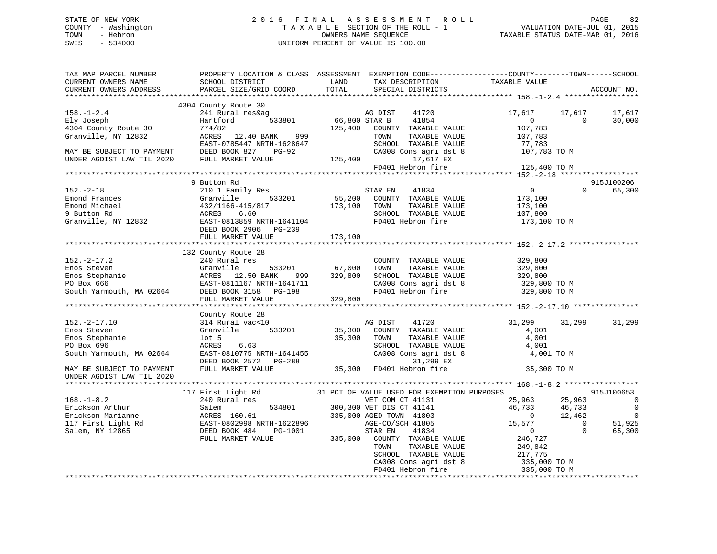# STATE OF NEW YORK 2 0 1 6 F I N A L A S S E S S M E N T R O L L PAGE 82 COUNTY - Washington T A X A B L E SECTION OF THE ROLL - 1 VALUATION DATE-JUL 01, 2015 TOWN - Hebron OWNERS NAME SEQUENCE TAXABLE STATUS DATE-MAR 01, 2016 SWIS - 534000 UNIFORM PERCENT OF VALUE IS 100.00

| TAX MAP PARCEL NUMBER<br>CURRENT OWNERS NAME<br>CURRENT OWNERS ADDRESS | PROPERTY LOCATION & CLASS ASSESSMENT<br>SCHOOL DISTRICT<br>PARCEL SIZE/GRID COORD | LAND<br>TAX DESCRIPTION<br>TOTAL<br>SPECIAL DISTRICTS             | EXEMPTION CODE----------------COUNTY-------TOWN------SCHOOL<br>TAXABLE VALUE | ACCOUNT NO.    |
|------------------------------------------------------------------------|-----------------------------------------------------------------------------------|-------------------------------------------------------------------|------------------------------------------------------------------------------|----------------|
|                                                                        |                                                                                   |                                                                   |                                                                              |                |
| $158. - 1 - 2.4$                                                       | 4304 County Route 30<br>241 Rural res&ag                                          | AG DIST<br>41720                                                  | 17,617<br>17,617                                                             | 17,617         |
| Ely Joseph<br>4304 County Route 30                                     | Hartford<br>533801<br>774/82                                                      | 66,800 STAR B<br>41854<br>125,400<br>COUNTY TAXABLE VALUE         | $\overline{0}$<br>$\Omega$<br>107,783                                        | 30,000         |
| Granville, NY 12832                                                    | ACRES 12.40 BANK<br>999                                                           | TOWN<br>TAXABLE VALUE                                             | 107,783                                                                      |                |
|                                                                        | EAST-0785447 NRTH-1628647                                                         | SCHOOL TAXABLE VALUE                                              | 77,783                                                                       |                |
| MAY BE SUBJECT TO PAYMENT                                              | DEED BOOK 827<br>PG-92                                                            | CA008 Cons agri dst 8                                             | 107,783 TO M                                                                 |                |
| UNDER AGDIST LAW TIL 2020                                              | FULL MARKET VALUE                                                                 | 125,400<br>17,617 EX                                              |                                                                              |                |
|                                                                        |                                                                                   | FD401 Hebron fire                                                 | 125,400 TO M                                                                 |                |
|                                                                        |                                                                                   |                                                                   |                                                                              |                |
|                                                                        | 9 Button Rd                                                                       |                                                                   |                                                                              | 915J100206     |
| $152. - 2 - 18$                                                        | 210 1 Family Res                                                                  | STAR EN<br>41834                                                  | $\overline{0}$<br>$\mathbf{0}$                                               | 65,300         |
| Emond Frances                                                          | 533201<br>Granville                                                               | 55,200<br>COUNTY TAXABLE VALUE                                    | 173,100                                                                      |                |
| Emond Michael                                                          | 432/1166-415/817                                                                  | 173,100<br>TOWN<br>TAXABLE VALUE                                  | 173,100                                                                      |                |
| 9 Button Rd                                                            | ACRES<br>6.60                                                                     | SCHOOL TAXABLE VALUE                                              | 107,800                                                                      |                |
| Granville, NY 12832                                                    | EAST-0813859 NRTH-1641104                                                         | FD401 Hebron fire                                                 | 173,100 TO M                                                                 |                |
|                                                                        | DEED BOOK 2906 PG-239                                                             |                                                                   |                                                                              |                |
|                                                                        | FULL MARKET VALUE                                                                 | 173,100                                                           |                                                                              |                |
|                                                                        |                                                                                   |                                                                   |                                                                              |                |
|                                                                        | 132 County Route 28                                                               |                                                                   |                                                                              |                |
| $152. - 2 - 17.2$                                                      | 240 Rural res                                                                     | COUNTY TAXABLE VALUE                                              | 329,800                                                                      |                |
| Enos Steven                                                            | Granville<br>533201                                                               | 67,000<br>TOWN<br>TAXABLE VALUE                                   | 329,800                                                                      |                |
| Enos Stephanie                                                         | ACRES 12.50 BANK<br>999                                                           | 329,800<br>SCHOOL TAXABLE VALUE                                   | 329,800                                                                      |                |
| PO Box 666                                                             | EAST-0811167 NRTH-1641711                                                         | CA008 Cons agri dst 8                                             | 329,800 TO M                                                                 |                |
| South Yarmouth, MA 02664                                               | DEED BOOK 3158 PG-198                                                             | FD401 Hebron fire                                                 | 329,800 TO M                                                                 |                |
|                                                                        | FULL MARKET VALUE<br>************************                                     | 329,800                                                           |                                                                              |                |
|                                                                        |                                                                                   | ********************                                              | ***************** 152.-2-17.10 *********                                     |                |
|                                                                        | County Route 28                                                                   |                                                                   |                                                                              |                |
| $152. - 2 - 17.10$                                                     | 314 Rural vac<10<br>533201                                                        | AG DIST<br>41720                                                  | 31,299<br>31,299                                                             | 31,299         |
| Enos Steven<br>Enos Stephanie                                          | Granville<br>$1$ ot 5                                                             | 35,300<br>COUNTY TAXABLE VALUE<br>35,300<br>TOWN<br>TAXABLE VALUE | 4,001<br>4,001                                                               |                |
| PO Box 696                                                             | ACRES<br>6.63                                                                     | SCHOOL TAXABLE VALUE                                              | 4,001                                                                        |                |
| South Yarmouth, MA 02664                                               | EAST-0810775 NRTH-1641455                                                         | CA008 Cons agri dst 8                                             | 4,001 TO M                                                                   |                |
|                                                                        | DEED BOOK 2572 PG-288                                                             | 31,299 EX                                                         |                                                                              |                |
| MAY BE SUBJECT TO PAYMENT                                              | FULL MARKET VALUE                                                                 | FD401 Hebron fire<br>35,300                                       | 35,300 TO M                                                                  |                |
| UNDER AGDIST LAW TIL 2020                                              |                                                                                   |                                                                   |                                                                              |                |
|                                                                        |                                                                                   |                                                                   |                                                                              |                |
|                                                                        | 117 First Light Rd                                                                | 31 PCT OF VALUE USED FOR EXEMPTION PURPOSES                       |                                                                              | 915J100653     |
| $168. - 1 - 8.2$                                                       | 240 Rural res                                                                     | VET COM CT 41131                                                  | 25,963<br>25,963                                                             | $\overline{0}$ |
| Erickson Arthur                                                        | 534801<br>Salem                                                                   | 300,300 VET DIS CT 41141                                          | 46,733<br>46,733                                                             | $\overline{0}$ |
| Erickson Marianne                                                      | ACRES 160.61                                                                      | 335,000 AGED-TOWN 41803                                           | $\overline{0}$<br>12,462                                                     | $\overline{0}$ |
| 117 First Light Rd                                                     | EAST-0802998 NRTH-1622896                                                         | AGE-CO/SCH 41805                                                  | 15,577<br>$\overline{0}$                                                     | 51,925         |
| Salem, NY 12865                                                        | DEED BOOK 484<br>PG-1001                                                          | 41834<br>STAR EN                                                  | $\overline{0}$<br>$\Omega$                                                   | 65,300         |
|                                                                        | FULL MARKET VALUE                                                                 | 335,000<br>COUNTY TAXABLE VALUE                                   | 246,727                                                                      |                |
|                                                                        |                                                                                   | TOWN<br>TAXABLE VALUE                                             | 249,842                                                                      |                |
|                                                                        |                                                                                   | SCHOOL TAXABLE VALUE                                              | 217,775                                                                      |                |
|                                                                        |                                                                                   | CA008 Cons agri dst 8                                             | 335,000 TO M                                                                 |                |
|                                                                        |                                                                                   | FD401 Hebron fire                                                 | 335,000 TO M                                                                 |                |
|                                                                        |                                                                                   |                                                                   |                                                                              |                |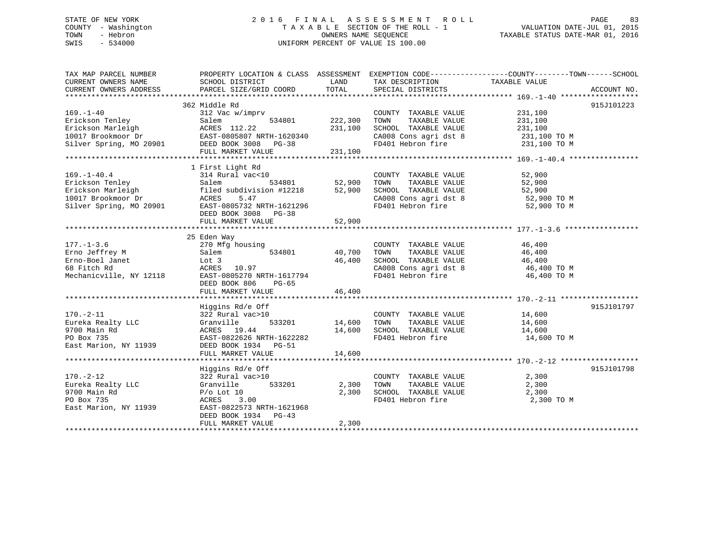# STATE OF NEW YORK 2 0 1 6 F I N A L A S S E S S M E N T R O L L PAGE 83 COUNTY - Washington T A X A B L E SECTION OF THE ROLL - 1 VALUATION DATE-JUL 01, 2015 TOWN - Hebron OWNERS NAME SEQUENCE TAXABLE STATUS DATE-MAR 01, 2016 SWIS - 534000 UNIFORM PERCENT OF VALUE IS 100.00

| TAX MAP PARCEL NUMBER                                                                                                                                                                                                                | PROPERTY LOCATION & CLASS ASSESSMENT EXEMPTION CODE---------------COUNTY-------TOWN-----SCHOOL |                                |                                                                                                                                                                              |               |             |
|--------------------------------------------------------------------------------------------------------------------------------------------------------------------------------------------------------------------------------------|------------------------------------------------------------------------------------------------|--------------------------------|------------------------------------------------------------------------------------------------------------------------------------------------------------------------------|---------------|-------------|
| CURRENT OWNERS NAME                                                                                                                                                                                                                  | SCHOOL DISTRICT                                                                                | LAND                           | TAX DESCRIPTION                                                                                                                                                              | TAXABLE VALUE |             |
| CURRENT OWNERS ADDRESS                                                                                                                                                                                                               | PARCEL SIZE/GRID COORD                                                                         | TOTAL                          | SPECIAL DISTRICTS                                                                                                                                                            |               | ACCOUNT NO. |
|                                                                                                                                                                                                                                      |                                                                                                |                                |                                                                                                                                                                              |               |             |
|                                                                                                                                                                                                                                      | 362 Middle Rd                                                                                  |                                |                                                                                                                                                                              |               | 915J101223  |
| $169. - 1 - 40$                                                                                                                                                                                                                      | 312 Vac w/imprv                                                                                |                                | COUNTY TAXABLE VALUE 231,100                                                                                                                                                 |               |             |
|                                                                                                                                                                                                                                      |                                                                                                |                                |                                                                                                                                                                              |               |             |
|                                                                                                                                                                                                                                      |                                                                                                |                                |                                                                                                                                                                              |               |             |
|                                                                                                                                                                                                                                      |                                                                                                |                                |                                                                                                                                                                              |               |             |
|                                                                                                                                                                                                                                      |                                                                                                |                                |                                                                                                                                                                              |               |             |
|                                                                                                                                                                                                                                      |                                                                                                |                                |                                                                                                                                                                              |               |             |
| 109.-1-40<br>Erickson Tenley Salem Salem 534801 222,300 TOWN TAXABLE VALUE<br>Erickson Marleigh ACRES 112.22 231,100 SCHOOL TAXABLE VALUE 231,100<br>10017 Brookmoor Dr EAST-0805807 NRTH-1620340 CA008 Cons agri dst 8 231,100 TO M |                                                                                                |                                |                                                                                                                                                                              |               |             |
|                                                                                                                                                                                                                                      | 1 First Light Rd                                                                               |                                |                                                                                                                                                                              |               |             |
| $169. - 1 - 40.4$                                                                                                                                                                                                                    | 314 Rural vac<10                                                                               |                                | COUNTY TAXABLE VALUE                                                                                                                                                         | 52,900        |             |
|                                                                                                                                                                                                                                      |                                                                                                |                                | TAXABLE VALUE<br>TOWN                                                                                                                                                        | 52,900        |             |
|                                                                                                                                                                                                                                      |                                                                                                |                                |                                                                                                                                                                              |               |             |
|                                                                                                                                                                                                                                      |                                                                                                |                                | SCHOOL TAXABLE VALUE 52,900<br>CA008 Cons agri dst 8 52,900 TO M                                                                                                             |               |             |
| Exickson Tenley<br>Exickson Tenley<br>Exickson Marleigh<br>10017 Brookmoor Dr<br>Silver Spring, MO 20901<br>EAST-0805732 NRTH-1621296<br>EAST-0805732 NRTH-1621296                                                                   |                                                                                                |                                | FD401 Hebron fire                                                                                                                                                            | 52,900 TO M   |             |
|                                                                                                                                                                                                                                      | DEED BOOK 3008 PG-38                                                                           |                                |                                                                                                                                                                              |               |             |
|                                                                                                                                                                                                                                      | FULL MARKET VALUE                                                                              | 52,900                         |                                                                                                                                                                              |               |             |
|                                                                                                                                                                                                                                      |                                                                                                |                                |                                                                                                                                                                              |               |             |
|                                                                                                                                                                                                                                      | 25 Eden Way                                                                                    |                                |                                                                                                                                                                              |               |             |
| $177. - 1 - 3.6$                                                                                                                                                                                                                     | 270 Mfg housing                                                                                |                                |                                                                                                                                                                              |               |             |
| 270 Mfg<br>Salem<br>Erno Jeffrey M                                                                                                                                                                                                   | $\frac{1}{9}$ housing<br>534801 40,700                                                         |                                | $\begin{tabular}{lllllll} \multicolumn{2}{c}{\text{COUNTY}} & \text{TAXABLE VALUE} & & & 46 \,, 400 \\ \text{TOWN} & \text{TAXABLE VALUE} & & & 46 \,, 400 \\ \end{tabular}$ |               |             |
|                                                                                                                                                                                                                                      |                                                                                                | 46,400                         |                                                                                                                                                                              |               |             |
|                                                                                                                                                                                                                                      |                                                                                                |                                |                                                                                                                                                                              |               |             |
|                                                                                                                                                                                                                                      | Mechanicville, NY 12118 EAST-0805270 NRTH-1617794                                              |                                | CHOOL TAXABLE VALUE $46,400$<br>CA008 Cons agridst 8 $46,400$ TO M<br>FD401 Hebron fire $46,400$ TO M                                                                        |               |             |
|                                                                                                                                                                                                                                      | DEED BOOK 806<br>PG-65                                                                         |                                |                                                                                                                                                                              |               |             |
|                                                                                                                                                                                                                                      | FULL MARKET VALUE                                                                              | 46,400                         |                                                                                                                                                                              |               |             |
|                                                                                                                                                                                                                                      |                                                                                                |                                |                                                                                                                                                                              |               |             |
|                                                                                                                                                                                                                                      | Higgins Rd/e Off                                                                               |                                |                                                                                                                                                                              |               | 915J101797  |
|                                                                                                                                                                                                                                      |                                                                                                |                                |                                                                                                                                                                              |               |             |
| $170. - 2 - 11$                                                                                                                                                                                                                      | 322 Rural vac>10                                                                               | 0 COUNTY<br>533201 14,600 TOWN | COUNTY TAXABLE VALUE 14,600                                                                                                                                                  |               |             |
| Eureka Realty LLC<br>9700 Main Rd                                                                                                                                                                                                    | Granville                                                                                      |                                | TAXABLE VALUE                                                                                                                                                                | 14,600        |             |
|                                                                                                                                                                                                                                      | ACRES 19.44                                                                                    | 14,600                         | SCHOOL TAXABLE VALUE 14,600                                                                                                                                                  |               |             |
| PO Box 735                                                                                                                                                                                                                           | EAST-0822626 NRTH-1622282                                                                      |                                | FD401 Hebron fire                                                                                                                                                            | 14,600 TO M   |             |
| East Marion, NY 11939                                                                                                                                                                                                                | DEED BOOK 1934 PG-51                                                                           |                                |                                                                                                                                                                              |               |             |
|                                                                                                                                                                                                                                      | FULL MARKET VALUE                                                                              | 14,600                         |                                                                                                                                                                              |               |             |
|                                                                                                                                                                                                                                      |                                                                                                |                                |                                                                                                                                                                              |               |             |
|                                                                                                                                                                                                                                      | Higgins Rd/e Off                                                                               |                                |                                                                                                                                                                              |               | 915J101798  |
| $170. - 2 - 12$                                                                                                                                                                                                                      | 322 Rural vac>10                                                                               |                                | COUNTY TAXABLE VALUE                                                                                                                                                         | 2,300         |             |
| Eureka Realty LLC                                                                                                                                                                                                                    | Granville                                                                                      | 533201 2,300 TOWN              | TAXABLE VALUE 2,300                                                                                                                                                          |               |             |
| 9700 Main Rd                                                                                                                                                                                                                         | P/o Lot 10<br>ACRES 3.00                                                                       | 2,300                          | SCHOOL TAXABLE VALUE 2,300                                                                                                                                                   |               |             |
| PO Box 735                                                                                                                                                                                                                           |                                                                                                |                                | FD401 Hebron fire                                                                                                                                                            | 2,300 TO M    |             |
| East Marion, NY 11939                                                                                                                                                                                                                | EAST-0822573 NRTH-1621968                                                                      |                                |                                                                                                                                                                              |               |             |
|                                                                                                                                                                                                                                      | DEED BOOK 1934 PG-43                                                                           |                                |                                                                                                                                                                              |               |             |
|                                                                                                                                                                                                                                      | FULL MARKET VALUE                                                                              | 2,300                          |                                                                                                                                                                              |               |             |
|                                                                                                                                                                                                                                      |                                                                                                |                                |                                                                                                                                                                              |               |             |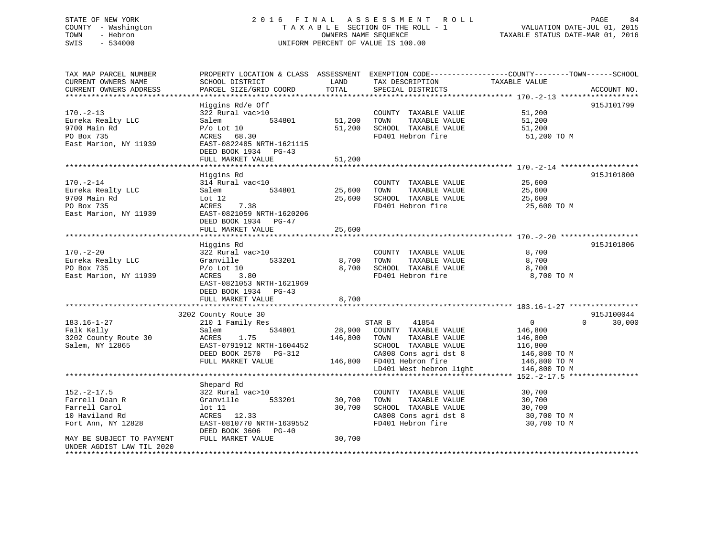# STATE OF NEW YORK 2 0 1 6 F I N A L A S S E S S M E N T R O L L PAGE 84 COUNTY - Washington T A X A B L E SECTION OF THE ROLL - 1 VALUATION DATE-JUL 01, 2015 TOWN - Hebron OWNERS NAME SEQUENCE TAXABLE STATUS DATE-MAR 01, 2016 SWIS - 534000 UNIFORM PERCENT OF VALUE IS 100.00

| TAX MAP PARCEL NUMBER     | PROPERTY LOCATION & CLASS ASSESSMENT EXEMPTION CODE---------------COUNTY-------TOWN------SCHOOL |              |                             |                |                    |
|---------------------------|-------------------------------------------------------------------------------------------------|--------------|-----------------------------|----------------|--------------------|
| CURRENT OWNERS NAME       | SCHOOL DISTRICT                                                                                 | LAND         | TAX DESCRIPTION             | TAXABLE VALUE  |                    |
| CURRENT OWNERS ADDRESS    | PARCEL SIZE/GRID COORD                                                                          | TOTAL        | SPECIAL DISTRICTS           |                | ACCOUNT NO.        |
|                           |                                                                                                 |              |                             |                |                    |
|                           | Higgins Rd/e Off                                                                                |              |                             |                | 915J101799         |
| $170. - 2 - 13$           | 322 Rural vac>10                                                                                |              | COUNTY TAXABLE VALUE        | 51,200         |                    |
| Eureka Realty LLC         | Salem<br>534801                                                                                 | 51,200       | TAXABLE VALUE<br>TOWN       | 51,200         |                    |
| 9700 Main Rd              | $P/O$ Lot 10                                                                                    | 51,200       | SCHOOL TAXABLE VALUE        | 51,200         |                    |
| PO Box 735                | ACRES 68.30                                                                                     |              | FD401 Hebron fire           | 51,200 TO M    |                    |
| East Marion, NY 11939     | EAST-0822485 NRTH-1621115                                                                       |              |                             |                |                    |
|                           | DEED BOOK 1934 PG-43                                                                            |              |                             |                |                    |
|                           | FULL MARKET VALUE                                                                               | 51,200       |                             |                |                    |
|                           |                                                                                                 |              |                             |                |                    |
|                           | Higgins Rd                                                                                      |              |                             |                | 915J101800         |
| $170. - 2 - 14$           | 314 Rural vac<10                                                                                |              | COUNTY TAXABLE VALUE        | 25,600         |                    |
| Eureka Realty LLC         | 534801<br>Salem                                                                                 | 25,600       | TOWN<br>TAXABLE VALUE       | 25,600         |                    |
| 9700 Main Rd              | Lot $12$                                                                                        | 25,600       | SCHOOL TAXABLE VALUE        | 25,600         |                    |
| PO Box 735                | ACRES<br>7.38                                                                                   |              | FD401 Hebron fire           | 25,600 TO M    |                    |
| East Marion, NY 11939     | EAST-0821059 NRTH-1620206                                                                       |              |                             |                |                    |
|                           | DEED BOOK 1934 PG-47                                                                            |              |                             |                |                    |
|                           | FULL MARKET VALUE                                                                               | 25,600       |                             |                |                    |
|                           |                                                                                                 |              |                             |                |                    |
|                           | Higgins Rd                                                                                      |              |                             |                | 915J101806         |
| $170. - 2 - 20$           | 322 Rural vac>10                                                                                |              | COUNTY TAXABLE VALUE        | 8,700          |                    |
| Eureka Realty LLC         | 533201<br>Granville                                                                             | 8,700        | TAXABLE VALUE<br>TOWN       | 8,700          |                    |
| PO Box 735                | $P/O$ Lot 10                                                                                    | 8,700        | SCHOOL TAXABLE VALUE        | 8,700          |                    |
| East Marion, NY 11939     | 3.80<br>ACRES                                                                                   |              | FD401 Hebron fire           | 8,700 TO M     |                    |
|                           | EAST-0821053 NRTH-1621969                                                                       |              |                             |                |                    |
|                           | DEED BOOK 1934 PG-43                                                                            |              |                             |                |                    |
|                           | FULL MARKET VALUE                                                                               | 8,700        |                             |                |                    |
|                           |                                                                                                 |              |                             |                |                    |
|                           | 3202 County Route 30                                                                            |              |                             |                | 915J100044         |
| $183.16 - 1 - 27$         | 210 1 Family Res                                                                                |              | 41854<br>STAR B             | $\overline{0}$ | $\Omega$<br>30,000 |
| Falk Kelly                | Salem<br>534801                                                                                 |              | 28,900 COUNTY TAXABLE VALUE | 146,800        |                    |
| 3202 County Route 30      | ACRES<br>1.75                                                                                   | 146,800 TOWN | TAXABLE VALUE               | 146,800        |                    |
| Salem, NY 12865           | EAST-0791912 NRTH-1604452                                                                       |              | SCHOOL TAXABLE VALUE        | 116,800        |                    |
|                           | DEED BOOK 2570 PG-312                                                                           |              | CA008 Cons agri dst 8       | 146,800 TO M   |                    |
|                           | FULL MARKET VALUE                                                                               |              | 146,800 FD401 Hebron fire   | 146,800 TO M   |                    |
|                           |                                                                                                 |              | LD401 West hebron light     | 146,800 TO M   |                    |
|                           |                                                                                                 |              |                             |                |                    |
|                           | Shepard Rd                                                                                      |              |                             |                |                    |
| $152. - 2 - 17.5$         | 322 Rural vac>10                                                                                |              | COUNTY TAXABLE VALUE        | 30,700         |                    |
| Farrell Dean R            | 533201<br>Granville                                                                             | 30,700       | TOWN<br>TAXABLE VALUE       | 30,700         |                    |
| Farrell Carol             | $1$ ot $11$                                                                                     | 30,700       | SCHOOL TAXABLE VALUE        | 30,700         |                    |
| 10 Haviland Rd            | ACRES 12.33                                                                                     |              | CA008 Cons agri dst 8       | 30,700 TO M    |                    |
| Fort Ann, NY 12828        | EAST-0810770 NRTH-1639552                                                                       |              | FD401 Hebron fire           | 30,700 TO M    |                    |
|                           | DEED BOOK 3606 PG-40                                                                            |              |                             |                |                    |
| MAY BE SUBJECT TO PAYMENT | FULL MARKET VALUE                                                                               | 30,700       |                             |                |                    |
| UNDER AGDIST LAW TIL 2020 |                                                                                                 |              |                             |                |                    |
| *********************     |                                                                                                 |              |                             |                |                    |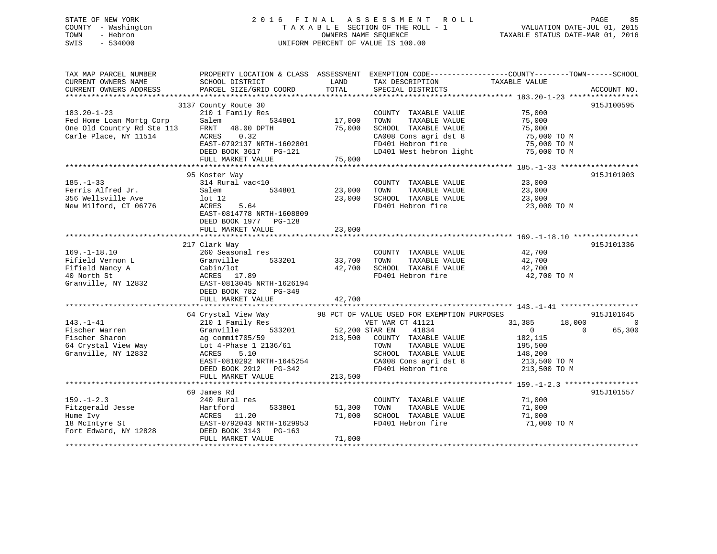# STATE OF NEW YORK 2 0 1 6 F I N A L A S S E S S M E N T R O L L PAGE 85 COUNTY - Washington T A X A B L E SECTION OF THE ROLL - 1 VALUATION DATE-JUL 01, 2015 TOWN - Hebron OWNERS NAME SEQUENCE TAXABLE STATUS DATE-MAR 01, 2016 SWIS - 534000 UNIFORM PERCENT OF VALUE IS 100.00

| TAX MAP PARCEL NUMBER                                      | PROPERTY LOCATION & CLASS ASSESSMENT EXEMPTION CODE-----------------COUNTY--------TOWN------SCHOOL |                 |                                                                                                      |                  |                    |
|------------------------------------------------------------|----------------------------------------------------------------------------------------------------|-----------------|------------------------------------------------------------------------------------------------------|------------------|--------------------|
| CURRENT OWNERS NAME                                        | SCHOOL DISTRICT                                                                                    | LAND            | TAX DESCRIPTION                                                                                      | TAXABLE VALUE    |                    |
| CURRENT OWNERS ADDRESS                                     | PARCEL SIZE/GRID COORD                                                                             | TOTAL           | SPECIAL DISTRICTS                                                                                    |                  | ACCOUNT NO.        |
|                                                            | 3137 County Route 30                                                                               |                 |                                                                                                      |                  | 915J100595         |
| $183.20 - 1 - 23$                                          | 210 1 Family Res                                                                                   |                 | COUNTY TAXABLE VALUE 75,000                                                                          |                  |                    |
|                                                            | 534801<br>Salem                                                                                    | 17,000          | TOWN<br>TAXABLE VALUE                                                                                | 75,000           |                    |
| Fed Home Loan Mortg Corp<br>One Old Country Rd Ste 113     | FRNT 48.00 DPTH                                                                                    | 75,000          | SCHOOL TAXABLE VALUE                                                                                 | 75,000           |                    |
| Carle Place, NY 11514                                      | ACRES 0.32                                                                                         |                 | SCHOOL TAAADDE WELLEN 75,000 TO M<br>CA008 Cons agridst 8 75,000 TO M                                |                  |                    |
|                                                            | EAST-0792137 NRTH-1602801                                                                          |                 |                                                                                                      |                  |                    |
|                                                            | DEED BOOK 3617    PG-121                                                                           | 75 <sup>2</sup> | LD401 West hebron light                                                                              | 75,000 TO M      |                    |
|                                                            |                                                                                                    |                 |                                                                                                      |                  |                    |
|                                                            | FULL MARKET VALUE                                                                                  | 75,000          |                                                                                                      |                  |                    |
|                                                            |                                                                                                    |                 |                                                                                                      |                  | 915J101903         |
|                                                            | 95 Koster Way<br>314 Rural vac<10                                                                  |                 |                                                                                                      |                  |                    |
| $185. - 1 - 33$                                            |                                                                                                    |                 | COUNTY TAXABLE VALUE 23,000                                                                          |                  |                    |
| Ferris Alfred Jr.                                          | 534801<br>Salem                                                                                    | 23,000          | TOWN<br>TAXABLE VALUE                                                                                | 23,000           |                    |
| 356 Wellsville Ave baren 12<br>New Milford, CT 06776 ACRES |                                                                                                    |                 | 23,000 SCHOOL TAXABLE VALUE                                                                          | 23,000           |                    |
|                                                            | 5.64                                                                                               |                 | FD401 Hebron fire                                                                                    | 23,000 TO M      |                    |
|                                                            | EAST-0814778 NRTH-1608809                                                                          |                 |                                                                                                      |                  |                    |
|                                                            | DEED BOOK 1977 PG-128                                                                              |                 |                                                                                                      |                  |                    |
|                                                            | FULL MARKET VALUE                                                                                  | 23,000          |                                                                                                      |                  |                    |
|                                                            |                                                                                                    |                 |                                                                                                      |                  |                    |
|                                                            | 217 Clark Way                                                                                      |                 |                                                                                                      |                  | 915J101336         |
| $169. - 1 - 18.10$                                         | 260 Seasonal res                                                                                   |                 | COUNTY TAXABLE VALUE                                                                                 | 42,700<br>42,700 |                    |
| Fifield Vernon L                                           | 533201<br>Granville                                                                                | $33,700$ TOWN   | TAXABLE VALUE                                                                                        |                  |                    |
| Fifield Nancy A                                            | Cabin/lot<br>ACRES    17.89                                                                        |                 | 42,700 SCHOOL TAXABLE VALUE                                                                          | 42,700           |                    |
| 40 North St                                                |                                                                                                    |                 | FD401 Hebron fire                                                                                    | 42,700 TO M      |                    |
| Granville, NY 12832 EAST-0813045 NRTH-1626194              |                                                                                                    |                 |                                                                                                      |                  |                    |
|                                                            | DEED BOOK 782 PG-349                                                                               |                 |                                                                                                      |                  |                    |
|                                                            | FULL MARKET VALUE                                                                                  | 42,700          |                                                                                                      |                  |                    |
|                                                            |                                                                                                    |                 |                                                                                                      |                  |                    |
|                                                            | 64 Crystal View Way 98 PCT OF VALUE USED FOR EXEMPTION PURPOSES                                    |                 |                                                                                                      |                  | 915J101645         |
| $143. - 1 - 41$                                            |                                                                                                    |                 | VET WAR CT 41121                                                                                     | 31,385 18,000    | $\Omega$           |
| Fischer Warren                                             | 210 1 Family Res VET WAR<br>Granville 533201 52,200 STAR EN                                        |                 | 41834                                                                                                | $\overline{0}$   | $\Omega$<br>65,300 |
| Fischer Sharon                                             | ag commit705/59                                                                                    |                 | 213,500 COUNTY TAXABLE VALUE                                                                         | 182,115          |                    |
| 64 Crystal View Way                                        | Lot 4-Phase 1 2136/61<br>ACRES 5.10                                                                |                 | TAXABLE VALUE<br>TOWN                                                                                | 195,500          |                    |
| Granville, NY 12832                                        |                                                                                                    |                 | SCHOOL TAXABLE VALUE 148,200<br>CA008 Cons agri dst 8 213,500 TO M<br>FD401 Hebron fire 213,500 TO M |                  |                    |
|                                                            | EAST-0810292 NRTH-1645254                                                                          |                 |                                                                                                      |                  |                    |
|                                                            | DEED BOOK 2912 PG-342                                                                              |                 |                                                                                                      |                  |                    |
|                                                            | FULL MARKET VALUE                                                                                  | 213,500         |                                                                                                      |                  |                    |
|                                                            |                                                                                                    |                 |                                                                                                      |                  |                    |
|                                                            | 69 James Rd                                                                                        |                 |                                                                                                      |                  | 915J101557         |
| $159. - 1 - 2.3$                                           | 240 Rural res                                                                                      |                 | COUNTY TAXABLE VALUE                                                                                 | 71,000           |                    |
| Fitzgerald Jesse                                           | Hartford<br>533801                                                                                 | 51,300          | TAXABLE VALUE<br>TOWN                                                                                | 71,000           |                    |
| Hume Ivy                                                   | ACRES 11.20                                                                                        | 71,000          | SCHOOL TAXABLE VALUE                                                                                 | 71,000           |                    |
| 18 McIntyre St                                             | EAST-0792043 NRTH-1629953                                                                          |                 | FD401 Hebron fire                                                                                    | 71,000 TO M      |                    |
| Fort Edward, NY 12828 DEED BOOK 3143 PG-163                |                                                                                                    |                 |                                                                                                      |                  |                    |
|                                                            | FULL MARKET VALUE                                                                                  | 71,000          |                                                                                                      |                  |                    |
|                                                            |                                                                                                    |                 |                                                                                                      |                  |                    |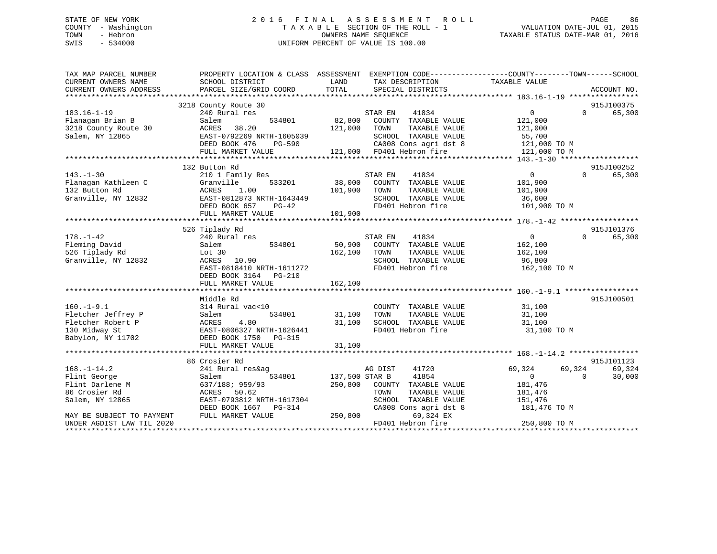# STATE OF NEW YORK 2 0 1 6 F I N A L A S S E S S M E N T R O L L PAGE 86 COUNTY - Washington T A X A B L E SECTION OF THE ROLL - 1 VALUATION DATE-JUL 01, 2015 TOWN - Hebron OWNERS NAME SEQUENCE TAXABLE STATUS DATE-MAR 01, 2016 SWIS - 534000 UNIFORM PERCENT OF VALUE IS 100.00

| TAX MAP PARCEL NUMBER<br>CURRENT OWNERS NAME<br>CURRENT OWNERS ADDRESS                            | PROPERTY LOCATION & CLASS ASSESSMENT<br>SCHOOL DISTRICT<br>PARCEL SIZE/GRID COORD                                                 | LAND<br>TOTAL              | TAX DESCRIPTION<br>SPECIAL DISTRICTS                                                                                        | EXEMPTION CODE-----------------COUNTY-------TOWN------SCHOOL<br>TAXABLE VALUE                   | ACCOUNT NO.          |
|---------------------------------------------------------------------------------------------------|-----------------------------------------------------------------------------------------------------------------------------------|----------------------------|-----------------------------------------------------------------------------------------------------------------------------|-------------------------------------------------------------------------------------------------|----------------------|
| $183.16 - 1 - 19$<br>Flanagan Brian B<br>3218 County Route 30                                     | 3218 County Route 30<br>240 Rural res<br>Salem<br>534801<br><b>ACRES</b><br>38.20                                                 | 82,800<br>121,000          | STAR EN<br>41834<br>COUNTY TAXABLE VALUE<br>TAXABLE VALUE<br>TOWN                                                           | $\overline{0}$<br>$\Omega$<br>121,000<br>121,000                                                | 915J100375<br>65,300 |
| Salem, NY 12865                                                                                   | EAST-0792269 NRTH-1605039<br>DEED BOOK 476<br>PG-590<br>FULL MARKET VALUE                                                         |                            | SCHOOL TAXABLE VALUE<br>CA008 Cons agri dst 8<br>121,000 FD401 Hebron fire                                                  | 55,700<br>121,000 TO M<br>121,000 TO M                                                          |                      |
|                                                                                                   |                                                                                                                                   |                            |                                                                                                                             |                                                                                                 |                      |
| $143. - 1 - 30$<br>Flanagan Kathleen C<br>132 Button Rd<br>Granville, NY 12832                    | 132 Button Rd<br>210 1 Family Res<br>Granville<br>533201<br>ACRES<br>1.00<br>EAST-0812873 NRTH-1643449                            | 38,000<br>101,900          | 41834<br>STAR EN<br>COUNTY TAXABLE VALUE<br>TAXABLE VALUE<br>TOWN<br>SCHOOL TAXABLE VALUE                                   | $\mathbf{0}$<br>$\Omega$<br>101,900<br>101,900<br>36,600                                        | 915J100252<br>65,300 |
|                                                                                                   | DEED BOOK 657<br>$PG-42$                                                                                                          |                            | FD401 Hebron fire                                                                                                           | 101,900 TO M                                                                                    |                      |
|                                                                                                   | FULL MARKET VALUE                                                                                                                 | 101,900                    |                                                                                                                             |                                                                                                 |                      |
|                                                                                                   | 526 Tiplady Rd                                                                                                                    |                            |                                                                                                                             |                                                                                                 | 915J101376           |
| $178. - 1 - 42$                                                                                   | 240 Rural res                                                                                                                     |                            | 41834<br>STAR EN                                                                                                            | $\overline{0}$<br>$\Omega$                                                                      | 65,300               |
| Fleming David<br>526 Tiplady Rd<br>Granville, NY 12832                                            | Salem<br>534801<br>Lot 30<br>10.90<br>ACRES<br>EAST-0818410 NRTH-1611272                                                          | 50,900<br>162,100          | COUNTY TAXABLE VALUE<br>TAXABLE VALUE<br>TOWN<br>SCHOOL TAXABLE VALUE<br>FD401 Hebron fire                                  | 162,100<br>162,100<br>96,800<br>162,100 TO M                                                    |                      |
|                                                                                                   | DEED BOOK 3164 PG-210<br>FULL MARKET VALUE<br>**********************************                                                  | 162,100                    |                                                                                                                             |                                                                                                 |                      |
|                                                                                                   | Middle Rd                                                                                                                         |                            |                                                                                                                             |                                                                                                 | 915J100501           |
| $160. - 1 - 9.1$<br>Fletcher Jeffrey P<br>Fletcher Robert P<br>130 Midway St<br>Babylon, NY 11702 | 314 Rural vac<10<br>Salem<br>534801<br>4.80<br>ACRES<br>EAST-0806327 NRTH-1626441<br>DEED BOOK 1750 PG-315<br>FULL MARKET VALUE   | 31,100<br>31,100<br>31,100 | COUNTY TAXABLE VALUE<br>TAXABLE VALUE<br>TOWN<br>SCHOOL TAXABLE VALUE<br>FD401 Hebron fire                                  | 31,100<br>31,100<br>31,100<br>31,100 TO M                                                       |                      |
|                                                                                                   |                                                                                                                                   |                            |                                                                                                                             |                                                                                                 |                      |
|                                                                                                   | 86 Crosier Rd                                                                                                                     |                            |                                                                                                                             |                                                                                                 | 915J101123           |
| $168. - 1 - 14.2$<br>Flint George<br>Flint Darlene M<br>86 Crosier Rd<br>Salem, NY 12865          | 241 Rural res&ag<br>534801<br>Salem<br>637/188; 959/93<br>ACRES<br>50.62<br>EAST-0793812 NRTH-1617304<br>DEED BOOK 1667<br>PG-314 | 137,500 STAR B<br>250,800  | AG DIST<br>41720<br>41854<br>COUNTY TAXABLE VALUE<br>TOWN<br>TAXABLE VALUE<br>SCHOOL TAXABLE VALUE<br>CA008 Cons agri dst 8 | 69,324<br>69,324<br>$\overline{0}$<br>$\Omega$<br>181,476<br>181,476<br>151,476<br>181,476 TO M | 69,324<br>30,000     |
| MAY BE SUBJECT TO PAYMENT<br>UNDER AGDIST LAW TIL 2020                                            | FULL MARKET VALUE                                                                                                                 | 250,800                    | 69,324 EX<br>FD401 Hebron fire                                                                                              | 250,800 TO M                                                                                    |                      |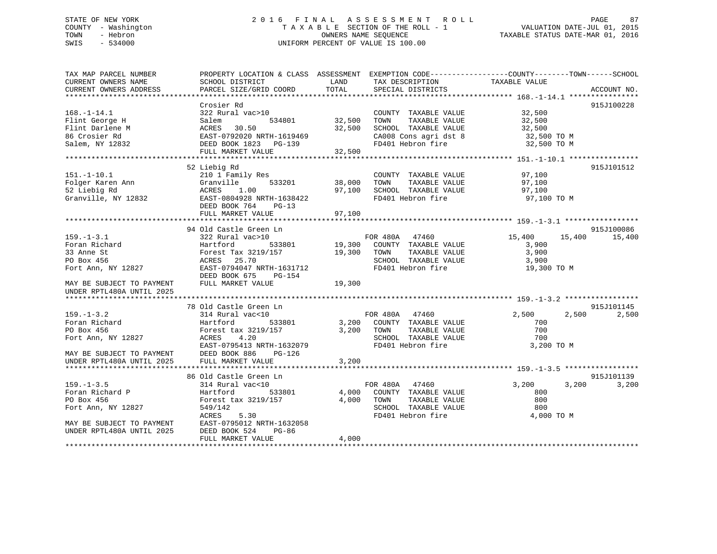# STATE OF NEW YORK 2 0 1 6 F I N A L A S S E S S M E N T R O L L PAGE 87 COUNTY - Washington T A X A B L E SECTION OF THE ROLL - 1 VALUATION DATE-JUL 01, 2015 TOWN - Hebron OWNERS NAME SEQUENCE TAXABLE STATUS DATE-MAR 01, 2016 SWIS - 534000 UNIFORM PERCENT OF VALUE IS 100.00

| TAX MAP PARCEL NUMBER     |                           |        |                       | PROPERTY LOCATION & CLASS ASSESSMENT EXEMPTION CODE----------------COUNTY-------TOWN------SCHOOL |             |
|---------------------------|---------------------------|--------|-----------------------|--------------------------------------------------------------------------------------------------|-------------|
| CURRENT OWNERS NAME       | SCHOOL DISTRICT           | LAND   | TAX DESCRIPTION       | TAXABLE VALUE                                                                                    |             |
| CURRENT OWNERS ADDRESS    | PARCEL SIZE/GRID COORD    | TOTAL  | SPECIAL DISTRICTS     |                                                                                                  | ACCOUNT NO. |
|                           |                           |        |                       |                                                                                                  |             |
|                           | Crosier Rd                |        |                       |                                                                                                  | 915J100228  |
| $168. - 1 - 14.1$         | 322 Rural vac>10          |        | COUNTY TAXABLE VALUE  | 32,500                                                                                           |             |
| Flint George H            | Salem<br>534801           | 32,500 | TOWN<br>TAXABLE VALUE | 32,500                                                                                           |             |
| Flint Darlene M           | ACRES<br>30.50            | 32,500 | SCHOOL TAXABLE VALUE  | 32,500                                                                                           |             |
| 86 Crosier Rd             | EAST-0792020 NRTH-1619469 |        | CA008 Cons agri dst 8 | 32,500 TO M                                                                                      |             |
| Salem, NY 12832           | DEED BOOK 1823 PG-139     |        | FD401 Hebron fire     | 32,500 TO M                                                                                      |             |
|                           | FULL MARKET VALUE         | 32,500 |                       |                                                                                                  |             |
|                           |                           |        |                       |                                                                                                  |             |
|                           | 52 Liebig Rd              |        |                       |                                                                                                  | 915J101512  |
| $151. - 1 - 10.1$         | 210 1 Family Res          |        | COUNTY TAXABLE VALUE  | 97,100                                                                                           |             |
| Folger Karen Ann          | 533201<br>Granville       | 38,000 | TAXABLE VALUE<br>TOWN | 97,100                                                                                           |             |
| 52 Liebig Rd              | 1.00<br>ACRES             | 97,100 | SCHOOL TAXABLE VALUE  | 97,100                                                                                           |             |
| Granville, NY 12832       | EAST-0804928 NRTH-1638422 |        | FD401 Hebron fire     | 97,100 TO M                                                                                      |             |
|                           | DEED BOOK 764<br>$PG-13$  |        |                       |                                                                                                  |             |
|                           | FULL MARKET VALUE         | 97,100 |                       |                                                                                                  |             |
|                           |                           |        |                       |                                                                                                  |             |
|                           | 94 Old Castle Green Ln    |        |                       |                                                                                                  | 915J100086  |
| $159. - 1 - 3.1$          | 322 Rural vac>10          |        | FOR 480A 47460        | 15,400<br>15,400                                                                                 | 15,400      |
| Foran Richard             | Hartford<br>533801        | 19,300 | COUNTY TAXABLE VALUE  | 3,900                                                                                            |             |
| 33 Anne St                | Forest Tax 3219/157       | 19,300 | TOWN<br>TAXABLE VALUE | 3,900                                                                                            |             |
| PO Box 456                | 25.70<br>ACRES            |        | SCHOOL TAXABLE VALUE  | 3,900                                                                                            |             |
| Fort Ann, NY 12827        | EAST-0794047 NRTH-1631712 |        | FD401 Hebron fire     | 19,300 TO M                                                                                      |             |
|                           | DEED BOOK 675<br>PG-154   |        |                       |                                                                                                  |             |
| MAY BE SUBJECT TO PAYMENT | FULL MARKET VALUE         | 19,300 |                       |                                                                                                  |             |
| UNDER RPTL480A UNTIL 2025 |                           |        |                       |                                                                                                  |             |
|                           |                           |        |                       |                                                                                                  |             |
|                           | 78 Old Castle Green Ln    |        |                       |                                                                                                  | 915J101145  |
| $159. - 1 - 3.2$          | 314 Rural vac<10          |        | FOR 480A 47460        | 2,500<br>2,500                                                                                   | 2,500       |
| Foran Richard             | 533801<br>Hartford        | 3,200  | COUNTY TAXABLE VALUE  | 700                                                                                              |             |
| PO Box 456                | Forest tax 3219/157       | 3,200  | TOWN<br>TAXABLE VALUE | 700                                                                                              |             |
| Fort Ann, NY 12827        | 4.20<br>ACRES             |        | SCHOOL TAXABLE VALUE  | 700                                                                                              |             |
|                           | EAST-0795413 NRTH-1632079 |        | FD401 Hebron fire     | 3,200 TO M                                                                                       |             |
| MAY BE SUBJECT TO PAYMENT | DEED BOOK 886<br>$PG-126$ |        |                       |                                                                                                  |             |
| UNDER RPTL480A UNTIL 2025 | FULL MARKET VALUE         | 3,200  |                       |                                                                                                  |             |
|                           |                           |        |                       |                                                                                                  |             |
|                           | 86 Old Castle Green Ln    |        |                       |                                                                                                  | 915J101139  |
| $159. - 1 - 3.5$          | 314 Rural vac<10          |        | FOR 480A 47460        | 3,200<br>3,200                                                                                   | 3,200       |
| Foran Richard P           | 533801<br>Hartford        | 4,000  | COUNTY TAXABLE VALUE  | 800                                                                                              |             |
| PO Box 456                | Forest tax 3219/157       | 4,000  | TOWN<br>TAXABLE VALUE | 800                                                                                              |             |
| Fort Ann, NY 12827        | 549/142                   |        | SCHOOL TAXABLE VALUE  | 800                                                                                              |             |
|                           | ACRES<br>5.30             |        | FD401 Hebron fire     | 4,000 TO M                                                                                       |             |
| MAY BE SUBJECT TO PAYMENT | EAST-0795012 NRTH-1632058 |        |                       |                                                                                                  |             |
| UNDER RPTL480A UNTIL 2025 | DEED BOOK 524<br>$PG-86$  |        |                       |                                                                                                  |             |
|                           | FULL MARKET VALUE         | 4,000  |                       |                                                                                                  |             |
|                           |                           |        |                       |                                                                                                  |             |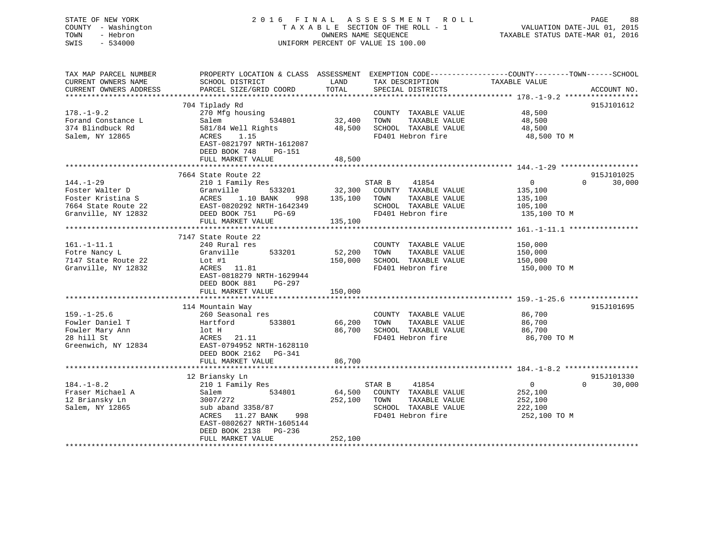| STATE OF NEW YORK<br>COUNTY - Washington<br>- Hebron<br>TOWN<br>$-534000$<br>SWIS                             |                                                                                                                                                                                                                                                          | OWNERS NAME SEOUENCE    | 2016 FINAL ASSESSMENT ROLL<br>TAXABLE SECTION OF THE ROLL - 1<br>UNIFORM PERCENT OF VALUE IS 100.00          | VALUATION DATE-JUL 01, 2015<br>TAXABLE STATUS DATE-MAR 01, 2016 | PAGE<br>88                  |
|---------------------------------------------------------------------------------------------------------------|----------------------------------------------------------------------------------------------------------------------------------------------------------------------------------------------------------------------------------------------------------|-------------------------|--------------------------------------------------------------------------------------------------------------|-----------------------------------------------------------------|-----------------------------|
| TAX MAP PARCEL NUMBER<br>CURRENT OWNERS NAME<br>CURRENT OWNERS ADDRESS                                        | PROPERTY LOCATION & CLASS ASSESSMENT EXEMPTION CODE-----------------COUNTY--------TOWN------SCHOOL<br>SCHOOL DISTRICT<br>PARCEL SIZE/GRID COORD                                                                                                          | LAND<br>TOTAL           | TAX DESCRIPTION TAXABLE VALUE<br>SPECIAL DISTRICTS                                                           |                                                                 | ACCOUNT NO.                 |
| $178. - 1 - 9.2$<br>Forand Constance L<br>374 Blindbuck Rd<br>Salem, NY 12865                                 | 704 Tiplady Rd<br>270 Mfg housing<br>Salem 534801 32,400 TOWN TAXABLE VALUE<br>581/84 Well Rights 48,500 SCHOOL TAXABLE VALUE<br>ACRES 1.15<br>EAST-0821797 NRTH-1612087<br>DEED BOOK 748 PG-151<br>FULL MARKET VALUE                                    | 48,500                  | COUNTY TAXABLE VALUE<br>FD401 Hebron fire                                                                    | 48,500<br>48,500<br>48,500<br>48,500 TO M                       | 915J101612                  |
| $144. - 1 - 29$<br>Foster Walter D<br>Foster Kristina S<br>Foster Kristing<br>7664 State Route 22<br>NV 12832 | 7664 State Route 22<br>210 1 Family Res<br>210 1 Family Res<br>Granville 533201 32,300 COUNTY TAXABLE VALUE<br>ACRES 1.10 BANK 998 135,100 TOWN TAXABLE VALUE<br>EAST-0820292 NRTH-1642349 SCHOOL TAXABLE VALUE<br>DEED BOOK 751 PG-69 FD401 Hebron fire |                         | STAR B<br>41854                                                                                              | $\overline{0}$<br>135,100<br>135,100<br>105,100                 | 915J101025<br>$0 \t30,000$  |
| $161.-1-11.1$                                                                                                 | FULL MARKET VALUE<br>7147 State Route 22<br>240 Rural res                                                                                                                                                                                                | 135,100                 | COUNTY TAXABLE VALUE                                                                                         | 135,100 TO M<br>150,000                                         |                             |
| Fotre Nancy L<br>7147 State Route 22<br>Granville, NY 12832                                                   | Granville<br>533201<br>Lot $#1$<br>ACRES 11.81<br>EAST-0818279 NRTH-1629944<br>DEED BOOK 881<br>PG-297<br>FULL MARKET VALUE                                                                                                                              | 52,200 TOWN<br>150,000  | TAXABLE VALUE<br>150,000 SCHOOL TAXABLE VALUE<br>FD401 Hebron fire                                           | 150,000<br>150,000<br>150,000 ТО М                              |                             |
|                                                                                                               |                                                                                                                                                                                                                                                          |                         |                                                                                                              |                                                                 |                             |
| $159. - 1 - 25.6$<br>Fowler Daniel T<br>Fowler Mary Ann<br>28 hill St<br>Greenwich, NY 12834                  | Accountain Way<br>260 Seasonal res<br>Hartford 533801<br>lot H<br>Reserved<br>ACRES 21.11<br>EAST-0794952 NRTH-1628110<br>DEED BOOK 2162 PG-341                                                                                                          |                         | COUNTY TAXABLE VALUE<br>66,200 TOWN TAXABLE VALUE<br>86,700 SCHOOL TAXABLE VALUE<br>FD401 Hebron fire        | 86,700<br>86,700<br>86,700<br>86,700 TO M                       | 915J101695                  |
|                                                                                                               | FULL MARKET VALUE                                                                                                                                                                                                                                        | 86,700                  |                                                                                                              |                                                                 |                             |
| $184. - 1 - 8.2$<br>Fraser Michael A<br>12 Briansky Ln<br>Salem, NY 12865                                     | 12 Briansky Ln<br>210 1 Family Res<br>Salem 534801<br>3007/272<br>$\frac{3007}{212}$ aband 3358/87<br>ACRES 11.27 BANK 998<br>EAST-0802627 NRTH-1605144<br>DEED BOOK 2138 PG-236<br>FULL MARKET VALUE                                                    | 252,100 TOWN<br>252,100 | 41854<br>STAR B<br>64,500 COUNTY TAXABLE VALUE<br>TAXABLE VALUE<br>SCHOOL TAXABLE VALUE<br>FD401 Hebron fire | $\overline{0}$<br>252,100<br>252,100<br>222,100<br>252,100 TO M | 915J101330<br>$0 \t 30,000$ |
|                                                                                                               |                                                                                                                                                                                                                                                          |                         |                                                                                                              |                                                                 |                             |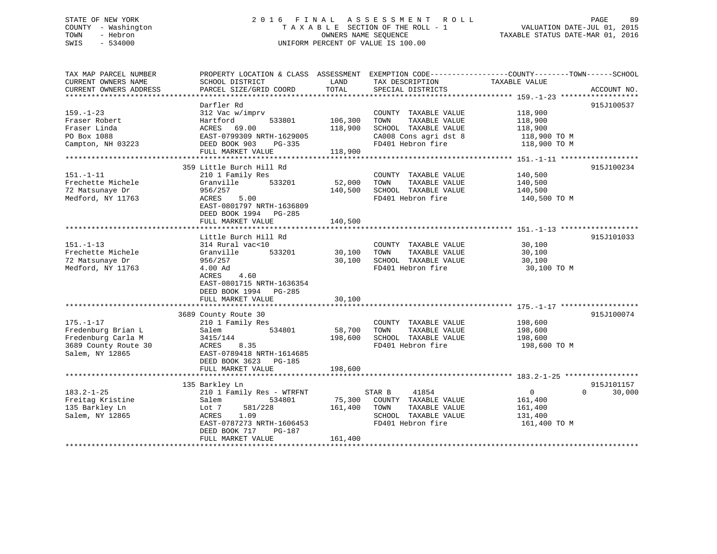# STATE OF NEW YORK 2 0 1 6 F I N A L A S S E S S M E N T R O L L PAGE 89 COUNTY - Washington T A X A B L E SECTION OF THE ROLL - 1 VALUATION DATE-JUL 01, 2015 TOWN - Hebron OWNERS NAME SEQUENCE TAXABLE STATUS DATE-MAR 01, 2016 SWIS - 534000 UNIFORM PERCENT OF VALUE IS 100.00

| TAX MAP PARCEL NUMBER  | PROPERTY LOCATION & CLASS ASSESSMENT |         | EXEMPTION CODE-----------------COUNTY-------TOWN------SCHOOL |                |                    |
|------------------------|--------------------------------------|---------|--------------------------------------------------------------|----------------|--------------------|
| CURRENT OWNERS NAME    | SCHOOL DISTRICT                      | LAND    | TAX DESCRIPTION                                              | TAXABLE VALUE  |                    |
| CURRENT OWNERS ADDRESS | PARCEL SIZE/GRID COORD               | TOTAL   | SPECIAL DISTRICTS                                            |                | ACCOUNT NO.        |
|                        | Darfler Rd                           |         |                                                              |                | 915J100537         |
| $159. - 1 - 23$        | 312 Vac w/imprv                      |         | COUNTY TAXABLE VALUE                                         | 118,900        |                    |
| Fraser Robert          | 533801<br>Hartford                   | 106,300 | TOWN<br>TAXABLE VALUE                                        | 118,900        |                    |
| Fraser Linda           | ACRES<br>69.00                       | 118,900 | SCHOOL TAXABLE VALUE                                         | 118,900        |                    |
| PO Box 1088            | EAST-0799309 NRTH-1629005            |         | CA008 Cons agri dst 8                                        |                |                    |
|                        | PG-335                               |         | FD401 Hebron fire                                            | 118,900 TO M   |                    |
| Campton, NH 03223      | DEED BOOK 903                        |         |                                                              | 118,900 TO M   |                    |
| ********************** | FULL MARKET VALUE                    | 118,900 |                                                              |                |                    |
|                        | 359 Little Burch Hill Rd             |         |                                                              |                | 915J100234         |
| $151. - 1 - 11$        |                                      |         |                                                              |                |                    |
|                        | 210 1 Family Res                     |         | COUNTY TAXABLE VALUE<br>TOWN                                 | 140,500        |                    |
| Frechette Michele      | Granville<br>533201                  | 52,000  | TAXABLE VALUE                                                | 140,500        |                    |
| 72 Matsunaye Dr        | 956/257                              | 140,500 | SCHOOL TAXABLE VALUE                                         | 140,500        |                    |
| Medford, NY 11763      | 5.00<br>ACRES                        |         | FD401 Hebron fire                                            | 140,500 TO M   |                    |
|                        | EAST-0801797 NRTH-1636809            |         |                                                              |                |                    |
|                        | DEED BOOK 1994 PG-285                |         |                                                              |                |                    |
|                        | FULL MARKET VALUE                    | 140,500 |                                                              |                |                    |
|                        |                                      |         |                                                              |                |                    |
|                        | Little Burch Hill Rd                 |         |                                                              |                | 915J101033         |
| $151. - 1 - 13$        | 314 Rural vac<10                     |         | COUNTY TAXABLE VALUE                                         | 30,100         |                    |
| Frechette Michele      | 533201<br>Granville                  | 30,100  | TAXABLE VALUE<br>TOWN                                        | 30,100         |                    |
| 72 Matsunaye Dr        | 956/257                              | 30,100  | SCHOOL TAXABLE VALUE                                         | 30,100         |                    |
| Medford, NY 11763      | 4.00 Ad                              |         | FD401 Hebron fire                                            | 30,100 TO M    |                    |
|                        | 4.60<br>ACRES                        |         |                                                              |                |                    |
|                        | EAST-0801715 NRTH-1636354            |         |                                                              |                |                    |
|                        | DEED BOOK 1994 PG-285                |         |                                                              |                |                    |
|                        | FULL MARKET VALUE                    | 30,100  |                                                              |                |                    |
|                        |                                      |         |                                                              |                |                    |
|                        | 3689 County Route 30                 |         |                                                              |                | 915J100074         |
| $175. - 1 - 17$        | 210 1 Family Res                     |         | COUNTY TAXABLE VALUE                                         | 198,600        |                    |
| Fredenburg Brian L     | 534801<br>Salem                      | 58,700  | TAXABLE VALUE<br>TOWN                                        | 198,600        |                    |
| Fredenburg Carla M     | 3415/144                             | 198,600 | SCHOOL TAXABLE VALUE                                         | 198,600        |                    |
| 3689 County Route 30   | ACRES<br>8.35                        |         | FD401 Hebron fire                                            | 198,600 TO M   |                    |
| Salem, NY 12865        | EAST-0789418 NRTH-1614685            |         |                                                              |                |                    |
|                        | DEED BOOK 3623 PG-185                |         |                                                              |                |                    |
|                        | FULL MARKET VALUE                    | 198,600 |                                                              |                |                    |
|                        |                                      |         |                                                              |                |                    |
|                        | 135 Barkley Ln                       |         |                                                              |                | 915J101157         |
| $183.2 - 1 - 25$       | 210 1 Family Res - WTRFNT            |         | STAR B<br>41854                                              | $\overline{0}$ | 30,000<br>$\Omega$ |
| Freitag Kristine       | Salem<br>534801                      | 75,300  | COUNTY TAXABLE VALUE                                         | 161,400        |                    |
| 135 Barkley Ln         | 581/228<br>Lot 7                     | 161,400 | TOWN<br>TAXABLE VALUE                                        | 161,400        |                    |
| Salem, NY 12865        | ACRES<br>1.09                        |         | SCHOOL TAXABLE VALUE                                         | 131,400        |                    |
|                        | EAST-0787273 NRTH-1606453            |         | FD401 Hebron fire                                            | 161,400 TO M   |                    |
|                        | DEED BOOK 717<br>PG-187              |         |                                                              |                |                    |
|                        | FULL MARKET VALUE                    | 161,400 |                                                              |                |                    |
|                        |                                      |         |                                                              |                |                    |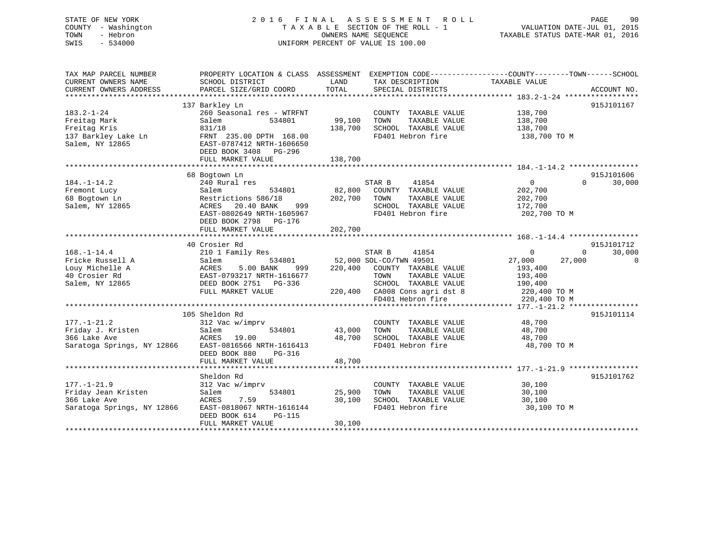# STATE OF NEW YORK 2 0 1 6 F I N A L A S S E S S M E N T R O L L PAGE 90 COUNTY - Washington T A X A B L E SECTION OF THE ROLL - 1 VALUATION DATE-JUL 01, 2015 TOWN - Hebron OWNERS NAME SEQUENCE TAXABLE STATUS DATE-MAR 01, 2016 SWIS - 534000 UNIFORM PERCENT OF VALUE IS 100.00

| TAX MAP PARCEL NUMBER      | PROPERTY LOCATION & CLASS ASSESSMENT   |         |                         | EXEMPTION CODE-----------------COUNTY-------TOWN------SCHOOL |             |
|----------------------------|----------------------------------------|---------|-------------------------|--------------------------------------------------------------|-------------|
| CURRENT OWNERS NAME        | SCHOOL DISTRICT                        | LAND    | TAX DESCRIPTION         | TAXABLE VALUE                                                |             |
| CURRENT OWNERS ADDRESS     | PARCEL SIZE/GRID COORD                 | TOTAL   | SPECIAL DISTRICTS       |                                                              | ACCOUNT NO. |
|                            |                                        |         |                         |                                                              |             |
|                            | 137 Barkley Ln                         |         |                         |                                                              | 915J101167  |
| $183.2 - 1 - 24$           | 260 Seasonal res - WTRFNT              |         | COUNTY TAXABLE VALUE    | 138,700                                                      |             |
| Freitag Mark               | Salem<br>534801                        | 99,100  | TAXABLE VALUE<br>TOWN   | 138,700                                                      |             |
| Freitag Kris               | 831/18                                 | 138,700 | SCHOOL TAXABLE VALUE    | 138,700                                                      |             |
| 137 Barkley Lake Ln        | FRNT 235.00 DPTH 168.00                |         | FD401 Hebron fire       | 138,700 TO M                                                 |             |
| Salem, NY 12865            | EAST-0787412 NRTH-1606650              |         |                         |                                                              |             |
|                            | DEED BOOK 3408 PG-296                  |         |                         |                                                              |             |
|                            | FULL MARKET VALUE                      | 138,700 |                         |                                                              |             |
|                            |                                        |         |                         |                                                              |             |
|                            | 68 Bogtown Ln                          |         |                         |                                                              | 915J101606  |
| $184. - 1 - 14.2$          | 240 Rural res                          |         | STAR B<br>41854         | $\mathbf{0}$<br>$\Omega$                                     | 30,000      |
| Fremont Lucy               | Salem<br>534801                        | 82,800  | COUNTY TAXABLE VALUE    | 202,700                                                      |             |
| 68 Bogtown Ln              | Restrictions 586/18                    | 202,700 | TOWN<br>TAXABLE VALUE   | 202,700                                                      |             |
| Salem, NY 12865            | 20.40 BANK<br>999<br>ACRES             |         | SCHOOL TAXABLE VALUE    | 172,700                                                      |             |
|                            | EAST-0802649 NRTH-1605967              |         | FD401 Hebron fire       | 202,700 TO M                                                 |             |
|                            | DEED BOOK 2798 PG-176                  |         |                         |                                                              |             |
|                            | FULL MARKET VALUE                      | 202,700 |                         |                                                              |             |
|                            |                                        |         |                         |                                                              |             |
|                            | 40 Crosier Rd                          |         |                         |                                                              | 915J101712  |
| $168. - 1 - 14.4$          | 210 1 Family Res                       |         | STAR B<br>41854         | $\overline{0}$<br>0                                          | 30,000      |
| Fricke Russell A           | 534801<br>Salem                        |         | 52,000 SOL-CO/TWN 49501 | 27,000<br>27,000                                             | 0           |
| Louy Michelle A            | ACRES<br>5.00 BANK<br>999              | 220,400 | COUNTY TAXABLE VALUE    | 193,400                                                      |             |
| 40 Crosier Rd              | EAST-0793217 NRTH-1616677              |         | TOWN<br>TAXABLE VALUE   | 193,400                                                      |             |
| Salem, NY 12865            | DEED BOOK 2751 PG-336                  |         | SCHOOL TAXABLE VALUE    | 190,400                                                      |             |
|                            | FULL MARKET VALUE                      | 220,400 | CA008 Cons agri dst 8   | 220,400 TO M                                                 |             |
|                            |                                        |         | FD401 Hebron fire       | 220,400 TO M                                                 |             |
|                            | ************************************** |         |                         | **************** 177.-1-21.2 ****************                |             |
|                            | 105 Sheldon Rd                         |         |                         |                                                              | 915J101114  |
| $177. - 1 - 21.2$          | 312 Vac w/imprv                        |         | COUNTY TAXABLE VALUE    | 48,700                                                       |             |
| Friday J. Kristen          | Salem<br>534801                        | 43,000  | TAXABLE VALUE<br>TOWN   | 48,700                                                       |             |
| 366 Lake Ave               | ACRES<br>19.00                         | 48,700  | SCHOOL TAXABLE VALUE    | 48,700                                                       |             |
| Saratoga Springs, NY 12866 | EAST-0816566 NRTH-1616413              |         | FD401 Hebron fire       | 48,700 TO M                                                  |             |
|                            | DEED BOOK 880<br>$PG-316$              |         |                         |                                                              |             |
|                            | FULL MARKET VALUE                      | 48,700  |                         |                                                              |             |
|                            |                                        |         |                         |                                                              |             |
|                            | Sheldon Rd                             |         |                         |                                                              | 915J101762  |
| $177. - 1 - 21.9$          | 312 Vac w/imprv                        |         | COUNTY TAXABLE VALUE    | 30,100                                                       |             |
| Friday Jean Kristen        | 534801<br>Salem                        | 25,900  | TOWN<br>TAXABLE VALUE   | 30,100                                                       |             |
| 366 Lake Ave               | 7.59<br>ACRES                          | 30,100  | SCHOOL TAXABLE VALUE    | 30,100                                                       |             |
| Saratoga Springs, NY 12866 | EAST-0818067 NRTH-1616144              |         | FD401 Hebron fire       | 30,100 TO M                                                  |             |
|                            | DEED BOOK 614<br><b>PG-115</b>         |         |                         |                                                              |             |
|                            | FULL MARKET VALUE                      | 30,100  |                         |                                                              |             |
|                            |                                        |         |                         |                                                              |             |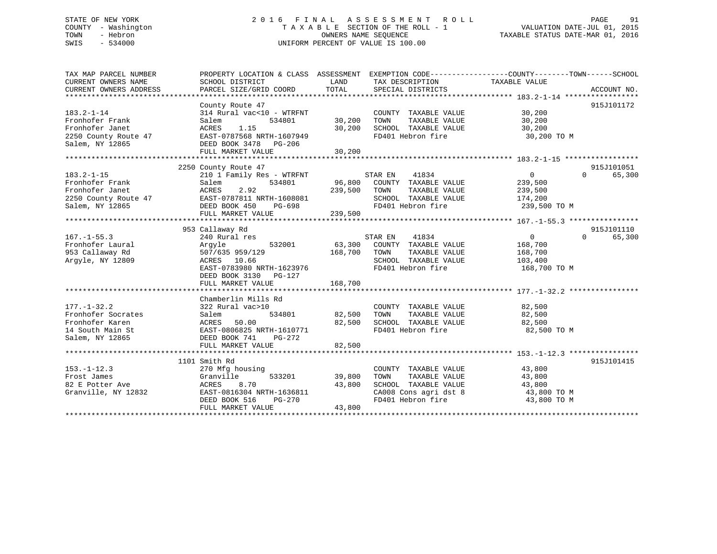# STATE OF NEW YORK 2 0 1 6 F I N A L A S S E S S M E N T R O L L PAGE 91 COUNTY - Washington T A X A B L E SECTION OF THE ROLL - 1 VALUATION DATE-JUL 01, 2015 TOWN - Hebron OWNERS NAME SEQUENCE TAXABLE STATUS DATE-MAR 01, 2016 SWIS - 534000 UNIFORM PERCENT OF VALUE IS 100.00

| TAX MAP PARCEL NUMBER  | PROPERTY LOCATION & CLASS ASSESSMENT EXEMPTION CODE---------------COUNTY-------TOWN-----SCHOOL                                                                                                                                 |                    |                                            |                |                    |
|------------------------|--------------------------------------------------------------------------------------------------------------------------------------------------------------------------------------------------------------------------------|--------------------|--------------------------------------------|----------------|--------------------|
| CURRENT OWNERS NAME    | SCHOOL DISTRICT                                                                                                                                                                                                                | LAND               | TAX DESCRIPTION                            | TAXABLE VALUE  |                    |
| CURRENT OWNERS ADDRESS | PARCEL SIZE/GRID COORD                                                                                                                                                                                                         | TOTAL              | SPECIAL DISTRICTS                          |                | ACCOUNT NO.        |
|                        |                                                                                                                                                                                                                                |                    |                                            |                |                    |
|                        | County Route 47                                                                                                                                                                                                                |                    |                                            |                | 915J101172         |
| $183.2 - 1 - 14$       | 314 Rural vac<10 - WTRFNT                                                                                                                                                                                                      |                    | COUNTY TAXABLE VALUE 30,200                |                |                    |
| Fronhofer Frank        | 534801<br>Salem                                                                                                                                                                                                                | 30,200             | TAXABLE VALUE<br>TOWN                      | 30,200         |                    |
| Fronhofer Janet        | 1.15<br>ACRES                                                                                                                                                                                                                  | 30,200             | SCHOOL TAXABLE VALUE                       | 30,200         |                    |
|                        | 2250 County Route 47 EAST-0787568 NRTH-1607949                                                                                                                                                                                 |                    | FD401 Hebron fire                          | 30,200 TO M    |                    |
| Salem, NY 12865        | DEED BOOK 3478 PG-206                                                                                                                                                                                                          |                    |                                            |                |                    |
|                        | FULL MARKET VALUE                                                                                                                                                                                                              | 30,200             |                                            |                |                    |
|                        | 2250 County Route 47                                                                                                                                                                                                           |                    |                                            |                | 915J101051         |
| $183.2 - 1 - 15$       | 210 1 Family Res - WTRFNT STAR EN                                                                                                                                                                                              |                    | 41834                                      | $\overline{0}$ | 65,300<br>$\Omega$ |
| Fronhofer Frank        | 534801<br>Salem                                                                                                                                                                                                                |                    | 96,800 COUNTY TAXABLE VALUE                | 239,500        |                    |
| Fronhofer Janet        | ACRES<br>2.92                                                                                                                                                                                                                  |                    | 239,500 TOWN<br>TAXABLE VALUE              | 239,500        |                    |
|                        |                                                                                                                                                                                                                                |                    |                                            |                |                    |
|                        |                                                                                                                                                                                                                                |                    |                                            |                |                    |
|                        |                                                                                                                                                                                                                                |                    |                                            |                |                    |
|                        | From the control of the control of the control of the control of the control of the control of the control of the control of the control of the control of the control of the control of the control of the control of the con |                    |                                            |                |                    |
|                        | 953 Callaway Rd                                                                                                                                                                                                                |                    |                                            |                | 915J101110         |
| $167. - 1 - 55.3$      | 240 Rural res                                                                                                                                                                                                                  |                    | STAR EN<br>41834                           | $\overline{0}$ | $\Omega$<br>65,300 |
| Fronhofer Laural       | Arqvle                                                                                                                                                                                                                         |                    | 532001 63,300 COUNTY TAXABLE VALUE 168,700 |                |                    |
| 953 Callaway Rd        | 507/635 959/129                                                                                                                                                                                                                | 168,700            | TOWN<br>TAXABLE VALUE                      | 168,700        |                    |
| Argyle, NY 12809       | ACRES 10.66                                                                                                                                                                                                                    |                    | SCHOOL TAXABLE VALUE                       | 103,400        |                    |
|                        | EAST-0783980 NRTH-1623976                                                                                                                                                                                                      |                    | FD401 Hebron fire                          | 168,700 TO M   |                    |
|                        | DEED BOOK 3130 PG-127                                                                                                                                                                                                          |                    |                                            |                |                    |
|                        | FULL MARKET VALUE                                                                                                                                                                                                              | 168,700            |                                            |                |                    |
|                        |                                                                                                                                                                                                                                |                    |                                            |                |                    |
|                        | Chamberlin Mills Rd                                                                                                                                                                                                            |                    |                                            |                |                    |
| $177. - 1 - 32.2$      | 322 Rural vac>10                                                                                                                                                                                                               |                    | COUNTY TAXABLE VALUE 82,500                |                |                    |
| Fronhofer Socrates     | Salem                                                                                                                                                                                                                          | 534801 82,500 TOWN | TAXABLE VALUE                              | 82,500         |                    |
| Fronhofer Karen        | ACRES<br>50.00                                                                                                                                                                                                                 | 82,500             | SCHOOL TAXABLE VALUE 82,500                |                |                    |
| 14 South Main St       | ACRES     50.00<br>EAST-0806825  NRTH-1610771                                                                                                                                                                                  |                    | FD401 Hebron fire                          | 82,500 TO M    |                    |
| Salem, NY 12865        | DEED BOOK 741 PG-272                                                                                                                                                                                                           |                    |                                            |                |                    |
|                        | FULL MARKET VALUE                                                                                                                                                                                                              | 82,500             |                                            |                |                    |
|                        |                                                                                                                                                                                                                                |                    |                                            |                |                    |
|                        | 1101 Smith Rd                                                                                                                                                                                                                  |                    |                                            |                | 915J101415         |
| $153. - 1 - 12.3$      | 270 Mfg housing                                                                                                                                                                                                                |                    | COUNTY TAXABLE VALUE                       | 43,800         |                    |
| Frost James            | Granville<br>533201                                                                                                                                                                                                            | 39,800             | TAXABLE VALUE<br>TOWN                      | 43,800         |                    |
| 82 E Potter Ave        | ACRES<br>8.70                                                                                                                                                                                                                  | 43,800             | SCHOOL TAXABLE VALUE                       | 43,800         |                    |
| Granville, NY 12832    | EAST-0816304 NRTH-1636811                                                                                                                                                                                                      |                    | CA008 Cons agri dst 8                      | 43,800 TO M    |                    |
|                        | DEED BOOK 516<br>PG-270                                                                                                                                                                                                        |                    | FD401 Hebron fire                          | 43,800 TO M    |                    |
|                        | FULL MARKET VALUE                                                                                                                                                                                                              | 43,800             |                                            |                |                    |
|                        |                                                                                                                                                                                                                                |                    |                                            |                |                    |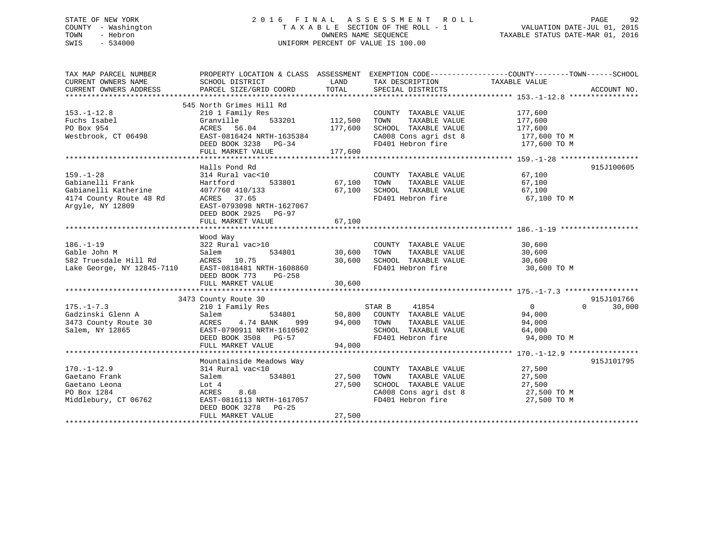# STATE OF NEW YORK 2 0 1 6 F I N A L A S S E S S M E N T R O L L PAGE 92 COUNTY - Washington T A X A B L E SECTION OF THE ROLL - 1 VALUATION DATE-JUL 01, 2015 TOWN - Hebron OWNERS NAME SEQUENCE TAXABLE STATUS DATE-MAR 01, 2016 SWIS - 534000 UNIFORM PERCENT OF VALUE IS 100.00

| TAX MAP PARCEL NUMBER                                                                                                                                   | PROPERTY LOCATION & CLASS ASSESSMENT EXEMPTION CODE---------------COUNTY-------TOWN-----SCHOOL |                    |                                                                                                     |                  |                    |
|---------------------------------------------------------------------------------------------------------------------------------------------------------|------------------------------------------------------------------------------------------------|--------------------|-----------------------------------------------------------------------------------------------------|------------------|--------------------|
| CURRENT OWNERS NAME                                                                                                                                     | SCHOOL DISTRICT                                                                                | LAND               | TAX DESCRIPTION TAXABLE VALUE                                                                       |                  |                    |
| CURRENT OWNERS ADDRESS                                                                                                                                  | PARCEL SIZE/GRID COORD                                                                         | TOTAL              | SPECIAL DISTRICTS                                                                                   |                  | ACCOUNT NO.        |
|                                                                                                                                                         |                                                                                                |                    |                                                                                                     |                  |                    |
|                                                                                                                                                         | 545 North Grimes Hill Rd                                                                       |                    |                                                                                                     |                  |                    |
| $153. - 1 - 12.8$                                                                                                                                       | 210 1 Family Res                                                                               |                    |                                                                                                     | 177,600          |                    |
| Fuchs Isabel                                                                                                                                            | Granville                                                                                      |                    |                                                                                                     | 177,600          |                    |
| PO Box 954                                                                                                                                              |                                                                                                |                    | SCHOOL TAXABLE VALUE 177,600                                                                        |                  |                    |
| Westbrook, CT 06498                                                                                                                                     | ACRES 56.04 177,600<br>EAST-0816424 NRTH-1635384                                               |                    |                                                                                                     |                  |                    |
|                                                                                                                                                         | 2001-0010424 NKTH-1635384<br>DEED BOOK 3238 PG-34<br>THIT 112-112                              |                    | CA008 Cons agri dst 8 $177,600$ TO M<br>FD401 Hebron fire $177,600$ TO M                            |                  |                    |
|                                                                                                                                                         | FULL MARKET VALUE 177,600                                                                      |                    |                                                                                                     |                  |                    |
|                                                                                                                                                         |                                                                                                |                    |                                                                                                     |                  |                    |
|                                                                                                                                                         | Halls Pond Rd                                                                                  |                    |                                                                                                     |                  | 915J100605         |
| $159. - 1 - 28$                                                                                                                                         | 314 Rural vac<10                                                                               |                    |                                                                                                     |                  |                    |
|                                                                                                                                                         |                                                                                                |                    | COUNTY TAXABLE VALUE<br>TOWN      TAXABLE VALUE                                                     | 67,100<br>67,100 |                    |
|                                                                                                                                                         |                                                                                                |                    | 67,100 SCHOOL TAXABLE VALUE 67,100                                                                  |                  |                    |
|                                                                                                                                                         |                                                                                                |                    | FD401 Hebron fire                                                                                   | 67,100 TO M      |                    |
|                                                                                                                                                         |                                                                                                |                    |                                                                                                     |                  |                    |
|                                                                                                                                                         | DEED BOOK 2925 PG-97                                                                           |                    |                                                                                                     |                  |                    |
|                                                                                                                                                         | FULL MARKET VALUE                                                                              | 67,100             |                                                                                                     |                  |                    |
|                                                                                                                                                         |                                                                                                |                    |                                                                                                     |                  |                    |
|                                                                                                                                                         | Wood Way                                                                                       |                    |                                                                                                     |                  |                    |
| $186. - 1 - 19$                                                                                                                                         | 322 Rural vac>10                                                                               |                    | COUNTY TAXABLE VALUE 30,600                                                                         |                  |                    |
|                                                                                                                                                         |                                                                                                |                    | 534801 30,600 TOWN TAXABLE VALUE 30,600                                                             |                  |                    |
|                                                                                                                                                         |                                                                                                |                    |                                                                                                     | 30,600           |                    |
|                                                                                                                                                         |                                                                                                |                    |                                                                                                     | 30,600 TO M      |                    |
|                                                                                                                                                         | DEED BOOK 773<br>PG-258                                                                        |                    |                                                                                                     |                  |                    |
|                                                                                                                                                         |                                                                                                |                    |                                                                                                     |                  |                    |
|                                                                                                                                                         |                                                                                                |                    |                                                                                                     |                  |                    |
|                                                                                                                                                         | 3473 County Route 30                                                                           |                    |                                                                                                     |                  | 915J101766         |
| 175.-1-7.3<br>Gadzinski Glenn A<br>3473 County Route 30<br>The Salem S34801<br>2008 ACRES 4.74 BANK 999<br>EAST-0790911 NRTH-1610502<br>2007 3508 PG-57 |                                                                                                |                    | STAR B 41854                                                                                        | $\overline{0}$   | $\Omega$<br>30,000 |
|                                                                                                                                                         |                                                                                                |                    | 534801 50,800 COUNTY TAXABLE VALUE 94,000                                                           |                  |                    |
|                                                                                                                                                         |                                                                                                | 999 94,000 TOWN    |                                                                                                     |                  |                    |
|                                                                                                                                                         |                                                                                                |                    | TOWN       TAXABLE  VALUE<br>SCHOOL    TAXABLE  VALUE                                               | 94,000<br>64,000 |                    |
|                                                                                                                                                         | DEED BOOK 3508 PG-57                                                                           |                    | FD401 Hebron fire 94,000 TO M                                                                       |                  |                    |
|                                                                                                                                                         |                                                                                                | 94,000             |                                                                                                     |                  |                    |
|                                                                                                                                                         | FULL MARKET VALUE                                                                              |                    |                                                                                                     |                  |                    |
|                                                                                                                                                         | Mountainside Meadows Way                                                                       |                    |                                                                                                     |                  | 915J101795         |
| $170. - 1 - 12.9$                                                                                                                                       |                                                                                                |                    | COUNTY TAXABLE VALUE 27,500                                                                         |                  |                    |
|                                                                                                                                                         | 314 Rural vac<10                                                                               |                    | TAXABLE VALUE                                                                                       |                  |                    |
| Gaetano Frank                                                                                                                                           | Salem                                                                                          | 534801 27,500 TOWN |                                                                                                     | 27,500           |                    |
| Gaetano Leona<br>Lot 4<br>ACRES                                                                                                                         | $8.68$ $27,500$                                                                                |                    | SCHOOL TAXABLE VALUE $27,500$<br>CA008 Cons agri dst 8 27,500 TO M<br>FD401 Hebron fire 27,500 TO M |                  |                    |
| PO Box 1284                                                                                                                                             | ACRES 8.68                                                                                     |                    |                                                                                                     |                  |                    |
| Middlebury, CT 06762 EAST-0816113 NRTH-1617057                                                                                                          |                                                                                                |                    |                                                                                                     |                  |                    |
|                                                                                                                                                         | DEED BOOK 3278 PG-25                                                                           |                    |                                                                                                     |                  |                    |
|                                                                                                                                                         | FULL MARKET VALUE                                                                              | 27,500             |                                                                                                     |                  |                    |
|                                                                                                                                                         |                                                                                                |                    |                                                                                                     |                  |                    |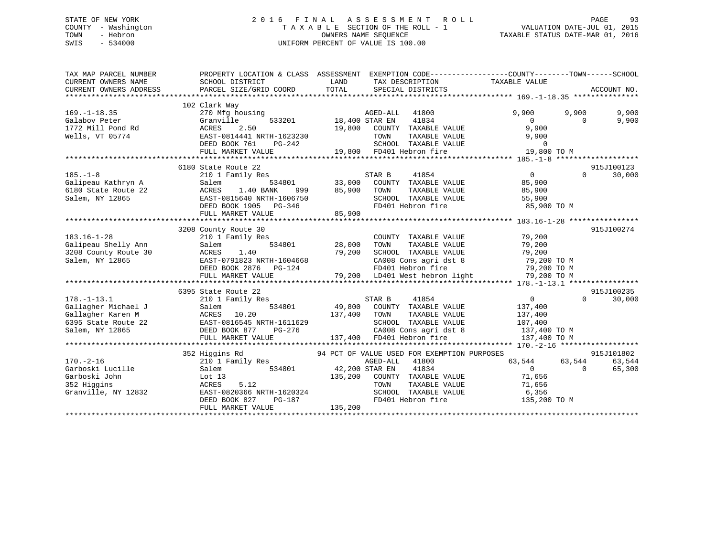# STATE OF NEW YORK 2 0 1 6 F I N A L A S S E S S M E N T R O L L PAGE 93 COUNTY - Washington T A X A B L E SECTION OF THE ROLL - 1 VALUATION DATE-JUL 01, 2015 TOWN - Hebron OWNERS NAME SEQUENCE TAXABLE STATUS DATE-MAR 01, 2016 SWIS - 534000 UNIFORM PERCENT OF VALUE IS 100.00

| TAX MAP PARCEL NUMBER<br>CURRENT OWNERS NAME<br>CURRENT OWNERS ADDRESS                                  | PROPERTY LOCATION & CLASS ASSESSMENT<br>SCHOOL DISTRICT<br>PARCEL SIZE/GRID COORD                                                                                  | LAND<br>TOTAL                        | TAX DESCRIPTION TAXABLE VALUE<br>SPECIAL DISTRICTS                                                                                                                      | EXEMPTION CODE-----------------COUNTY-------TOWN------SCHOOL                    | ACCOUNT NO.                                |
|---------------------------------------------------------------------------------------------------------|--------------------------------------------------------------------------------------------------------------------------------------------------------------------|--------------------------------------|-------------------------------------------------------------------------------------------------------------------------------------------------------------------------|---------------------------------------------------------------------------------|--------------------------------------------|
| $169. - 1 - 18.35$<br>Galabov Peter<br>1772 Mill Pond Rd<br>Wells, VT 05774                             | 102 Clark Way<br>270 Mfg housing<br>Granville<br>2.50<br>ACRES<br>EAST-0814441 NRTH-1623230<br>DEED BOOK 761<br>PG-242<br>FULL MARKET VALUE                        | 533201 18,400 STAR EN<br>19,800      | AGED-ALL 41800<br>41834<br>COUNTY TAXABLE VALUE<br>TOWN<br>TAXABLE VALUE<br>SCHOOL TAXABLE VALUE<br>19,800 FD401 Hebron fire                                            | 9,900<br>9,900<br>$\Omega$<br>9,900<br>9,900<br>$\overline{0}$<br>19,800 TO M   | 9,900<br>9,900<br>$\Omega$                 |
| $185. - 1 - 8$<br>Galipeau Kathryn A<br>6180 State Route 22<br>Salem, NY 12865                          | 6180 State Route 22<br>210 1 Family Res<br>Salem<br>534801<br>1.40 BANK<br>ACRES<br>999<br>EAST-0815640 NRTH-1606750<br>DEED BOOK 1905 PG-346<br>FULL MARKET VALUE | 33,000<br>85,900<br>85,900           | 41854<br>STAR B<br>COUNTY TAXABLE VALUE<br>TOWN<br>TAXABLE VALUE<br>SCHOOL TAXABLE VALUE<br>FD401 Hebron fire                                                           | $0 \qquad \qquad$<br>85,900<br>85,900<br>55,900<br>85,900 TO M                  | 915J100123<br>$\Omega$<br>30,000           |
| $183.16 - 1 - 28$<br>Galipeau Shelly Ann<br>3208 County Route 30<br>Salem, NY 12865                     | 3208 County Route 30<br>210 1 Family Res<br>Salem<br>534801<br>1.40<br>ACRES<br>EAST-0791823 NRTH-1604668<br>DEED BOOK 2876 PG-124<br>FULL MARKET VALUE            | 28,000<br>79,200                     | COUNTY TAXABLE VALUE<br>TOWN<br>TAXABLE VALUE<br>SCHOOL TAXABLE VALUE<br>CA008 Cons agri dst 8<br>FD401 Hebron fire<br>79,200 LD401 West hebron light 79,200 TO M       | 79,200<br>79,200<br>79,200<br>t 8<br>79,200 TO M<br>79,200 TO M                 | 915J100274                                 |
| $178. - 1 - 13.1$<br>Gallagher Michael J<br>Gallagher Karen M<br>6395 State Route 22<br>Salem, NY 12865 | 6395 State Route 22<br>210 1 Family Res<br>534801<br>Salem<br>10.20<br>ACRES<br>EAST-0816545 NRTH-1611629<br>DEED BOOK 877<br>PG-276<br>FULL MARKET VALUE          | 49,800<br>137,400<br>137,400         | STAR B<br>41854<br>COUNTY TAXABLE VALUE<br>TOWN<br>TAXABLE VALUE<br>SCHOOL TAXABLE VALUE<br>CA008 Cons agri dst 8<br>FD401 Hebron fire                                  | $\overline{0}$<br>137,400<br>137,400<br>107,400<br>137,400 TO M<br>137,400 TO M | 915J100235<br>$\Omega$<br>30,000           |
| $170. - 2 - 16$<br>Garboski Lucille<br>Garboski John<br>352 Higgins<br>Granville, NY 12832              | 352 Higgins Rd<br>210 1 Family Res<br>534801<br>Salem<br>Lot 13<br>5.12<br>ACRES<br>EAST-0820366 NRTH-1620324<br>DEED BOOK 827<br>PG-187<br>FULL MARKET VALUE      | 42,200 STAR EN<br>135,200<br>135,200 | 94 PCT OF VALUE USED FOR EXEMPTION PURPOSES<br>AGED-ALL<br>41800<br>41834<br>COUNTY TAXABLE VALUE<br>TAXABLE VALUE<br>TOWN<br>SCHOOL TAXABLE VALUE<br>FD401 Hebron fire | 63,544<br>63,544<br>0<br>71,656<br>71,656<br>6,356<br>135,200 TO M              | 915J101802<br>63,544<br>$\Omega$<br>65,300 |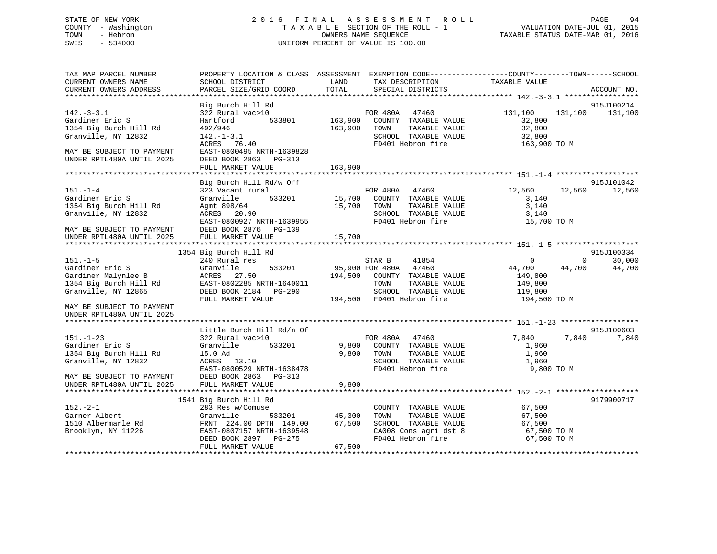# COUNTY - Washington  $T A X A B L E$  SECTION OF THE ROLL - 1<br>TOWN - Hebron DATE-JUL 000NERS NAME SEQUENCE SWIS - 534000 UNIFORM PERCENT OF VALUE IS 100.00

TAXABLE STATUS DATE-MAR 01, 2016

| TAX MAP PARCEL NUMBER                    |                                                    |                                                                                                                                                                                                                                             | PROPERTY LOCATION & CLASS ASSESSMENT EXEMPTION CODE---------------COUNTY-------TOWN-----SCHOOL                                                                                                                                                             |
|------------------------------------------|----------------------------------------------------|---------------------------------------------------------------------------------------------------------------------------------------------------------------------------------------------------------------------------------------------|------------------------------------------------------------------------------------------------------------------------------------------------------------------------------------------------------------------------------------------------------------|
| CURRENT OWNERS NAME                      | SCHOOL DISTRICT                                    |                                                                                                                                                                                                                                             |                                                                                                                                                                                                                                                            |
| CURRENT OWNERS ADDRESS                   | PARCEL SIZE/GRID COORD                             |                                                                                                                                                                                                                                             | ACCOUNT NO.                                                                                                                                                                                                                                                |
|                                          |                                                    |                                                                                                                                                                                                                                             |                                                                                                                                                                                                                                                            |
|                                          | Big Burch Hill Rd                                  |                                                                                                                                                                                                                                             | 915J100214                                                                                                                                                                                                                                                 |
| $142. - 3 - 3.1$                         |                                                    |                                                                                                                                                                                                                                             | $\begin{array}{cccccc} 322 \text{ Rural vac}>10 & \text{FOR } 480 \text{A} & 47460 & 131,100 & 131,100 & 131,100 \\ & & & & & & & 131,100 \\ \text{Hartford} & & & & & 533801 & 163,900 & \text{COUNTY} & \text{TAXABLE VALUE} & & & & 32,800 \end{array}$ |
| Gardiner Eric S                          |                                                    |                                                                                                                                                                                                                                             |                                                                                                                                                                                                                                                            |
| 1354 Big Burch Hill Rd                   | 492/946                                            | 163,900 TOWN                                                                                                                                                                                                                                |                                                                                                                                                                                                                                                            |
| Granville, NY 12832                      | $142. - 1 - 3.1$                                   |                                                                                                                                                                                                                                             | TOWN TAXABLE VALUE 32,800<br>SCHOOL TAXABLE VALUE 32,800<br>FD401 Hebron fire 163,900 TO M                                                                                                                                                                 |
|                                          | ACRES 76.40                                        |                                                                                                                                                                                                                                             |                                                                                                                                                                                                                                                            |
| MAY BE SUBJECT TO PAYMENT                | EAST-0800495 NRTH-1639828                          |                                                                                                                                                                                                                                             |                                                                                                                                                                                                                                                            |
| UNDER RPTL480A UNTIL 2025                | DEED BOOK 2863 PG-313                              |                                                                                                                                                                                                                                             |                                                                                                                                                                                                                                                            |
|                                          | FULL MARKET VALUE                                  | 163,900                                                                                                                                                                                                                                     |                                                                                                                                                                                                                                                            |
|                                          |                                                    | Contrast to the Magnetic Cream of the Magnet Street and the Magnet Street Street Acres 20.90<br>EAST-0800927 NPTH 10001 CONTRAINE ON TAXABLE VALUE<br>EAST-0800927 NPTH 10001                                                               |                                                                                                                                                                                                                                                            |
|                                          |                                                    |                                                                                                                                                                                                                                             | 915J101042                                                                                                                                                                                                                                                 |
| $151. - 1 - 4$                           |                                                    |                                                                                                                                                                                                                                             | 12,560<br>$12,560$ $12,560$                                                                                                                                                                                                                                |
| Gardiner Eric S                          |                                                    |                                                                                                                                                                                                                                             | 3,140                                                                                                                                                                                                                                                      |
| 1354 Big Burch Hill Rd                   |                                                    | TAXABLE VALUE                                                                                                                                                                                                                               | 3,140                                                                                                                                                                                                                                                      |
| Granville, NY 12832                      |                                                    |                                                                                                                                                                                                                                             | SCHOOL TAXABLE VALUE 3,140<br>FD401 Hebron fire 15,700 TO M                                                                                                                                                                                                |
|                                          | EAST-0800927 NRTH-1639955                          |                                                                                                                                                                                                                                             |                                                                                                                                                                                                                                                            |
| MAY BE SUBJECT TO PAYMENT                | DEED BOOK 2876 PG-139                              |                                                                                                                                                                                                                                             |                                                                                                                                                                                                                                                            |
| UNDER RPTL480A UNTIL 2025                | FULL MARKET VALUE                                  | 15,700                                                                                                                                                                                                                                      |                                                                                                                                                                                                                                                            |
|                                          |                                                    |                                                                                                                                                                                                                                             |                                                                                                                                                                                                                                                            |
|                                          | 1354 Big Burch Hill Rd                             |                                                                                                                                                                                                                                             | 915J100334                                                                                                                                                                                                                                                 |
| $151. -1-5$                              |                                                    |                                                                                                                                                                                                                                             | 30,000                                                                                                                                                                                                                                                     |
| Gardiner Eric S<br>Gardiner Malynlee B   |                                                    | 240 Rural res<br>Granville 533201 95,900 FOR 480A 47460 44,700 44,700 44,700                                                                                                                                                                | 44,700                                                                                                                                                                                                                                                     |
|                                          |                                                    |                                                                                                                                                                                                                                             | 149,800                                                                                                                                                                                                                                                    |
|                                          |                                                    |                                                                                                                                                                                                                                             | TAXABLE VALUE 149,800                                                                                                                                                                                                                                      |
|                                          |                                                    |                                                                                                                                                                                                                                             | 119,800                                                                                                                                                                                                                                                    |
|                                          |                                                    | FULL MARKET VALUE 194,500 FD401 Hebron fire 194,500 TO M                                                                                                                                                                                    |                                                                                                                                                                                                                                                            |
| MAY BE SUBJECT TO PAYMENT                |                                                    |                                                                                                                                                                                                                                             |                                                                                                                                                                                                                                                            |
| UNDER RPTL480A UNTIL 2025                |                                                    |                                                                                                                                                                                                                                             |                                                                                                                                                                                                                                                            |
|                                          |                                                    |                                                                                                                                                                                                                                             |                                                                                                                                                                                                                                                            |
|                                          | Little Burch Hill Rd/n Of                          |                                                                                                                                                                                                                                             | 915J100603                                                                                                                                                                                                                                                 |
| $151. - 1 - 23$                          | 322 Rural vac>10                                   | FOR 480A 47460                                                                                                                                                                                                                              | 7,840<br>7,840 7,840                                                                                                                                                                                                                                       |
| Gardiner Eric S                          | Granville 533201                                   | 9,800 COUNTY TAXABLE VALUE                                                                                                                                                                                                                  | 1,960                                                                                                                                                                                                                                                      |
| 1354 Big Burch Hill Rd                   | 15.0 Ad                                            | 9,800 TOWN                                                                                                                                                                                                                                  |                                                                                                                                                                                                                                                            |
| Granville, NY 12832                      | ACRES 13.10                                        | TOWN TAXABLE VALUE 1,960<br>SCHOOL TAXABLE VALUE 1,960                                                                                                                                                                                      |                                                                                                                                                                                                                                                            |
|                                          | EAST-0800529 NRTH-1638478<br>DEED BOOK 2863 PG-313 | FD401 Hebron fire<br>FD401 Hebron fire                                                                                                                                                                                                      | 9,800 TO M                                                                                                                                                                                                                                                 |
|                                          |                                                    |                                                                                                                                                                                                                                             |                                                                                                                                                                                                                                                            |
|                                          |                                                    | 9,800                                                                                                                                                                                                                                       |                                                                                                                                                                                                                                                            |
|                                          |                                                    |                                                                                                                                                                                                                                             |                                                                                                                                                                                                                                                            |
|                                          | 1541 Big Burch Hill Rd                             |                                                                                                                                                                                                                                             | 9179900717                                                                                                                                                                                                                                                 |
| $152 - 2 - 1$                            | 283 Res w/Comuse                                   |                                                                                                                                                                                                                                             |                                                                                                                                                                                                                                                            |
| Garner Albert                            |                                                    | $\begin{tabular}{lllllllll} \multicolumn{2}{c}{\textbf{COUNTY}} & \textbf{TXABLE VALUE} & & & & 67,500 \\ \multicolumn{2}{c}{\textbf{TOWN}} & \textbf{TXABLE VALUE} & & & 67,500 \\ \end{tabular}$<br>Follidate COON1<br>533201 45,300 TOWN |                                                                                                                                                                                                                                                            |
|                                          | Granville                                          |                                                                                                                                                                                                                                             |                                                                                                                                                                                                                                                            |
| 1510 Albermarle Rd<br>Brooklyn, NY 11226 |                                                    |                                                                                                                                                                                                                                             |                                                                                                                                                                                                                                                            |
|                                          |                                                    |                                                                                                                                                                                                                                             | CA008 Cons agri dst 8 67,500 TO M<br>FD401 Hebron fire 67,500 TO M                                                                                                                                                                                         |
|                                          |                                                    |                                                                                                                                                                                                                                             |                                                                                                                                                                                                                                                            |
|                                          | FULL MARKET VALUE                                  | 67,500                                                                                                                                                                                                                                      |                                                                                                                                                                                                                                                            |
|                                          |                                                    |                                                                                                                                                                                                                                             |                                                                                                                                                                                                                                                            |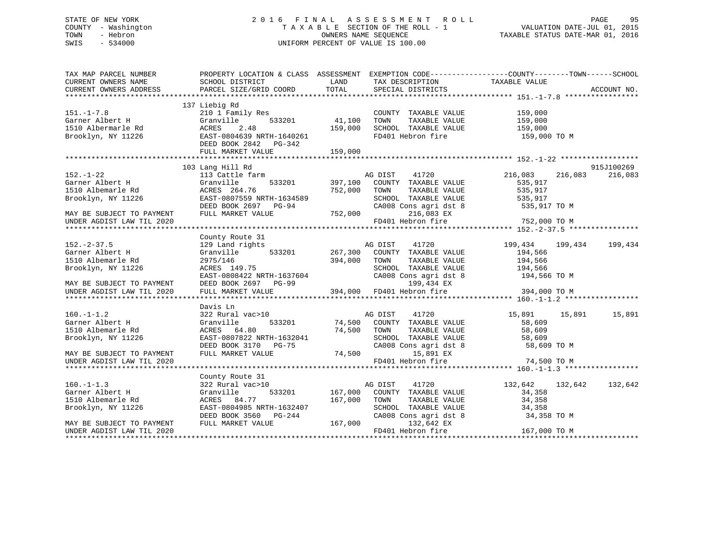# STATE OF NEW YORK 2 0 1 6 F I N A L A S S E S S M E N T R O L L PAGE 95 COUNTY - Washington T A X A B L E SECTION OF THE ROLL - 1 VALUATION DATE-JUL 01, 2015 TOWN - Hebron OWNERS NAME SEQUENCE TAXABLE STATUS DATE-MAR 01, 2016 SWIS - 534000 UNIFORM PERCENT OF VALUE IS 100.00

| TAX MAP PARCEL NUMBER     | PROPERTY LOCATION & CLASS ASSESSMENT EXEMPTION CODE---------------COUNTY-------TOWN-----SCHOOL                                                                           |                |                                                                    |                         |         |             |
|---------------------------|--------------------------------------------------------------------------------------------------------------------------------------------------------------------------|----------------|--------------------------------------------------------------------|-------------------------|---------|-------------|
| CURRENT OWNERS NAME       | SCHOOL DISTRICT                                                                                                                                                          | LAND           | TAX DESCRIPTION                                                    | TAXABLE VALUE           |         |             |
| CURRENT OWNERS ADDRESS    | PARCEL SIZE/GRID COORD                                                                                                                                                   | TOTAL          | SPECIAL DISTRICTS                                                  |                         |         | ACCOUNT NO. |
|                           |                                                                                                                                                                          |                |                                                                    |                         |         |             |
|                           | 137 Liebig Rd                                                                                                                                                            |                |                                                                    |                         |         |             |
| $151. - 1 - 7.8$          | 210 1 Family Res                                                                                                                                                         |                | COUNTY TAXABLE VALUE 159,000                                       |                         |         |             |
| Garner Albert H           | 533201<br>Granville                                                                                                                                                      | 41,100         | TOWN                                                               | TAXABLE VALUE 159,000   |         |             |
| 1510 Albermarle Rd        | ACRES<br>2.48                                                                                                                                                            | 159,000        | SCHOOL TAXABLE VALUE<br>FD401 Hebron fire                          | 159,000<br>159,000 TO M |         |             |
| Brooklyn, NY 11226        | EAST-0804639 NRTH-1640261                                                                                                                                                |                |                                                                    |                         |         |             |
|                           | DEED BOOK 2842 PG-342                                                                                                                                                    |                |                                                                    |                         |         |             |
|                           |                                                                                                                                                                          |                |                                                                    |                         |         |             |
|                           |                                                                                                                                                                          |                |                                                                    |                         |         |             |
|                           | 103 Lang Hill Rd                                                                                                                                                         |                |                                                                    |                         |         | 915J100269  |
| $152. - 1 - 22$           | 113 Cattle farm                                                                                                                                                          |                | AG DIST<br>41720                                                   | 216,083                 | 216,083 | 216,083     |
| Garner Albert H           | Granville                                                                                                                                                                | 533201 397,100 | COUNTY TAXABLE VALUE                                               | 535,917                 |         |             |
| 1510 Albemarle Rd         | ACRES 264.76                                                                                                                                                             | 752,000        | TOWN<br>TAXABLE VALUE                                              | 535,917                 |         |             |
| Brooklyn, NY 11226        | EAST-0807559 NRTH-1634589                                                                                                                                                |                |                                                                    |                         |         |             |
|                           | DEED BOOK 2697 PG-94<br>FULI MARKET VALUE                                                                                                                                |                | SCHOOL TAXABLE VALUE 535,917<br>CA008 Cons agri dst 8 535,917 TO M |                         |         |             |
|                           |                                                                                                                                                                          |                |                                                                    |                         |         |             |
|                           |                                                                                                                                                                          |                |                                                                    |                         |         |             |
|                           |                                                                                                                                                                          |                |                                                                    |                         |         |             |
|                           | County Route 31                                                                                                                                                          |                |                                                                    |                         |         |             |
| $152. - 2 - 37.5$         | 129 Land rights                                                                                                                                                          |                | 41720<br>AG DIST                                                   | 199,434                 | 199,434 | 199,434     |
| Garner Albert H           | Granville                                                                                                                                                                | 533201 267,300 | COUNTY TAXABLE VALUE                                               | 194,566                 |         |             |
| 1510 Albemarle Rd         | 2975/146                                                                                                                                                                 | 394,000        | TOWN<br>TAXABLE VALUE                                              | 194,566                 |         |             |
| Brooklyn, NY 11226        | ACRES 149.75                                                                                                                                                             |                | SCHOOL TAXABLE VALUE 194,566                                       |                         |         |             |
|                           |                                                                                                                                                                          |                | CA008 Cons agri dst 8                                              | 194,566 TO M            |         |             |
| MAY BE SUBJECT TO PAYMENT |                                                                                                                                                                          |                | 199,434 EX                                                         |                         |         |             |
|                           |                                                                                                                                                                          |                |                                                                    | 394,000 TO M            |         |             |
| UNDER AGDIST LAW TIL 2020 | EAST-0808422 NRTH-1637604<br>DEED BOOK 2697 PG-99<br>199,434 EX<br>FULL MARKET VALUE<br>FULL MARKET VALUE<br>FULL MARKET VALUE<br>FULL MARKET VALUE<br>FULL MARKET VALUE |                |                                                                    |                         |         |             |
|                           | Davis Ln                                                                                                                                                                 |                |                                                                    |                         |         |             |
|                           |                                                                                                                                                                          |                |                                                                    |                         |         |             |
| $160. - 1 - 1.2$          | 322 Rural vac>10                                                                                                                                                         |                | 41720<br>AG DIST<br>533201 74,500 COUNTY TAXABLE VALUE             | 15,891                  | 15,891  | 15,891      |
| Garner Albert H           | Granville                                                                                                                                                                |                |                                                                    | 58,609                  |         |             |
| 1510 Albemarle Rd         | ACRES 64.80                                                                                                                                                              | 74,500 TOWN    | TAXABLE VALUE                                                      | 58,609                  |         |             |
| Brooklyn, NY 11226        | EAST-0807822 NRTH-1632041                                                                                                                                                |                | SCHOOL TAXABLE VALUE                                               | 58,609                  |         |             |
|                           | DEED BOOK 3170 PG-75                                                                                                                                                     |                | CA008 Cons agri dst 8                                              | 58,609 TO M             |         |             |
| MAY BE SUBJECT TO PAYMENT | FULL MARKET VALUE                                                                                                                                                        | 74,500         | 15,891 EX                                                          |                         |         |             |
| UNDER AGDIST LAW TIL 2020 |                                                                                                                                                                          |                | FD401 Hebron fire                                                  | 74,500 TO M             |         |             |
|                           |                                                                                                                                                                          |                |                                                                    |                         |         |             |
|                           | County Route 31                                                                                                                                                          |                |                                                                    |                         |         |             |
| $160. -1 - 1.3$           | 322 Rural vac>10                                                                                                                                                         |                | AG DIST<br>41720                                                   | 132,642                 | 132,642 | 132,642     |
| Garner Albert H           | Granville                                                                                                                                                                | 533201 167,000 | COUNTY TAXABLE VALUE                                               | 34,358                  |         |             |
| 1510 Albemarle Rd         | ACRES 84.77                                                                                                                                                              | 167,000        | TOWN<br>TAXABLE VALUE                                              | 34,358                  |         |             |
| Brooklyn, NY 11226        | EAST-0804985 NRTH-1632407                                                                                                                                                |                | SCHOOL TAXABLE VALUE                                               | 34,358                  |         |             |
|                           | DEED BOOK 3560 PG-244                                                                                                                                                    |                | CA008 Cons agri dst 8 34,358 TO M                                  |                         |         |             |
| MAY BE SUBJECT TO PAYMENT | FULL MARKET VALUE                                                                                                                                                        | 167,000        | 132,642 EX                                                         |                         |         |             |
| UNDER AGDIST LAW TIL 2020 |                                                                                                                                                                          |                | FD401 Hebron fire                                                  | 167,000 TO M            |         |             |
|                           |                                                                                                                                                                          |                |                                                                    |                         |         |             |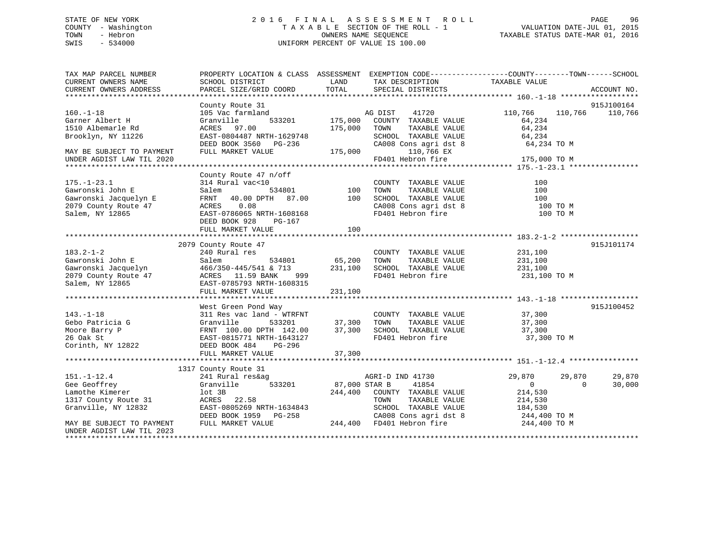# STATE OF NEW YORK 2 0 1 6 F I N A L A S S E S S M E N T R O L L PAGE 96 COUNTY - Washington T A X A B L E SECTION OF THE ROLL - 1 VALUATION DATE-JUL 01, 2015 TOWN - Hebron OWNERS NAME SEQUENCE TAXABLE STATUS DATE-MAR 01, 2016 SWIS - 534000 UNIFORM PERCENT OF VALUE IS 100.00

| TAX MAP PARCEL NUMBER<br>CURRENT OWNERS NAME                                                                                                                          | PROPERTY LOCATION & CLASS ASSESSMENT EXEMPTION CODE---------------COUNTY-------TOWN-----SCHOOL<br>SCHOOL DISTRICT                                                                      | LAND                                     | TAX DESCRIPTION                                                                                                                                             | TAXABLE VALUE                                                                                                   |                  |
|-----------------------------------------------------------------------------------------------------------------------------------------------------------------------|----------------------------------------------------------------------------------------------------------------------------------------------------------------------------------------|------------------------------------------|-------------------------------------------------------------------------------------------------------------------------------------------------------------|-----------------------------------------------------------------------------------------------------------------|------------------|
| CURRENT OWNERS ADDRESS                                                                                                                                                | PARCEL SIZE/GRID COORD                                                                                                                                                                 | TOTAL                                    | SPECIAL DISTRICTS                                                                                                                                           |                                                                                                                 | ACCOUNT NO.      |
|                                                                                                                                                                       | County Route 31                                                                                                                                                                        |                                          |                                                                                                                                                             |                                                                                                                 | 915J100164       |
| $160. - 1 - 18$<br>Garner Albert H<br>1510 Albemarle Rd<br>Brooklyn, NY 11226<br>MAY BE SUBJECT TO PAYMENT<br>UNDER AGDIST LAW TIL 2020                               | 105 Vac farmland<br>533201<br>Granville<br>ACRES 97.00<br>EAST-0804487 NRTH-1629748<br>DEED BOOK 3560 PG-236<br>FULL MARKET VALUE                                                      | AG DIST<br>175,000<br>175,000<br>175,000 | 41720<br>COUNTY TAXABLE VALUE<br>TOWN<br>TAXABLE VALUE<br>SCHOOL TAXABLE VALUE<br>CA008 Cons agri dst 8<br>110,766 EX<br>FD401 Hebron fire                  | 110,766<br>110,766<br>64,234<br>64,234<br>64,234<br>64,234 TO M<br>175,000 TO M                                 | 110,766          |
|                                                                                                                                                                       |                                                                                                                                                                                        |                                          |                                                                                                                                                             |                                                                                                                 |                  |
| $175. - 1 - 23.1$<br>Gawronski John E<br>Gawronski Jacquelyn E<br>2079 County Route 47<br>Salem, NY 12865                                                             | County Route 47 n/off<br>314 Rural vac<10<br>534801<br>Salem<br>40.00 DPTH 87.00<br>FRNT<br>0.08<br>ACRES<br>EAST-0786065 NRTH-1608168<br>DEED BOOK 928<br>PG-167<br>FULL MARKET VALUE | 100<br>100<br>100                        | COUNTY TAXABLE VALUE<br>TOWN<br>TAXABLE VALUE<br>SCHOOL TAXABLE VALUE<br>SCHOOL TAXABLE VALUE<br>CA008 Cons agri dst 8<br>FD401 Hebron fire                 | 100<br>100<br>100<br>100 TO M<br>100 TO M                                                                       |                  |
|                                                                                                                                                                       | 2079 County Route 47                                                                                                                                                                   |                                          |                                                                                                                                                             |                                                                                                                 | 915J101174       |
| $183.2 - 1 - 2$<br>Gawronski John E<br>Gawronski Jacquelyn<br>Gawronski Jacquelyn (166/350-445/541 & 7<br>2079 County Route 47 (1.59 BANK Salem, NY 12865 (1.59 BANK) | 240 Rural res<br>Salem<br>534801<br>466/350-445/541 & 713<br>999<br>EAST-0785793 NRTH-1608315                                                                                          | 65,200<br>231,100                        | COUNTY TAXABLE VALUE<br>TOWN<br>TAXABLE VALUE<br>SCHOOL TAXABLE VALUE<br>FD401 Hebron fire                                                                  | 231,100<br>231,100<br>231,100<br>231,100 TO M                                                                   |                  |
|                                                                                                                                                                       | West Green Pond Way                                                                                                                                                                    |                                          |                                                                                                                                                             |                                                                                                                 | 915J100452       |
| $143. - 1 - 18$<br>Gebo Patricia G<br>Moore Barry P<br>26 Oak St<br>Corinth, NY 12822                                                                                 | 311 Res vac land - WTRFNT<br>Granville 533201 37,300<br>FRNT 100.00 DPTH 142.00 37,300<br>EAST-0815771 NRTH-1643127<br>PG-296<br>DEED BOOK 484<br>FULL MARKET VALUE                    | 37,300                                   | COUNTY TAXABLE VALUE<br>TAXABLE VALUE<br>TOWN<br>SCHOOL TAXABLE VALUE<br>FD401 Hebron fire                                                                  | 37,300<br>37,300<br>37,300<br>37,300 TO M                                                                       |                  |
|                                                                                                                                                                       |                                                                                                                                                                                        |                                          |                                                                                                                                                             |                                                                                                                 |                  |
| $151. - 1 - 12.4$<br>Gee Geoffrey<br>Lamothe Kimerer<br>1317 County Route 31<br>Granville, NY 12832<br>MAY BE SUBJECT TO PAYMENT                                      | 1317 County Route 31<br>241 Rural res&ag<br>533201<br>Granville<br>lot 3B<br>ACRES 22.58<br>EAST-0805269 NRTH-1634843<br>DEED BOOK 1959 PG-258<br>FULL MARKET VALUE                    | AGRI-D<br>87,000 STAR B<br>244,400       | AGRI-D IND 41730<br>41854<br>COUNTY TAXABLE VALUE<br>TAXABLE VALUE<br>TOWN<br>SCHOOL TAXABLE VALUE<br>58 CA008 Cons agri dst 8<br>244,400 FD401 Hebron fire | 29,870<br>29,870<br>$\overline{0}$<br>$\Omega$<br>214,530<br>214,530<br>184,530<br>244,400 TO M<br>244,400 TO M | 29,870<br>30,000 |
| UNDER AGDIST LAW TIL 2023                                                                                                                                             |                                                                                                                                                                                        |                                          |                                                                                                                                                             |                                                                                                                 |                  |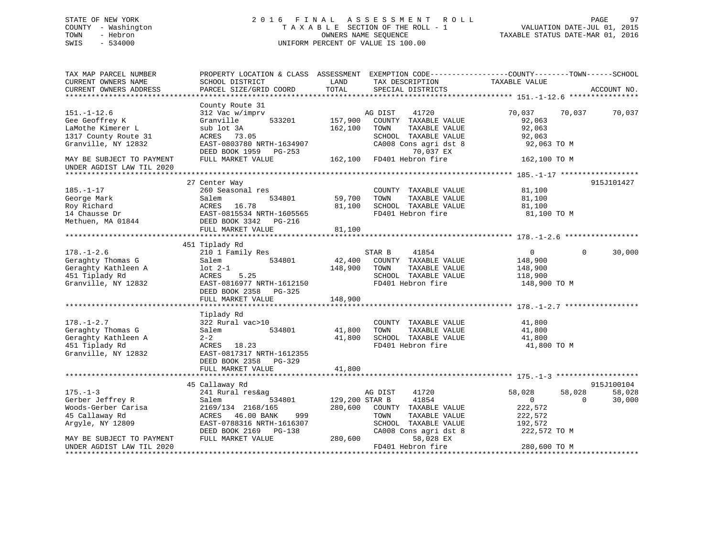# STATE OF NEW YORK 2 0 1 6 F I N A L A S S E S S M E N T R O L L PAGE 97 COUNTY - Washington T A X A B L E SECTION OF THE ROLL - 1 VALUATION DATE-JUL 01, 2015 TOWN - Hebron OWNERS NAME SEQUENCE TAXABLE STATUS DATE-MAR 01, 2016 SWIS - 534000 UNIFORM PERCENT OF VALUE IS 100.00

| TAX MAP PARCEL NUMBER<br>CURRENT OWNERS NAME<br>CURRENT OWNERS ADDRESS<br>*************************     | PROPERTY LOCATION & CLASS ASSESSMENT<br>SCHOOL DISTRICT<br>PARCEL SIZE/GRID COORD<br>*********************                                                        | LAND<br>TOTAL                | EXEMPTION CODE----------------COUNTY-------TOWN------SCHOOL<br>TAX DESCRIPTION<br>SPECIAL DISTRICTS                         | TAXABLE VALUE                                                             |                    | ACCOUNT NO.      |
|---------------------------------------------------------------------------------------------------------|-------------------------------------------------------------------------------------------------------------------------------------------------------------------|------------------------------|-----------------------------------------------------------------------------------------------------------------------------|---------------------------------------------------------------------------|--------------------|------------------|
|                                                                                                         |                                                                                                                                                                   |                              |                                                                                                                             |                                                                           |                    |                  |
| $151. - 1 - 12.6$<br>Gee Geoffrey K<br>LaMothe Kimerer L<br>1317 County Route 31<br>Granville, NY 12832 | County Route 31<br>312 Vac w/imprv<br>Granville<br>533201<br>sub lot 3A<br>ACRES 73.05<br>EAST-0803780 NRTH-1634907                                               | 157,900<br>162,100           | AG DIST<br>41720<br>COUNTY TAXABLE VALUE<br>TOWN<br>TAXABLE VALUE<br>SCHOOL TAXABLE VALUE<br>CA008 Cons agri dst 8          | 70,037<br>92,063<br>92,063<br>92,063<br>92,063 TO M                       | 70,037             | 70,037           |
| MAY BE SUBJECT TO PAYMENT<br>UNDER AGDIST LAW TIL 2020                                                  | DEED BOOK 1959 PG-253<br>FULL MARKET VALUE                                                                                                                        |                              | 70,037 EX<br>162,100 FD401 Hebron fire                                                                                      | 162,100 TO M                                                              |                    |                  |
|                                                                                                         |                                                                                                                                                                   |                              |                                                                                                                             |                                                                           |                    |                  |
| $185. - 1 - 17$<br>George Mark<br>Roy Richard<br>14 Chausse Dr<br>Methuen, MA 01844                     | 27 Center Way<br>260 Seasonal res<br>534801<br>Salem<br>16.78<br>ACRES<br>EAST-0815534 NRTH-1605565<br>DEED BOOK 3342 PG-216<br>FULL MARKET VALUE                 | 59,700<br>81,100<br>81,100   | COUNTY TAXABLE VALUE<br>TAXABLE VALUE<br>TOWN<br>SCHOOL TAXABLE VALUE<br>FD401 Hebron fire                                  | 81,100<br>81,100<br>81,100<br>81,100 TO M                                 |                    | 915J101427       |
|                                                                                                         |                                                                                                                                                                   |                              |                                                                                                                             |                                                                           |                    |                  |
| $178. - 1 - 2.6$<br>Geraghty Thomas G<br>Geraghty Kathleen A<br>451 Tiplady Rd<br>Granville, NY 12832   | 451 Tiplady Rd<br>210 1 Family Res<br>534801<br>Salem<br>$1$ ot $2-1$<br>ACRES<br>5.25<br>EAST-0816977 NRTH-1612150<br>DEED BOOK 2358 PG-325<br>FULL MARKET VALUE | 42,400<br>148,900<br>148,900 | STAR B<br>41854<br>COUNTY TAXABLE VALUE<br>TAXABLE VALUE<br>TOWN<br>SCHOOL TAXABLE VALUE<br>FD401 Hebron fire               | $\overline{0}$<br>148,900<br>148,900<br>118,900<br>148,900 TO M           | $\Omega$           | 30,000           |
|                                                                                                         | Tiplady Rd                                                                                                                                                        |                              |                                                                                                                             |                                                                           |                    |                  |
| $178. - 1 - 2.7$<br>Geraghty Thomas G<br>Geraghty Kathleen A<br>451 Tiplady Rd<br>Granville, NY 12832   | 322 Rural vac>10<br>Salem<br>534801<br>$2 - 2$<br>ACRES 18.23<br>EAST-0817317 NRTH-1612355<br>DEED BOOK 2358 PG-329                                               | 41,800<br>41,800             | COUNTY TAXABLE VALUE<br>TAXABLE VALUE<br>TOWN<br>SCHOOL TAXABLE VALUE<br>FD401 Hebron fire                                  | 41,800<br>41,800<br>41,800<br>41,800 TO M                                 |                    |                  |
|                                                                                                         | FULL MARKET VALUE                                                                                                                                                 | 41,800                       |                                                                                                                             |                                                                           |                    |                  |
|                                                                                                         |                                                                                                                                                                   |                              |                                                                                                                             |                                                                           |                    |                  |
|                                                                                                         | 45 Callaway Rd                                                                                                                                                    |                              |                                                                                                                             |                                                                           |                    | 915J100104       |
| $175. - 1 - 3$<br>Gerber Jeffrey R<br>Woods-Gerber Carisa<br>45 Callaway Rd<br>Argyle, NY 12809         | 241 Rural res&ag<br>534801<br>Salem<br>2169/134 2168/165<br>46.00 BANK<br>999<br>ACRES<br>EAST-0788316 NRTH-1616307<br>DEED BOOK 2169 PG-138                      | 129,200 STAR B<br>280,600    | AG DIST<br>41720<br>41854<br>COUNTY TAXABLE VALUE<br>TAXABLE VALUE<br>TOWN<br>SCHOOL TAXABLE VALUE<br>CA008 Cons agri dst 8 | 58,028<br>$\overline{0}$<br>222,572<br>222,572<br>192,572<br>222,572 TO M | 58,028<br>$\Omega$ | 58,028<br>30,000 |
| MAY BE SUBJECT TO PAYMENT<br>UNDER AGDIST LAW TIL 2020                                                  | FULL MARKET VALUE                                                                                                                                                 | 280,600                      | 58,028 EX<br>FD401 Hebron fire                                                                                              | 280,600 TO M                                                              |                    |                  |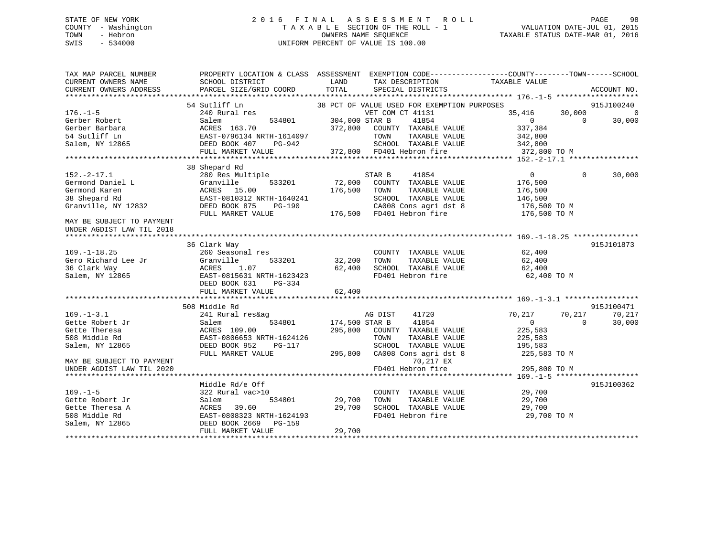# STATE OF NEW YORK 2 0 1 6 F I N A L A S S E S S M E N T R O L L PAGE 98 COUNTY - Washington T A X A B L E SECTION OF THE ROLL - 1 VALUATION DATE-JUL 01, 2015 TOWN - Hebron OWNERS NAME SEQUENCE TAXABLE STATUS DATE-MAR 01, 2016 SWIS - 534000 UNIFORM PERCENT OF VALUE IS 100.00

| TAX MAP PARCEL NUMBER                                  |                                                               |                                             | PROPERTY LOCATION & CLASS ASSESSMENT EXEMPTION CODE---------------COUNTY-------TOWN-----SCHOOL |
|--------------------------------------------------------|---------------------------------------------------------------|---------------------------------------------|------------------------------------------------------------------------------------------------|
| CURRENT OWNERS NAME                                    | SCHOOL DISTRICT                                               | LAND<br>TAX DESCRIPTION                     | TAXABLE VALUE                                                                                  |
| CURRENT OWNERS ADDRESS                                 | PARCEL SIZE/GRID COORD                                        | TOTAL<br>SPECIAL DISTRICTS                  | ACCOUNT NO.                                                                                    |
|                                                        |                                                               |                                             |                                                                                                |
|                                                        | 54 Sutliff Ln                                                 | 38 PCT OF VALUE USED FOR EXEMPTION PURPOSES | 915J100240<br>$\Omega$                                                                         |
| $176. - 1 - 5$<br>Gerber Robert                        | 240 Rural res<br>534801<br>Salem                              | VET COM CT 41131<br>304,000 STAR B<br>41854 | 35,416<br>30,000<br>$\overline{0}$<br>30,000<br>$\Omega$                                       |
| Gerber Barbara                                         |                                                               | 372,800 COUNTY TAXABLE VALUE                | 337,384                                                                                        |
| 54 Sutliff Ln                                          | ACRES 163.70<br>EAST-0796134 NRTH-1614097<br>----- 107 PG-942 | TOWN<br>TAXABLE VALUE                       | 342,800                                                                                        |
| Salem, NY 12865                                        |                                                               | SCHOOL TAXABLE VALUE                        | 342,800                                                                                        |
|                                                        | FULL MARKET VALUE                                             | 372,800 FD401 Hebron fire                   | 372,800 TO M                                                                                   |
|                                                        |                                                               |                                             |                                                                                                |
|                                                        | 38 Shepard Rd                                                 |                                             |                                                                                                |
| $152. - 2 - 17.1$                                      | 280 Res Multiple                                              | STAR B<br>41854                             | $\Omega$<br>$\Omega$<br>30,000                                                                 |
| Germond Daniel L                                       | 533201<br>Granville                                           | 72,000<br>COUNTY TAXABLE VALUE              | 176,500                                                                                        |
| Germond Karen                                          | ACRES 15.00                                                   | 176,500<br>TOWN<br>TAXABLE VALUE            | 176,500                                                                                        |
| 38 Shepard Rd                                          | EAST-0810312 NRTH-1640241                                     | SCHOOL TAXABLE VALUE                        | 146,500                                                                                        |
| Granville, NY 12832                                    | DEED BOOK 875<br>PG-190                                       | CA008 Cons agri dst 8                       | 176,500 TO M                                                                                   |
|                                                        | FULL MARKET VALUE                                             | 176,500 FD401 Hebron fire                   | 176,500 TO M                                                                                   |
| MAY BE SUBJECT TO PAYMENT<br>UNDER AGDIST LAW TIL 2018 |                                                               |                                             |                                                                                                |
|                                                        |                                                               |                                             |                                                                                                |
|                                                        | 36 Clark Way                                                  |                                             | 915J101873                                                                                     |
| $169. - 1 - 18.25$                                     | 260 Seasonal res                                              | COUNTY TAXABLE VALUE                        | 62,400<br>62.4ՈՈ                                                                               |
| Gero Richard Lee Jr                                    | Granville<br>533201                                           | 32,200<br>TAXABLE VALUE<br>TOWN             | 62,400                                                                                         |
| 36 Clark Way                                           | 1.07<br>ACRES                                                 | 62,400 SCHOOL TAXABLE VALUE                 | 62,400                                                                                         |
| Salem, NY 12865                                        | EAST-0815631 NRTH-1623423                                     | FD401 Hebron fire                           | 62,400 TO M                                                                                    |
|                                                        | DEED BOOK 631<br>PG-334                                       |                                             |                                                                                                |
|                                                        | FULL MARKET VALUE                                             | 62,400                                      |                                                                                                |
|                                                        | 508 Middle Rd                                                 |                                             | 915J100471                                                                                     |
| $169. - 1 - 3.1$                                       | 241 Rural res&ag                                              | 41720<br>AG DIST                            | 70,217<br>70,217                                                                               |
| Gette Robert Jr                                        | 534801<br>Salem                                               | 174,500 STAR B<br>41854                     | 70,217<br>$\Omega$<br>30,000<br>$\overline{0}$                                                 |
| Gette Theresa                                          | ACRES 109.00                                                  | 295,800 COUNTY TAXABLE VALUE                | 225,583                                                                                        |
| 508 Middle Rd                                          | EAST-0806653 NRTH-1624126                                     | TOWN<br>TAXABLE VALUE                       | 225,583                                                                                        |
| Salem, NY 12865                                        | DEED BOOK 952<br>PG-117                                       | SCHOOL TAXABLE VALUE                        | 195,583                                                                                        |
|                                                        | FULL MARKET VALUE                                             | 295,800 CA008 Cons agri dst 8               | 225,583 TO M                                                                                   |
| MAY BE SUBJECT TO PAYMENT                              |                                                               | 70,217 EX                                   |                                                                                                |
| UNDER AGDIST LAW TIL 2020                              |                                                               | FD401 Hebron fire                           | 295,800 TO M                                                                                   |
|                                                        |                                                               |                                             |                                                                                                |
|                                                        | Middle Rd/e Off                                               |                                             | 915J100362                                                                                     |
| $169. -1 - 5$                                          | 322 Rural vac>10                                              | COUNTY TAXABLE VALUE                        | 29,700                                                                                         |
| Gette Robert Jr                                        | 534801<br>Salem                                               | 29,700<br>TAXABLE VALUE<br>TOWN             | 29,700                                                                                         |
| Gette Theresa A                                        | 39.60<br>ACRES                                                | 29,700<br>SCHOOL TAXABLE VALUE              | 29,700                                                                                         |
| 508 Middle Rd                                          | EAST-0808323 NRTH-1624193                                     | FD401 Hebron fire                           | 29,700 TO M                                                                                    |
| Salem, NY 12865                                        | DEED BOOK 2669 PG-159                                         |                                             |                                                                                                |
|                                                        | FULL MARKET VALUE                                             | 29,700                                      |                                                                                                |
|                                                        |                                                               |                                             |                                                                                                |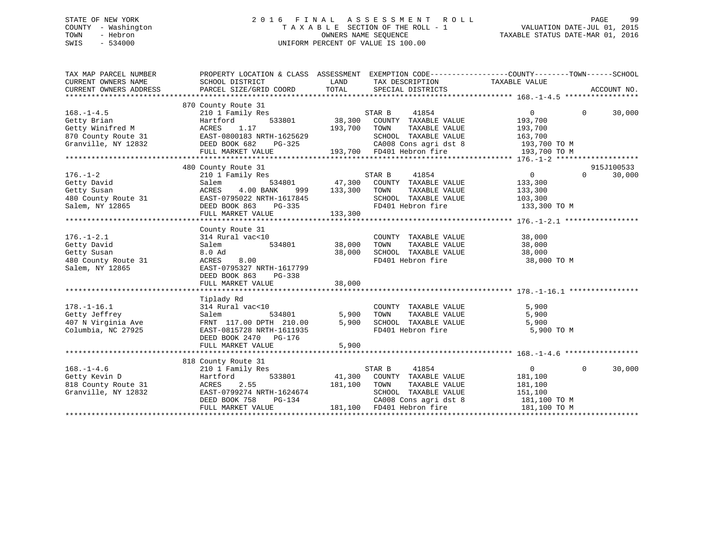# STATE OF NEW YORK 2 0 1 6 F I N A L A S S E S S M E N T R O L L PAGE 99 COUNTY - Washington T A X A B L E SECTION OF THE ROLL - 1 VALUATION DATE-JUL 01, 2015 TOWN - Hebron OWNERS NAME SEQUENCE TAXABLE STATUS DATE-MAR 01, 2016 SWIS - 534000 UNIFORM PERCENT OF VALUE IS 100.00

| TAX MAP PARCEL NUMBER<br>CURRENT OWNERS NAME                                                                                | PROPERTY LOCATION & CLASS ASSESSMENT EXEMPTION CODE----------------COUNTY-------TOWN------SCHOOL<br>SCHOOL DISTRICT<br>PARCEL SIZE/GRID COORD           | LAND<br>TOTAL           | SPECIAL DISTRICTS                                                                                   |               | TAX DESCRIPTION TAXABLE VALUE                                                                                        |          |                      |
|-----------------------------------------------------------------------------------------------------------------------------|---------------------------------------------------------------------------------------------------------------------------------------------------------|-------------------------|-----------------------------------------------------------------------------------------------------|---------------|----------------------------------------------------------------------------------------------------------------------|----------|----------------------|
| $168. - 1 - 4.5$<br>Getty Brian<br>Getty Winifred M<br>870 County Route 31 EAST-0800183 NRTH-1625629<br>Granville, NY 12832 | 870 County Route 31<br>210 1 Family Res<br>Hartford<br>ACRES<br>1.17                                                                                    | 193,700                 | STAR B<br>41854<br>533801 38,300 COUNTY TAXABLE VALUE<br>TOWN                                       | TAXABLE VALUE | $\overline{0}$<br>193,700<br>193,700<br>SCHOOL TAXABLE VALUE 163,700                                                 | $\Omega$ | 30,000               |
|                                                                                                                             | DEED BOOK 682<br>FULL MARKET VALUE                                                                                                                      |                         |                                                                                                     |               | CA008 Cons agri dst 8 193,700 TO M<br>193,700 TO M                                                                   |          |                      |
| $176. - 1 - 2$<br>Getty David<br>Getty Susan                                                                                | 480 County Route 31<br>Salem<br>ACRES 4.00 BANK 999 133,300 TOWN<br>$PG-335$<br>FULL MARKET VALUE                                                       | 133,300                 | 534801 47,300 COUNTY TAXABLE VALUE                                                                  |               | $\overline{0}$<br>133,300<br>TAXABLE VALUE 133,300<br>SCHOOL TAXABLE VALUE 103,300<br>FD401 Hebron fire 133,300 TO M | $\Omega$ | 915J100533<br>30,000 |
| $176. - 1 - 2.1$<br>Getty David<br>Getty Susan<br>480 County Route 31<br>Salem, NY 12865                                    | County Route 31<br>314 Rural vac<10<br>Salem<br>8.0 Ad<br>8.00<br>ACRES<br>EAST-0795327 NRTH-1617799<br>DEED BOOK 863<br>PG-338<br>FULL MARKET VALUE    | 38,000<br>38,000        |                                                                                                     | TAXABLE VALUE | COUNTY TAXABLE VALUE 38,000<br>38,000<br>SCHOOL TAXABLE VALUE 38,000<br>FD401 Hebron fire 38,000 TO M                |          |                      |
| $178. - 1 - 16.1$<br>Getty Jeffrey<br>407 N Virginia Ave<br>Columbia, NC 27925                                              | Tiplady Rd<br>314 Rural vac<10<br>534801<br>Salem<br>FRNT 117.00 DPTH 210.00<br>EAST-0815728 NRTH-1611935<br>DEED BOOK 2470 PG-176<br>FULL MARKET VALUE | 5,900<br>5,900<br>5,900 | COUNTY TAXABLE VALUE<br>TOWN        TAXABLE  VALUE<br>SCHOOL    TAXABLE  VALUE<br>FD401 Hebron fire |               | 5,900<br>5,900<br>5,900<br>5,900 TO M                                                                                |          |                      |
|                                                                                                                             | 818 County Route 31                                                                                                                                     |                         |                                                                                                     |               |                                                                                                                      |          |                      |
| $168. - 1 - 4.6$<br>Getty Kevin D<br>818 County Route 31<br>Granville, NY 12832                                             | 210 1 Family Res<br>533801<br>Hartford<br>2.55<br>ACRES<br>AURES 2.55<br>EAST-0799274 NRTH-1624674<br>TIP BOOK 758 PG-134                               | 181,100 TOWN            | STAR B<br>41854<br>41,300 COUNTY TAXABLE VALUE                                                      | TAXABLE VALUE | $\overline{0}$<br>181,100<br>181,100<br>SCHOOL TAXABLE VALUE 151,100<br>CA008 Cons agri dst 8 $181,100$ TO M         | $\Omega$ | 30,000               |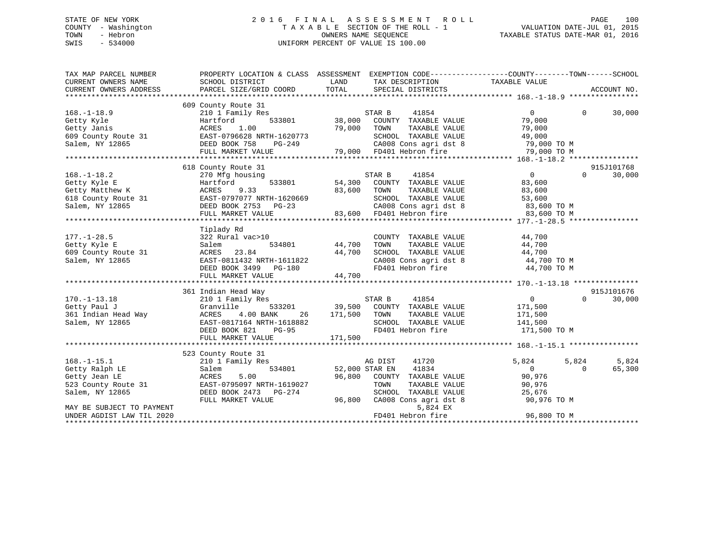# STATE OF NEW YORK 2 0 1 6 F I N A L A S S E S S M E N T R O L L PAGE 100 COUNTY - Washington T A X A B L E SECTION OF THE ROLL - 1 VALUATION DATE-JUL 01, 2015 TOWN - Hebron OWNERS NAME SEQUENCE TAXABLE STATUS DATE-MAR 01, 2016 SWIS - 534000 UNIFORM PERCENT OF VALUE IS 100.00

| TAX MAP PARCEL NUMBER<br>CURRENT OWNERS NAME<br>CURRENT OWNERS ADDRESS | PROPERTY LOCATION & CLASS ASSESSMENT<br>SCHOOL DISTRICT<br>PARCEL SIZE/GRID COORD | LAND<br>TOTAL  | EXEMPTION CODE-----------------COUNTY-------TOWN------SCHOOL<br>TAX DESCRIPTION TAXABLE VALUE<br>SPECIAL DISTRICTS |                  |          | ACCOUNT NO. |
|------------------------------------------------------------------------|-----------------------------------------------------------------------------------|----------------|--------------------------------------------------------------------------------------------------------------------|------------------|----------|-------------|
|                                                                        | 609 County Route 31                                                               |                |                                                                                                                    |                  |          |             |
| $168. - 1 - 18.9$                                                      | 210 1 Family Res                                                                  |                | STAR B<br>41854                                                                                                    | $\Omega$         | $\Omega$ | 30,000      |
| Getty Kyle                                                             | 533801<br>Hartford                                                                | 38,000         | COUNTY TAXABLE VALUE                                                                                               | 79,000           |          |             |
| Getty Janis                                                            | 1.00<br>ACRES                                                                     | 79,000         | TAXABLE VALUE<br>TOWN                                                                                              | 79,000           |          |             |
| 609 County Route 31                                                    | EAST-0796628 NRTH-1620773                                                         |                | SCHOOL TAXABLE VALUE                                                                                               | 49,000           |          |             |
| Salem, NY 12865                                                        | DEED BOOK 758<br>PG-249                                                           |                | CA008 Cons agri dst 8<br>FD401 Hebron fire                                                                         | 79,000 TO M      |          |             |
|                                                                        | FULL MARKET VALUE                                                                 |                | 79,000 FD401 Hebron fire                                                                                           | 79,000 TO M      |          |             |
|                                                                        |                                                                                   |                |                                                                                                                    |                  |          |             |
|                                                                        | 618 County Route 31                                                               |                |                                                                                                                    |                  |          | 915J101768  |
| $168. - 1 - 18.2$                                                      | 270 Mfg housing                                                                   |                | 41854<br>STAR B                                                                                                    | $\overline{0}$   | $\Omega$ | 30,000      |
| Getty Kyle E                                                           | 533801<br>Hartford                                                                | 54,300         | COUNTY TAXABLE VALUE                                                                                               | 83,600           |          |             |
| Getty Matthew K                                                        | ACRES<br>9.33                                                                     | 83,600         | TOWN<br>TAXABLE VALUE                                                                                              | 83,600           |          |             |
| 618 County Route 31                                                    | EAST-0797077 NRTH-1620669                                                         |                | SCHOOL TAXABLE VALUE                                                                                               |                  |          |             |
| Salem, NY 12865                                                        | DEED BOOK 2753 PG-23                                                              |                | SCHOOL TAXABLE VALUE 53,600<br>CA008 Cons agri dst 8 33,600 TO M<br>83,600 FD401 Hebron fire 33,600 TO M           |                  |          |             |
|                                                                        | FULL MARKET VALUE                                                                 |                |                                                                                                                    |                  |          |             |
|                                                                        |                                                                                   |                |                                                                                                                    |                  |          |             |
| $177. - 1 - 28.5$                                                      | Tiplady Rd<br>322 Rural vac>10                                                    |                |                                                                                                                    | 44,700           |          |             |
|                                                                        |                                                                                   | 534801 44,700  | COUNTY TAXABLE VALUE<br>TOWN                                                                                       |                  |          |             |
| Getty Kyle E<br>609 County Route 31                                    | Salem<br>ACRES 23.84                                                              | 44,700         | TAXABLE VALUE<br>SCHOOL TAXABLE VALUE                                                                              | 44,700<br>44,700 |          |             |
| Salem, NY 12865                                                        | EAST-0811432 NRTH-1611822                                                         |                | SCHOOL TAXABLE VALUE 44,700<br>CA008 Cons agri dst 8 44,700 TO M                                                   |                  |          |             |
|                                                                        | DEED BOOK 3499 PG-180                                                             |                | FD401 Hebron fire                                                                                                  | 44,700 TO M      |          |             |
|                                                                        | FULL MARKET VALUE                                                                 | 44,700         |                                                                                                                    |                  |          |             |
|                                                                        |                                                                                   |                |                                                                                                                    |                  |          |             |
|                                                                        | 361 Indian Head Way                                                               |                |                                                                                                                    |                  |          | 915J101676  |
| $170. - 1 - 13.18$                                                     | 210 1 Family Res                                                                  |                | STAR B<br>41854                                                                                                    | $\overline{0}$   | $\Omega$ | 30,000      |
| Getty Paul J                                                           | Granville<br>533201                                                               | 39,500         | COUNTY TAXABLE VALUE                                                                                               | 171,500          |          |             |
| 361 Indian Head Way                                                    | 4.00 BANK<br>ACRES<br>26                                                          | 171,500        | TAXABLE VALUE<br>TOWN                                                                                              | 171,500          |          |             |
| Salem, NY 12865                                                        | EAST-0817164 NRTH-1618882                                                         |                | SCHOOL TAXABLE VALUE                                                                                               | 141,500          |          |             |
|                                                                        | DEED BOOK 821<br>PG-95                                                            |                | FD401 Hebron fire                                                                                                  | 171,500 TO M     |          |             |
|                                                                        | FULL MARKET VALUE                                                                 | 171,500        |                                                                                                                    |                  |          |             |
|                                                                        |                                                                                   |                |                                                                                                                    |                  |          |             |
|                                                                        | 523 County Route 31                                                               |                |                                                                                                                    |                  |          |             |
| $168. - 1 - 15.1$                                                      | 210 1 Family Res                                                                  |                | AG DIST<br>41720                                                                                                   | 5,824            | 5,824    | 5,824       |
| Getty Ralph LE                                                         | 534801<br>Salem                                                                   | 52,000 STAR EN | 41834                                                                                                              | $\overline{0}$   | $\Omega$ | 65,300      |
| Getty Jean LE                                                          | 5.00<br>ACRES                                                                     | 96,800         | COUNTY TAXABLE VALUE                                                                                               | 90,976           |          |             |
| 523 County Route 31                                                    | EAST-0795097 NRTH-1619027                                                         |                | TOWN<br>TAXABLE VALUE                                                                                              | 90,976           |          |             |
| Salem, NY 12865                                                        | DEED BOOK 2473 PG-274                                                             |                | SCHOOL<br>TAXABLE VALUE                                                                                            | 25,676           |          |             |
|                                                                        | FULL MARKET VALUE                                                                 | 96,800         | CA008 Cons agri dst 8                                                                                              | 90,976 TO M      |          |             |
| MAY BE SUBJECT TO PAYMENT                                              |                                                                                   |                | 5,824 EX                                                                                                           |                  |          |             |
| UNDER AGDIST LAW TIL 2020                                              |                                                                                   |                | FD401 Hebron fire                                                                                                  | 96,800 TO M      |          |             |
|                                                                        |                                                                                   |                |                                                                                                                    |                  |          |             |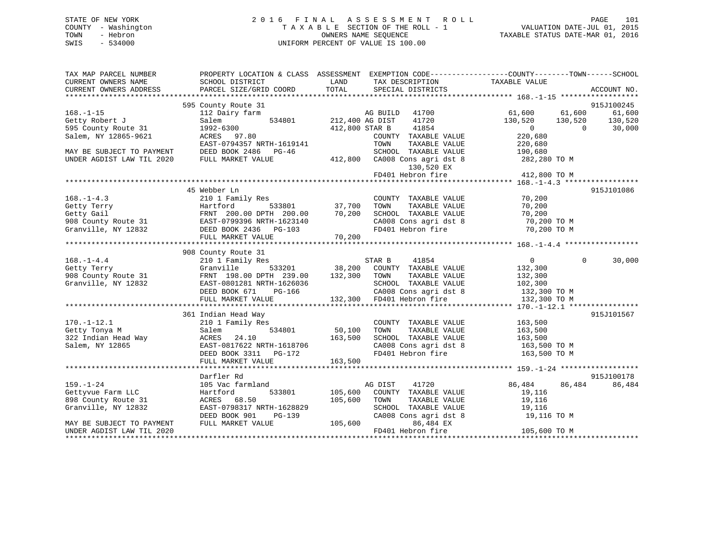| STATE OF NEW YORK   | 2016 FINAL ASSESSMENT ROLL         | 101<br>PAGE                      |
|---------------------|------------------------------------|----------------------------------|
| COUNTY - Washington | TAXABLE SECTION OF THE ROLL - 1    | VALUATION DATE-JUL 01, 2015      |
| TOWN<br>- Hebron    | OWNERS NAME SEOUENCE               | TAXABLE STATUS DATE-MAR 01, 2016 |
| SWIS<br>$-534000$   | UNIFORM PERCENT OF VALUE IS 100.00 |                                  |

| TAX MAP PARCEL NUMBER                                  |                                                                           | PROPERTY LOCATION & CLASS ASSESSMENT EXEMPTION CODE----------------COUNTY-------TOWN------SCHOOL                                                                                                                                       |                                         |
|--------------------------------------------------------|---------------------------------------------------------------------------|----------------------------------------------------------------------------------------------------------------------------------------------------------------------------------------------------------------------------------------|-----------------------------------------|
| CURRENT OWNERS NAME                                    | SCHOOL DISTRICT                                                           | LAND<br>TAX DESCRIPTION                                                                                                                                                                                                                | TAXABLE VALUE                           |
| CURRENT OWNERS ADDRESS                                 | PARCEL SIZE/GRID COORD                                                    | TOTAL<br>SPECIAL DISTRICTS                                                                                                                                                                                                             | ACCOUNT NO.                             |
|                                                        | 595 County Route 31                                                       |                                                                                                                                                                                                                                        | 915J100245                              |
| $168. - 1 - 15$                                        |                                                                           | County Route 31<br>112 Dairy farm 634801 MG BUILD 41700<br>Salem 534801 212,400 AG DIST 41720                                                                                                                                          | 61,600 61,600<br>61,600                 |
| Getty Robert J                                         |                                                                           |                                                                                                                                                                                                                                        |                                         |
| 595 County Route 31                                    |                                                                           | 41854<br>412,800 STAR B                                                                                                                                                                                                                | $130,520$ $130,520$ $130,520$ $130,520$ |
| Salem, NY 12865-9621                                   | 1992-6300<br>ACRES 97.80                                                  | COUNTY TAXABLE VALUE                                                                                                                                                                                                                   | 220,680                                 |
|                                                        | EAST-0794357 NRTH-1619141                                                 | TAXABLE VALUE<br>TOWN                                                                                                                                                                                                                  | 220,680                                 |
| MAY BE SUBJECT TO PAYMENT                              | DEED BOOK 2486 PG-46                                                      | SCHOOL TAXABLE VALUE 190,680                                                                                                                                                                                                           |                                         |
| UNDER AGDIST LAW TIL 2020                              | FULL MARKET VALUE                                                         | 412,800 CA008 Cons agri dst 8 282,280 TO M                                                                                                                                                                                             |                                         |
|                                                        |                                                                           | 130,520 EX                                                                                                                                                                                                                             |                                         |
|                                                        |                                                                           | FD401 Hebron fire                                                                                                                                                                                                                      | 412,800 TO M                            |
|                                                        |                                                                           |                                                                                                                                                                                                                                        |                                         |
|                                                        | 45 Webber Ln                                                              |                                                                                                                                                                                                                                        | 915J101086                              |
| $168. - 1 - 4.3$                                       | 210 1 Family Res                                                          | COUNTY TAXABLE VALUE 70,200                                                                                                                                                                                                            |                                         |
|                                                        |                                                                           | 168.-1-4.3<br>Getty Terry Hartford 533801 37,700 TOWN TAXABLE VALUE<br>Getty Gail FRNT 200.00 DPTH 200.00 70,200 SCHOOL TAXABLE VALUE<br>908 County Route 31 EAST-0799396 NRTH-1623140 CA008 Cons agridst 8<br>Granville, NY 12832 DEE | 70,200                                  |
|                                                        |                                                                           | SCHOOL TAXABLE VALUE<br>CA008 Cons agri dst 8                                                                                                                                                                                          | 70,200                                  |
|                                                        |                                                                           |                                                                                                                                                                                                                                        | $70,200$ TO M<br>$70,200$ TO M          |
|                                                        |                                                                           | 70, 200<br>FD401 Hebron fire 70,200 TO M                                                                                                                                                                                               |                                         |
|                                                        | FULL MARKET VALUE                                                         |                                                                                                                                                                                                                                        |                                         |
|                                                        |                                                                           |                                                                                                                                                                                                                                        |                                         |
| $168. - 1 - 4.4$                                       | 908 County Route 31<br>210 1 Family Res                                   | STAR B<br>41854                                                                                                                                                                                                                        | $\sim$ 0<br>$\Omega$<br>30,000          |
|                                                        |                                                                           |                                                                                                                                                                                                                                        |                                         |
| Getty Terry<br>908 County Route 31                     |                                                                           | Granville 533201 38,200 COUNTY TAXABLE VALUE<br>FRNT 198.00 DPTH 239.00 132,300 TOWN TAXABLE VALUE                                                                                                                                     | 132,300<br>132,300                      |
| Granville, NY 12832                                    | EAST-0801281 NRTH-1626036                                                 |                                                                                                                                                                                                                                        |                                         |
|                                                        | DEED BOOK 671 PG-166                                                      |                                                                                                                                                                                                                                        |                                         |
|                                                        | FULL MARKET VALUE                                                         | -1626036 SCHOOL TAXABLE VALUE 102,300<br>PG-166 CA008 Cons agri dst 8 132,300 TO M<br>132,300 FD401 Hebron fire 132,300 TO M                                                                                                           |                                         |
|                                                        |                                                                           |                                                                                                                                                                                                                                        |                                         |
|                                                        | 361 Indian Head Way                                                       |                                                                                                                                                                                                                                        | 915J101567                              |
| $170. - 1 - 12.1$                                      | 210 1 Family Res                                                          |                                                                                                                                                                                                                                        |                                         |
| Getty Tonya M                                          | Salem                                                                     | COUNTY TAXABLE VALUE 163,500<br>TOWN TAXABLE VALUE 163,500<br>, count<br>50,100 TOWN                                                                                                                                                   |                                         |
|                                                        |                                                                           | SCHOOL TAXABLE VALUE 163,500                                                                                                                                                                                                           |                                         |
| 322 Indian Head Way<br>Salem, NY 12865                 |                                                                           | CA008 Cons agri dst 8 163,500 TO M<br>FD401 Hebron fire 163,500 TO M                                                                                                                                                                   |                                         |
|                                                        | ACRES 24.10 163,500<br>EAST-0817622 NRTH-1618706<br>DEED BOOK 3311 PG-172 |                                                                                                                                                                                                                                        |                                         |
|                                                        | FULL MARKET VALUE                                                         | 163,500                                                                                                                                                                                                                                |                                         |
|                                                        |                                                                           |                                                                                                                                                                                                                                        |                                         |
|                                                        | Darfler Rd                                                                |                                                                                                                                                                                                                                        | 915J100178                              |
| $159. - 1 - 24$                                        | 105 Vac farmland                                                          | AG DIST<br>41720                                                                                                                                                                                                                       | 86,484<br>86,484<br>86,484              |
| Gettyvue Farm LLC                                      | Hartford                                                                  | 533801 105,600<br>COUNTY TAXABLE VALUE                                                                                                                                                                                                 | 19,116                                  |
| 898 County Route 31                                    | ACRES 68.50                                                               | 105,600<br>TOWN<br>TAXABLE VALUE<br>SCHOOL TAXABLE VALUE 19,116                                                                                                                                                                        | 19,116                                  |
| Granville, NY 12832                                    | EAST-0798317 NRTH-1628829<br>DEED BOOK 901<br>PG-139                      | CA008 Cons agri dst 8 19,116 TO M                                                                                                                                                                                                      |                                         |
|                                                        |                                                                           |                                                                                                                                                                                                                                        |                                         |
|                                                        |                                                                           |                                                                                                                                                                                                                                        |                                         |
| MAY BE SUBJECT TO PAYMENT<br>UNDER AGDIST LAW TIL 2020 | FULL MARKET VALUE                                                         | 86,484 EX<br>FD401 Hebron fire                                                                                                                                                                                                         | 105,600 TO M                            |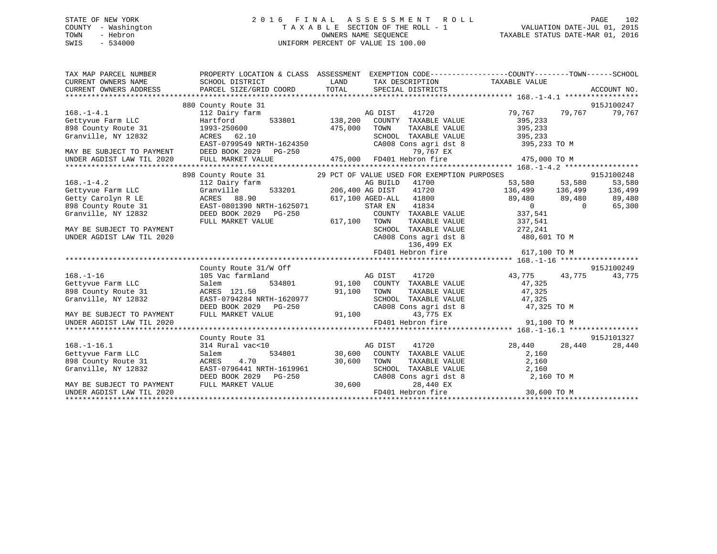# STATE OF NEW YORK 2 0 1 6 F I N A L A S S E S S M E N T R O L L PAGE 102 COUNTY - Washington T A X A B L E SECTION OF THE ROLL - 1 VALUATION DATE-JUL 01, 2015 TOWN - Hebron OWNERS NAME SEQUENCE TAXABLE STATUS DATE-MAR 01, 2016 SWIS - 534000 UNIFORM PERCENT OF VALUE IS 100.00

| TAX MAP PARCEL NUMBER<br>CURRENT OWNERS NAME<br>CURRENT OWNERS ADDRESS                  | PROPERTY LOCATION & CLASS ASSESSMENT EXEMPTION CODE---------------COUNTY-------TOWN-----SCHOOL                                                                                                                                    |                |                                    |                                                                                        |            |
|-----------------------------------------------------------------------------------------|-----------------------------------------------------------------------------------------------------------------------------------------------------------------------------------------------------------------------------------|----------------|------------------------------------|----------------------------------------------------------------------------------------|------------|
|                                                                                         | 880 County Route 31                                                                                                                                                                                                               |                |                                    |                                                                                        | 915J100247 |
| $168. - 1 - 4.1$                                                                        | 112 Dairy farm<br>Hartford 533801 138,200 COUNTY TAXABLE VALUE                                                                                                                                                                    |                |                                    | 79,767 79,767                                                                          | 79,767     |
| Gettyvue Farm LLC                                                                       |                                                                                                                                                                                                                                   |                |                                    | 395,233                                                                                |            |
| 898 County Route 31                                                                     | 1993-250600                                                                                                                                                                                                                       | $475,000$ TOWN |                                    | TAXABLE VALUE 395,233                                                                  |            |
|                                                                                         | ACRES 62.10                                                                                                                                                                                                                       |                |                                    |                                                                                        |            |
|                                                                                         |                                                                                                                                                                                                                                   |                |                                    |                                                                                        |            |
|                                                                                         |                                                                                                                                                                                                                                   |                |                                    |                                                                                        |            |
|                                                                                         |                                                                                                                                                                                                                                   |                |                                    |                                                                                        |            |
|                                                                                         |                                                                                                                                                                                                                                   |                |                                    |                                                                                        |            |
| $168. - 1 - 4.2$                                                                        | 898 County Route 31 29 PCT OF VALUE USED FOR EXEMPTION PURPOSES 915J100248<br>112 Dairy farm and BUILD 41700 53,580 53,580 53,580 53,580 53,580 53,580 53,580 53,580 67 AM AG BUILD 41720 136,499 136,499 136,499 136,499 136,499 |                |                                    |                                                                                        |            |
| Gettyvue Farm LLC                                                                       |                                                                                                                                                                                                                                   |                |                                    |                                                                                        |            |
|                                                                                         | ACRES 88.90                                                                                                                                                                                                                       |                |                                    |                                                                                        |            |
|                                                                                         |                                                                                                                                                                                                                                   |                |                                    | 617,100 AGED-ALL 41800 89,480 89,480 89,480 89,480<br>1625071 5TAR EN 41834 0 0 65,300 |            |
| Getty Carolyn R LE<br>898 County Route 31<br>Granville, NY 12832<br>Granville, NY 12832 | $\begin{array}{lllllll} \texttt{EAST-0801390 NRTH-1625071} & \texttt{STR EN} & 41834 \\ \texttt{DEED BOOK 2029} & \texttt{PG-250} & \texttt{COUNTY TAXABLE VALUE} \end{array}$                                                    |                |                                    | 337,541                                                                                |            |
|                                                                                         | FULL MARKET VALUE                                                                                                                                                                                                                 | 617,100 TOWN   |                                    | TAXABLE VALUE 337,541                                                                  |            |
| MAY BE SUBJECT TO PAYMENT                                                               |                                                                                                                                                                                                                                   |                |                                    | SCHOOL TAXABLE VALUE 272,241                                                           |            |
| UNDER AGDIST LAW TIL 2020                                                               |                                                                                                                                                                                                                                   |                |                                    | CA008 Cons agri dst 8 480,601 TO M                                                     |            |
|                                                                                         |                                                                                                                                                                                                                                   |                | 136,499 EX                         |                                                                                        |            |
|                                                                                         |                                                                                                                                                                                                                                   |                |                                    | FD401 Hebron fire 617,100 TO M                                                         |            |
|                                                                                         |                                                                                                                                                                                                                                   |                |                                    |                                                                                        |            |
|                                                                                         | County Route 31/W Off                                                                                                                                                                                                             |                |                                    |                                                                                        | 915J100249 |
| $168. - 1 - 16$                                                                         | xoute 51/w of<br>farmland 534801 M AG DIST 41720<br>534801 91,100 COUNTY TAXABLE VALUE<br>105 Vac farmland                                                                                                                        |                |                                    | 43, 775 43, 775                                                                        | 43,775     |
| Gettyvue Farm LLC                                                                       | Salem                                                                                                                                                                                                                             |                |                                    | 47,325                                                                                 |            |
| 898 County Route 31                                                                     | ACRES 121.50<br>EAST-0794284 NRTH-1620977 91,100 TOWN TAXABLE VALUE<br>DEED BOOK 2029 PG-250 21,100 CA008 Cons agri dst 8 47,325<br>FULL MARKET VALUE 91,100 43,775 EX<br>PD401 Hebron fire 91.100 TO M                           |                |                                    |                                                                                        |            |
| Granville, NY 12832                                                                     |                                                                                                                                                                                                                                   |                |                                    |                                                                                        |            |
|                                                                                         |                                                                                                                                                                                                                                   |                |                                    |                                                                                        |            |
| MAY BE SUBJECT TO PAYMENT                                                               |                                                                                                                                                                                                                                   |                |                                    |                                                                                        |            |
| UNDER AGDIST LAW TIL 2020                                                               |                                                                                                                                                                                                                                   |                | FD401 Hebron fire                  | 91,100 TO M                                                                            |            |
|                                                                                         |                                                                                                                                                                                                                                   |                |                                    |                                                                                        |            |
|                                                                                         | County Route 31                                                                                                                                                                                                                   |                |                                    |                                                                                        | 915J101327 |
| $168. - 1 - 16.1$                                                                       | 314 Rural vac<10                                                                                                                                                                                                                  | AG DIST        | 41720                              | 28,440 28,440                                                                          | 28,440     |
| Gettyvue Farm LLC                                                                       | Salem                                                                                                                                                                                                                             |                | 534801 30,600 COUNTY TAXABLE VALUE | 2,160                                                                                  |            |
| 898 County Route 31                                                                     | ACRES 4.70<br>$30,600$ TOWN<br>RTH-1619961 SCHOOL                                                                                                                                                                                 |                |                                    |                                                                                        |            |
| Granville, NY 12832                                                                     | EAST-0796441 NRTH-1619961                                                                                                                                                                                                         |                |                                    |                                                                                        |            |
|                                                                                         |                                                                                                                                                                                                                                   |                |                                    | TOWN TAXABLE VALUE<br>SCHOOL TAXABLE VALUE 2,160<br>CA008 Cons agri dst 8 2,160 TO M   |            |
| MAY BE SUBJECT TO PAYMENT                                                               | DEED BOOK 2029 PG-250 CAO<br>FULL MARKET VALUE 30,600                                                                                                                                                                             |                | 28,440 EX                          |                                                                                        |            |
| UNDER AGDIST LAW TIL 2020                                                               |                                                                                                                                                                                                                                   |                | FD401 Hebron fire                  | 30,600 TO M                                                                            |            |
|                                                                                         |                                                                                                                                                                                                                                   |                |                                    |                                                                                        |            |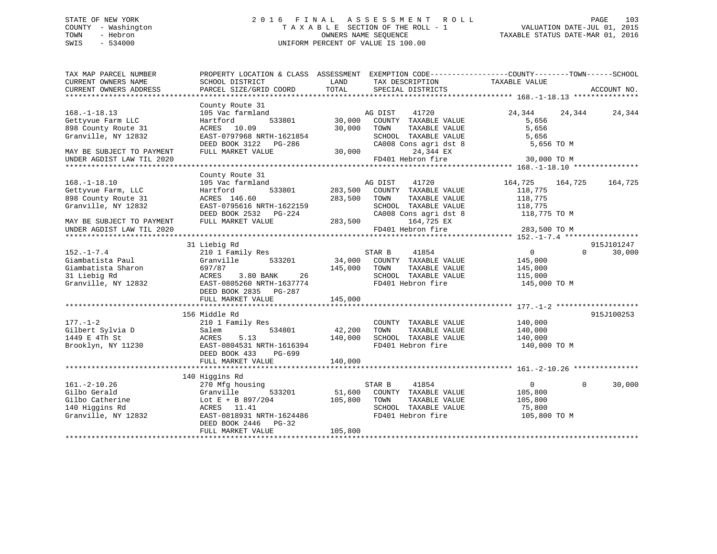# STATE OF NEW YORK 2 0 1 6 F I N A L A S S E S S M E N T R O L L PAGE 103 COUNTY - Washington T A X A B L E SECTION OF THE ROLL - 1 VALUATION DATE-JUL 01, 2015 TOWN - Hebron OWNERS NAME SEQUENCE TAXABLE STATUS DATE-MAR 01, 2016 SWIS - 534000 UNIFORM PERCENT OF VALUE IS 100.00

| County Route 31<br>$168. - 1 - 18.13$<br>105 Vac farmland<br>AG DIST<br>41720<br>24,344<br>24,344 24,344<br>COUNTY TAXABLE VALUE<br>Gettyvue Farm LLC<br>Hartford<br>533801<br>30,000<br>5,656<br>898 County Route 31<br>ACRES 10.09<br>30,000<br>5,656<br>TOWN<br>TAXABLE VALUE<br>EAST-0797968 NRTH-1621854<br>Granville, NY 12832<br>SCHOOL TAXABLE VALUE<br>5,656<br>DEED BOOK 3122 PG-286<br>CA008 Cons agri dst 8<br>5,656 TO M<br>FULL MARKET VALUE<br>30,000<br>24,344 EX<br>MAY BE SUBJECT TO PAYMENT<br>FD401 Hebron fire<br>30,000 TO M<br>UNDER AGDIST LAW TIL 2020<br>County Route 31<br>$168. - 1 - 18.10$<br>105 Vac farmland<br>AG DIST<br>41720<br>164,725<br>164,725<br>164,725<br>533801<br>283,500 COUNTY TAXABLE VALUE<br>118,775<br>Hartford<br>Gettyvue Farm, LLC<br>898 County Route 31<br>283,500 TOWN<br>118,775<br>ACRES 146.60<br>TAXABLE VALUE<br>Granville, NY 12832<br>EAST-0795616 NRTH-1622159<br>SCHOOL TAXABLE VALUE<br>118,775<br>CA008 Cons agri dst 8 118,775 TO M<br>DEED BOOK 2532 PG-224<br>FULL MARKET VALUE<br>164,725 EX<br>283,500<br>MAY BE SUBJECT TO PAYMENT<br>FD401 Hebron fire<br>283,500 TO M<br>UNDER AGDIST LAW TIL 2020<br>915J101247<br>31 Liebig Rd<br>STAR B 41854<br>34,000 COUNTY TAXABLE VALUE<br>$152. - 1 - 7.4$<br>$0 \qquad \qquad$<br>$\Omega$<br>30,000<br>210 1 Family Res<br>Giambatista Paul<br>533201<br>Granville<br>145,000<br>145,000 TOWN<br>Giambatista Sharon<br>697/87<br>TAXABLE VALUE<br>145,000<br>31 Liebig Rd<br>ACRES<br>3.80 BANK<br>26<br>SCHOOL TAXABLE VALUE<br>115,000<br>Granville, NY 12832<br>EAST-0805260 NRTH-1637774<br>FD401 Hebron fire<br>145,000 TO M<br>DEED BOOK 2835 PG-287<br>156 Middle Rd<br>915J100253<br>$177. - 1 - 2$<br>210 1 Family Res<br>140,000<br>COUNTY TAXABLE VALUE<br>Gilbert Sylvia D<br>534801<br>42,200<br>TAXABLE VALUE<br>140,000<br>Salem<br>TOWN<br>1449 E 4Th St<br>5.13<br>140,000<br>SCHOOL TAXABLE VALUE<br>140,000<br>ACRES<br>FD401 Hebron fire<br>Brooklyn, NY 11230<br>EAST-0804531 NRTH-1616394<br>140,000 TO M<br>DEED BOOK 433 PG-699<br>140,000<br>FULL MARKET VALUE<br>140 Higgins Rd<br>$161. - 2 - 10.26$<br>$\Omega$<br>30,000<br>270 Mfg housing<br>STAR B<br>41854<br>$\overline{0}$<br>51,600<br>533201<br>Gilbo Gerald<br>Granville<br>COUNTY TAXABLE VALUE<br>105,800<br>Gilbo Catherine<br>105,800<br>TOWN<br>TAXABLE VALUE<br>Lot E + B $897/204$<br>105,800<br>140 Higgins Rd<br>SCHOOL TAXABLE VALUE<br>ACRES 11.41<br>75,800<br>Granville, NY 12832<br>FD401 Hebron fire<br>EAST-0818931 NRTH-1624486<br>105,800 TO M<br>DEED BOOK 2446 PG-32<br>FULL MARKET VALUE<br>105,800 | TAX MAP PARCEL NUMBER<br>CURRENT OWNERS NAME<br>CURRENT OWNERS ADDRESS | SCHOOL DISTRICT<br>PARCEL SIZE/GRID COORD | PROPERTY LOCATION & CLASS ASSESSMENT EXEMPTION CODE---------------COUNTY-------TOWN-----SCHOOL<br>LAND<br>TAX DESCRIPTION<br>TOTAL<br>SPECIAL DISTRICTS | TAXABLE VALUE<br>ACCOUNT NO. |
|---------------------------------------------------------------------------------------------------------------------------------------------------------------------------------------------------------------------------------------------------------------------------------------------------------------------------------------------------------------------------------------------------------------------------------------------------------------------------------------------------------------------------------------------------------------------------------------------------------------------------------------------------------------------------------------------------------------------------------------------------------------------------------------------------------------------------------------------------------------------------------------------------------------------------------------------------------------------------------------------------------------------------------------------------------------------------------------------------------------------------------------------------------------------------------------------------------------------------------------------------------------------------------------------------------------------------------------------------------------------------------------------------------------------------------------------------------------------------------------------------------------------------------------------------------------------------------------------------------------------------------------------------------------------------------------------------------------------------------------------------------------------------------------------------------------------------------------------------------------------------------------------------------------------------------------------------------------------------------------------------------------------------------------------------------------------------------------------------------------------------------------------------------------------------------------------------------------------------------------------------------------------------------------------------------------------------------------------------------------------------------------------------------------------------------------------------------------------------------------------------------------------------------------------------------------------------------------------------------------------------------------|------------------------------------------------------------------------|-------------------------------------------|---------------------------------------------------------------------------------------------------------------------------------------------------------|------------------------------|
|                                                                                                                                                                                                                                                                                                                                                                                                                                                                                                                                                                                                                                                                                                                                                                                                                                                                                                                                                                                                                                                                                                                                                                                                                                                                                                                                                                                                                                                                                                                                                                                                                                                                                                                                                                                                                                                                                                                                                                                                                                                                                                                                                                                                                                                                                                                                                                                                                                                                                                                                                                                                                                       |                                                                        |                                           |                                                                                                                                                         |                              |
|                                                                                                                                                                                                                                                                                                                                                                                                                                                                                                                                                                                                                                                                                                                                                                                                                                                                                                                                                                                                                                                                                                                                                                                                                                                                                                                                                                                                                                                                                                                                                                                                                                                                                                                                                                                                                                                                                                                                                                                                                                                                                                                                                                                                                                                                                                                                                                                                                                                                                                                                                                                                                                       |                                                                        |                                           |                                                                                                                                                         |                              |
|                                                                                                                                                                                                                                                                                                                                                                                                                                                                                                                                                                                                                                                                                                                                                                                                                                                                                                                                                                                                                                                                                                                                                                                                                                                                                                                                                                                                                                                                                                                                                                                                                                                                                                                                                                                                                                                                                                                                                                                                                                                                                                                                                                                                                                                                                                                                                                                                                                                                                                                                                                                                                                       |                                                                        |                                           |                                                                                                                                                         |                              |
|                                                                                                                                                                                                                                                                                                                                                                                                                                                                                                                                                                                                                                                                                                                                                                                                                                                                                                                                                                                                                                                                                                                                                                                                                                                                                                                                                                                                                                                                                                                                                                                                                                                                                                                                                                                                                                                                                                                                                                                                                                                                                                                                                                                                                                                                                                                                                                                                                                                                                                                                                                                                                                       |                                                                        |                                           |                                                                                                                                                         |                              |
|                                                                                                                                                                                                                                                                                                                                                                                                                                                                                                                                                                                                                                                                                                                                                                                                                                                                                                                                                                                                                                                                                                                                                                                                                                                                                                                                                                                                                                                                                                                                                                                                                                                                                                                                                                                                                                                                                                                                                                                                                                                                                                                                                                                                                                                                                                                                                                                                                                                                                                                                                                                                                                       |                                                                        |                                           |                                                                                                                                                         |                              |
|                                                                                                                                                                                                                                                                                                                                                                                                                                                                                                                                                                                                                                                                                                                                                                                                                                                                                                                                                                                                                                                                                                                                                                                                                                                                                                                                                                                                                                                                                                                                                                                                                                                                                                                                                                                                                                                                                                                                                                                                                                                                                                                                                                                                                                                                                                                                                                                                                                                                                                                                                                                                                                       |                                                                        |                                           |                                                                                                                                                         |                              |
|                                                                                                                                                                                                                                                                                                                                                                                                                                                                                                                                                                                                                                                                                                                                                                                                                                                                                                                                                                                                                                                                                                                                                                                                                                                                                                                                                                                                                                                                                                                                                                                                                                                                                                                                                                                                                                                                                                                                                                                                                                                                                                                                                                                                                                                                                                                                                                                                                                                                                                                                                                                                                                       |                                                                        |                                           |                                                                                                                                                         |                              |
|                                                                                                                                                                                                                                                                                                                                                                                                                                                                                                                                                                                                                                                                                                                                                                                                                                                                                                                                                                                                                                                                                                                                                                                                                                                                                                                                                                                                                                                                                                                                                                                                                                                                                                                                                                                                                                                                                                                                                                                                                                                                                                                                                                                                                                                                                                                                                                                                                                                                                                                                                                                                                                       |                                                                        |                                           |                                                                                                                                                         |                              |
|                                                                                                                                                                                                                                                                                                                                                                                                                                                                                                                                                                                                                                                                                                                                                                                                                                                                                                                                                                                                                                                                                                                                                                                                                                                                                                                                                                                                                                                                                                                                                                                                                                                                                                                                                                                                                                                                                                                                                                                                                                                                                                                                                                                                                                                                                                                                                                                                                                                                                                                                                                                                                                       |                                                                        |                                           |                                                                                                                                                         |                              |
|                                                                                                                                                                                                                                                                                                                                                                                                                                                                                                                                                                                                                                                                                                                                                                                                                                                                                                                                                                                                                                                                                                                                                                                                                                                                                                                                                                                                                                                                                                                                                                                                                                                                                                                                                                                                                                                                                                                                                                                                                                                                                                                                                                                                                                                                                                                                                                                                                                                                                                                                                                                                                                       |                                                                        |                                           |                                                                                                                                                         |                              |
|                                                                                                                                                                                                                                                                                                                                                                                                                                                                                                                                                                                                                                                                                                                                                                                                                                                                                                                                                                                                                                                                                                                                                                                                                                                                                                                                                                                                                                                                                                                                                                                                                                                                                                                                                                                                                                                                                                                                                                                                                                                                                                                                                                                                                                                                                                                                                                                                                                                                                                                                                                                                                                       |                                                                        |                                           |                                                                                                                                                         |                              |
|                                                                                                                                                                                                                                                                                                                                                                                                                                                                                                                                                                                                                                                                                                                                                                                                                                                                                                                                                                                                                                                                                                                                                                                                                                                                                                                                                                                                                                                                                                                                                                                                                                                                                                                                                                                                                                                                                                                                                                                                                                                                                                                                                                                                                                                                                                                                                                                                                                                                                                                                                                                                                                       |                                                                        |                                           |                                                                                                                                                         |                              |
|                                                                                                                                                                                                                                                                                                                                                                                                                                                                                                                                                                                                                                                                                                                                                                                                                                                                                                                                                                                                                                                                                                                                                                                                                                                                                                                                                                                                                                                                                                                                                                                                                                                                                                                                                                                                                                                                                                                                                                                                                                                                                                                                                                                                                                                                                                                                                                                                                                                                                                                                                                                                                                       |                                                                        |                                           |                                                                                                                                                         |                              |
|                                                                                                                                                                                                                                                                                                                                                                                                                                                                                                                                                                                                                                                                                                                                                                                                                                                                                                                                                                                                                                                                                                                                                                                                                                                                                                                                                                                                                                                                                                                                                                                                                                                                                                                                                                                                                                                                                                                                                                                                                                                                                                                                                                                                                                                                                                                                                                                                                                                                                                                                                                                                                                       |                                                                        |                                           |                                                                                                                                                         |                              |
|                                                                                                                                                                                                                                                                                                                                                                                                                                                                                                                                                                                                                                                                                                                                                                                                                                                                                                                                                                                                                                                                                                                                                                                                                                                                                                                                                                                                                                                                                                                                                                                                                                                                                                                                                                                                                                                                                                                                                                                                                                                                                                                                                                                                                                                                                                                                                                                                                                                                                                                                                                                                                                       |                                                                        |                                           |                                                                                                                                                         |                              |
|                                                                                                                                                                                                                                                                                                                                                                                                                                                                                                                                                                                                                                                                                                                                                                                                                                                                                                                                                                                                                                                                                                                                                                                                                                                                                                                                                                                                                                                                                                                                                                                                                                                                                                                                                                                                                                                                                                                                                                                                                                                                                                                                                                                                                                                                                                                                                                                                                                                                                                                                                                                                                                       |                                                                        |                                           |                                                                                                                                                         |                              |
|                                                                                                                                                                                                                                                                                                                                                                                                                                                                                                                                                                                                                                                                                                                                                                                                                                                                                                                                                                                                                                                                                                                                                                                                                                                                                                                                                                                                                                                                                                                                                                                                                                                                                                                                                                                                                                                                                                                                                                                                                                                                                                                                                                                                                                                                                                                                                                                                                                                                                                                                                                                                                                       |                                                                        |                                           |                                                                                                                                                         |                              |
|                                                                                                                                                                                                                                                                                                                                                                                                                                                                                                                                                                                                                                                                                                                                                                                                                                                                                                                                                                                                                                                                                                                                                                                                                                                                                                                                                                                                                                                                                                                                                                                                                                                                                                                                                                                                                                                                                                                                                                                                                                                                                                                                                                                                                                                                                                                                                                                                                                                                                                                                                                                                                                       |                                                                        |                                           |                                                                                                                                                         |                              |
|                                                                                                                                                                                                                                                                                                                                                                                                                                                                                                                                                                                                                                                                                                                                                                                                                                                                                                                                                                                                                                                                                                                                                                                                                                                                                                                                                                                                                                                                                                                                                                                                                                                                                                                                                                                                                                                                                                                                                                                                                                                                                                                                                                                                                                                                                                                                                                                                                                                                                                                                                                                                                                       |                                                                        |                                           |                                                                                                                                                         |                              |
|                                                                                                                                                                                                                                                                                                                                                                                                                                                                                                                                                                                                                                                                                                                                                                                                                                                                                                                                                                                                                                                                                                                                                                                                                                                                                                                                                                                                                                                                                                                                                                                                                                                                                                                                                                                                                                                                                                                                                                                                                                                                                                                                                                                                                                                                                                                                                                                                                                                                                                                                                                                                                                       |                                                                        |                                           |                                                                                                                                                         |                              |
|                                                                                                                                                                                                                                                                                                                                                                                                                                                                                                                                                                                                                                                                                                                                                                                                                                                                                                                                                                                                                                                                                                                                                                                                                                                                                                                                                                                                                                                                                                                                                                                                                                                                                                                                                                                                                                                                                                                                                                                                                                                                                                                                                                                                                                                                                                                                                                                                                                                                                                                                                                                                                                       |                                                                        |                                           |                                                                                                                                                         |                              |
|                                                                                                                                                                                                                                                                                                                                                                                                                                                                                                                                                                                                                                                                                                                                                                                                                                                                                                                                                                                                                                                                                                                                                                                                                                                                                                                                                                                                                                                                                                                                                                                                                                                                                                                                                                                                                                                                                                                                                                                                                                                                                                                                                                                                                                                                                                                                                                                                                                                                                                                                                                                                                                       |                                                                        |                                           |                                                                                                                                                         |                              |
|                                                                                                                                                                                                                                                                                                                                                                                                                                                                                                                                                                                                                                                                                                                                                                                                                                                                                                                                                                                                                                                                                                                                                                                                                                                                                                                                                                                                                                                                                                                                                                                                                                                                                                                                                                                                                                                                                                                                                                                                                                                                                                                                                                                                                                                                                                                                                                                                                                                                                                                                                                                                                                       |                                                                        |                                           |                                                                                                                                                         |                              |
|                                                                                                                                                                                                                                                                                                                                                                                                                                                                                                                                                                                                                                                                                                                                                                                                                                                                                                                                                                                                                                                                                                                                                                                                                                                                                                                                                                                                                                                                                                                                                                                                                                                                                                                                                                                                                                                                                                                                                                                                                                                                                                                                                                                                                                                                                                                                                                                                                                                                                                                                                                                                                                       |                                                                        |                                           |                                                                                                                                                         |                              |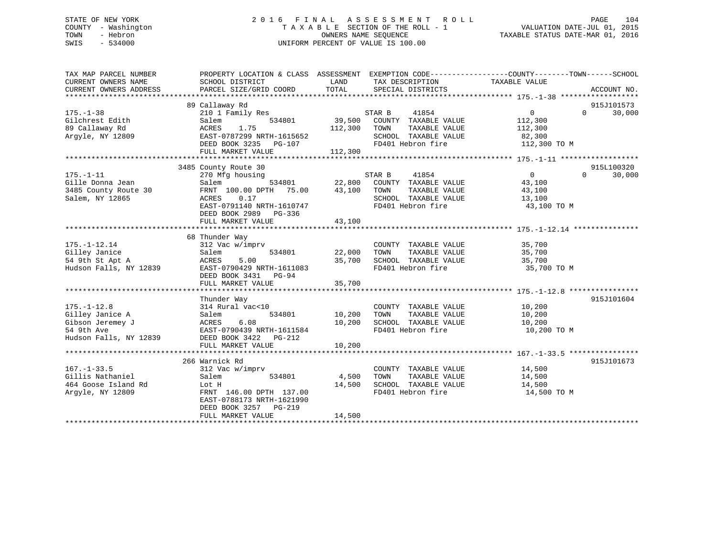# STATE OF NEW YORK 2 0 1 6 F I N A L A S S E S S M E N T R O L L PAGE 104 COUNTY - Washington T A X A B L E SECTION OF THE ROLL - 1 VALUATION DATE-JUL 01, 2015 TOWN - Hebron OWNERS NAME SEQUENCE TAXABLE STATUS DATE-MAR 01, 2016 SWIS - 534000 UNIFORM PERCENT OF VALUE IS 100.00

| TAX MAP PARCEL NUMBER<br>CURRENT OWNERS NAME<br>CURRENT OWNERS ADDRESS                           | PROPERTY LOCATION & CLASS ASSESSMENT<br>SCHOOL DISTRICT<br>PARCEL SIZE/GRID COORD                                                                                                                                                   | LAND<br>TOTAL              | SPECIAL DISTRICTS                                                                                   | EXEMPTION CODE----------------COUNTY-------TOWN------SCHOOL<br>TAX DESCRIPTION TAXABLE VALUE | ACCOUNT NO.                      |
|--------------------------------------------------------------------------------------------------|-------------------------------------------------------------------------------------------------------------------------------------------------------------------------------------------------------------------------------------|----------------------------|-----------------------------------------------------------------------------------------------------|----------------------------------------------------------------------------------------------|----------------------------------|
| $175. - 1 - 38$<br>Gilchrest Edith<br>89 Callaway Rd<br>Argyle, NY 12809                         | 89 Callaway Rd<br>210 1 Family Res<br>534801<br>Salem<br>1.75<br>ACRES<br>EAST-0787299 NRTH-1615652<br>DEED BOOK 3235 PG-107<br>FULL MARKET VALUE                                                                                   | 112,300<br>112,300         | STAR B<br>41854<br>39,500 COUNTY TAXABLE VALUE<br>TOWN<br>SCHOOL TAXABLE VALUE<br>FD401 Hebron fire | $\overline{0}$<br>112,300<br>112,300<br>TAXABLE VALUE<br>82,300<br>112,300 TO M              | 915J101573<br>$\Omega$<br>30,000 |
|                                                                                                  |                                                                                                                                                                                                                                     |                            |                                                                                                     |                                                                                              |                                  |
| $175. - 1 - 11$<br>Gille Donna Jean<br>3485 County Route 30<br>Salem, NY 12865                   | 3485 County Route 30<br>270 Mfg housing<br>Salem 534801 22,800 COUNTY TAXABLE VALUE<br>FRNT 100.00 DPTH 75.00 43,100 TOWN TAXABLE VALUE<br>ACRES<br>0.17<br>EAST-0791140 NRTH-1610747<br>DEED BOOK 2989 PG-336<br>FULL MARKET VALUE | 43,100                     | STAR B<br>41854<br>SCHOOL TAXABLE VALUE<br>FD401 Hebron fire                                        | $0 \qquad \qquad$<br>43,100<br>43,100<br>13,100<br>43,100 TO M                               | 915L100320<br>$\Omega$<br>30,000 |
|                                                                                                  |                                                                                                                                                                                                                                     |                            |                                                                                                     |                                                                                              |                                  |
| $175. - 1 - 12.14$<br>Gilley Janice<br>54 9th St Apt A<br>Hudson Falls, NY 12839                 | 68 Thunder Way<br>312 Vac w/imprv<br>534801<br>Salem<br>5.00<br>ACRES<br>EAST-0790429 NRTH-1611083<br>DEED BOOK 3431 PG-94<br>FULL MARKET VALUE                                                                                     | 22,000<br>35,700<br>35,700 | COUNTY TAXABLE VALUE<br>TAXABLE VALUE<br>TOWN<br>SCHOOL TAXABLE VALUE<br>FD401 Hebron fire          | 35,700<br>35,700<br>35,700<br>35,700 TO M                                                    |                                  |
|                                                                                                  |                                                                                                                                                                                                                                     |                            |                                                                                                     |                                                                                              |                                  |
| $175. - 1 - 12.8$<br>Gilley Janice A<br>Gibson Jeremey J<br>54 9th Ave<br>Hudson Falls, NY 12839 | Thunder Way<br>314 Rural vac<10<br>Salem<br>534801<br>6.08<br>ACRES<br>EAST-0790439 NRTH-1611584<br>DEED BOOK 3422 PG-212                                                                                                           | 10, 200<br>10,200          | COUNTY TAXABLE VALUE<br>TOWN<br>FD401 Hebron fire                                                   | 10,200<br>TAXABLE VALUE<br>10,200<br>SCHOOL TAXABLE VALUE 10,200<br>10,200 TO M              | 915J101604                       |
|                                                                                                  |                                                                                                                                                                                                                                     |                            |                                                                                                     |                                                                                              |                                  |
|                                                                                                  |                                                                                                                                                                                                                                     |                            |                                                                                                     |                                                                                              |                                  |
| $167. - 1 - 33.5$<br>Gillis Nathaniel<br>464 Goose Island Rd<br>Argyle, NY 12809                 | 266 Warnick Rd<br>312 Vac w/imprv<br>534801<br>Salem<br>Lot H<br>FRNT 146.00 DPTH 137.00<br>EAST-0788173 NRTH-1621990<br>DEED BOOK 3257 PG-219<br>FULL MARKET VALUE                                                                 | 4,500<br>14,500<br>14,500  | COUNTY TAXABLE VALUE<br>TOWN<br>TAXABLE VALUE<br>SCHOOL TAXABLE VALUE<br>FD401 Hebron fire          | 14,500<br>14,500<br>14,500<br>14,500 TO M                                                    | 915J101673                       |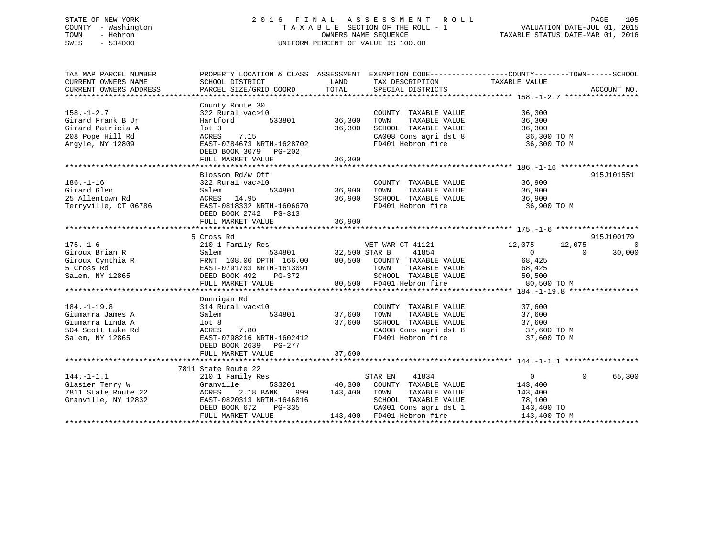# STATE OF NEW YORK 2 0 1 6 F I N A L A S S E S S M E N T R O L L PAGE 105 COUNTY - Washington T A X A B L E SECTION OF THE ROLL - 1 VALUATION DATE-JUL 01, 2015 TOWN - Hebron OWNERS NAME SEQUENCE TAXABLE STATUS DATE-MAR 01, 2016 SWIS - 534000 UNIFORM PERCENT OF VALUE IS 100.00

TAX MAP PARCEL NUMBER PROPERTY LOCATION & CLASS ASSESSMENT EXEMPTION CODE------------------COUNTY--------TOWN------SCHOOL CURRENT OWNERS NAME SCHOOL DISTRICT THE LAND TAX DESCRIPTION TAXABLE VALUE CURRENT OWNERS ADDRESS PARCEL SIZE/GRID COORD TOTAL SPECIAL DISTRICTS ACCOUNT NO. \*\*\*\*\*\*\*\*\*\*\*\*\*\*\*\*\*\*\*\*\*\*\*\*\*\*\*\*\*\*\*\*\*\*\*\*\*\*\*\*\*\*\*\*\*\*\*\*\*\*\*\*\*\*\*\*\*\*\*\*\*\*\*\*\*\*\*\*\*\*\*\*\*\*\*\*\*\*\*\*\*\*\*\*\*\*\*\*\*\*\*\*\*\*\*\*\*\*\*\*\*\*\* 158.-1-2.7 \*\*\*\*\*\*\*\*\*\*\*\*\*\*\*\*\* County Route 30 158.-1-2.7 322 Rural vac>10 COUNTY TAXABLE VALUE 36,300 Girard Frank B Jr Hartford 533801 36,300 TOWN TAXABLE VALUE 36,300 Girard Patricia A lot 3 36,300 SCHOOL TAXABLE VALUE 36,300 208 Pope Hill Rd ACRES 7.15 CA008 Cons agri dst 8 36,300 TO M Argyle, NY 12809 EAST-0784673 NRTH-1628702 FD401 Hebron fire 36,300 TO M DEED BOOK 3079 PG-202 FULL MARKET VALUE 36,300 \*\*\*\*\*\*\*\*\*\*\*\*\*\*\*\*\*\*\*\*\*\*\*\*\*\*\*\*\*\*\*\*\*\*\*\*\*\*\*\*\*\*\*\*\*\*\*\*\*\*\*\*\*\*\*\*\*\*\*\*\*\*\*\*\*\*\*\*\*\*\*\*\*\*\*\*\*\*\*\*\*\*\*\*\*\*\*\*\*\*\*\*\*\*\*\*\*\*\*\*\*\*\* 186.-1-16 \*\*\*\*\*\*\*\*\*\*\*\*\*\*\*\*\*\*Blossom Rd/w Off 915J101551 186.-1-16 322 Rural vac>10 COUNTY TAXABLE VALUE 36,900 Girard Glen Salem 534801 36,900 TOWN TAXABLE VALUE 36,900 25 Allentown Rd ACRES 14.95 36,900 SCHOOL TAXABLE VALUE 36 SOO Terryville, CT 06786 EAST-0818332 NRTH-1606670 FD401 Hebron fire 36,900 TO M DEED BOOK 2742 PG-313FULL MARKET VALUE 36,900 \*\*\*\*\*\*\*\*\*\*\*\*\*\*\*\*\*\*\*\*\*\*\*\*\*\*\*\*\*\*\*\*\*\*\*\*\*\*\*\*\*\*\*\*\*\*\*\*\*\*\*\*\*\*\*\*\*\*\*\*\*\*\*\*\*\*\*\*\*\*\*\*\*\*\*\*\*\*\*\*\*\*\*\*\*\*\*\*\*\*\*\*\*\*\*\*\*\*\*\*\*\*\* 175.-1-6 \*\*\*\*\*\*\*\*\*\*\*\*\*\*\*\*\*\*\*915J100179 5 Cross Rd 915J100179 175.-1-6 210 1 Family Res VET WAR CT 41121 12,075 12,075 0 Giroux Brian R Salem 534801 32,500 STAR B 41854 0 0 30,000 Giroux Cynthia R FRNT 108.00 DPTH 166.00 80,500 COUNTY TAXABLE VALUE 68,425 5 Cross Rd EAST-0791703 NRTH-1613091 TOWN TAXABLE VALUE 68,425 Salem, NY 12865 DEED BOOK 492 PG-372 SCHOOL TAXABLE VALUE 50,500 FULL MARKET VALUE 80,500 FD401 Hebron fire 80,500 TO M \*\*\*\*\*\*\*\*\*\*\*\*\*\*\*\*\*\*\*\*\*\*\*\*\*\*\*\*\*\*\*\*\*\*\*\*\*\*\*\*\*\*\*\*\*\*\*\*\*\*\*\*\*\*\*\*\*\*\*\*\*\*\*\*\*\*\*\*\*\*\*\*\*\*\*\*\*\*\*\*\*\*\*\*\*\*\*\*\*\*\*\*\*\*\*\*\*\*\*\*\*\*\* 184.-1-19.8 \*\*\*\*\*\*\*\*\*\*\*\*\*\*\*\* Dunnigan Rd 184.-1-19.8 314 Rural vac<10 COUNTY TAXABLE VALUE 37,600 Giumarra James A Salem 534801 37,600 TOWN TAXABLE VALUE 37,600 Giumarra Linda A lot 8 37,600 SCHOOL TAXABLE VALUE 37,600 504 Scott Lake Rd ACRES 7.80 CA008 Cons agri dst 8 37,600 TO M Salem, NY 12865 EAST-0798216 NRTH-1602412 FD401 Hebron fire 37,600 TO M DEED BOOK 2639 PG-277FULL MARKET VALUE 37,600 \*\*\*\*\*\*\*\*\*\*\*\*\*\*\*\*\*\*\*\*\*\*\*\*\*\*\*\*\*\*\*\*\*\*\*\*\*\*\*\*\*\*\*\*\*\*\*\*\*\*\*\*\*\*\*\*\*\*\*\*\*\*\*\*\*\*\*\*\*\*\*\*\*\*\*\*\*\*\*\*\*\*\*\*\*\*\*\*\*\*\*\*\*\*\*\*\*\*\*\*\*\*\* 144.-1-1.1 \*\*\*\*\*\*\*\*\*\*\*\*\*\*\*\*\* 7811 State Route 22144.-1-1.1 210 1 Family Res STAR EN 41834 0 0 65,300 Glasier Terry W Granville 533201 40,300 COUNTY TAXABLE VALUE 143,400 7811 State Route 22 ACRES 2.18 BANK 999 143,400 TOWN TAXABLE VALUE 143,400 Granville, NY 12832 EAST-0820313 NRTH-1646016 SCHOOL TAXABLE VALUE 78,100 DEED BOOK 672 PG-335 CA001 Cons agri dst 1 143,400 TO FULL MARKET VALUE 143,400 FD401 Hebron fire 143,400 TO M \*\*\*\*\*\*\*\*\*\*\*\*\*\*\*\*\*\*\*\*\*\*\*\*\*\*\*\*\*\*\*\*\*\*\*\*\*\*\*\*\*\*\*\*\*\*\*\*\*\*\*\*\*\*\*\*\*\*\*\*\*\*\*\*\*\*\*\*\*\*\*\*\*\*\*\*\*\*\*\*\*\*\*\*\*\*\*\*\*\*\*\*\*\*\*\*\*\*\*\*\*\*\*\*\*\*\*\*\*\*\*\*\*\*\*\*\*\*\*\*\*\*\*\*\*\*\*\*\*\*\*\*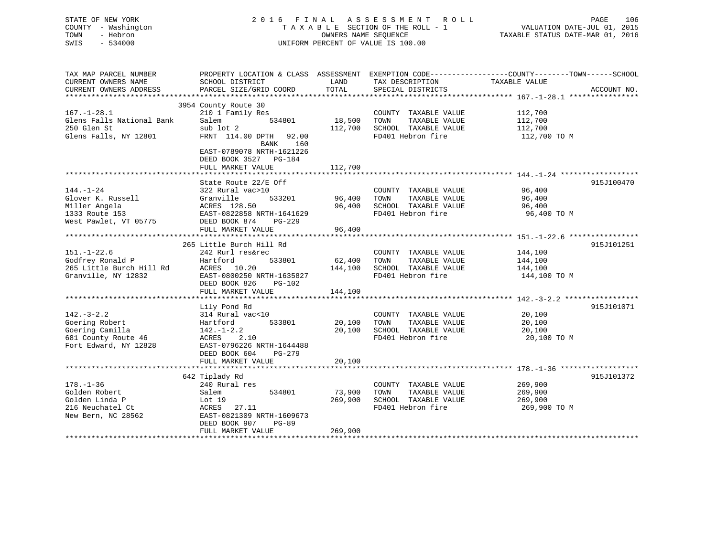| STATE OF NEW YORK   | 2016 FINAL ASSESSMENT ROLL         | 106<br>PAGE                      |
|---------------------|------------------------------------|----------------------------------|
| COUNTY - Washington | TAXABLE SECTION OF THE ROLL - 1    | VALUATION DATE-JUL 01, 2015      |
| TOWN<br>- Hebron    | OWNERS NAME SEOUENCE               | TAXABLE STATUS DATE-MAR 01, 2016 |
| SWIS<br>$-534000$   | UNIFORM PERCENT OF VALUE IS 100.00 |                                  |
|                     |                                    |                                  |

| TAX MAP PARCEL NUMBER     | PROPERTY LOCATION & CLASS ASSESSMENT EXEMPTION CODE---------------COUNTY-------TOWN-----SCHOOL |             |                              |                    |             |
|---------------------------|------------------------------------------------------------------------------------------------|-------------|------------------------------|--------------------|-------------|
| CURRENT OWNERS NAME       | SCHOOL DISTRICT                                                                                | LAND        | TAX DESCRIPTION              | TAXABLE VALUE      |             |
| CURRENT OWNERS ADDRESS    | PARCEL SIZE/GRID COORD                                                                         | TOTAL       | SPECIAL DISTRICTS            |                    | ACCOUNT NO. |
|                           |                                                                                                |             |                              |                    |             |
|                           | 3954 County Route 30                                                                           |             |                              |                    |             |
| $167. - 1 - 28.1$         | 210 1 Family Res                                                                               |             | COUNTY TAXABLE VALUE         | 112,700            |             |
| Glens Falls National Bank | 534801<br>Salem                                                                                | 18,500      | TOWN<br>TAXABLE VALUE        |                    |             |
| 250 Glen St               | sub lot 2                                                                                      | 112,700     | SCHOOL TAXABLE VALUE         | 112,700<br>112,700 |             |
| Glens Falls, NY 12801     | FRNT 114.00 DPTH 92.00                                                                         |             | FD401 Hebron fire            | 112,700 TO M       |             |
|                           |                                                                                                |             |                              |                    |             |
|                           | BANK 160                                                                                       |             |                              |                    |             |
|                           | EAST-0789078 NRTH-1621226                                                                      |             |                              |                    |             |
|                           | DEED BOOK 3527 PG-184                                                                          |             |                              |                    |             |
|                           | FULL MARKET VALUE                                                                              | 112,700     |                              |                    |             |
|                           |                                                                                                |             |                              |                    |             |
|                           | State Route 22/E Off                                                                           |             |                              |                    | 915J100470  |
| $144. - 1 - 24$           | 322 Rural vac>10                                                                               |             | COUNTY TAXABLE VALUE         | 96,400             |             |
| Glover K. Russell         | Granville<br>533201                                                                            | 96,400 TOWN | TAXABLE VALUE                | 96,400             |             |
| Miller Angela             | ACRES 128.50                                                                                   |             | 96,400 SCHOOL TAXABLE VALUE  | 96,400             |             |
| 1333 Route 153            | EAST-0822858 NRTH-1641629                                                                      |             | FD401 Hebron fire            | 96,400 TO M        |             |
| West Pawlet, VT 05775     | DEED BOOK 874<br>PG-229                                                                        |             |                              |                    |             |
|                           | FULL MARKET VALUE                                                                              | 96,400      |                              |                    |             |
|                           |                                                                                                |             |                              |                    |             |
|                           | 265 Little Burch Hill Rd                                                                       |             |                              |                    | 915J101251  |
| $151. - 1 - 22.6$         | 242 Rurl res&rec                                                                               |             | COUNTY TAXABLE VALUE         | 144,100            |             |
| Godfrey Ronald P          | 533801<br>Hartford                                                                             | 62,400      | TAXABLE VALUE<br>TOWN        | 144,100            |             |
| Hill Rd                   |                                                                                                |             | 144,100 SCHOOL TAXABLE VALUE |                    |             |
| 265 Little Burch Hill Rd  | ACRES 10.20                                                                                    |             |                              | 144,100            |             |
| Granville, NY 12832       | EAST-0800250 NRTH-1635827                                                                      |             | FD401 Hebron fire            | 144,100 TO M       |             |
|                           | DEED BOOK 826<br>PG-102                                                                        |             |                              |                    |             |
|                           | FULL MARKET VALUE                                                                              | 144,100     |                              |                    |             |
|                           |                                                                                                |             |                              |                    |             |
|                           | Lily Pond Rd                                                                                   |             |                              |                    | 915J101071  |
| $142. - 3 - 2.2$          | 314 Rural vac<10                                                                               |             | COUNTY TAXABLE VALUE         | 20,100             |             |
| Goering Robert            | 533801<br>Hartford                                                                             | 20,100      | TAXABLE VALUE<br>TOWN        | 20,100             |             |
| Goering Camilla           | $142. - 1 - 2.2$                                                                               | 20,100      | SCHOOL TAXABLE VALUE         | 20,100             |             |
| 681 County Route 46       | ACRES<br>2.10                                                                                  |             | FD401 Hebron fire            | 20,100 TO M        |             |
| Fort Edward, NY 12828     | EAST-0796226 NRTH-1644488                                                                      |             |                              |                    |             |
|                           | DEED BOOK 604<br>PG-279                                                                        |             |                              |                    |             |
|                           | FULL MARKET VALUE                                                                              | 20,100      |                              |                    |             |
|                           |                                                                                                |             |                              |                    |             |
|                           | 642 Tiplady Rd                                                                                 |             |                              |                    | 915J101372  |
| $178. - 1 - 36$           | 240 Rural res                                                                                  |             | COUNTY TAXABLE VALUE         | 269,900            |             |
| Golden Robert             | Salem<br>534801                                                                                | 73,900      | TOWN<br>TAXABLE VALUE        | 269,900            |             |
|                           |                                                                                                |             |                              |                    |             |
| Golden Linda P            | Lot 19                                                                                         | 269,900     | SCHOOL TAXABLE VALUE         | 269,900            |             |
| 216 Neuchatel Ct          | ACRES<br>27.11                                                                                 |             | FD401 Hebron fire            | 269,900 TO M       |             |
| New Bern, NC 28562        | EAST-0821309 NRTH-1609673                                                                      |             |                              |                    |             |
|                           | DEED BOOK 907<br>$PG-89$                                                                       |             |                              |                    |             |
|                           | FULL MARKET VALUE                                                                              | 269,900     |                              |                    |             |
|                           |                                                                                                |             |                              |                    |             |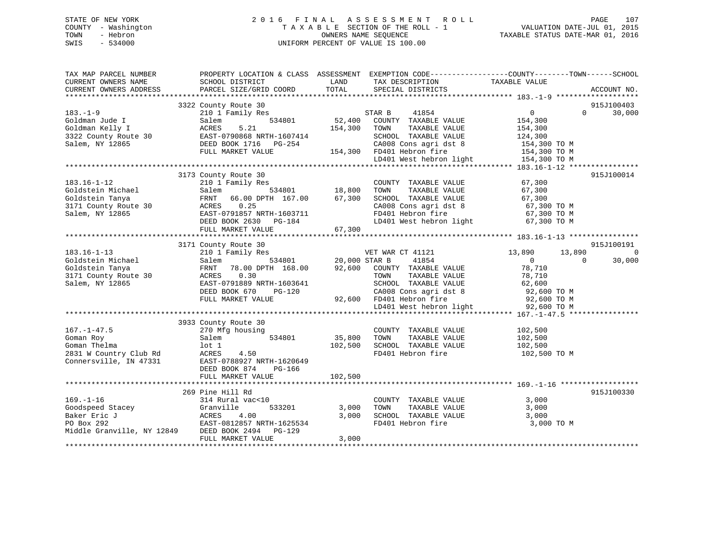# STATE OF NEW YORK 2 0 1 6 F I N A L A S S E S S M E N T R O L L PAGE 107 COUNTY - Washington T A X A B L E SECTION OF THE ROLL - 1 VALUATION DATE-JUL 01, 2015 TOWN - Hebron OWNERS NAME SEQUENCE TAXABLE STATUS DATE-MAR 01, 2016 SWIS - 534000 UNIFORM PERCENT OF VALUE IS 100.00

| TAX MAP PARCEL NUMBER<br>CURRENT OWNERS NAME                                                                                                      | PROPERTY LOCATION & CLASS ASSESSMENT EXEMPTION CODE----------------COUNTY-------TOWN------SCHOOL<br>SCHOOL DISTRICT | LAND                           | TAX DESCRIPTION                                                                                                                                                                                                                                               | TAXABLE VALUE              |                             |
|---------------------------------------------------------------------------------------------------------------------------------------------------|---------------------------------------------------------------------------------------------------------------------|--------------------------------|---------------------------------------------------------------------------------------------------------------------------------------------------------------------------------------------------------------------------------------------------------------|----------------------------|-----------------------------|
| CURRENT OWNERS ADDRESS                                                                                                                            | PARCEL SIZE/GRID COORD                                                                                              | TOTAL                          | SPECIAL DISTRICTS                                                                                                                                                                                                                                             |                            | ACCOUNT NO.                 |
|                                                                                                                                                   | 3322 County Route 30                                                                                                |                                |                                                                                                                                                                                                                                                               |                            | 915J100403                  |
| $183. - 1 - 9$                                                                                                                                    | 210 1 Family Res                                                                                                    |                                | 41854<br>STAR B                                                                                                                                                                                                                                               | $\overline{0}$             | $0 \qquad \qquad$<br>30,000 |
| Goldman Jude I                                                                                                                                    | 534801<br>Salem                                                                                                     | 52,400                         | COUNTY TAXABLE VALUE                                                                                                                                                                                                                                          | 154,300                    |                             |
| Goldman Kelly I<br>Goldman Kelly I (BAST-0790868 NRTH-1607414)<br>Salem, NY 12865 (BEED BOOK 1716 PG-254<br>FULL MARKET VALUE                     |                                                                                                                     | 154,300                        | TOWN<br>TAXABLE VALUE                                                                                                                                                                                                                                         | 154,300                    |                             |
|                                                                                                                                                   |                                                                                                                     |                                | SCHOOL TAXABLE VALUE                                                                                                                                                                                                                                          | 124,300                    |                             |
|                                                                                                                                                   |                                                                                                                     |                                | CA008 Cons agri dst 8                                                                                                                                                                                                                                         | 154,300 TO M               |                             |
|                                                                                                                                                   |                                                                                                                     |                                | 154,300 FD401 Hebron fire                                                                                                                                                                                                                                     | 154,300 TO M               |                             |
|                                                                                                                                                   |                                                                                                                     |                                | LD401 West hebron light                                                                                                                                                                                                                                       | 154,300 TO M               |                             |
|                                                                                                                                                   |                                                                                                                     |                                |                                                                                                                                                                                                                                                               |                            |                             |
|                                                                                                                                                   | 3173 County Route 30                                                                                                |                                |                                                                                                                                                                                                                                                               |                            | 915J100014                  |
| $183.16 - 1 - 12$                                                                                                                                 | 210 1 Family Res                                                                                                    |                                | COUNTY TAXABLE VALUE                                                                                                                                                                                                                                          | 67,300                     |                             |
| Goldstein Michael                                                                                                                                 | Salem                                                                                                               | 534801 18,800                  | TOWN<br>TAXABLE VALUE                                                                                                                                                                                                                                         | 67,300                     |                             |
|                                                                                                                                                   | FRNT 66.00 DPTH 167.00                                                                                              | 67,300                         | SCHOOL TAXABLE VALUE                                                                                                                                                                                                                                          | 67,300                     |                             |
| Goldstein Tanya<br>3171 County Route 30<br>-- 19965                                                                                               | 0.25<br>ACRES                                                                                                       |                                |                                                                                                                                                                                                                                                               |                            |                             |
| Salem, NY 12865                                                                                                                                   | EAST-0791857 NRTH-1603711                                                                                           |                                | $\begin{array}{llll}\n\text{CA008} & \text{Cons}\n\text{ agrid} & \text{B} \\ \text{FD401} & \text{Hebron}\n\text{ fire} & \text{67,300} & \text{TO M} \\ \end{array}$                                                                                        |                            |                             |
|                                                                                                                                                   | DEED BOOK 2630 PG-184                                                                                               |                                | LD401 West hebron light                                                                                                                                                                                                                                       | 67,300 TO M                |                             |
|                                                                                                                                                   | FULL MARKET VALUE                                                                                                   | 67,300                         |                                                                                                                                                                                                                                                               |                            |                             |
|                                                                                                                                                   |                                                                                                                     |                                |                                                                                                                                                                                                                                                               |                            |                             |
|                                                                                                                                                   | 3171 County Route 30                                                                                                |                                |                                                                                                                                                                                                                                                               |                            | 915J100191                  |
| $183.16 - 1 - 13$                                                                                                                                 | 210 1 Family Res                                                                                                    |                                | VET WAR CT 41121 13,890                                                                                                                                                                                                                                       | 13,890                     | $\Omega$                    |
| Goldstein Michael                                                                                                                                 | Salem                                                                                                               | ET WAR<br>534801 20,000 STAR B | 41854                                                                                                                                                                                                                                                         | $\overline{0}$<br>$\Omega$ | 30,000                      |
| Goldstein Tanya                                                                                                                                   | FRNT 78.00 DPTH 168.00 92,600                                                                                       |                                | COUNTY TAXABLE VALUE                                                                                                                                                                                                                                          | 78,710                     |                             |
| 3171 County Route 30                                                                                                                              | 0.30<br>ACRES                                                                                                       |                                | TAXABLE VALUE<br>TOWN                                                                                                                                                                                                                                         | 78,710                     |                             |
| Salem, NY 12865                                                                                                                                   | EAST-0791889 NRTH-1603641                                                                                           |                                | SCHOOL TAXABLE VALUE 62,600                                                                                                                                                                                                                                   |                            |                             |
|                                                                                                                                                   | DEED BOOK 670<br>PG-120                                                                                             |                                |                                                                                                                                                                                                                                                               |                            |                             |
|                                                                                                                                                   | FULL MARKET VALUE                                                                                                   |                                | $\begin{array}{lll} \texttt{CA008} \texttt{ Cons} & \texttt{aspti} & \texttt{dst} & \texttt{8} & \texttt{92,600} \texttt{ TO M} \\ \texttt{FD401} & \texttt{Hebron} & \texttt{fire} & \texttt{92,600} \texttt{ TO M} \end{array}$<br>92,600 FD401 Hebron fire |                            |                             |
|                                                                                                                                                   |                                                                                                                     |                                | LD401 West hebron light                                                                                                                                                                                                                                       | 92,600 TO M                |                             |
|                                                                                                                                                   |                                                                                                                     |                                |                                                                                                                                                                                                                                                               |                            |                             |
|                                                                                                                                                   | 3933 County Route 30                                                                                                |                                |                                                                                                                                                                                                                                                               |                            |                             |
| $167. - 1 - 47.5$                                                                                                                                 | 270 Mfg housing                                                                                                     |                                | COUNTY TAXABLE VALUE                                                                                                                                                                                                                                          | 102,500                    |                             |
| Goman Roy                                                                                                                                         | 534801<br>Salem                                                                                                     | 35,800                         | TOWN<br>TAXABLE VALUE                                                                                                                                                                                                                                         | 102,500                    |                             |
| Goman Thelma                                                                                                                                      | lot 1                                                                                                               | 102,500                        | SCHOOL TAXABLE VALUE                                                                                                                                                                                                                                          | 102,500                    |                             |
| 2831 W Country Club Rd                                                                                                                            | ACRES<br>4.50                                                                                                       |                                | FD401 Hebron fire                                                                                                                                                                                                                                             | 102,500 TO M               |                             |
| Connersville, IN 47331                                                                                                                            | EAST-0788927 NRTH-1620649                                                                                           |                                |                                                                                                                                                                                                                                                               |                            |                             |
|                                                                                                                                                   | PG-166<br>DEED BOOK 874                                                                                             |                                |                                                                                                                                                                                                                                                               |                            |                             |
|                                                                                                                                                   |                                                                                                                     |                                |                                                                                                                                                                                                                                                               |                            |                             |
|                                                                                                                                                   |                                                                                                                     |                                |                                                                                                                                                                                                                                                               |                            |                             |
|                                                                                                                                                   | 269 Pine Hill Rd                                                                                                    |                                |                                                                                                                                                                                                                                                               |                            | 915J100330                  |
| $169. - 1 - 16$                                                                                                                                   | 314 Rural vac<10                                                                                                    |                                | COUNTY TAXABLE VALUE                                                                                                                                                                                                                                          | 3,000                      |                             |
|                                                                                                                                                   | 533201                                                                                                              | 3,000                          | TOWN<br>TAXABLE VALUE                                                                                                                                                                                                                                         | 3,000                      |                             |
|                                                                                                                                                   |                                                                                                                     | 3,000                          | SCHOOL TAXABLE VALUE                                                                                                                                                                                                                                          | 3,000                      |                             |
|                                                                                                                                                   | EAST-0812857 NRTH-1625534                                                                                           |                                | FD401 Hebron fire                                                                                                                                                                                                                                             | 3,000 TO M                 |                             |
| Goodspeed Stacey (31 Granville 1932)<br>Baker Eric J (4.00 RORES 292 EAST-0812857 NRTH-162553<br>Middle Granville, NY 12849 DEED BOOK 2494 PG-129 |                                                                                                                     |                                |                                                                                                                                                                                                                                                               |                            |                             |
|                                                                                                                                                   | FULL MARKET VALUE                                                                                                   | 3,000                          |                                                                                                                                                                                                                                                               |                            |                             |
|                                                                                                                                                   |                                                                                                                     |                                |                                                                                                                                                                                                                                                               |                            |                             |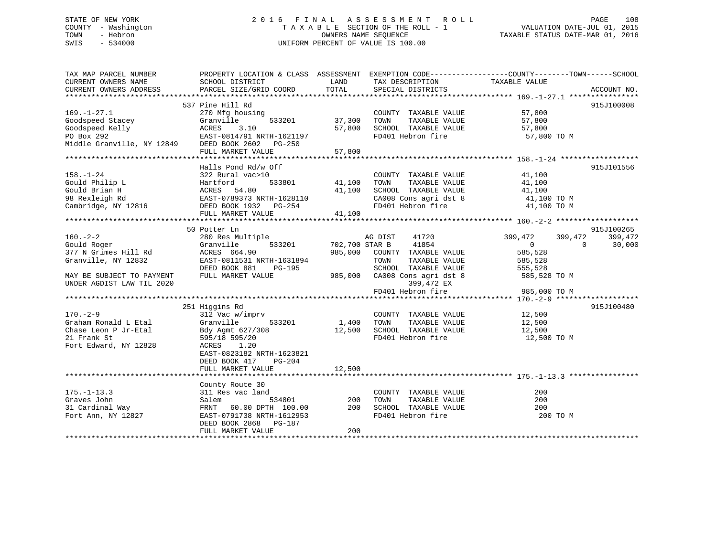# STATE OF NEW YORK 2 0 1 6 F I N A L A S S E S S M E N T R O L L PAGE 108 COUNTY - Washington T A X A B L E SECTION OF THE ROLL - 1 VALUATION DATE-JUL 01, 2015 TOWN - Hebron OWNERS NAME SEQUENCE TAXABLE STATUS DATE-MAR 01, 2016 SWIS - 534000 UNIFORM PERCENT OF VALUE IS 100.00

| TAX MAP PARCEL NUMBER                                                                                                                  | PROPERTY LOCATION & CLASS ASSESSMENT EXEMPTION CODE---------------COUNTY-------TOWN------SCHOOL                                                                                                                              |                                  |                                                                                                                                                    |                                                                                             |                   |
|----------------------------------------------------------------------------------------------------------------------------------------|------------------------------------------------------------------------------------------------------------------------------------------------------------------------------------------------------------------------------|----------------------------------|----------------------------------------------------------------------------------------------------------------------------------------------------|---------------------------------------------------------------------------------------------|-------------------|
| CURRENT OWNERS NAME<br>CURRENT OWNERS ADDRESS                                                                                          | SCHOOL DISTRICT<br>PARCEL SIZE/GRID COORD                                                                                                                                                                                    | LAND<br>TOTAL                    | TAX DESCRIPTION<br>SPECIAL DISTRICTS                                                                                                               | TAXABLE VALUE                                                                               | ACCOUNT NO.       |
|                                                                                                                                        |                                                                                                                                                                                                                              |                                  |                                                                                                                                                    |                                                                                             |                   |
| $169. - 1 - 27.1$<br>Goodspeed Stacey<br>Goodspeed Kelly<br>PO Box 292<br>Middle Granville, NY 12849                                   | 537 Pine Hill Rd<br>270 Mfg housing<br>533201<br>Granville<br>3.10<br>ACRES<br>EAST-0814791 NRTH-1621197<br>DEED BOOK 2602 PG-250<br>FULL MARKET VALUE                                                                       | 37,300<br>57,800<br>57,800       | COUNTY TAXABLE VALUE 57,800<br>TAXABLE VALUE<br>TOWN<br>SCHOOL TAXABLE VALUE<br>FD401 Hebron fire                                                  | 57,800<br>57,800<br>57,800 TO M                                                             | 915J100008        |
|                                                                                                                                        | Halls Pond Rd/w Off<br>FULL MARKET VALUE                                                                                                                                                                                     | 41,100<br>41,100                 | COUNTY TAXABLE VALUE<br>TAXABLE VALUE<br>TOWN<br>SCHOOL TAXABLE VALUE<br>CA008 Cons agri dst 8<br>FD401 Hebron fire                                | 41,100<br>41,100<br>41,100<br>41,100 TO M<br>41,100 TO M                                    | 915J101556        |
|                                                                                                                                        | 50 Potter Ln                                                                                                                                                                                                                 |                                  |                                                                                                                                                    |                                                                                             | 915J100265        |
| $160. - 2 - 2$<br>Gould Roger<br>377 N Grimes Hill Rd<br>Granville, NY 12832<br>MAY BE SUBJECT TO PAYMENT<br>UNDER AGDIST LAW TIL 2020 | 280 Res Multiple<br>Granville<br>ACRES 664.90<br>EAST-0811531 NRTH-1631894<br>DEED BOOK 881<br>PG-195<br>FULL MARKET VALUE                                                                                                   | 533201 702,700 STAR B<br>985,000 | AG DIST<br>41720<br>41854<br>COUNTY TAXABLE VALUE<br>TOWN<br>TAXABLE VALUE<br>SCHOOL TAXABLE VALUE<br>399,472 EX<br>FD401 Hebron fire 985,000 TO M | 399,472<br>399,472<br>$\Omega$<br>$\Omega$<br>585,528<br>585,528<br>555,528<br>585,528 TO M | 399,472<br>30,000 |
| $170. - 2 - 9$<br>Graham Ronald L Etal<br>Chase Leon P Jr-Etal<br>21 Frank St<br>Fort Edward, NY 12828                                 | 251 Higgins Rd<br>312 Vac w/imprv<br>Granville<br>533201<br>Granville 53<br>Bdy Agmt 627/308<br>595/18 595/20<br>595/18 595/20<br>ACRES<br>1.20<br>EAST-0823182 NRTH-1623821<br>DEED BOOK 417<br>PG-204<br>FULL MARKET VALUE | 1,400<br>12,500<br>12,500        | COUNTY TAXABLE VALUE<br>TAXABLE VALUE<br>TOWN<br>SCHOOL TAXABLE VALUE<br>FD401 Hebron fire                                                         | 12,500<br>12,500<br>12,500<br>12,500 TO M                                                   | 915J100480        |
|                                                                                                                                        |                                                                                                                                                                                                                              |                                  |                                                                                                                                                    |                                                                                             |                   |
| $175. - 1 - 13.3$<br>Graves John<br>31 Cardinal Way<br>Fort Ann, NY 12827                                                              | County Route 30<br>311 Res vac land<br>Salem<br>534801<br>FRNT 60.00 DPTH 100.00<br>EAST-0791738 NRTH-1612953<br>DEED BOOK 2868<br>PG-187                                                                                    | 200<br>200                       | COUNTY TAXABLE VALUE<br>TAXABLE VALUE<br>TOWN<br>SCHOOL TAXABLE VALUE<br>FD401 Hebron fire                                                         | 200<br>200<br>200<br>200 TO M                                                               |                   |
|                                                                                                                                        | FULL MARKET VALUE                                                                                                                                                                                                            | 200                              |                                                                                                                                                    |                                                                                             |                   |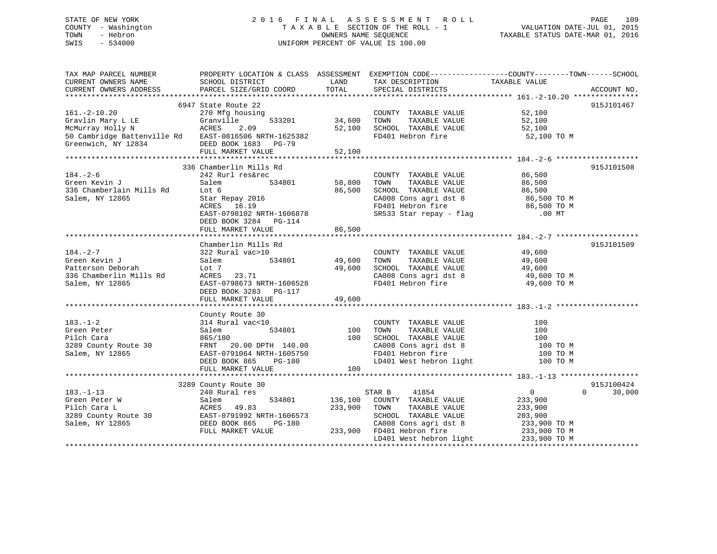# STATE OF NEW YORK 2 0 1 6 F I N A L A S S E S S M E N T R O L L PAGE 109 COUNTY - Washington T A X A B L E SECTION OF THE ROLL - 1 VALUATION DATE-JUL 01, 2015 TOWN - Hebron OWNERS NAME SEQUENCE TAXABLE STATUS DATE-MAR 01, 2016 SWIS - 534000 UNIFORM PERCENT OF VALUE IS 100.00

| TAX MAP PARCEL NUMBER<br>CURRENT OWNERS NAME                                                                                                                                                         | SCHOOL DISTRICT                                                                                                                                                                                                                                               | <b>LAND</b>                       | TAX DESCRIPTION                                                                                                                                                                                               | PROPERTY LOCATION & CLASS ASSESSMENT EXEMPTION CODE----------------COUNTY-------TOWN------SCHOOL<br>TAXABLE VALUE |             |
|------------------------------------------------------------------------------------------------------------------------------------------------------------------------------------------------------|---------------------------------------------------------------------------------------------------------------------------------------------------------------------------------------------------------------------------------------------------------------|-----------------------------------|---------------------------------------------------------------------------------------------------------------------------------------------------------------------------------------------------------------|-------------------------------------------------------------------------------------------------------------------|-------------|
| CURRENT OWNERS ADDRESS                                                                                                                                                                               | PARCEL SIZE/GRID COORD                                                                                                                                                                                                                                        | TOTAL                             | SPECIAL DISTRICTS                                                                                                                                                                                             |                                                                                                                   | ACCOUNT NO. |
|                                                                                                                                                                                                      |                                                                                                                                                                                                                                                               |                                   |                                                                                                                                                                                                               |                                                                                                                   | 915J101467  |
| $161.-2-10.20$<br>50 Cambridge Battenville Rd EAST-0816506 NRTH-1625382<br>Greenwich, NY 12834 DEED BOOK 1683 PG-79                                                                                  | 6947 State Route 22<br>country<br>533201 533201 54,600 TOWN<br>270 Mfg housing<br>FULL MARKET VALUE                                                                                                                                                           | 52,100                            | COUNTY TAXABLE VALUE 52,100<br>TAXABLE VALUE<br>TAXABLE VALUE 52,100<br>T. TAXABLE VALUE 52,100<br>52,100 SCHOOL TAXABLE VALUE 52,100 TO M<br>FD401 Hebron fire 52,100 TO M                                   |                                                                                                                   |             |
|                                                                                                                                                                                                      |                                                                                                                                                                                                                                                               |                                   |                                                                                                                                                                                                               |                                                                                                                   |             |
| $184. - 2 - 6$<br>184.-2-6<br>Green Kevin J<br>336 Chamberlain Mills Rd<br>1995<br>Salem, NY 12865                                                                                                   | 336 Chamberlin Mills Rd<br>242 Rurl res&rec<br>Salem<br>Lot 6<br>Star Repay 2016<br>ACRES 16.19<br>EAST-0798102 NRTH-1606878<br>DEED BOOK 3284 PG-114<br>FULL MARKET VALUE                                                                                    | 534801 58,800<br>86,500<br>86,500 | COUNTY TAXABLE VALUE $86,500$<br>TOWN TAXABLE VALUE $86,500$<br>SCHOOL TAXABLE VALUE 86,500<br>CA008 Cons agri dst 8 66,500 TO M<br>FD401 Hebron fire 86,500 TO M<br>SR533 Star repay - flag 00 MT 000 MT     |                                                                                                                   | 915J101508  |
|                                                                                                                                                                                                      | Chamberlin Mills Rd                                                                                                                                                                                                                                           |                                   |                                                                                                                                                                                                               |                                                                                                                   | 915J101509  |
| $184. - 2 - 7$<br>Green Kevin J<br>Patterson Deborah<br>336 Chamberlin Mills Rd<br>Salem, NY 12865<br>Salem, NY 12865                                                                                | 322 Rural vac>10<br>Salem 534801 49,600 TOWN TAXABLE VALUE<br>LOT 7<br>ACRES 23.71<br>EAST-0798673 NRTH-1606528<br>DEED BOOK 3283 PG-117                                                                                                                      |                                   | COUNTY TAXABLE VALUE 49,600<br>TOWN TAXABLE VALUE 49,600<br>49,600 TOWN TAXABLE VALUE 49,600<br>49,600 SCHOOL TAXABLE VALUE 49,600 TO M<br>CA008 Cons agri dst 8 49,600 TO M<br>FD401 Hebron fire 49,600 TO M |                                                                                                                   |             |
|                                                                                                                                                                                                      | FULL MARKET VALUE                                                                                                                                                                                                                                             | 49,600                            |                                                                                                                                                                                                               |                                                                                                                   |             |
|                                                                                                                                                                                                      |                                                                                                                                                                                                                                                               |                                   |                                                                                                                                                                                                               |                                                                                                                   |             |
| $183. - 1 - 2$<br>Green Peter<br>Pilch Cara<br>3289 County Route 30<br>Salem, NY 12865                                                                                                               | County Route 30<br>314 Rural vac<10<br>Salem<br>865/180 100 SCHOOL TAXABLE VALUE 100<br>FRNT 20.00 DPTH 140.00 2A008 Cons agridst 8 100 TO M<br>EAST-0791064 NRTH-1605750 FD401 Hebron fire 100 TO M<br>DEED BOOK 865 PG-180 LD401 West hebron light 100 TO M |                                   | COUNTY TAXABLE VALUE<br>TOWN      TAXABLE  VALUE                                                                                                                                                              | $\begin{array}{c} 100 \\ 100 \end{array}$<br>100 TO M                                                             |             |
|                                                                                                                                                                                                      | FULL MARKET VALUE                                                                                                                                                                                                                                             | 100                               |                                                                                                                                                                                                               |                                                                                                                   |             |
|                                                                                                                                                                                                      | 3289 County Route 30                                                                                                                                                                                                                                          |                                   |                                                                                                                                                                                                               |                                                                                                                   | 915J100424  |
| $183. - 1 - 13$<br>183.-1-13<br>Green Peter W Salem 534801 136,100<br>Pilch Cara L ACRES 49.83 233,900<br>3289 County Route 30 EAST-0791992 NRTH-1606573<br>TREED BOOK 865 PG-180<br>Salem, NY 12865 | 240 Rural res<br>DEED BOOK 865 PG-180<br>FULL MARKET VALUE 233,900 FD401 Hebron fire 233,900 TO M<br>DEED BOOK $865$ $PG-180$                                                                                                                                 |                                   | STAR B 41854<br>534801 136,100 COUNTY TAXABLE VALUE 233,900<br>TAXABLE VALUE<br>TOWN<br>SCHOOL TAXABLE VALUE 203,900<br>LD401 West hebron light 233,900 TO M                                                  | $\overline{0}$<br>$\Omega$<br>233,900                                                                             | 30,000      |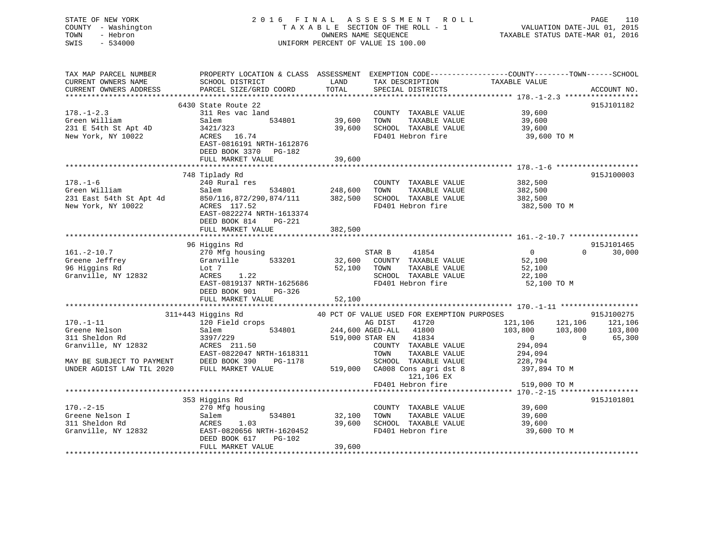# STATE OF NEW YORK 2 0 1 6 F I N A L A S S E S S M E N T R O L L PAGE 110 COUNTY - Washington T A X A B L E SECTION OF THE ROLL - 1 VALUATION DATE-JUL 01, 2015 TOWN - Hebron OWNERS NAME SEQUENCE TAXABLE STATUS DATE-MAR 01, 2016 SWIS - 534000 UNIFORM PERCENT OF VALUE IS 100.00

| TAX MAP PARCEL NUMBER<br>CURRENT OWNERS NAME<br>CURRENT OWNERS ADDRESS | PROPERTY LOCATION & CLASS ASSESSMENT<br>SCHOOL DISTRICT<br>PARCEL SIZE/GRID COORD | LAND<br>TOTAL | TAX DESCRIPTION<br>SPECIAL DISTRICTS        | EXEMPTION CODE-----------------COUNTY-------TOWN------SCHOOL<br>TAXABLE VALUE<br>ACCOUNT NO. |  |
|------------------------------------------------------------------------|-----------------------------------------------------------------------------------|---------------|---------------------------------------------|----------------------------------------------------------------------------------------------|--|
|                                                                        |                                                                                   |               |                                             |                                                                                              |  |
|                                                                        | 6430 State Route 22                                                               |               |                                             | 915J101182                                                                                   |  |
| $178. - 1 - 2.3$                                                       | 311 Res vac land                                                                  |               | COUNTY TAXABLE VALUE                        | 39,600                                                                                       |  |
| Green William                                                          | 534801<br>Salem                                                                   | 39,600        | TAXABLE VALUE<br>TOWN                       | 39,600                                                                                       |  |
| 231 E 54th St Apt 4D                                                   | 3421/323                                                                          | 39,600        | SCHOOL TAXABLE VALUE                        | 39,600                                                                                       |  |
| New York, NY 10022                                                     | ACRES 16.74<br>EAST-0816191 NRTH-1612876<br>DEED BOOK 3370<br>PG-182              |               | FD401 Hebron fire                           | 39,600 TO M                                                                                  |  |
|                                                                        | FULL MARKET VALUE                                                                 | 39,600        |                                             |                                                                                              |  |
|                                                                        |                                                                                   |               |                                             |                                                                                              |  |
|                                                                        | 748 Tiplady Rd                                                                    |               |                                             | 915J100003                                                                                   |  |
| $178. - 1 - 6$                                                         | 240 Rural res                                                                     |               | COUNTY TAXABLE VALUE                        | 382,500                                                                                      |  |
| Green William                                                          | 534801<br>Salem                                                                   | 248,600       | TOWN<br>TAXABLE VALUE                       | 382,500                                                                                      |  |
| 231 East 54th St Apt 4d                                                | 850/116,872/290,874/111                                                           | 382,500       | SCHOOL TAXABLE VALUE                        | 382,500                                                                                      |  |
| New York, NY 10022                                                     | ACRES 117.52                                                                      |               | FD401 Hebron fire                           | 382,500 TO M                                                                                 |  |
|                                                                        | EAST-0822274 NRTH-1613374                                                         |               |                                             |                                                                                              |  |
|                                                                        | DEED BOOK 814<br><b>PG-221</b>                                                    |               |                                             |                                                                                              |  |
|                                                                        | FULL MARKET VALUE                                                                 | 382,500       |                                             |                                                                                              |  |
|                                                                        |                                                                                   |               |                                             |                                                                                              |  |
|                                                                        | 96 Higgins Rd                                                                     |               |                                             | 915J101465                                                                                   |  |
| $161. - 2 - 10.7$                                                      | 270 Mfg housing                                                                   |               | STAR B<br>41854                             | $\Omega$<br>$\Omega$<br>30,000                                                               |  |
| Greene Jeffrey                                                         | Granville<br>533201                                                               | 32,600        | COUNTY TAXABLE VALUE                        | 52,100                                                                                       |  |
| 96 Higgins Rd                                                          | Lot 7                                                                             | 52,100        | TOWN<br>TAXABLE VALUE                       | 52,100                                                                                       |  |
| Granville, NY 12832                                                    | ACRES<br>1.22                                                                     |               | SCHOOL TAXABLE VALUE                        | 22,100                                                                                       |  |
|                                                                        | EAST-0819137 NRTH-1625686                                                         |               | FD401 Hebron fire                           | 52,100 TO M                                                                                  |  |
|                                                                        | DEED BOOK 901<br>PG-326                                                           |               |                                             |                                                                                              |  |
|                                                                        | FULL MARKET VALUE                                                                 | 52,100        |                                             |                                                                                              |  |
|                                                                        |                                                                                   |               |                                             |                                                                                              |  |
|                                                                        | 311+443 Higgins Rd                                                                |               | 40 PCT OF VALUE USED FOR EXEMPTION PURPOSES | 915J100275                                                                                   |  |
| $170. - 1 - 11$                                                        | 120 Field crops                                                                   |               | AG DIST<br>41720                            | 121,106<br>121,106<br>121,106                                                                |  |
| Greene Nelson                                                          | 534801<br>Salem                                                                   |               | 244,600 AGED-ALL<br>41800                   | 103,800<br>103,800<br>103,800                                                                |  |
| 311 Sheldon Rd                                                         | 3397/229                                                                          |               | 519,000 STAR EN<br>41834                    | $\mathbf{0}$<br>65,300<br>$\Omega$                                                           |  |
| Granville, NY 12832                                                    | ACRES 211.50                                                                      |               | COUNTY TAXABLE VALUE                        | 294,094                                                                                      |  |
|                                                                        | EAST-0822047 NRTH-1618311                                                         |               | TAXABLE VALUE<br>TOWN                       | 294,094                                                                                      |  |
| MAY BE SUBJECT TO PAYMENT                                              | DEED BOOK 390<br>PG-1178                                                          |               | SCHOOL TAXABLE VALUE                        | 228,794                                                                                      |  |
| UNDER AGDIST LAW TIL 2020                                              | FULL MARKET VALUE                                                                 | 519,000       | CA008 Cons agri dst 8                       | 397,894 TO M                                                                                 |  |
|                                                                        |                                                                                   |               | 121,106 EX                                  |                                                                                              |  |
|                                                                        |                                                                                   |               | FD401 Hebron fire                           | 519,000 TO M                                                                                 |  |
|                                                                        | *********************************                                                 |               |                                             | **************** 170.-2-15 *******************                                               |  |
|                                                                        | 353 Higgins Rd                                                                    |               |                                             | 915J101801                                                                                   |  |
| $170. - 2 - 15$                                                        | 270 Mfg housing                                                                   |               | COUNTY TAXABLE VALUE                        | 39,600                                                                                       |  |
| Greene Nelson I                                                        | 534801<br>Salem                                                                   | 32,100        | TOWN<br>TAXABLE VALUE                       | 39,600                                                                                       |  |
| 311 Sheldon Rd                                                         | <b>ACRES</b><br>1.03                                                              | 39,600        | SCHOOL TAXABLE VALUE                        | 39,600                                                                                       |  |
| Granville, NY 12832                                                    | EAST-0820656 NRTH-1620452                                                         |               | FD401 Hebron fire                           | 39,600 TO M                                                                                  |  |
|                                                                        | DEED BOOK 617<br>PG-102                                                           |               |                                             |                                                                                              |  |
|                                                                        | FULL MARKET VALUE                                                                 | 39,600        |                                             |                                                                                              |  |
|                                                                        |                                                                                   |               |                                             |                                                                                              |  |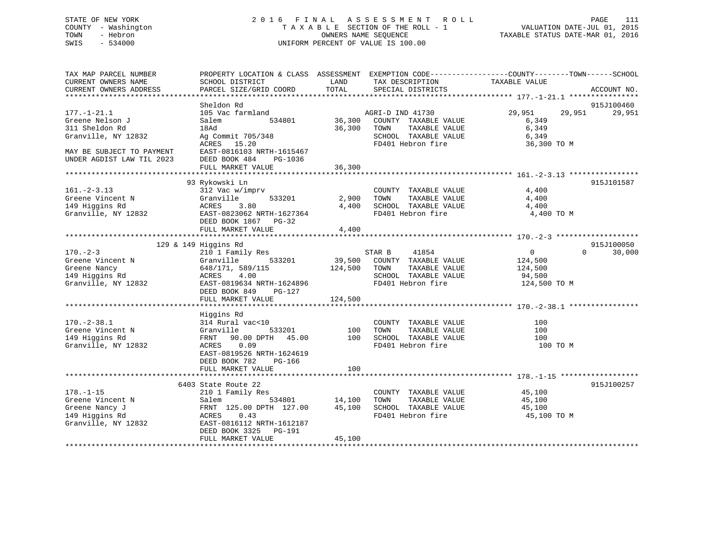# STATE OF NEW YORK 2 0 1 6 F I N A L A S S E S S M E N T R O L L PAGE 111 COUNTY - Washington T A X A B L E SECTION OF THE ROLL - 1 VALUATION DATE-JUL 01, 2015 TOWN - Hebron OWNERS NAME SEQUENCE TAXABLE STATUS DATE-MAR 01, 2016 SWIS - 534000 UNIFORM PERCENT OF VALUE IS 100.00

| TAX MAP PARCEL NUMBER<br>CURRENT OWNERS NAME                                                               | PROPERTY LOCATION & CLASS ASSESSMENT EXEMPTION CODE----------------COUNTY-------TOWN------SCHOOL<br>SCHOOL DISTRICT                                                                  | LAND                       | TAX DESCRIPTION                                                                                                | TAXABLE VALUE                                                  |          |             |
|------------------------------------------------------------------------------------------------------------|--------------------------------------------------------------------------------------------------------------------------------------------------------------------------------------|----------------------------|----------------------------------------------------------------------------------------------------------------|----------------------------------------------------------------|----------|-------------|
| CURRENT OWNERS ADDRESS                                                                                     | PARCEL SIZE/GRID COORD                                                                                                                                                               | TOTAL                      | SPECIAL DISTRICTS                                                                                              |                                                                |          | ACCOUNT NO. |
|                                                                                                            | Sheldon Rd                                                                                                                                                                           |                            |                                                                                                                |                                                                |          | 915J100460  |
| $177. - 1 - 21.1$<br>Greene Nelson J<br>311 Sheldon Rd<br>Granville, NY 12832<br>MAY BE SUBJECT TO PAYMENT | 105 Vac farmland<br>534801<br>Salem<br>18Ad<br>Ag Commit 705/348<br>15.20<br>ACRES<br>EAST-0816103 NRTH-1615467                                                                      | 36,300<br>36,300           | AGRI-D IND 41730<br>COUNTY TAXABLE VALUE<br>TOWN<br>TAXABLE VALUE<br>SCHOOL TAXABLE VALUE<br>FD401 Hebron fire | 29,951<br>6,349<br>6,349<br>6,349<br>36,300 TO M               | 29,951   | 29,951      |
| UNDER AGDIST LAW TIL 2023                                                                                  | DEED BOOK 484<br>PG-1036<br>FULL MARKET VALUE                                                                                                                                        | 36,300                     |                                                                                                                |                                                                |          |             |
|                                                                                                            |                                                                                                                                                                                      |                            |                                                                                                                |                                                                |          |             |
| $161. - 2 - 3.13$<br>Greene Vincent N<br>149 Higgins Rd<br>Granville, NY 12832                             | 93 Rykowski Ln<br>312 Vac w/imprv<br>Granville<br>533201<br>3.80<br>ACRES<br>EAST-0823062 NRTH-1627364<br>DEED BOOK 1867<br>$PG-32$<br>FULL MARKET VALUE                             | 2,900<br>4,400<br>4,400    | COUNTY TAXABLE VALUE<br>TAXABLE VALUE<br>TOWN<br>SCHOOL TAXABLE VALUE<br>FD401 Hebron fire                     | 4,400<br>4,400<br>4,400<br>4,400 TO M                          |          | 915J101587  |
|                                                                                                            |                                                                                                                                                                                      |                            |                                                                                                                |                                                                |          |             |
|                                                                                                            | 129 & 149 Higgins Rd                                                                                                                                                                 |                            |                                                                                                                |                                                                |          | 915J100050  |
| $170. - 2 - 3$<br>Greene Vincent N<br>Greene Nancy<br>149 Higgins Rd<br>Granville, NY 12832                | 210 1 Family Res<br>533201<br>Granville<br>648/171, 589/115<br>ACRES<br>4.00<br>EAST-0819634 NRTH-1624896<br>DEED BOOK 849<br>PG-127                                                 | 39,500<br>124,500          | 41854<br>STAR B<br>COUNTY TAXABLE VALUE<br>TAXABLE VALUE<br>TOWN<br>SCHOOL TAXABLE VALUE<br>FD401 Hebron fire  | $\overline{0}$<br>124,500<br>124,500<br>94,500<br>124,500 TO M | $\Omega$ | 30,000      |
|                                                                                                            | FULL MARKET VALUE                                                                                                                                                                    | 124,500                    |                                                                                                                |                                                                |          |             |
| $170. - 2 - 38.1$<br>Greene Vincent N<br>149 Higgins Rd<br>Granville, NY 12832                             | Higgins Rd<br>314 Rural vac<10<br>Granville<br>533201<br>FRNT 90.00 DPTH 45.00<br>0.09<br>ACRES<br>EAST-0819526 NRTH-1624619                                                         | 100<br>100                 | COUNTY TAXABLE VALUE<br>TOWN<br>TAXABLE VALUE<br>SCHOOL TAXABLE VALUE<br>FD401 Hebron fire                     | 100<br>100<br>100<br>100 TO M                                  |          |             |
|                                                                                                            | DEED BOOK 782<br>$PG-166$<br>FULL MARKET VALUE                                                                                                                                       | 100                        |                                                                                                                |                                                                |          |             |
|                                                                                                            |                                                                                                                                                                                      |                            |                                                                                                                |                                                                |          |             |
| $178. - 1 - 15$<br>Greene Vincent N<br>Greene Nancy J<br>149 Higgins Rd<br>Granville, NY 12832             | 6403 State Route 22<br>210 1 Family Res<br>534801<br>Salem<br>FRNT 125.00 DPTH 127.00<br>ACRES<br>0.43<br>EAST-0816112 NRTH-1612187<br>DEED BOOK 3325<br>PG-191<br>FULL MARKET VALUE | 14,100<br>45,100<br>45,100 | COUNTY TAXABLE VALUE<br>TOWN<br>TAXABLE VALUE<br>SCHOOL TAXABLE VALUE<br>FD401 Hebron fire                     | 45,100<br>45,100<br>45,100<br>45,100 TO M                      |          | 915J100257  |
|                                                                                                            |                                                                                                                                                                                      |                            |                                                                                                                |                                                                |          |             |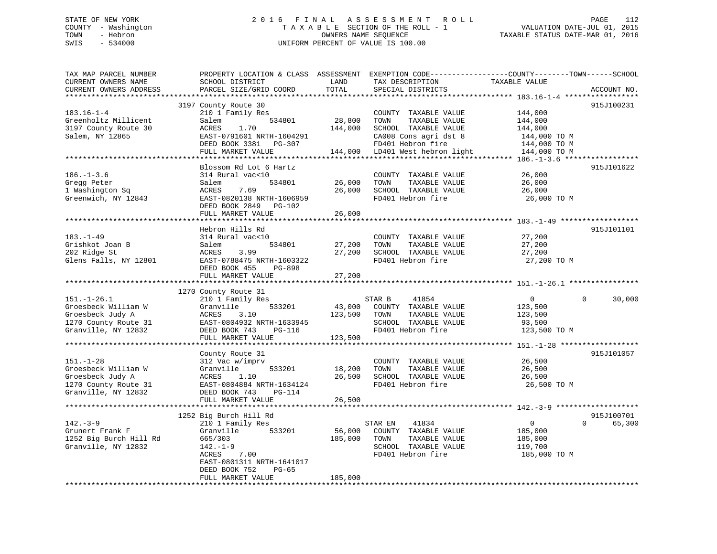# STATE OF NEW YORK 2 0 1 6 F I N A L A S S E S S M E N T R O L L PAGE 112 COUNTY - Washington T A X A B L E SECTION OF THE ROLL - 1 VALUATION DATE-JUL 01, 2015 TOWN - Hebron OWNERS NAME SEQUENCE TAXABLE STATUS DATE-MAR 01, 2016 SWIS - 534000 UNIFORM PERCENT OF VALUE IS 100.00

| TAX MAP PARCEL NUMBER<br>CURRENT OWNERS NAME<br>CURRENT OWNERS ADDRESS                                      | PROPERTY LOCATION & CLASS ASSESSMENT<br>SCHOOL DISTRICT<br>PARCEL SIZE/GRID COORD                                                                          | LAND<br>TOTAL                | EXEMPTION CODE-----------------COUNTY-------TOWN------SCHOOL<br>TAX DESCRIPTION<br>SPECIAL DISTRICTS                                           | TAXABLE VALUE                                                                 | ACCOUNT NO.                      |
|-------------------------------------------------------------------------------------------------------------|------------------------------------------------------------------------------------------------------------------------------------------------------------|------------------------------|------------------------------------------------------------------------------------------------------------------------------------------------|-------------------------------------------------------------------------------|----------------------------------|
|                                                                                                             | ****************                                                                                                                                           | ********                     |                                                                                                                                                |                                                                               |                                  |
| $183.16 - 1 - 4$<br>Greenholtz Millicent<br>3197 County Route 30<br>Salem, NY 12865                         | 3197 County Route 30<br>210 1 Family Res<br>Salem<br>534801<br>ACRES<br>1.70<br>EAST-0791601 NRTH-1604291<br>DEED BOOK 3381<br>PG-307<br>FULL MARKET VALUE | 28,800<br>144,000            | COUNTY TAXABLE VALUE<br>TAXABLE VALUE<br>TOWN<br>SCHOOL TAXABLE VALUE<br>CA008 Cons agri dst 8<br>FD401 Hebron fire<br>LD401 West hebron light | 144,000<br>144,000<br>144,000<br>144,000 TO M<br>144,000 TO M<br>144,000 TO M | 915J100231                       |
|                                                                                                             |                                                                                                                                                            | 144,000                      |                                                                                                                                                | ***************************** 186.-1-3.6 *****                                |                                  |
| $186. - 1 - 3.6$<br>Gregg Peter<br>1 Washington Sq<br>Greenwich, NY 12843                                   | Blossom Rd Lot 6 Hartz<br>314 Rural vac<10<br>534801<br>Salem<br>ACRES<br>7.69<br>EAST-0820138 NRTH-1606959<br>DEED BOOK 2849<br>PG-102                    | 26,000<br>26,000             | COUNTY TAXABLE VALUE<br>TAXABLE VALUE<br>TOWN<br>SCHOOL TAXABLE VALUE<br>FD401 Hebron fire                                                     | 26,000<br>26,000<br>26,000<br>26,000 TO M                                     | 915J101622                       |
|                                                                                                             | FULL MARKET VALUE                                                                                                                                          | 26,000                       |                                                                                                                                                |                                                                               |                                  |
| $183. - 1 - 49$<br>Grishkot Joan B<br>202 Ridge St<br>Glens Falls, NY 12801                                 | Hebron Hills Rd<br>314 Rural vac<10<br>534801<br>Salem<br>ACRES<br>3.99<br>EAST-0788475 NRTH-1603322<br>DEED BOOK 455<br>PG-898                            | 27,200<br>27,200             | COUNTY TAXABLE VALUE<br>TOWN<br>TAXABLE VALUE<br>SCHOOL TAXABLE VALUE<br>FD401 Hebron fire                                                     | 27,200<br>27,200<br>27,200<br>27,200 TO M                                     | 915J101101                       |
|                                                                                                             | FULL MARKET VALUE                                                                                                                                          | 27,200                       |                                                                                                                                                |                                                                               |                                  |
|                                                                                                             |                                                                                                                                                            |                              |                                                                                                                                                |                                                                               |                                  |
| $151. - 1 - 26.1$<br>Groesbeck William W<br>Groesbeck Judy A<br>1270 County Route 31<br>Granville, NY 12832 | 1270 County Route 31<br>210 1 Family Res<br>Granville<br>533201<br>ACRES<br>3.10<br>EAST-0804932 NRTH-1633945<br>DEED BOOK 743<br><b>PG-116</b>            | 43,000<br>123,500            | STAR B<br>41854<br>COUNTY TAXABLE VALUE<br>TAXABLE VALUE<br>TOWN<br>SCHOOL TAXABLE VALUE<br>FD401 Hebron fire                                  | $\Omega$<br>123,500<br>123,500<br>93,500<br>123,500 TO M                      | 30,000<br>$\Omega$               |
|                                                                                                             | FULL MARKET VALUE                                                                                                                                          | 123,500                      |                                                                                                                                                |                                                                               |                                  |
| $151. - 1 - 28$<br>Groesbeck William W<br>Groesbeck Judy A<br>1270 County Route 31<br>Granville, NY 12832   | County Route 31<br>312 Vac w/imprv<br>533201<br>Granville<br>ACRES<br>1.10<br>EAST-0804884 NRTH-1634124<br>DEED BOOK 743<br><b>PG-114</b>                  | 18,200<br>26,500             | COUNTY TAXABLE VALUE<br>TOWN<br>TAXABLE VALUE<br>SCHOOL TAXABLE VALUE<br>FD401 Hebron fire                                                     | 26,500<br>26,500<br>26,500<br>26,500 TO M                                     | 915J101057                       |
|                                                                                                             | FULL MARKET VALUE                                                                                                                                          | 26,500                       |                                                                                                                                                |                                                                               |                                  |
| $142. - 3 - 9$                                                                                              | 1252 Big Burch Hill Rd<br>210 1 Family Res                                                                                                                 |                              | STAR EN<br>41834                                                                                                                               | $\overline{0}$                                                                | 915J100701<br>$\Omega$<br>65,300 |
| Grunert Frank F<br>1252 Big Burch Hill Rd<br>Granville, NY 12832                                            | Granville<br>533201<br>665/303<br>$142. - 1 - 9$<br>7.00<br>ACRES<br>EAST-0801311 NRTH-1641017<br>DEED BOOK 752<br>$PG-65$<br>FULL MARKET VALUE            | 56,000<br>185,000<br>185,000 | COUNTY TAXABLE VALUE<br>TOWN<br>TAXABLE VALUE<br>SCHOOL TAXABLE VALUE<br>FD401 Hebron fire                                                     | 185,000<br>185,000<br>119,700<br>185,000 TO M                                 |                                  |
|                                                                                                             |                                                                                                                                                            |                              |                                                                                                                                                |                                                                               |                                  |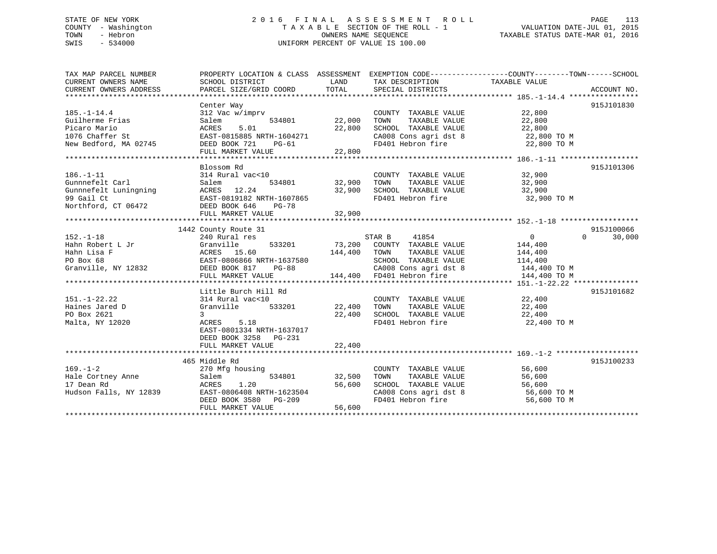# STATE OF NEW YORK 2 0 1 6 F I N A L A S S E S S M E N T R O L L PAGE 113 COUNTY - Washington T A X A B L E SECTION OF THE ROLL - 1 VALUATION DATE-JUL 01, 2015 TOWN - Hebron OWNERS NAME SEQUENCE TAXABLE STATUS DATE-MAR 01, 2016 SWIS - 534000 UNIFORM PERCENT OF VALUE IS 100.00

| TAX MAP PARCEL NUMBER<br>CURRENT OWNERS NAME<br>CURRENT OWNERS ADDRESS                           | PROPERTY LOCATION & CLASS ASSESSMENT EXEMPTION CODE----------------COUNTY-------TOWN------SCHOOL<br>SCHOOL DISTRICT<br>PARCEL SIZE/GRID COORD     | LAND<br>TOTAL                     | TAX DESCRIPTION TAXABLE VALUE<br>SPECIAL DISTRICTS                                                                                      |                                                                    | ACCOUNT NO.        |
|--------------------------------------------------------------------------------------------------|---------------------------------------------------------------------------------------------------------------------------------------------------|-----------------------------------|-----------------------------------------------------------------------------------------------------------------------------------------|--------------------------------------------------------------------|--------------------|
| $185. - 1 - 14.4$<br>Guilherme Frias<br>Picaro Mario<br>1076 Chaffer St<br>New Bedford, MA 02745 | Center Way<br>312 Vac w/imprv<br>Salem<br>ACRES<br>5.01<br>EAST-0815885 NRTH-1604271<br>DEED BOOK 721<br>PG-61<br>FULL MARKET VALUE               | 534801 22,000<br>22,800<br>22,800 | COUNTY TAXABLE VALUE<br>TOWN<br>TAXABLE VALUE<br>SCHOOL TAXABLE VALUE<br>FD401 Hebron fire                                              | 22,800<br>22,800<br>22,800<br>22,800 TO M                          | 915J101830         |
| $186. - 1 - 11$<br>Gunnnefelt Carl<br>Gunnnefelt Luningning<br>99 Gail Ct<br>Northford, CT 06472 | Blossom Rd<br>314 Rural vac<10<br>Salem<br>ACRES 12.24<br>EAST-0819182 NRTH-1607865<br>DEED BOOK 646<br>PG-78                                     | 534801 32,900<br>32,900           | COUNTY TAXABLE VALUE 32,900<br>TOWN<br>TAXABLE VALUE<br>SCHOOL TAXABLE VALUE 32,900<br>FD401 Hebron fire                                | 32,900<br>32,900 TO M                                              | 915J101306         |
|                                                                                                  | 1442 County Route 31                                                                                                                              |                                   |                                                                                                                                         |                                                                    | 915J100066         |
| $152. - 1 - 18$<br>Hahn Robert L Jr<br>Hahn Lisa F<br>PO Box 68<br>Granville, NY 12832           | 240 Rural res<br>533201<br>Granville<br>-----------<br>EAST-0806866 N<br>DEED BOOK 817<br>EAST-0806866 NRTH-1637580<br>PG-88<br>FULL MARKET VALUE | 144,400 TOWN                      | STAR B 41854<br>TAXABLE VALUE<br>SCHOOL TAXABLE VALUE<br>144,400 FD401 Hebron fire                                                      | $0 \qquad \qquad$<br>144,400<br>144,400<br>114,400<br>144,400 TO M | $\Omega$<br>30,000 |
|                                                                                                  | Little Burch Hill Rd                                                                                                                              |                                   |                                                                                                                                         |                                                                    | 915J101682         |
| $151. - 1 - 22.22$<br>Haines Jared D<br>PO Box 2621<br>Malta, NY 12020                           | 314 Rural vac<10<br>Granville<br>533201<br>$\mathbf{3}$<br>ACRES 5.18<br>EAST-0801334 NRTH-1637017<br>DEED BOOK 3258 PG-231                       | 22,400<br>22,400                  | COUNTY TAXABLE VALUE 22,400<br>TAXABLE VALUE<br>TOWN<br>SCHOOL TAXABLE VALUE<br>FD401 Hebron fire                                       | 22,400<br>22,400<br>22,400 TO M                                    |                    |
|                                                                                                  | FULL MARKET VALUE                                                                                                                                 | 22,400                            |                                                                                                                                         |                                                                    |                    |
|                                                                                                  | 465 Middle Rd                                                                                                                                     |                                   |                                                                                                                                         |                                                                    | 915J100233         |
| $169. - 1 - 2$                                                                                   | 270 Mfg housing<br>534801<br>1.20<br>Hudson Falls, NY 12839 EAST-0806408 NRTH-1623504<br>DEED BOOK 3580 PG-209<br>FULL MARKET VALUE               | 32,500<br>56,600<br>56,600        | COUNTY TAXABLE VALUE<br>TOWN       TAXABLE  VALUE<br>SCHOOL    TAXABLE  VALUE<br>CA008 Cons agri dst 8 56,600 TO M<br>FD401 Hebron fire | 56,600<br>56,600<br>56,600<br>56,600 TO M                          |                    |
|                                                                                                  |                                                                                                                                                   |                                   |                                                                                                                                         |                                                                    |                    |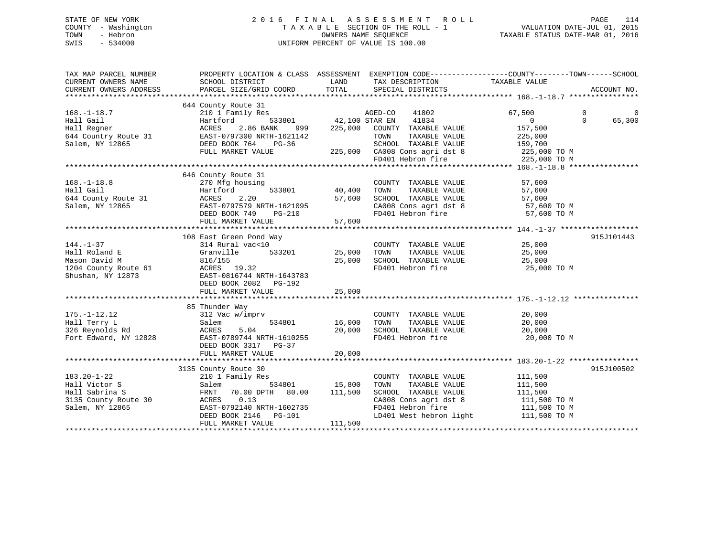# STATE OF NEW YORK 2 0 1 6 F I N A L A S S E S S M E N T R O L L PAGE 114 COUNTY - Washington T A X A B L E SECTION OF THE ROLL - 1 VALUATION DATE-JUL 01, 2015 TOWN - Hebron OWNERS NAME SEQUENCE TAXABLE STATUS DATE-MAR 01, 2016 SWIS - 534000 UNIFORM PERCENT OF VALUE IS 100.00

| TAX MAP PARCEL NUMBER<br>CURRENT OWNERS NAME<br>CURRENT OWNERS ADDRESS                                                                                                                                                                                   | SCHOOL DISTRICT<br><b>EXAMPLE STATE</b><br>PARCEL SIZE/GRID COORD                                     | TOTAL            | TAX DESCRIPTION TAXABLE VALUE SPECIAL DISTRICTS                                                                                                                                                          | PROPERTY LOCATION & CLASS ASSESSMENT EXEMPTION CODE---------------COUNTY-------TOWN------SCHOOL<br>ACCOUNT NO.                                                                                                                                    |   |
|----------------------------------------------------------------------------------------------------------------------------------------------------------------------------------------------------------------------------------------------------------|-------------------------------------------------------------------------------------------------------|------------------|----------------------------------------------------------------------------------------------------------------------------------------------------------------------------------------------------------|---------------------------------------------------------------------------------------------------------------------------------------------------------------------------------------------------------------------------------------------------|---|
| $168. - 1 - 18.7$                                                                                                                                                                                                                                        | 644 County Route 31<br>210 1 Family Res                                                               |                  | 41802                                                                                                                                                                                                    | 67,500<br>$\overline{0}$                                                                                                                                                                                                                          | 0 |
|                                                                                                                                                                                                                                                          |                                                                                                       |                  |                                                                                                                                                                                                          | Hall Gail<br>Hall Gail<br>Hall Regner<br>Hall Regner<br>Martford 533801 42,100 STAR EN 41834<br>Hall Regner<br>ACRES 2.86 BANK 999 225,000 COUNTY TAXABLE VALUE<br>Salem, NY 12865 DEED BOOK 764 PG-36<br>Salem, NY 12865 DEED BOOK 764 PG-36<br> |   |
|                                                                                                                                                                                                                                                          |                                                                                                       |                  |                                                                                                                                                                                                          |                                                                                                                                                                                                                                                   |   |
| 168.-1-18.8<br>Hall Gail 270 Mfg housing<br>Hall Gail Hartford 533801 40,400<br>644 County Route 31<br>Salem, NY 12865<br>EAST-0797579 NRTH-1621095<br>DEED BOOK 749 PG-210                                                                              | 646 County Route 31<br>$\frac{1}{2}$ 533801 40,400<br>FULL MARKET VALUE                               | 57,600           | COUNTY TAXABLE VALUE<br>TOWN TAXABLE VALUE<br>TOWN TAXABLE VALUE<br>SCHOOL TAXABLE VALUE<br>CA008 Cons agri dst 8<br>FD401 Hebron fire<br>57,600 TO M<br>FD401 Hebron fire<br>57,600 TO M<br>57,600 TO M | 57,600                                                                                                                                                                                                                                            |   |
|                                                                                                                                                                                                                                                          |                                                                                                       |                  |                                                                                                                                                                                                          |                                                                                                                                                                                                                                                   |   |
| $144. - 1 - 37$<br>Hall Roland E<br>Mason David M<br>1204 County Route 61<br>Shushan, NY 12873<br>1204 County Route 61<br>204 CAST-0816744 NRTH-1643783<br>205 DEED BOOK 2082<br>206 PG-192<br>205 PG-192<br>205 PG-192                                  | 108 East Green Pond Way<br>FULL MARKET VALUE                                                          | 25,000<br>25,000 | COUNTY TAXABLE VALUE 25,000<br>TOWN TAXABLE VALUE $25,000$<br>SCHOOL TAXABLE VALUE $25,000$<br>FD401 Hebron fire 25,000 TO M                                                                             | 915J101443                                                                                                                                                                                                                                        |   |
| $175. - 1 - 12.12$<br>Hall Terry L<br>326 Reynolds Rd<br>Fort Edward, NY 12828 EAST-0789744 NRTH-1610255                                                                                                                                                 | 85 Thunder Way<br>312 Vac w/imprv<br>Salem 534801 16,000<br>DEED BOOK 3317 PG-37<br>FULL MARKET VALUE | 20,000<br>20,000 | COUNTY TAXABLE VALUE 20,000<br>TOWN TAXABLE VALUE $20,000$<br>SCHOOL TAXABLE VALUE $20,000$<br>FD401 Hebron fire $20,000$ TO M                                                                           |                                                                                                                                                                                                                                                   |   |
|                                                                                                                                                                                                                                                          | 3135 County Route 30                                                                                  |                  |                                                                                                                                                                                                          | 915J100502                                                                                                                                                                                                                                        |   |
| 183.20-1-22<br>Hall Victor S<br>Hall Sabrina S<br>Hall Sabrina S<br>3135 County Route 30<br>Salem, NY 12865<br>Hall Sabrina S<br>Salem, NY 12865<br>Salem, NY 12865<br>Salem, NY 12865<br>Salem, NY 12865<br>Salem, NY 12865<br>Salem, NY 12865<br>Salem | DEED BOOK 2146 PG-101<br>FULL MARKET VALUE 111,500                                                    |                  | COUNTY TAXABLE VALUE<br>TOWN<br>TAXABLE VALUE<br>SCHOOL TAXABLE VALUE 111,500<br>CA008 Cons agri dst 8 111,500 TO M<br>FD401 Hebron fire 111,500 TO M<br>LD401 West hebron light 111,500 TO M            | 111,500<br>111,500                                                                                                                                                                                                                                |   |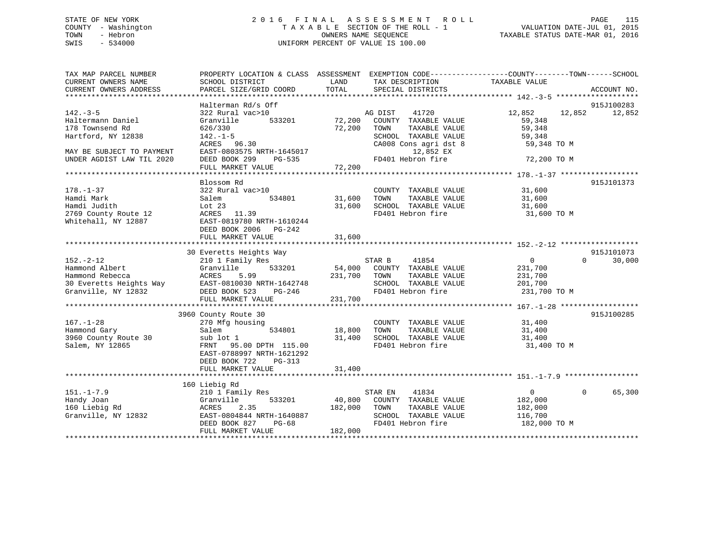# STATE OF NEW YORK 2 0 1 6 F I N A L A S S E S S M E N T R O L L PAGE 115 COUNTY - Washington T A X A B L E SECTION OF THE ROLL - 1 VALUATION DATE-JUL 01, 2015 TOWN - Hebron OWNERS NAME SEQUENCE TAXABLE STATUS DATE-MAR 01, 2016 SWIS - 534000 UNIFORM PERCENT OF VALUE IS 100.00

| TAX MAP PARCEL NUMBER<br>CURRENT OWNERS NAME<br>CURRENT OWNERS ADDRESS                                                                                                      | PROPERTY LOCATION & CLASS ASSESSMENT EXEMPTION CODE---------------COUNTY-------TOWN-----SCHOOL<br>SCHOOL DISTRICT<br>PARCEL SIZE/GRID COORD              | LAND<br>TOTAL               | TAX DESCRIPTION<br>SPECIAL DISTRICTS                                                                                                                    | TAXABLE VALUE                                                             | ACCOUNT NO.        |
|-----------------------------------------------------------------------------------------------------------------------------------------------------------------------------|----------------------------------------------------------------------------------------------------------------------------------------------------------|-----------------------------|---------------------------------------------------------------------------------------------------------------------------------------------------------|---------------------------------------------------------------------------|--------------------|
|                                                                                                                                                                             | Halterman Rd/s Off                                                                                                                                       |                             |                                                                                                                                                         |                                                                           | 915J100283         |
| $142. - 3 - 5$<br>Haltermann Daniel<br>178 Townsend Rd<br>Hartford, NY 12838<br>MAY BE SUBJECT TO PAYMENT<br>UNDER AGDIST LAW TIL 2020                                      | 322 Rural vac>10<br>Granville<br>626/330<br>$142. - 1 - 5$<br>ACRES 96.30<br>EAST-0803575 NRTH-1645017<br>DEED BOOK 299<br>PG-535                        | AG DIST<br>72,200<br>72,200 | 41720<br>533201 72,200 COUNTY TAXABLE VALUE<br>TOWN<br>TAXABLE VALUE<br>SCHOOL TAXABLE VALUE<br>CA008 Cons agri dst 8<br>12,852 EX<br>FD401 Hebron fire | 12,852 12,852<br>59,348<br>59,348<br>59,348<br>59,348 TO M<br>72,200 TO M | 12,852             |
|                                                                                                                                                                             | FULL MARKET VALUE                                                                                                                                        |                             |                                                                                                                                                         |                                                                           |                    |
| $178. - 1 - 37$<br>Hamdi Mark<br>Hamdi Judith<br>2769 County Route 12<br>Whitehall, NY 12887                                                                                | Blossom Rd<br>322 Rural vac>10<br>534801<br>Salem<br>Lot 23<br>ACRES 11.39<br>EAST-0819780 NRTH-1610244<br>DEED BOOK 2006 PG-242<br>FULL MARKET VALUE    | 31,600<br>31,600<br>31,600  | COUNTY TAXABLE VALUE<br>TAXABLE VALUE<br>TOWN<br>SCHOOL TAXABLE VALUE<br>FD401 Hebron fire                                                              | 31,600<br>31,600<br>31,600<br>31,600<br>31,600 TO M                       | 915J101373         |
|                                                                                                                                                                             | 30 Everetts Heights Way                                                                                                                                  |                             |                                                                                                                                                         |                                                                           | 915J101073         |
| $152 - 2 - 12$<br>Hammond Albert<br>Hammond Rebecca<br>30 Everetts Heights Way EAST-0810030 NRTH-1642748<br>Granville. NY 12832 DEED BOOK 523 PG-246<br>Granville, NY 12832 | 210 1 Family Res<br>533201<br>Granville<br>ACRES<br>5.99<br>DEED BOOK 523<br>PG-246<br>FULL MARKET VALUE                                                 | 231,700<br>231,700          | 41854<br>STAR B<br>54,000 COUNTY TAXABLE VALUE<br>TOWN<br>TAXABLE VALUE<br>SCHOOL TAXABLE VALUE<br>FD401 Hebron fire                                    | $\overline{0}$<br>231,700<br>231,700<br>201,700<br>231,700 TO M           | $\Omega$<br>30,000 |
|                                                                                                                                                                             | 3960 County Route 30                                                                                                                                     |                             |                                                                                                                                                         |                                                                           | 915J100285         |
| $167. - 1 - 28$<br>Hammond Gary<br>3960 County Route 30<br>Salem, NY 12865                                                                                                  | 270 Mfg housing<br>534801<br>Salem<br>sub lot 1<br>FRNT 95.00 DPTH 115.00<br>EAST-0788997 NRTH-1621292<br>DEED BOOK 722<br>$PG-313$<br>FULL MARKET VALUE | 18,800<br>31,400<br>31,400  | COUNTY TAXABLE VALUE<br>TAXABLE VALUE<br>TOWN<br>SCHOOL TAXABLE VALUE<br>FD401 Hebron fire                                                              | 31,400<br>31,400<br>31,400<br>31,400 TO M                                 |                    |
|                                                                                                                                                                             |                                                                                                                                                          |                             |                                                                                                                                                         |                                                                           |                    |
| $151. - 1 - 7.9$<br>Handy Joan<br>160 Liebig Rd<br>Granville, NY 12832                                                                                                      | 160 Liebig Rd<br>210 1 Family Res<br>533201<br>Granville<br>2.35<br>ACRES<br>EAST-0804844 NRTH-1640887<br>DEED BOOK 827<br>$PG-68$<br>FULL MARKET VALUE  | 182,000<br>182,000          | STAR EN 41834<br>40,800 COUNTY TAXABLE VALUE<br>TAXABLE VALUE<br>TOWN<br>SCHOOL TAXABLE VALUE<br>FD401 Hebron fire                                      | $\Omega$<br>182,000<br>182,000<br>116,700<br>182,000 TO M                 | 65,300<br>$\Omega$ |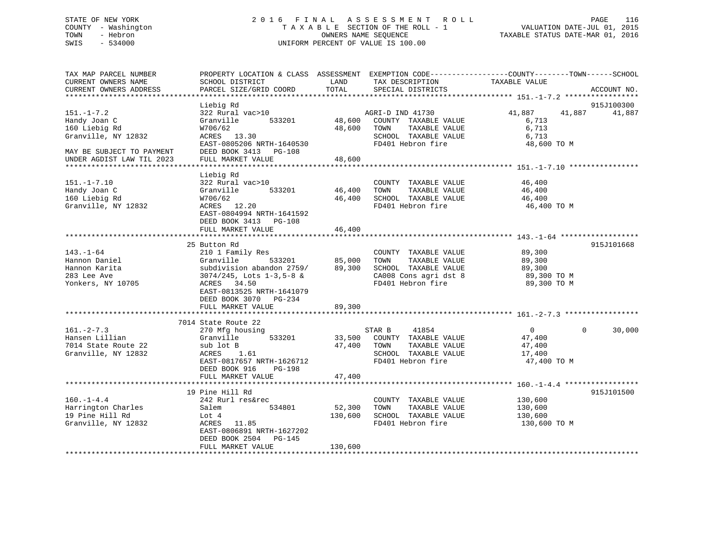# STATE OF NEW YORK 2 0 1 6 F I N A L A S S E S S M E N T R O L L PAGE 116 COUNTY - Washington T A X A B L E SECTION OF THE ROLL - 1 VALUATION DATE-JUL 01, 2015 TOWN - Hebron OWNERS NAME SEQUENCE TAXABLE STATUS DATE-MAR 01, 2016 SWIS - 534000 UNIFORM PERCENT OF VALUE IS 100.00

| TAX MAP PARCEL NUMBER<br>CURRENT OWNERS NAME<br>CURRENT OWNERS ADDRESS                | PROPERTY LOCATION & CLASS ASSESSMENT EXEMPTION CODE----------------COUNTY-------TOWN------SCHOOL<br>SCHOOL DISTRICT<br>PARCEL SIZE/GRID COORD     | LAND<br>TOTAL         | TAX DESCRIPTION<br>SPECIAL DISTRICTS                                                                                 | TAXABLE VALUE                                               | ACCOUNT NO.        |
|---------------------------------------------------------------------------------------|---------------------------------------------------------------------------------------------------------------------------------------------------|-----------------------|----------------------------------------------------------------------------------------------------------------------|-------------------------------------------------------------|--------------------|
|                                                                                       | Liebig Rd                                                                                                                                         |                       |                                                                                                                      |                                                             | 915J100300         |
| $151. - 1 - 7.2$<br>Handy Joan C<br>160 Liebig Rd                                     | 322 Rural vac>10<br>533201<br>Granville<br>W706/62                                                                                                | 48,600<br>48,600      | AGRI-D IND 41730<br>COUNTY TAXABLE VALUE<br>TOWN<br>TAXABLE VALUE                                                    | 41,887<br>41,887<br>6,713<br>6,713                          | 41,887             |
| Granville, NY 12832                                                                   | ACRES 13.30<br>EAST-0805206 NRTH-1640530<br>DEED BOOK 3413 PG-108                                                                                 |                       | SCHOOL TAXABLE VALUE<br>FD401 Hebron fire                                                                            | 6,713<br>48,600 TO M                                        |                    |
| MAY BE SUBJECT TO PAYMENT<br>UNDER AGDIST LAW TIL 2023<br>*************************   | FULL MARKET VALUE<br>***********************                                                                                                      | 48,600<br>*********** |                                                                                                                      | ********************* 151.-1-7.10 ***********               |                    |
|                                                                                       | Liebig Rd                                                                                                                                         |                       |                                                                                                                      |                                                             |                    |
| $151. - 1 - 7.10$<br>Handy Joan C<br>160 Liebig Rd                                    | 322 Rural vac>10<br>Granville<br>533201<br>W706/62                                                                                                | 46,400<br>46,400      | COUNTY TAXABLE VALUE<br>TOWN<br>TAXABLE VALUE<br>SCHOOL TAXABLE VALUE                                                | 46,400<br>46,400<br>46,400                                  |                    |
| Granville, NY 12832                                                                   | ACRES 12.20<br>EAST-0804994 NRTH-1641592<br>DEED BOOK 3413 PG-108<br>FULL MARKET VALUE                                                            | 46,400                | FD401 Hebron fire                                                                                                    | 46,400 TO M                                                 |                    |
|                                                                                       |                                                                                                                                                   |                       |                                                                                                                      |                                                             |                    |
|                                                                                       | 25 Button Rd                                                                                                                                      |                       |                                                                                                                      |                                                             | 915J101668         |
| $143. - 1 - 64$<br>Hannon Daniel<br>Hannon Karita<br>283 Lee Ave<br>Yonkers, NY 10705 | 210 1 Family Res<br>533201<br>Granville<br>subdivision abandon 2759/<br>$3074/245$ , Lots $1-3,5-8$ &<br>ACRES 34.50<br>EAST-0813525 NRTH-1641079 | 85,000<br>89,300      | COUNTY TAXABLE VALUE<br>TAXABLE VALUE<br>TOWN<br>SCHOOL TAXABLE VALUE<br>CA008 Cons agri dst 8<br>FD401 Hebron fire  | 89,300<br>89,300<br>89,300<br>89,300 TO M<br>89,300 TO M    |                    |
|                                                                                       | DEED BOOK 3070 PG-234<br>FULL MARKET VALUE                                                                                                        | 89,300                |                                                                                                                      |                                                             |                    |
|                                                                                       |                                                                                                                                                   |                       |                                                                                                                      |                                                             |                    |
|                                                                                       | 7014 State Route 22                                                                                                                               |                       |                                                                                                                      |                                                             |                    |
| $161. - 2 - 7.3$<br>Hansen Lillian<br>7014 State Route 22<br>Granville, NY 12832      | 270 Mfg housing<br>533201<br>Granville<br>sub lot B<br>ACRES 1.61<br>EAST-0817657 NRTH-1626712                                                    | 47,400                | STAR B<br>41854<br>33,500 COUNTY TAXABLE VALUE<br>TOWN<br>TAXABLE VALUE<br>SCHOOL TAXABLE VALUE<br>FD401 Hebron fire | $\overline{0}$<br>47,400<br>47,400<br>17,400<br>47,400 TO M | 30,000<br>$\Omega$ |
|                                                                                       | DEED BOOK 916<br>PG-198<br>FULL MARKET VALUE                                                                                                      | 47,400                |                                                                                                                      |                                                             |                    |
|                                                                                       |                                                                                                                                                   |                       |                                                                                                                      |                                                             |                    |
|                                                                                       | 19 Pine Hill Rd                                                                                                                                   |                       |                                                                                                                      |                                                             | 915J101500         |
| $160. - 1 - 4.4$<br>Harrington Charles<br>19 Pine Hill Rd<br>Granville, NY 12832      | 242 Rurl res&rec<br>Salem<br>534801<br>Lot 4<br>ACRES 11.85<br>EAST-0806891 NRTH-1627202<br>DEED BOOK 2504 PG-145                                 | 52,300<br>130,600     | COUNTY TAXABLE VALUE<br>TOWN<br>TAXABLE VALUE<br>SCHOOL TAXABLE VALUE<br>FD401 Hebron fire                           | 130,600<br>130,600<br>130,600<br>130,600 TO M               |                    |
|                                                                                       | FULL MARKET VALUE                                                                                                                                 | 130,600               |                                                                                                                      |                                                             |                    |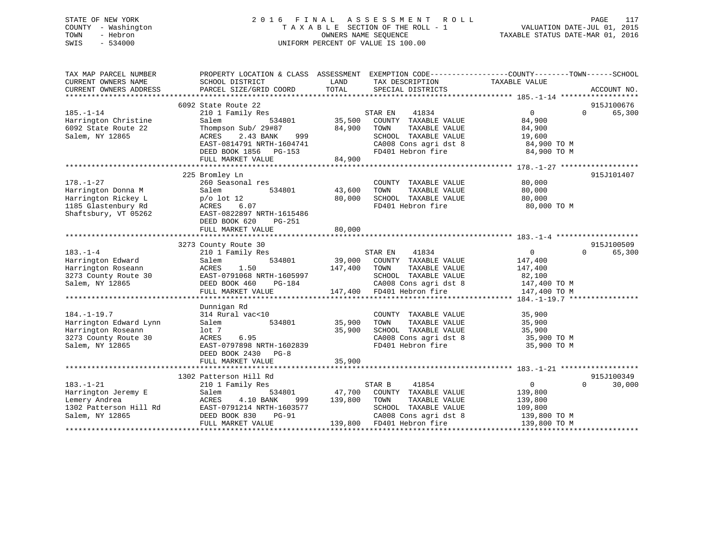# STATE OF NEW YORK 2 0 1 6 F I N A L A S S E S S M E N T R O L L PAGE 117 COUNTY - Washington T A X A B L E SECTION OF THE ROLL - 1 VALUATION DATE-JUL 01, 2015 TOWN - Hebron OWNERS NAME SEQUENCE TAXABLE STATUS DATE-MAR 01, 2016 SWIS - 534000 UNIFORM PERCENT OF VALUE IS 100.00

| TAX MAP PARCEL NUMBER  | PROPERTY LOCATION & CLASS ASSESSMENT EXEMPTION CODE---------------COUNTY-------TOWN-----SCHOOL |         |                           |                |                    |
|------------------------|------------------------------------------------------------------------------------------------|---------|---------------------------|----------------|--------------------|
| CURRENT OWNERS NAME    | SCHOOL DISTRICT                                                                                | LAND    | TAX DESCRIPTION           | TAXABLE VALUE  |                    |
| CURRENT OWNERS ADDRESS | PARCEL SIZE/GRID COORD                                                                         | TOTAL   | SPECIAL DISTRICTS         |                | ACCOUNT NO.        |
|                        | 6092 State Route 22                                                                            |         |                           |                | 915J100676         |
| $185. - 1 - 14$        | 210 1 Family Res                                                                               |         | STAR EN<br>41834          | $\overline{0}$ | 65,300<br>$\Omega$ |
| Harrington Christine   | Salem<br>534801                                                                                | 35,500  | COUNTY TAXABLE VALUE      | 84,900         |                    |
| 6092 State Route 22    | Thompson Sub/ 29#87                                                                            | 84,900  | TOWN<br>TAXABLE VALUE     | 84,900         |                    |
| Salem, NY 12865        | ACRES<br>2.43 BANK<br>999                                                                      |         | SCHOOL TAXABLE VALUE      | 19,600         |                    |
|                        | EAST-0814791 NRTH-1604741                                                                      |         | CA008 Cons agri dst 8     | 84,900 TO M    |                    |
|                        | DEED BOOK 1856 PG-153                                                                          |         | FD401 Hebron fire         | 84,900 TO M    |                    |
|                        | FULL MARKET VALUE                                                                              | 84,900  |                           |                |                    |
|                        |                                                                                                |         |                           |                |                    |
|                        | 225 Bromley Ln                                                                                 |         |                           |                | 915J101407         |
| $178. - 1 - 27$        | 260 Seasonal res                                                                               |         | COUNTY TAXABLE VALUE      | 80,000         |                    |
| Harrington Donna M     | 534801<br>Salem                                                                                | 43,600  | TAXABLE VALUE<br>TOWN     | 80,000         |                    |
| Harrington Rickey L    | $p$ o lot 12                                                                                   | 80,000  | SCHOOL TAXABLE VALUE      | 80,000         |                    |
| 1185 Glastenbury Rd    | 6.07<br>ACRES                                                                                  |         | FD401 Hebron fire         | 80,000 TO M    |                    |
| Shaftsbury, VT 05262   | EAST-0822897 NRTH-1615486                                                                      |         |                           |                |                    |
|                        | DEED BOOK 620<br>PG-251                                                                        |         |                           |                |                    |
|                        | FULL MARKET VALUE                                                                              | 80,000  |                           |                |                    |
|                        |                                                                                                |         |                           |                |                    |
|                        | 3273 County Route 30                                                                           |         |                           |                | 915J100509         |
| $183. - 1 - 4$         | 210 1 Family Res                                                                               |         | STAR EN<br>41834          | $\overline{0}$ | $\Omega$<br>65,300 |
| Harrington Edward      | 534801<br>Salem                                                                                | 39,000  | COUNTY TAXABLE VALUE      | 147,400        |                    |
| Harrington Roseann     | ACRES<br>1.50                                                                                  | 147,400 | TAXABLE VALUE<br>TOWN     | 147,400        |                    |
| 3273 County Route 30   | EAST-0791068 NRTH-1605997                                                                      |         | SCHOOL TAXABLE VALUE      | 82,100         |                    |
| Salem, NY 12865        | DEED BOOK 460<br>PG-184                                                                        |         | CA008 Cons agri dst 8     | 147,400 TO M   |                    |
|                        | FULL MARKET VALUE                                                                              |         | 147,400 FD401 Hebron fire | 147,400 TO M   |                    |
|                        |                                                                                                |         |                           |                |                    |
|                        | Dunnigan Rd                                                                                    |         |                           |                |                    |
| $184. - 1 - 19.7$      | 314 Rural vac<10                                                                               |         | COUNTY TAXABLE VALUE      | 35,900         |                    |
| Harrington Edward Lynn | 534801<br>Salem                                                                                | 35,900  | TOWN<br>TAXABLE VALUE     | 35,900         |                    |
| Harrington Roseann     | lot 7                                                                                          | 35,900  | SCHOOL TAXABLE VALUE      | 35,900         |                    |
| 3273 County Route 30   | ACRES<br>6.95                                                                                  |         | CA008 Cons agri dst 8     | 35,900 TO M    |                    |
| Salem, NY 12865        | EAST-0797898 NRTH-1602839                                                                      |         | FD401 Hebron fire         | 35,900 TO M    |                    |
|                        | DEED BOOK 2430<br>$PG-8$                                                                       |         |                           |                |                    |
|                        | FULL MARKET VALUE                                                                              | 35,900  |                           |                |                    |
|                        |                                                                                                |         |                           |                |                    |
|                        | 1302 Patterson Hill Rd                                                                         |         |                           |                | 915J100349         |
| $183. - 1 - 21$        | 210 1 Family Res                                                                               |         | STAR B<br>41854           | 0              | 30,000<br>$\Omega$ |
| Harrington Jeremy E    | Salem<br>534801                                                                                | 47,700  | COUNTY TAXABLE VALUE      | 139,800        |                    |
| Lemery Andrea          | 4.10 BANK<br>ACRES<br>999                                                                      | 139,800 | TOWN<br>TAXABLE VALUE     | 139,800        |                    |
| 1302 Patterson Hill Rd | EAST-0791214 NRTH-1603577                                                                      |         | SCHOOL TAXABLE VALUE      | 109,800        |                    |
| Salem, NY 12865        | DEED BOOK 830<br>PG-91                                                                         |         | CA008 Cons agri dst 8     | 139,800 TO M   |                    |
|                        | FULL MARKET VALUE                                                                              |         | 139,800 FD401 Hebron fire | 139,800 TO M   |                    |
|                        |                                                                                                |         |                           |                |                    |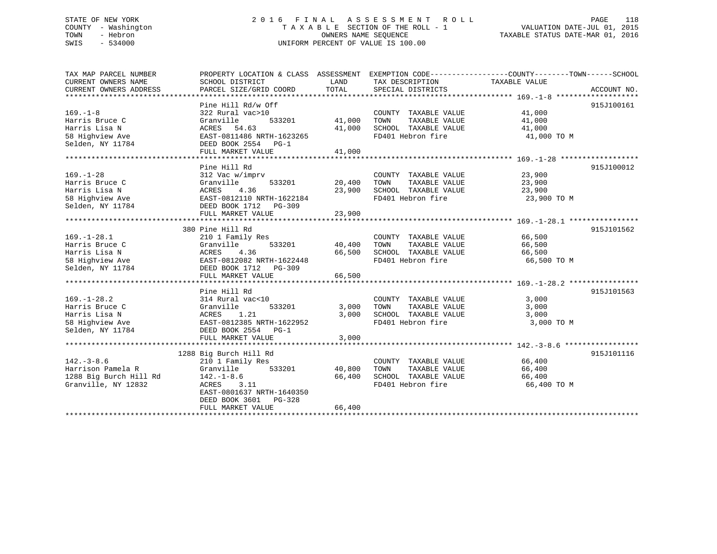# STATE OF NEW YORK 2 0 1 6 F I N A L A S S E S S M E N T R O L L PAGE 118 COUNTY - Washington T A X A B L E SECTION OF THE ROLL - 1 VALUATION DATE-JUL 01, 2015 TOWN - Hebron OWNERS NAME SEQUENCE TAXABLE STATUS DATE-MAR 01, 2016 SWIS - 534000 UNIFORM PERCENT OF VALUE IS 100.00

| TAX MAP PARCEL NUMBER  | PROPERTY LOCATION & CLASS ASSESSMENT EXEMPTION CODE---------------COUNTY-------TOWN-----SCHOOL |        |                              |               |             |
|------------------------|------------------------------------------------------------------------------------------------|--------|------------------------------|---------------|-------------|
| CURRENT OWNERS NAME    | SCHOOL DISTRICT                                                                                | LAND   | TAX DESCRIPTION              | TAXABLE VALUE |             |
| CURRENT OWNERS ADDRESS | PARCEL SIZE/GRID COORD                                                                         | TOTAL  | SPECIAL DISTRICTS            |               | ACCOUNT NO. |
|                        |                                                                                                |        |                              |               |             |
| $169. - 1 - 8$         | Pine Hill Rd/w Off<br>322 Rural vac>10                                                         |        | COUNTY TAXABLE VALUE         | 41,000        | 915J100161  |
| Harris Bruce C         | Granville<br>533201                                                                            | 41,000 | TAXABLE VALUE<br>TOWN        | 41,000        |             |
| Harris Lisa N          | ACRES 54.63                                                                                    | 41,000 | SCHOOL TAXABLE VALUE         | 41,000        |             |
| 58 Highview Ave        | EAST-0811486 NRTH-1623265                                                                      |        | FD401 Hebron fire            | 41,000 TO M   |             |
| Selden, NY 11784       | DEED BOOK 2554 PG-1                                                                            |        |                              |               |             |
|                        | FULL MARKET VALUE                                                                              | 41,000 |                              |               |             |
|                        |                                                                                                |        |                              |               |             |
|                        | Pine Hill Rd                                                                                   |        |                              |               | 915J100012  |
| $169. - 1 - 28$        | 312 Vac w/imprv                                                                                |        | COUNTY TAXABLE VALUE         | 23,900        |             |
| Harris Bruce C         | Granville<br>533201                                                                            |        | 20,400 TOWN<br>TAXABLE VALUE | 23,900        |             |
| Harris Lisa N          | 4.36<br>ACRES                                                                                  |        | 23,900 SCHOOL TAXABLE VALUE  | 23,900        |             |
| 58 Highview Ave        |                                                                                                |        | FD401 Hebron fire            | 23,900 TO M   |             |
| Selden, NY 11784       |                                                                                                |        |                              |               |             |
|                        | FULL MARKET VALUE                                                                              | 23,900 |                              |               |             |
|                        |                                                                                                |        |                              |               |             |
|                        | 380 Pine Hill Rd                                                                               |        |                              |               | 915J101562  |
| $169. - 1 - 28.1$      | 210 1 Family Res                                                                               |        | COUNTY TAXABLE VALUE         | 66,500        |             |
| Harris Bruce C         | 533201 40,400<br>Granville                                                                     |        | TAXABLE VALUE<br>TOWN        | 66,500        |             |
| Harris Lisa N          | ACRES<br>4.36                                                                                  | 66,500 | SCHOOL TAXABLE VALUE         | 66,500        |             |
| 58 Highview Ave        | EAST-0812082 NRTH-1622448                                                                      |        | FD401 Hebron fire            | 66,500 TO M   |             |
| Selden, NY 11784       | DEED BOOK 1712 PG-309                                                                          |        |                              |               |             |
|                        | FULL MARKET VALUE                                                                              | 66,500 |                              |               |             |
|                        |                                                                                                |        |                              |               |             |
|                        | Pine Hill Rd                                                                                   |        |                              |               | 915J101563  |
| $169. - 1 - 28.2$      | 314 Rural vac<10                                                                               |        | COUNTY TAXABLE VALUE         | 3,000         |             |
| Harris Bruce C         | Granville<br>533201                                                                            | 3,000  | TOWN<br>TAXABLE VALUE        | 3,000         |             |
| Harris Lisa N          |                                                                                                | 3,000  | SCHOOL TAXABLE VALUE         | 3,000         |             |
| 58 Highview Ave        | ACRES 1.21<br>EAST-0812385 NRTH-1622952                                                        |        | FD401 Hebron fire            | 3,000 TO M    |             |
| Selden, NY 11784       | DEED BOOK 2554 PG-1                                                                            |        |                              |               |             |
|                        | FULL MARKET VALUE                                                                              | 3,000  |                              |               |             |
|                        |                                                                                                |        |                              |               |             |
|                        | 1288 Big Burch Hill Rd                                                                         |        |                              |               | 915J101116  |
| $142. - 3 - 8.6$       | 210 1 Family Res                                                                               |        | COUNTY TAXABLE VALUE         | 66,400        |             |
| Harrison Pamela R      | Granville<br>533201                                                                            | 40,800 | TAXABLE VALUE<br>TOWN        | 66,400        |             |
| 1288 Big Burch Hill Rd | $142. - 1 - 8.6$                                                                               | 66,400 | SCHOOL TAXABLE VALUE         | 66,400        |             |
| Granville, NY 12832    | ACRES<br>3.11                                                                                  |        | FD401 Hebron fire            | 66,400 TO M   |             |
|                        | EAST-0801637 NRTH-1640350                                                                      |        |                              |               |             |
|                        | DEED BOOK 3601 PG-328                                                                          |        |                              |               |             |
|                        | FULL MARKET VALUE                                                                              | 66,400 |                              |               |             |
|                        |                                                                                                |        |                              |               |             |
|                        |                                                                                                |        |                              |               |             |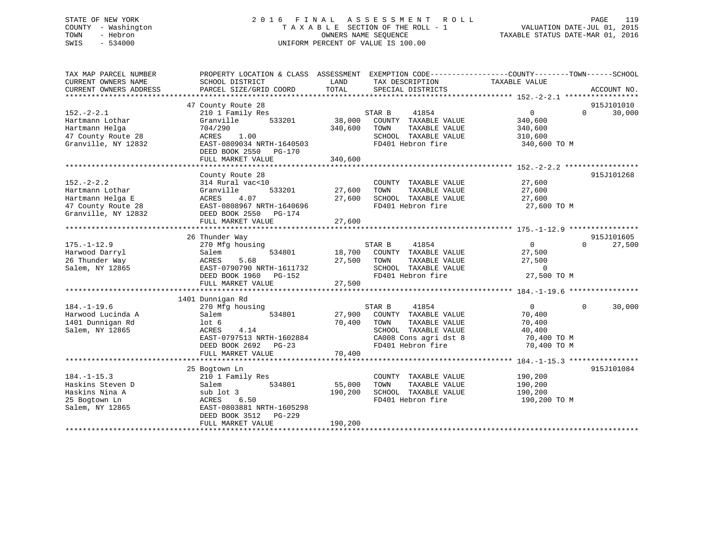# STATE OF NEW YORK 2 0 1 6 F I N A L A S S E S S M E N T R O L L PAGE 119 COUNTY - Washington T A X A B L E SECTION OF THE ROLL - 1 VALUATION DATE-JUL 01, 2015 TOWN - Hebron OWNERS NAME SEQUENCE TAXABLE STATUS DATE-MAR 01, 2016 SWIS - 534000 UNIFORM PERCENT OF VALUE IS 100.00

| TAX MAP PARCEL NUMBER<br>CURRENT OWNERS NAME<br>CURRENT OWNERS ADDRESS | PROPERTY LOCATION & CLASS ASSESSMENT<br>SCHOOL DISTRICT<br>PARCEL SIZE/GRID COORD | LAND<br>TOTAL    | TAX DESCRIPTION<br>SPECIAL DISTRICTS          | EXEMPTION CODE-----------------COUNTY-------TOWN------SCHOOL<br>TAXABLE VALUE | ACCOUNT NO.          |
|------------------------------------------------------------------------|-----------------------------------------------------------------------------------|------------------|-----------------------------------------------|-------------------------------------------------------------------------------|----------------------|
|                                                                        |                                                                                   |                  |                                               |                                                                               |                      |
| $152. - 2 - 2.1$                                                       | 47 County Route 28<br>210 1 Family Res                                            |                  | STAR B<br>41854                               | $\mathbf{0}$<br>$\Omega$                                                      | 915J101010<br>30,000 |
| Hartmann Lothar                                                        | Granville<br>533201                                                               | 38,000           | COUNTY TAXABLE VALUE                          | 340,600                                                                       |                      |
| Hartmann Helga                                                         | 704/290                                                                           | 340,600          | TAXABLE VALUE<br>TOWN                         | 340,600                                                                       |                      |
| 47 County Route 28                                                     | ACRES<br>1.00                                                                     |                  | SCHOOL TAXABLE VALUE                          | 310,600                                                                       |                      |
| Granville, NY 12832                                                    | EAST-0809034 NRTH-1640503<br>DEED BOOK 2550<br>PG-170                             |                  | FD401 Hebron fire                             | 340,600 TO M                                                                  |                      |
|                                                                        | FULL MARKET VALUE                                                                 | 340,600          |                                               |                                                                               |                      |
|                                                                        |                                                                                   |                  |                                               |                                                                               |                      |
|                                                                        | County Route 28                                                                   |                  |                                               |                                                                               | 915J101268           |
| $152. - 2 - 2.2$                                                       | 314 Rural vac<10                                                                  |                  | COUNTY TAXABLE VALUE                          | 27,600                                                                        |                      |
| Hartmann Lothar                                                        | 533201<br>Granville                                                               | 27,600           | TAXABLE VALUE<br>TOWN                         | 27,600                                                                        |                      |
| Hartmann Helga E                                                       | 4.07<br>ACRES                                                                     | 27,600           | SCHOOL TAXABLE VALUE                          | 27,600                                                                        |                      |
| 47 County Route 28                                                     | EAST-0808967 NRTH-1640696                                                         |                  | FD401 Hebron fire                             | 27,600 TO M                                                                   |                      |
| Granville, NY 12832                                                    | DEED BOOK 2550 PG-174                                                             |                  |                                               |                                                                               |                      |
|                                                                        | FULL MARKET VALUE                                                                 | 27,600           |                                               |                                                                               |                      |
|                                                                        |                                                                                   |                  |                                               |                                                                               |                      |
|                                                                        | 26 Thunder Way                                                                    |                  |                                               |                                                                               | 915J101605           |
| $175. - 1 - 12.9$                                                      | 270 Mfg housing                                                                   |                  | STAR B<br>41854                               | $\overline{0}$<br>$\Omega$                                                    | 27,500               |
| Harwood Darryl                                                         | Salem<br>534801                                                                   | 18,700           | COUNTY TAXABLE VALUE                          | 27,500                                                                        |                      |
| 26 Thunder Way                                                         | 5.68<br>ACRES                                                                     | 27,500           | TAXABLE VALUE<br>TOWN                         | 27,500                                                                        |                      |
| Salem, NY 12865                                                        | EAST-0790790 NRTH-1611732                                                         |                  | SCHOOL TAXABLE VALUE                          | $\Omega$                                                                      |                      |
|                                                                        | DEED BOOK 1960<br>PG-152                                                          |                  | FD401 Hebron fire                             | 27,500 TO M                                                                   |                      |
|                                                                        | FULL MARKET VALUE                                                                 | 27,500           |                                               |                                                                               |                      |
|                                                                        |                                                                                   |                  |                                               |                                                                               |                      |
|                                                                        | 1401 Dunnigan Rd                                                                  |                  |                                               |                                                                               |                      |
| $184. - 1 - 19.6$                                                      | 270 Mfg housing                                                                   |                  | STAR B<br>41854                               | $\overline{0}$<br>$\Omega$<br>70,400                                          | 30,000               |
| Harwood Lucinda A                                                      | 534801<br>Salem                                                                   | 27,900<br>70,400 | COUNTY TAXABLE VALUE                          |                                                                               |                      |
| 1401 Dunnigan Rd<br>Salem, NY 12865                                    | lot 6<br>ACRES<br>4.14                                                            |                  | TOWN<br>TAXABLE VALUE<br>SCHOOL TAXABLE VALUE | 70,400<br>40,400                                                              |                      |
|                                                                        | EAST-0797513 NRTH-1602884                                                         |                  | CA008 Cons agri dst 8                         | 70,400 TO M                                                                   |                      |
|                                                                        | DEED BOOK 2692 PG-23                                                              |                  | FD401 Hebron fire                             | 70,400 TO M                                                                   |                      |
|                                                                        | FULL MARKET VALUE                                                                 | 70,400           |                                               |                                                                               |                      |
|                                                                        |                                                                                   |                  |                                               |                                                                               |                      |
|                                                                        | 25 Bogtown Ln                                                                     |                  |                                               |                                                                               | 915J101084           |
| $184. - 1 - 15.3$                                                      | 210 1 Family Res                                                                  |                  | COUNTY TAXABLE VALUE                          | 190,200                                                                       |                      |
| Haskins Steven D                                                       | 534801<br>Salem                                                                   | 55,000           | TOWN<br>TAXABLE VALUE                         | 190,200                                                                       |                      |
| Haskins Nina A                                                         | sub lot 3                                                                         | 190,200          | SCHOOL TAXABLE VALUE                          | 190,200                                                                       |                      |
| 25 Bogtown Ln                                                          | 6.50<br>ACRES                                                                     |                  | FD401 Hebron fire                             | 190,200 TO M                                                                  |                      |
| Salem, NY 12865                                                        | EAST-0803881 NRTH-1605298                                                         |                  |                                               |                                                                               |                      |
|                                                                        | DEED BOOK 3512<br>PG-229                                                          |                  |                                               |                                                                               |                      |
|                                                                        | FULL MARKET VALUE                                                                 | 190,200          |                                               |                                                                               |                      |
|                                                                        |                                                                                   |                  |                                               |                                                                               |                      |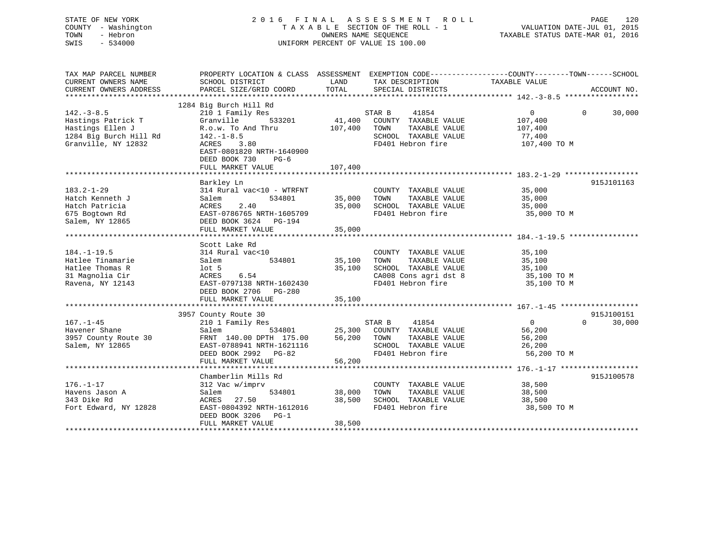| STATE OF NEW YORK<br>COUNTY - Washington<br>TOWN<br>- Hebron<br>$-534000$<br>SWIS                           |                                                                                                                                                                              |                            | 2016 FINAL ASSESSMENT ROLL<br>T A X A B L E SECTION OF THE ROLL - 1<br>OWNERS NAME SEQUENCE<br>UNIFORM PERCENT OF VALUE IS 100.00        | VALUATION DATE-JUL 01, 2015<br>TAXABLE STATUS DATE-MAR 01, 2016 | PAGE         | 120         |
|-------------------------------------------------------------------------------------------------------------|------------------------------------------------------------------------------------------------------------------------------------------------------------------------------|----------------------------|------------------------------------------------------------------------------------------------------------------------------------------|-----------------------------------------------------------------|--------------|-------------|
| TAX MAP PARCEL NUMBER<br>CURRENT OWNERS NAME<br>CURRENT OWNERS ADDRESS                                      | SCHOOL DISTRICT<br>PARCEL SIZE/GRID COORD                                                                                                                                    | LAND<br>TOTAL              | PROPERTY LOCATION & CLASS ASSESSMENT EXEMPTION CODE----------------COUNTY-------TOWN------SCHOOL<br>TAX DESCRIPTION<br>SPECIAL DISTRICTS | TAXABLE VALUE                                                   |              | ACCOUNT NO. |
|                                                                                                             | 1284 Big Burch Hill Rd                                                                                                                                                       |                            |                                                                                                                                          |                                                                 |              |             |
| $142. - 3 - 8.5$<br>Hastings Patrick T<br>Hastings Ellen J<br>1284 Big Burch Hill Rd<br>Granville, NY 12832 | 210 1 Family Res<br>533201<br>Granville<br>R.o.w. To And Thru<br>$142. - 1 - 8.5$<br>ACRES 3.80<br>EAST-0801820 NRTH-1640900<br>DEED BOOK 730<br>$PG-6$<br>FULL MARKET VALUE | 107,400<br>107,400         | STAR B<br>41854<br>41,400 COUNTY TAXABLE VALUE<br>TOWN<br>TAXABLE VALUE<br>SCHOOL TAXABLE VALUE<br>FD401 Hebron fire                     | $\overline{0}$<br>107,400<br>107,400<br>77,400<br>107,400 TO M  | $\mathbf{0}$ | 30,000      |
|                                                                                                             |                                                                                                                                                                              |                            |                                                                                                                                          |                                                                 |              |             |
| $183.2 - 1 - 29$<br>Hatch Kenneth J<br>Hatch Patricia<br>675 Bogtown Rd<br>Salem, NY 12865                  | Barkley Ln<br>314 Rural vac<10 - WTRFNT<br>534801<br>Salem<br>2.40<br>ACRES<br>EAST-0786765 NRTH-1605709<br>DEED BOOK 3624 PG-194<br>FULL MARKET VALUE                       | 35,000<br>35,000<br>35,000 | COUNTY TAXABLE VALUE<br>TAXABLE VALUE<br>TOWN<br>SCHOOL TAXABLE VALUE<br>FD401 Hebron fire                                               | 35,000<br>35,000<br>35,000<br>35,000 TO M                       |              | 915J101163  |
|                                                                                                             | Scott Lake Rd                                                                                                                                                                |                            |                                                                                                                                          |                                                                 |              |             |
| $184. - 1 - 19.5$<br>Hatlee Tinamarie<br>Hatlee Thomas R<br>31 Magnolia Cir<br>Ravena, NY 12143             | 314 Rural vac<10<br>534801<br>Salem<br>$1$ ot 5<br>ACRES<br>6.54<br>EAST-0797138 NRTH-1602430                                                                                | 35,100<br>35,100           | COUNTY TAXABLE VALUE<br>TAXABLE VALUE<br>TOWN<br>SCHOOL TAXABLE VALUE<br>CA008 Cons agri dst 8<br>FD401 Hebron fire                      | 35,100<br>35,100<br>35,100<br>35,100 TO M<br>35,100 TO M        |              |             |
|                                                                                                             | DEED BOOK 2706 PG-280                                                                                                                                                        |                            |                                                                                                                                          |                                                                 |              |             |
|                                                                                                             | FULL MARKET VALUE                                                                                                                                                            | 35,100                     |                                                                                                                                          |                                                                 |              |             |
|                                                                                                             | 3957 County Route 30                                                                                                                                                         |                            |                                                                                                                                          |                                                                 |              | 915J100151  |
| $167. - 1 - 45$<br>Havener Shane<br>3957 County Route 30<br>Salem, NY 12865                                 | 210 1 Family Res<br>Salem<br>534801<br>FRNT 140.00 DPTH 175.00<br>EAST-0788941 NRTH-1621116<br>DEED BOOK 2992 PG-82<br>FULL MARKET VALUE                                     | 56,200<br>56,200           | STAR B<br>41854<br>25,300 COUNTY TAXABLE VALUE<br>TOWN<br>TAXABLE VALUE<br>SCHOOL TAXABLE VALUE<br>FD401 Hebron fire                     | $0 \qquad \qquad$<br>56,200<br>56,200<br>26,200<br>56,200 TO M  | $\Omega$     | 30,000      |

Chamberlin Mills Rd 176.-1-17 312 Vac w/imprv COUNTY TAXABLE VALUE 38,500 Havens Jason A Salem 534801 38,000 TOWN TAXABLE VALUE 38,500 343 Dike Rd ACRES 27.50 38,500 SCHOOL TAXABLE VALUE 38,500 Fort Edward, NY 12828 EAST-0804392 NRTH-1612016 FD401 Hebron fire 38,500 TO M DEED BOOK 3206 PG-1 FULL MARKET VALUE 38,500 \*\*\*\*\*\*\*\*\*\*\*\*\*\*\*\*\*\*\*\*\*\*\*\*\*\*\*\*\*\*\*\*\*\*\*\*\*\*\*\*\*\*\*\*\*\*\*\*\*\*\*\*\*\*\*\*\*\*\*\*\*\*\*\*\*\*\*\*\*\*\*\*\*\*\*\*\*\*\*\*\*\*\*\*\*\*\*\*\*\*\*\*\*\*\*\*\*\*\*\*\*\*\*\*\*\*\*\*\*\*\*\*\*\*\*\*\*\*\*\*\*\*\*\*\*\*\*\*\*\*\*\*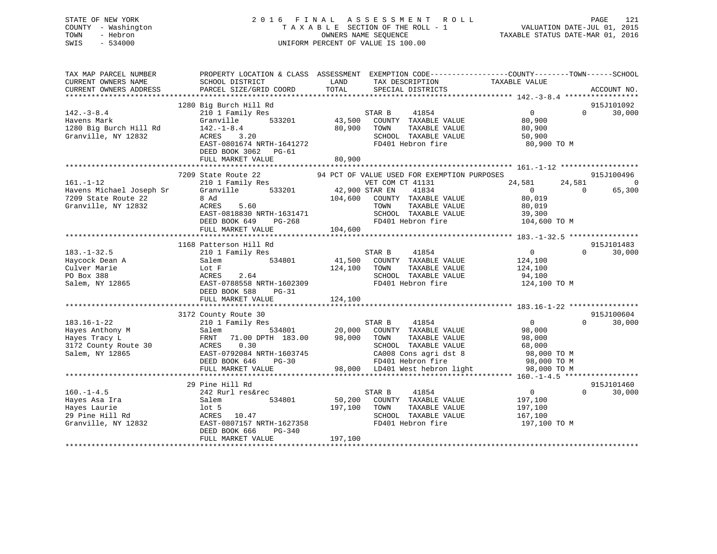# STATE OF NEW YORK 2 0 1 6 F I N A L A S S E S S M E N T R O L L PAGE 121 COUNTY - Washington T A X A B L E SECTION OF THE ROLL - 1 VALUATION DATE-JUL 01, 2015 TOWN - Hebron OWNERS NAME SEQUENCE TAXABLE STATUS DATE-MAR 01, 2016 SWIS - 534000 UNIFORM PERCENT OF VALUE IS 100.00

| TAX MAP PARCEL NUMBER<br>CURRENT OWNERS NAME | SCHOOL DISTRICT                                                 | PROPERTY LOCATION & CLASS ASSESSMENT EXEMPTION CODE-----------------COUNTY--------TOWN------SCHOOL<br>LAND<br>TAX DESCRIPTION                                                                                                                                                                                                        | TAXABLE VALUE                 |                                 |
|----------------------------------------------|-----------------------------------------------------------------|--------------------------------------------------------------------------------------------------------------------------------------------------------------------------------------------------------------------------------------------------------------------------------------------------------------------------------------|-------------------------------|---------------------------------|
| CURRENT OWNERS ADDRESS                       | PARCEL SIZE/GRID COORD                                          | TOTAL<br>SPECIAL DISTRICTS                                                                                                                                                                                                                                                                                                           |                               | ACCOUNT NO.                     |
|                                              |                                                                 |                                                                                                                                                                                                                                                                                                                                      |                               |                                 |
|                                              | 1280 Big Burch Hill Rd<br>Big Burch Hill Rd<br>210 1 Family Res |                                                                                                                                                                                                                                                                                                                                      |                               | 915J101092                      |
| $142. - 3 - 8.4$                             | Granville 533201                                                | 41854<br>STAR B<br>43,500 COUNTY TAXABLE VALUE                                                                                                                                                                                                                                                                                       | $\overline{0}$                | 30,000<br>$\Omega$ and $\Omega$ |
|                                              |                                                                 | 80,900 TOWN<br>TAXABLE VALUE                                                                                                                                                                                                                                                                                                         | 80,900<br>80,900              |                                 |
| Granville, NY 12832                          | 142.-1-8.4<br>ACRES 3.20                                        | SCHOOL TAXABLE VALUE                                                                                                                                                                                                                                                                                                                 | 50,900                        |                                 |
|                                              | EAST-0801674 NRTH-1641272                                       | FD401 Hebron fire                                                                                                                                                                                                                                                                                                                    | 80,900 TO M                   |                                 |
|                                              | DEED BOOK 3062 PG-61                                            |                                                                                                                                                                                                                                                                                                                                      |                               |                                 |
|                                              | FULL MARKET VALUE                                               | 80,900                                                                                                                                                                                                                                                                                                                               |                               |                                 |
|                                              |                                                                 |                                                                                                                                                                                                                                                                                                                                      |                               |                                 |
|                                              |                                                                 | 7209 State Route 22 94 PCT OF VALUE USED FOR EXEMPTION PURPOSES 915J100496<br>101.1-1-12<br>210 1 Family Res<br>210 1 Family Res<br>210 1 Family Res<br>210 1 Family Res<br>210 21 Family Res<br>22 8 Ad<br>22 8 Ad<br>22 8 Ad<br>22 8 Ad<br>22 209 State Route 22 2 8 Ad<br>22 204,600 COUNTY TAXABLE VALUE<br>22 204,600 COUNTY TA |                               |                                 |
|                                              |                                                                 | VET COM CT 41131                                                                                                                                                                                                                                                                                                                     | $24,581$ $24,581$ $0$ $65,30$ | $\overline{0}$                  |
|                                              |                                                                 |                                                                                                                                                                                                                                                                                                                                      |                               | 65,300                          |
|                                              |                                                                 | 104,600 COUNTY TAXABLE VALUE                                                                                                                                                                                                                                                                                                         | 80,019                        |                                 |
|                                              |                                                                 | TAXABLE VALUE                                                                                                                                                                                                                                                                                                                        | 80,019                        |                                 |
|                                              |                                                                 | SCHOOL TAXABLE VALUE                                                                                                                                                                                                                                                                                                                 | 39,300                        |                                 |
|                                              | DEED BOOK 649 PG-268                                            | FD401 Hebron fire                                                                                                                                                                                                                                                                                                                    | 104,600 TO M                  |                                 |
|                                              | FULL MARKET VALUE                                               | 104,600                                                                                                                                                                                                                                                                                                                              |                               |                                 |
|                                              |                                                                 |                                                                                                                                                                                                                                                                                                                                      |                               |                                 |
|                                              | 1168 Patterson Hill Rd                                          |                                                                                                                                                                                                                                                                                                                                      |                               | 915J101483                      |
| $183. - 1 - 32.5$                            | 210 1 Family Res<br>210 1 I<br>Salem                            | STAR B 41854<br>41,500 COUNTY TAXABLE VALUE                                                                                                                                                                                                                                                                                          | $\overline{0}$                | $\Omega$<br>30,000              |
| Haycock Dean A                               | 534801                                                          |                                                                                                                                                                                                                                                                                                                                      | 124,100                       |                                 |
| Culver Marie                                 |                                                                 | 124,100 TOWN<br>TAXABLE VALUE 124,100<br>TAXABLE VALUE 94,100                                                                                                                                                                                                                                                                        |                               |                                 |
| PO Box 388                                   | LOU F<br>ACRES 2.64<br>EAST-0788558 NRTH-1602309                | SCHOOL TAXABLE VALUE                                                                                                                                                                                                                                                                                                                 |                               |                                 |
| Salem, NY 12865                              |                                                                 | FD401 Hebron fire 124,100 TO M                                                                                                                                                                                                                                                                                                       |                               |                                 |
|                                              | DEED BOOK 588 PG-31                                             |                                                                                                                                                                                                                                                                                                                                      |                               |                                 |
|                                              |                                                                 |                                                                                                                                                                                                                                                                                                                                      |                               |                                 |
|                                              | 3172 County Route 30                                            |                                                                                                                                                                                                                                                                                                                                      |                               | 915J100604                      |
| $183.16 - 1 - 22$                            | 210 1 Family Res                                                | STAR B 41854                                                                                                                                                                                                                                                                                                                         | $\overline{0}$                | $\Omega$<br>30,000              |
|                                              |                                                                 |                                                                                                                                                                                                                                                                                                                                      |                               |                                 |
|                                              |                                                                 | 183.16-1-22 210 1 Family Res<br>Hayes Anthony M 310 1 Family Res<br>Hayes Tracy L FRNT 71.00 DPTH 183.00 98,000 TOWN TAXABLE VALUE<br>3172 County Route 30 ACRES 0.30 30 SCHOOL TAXABLE VALUE<br>534801 20,000 COUNTY TAXABLE VALUE<br>5                                                                                             |                               |                                 |
|                                              |                                                                 |                                                                                                                                                                                                                                                                                                                                      |                               |                                 |
| Salem, NY 12865                              |                                                                 |                                                                                                                                                                                                                                                                                                                                      |                               |                                 |
|                                              |                                                                 |                                                                                                                                                                                                                                                                                                                                      |                               |                                 |
|                                              |                                                                 | ACRES 0.30 SCHOOL TAXABLE VALUE 68,000<br>EAST-0792084 NRTH-1603745 CA008 Cons agri dst 8 98,000 TO M<br>DEED BOOK 646 PG-30 FD401 Hebron fire 98,000 TO M<br>FULL MARKET VALUE 98,000 LD401 West hebron light 98,000 TO M                                                                                                           |                               |                                 |
|                                              |                                                                 |                                                                                                                                                                                                                                                                                                                                      |                               |                                 |
|                                              | 29 Pine Hill Rd                                                 |                                                                                                                                                                                                                                                                                                                                      |                               | 915J101460                      |
| $160. - 1 - 4.5$                             |                                                                 | STAR B<br>41854                                                                                                                                                                                                                                                                                                                      | $\overline{0}$                | $\Omega$<br>30,000              |
|                                              |                                                                 | 50,200 COUNTY TAXABLE VALUE                                                                                                                                                                                                                                                                                                          | 197,100                       |                                 |
|                                              |                                                                 |                                                                                                                                                                                                                                                                                                                                      | 197,100                       |                                 |
|                                              |                                                                 | SCHOOL TAXABLE VALUE 167,100                                                                                                                                                                                                                                                                                                         |                               |                                 |
|                                              |                                                                 |                                                                                                                                                                                                                                                                                                                                      | 197,100 TO M                  |                                 |
|                                              |                                                                 |                                                                                                                                                                                                                                                                                                                                      |                               |                                 |
|                                              |                                                                 |                                                                                                                                                                                                                                                                                                                                      |                               |                                 |
|                                              |                                                                 |                                                                                                                                                                                                                                                                                                                                      |                               |                                 |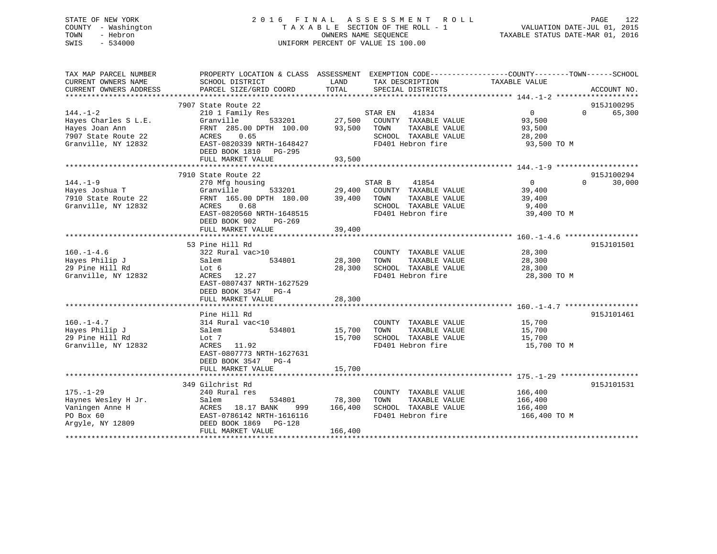# STATE OF NEW YORK 2 0 1 6 F I N A L A S S E S S M E N T R O L L PAGE 122 COUNTY - Washington T A X A B L E SECTION OF THE ROLL - 1 VALUATION DATE-JUL 01, 2015 TOWN - Hebron OWNERS NAME SEQUENCE TAXABLE STATUS DATE-MAR 01, 2016 SWIS - 534000 UNIFORM PERCENT OF VALUE IS 100.00

| TAX MAP PARCEL NUMBER<br>CURRENT OWNERS NAME<br>CURRENT OWNERS ADDRESS                                  | PROPERTY LOCATION & CLASS ASSESSMENT EXEMPTION CODE----------------COUNTY-------TOWN------SCHOOL<br>SCHOOL DISTRICT<br>PARCEL SIZE/GRID COORD           | LAND<br>TOTAL                       | TAX DESCRIPTION<br>SPECIAL DISTRICTS                                                                                                                                                                                    | TAXABLE VALUE                                               | ACCOUNT NO.                      |
|---------------------------------------------------------------------------------------------------------|---------------------------------------------------------------------------------------------------------------------------------------------------------|-------------------------------------|-------------------------------------------------------------------------------------------------------------------------------------------------------------------------------------------------------------------------|-------------------------------------------------------------|----------------------------------|
|                                                                                                         |                                                                                                                                                         |                                     |                                                                                                                                                                                                                         |                                                             |                                  |
| $144. - 1 - 2$<br>Hayes Charles S L.E.<br>Hayes Joan Ann<br>7907 State Route 22<br>Granville, NY 12832  | 7907 State Route 22<br>210 1 Family Res<br>Granville<br>FRNT 285.00 DPTH 100.00 93,500 TOWN<br>ACRES 0.65<br>EAST-0820339 NRTH-1648427                  |                                     | STAR EN 41834<br>533201 27,500 COUNTY TAXABLE VALUE<br>TAXABLE VALUE<br>SCHOOL TAXABLE VALUE<br>FD401 Hebron fire                                                                                                       | $\overline{0}$<br>93,500<br>93,500<br>28,200<br>93,500 TO M | 915J100295<br>$\Omega$<br>65,300 |
|                                                                                                         | DEED BOOK 1810 PG-295<br>FULL MARKET VALUE                                                                                                              | 93,500                              |                                                                                                                                                                                                                         |                                                             |                                  |
|                                                                                                         |                                                                                                                                                         |                                     |                                                                                                                                                                                                                         |                                                             |                                  |
|                                                                                                         | 7910 State Route 22                                                                                                                                     |                                     |                                                                                                                                                                                                                         |                                                             | 915J100294                       |
| $144. - 1 - 9$<br>Hayes Joshua T<br>7910 State Route 22<br>Granville, NY 12832                          | 270 Mfg housing<br>Granville<br>FRNT 165.00 DPTH 180.00 39,400 TOWN<br>0.68<br>ACRES<br>EAST-0820560 NRTH-1648515<br>DEED BOOK 902<br>PG-269            |                                     | $\begin{array}{cccc}\n & \text{STAR B} & \text{41854} \\  \text{533201} & \text{29,400} & \text{COUNTY} & \text{TAXABLE VALUE}\n \end{array}$<br>TAXABLE VALUE<br>SCHOOL TAXABLE VALUE<br>FD401 Hebron fire 39,400 TO M | $\overline{0}$<br>39,400<br>39,400<br>9,400                 | 30,000<br>$\Omega$               |
|                                                                                                         | FULL MARKET VALUE                                                                                                                                       | 39,400                              |                                                                                                                                                                                                                         |                                                             |                                  |
|                                                                                                         |                                                                                                                                                         |                                     |                                                                                                                                                                                                                         |                                                             |                                  |
| $160. - 1 - 4.6$<br>Hayes Philip J<br>29 Pine Hill Rd<br>Granville, NY 12832                            | 53 Pine Hill Rd<br>322 Rural vac>10<br>534801<br>Salem<br>Lot 6<br>ACRES 12.27<br>EAST-0807437 NRTH-1627529<br>DEED BOOK 3547 PG-4<br>FULL MARKET VALUE | 28,300 TOWN<br>28,300               | COUNTY TAXABLE VALUE<br>TAXABLE VALUE<br>28,300 SCHOOL TAXABLE VALUE<br>FD401 Hebron fire                                                                                                                               | 28,300<br>28,300<br>28,300<br>28,300<br>28,300 TO M         | 915J101501                       |
|                                                                                                         |                                                                                                                                                         |                                     |                                                                                                                                                                                                                         |                                                             |                                  |
| $160. - 1 - 4.7$<br>Hayes Philip J<br>29 Pine Hill Rd<br>Granville, NY 12832                            | Pine Hill Rd<br>314 Rural vac<10<br>Salem<br>Lot 7<br>ACRES 11.92<br>EAST-0807773 NRTH-1627631<br>DEED BOOK 3547 PG-4<br>FULL MARKET VALUE              | 534801 15,700 TOWN<br>15,700        | COUNTY TAXABLE VALUE<br>TAXABLE VALUE<br>15,700 SCHOOL TAXABLE VALUE<br>FD401 Hebron fire                                                                                                                               | 15,700<br>15,700<br>15,700<br>15,700 TO M                   | 915J101461                       |
|                                                                                                         |                                                                                                                                                         |                                     |                                                                                                                                                                                                                         |                                                             |                                  |
|                                                                                                         | 349 Gilchrist Rd                                                                                                                                        |                                     |                                                                                                                                                                                                                         |                                                             | 915J101531                       |
| $175. - 1 - 29$<br>Haynes Wesley H Jr.<br>Vaningen Anne H<br>PO Box 60<br>PO Box 60<br>Argyle, NY 12809 | 240 Rural res<br>Salem<br>ACRES 18.17 BANK<br>999<br>EAST-0786142 NRTH-1616116<br>DEED BOOK 1869 PG-128<br>FULL MARKET VALUE                            | 534801 78,300<br>166,400<br>166,400 | COUNTY TAXABLE VALUE<br>TAXABLE VALUE<br>TOWN<br>SCHOOL TAXABLE VALUE<br>FD401 Hebron fire                                                                                                                              | 166,400<br>166,400<br>166,400<br>166,400 TO M               |                                  |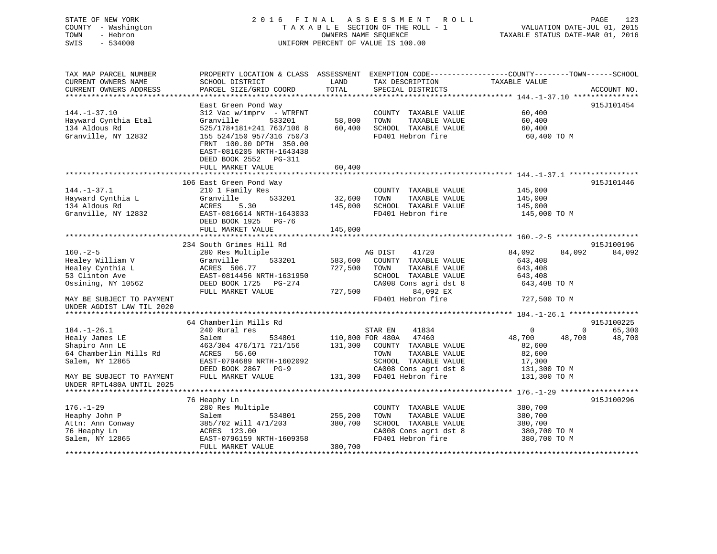# STATE OF NEW YORK 2 0 1 6 F I N A L A S S E S S M E N T R O L L PAGE 123 COUNTY - Washington T A X A B L E SECTION OF THE ROLL - 1 VALUATION DATE-JUL 01, 2015 TOWN - Hebron OWNERS NAME SEQUENCE TAXABLE STATUS DATE-MAR 01, 2016 SWIS - 534000 UNIFORM PERCENT OF VALUE IS 100.00

| TAX MAP PARCEL NUMBER     | PROPERTY LOCATION & CLASS ASSESSMENT |         |                           | EXEMPTION CODE-----------------COUNTY-------TOWN------SCHOOL |             |
|---------------------------|--------------------------------------|---------|---------------------------|--------------------------------------------------------------|-------------|
| CURRENT OWNERS NAME       | SCHOOL DISTRICT                      | LAND    | TAX DESCRIPTION           | TAXABLE VALUE                                                |             |
| CURRENT OWNERS ADDRESS    | PARCEL SIZE/GRID COORD               | TOTAL   | SPECIAL DISTRICTS         |                                                              | ACCOUNT NO. |
| ***********************   |                                      |         |                           |                                                              |             |
|                           | East Green Pond Way                  |         |                           |                                                              | 915J101454  |
| $144. - 1 - 37.10$        | $312$ Vac w/imprv - WTRFNT           |         | COUNTY TAXABLE VALUE      | 60,400                                                       |             |
| Hayward Cynthia Etal      | Granville<br>533201                  | 58,800  | TOWN<br>TAXABLE VALUE     | 60,400                                                       |             |
| 134 Aldous Rd             | 525/178+181+241 763/106 8            | 60,400  | SCHOOL TAXABLE VALUE      | 60,400                                                       |             |
| Granville, NY 12832       | 155 524/150 957/316 750/3            |         | FD401 Hebron fire         | 60,400 TO M                                                  |             |
|                           | FRNT 100.00 DPTH 350.00              |         |                           |                                                              |             |
|                           | EAST-0816205 NRTH-1643438            |         |                           |                                                              |             |
|                           | DEED BOOK 2552 PG-311                |         |                           |                                                              |             |
|                           | FULL MARKET VALUE                    | 60,400  |                           |                                                              |             |
|                           |                                      |         |                           |                                                              |             |
|                           | 106 East Green Pond Way              |         |                           |                                                              | 915J101446  |
| $144. - 1 - 37.1$         | 210 1 Family Res                     |         | COUNTY TAXABLE VALUE      | 145,000                                                      |             |
| Hayward Cynthia L         | 533201<br>Granville                  | 32,600  | TOWN<br>TAXABLE VALUE     | 145,000                                                      |             |
| 134 Aldous Rd             | 5.30<br>ACRES                        | 145,000 | SCHOOL TAXABLE VALUE      | 145,000                                                      |             |
| Granville, NY 12832       | EAST-0816614 NRTH-1643033            |         | FD401 Hebron fire         | 145,000 TO M                                                 |             |
|                           | DEED BOOK 1925<br>PG-76              |         |                           |                                                              |             |
|                           | FULL MARKET VALUE                    | 145,000 |                           |                                                              |             |
|                           |                                      |         |                           |                                                              |             |
|                           | 234 South Grimes Hill Rd             |         |                           |                                                              | 915J100196  |
| $160. - 2 - 5$            | 280 Res Multiple                     |         | AG DIST<br>41720          | 84,092<br>84,092                                             | 84,092      |
| Healey William V          | Granville<br>533201                  | 583,600 | COUNTY TAXABLE VALUE      | 643,408                                                      |             |
| Healey Cynthia L          | ACRES 506.77                         | 727,500 | TOWN<br>TAXABLE VALUE     | 643,408                                                      |             |
| 53 Clinton Ave            | EAST-0814456 NRTH-1631950            |         | SCHOOL TAXABLE VALUE      | 643,408                                                      |             |
| Ossining, NY 10562        | DEED BOOK 1725<br>PG-274             |         | CA008 Cons agri dst 8     | 643,408 TO M                                                 |             |
|                           | FULL MARKET VALUE                    | 727,500 | 84,092 EX                 |                                                              |             |
| MAY BE SUBJECT TO PAYMENT |                                      |         | FD401 Hebron fire         | 727,500 TO M                                                 |             |
| UNDER AGDIST LAW TIL 2020 |                                      |         |                           |                                                              |             |
|                           | 64 Chamberlin Mills Rd               |         |                           |                                                              | 915J100225  |
| $184. - 1 - 26.1$         | 240 Rural res                        |         | STAR EN<br>41834          | 0<br>0                                                       | 65,300      |
| Healy James LE            | 534801<br>Salem                      |         | 110,800 FOR 480A<br>47460 | 48,700<br>48,700                                             | 48,700      |
| Shapiro Ann LE            | 463/304 476/171 721/156              | 131,300 | COUNTY TAXABLE VALUE      | 82,600                                                       |             |
| 64 Chamberlin Mills Rd    | ACRES<br>56.60                       |         | TOWN<br>TAXABLE VALUE     | 82,600                                                       |             |
| Salem, NY 12865           | EAST-0794689 NRTH-1602092            |         | SCHOOL TAXABLE VALUE      | 17,300                                                       |             |
|                           | DEED BOOK 2867<br>$PG-9$             |         | CA008 Cons agri dst 8     | 131,300 TO M                                                 |             |
| MAY BE SUBJECT TO PAYMENT | FULL MARKET VALUE                    |         | 131,300 FD401 Hebron fire | 131,300 TO M                                                 |             |
| UNDER RPTL480A UNTIL 2025 |                                      |         |                           |                                                              |             |
|                           |                                      |         |                           |                                                              |             |
|                           | 76 Heaphy Ln                         |         |                           |                                                              | 915J100296  |
| $176. - 1 - 29$           | 280 Res Multiple                     |         | COUNTY TAXABLE VALUE      | 380,700                                                      |             |
| Heaphy John P             | Salem<br>534801                      | 255,200 | TOWN<br>TAXABLE VALUE     | 380,700                                                      |             |
| Attn: Ann Conway          | 385/702 Will 471/203                 | 380,700 | SCHOOL TAXABLE VALUE      | 380,700                                                      |             |
| 76 Heaphy Ln              | ACRES 123.00                         |         | CA008 Cons agri dst 8     | 380,700 TO M                                                 |             |
| Salem, NY 12865           | EAST-0796159 NRTH-1609358            |         | FD401 Hebron fire         | 380,700 TO M                                                 |             |
|                           | FULL MARKET VALUE                    | 380,700 |                           |                                                              |             |
|                           |                                      |         |                           |                                                              |             |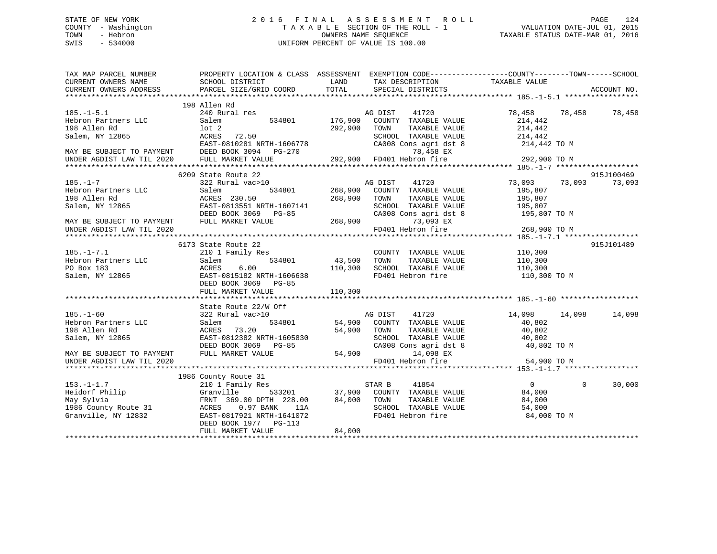# STATE OF NEW YORK 2 0 1 6 F I N A L A S S E S S M E N T R O L L PAGE 124 COUNTY - Washington T A X A B L E SECTION OF THE ROLL - 1 VALUATION DATE-JUL 01, 2015 TOWN - Hebron OWNERS NAME SEQUENCE TAXABLE STATUS DATE-MAR 01, 2016 SWIS - 534000 UNIFORM PERCENT OF VALUE IS 100.00

| TAX DESCRIPTION<br>SPECILL PISTRICES<br>TOTAL<br>CURRENT OWNERS ADDRESS<br>PARCEL SIZE/GRID COORD<br>SPECIAL DISTRICTS<br>ACCOUNT NO.<br>198 Allen Rd<br>$185. - 1 - 5.1$<br>AG DIST<br>41720<br>78,458<br>78,458<br>78,458<br>240 Rural res<br>534801<br>176,900<br>Hebron Partners LLC<br>Salem<br>COUNTY TAXABLE VALUE<br>214,442<br>198 Allen Rd<br>$1$ ot $2$<br>292,900<br>TOWN<br>TAXABLE VALUE<br>214,442<br>Salem, NY 12865<br>ACRES 72.50<br>SCHOOL TAXABLE VALUE<br>214,442<br>CA008 Cons agri dst 8 214,442 TO M<br>EAST-0810281 NRTH-1606778<br>MAY BE SUBJECT TO PAYMENT<br>DEED BOOK 3094 PG-270<br>78,458 EX<br>UNDER AGDIST LAW TIL 2020<br>292,900 FD401 Hebron fire<br>FULL MARKET VALUE<br>292,900 TO M<br>915J100469<br>6209 State Route 22<br>73,093<br>$185. - 1 - 7$<br>AG DIST<br>41720<br>73,093 73,093<br>322 Rural vac>10<br>534801<br>Hebron Partners LLC<br>268,900<br>COUNTY TAXABLE VALUE<br>195,807<br>Salem<br>198 Allen Rd<br>ACRES 230.50<br>268,900<br>TAXABLE VALUE<br>195,807<br>TOWN<br>Salem, NY 12865<br>EAST-0813551 NRTH-1607141<br>SCHOOL TAXABLE VALUE<br>195,807<br>SCHOOL TAXABLE VALUE 195,807<br>CA008 Cons agri dst 8 195,807 TO M<br>DEED BOOK 3069 PG-85<br>FULL MARKET VALUE<br>268,900<br>73,093 EX<br>MAY BE SUBJECT TO PAYMENT<br>FD401 Hebron fire<br>268,900 TO M<br>UNDER AGDIST LAW TIL 2020<br>915J101489<br>6173 State Route 22<br>$185. - 1 - 7.1$<br>210 1 Family Res<br>COUNTY TAXABLE VALUE<br>110,300<br>Hebron Partners LLC<br>534801<br>43,500<br>TAXABLE VALUE<br>110,300<br>Salem<br>TOWN<br>110,300<br>PO Box 183<br>ACRES<br>6.00<br>110,300<br>SCHOOL TAXABLE VALUE<br>Salem, NY 12865<br>EAST-0815182 NRTH-1606638<br>FD401 Hebron fire<br>110,300 TO M<br>DEED BOOK 3069 PG-85<br>FULL MARKET VALUE<br>110,300<br>State Route 22/W Off<br>$185. - 1 - 60$<br>322 Rural vac>10<br>AG DIST<br>41720<br>14,098<br>14,098<br>14,098<br>534801<br>54,900 COUNTY TAXABLE VALUE<br>Hebron Partners LLC<br>Salem<br>40,802<br>198 Allen Rd<br>ACRES 73.20<br>54,900<br>TAXABLE VALUE<br>40,802<br>TOWN<br>Salem, NY 12865<br>EAST-0812382 NRTH-1605830<br>SCHOOL TAXABLE VALUE<br>40,802<br>DEED BOOK 3069 PG-85<br>CA008 Cons agri dst 8<br>40,802 TO M<br>FULL MARKET VALUE<br>54,900<br>14,098 EX<br>MAY BE SUBJECT TO PAYMENT<br>FD401 Hebron fire<br>54,900 TO M<br>UNDER AGDIST LAW TIL 2020<br>1986 County Route 31<br>$153. -1 - 1.7$<br>210 1 Family Res<br>41854<br>$\overline{0}$<br>$\mathbf 0$<br>30,000<br>STAR B<br>533201 37,900 COUNTY TAXABLE VALUE<br>Heidorf Philip<br>Granville<br>84,000<br>May Sylvia<br>84,000<br>TAXABLE VALUE<br>FRNT 369.00 DPTH 228.00<br>TOWN<br>84,000<br>1986 County Route 31<br>0.97 BANK<br>SCHOOL TAXABLE VALUE<br>ACRES<br>11A<br>54,000<br>FD401 Hebron fire<br>Granville, NY 12832<br>EAST-0817921 NRTH-1641072<br>84,000 TO M<br>DEED BOOK 1977 PG-113<br>84,000<br>FULL MARKET VALUE | TAX MAP PARCEL NUMBER<br>CURRENT OWNERS NAME | PROPERTY LOCATION & CLASS ASSESSMENT<br>SCHOOL DISTRICT | LAND | EXEMPTION CODE-----------------COUNTY-------TOWN------SCHOOL<br>TAXABLE VALUE |
|------------------------------------------------------------------------------------------------------------------------------------------------------------------------------------------------------------------------------------------------------------------------------------------------------------------------------------------------------------------------------------------------------------------------------------------------------------------------------------------------------------------------------------------------------------------------------------------------------------------------------------------------------------------------------------------------------------------------------------------------------------------------------------------------------------------------------------------------------------------------------------------------------------------------------------------------------------------------------------------------------------------------------------------------------------------------------------------------------------------------------------------------------------------------------------------------------------------------------------------------------------------------------------------------------------------------------------------------------------------------------------------------------------------------------------------------------------------------------------------------------------------------------------------------------------------------------------------------------------------------------------------------------------------------------------------------------------------------------------------------------------------------------------------------------------------------------------------------------------------------------------------------------------------------------------------------------------------------------------------------------------------------------------------------------------------------------------------------------------------------------------------------------------------------------------------------------------------------------------------------------------------------------------------------------------------------------------------------------------------------------------------------------------------------------------------------------------------------------------------------------------------------------------------------------------------------------------------------------------------------------------------------------------------------------------------------------------------------------------------------------------------------------------------------------------------------------------------------------------------------------------------------------------------|----------------------------------------------|---------------------------------------------------------|------|-------------------------------------------------------------------------------|
|                                                                                                                                                                                                                                                                                                                                                                                                                                                                                                                                                                                                                                                                                                                                                                                                                                                                                                                                                                                                                                                                                                                                                                                                                                                                                                                                                                                                                                                                                                                                                                                                                                                                                                                                                                                                                                                                                                                                                                                                                                                                                                                                                                                                                                                                                                                                                                                                                                                                                                                                                                                                                                                                                                                                                                                                                                                                                                                  |                                              |                                                         |      |                                                                               |
|                                                                                                                                                                                                                                                                                                                                                                                                                                                                                                                                                                                                                                                                                                                                                                                                                                                                                                                                                                                                                                                                                                                                                                                                                                                                                                                                                                                                                                                                                                                                                                                                                                                                                                                                                                                                                                                                                                                                                                                                                                                                                                                                                                                                                                                                                                                                                                                                                                                                                                                                                                                                                                                                                                                                                                                                                                                                                                                  |                                              |                                                         |      |                                                                               |
|                                                                                                                                                                                                                                                                                                                                                                                                                                                                                                                                                                                                                                                                                                                                                                                                                                                                                                                                                                                                                                                                                                                                                                                                                                                                                                                                                                                                                                                                                                                                                                                                                                                                                                                                                                                                                                                                                                                                                                                                                                                                                                                                                                                                                                                                                                                                                                                                                                                                                                                                                                                                                                                                                                                                                                                                                                                                                                                  |                                              |                                                         |      |                                                                               |
|                                                                                                                                                                                                                                                                                                                                                                                                                                                                                                                                                                                                                                                                                                                                                                                                                                                                                                                                                                                                                                                                                                                                                                                                                                                                                                                                                                                                                                                                                                                                                                                                                                                                                                                                                                                                                                                                                                                                                                                                                                                                                                                                                                                                                                                                                                                                                                                                                                                                                                                                                                                                                                                                                                                                                                                                                                                                                                                  |                                              |                                                         |      |                                                                               |
|                                                                                                                                                                                                                                                                                                                                                                                                                                                                                                                                                                                                                                                                                                                                                                                                                                                                                                                                                                                                                                                                                                                                                                                                                                                                                                                                                                                                                                                                                                                                                                                                                                                                                                                                                                                                                                                                                                                                                                                                                                                                                                                                                                                                                                                                                                                                                                                                                                                                                                                                                                                                                                                                                                                                                                                                                                                                                                                  |                                              |                                                         |      |                                                                               |
|                                                                                                                                                                                                                                                                                                                                                                                                                                                                                                                                                                                                                                                                                                                                                                                                                                                                                                                                                                                                                                                                                                                                                                                                                                                                                                                                                                                                                                                                                                                                                                                                                                                                                                                                                                                                                                                                                                                                                                                                                                                                                                                                                                                                                                                                                                                                                                                                                                                                                                                                                                                                                                                                                                                                                                                                                                                                                                                  |                                              |                                                         |      |                                                                               |
|                                                                                                                                                                                                                                                                                                                                                                                                                                                                                                                                                                                                                                                                                                                                                                                                                                                                                                                                                                                                                                                                                                                                                                                                                                                                                                                                                                                                                                                                                                                                                                                                                                                                                                                                                                                                                                                                                                                                                                                                                                                                                                                                                                                                                                                                                                                                                                                                                                                                                                                                                                                                                                                                                                                                                                                                                                                                                                                  |                                              |                                                         |      |                                                                               |
|                                                                                                                                                                                                                                                                                                                                                                                                                                                                                                                                                                                                                                                                                                                                                                                                                                                                                                                                                                                                                                                                                                                                                                                                                                                                                                                                                                                                                                                                                                                                                                                                                                                                                                                                                                                                                                                                                                                                                                                                                                                                                                                                                                                                                                                                                                                                                                                                                                                                                                                                                                                                                                                                                                                                                                                                                                                                                                                  |                                              |                                                         |      |                                                                               |
|                                                                                                                                                                                                                                                                                                                                                                                                                                                                                                                                                                                                                                                                                                                                                                                                                                                                                                                                                                                                                                                                                                                                                                                                                                                                                                                                                                                                                                                                                                                                                                                                                                                                                                                                                                                                                                                                                                                                                                                                                                                                                                                                                                                                                                                                                                                                                                                                                                                                                                                                                                                                                                                                                                                                                                                                                                                                                                                  |                                              |                                                         |      |                                                                               |
|                                                                                                                                                                                                                                                                                                                                                                                                                                                                                                                                                                                                                                                                                                                                                                                                                                                                                                                                                                                                                                                                                                                                                                                                                                                                                                                                                                                                                                                                                                                                                                                                                                                                                                                                                                                                                                                                                                                                                                                                                                                                                                                                                                                                                                                                                                                                                                                                                                                                                                                                                                                                                                                                                                                                                                                                                                                                                                                  |                                              |                                                         |      |                                                                               |
|                                                                                                                                                                                                                                                                                                                                                                                                                                                                                                                                                                                                                                                                                                                                                                                                                                                                                                                                                                                                                                                                                                                                                                                                                                                                                                                                                                                                                                                                                                                                                                                                                                                                                                                                                                                                                                                                                                                                                                                                                                                                                                                                                                                                                                                                                                                                                                                                                                                                                                                                                                                                                                                                                                                                                                                                                                                                                                                  |                                              |                                                         |      |                                                                               |
|                                                                                                                                                                                                                                                                                                                                                                                                                                                                                                                                                                                                                                                                                                                                                                                                                                                                                                                                                                                                                                                                                                                                                                                                                                                                                                                                                                                                                                                                                                                                                                                                                                                                                                                                                                                                                                                                                                                                                                                                                                                                                                                                                                                                                                                                                                                                                                                                                                                                                                                                                                                                                                                                                                                                                                                                                                                                                                                  |                                              |                                                         |      |                                                                               |
|                                                                                                                                                                                                                                                                                                                                                                                                                                                                                                                                                                                                                                                                                                                                                                                                                                                                                                                                                                                                                                                                                                                                                                                                                                                                                                                                                                                                                                                                                                                                                                                                                                                                                                                                                                                                                                                                                                                                                                                                                                                                                                                                                                                                                                                                                                                                                                                                                                                                                                                                                                                                                                                                                                                                                                                                                                                                                                                  |                                              |                                                         |      |                                                                               |
|                                                                                                                                                                                                                                                                                                                                                                                                                                                                                                                                                                                                                                                                                                                                                                                                                                                                                                                                                                                                                                                                                                                                                                                                                                                                                                                                                                                                                                                                                                                                                                                                                                                                                                                                                                                                                                                                                                                                                                                                                                                                                                                                                                                                                                                                                                                                                                                                                                                                                                                                                                                                                                                                                                                                                                                                                                                                                                                  |                                              |                                                         |      |                                                                               |
|                                                                                                                                                                                                                                                                                                                                                                                                                                                                                                                                                                                                                                                                                                                                                                                                                                                                                                                                                                                                                                                                                                                                                                                                                                                                                                                                                                                                                                                                                                                                                                                                                                                                                                                                                                                                                                                                                                                                                                                                                                                                                                                                                                                                                                                                                                                                                                                                                                                                                                                                                                                                                                                                                                                                                                                                                                                                                                                  |                                              |                                                         |      |                                                                               |
|                                                                                                                                                                                                                                                                                                                                                                                                                                                                                                                                                                                                                                                                                                                                                                                                                                                                                                                                                                                                                                                                                                                                                                                                                                                                                                                                                                                                                                                                                                                                                                                                                                                                                                                                                                                                                                                                                                                                                                                                                                                                                                                                                                                                                                                                                                                                                                                                                                                                                                                                                                                                                                                                                                                                                                                                                                                                                                                  |                                              |                                                         |      |                                                                               |
|                                                                                                                                                                                                                                                                                                                                                                                                                                                                                                                                                                                                                                                                                                                                                                                                                                                                                                                                                                                                                                                                                                                                                                                                                                                                                                                                                                                                                                                                                                                                                                                                                                                                                                                                                                                                                                                                                                                                                                                                                                                                                                                                                                                                                                                                                                                                                                                                                                                                                                                                                                                                                                                                                                                                                                                                                                                                                                                  |                                              |                                                         |      |                                                                               |
|                                                                                                                                                                                                                                                                                                                                                                                                                                                                                                                                                                                                                                                                                                                                                                                                                                                                                                                                                                                                                                                                                                                                                                                                                                                                                                                                                                                                                                                                                                                                                                                                                                                                                                                                                                                                                                                                                                                                                                                                                                                                                                                                                                                                                                                                                                                                                                                                                                                                                                                                                                                                                                                                                                                                                                                                                                                                                                                  |                                              |                                                         |      |                                                                               |
|                                                                                                                                                                                                                                                                                                                                                                                                                                                                                                                                                                                                                                                                                                                                                                                                                                                                                                                                                                                                                                                                                                                                                                                                                                                                                                                                                                                                                                                                                                                                                                                                                                                                                                                                                                                                                                                                                                                                                                                                                                                                                                                                                                                                                                                                                                                                                                                                                                                                                                                                                                                                                                                                                                                                                                                                                                                                                                                  |                                              |                                                         |      |                                                                               |
|                                                                                                                                                                                                                                                                                                                                                                                                                                                                                                                                                                                                                                                                                                                                                                                                                                                                                                                                                                                                                                                                                                                                                                                                                                                                                                                                                                                                                                                                                                                                                                                                                                                                                                                                                                                                                                                                                                                                                                                                                                                                                                                                                                                                                                                                                                                                                                                                                                                                                                                                                                                                                                                                                                                                                                                                                                                                                                                  |                                              |                                                         |      |                                                                               |
|                                                                                                                                                                                                                                                                                                                                                                                                                                                                                                                                                                                                                                                                                                                                                                                                                                                                                                                                                                                                                                                                                                                                                                                                                                                                                                                                                                                                                                                                                                                                                                                                                                                                                                                                                                                                                                                                                                                                                                                                                                                                                                                                                                                                                                                                                                                                                                                                                                                                                                                                                                                                                                                                                                                                                                                                                                                                                                                  |                                              |                                                         |      |                                                                               |
|                                                                                                                                                                                                                                                                                                                                                                                                                                                                                                                                                                                                                                                                                                                                                                                                                                                                                                                                                                                                                                                                                                                                                                                                                                                                                                                                                                                                                                                                                                                                                                                                                                                                                                                                                                                                                                                                                                                                                                                                                                                                                                                                                                                                                                                                                                                                                                                                                                                                                                                                                                                                                                                                                                                                                                                                                                                                                                                  |                                              |                                                         |      |                                                                               |
|                                                                                                                                                                                                                                                                                                                                                                                                                                                                                                                                                                                                                                                                                                                                                                                                                                                                                                                                                                                                                                                                                                                                                                                                                                                                                                                                                                                                                                                                                                                                                                                                                                                                                                                                                                                                                                                                                                                                                                                                                                                                                                                                                                                                                                                                                                                                                                                                                                                                                                                                                                                                                                                                                                                                                                                                                                                                                                                  |                                              |                                                         |      |                                                                               |
|                                                                                                                                                                                                                                                                                                                                                                                                                                                                                                                                                                                                                                                                                                                                                                                                                                                                                                                                                                                                                                                                                                                                                                                                                                                                                                                                                                                                                                                                                                                                                                                                                                                                                                                                                                                                                                                                                                                                                                                                                                                                                                                                                                                                                                                                                                                                                                                                                                                                                                                                                                                                                                                                                                                                                                                                                                                                                                                  |                                              |                                                         |      |                                                                               |
|                                                                                                                                                                                                                                                                                                                                                                                                                                                                                                                                                                                                                                                                                                                                                                                                                                                                                                                                                                                                                                                                                                                                                                                                                                                                                                                                                                                                                                                                                                                                                                                                                                                                                                                                                                                                                                                                                                                                                                                                                                                                                                                                                                                                                                                                                                                                                                                                                                                                                                                                                                                                                                                                                                                                                                                                                                                                                                                  |                                              |                                                         |      |                                                                               |
|                                                                                                                                                                                                                                                                                                                                                                                                                                                                                                                                                                                                                                                                                                                                                                                                                                                                                                                                                                                                                                                                                                                                                                                                                                                                                                                                                                                                                                                                                                                                                                                                                                                                                                                                                                                                                                                                                                                                                                                                                                                                                                                                                                                                                                                                                                                                                                                                                                                                                                                                                                                                                                                                                                                                                                                                                                                                                                                  |                                              |                                                         |      |                                                                               |
|                                                                                                                                                                                                                                                                                                                                                                                                                                                                                                                                                                                                                                                                                                                                                                                                                                                                                                                                                                                                                                                                                                                                                                                                                                                                                                                                                                                                                                                                                                                                                                                                                                                                                                                                                                                                                                                                                                                                                                                                                                                                                                                                                                                                                                                                                                                                                                                                                                                                                                                                                                                                                                                                                                                                                                                                                                                                                                                  |                                              |                                                         |      |                                                                               |
|                                                                                                                                                                                                                                                                                                                                                                                                                                                                                                                                                                                                                                                                                                                                                                                                                                                                                                                                                                                                                                                                                                                                                                                                                                                                                                                                                                                                                                                                                                                                                                                                                                                                                                                                                                                                                                                                                                                                                                                                                                                                                                                                                                                                                                                                                                                                                                                                                                                                                                                                                                                                                                                                                                                                                                                                                                                                                                                  |                                              |                                                         |      |                                                                               |
|                                                                                                                                                                                                                                                                                                                                                                                                                                                                                                                                                                                                                                                                                                                                                                                                                                                                                                                                                                                                                                                                                                                                                                                                                                                                                                                                                                                                                                                                                                                                                                                                                                                                                                                                                                                                                                                                                                                                                                                                                                                                                                                                                                                                                                                                                                                                                                                                                                                                                                                                                                                                                                                                                                                                                                                                                                                                                                                  |                                              |                                                         |      |                                                                               |
|                                                                                                                                                                                                                                                                                                                                                                                                                                                                                                                                                                                                                                                                                                                                                                                                                                                                                                                                                                                                                                                                                                                                                                                                                                                                                                                                                                                                                                                                                                                                                                                                                                                                                                                                                                                                                                                                                                                                                                                                                                                                                                                                                                                                                                                                                                                                                                                                                                                                                                                                                                                                                                                                                                                                                                                                                                                                                                                  |                                              |                                                         |      |                                                                               |
|                                                                                                                                                                                                                                                                                                                                                                                                                                                                                                                                                                                                                                                                                                                                                                                                                                                                                                                                                                                                                                                                                                                                                                                                                                                                                                                                                                                                                                                                                                                                                                                                                                                                                                                                                                                                                                                                                                                                                                                                                                                                                                                                                                                                                                                                                                                                                                                                                                                                                                                                                                                                                                                                                                                                                                                                                                                                                                                  |                                              |                                                         |      |                                                                               |
|                                                                                                                                                                                                                                                                                                                                                                                                                                                                                                                                                                                                                                                                                                                                                                                                                                                                                                                                                                                                                                                                                                                                                                                                                                                                                                                                                                                                                                                                                                                                                                                                                                                                                                                                                                                                                                                                                                                                                                                                                                                                                                                                                                                                                                                                                                                                                                                                                                                                                                                                                                                                                                                                                                                                                                                                                                                                                                                  |                                              |                                                         |      |                                                                               |
|                                                                                                                                                                                                                                                                                                                                                                                                                                                                                                                                                                                                                                                                                                                                                                                                                                                                                                                                                                                                                                                                                                                                                                                                                                                                                                                                                                                                                                                                                                                                                                                                                                                                                                                                                                                                                                                                                                                                                                                                                                                                                                                                                                                                                                                                                                                                                                                                                                                                                                                                                                                                                                                                                                                                                                                                                                                                                                                  |                                              |                                                         |      |                                                                               |
|                                                                                                                                                                                                                                                                                                                                                                                                                                                                                                                                                                                                                                                                                                                                                                                                                                                                                                                                                                                                                                                                                                                                                                                                                                                                                                                                                                                                                                                                                                                                                                                                                                                                                                                                                                                                                                                                                                                                                                                                                                                                                                                                                                                                                                                                                                                                                                                                                                                                                                                                                                                                                                                                                                                                                                                                                                                                                                                  |                                              |                                                         |      |                                                                               |
|                                                                                                                                                                                                                                                                                                                                                                                                                                                                                                                                                                                                                                                                                                                                                                                                                                                                                                                                                                                                                                                                                                                                                                                                                                                                                                                                                                                                                                                                                                                                                                                                                                                                                                                                                                                                                                                                                                                                                                                                                                                                                                                                                                                                                                                                                                                                                                                                                                                                                                                                                                                                                                                                                                                                                                                                                                                                                                                  |                                              |                                                         |      |                                                                               |
|                                                                                                                                                                                                                                                                                                                                                                                                                                                                                                                                                                                                                                                                                                                                                                                                                                                                                                                                                                                                                                                                                                                                                                                                                                                                                                                                                                                                                                                                                                                                                                                                                                                                                                                                                                                                                                                                                                                                                                                                                                                                                                                                                                                                                                                                                                                                                                                                                                                                                                                                                                                                                                                                                                                                                                                                                                                                                                                  |                                              |                                                         |      |                                                                               |
|                                                                                                                                                                                                                                                                                                                                                                                                                                                                                                                                                                                                                                                                                                                                                                                                                                                                                                                                                                                                                                                                                                                                                                                                                                                                                                                                                                                                                                                                                                                                                                                                                                                                                                                                                                                                                                                                                                                                                                                                                                                                                                                                                                                                                                                                                                                                                                                                                                                                                                                                                                                                                                                                                                                                                                                                                                                                                                                  |                                              |                                                         |      |                                                                               |
|                                                                                                                                                                                                                                                                                                                                                                                                                                                                                                                                                                                                                                                                                                                                                                                                                                                                                                                                                                                                                                                                                                                                                                                                                                                                                                                                                                                                                                                                                                                                                                                                                                                                                                                                                                                                                                                                                                                                                                                                                                                                                                                                                                                                                                                                                                                                                                                                                                                                                                                                                                                                                                                                                                                                                                                                                                                                                                                  |                                              |                                                         |      |                                                                               |
|                                                                                                                                                                                                                                                                                                                                                                                                                                                                                                                                                                                                                                                                                                                                                                                                                                                                                                                                                                                                                                                                                                                                                                                                                                                                                                                                                                                                                                                                                                                                                                                                                                                                                                                                                                                                                                                                                                                                                                                                                                                                                                                                                                                                                                                                                                                                                                                                                                                                                                                                                                                                                                                                                                                                                                                                                                                                                                                  |                                              |                                                         |      |                                                                               |
|                                                                                                                                                                                                                                                                                                                                                                                                                                                                                                                                                                                                                                                                                                                                                                                                                                                                                                                                                                                                                                                                                                                                                                                                                                                                                                                                                                                                                                                                                                                                                                                                                                                                                                                                                                                                                                                                                                                                                                                                                                                                                                                                                                                                                                                                                                                                                                                                                                                                                                                                                                                                                                                                                                                                                                                                                                                                                                                  |                                              |                                                         |      |                                                                               |
|                                                                                                                                                                                                                                                                                                                                                                                                                                                                                                                                                                                                                                                                                                                                                                                                                                                                                                                                                                                                                                                                                                                                                                                                                                                                                                                                                                                                                                                                                                                                                                                                                                                                                                                                                                                                                                                                                                                                                                                                                                                                                                                                                                                                                                                                                                                                                                                                                                                                                                                                                                                                                                                                                                                                                                                                                                                                                                                  |                                              |                                                         |      |                                                                               |
|                                                                                                                                                                                                                                                                                                                                                                                                                                                                                                                                                                                                                                                                                                                                                                                                                                                                                                                                                                                                                                                                                                                                                                                                                                                                                                                                                                                                                                                                                                                                                                                                                                                                                                                                                                                                                                                                                                                                                                                                                                                                                                                                                                                                                                                                                                                                                                                                                                                                                                                                                                                                                                                                                                                                                                                                                                                                                                                  |                                              |                                                         |      |                                                                               |
|                                                                                                                                                                                                                                                                                                                                                                                                                                                                                                                                                                                                                                                                                                                                                                                                                                                                                                                                                                                                                                                                                                                                                                                                                                                                                                                                                                                                                                                                                                                                                                                                                                                                                                                                                                                                                                                                                                                                                                                                                                                                                                                                                                                                                                                                                                                                                                                                                                                                                                                                                                                                                                                                                                                                                                                                                                                                                                                  |                                              |                                                         |      |                                                                               |
|                                                                                                                                                                                                                                                                                                                                                                                                                                                                                                                                                                                                                                                                                                                                                                                                                                                                                                                                                                                                                                                                                                                                                                                                                                                                                                                                                                                                                                                                                                                                                                                                                                                                                                                                                                                                                                                                                                                                                                                                                                                                                                                                                                                                                                                                                                                                                                                                                                                                                                                                                                                                                                                                                                                                                                                                                                                                                                                  |                                              |                                                         |      |                                                                               |
|                                                                                                                                                                                                                                                                                                                                                                                                                                                                                                                                                                                                                                                                                                                                                                                                                                                                                                                                                                                                                                                                                                                                                                                                                                                                                                                                                                                                                                                                                                                                                                                                                                                                                                                                                                                                                                                                                                                                                                                                                                                                                                                                                                                                                                                                                                                                                                                                                                                                                                                                                                                                                                                                                                                                                                                                                                                                                                                  |                                              |                                                         |      |                                                                               |
|                                                                                                                                                                                                                                                                                                                                                                                                                                                                                                                                                                                                                                                                                                                                                                                                                                                                                                                                                                                                                                                                                                                                                                                                                                                                                                                                                                                                                                                                                                                                                                                                                                                                                                                                                                                                                                                                                                                                                                                                                                                                                                                                                                                                                                                                                                                                                                                                                                                                                                                                                                                                                                                                                                                                                                                                                                                                                                                  |                                              |                                                         |      |                                                                               |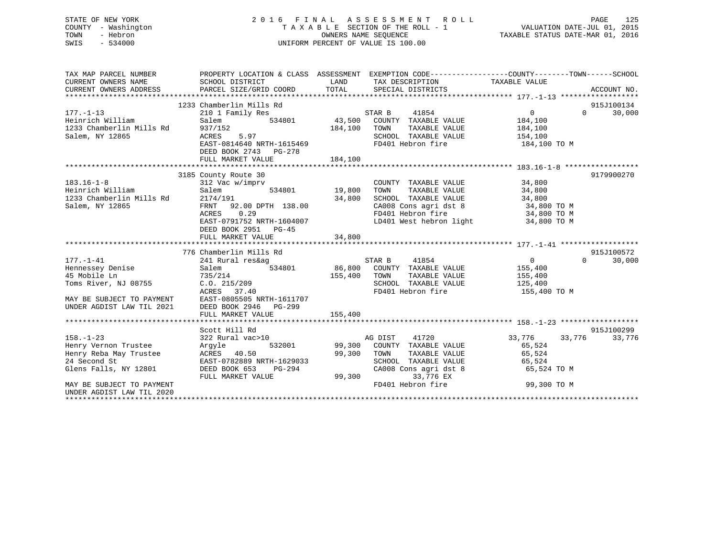# STATE OF NEW YORK 2 0 1 6 F I N A L A S S E S S M E N T R O L L PAGE 125 COUNTY - Washington T A X A B L E SECTION OF THE ROLL - 1 VALUATION DATE-JUL 01, 2015 TOWN - Hebron OWNERS NAME SEQUENCE TAXABLE STATUS DATE-MAR 01, 2016 SWIS - 534000 UNIFORM PERCENT OF VALUE IS 100.00

| TAX MAP PARCEL NUMBER<br>CURRENT OWNERS NAME<br>CURRENT OWNERS ADDRESS                                                                                               | PROPERTY LOCATION & CLASS ASSESSMENT EXEMPTION CODE----------------COUNTY-------TOWN------SCHOOL<br>SCHOOL DISTRICT<br>PARCEL SIZE/GRID COORD                                                                            | LAND<br>TOTAL                       | TAX DESCRIPTION TAXABLE VALUE<br>SPECIAL DISTRICTS                                                                                                                                   |                                                                           | ACCOUNT NO.                      |
|----------------------------------------------------------------------------------------------------------------------------------------------------------------------|--------------------------------------------------------------------------------------------------------------------------------------------------------------------------------------------------------------------------|-------------------------------------|--------------------------------------------------------------------------------------------------------------------------------------------------------------------------------------|---------------------------------------------------------------------------|----------------------------------|
| $177. - 1 - 13$<br>Salem, NY 12865                                                                                                                                   | 1233 Chamberlin Mills Rd<br>210 1 Family Res<br>534801<br>ACRES 5.97<br>EAST-0814640 NRTH-1615469<br>DEED BOOK 2743 PG-278                                                                                               | 184,100                             | STAR B<br>41854<br>TAXABLE VALUE<br>TOWN<br>SCHOOL TAXABLE VALUE 154,100<br>FD401 Hebron fire                                                                                        | $\overline{0}$<br>184,100<br>184,100<br>184,100 TO M                      | 915J100134<br>$\Omega$<br>30,000 |
| $183.16 - 1 - 8$<br>Heinrich William<br>1233 Chamberlin Mills Rd<br>Salem, NY 12865                                                                                  | 3185 County Route 30<br>312 Vac w/imprv<br>Salem<br>2174/191<br>FRNT 92.00 DPTH 138.00<br>ACRES 0.29<br>EAST-0791752 NRTH-1604007<br>DEED BOOK 2951 PG-45<br>FULL MARKET VALUE                                           | $534801$ 19,800<br>34,800<br>34,800 | COUNTY TAXABLE VALUE<br>TAXABLE VALUE 34,800<br>TOWN<br>SCHOOL TAXABLE VALUE 34,800<br>CA008 Cons agri dst 8 34,800 TO M<br>FD401 Hebron fire 34,800 TO M<br>LD401 West hebron light | 34,800<br>34,800 TO M                                                     | 9179900270                       |
| $177. - 1 - 41$<br>Hennessey Denise<br>45 Mobile Ln<br>45 Mobile Ln<br>Toms River, NJ 08755                                                                          | 776 Chamberlin Mills Rd<br>241 Rural res&ag<br>534801<br>Salem<br>735/214<br>735/214<br>C.O. 215/209<br>CODEC 37.40<br>MAY BE SUBJECT TO PAYMENT<br>UNDER AGDIST LAW TIL 2021 DEED BOOK 2946 PG-299<br>FULL MARKET VALUE | 155,400<br>155,400                  | STAR B 41854<br>86,800 COUNTY TAXABLE VALUE<br>TAXABLE VALUE<br>TOWN<br>SCHOOL TAXABLE VALUE<br>FD401 Hebron fire                                                                    | $\overline{0}$<br>155,400<br>155,400<br>125,400<br>155,400 TO M           | 915J100572<br>30,000<br>$\Omega$ |
| $158. - 1 - 23$<br>Henry Vernon Trustee<br>Henry Reba May Trustee<br>24 Second St<br>Glens Falls, NY 12801<br>MAY BE SUBJECT TO PAYMENT<br>UNDER AGDIST LAW TIL 2020 | Scott Hill Rd<br>322 Rural vac>10<br>532001<br>Arqyle<br>ACRES 40.50<br>EAST-0782889 NRTH-1629033<br>$PG-294$<br>DEED BOOK 653<br>FULL MARKET VALUE                                                                      | 99,300                              | 41720<br>AG DIST<br>99,300 COUNTY TAXABLE VALUE<br>99,300 TOWN<br>TOWN TAXABLE VALUE<br>SCHOOL TAXABLE VALUE<br>CA008 Cons agri dst 8<br>33,776 EX<br>FD401 Hebron fire              | 33,776 33,776<br>65,524<br>65,524<br>65,524<br>65,524 TO M<br>99,300 TO M | 915J100299<br>33,776             |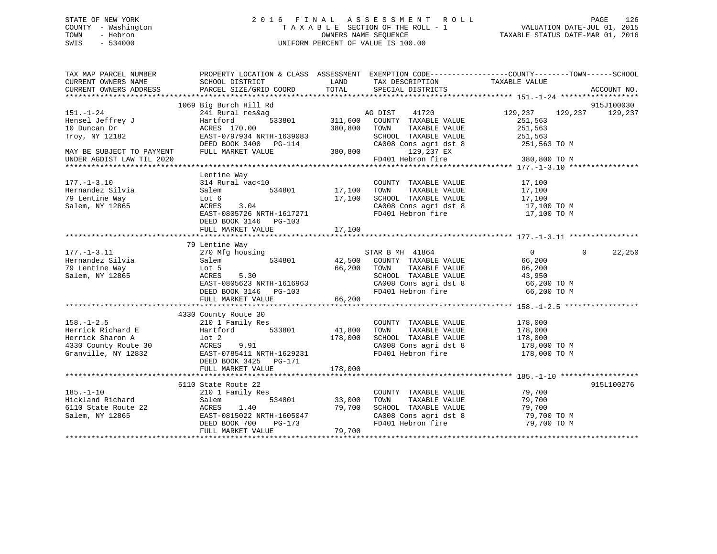# STATE OF NEW YORK 2 0 1 6 F I N A L A S S E S S M E N T R O L L PAGE 126 COUNTY - Washington T A X A B L E SECTION OF THE ROLL - 1 VALUATION DATE-JUL 01, 2015 TOWN - Hebron OWNERS NAME SEQUENCE TAXABLE STATUS DATE-MAR 01, 2016 SWIS - 534000 UNIFORM PERCENT OF VALUE IS 100.00

| TAX MAP PARCEL NUMBER<br>CURRENT OWNERS NAME                                                                                    | PROPERTY LOCATION & CLASS ASSESSMENT EXEMPTION CODE----------------COUNTY-------TOWN------SCHOOL<br>SCHOOL DISTRICT                                                                     | LAND                                          | TAX DESCRIPTION                                                                                                                                                                                                                                                                                                                             | TAXABLE VALUE            |               |
|---------------------------------------------------------------------------------------------------------------------------------|-----------------------------------------------------------------------------------------------------------------------------------------------------------------------------------------|-----------------------------------------------|---------------------------------------------------------------------------------------------------------------------------------------------------------------------------------------------------------------------------------------------------------------------------------------------------------------------------------------------|--------------------------|---------------|
| CURRENT OWNERS ADDRESS                                                                                                          | PARCEL SIZE/GRID COORD                                                                                                                                                                  | TOTAL                                         | SPECIAL DISTRICTS                                                                                                                                                                                                                                                                                                                           |                          | ACCOUNT NO.   |
|                                                                                                                                 |                                                                                                                                                                                         |                                               |                                                                                                                                                                                                                                                                                                                                             |                          |               |
| $151. - 1 - 24$<br>Hensel Jeffrey J<br>10 Duncan Dr<br>Troy, NY 12182<br>MAY BE SUBJECT TO PAYMENT<br>UNDER AGDIST LAW TIL 2020 | 1069 Big Burch Hill Rd<br>241 Rural res&ag<br>Hartford<br>ACRES 170.00<br>EAST-0797934 NRTH-1639083<br>DEED BOOK 3400 PG-114<br>FULL MARKET VALUE                                       | 380,800 TOWN                                  | va<br>129,237 129,237 129,237 129,237<br>533801 311,600 COUNTY TAXABLE VALUE 251,563<br>The case of the case of the case of the case of the case of the case of the case of the case of the case of t<br>TAXABLE VALUE<br>SCHOOL TAXABLE VALUE 251,563<br>CA008 Cons agri dst 8 251,563 TO M<br>$380,800$ $129,237$ EX<br>FD401 Hebron fire | 251,563<br>380,800 TO M  | 915J100030    |
| $177. - 1 - 3.10$<br>Hernandez Silvia<br>79 Lentine Way<br>Salem, NY 12865                                                      | Lentine Way<br>314 Rural vac<10<br>Salem<br>Lot 6<br>3.04<br>ACRES<br>EAST-0805726 NRTH-1617271<br>DEED BOOK 3146 PG-103<br>FULL MARKET VALUE                                           | 534801 17,100 TOWN<br>17,100                  | COUNTY TAXABLE VALUE<br>17,100 TOWN TAXABLE VALUE 17,100<br>17,100 SCHOOL TAXABLE VALUE 17,100<br>CA008 Cons agri dst 8 17,100 TO M<br>FD401 Hebron fire 17,100 TO M                                                                                                                                                                        | 17,100                   |               |
| $177. - 1 - 3.11$<br>Hernandez Silvia<br>79 Lentine Way<br>Salem, NY 12865                                                      | 79 Lentine Way<br>$270$ Mfg housing $270$ Mfg housing $57AR$ B MH $41864$<br>Salem<br>Lot 5<br>5.30<br>ACRES<br>EAST-0805623 NRTH-1616963<br>DEED BOOK 3146 PG-103<br>FULL MARKET VALUE | 66,200 TOWN<br>66, 200                        | $\sim$ 534801 42,500 COUNTY TAXABLE VALUE<br>TOWN TAXABLE VALUE 66,200<br>SCHOOL TAXABLE VALUE 43,950<br>CA008 Cons agri dst 8 66,200 TO M<br>FD401 Hebron fire 66,200 TO M                                                                                                                                                                 | $\overline{0}$<br>66,200 | $0 \t 22,250$ |
| $158. - 1 - 2.5$<br>Herrick Richard E<br>Herrick Sharon A 10t 2<br>4330 County Route 30 ACRES<br>Granville, NY 12832            | 4330 County Route 30<br>COMILY ROUTE 30<br>210 1 Family Res<br>Hartford<br>9.91<br>EAST-0785411 NRTH-1629231<br>DEED BOOK 3425 PG-171                                                   | 533801 41,800<br>178,000                      | COUNTY TAXABLE VALUE 178,000<br>TAXABLE VALUE 178,000<br>TOWN<br>SCHOOL TAXABLE VALUE 178,000<br>CA008 Cons agri dst 8 178,000 TO M<br>FD401 Hebron fire 178,000 TO M                                                                                                                                                                       |                          |               |
| $185. - 1 - 10$<br>Hickland Richard<br>6110 State Route 22<br>Salem, NY 12865                                                   | 6110 State Route 22<br>210 1 Family Res<br>Salem<br>1.40<br>ACRES<br>ACRES 1.40 79,70<br>EAST-0815022 NRTH-1605047<br>DEED BOOK 700<br>FULL MARKET VALUE                                | 534801 33,000<br>79,700<br>$PG-173$<br>79,700 | COUNTY TAXABLE VALUE<br>TOWN<br>TAXABLE VALUE<br>SCHOOL TAXABLE VALUE<br>SCHOOL TAXABLE VALUE 79,700<br>CA008 Cons agri dst 8 79,700 TO M<br>FD401 Hebron fire 79,700 TO M                                                                                                                                                                  | 79,700<br>79.T           | 915L100276    |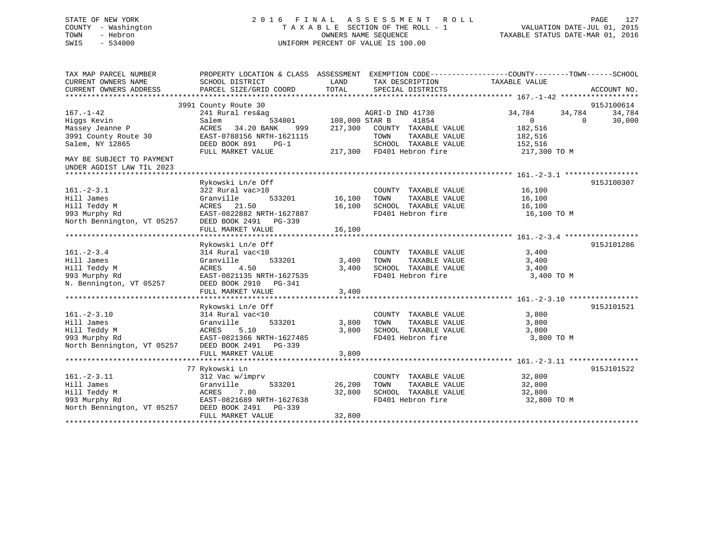# STATE OF NEW YORK 2 0 1 6 F I N A L A S S E S S M E N T R O L L PAGE 127 COUNTY - Washington T A X A B L E SECTION OF THE ROLL - 1 VALUATION DATE-JUL 01, 2015 TOWN - Hebron OWNERS NAME SEQUENCE TAXABLE STATUS DATE-MAR 01, 2016 SWIS - 534000 UNIFORM PERCENT OF VALUE IS 100.00

| TAX MAP PARCEL NUMBER<br>CURRENT OWNERS NAME<br>CURRENT OWNERS ADDRESS | PROPERTY LOCATION & CLASS ASSESSMENT EXEMPTION CODE----------------COUNTY-------TOWN------SCHOOL<br>SCHOOL DISTRICT<br>PARCEL SIZE/GRID COORD | LAND<br>TOTAL  | TAX DESCRIPTION<br>SPECIAL DISTRICTS | TAXABLE VALUE  | ACCOUNT NO. |        |
|------------------------------------------------------------------------|-----------------------------------------------------------------------------------------------------------------------------------------------|----------------|--------------------------------------|----------------|-------------|--------|
|                                                                        |                                                                                                                                               |                |                                      |                |             |        |
|                                                                        | 3991 County Route 30                                                                                                                          |                |                                      |                | 915J100614  |        |
| $167. - 1 - 42$                                                        | 241 Rural res&ag                                                                                                                              |                | AGRI-D IND 41730                     | 34,784         | 34,784      | 34,784 |
| Hiqqs Kevin                                                            | Salem<br>534801                                                                                                                               | 108,000 STAR B | 41854                                | $\overline{0}$ | $\Omega$    | 30,000 |
| Massey Jeanne P                                                        | ACRES<br>34.20 BANK<br>999                                                                                                                    | 217,300        | COUNTY TAXABLE VALUE                 | 182,516        |             |        |
| 3991 County Route 30                                                   | EAST-0788156 NRTH-1621115                                                                                                                     |                | TAXABLE VALUE<br>TOWN                | 182,516        |             |        |
| Salem, NY 12865                                                        | DEED BOOK 891<br>$PG-1$                                                                                                                       |                | SCHOOL TAXABLE VALUE                 | 152,516        |             |        |
|                                                                        | FULL MARKET VALUE                                                                                                                             |                | 217,300 FD401 Hebron fire            | 217,300 TO M   |             |        |
| MAY BE SUBJECT TO PAYMENT                                              |                                                                                                                                               |                |                                      |                |             |        |
| UNDER AGDIST LAW TIL 2023                                              |                                                                                                                                               |                |                                      |                |             |        |
|                                                                        |                                                                                                                                               |                |                                      |                |             |        |
|                                                                        | Rykowski Ln/e Off                                                                                                                             |                |                                      |                | 915J100307  |        |
| $161 - 2 - 3.1$                                                        | 322 Rural vac>10                                                                                                                              |                | COUNTY TAXABLE VALUE                 | 16,100         |             |        |
| Hill James                                                             | Granville                                                                                                                                     | 533201 16,100  | TAXABLE VALUE<br>TOWN                | 16,100         |             |        |
| Hill Teddy M                                                           | ACRES<br>21.50                                                                                                                                | 16,100         | SCHOOL TAXABLE VALUE                 | 16,100         |             |        |
| 993 Murphy Rd                                                          | EAST-0822882 NRTH-1627887                                                                                                                     |                | FD401 Hebron fire                    | 16,100 TO M    |             |        |
| North Bennington, VT 05257                                             | DEED BOOK 2491<br>PG-339                                                                                                                      |                |                                      |                |             |        |
|                                                                        | FULL MARKET VALUE                                                                                                                             | 16,100         |                                      |                |             |        |
|                                                                        |                                                                                                                                               |                |                                      |                |             |        |
|                                                                        | Rykowski Ln/e Off                                                                                                                             |                |                                      |                | 915J101286  |        |
| $161 - 2 - 3.4$                                                        | 314 Rural vac<10                                                                                                                              |                | COUNTY TAXABLE VALUE                 | 3,400          |             |        |
| Hill James                                                             | Granville<br>533201                                                                                                                           | 3,400          | TOWN<br>TAXABLE VALUE                | 3,400          |             |        |
| Hill Teddy M                                                           | 4.50<br>ACRES                                                                                                                                 | 3,400          | SCHOOL TAXABLE VALUE                 | 3,400          |             |        |
| 993 Murphy Rd                                                          | EAST-0821135 NRTH-1627535                                                                                                                     |                | FD401 Hebron fire                    | 3,400 TO M     |             |        |
| N. Bennington, VT 05257                                                | DEED BOOK 2910<br>PG-341                                                                                                                      |                |                                      |                |             |        |
|                                                                        | FULL MARKET VALUE                                                                                                                             | 3,400          |                                      |                |             |        |
|                                                                        |                                                                                                                                               |                |                                      |                |             |        |
|                                                                        | Rykowski Ln/e Off                                                                                                                             |                |                                      |                | 915J101521  |        |
| $161. - 2 - 3.10$                                                      | 314 Rural vac<10                                                                                                                              |                | COUNTY TAXABLE VALUE                 | 3,800          |             |        |
| Hill James                                                             | 533201<br>Granville                                                                                                                           | 3,800          | TAXABLE VALUE<br>TOWN                | 3,800          |             |        |
| Hill Teddy M                                                           | ACRES<br>5.10                                                                                                                                 | 3,800          | SCHOOL TAXABLE VALUE                 | 3,800          |             |        |
| 993 Murphy Rd                                                          | EAST-0821366 NRTH-1627485                                                                                                                     |                | FD401 Hebron fire                    | 3,800 TO M     |             |        |
| North Bennington, VT 05257                                             | DEED BOOK 2491<br>$PG-339$                                                                                                                    |                |                                      |                |             |        |
|                                                                        | FULL MARKET VALUE                                                                                                                             | 3,800          |                                      |                |             |        |
|                                                                        |                                                                                                                                               |                |                                      |                |             |        |
|                                                                        | 77 Rykowski Ln                                                                                                                                |                |                                      |                | 915J101522  |        |
| $161. - 2 - 3.11$                                                      | 312 Vac w/imprv                                                                                                                               |                | COUNTY TAXABLE VALUE                 | 32,800         |             |        |
| Hill James                                                             | Granville<br>533201                                                                                                                           | 26,200         | TOWN<br>TAXABLE VALUE                | 32,800         |             |        |
| Hill Teddy M                                                           | ACRES<br>7.80                                                                                                                                 | 32,800         | SCHOOL TAXABLE VALUE                 | 32,800         |             |        |
| 993 Murphy Rd                                                          | EAST-0821689 NRTH-1627638                                                                                                                     |                | FD401 Hebron fire                    | 32,800 TO M    |             |        |
| North Bennington, VT 05257                                             | DEED BOOK 2491<br>PG-339                                                                                                                      |                |                                      |                |             |        |
|                                                                        | FULL MARKET VALUE                                                                                                                             | 32,800         |                                      |                |             |        |
|                                                                        |                                                                                                                                               |                |                                      |                |             |        |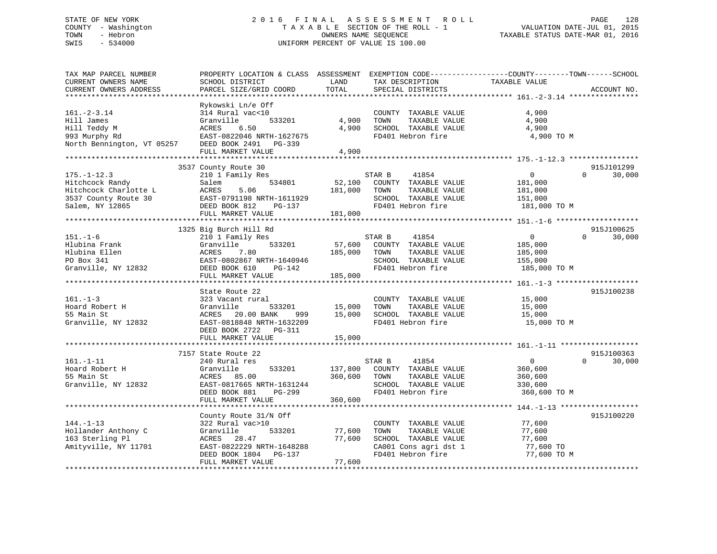# STATE OF NEW YORK 2 0 1 6 F I N A L A S S E S S M E N T R O L L PAGE 128 COUNTY - Washington T A X A B L E SECTION OF THE ROLL - 1 VALUATION DATE-JUL 01, 2015 TOWN - Hebron OWNERS NAME SEQUENCE TAXABLE STATUS DATE-MAR 01, 2016 SWIS - 534000 UNIFORM PERCENT OF VALUE IS 100.00

| TAX MAP PARCEL NUMBER                                                                                                                                                                                                                                    | PROPERTY LOCATION & CLASS ASSESSMENT EXEMPTION CODE----------------COUNTY-------TOWN------SCHOOL |                                 |                                                                                               |                    |                    |
|----------------------------------------------------------------------------------------------------------------------------------------------------------------------------------------------------------------------------------------------------------|--------------------------------------------------------------------------------------------------|---------------------------------|-----------------------------------------------------------------------------------------------|--------------------|--------------------|
| CURRENT OWNERS NAME                                                                                                                                                                                                                                      | SCHOOL DISTRICT                                                                                  | LAND                            | TAX DESCRIPTION                                                                               | TAXABLE VALUE      |                    |
| CURRENT OWNERS ADDRESS                                                                                                                                                                                                                                   | PARCEL SIZE/GRID COORD                                                                           | TOTAL                           | SPECIAL DISTRICTS                                                                             |                    | ACCOUNT NO.        |
|                                                                                                                                                                                                                                                          |                                                                                                  |                                 |                                                                                               |                    |                    |
|                                                                                                                                                                                                                                                          | Rykowski Ln/e Off                                                                                |                                 |                                                                                               |                    |                    |
| $161.-2-3.14$                                                                                                                                                                                                                                            | 314 Rural vac<10                                                                                 |                                 | COUNTY TAXABLE VALUE<br>TOWN      TAXABLE VALUE                                               | 4,900              |                    |
|                                                                                                                                                                                                                                                          | ,<br>533201                                                                                      | 4,900                           |                                                                                               | 4,900              |                    |
|                                                                                                                                                                                                                                                          |                                                                                                  | 4,900                           | SCHOOL TAXABLE VALUE<br>FD401 Hebron fire                                                     | 4,900              |                    |
|                                                                                                                                                                                                                                                          |                                                                                                  |                                 |                                                                                               | 4,900 TO M         |                    |
|                                                                                                                                                                                                                                                          |                                                                                                  |                                 |                                                                                               |                    |                    |
|                                                                                                                                                                                                                                                          | FULL MARKET VALUE                                                                                | 4,900                           |                                                                                               |                    |                    |
|                                                                                                                                                                                                                                                          |                                                                                                  |                                 |                                                                                               |                    |                    |
|                                                                                                                                                                                                                                                          | 3537 County Route 30                                                                             |                                 |                                                                                               |                    | 915J101299         |
| $175. - 1 - 12.3$                                                                                                                                                                                                                                        | 210 1 Family Res                                                                                 |                                 | STAR B<br>41854                                                                               | $\overline{0}$     | 30,000<br>$\Omega$ |
|                                                                                                                                                                                                                                                          |                                                                                                  |                                 | 52,100 COUNTY TAXABLE VALUE<br>181,000 TOWN TAXABLE VALUE                                     | 181,000<br>181 000 |                    |
|                                                                                                                                                                                                                                                          |                                                                                                  |                                 |                                                                                               |                    |                    |
|                                                                                                                                                                                                                                                          |                                                                                                  |                                 | SCHOOL TAXABLE VALUE 151,000<br>FD401 Hebron fire 181,000 TO M                                |                    |                    |
|                                                                                                                                                                                                                                                          |                                                                                                  |                                 |                                                                                               |                    |                    |
| 175.-1-12.3<br>Hitchcock Randy<br>Hitchcock Charlotte L<br>Salem (181,000)<br>Salem, NY 12865<br>THE MARKET VALUE<br>THE MARKET VALUE<br>THE MARKET VALUE<br>THE MARKET VALUE<br>THE MARKET VALUE<br>THE MARKET VALUE<br>THE MARKET VALUE<br>181,000<br> |                                                                                                  |                                 |                                                                                               |                    |                    |
|                                                                                                                                                                                                                                                          |                                                                                                  |                                 |                                                                                               |                    |                    |
|                                                                                                                                                                                                                                                          | 1325 Big Burch Hill Rd                                                                           |                                 |                                                                                               |                    | 915J100625         |
| $151. - 1 - 6$                                                                                                                                                                                                                                           | 210 1 Family Res                                                                                 |                                 | STAR B<br>41854                                                                               | $\overline{0}$     | $\Omega$<br>30,000 |
|                                                                                                                                                                                                                                                          |                                                                                                  |                                 | 57,600 COUNTY TAXABLE VALUE                                                                   | 185,000            |                    |
|                                                                                                                                                                                                                                                          |                                                                                                  |                                 | TAXABLE VALUE                                                                                 | 185,000            |                    |
|                                                                                                                                                                                                                                                          |                                                                                                  |                                 | SCHOOL TAXABLE VALUE                                                                          | 155,000            |                    |
| Hlubina Frank (Stanville 1933201 57,600 COUNTY 11<br>Hlubina Ellen (ACRES 7.80 185,000 TOWN PO Box 341 EAST-0802867 NRTH-1640946 SCHOOD<br>Granville, NY 12832 DEED BOOK 610 PG-142 FD401<br>FULL MARKET VALUE 185.000 PG-142                            |                                                                                                  |                                 | FD401 Hebron fire                                                                             | 185,000 TO M       |                    |
|                                                                                                                                                                                                                                                          | FULL MARKET VALUE                                                                                | 185,000                         |                                                                                               |                    |                    |
|                                                                                                                                                                                                                                                          |                                                                                                  |                                 |                                                                                               |                    |                    |
|                                                                                                                                                                                                                                                          | State Route 22                                                                                   |                                 |                                                                                               |                    | 915J100238         |
| $161. - 1 - 3$                                                                                                                                                                                                                                           | 323 Vacant rural                                                                                 |                                 | COUNTY TAXABLE VALUE 15,000                                                                   |                    |                    |
|                                                                                                                                                                                                                                                          |                                                                                                  |                                 | TOWN<br>TAXABLE VALUE                                                                         | 15,000<br>15,000   |                    |
|                                                                                                                                                                                                                                                          |                                                                                                  | 533201 15,000<br>NNK 999 15,000 | SCHOOL TAXABLE VALUE<br>FD401 Hebron fire                                                     |                    |                    |
| Form The Board Robert H<br>Form St Board Robert H<br>STARIS 20.00 BANK<br>STARIS 20.00 BANK<br>STARIS 20.00 BANK<br>EAST-0818848 NRTH-1632209<br>DEED BOOK 2722 PG-311                                                                                   |                                                                                                  |                                 |                                                                                               | 15,000 TO M        |                    |
|                                                                                                                                                                                                                                                          | DEED BOOK 2722 PG-311                                                                            |                                 |                                                                                               |                    |                    |
|                                                                                                                                                                                                                                                          | FULL MARKET VALUE                                                                                | 15,000                          |                                                                                               |                    |                    |
|                                                                                                                                                                                                                                                          |                                                                                                  |                                 |                                                                                               |                    |                    |
|                                                                                                                                                                                                                                                          | 7157 State Route 22                                                                              |                                 |                                                                                               |                    | 915J100363         |
| $161. - 1 - 11$                                                                                                                                                                                                                                          | 240 Rural res                                                                                    |                                 | STAR B<br>41854                                                                               | $\overline{0}$     | $\Omega$<br>30,000 |
|                                                                                                                                                                                                                                                          |                                                                                                  |                                 | 137,800 COUNTY TAXABLE VALUE                                                                  | 360,600            |                    |
|                                                                                                                                                                                                                                                          |                                                                                                  | 360,600 TOWN                    | TAXABLE VALUE                                                                                 | 360,600            |                    |
|                                                                                                                                                                                                                                                          |                                                                                                  |                                 | SCHOOL TAXABLE VALUE                                                                          | 330,600            |                    |
| 161.-1-11 230<br>Hoard Robert H Granville 533201 137,800<br>55 Main St ACRES 85.00 360,600<br>Granville, NY 12832 EAST-0817665 NRTH-1631244<br>DERD BOOK 881 PG-299                                                                                      |                                                                                                  |                                 | FD401 Hebron fire                                                                             | 360,600 TO M       |                    |
|                                                                                                                                                                                                                                                          | FULL MARKET VALUE                                                                                | 360,600                         |                                                                                               |                    |                    |
|                                                                                                                                                                                                                                                          |                                                                                                  |                                 |                                                                                               |                    |                    |
|                                                                                                                                                                                                                                                          | County Route 31/N Off                                                                            |                                 |                                                                                               |                    | 915J100220         |
| $144. - 1 - 13$                                                                                                                                                                                                                                          | 322 Rural vac>10                                                                                 |                                 | COUNTY TAXABLE VALUE                                                                          | 77,600             |                    |
| Hollander Anthony C                                                                                                                                                                                                                                      | Granville<br>533201                                                                              | 77,600<br>77,600                | TOWN<br>TAXABLE VALUE                                                                         | 77,600             |                    |
| 163 Sterling Pl                                                                                                                                                                                                                                          | ACRES 28.47                                                                                      |                                 |                                                                                               |                    |                    |
| Amityville, NY 11701                                                                                                                                                                                                                                     |                                                                                                  |                                 |                                                                                               |                    |                    |
|                                                                                                                                                                                                                                                          | EAST-0822229 NRTH-1648288<br>DEED BOOK 1804 PG-137<br>-----                                      |                                 | SCHOOL TAXABLE VALUE 77,600<br>CA001 Cons agri dst 1 77,600 TO<br>FD401 Hebron fire 77,600 TO | 77,600 TO M        |                    |
|                                                                                                                                                                                                                                                          | FULL MARKET VALUE                                                                                | 77,600                          |                                                                                               |                    |                    |
|                                                                                                                                                                                                                                                          |                                                                                                  |                                 |                                                                                               |                    |                    |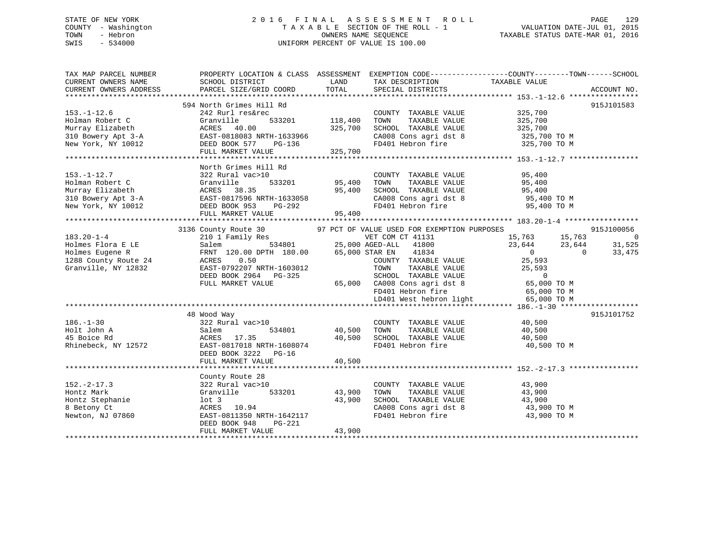# STATE OF NEW YORK 2 0 1 6 F I N A L A S S E S S M E N T R O L L PAGE 129 COUNTY - Washington T A X A B L E SECTION OF THE ROLL - 1 VALUATION DATE-JUL 01, 2015 TOWN - Hebron OWNERS NAME SEQUENCE TAXABLE STATUS DATE-MAR 01, 2016 SWIS - 534000 UNIFORM PERCENT OF VALUE IS 100.00

| TAX MAP PARCEL NUMBER<br>CURRENT OWNERS NAME          | SCHOOL DISTRICT                                                                                                                                                                                                                                                  | <b>LAND</b> | TAX DESCRIPTION TAXABLE VALUE SPECIAL DISTRICTS                                                                                                               | PROPERTY LOCATION & CLASS ASSESSMENT EXEMPTION CODE---------------COUNTY-------TOWN------SCHOOL |             |
|-------------------------------------------------------|------------------------------------------------------------------------------------------------------------------------------------------------------------------------------------------------------------------------------------------------------------------|-------------|---------------------------------------------------------------------------------------------------------------------------------------------------------------|-------------------------------------------------------------------------------------------------|-------------|
| CURRENT OWNERS ADDRESS                                | PARCEL SIZE/GRID COORD                                                                                                                                                                                                                                           | TOTAL       |                                                                                                                                                               |                                                                                                 | ACCOUNT NO. |
|                                                       |                                                                                                                                                                                                                                                                  |             |                                                                                                                                                               |                                                                                                 |             |
|                                                       | 594 North Grimes Hill Rd<br>242 Rurl res&rec<br>Granville 533201 118,400                                                                                                                                                                                         |             |                                                                                                                                                               |                                                                                                 | 915J101583  |
| $153.-1-12.6$                                         |                                                                                                                                                                                                                                                                  |             |                                                                                                                                                               |                                                                                                 |             |
|                                                       |                                                                                                                                                                                                                                                                  |             | COUNTY TAXABLE VALUE 325,700<br>TOWN TAXABLE VALUE 325,700<br>SCHOOL TAXABLE VALUE 325,700<br>CA008 Cons agri dst 8 325,700<br>FD401 Hebron fire 325,700 TO M |                                                                                                 |             |
|                                                       |                                                                                                                                                                                                                                                                  |             |                                                                                                                                                               |                                                                                                 |             |
|                                                       |                                                                                                                                                                                                                                                                  |             |                                                                                                                                                               |                                                                                                 |             |
|                                                       |                                                                                                                                                                                                                                                                  |             |                                                                                                                                                               |                                                                                                 |             |
|                                                       | 153.-1-12.0<br>Holman Robert C Granville 533201 118,400 TOWN TAXABLE VALUE<br>Murray Elizabeth ACRES 40.00 325,700 SCHOOL TAXABLE VALUE 325,700<br>310 Bowery Apt 3-A EAST-0818083 NRTH-1633966 CA008 Cons agri dst 8 325,700 TO M<br>                           |             |                                                                                                                                                               |                                                                                                 |             |
|                                                       |                                                                                                                                                                                                                                                                  |             |                                                                                                                                                               |                                                                                                 |             |
|                                                       | North Grimes Hill Rd                                                                                                                                                                                                                                             |             |                                                                                                                                                               |                                                                                                 |             |
|                                                       | 322 Rural vac>10                                                                                                                                                                                                                                                 |             | COUNTY TAXABLE VALUE                                                                                                                                          | 95,400                                                                                          |             |
|                                                       |                                                                                                                                                                                                                                                                  |             |                                                                                                                                                               |                                                                                                 |             |
|                                                       |                                                                                                                                                                                                                                                                  |             |                                                                                                                                                               |                                                                                                 |             |
|                                                       |                                                                                                                                                                                                                                                                  |             |                                                                                                                                                               |                                                                                                 |             |
|                                                       |                                                                                                                                                                                                                                                                  |             | TOWN TAXABLE VALUE<br>TOWN TAXABLE VALUE<br>SCHOOL TAXABLE VALUE<br>CA008 Cons agri dst 8<br>FD401 Hebron fire<br>95,400 TO M<br>95,400 TO M<br>95,400 TO M   |                                                                                                 |             |
|                                                       | FULL MARKET VALUE                                                                                                                                                                                                                                                | 95,400      |                                                                                                                                                               |                                                                                                 |             |
|                                                       |                                                                                                                                                                                                                                                                  |             |                                                                                                                                                               |                                                                                                 |             |
|                                                       | 3136 County Route 30<br>3136 County Route 30<br>3136 County Route 30<br>3136 County Route 30<br>316 County Route 30<br>326 31 Family Res<br>334801<br>33.20-1-4<br>31,5763<br>33.644<br>31,5763<br>33.644<br>31,525<br>334801<br>33.644<br>31,525<br>33.644<br>3 |             |                                                                                                                                                               |                                                                                                 |             |
|                                                       |                                                                                                                                                                                                                                                                  |             |                                                                                                                                                               |                                                                                                 |             |
|                                                       |                                                                                                                                                                                                                                                                  |             |                                                                                                                                                               |                                                                                                 |             |
|                                                       |                                                                                                                                                                                                                                                                  |             |                                                                                                                                                               |                                                                                                 |             |
|                                                       |                                                                                                                                                                                                                                                                  |             |                                                                                                                                                               |                                                                                                 |             |
|                                                       |                                                                                                                                                                                                                                                                  |             |                                                                                                                                                               |                                                                                                 |             |
|                                                       |                                                                                                                                                                                                                                                                  |             |                                                                                                                                                               |                                                                                                 |             |
|                                                       |                                                                                                                                                                                                                                                                  |             |                                                                                                                                                               |                                                                                                 |             |
|                                                       |                                                                                                                                                                                                                                                                  |             |                                                                                                                                                               |                                                                                                 |             |
|                                                       |                                                                                                                                                                                                                                                                  |             | FD401 Hebron fire<br>LD401 West hebron light                                                                                                                  |                                                                                                 |             |
|                                                       |                                                                                                                                                                                                                                                                  |             |                                                                                                                                                               |                                                                                                 |             |
|                                                       | 48 Wood Way                                                                                                                                                                                                                                                      |             |                                                                                                                                                               |                                                                                                 | 915J101752  |
| $186. - 1 - 30$                                       | 322 Rural vac>10<br>2<br>al vac>10<br>534801 40,500 TOWN                                                                                                                                                                                                         |             |                                                                                                                                                               |                                                                                                 |             |
| Holt John A                                           | Salem                                                                                                                                                                                                                                                            |             |                                                                                                                                                               |                                                                                                 |             |
| $\begin{array}{ll} \text{A} \\ \text{Rd} \end{array}$ |                                                                                                                                                                                                                                                                  |             | COUNTY TAXABLE VALUE $40,500$<br>TOWN TAXABLE VALUE $40,500$<br>SCHOOL TAXABLE VALUE $40,500$                                                                 |                                                                                                 |             |
|                                                       | 40,500<br>Rhinebeck, NY 12572<br>Rhinebeck, NY 12572<br>BEED BOOK 3222 PG-16                                                                                                                                                                                     |             | FD401 Hebron fire                                                                                                                                             | 40,500 TO M                                                                                     |             |
|                                                       |                                                                                                                                                                                                                                                                  |             |                                                                                                                                                               |                                                                                                 |             |
|                                                       | FULL MARKET VALUE                                                                                                                                                                                                                                                | 40,500      |                                                                                                                                                               |                                                                                                 |             |
|                                                       |                                                                                                                                                                                                                                                                  |             |                                                                                                                                                               |                                                                                                 |             |
|                                                       | County Route 28                                                                                                                                                                                                                                                  |             |                                                                                                                                                               |                                                                                                 |             |
| $152. - 2 - 17.3$                                     |                                                                                                                                                                                                                                                                  |             | COUNTY TAXABLE VALUE                                                                                                                                          | 43,900                                                                                          |             |
|                                                       | 322 Rural vac>10<br>Granville 533201 43,900<br>lot ?                                                                                                                                                                                                             |             | TOWN                                                                                                                                                          |                                                                                                 |             |
| Hontz Mark<br>Hontz Stephanie<br>Timby Ct             |                                                                                                                                                                                                                                                                  | 43,900      | SCHOOL TAXABLE VALUE                                                                                                                                          | TAXABLE VALUE 43,900<br>TAXABLE VALUE 43,900                                                    |             |
|                                                       | lot 3<br>ACRES 10.94                                                                                                                                                                                                                                             |             | CA008 Cons agri dst 8 43,900 TO M                                                                                                                             |                                                                                                 |             |
|                                                       |                                                                                                                                                                                                                                                                  |             | FD401 Hebron fire                                                                                                                                             | 43,900 TO M                                                                                     |             |
|                                                       |                                                                                                                                                                                                                                                                  |             |                                                                                                                                                               |                                                                                                 |             |
|                                                       | FULL MARKET VALUE                                                                                                                                                                                                                                                | 43,900      |                                                                                                                                                               |                                                                                                 |             |
|                                                       |                                                                                                                                                                                                                                                                  |             |                                                                                                                                                               |                                                                                                 |             |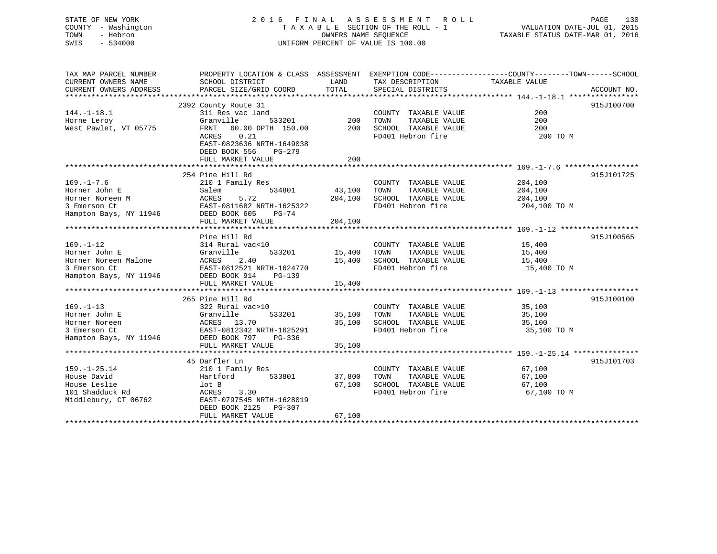# STATE OF NEW YORK 2 0 1 6 F I N A L A S S E S S M E N T R O L L PAGE 130 COUNTY - Washington T A X A B L E SECTION OF THE ROLL - 1 VALUATION DATE-JUL 01, 2015 TOWN - Hebron OWNERS NAME SEQUENCE TAXABLE STATUS DATE-MAR 01, 2016 SWIS - 534000 UNIFORM PERCENT OF VALUE IS 100.00

| TAX MAP PARCEL NUMBER                |                                          |               |                       | PROPERTY LOCATION & CLASS ASSESSMENT EXEMPTION CODE---------------COUNTY-------TOWN-----SCHOOL |  |
|--------------------------------------|------------------------------------------|---------------|-----------------------|------------------------------------------------------------------------------------------------|--|
| CURRENT OWNERS NAME                  | SCHOOL DISTRICT                          | LAND          | TAX DESCRIPTION       | TAXABLE VALUE                                                                                  |  |
| CURRENT OWNERS ADDRESS               | PARCEL SIZE/GRID COORD                   | TOTAL         | SPECIAL DISTRICTS     | ACCOUNT NO.                                                                                    |  |
|                                      |                                          |               |                       |                                                                                                |  |
|                                      | 2392 County Route 31                     |               |                       | 915J100700                                                                                     |  |
| $144. - 1 - 18.1$                    | 311 Res vac land                         | 200           | COUNTY TAXABLE VALUE  | 200                                                                                            |  |
| Horne Leroy                          | Granville<br>533201                      |               | TOWN<br>TAXABLE VALUE | 200                                                                                            |  |
| West Pawlet, VT 05775                | FRNT 60.00 DPTH 150.00                   | 200           | SCHOOL TAXABLE VALUE  | 200                                                                                            |  |
|                                      | 0.21<br>ACRES                            |               | FD401 Hebron fire     | 200 TO M                                                                                       |  |
|                                      | EAST-0823636 NRTH-1649038                |               |                       |                                                                                                |  |
|                                      | DEED BOOK 556<br>PG-279                  |               |                       |                                                                                                |  |
|                                      |                                          |               |                       |                                                                                                |  |
|                                      |                                          |               |                       |                                                                                                |  |
|                                      | 254 Pine Hill Rd                         |               |                       | 915J101725                                                                                     |  |
| $169. - 1 - 7.6$                     | 210 1 Family Res                         |               | COUNTY TAXABLE VALUE  | 204,100                                                                                        |  |
| Horner John E                        | 534801<br>Salem                          | 43,100        | TAXABLE VALUE<br>TOWN | 204,100                                                                                        |  |
| Horner Noreen M                      | 5.72                                     | 204,100       | SCHOOL TAXABLE VALUE  | 204,100                                                                                        |  |
| 3 Emerson Ct                         | ACRES 5.72<br>EAST-0811682 NRTH-1625322  |               | FD401 Hebron fire     | 204,100 TO M                                                                                   |  |
| Hampton Bays, NY 11946               | DEED BOOK 605<br>$PG-74$                 |               |                       |                                                                                                |  |
|                                      | FULL MARKET VALUE                        | 204,100       |                       |                                                                                                |  |
|                                      |                                          |               |                       |                                                                                                |  |
|                                      | Pine Hill Rd                             |               |                       | 915J100565                                                                                     |  |
| $169. - 1 - 12$                      | 314 Rural vac<10                         |               | COUNTY TAXABLE VALUE  | 15,400                                                                                         |  |
| Horner John E                        | Granville<br>533201                      | 15,400        | TOWN<br>TAXABLE VALUE | 15,400                                                                                         |  |
|                                      |                                          | 15,400        | SCHOOL TAXABLE VALUE  | 15,400                                                                                         |  |
|                                      |                                          |               | FD401 Hebron fire     | 15,400 TO M                                                                                    |  |
| Hampton Bays, NY 11946 DEED BOOK 914 | $PG-139$                                 |               |                       |                                                                                                |  |
|                                      |                                          |               |                       |                                                                                                |  |
|                                      | FULL MARKET VALUE                        | 15,400        |                       |                                                                                                |  |
|                                      | 265 Pine Hill Rd                         |               |                       | 915J100100                                                                                     |  |
| $169. - 1 - 13$                      |                                          |               |                       | 35,100                                                                                         |  |
|                                      | 322 Rural vac>10                         |               | COUNTY TAXABLE VALUE  |                                                                                                |  |
| Horner John E                        | Granville                                | 533201 35,100 | TOWN<br>TAXABLE VALUE | 35,100                                                                                         |  |
| Horner Noreen                        | ACRES 13.70<br>EAST-0812342 NRTH-1625291 | 35,100        | SCHOOL TAXABLE VALUE  | 35,100                                                                                         |  |
| 3 Emerson Ct                         |                                          |               | FD401 Hebron fire     | 35,100 TO M                                                                                    |  |
| Hampton Bays, NY 11946               | DEED BOOK 797<br>PG-336                  |               |                       |                                                                                                |  |
|                                      | FULL MARKET VALUE                        | 35,100        |                       |                                                                                                |  |
|                                      |                                          |               |                       |                                                                                                |  |
|                                      | 45 Darfler Ln                            |               |                       | 915J101703                                                                                     |  |
| $159. - 1 - 25.14$                   | 210 1 Family Res                         |               | COUNTY TAXABLE VALUE  | 67,100                                                                                         |  |
| House David                          | Hartford<br>533801                       | 37,800        | TAXABLE VALUE<br>TOWN | 67,100                                                                                         |  |
| House Leslie                         | lot B                                    | 67,100        | SCHOOL TAXABLE VALUE  | 67,100                                                                                         |  |
| 101 Shadduck Rd                      | 3.30<br>ACRES                            |               | FD401 Hebron fire     | 67,100 TO M                                                                                    |  |
| Middlebury, CT 06762                 | EAST-0797545 NRTH-1628019                |               |                       |                                                                                                |  |
|                                      | DEED BOOK 2125<br>PG-307                 |               |                       |                                                                                                |  |
|                                      | FULL MARKET VALUE                        | 67,100        |                       |                                                                                                |  |
|                                      |                                          |               |                       |                                                                                                |  |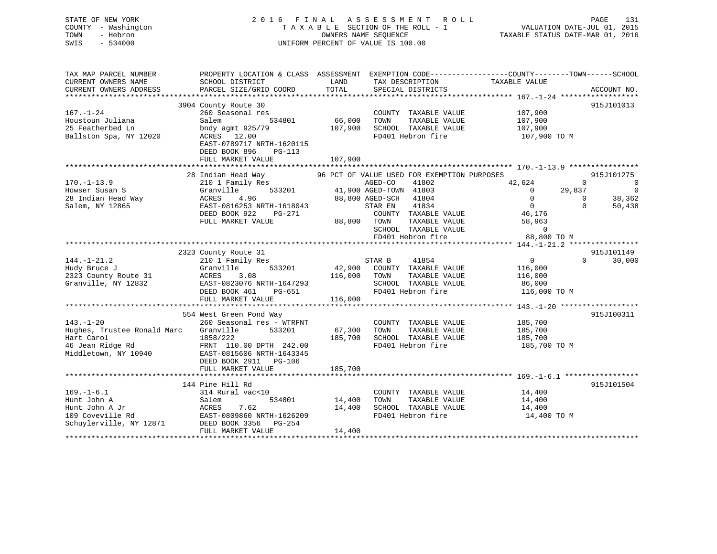# STATE OF NEW YORK 2 0 1 6 F I N A L A S S E S S M E N T R O L L PAGE 131 COUNTY - Washington T A X A B L E SECTION OF THE ROLL - 1 VALUATION DATE-JUL 01, 2015 TOWN - Hebron OWNERS NAME SEQUENCE TAXABLE STATUS DATE-MAR 01, 2016 SWIS - 534000 UNIFORM PERCENT OF VALUE IS 100.00

| TAX MAP PARCEL NUMBER<br>CURRENT OWNERS NAME<br>CURRENT OWNERS ADDRESS                                   | SCHOOL DISTRICT<br>PARCEL SIZE/GRID COORD                                                                                                                                                     | LAND<br>TOTAL                | TAX DESCRIPTION<br>SPECIAL DISTRICTS                                                                                                                                                        | PROPERTY LOCATION & CLASS ASSESSMENT EXEMPTION CODE---------------COUNTY-------TOWN------SCHOOL<br>TAXABLE VALUE<br>ACCOUNT NO.                                                                                                        |
|----------------------------------------------------------------------------------------------------------|-----------------------------------------------------------------------------------------------------------------------------------------------------------------------------------------------|------------------------------|---------------------------------------------------------------------------------------------------------------------------------------------------------------------------------------------|----------------------------------------------------------------------------------------------------------------------------------------------------------------------------------------------------------------------------------------|
| $167. - 1 - 24$<br>Houstoun Juliana<br>25 Featherbed Ln<br>Ballston Spa, NY 12020                        | 3904 County Route 30<br>260 Seasonal res<br>Salem<br>534801<br>bndy agmt 925/79<br>ACRES 12.00<br>EAST-0789717 NRTH-1620115<br>DEED BOOK 896<br>PG-113<br>FULL MARKET VALUE                   | 66,000<br>107,900<br>107,900 | COUNTY TAXABLE VALUE<br>TOWN<br>TAXABLE VALUE<br>SCHOOL TAXABLE VALUE<br>FD401 Hebron fire                                                                                                  | 915J101013<br>107,900<br>107,900<br>107,900<br>107,900 TO M                                                                                                                                                                            |
| $170. - 1 - 13.9$<br>Howser Susan S<br>Salem, NY 12865                                                   | 28 Indian Head Way 96 PCT OF VALUE USED FOR EXEMPTION PURPOSES<br>210 1 Family Res<br>Granville<br>4.96<br>EAST-0816253 NRTH-1618043<br>DEED BOOK 922<br>PG-271<br>FULL MARKET VALUE          | 88,800 TOWN                  | AGED-CO<br>41802<br>533201 41,900 AGED-TOWN 41803<br>88,800 AGED-SCH 41804<br>41834<br>STAR EN<br>COUNTY TAXABLE VALUE 46,176<br>TAXABLE VALUE<br>SCHOOL TAXABLE VALUE<br>FD401 Hebron fire | 915J101275<br>$\overline{0}$<br>42,624<br>$\overline{0}$<br>$\overline{0}$<br>29,837<br>$\overline{0}$<br>$\frac{0}{2}$<br>38,362<br>$\overline{0}$<br>$\overline{0}$<br>$\Omega$<br>50,438<br>58,963<br>$\overline{0}$<br>88,800 TO M |
| $144. - 1 - 21.2$<br>Hudy Bruce J<br>2323 County Route 31<br>Granville, NY 12832                         | 2323 County Route 31<br>210 1 Family Res<br>533201<br>Granville<br>3.08<br>ACRES<br>EAST-0823076 NRTH-1647293<br>DEED BOOK 461 PG-651<br>FULL MARKET VALUE                                    | 116,000<br>116,000           | STAR B<br>41854<br>42,900 COUNTY TAXABLE VALUE<br>TOWN<br>TAXABLE VALUE<br>SCHOOL TAXABLE VALUE<br>FD401 Hebron fire                                                                        | 915J101149<br>$\overline{0}$<br>$0 \qquad \qquad$<br>30,000<br>116,000<br>116,000<br>86,000<br>116,000 TO M                                                                                                                            |
| $143. - 1 - 20$<br>Hughes, Trustee Ronald Marc<br>Hart Carol<br>46 Jean Ridge Rd<br>Middletown, NY 10940 | 554 West Green Pond Way<br>260 Seasonal res - WTRFNT<br>Granville<br>533201<br>1858/222<br>FRNT 110.00 DPTH 242.00<br>EAST-0815606 NRTH-1643345<br>DEED BOOK 2911 PG-106<br>FULL MARKET VALUE | 67,300<br>185,700<br>185,700 | COUNTY TAXABLE VALUE<br>TAXABLE VALUE<br>TOWN<br>SCHOOL TAXABLE VALUE<br>FD401 Hebron fire                                                                                                  | 915J100311<br>185,700<br>185,700<br>185,700<br>185,700 TO M                                                                                                                                                                            |
| $169. - 1 - 6.1$<br>Hunt John A<br>Hunt John A Jr<br>109 Coveville Rd<br>Schuylerville, NY 12871         | 144 Pine Hill Rd<br>314 Rural vac<10<br>534801<br>Salem<br>7.62<br>ACRES<br>EAST-0809860 NRTH-1626209<br>DEED BOOK 3356 PG-254<br>FULL MARKET VALUE                                           | 14,400<br>14,400<br>14,400   | COUNTY TAXABLE VALUE<br>TOWN<br>TAXABLE VALUE<br>SCHOOL TAXABLE VALUE 14,400<br>FD401 Hebron fire                                                                                           | 915J101504<br>14,400<br>14,400<br>14,400 TO M                                                                                                                                                                                          |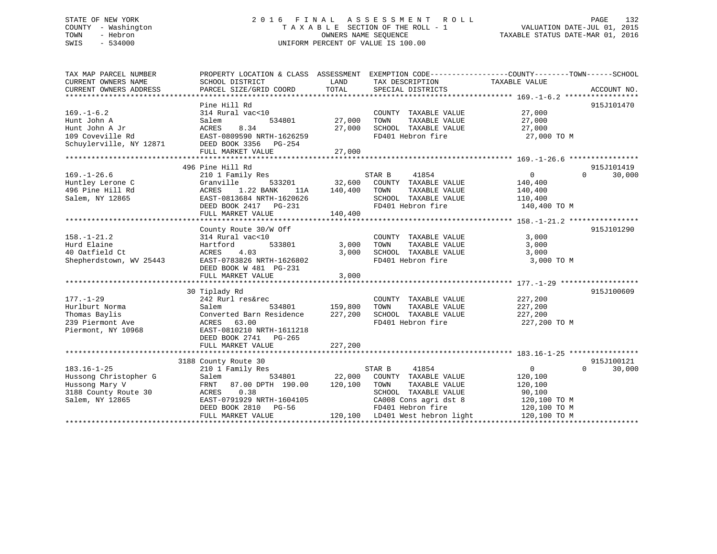# STATE OF NEW YORK 2 0 1 6 F I N A L A S S E S S M E N T R O L L PAGE 132 COUNTY - Washington T A X A B L E SECTION OF THE ROLL - 1 VALUATION DATE-JUL 01, 2015 TOWN - Hebron OWNERS NAME SEQUENCE TAXABLE STATUS DATE-MAR 01, 2016 SWIS - 534000 UNIFORM PERCENT OF VALUE IS 100.00

| TAX MAP PARCEL NUMBER<br>CURRENT OWNERS NAME<br>CURRENT OWNERS ADDRESS                                                       | SCHOOL DISTRICT<br>PARCEL SIZE/GRID COORD                                                                                                                                              | LAND<br>TOTAL              | TAX DESCRIPTION<br>SERCIAL DISTRICTS<br>SPECIAL DISTRICTS                                                                                                                                            | PROPERTY LOCATION & CLASS ASSESSMENT EXEMPTION CODE----------------COUNTY-------TOWN-----SCHOOL<br>ACCOUNT NO.               |  |
|------------------------------------------------------------------------------------------------------------------------------|----------------------------------------------------------------------------------------------------------------------------------------------------------------------------------------|----------------------------|------------------------------------------------------------------------------------------------------------------------------------------------------------------------------------------------------|------------------------------------------------------------------------------------------------------------------------------|--|
| $169. - 1 - 6.2$<br>Hunt John A<br>Hunt John A Jr                                                                            | Pine Hill Rd<br>314 Rural vac<10<br>Salem<br>534801<br>ACRES<br>8.34                                                                                                                   | 27,000<br>27,000           | COUNTY TAXABLE VALUE<br>TOWN      TAXABLE VALUE<br>SCHOOL   TAXABLE VALUE<br>FD401 Hebron fire                                                                                                       | 915J101470<br>27,000<br>27,000<br>27,000<br>27,000 TO M                                                                      |  |
|                                                                                                                              | FULL MARKET VALUE                                                                                                                                                                      | 27,000                     |                                                                                                                                                                                                      |                                                                                                                              |  |
| $169. - 1 - 26.6$<br>Huntley Lerone C<br>496 Pine Hill Rd<br>Salem, NY 12865                                                 | 496 Pine Hill Rd<br>210 1 Family Res<br>Granville<br>1.22 BANK<br>ACRES<br>EAST-0813684 NRTH-1620626<br>DEED BOOK 2417    PG-231<br>FULL MARKET VALUE                                  | $11A$ $140,400$<br>140,400 | STAR B<br>41854<br>533201 32,600 COUNTY TAXABLE VALUE<br>TAXABLE VALUE<br>TOWN<br>SCHOOL TAXABLE VALUE 110,400<br>FD401 Hebron fire                                                                  | 915J101419<br>$\overline{0}$<br>$\Omega$<br>30,000<br>140,400<br>140,400<br>140,400 TO M                                     |  |
| $158. - 1 - 21.2$<br>Hurd Elaine<br>40 Oatfield Ct<br>Shepherdstown, WV 25443                                                | County Route 30/W Off<br>314 Rural vac<10<br>533801<br>Hartford<br>ACRES<br>4.03<br>EAST-0783826 NRTH-1626802<br>DEED BOOK W 481 PG-231<br>FULL MARKET VALUE                           | 3,000<br>3,000<br>3,000    | COUNTY TAXABLE VALUE<br>TOWN      TAXABLE  VALUE<br>SCHOOL   TAXABLE  VALUE<br>FD401 Hebron fire                                                                                                     | 915J101290<br>3,000<br>3,000<br>3,000<br>3,000 TO M                                                                          |  |
| $177. - 1 - 29$<br>Hurlburt Norma<br>Salem<br>Conver<br>38 EAST-0<br>Thomas Baylis<br>239 Piermont Ave<br>Piermont, NY 10968 | 30 Tiplady Rd<br>242 Rurl res&rec<br>Salem 534801 159,800<br>Converted Barn Residence 227,200<br>63.00<br>EAST-0810210 NRTH-1611218<br>DEED BOOK 2741<br>$PG-265$<br>FULL MARKET VALUE | 227,200                    | COUNTY TAXABLE VALUE 227,200<br>TAXABLE VALUE<br>TOWN<br>SCHOOL TAXABLE VALUE<br>FD401 Hebron fire                                                                                                   | 915J100609<br>227,200<br>227,200<br>227,200 TO M                                                                             |  |
| $183.16 - 1 - 25$<br>Hussong Christopher G<br>Hussong Mary V<br>3188 County Route 30<br>Salem, NY 12865                      | 3188 County Route 30<br>210 1 Family Res<br>Salem<br>FRNT 87.00 DPTH 190.00 120,100<br>ACRES 0.38<br>EAST-0791929 NRTH-1604105<br>DEED BOOK 2810 PG-56<br>FULL MARKET VALUE            |                            | STAR B<br>41854<br>534801 22,000 COUNTY TAXABLE VALUE<br>TOWN<br>TAXABLE VALUE<br>SCHOOL TAXABLE VALUE<br>CA008 Cons agri dst 8 120,100 TO M<br>FD401 Hebron fire<br>120,100 LD401 West hebron light | 915J100121<br>$\Omega$<br>$\Omega$<br>30,000<br>120,100<br>120,100<br>90,100<br>120,100 TO M<br>120,100 10 M<br>120,100 TO M |  |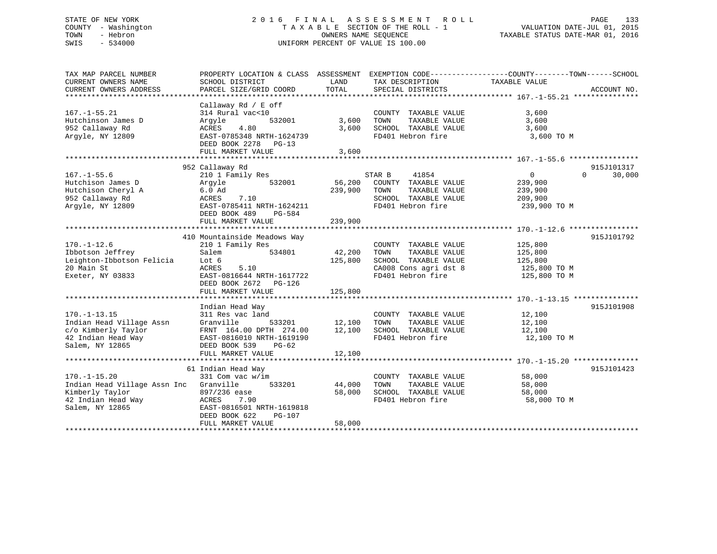# STATE OF NEW YORK 2 0 1 6 F I N A L A S S E S S M E N T R O L L PAGE 133 COUNTY - Washington T A X A B L E SECTION OF THE ROLL - 1 VALUATION DATE-JUL 01, 2015 TOWN - Hebron OWNERS NAME SEQUENCE TAXABLE STATUS DATE-MAR 01, 2016 SWIS - 534000 UNIFORM PERCENT OF VALUE IS 100.00

| TAX MAP PARCEL NUMBER<br>CURRENT OWNERS NAME | PROPERTY LOCATION & CLASS ASSESSMENT      | LAND    |                                      | EXEMPTION CODE-----------------COUNTY-------TOWN------SCHOOL<br>TAXABLE VALUE |                    |
|----------------------------------------------|-------------------------------------------|---------|--------------------------------------|-------------------------------------------------------------------------------|--------------------|
| CURRENT OWNERS ADDRESS                       | SCHOOL DISTRICT<br>PARCEL SIZE/GRID COORD | TOTAL   | TAX DESCRIPTION<br>SPECIAL DISTRICTS |                                                                               | ACCOUNT NO.        |
|                                              |                                           |         |                                      |                                                                               |                    |
|                                              | Callaway Rd / E off                       |         |                                      |                                                                               |                    |
| $167. - 1 - 55.21$                           | 314 Rural vac<10                          |         | COUNTY TAXABLE VALUE                 | 3,600                                                                         |                    |
| Hutchinson James D                           | 532001<br>Argyle                          | 3,600   | TOWN<br>TAXABLE VALUE                | 3,600                                                                         |                    |
| 952 Callaway Rd                              | 4.80<br>ACRES                             | 3,600   | SCHOOL TAXABLE VALUE                 | 3,600                                                                         |                    |
| Argyle, NY 12809                             | EAST-0785348 NRTH-1624739                 |         | FD401 Hebron fire                    | 3,600 TO M                                                                    |                    |
|                                              | DEED BOOK 2278<br>$PG-13$                 |         |                                      |                                                                               |                    |
|                                              | FULL MARKET VALUE                         | 3,600   |                                      |                                                                               |                    |
|                                              |                                           |         |                                      |                                                                               |                    |
|                                              | 952 Callaway Rd                           |         |                                      |                                                                               | 915J101317         |
| $167. - 1 - 55.6$                            | 210 1 Family Res                          |         | 41854<br>STAR B                      | $\overline{0}$                                                                | $\Omega$<br>30,000 |
| Hutchison James D                            | 532001<br>Arqyle                          | 56,200  | COUNTY TAXABLE VALUE                 | 239,900                                                                       |                    |
| Hutchison Cheryl A                           | 6.0 Ad                                    | 239,900 | TOWN<br>TAXABLE VALUE                | 239,900                                                                       |                    |
| 952 Callaway Rd                              | 7.10<br>ACRES                             |         | SCHOOL TAXABLE VALUE                 | 209,900                                                                       |                    |
|                                              | EAST-0785411 NRTH-1624211                 |         | FD401 Hebron fire                    |                                                                               |                    |
| Argyle, NY 12809                             |                                           |         |                                      | 239,900 TO M                                                                  |                    |
|                                              | DEED BOOK 489<br>PG-584                   |         |                                      |                                                                               |                    |
|                                              | FULL MARKET VALUE                         | 239,900 |                                      |                                                                               |                    |
|                                              |                                           |         |                                      |                                                                               | 915J101792         |
|                                              | 410 Mountainside Meadows Way              |         |                                      |                                                                               |                    |
| $170. - 1 - 12.6$                            | 210 1 Family Res                          |         | COUNTY TAXABLE VALUE                 | 125,800                                                                       |                    |
| Ibbotson Jeffrey                             | 534801<br>Salem                           | 42,200  | TAXABLE VALUE<br>TOWN                | 125,800                                                                       |                    |
| Leighton-Ibbotson Felicia                    | Lot 6                                     | 125,800 | SCHOOL TAXABLE VALUE                 | 125,800                                                                       |                    |
| 20 Main St                                   | ACRES<br>5.10                             |         | CA008 Cons agri dst 8                | 125,800 TO M                                                                  |                    |
| Exeter, NY 03833                             | EAST-0816644 NRTH-1617722                 |         | FD401 Hebron fire                    | 125,800 TO M                                                                  |                    |
|                                              | DEED BOOK 2672<br>PG-126                  |         |                                      |                                                                               |                    |
|                                              | FULL MARKET VALUE                         | 125,800 |                                      |                                                                               |                    |
|                                              |                                           |         |                                      |                                                                               |                    |
|                                              | Indian Head Way                           |         |                                      |                                                                               | 915J101908         |
| $170. - 1 - 13.15$                           | 311 Res vac land                          |         | COUNTY TAXABLE VALUE                 | 12,100                                                                        |                    |
| Indian Head Village Assn                     | Granville<br>533201                       | 12,100  | TAXABLE VALUE<br>TOWN                | 12,100                                                                        |                    |
| c/o Kimberly Taylor                          | FRNT 164.00 DPTH 274.00                   | 12,100  | SCHOOL TAXABLE VALUE                 | 12,100                                                                        |                    |
| 42 Indian Head Way                           | EAST-0816010 NRTH-1619190                 |         | FD401 Hebron fire                    | 12,100 TO M                                                                   |                    |
| Salem, NY 12865                              | DEED BOOK 539<br>$PG-62$                  |         |                                      |                                                                               |                    |
|                                              | FULL MARKET VALUE                         | 12,100  |                                      |                                                                               |                    |
|                                              |                                           |         |                                      |                                                                               |                    |
|                                              | 61 Indian Head Way                        |         |                                      |                                                                               | 915J101423         |
| $170. - 1 - 15.20$                           | 331 Com vac w/im                          |         | COUNTY TAXABLE VALUE                 | 58,000                                                                        |                    |
| Indian Head Village Assn Inc                 | Granville<br>533201                       | 44,000  | TAXABLE VALUE<br>TOWN                | 58,000                                                                        |                    |
| Kimberly Taylor                              | 897/236 ease                              | 58,000  | SCHOOL TAXABLE VALUE                 | 58,000                                                                        |                    |
| 42 Indian Head Way                           | ACRES<br>7.90                             |         | FD401 Hebron fire                    | 58,000 TO M                                                                   |                    |
| Salem, NY 12865                              | EAST-0816501 NRTH-1619818                 |         |                                      |                                                                               |                    |
|                                              | DEED BOOK 622<br>PG-107                   |         |                                      |                                                                               |                    |
|                                              | FULL MARKET VALUE                         | 58,000  |                                      |                                                                               |                    |
|                                              |                                           |         |                                      |                                                                               |                    |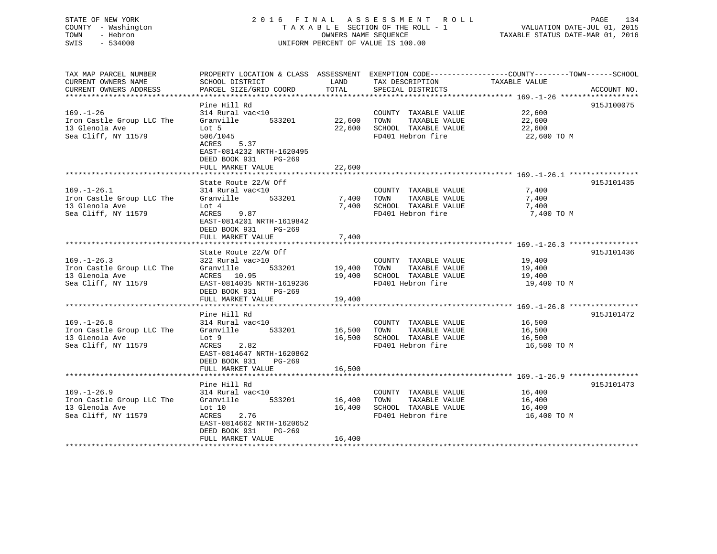# STATE OF NEW YORK 2 0 1 6 F I N A L A S S E S S M E N T R O L L PAGE 134 COUNTY - Washington T A X A B L E SECTION OF THE ROLL - 1 VALUATION DATE-JUL 01, 2015 TOWN - Hebron OWNERS NAME SEQUENCE TAXABLE STATUS DATE-MAR 01, 2016 SWIS - 534000 UNIFORM PERCENT OF VALUE IS 100.00UNIFORM PERCENT OF VALUE IS 100.00

| TAX MAP PARCEL NUMBER                        | PROPERTY LOCATION & CLASS ASSESSMENT EXEMPTION CODE---------------COUNTY-------TOWN------SCHOOL                                                                                                                                                            |             |                             |                      |             |
|----------------------------------------------|------------------------------------------------------------------------------------------------------------------------------------------------------------------------------------------------------------------------------------------------------------|-------------|-----------------------------|----------------------|-------------|
| CURRENT OWNERS NAME                          | SCHOOL DISTRICT                                                                                                                                                                                                                                            | LAND        | TAX DESCRIPTION             | TAXABLE VALUE        |             |
| CURRENT OWNERS ADDRESS                       | PARCEL SIZE/GRID COORD                                                                                                                                                                                                                                     | TOTAL       | SPECIAL DISTRICTS           |                      | ACCOUNT NO. |
|                                              |                                                                                                                                                                                                                                                            |             |                             |                      |             |
|                                              | Pine Hill Rd                                                                                                                                                                                                                                               |             |                             |                      | 915J100075  |
|                                              |                                                                                                                                                                                                                                                            |             |                             |                      |             |
| $169. - 1 - 26$<br>Iron Castle Group LLC The | 314 Rural vac<10                                                                                                                                                                                                                                           |             | COUNTY TAXABLE VALUE        | 22,600<br>22,600     |             |
|                                              | 533201<br>Granville                                                                                                                                                                                                                                        | 22,600 TOWN | TAXABLE VALUE               |                      |             |
| 13 Glenola Ave                               | Lot 5                                                                                                                                                                                                                                                      | 22,600      | SCHOOL TAXABLE VALUE        | 22,600               |             |
| Sea Cliff, NY 11579                          | 506/1045                                                                                                                                                                                                                                                   |             | FD401 Hebron fire           | 22,600 TO M          |             |
|                                              | 5.37<br>ACRES                                                                                                                                                                                                                                              |             |                             |                      |             |
|                                              | EAST-0814232 NRTH-1620495                                                                                                                                                                                                                                  |             |                             |                      |             |
|                                              | DEED BOOK 931<br>PG-269                                                                                                                                                                                                                                    |             |                             |                      |             |
|                                              |                                                                                                                                                                                                                                                            |             |                             |                      |             |
|                                              |                                                                                                                                                                                                                                                            |             |                             |                      |             |
|                                              |                                                                                                                                                                                                                                                            |             |                             |                      |             |
|                                              | State Route 22/W Off                                                                                                                                                                                                                                       |             |                             |                      | 915J101435  |
| $169. - 1 - 26.1$                            | 314 Rural vac<10                                                                                                                                                                                                                                           |             | COUNTY TAXABLE VALUE        | 7,400                |             |
| Iron Castle Group LLC The Granville          | 533201                                                                                                                                                                                                                                                     | 7,400       | TAXABLE VALUE<br>TOWN       | 7,400                |             |
| 13 Glenola Ave                               | Lot 4                                                                                                                                                                                                                                                      | 7,400       | SCHOOL TAXABLE VALUE        | 7,400                |             |
| Sea Cliff, NY 11579                          | 9.87<br>ACRES                                                                                                                                                                                                                                              |             | FD401 Hebron fire           | 7,400 TO M           |             |
|                                              | EAST-0814201 NRTH-1619842                                                                                                                                                                                                                                  |             |                             |                      |             |
|                                              | DEED BOOK 931<br>PG-269                                                                                                                                                                                                                                    |             |                             |                      |             |
|                                              |                                                                                                                                                                                                                                                            |             |                             |                      |             |
|                                              |                                                                                                                                                                                                                                                            |             |                             |                      |             |
|                                              |                                                                                                                                                                                                                                                            |             |                             |                      |             |
|                                              | State Route 22/W Off                                                                                                                                                                                                                                       |             |                             |                      | 915J101436  |
| $169. - 1 - 26.3$                            | 322 Rural vac>10                                                                                                                                                                                                                                           |             | COUNTY TAXABLE VALUE 19,400 |                      |             |
| Iron Castle Group LLC The                    | 533201 19,400<br>Granville                                                                                                                                                                                                                                 |             | TAXABLE VALUE<br>TOWN       | 19,400               |             |
| 13 Glenola Ave                               | ACRES 10.95                                                                                                                                                                                                                                                | 19,400      | SCHOOL TAXABLE VALUE        | 19,400               |             |
| Sea Cliff, NY 11579                          | EAST-0814035 NRTH-1619236                                                                                                                                                                                                                                  |             | FD401 Hebron fire           | 19,400 TO M          |             |
|                                              | DEED BOOK 931<br>PG-269                                                                                                                                                                                                                                    |             |                             |                      |             |
|                                              | FULL MARKET VALUE                                                                                                                                                                                                                                          | 19,400      |                             |                      |             |
|                                              |                                                                                                                                                                                                                                                            |             |                             |                      |             |
|                                              | Pine Hill Rd                                                                                                                                                                                                                                               |             |                             |                      | 915J101472  |
|                                              |                                                                                                                                                                                                                                                            |             | COUNTY TAXABLE VALUE 16,500 |                      |             |
|                                              | 169.-1-26.8<br>169.-1-26.8<br>2000<br>2000<br>2000<br>2000<br>2000<br>2000<br>2000<br>2000<br>2000<br>2000<br>2000<br>2000<br>2000<br>2000<br>2000<br>2000<br>2000<br>2000<br>2000<br>2000<br>2000<br>2000<br>2000<br>2000<br>2000<br>2000<br>2000<br>2000 |             |                             | TAXABLE VALUE 16,500 |             |
|                                              |                                                                                                                                                                                                                                                            |             |                             |                      |             |
| 13 Glenola Ave                               | Lot 9                                                                                                                                                                                                                                                      | 16,500      | SCHOOL TAXABLE VALUE        | 16,500               |             |
| Sea Cliff, NY 11579                          | ACRES<br>2.82                                                                                                                                                                                                                                              |             | FD401 Hebron fire           | 16,500 TO M          |             |
|                                              | EAST-0814647 NRTH-1620862                                                                                                                                                                                                                                  |             |                             |                      |             |
|                                              | DEED BOOK 931<br>PG-269                                                                                                                                                                                                                                    |             |                             |                      |             |
|                                              | FULL MARKET VALUE                                                                                                                                                                                                                                          | 16,500      |                             |                      |             |
|                                              |                                                                                                                                                                                                                                                            |             |                             |                      |             |
|                                              | Pine Hill Rd                                                                                                                                                                                                                                               |             |                             |                      | 915J101473  |
| $169. - 1 - 26.9$                            | 314 Rural vac<10                                                                                                                                                                                                                                           |             | COUNTY TAXABLE VALUE        | 16,400               |             |
| Iron Castle Group LLC The Granville          | 533201 16,400                                                                                                                                                                                                                                              |             | TOWN                        | TAXABLE VALUE 16,400 |             |
|                                              |                                                                                                                                                                                                                                                            |             |                             |                      |             |
| 13 Glenola Ave                               | Lot 10                                                                                                                                                                                                                                                     | 16,400      | SCHOOL TAXABLE VALUE        | 16,400               |             |
| Sea Cliff, NY 11579                          | 2.76<br>ACRES                                                                                                                                                                                                                                              |             | FD401 Hebron fire           | 16,400 TO M          |             |
|                                              | EAST-0814662 NRTH-1620652                                                                                                                                                                                                                                  |             |                             |                      |             |
|                                              | DEED BOOK 931<br>$PG-269$                                                                                                                                                                                                                                  |             |                             |                      |             |
|                                              | FULL MARKET VALUE                                                                                                                                                                                                                                          | 16,400      |                             |                      |             |
|                                              |                                                                                                                                                                                                                                                            |             |                             |                      |             |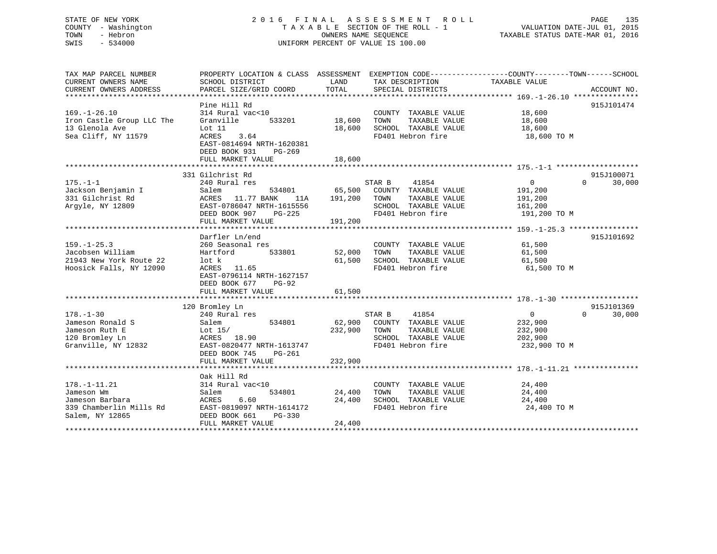# STATE OF NEW YORK 2 0 1 6 F I N A L A S S E S S M E N T R O L L PAGE 135 COUNTY - Washington T A X A B L E SECTION OF THE ROLL - 1 VALUATION DATE-JUL 01, 2015 TOWN - Hebron OWNERS NAME SEQUENCE TAXABLE STATUS DATE-MAR 01, 2016 SWIS - 534000 UNIFORM PERCENT OF VALUE IS 100.00

| SCHOOL DISTRICT<br>PARCEL SIZE/GRID COORD                                                                                                         | LAND<br>TOTAL                                                                                                         | TAX DESCRIPTION<br>SPECIAL DISTRICTS                                                                | TAXABLE VALUE                                                                           | ACCOUNT NO.                                                  |
|---------------------------------------------------------------------------------------------------------------------------------------------------|-----------------------------------------------------------------------------------------------------------------------|-----------------------------------------------------------------------------------------------------|-----------------------------------------------------------------------------------------|--------------------------------------------------------------|
| Pine Hill Rd<br>314 Rural vac<10<br>Iron Castle Group LLC The<br>Granville<br>533201<br>Lot 11<br>ACRES<br>3.64<br>EAST-0814694 NRTH-1620381      | 18,600<br>18,600                                                                                                      | COUNTY TAXABLE VALUE<br>TOWN<br>TAXABLE VALUE<br>SCHOOL TAXABLE VALUE<br>FD401 Hebron fire          | 18,600<br>18,600<br>18,600<br>18,600 TO M                                               | 915J101474                                                   |
| FULL MARKET VALUE                                                                                                                                 | 18,600                                                                                                                |                                                                                                     |                                                                                         |                                                              |
|                                                                                                                                                   |                                                                                                                       |                                                                                                     |                                                                                         |                                                              |
| 240 Rural res<br>534801<br>Salem<br>ACRES 11.77 BANK<br>11A<br>EAST-0786047 NRTH-1615556<br>DEED BOOK 907<br>PG-225                               | 65,500<br>191,200                                                                                                     | 41854<br>COUNTY TAXABLE VALUE<br>TOWN<br>TAXABLE VALUE<br>SCHOOL TAXABLE VALUE<br>FD401 Hebron fire | $\mathbf{0}$<br>191,200<br>191,200<br>161,200<br>191,200 TO M                           | 915J100071<br>$\Omega$<br>30,000                             |
|                                                                                                                                                   |                                                                                                                       |                                                                                                     |                                                                                         |                                                              |
| 260 Seasonal res<br>533801<br>Hartford<br>lot k<br>ACRES 11.65<br>EAST-0796114 NRTH-1627157<br>DEED BOOK 677<br><b>PG-92</b><br>FULL MARKET VALUE | 52,000<br>61,500<br>61,500                                                                                            | COUNTY TAXABLE VALUE<br>TOWN<br>TAXABLE VALUE<br>SCHOOL TAXABLE VALUE<br>FD401 Hebron fire          | 61,500<br>61,500<br>61,500<br>61,500 TO M                                               | 915J101692                                                   |
|                                                                                                                                                   |                                                                                                                       |                                                                                                     |                                                                                         |                                                              |
| 240 Rural res<br>534801<br>Salem<br>Lot 15/<br>ACRES 18.90<br>EAST-0820477 NRTH-1613747<br>DEED BOOK 745<br>PG-261<br>FULL MARKET VALUE           | 232,900<br>232,900                                                                                                    | 41854<br>TAXABLE VALUE<br>TOWN<br>SCHOOL TAXABLE VALUE<br>FD401 Hebron fire                         | $\overline{0}$<br>232,900<br>232,900<br>202,900<br>232,900 TO M                         | 915J101369<br>$\Omega$<br>30,000                             |
|                                                                                                                                                   |                                                                                                                       |                                                                                                     |                                                                                         |                                                              |
| 314 Rural vac<10<br>Salem<br>534801<br>ACRES<br>6.60<br>EAST-0819097 NRTH-1614172<br>DEED BOOK 661<br>PG-330<br>FULL MARKET VALUE                 | 24,400<br>24,400<br>24,400                                                                                            | COUNTY TAXABLE VALUE<br>TAXABLE VALUE<br>TOWN<br>SCHOOL TAXABLE VALUE<br>FD401 Hebron fire          | 24,400<br>24,400<br>24,400<br>24,400 TO M                                               |                                                              |
|                                                                                                                                                   | DEED BOOK 931<br>$PG-269$<br>331 Gilchrist Rd<br>FULL MARKET VALUE<br>Darfler Ln/end<br>120 Bromley Ln<br>Oak Hill Rd | 191,200                                                                                             | PROPERTY LOCATION & CLASS ASSESSMENT<br>STAR B<br>STAR B<br>62,900 COUNTY TAXABLE VALUE | EXEMPTION CODE-----------------COUNTY-------TOWN------SCHOOL |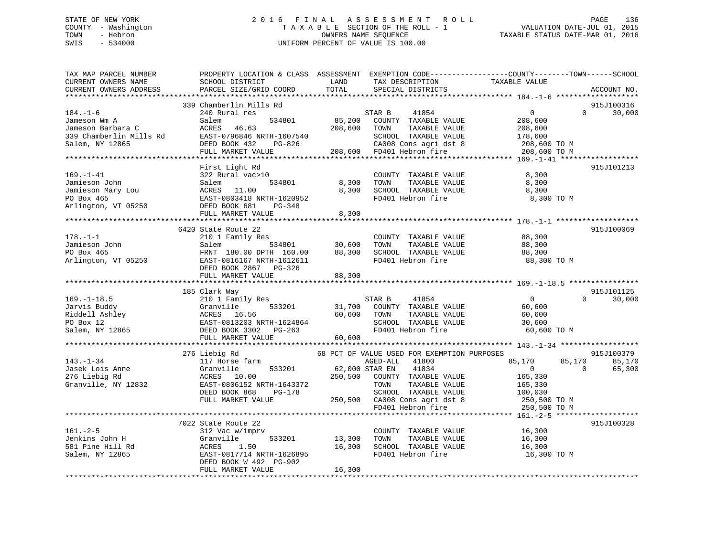# STATE OF NEW YORK 2 0 1 6 F I N A L A S S E S S M E N T R O L L PAGE 136 COUNTY - Washington T A X A B L E SECTION OF THE ROLL - 1 VALUATION DATE-JUL 01, 2015 TOWN - Hebron OWNERS NAME SEQUENCE TAXABLE STATUS DATE-MAR 01, 2016 SWIS - 534000 UNIFORM PERCENT OF VALUE IS 100.00

| TAX MAP PARCEL NUMBER<br>CURRENT OWNERS NAME<br>CURRENT OWNERS ADDRESS                            | PROPERTY LOCATION & CLASS ASSESSMENT EXEMPTION CODE----------------COUNTY-------TOWN-----SCHOOL<br>SCHOOL DISTRICT<br>PARCEL SIZE/GRID COORD                                                                                                                                              | LAND<br>TOTAL           | TAX DESCRIPTION<br>SPECIAL DISTRICTS                                                                                                                                                                               | TAXABLE VALUE                                             | ACCOUNT NO.                            |
|---------------------------------------------------------------------------------------------------|-------------------------------------------------------------------------------------------------------------------------------------------------------------------------------------------------------------------------------------------------------------------------------------------|-------------------------|--------------------------------------------------------------------------------------------------------------------------------------------------------------------------------------------------------------------|-----------------------------------------------------------|----------------------------------------|
|                                                                                                   |                                                                                                                                                                                                                                                                                           |                         |                                                                                                                                                                                                                    |                                                           |                                        |
| $184. - 1 - 6$<br>Jameson Wm A<br>Jameson Barbara C<br>339 Chamberlin Mills Rd<br>Salem, NY 12865 | 339 Chamberlin Mills Rd<br>240 Rural res<br>534801<br>Salem<br>ACRES 46.63<br>EAST-0796846 NRTH-1607540<br>DEED BOOK 432 PG-826 (2008 Cons agri dst 8<br>FULL MARKET VALUE 208,600 FD401 Hebron fire                                                                                      | 208,600                 | STAR B<br>41854<br>85,200 COUNTY TAXABLE VALUE<br>TOWN TAXABLE VALUE<br>SCHOOL TAXABLE VALUE 178,600 TO M<br>208,600 TO M 208,600 TO M                                                                             | $\overline{0}$<br>208,600<br>208,600 TO M                 | 915J100316<br>$\Omega$<br>30,000       |
|                                                                                                   |                                                                                                                                                                                                                                                                                           |                         |                                                                                                                                                                                                                    |                                                           |                                        |
| $169. - 1 - 41$                                                                                   | First Light Rd<br>322 Rural vac>10<br>USSEEM USING USING USING USING USING USING USING USING USING USING USING USING USING USING USING USING USING USING USING USING USING USING USING USING USING USING USING USING USING USING USING USING USING USING USING USING<br>FULL MARKET VALUE | 8,300<br>8,300<br>8,300 | COUNTY TAXABLE VALUE<br>TOWN<br>TAXABLE VALUE<br>SCHOOL TAXABLE VALUE<br>FD401 Hebron fire                                                                                                                         | 8,300<br>8,300<br>8,300<br>8,300 TO M                     | 915J101213                             |
|                                                                                                   |                                                                                                                                                                                                                                                                                           |                         |                                                                                                                                                                                                                    |                                                           |                                        |
| $178. - 1 - 1$                                                                                    | 6420 State Route 22<br>210 1 Family Res<br>Jamieson John Salem 534801 30,600<br>PO Box 465 FRNT 180.00 DPTH 160.00 88,300<br>Arlington, VT 05250 EAST-0816167 NRTH-1612611<br>DEED BOOK 2867 PG-326<br>THE CORN 2867 PG-326                                                               |                         | COUNTY TAXABLE VALUE 88,300<br>TOWN TAXABLE VALUE<br>SCHOOL TAXABLE VALUE<br>FD401 Hebron fire                                                                                                                     | 88,300<br>88,300<br>88,300 TO M                           | 915J100069                             |
|                                                                                                   | FULL MARKET VALUE                                                                                                                                                                                                                                                                         | 88,300                  |                                                                                                                                                                                                                    |                                                           |                                        |
|                                                                                                   | 185 Clark Way                                                                                                                                                                                                                                                                             |                         |                                                                                                                                                                                                                    |                                                           | 915J101125                             |
| $169. - 1 - 18.5$                                                                                 | 210 1 Family Res<br>31,700 COUNT<br>19 Cranville 533201 31,700 COUNT<br>Riddell Ashley ACRES 16.56 60,600 TOWN<br>PO Box 12 EAST-0813203 NRTH-1624864 SCHOC<br>Salem, NY 12865 DEED BOOK 3302 PG-263 FD401<br>FULL MARKET VALUE                                                           | 60,600                  | STAR B<br>41854<br>533201 31,700 COUNTY TAXABLE VALUE 60,600<br>TAXABLE VALUE<br>SCHOOL TAXABLE VALUE 30,600<br>FD401 Hebron fire 60,600                                                                           | $\overline{0}$<br>60,600<br>60,600 TO M                   | $\Omega$<br>30,000                     |
|                                                                                                   | 276 Liebig Rd                                                                                                                                                                                                                                                                             |                         | 68 PCT OF VALUE USED FOR EXEMPTION PURPOSES                                                                                                                                                                        |                                                           | 915J100379                             |
| $143. - 1 - 34$<br>Jasek Lois Anne<br>276 Liebig Rd                                               | 117 Horse farm<br>Granville<br>533201<br>ACRES 10.00<br>Granville, NY 12832 EAST-0806152 NRTH-1643372<br>DEED BOOK 868<br>PG-178<br>FULL MARKET VALUE                                                                                                                                     |                         | AGED-ALL 41800<br>62,000 STAR EN<br>41834<br>250,500 COUNTY TAXABLE VALUE<br>TAXABLE VALUE<br>TOWN<br>SCHOOL TAXABLE VALUE 100,030<br>250,500 CA008 Cons agri dst 8 250,500 TO M<br>FD401 Hebron fire 250,500 TO M | 85,170<br>$\overline{0}$<br>165,330<br>165,330<br>100,030 | 85,170<br>85,170<br>$\Omega$<br>65,300 |
|                                                                                                   |                                                                                                                                                                                                                                                                                           |                         |                                                                                                                                                                                                                    |                                                           |                                        |
| $161. - 2 - 5$<br>Jenkins John H<br>581 Pine Hill Rd<br>Salem, NY 12865                           | 7022 State Route 22<br>312 Vac w/imprv<br>Granville 533201 13,300<br>ACRES 1.50 16,300<br>EAST-0817714 NRTH-1626895<br>DEED BOOK W 492 PG-902<br>FULL MARKET VALUE                                                                                                                        | 16,300                  | COUNTY TAXABLE VALUE<br>TOWN<br>TAXABLE VALUE<br>SCHOOL TAXABLE VALUE<br>FD401 Hebron fire                                                                                                                         | 16,300<br>16,300<br>16,300<br>16,300 TO M                 | 915J100328                             |
|                                                                                                   |                                                                                                                                                                                                                                                                                           |                         |                                                                                                                                                                                                                    |                                                           |                                        |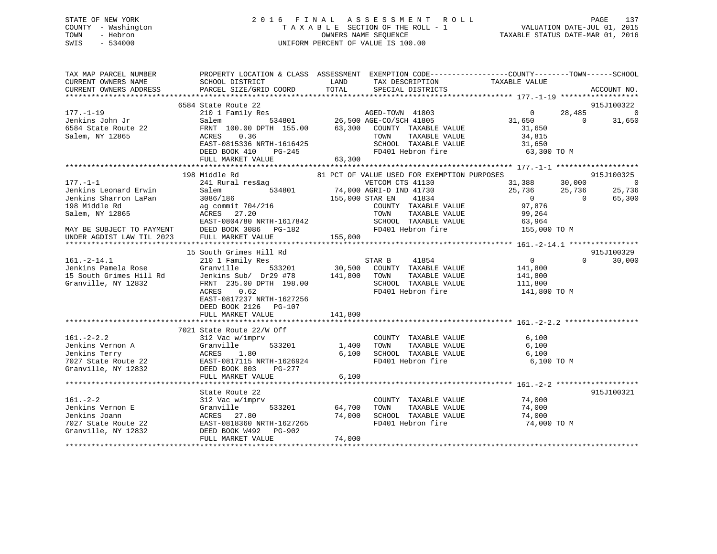#### STATE OF NEW YORK 2 0 1 6 F I N A L A S S E S S M E N T R O L L PAGE 137COUNTY - Washington  $\begin{array}{ccc} 1 & 0 & 0 \\ 0 & 0 & 0 \end{array}$  T A X A B L E SECTION OF THE ROLL - 1 TOWN - Hebron OWNERS NAME SEQUENCE TAXABLE STATUS DATE-MAR 01, 2016 SWIS - 534000 UNIFORM PERCENT OF VALUE IS 100.00

| TAX MAP PARCEL NUMBER<br>CURRENT OWNERS NAME<br>CURRENT OWNERS ADDRESS                                    | SCHOOL DISTRICT<br>PARCEL SIZE/GRID COORD                                                                                                                                                                                                          | LAND TAX DESCRIPTION TAXABLE VALUE TOTAL SPECIAL DISTRICTS<br>LAND TAX DESCRIPTION                                                                                                                                                                                                                                                                                                                                                                                                                                   | PROPERTY LOCATION & CLASS ASSESSMENT EXEMPTION CODE----------------COUNTY-------TOWN-----SCHOOL<br>ACCOUNT NO.                                                                                                                                                                                                                                                                                                               |
|-----------------------------------------------------------------------------------------------------------|----------------------------------------------------------------------------------------------------------------------------------------------------------------------------------------------------------------------------------------------------|----------------------------------------------------------------------------------------------------------------------------------------------------------------------------------------------------------------------------------------------------------------------------------------------------------------------------------------------------------------------------------------------------------------------------------------------------------------------------------------------------------------------|------------------------------------------------------------------------------------------------------------------------------------------------------------------------------------------------------------------------------------------------------------------------------------------------------------------------------------------------------------------------------------------------------------------------------|
|                                                                                                           | 6584 State Route 22                                                                                                                                                                                                                                |                                                                                                                                                                                                                                                                                                                                                                                                                                                                                                                      | 915J100322                                                                                                                                                                                                                                                                                                                                                                                                                   |
| $177. - 1 - 19$                                                                                           |                                                                                                                                                                                                                                                    |                                                                                                                                                                                                                                                                                                                                                                                                                                                                                                                      | 28,485<br>$\overline{0}$<br>31,650                                                                                                                                                                                                                                                                                                                                                                                           |
| Form and Tenkins John Jr<br>1999 - Salem Salem Salem Salem Salem Area<br>Salem Area 22 - PRNT Salem ACRES | 0.36                                                                                                                                                                                                                                               | FRNT 100.00 DPTH 155.00 63,300 COUNTY TAXABLE VALUE<br>TOWN                                                                                                                                                                                                                                                                                                                                                                                                                                                          | TAXABLE VALUE 31,650<br>TAXABLE VALUE 34,815                                                                                                                                                                                                                                                                                                                                                                                 |
|                                                                                                           | EAST-0815336 NRTH-1616425<br>DEED BOOK 410 PG-245<br>FULL MARKET VALUE                                                                                                                                                                             | SCHOOL TAXABLE VALUE 31,650<br>FD401 Hebron fire 63,300 TO M<br>FD401 Hebron fire<br>63,300                                                                                                                                                                                                                                                                                                                                                                                                                          |                                                                                                                                                                                                                                                                                                                                                                                                                              |
|                                                                                                           |                                                                                                                                                                                                                                                    |                                                                                                                                                                                                                                                                                                                                                                                                                                                                                                                      |                                                                                                                                                                                                                                                                                                                                                                                                                              |
|                                                                                                           | 198 Middle Rd                                                                                                                                                                                                                                      |                                                                                                                                                                                                                                                                                                                                                                                                                                                                                                                      |                                                                                                                                                                                                                                                                                                                                                                                                                              |
| $177. - 1 - 1$                                                                                            |                                                                                                                                                                                                                                                    |                                                                                                                                                                                                                                                                                                                                                                                                                                                                                                                      |                                                                                                                                                                                                                                                                                                                                                                                                                              |
|                                                                                                           |                                                                                                                                                                                                                                                    |                                                                                                                                                                                                                                                                                                                                                                                                                                                                                                                      |                                                                                                                                                                                                                                                                                                                                                                                                                              |
|                                                                                                           |                                                                                                                                                                                                                                                    |                                                                                                                                                                                                                                                                                                                                                                                                                                                                                                                      |                                                                                                                                                                                                                                                                                                                                                                                                                              |
|                                                                                                           |                                                                                                                                                                                                                                                    |                                                                                                                                                                                                                                                                                                                                                                                                                                                                                                                      |                                                                                                                                                                                                                                                                                                                                                                                                                              |
|                                                                                                           |                                                                                                                                                                                                                                                    |                                                                                                                                                                                                                                                                                                                                                                                                                                                                                                                      |                                                                                                                                                                                                                                                                                                                                                                                                                              |
|                                                                                                           | 1/1.-1-1<br>Jenkins Leonard Erwin 3alem 3086/186 1954801 74,000 A<br>Jenkins Sharron LaPan 3086/186 155,000 S<br>198 Middle Rd ag commit 704/216 155,000 S<br>Salem, NY 12865 ACRES 27.20<br>MAY BE SUBJECT TO PAYMENT DEED BOOK 3086 PG           | SCHOOL TAXABLE VALUE<br>SCHOOL TAXABLE VALUE 63,964<br>FD401 Hebron fire 155,000 TO M<br>FD401 Hebron fire                                                                                                                                                                                                                                                                                                                                                                                                           |                                                                                                                                                                                                                                                                                                                                                                                                                              |
|                                                                                                           |                                                                                                                                                                                                                                                    |                                                                                                                                                                                                                                                                                                                                                                                                                                                                                                                      |                                                                                                                                                                                                                                                                                                                                                                                                                              |
|                                                                                                           | 15 South Grimes Hill Rd                                                                                                                                                                                                                            |                                                                                                                                                                                                                                                                                                                                                                                                                                                                                                                      | 915J100329<br>$\overline{0}$<br>$\Omega$                                                                                                                                                                                                                                                                                                                                                                                     |
| $161.-2-14.1$                                                                                             |                                                                                                                                                                                                                                                    | 210 1 Family Res<br>Granville 533201 30,500 COUNTY TAXABLE VALUE 141,800                                                                                                                                                                                                                                                                                                                                                                                                                                             | 30,000                                                                                                                                                                                                                                                                                                                                                                                                                       |
|                                                                                                           |                                                                                                                                                                                                                                                    | TAXABLE VALUE                                                                                                                                                                                                                                                                                                                                                                                                                                                                                                        | 141,800                                                                                                                                                                                                                                                                                                                                                                                                                      |
|                                                                                                           | Jenkins Sub/ Dr29 #78 141,800 TOWN<br>FRNT 235.00 DPTH 198.00 SCHOOL SCHOOL<br>FRNT 235.00 DPTH 198.00                                                                                                                                             |                                                                                                                                                                                                                                                                                                                                                                                                                                                                                                                      |                                                                                                                                                                                                                                                                                                                                                                                                                              |
|                                                                                                           | ACRES 0.62                                                                                                                                                                                                                                         |                                                                                                                                                                                                                                                                                                                                                                                                                                                                                                                      | FD401 Hebron fire 141,800 TO M                                                                                                                                                                                                                                                                                                                                                                                               |
|                                                                                                           | EAST-0817237 NRTH-1627256<br>DEED BOOK 2126 PG-107                                                                                                                                                                                                 |                                                                                                                                                                                                                                                                                                                                                                                                                                                                                                                      |                                                                                                                                                                                                                                                                                                                                                                                                                              |
|                                                                                                           |                                                                                                                                                                                                                                                    |                                                                                                                                                                                                                                                                                                                                                                                                                                                                                                                      |                                                                                                                                                                                                                                                                                                                                                                                                                              |
|                                                                                                           | 7021 State Route 22/W Off                                                                                                                                                                                                                          |                                                                                                                                                                                                                                                                                                                                                                                                                                                                                                                      |                                                                                                                                                                                                                                                                                                                                                                                                                              |
| $161. - 2 - 2.2$                                                                                          | 312 Vac w/imprv                                                                                                                                                                                                                                    |                                                                                                                                                                                                                                                                                                                                                                                                                                                                                                                      |                                                                                                                                                                                                                                                                                                                                                                                                                              |
|                                                                                                           |                                                                                                                                                                                                                                                    |                                                                                                                                                                                                                                                                                                                                                                                                                                                                                                                      |                                                                                                                                                                                                                                                                                                                                                                                                                              |
|                                                                                                           |                                                                                                                                                                                                                                                    | $\begin{tabular}{lllllllllll} \multicolumn{2}{c}{\text{\small COUNTY}} & \text{\small{TAXABLE VALUE}} & \multicolumn{2}{c}{\text{\small{6,100}}} \\ \multicolumn{2}{c}{\text{\small{1,400}}} & \text{\small{TOWN}} & \text{\small{TAXABLE VALUE}} & \multicolumn{2}{c}{\text{\small{6,100}}} \\ \multicolumn{2}{c}{\text{\small{6,100}}} & \text{\small{SCHOOL}} & \text{\small{TAXABLE VALUE}} & \multicolumn{2}{c}{\text{\small{6,100}}} \\ \multicolumn{2}{c}{\text{\small{6,100}}} & \multicolumn{2}{c}{\text{\$ | $\begin{array}{cccccccc} 161.-2-2.2 & 312\text{ Vac w/imprv} & \text{COMNTY TAXABLE VALUE} & 6,100\\ \text{Jenkins Vermont A} & \text{Granville} & \text{ACRES I} & 1.80 & 1.400\text{ TOMN} & \text{TAXABLE VALUE} & 6,100\\ \text{Jenkins TermY} & \text{ACRES I} & 1.80 & 6,100\text{ SCHODL TAXABLE VALUE} & 6,100\\ \text{Jemkins Terry} & \text{EASEE D} & 1.80 & 6,100\text{ SCHODL TAXABLE VALUE} & 6,100\text{ TOM$ |
|                                                                                                           |                                                                                                                                                                                                                                                    |                                                                                                                                                                                                                                                                                                                                                                                                                                                                                                                      |                                                                                                                                                                                                                                                                                                                                                                                                                              |
|                                                                                                           |                                                                                                                                                                                                                                                    |                                                                                                                                                                                                                                                                                                                                                                                                                                                                                                                      |                                                                                                                                                                                                                                                                                                                                                                                                                              |
|                                                                                                           |                                                                                                                                                                                                                                                    |                                                                                                                                                                                                                                                                                                                                                                                                                                                                                                                      |                                                                                                                                                                                                                                                                                                                                                                                                                              |
|                                                                                                           |                                                                                                                                                                                                                                                    |                                                                                                                                                                                                                                                                                                                                                                                                                                                                                                                      |                                                                                                                                                                                                                                                                                                                                                                                                                              |
|                                                                                                           | State Route 22                                                                                                                                                                                                                                     |                                                                                                                                                                                                                                                                                                                                                                                                                                                                                                                      | 915J100321                                                                                                                                                                                                                                                                                                                                                                                                                   |
|                                                                                                           | $533201$ 64,700                                                                                                                                                                                                                                    | COUNTY TAXABLE VALUE 74,000<br>TAXABLE VALUE<br>TOWN                                                                                                                                                                                                                                                                                                                                                                                                                                                                 | 74,000                                                                                                                                                                                                                                                                                                                                                                                                                       |
|                                                                                                           |                                                                                                                                                                                                                                                    | SCHOOL TAXABLE VALUE 74,000                                                                                                                                                                                                                                                                                                                                                                                                                                                                                          |                                                                                                                                                                                                                                                                                                                                                                                                                              |
|                                                                                                           | ACRES 27.80 74,000<br>EAST-0818360 NRTH-1627265                                                                                                                                                                                                    | FD401 Hebron fire                                                                                                                                                                                                                                                                                                                                                                                                                                                                                                    | 74,000 TO M                                                                                                                                                                                                                                                                                                                                                                                                                  |
|                                                                                                           | 161.-2-2<br>Jenkins Vernon E<br>Jenkins Joann (1994)<br>7027 State Route 22<br>Granville, NY 12832<br>2008 EAST-0818360 NRTH-1627265<br>2008 EAST-0818360 NRTH-1627265<br>2008 MPH-1627265<br>2008 MPH-1627265<br>2008 MPH-1627265<br>2008 MPH-162 |                                                                                                                                                                                                                                                                                                                                                                                                                                                                                                                      |                                                                                                                                                                                                                                                                                                                                                                                                                              |
|                                                                                                           | FULL MARKET VALUE                                                                                                                                                                                                                                  | 74,000                                                                                                                                                                                                                                                                                                                                                                                                                                                                                                               |                                                                                                                                                                                                                                                                                                                                                                                                                              |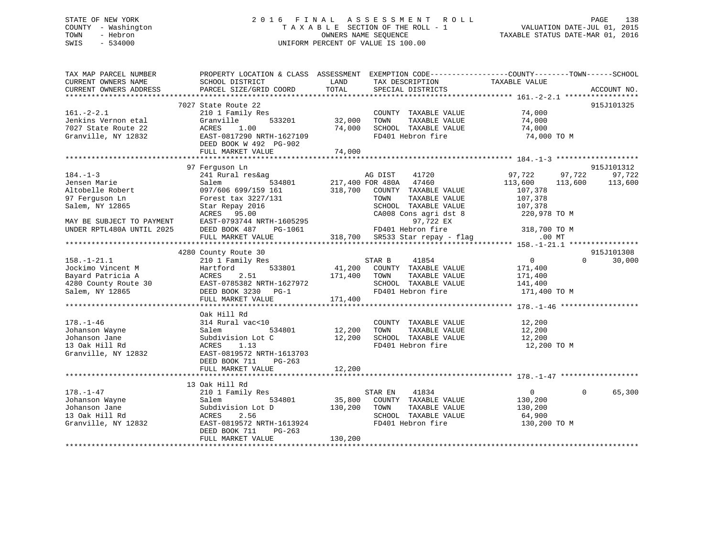# STATE OF NEW YORK 2 0 1 6 F I N A L A S S E S S M E N T R O L L PAGE 138 COUNTY - Washington T A X A B L E SECTION OF THE ROLL - 1 VALUATION DATE-JUL 01, 2015 TOWN - Hebron OWNERS NAME SEQUENCE TAXABLE STATUS DATE-MAR 01, 2016 SWIS - 534000 UNIFORM PERCENT OF VALUE IS 100.00

| TAX MAP PARCEL NUMBER<br>CURRENT OWNERS NAME<br>CURRENT OWNERS ADDRESS                                 | PROPERTY LOCATION & CLASS ASSESSMENT EXEMPTION CODE----------------COUNTY-------TOWN------SCHOOL<br>SCHOOL DISTRICT<br>PARCEL SIZE/GRID COORD          | LAND<br>TOTAL                | TAX DESCRIPTION<br>SPECIAL DISTRICTS                                                                           | TAXABLE VALUE                                                               | ACCOUNT NO.       |
|--------------------------------------------------------------------------------------------------------|--------------------------------------------------------------------------------------------------------------------------------------------------------|------------------------------|----------------------------------------------------------------------------------------------------------------|-----------------------------------------------------------------------------|-------------------|
|                                                                                                        | 7027 State Route 22                                                                                                                                    |                              |                                                                                                                |                                                                             | 915J101325        |
| $161 - 2 - 2.1$<br>Jenkins Vernon etal<br>7027 State Route 22                                          | 210 1 Family Res<br>Granville<br>533201<br>ACRES<br>1.00                                                                                               | 32,000<br>74,000             | COUNTY TAXABLE VALUE<br>TAXABLE VALUE<br>TOWN<br>SCHOOL TAXABLE VALUE                                          | 74,000<br>74,000<br>74,000                                                  |                   |
| Granville, NY 12832                                                                                    | EAST-0817290 NRTH-1627109<br>DEED BOOK W 492 PG-902<br>FULL MARKET VALUE                                                                               | 74,000                       | FD401 Hebron fire                                                                                              | 74,000 TO M                                                                 |                   |
|                                                                                                        | 97 Ferquson Ln                                                                                                                                         |                              |                                                                                                                |                                                                             | 915J101312        |
| $184. - 1 - 3$<br>Jensen Marie<br>Altobelle Robert                                                     | 241 Rural res&ag<br>534801<br>Salem<br>097/606 699/159 161                                                                                             |                              | AG DIST<br>41720<br>217,400 FOR 480A 47460<br>318,700 COUNTY TAXABLE VALUE                                     | 97,722<br>97,722<br>113,600<br>113,600<br>107,378                           | 97,722<br>113,600 |
| 97 Ferguson Ln<br>Salem, NY 12865<br>MAY BE SUBJECT TO PAYMENT                                         | Forest tax 3227/131<br>Star Repay 2016<br>ACRES 95.00<br>EAST-0793744 NRTH-1605295                                                                     |                              | TOWN<br>TAXABLE VALUE<br>SCHOOL TAXABLE VALUE<br>CA008 Cons agri dst 8<br>97,722 EX                            | 107,378<br>107,378<br>220,978 TO M                                          |                   |
| UNDER RPTL480A UNTIL 2025                                                                              | DEED BOOK 487<br>PG-1061<br>FULL MARKET VALUE                                                                                                          |                              | FD401 Hebron fire<br>318,700 SR533 Star repay - flag                                                           | 318,700 TO M<br>$.00$ MT                                                    |                   |
|                                                                                                        | 4280 County Route 30                                                                                                                                   |                              |                                                                                                                |                                                                             | 915J101308        |
| $158. - 1 - 21.1$<br>Jockimo Vincent M<br>Bayard Patricia A<br>4280 County Route 30<br>Salem, NY 12865 | 210 1 Family Res<br>533801<br>Hartford<br>ACRES<br>2.51<br>EAST-0785382 NRTH-1627972<br>DEED BOOK 3230 PG-1                                            | 41,200<br>171,400            | STAR B<br>41854<br>COUNTY TAXABLE VALUE<br>TOWN<br>TAXABLE VALUE<br>SCHOOL TAXABLE VALUE<br>FD401 Hebron fire  | $\overline{0}$<br>$\Omega$<br>171,400<br>171,400<br>141,400<br>171,400 TO M | 30,000            |
|                                                                                                        | FULL MARKET VALUE                                                                                                                                      | 171,400                      |                                                                                                                |                                                                             |                   |
|                                                                                                        | Oak Hill Rd                                                                                                                                            |                              |                                                                                                                |                                                                             |                   |
| $178. - 1 - 46$<br>Johanson Wayne<br>Johanson Jane<br>13 Oak Hill Rd<br>Granville, NY 12832            | 314 Rural vac<10<br>534801<br>Salem<br>Subdivision Lot C<br>ACRES<br>1.13<br>EAST-0819572 NRTH-1613703<br>DEED BOOK 711<br>$PG-263$                    | 12,200<br>12,200             | COUNTY TAXABLE VALUE<br>TOWN<br>TAXABLE VALUE<br>SCHOOL TAXABLE VALUE<br>FD401 Hebron fire                     | 12,200<br>12,200<br>12,200<br>12,200 TO M                                   |                   |
|                                                                                                        | FULL MARKET VALUE                                                                                                                                      | 12,200                       |                                                                                                                |                                                                             |                   |
| $178. - 1 - 47$                                                                                        | 13 Oak Hill Rd                                                                                                                                         |                              |                                                                                                                | $\Omega$                                                                    |                   |
| Johanson Wayne<br>Johanson Jane<br>13 Oak Hill Rd<br>Granville, NY 12832                               | 210 1 Family Res<br>534801<br>Salem<br>Subdivision Lot D<br>ACRES<br>2.56<br>EAST-0819572 NRTH-1613924<br>DEED BOOK 711<br>PG-263<br>FULL MARKET VALUE | 35,800<br>130,200<br>130,200 | STAR EN<br>41834<br>COUNTY TAXABLE VALUE<br>TAXABLE VALUE<br>TOWN<br>SCHOOL TAXABLE VALUE<br>FD401 Hebron fire | $\overline{0}$<br>130,200<br>130,200<br>64,900<br>130,200 TO M              | 65,300            |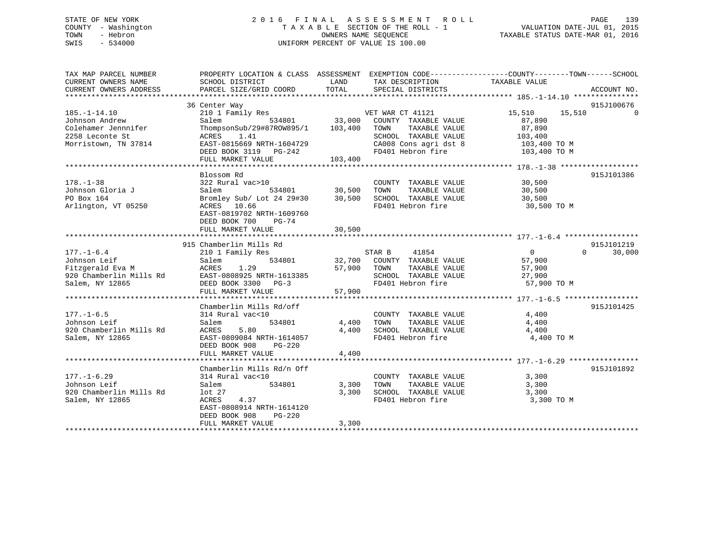# STATE OF NEW YORK 2 0 1 6 F I N A L A S S E S S M E N T R O L L PAGE 139 COUNTY - Washington T A X A B L E SECTION OF THE ROLL - 1 VALUATION DATE-JUL 01, 2015 TOWN - Hebron OWNERS NAME SEQUENCE TAXABLE STATUS DATE-MAR 01, 2016 SWIS - 534000 UNIFORM PERCENT OF VALUE IS 100.00

| TAX MAP PARCEL NUMBER<br>CURRENT OWNERS NAME | PROPERTY LOCATION & CLASS ASSESSMENT EXEMPTION CODE---------------COUNTY-------TOWN-----SCHOOL<br>SCHOOL DISTRICT | LAND             | TAX DESCRIPTION                                                                                                                                                    | TAXABLE VALUE    |                    |
|----------------------------------------------|-------------------------------------------------------------------------------------------------------------------|------------------|--------------------------------------------------------------------------------------------------------------------------------------------------------------------|------------------|--------------------|
| CURRENT OWNERS ADDRESS                       | PARCEL SIZE/GRID COORD                                                                                            | TOTAL            | SPECIAL DISTRICTS                                                                                                                                                  |                  | ACCOUNT NO.        |
|                                              |                                                                                                                   |                  |                                                                                                                                                                    |                  |                    |
|                                              | 36 Center Way                                                                                                     |                  |                                                                                                                                                                    |                  | 915J100676         |
| $185. - 1 - 14.10$                           | 210 1 Family Res                                                                                                  |                  | VET WAR CT 41121                                                                                                                                                   | 15,510<br>15,510 | $\Omega$           |
| Johnson Andrew                               | Salem<br>534801                                                                                                   | 33,000           | COUNTY TAXABLE VALUE                                                                                                                                               | 87,890           |                    |
| Colehamer Jennnifer                          | ThompsonSub/29#87ROW895/1 103,400                                                                                 |                  | TOWN<br>TAXABLE VALUE                                                                                                                                              | 87,890           |                    |
| 2258 Leconte St                              | ACRES<br>1.41                                                                                                     |                  |                                                                                                                                                                    |                  |                    |
| Morristown, TN 37814                         | EAST-0815669 NRTH-1604729                                                                                         |                  | $\begin{tabular}{lllllllll} \texttt{SCHOOL} & \texttt{TAXABLE VALUE} & & & & 103,400 \\ \texttt{CA008 Cons agri dst 8} & & & 103,400\texttt{\ TO M} \end{tabular}$ |                  |                    |
|                                              | DEED BOOK 3119 PG-242                                                                                             |                  | FD401 Hebron fire                                                                                                                                                  | 103,400 TO M     |                    |
|                                              | FULL MARKET VALUE                                                                                                 | 103,400          |                                                                                                                                                                    |                  |                    |
|                                              |                                                                                                                   |                  |                                                                                                                                                                    |                  |                    |
|                                              | Blossom Rd                                                                                                        |                  |                                                                                                                                                                    |                  | 915J101386         |
| $178. - 1 - 38$                              | 322 Rural vac>10                                                                                                  |                  | COUNTY TAXABLE VALUE                                                                                                                                               | 30,500           |                    |
| Johnson Gloria J                             | Salem<br>534801                                                                                                   |                  | TAXABLE VALUE<br>TOWN                                                                                                                                              | 30,500           |                    |
| PO Box 164                                   | Bromley Sub/ Lot 24 29#30                                                                                         | 30,500<br>30,500 | SCHOOL TAXABLE VALUE                                                                                                                                               | 30,500           |                    |
| Arlington, VT 05250                          | ACRES 10.66                                                                                                       |                  | FD401 Hebron fire                                                                                                                                                  | 30,500 TO M      |                    |
|                                              | EAST-0819702 NRTH-1609760                                                                                         |                  |                                                                                                                                                                    |                  |                    |
|                                              | DEED BOOK 700<br>PG-74                                                                                            |                  |                                                                                                                                                                    |                  |                    |
|                                              | FULL MARKET VALUE                                                                                                 | 30,500           |                                                                                                                                                                    |                  |                    |
|                                              |                                                                                                                   |                  |                                                                                                                                                                    |                  |                    |
|                                              | 915 Chamberlin Mills Rd                                                                                           |                  |                                                                                                                                                                    |                  | 915J101219         |
| $177. - 1 - 6.4$                             | 210 1 Family Res                                                                                                  |                  | STAR B<br>41854                                                                                                                                                    | $\Omega$         | 30,000<br>$\Omega$ |
| Johnson Leif                                 | 534801<br>Salem                                                                                                   |                  | 32,700 COUNTY TAXABLE VALUE                                                                                                                                        | 57,900           |                    |
| Fitzgerald Eva M                             | ACRES<br>1.29                                                                                                     | 57,900           | TOWN<br>TAXABLE VALUE                                                                                                                                              | 57,900           |                    |
| 920 Chamberlin Mills Rd                      | EAST-0808925 NRTH-1613385                                                                                         |                  | SCHOOL TAXABLE VALUE                                                                                                                                               | 27,900           |                    |
| Salem, NY 12865                              | DEED BOOK 3300 PG-3                                                                                               |                  | FD401 Hebron fire                                                                                                                                                  | 57,900 TO M      |                    |
|                                              | FULL MARKET VALUE                                                                                                 | 57,900           |                                                                                                                                                                    |                  |                    |
|                                              |                                                                                                                   |                  |                                                                                                                                                                    |                  |                    |
|                                              | Chamberlin Mills Rd/off                                                                                           |                  |                                                                                                                                                                    |                  | 915J101425         |
| $177. - 1 - 6.5$                             | 314 Rural vac<10                                                                                                  |                  | COUNTY TAXABLE VALUE                                                                                                                                               | 4,400            |                    |
| Johnson Leif                                 | 534801<br>Salem                                                                                                   | 4,400            | TOWN<br>TAXABLE VALUE                                                                                                                                              | 4,400            |                    |
| 920 Chamberlin Mills Rd                      | ACRES<br>5.80                                                                                                     | 4,400            | SCHOOL TAXABLE VALUE                                                                                                                                               | 4,400            |                    |
| Salem, NY 12865                              | EAST-0809084 NRTH-1614057                                                                                         |                  | FD401 Hebron fire                                                                                                                                                  | 4,400 TO M       |                    |
|                                              | DEED BOOK 908<br>PG-220                                                                                           |                  |                                                                                                                                                                    |                  |                    |
|                                              | FULL MARKET VALUE                                                                                                 | 4,400            |                                                                                                                                                                    |                  |                    |
|                                              |                                                                                                                   |                  |                                                                                                                                                                    |                  |                    |
|                                              | Chamberlin Mills Rd/n Off                                                                                         |                  |                                                                                                                                                                    |                  | 915J101892         |
| $177. - 1 - 6.29$                            | 314 Rural vac<10                                                                                                  |                  | COUNTY TAXABLE VALUE                                                                                                                                               | 3,300            |                    |
| Johnson Leif                                 | Salem<br>534801                                                                                                   | 3,300            | TAXABLE VALUE<br>TOWN                                                                                                                                              | 3,300            |                    |
| 920 Chamberlin Mills Rd                      | $1$ ot $27$                                                                                                       | 3,300            | SCHOOL TAXABLE VALUE                                                                                                                                               | 3,300            |                    |
| Salem, NY 12865                              | ACRES<br>4.37                                                                                                     |                  | FD401 Hebron fire                                                                                                                                                  | 3,300 TO M       |                    |
|                                              | EAST-0808914 NRTH-1614120                                                                                         |                  |                                                                                                                                                                    |                  |                    |
|                                              | DEED BOOK 908<br><b>PG-220</b>                                                                                    |                  |                                                                                                                                                                    |                  |                    |
|                                              | FULL MARKET VALUE                                                                                                 | 3,300            |                                                                                                                                                                    |                  |                    |
|                                              |                                                                                                                   |                  |                                                                                                                                                                    |                  |                    |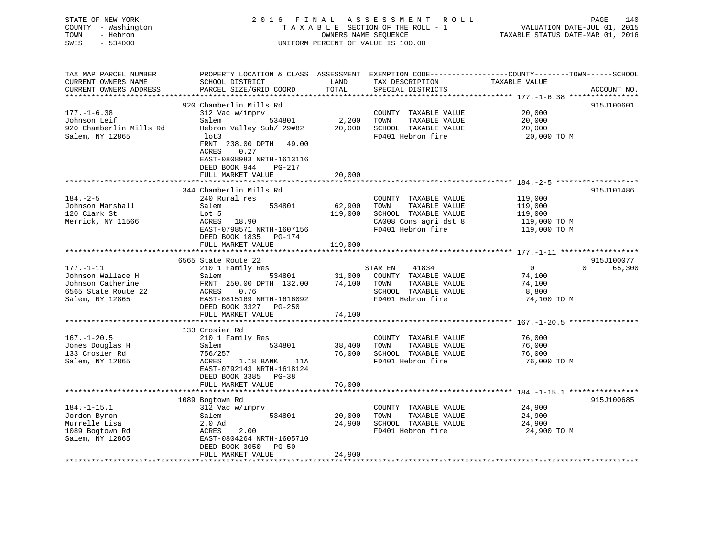| COUNTY<br>TOWN<br>SWIS | STATE OF NEW YORK<br>- Washington<br>- Hebron<br>$-534000$ |                                              |            | 2016 FINAL ASSESSMENT ROLL<br>TAXABLE SECTION OF THE ROLL - 1<br>OWNERS NAME SEQUENCE<br>UNIFORM PERCENT OF VALUE IS 100.00 | TAXABLE STATUS DATE-MAR 01, 2016 | PAGE<br>VALUATION DATE-JUL 01, 2015 | 140         |
|------------------------|------------------------------------------------------------|----------------------------------------------|------------|-----------------------------------------------------------------------------------------------------------------------------|----------------------------------|-------------------------------------|-------------|
|                        | TAX MAP PARCEL NUMBER<br>CURRENT OWNERS NAME               | PROPERTY LOCATION & CLASS<br>SCHOOL DISTRICT | ASSESSMENT | EXEMPTION CODE-----------------COUNTY-------TOWN---<br>TAX DESCRIPTION                                                      | TAXABLE VALUE                    |                                     | --SCHOOL    |
|                        |                                                            |                                              | LAND       |                                                                                                                             |                                  |                                     |             |
|                        | CURRENT OWNERS ADDRESS                                     | PARCEL SIZE/GRID COORD                       | TOTAL      | SPECIAL DISTRICTS                                                                                                           |                                  |                                     | ACCOUNT NO. |

|                         |                           | ***************************** |                       | ************* 177.-1-6.38 ***************** |        |
|-------------------------|---------------------------|-------------------------------|-----------------------|---------------------------------------------|--------|
|                         | 920 Chamberlin Mills Rd   |                               |                       | 915J100601                                  |        |
| $177. - 1 - 6.38$       | 312 Vac w/imprv           |                               | COUNTY TAXABLE VALUE  | 20,000                                      |        |
| Johnson Leif            | 534801<br>Salem           | 2,200                         | TAXABLE VALUE<br>TOWN | 20,000                                      |        |
| 920 Chamberlin Mills Rd | Hebron Valley Sub/ 29#82  | 20,000                        | SCHOOL TAXABLE VALUE  | 20,000                                      |        |
| Salem, NY 12865         | lot3                      |                               | FD401 Hebron fire     | 20,000 TO M                                 |        |
|                         | FRNT 238.00 DPTH<br>49.00 |                               |                       |                                             |        |
|                         | 0.27<br>ACRES             |                               |                       |                                             |        |
|                         | EAST-0808983 NRTH-1613116 |                               |                       |                                             |        |
|                         | DEED BOOK 944<br>$PG-217$ |                               |                       |                                             |        |
|                         | FULL MARKET VALUE         | 20,000                        |                       |                                             |        |
|                         |                           |                               |                       |                                             |        |
|                         | 344 Chamberlin Mills Rd   |                               |                       | 915J101486                                  |        |
| $184. - 2 - 5$          | 240 Rural res             |                               | COUNTY TAXABLE VALUE  | 119,000                                     |        |
| Johnson Marshall        | 534801<br>Salem           | 62,900                        | TOWN<br>TAXABLE VALUE | 119,000                                     |        |
| 120 Clark St            | Lot 5                     | 119,000                       | SCHOOL TAXABLE VALUE  | 119,000                                     |        |
| Merrick, NY 11566       | ACRES<br>18.90            |                               | CA008 Cons agri dst 8 | 119,000 TO M                                |        |
|                         | EAST-0798571 NRTH-1607156 |                               | FD401 Hebron fire     | 119,000 TO M                                |        |
|                         | DEED BOOK 1835<br>PG-174  |                               |                       |                                             |        |
|                         | FULL MARKET VALUE         | 119,000                       |                       |                                             |        |
|                         |                           |                               |                       |                                             |        |
|                         | 6565 State Route 22       |                               |                       | 915J100077                                  |        |
| $177. - 1 - 11$         | 210 1 Family Res          |                               | 41834<br>STAR EN      | $\overline{0}$<br>$\Omega$                  | 65,300 |
| Johnson Wallace H       | Salem<br>534801           | 31,000                        | COUNTY TAXABLE VALUE  | 74,100                                      |        |
| Johnson Catherine       | FRNT 250.00 DPTH 132.00   | 74,100                        | TAXABLE VALUE<br>TOWN | 74,100                                      |        |
| 6565 State Route 22     | ACRES<br>0.76             |                               | SCHOOL TAXABLE VALUE  | 8,800                                       |        |
| Salem, NY 12865         | EAST-0815169 NRTH-1616092 |                               | FD401 Hebron fire     | 74,100 TO M                                 |        |
|                         | DEED BOOK 3327 PG-250     |                               |                       |                                             |        |
|                         | FULL MARKET VALUE         | 74,100                        |                       |                                             |        |
|                         |                           |                               |                       |                                             |        |
|                         | 133 Crosier Rd            |                               |                       |                                             |        |
| $167. - 1 - 20.5$       | 210 1 Family Res          |                               | COUNTY TAXABLE VALUE  | 76,000                                      |        |
| Jones Douglas H         | Salem<br>534801           | 38,400                        | TAXABLE VALUE<br>TOWN | 76,000                                      |        |
| 133 Crosier Rd          | 756/257                   | 76,000                        | SCHOOL TAXABLE VALUE  | 76,000                                      |        |
| Salem, NY 12865         | ACRES<br>1.18 BANK<br>11A |                               | FD401 Hebron fire     | 76,000 TO M                                 |        |
|                         | EAST-0792143 NRTH-1618124 |                               |                       |                                             |        |
|                         | DEED BOOK 3385 PG-38      |                               |                       |                                             |        |
|                         | FULL MARKET VALUE         | 76,000                        |                       |                                             |        |
|                         |                           |                               |                       |                                             |        |
|                         | 1089 Bogtown Rd           |                               |                       | 915J100685                                  |        |
| $184. - 1 - 15.1$       | 312 Vac w/imprv           |                               | COUNTY TAXABLE VALUE  | 24,900                                      |        |
| Jordon Byron            | 534801<br>Salem           | 20,000                        | TAXABLE VALUE<br>TOWN | 24,900                                      |        |
| Murrelle Lisa           |                           | 24,900                        | SCHOOL TAXABLE VALUE  |                                             |        |
|                         | $2.0$ Ad<br>ACRES<br>2.00 |                               | FD401 Hebron fire     | 24,900                                      |        |
| 1089 Bogtown Rd         | EAST-0804264 NRTH-1605710 |                               |                       | 24,900 TO M                                 |        |
| Salem, NY 12865         |                           |                               |                       |                                             |        |
|                         | DEED BOOK 3050<br>$PG-50$ | 24,900                        |                       |                                             |        |
|                         | FULL MARKET VALUE         |                               |                       |                                             |        |
|                         |                           |                               |                       |                                             |        |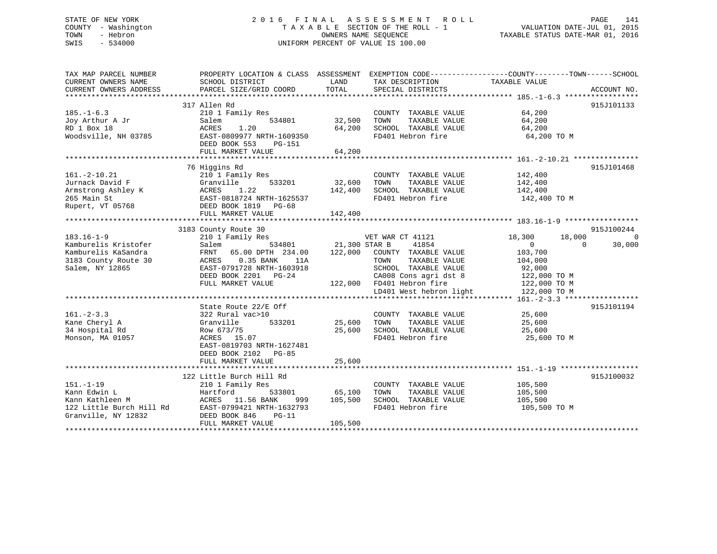# STATE OF NEW YORK 2 0 1 6 F I N A L A S S E S S M E N T R O L L PAGE 141 COUNTY - Washington T A X A B L E SECTION OF THE ROLL - 1 VALUATION DATE-JUL 01, 2015 TOWN - Hebron OWNERS NAME SEQUENCE TAXABLE STATUS DATE-MAR 01, 2016 SWIS - 534000 UNIFORM PERCENT OF VALUE IS 100.00

| TAX MAP PARCEL NUMBER<br>CURRENT OWNERS NAME<br>CURRENT OWNERS ADDRESS | SCHOOL DISTRICT<br>PARCEL SIZE/GRID COORD                                             | LAND<br>TOTAL        | TAX DESCRIPTION<br>SPECIAL DISTRICTS | PROPERTY LOCATION & CLASS ASSESSMENT EXEMPTION CODE---------------COUNTY-------TOWN------SCHOOL<br>TAXABLE VALUE | ACCOUNT NO. |
|------------------------------------------------------------------------|---------------------------------------------------------------------------------------|----------------------|--------------------------------------|------------------------------------------------------------------------------------------------------------------|-------------|
|                                                                        |                                                                                       |                      |                                      |                                                                                                                  |             |
|                                                                        | 317 Allen Rd                                                                          |                      |                                      |                                                                                                                  | 915J101133  |
| $185. - 1 - 6.3$                                                       | 210 1 Family Res                                                                      |                      | COUNTY TAXABLE VALUE                 | 64,200                                                                                                           |             |
| Joy Arthur A Jr                                                        | Salem<br>534801                                                                       | 32,500               | TOWN<br>TAXABLE VALUE                | 64,200                                                                                                           |             |
| RD 1 Box 18                                                            | 1.20<br>ACRES                                                                         | 64,200               | SCHOOL TAXABLE VALUE                 | 64,200                                                                                                           |             |
| Woodsville, NH 03785                                                   | EAST-0809977 NRTH-1609350                                                             |                      | FD401 Hebron fire                    | 64,200 TO M                                                                                                      |             |
|                                                                        | DEED BOOK 553<br>PG-151                                                               |                      |                                      |                                                                                                                  |             |
|                                                                        | FULL MARKET VALUE                                                                     | 64,200               |                                      |                                                                                                                  |             |
|                                                                        |                                                                                       |                      |                                      |                                                                                                                  |             |
|                                                                        | 76 Higgins Rd                                                                         |                      |                                      |                                                                                                                  | 915J101468  |
| $161. - 2 - 10.21$                                                     | 210 1 Family Res                                                                      |                      | COUNTY TAXABLE VALUE                 | 142,400                                                                                                          |             |
| Jurnack David F                                                        | 533201<br>Granville                                                                   | 32,600               | TAXABLE VALUE<br>TOWN                | 142,400                                                                                                          |             |
|                                                                        |                                                                                       | 142,400              | SCHOOL TAXABLE VALUE                 | 142,400                                                                                                          |             |
|                                                                        | Armstrong Ashley K<br>Armstrong Ashley K<br>245 Main St<br>268 Main St<br>269 Main St |                      | FD401 Hebron fire                    | 142,400 TO M                                                                                                     |             |
| Rupert, VT 05768 DEED BOOK 1819                                        | PG-68                                                                                 |                      |                                      |                                                                                                                  |             |
|                                                                        | FULL MARKET VALUE                                                                     | 142,400              |                                      |                                                                                                                  |             |
|                                                                        |                                                                                       |                      |                                      |                                                                                                                  |             |
|                                                                        | 3183 County Route 30                                                                  |                      |                                      |                                                                                                                  | 915J100244  |
| $183.16 - 1 - 9$                                                       | 210 1 Family Res                                                                      |                      | VET WAR CT 41121                     | 18,300<br>18,000                                                                                                 | $\bigcirc$  |
| Kamburelis Kristofer                                                   | Salem                                                                                 | 534801 21,300 STAR B | 41854                                | 0<br>$\Omega$                                                                                                    | 30,000      |
| Kamburelis KaSandra                                                    | FRNT 65.00 DPTH 234.00                                                                |                      | 122,000 COUNTY TAXABLE VALUE         | 103,700                                                                                                          |             |
| 3183 County Route 30                                                   | ACRES 0.35 BANK<br>11A                                                                |                      | TOWN<br>TAXABLE VALUE                | 104,000                                                                                                          |             |
| Salem, NY 12865                                                        | EAST-0791728 NRTH-1603918                                                             |                      | SCHOOL TAXABLE VALUE                 | 92,000                                                                                                           |             |
|                                                                        | DEED BOOK 2201 PG-24                                                                  |                      | CA008 Cons agri dst 8                | 122,000 TO M                                                                                                     |             |
|                                                                        | FULL MARKET VALUE                                                                     |                      | 122,000 FD401 Hebron fire            | 122,000 TO M                                                                                                     |             |
|                                                                        |                                                                                       |                      | LD401 West hebron light              | 122,000 TO M                                                                                                     |             |
|                                                                        | State Route 22/E Off                                                                  |                      |                                      |                                                                                                                  | 915J101194  |
| $161. - 2 - 3.3$                                                       | 322 Rural vac>10                                                                      |                      | COUNTY TAXABLE VALUE                 | 25,600                                                                                                           |             |
| Kane Cheryl A                                                          | 533201<br>Granville                                                                   | 25,600               | TOWN<br>TAXABLE VALUE                | 25,600                                                                                                           |             |
| 34 Hospital Rd                                                         | Row 673/75                                                                            | 25,600               | SCHOOL TAXABLE VALUE                 | 25,600                                                                                                           |             |
| Monson, MA 01057                                                       | ACRES 15.07                                                                           |                      | FD401 Hebron fire                    | 25,600 TO M                                                                                                      |             |
|                                                                        | EAST-0819703 NRTH-1627481                                                             |                      |                                      |                                                                                                                  |             |
|                                                                        | DEED BOOK 2102 PG-85                                                                  |                      |                                      |                                                                                                                  |             |
|                                                                        | FULL MARKET VALUE                                                                     | 25,600               |                                      |                                                                                                                  |             |
|                                                                        |                                                                                       |                      |                                      |                                                                                                                  |             |
|                                                                        | 122 Little Burch Hill Rd                                                              |                      |                                      |                                                                                                                  | 915J100032  |
| $151. - 1 - 19$                                                        | 210 1 Family Res                                                                      |                      | COUNTY TAXABLE VALUE                 | 105,500                                                                                                          |             |
| Kann Edwin L                                                           | Hartford<br>533801                                                                    | 65,100               | TOWN<br>TAXABLE VALUE                | 105,500                                                                                                          |             |
| Kann Kathleen M                                                        | ACRES 11.56 BANK                                                                      | 999 105,500          | SCHOOL TAXABLE VALUE                 | 105,500                                                                                                          |             |
| 122 Little Burch Hill Rd                                               | EAST-0799421 NRTH-1632793                                                             |                      | FD401 Hebron fire                    | 105,500 TO M                                                                                                     |             |
| Granville, NY 12832                                                    | DEED BOOK 846<br>$PG-11$                                                              |                      |                                      |                                                                                                                  |             |
|                                                                        | FULL MARKET VALUE                                                                     | 105,500              |                                      |                                                                                                                  |             |
|                                                                        |                                                                                       |                      |                                      |                                                                                                                  |             |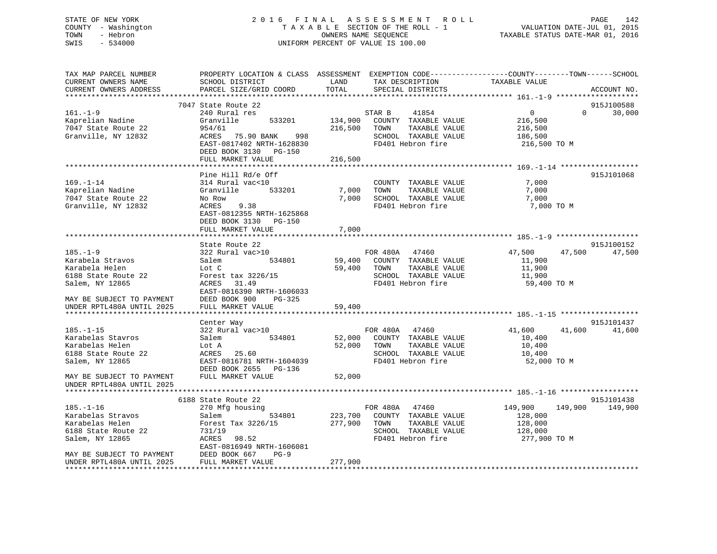# STATE OF NEW YORK 2 0 1 6 F I N A L A S S E S S M E N T R O L L PAGE 142 COUNTY - Washington T A X A B L E SECTION OF THE ROLL - 1 VALUATION DATE-JUL 01, 2015 TOWN - Hebron OWNERS NAME SEQUENCE TAXABLE STATUS DATE-MAR 01, 2016 SWIS - 534000 UNIFORM PERCENT OF VALUE IS 100.00

| TAX MAP PARCEL NUMBER<br>CURRENT OWNERS NAME<br>CURRENT OWNERS ADDRESS            | PROPERTY LOCATION & CLASS ASSESSMENT EXEMPTION CODE----------------COUNTY-------TOWN------SCHOOL<br>SCHOOL DISTRICT<br>PARCEL SIZE/GRID COORD | LAND<br>TOTAL | TAX DESCRIPTION<br>SPECIAL DISTRICTS                                                             | TAXABLE VALUE                                      |          | ACCOUNT NO.          |
|-----------------------------------------------------------------------------------|-----------------------------------------------------------------------------------------------------------------------------------------------|---------------|--------------------------------------------------------------------------------------------------|----------------------------------------------------|----------|----------------------|
|                                                                                   |                                                                                                                                               |               |                                                                                                  |                                                    |          |                      |
|                                                                                   | 7047 State Route 22                                                                                                                           |               |                                                                                                  |                                                    |          | 915J100588           |
| $161. - 1 - 9$<br>Kaprelian Nadine<br>7047 State Route 22<br>Granville, NY 12832  | 240 Rural res<br>533201<br>Granville<br>954/61<br>998<br>ACRES 75.90 BANK                                                                     | 216,500       | STAR B<br>41854<br>134,900 COUNTY TAXABLE VALUE<br>TOWN<br>TAXABLE VALUE<br>SCHOOL TAXABLE VALUE | $0 \qquad \qquad$<br>216,500<br>216,500<br>186,500 | $\Omega$ | 30,000               |
|                                                                                   | EAST-0817402 NRTH-1628830<br>DEED BOOK 3130 PG-150<br>FULL MARKET VALUE                                                                       | 216,500       | FD401 Hebron fire                                                                                | 216,500 TO M                                       |          |                      |
|                                                                                   |                                                                                                                                               |               |                                                                                                  |                                                    |          |                      |
|                                                                                   | Pine Hill Rd/e Off                                                                                                                            |               |                                                                                                  |                                                    |          | 915J101068           |
| $169. - 1 - 14$<br>Kaprelian Nadine<br>7047 State Route 22<br>Granville, NY 12832 | 314 Rural vac<10<br>533201<br>Granville<br>No Row<br>9.38<br>ACRES<br>EAST-0812355 NRTH-1625868                                               | 7,000         | COUNTY TAXABLE VALUE<br>TOWN<br>TAXABLE VALUE<br>7,000 SCHOOL TAXABLE VALUE<br>FD401 Hebron fire | 7,000<br>7,000<br>7,000<br>7,000 TO M              |          |                      |
|                                                                                   | DEED BOOK 3130 PG-150                                                                                                                         |               |                                                                                                  |                                                    |          |                      |
|                                                                                   | FULL MARKET VALUE                                                                                                                             | 7,000         |                                                                                                  |                                                    |          |                      |
|                                                                                   |                                                                                                                                               |               |                                                                                                  |                                                    |          |                      |
| $185. - 1 - 9$                                                                    | State Route 22<br>322 Rural vac>10                                                                                                            |               | FOR 480A 47460                                                                                   | 47,500                                             | 47,500   | 915J100152<br>47,500 |
| Karabela Stravos                                                                  | 534801<br>Salem                                                                                                                               |               | 59,400 COUNTY TAXABLE VALUE                                                                      | 11,900                                             |          |                      |
| Karabela Helen                                                                    | Lot C                                                                                                                                         | 59,400        | TOWN<br>TAXABLE VALUE                                                                            | 11,900                                             |          |                      |
| 6188 State Route 22                                                               | Forest tax 3226/15                                                                                                                            |               | SCHOOL TAXABLE VALUE                                                                             | 11,900                                             |          |                      |
| Salem, NY 12865                                                                   | ACRES 31.49                                                                                                                                   |               | FD401 Hebron fire                                                                                | 59,400 TO M                                        |          |                      |
|                                                                                   | EAST-0816390 NRTH-1606033                                                                                                                     |               |                                                                                                  |                                                    |          |                      |
| MAY BE SUBJECT TO PAYMENT                                                         | DEED BOOK 900<br>PG-325                                                                                                                       |               |                                                                                                  |                                                    |          |                      |
| UNDER RPTL480A UNTIL 2025                                                         | FULL MARKET VALUE                                                                                                                             | 59,400        |                                                                                                  |                                                    |          |                      |
|                                                                                   |                                                                                                                                               |               |                                                                                                  |                                                    |          |                      |
|                                                                                   | Center Way                                                                                                                                    |               |                                                                                                  |                                                    |          | 915J101437           |
| $185. - 1 - 15$                                                                   | 322 Rural vac>10                                                                                                                              |               | FOR 480A 47460                                                                                   | 41,600                                             | 41,600   | 41,600               |
| Karabelas Stavros<br>Karabelas Helen                                              | Salem 534801<br>Lot A                                                                                                                         |               | 52,000 COUNTY TAXABLE VALUE<br>TAXABLE VALUE<br>52,000 TOWN                                      | 10,400<br>10,400                                   |          |                      |
| 6188 State Route 22                                                               | ACRES 25.60                                                                                                                                   |               | SCHOOL TAXABLE VALUE                                                                             | 10,400                                             |          |                      |
| Salem, NY 12865                                                                   | EAST-0816781 NRTH-1604039                                                                                                                     |               | FD401 Hebron fire                                                                                | 52,000 TO M                                        |          |                      |
|                                                                                   | DEED BOOK 2655 PG-136                                                                                                                         |               |                                                                                                  |                                                    |          |                      |
| MAY BE SUBJECT TO PAYMENT<br>UNDER RPTL480A UNTIL 2025                            | FULL MARKET VALUE                                                                                                                             | 52,000        |                                                                                                  |                                                    |          |                      |
|                                                                                   |                                                                                                                                               |               |                                                                                                  |                                                    |          |                      |
|                                                                                   | 6188 State Route 22                                                                                                                           |               |                                                                                                  |                                                    |          | 915J101438           |
| $185. - 1 - 16$                                                                   | 270 Mfg housing                                                                                                                               |               | FOR 480A 47460                                                                                   | 149,900                                            | 149,900  | 149,900              |
| Karabelas Stravos                                                                 | Salem<br>534801                                                                                                                               |               | 223,700 COUNTY TAXABLE VALUE                                                                     | 128,000                                            |          |                      |
| Karabelas Helen                                                                   | Forest Tax 3226/15                                                                                                                            | 277,900 TOWN  | TAXABLE VALUE                                                                                    | 128,000                                            |          |                      |
| 6188 State Route 22<br>Salem, NY 12865                                            | 731/19<br>ACRES 98.52                                                                                                                         |               | SCHOOL TAXABLE VALUE<br>FD401 Hebron fire                                                        | 128,000<br>277,900 TO M                            |          |                      |
|                                                                                   | EAST-0816949 NRTH-1606081                                                                                                                     |               |                                                                                                  |                                                    |          |                      |
| MAY BE SUBJECT TO PAYMENT                                                         | DEED BOOK 667<br>$PG-9$                                                                                                                       |               |                                                                                                  |                                                    |          |                      |
| UNDER RPTL480A UNTIL 2025                                                         | FULL MARKET VALUE                                                                                                                             | 277,900       |                                                                                                  |                                                    |          |                      |
|                                                                                   |                                                                                                                                               |               |                                                                                                  |                                                    |          |                      |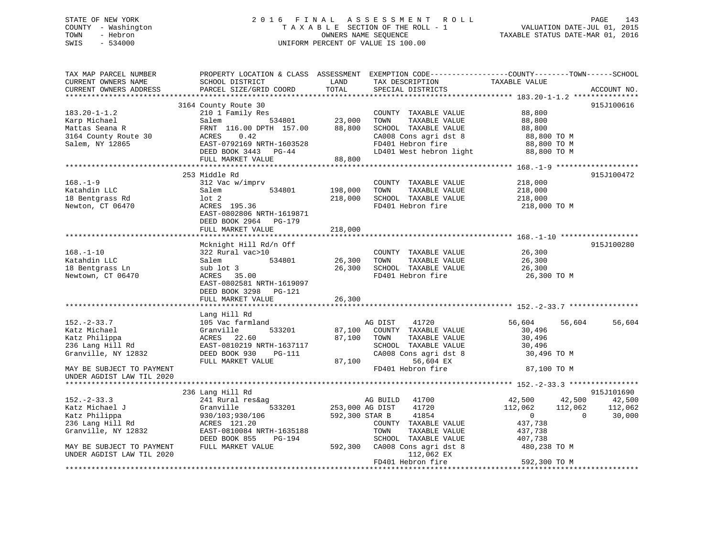# STATE OF NEW YORK 2 0 1 6 F I N A L A S S E S S M E N T R O L L PAGE 143 COUNTY - Washington T A X A B L E SECTION OF THE ROLL - 1 VALUATION DATE-JUL 01, 2015 TOWN - Hebron OWNERS NAME SEQUENCE TAXABLE STATUS DATE-MAR 01, 2016 SWIS - 534000 UNIFORM PERCENT OF VALUE IS 100.00

| TAX MAP PARCEL NUMBER<br>CURRENT OWNERS NAME | PROPERTY LOCATION & CLASS ASSESSMENT EXEMPTION CODE---------------COUNTY-------TOWN------SCHOOL<br>SCHOOL DISTRICT | LAND                   | TAX DESCRIPTION         | TAXABLE VALUE      |                          |
|----------------------------------------------|--------------------------------------------------------------------------------------------------------------------|------------------------|-------------------------|--------------------|--------------------------|
| CURRENT OWNERS ADDRESS                       | PARCEL SIZE/GRID COORD                                                                                             | TOTAL                  | SPECIAL DISTRICTS       |                    | ACCOUNT NO.              |
| ***********************                      |                                                                                                                    |                        |                         |                    |                          |
|                                              | 3164 County Route 30                                                                                               |                        |                         |                    | 915J100616               |
| $183.20 - 1 - 1.2$                           | 210 1 Family Res                                                                                                   |                        | COUNTY TAXABLE VALUE    | 88,800             |                          |
| Karp Michael                                 | Salem                                                                                                              | 。<br>534801     23,000 | TOWN<br>TAXABLE VALUE   | 88,800             |                          |
| Mattas Seana R                               | FRNT 116.00 DPTH 157.00                                                                                            | 88,800                 | SCHOOL TAXABLE VALUE    | 88,800             |                          |
| 3164 County Route 30                         | 0.42<br>ACRES                                                                                                      |                        | CA008 Cons agri dst 8   | 88,800 TO M        |                          |
| Salem, NY 12865                              | EAST-0792169 NRTH-1603528                                                                                          |                        | FD401 Hebron fire       | 88,800 TO M        |                          |
|                                              | DEED BOOK 3443 PG-44                                                                                               |                        | LD401 West hebron light | 88,800 TO M        |                          |
|                                              | FULL MARKET VALUE                                                                                                  | 88,800                 |                         |                    |                          |
|                                              |                                                                                                                    |                        |                         |                    |                          |
|                                              | 253 Middle Rd                                                                                                      |                        |                         |                    | 915J100472               |
| $168. - 1 - 9$                               | 312 Vac w/imprv                                                                                                    |                        | COUNTY TAXABLE VALUE    | 218,000            |                          |
| Katahdin LLC                                 | 534801<br>Salem                                                                                                    | 198,000                | TOWN<br>TAXABLE VALUE   | 218,000            |                          |
| 18 Bentgrass Rd                              | $1$ ot $2$                                                                                                         | 218,000                | SCHOOL TAXABLE VALUE    | 218,000            |                          |
| Newton, CT 06470                             | ACRES 195.36                                                                                                       |                        | FD401 Hebron fire       | 218,000 TO M       |                          |
|                                              | EAST-0802806 NRTH-1619871                                                                                          |                        |                         |                    |                          |
|                                              | DEED BOOK 2964 PG-179                                                                                              |                        |                         |                    |                          |
|                                              | FULL MARKET VALUE                                                                                                  | 218,000                |                         |                    |                          |
|                                              |                                                                                                                    |                        |                         |                    |                          |
|                                              | Mcknight Hill Rd/n Off                                                                                             |                        |                         |                    | 915J100280               |
| $168. - 1 - 10$                              | 322 Rural vac>10                                                                                                   |                        | COUNTY TAXABLE VALUE    | 26,300             |                          |
| Katahdin LLC                                 | 534801<br>Salem                                                                                                    | 26,300                 | TOWN<br>TAXABLE VALUE   | 26,300             |                          |
| 18 Bentgrass Ln                              | sub lot 3                                                                                                          | 26,300                 | SCHOOL TAXABLE VALUE    | 26,300             |                          |
| Newtown, CT 06470                            | ACRES 35.00                                                                                                        |                        | FD401 Hebron fire       | 26,300 TO M        |                          |
|                                              | EAST-0802581 NRTH-1619097                                                                                          |                        |                         |                    |                          |
|                                              | DEED BOOK 3298 PG-121                                                                                              |                        |                         |                    |                          |
|                                              | FULL MARKET VALUE                                                                                                  | 26,300                 |                         |                    |                          |
|                                              |                                                                                                                    |                        |                         |                    |                          |
|                                              | Lang Hill Rd                                                                                                       |                        |                         |                    |                          |
| $152. - 2 - 33.7$                            | 105 Vac farmland                                                                                                   |                        | AG DIST<br>41720        | 56,604<br>56,604   | 56,604                   |
| Katz Michael                                 | Granville<br>533201                                                                                                | 87,100                 | COUNTY TAXABLE VALUE    | 30,496             |                          |
| Katz Philippa                                | ACRES 22.60                                                                                                        | 87,100 TOWN            | TAXABLE VALUE           | 30,496             |                          |
| 236 Lang Hill Rd                             | EAST-0810219 NRTH-1637117                                                                                          |                        | SCHOOL TAXABLE VALUE    | 30,496             |                          |
| Granville, NY 12832                          | DEED BOOK 930<br>PG-111                                                                                            |                        | CA008 Cons agri dst 8   | 30,496 TO M        |                          |
|                                              | FULL MARKET VALUE                                                                                                  | 87,100                 | 56,604 EX               |                    |                          |
| MAY BE SUBJECT TO PAYMENT                    |                                                                                                                    |                        | FD401 Hebron fire       | 87,100 TO M        |                          |
| UNDER AGDIST LAW TIL 2020                    |                                                                                                                    |                        |                         |                    |                          |
|                                              |                                                                                                                    |                        |                         |                    |                          |
|                                              | 236 Lang Hill Rd                                                                                                   |                        |                         |                    | 915J101690               |
| $152 - 2 - 33.3$                             | 241 Rural res&ag                                                                                                   |                        | AG BUILD<br>41700       | 42,500<br>42,500   | 42,500                   |
| Katz Michael J                               | 533201<br>Granville                                                                                                | 253,000 AG DIST        | 41720                   | 112,062<br>112,062 | 112,062                  |
| Katz Philippa                                | 930/103;930/106                                                                                                    | 592,300 STAR B         | 41854                   | $\overline{0}$     | $\overline{0}$<br>30,000 |
| 236 Lang Hill Rd                             | ACRES 121.20                                                                                                       |                        | COUNTY TAXABLE VALUE    | 437,738            |                          |
| Granville, NY 12832                          | EAST-0810084 NRTH-1635188                                                                                          |                        | TAXABLE VALUE<br>TOWN   | 437,738            |                          |
|                                              | DEED BOOK 855<br>PG-194                                                                                            |                        | SCHOOL TAXABLE VALUE    | 407,738            |                          |
| MAY BE SUBJECT TO PAYMENT                    | FULL MARKET VALUE                                                                                                  | 592,300                | CA008 Cons agri dst 8   | 480,238 TO M       |                          |
| UNDER AGDIST LAW TIL 2020                    |                                                                                                                    |                        | 112,062 EX              |                    |                          |
|                                              |                                                                                                                    |                        | FD401 Hebron fire       | 592,300 TO M       |                          |
|                                              |                                                                                                                    |                        |                         |                    |                          |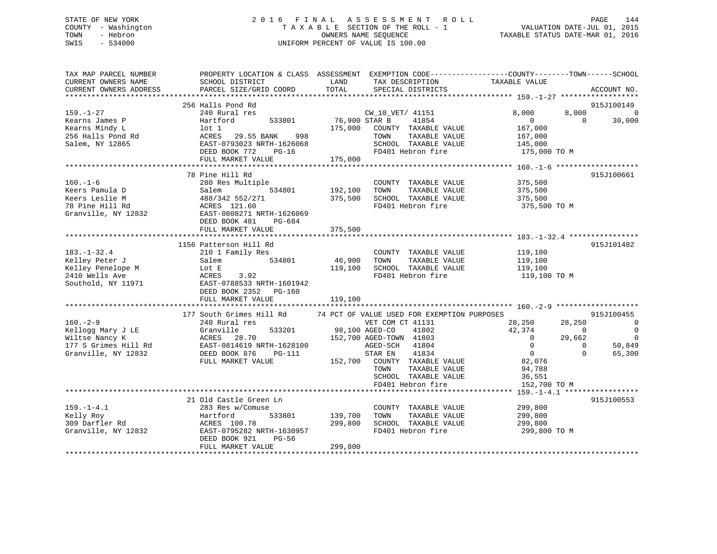# STATE OF NEW YORK 2 0 1 6 F I N A L A S S E S S M E N T R O L L PAGE 144 COUNTY - Washington T A X A B L E SECTION OF THE ROLL - 1 VALUATION DATE-JUL 01, 2015 TOWN - Hebron OWNERS NAME SEQUENCE TAXABLE STATUS DATE-MAR 01, 2016 SWIS - 534000 UNIFORM PERCENT OF VALUE IS 100.00

| TAX MAP PARCEL NUMBER<br>CURRENT OWNERS NAME<br>CURRENT OWNERS ADDRESS                               | SCHOOL DISTRICT<br>PARCEL SIZE/GRID COORD                                                                                                                    | LAND<br>TAX DESCRIPTION<br>TOTAL<br>SPECIAL DISTRICTS                                                                                                                                                                                                                | PROPERTY LOCATION & CLASS ASSESSMENT EXEMPTION CODE---------------COUNTY-------TOWN-----SCHOOL<br>TAXABLE VALUE<br>ACCOUNT NO.                                                                                                                                          |
|------------------------------------------------------------------------------------------------------|--------------------------------------------------------------------------------------------------------------------------------------------------------------|----------------------------------------------------------------------------------------------------------------------------------------------------------------------------------------------------------------------------------------------------------------------|-------------------------------------------------------------------------------------------------------------------------------------------------------------------------------------------------------------------------------------------------------------------------|
|                                                                                                      | 256 Halls Pond Rd                                                                                                                                            |                                                                                                                                                                                                                                                                      | 915J100149                                                                                                                                                                                                                                                              |
| $159. - 1 - 27$<br>Kearns James P<br>Kearns Mindy L<br>256 Halls Pond Rd<br>Salem, NY 12865          | 240 Rural res<br>Hartford<br>533801<br>$1$ ot $1$<br>29.55 BANK<br>998<br>ACRES<br>EAST-0793023 NRTH-1626068                                                 | CW_10_VET/ 41151<br>76,900 STAR B<br>41854<br>175,000 COUNTY TAXABLE VALUE<br>TAXABLE VALUE<br>TOWN<br>SCHOOL TAXABLE VALUE                                                                                                                                          | 8,000<br>8,000<br>$\overline{0}$<br>$\overline{0}$<br>$\Omega$<br>30,000<br>167,000<br>167,000<br>145,000                                                                                                                                                               |
|                                                                                                      | DEED BOOK 772<br>PG-16                                                                                                                                       | FD401 Hebron fire                                                                                                                                                                                                                                                    | 175,000 TO M                                                                                                                                                                                                                                                            |
|                                                                                                      | FULL MARKET VALUE<br>******************************                                                                                                          | 175,000                                                                                                                                                                                                                                                              |                                                                                                                                                                                                                                                                         |
| $160. - 1 - 6$<br>Keers Pamula D<br>Keers Leslie M<br>78 Pine Hill Rd<br>Granville, NY 12832         | 78 Pine Hill Rd<br>280 Res Multiple<br>Salem<br>534801<br>488/342 552/271<br>ACRES 121.60<br>EAST-0808271 NRTH-1626069<br>DEED BOOK 481<br>PG-684            | COUNTY TAXABLE VALUE<br>192,100<br>TOWN<br>TAXABLE VALUE<br>375,500<br>SCHOOL TAXABLE VALUE<br>FD401 Hebron fire                                                                                                                                                     | 915J100661<br>375,500<br>375,500<br>375,500<br>375,500 TO M                                                                                                                                                                                                             |
|                                                                                                      | FULL MARKET VALUE                                                                                                                                            | 375,500                                                                                                                                                                                                                                                              |                                                                                                                                                                                                                                                                         |
|                                                                                                      | 1156 Patterson Hill Rd                                                                                                                                       |                                                                                                                                                                                                                                                                      | 915J101482                                                                                                                                                                                                                                                              |
| $183. - 1 - 32.4$<br>Kelley Peter J<br>Kelley Penelope M<br>2410 Wells Ave<br>Southold, NY 11971     | 210 1 Family Res<br>534801<br>Salem<br>Lot E<br>ACRES<br>3.92<br>EAST-0788533 NRTH-1601942<br>DEED BOOK 2352 PG-160<br>FULL MARKET VALUE                     | COUNTY TAXABLE VALUE<br>46,900<br>TOWN<br>TAXABLE VALUE<br>119,100<br>SCHOOL TAXABLE VALUE<br>FD401 Hebron fire<br>119,100                                                                                                                                           | 119,100<br>119,100<br>119,100<br>119,100 TO M                                                                                                                                                                                                                           |
|                                                                                                      |                                                                                                                                                              |                                                                                                                                                                                                                                                                      |                                                                                                                                                                                                                                                                         |
| $160. - 2 - 9$<br>Kellogg Mary J LE<br>Wiltse Nancy K<br>177 S Grimes Hill Rd<br>Granville, NY 12832 | 177 South Grimes Hill Rd<br>240 Rural res<br>533201<br>Granville<br>ACRES 28.70<br>EAST-0814619 NRTH-1628100<br>DEED BOOK 876<br>PG-111<br>FULL MARKET VALUE | 74 PCT OF VALUE USED FOR EXEMPTION PURPOSES<br>VET COM CT 41131<br>98,100 AGED-CO<br>41802<br>152,700 AGED-TOWN 41803<br>AGED-SCH<br>41804<br>STAR EN<br>41834<br>152,700 COUNTY TAXABLE VALUE<br>TOWN<br>TAXABLE VALUE<br>SCHOOL TAXABLE VALUE<br>FD401 Hebron fire | 915J100455<br>28,250<br>28,250<br>$\overline{0}$<br>42,374<br>$\mathbf 0$<br>$\overline{0}$<br>29,662<br>$\overline{0}$<br>$\overline{0}$<br>$\overline{0}$<br>50,849<br>$\Omega$<br>$\overline{0}$<br>$\Omega$<br>65,300<br>82,076<br>94,788<br>36,551<br>152,700 TO M |
|                                                                                                      |                                                                                                                                                              |                                                                                                                                                                                                                                                                      |                                                                                                                                                                                                                                                                         |
| $159. - 1 - 4.1$<br>Kelly Roy<br>309 Darfler Rd<br>Granville, NY 12832                               | 21 Old Castle Green Ln<br>283 Res w/Comuse<br>533801<br>Hartford<br>ACRES 100.78<br>EAST-0795282 NRTH-1630957<br>DEED BOOK 921<br>PG-56                      | COUNTY TAXABLE VALUE<br>139,700<br>TAXABLE VALUE<br>TOWN<br>299,800<br>SCHOOL TAXABLE VALUE<br>FD401 Hebron fire                                                                                                                                                     | 915J100553<br>299,800<br>299,800<br>299,800<br>299,800 TO M                                                                                                                                                                                                             |
|                                                                                                      | FULL MARKET VALUE                                                                                                                                            | 299,800                                                                                                                                                                                                                                                              |                                                                                                                                                                                                                                                                         |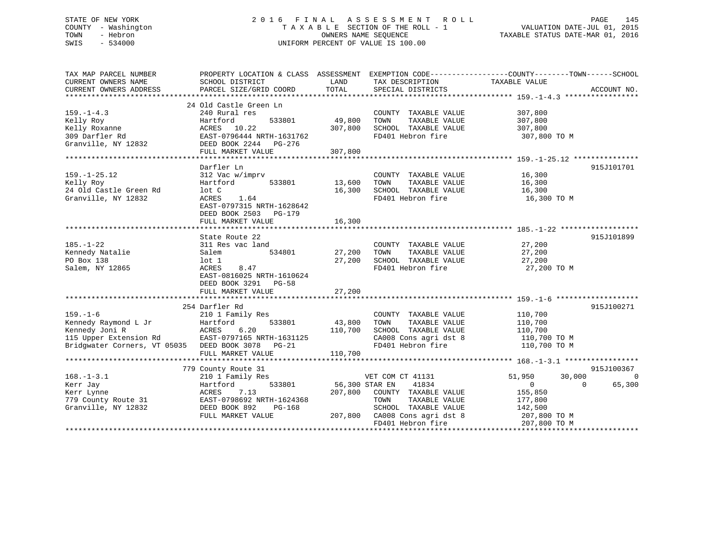## STATE OF NEW YORK 2 0 1 6 F I N A L A S S E S S M E N T R O L L PAGE 145 COUNTY - Washington T A X A B L E SECTION OF THE ROLL - 1 VALUATION DATE-JUL 01, 2015 TOWN - Hebron OWNERS NAME SEQUENCE TAXABLE STATUS DATE-MAR 01, 2016 SWIS - 534000 UNIFORM PERCENT OF VALUE IS 100.00

| TAX MAP PARCEL NUMBER                             | PROPERTY LOCATION & CLASS ASSESSMENT EXEMPTION CODE---------------COUNTY-------TOWN------SCHOOL |         |                               |                       |                    |
|---------------------------------------------------|-------------------------------------------------------------------------------------------------|---------|-------------------------------|-----------------------|--------------------|
| CURRENT OWNERS NAME                               | SCHOOL DISTRICT                                                                                 | LAND    | TAX DESCRIPTION               | TAXABLE VALUE         |                    |
| CURRENT OWNERS ADDRESS                            | PARCEL SIZE/GRID COORD                                                                          | TOTAL   | SPECIAL DISTRICTS             |                       | ACCOUNT NO.        |
|                                                   |                                                                                                 |         |                               |                       |                    |
|                                                   | 24 Old Castle Green Ln                                                                          |         |                               |                       |                    |
| $159. - 1 - 4.3$                                  | 240 Rural res                                                                                   |         | COUNTY TAXABLE VALUE          | 307,800               |                    |
| Kelly Roy                                         | Hartford<br>533801                                                                              | 49,800  | TOWN<br>TAXABLE VALUE         | 307,800               |                    |
| Kelly Roxanne                                     | ACRES 10.22                                                                                     | 307,800 | SCHOOL TAXABLE VALUE          | 307,800               |                    |
| 309 Darfler Rd                                    | EAST-0796444 NRTH-1631762                                                                       |         | FD401 Hebron fire             | 307,800 TO M          |                    |
| Granville, NY 12832                               | DEED BOOK 2244 PG-276                                                                           |         |                               |                       |                    |
|                                                   | FULL MARKET VALUE                                                                               | 307,800 |                               |                       |                    |
|                                                   |                                                                                                 |         |                               |                       |                    |
|                                                   | Darfler Ln                                                                                      |         |                               |                       | 915J101701         |
| $159. - 1 - 25.12$                                | 312 Vac w/imprv                                                                                 |         | COUNTY TAXABLE VALUE          | 16,300                |                    |
| Kelly Roy                                         | Hartford<br>533801                                                                              | 13,600  | TAXABLE VALUE<br>TOWN         | 16,300                |                    |
| 24 Old Castle Green Rd                            | lot C                                                                                           | 16,300  | SCHOOL TAXABLE VALUE          | 16,300                |                    |
| Granville, NY 12832                               | 1.64<br>ACRES                                                                                   |         | FD401 Hebron fire             | 16,300 TO M           |                    |
|                                                   | EAST-0797315 NRTH-1628642                                                                       |         |                               |                       |                    |
|                                                   |                                                                                                 |         |                               |                       |                    |
|                                                   | DEED BOOK 2503 PG-179                                                                           |         |                               |                       |                    |
|                                                   | FULL MARKET VALUE                                                                               | 16,300  |                               |                       |                    |
|                                                   |                                                                                                 |         |                               |                       |                    |
|                                                   | State Route 22                                                                                  |         |                               |                       | 915J101899         |
| $185. - 1 - 22$                                   | 311 Res vac land                                                                                |         | COUNTY TAXABLE VALUE          | 27,200                |                    |
| Kennedy Natalie                                   | 534801<br>Salem                                                                                 | 27,200  | TOWN<br>TAXABLE VALUE         | 27,200                |                    |
| PO Box 138                                        | lot 1                                                                                           | 27,200  | SCHOOL TAXABLE VALUE          | 27,200                |                    |
| Salem, NY 12865                                   | ACRES<br>8.47                                                                                   |         | FD401 Hebron fire             | 27,200 TO M           |                    |
|                                                   | EAST-0816025 NRTH-1610624                                                                       |         |                               |                       |                    |
|                                                   | DEED BOOK 3291 PG-58                                                                            |         |                               |                       |                    |
|                                                   | FULL MARKET VALUE                                                                               | 27,200  |                               |                       |                    |
|                                                   |                                                                                                 |         |                               |                       |                    |
|                                                   | 254 Darfler Rd                                                                                  |         |                               |                       | 915J100271         |
| $159. - 1 - 6$                                    | 210 1 Family Res                                                                                |         | COUNTY TAXABLE VALUE          | 110,700               |                    |
| Kennedy Raymond L Jr                              | 533801<br>Hartford                                                                              | 43,800  | TAXABLE VALUE<br>TOWN         | 110,700               |                    |
| Kennedy Joni R                                    | ACRES<br>6.20                                                                                   | 110,700 | SCHOOL TAXABLE VALUE          | $\frac{1}{110}$ , 700 |                    |
| 115 Upper Extension Rd                            | EAST-0797165 NRTH-1631125                                                                       |         | CA008 Cons agri dst 8         | 110,700 TO M          |                    |
| Bridqwater Corners, VT 05035 DEED BOOK 3078 PG-21 |                                                                                                 |         | FD401 Hebron fire             | 110,700 TO M          |                    |
|                                                   | FULL MARKET VALUE                                                                               | 110,700 |                               |                       |                    |
|                                                   |                                                                                                 |         |                               |                       |                    |
|                                                   | 779 County Route 31                                                                             |         |                               |                       | 915J100367         |
|                                                   |                                                                                                 |         |                               |                       |                    |
| $168. - 1 - 3.1$                                  | 210 1 Family Res                                                                                |         | VET COM CT 41131              | 51,950<br>30,000      | $\Omega$           |
| Kerr Jay                                          | Hartford<br>533801                                                                              |         | 56,300 STAR EN 41834          | $\overline{0}$        | 65,300<br>$\Omega$ |
| Kerr Lynne                                        | ACRES<br>7.13                                                                                   | 207,800 | COUNTY TAXABLE VALUE          | 155,850               |                    |
| 779 County Route 31                               | EAST-0798692 NRTH-1624368                                                                       |         | TOWN<br>TAXABLE VALUE         | 177,800               |                    |
| Granville, NY 12832                               | DEED BOOK 892<br>PG-168                                                                         |         | SCHOOL TAXABLE VALUE          | 142,500               |                    |
|                                                   | FULL MARKET VALUE                                                                               |         | 207,800 CA008 Cons agri dst 8 | 207,800 TO M          |                    |
|                                                   |                                                                                                 |         | FD401 Hebron fire             | 207,800 TO M          |                    |
|                                                   |                                                                                                 |         |                               |                       |                    |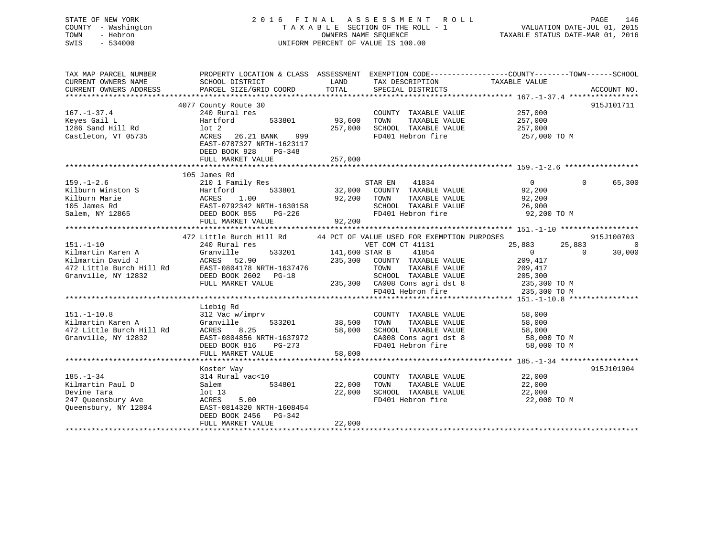| STATE OF NEW YORK<br>COUNTY - Washington<br>TOWN<br>- Hebron<br>$-534000$<br>SWIS                            | 2016 FINAL                                                                                                                                                                             |                                      | A S S E S S M E N T<br>R O L L<br>TAXABLE SECTION OF THE ROLL - 1<br>OWNERS NAME SEQUENCE<br>UNIFORM PERCENT OF VALUE IS 100.00                                                                 | VALUATION DATE-JUL 01, 2015<br>TAXABLE STATUS DATE-MAR 01, 2016                                                 | PAGE<br>146                            |
|--------------------------------------------------------------------------------------------------------------|----------------------------------------------------------------------------------------------------------------------------------------------------------------------------------------|--------------------------------------|-------------------------------------------------------------------------------------------------------------------------------------------------------------------------------------------------|-----------------------------------------------------------------------------------------------------------------|----------------------------------------|
| TAX MAP PARCEL NUMBER<br>CURRENT OWNERS NAME<br>CURRENT OWNERS ADDRESS                                       | SCHOOL DISTRICT<br>PARCEL SIZE/GRID COORD                                                                                                                                              | LAND<br>TOTAL                        | TAX DESCRIPTION<br>SPECIAL DISTRICTS                                                                                                                                                            | PROPERTY LOCATION & CLASS ASSESSMENT EXEMPTION CODE---------------COUNTY-------TOWN-----SCHOOL<br>TAXABLE VALUE | ACCOUNT NO.                            |
| $167. - 1 - 37.4$<br>Keyes Gail L<br>1286 Sand Hill Rd<br>Castleton, VT 05735                                | 4077 County Route 30<br>240 Rural res<br>Hartford<br>533801<br>$1$ ot $2$<br>ACRES<br>26.21 BANK<br>999<br>EAST-0787327 NRTH-1623117<br>DEED BOOK 928<br>$PG-348$<br>FULL MARKET VALUE | 93,600<br>257,000<br>257,000         | COUNTY TAXABLE VALUE<br>TOWN<br>TAXABLE VALUE<br>SCHOOL TAXABLE VALUE<br>FD401 Hebron fire                                                                                                      | 257,000<br>257,000<br>257,000<br>257,000 TO M                                                                   | 915J101711                             |
|                                                                                                              |                                                                                                                                                                                        |                                      |                                                                                                                                                                                                 |                                                                                                                 |                                        |
| $159. - 1 - 2.6$<br>Kilburn Winston S<br>Kilburn Marie<br>105 James Rd<br>Salem, NY 12865                    | 105 James Rd<br>210 1 Family Res<br>533801<br>Hartford<br>ACRES<br>1.00<br>EAST-0792342 NRTH-1630158<br>DEED BOOK 855<br>PG-226<br>FULL MARKET VALUE                                   | 32,000<br>92,200<br>92,200           | STAR EN<br>41834<br>COUNTY TAXABLE VALUE<br>TAXABLE VALUE<br>TOWN<br>SCHOOL TAXABLE VALUE<br>FD401 Hebron fire                                                                                  | $\overline{0}$<br>$\Omega$<br>92,200<br>92,200<br>26,900<br>92,200 TO M                                         | 65,300                                 |
|                                                                                                              |                                                                                                                                                                                        |                                      |                                                                                                                                                                                                 |                                                                                                                 |                                        |
| $151. - 1 - 10$<br>Kilmartin Karen A<br>Kilmartin David J<br>472 Little Burch Hill Rd<br>Granville, NY 12832 | 472 Little Burch Hill Rd<br>240 Rural res<br>Granville<br>533201<br>52.90<br>ACRES<br>EAST-0804178 NRTH-1637476<br>DEED BOOK 2602 PG-18<br>FULL MARKET VALUE                           | 141,600 STAR B<br>235,300<br>235,300 | 44 PCT OF VALUE USED FOR EXEMPTION PURPOSES<br>VET COM CT 41131<br>41854<br>COUNTY TAXABLE VALUE<br>TAXABLE VALUE<br>TOWN<br>SCHOOL TAXABLE VALUE<br>CA008 Cons agri dst 8<br>FD401 Hebron fire | 25,883<br>25,883<br>$\Omega$<br>$\mathbf{0}$<br>209,417<br>209,417<br>205,300<br>235,300 TO M<br>235,300 TO M   | 915J100703<br>$\overline{0}$<br>30,000 |
|                                                                                                              |                                                                                                                                                                                        |                                      |                                                                                                                                                                                                 |                                                                                                                 |                                        |
| $151. - 1 - 10.8$<br>Kilmartin Karen A<br>472 Little Burch Hill Rd<br>Granville, NY 12832                    | Liebig Rd<br>312 Vac w/imprv<br>533201<br>Granville<br>ACRES<br>8.25<br>EAST-0804856 NRTH-1637972<br>DEED BOOK 816<br>$PG-273$                                                         | 38,500<br>58,000                     | COUNTY TAXABLE VALUE<br>TAXABLE VALUE<br>TOWN<br>SCHOOL TAXABLE VALUE<br>CA008 Cons agri dst 8<br>FD401 Hebron fire                                                                             | 58,000<br>58,000<br>58,000<br>58,000 TO M<br>58,000 TO M                                                        |                                        |
|                                                                                                              | FULL MARKET VALUE                                                                                                                                                                      | 58,000                               |                                                                                                                                                                                                 |                                                                                                                 |                                        |
| $185. - 1 - 34$<br>Kilmartin Paul D<br>Devine Tara<br>247 Queensbury Ave<br>Queensbury, NY 12804             | Koster Way<br>314 Rural vac<10<br>534801<br>Salem<br>lot <sub>13</sub><br>ACRES<br>5.00<br>EAST-0814320 NRTH-1608454<br>DEED BOOK 2456 PG-342<br>FULL MARKET VALUE                     | 22,000<br>22,000<br>22,000           | COUNTY TAXABLE VALUE<br>TAXABLE VALUE<br>TOWN<br>SCHOOL TAXABLE VALUE<br>FD401 Hebron fire                                                                                                      | 22,000<br>22,000<br>22,000<br>22,000 TO M                                                                       | 915J101904                             |

\*\*\*\*\*\*\*\*\*\*\*\*\*\*\*\*\*\*\*\*\*\*\*\*\*\*\*\*\*\*\*\*\*\*\*\*\*\*\*\*\*\*\*\*\*\*\*\*\*\*\*\*\*\*\*\*\*\*\*\*\*\*\*\*\*\*\*\*\*\*\*\*\*\*\*\*\*\*\*\*\*\*\*\*\*\*\*\*\*\*\*\*\*\*\*\*\*\*\*\*\*\*\*\*\*\*\*\*\*\*\*\*\*\*\*\*\*\*\*\*\*\*\*\*\*\*\*\*\*\*\*\*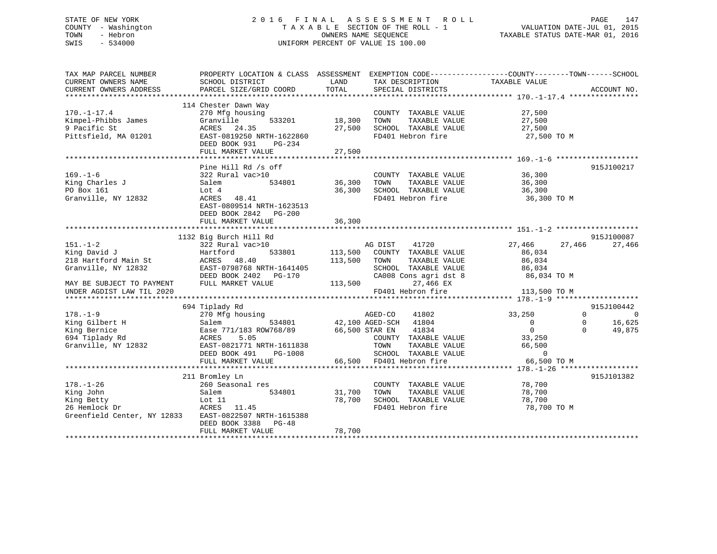## STATE OF NEW YORK 2 0 1 6 F I N A L A S S E S S M E N T R O L L PAGE 147 COUNTY - Washington T A X A B L E SECTION OF THE ROLL - 1 VALUATION DATE-JUL 01, 2015 TOWN - Hebron OWNERS NAME SEQUENCE TAXABLE STATUS DATE-MAR 01, 2016 SWIS - 534000 UNIFORM PERCENT OF VALUE IS 100.00

| TAX MAP PARCEL NUMBER<br>CURRENT OWNERS NAME<br>CURRENT OWNERS ADDRESS                                                                  | PROPERTY LOCATION & CLASS ASSESSMENT<br>SCHOOL DISTRICT<br>PARCEL SIZE/GRID COORD                                                                              | LAND<br>TOTAL                 | TAX DESCRIPTION<br>SPECIAL DISTRICTS                                                                                                                                      | EXEMPTION CODE-----------------COUNTY-------TOWN------SCHOOL<br>TAXABLE VALUE | ACCOUNT NO.                                                    |
|-----------------------------------------------------------------------------------------------------------------------------------------|----------------------------------------------------------------------------------------------------------------------------------------------------------------|-------------------------------|---------------------------------------------------------------------------------------------------------------------------------------------------------------------------|-------------------------------------------------------------------------------|----------------------------------------------------------------|
| $170. - 1 - 17.4$<br>Kimpel-Phibbs James<br>9 Pacific St<br>Pittsfield, MA 01201                                                        | 114 Chester Dawn Way<br>270 Mfg housing<br>533201<br>Granville<br>24.35<br>ACRES<br>EAST-0819250 NRTH-1622860<br>DEED BOOK 931<br>PG-234<br>FULL MARKET VALUE  | 18,300<br>27,500<br>27,500    | COUNTY TAXABLE VALUE<br>TOWN<br>TAXABLE VALUE<br>SCHOOL TAXABLE VALUE<br>FD401 Hebron fire                                                                                | 27,500<br>27,500<br>27,500<br>27,500 TO M                                     |                                                                |
| $169. - 1 - 6$<br>King Charles J<br>PO Box 161<br>Granville, NY 12832                                                                   | Pine Hill Rd /s off<br>322 Rural vac>10<br>Salem<br>534801<br>Lot 4<br>ACRES 48.41<br>EAST-0809514 NRTH-1623513<br>DEED BOOK 2842 PG-200<br>FULL MARKET VALUE  | 36,300<br>36,300<br>36,300    | COUNTY TAXABLE VALUE<br>TAXABLE VALUE<br>TOWN<br>SCHOOL TAXABLE VALUE<br>FD401 Hebron fire                                                                                | 36,300<br>36,300<br>36,300<br>36,300 TO M                                     | 915J100217                                                     |
| $151. - 1 - 2$<br>King David J<br>218 Hartford Main St<br>Granville, NY 12832<br>MAY BE SUBJECT TO PAYMENT<br>UNDER AGDIST LAW TIL 2020 | 1132 Big Burch Hill Rd<br>322 Rural vac>10<br>Hartford<br>533801<br>ACRES<br>48.40<br>EAST-0798768 NRTH-1641405<br>DEED BOOK 2402 PG-170<br>FULL MARKET VALUE  | 113,500<br>113,500<br>113,500 | AG DIST<br>41720<br>COUNTY TAXABLE VALUE<br>TOWN<br>TAXABLE VALUE<br>SCHOOL TAXABLE VALUE<br>CA008 Cons agri dst 8<br>27,466 EX<br>FD401 Hebron fire                      | 27,466<br>86,034<br>86,034<br>86,034<br>86,034 TO M<br>113,500 TO M           | 915J100087<br>27,466<br>27,466                                 |
|                                                                                                                                         | 694 Tiplady Rd                                                                                                                                                 |                               |                                                                                                                                                                           |                                                                               | 915J100442                                                     |
| $178. - 1 - 9$<br>King Gilbert H<br>King Bernice<br>694 Tiplady Rd<br>Granville, NY 12832                                               | 270 Mfg housing<br>Salem<br>534801<br>Ease 771/183 ROW768/89<br>5.05<br>ACRES<br>EAST-0821771 NRTH-1611838<br>DEED BOOK 491<br>PG-1008<br>FULL MARKET VALUE    |                               | AGED-CO<br>41802<br>42,100 AGED-SCH 41804<br>66,500 STAR EN<br>41834<br>COUNTY TAXABLE VALUE<br>TOWN<br>TAXABLE VALUE<br>SCHOOL TAXABLE VALUE<br>66,500 FD401 Hebron fire | 33,250<br>$\Omega$<br>$\Omega$<br>33,250<br>66,500<br>$\Omega$<br>66,500 TO M | $\Omega$<br>$\Omega$<br>$\Omega$<br>16,625<br>49,875<br>$\cap$ |
| $178. - 1 - 26$<br>King John<br>King Betty<br>26 Hemlock Dr<br>Greenfield Center, NY 12833                                              | 211 Bromley Ln<br>260 Seasonal res<br>534801<br>Salem<br>Lot 11<br>ACRES<br>11.45<br>EAST-0822507 NRTH-1615388<br>DEED BOOK 3388<br>PG-48<br>FULL MARKET VALUE | 31,700<br>78,700<br>78,700    | COUNTY TAXABLE VALUE<br>TAXABLE VALUE<br>TOWN<br>SCHOOL TAXABLE VALUE<br>FD401 Hebron fire                                                                                | 78,700<br>78,700<br>78,700<br>78,700 TO M                                     | 915J101382                                                     |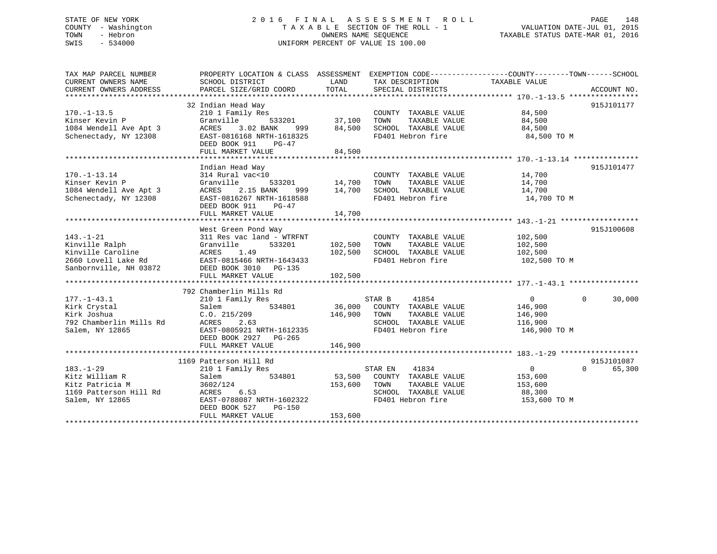## STATE OF NEW YORK 2 0 1 6 F I N A L A S S E S S M E N T R O L L PAGE 148 COUNTY - Washington T A X A B L E SECTION OF THE ROLL - 1 VALUATION DATE-JUL 01, 2015 TOWN - Hebron OWNERS NAME SEQUENCE TAXABLE STATUS DATE-MAR 01, 2016 SWIS - 534000 UNIFORM PERCENT OF VALUE IS 100.00

| TAX MAP PARCEL NUMBER<br>CURRENT OWNERS NAME<br>CURRENT OWNERS ADDRESS                                         | PROPERTY LOCATION & CLASS ASSESSMENT EXEMPTION CODE---------------COUNTY-------TOWN-----SCHOOL<br>SCHOOL DISTRICT<br>PARCEL SIZE/GRID COORD                                                                                                          | LAND<br>TOTAL                 | TAX DESCRIPTION TAXABLE VALUE<br>SPECIAL DISTRICTS                                                                    |                                                                                 | ACCOUNT NO.                      |
|----------------------------------------------------------------------------------------------------------------|------------------------------------------------------------------------------------------------------------------------------------------------------------------------------------------------------------------------------------------------------|-------------------------------|-----------------------------------------------------------------------------------------------------------------------|---------------------------------------------------------------------------------|----------------------------------|
|                                                                                                                |                                                                                                                                                                                                                                                      |                               |                                                                                                                       |                                                                                 |                                  |
|                                                                                                                | 32 Indian Head Way                                                                                                                                                                                                                                   |                               |                                                                                                                       |                                                                                 | 915J101177                       |
| $170. - 1 - 13.5$<br>Kinser Kevin P<br>1084 Wendell Ave Apt 3<br>Schenectady, NY 12308                         | * 1127<br>Ly Res 533201 37,100<br>02 BANK 999 84,500<br>210 1 Family Res<br>Granville<br>ACRES<br>3.02 BANK<br>EAST-0816168 NRTH-1618325<br>DEED BOOK 911<br>PG-47                                                                                   |                               | COUNTY TAXABLE VALUE 84,500<br>TOWN       TAXABLE  VALUE<br>SCHOOL    TAXABLE  VALUE<br>FD401 Hebron fire 84,500 TO M | 84,500<br>84,500                                                                |                                  |
|                                                                                                                | FULL MARKET VALUE                                                                                                                                                                                                                                    | 84,500                        |                                                                                                                       |                                                                                 |                                  |
|                                                                                                                |                                                                                                                                                                                                                                                      |                               |                                                                                                                       |                                                                                 |                                  |
| $170. - 1 - 13.14$<br>Kinser Kevin P<br>1084 Wendell Ave Apt 3<br>Schenectady, NY 12308                        | Indian Head Way<br>314 Rural vac<10<br>Granville<br>ACRES<br>2.15 BANK<br>EAST-0816267 NRTH-1618588<br>DEED BOOK 911 PG-47<br>FULL MARKET VALUE                                                                                                      | 14,700                        | FD401 Hebron fire 14,700 TO M                                                                                         |                                                                                 | 915J101477                       |
|                                                                                                                | West Green Pond Way                                                                                                                                                                                                                                  |                               |                                                                                                                       |                                                                                 | 915J100608                       |
| $143. - 1 - 21$                                                                                                | 311 Res vac land - WTRFNT<br>Kinville Ralph (Sanville 1933201)<br>Kinville Caroline 1995 (SANCES 1.49<br>2660 Lovell Lake Rd EAST-0815466 NRTH-1643433<br>Sanbornville, NH 03872 (SEED BOOK 3010 PG-135<br>EED BOOK 3010 PG-135<br>FULL MARKET VALUE | 102,500<br>102,500<br>102,500 | COUNTY TAXABLE VALUE 102,500<br>TAXABLE VALUE<br>TOWN<br>SCHOOL TAXABLE VALUE<br>FD401 Hebron fire                    | 102,500<br>102,500<br>102,500 TO M                                              |                                  |
|                                                                                                                |                                                                                                                                                                                                                                                      |                               |                                                                                                                       |                                                                                 |                                  |
| $177. - 1 - 43.1$<br>Kirk Crystal<br>Kirk Joshua<br>792 Chamberlin Mills Rd<br>Salem, NY 12865                 | 792 Chamberlin Mills Rd<br>210 1 Family Res<br>534801<br>Salem<br>C.0.215/209<br>ACRES<br>2.63<br>EAST-0805921 NRTH-1612335<br>DEED BOOK 2927 PG-265                                                                                                 | 146,900 TOWN                  | STAR B<br>41854<br>36,000 COUNTY TAXABLE VALUE<br>TAXABLE VALUE<br>SCHOOL TAXABLE VALUE 116,900<br>FD401 Hebron fire  | $\overline{0}$<br>146,900<br>146,900<br>146,900 TO M                            | $\Omega$<br>30,000               |
|                                                                                                                | FULL MARKET VALUE                                                                                                                                                                                                                                    | 146,900                       |                                                                                                                       |                                                                                 |                                  |
|                                                                                                                |                                                                                                                                                                                                                                                      |                               |                                                                                                                       |                                                                                 |                                  |
| $183. - 1 - 29$<br>roo: 1 25<br>Kitz William R<br>Kitz Patricia M<br>1169 Patterson Hill Rd<br>Salem, NY 12865 | 1169 Patterson Hill Rd<br>210 1 Family Res<br>534801<br>Salem<br>3602/124<br>ACRES 6.53<br>EAST-0788087 NRTH-1602322<br>DEED BOOK 527<br>PG-150<br>FULL MARKET VALUE                                                                                 | 153,600 TOWN<br>153,600       | STAR EN<br>41834<br>53,500 COUNTY TAXABLE VALUE<br>SCHOOL TAXABLE VALUE<br>FD401 Hebron fire                          | $0 \qquad \qquad$<br>153,600<br>TAXABLE VALUE 153,600<br>88,300<br>153,600 TO M | 915J101087<br>$\Omega$<br>65,300 |
|                                                                                                                |                                                                                                                                                                                                                                                      |                               |                                                                                                                       |                                                                                 |                                  |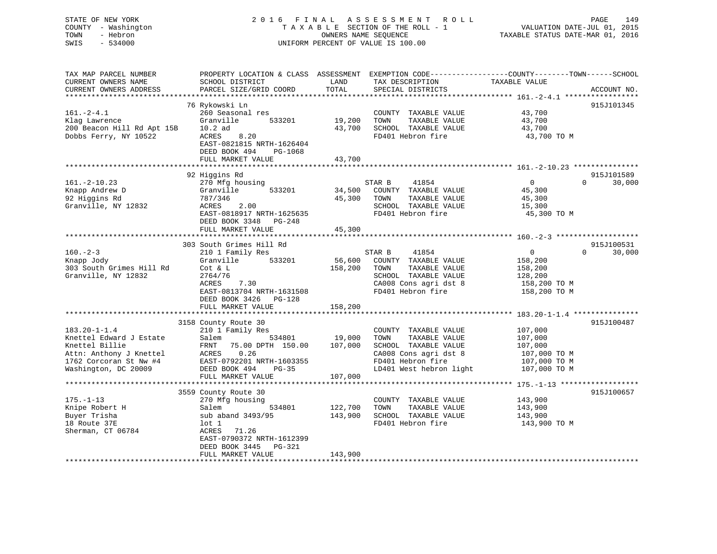## STATE OF NEW YORK 2 0 1 6 F I N A L A S S E S S M E N T R O L L PAGE 149 COUNTY - Washington T A X A B L E SECTION OF THE ROLL - 1 VALUATION DATE-JUL 01, 2015 TOWN - Hebron OWNERS NAME SEQUENCE TAXABLE STATUS DATE-MAR 01, 2016 SWIS - 534000 UNIFORM PERCENT OF VALUE IS 100.00

| TAX MAP PARCEL NUMBER<br>CURRENT OWNERS NAME<br>CURRENT OWNERS ADDRESS                                                                       | PROPERTY LOCATION & CLASS ASSESSMENT<br>SCHOOL DISTRICT<br>PARCEL SIZE/GRID COORD                                                                                                        | LAND<br>TOTAL                 | EXEMPTION CODE-----------------COUNTY-------TOWN------SCHOOL<br>TAX DESCRIPTION<br>SPECIAL DISTRICTS                                           | TAXABLE VALUE                                                                 | ACCOUNT NO.                      |
|----------------------------------------------------------------------------------------------------------------------------------------------|------------------------------------------------------------------------------------------------------------------------------------------------------------------------------------------|-------------------------------|------------------------------------------------------------------------------------------------------------------------------------------------|-------------------------------------------------------------------------------|----------------------------------|
| $161. - 2 - 4.1$<br>Klag Lawrence<br>200 Beacon Hill Rd Apt 15B<br>Dobbs Ferry, NY 10522                                                     | 76 Rykowski Ln<br>260 Seasonal res<br>Granville<br>533201<br>$10.2$ ad<br>8.20<br>ACRES<br>EAST-0821815 NRTH-1626404<br>DEED BOOK 494<br>PG-1068<br>FULL MARKET VALUE                    | 19,200<br>43,700<br>43,700    | COUNTY TAXABLE VALUE<br>TOWN<br>TAXABLE VALUE<br>SCHOOL TAXABLE VALUE<br>FD401 Hebron fire                                                     | 43,700<br>43,700<br>43,700<br>43,700 TO M                                     | 915J101345                       |
|                                                                                                                                              |                                                                                                                                                                                          |                               |                                                                                                                                                |                                                                               |                                  |
| $161. -2 - 10.23$<br>Knapp Andrew D<br>92 Higgins Rd<br>Granville, NY 12832                                                                  | 92 Higgins Rd<br>270 Mfg housing<br>533201<br>Granville<br>787/346<br>2.00<br>ACRES<br>EAST-0818917 NRTH-1625635<br>DEED BOOK 3348<br>PG-248                                             | 34,500<br>45,300              | 41854<br>STAR B<br>COUNTY TAXABLE VALUE<br>TOWN<br>TAXABLE VALUE<br>SCHOOL TAXABLE VALUE<br>FD401 Hebron fire                                  | $\overline{0}$<br>45,300<br>45,300<br>15,300<br>45,300 TO M                   | 915J101589<br>$\Omega$<br>30,000 |
|                                                                                                                                              | FULL MARKET VALUE                                                                                                                                                                        | 45,300                        |                                                                                                                                                |                                                                               |                                  |
| $160. - 2 - 3$<br>Knapp Jody<br>303 South Grimes Hill Rd<br>Granville, NY 12832                                                              | 303 South Grimes Hill Rd<br>210 1 Family Res<br>533201<br>Granville<br>Cot & L<br>2764/76<br>7.30<br>ACRES<br>EAST-0813704 NRTH-1631508<br>DEED BOOK 3426<br>PG-128<br>FULL MARKET VALUE | 56,600<br>158,200<br>158,200  | STAR B<br>41854<br>COUNTY TAXABLE VALUE<br>TOWN<br>TAXABLE VALUE<br>SCHOOL TAXABLE VALUE<br>CA008 Cons agri dst 8<br>FD401 Hebron fire         | $\Omega$<br>158,200<br>158,200<br>128,200<br>158,200 TO M<br>158,200 TO M     | 915J100531<br>30,000<br>$\Omega$ |
| $183.20 - 1 - 1.4$<br>Knettel Edward J Estate<br>Knettel Billie<br>Attn: Anthony J Knettel<br>1762 Corcoran St Nw #4<br>Washington, DC 20009 | 3158 County Route 30<br>210 1 Family Res<br>534801<br>Salem<br>FRNT<br>75.00 DPTH 150.00<br>0.26<br>ACRES<br>EAST-0792201 NRTH-1603355<br>DEED BOOK 494<br>$PG-35$<br>FULL MARKET VALUE  | 19,000<br>107,000<br>107,000  | COUNTY TAXABLE VALUE<br>TOWN<br>TAXABLE VALUE<br>SCHOOL TAXABLE VALUE<br>CA008 Cons agri dst 8<br>FD401 Hebron fire<br>LD401 West hebron light | 107,000<br>107,000<br>107,000<br>107,000 TO M<br>107,000 TO M<br>107,000 TO M | 915J100487                       |
| $175. - 1 - 13$<br>Knipe Robert H<br>Buyer Trisha<br>18 Route 37E<br>Sherman, CT 06784                                                       | 3559 County Route 30<br>270 Mfg housing<br>534801<br>Salem<br>sub aband 3493/95<br>lot 1<br>71.26<br>ACRES<br>EAST-0790372 NRTH-1612399<br>DEED BOOK 3445<br>PG-321<br>FULL MARKET VALUE | 122,700<br>143,900<br>143,900 | COUNTY TAXABLE VALUE<br>TAXABLE VALUE<br>TOWN<br>SCHOOL TAXABLE VALUE<br>FD401 Hebron fire                                                     | 143,900<br>143,900<br>143,900<br>143,900 TO M                                 | 915J100657                       |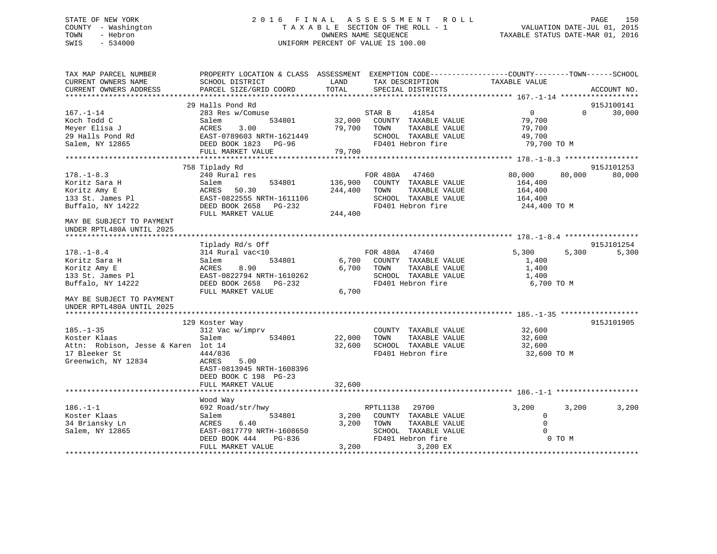## STATE OF NEW YORK 2 0 1 6 F I N A L A S S E S S M E N T R O L L PAGE 150 COUNTY - Washington T A X A B L E SECTION OF THE ROLL - 1 VALUATION DATE-JUL 01, 2015 TOWN - Hebron OWNERS NAME SEQUENCE TAXABLE STATUS DATE-MAR 01, 2016 SWIS - 534000 UNIFORM PERCENT OF VALUE IS 100.00

| TAX MAP PARCEL NUMBER               | PROPERTY LOCATION & CLASS ASSESSMENT EXEMPTION CODE----------------COUNTY-------TOWN-----SCHOOL |         |                              |                  |                    |
|-------------------------------------|-------------------------------------------------------------------------------------------------|---------|------------------------------|------------------|--------------------|
| CURRENT OWNERS NAME                 | SCHOOL DISTRICT                                                                                 | LAND    | TAX DESCRIPTION              | TAXABLE VALUE    |                    |
| CURRENT OWNERS ADDRESS              | PARCEL SIZE/GRID COORD                                                                          | TOTAL   | SPECIAL DISTRICTS            |                  | ACCOUNT NO.        |
|                                     |                                                                                                 |         |                              |                  |                    |
|                                     | 29 Halls Pond Rd                                                                                |         |                              |                  | 915J100141         |
| $167. - 1 - 14$                     | 283 Res w/Comuse                                                                                |         | STAR B<br>41854              | $\overline{0}$   | $\Omega$<br>30,000 |
| Koch Todd C                         | Salem<br>534801                                                                                 |         | 32,000 COUNTY TAXABLE VALUE  | 79,700           |                    |
| Meyer Elisa J                       | 3.00<br>ACRES<br>ACRES 3.00<br>EAST-0789603 NRTH-16214<br>DEED BOOK 1823 PG-96                  | 79,700  | TOWN<br>TAXABLE VALUE        | 79,700           |                    |
| 29 Halls Pond Rd                    | EAST-0789603 NRTH-1621449                                                                       |         | SCHOOL TAXABLE VALUE         | 49,700           |                    |
| Salem, NY 12865                     |                                                                                                 |         | FD401 Hebron fire            | 79,700 TO M      |                    |
|                                     | FULL MARKET VALUE                                                                               | 79,700  |                              |                  |                    |
|                                     |                                                                                                 |         |                              |                  |                    |
|                                     | 758 Tiplady Rd                                                                                  |         |                              |                  | 915J101253         |
| $178. - 1 - 8.3$                    | 240 Rural res                                                                                   |         | FOR 480A 47460               | 80,000<br>80,000 | 80,000             |
| Koritz Sara H                       | Salem<br>534801                                                                                 |         | 136,900 COUNTY TAXABLE VALUE | 164,400          |                    |
| Koritz Amy E                        | 50.30<br>ACRES                                                                                  | 244,400 | TOWN<br>TAXABLE VALUE        | 164,400          |                    |
| 133 St. James Pl                    | EAST-0822555 NRTH-1611106                                                                       |         | SCHOOL TAXABLE VALUE         | 164,400          |                    |
| Buffalo, NY 14222                   | DEED BOOK 2658 PG-232                                                                           |         | FD401 Hebron fire            | 244,400 TO M     |                    |
|                                     | FULL MARKET VALUE                                                                               | 244,400 |                              |                  |                    |
| MAY BE SUBJECT TO PAYMENT           |                                                                                                 |         |                              |                  |                    |
| UNDER RPTL480A UNTIL 2025           |                                                                                                 |         |                              |                  |                    |
|                                     |                                                                                                 |         |                              |                  |                    |
|                                     | Tiplady Rd/s Off                                                                                |         |                              |                  | 915J101254         |
| $178. - 1 - 8.4$                    | 314 Rural vac<10                                                                                |         | FOR 480A 47460               | 5,300            | 5,300<br>5,300     |
| Koritz Sara H                       | 534801<br>Salem                                                                                 |         | 6,700 COUNTY TAXABLE VALUE   | 1,400            |                    |
| Koritz Amy E                        | ACRES<br>8.90                                                                                   | 6,700   | TOWN<br>TAXABLE VALUE        | 1,400            |                    |
| 133 St. James Pl                    | EAST-0822794 NRTH-1610262                                                                       |         | SCHOOL TAXABLE VALUE         | 1,400            |                    |
| Buffalo, NY 14222                   | DEED BOOK 2658 PG-232                                                                           |         | FD401 Hebron fire            | 6,700 TO M       |                    |
|                                     | FULL MARKET VALUE                                                                               | 6,700   |                              |                  |                    |
| MAY BE SUBJECT TO PAYMENT           |                                                                                                 |         |                              |                  |                    |
| UNDER RPTL480A UNTIL 2025           |                                                                                                 |         |                              |                  |                    |
|                                     |                                                                                                 |         |                              |                  |                    |
|                                     | 129 Koster Way<br>312 Vac w/imprv                                                               |         |                              |                  | 915J101905         |
| $185. - 1 - 35$                     |                                                                                                 |         | COUNTY TAXABLE VALUE         | 32,600           |                    |
| Koster Klaas                        | Salem<br>534801                                                                                 | 22,000  | TOWN<br>TAXABLE VALUE        | 32,600<br>32,600 |                    |
| Attn: Robison, Jesse & Karen lot 14 |                                                                                                 | 32,600  | SCHOOL TAXABLE VALUE         |                  |                    |
| 17 Bleeker St                       | 444/836                                                                                         |         | FD401 Hebron fire            | 32,600 TO M      |                    |
| Greenwich, NY 12834                 | 5.00<br>ACRES                                                                                   |         |                              |                  |                    |
|                                     | EAST-0813945 NRTH-1608396<br>DEED BOOK C 198 PG-23                                              |         |                              |                  |                    |
|                                     | FULL MARKET VALUE                                                                               | 32,600  |                              |                  |                    |
|                                     |                                                                                                 |         |                              |                  |                    |
|                                     | Wood Way                                                                                        |         |                              |                  |                    |
| $186. - 1 - 1$                      | 692 Road/str/hwy                                                                                |         | RPTL1138<br>29700            | 3,200<br>3,200   | 3,200              |
| Koster Klaas                        | 534801<br>Salem                                                                                 | 3,200   | COUNTY TAXABLE VALUE         | $\mathbf{0}$     |                    |
| 34 Briansky Ln                      | ACRES<br>6.40                                                                                   | 3,200   | TOWN<br>TAXABLE VALUE        | $\Omega$         |                    |
| Salem, NY 12865                     | EAST-0817779 NRTH-1608650                                                                       |         | SCHOOL TAXABLE VALUE         | $\Omega$         |                    |
|                                     | DEED BOOK 444<br>PG-836                                                                         |         | FD401 Hebron fire            | 0 TO M           |                    |
|                                     | FULL MARKET VALUE                                                                               | 3,200   | 3,200 EX                     |                  |                    |
|                                     |                                                                                                 |         |                              |                  |                    |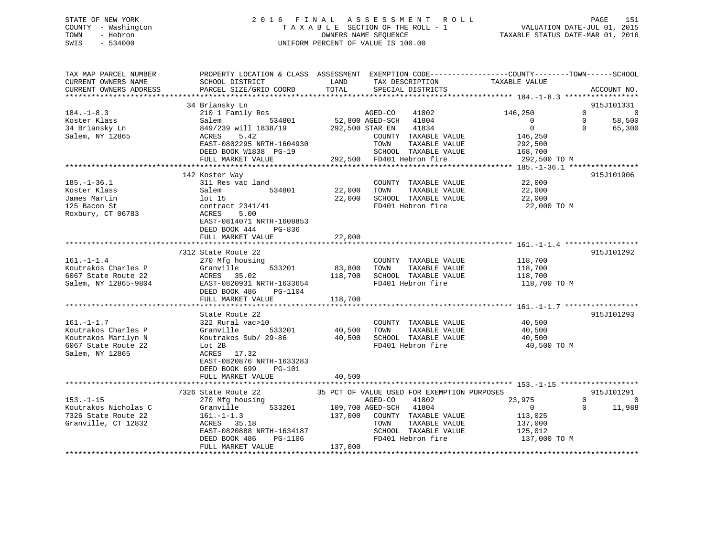## STATE OF NEW YORK 2 0 1 6 F I N A L A S S E S S M E N T R O L L PAGE 151 COUNTY - Washington T A X A B L E SECTION OF THE ROLL - 1 VALUATION DATE-JUL 01, 2015 TOWN - Hebron OWNERS NAME SEQUENCE TAXABLE STATUS DATE-MAR 01, 2016 SWIS - 534000 UNIFORM PERCENT OF VALUE IS 100.00

| 34 Briansky Ln<br>915J101331<br>210 1 Family Res<br>AGED-CO<br>$184. - 1 - 8.3$<br>146,250<br>$0 \qquad \qquad$<br>$\overline{0}$<br>41802<br>52,800 AGED-SCH 41804<br>58,500<br>534801<br>$\overline{0}$<br>$\overline{0}$<br>Koster Klass<br>Salem<br>292,500 STAR EN<br>$\overline{0}$<br>34 Briansky Ln<br>849/239 will 1838/19<br>41834<br>$\Omega$<br>65,300<br>5.42<br>Salem, NY 12865<br>ACRES<br>COUNTY TAXABLE VALUE<br>146,250<br>EAST-0802295 NRTH-1604930<br>TOWN<br>TAXABLE VALUE<br>292,500<br>DEED BOOK W1838 PG-19<br>SCHOOL TAXABLE VALUE<br>168,700<br>292,500 FD401 Hebron fire<br>FULL MARKET VALUE<br>292,500 TO M<br>915J101906<br>142 Koster Way<br>22,000<br>311 Res vac land<br>COUNTY TAXABLE VALUE<br>22,000 TOWN<br>534801<br>TAXABLE VALUE<br>22,000<br>Salem<br>James Martin<br>lot 15<br>22,000<br>SCHOOL TAXABLE VALUE<br>22,000<br>125 Bacon St<br>contract 2341/41<br>FD401 Hebron fire<br>22,000 TO M<br>Roxbury, CT 06783<br>ACRES<br>5.00<br>EAST-0814071 NRTH-1608853<br>DEED BOOK 444<br>PG-836<br>22,000<br>FULL MARKET VALUE<br>915J101292<br>7312 State Route 22<br>$161. - 1 - 1.4$<br>COUNTY TAXABLE VALUE<br>118,700<br>270 Mfg housing<br>$\frac{1}{118}$ , 700<br>Koutrakos Charles P<br>Granville<br>533201<br>83,800<br>TOWN<br>TAXABLE VALUE<br>ACRES 35.02<br>118,700 SCHOOL TAXABLE VALUE<br>118,700<br>EAST-0820931 NRTH-1633654<br>FD401 Hebron fire<br>118,700 TO M<br>DEED BOOK 486<br>PG-1104<br>118,700<br>FULL MARKET VALUE<br>915J101293<br>State Route 22<br>$161. - 1 - 1.7$<br>40,500<br>322 Rural vac>10<br>COUNTY TAXABLE VALUE<br>Koutrakos Charles P<br>533201<br>40,500 TOWN<br>TAXABLE VALUE<br>40,500<br>Granville<br>Koutrakos Marilyn N<br>Koutrakos Sub/ 29-86<br>40,500 SCHOOL TAXABLE VALUE<br>40,500<br>FD401 Hebron fire<br>6067 State Route 22<br>Lot 2B<br>40,500 TO M<br>Salem, NY 12865<br>ACRES 17.32<br>EAST-0820876 NRTH-1633283<br>DEED BOOK 699<br>PG-101<br>40,500<br>FULL MARKET VALUE<br>7326 State Route 22<br>35 PCT OF VALUE USED FOR EXEMPTION PURPOSES<br>915J101291<br>23,975<br>$\Omega$<br>270 Mfg housing<br>AGED-CO<br>41802<br>$\Omega$<br>109,700 AGED-SCH 41804<br>533201<br>11,988<br>Granville<br>$\overline{0}$<br>$\Omega$<br>137,000 COUNTY TAXABLE VALUE<br>113,025<br>$161.-1-1.3$<br>ACRES 35.18<br>TAXABLE VALUE<br>TOWN<br>137,000<br>EAST-0820888 NRTH-1634187<br>SCHOOL TAXABLE VALUE<br>125,012<br>PG-1106<br>FD401 Hebron fire<br>137,000 TO M<br>DEED BOOK 486<br>137,000<br>FULL MARKET VALUE | TAX MAP PARCEL NUMBER<br>CURRENT OWNERS NAME<br>CURRENT OWNERS ADDRESS | SCHOOL DISTRICT<br>PARCEL SIZE/GRID COORD | PROPERTY LOCATION & CLASS ASSESSMENT EXEMPTION CODE---------------COUNTY-------TOWN-----SCHOOL<br>LAND<br>TAX DESCRIPTION<br>TOTAL<br>SPECIAL DISTRICTS | TAXABLE VALUE | ACCOUNT NO. |
|----------------------------------------------------------------------------------------------------------------------------------------------------------------------------------------------------------------------------------------------------------------------------------------------------------------------------------------------------------------------------------------------------------------------------------------------------------------------------------------------------------------------------------------------------------------------------------------------------------------------------------------------------------------------------------------------------------------------------------------------------------------------------------------------------------------------------------------------------------------------------------------------------------------------------------------------------------------------------------------------------------------------------------------------------------------------------------------------------------------------------------------------------------------------------------------------------------------------------------------------------------------------------------------------------------------------------------------------------------------------------------------------------------------------------------------------------------------------------------------------------------------------------------------------------------------------------------------------------------------------------------------------------------------------------------------------------------------------------------------------------------------------------------------------------------------------------------------------------------------------------------------------------------------------------------------------------------------------------------------------------------------------------------------------------------------------------------------------------------------------------------------------------------------------------------------------------------------------------------------------------------------------------------------------------------------------------------------------------------------------------------------------------------------------------------------------------------------------------------------------------------------------|------------------------------------------------------------------------|-------------------------------------------|---------------------------------------------------------------------------------------------------------------------------------------------------------|---------------|-------------|
|                                                                                                                                                                                                                                                                                                                                                                                                                                                                                                                                                                                                                                                                                                                                                                                                                                                                                                                                                                                                                                                                                                                                                                                                                                                                                                                                                                                                                                                                                                                                                                                                                                                                                                                                                                                                                                                                                                                                                                                                                                                                                                                                                                                                                                                                                                                                                                                                                                                                                                                      |                                                                        |                                           |                                                                                                                                                         |               |             |
|                                                                                                                                                                                                                                                                                                                                                                                                                                                                                                                                                                                                                                                                                                                                                                                                                                                                                                                                                                                                                                                                                                                                                                                                                                                                                                                                                                                                                                                                                                                                                                                                                                                                                                                                                                                                                                                                                                                                                                                                                                                                                                                                                                                                                                                                                                                                                                                                                                                                                                                      |                                                                        |                                           |                                                                                                                                                         |               |             |
|                                                                                                                                                                                                                                                                                                                                                                                                                                                                                                                                                                                                                                                                                                                                                                                                                                                                                                                                                                                                                                                                                                                                                                                                                                                                                                                                                                                                                                                                                                                                                                                                                                                                                                                                                                                                                                                                                                                                                                                                                                                                                                                                                                                                                                                                                                                                                                                                                                                                                                                      |                                                                        |                                           |                                                                                                                                                         |               |             |
|                                                                                                                                                                                                                                                                                                                                                                                                                                                                                                                                                                                                                                                                                                                                                                                                                                                                                                                                                                                                                                                                                                                                                                                                                                                                                                                                                                                                                                                                                                                                                                                                                                                                                                                                                                                                                                                                                                                                                                                                                                                                                                                                                                                                                                                                                                                                                                                                                                                                                                                      |                                                                        |                                           |                                                                                                                                                         |               |             |
|                                                                                                                                                                                                                                                                                                                                                                                                                                                                                                                                                                                                                                                                                                                                                                                                                                                                                                                                                                                                                                                                                                                                                                                                                                                                                                                                                                                                                                                                                                                                                                                                                                                                                                                                                                                                                                                                                                                                                                                                                                                                                                                                                                                                                                                                                                                                                                                                                                                                                                                      |                                                                        |                                           |                                                                                                                                                         |               |             |
|                                                                                                                                                                                                                                                                                                                                                                                                                                                                                                                                                                                                                                                                                                                                                                                                                                                                                                                                                                                                                                                                                                                                                                                                                                                                                                                                                                                                                                                                                                                                                                                                                                                                                                                                                                                                                                                                                                                                                                                                                                                                                                                                                                                                                                                                                                                                                                                                                                                                                                                      |                                                                        |                                           |                                                                                                                                                         |               |             |
|                                                                                                                                                                                                                                                                                                                                                                                                                                                                                                                                                                                                                                                                                                                                                                                                                                                                                                                                                                                                                                                                                                                                                                                                                                                                                                                                                                                                                                                                                                                                                                                                                                                                                                                                                                                                                                                                                                                                                                                                                                                                                                                                                                                                                                                                                                                                                                                                                                                                                                                      |                                                                        |                                           |                                                                                                                                                         |               |             |
|                                                                                                                                                                                                                                                                                                                                                                                                                                                                                                                                                                                                                                                                                                                                                                                                                                                                                                                                                                                                                                                                                                                                                                                                                                                                                                                                                                                                                                                                                                                                                                                                                                                                                                                                                                                                                                                                                                                                                                                                                                                                                                                                                                                                                                                                                                                                                                                                                                                                                                                      |                                                                        |                                           |                                                                                                                                                         |               |             |
|                                                                                                                                                                                                                                                                                                                                                                                                                                                                                                                                                                                                                                                                                                                                                                                                                                                                                                                                                                                                                                                                                                                                                                                                                                                                                                                                                                                                                                                                                                                                                                                                                                                                                                                                                                                                                                                                                                                                                                                                                                                                                                                                                                                                                                                                                                                                                                                                                                                                                                                      |                                                                        |                                           |                                                                                                                                                         |               |             |
|                                                                                                                                                                                                                                                                                                                                                                                                                                                                                                                                                                                                                                                                                                                                                                                                                                                                                                                                                                                                                                                                                                                                                                                                                                                                                                                                                                                                                                                                                                                                                                                                                                                                                                                                                                                                                                                                                                                                                                                                                                                                                                                                                                                                                                                                                                                                                                                                                                                                                                                      |                                                                        |                                           |                                                                                                                                                         |               |             |
|                                                                                                                                                                                                                                                                                                                                                                                                                                                                                                                                                                                                                                                                                                                                                                                                                                                                                                                                                                                                                                                                                                                                                                                                                                                                                                                                                                                                                                                                                                                                                                                                                                                                                                                                                                                                                                                                                                                                                                                                                                                                                                                                                                                                                                                                                                                                                                                                                                                                                                                      | $185. - 1 - 36.1$                                                      |                                           |                                                                                                                                                         |               |             |
|                                                                                                                                                                                                                                                                                                                                                                                                                                                                                                                                                                                                                                                                                                                                                                                                                                                                                                                                                                                                                                                                                                                                                                                                                                                                                                                                                                                                                                                                                                                                                                                                                                                                                                                                                                                                                                                                                                                                                                                                                                                                                                                                                                                                                                                                                                                                                                                                                                                                                                                      | Koster Klass                                                           |                                           |                                                                                                                                                         |               |             |
|                                                                                                                                                                                                                                                                                                                                                                                                                                                                                                                                                                                                                                                                                                                                                                                                                                                                                                                                                                                                                                                                                                                                                                                                                                                                                                                                                                                                                                                                                                                                                                                                                                                                                                                                                                                                                                                                                                                                                                                                                                                                                                                                                                                                                                                                                                                                                                                                                                                                                                                      |                                                                        |                                           |                                                                                                                                                         |               |             |
|                                                                                                                                                                                                                                                                                                                                                                                                                                                                                                                                                                                                                                                                                                                                                                                                                                                                                                                                                                                                                                                                                                                                                                                                                                                                                                                                                                                                                                                                                                                                                                                                                                                                                                                                                                                                                                                                                                                                                                                                                                                                                                                                                                                                                                                                                                                                                                                                                                                                                                                      |                                                                        |                                           |                                                                                                                                                         |               |             |
|                                                                                                                                                                                                                                                                                                                                                                                                                                                                                                                                                                                                                                                                                                                                                                                                                                                                                                                                                                                                                                                                                                                                                                                                                                                                                                                                                                                                                                                                                                                                                                                                                                                                                                                                                                                                                                                                                                                                                                                                                                                                                                                                                                                                                                                                                                                                                                                                                                                                                                                      |                                                                        |                                           |                                                                                                                                                         |               |             |
|                                                                                                                                                                                                                                                                                                                                                                                                                                                                                                                                                                                                                                                                                                                                                                                                                                                                                                                                                                                                                                                                                                                                                                                                                                                                                                                                                                                                                                                                                                                                                                                                                                                                                                                                                                                                                                                                                                                                                                                                                                                                                                                                                                                                                                                                                                                                                                                                                                                                                                                      |                                                                        |                                           |                                                                                                                                                         |               |             |
|                                                                                                                                                                                                                                                                                                                                                                                                                                                                                                                                                                                                                                                                                                                                                                                                                                                                                                                                                                                                                                                                                                                                                                                                                                                                                                                                                                                                                                                                                                                                                                                                                                                                                                                                                                                                                                                                                                                                                                                                                                                                                                                                                                                                                                                                                                                                                                                                                                                                                                                      |                                                                        |                                           |                                                                                                                                                         |               |             |
|                                                                                                                                                                                                                                                                                                                                                                                                                                                                                                                                                                                                                                                                                                                                                                                                                                                                                                                                                                                                                                                                                                                                                                                                                                                                                                                                                                                                                                                                                                                                                                                                                                                                                                                                                                                                                                                                                                                                                                                                                                                                                                                                                                                                                                                                                                                                                                                                                                                                                                                      |                                                                        |                                           |                                                                                                                                                         |               |             |
|                                                                                                                                                                                                                                                                                                                                                                                                                                                                                                                                                                                                                                                                                                                                                                                                                                                                                                                                                                                                                                                                                                                                                                                                                                                                                                                                                                                                                                                                                                                                                                                                                                                                                                                                                                                                                                                                                                                                                                                                                                                                                                                                                                                                                                                                                                                                                                                                                                                                                                                      |                                                                        |                                           |                                                                                                                                                         |               |             |
|                                                                                                                                                                                                                                                                                                                                                                                                                                                                                                                                                                                                                                                                                                                                                                                                                                                                                                                                                                                                                                                                                                                                                                                                                                                                                                                                                                                                                                                                                                                                                                                                                                                                                                                                                                                                                                                                                                                                                                                                                                                                                                                                                                                                                                                                                                                                                                                                                                                                                                                      |                                                                        |                                           |                                                                                                                                                         |               |             |
|                                                                                                                                                                                                                                                                                                                                                                                                                                                                                                                                                                                                                                                                                                                                                                                                                                                                                                                                                                                                                                                                                                                                                                                                                                                                                                                                                                                                                                                                                                                                                                                                                                                                                                                                                                                                                                                                                                                                                                                                                                                                                                                                                                                                                                                                                                                                                                                                                                                                                                                      |                                                                        |                                           |                                                                                                                                                         |               |             |
|                                                                                                                                                                                                                                                                                                                                                                                                                                                                                                                                                                                                                                                                                                                                                                                                                                                                                                                                                                                                                                                                                                                                                                                                                                                                                                                                                                                                                                                                                                                                                                                                                                                                                                                                                                                                                                                                                                                                                                                                                                                                                                                                                                                                                                                                                                                                                                                                                                                                                                                      | 6067 State Route 22                                                    |                                           |                                                                                                                                                         |               |             |
|                                                                                                                                                                                                                                                                                                                                                                                                                                                                                                                                                                                                                                                                                                                                                                                                                                                                                                                                                                                                                                                                                                                                                                                                                                                                                                                                                                                                                                                                                                                                                                                                                                                                                                                                                                                                                                                                                                                                                                                                                                                                                                                                                                                                                                                                                                                                                                                                                                                                                                                      | Salem, NY 12865-9804                                                   |                                           |                                                                                                                                                         |               |             |
|                                                                                                                                                                                                                                                                                                                                                                                                                                                                                                                                                                                                                                                                                                                                                                                                                                                                                                                                                                                                                                                                                                                                                                                                                                                                                                                                                                                                                                                                                                                                                                                                                                                                                                                                                                                                                                                                                                                                                                                                                                                                                                                                                                                                                                                                                                                                                                                                                                                                                                                      |                                                                        |                                           |                                                                                                                                                         |               |             |
|                                                                                                                                                                                                                                                                                                                                                                                                                                                                                                                                                                                                                                                                                                                                                                                                                                                                                                                                                                                                                                                                                                                                                                                                                                                                                                                                                                                                                                                                                                                                                                                                                                                                                                                                                                                                                                                                                                                                                                                                                                                                                                                                                                                                                                                                                                                                                                                                                                                                                                                      |                                                                        |                                           |                                                                                                                                                         |               |             |
|                                                                                                                                                                                                                                                                                                                                                                                                                                                                                                                                                                                                                                                                                                                                                                                                                                                                                                                                                                                                                                                                                                                                                                                                                                                                                                                                                                                                                                                                                                                                                                                                                                                                                                                                                                                                                                                                                                                                                                                                                                                                                                                                                                                                                                                                                                                                                                                                                                                                                                                      |                                                                        |                                           |                                                                                                                                                         |               |             |
|                                                                                                                                                                                                                                                                                                                                                                                                                                                                                                                                                                                                                                                                                                                                                                                                                                                                                                                                                                                                                                                                                                                                                                                                                                                                                                                                                                                                                                                                                                                                                                                                                                                                                                                                                                                                                                                                                                                                                                                                                                                                                                                                                                                                                                                                                                                                                                                                                                                                                                                      |                                                                        |                                           |                                                                                                                                                         |               |             |
|                                                                                                                                                                                                                                                                                                                                                                                                                                                                                                                                                                                                                                                                                                                                                                                                                                                                                                                                                                                                                                                                                                                                                                                                                                                                                                                                                                                                                                                                                                                                                                                                                                                                                                                                                                                                                                                                                                                                                                                                                                                                                                                                                                                                                                                                                                                                                                                                                                                                                                                      |                                                                        |                                           |                                                                                                                                                         |               |             |
|                                                                                                                                                                                                                                                                                                                                                                                                                                                                                                                                                                                                                                                                                                                                                                                                                                                                                                                                                                                                                                                                                                                                                                                                                                                                                                                                                                                                                                                                                                                                                                                                                                                                                                                                                                                                                                                                                                                                                                                                                                                                                                                                                                                                                                                                                                                                                                                                                                                                                                                      |                                                                        |                                           |                                                                                                                                                         |               |             |
|                                                                                                                                                                                                                                                                                                                                                                                                                                                                                                                                                                                                                                                                                                                                                                                                                                                                                                                                                                                                                                                                                                                                                                                                                                                                                                                                                                                                                                                                                                                                                                                                                                                                                                                                                                                                                                                                                                                                                                                                                                                                                                                                                                                                                                                                                                                                                                                                                                                                                                                      |                                                                        |                                           |                                                                                                                                                         |               |             |
|                                                                                                                                                                                                                                                                                                                                                                                                                                                                                                                                                                                                                                                                                                                                                                                                                                                                                                                                                                                                                                                                                                                                                                                                                                                                                                                                                                                                                                                                                                                                                                                                                                                                                                                                                                                                                                                                                                                                                                                                                                                                                                                                                                                                                                                                                                                                                                                                                                                                                                                      |                                                                        |                                           |                                                                                                                                                         |               |             |
|                                                                                                                                                                                                                                                                                                                                                                                                                                                                                                                                                                                                                                                                                                                                                                                                                                                                                                                                                                                                                                                                                                                                                                                                                                                                                                                                                                                                                                                                                                                                                                                                                                                                                                                                                                                                                                                                                                                                                                                                                                                                                                                                                                                                                                                                                                                                                                                                                                                                                                                      |                                                                        |                                           |                                                                                                                                                         |               |             |
|                                                                                                                                                                                                                                                                                                                                                                                                                                                                                                                                                                                                                                                                                                                                                                                                                                                                                                                                                                                                                                                                                                                                                                                                                                                                                                                                                                                                                                                                                                                                                                                                                                                                                                                                                                                                                                                                                                                                                                                                                                                                                                                                                                                                                                                                                                                                                                                                                                                                                                                      |                                                                        |                                           |                                                                                                                                                         |               |             |
|                                                                                                                                                                                                                                                                                                                                                                                                                                                                                                                                                                                                                                                                                                                                                                                                                                                                                                                                                                                                                                                                                                                                                                                                                                                                                                                                                                                                                                                                                                                                                                                                                                                                                                                                                                                                                                                                                                                                                                                                                                                                                                                                                                                                                                                                                                                                                                                                                                                                                                                      |                                                                        |                                           |                                                                                                                                                         |               |             |
|                                                                                                                                                                                                                                                                                                                                                                                                                                                                                                                                                                                                                                                                                                                                                                                                                                                                                                                                                                                                                                                                                                                                                                                                                                                                                                                                                                                                                                                                                                                                                                                                                                                                                                                                                                                                                                                                                                                                                                                                                                                                                                                                                                                                                                                                                                                                                                                                                                                                                                                      |                                                                        |                                           |                                                                                                                                                         |               |             |
|                                                                                                                                                                                                                                                                                                                                                                                                                                                                                                                                                                                                                                                                                                                                                                                                                                                                                                                                                                                                                                                                                                                                                                                                                                                                                                                                                                                                                                                                                                                                                                                                                                                                                                                                                                                                                                                                                                                                                                                                                                                                                                                                                                                                                                                                                                                                                                                                                                                                                                                      |                                                                        |                                           |                                                                                                                                                         |               |             |
|                                                                                                                                                                                                                                                                                                                                                                                                                                                                                                                                                                                                                                                                                                                                                                                                                                                                                                                                                                                                                                                                                                                                                                                                                                                                                                                                                                                                                                                                                                                                                                                                                                                                                                                                                                                                                                                                                                                                                                                                                                                                                                                                                                                                                                                                                                                                                                                                                                                                                                                      | $153. - 1 - 15$                                                        |                                           |                                                                                                                                                         |               |             |
|                                                                                                                                                                                                                                                                                                                                                                                                                                                                                                                                                                                                                                                                                                                                                                                                                                                                                                                                                                                                                                                                                                                                                                                                                                                                                                                                                                                                                                                                                                                                                                                                                                                                                                                                                                                                                                                                                                                                                                                                                                                                                                                                                                                                                                                                                                                                                                                                                                                                                                                      | Koutrakos Nicholas C                                                   |                                           |                                                                                                                                                         |               |             |
|                                                                                                                                                                                                                                                                                                                                                                                                                                                                                                                                                                                                                                                                                                                                                                                                                                                                                                                                                                                                                                                                                                                                                                                                                                                                                                                                                                                                                                                                                                                                                                                                                                                                                                                                                                                                                                                                                                                                                                                                                                                                                                                                                                                                                                                                                                                                                                                                                                                                                                                      | 7326 State Route 22                                                    |                                           |                                                                                                                                                         |               |             |
|                                                                                                                                                                                                                                                                                                                                                                                                                                                                                                                                                                                                                                                                                                                                                                                                                                                                                                                                                                                                                                                                                                                                                                                                                                                                                                                                                                                                                                                                                                                                                                                                                                                                                                                                                                                                                                                                                                                                                                                                                                                                                                                                                                                                                                                                                                                                                                                                                                                                                                                      | Granville, CT 12832                                                    |                                           |                                                                                                                                                         |               |             |
|                                                                                                                                                                                                                                                                                                                                                                                                                                                                                                                                                                                                                                                                                                                                                                                                                                                                                                                                                                                                                                                                                                                                                                                                                                                                                                                                                                                                                                                                                                                                                                                                                                                                                                                                                                                                                                                                                                                                                                                                                                                                                                                                                                                                                                                                                                                                                                                                                                                                                                                      |                                                                        |                                           |                                                                                                                                                         |               |             |
|                                                                                                                                                                                                                                                                                                                                                                                                                                                                                                                                                                                                                                                                                                                                                                                                                                                                                                                                                                                                                                                                                                                                                                                                                                                                                                                                                                                                                                                                                                                                                                                                                                                                                                                                                                                                                                                                                                                                                                                                                                                                                                                                                                                                                                                                                                                                                                                                                                                                                                                      |                                                                        |                                           |                                                                                                                                                         |               |             |
|                                                                                                                                                                                                                                                                                                                                                                                                                                                                                                                                                                                                                                                                                                                                                                                                                                                                                                                                                                                                                                                                                                                                                                                                                                                                                                                                                                                                                                                                                                                                                                                                                                                                                                                                                                                                                                                                                                                                                                                                                                                                                                                                                                                                                                                                                                                                                                                                                                                                                                                      |                                                                        |                                           |                                                                                                                                                         |               |             |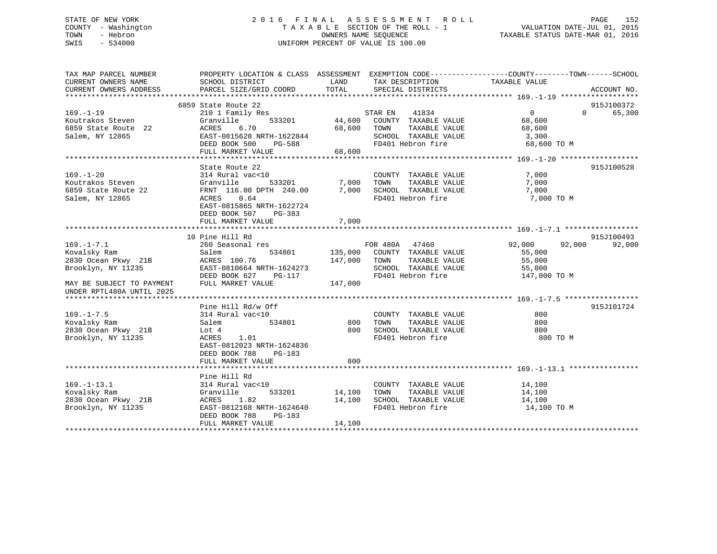## STATE OF NEW YORK 2 0 1 6 F I N A L A S S E S S M E N T R O L L PAGE 152 COUNTY - Washington T A X A B L E SECTION OF THE ROLL - 1 VALUATION DATE-JUL 01, 2015 TOWN - Hebron OWNERS NAME SEQUENCE TAXABLE STATUS DATE-MAR 01, 2016 SWIS - 534000 UNIFORM PERCENT OF VALUE IS 100.00

| TAX MAP PARCEL NUMBER     | PROPERTY LOCATION & CLASS ASSESSMENT EXEMPTION CODE---------------COUNTY-------TOWN-----SCHOOL |              |                              |                                         |                                  |
|---------------------------|------------------------------------------------------------------------------------------------|--------------|------------------------------|-----------------------------------------|----------------------------------|
| CURRENT OWNERS NAME       | SCHOOL DISTRICT                                                                                | LAND         | TAX DESCRIPTION              | TAXABLE VALUE                           |                                  |
| CURRENT OWNERS ADDRESS    | PARCEL SIZE/GRID COORD                                                                         | TOTAL        | SPECIAL DISTRICTS            |                                         | ACCOUNT NO.                      |
|                           | 6859 State Route 22                                                                            |              |                              |                                         |                                  |
| $169. - 1 - 19$           | 210 1 Family Res                                                                               |              | STAR EN 41834                | $\overline{0}$                          | 915J100372<br>65,300<br>$\Omega$ |
| Koutrakos Steven          | 533201<br>Granville                                                                            |              | 44,600 COUNTY TAXABLE VALUE  | 68,600                                  |                                  |
| 6859 State Route 22       |                                                                                                |              | TAXABLE VALUE                |                                         |                                  |
| Salem, NY 12865           | EAST-0815628 NRTH-1622844 68,600 TOWN<br>EAST-0815628 NRTH-1622844 SCHOOL                      |              | SCHOOL TAXABLE VALUE         |                                         |                                  |
|                           | DEED BOOK 500                                                                                  | PG-588       | FD401 Hebron fire            | $68, 4$<br>3,300<br>0 60<br>68,600 TO M |                                  |
|                           | FULL MARKET VALUE 68,600                                                                       |              |                              |                                         |                                  |
|                           |                                                                                                |              |                              |                                         |                                  |
|                           | State Route 22                                                                                 |              |                              |                                         | 915J100528                       |
| $169. - 1 - 20$           | 314 Rural vac<10                                                                               |              | COUNTY TAXABLE VALUE         | 7,000                                   |                                  |
| Koutrakos Steven          |                                                                                                |              | TAXABLE VALUE<br>TOWN        | 7,000                                   |                                  |
| 6859 State Route 22       | Granville 533201 7,000<br>FRNT 116.00 DPTH 240.00 7,000                                        |              | SCHOOL TAXABLE VALUE         | 7,000                                   |                                  |
| Salem, NY 12865           | ACRES 0.64                                                                                     |              | FD401 Hebron fire            | 7,000 TO M                              |                                  |
|                           | EAST-0815865 NRTH-1622724                                                                      |              |                              |                                         |                                  |
|                           | DEED BOOK 507 PG-383                                                                           |              |                              |                                         |                                  |
|                           | FULL MARKET VALUE                                                                              | 7,000        |                              |                                         |                                  |
|                           |                                                                                                |              |                              |                                         |                                  |
|                           | 10 Pine Hill Rd                                                                                |              |                              |                                         | 915J100493                       |
| $169. - 1 - 7.1$          | 260 Seasonal res                                                                               |              | FOR 480A 47460               | 92,000 92,000                           | 92,000                           |
| Kovalsky Ram              | 534801<br>Salem                                                                                |              | 135,000 COUNTY TAXABLE VALUE | 55,000                                  |                                  |
|                           |                                                                                                | 147,000 TOWN | TAXABLE VALUE                | 55,000                                  |                                  |
|                           |                                                                                                |              | SCHOOL TAXABLE VALUE         | 55,000                                  |                                  |
|                           | DEED BOOK 627<br>PG-117                                                                        |              | FD401 Hebron fire            | 147,000 TO M                            |                                  |
| MAY BE SUBJECT TO PAYMENT | FULL MARKET VALUE                                                                              | 147,000      |                              |                                         |                                  |
| UNDER RPTL480A UNTIL 2025 |                                                                                                |              |                              |                                         |                                  |
|                           |                                                                                                |              |                              |                                         |                                  |
|                           | Pine Hill Rd/w Off                                                                             |              |                              |                                         | 915J101724                       |
| $169. - 1 - 7.5$          | 314 Rural vac<10                                                                               |              | COUNTY TAXABLE VALUE         | 800                                     |                                  |
| Kovalsky Ram              | 534801<br>Salem                                                                                |              | 800 TOWN<br>TAXABLE VALUE    | 800                                     |                                  |
| 2830 Ocean Pkwy 21B       | Lot 4                                                                                          |              | 800 SCHOOL TAXABLE VALUE 600 |                                         |                                  |
| Brooklyn, NY 11235        | ACRES<br>1.01                                                                                  |              | FD401 Hebron fire            | 800 TO M                                |                                  |
|                           | EAST-0812023 NRTH-1624836                                                                      |              |                              |                                         |                                  |
|                           | DEED BOOK 788<br>PG-183                                                                        |              |                              |                                         |                                  |
|                           | FULL MARKET VALUE                                                                              | 800          |                              |                                         |                                  |
|                           |                                                                                                |              |                              |                                         |                                  |
|                           | Pine Hill Rd                                                                                   |              |                              |                                         |                                  |
| $169. - 1 - 13.1$         | 314 Rural vac<10                                                                               |              | COUNTY TAXABLE VALUE         | 14,100                                  |                                  |
| Kovalsky Ram              | 533201<br>Granville                                                                            | 14,100       | TAXABLE VALUE<br>TOWN        | 14,100                                  |                                  |
| 2830 Ocean Pkwy 21B       | ACRES 1.82                                                                                     |              | 14,100 SCHOOL TAXABLE VALUE  | 14,100                                  |                                  |
| Brooklyn, NY 11235        | EAST-0812168 NRTH-1624640                                                                      |              | FD401 Hebron fire            | 14,100 TO M                             |                                  |
|                           | DEED BOOK 788<br>PG-183                                                                        |              |                              |                                         |                                  |
|                           | FULL MARKET VALUE                                                                              | 14,100       |                              |                                         |                                  |
|                           |                                                                                                |              |                              |                                         |                                  |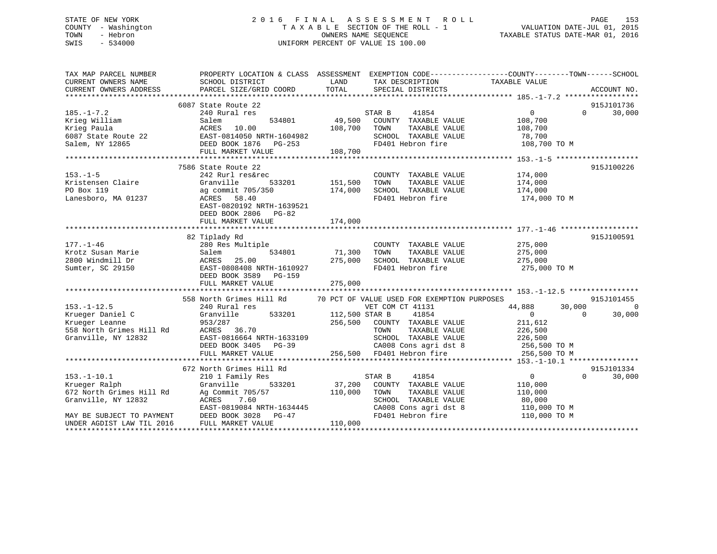## STATE OF NEW YORK 2 0 1 6 F I N A L A S S E S S M E N T R O L L PAGE 153 COUNTY - Washington T A X A B L E SECTION OF THE ROLL - 1 VALUATION DATE-JUL 01, 2015 TOWN - Hebron OWNERS NAME SEQUENCE TAXABLE STATUS DATE-MAR 01, 2016 SWIS - 534000 UNIFORM PERCENT OF VALUE IS 100.00

| TAX MAP PARCEL NUMBER                                            | PROPERTY LOCATION & CLASS ASSESSMENT EXEMPTION CODE---------------COUNTY-------TOWN-----SCHOOL                        |         |                                                                |                   |                    |
|------------------------------------------------------------------|-----------------------------------------------------------------------------------------------------------------------|---------|----------------------------------------------------------------|-------------------|--------------------|
| CURRENT OWNERS NAME                                              | SCHOOL DISTRICT                                                                                                       | LAND    | TAX DESCRIPTION                                                | TAXABLE VALUE     |                    |
| CURRENT OWNERS ADDRESS                                           | PARCEL SIZE/GRID COORD                                                                                                | TOTAL   | SPECIAL DISTRICTS                                              |                   | ACCOUNT NO.        |
|                                                                  |                                                                                                                       |         |                                                                |                   |                    |
|                                                                  | 6087 State Route 22                                                                                                   |         |                                                                |                   | 915J101736         |
| $185. - 1 - 7.2$                                                 | 240 Rural res                                                                                                         |         | 41854<br>STAR B                                                | $0 \qquad \qquad$ | $0 \t 30,000$      |
| Krieg William                                                    | Salem<br>534801                                                                                                       | 49,500  | COUNTY TAXABLE VALUE                                           | 108,700           |                    |
|                                                                  |                                                                                                                       | 108,700 | TOWN<br>TAXABLE VALUE                                          | 108,700           |                    |
|                                                                  |                                                                                                                       |         | SCHOOL TAXABLE VALUE                                           | 78,700            |                    |
|                                                                  | Krieg william<br>Krieg Paula<br>6087 State Route 22 EAST-0814050 NRTH-1604982<br>Salem NY 12865 DEED BOOK 1876 PG-253 |         | FD401 Hebron fire                                              | 108,700 TO M      |                    |
|                                                                  | FULL MARKET VALUE                                                                                                     |         |                                                                |                   |                    |
|                                                                  |                                                                                                                       |         |                                                                |                   |                    |
|                                                                  | 7586 State Route 22                                                                                                   |         |                                                                |                   | 915J100226         |
| $153. - 1 - 5$                                                   | 242 Rurl res&rec                                                                                                      |         | COUNTY TAXABLE VALUE                                           | 174,000           |                    |
| Kristensen Claire                                                | 533201 151,500<br>Granville                                                                                           |         | TOWN<br>TAXABLE VALUE                                          | 174,000           |                    |
| PO Box 119                                                       | ag commit 705/350                                                                                                     | 174,000 | SCHOOL TAXABLE VALUE                                           | 174,000           |                    |
| Lanesboro, MA 01237                                              | ACRES 58.40                                                                                                           |         | FD401 Hebron fire                                              | 174,000 TO M      |                    |
|                                                                  | EAST-0820192 NRTH-1639521                                                                                             |         |                                                                |                   |                    |
|                                                                  | DEED BOOK 2806 PG-82                                                                                                  |         |                                                                |                   |                    |
|                                                                  | FULL MARKET VALUE                                                                                                     | 174,000 |                                                                |                   |                    |
|                                                                  |                                                                                                                       |         |                                                                |                   |                    |
|                                                                  | 82 Tiplady Rd                                                                                                         |         |                                                                |                   | 915J100591         |
| $177. - 1 - 46$                                                  | 280 Res Multiple                                                                                                      |         | COUNTY TAXABLE VALUE                                           | 275,000           |                    |
| Krotz Susan Marie                                                | Salem<br>534801                                                                                                       | 71,300  | TOWN<br>TAXABLE VALUE                                          | 275,000           |                    |
| 2800 Windmill Dr                                                 | ACRES<br>EAST-0<br>DEED B<br>25.00                                                                                    | 275,000 | SCHOOL TAXABLE VALUE 275,000                                   |                   |                    |
| Sumter, SC 29150                                                 | EAST-0808408 NRTH-1610927                                                                                             |         | FD401 Hebron fire                                              | 275,000 ТО М      |                    |
|                                                                  | DEED BOOK 3589 PG-159                                                                                                 |         |                                                                |                   |                    |
|                                                                  | FULL MARKET VALUE                                                                                                     | 275,000 |                                                                |                   |                    |
|                                                                  |                                                                                                                       |         |                                                                |                   |                    |
|                                                                  | 558 North Grimes Hill Rd 70 PCT OF VALUE USED FOR EXEMPTION PURPOSES                                                  |         |                                                                |                   | 915J101455         |
| $153. - 1 - 12.5$                                                | 240 Rural res                                                                                                         |         | VET COM CT 41131                                               | 44,888<br>30,000  | $\bigcirc$         |
|                                                                  | 533201 112,500 STAR B<br>Granville                                                                                    |         | 41854                                                          | $\overline{0}$    | $\Omega$<br>30,000 |
| Frueger Daniel C<br>Krueger Daniel C<br>558 North Grimes Hill Rd | 953/287                                                                                                               |         | 256,500 COUNTY TAXABLE VALUE                                   | 211,612           |                    |
|                                                                  | ACRES 36.70                                                                                                           |         | TAXABLE VALUE<br>TOWN                                          | 226,500           |                    |
| Granville, NY 12832                                              | EAST-0816664 NRTH-1633109                                                                                             |         | SCHOOL TAXABLE VALUE                                           | 226,500           |                    |
|                                                                  | DEED BOOK 3405 PG-39                                                                                                  |         |                                                                | 256,500 TO M      |                    |
|                                                                  | FULL MARKET VALUE                                                                                                     |         | $(256,500)$ CAUU8 Cons agri dst 8<br>256,500 FD401 Hebron fire | 256,500 TO M      |                    |
|                                                                  |                                                                                                                       |         |                                                                |                   |                    |
|                                                                  | 672 North Grimes Hill Rd                                                                                              |         |                                                                |                   | 915J101334         |
| $153. - 1 - 10.1$                                                | 210 1 Family Res                                                                                                      |         | STAR B<br>41854                                                | $0 \qquad \qquad$ | $\Omega$<br>30,000 |
| Krueger Ralph                                                    | $533201$ $37,200$<br>Granville                                                                                        |         | COUNTY TAXABLE VALUE                                           | 110,000           |                    |
| 672 North Grimes Hill Rd                                         | Ag Commit 705/57 110,000                                                                                              |         | TOWN<br>TAXABLE VALUE                                          | 110,000           |                    |
| Granville, NY 12832                                              | ACRES 7.60                                                                                                            |         | SCHOOL TAXABLE VALUE                                           | 80,000            |                    |
|                                                                  | EAST-0819084 NRTH-1634445                                                                                             |         | CA008 Cons agri dst 8<br>FD401 Teber 17                        | 110,000 TO M      |                    |
| MAY BE SUBJECT TO PAYMENT                                        |                                                                                                                       |         | FD401 Hebron fire                                              | 110,000 TO M      |                    |
| UNDER AGDIST LAW TIL 2016                                        | DEED BOOK 3028 PG-47<br>FULL MARKET VALUE                                                                             | 110,000 |                                                                |                   |                    |
|                                                                  |                                                                                                                       |         |                                                                |                   |                    |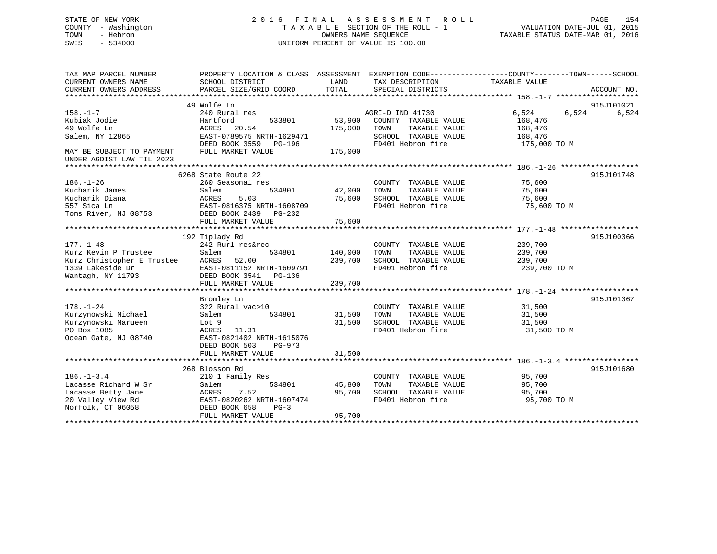### STATE OF NEW YORK 2 0 1 6 F I N A L A S S E S S M E N T R O L L PAGE 154 COUNTY - Washington T A X A B L E SECTION OF THE ROLL - 1 VALUATION DATE-JUL 01, 2015 TOWN - Hebron OWNERS NAME SEQUENCE TAXABLE STATUS DATE-MAR 01, 2016 SWIS - 534000 UNIFORM PERCENT OF VALUE IS 100.00

TAX MAP PARCEL NUMBER PROPERTY LOCATION & CLASS ASSESSMENT EXEMPTION CODE------------------COUNTY--------TOWN------SCHOOL CURRENT OWNERS NAME SCHOOL DISTRICT THE LAND TAX DESCRIPTION TAXABLE VALUE CURRENT OWNERS ADDRESS PARCEL SIZE/GRID COORD TOTAL SPECIAL DISTRICTS ACCOUNT NO. \*\*\*\*\*\*\*\*\*\*\*\*\*\*\*\*\*\*\*\*\*\*\*\*\*\*\*\*\*\*\*\*\*\*\*\*\*\*\*\*\*\*\*\*\*\*\*\*\*\*\*\*\*\*\*\*\*\*\*\*\*\*\*\*\*\*\*\*\*\*\*\*\*\*\*\*\*\*\*\*\*\*\*\*\*\*\*\*\*\*\*\*\*\*\*\*\*\*\*\*\*\*\* 158.-1-7 \*\*\*\*\*\*\*\*\*\*\*\*\*\*\*\*\*\*\* 49 Wolfe Ln 915J101021158.-1-7 240 Rural res AGRI-D IND 41730 6,524 6,524 6,524 Kubiak Jodie Hartford 533801 53,900 COUNTY TAXABLE VALUE 168,476 49 Wolfe Ln ACRES 20.54 175,000 TOWN TAXABLE VALUE 168,476 Salem, NY 12865 EAST-0789575 NRTH-1629471 SCHOOL TAXABLE VALUE 168,476 DEED BOOK 3559 PG-196 FD401 Hebron fire 175,000 TO M DEED BOOK 3559 PG-196<br>MAY BE SUBJECT TO PAYMENT FULL MARKET VALUE 175,000 UNDER AGDIST LAW TIL 2023 \*\*\*\*\*\*\*\*\*\*\*\*\*\*\*\*\*\*\*\*\*\*\*\*\*\*\*\*\*\*\*\*\*\*\*\*\*\*\*\*\*\*\*\*\*\*\*\*\*\*\*\*\*\*\*\*\*\*\*\*\*\*\*\*\*\*\*\*\*\*\*\*\*\*\*\*\*\*\*\*\*\*\*\*\*\*\*\*\*\*\*\*\*\*\*\*\*\*\*\*\*\*\* 186.-1-26 \*\*\*\*\*\*\*\*\*\*\*\*\*\*\*\*\*\* 6268 State Route 22 915J101748186.-1-26 260 Seasonal res COUNTY TAXABLE VALUE 75,600 Eucharik James Salem 534801 42,000 TOWN TAXABLE VALUE 75,600<br>Kucharik Diana Salem 534801 42,000 TOWN TAXABLE VALUE 75,600<br>The Salem 1999 1999 75,600 SCHOOL TAXABLE VALUE 75,600<br>The Salem 1999 75,600 SCHOOL TAXABLE VALUE 75 75,600 SCHOOL TAXABLE VALUE 75,600 557 Sica Ln EAST-0816375 NRTH-1608709 FD401 Hebron fire 75,600 TO M Toms River, NJ 08753 DEED BOOK 2439 PG-232 FULL MARKET VALUE 75,600 \*\*\*\*\*\*\*\*\*\*\*\*\*\*\*\*\*\*\*\*\*\*\*\*\*\*\*\*\*\*\*\*\*\*\*\*\*\*\*\*\*\*\*\*\*\*\*\*\*\*\*\*\*\*\*\*\*\*\*\*\*\*\*\*\*\*\*\*\*\*\*\*\*\*\*\*\*\*\*\*\*\*\*\*\*\*\*\*\*\*\*\*\*\*\*\*\*\*\*\*\*\*\* 177.-1-48 \*\*\*\*\*\*\*\*\*\*\*\*\*\*\*\*\*\* 192 Tiplady Rd 915J100366 177.-1-48 242 Rurl res&rec COUNTY TAXABLE VALUE 239,700 Kurz Kevin P Trustee Salem 534801 140,000 TOWN TAXABLE VALUE 239,700 Kurz Christopher E Trustee ACRES 52.00 239,700 SCHOOL TAXABLE VALUE 239,700 1339 Lakeside Dr EAST-0811152 NRTH-1609791 FD401 Hebron fire 239,700 TO M Wantagh, NY 11793 DEED BOOK 3541 PG-136 FULL MARKET VALUE 239,700 \*\*\*\*\*\*\*\*\*\*\*\*\*\*\*\*\*\*\*\*\*\*\*\*\*\*\*\*\*\*\*\*\*\*\*\*\*\*\*\*\*\*\*\*\*\*\*\*\*\*\*\*\*\*\*\*\*\*\*\*\*\*\*\*\*\*\*\*\*\*\*\*\*\*\*\*\*\*\*\*\*\*\*\*\*\*\*\*\*\*\*\*\*\*\*\*\*\*\*\*\*\*\* 178.-1-24 \*\*\*\*\*\*\*\*\*\*\*\*\*\*\*\*\*\* Bromley Ln 915J101367 178.-1-24 322 Rural vac>10 COUNTY TAXABLE VALUE 31,500 Kurzynowski Michael Salem 534801 31,500 TOWN TAXABLE VALUE 31,500 Kurzynowski Marueen and Lot 9 31,500 SCHOOL TAXABLE VALUE 31,500 SCHOOL TAXABLE VALUE PO Box 1085 ACRES 11.31 FD401 Hebron fire 31,500 TO M Ocean Gate, NJ 08740 EAST-0821402 NRTH-1615076 DEED BOOK 503 PG-973FULL MARKET VALUE 31,500 \*\*\*\*\*\*\*\*\*\*\*\*\*\*\*\*\*\*\*\*\*\*\*\*\*\*\*\*\*\*\*\*\*\*\*\*\*\*\*\*\*\*\*\*\*\*\*\*\*\*\*\*\*\*\*\*\*\*\*\*\*\*\*\*\*\*\*\*\*\*\*\*\*\*\*\*\*\*\*\*\*\*\*\*\*\*\*\*\*\*\*\*\*\*\*\*\*\*\*\*\*\*\* 186.-1-3.4 \*\*\*\*\*\*\*\*\*\*\*\*\*\*\*\*\* 268 Blossom Rd 915J101680186.-1-3.4 210 1 Family Res COUNTY TAXABLE VALUE 95,700 Lacasse Richard W Sr Salem 534801 45,800 TOWN TAXABLE VALUE 95,700 Lacasse Betty Jane ACRES 7.52 95,700 SCHOOL TAXABLE VALUE 95,700 20 Valley View Rd EAST-0820262 NRTH-1607474 FD401 Hebron fire 95,700 TO M Norfolk, CT 06058 DEED BOOK 658 PG-3 FULL MARKET VALUE 95,700 \*\*\*\*\*\*\*\*\*\*\*\*\*\*\*\*\*\*\*\*\*\*\*\*\*\*\*\*\*\*\*\*\*\*\*\*\*\*\*\*\*\*\*\*\*\*\*\*\*\*\*\*\*\*\*\*\*\*\*\*\*\*\*\*\*\*\*\*\*\*\*\*\*\*\*\*\*\*\*\*\*\*\*\*\*\*\*\*\*\*\*\*\*\*\*\*\*\*\*\*\*\*\*\*\*\*\*\*\*\*\*\*\*\*\*\*\*\*\*\*\*\*\*\*\*\*\*\*\*\*\*\*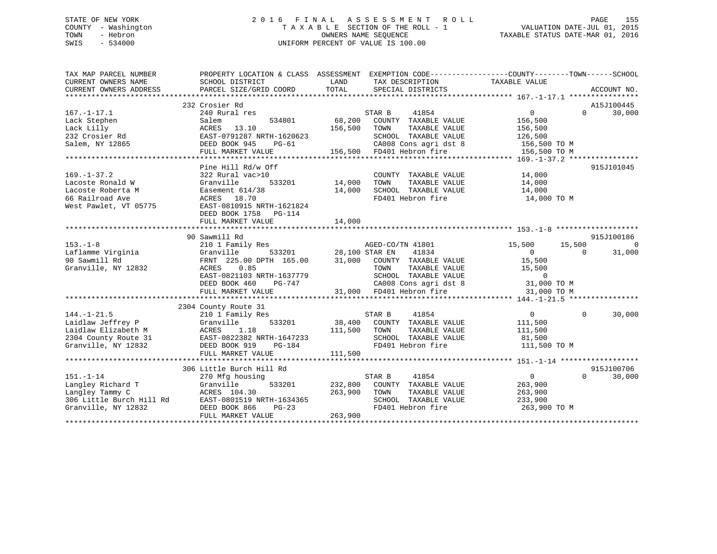## STATE OF NEW YORK 2 0 1 6 F I N A L A S S E S S M E N T R O L L PAGE 155 COUNTY - Washington T A X A B L E SECTION OF THE ROLL - 1 VALUATION DATE-JUL 01, 2015 TOWN - Hebron OWNERS NAME SEQUENCE TAXABLE STATUS DATE-MAR 01, 2016 SWIS - 534000 UNIFORM PERCENT OF VALUE IS 100.00

| 232 Crosier Rd<br>A15J100445<br>$167. - 1 - 17.1$<br>STAR B<br>41854<br>$\overline{0}$<br>$\Omega$<br>240 Rural res<br>68,200<br>Lack Stephen<br>534801<br>COUNTY TAXABLE VALUE<br>156,500<br>Salem<br>Lack Lilly<br>ACRES<br>13.10<br>156,500<br>TOWN<br>TAXABLE VALUE<br>156,500<br>232 Crosier Rd<br>EAST-0791287 NRTH-1620623<br>SCHOOL TAXABLE VALUE<br>126,500<br>Salem, NY 12865<br>DEED BOOK 945<br>CA008 Cons agri dst 8<br>FD401 Hebron fire<br>156,500 TO M<br>PG-61<br>156,500 FD401 Hebron fire<br>156,500 TO M<br>FULL MARKET VALUE<br>Pine Hill Rd/w Off<br>915J101045<br>$169. - 1 - 37.2$<br>322 Rural vac>10<br>COUNTY TAXABLE VALUE<br>14,000<br>14,000<br>Lacoste Ronald W<br>Granville<br>533201<br>TOWN<br>TAXABLE VALUE<br>14,000 | TAX MAP PARCEL NUMBER<br>CURRENT OWNERS NAME<br>CURRENT OWNERS ADDRESS | PROPERTY LOCATION & CLASS ASSESSMENT EXEMPTION CODE----------------COUNTY-------TOWN------SCHOOL<br>SCHOOL DISTRICT<br>PARCEL SIZE/GRID COORD | LAND<br>TOTAL | TAX DESCRIPTION<br>SPECIAL DISTRICTS | TAXABLE VALUE | ACCOUNT NO.    |
|----------------------------------------------------------------------------------------------------------------------------------------------------------------------------------------------------------------------------------------------------------------------------------------------------------------------------------------------------------------------------------------------------------------------------------------------------------------------------------------------------------------------------------------------------------------------------------------------------------------------------------------------------------------------------------------------------------------------------------------------------------|------------------------------------------------------------------------|-----------------------------------------------------------------------------------------------------------------------------------------------|---------------|--------------------------------------|---------------|----------------|
|                                                                                                                                                                                                                                                                                                                                                                                                                                                                                                                                                                                                                                                                                                                                                          |                                                                        |                                                                                                                                               |               |                                      |               |                |
|                                                                                                                                                                                                                                                                                                                                                                                                                                                                                                                                                                                                                                                                                                                                                          |                                                                        |                                                                                                                                               |               |                                      |               |                |
|                                                                                                                                                                                                                                                                                                                                                                                                                                                                                                                                                                                                                                                                                                                                                          |                                                                        |                                                                                                                                               |               |                                      |               | 30,000         |
|                                                                                                                                                                                                                                                                                                                                                                                                                                                                                                                                                                                                                                                                                                                                                          |                                                                        |                                                                                                                                               |               |                                      |               |                |
|                                                                                                                                                                                                                                                                                                                                                                                                                                                                                                                                                                                                                                                                                                                                                          |                                                                        |                                                                                                                                               |               |                                      |               |                |
|                                                                                                                                                                                                                                                                                                                                                                                                                                                                                                                                                                                                                                                                                                                                                          |                                                                        |                                                                                                                                               |               |                                      |               |                |
|                                                                                                                                                                                                                                                                                                                                                                                                                                                                                                                                                                                                                                                                                                                                                          |                                                                        |                                                                                                                                               |               |                                      |               |                |
|                                                                                                                                                                                                                                                                                                                                                                                                                                                                                                                                                                                                                                                                                                                                                          |                                                                        |                                                                                                                                               |               |                                      |               |                |
|                                                                                                                                                                                                                                                                                                                                                                                                                                                                                                                                                                                                                                                                                                                                                          |                                                                        |                                                                                                                                               |               |                                      |               |                |
|                                                                                                                                                                                                                                                                                                                                                                                                                                                                                                                                                                                                                                                                                                                                                          |                                                                        |                                                                                                                                               |               |                                      |               |                |
|                                                                                                                                                                                                                                                                                                                                                                                                                                                                                                                                                                                                                                                                                                                                                          |                                                                        |                                                                                                                                               |               |                                      |               |                |
|                                                                                                                                                                                                                                                                                                                                                                                                                                                                                                                                                                                                                                                                                                                                                          |                                                                        |                                                                                                                                               |               |                                      |               |                |
|                                                                                                                                                                                                                                                                                                                                                                                                                                                                                                                                                                                                                                                                                                                                                          | Lacoste Roberta M                                                      | Easement 614/38                                                                                                                               | 14,000        | SCHOOL TAXABLE VALUE                 | 14,000        |                |
| FD401 Hebron fire<br>66 Railroad Ave<br>ACRES 18.70<br>14,000 TO M                                                                                                                                                                                                                                                                                                                                                                                                                                                                                                                                                                                                                                                                                       |                                                                        |                                                                                                                                               |               |                                      |               |                |
| West Pawlet, VT 05775<br>EAST-0810915 NRTH-1621824                                                                                                                                                                                                                                                                                                                                                                                                                                                                                                                                                                                                                                                                                                       |                                                                        |                                                                                                                                               |               |                                      |               |                |
| DEED BOOK 1758 PG-114                                                                                                                                                                                                                                                                                                                                                                                                                                                                                                                                                                                                                                                                                                                                    |                                                                        |                                                                                                                                               |               |                                      |               |                |
| 14,000<br>FULL MARKET VALUE                                                                                                                                                                                                                                                                                                                                                                                                                                                                                                                                                                                                                                                                                                                              |                                                                        |                                                                                                                                               |               |                                      |               |                |
|                                                                                                                                                                                                                                                                                                                                                                                                                                                                                                                                                                                                                                                                                                                                                          |                                                                        |                                                                                                                                               |               |                                      |               |                |
| 90 Sawmill Rd<br>915J100186                                                                                                                                                                                                                                                                                                                                                                                                                                                                                                                                                                                                                                                                                                                              |                                                                        |                                                                                                                                               |               |                                      |               |                |
| $153. - 1 - 8$<br>AGED-CO/TN 41801<br>15,500<br>15,500<br>210 1 Family Res                                                                                                                                                                                                                                                                                                                                                                                                                                                                                                                                                                                                                                                                               |                                                                        |                                                                                                                                               |               |                                      |               | $\overline{0}$ |
| Laflamme Virginia<br>Granville<br>533201<br>28,100 STAR EN<br>41834<br>$\Omega$<br>$\Omega$                                                                                                                                                                                                                                                                                                                                                                                                                                                                                                                                                                                                                                                              |                                                                        |                                                                                                                                               |               |                                      |               | 31,000         |
| 31,000 COUNTY TAXABLE VALUE<br>90 Sawmill Rd<br>FRNT 225.00 DPTH 165.00<br>15,500<br>Granville, NY 12832                                                                                                                                                                                                                                                                                                                                                                                                                                                                                                                                                                                                                                                 |                                                                        |                                                                                                                                               |               |                                      |               |                |
| ACRES<br>0.85<br>15,500<br>TOWN TAXABLE VALUE 15,500<br>SCHOOL TAXABLE VALUE 15,500<br>CA008 Cons agri dst 8 31,000 TO M<br>EAST-0821103 NRTH-1637779                                                                                                                                                                                                                                                                                                                                                                                                                                                                                                                                                                                                    |                                                                        |                                                                                                                                               |               |                                      |               |                |
| DEED BOOK 460<br>PG-747                                                                                                                                                                                                                                                                                                                                                                                                                                                                                                                                                                                                                                                                                                                                  |                                                                        |                                                                                                                                               |               |                                      |               |                |
| 3-747 CA008 Cons agri dst 8<br>31,000 FD401 Hebron fire<br>31,000 TO M<br>FULL MARKET VALUE                                                                                                                                                                                                                                                                                                                                                                                                                                                                                                                                                                                                                                                              |                                                                        |                                                                                                                                               |               |                                      |               |                |
|                                                                                                                                                                                                                                                                                                                                                                                                                                                                                                                                                                                                                                                                                                                                                          |                                                                        |                                                                                                                                               |               |                                      |               |                |
| 2304 County Route 31                                                                                                                                                                                                                                                                                                                                                                                                                                                                                                                                                                                                                                                                                                                                     |                                                                        |                                                                                                                                               |               |                                      |               |                |
| $144. - 1 - 21.5$<br>$\overline{0}$<br>$\Omega$<br>210 1 Family Res<br>41854<br>STAR B                                                                                                                                                                                                                                                                                                                                                                                                                                                                                                                                                                                                                                                                   |                                                                        |                                                                                                                                               |               |                                      |               | 30,000         |
| Laidlaw Jeffrey P<br>38,400<br>COUNTY TAXABLE VALUE<br>Granville<br>533201<br>111,500                                                                                                                                                                                                                                                                                                                                                                                                                                                                                                                                                                                                                                                                    |                                                                        |                                                                                                                                               |               |                                      |               |                |
| Laidlaw Elizabeth M<br>111,500<br>ACRES<br>1.18<br>TOWN<br>TAXABLE VALUE<br>111,500                                                                                                                                                                                                                                                                                                                                                                                                                                                                                                                                                                                                                                                                      |                                                                        |                                                                                                                                               |               |                                      |               |                |
| 2304 County Route 31<br>EAST-0822382 NRTH-1647233<br>SCHOOL TAXABLE VALUE<br>81,500                                                                                                                                                                                                                                                                                                                                                                                                                                                                                                                                                                                                                                                                      |                                                                        |                                                                                                                                               |               |                                      |               |                |
| FD401 Hebron fire<br>111,500 TO M<br>Granville, NY 12832<br>PG-184<br>DEED BOOK 919                                                                                                                                                                                                                                                                                                                                                                                                                                                                                                                                                                                                                                                                      |                                                                        |                                                                                                                                               |               |                                      |               |                |
| 111,500<br>FULL MARKET VALUE                                                                                                                                                                                                                                                                                                                                                                                                                                                                                                                                                                                                                                                                                                                             |                                                                        |                                                                                                                                               |               |                                      |               |                |
|                                                                                                                                                                                                                                                                                                                                                                                                                                                                                                                                                                                                                                                                                                                                                          |                                                                        |                                                                                                                                               |               |                                      |               |                |
| 306 Little Burch Hill Rd<br>915J100706                                                                                                                                                                                                                                                                                                                                                                                                                                                                                                                                                                                                                                                                                                                   |                                                                        |                                                                                                                                               |               |                                      |               |                |
| 41854<br>$\overline{0}$<br>$151. - 1 - 14$<br>270 Mfg housing<br>STAR B<br>$\Omega$                                                                                                                                                                                                                                                                                                                                                                                                                                                                                                                                                                                                                                                                      |                                                                        |                                                                                                                                               |               |                                      |               | 30,000         |
| Langley Richard T<br>Granville<br>533201<br>232,800<br>COUNTY TAXABLE VALUE<br>263,900                                                                                                                                                                                                                                                                                                                                                                                                                                                                                                                                                                                                                                                                   |                                                                        |                                                                                                                                               |               |                                      |               |                |
| Langley Tammy C<br>ACRES 104.30<br>263,900<br>TOWN<br>TAXABLE VALUE<br>263,900                                                                                                                                                                                                                                                                                                                                                                                                                                                                                                                                                                                                                                                                           |                                                                        |                                                                                                                                               |               |                                      |               |                |
| 306 Little Burch Hill Rd<br>SCHOOL TAXABLE VALUE<br>EAST-0801519 NRTH-1634365<br>233,900                                                                                                                                                                                                                                                                                                                                                                                                                                                                                                                                                                                                                                                                 |                                                                        |                                                                                                                                               |               |                                      |               |                |
| FD401 Hebron fire<br>Granville, NY 12832<br>DEED BOOK 866<br>$PG-23$<br>263,900 TO M                                                                                                                                                                                                                                                                                                                                                                                                                                                                                                                                                                                                                                                                     |                                                                        |                                                                                                                                               |               |                                      |               |                |
| 263,900<br>FULL MARKET VALUE                                                                                                                                                                                                                                                                                                                                                                                                                                                                                                                                                                                                                                                                                                                             |                                                                        |                                                                                                                                               |               |                                      |               |                |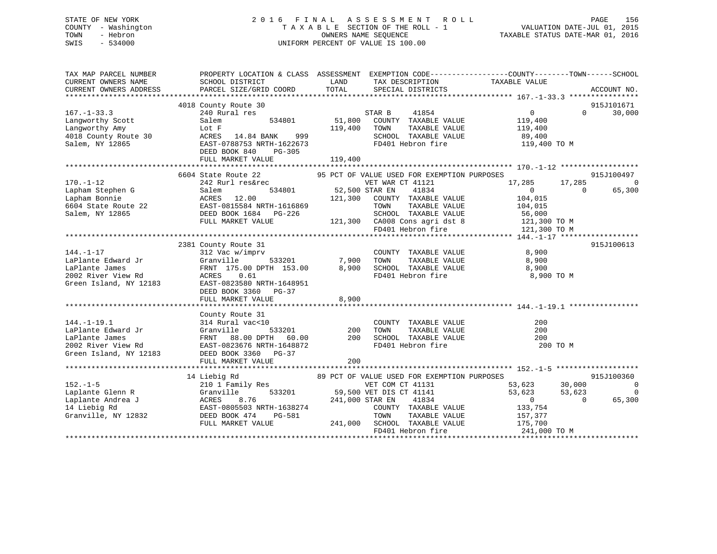## STATE OF NEW YORK 2 0 1 6 F I N A L A S S E S S M E N T R O L L PAGE 156 COUNTY - Washington T A X A B L E SECTION OF THE ROLL - 1 VALUATION DATE-JUL 01, 2015 TOWN - Hebron OWNERS NAME SEQUENCE TAXABLE STATUS DATE-MAR 01, 2016 SWIS - 534000 UNIFORM PERCENT OF VALUE IS 100.00

| TAX MAP PARCEL NUMBER<br>CURRENT OWNERS NAME<br>CURRENT OWNERS ADDRESS                                  | PROPERTY LOCATION & CLASS ASSESSMENT<br>SCHOOL DISTRICT<br>PARCEL SIZE/GRID COORD                                                                               | LAND<br>TAX DESCRIPTION<br>TOTAL<br>SPECIAL DISTRICTS                                                                                                                                                           | EXEMPTION CODE-----------------COUNTY-------TOWN------SCHOOL<br>TAXABLE VALUE<br>ACCOUNT NO.                                                      |
|---------------------------------------------------------------------------------------------------------|-----------------------------------------------------------------------------------------------------------------------------------------------------------------|-----------------------------------------------------------------------------------------------------------------------------------------------------------------------------------------------------------------|---------------------------------------------------------------------------------------------------------------------------------------------------|
|                                                                                                         | 4018 County Route 30                                                                                                                                            |                                                                                                                                                                                                                 | 915J101671                                                                                                                                        |
| $167. - 1 - 33.3$<br>Langworthy Scott<br>Langworthy Amy<br>4018 County Route 30<br>Salem, NY 12865      | 240 Rural res<br>534801<br>Salem<br>Lot F<br>ACRES<br>14.84 BANK<br>999<br>EAST-0788753 NRTH-1622673                                                            | STAR B<br>41854<br>51,800<br>COUNTY TAXABLE VALUE<br>119,400<br>TOWN<br>TAXABLE VALUE<br>SCHOOL TAXABLE VALUE<br>FD401 Hebron fire                                                                              | 30,000<br>$\overline{0}$<br>$\Omega$<br>119,400<br>119,400<br>89,400                                                                              |
|                                                                                                         | DEED BOOK 840<br>$PG-305$<br>FULL MARKET VALUE                                                                                                                  | 119,400                                                                                                                                                                                                         | 119,400 TO M                                                                                                                                      |
|                                                                                                         |                                                                                                                                                                 |                                                                                                                                                                                                                 |                                                                                                                                                   |
| $170. - 1 - 12$<br>Lapham Stephen G<br>Lapham Bonnie<br>6604 State Route 22<br>Salem, NY 12865          | 6604 State Route 22<br>242 Rurl res&rec<br>534801<br>Salem<br>ACRES<br>12.00<br>EAST-0815584 NRTH-1616869<br>DEED BOOK 1684 PG-226<br>FULL MARKET VALUE         | 95 PCT OF VALUE USED FOR EXEMPTION PURPOSES<br>VET WAR CT 41121<br>52,500 STAR EN<br>41834<br>121,300<br>COUNTY TAXABLE VALUE<br>TOWN<br>TAXABLE VALUE<br>SCHOOL TAXABLE VALUE<br>121,300 CA008 Cons agri dst 8 | 915J100497<br>17,285<br>17,285<br>$\Omega$<br>65,300<br>$\overline{0}$<br>$\Omega$<br>104,015<br>104,015<br>56,000<br>121,300 TO M                |
|                                                                                                         |                                                                                                                                                                 | FD401 Hebron fire                                                                                                                                                                                               | 121,300 TO M                                                                                                                                      |
|                                                                                                         |                                                                                                                                                                 |                                                                                                                                                                                                                 |                                                                                                                                                   |
|                                                                                                         |                                                                                                                                                                 |                                                                                                                                                                                                                 | 915J100613                                                                                                                                        |
| $144. - 1 - 17$<br>LaPlante Edward Jr<br>LaPlante James<br>2002 River View Rd<br>Green Island, NY 12183 | 2381 County Route 31<br>312 Vac w/imprv<br>Granville<br>533201<br>FRNT 175.00 DPTH 153.00<br>ACRES<br>0.61<br>EAST-0823580 NRTH-1648951<br>DEED BOOK 3360 PG-37 | COUNTY TAXABLE VALUE<br>7,900<br>TOWN<br>TAXABLE VALUE<br>8,900<br>SCHOOL TAXABLE VALUE<br>FD401 Hebron fire                                                                                                    | 8,900<br>8,900<br>8,900<br>8,900 TO M                                                                                                             |
|                                                                                                         | FULL MARKET VALUE                                                                                                                                               | 8,900                                                                                                                                                                                                           |                                                                                                                                                   |
| $144. - 1 - 19.1$<br>LaPlante Edward Jr<br>LaPlante James<br>2002 River View Rd                         | County Route 31<br>314 Rural vac<10<br>Granville<br>533201<br>88.00 DPTH<br>FRNT<br>60.00<br>EAST-0823676 NRTH-1648872                                          | COUNTY TAXABLE VALUE<br>TAXABLE VALUE<br>200<br>TOWN<br>200<br>SCHOOL TAXABLE VALUE<br>FD401 Hebron fire                                                                                                        | 200<br>200<br>200<br>200 TO M                                                                                                                     |
| Green Island, NY 12183                                                                                  | DEED BOOK 3360 PG-37                                                                                                                                            |                                                                                                                                                                                                                 |                                                                                                                                                   |
|                                                                                                         | FULL MARKET VALUE                                                                                                                                               | 200                                                                                                                                                                                                             |                                                                                                                                                   |
|                                                                                                         |                                                                                                                                                                 |                                                                                                                                                                                                                 |                                                                                                                                                   |
| $152. - 1 - 5$<br>Laplante Glenn R<br>Laplante Andrea J<br>14 Liebig Rd<br>Granville, NY 12832          | 14 Liebig Rd<br>210 1 Family Res<br>Granville<br>533201<br>8.76<br>ACRES<br>EAST-0805503 NRTH-1638274<br>DEED BOOK 474<br>PG-581                                | 89 PCT OF VALUE USED FOR EXEMPTION PURPOSES<br>VET COM CT 41131<br>59,500 VET DIS CT 41141<br>241,000 STAR EN<br>41834<br>COUNTY TAXABLE VALUE<br>TOWN<br>TAXABLE VALUE                                         | 915J100360<br>53,623<br>30,000<br>$\overline{0}$<br>53,623<br>53,623<br>$\mathbf 0$<br>$\overline{0}$<br>65,300<br>$\Omega$<br>133,754<br>157,377 |
|                                                                                                         | FULL MARKET VALUE                                                                                                                                               | 241,000 SCHOOL TAXABLE VALUE<br>FD401 Hebron fire                                                                                                                                                               | 175,700<br>241,000 TO M                                                                                                                           |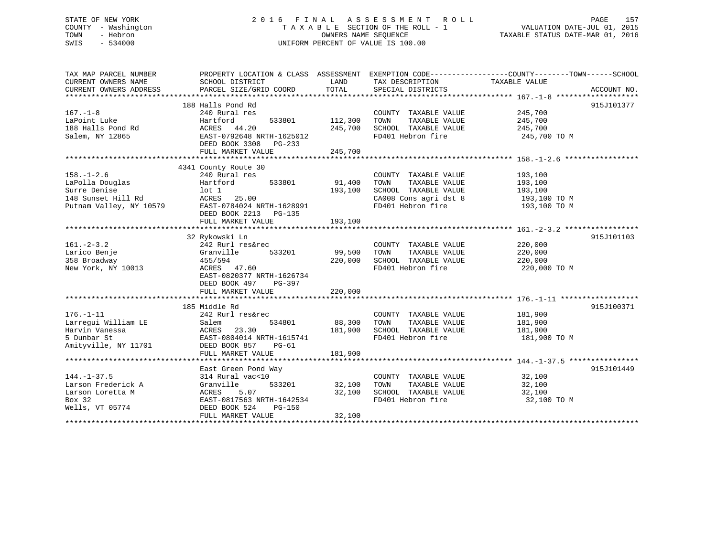## STATE OF NEW YORK 2 0 1 6 F I N A L A S S E S S M E N T R O L L PAGE 157 COUNTY - Washington T A X A B L E SECTION OF THE ROLL - 1 VALUATION DATE-JUL 01, 2015 TOWN - Hebron OWNERS NAME SEQUENCE TAXABLE STATUS DATE-MAR 01, 2016 SWIS - 534000 UNIFORM PERCENT OF VALUE IS 100.00

| TAX MAP PARCEL NUMBER |                                                   |               |                                 | PROPERTY LOCATION & CLASS ASSESSMENT EXEMPTION CODE----------------COUNTY-------TOWN------SCHOOL |            |
|-----------------------|---------------------------------------------------|---------------|---------------------------------|--------------------------------------------------------------------------------------------------|------------|
| CURRENT OWNERS NAME   | SCHOOL DISTRICT                                   | LAND          | TAX DESCRIPTION                 | TAXABLE VALUE                                                                                    |            |
|                       |                                                   |               |                                 |                                                                                                  |            |
|                       |                                                   |               |                                 |                                                                                                  |            |
|                       | 188 Halls Pond Rd                                 |               |                                 |                                                                                                  | 915J101377 |
| $167. - 1 - 8$        | 240 Rural res                                     |               | COUNTY TAXABLE VALUE            | 245,700                                                                                          |            |
| LaPoint Luke          | 533801<br>Hartford                                | 112,300       | TOWN<br>TAXABLE VALUE           | 245,700                                                                                          |            |
| 188 Halls Pond Rd     |                                                   | 245,700       | SCHOOL TAXABLE VALUE            | 245,700                                                                                          |            |
| Salem, NY 12865       | ACRES 44.20<br>EAST-0792648 NRTH-1625012          |               | FD401 Hebron fire               | 245,700 TO M                                                                                     |            |
|                       |                                                   |               |                                 |                                                                                                  |            |
|                       | DEED BOOK 3308 PG-233                             |               |                                 |                                                                                                  |            |
|                       | FULL MARKET VALUE                                 | 245,700       |                                 |                                                                                                  |            |
|                       |                                                   |               |                                 |                                                                                                  |            |
|                       | 4341 County Route 30                              |               |                                 |                                                                                                  |            |
| $158. - 1 - 2.6$      | 240 Rural res                                     |               | COUNTY TAXABLE VALUE            | 193,100                                                                                          |            |
| LaPolla Douglas       | Hartford<br>533801                                | 91,400        | TOWN<br>TAXABLE VALUE           | 193,100                                                                                          |            |
| Surre Denise          |                                                   | 193,100       | SCHOOL TAXABLE VALUE            | 193,100                                                                                          |            |
| 148 Sunset Hill Rd    | lot 1<br>ACRES 25.00                              |               |                                 | 193,100 TO M                                                                                     |            |
|                       | Putnam Valley, NY 10579 EAST-0784024 NRTH-1628991 |               |                                 | 193,100 TO M                                                                                     |            |
|                       | DEED BOOK 2213 PG-135                             |               | ayrı dst 8<br>FD401 Hebron fire |                                                                                                  |            |
|                       | FULL MARKET VALUE                                 | 193,100       |                                 |                                                                                                  |            |
|                       |                                                   |               |                                 |                                                                                                  |            |
|                       | 32 Rykowski Ln                                    |               |                                 |                                                                                                  | 915J101103 |
|                       |                                                   |               |                                 |                                                                                                  |            |
| $161 - 2 - 3.2$       | 242 Rurl res&rec                                  |               | COUNTY TAXABLE VALUE            | 220,000                                                                                          |            |
| Larico Benje          | Granville<br>533201                               | 99,500        | TOWN<br>TAXABLE VALUE           | 220,000                                                                                          |            |
| 358 Broadway          | 455/594<br>ACRES 47.60                            | 220,000       | SCHOOL TAXABLE VALUE            | 220,000                                                                                          |            |
| New York, NY 10013    |                                                   |               | FD401 Hebron fire               | 220,000 TO M                                                                                     |            |
|                       | EAST-0820377 NRTH-1626734                         |               |                                 |                                                                                                  |            |
|                       | DEED BOOK 497<br>PG-397                           |               |                                 |                                                                                                  |            |
|                       | FULL MARKET VALUE                                 | 220,000       |                                 |                                                                                                  |            |
|                       |                                                   |               |                                 |                                                                                                  |            |
|                       | 185 Middle Rd                                     |               |                                 |                                                                                                  | 915J100371 |
| $176. - 1 - 11$       | 242 Rurl res&rec                                  |               | COUNTY TAXABLE VALUE            | 181,900                                                                                          |            |
| Larregui William LE   | 534801<br>Salem                                   | 88,300        | TOWN<br>TAXABLE VALUE           | 181,900                                                                                          |            |
| Harvin Vanessa        | ACRES 23.30                                       | 181,900       | SCHOOL TAXABLE VALUE            | 181,900                                                                                          |            |
| 5 Dunbar St           | EAST-0804014 NRTH-1615741                         |               | FD401 Hebron fire               | 181,900 TO M                                                                                     |            |
| Amityville, NY 11701  | DEED BOOK 857<br>$PG-61$                          |               |                                 |                                                                                                  |            |
|                       |                                                   | 181,900       |                                 |                                                                                                  |            |
|                       | FULL MARKET VALUE                                 |               |                                 |                                                                                                  |            |
|                       |                                                   |               |                                 |                                                                                                  |            |
|                       | East Green Pond Way                               |               |                                 |                                                                                                  | 915J101449 |
| $144. - 1 - 37.5$     | 314 Rural vac<10                                  |               | COUNTY TAXABLE VALUE            | 32,100                                                                                           |            |
| Larson Frederick A    | Granville                                         | 533201 32,100 | TOWN<br>TAXABLE VALUE           | 32,100                                                                                           |            |
| Larson Loretta M      | ACRES 5.07<br>EAST-0817563 NRTH-1642534           | 32,100        | SCHOOL TAXABLE VALUE            | 32,100                                                                                           |            |
| Box 32                |                                                   |               | FD401 Hebron fire               | 32,100 TO M                                                                                      |            |
| Wells, VT 05774       | DEED BOOK 524<br><b>PG-150</b>                    |               |                                 |                                                                                                  |            |
|                       | FULL MARKET VALUE                                 | 32,100        |                                 |                                                                                                  |            |
|                       |                                                   |               |                                 |                                                                                                  |            |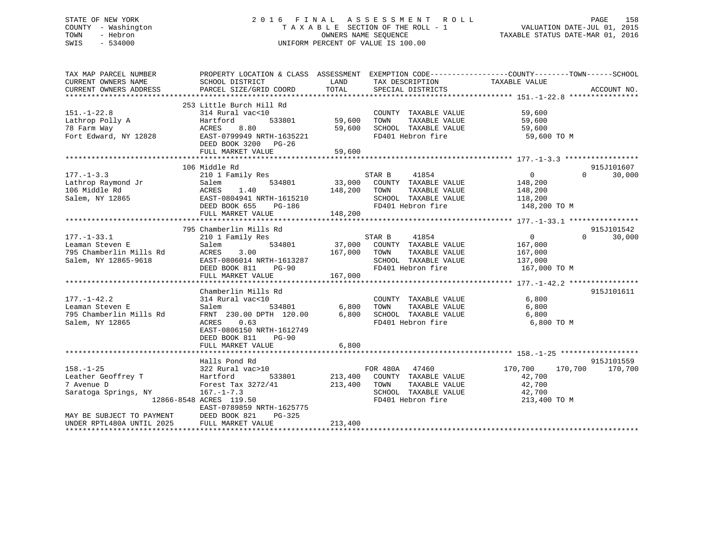## STATE OF NEW YORK 2 0 1 6 F I N A L A S S E S S M E N T R O L L PAGE 158 COUNTY - Washington T A X A B L E SECTION OF THE ROLL - 1 VALUATION DATE-JUL 01, 2015 TOWN - Hebron OWNERS NAME SEQUENCE TAXABLE STATUS DATE-MAR 01, 2016 SWIS - 534000 UNIFORM PERCENT OF VALUE IS 100.00

| TAX MAP PARCEL NUMBER                      | PROPERTY LOCATION & CLASS ASSESSMENT EXEMPTION CODE----------------COUNTY-------TOWN------SCHOOL |                |                              |                            |                    |
|--------------------------------------------|--------------------------------------------------------------------------------------------------|----------------|------------------------------|----------------------------|--------------------|
| CURRENT OWNERS NAME                        | SCHOOL DISTRICT                                                                                  | LAND           | TAX DESCRIPTION              | TAXABLE VALUE              |                    |
| CURRENT OWNERS ADDRESS                     | PARCEL SIZE/GRID COORD                                                                           | TOTAL          | SPECIAL DISTRICTS            |                            | ACCOUNT NO.        |
|                                            |                                                                                                  |                |                              |                            |                    |
|                                            | 253 Little Burch Hill Rd                                                                         |                |                              |                            |                    |
| $151. - 1 - 22.8$                          | 314 Rural vac<10                                                                                 |                | COUNTY TAXABLE VALUE         | 59,600                     |                    |
| $\mathbf A$<br>Lathrop Polly A             | Hartford                                                                                         | 533801 59,600  | TOWN<br>TAXABLE VALUE        | 59,600                     |                    |
| 78 Farm Way                                | ACRES<br>8.80                                                                                    | 59,600         | SCHOOL TAXABLE VALUE 59,600  |                            |                    |
| Fort Edward, NY 12828                      | EAST-0799949 NRTH-1635221                                                                        |                | FD401 Hebron fire            | 59,600 TO M                |                    |
|                                            | DEED BOOK 3200 PG-26                                                                             |                |                              |                            |                    |
|                                            | FULL MARKET VALUE                                                                                | 59,600         |                              |                            |                    |
|                                            |                                                                                                  |                |                              |                            |                    |
|                                            | 106 Middle Rd                                                                                    |                |                              |                            | 915J101607         |
| $177. - 1 - 3.3$                           | 210 1 Family Res                                                                                 |                | STAR B<br>41854              | $\overline{0}$             | $\Omega$<br>30,000 |
| 177.-1-3.3<br>Lathrop Raymond Jr           | 534801<br>Salem                                                                                  | 33,000         | COUNTY TAXABLE VALUE 148,200 |                            |                    |
|                                            | ACRES<br>1.40                                                                                    | 148,200        | TOWN<br>TAXABLE VALUE        | 148,200                    |                    |
| Salem, NY 12865                            | EAST-0804941 NRTH-1615210                                                                        |                | SCHOOL TAXABLE VALUE         | 118,200                    |                    |
|                                            | DEED BOOK 655<br>PG-186                                                                          |                | FD401 Hebron fire            | 148,200 TO M               |                    |
|                                            | FULL MARKET VALUE                                                                                | 148,200        |                              |                            |                    |
|                                            |                                                                                                  |                |                              |                            |                    |
|                                            | 795 Chamberlin Mills Rd                                                                          |                |                              |                            | 915J101542         |
| $177. - 1 - 33.1$                          | 210 1 Family Res                                                                                 |                | 41854<br>STAR B              | $\overline{0}$<br>$\Omega$ | 30,000             |
|                                            | 534801<br>Salem                                                                                  |                | 37,000 COUNTY TAXABLE VALUE  |                            |                    |
| Leaman Steven E<br>795 Chamberlin Mills Rd |                                                                                                  | 167,000 TOWN   | TAXABLE VALUE                | 167,000<br>167,000         |                    |
| Salem, NY 12865-9618                       |                                                                                                  |                | SCHOOL TAXABLE VALUE 137,000 |                            |                    |
|                                            | ACRES 3.00<br>EAST-0806014 NRTH-1613287<br>PG-90                                                 |                | FD401 Hebron fire            | 167,000 TO M               |                    |
|                                            | FULL MARKET VALUE                                                                                | 167,000        |                              |                            |                    |
|                                            |                                                                                                  |                |                              |                            |                    |
|                                            | Chamberlin Mills Rd                                                                              |                |                              |                            | 915J101611         |
| $177. - 1 - 42.2$                          | 314 Rural vac<10                                                                                 |                |                              | 6,800                      |                    |
|                                            |                                                                                                  |                | COUNTY TAXABLE VALUE         |                            |                    |
| Leaman Steven E                            | Salem<br>534801<br>FRNT 230.00 DPTH 120.00                                                       | 6,800          | TAXABLE VALUE<br>TOWN        | 6,800                      |                    |
| 795 Chamberlin Mills Rd                    |                                                                                                  | 6,800          | SCHOOL TAXABLE VALUE         | 6,800                      |                    |
| Salem, NY 12865                            | ACRES<br>0.63                                                                                    |                | FD401 Hebron fire            | 6,800 TO M                 |                    |
|                                            | EAST-0806150 NRTH-1612749                                                                        |                |                              |                            |                    |
|                                            | DEED BOOK 811<br><b>PG-90</b>                                                                    |                |                              |                            |                    |
|                                            | FULL MARKET VALUE                                                                                | 6,800          |                              |                            |                    |
|                                            |                                                                                                  |                |                              |                            |                    |
|                                            | Halls Pond Rd                                                                                    |                |                              |                            | 915J101559         |
| $158. - 1 - 25$                            | 322 Rural vac>10                                                                                 |                | FOR 480A 47460               | 170,700                    | 170,700 170,700    |
| Leather Geoffrey T                         | Hartford                                                                                         | 533801 213,400 | COUNTY TAXABLE VALUE         | 42,700                     |                    |
| 7 Avenue D                                 | Forest Tax 3272/41                                                                               | 213,400        | TOWN<br>TAXABLE VALUE        | 42,700                     |                    |
| Saratoga Springs, NY                       | $167. - 1 - 7.3$                                                                                 |                | SCHOOL TAXABLE VALUE 42,700  |                            |                    |
|                                            | 12866-8548 ACRES 119.50                                                                          |                | FD401 Hebron fire            | 213,400 TO M               |                    |
|                                            | EAST-0789859 NRTH-1625775                                                                        |                |                              |                            |                    |
| MAY BE SUBJECT TO PAYMENT                  | DEED BOOK 821<br>PG-325                                                                          |                |                              |                            |                    |
| UNDER RPTL480A UNTIL 2025                  | FULL MARKET VALUE                                                                                | 213,400        |                              |                            |                    |
|                                            |                                                                                                  |                |                              |                            |                    |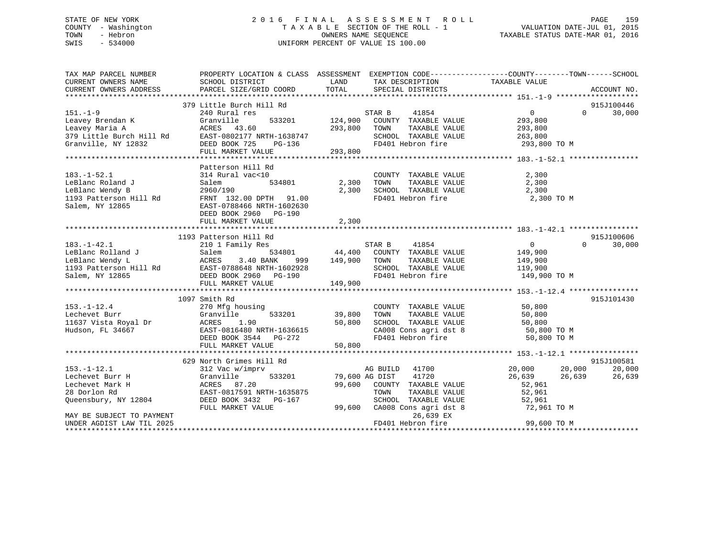## STATE OF NEW YORK 2 0 1 6 F I N A L A S S E S S M E N T R O L L PAGE 159 COUNTY - Washington T A X A B L E SECTION OF THE ROLL - 1 VALUATION DATE-JUL 01, 2015 TOWN - Hebron OWNERS NAME SEQUENCE TAXABLE STATUS DATE-MAR 01, 2016 SWIS - 534000 UNIFORM PERCENT OF VALUE IS 100.00

| TAX MAP PARCEL NUMBER<br>CURRENT OWNERS NAME | SCHOOL DISTRICT                                                                                                                                                                                                                                                                 | LAND                  | TAX DESCRIPTION                                                                                   | PROPERTY LOCATION & CLASS ASSESSMENT EXEMPTION CODE----------------COUNTY-------TOWN------SCHOOL<br>TAXABLE VALUE |                                  |
|----------------------------------------------|---------------------------------------------------------------------------------------------------------------------------------------------------------------------------------------------------------------------------------------------------------------------------------|-----------------------|---------------------------------------------------------------------------------------------------|-------------------------------------------------------------------------------------------------------------------|----------------------------------|
| CURRENT OWNERS ADDRESS                       | PARCEL SIZE/GRID COORD                                                                                                                                                                                                                                                          | TOTAL                 | SPECIAL DISTRICTS                                                                                 |                                                                                                                   | ACCOUNT NO.                      |
|                                              |                                                                                                                                                                                                                                                                                 |                       |                                                                                                   |                                                                                                                   |                                  |
|                                              | 379 Little Burch Hill Rd                                                                                                                                                                                                                                                        |                       |                                                                                                   | $\overline{0}$                                                                                                    | 915J100446<br>30,000<br>$\Omega$ |
| $151. - 1 - 9$                               | 240 Rural res                                                                                                                                                                                                                                                                   |                       | 41854<br>STAR B<br>533201 124,900 COUNTY TAXABLE VALUE                                            |                                                                                                                   |                                  |
| Leavey Brendan K                             | Granville<br>Leavey Brendam A<br>Leavey Maria A<br>379 Little Burch Hill Rd<br>2002177 NRTH-1638747<br>2008 DEED BOOK 725 PG-136<br>2008 DEED BOOK 725 PG-136                                                                                                                   |                       |                                                                                                   | 293,800                                                                                                           |                                  |
|                                              |                                                                                                                                                                                                                                                                                 | 293,800               | TOWN<br>TAXABLE VALUE                                                                             | 293,800                                                                                                           |                                  |
|                                              | $PG-136$                                                                                                                                                                                                                                                                        |                       | SCHOOL TAXABLE VALUE                                                                              | 263,800                                                                                                           |                                  |
|                                              |                                                                                                                                                                                                                                                                                 |                       | FD401 Hebron fire                                                                                 | 293,800 TO M                                                                                                      |                                  |
|                                              | FULL MARKET VALUE                                                                                                                                                                                                                                                               | 293,800               |                                                                                                   |                                                                                                                   |                                  |
|                                              |                                                                                                                                                                                                                                                                                 |                       |                                                                                                   |                                                                                                                   |                                  |
|                                              | Patterson Hill Rd                                                                                                                                                                                                                                                               |                       |                                                                                                   |                                                                                                                   |                                  |
| $183. - 1 - 52.1$                            | 314 Rural vac<10                                                                                                                                                                                                                                                                |                       | COUNTY TAXABLE VALUE                                                                              | 2,300                                                                                                             |                                  |
| LeBlanc Roland J                             | 534801<br>Salem                                                                                                                                                                                                                                                                 | 2,300                 | TAXABLE VALUE<br>TOWN                                                                             | 2,300                                                                                                             |                                  |
| LeBlanc Wendy B                              | 2960/190                                                                                                                                                                                                                                                                        | 2,300                 | SCHOOL TAXABLE VALUE                                                                              | 2,300                                                                                                             |                                  |
| 1193 Patterson Hill Rd                       | FRNT 132.00 DPTH 91.00                                                                                                                                                                                                                                                          |                       | FD401 Hebron fire                                                                                 | 2,300 TO M                                                                                                        |                                  |
| Salem, NY 12865                              | EAST-0788466 NRTH-1602630                                                                                                                                                                                                                                                       |                       |                                                                                                   |                                                                                                                   |                                  |
|                                              | DEED BOOK 2960 PG-190                                                                                                                                                                                                                                                           |                       |                                                                                                   |                                                                                                                   |                                  |
|                                              | FULL MARKET VALUE                                                                                                                                                                                                                                                               | 2,300                 |                                                                                                   |                                                                                                                   |                                  |
|                                              |                                                                                                                                                                                                                                                                                 |                       |                                                                                                   |                                                                                                                   |                                  |
|                                              | 1193 Patterson Hill Rd                                                                                                                                                                                                                                                          |                       |                                                                                                   |                                                                                                                   | 915J100606                       |
|                                              |                                                                                                                                                                                                                                                                                 |                       | STAR B 41854                                                                                      | $\overline{0}$<br>$\Omega$                                                                                        | 30,000                           |
|                                              |                                                                                                                                                                                                                                                                                 |                       | 44,400 COUNTY TAXABLE VALUE                                                                       | 149,900                                                                                                           |                                  |
|                                              |                                                                                                                                                                                                                                                                                 | 999 149,900 TOWN      | TAXABLE VALUE                                                                                     | 149,900                                                                                                           |                                  |
|                                              |                                                                                                                                                                                                                                                                                 |                       | SCHOOL TAXABLE VALUE                                                                              | 119,900                                                                                                           |                                  |
|                                              |                                                                                                                                                                                                                                                                                 |                       | FD401 Hebron fire                                                                                 | 149,900 TO M                                                                                                      |                                  |
|                                              | LeBlanc Rolland J<br>LeBlanc Wendy L<br>LeBlanc Wendy L<br>1193 Patterson Hill Rd<br>Salem, NY 12865<br>LeBlanc Wendy L<br>210 1 Family Res<br>Salem 534801<br>210 1 Family Res<br>210 1 Family Res<br>234801<br>234801<br>24 ACRES<br>234801<br>24 BANK 9<br>FULL MARKET VALUE | 149,900               |                                                                                                   |                                                                                                                   |                                  |
|                                              |                                                                                                                                                                                                                                                                                 |                       |                                                                                                   |                                                                                                                   |                                  |
|                                              | 1097 Smith Rd                                                                                                                                                                                                                                                                   |                       |                                                                                                   |                                                                                                                   | 915J101430                       |
| $153. - 1 - 12.4$                            | 270 Mfg housing                                                                                                                                                                                                                                                                 |                       | COUNTY TAXABLE VALUE                                                                              | 50,800                                                                                                            |                                  |
| Lechevet Burr                                | 533201<br>Granville                                                                                                                                                                                                                                                             | 39,800                | TAXABLE VALUE<br>TOWN                                                                             | 50,800                                                                                                            |                                  |
|                                              |                                                                                                                                                                                                                                                                                 | 50,800                |                                                                                                   |                                                                                                                   |                                  |
|                                              |                                                                                                                                                                                                                                                                                 |                       |                                                                                                   |                                                                                                                   |                                  |
|                                              | Lechever built<br>11637 Vista Royal Dr<br>Frank Royal Dr<br>EAST-0816480 NRTH-1636615                                                                                                                                                                                           |                       | SCHOOL TAXABLE VALUE 50,800<br>CA008 Cons agri dst 8 50,800 TO M<br>FD401 Hebron fire 50,800 TO M |                                                                                                                   |                                  |
|                                              | EAST-0816480 NRTH-1636615<br>DEED BOOK 3544 PG-272<br>FULL MARKET VALUE 50,800                                                                                                                                                                                                  |                       |                                                                                                   |                                                                                                                   |                                  |
|                                              |                                                                                                                                                                                                                                                                                 |                       |                                                                                                   |                                                                                                                   |                                  |
|                                              | 629 North Grimes Hill Rd                                                                                                                                                                                                                                                        |                       |                                                                                                   |                                                                                                                   | 915J100581                       |
| $153. - 1 - 12.1$                            | 312 Vac w/imprv                                                                                                                                                                                                                                                                 |                       | AG BUILD 41700                                                                                    | 20,000<br>20,000                                                                                                  | 20,000                           |
| Lechevet Burr H                              | Granville                                                                                                                                                                                                                                                                       | 533201 79,600 AG DIST | 41720                                                                                             | 26,639<br>26,639                                                                                                  | 26,639                           |
| Lechevet Mark H                              | ACRES 87.20                                                                                                                                                                                                                                                                     |                       | 99,600 COUNTY TAXABLE VALUE                                                                       | 52,961                                                                                                            |                                  |
| 28 Dorlon Rd                                 | EAST-0817591 NRTH-1635875                                                                                                                                                                                                                                                       |                       | TOWN<br>TAXABLE VALUE                                                                             |                                                                                                                   |                                  |
|                                              |                                                                                                                                                                                                                                                                                 |                       |                                                                                                   | 52,961                                                                                                            |                                  |
| Queensbury, NY 12804                         | DEED BOOK 3432 PG-167                                                                                                                                                                                                                                                           |                       | SCHOOL TAXABLE VALUE 52,961<br>CA008 Cons agri dst 8 72,961 TO M                                  |                                                                                                                   |                                  |
|                                              | FULL MARKET VALUE                                                                                                                                                                                                                                                               | 99,600                |                                                                                                   |                                                                                                                   |                                  |
| MAY BE SUBJECT TO PAYMENT                    |                                                                                                                                                                                                                                                                                 |                       | 26,639 EX                                                                                         |                                                                                                                   |                                  |
|                                              |                                                                                                                                                                                                                                                                                 |                       |                                                                                                   | 99,600 TO M                                                                                                       |                                  |
|                                              |                                                                                                                                                                                                                                                                                 |                       |                                                                                                   |                                                                                                                   |                                  |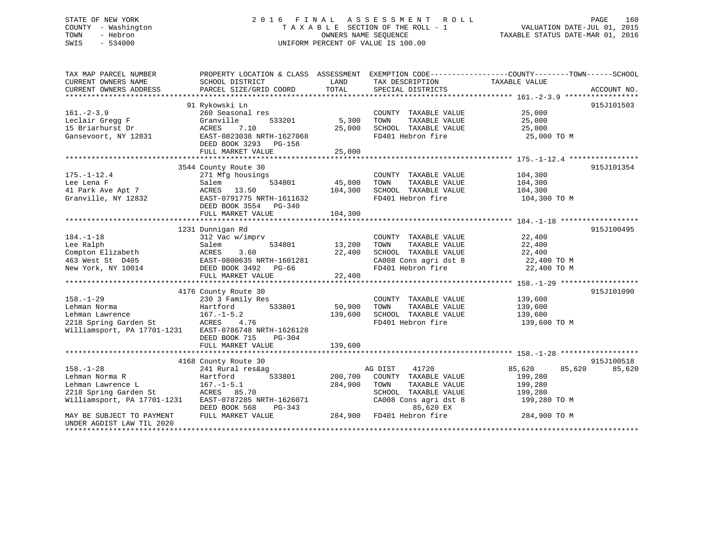## STATE OF NEW YORK 2 0 1 6 F I N A L A S S E S S M E N T R O L L PAGE 160 COUNTY - Washington T A X A B L E SECTION OF THE ROLL - 1 VALUATION DATE-JUL 01, 2015 TOWN - Hebron OWNERS NAME SEQUENCE TAXABLE STATUS DATE-MAR 01, 2016 SWIS - 534000 UNIFORM PERCENT OF VALUE IS 100.00

| TAX MAP PARCEL NUMBER                         | PROPERTY LOCATION & CLASS ASSESSMENT                  | LAND    |                                      | EXEMPTION CODE-----------------COUNTY-------TOWN------SCHOOL<br>TAXABLE VALUE |             |
|-----------------------------------------------|-------------------------------------------------------|---------|--------------------------------------|-------------------------------------------------------------------------------|-------------|
| CURRENT OWNERS NAME<br>CURRENT OWNERS ADDRESS | SCHOOL DISTRICT<br>PARCEL SIZE/GRID COORD             | TOTAL   | TAX DESCRIPTION<br>SPECIAL DISTRICTS |                                                                               |             |
|                                               |                                                       |         |                                      |                                                                               | ACCOUNT NO. |
|                                               |                                                       |         |                                      |                                                                               |             |
|                                               | 91 Rykowski Ln                                        |         |                                      |                                                                               | 915J101503  |
| $161. - 2 - 3.9$                              | 260 Seasonal res                                      |         | COUNTY TAXABLE VALUE                 | 25,000                                                                        |             |
| Leclair Gregg F                               | Granville<br>533201                                   | 5,300   | TOWN<br>TAXABLE VALUE                | 25,000                                                                        |             |
| 15 Briarhurst Dr                              | 7.10<br>ACRES                                         | 25,000  | SCHOOL TAXABLE VALUE                 | 25,000                                                                        |             |
| Gansevoort, NY 12831                          | EAST-0823038 NRTH-1627068<br>DEED BOOK 3293<br>PG-158 |         | FD401 Hebron fire                    | 25,000 TO M                                                                   |             |
|                                               | FULL MARKET VALUE                                     | 25,000  |                                      |                                                                               |             |
|                                               |                                                       |         |                                      |                                                                               |             |
|                                               | 3544 County Route 30                                  |         |                                      |                                                                               | 915J101354  |
| $175. - 1 - 12.4$                             | 271 Mfg housings                                      |         | COUNTY TAXABLE VALUE                 | 104,300                                                                       |             |
|                                               |                                                       |         |                                      |                                                                               |             |
| Lee Lena F                                    | 534801<br>Salem                                       | 45,800  | TAXABLE VALUE<br>TOWN                | 104,300                                                                       |             |
| 41 Park Ave Apt 7                             | ACRES 13.50                                           | 104,300 | SCHOOL TAXABLE VALUE                 | 104,300                                                                       |             |
| Granville, NY 12832                           | EAST-0791775 NRTH-1611632                             |         | FD401 Hebron fire                    | 104,300 TO M                                                                  |             |
|                                               | DEED BOOK 3554 PG-340                                 |         |                                      |                                                                               |             |
|                                               | FULL MARKET VALUE                                     | 104,300 |                                      |                                                                               |             |
|                                               |                                                       |         |                                      |                                                                               |             |
|                                               | 1231 Dunnigan Rd                                      |         |                                      |                                                                               | 915J100495  |
| $184. - 1 - 18$                               | 312 Vac w/imprv                                       |         | COUNTY TAXABLE VALUE                 | 22,400                                                                        |             |
| Lee Ralph                                     | 534801<br>Salem                                       | 13,200  | TOWN<br>TAXABLE VALUE                | 22,400                                                                        |             |
| Compton Elizabeth                             | 3.60<br>ACRES                                         | 22,400  | SCHOOL TAXABLE VALUE                 | 22,400                                                                        |             |
| 463 West St D405                              | EAST-0800635 NRTH-1601281                             |         | CA008 Cons agri dst 8                | 22,400 TO M                                                                   |             |
| New York, NY 10014                            | DEED BOOK 3492 PG-66                                  |         | FD401 Hebron fire                    | 22,400 TO M                                                                   |             |
|                                               | FULL MARKET VALUE                                     | 22,400  |                                      |                                                                               |             |
|                                               |                                                       |         |                                      |                                                                               |             |
|                                               | 4176 County Route 30                                  |         |                                      |                                                                               | 915J101090  |
| $158. - 1 - 29$                               | 230 3 Family Res                                      |         | COUNTY TAXABLE VALUE                 | 139,600                                                                       |             |
| Lehman Norma                                  | Hartford<br>533801                                    | 50,900  | TAXABLE VALUE<br>TOWN                | 139,600                                                                       |             |
| Lehman Lawrence                               | $167. - 1 - 5.2$                                      | 139,600 | SCHOOL TAXABLE VALUE                 | 139,600                                                                       |             |
| 2218 Spring Garden St                         | ACRES<br>4.76                                         |         | FD401 Hebron fire                    | 139,600 TO M                                                                  |             |
| Williamsport, PA 17701-1231                   | EAST-0786748 NRTH-1626128                             |         |                                      |                                                                               |             |
|                                               | DEED BOOK 715<br>PG-304                               |         |                                      |                                                                               |             |
|                                               | FULL MARKET VALUE                                     | 139,600 |                                      |                                                                               |             |
|                                               |                                                       |         |                                      |                                                                               |             |
|                                               | 4168 County Route 30                                  |         |                                      |                                                                               | 915J100518  |
| $158. - 1 - 28$                               | 241 Rural res&ag                                      |         | AG DIST<br>41720                     | 85,620<br>85,620                                                              | 85,620      |
|                                               |                                                       |         |                                      |                                                                               |             |
| Lehman Norma R                                | 533801<br>Hartford                                    | 200,700 | COUNTY TAXABLE VALUE                 | 199,280                                                                       |             |
| Lehman Lawrence L                             | $167. - 1 - 5.1$                                      | 284,900 | TOWN<br>TAXABLE VALUE                | 199,280                                                                       |             |
| 2218 Spring Garden St                         | ACRES 85.70                                           |         | SCHOOL TAXABLE VALUE                 | 199,280                                                                       |             |
| Williamsport, PA 17701-1231                   | EAST-0787285 NRTH-1626071                             |         | CA008 Cons agri dst 8                | 199,280 TO M                                                                  |             |
|                                               | DEED BOOK 568<br>$PG-343$                             |         | 85,620 EX                            |                                                                               |             |
| MAY BE SUBJECT TO PAYMENT                     | FULL MARKET VALUE                                     | 284,900 | FD401 Hebron fire                    | 284,900 TO M                                                                  |             |
| UNDER AGDIST LAW TIL 2020                     |                                                       |         |                                      |                                                                               |             |
|                                               |                                                       |         |                                      |                                                                               |             |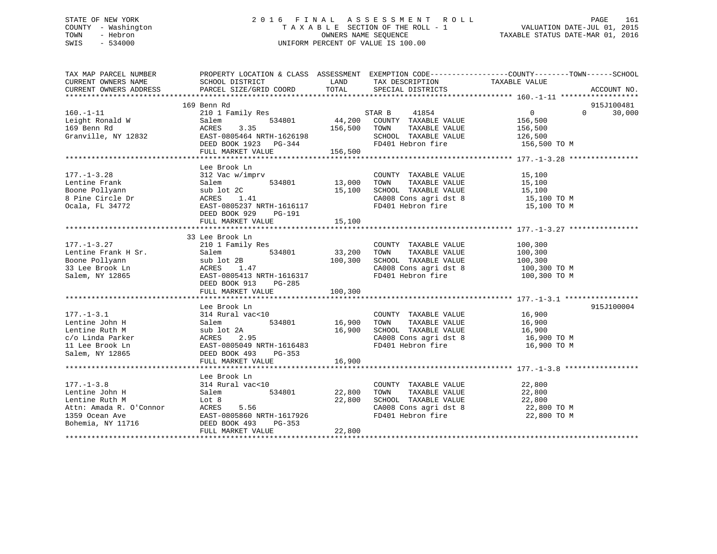## STATE OF NEW YORK 2 0 1 6 F I N A L A S S E S S M E N T R O L L PAGE 161 COUNTY - Washington T A X A B L E SECTION OF THE ROLL - 1 VALUATION DATE-JUL 01, 2015 TOWN - Hebron OWNERS NAME SEQUENCE TAXABLE STATUS DATE-MAR 01, 2016 SWIS - 534000 UNIFORM PERCENT OF VALUE IS 100.00

| TAX MAP PARCEL NUMBER<br>CURRENT OWNERS NAME<br>CURRENT OWNERS ADDRESS                                                                                                                                                                               | PROPERTY LOCATION & CLASS ASSESSMENT EXEMPTION CODE---------------COUNTY-------TOWN-----SCHOOL |        |                                                                                                                                                                                                                                                                                                                                    |             | ACCOUNT NO. |
|------------------------------------------------------------------------------------------------------------------------------------------------------------------------------------------------------------------------------------------------------|------------------------------------------------------------------------------------------------|--------|------------------------------------------------------------------------------------------------------------------------------------------------------------------------------------------------------------------------------------------------------------------------------------------------------------------------------------|-------------|-------------|
|                                                                                                                                                                                                                                                      | 169 Benn Rd                                                                                    |        |                                                                                                                                                                                                                                                                                                                                    |             | 915J100481  |
| $160. -1 - 11$                                                                                                                                                                                                                                       | 210 1 Family Res STAR B                                                                        |        | $534801$ $44,200$ COUNTY TAXABLE VALUE $156,500$ $0$                                                                                                                                                                                                                                                                               |             | 30,000      |
|                                                                                                                                                                                                                                                      |                                                                                                |        | COUNTY TAXABLE VALUE 15,100<br>534801 13,000 TOWN TAXABLE VALUE 15,100<br>t 2C 15,100 SCHOOL TAXABLE VALUE 15,100<br>1.41 CA008 Cons agri dst 8 15,100 TOWN<br>805237 NRTH-1616117 FD401 Hebron fire 15,100 TO M                                                                                                                   |             |             |
| 177.-1-3.27<br>Lem 210 1 Family Res<br>Lem 534801 33,200<br>Boone Pollyann sub lot 2B 100,300<br>33 Lee Brook Ln ACRES 1.47<br>Salem, NY 12865 EAST-0805413 NRTH-1616317<br>EED BOOK 913 PG-285<br>FIILL MADKET VALUE                                | 33 Lee Brook Ln<br>$534801$ 33,200<br>2B 534801 33,200                                         |        | COUNTY TAXABLE VALUE<br>TOWN TAXABLE VALUE 100,300<br>SCHOOL TAXABLE VALUE 100,300<br>$\begin{array}{llll} \texttt{CA008} \texttt{ Cons} & \texttt{aspti} & \texttt{dt8} & \texttt{100,300} \texttt{ TO M} \\ \texttt{FD401} & \texttt{Hebron} & \texttt{fire} & \texttt{100,300} \texttt{ TO M} \end{array}$<br>FD401 Hebron fire | 100,300     |             |
| 177.-1-3.1<br>Lem John H 314 Rural vac<10<br>Lem Salem 534801 16,900 TOWN TAXABLE VALUE 16,900 16,900 IONITY TAXABLE VALUE 16,900 ION<br>Lem In the Rural vacker and the Salem 534801 16,900 SCHOOL TAXABLE VALUE 16,900 ION<br>C/O                  | Lee Brook Ln                                                                                   |        |                                                                                                                                                                                                                                                                                                                                    |             | 915J100004  |
| $177. - 1 - 3.8$<br>Lentine John H<br>Lentine Ruth M<br>EERLINE RAIL AND READ TO ACRES<br>1359 Ocean Ave EAST-0805860 NRTH-1617926<br>1359 Ocean Ave EAST-0805860 NRTH-1617926<br>Bohemia, NY 11716 DEED BOOK 493 PG-353<br>FULL MARKET VALUE 22,800 | Lee Brook Ln<br>214 Rural vac<10<br>Salem 534<br>Lot 8<br>534801 22,800                        | 22,800 | COUNTY TAXABLE VALUE<br>TOWN TAXABLE VALUE 22,800<br>SCHOOL TAXABLE VALUE 22,800<br>22,800<br>22,800<br>CA008 Cons agri dst 8 22,800 TO M<br>FD401 Hebron fire                                                                                                                                                                     | 22,800 TO M |             |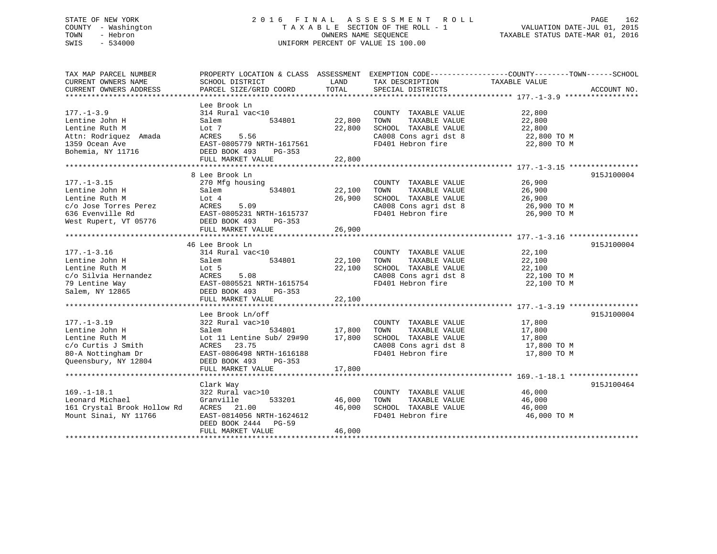## STATE OF NEW YORK 2 0 1 6 F I N A L A S S E S S M E N T R O L L PAGE 162 COUNTY - Washington T A X A B L E SECTION OF THE ROLL - 1 VALUATION DATE-JUL 01, 2015 TOWN - Hebron OWNERS NAME SEQUENCE TAXABLE STATUS DATE-MAR 01, 2016 SWIS - 534000 UNIFORM PERCENT OF VALUE IS 100.00

| TAX MAP PARCEL NUMBER<br>CURRENT OWNERS NAME<br>CURRENT OWNERS ADDRESS                                                      | PROPERTY LOCATION & CLASS ASSESSMENT<br>SCHOOL DISTRICT<br>PARCEL SIZE/GRID COORD                                                                                                          | LAND<br>TOTAL              | EXEMPTION CODE-----------------COUNTY-------TOWN------SCHOOL<br>TAX DESCRIPTION<br>SPECIAL DISTRICTS                | TAXABLE VALUE                                                               | ACCOUNT NO. |
|-----------------------------------------------------------------------------------------------------------------------------|--------------------------------------------------------------------------------------------------------------------------------------------------------------------------------------------|----------------------------|---------------------------------------------------------------------------------------------------------------------|-----------------------------------------------------------------------------|-------------|
| $177. - 1 - 3.9$<br>Lentine John H<br>Lentine Ruth M<br>Attn: Rodriquez Amada<br>1359 Ocean Ave<br>Bohemia, NY 11716        | Lee Brook Ln<br>314 Rural vac<10<br>534801<br>Salem<br>Lot 7<br>5.56<br>ACRES<br>EAST-0805779 NRTH-1617561<br>DEED BOOK 493<br>PG-353<br>FULL MARKET VALUE                                 | 22,800<br>22,800<br>22,800 | COUNTY TAXABLE VALUE<br>TOWN<br>TAXABLE VALUE<br>SCHOOL TAXABLE VALUE<br>CA008 Cons agri dst 8<br>FD401 Hebron fire | 22,800<br>22,800<br>22,800<br>$22,800$ TO M<br>$22,800$ TO M<br>22,800 TO M |             |
| $177. - 1 - 3.15$<br>Lentine John H<br>Lentine Ruth M<br>c/o Jose Torres Perez<br>636 Evenville Rd<br>West Rupert, VT 05776 | 8 Lee Brook Ln<br>270 Mfg housing<br>534801<br>Salem<br>Lot 4<br>ACRES<br>5.09<br>EAST-0805231 NRTH-1615737<br>DEED BOOK 493<br>$PG-353$<br>FULL MARKET VALUE                              | 22,100<br>26,900<br>26,900 | COUNTY TAXABLE VALUE<br>TAXABLE VALUE<br>TOWN<br>SCHOOL TAXABLE VALUE<br>CA008 Cons agri dst 8<br>FD401 Hebron fire | 26,900<br>26,900<br>26,900<br>26,900 TO M<br>26,900 TO M                    | 915J100004  |
| $177. - 1 - 3.16$<br>Lentine John H<br>Lentine Ruth M<br>c/o Silvia Hernandez<br>79 Lentine Way<br>Salem, NY 12865          | 46 Lee Brook Ln<br>314 Rural vac<10<br>534801<br>Salem<br>Lot 5<br>5.08<br>ACRES<br>EAST-0805521 NRTH-1615754<br>DEED BOOK 493<br>$PG-353$<br>FULL MARKET VALUE                            | 22,100<br>22,100<br>22,100 | COUNTY TAXABLE VALUE<br>TOWN<br>TAXABLE VALUE<br>SCHOOL TAXABLE VALUE<br>CA008 Cons agri dst 8<br>FD401 Hebron fire | 22,100<br>22,100<br>22,100<br>22,100 TO M<br>22,100 TO M                    | 915J100004  |
| $177. - 1 - 3.19$<br>Lentine John H<br>Lentine Ruth M<br>c/o Curtis J Smith<br>80-A Nottingham Dr<br>Queensbury, NY 12804   | Lee Brook Ln/off<br>322 Rural vac>10<br>534801<br>Salem<br>Lot 11 Lentine Sub/ 29#90 17,800<br>ACRES<br>23.75<br>EAST-0806498 NRTH-1616188<br>DEED BOOK 493<br>PG-353<br>FULL MARKET VALUE | 17,800<br>17,800           | COUNTY TAXABLE VALUE<br>TAXABLE VALUE<br>TOWN<br>SCHOOL TAXABLE VALUE<br>CA008 Cons agri dst 8<br>FD401 Hebron fire | 17,800<br>17,800<br>17,800<br>17,800 TO M<br>17,800 TO M                    | 915J100004  |
| $169. - 1 - 18.1$<br>Leonard Michael<br>161 Crystal Brook Hollow Rd<br>Mount Sinai, NY 11766                                | Clark Way<br>322 Rural vac>10<br>Granville<br>533201<br>ACRES 21.00<br>EAST-0814056 NRTH-1624612<br>DEED BOOK 2444 PG-59<br>FULL MARKET VALUE                                              | 46,000<br>46,000<br>46,000 | COUNTY TAXABLE VALUE<br>TAXABLE VALUE<br>TOWN<br>SCHOOL TAXABLE VALUE<br>FD401 Hebron fire                          | 46,000<br>46,000<br>46,000<br>46,000 TO M                                   | 915J100464  |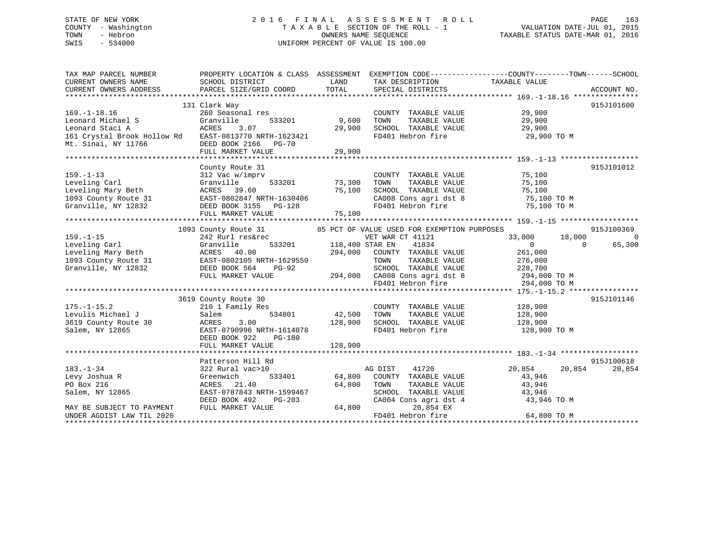## STATE OF NEW YORK 2 0 1 6 F I N A L A S S E S S M E N T R O L L PAGE 163 COUNTY - Washington T A X A B L E SECTION OF THE ROLL - 1 VALUATION DATE-JUL 01, 2015 TOWN - Hebron OWNERS NAME SEQUENCE TAXABLE STATUS DATE-MAR 01, 2016 SWIS - 534000 UNIFORM PERCENT OF VALUE IS 100.00

| TAX MAP PARCEL NUMBER<br>CURRENT OWNERS NAME<br>CURRENT OWNERS ADDRESS                                                                                                                                                                     | SCHOOL DISTRICT<br>PARCEL SIZE/GRID COORD                                                    | LAND<br>TOTAL                       | TAX DESCRIPTION TAXABLE VALUE<br>SPECIAL DISTRICTS                                                           | PROPERTY LOCATION & CLASS ASSESSMENT EXEMPTION CODE----------------COUNTY-------TOWN------SCHOOL | ACCOUNT NO.    |
|--------------------------------------------------------------------------------------------------------------------------------------------------------------------------------------------------------------------------------------------|----------------------------------------------------------------------------------------------|-------------------------------------|--------------------------------------------------------------------------------------------------------------|--------------------------------------------------------------------------------------------------|----------------|
|                                                                                                                                                                                                                                            |                                                                                              |                                     |                                                                                                              |                                                                                                  |                |
|                                                                                                                                                                                                                                            | 131 Clark Way                                                                                |                                     |                                                                                                              |                                                                                                  | 915J101600     |
| $169. - 1 - 18.16$                                                                                                                                                                                                                         | 260 Seasonal res                                                                             |                                     | COUNTY TAXABLE VALUE 29,900                                                                                  |                                                                                                  |                |
|                                                                                                                                                                                                                                            | Granville<br>533201                                                                          | 9,600                               |                                                                                                              | 906 , ب.<br>29 , 900<br>20 م                                                                     |                |
| Leonard Michael S<br>Leonard Staci A                                                                                                                                                                                                       | ACRES<br>3.07                                                                                | 29,900                              | TOWN      TAXABLE VALUE<br>SCHOOL   TAXABLE VALUE                                                            |                                                                                                  |                |
| 161 Crystal Brook Hollow Rd EAST-0813770 NRTH-1623421                                                                                                                                                                                      |                                                                                              |                                     | FD401 Hebron fire                                                                                            | 29,900 TO M                                                                                      |                |
| Mt. Sinai, NY 11766                                                                                                                                                                                                                        | DEED BOOK 2166 PG-70                                                                         |                                     |                                                                                                              |                                                                                                  |                |
|                                                                                                                                                                                                                                            | FULL MARKET VALUE                                                                            | 29,900                              |                                                                                                              |                                                                                                  |                |
|                                                                                                                                                                                                                                            |                                                                                              |                                     |                                                                                                              |                                                                                                  |                |
|                                                                                                                                                                                                                                            | County Route 31                                                                              |                                     |                                                                                                              |                                                                                                  | 915J101012     |
| $159. - 1 - 13$                                                                                                                                                                                                                            | 312 Vac w/imprv                                                                              |                                     | COUNTY TAXABLE VALUE 75,100                                                                                  |                                                                                                  |                |
| Leveling Carl                                                                                                                                                                                                                              | Granville<br>533201                                                                          | 73,300                              |                                                                                                              | 75,100                                                                                           |                |
| Leveling Mary Beth                                                                                                                                                                                                                         | ACRES 39.60                                                                                  | 75,100                              | TOWN      TAXABLE  VALUE<br>SCHOOL   TAXABLE  VALUE                                                          | 75,100                                                                                           |                |
| 1093 County Route 31 EAST-0802847 NRTH-1630406                                                                                                                                                                                             |                                                                                              |                                     |                                                                                                              |                                                                                                  |                |
|                                                                                                                                                                                                                                            |                                                                                              |                                     |                                                                                                              |                                                                                                  |                |
|                                                                                                                                                                                                                                            |                                                                                              |                                     |                                                                                                              |                                                                                                  |                |
| 1093 County Route 31<br>EAST-0802847 NRTH-1630406 CAD08 Cons agri dst 8<br>Cranville, NY 12832 DEED BOOK 3155 PG-128 FD401 Hebron fire 75,100 TO M<br>FULL MARKET VALUE 75,100<br>THE MARKET VALUE 75,100<br>THE MARKET VALUE 75,100<br>TH |                                                                                              |                                     |                                                                                                              |                                                                                                  |                |
|                                                                                                                                                                                                                                            | 1093 County Route 31                                                                         |                                     | 85 PCT OF VALUE USED FOR EXEMPTION PURPOSES                                                                  |                                                                                                  | 915J100369     |
| $159. - 1 - 15$                                                                                                                                                                                                                            | 242 Rurl res&rec                                                                             |                                     |                                                                                                              | 18,000<br>33,000                                                                                 | $\overline{0}$ |
| Leveling Carl                                                                                                                                                                                                                              | Granville 533201<br>eth ACRES 40.00<br>te 31 EAST-0802105 NRTH-1629550<br>TIE BOOK 564 PG-92 | 7 VET WAR<br>533201 118,400 STAR EN | 41834                                                                                                        | $\overline{0}$<br>$\Omega$                                                                       | 65,300         |
| Leveling Mary Beth                                                                                                                                                                                                                         |                                                                                              | 294,000                             | COUNTY TAXABLE VALUE                                                                                         | 261,000                                                                                          |                |
| 1093 County Route 31                                                                                                                                                                                                                       |                                                                                              |                                     | TAXABLE VALUE<br>TOWN                                                                                        | 276,000                                                                                          |                |
| Granville, NY 12832                                                                                                                                                                                                                        | DEED BOOK 564<br>PG-92                                                                       |                                     |                                                                                                              |                                                                                                  |                |
|                                                                                                                                                                                                                                            | FULL MARKET VALUE                                                                            |                                     | SCHOOL TAXABLE VALUE 228,700<br>294,000 CA008 Cons agri dst 8 294,000 TO M<br>FD401 Hebron fire 294,000 TO M |                                                                                                  |                |
|                                                                                                                                                                                                                                            |                                                                                              |                                     |                                                                                                              |                                                                                                  |                |
|                                                                                                                                                                                                                                            |                                                                                              |                                     |                                                                                                              |                                                                                                  |                |
|                                                                                                                                                                                                                                            | 3619 County Route 30                                                                         |                                     |                                                                                                              |                                                                                                  | 915J101146     |
| $175. - 1 - 15.2$                                                                                                                                                                                                                          | 210 1 Family Res                                                                             |                                     | COUNTY TAXABLE VALUE                                                                                         | 128,900                                                                                          |                |
| Levulis Michael J                                                                                                                                                                                                                          | 534801<br>Salem                                                                              | 42,500                              | TOWN<br>TAXABLE VALUE                                                                                        | 128,900                                                                                          |                |
| 3619 County Route 30                                                                                                                                                                                                                       | ACRES<br>3.00                                                                                | 128,900                             | SCHOOL TAXABLE VALUE 128,900                                                                                 |                                                                                                  |                |
| Salem, NY 12865                                                                                                                                                                                                                            | EAST-0790996 NRTH-1614078                                                                    |                                     | FD401 Hebron fire                                                                                            | 128,900 TO M                                                                                     |                |
|                                                                                                                                                                                                                                            | DEED BOOK 922<br>PG-180                                                                      |                                     |                                                                                                              |                                                                                                  |                |
|                                                                                                                                                                                                                                            | FULL MARKET VALUE                                                                            | 128,900                             |                                                                                                              |                                                                                                  |                |
|                                                                                                                                                                                                                                            |                                                                                              |                                     |                                                                                                              |                                                                                                  |                |
|                                                                                                                                                                                                                                            | Patterson Hill Rd                                                                            |                                     |                                                                                                              |                                                                                                  | 915J100618     |
| $183. - 1 - 34$                                                                                                                                                                                                                            | 322 Rural vac>10                                                                             |                                     | AG DIST<br>41720                                                                                             | 20,854<br>20,854                                                                                 | 20,854         |
| Levy Joshua R                                                                                                                                                                                                                              | Greenwich                                                                                    | 533401 64,800                       | COUNTY TAXABLE VALUE                                                                                         | 43,946                                                                                           |                |
| PO Box 216                                                                                                                                                                                                                                 | ACRES<br>21.40                                                                               | 64,800                              | TOWN<br>TAXABLE VALUE                                                                                        | 43,946                                                                                           |                |
| Salem, NY 12865                                                                                                                                                                                                                            | EAST-0787843 NRTH-1599467                                                                    |                                     | SCHOOL TAXABLE VALUE                                                                                         | 43,946                                                                                           |                |
|                                                                                                                                                                                                                                            | DEED BOOK 492<br>PG-203                                                                      |                                     | $CA004$ Cons agri dst 4                                                                                      | 43,946 TO M                                                                                      |                |
| MAY BE SUBJECT TO PAYMENT                                                                                                                                                                                                                  | FULL MARKET VALUE                                                                            | 64,800                              | 20,854 EX                                                                                                    |                                                                                                  |                |
| UNDER AGDIST LAW TIL 2020                                                                                                                                                                                                                  |                                                                                              |                                     | FD401 Hebron fire                                                                                            | 64,800 TO M                                                                                      |                |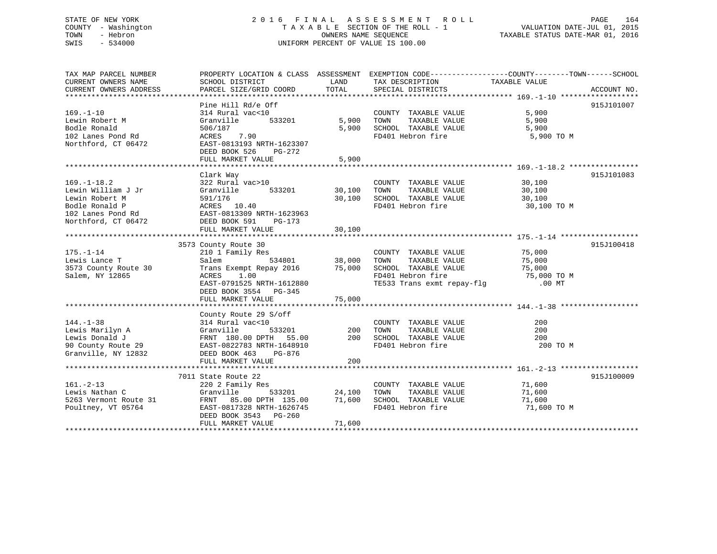## STATE OF NEW YORK 2 0 1 6 F I N A L A S S E S S M E N T R O L L PAGE 164 COUNTY - Washington T A X A B L E SECTION OF THE ROLL - 1 VALUATION DATE-JUL 01, 2015 TOWN - Hebron OWNERS NAME SEQUENCE TAXABLE STATUS DATE-MAR 01, 2016 SWIS - 534000 UNIFORM PERCENT OF VALUE IS 100.00

| TAX MAP PARCEL NUMBER<br>CURRENT OWNERS NAME                     | SCHOOL DISTRICT                                                               | LAND             | TAX DESCRIPTION TAXABLE VALUE                                                                     | PROPERTY LOCATION & CLASS ASSESSMENT EXEMPTION CODE----------------COUNTY-------TOWN------SCHOOL |
|------------------------------------------------------------------|-------------------------------------------------------------------------------|------------------|---------------------------------------------------------------------------------------------------|--------------------------------------------------------------------------------------------------|
| CURRENT OWNERS ADDRESS                                           | PARCEL SIZE/GRID COORD                                                        | TOTAL            | SPECIAL DISTRICTS                                                                                 | ACCOUNT NO.                                                                                      |
|                                                                  |                                                                               |                  |                                                                                                   | 915J101007                                                                                       |
| $169. - 1 - 10$<br>Lewin Robert M                                | Pine Hill Rd/e Off<br>314 Rural vac<10<br>533201<br>Granville                 | 5,900            | COUNTY TAXABLE VALUE<br>TAXABLE VALUE<br>TOWN                                                     | 5,900<br>5,900                                                                                   |
| Bodle Ronald<br>102 Lanes Pond Rd<br>Northford, CT 06472         | 506/187<br>ACRES 7.90<br>EAST-0813193 NRTH-1623307<br>DEED BOOK 526<br>PG-272 | 5,900            | SCHOOL TAXABLE VALUE<br>FD401 Hebron fire                                                         | 5,900<br>5,900 TO M                                                                              |
|                                                                  | FULL MARKET VALUE                                                             | 5,900            |                                                                                                   |                                                                                                  |
|                                                                  |                                                                               |                  |                                                                                                   |                                                                                                  |
| $169. - 1 - 18.2$<br>Lewin William J Jr<br>Lewin Robert M        | Clark Way<br>322 Rural vac>10<br>533201<br>Granville<br>591/176               | 30,100<br>30,100 | COUNTY TAXABLE VALUE 30,100<br>TAXABLE VALUE<br>TOWN<br>SCHOOL TAXABLE VALUE<br>FD401 Hebron fire | 915J101083<br>30,100<br>30,100<br>30,100 TO M                                                    |
|                                                                  | FULL MARKET VALUE                                                             | 30,100           |                                                                                                   |                                                                                                  |
|                                                                  |                                                                               |                  |                                                                                                   |                                                                                                  |
|                                                                  | 3573 County Route 30                                                          |                  |                                                                                                   | 915J100418                                                                                       |
| $175. - 1 - 14$                                                  | 210 1 Family Res                                                              |                  | COUNTY TAXABLE VALUE                                                                              | 75,000                                                                                           |
| Lewis Lance T                                                    | Salem                                                                         | 534801 38,000    | TOWN                                                                                              | TAXABLE VALUE 75,000                                                                             |
| 3573 County Route 30                                             | Trans Exempt Repay 2016 75,000                                                |                  | SCHOOL TAXABLE VALUE<br>FD401 Hebron fire                                                         | 75,000                                                                                           |
| Salem, NY 12865                                                  | 1.00<br>ACRES                                                                 |                  |                                                                                                   | 75,000 TO M                                                                                      |
|                                                                  | EAST-0791525 NRTH-1612880<br>DEED BOOK 3554 PG-345<br>FULL MARKET VALUE       | 75,000           | TE533 Trans exmt repay-flg .00 MT                                                                 |                                                                                                  |
|                                                                  |                                                                               |                  |                                                                                                   |                                                                                                  |
|                                                                  | County Route 29 S/off                                                         |                  |                                                                                                   |                                                                                                  |
| $144. - 1 - 38$                                                  |                                                                               |                  | COUNTY TAXABLE VALUE                                                                              | 200                                                                                              |
| Lewis Marilyn A                                                  |                                                                               | 200              | TOWN<br>TAXABLE VALUE                                                                             | 200                                                                                              |
| Lewis Donald J                                                   |                                                                               |                  | SCHOOL TAXABLE VALUE                                                                              | 200                                                                                              |
| 90 County Route 29<br>Granville, NY 12832                        | DEED BOOK 463<br>PG-876                                                       |                  | FD401 Hebron fire                                                                                 | 200 TO M                                                                                         |
|                                                                  | FULL MARKET VALUE                                                             | 200              |                                                                                                   |                                                                                                  |
|                                                                  | 7011 State Route 22                                                           |                  |                                                                                                   | 915J100009                                                                                       |
| $161. -2 - 13$                                                   | 220 2 Family Res                                                              |                  | COUNTY TAXABLE VALUE 71,600                                                                       |                                                                                                  |
| Lewis Nathan C                                                   | Granville                                                                     | 533201 24,100    | TOWN                                                                                              | TAXABLE VALUE 71,600                                                                             |
|                                                                  | FRNT 85.00 DPTH 135.00 71,600                                                 |                  |                                                                                                   | 71,600                                                                                           |
| 5263 Vermont Route 31<br>Poultney VT 05764<br>Poultney, VT 05764 | EAST-0817328 NRTH-1626745<br>DEED BOOK 3543 PG-260<br>FULL MARKET VALUE       | 71,600           | SCHOOL TAXABLE VALUE<br>FD401 Hebron fire                                                         | 71,600 TO M                                                                                      |
|                                                                  |                                                                               |                  |                                                                                                   |                                                                                                  |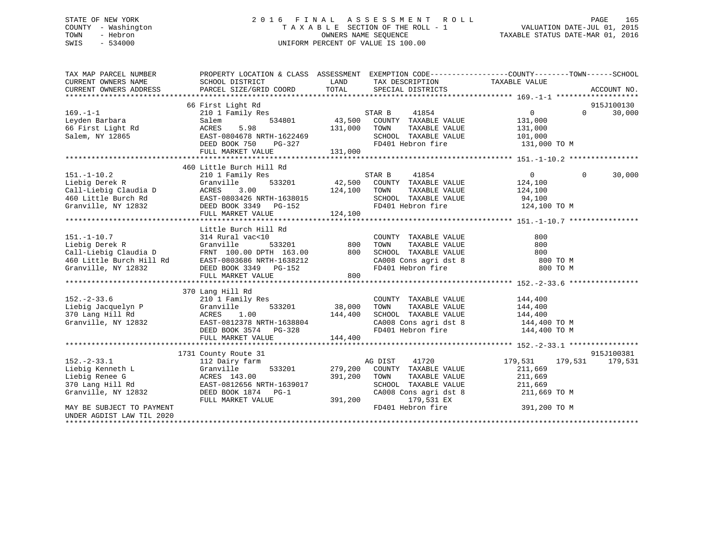## STATE OF NEW YORK 2 0 1 6 F I N A L A S S E S S M E N T R O L L PAGE 165 COUNTY - Washington T A X A B L E SECTION OF THE ROLL - 1 VALUATION DATE-JUL 01, 2015 TOWN - Hebron OWNERS NAME SEQUENCE TAXABLE STATUS DATE-MAR 01, 2016 SWIS - 534000 UNIFORM PERCENT OF VALUE IS 100.00

| 210 1 Family Res<br>Salem<br>ACRES<br>FULL MARKET VALUE |                                                                                                                                                                                                                                                                                                                                                    | 41854                                 | $\overline{0}$<br>$\Omega$<br>131,000<br>131,000<br>131,000 TO M                                                                                                                                                                  | 915J100130<br>30,000                                                                                                                                                                                                                                                                                                                                                                                                                                                                                                                                                                                                                                                                                                                                                                                                                                                                                                                                                                                                                                                            |
|---------------------------------------------------------|----------------------------------------------------------------------------------------------------------------------------------------------------------------------------------------------------------------------------------------------------------------------------------------------------------------------------------------------------|---------------------------------------|-----------------------------------------------------------------------------------------------------------------------------------------------------------------------------------------------------------------------------------|---------------------------------------------------------------------------------------------------------------------------------------------------------------------------------------------------------------------------------------------------------------------------------------------------------------------------------------------------------------------------------------------------------------------------------------------------------------------------------------------------------------------------------------------------------------------------------------------------------------------------------------------------------------------------------------------------------------------------------------------------------------------------------------------------------------------------------------------------------------------------------------------------------------------------------------------------------------------------------------------------------------------------------------------------------------------------------|
|                                                         |                                                                                                                                                                                                                                                                                                                                                    |                                       |                                                                                                                                                                                                                                   |                                                                                                                                                                                                                                                                                                                                                                                                                                                                                                                                                                                                                                                                                                                                                                                                                                                                                                                                                                                                                                                                                 |
| 210 1 Family Res                                        |                                                                                                                                                                                                                                                                                                                                                    | 41854                                 | $\Omega$                                                                                                                                                                                                                          | 30,000                                                                                                                                                                                                                                                                                                                                                                                                                                                                                                                                                                                                                                                                                                                                                                                                                                                                                                                                                                                                                                                                          |
| Little Burch Hill Rd<br>314 Rural vac<10                |                                                                                                                                                                                                                                                                                                                                                    | COUNTY TAXABLE VALUE                  | 800<br>800 TO M                                                                                                                                                                                                                   |                                                                                                                                                                                                                                                                                                                                                                                                                                                                                                                                                                                                                                                                                                                                                                                                                                                                                                                                                                                                                                                                                 |
|                                                         |                                                                                                                                                                                                                                                                                                                                                    |                                       |                                                                                                                                                                                                                                   |                                                                                                                                                                                                                                                                                                                                                                                                                                                                                                                                                                                                                                                                                                                                                                                                                                                                                                                                                                                                                                                                                 |
| 533201<br>Granville<br>FULL MARKET VALUE                |                                                                                                                                                                                                                                                                                                                                                    | TOWN                                  |                                                                                                                                                                                                                                   |                                                                                                                                                                                                                                                                                                                                                                                                                                                                                                                                                                                                                                                                                                                                                                                                                                                                                                                                                                                                                                                                                 |
|                                                         |                                                                                                                                                                                                                                                                                                                                                    |                                       |                                                                                                                                                                                                                                   |                                                                                                                                                                                                                                                                                                                                                                                                                                                                                                                                                                                                                                                                                                                                                                                                                                                                                                                                                                                                                                                                                 |
| DEED BOOK 1874 PG-1<br>FULL MARKET VALUE                | 391,200                                                                                                                                                                                                                                                                                                                                            | 41720<br>COUNTY TAXABLE VALUE<br>TOWN | 179,531<br>211,669<br>211,669<br>391,200 TO M                                                                                                                                                                                     | 915J100381<br>179,531 179,531                                                                                                                                                                                                                                                                                                                                                                                                                                                                                                                                                                                                                                                                                                                                                                                                                                                                                                                                                                                                                                                   |
|                                                         | 66 First Light Rd<br>Leyden Barbara<br>66 First Light Rd<br>Salem, NY 12865<br>460 Little Burch Hill Rd<br>Granville, NY 12832<br>370 Lang Hill Rd<br>210 1 Family Res<br>Liebig Jacquelyn P<br>370 Lang Hill Rd<br>Granville, NY 12832<br>1731 County Route 31<br>112 Dairy farm<br>Granville 533201<br>ACRES 143.00<br>EAST-0812656 NRTH-1639017 | EAST-0804678 NRTH-1622469             | STAR B<br>EAST-0804678 NRTH-1622469<br>DEED BOOK 750 PG-327<br>131,000<br>STAR B<br>38,000<br>ACRES 1.00 144,400<br>EAST-0812378 NRTH-1638804 144,400<br>DEED BOOK 3574 PG-328<br>144,400<br>AG DIST<br>533201 279,200<br>391,200 | PROPERTY LOCATION & CLASS ASSESSMENT EXEMPTION CODE----------------COUNTY-------TOWN-----SCHOOL<br>534801 43,500 COUNTY TAXABLE VALUE<br>5.98 131,000 TOWN TAXABLE VALUE<br>$\begin{tabular}{lllll} \multicolumn{2}{l}{{\bf SCHOOL}} & \multicolumn{2}{l}{\bf TAXABLE} & \multicolumn{2}{l}{\bf VALUE} & \multicolumn{2}{l}{\bf 101,000} \end{tabular}$<br>FD401 Hebron fire<br>$\overline{0}$<br>191.-1-10.2<br>Let I raminy Res<br>Call-Liebig Claudia D<br>Call-Liebig Claudia D<br>ACRES 3.00<br>EXT-0803426 NRTH-1638015<br>CHOL TAXABLE VALUE<br>CHOL TAXABLE VALUE<br>CHOL TAXABLE VALUE<br>SCHOOL TAXABLE VALUE<br>SCHOOL TAXABLE VALUE<br>24,<br>TOWN TAXABLE VALUE 800<br>SCHOOL TAXABLE VALUE 800<br>CA008 Cons agri dst 8 800 TO M<br>FD401 Hebron fire<br>COUNTY TAXABLE VALUE 144,400<br>TAXABLE VALUE 144,400<br>TAXABLE VALUE 144,400<br>SCHOOL TAXABLE VALUE<br>CA008 Cons agri dst 8 144,400 TO M<br>FD401 Hebron fire 144,400 TO M<br>TAXABLE VALUE<br>SCHOOL TAXABLE VALUE 211,669<br>CA008 Cons agri dst 8 211,669 TO M<br>179,531 EX<br>FD401 Hebron fire |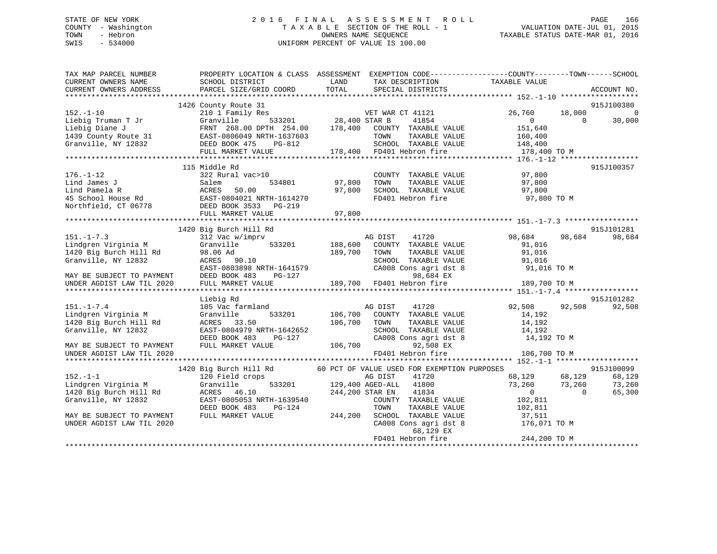# STATE OF NEW YORK 2016 FINAL ASSESSMENT ROLL PAGE 166 COUNTY - Washington  $T A X A B L E$  SECTION OF THE ROLL - 1<br>TOWN - Hebron DATE-JUL 000NERS NAME SEQUENCE SWIS - 534000 UNIFORM PERCENT OF VALUE IS 100.00

TAXABLE STATUS DATE-MAR 01, 2016

| TAX MAP PARCEL NUMBER<br>CURRENT OWNERS NAME<br>CURRENT OWNERS ADDRESS                                                                                                                                    | PROPERTY LOCATION & CLASS ASSESSMENT EXEMPTION CODE-----------------COUNTY--------TOWN------SCHOOL<br>SCHOOL DISTRICT<br>PARCEL SIZE/GRID COORD    | LAND<br>TOTAL                      | TAX DESCRIPTION<br>SPECIAL DISTRICTS                                                                                                                                                                   | TAXABLE VALUE                                                                                  |        | ACCOUNT NO.                              |
|-----------------------------------------------------------------------------------------------------------------------------------------------------------------------------------------------------------|----------------------------------------------------------------------------------------------------------------------------------------------------|------------------------------------|--------------------------------------------------------------------------------------------------------------------------------------------------------------------------------------------------------|------------------------------------------------------------------------------------------------|--------|------------------------------------------|
|                                                                                                                                                                                                           |                                                                                                                                                    |                                    |                                                                                                                                                                                                        |                                                                                                |        |                                          |
|                                                                                                                                                                                                           | 1426 County Route 31                                                                                                                               |                                    |                                                                                                                                                                                                        |                                                                                                |        | 915J100380                               |
| $152. - 1 - 10$<br>Liebig Truman T Jr (1997)<br>Cranville 1933201<br>Liebig Diane J FRNT 268.00 DPTH 254.00<br>1439 County Route 31 EAST-0806049 NRTH-1637603<br>Granville, NY 12832 DEED BOOK 475 PG-812 |                                                                                                                                                    |                                    | TAAABLE VALUE 160,400<br>SCHOOL TAXABLE VALUE 148,400<br>FD401 Hebron fire 178,400                                                                                                                     |                                                                                                |        | $\overline{0}$<br>30,000                 |
|                                                                                                                                                                                                           |                                                                                                                                                    |                                    |                                                                                                                                                                                                        |                                                                                                |        |                                          |
|                                                                                                                                                                                                           | FULL MARKET VALUE                                                                                                                                  |                                    | 178,400 FD401 Hebron fire                                                                                                                                                                              | 178,400 TO M                                                                                   |        |                                          |
|                                                                                                                                                                                                           | 115 Middle Rd                                                                                                                                      |                                    |                                                                                                                                                                                                        |                                                                                                |        | 915J100357                               |
| $176. - 1 - 12$<br>1/0.-1-12<br>Lind James J<br>45 School House Rd<br>Morthfield, CT 06778<br>Morthfield, CT 06778<br>FIII. MARKET VALUE<br>FIII. MARKET VALUE                                            | 322 Rural vac>10<br>FULL MARKET VALUE                                                                                                              | 534801 97,800<br>97,800<br>97,800  | COUNTY TAXABLE VALUE 97,800<br>TOWN                                                                                                                                                                    | TAXABLE VALUE 97,800                                                                           |        |                                          |
|                                                                                                                                                                                                           | 1420 Big Burch Hill Rd                                                                                                                             |                                    |                                                                                                                                                                                                        |                                                                                                |        | 915J101281                               |
| $151. - 1 - 7.3$<br>Lindgren Virginia M<br>1420 Big Burch Hill Rd<br>Granville, NY 12832<br>MAY BE SUBJECT TO PAYMENT                                                                                     | 312 Vac w/imprv<br>533201<br>Granville<br>98.06 Ad<br>ACRES 90.10<br>EAST-0803898 NRTH-1641579<br>DEED BOOK 483 PG-127                             | 188,600<br>189,700                 | AG DIST<br>41720<br>COUNTY TAXABLE VALUE<br>TOWN<br>TOWN TAXABLE VALUE 91,016<br>SCHOOL TAXABLE VALUE 91,016<br>CA008 Cons agri dst 8 91,016 TO M<br>98,684 EX                                         | 98,684<br>91,016                                                                               | 98,684 | 98,684                                   |
| UNDER AGDIST LAW TIL 2020                                                                                                                                                                                 | FULL MARKET VALUE                                                                                                                                  |                                    | 189,700 FD401 Hebron fire 189,700 TO M                                                                                                                                                                 |                                                                                                |        |                                          |
|                                                                                                                                                                                                           |                                                                                                                                                    |                                    |                                                                                                                                                                                                        |                                                                                                |        |                                          |
| $151. - 1 - 7.4$<br>Lindgren Virginia M<br>1420 Big Burch Hill Rd<br>Granville, NY 12832                                                                                                                  | Liebig Rd<br>105 Vac farmland<br>Granville<br>ACRES 33.50<br>EAST-0804979 NRTH-1642652<br>DEED BOOK 483<br>PG-127                                  | 106,700 TOWN                       | AG DIST<br>41720<br>533201 106,700 COUNTY TAXABLE VALUE<br>TAXABLE VALUE<br>SCHOOL TAXABLE VALUE 14,192<br>CA008 Cons agri dst 8                                                                       | 92,508 92,508<br>14,192<br>14,192<br>14,192 TO M                                               |        | 915J101282<br>92,508                     |
| MAY BE SUBJECT TO PAYMENT<br>UNDER AGDIST LAW TIL 2020                                                                                                                                                    | FULL MARKET VALUE                                                                                                                                  | 106,700                            | 92,508 EX<br>FD401 Hebron fire                                                                                                                                                                         | 106,700 TO M                                                                                   |        |                                          |
|                                                                                                                                                                                                           |                                                                                                                                                    |                                    |                                                                                                                                                                                                        |                                                                                                |        |                                          |
| $152. - 1 - 1$<br>Lindgren Virginia M<br>1420 Big Burch Hill Rd<br>1420 Big Burch Hill Rd<br>Granville, NY 12832<br>MAY BE SUBJECT TO PAYMENT<br>UNDER AGDIST LAW TIL 2020                                | 1420 Big Burch Hill Rd<br>120 Field crops<br>Granville<br>ACRES 46.10<br>EAST-0805053 NRTH-1639540<br>DEED BOOK 483<br>PG-124<br>FULL MARKET VALUE | 533201 129,400 AGED-ALL<br>244,200 | 60 PCT OF VALUE USED FOR EXEMPTION PURPOSES<br>41720<br>AG DIST<br>41800<br>244,200 STAR EN<br>41834<br>COUNTY TAXABLE VALUE<br>TOWN<br>TAXABLE VALUE<br>SCHOOL TAXABLE VALUE<br>CA008 Cons agri dst 8 | $68,129$<br>$73,260$<br>$73,260$<br>$0$<br>$0$<br>102,811<br>102,811<br>37,511<br>176,071 TO M |        | 915J100099<br>68,129<br>73,260<br>65,300 |
|                                                                                                                                                                                                           |                                                                                                                                                    |                                    | 68,129 EX                                                                                                                                                                                              |                                                                                                |        |                                          |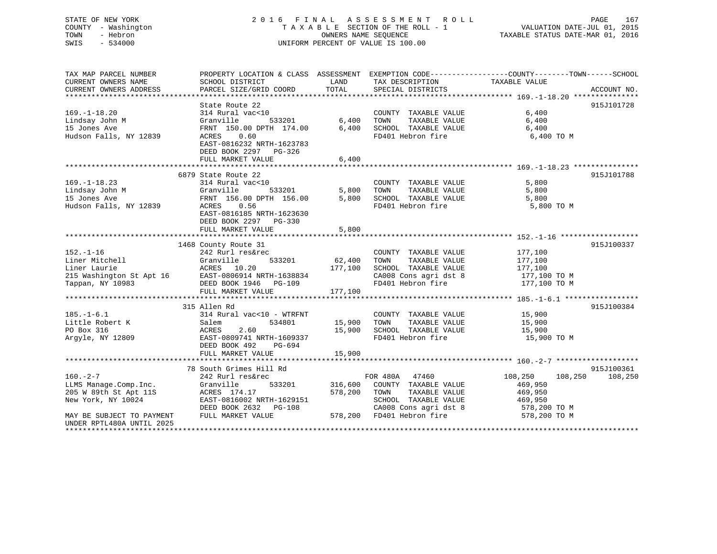## STATE OF NEW YORK 2 0 1 6 F I N A L A S S E S S M E N T R O L L PAGE 167 COUNTY - Washington T A X A B L E SECTION OF THE ROLL - 1 VALUATION DATE-JUL 01, 2015 TOWN - Hebron OWNERS NAME SEQUENCE TAXABLE STATUS DATE-MAR 01, 2016 SWIS - 534000 UNIFORM PERCENT OF VALUE IS 100.00

TAX MAP PARCEL NUMBER PROPERTY LOCATION & CLASS ASSESSMENT EXEMPTION CODE------------------COUNTY--------TOWN------SCHOOL CURRENT OWNERS NAME SCHOOL DISTRICT LAND TAX DESCRIPTION TAXABLE VALUE CURRENT OWNERS ADDRESS PARCEL SIZE/GRID COORD TOTAL SPECIAL DISTRICTS ACCOUNT NO. \*\*\*\*\*\*\*\*\*\*\*\*\*\*\*\*\*\*\*\*\*\*\*\*\*\*\*\*\*\*\*\*\*\*\*\*\*\*\*\*\*\*\*\*\*\*\*\*\*\*\*\*\*\*\*\*\*\*\*\*\*\*\*\*\*\*\*\*\*\*\*\*\*\*\*\*\*\*\*\*\*\*\*\*\*\*\*\*\*\*\*\*\*\*\*\*\*\*\*\*\*\*\* 169.-1-18.20 \*\*\*\*\*\*\*\*\*\*\*\*\*\*\* State Route 22 915J101728 169.-1-18.20 314 Rural vac<10 COUNTY TAXABLE VALUE 6,400 Lindsay John M Granville 533201 6,400 TOWN TAXABLE VALUE 6,400 15 Jones Ave FRNT 150.00 DPTH 174.00 6,400 SCHOOL TAXABLE VALUE 6,400 Hudson Falls, NY 12839 ACRES 0.60 **FD401** Hebron fire 6,400 TO M EAST-0816232 NRTH-1623783 DEED BOOK 2297 PG-326FULL MARKET VALUE 6,400 \*\*\*\*\*\*\*\*\*\*\*\*\*\*\*\*\*\*\*\*\*\*\*\*\*\*\*\*\*\*\*\*\*\*\*\*\*\*\*\*\*\*\*\*\*\*\*\*\*\*\*\*\*\*\*\*\*\*\*\*\*\*\*\*\*\*\*\*\*\*\*\*\*\*\*\*\*\*\*\*\*\*\*\*\*\*\*\*\*\*\*\*\*\*\*\*\*\*\*\*\*\*\* 169.-1-18.23 \*\*\*\*\*\*\*\*\*\*\*\*\*\*\* 6879 State Route 22 915J101788169.-1-18.23 314 Rural vac<10 COUNTY TAXABLE VALUE 5,800 Lindsay John M Granville 533201 5,800 TOWN TAXABLE VALUE 5,800 15 Jones Ave FRNT 156.00 DPTH 156.00 5,800 SCHOOL TAXABLE VALUE 5,800 Hudson Falls, NY 12839 ACRES 0.56 FD401 Hebron fire 5,800 TO M EAST-0816185 NRTH-1623630 DEED BOOK 2297 PG-330 FULL MARKET VALUE 5,800 \*\*\*\*\*\*\*\*\*\*\*\*\*\*\*\*\*\*\*\*\*\*\*\*\*\*\*\*\*\*\*\*\*\*\*\*\*\*\*\*\*\*\*\*\*\*\*\*\*\*\*\*\*\*\*\*\*\*\*\*\*\*\*\*\*\*\*\*\*\*\*\*\*\*\*\*\*\*\*\*\*\*\*\*\*\*\*\*\*\*\*\*\*\*\*\*\*\*\*\*\*\*\* 152.-1-16 \*\*\*\*\*\*\*\*\*\*\*\*\*\*\*\*\*\* 1468 County Route 31 915J100337 152.-1-16 242 Rurl res&rec COUNTY TAXABLE VALUE 177,100 Liner Mitchell Granville 533201 62,400 TOWN TAXABLE VALUE 177,100 Liner Laurie ACRES 10.20 177,100 SCHOOL TAXABLE VALUE 177,100 215 Washington St Apt 16 EAST-0806914 NRTH-1638834 CA008 Cons agri dst 8 177,100 TO M Tappan, NY 10983 DEED BOOK 1946 PG-109 FD401 Hebron fire 177,100 TO M DEED BOOK 1946 PG-109<br>FULL MARKET VALUE 177,100 \*\*\*\*\*\*\*\*\*\*\*\*\*\*\*\*\*\*\*\*\*\*\*\*\*\*\*\*\*\*\*\*\*\*\*\*\*\*\*\*\*\*\*\*\*\*\*\*\*\*\*\*\*\*\*\*\*\*\*\*\*\*\*\*\*\*\*\*\*\*\*\*\*\*\*\*\*\*\*\*\*\*\*\*\*\*\*\*\*\*\*\*\*\*\*\*\*\*\*\*\*\*\* 185.-1-6.1 \*\*\*\*\*\*\*\*\*\*\*\*\*\*\*\*\* 315 Allen Rd 915J100384185.-1-6.1 314 Rural vac<10 - WTRFNT COUNTY TAXABLE VALUE 15,900 Little Robert K Salem 534801 15,900 TOWN TAXABLE VALUE 15,900 PO Box 316 ACRES 2.60 15,900 SCHOOL TAXABLE VALUE 15,900 Argyle, NY 12809 **EAST-0809741 NRTH-1609337** FD401 Hebron fire 15,900 TO M DEED BOOK 492 PG-694FULL MARKET VALUE 15,900 \*\*\*\*\*\*\*\*\*\*\*\*\*\*\*\*\*\*\*\*\*\*\*\*\*\*\*\*\*\*\*\*\*\*\*\*\*\*\*\*\*\*\*\*\*\*\*\*\*\*\*\*\*\*\*\*\*\*\*\*\*\*\*\*\*\*\*\*\*\*\*\*\*\*\*\*\*\*\*\*\*\*\*\*\*\*\*\*\*\*\*\*\*\*\*\*\*\*\*\*\*\*\* 160.-2-7 \*\*\*\*\*\*\*\*\*\*\*\*\*\*\*\*\*\*\* 78 South Grimes Hill Rd 915J100361 160.-2-7 242 Rurl res&rec FOR 480A 47460 108,250 108,250 108,250 LLMS Manage.Comp.Inc. Granville 533201 316,600 COUNTY TAXABLE VALUE 469,950 205 W 89th St Apt 11S ACRES 174.17 578,200 TOWN TAXABLE VALUE 469,950 New York, NY 10024 EAST-0816002 NRTH-1629151 SCHOOL TAXABLE VALUE 469,950 DEED BOOK 2632 PG-108 CA008 Cons agri dst 8 578,200 TO M DEED BOOK 2632 PG-108 CA008 Cons agri dst 8 578,200 TO M<br>MAY BE SUBJECT TO PAYMENT FULL MARKET VALUE 578,200 FD401 Hebron fire 578,200 TO M UNDER RPTL480A UNTIL 2025\*\*\*\*\*\*\*\*\*\*\*\*\*\*\*\*\*\*\*\*\*\*\*\*\*\*\*\*\*\*\*\*\*\*\*\*\*\*\*\*\*\*\*\*\*\*\*\*\*\*\*\*\*\*\*\*\*\*\*\*\*\*\*\*\*\*\*\*\*\*\*\*\*\*\*\*\*\*\*\*\*\*\*\*\*\*\*\*\*\*\*\*\*\*\*\*\*\*\*\*\*\*\*\*\*\*\*\*\*\*\*\*\*\*\*\*\*\*\*\*\*\*\*\*\*\*\*\*\*\*\*\*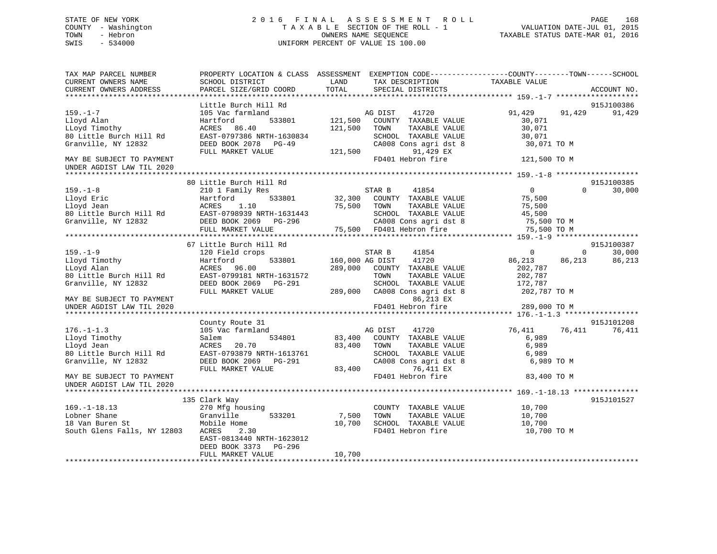## STATE OF NEW YORK 2 0 1 6 F I N A L A S S E S S M E N T R O L L PAGE 168 COUNTY - Washington T A X A B L E SECTION OF THE ROLL - 1 VALUATION DATE-JUL 01, 2015 TOWN - Hebron OWNERS NAME SEQUENCE TAXABLE STATUS DATE-MAR 01, 2016 SWIS - 534000 UNIFORM PERCENT OF VALUE IS 100.00

| TAX MAP PARCEL NUMBER<br>CURRENT OWNERS NAME<br>CURRENT OWNERS ADDRESS | SCHOOL DISTRICT<br>PARCEL SIZE/GRID COORD  | PROPERTY LOCATION & CLASS ASSESSMENT EXEMPTION CODE----------------COUNTY-------TOWN------SCHOOL<br>LAND<br>TAX DESCRIPTION<br>TOTAL<br>SPECIAL DISTRICTS | TAXABLE VALUE<br>ACCOUNT NO.               |
|------------------------------------------------------------------------|--------------------------------------------|-----------------------------------------------------------------------------------------------------------------------------------------------------------|--------------------------------------------|
|                                                                        |                                            |                                                                                                                                                           |                                            |
|                                                                        | Little Burch Hill Rd                       |                                                                                                                                                           | 915J100386                                 |
| $159. - 1 - 7$<br>Lloyd Alan                                           | 105 Vac farmland<br>533801<br>Hartford     | 41720<br>AG DIST<br>121,500<br>COUNTY TAXABLE VALUE                                                                                                       | 91,429<br>91,429<br>91,429<br>30,071       |
| LLoyd Timothy                                                          | ACRES 86.40                                | 121,500<br>TOWN<br>TAXABLE VALUE                                                                                                                          | 30,071                                     |
| 80 Little Burch Hill Rd                                                | EAST-0797386 NRTH-1630834                  | SCHOOL TAXABLE VALUE                                                                                                                                      | 30,071                                     |
| Granville, NY 12832                                                    | DEED BOOK 2078 PG-49<br>FULL MARKET VALUE  | CA008 Cons agri dst 8<br>121,500<br>91,429 EX                                                                                                             | 30,071 TO M                                |
| MAY BE SUBJECT TO PAYMENT<br>UNDER AGDIST LAW TIL 2020                 |                                            | FD401 Hebron fire                                                                                                                                         | 121,500 TO M                               |
| ***************************                                            |                                            |                                                                                                                                                           |                                            |
|                                                                        | 80 Little Burch Hill Rd                    |                                                                                                                                                           | 915J100385                                 |
| $159. - 1 - 8$                                                         | 210 1 Family Res                           | STAR B<br>41854                                                                                                                                           | $\overline{0}$<br>$\Omega$<br>30,000       |
| Lloyd Eric                                                             | 533801<br>Hartford                         | 32,300 COUNTY TAXABLE VALUE                                                                                                                               | 75,500                                     |
| Lloyd Jean                                                             | ACRES<br>1.10                              | 75,500 TOWN<br>TAXABLE VALUE                                                                                                                              | 75,500                                     |
| 80 Little Burch Hill Rd                                                | EAST-0798939 NRTH-1631443                  | SCHOOL TAXABLE VALUE                                                                                                                                      | 45,500                                     |
| Granville, NY 12832                                                    | DEED BOOK 2069 PG-296                      | CA008 Cons agri dst 8<br>75,500 FD401 Hebron fire                                                                                                         | 75,500 TO M                                |
|                                                                        | FULL MARKET VALUE                          |                                                                                                                                                           | 75,500 TO M                                |
|                                                                        | 67 Little Burch Hill Rd                    |                                                                                                                                                           | 915J100387                                 |
| $159. - 1 - 9$                                                         | 120 Field crops                            | 41854<br>STAR B                                                                                                                                           | $\overline{0}$<br>30,000<br>$\overline{0}$ |
| Lloyd Timothy                                                          | Hartford<br>533801                         | 41720<br>160,000 AG DIST                                                                                                                                  | 86,213<br>86,213<br>86,213                 |
| LLoyd Alan                                                             | ACRES 96.00                                | 289,000 COUNTY TAXABLE VALUE                                                                                                                              | 202,787                                    |
| 80 Little Burch Hill Rd                                                | EAST-0799181 NRTH-1631572                  | TOWN<br>TAXABLE VALUE                                                                                                                                     | 202,787                                    |
| Granville, NY 12832                                                    | DEED BOOK 2069 PG-291                      | SCHOOL TAXABLE VALUE                                                                                                                                      | 172,787                                    |
|                                                                        | FULL MARKET VALUE                          | 289,000 CA008 Cons agri dst 8                                                                                                                             | 202,787 TO M                               |
| MAY BE SUBJECT TO PAYMENT                                              |                                            | 86,213 EX                                                                                                                                                 |                                            |
| UNDER AGDIST LAW TIL 2020                                              |                                            | FD401 Hebron fire                                                                                                                                         | 289,000 TO M                               |
|                                                                        |                                            |                                                                                                                                                           |                                            |
|                                                                        | County Route 31                            |                                                                                                                                                           | 915J101208                                 |
| $176. - 1 - 1.3$                                                       | 105 Vac farmland<br>534801<br>Salem        | AG DIST<br>41720<br>83,400<br>COUNTY TAXABLE VALUE                                                                                                        | 76,411<br>76,411<br>76,411<br>6,989        |
| Lloyd Timothy<br>Lloyd Jean                                            | ACRES 20.70                                | 83,400<br>TAXABLE VALUE<br>TOWN                                                                                                                           | 6,989                                      |
| 80 Little Burch Hill Rd                                                | EAST-0793879 NRTH-1613761                  | SCHOOL TAXABLE VALUE                                                                                                                                      | 6,989                                      |
| Granville, NY 12832                                                    | DEED BOOK 2069 PG-291                      | CA008 Cons agri dst 8                                                                                                                                     | 6,989 TO M                                 |
|                                                                        | FULL MARKET VALUE                          | 83,400<br>76,411 EX                                                                                                                                       |                                            |
| MAY BE SUBJECT TO PAYMENT                                              |                                            | FD401 Hebron fire                                                                                                                                         | 83,400 TO M                                |
| UNDER AGDIST LAW TIL 2020                                              |                                            |                                                                                                                                                           |                                            |
|                                                                        |                                            |                                                                                                                                                           |                                            |
|                                                                        | 135 Clark Way                              |                                                                                                                                                           | 915J101527                                 |
| $169. - 1 - 18.13$                                                     | 270 Mfg housing                            | COUNTY TAXABLE VALUE                                                                                                                                      | 10,700                                     |
| Lobner Shane                                                           | Granville<br>533201                        | 7,500<br>TOWN<br>TAXABLE VALUE                                                                                                                            | 10,700                                     |
| 18 Van Buren St                                                        | Mobile Home                                | 10,700<br>SCHOOL TAXABLE VALUE                                                                                                                            | 10,700                                     |
| South Glens Falls, NY 12803                                            | ACRES<br>2.30                              | FD401 Hebron fire                                                                                                                                         | 10,700 TO M                                |
|                                                                        | EAST-0813440 NRTH-1623012                  |                                                                                                                                                           |                                            |
|                                                                        | DEED BOOK 3373 PG-296<br>FULL MARKET VALUE | 10,700                                                                                                                                                    |                                            |
|                                                                        |                                            |                                                                                                                                                           |                                            |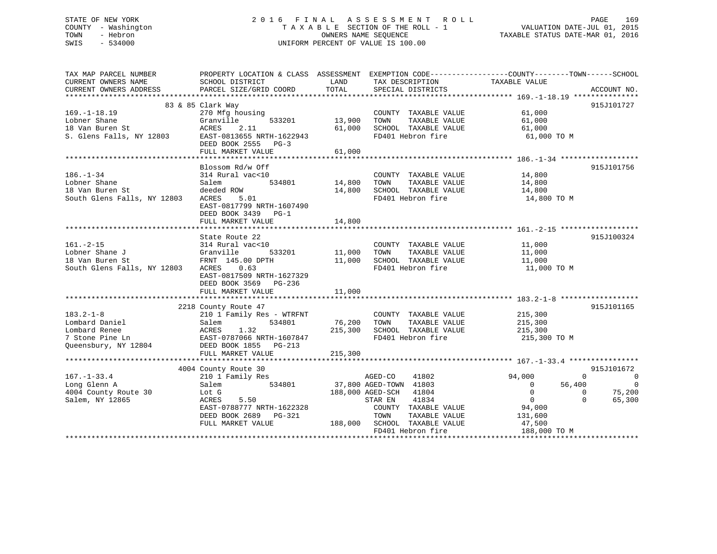## STATE OF NEW YORK 2 0 1 6 F I N A L A S S E S S M E N T R O L L PAGE 169 COUNTY - Washington T A X A B L E SECTION OF THE ROLL - 1 VALUATION DATE-JUL 01, 2015 TOWN - Hebron OWNERS NAME SEQUENCE TAXABLE STATUS DATE-MAR 01, 2016 SWIS - 534000 UNIFORM PERCENT OF VALUE IS 100.00

| TAX MAP PARCEL NUMBER<br>CURRENT OWNERS NAME<br>CURRENT OWNERS ADDRESS                        | PROPERTY LOCATION & CLASS ASSESSMENT EXEMPTION CODE---------------COUNTY-------TOWN-----SCHOOL<br>SCHOOL DISTRICT<br>PARCEL SIZE/GRID COORD                      | LAND<br>TOTAL                | TAX DESCRIPTION<br>SPECIAL DISTRICTS                                                                                                                                                              | TAXABLE VALUE                                                                                                         | ACCOUNT NO.                                                                                                      |
|-----------------------------------------------------------------------------------------------|------------------------------------------------------------------------------------------------------------------------------------------------------------------|------------------------------|---------------------------------------------------------------------------------------------------------------------------------------------------------------------------------------------------|-----------------------------------------------------------------------------------------------------------------------|------------------------------------------------------------------------------------------------------------------|
|                                                                                               |                                                                                                                                                                  |                              |                                                                                                                                                                                                   |                                                                                                                       |                                                                                                                  |
|                                                                                               | 83 & 85 Clark Way                                                                                                                                                |                              |                                                                                                                                                                                                   |                                                                                                                       | 915J101727                                                                                                       |
| $169. - 1 - 18.19$<br>Lobner Shane<br>18 Van Buren St<br>S. Glens Falls, NY 12803             | 270 Mfg housing<br>Granville<br>533201<br>ACRES<br>2.11<br>EAST-0813655 NRTH-1622943<br>DEED BOOK 2555 PG-3<br>FULL MARKET VALUE                                 | 13,900<br>61,000<br>61,000   | COUNTY TAXABLE VALUE<br>TOWN<br>TAXABLE VALUE<br>SCHOOL TAXABLE VALUE<br>FD401 Hebron fire                                                                                                        | 61,000<br>61,000<br>61,000<br>61,000 TO M                                                                             |                                                                                                                  |
|                                                                                               |                                                                                                                                                                  |                              |                                                                                                                                                                                                   |                                                                                                                       |                                                                                                                  |
|                                                                                               | Blossom Rd/w Off                                                                                                                                                 |                              |                                                                                                                                                                                                   |                                                                                                                       | 915J101756                                                                                                       |
| $186. - 1 - 34$<br>Lobner Shane<br>18 Van Buren St<br>South Glens Falls, NY 12803             | 314 Rural vac<10<br>Salem<br>534801<br>deeded ROW<br>ACRES<br>5.01<br>EAST-0817799 NRTH-1607490<br>DEED BOOK 3439 PG-1<br>FULL MARKET VALUE                      | 14,800<br>14,800<br>14,800   | COUNTY TAXABLE VALUE<br>TAXABLE VALUE<br>TOWN<br>SCHOOL TAXABLE VALUE<br>FD401 Hebron fire                                                                                                        | 14,800<br>14,800<br>14,800<br>14,800 TO M                                                                             |                                                                                                                  |
|                                                                                               |                                                                                                                                                                  |                              |                                                                                                                                                                                                   |                                                                                                                       |                                                                                                                  |
|                                                                                               | State Route 22                                                                                                                                                   |                              |                                                                                                                                                                                                   |                                                                                                                       | 915J100324                                                                                                       |
| $161. - 2 - 15$<br>Lobner Shane J<br>18 Van Buren St<br>South Glens Falls, NY 12803           | 314 Rural vac<10<br>Granville<br>533201<br>FRNT 145.00 DPTH<br>ACRES 0.63<br>EAST-0817509 NRTH-1627329<br>DEED BOOK 3569 PG-236                                  | 11,000<br>11,000<br>11,000   | COUNTY TAXABLE VALUE<br>TAXABLE VALUE<br>TOWN<br>SCHOOL TAXABLE VALUE<br>FD401 Hebron fire                                                                                                        | 11,000<br>11,000<br>11,000<br>11,000 TO M                                                                             |                                                                                                                  |
|                                                                                               | FULL MARKET VALUE                                                                                                                                                |                              |                                                                                                                                                                                                   |                                                                                                                       |                                                                                                                  |
|                                                                                               | 2218 County Route 47                                                                                                                                             |                              |                                                                                                                                                                                                   |                                                                                                                       | 915J101165                                                                                                       |
| $183.2 - 1 - 8$<br>Lombard Daniel<br>Lombard Renee<br>7 Stone Pine Ln<br>Oueensbury, NY 12804 | 210 1 Family Res - WTRFNT<br>534801<br>Salem<br>ACRES<br>1.32<br>EAST-0787066 NRTH-1607847<br>DEED BOOK 1855 PG-213<br>FULL MARKET VALUE                         | 76,200<br>215,300<br>215,300 | COUNTY TAXABLE VALUE<br>TOWN<br>TAXABLE VALUE<br>SCHOOL TAXABLE VALUE<br>FD401 Hebron fire                                                                                                        | 215,300<br>215,300<br>215,300<br>215,300 TO M                                                                         |                                                                                                                  |
|                                                                                               |                                                                                                                                                                  |                              |                                                                                                                                                                                                   |                                                                                                                       |                                                                                                                  |
| $167. - 1 - 33.4$<br>Long Glenn A<br>4004 County Route 30<br>Salem, NY 12865                  | 4004 County Route 30<br>210 1 Family Res<br>534801<br>Salem<br>Lot G<br>ACRES<br>5.50<br>EAST-0788777 NRTH-1622328<br>DEED BOOK 2689 PG-321<br>FULL MARKET VALUE |                              | AGED-CO<br>41802<br>37,800 AGED-TOWN 41803<br>188,000 AGED-SCH<br>41804<br>41834<br>STAR EN<br>COUNTY TAXABLE VALUE<br>TOWN<br>TAXABLE VALUE<br>188,000 SCHOOL TAXABLE VALUE<br>FD401 Hebron fire | 94,000<br>56,400<br>$\overline{0}$<br>$\overline{0}$<br>$\overline{0}$<br>94,000<br>131,600<br>47,500<br>188,000 TO M | 915J101672<br>$\Omega$<br>$\overline{\phantom{0}}$<br>$\overline{0}$<br>75,200<br>$\Omega$<br>$\Omega$<br>65,300 |
|                                                                                               |                                                                                                                                                                  |                              |                                                                                                                                                                                                   |                                                                                                                       |                                                                                                                  |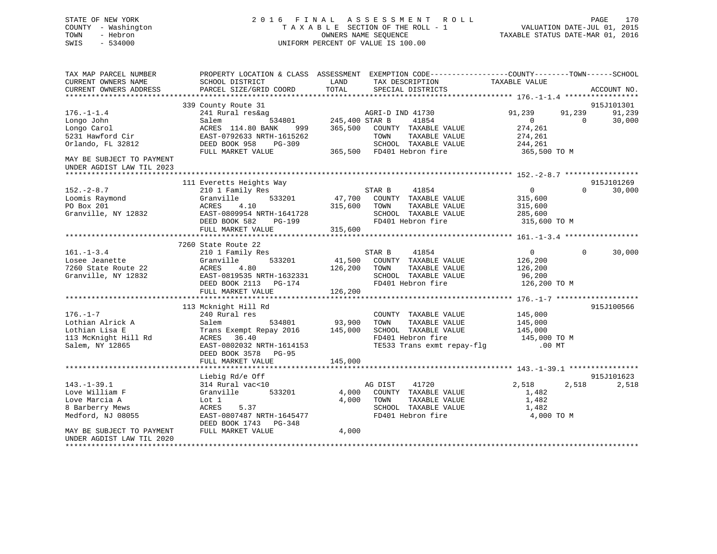## STATE OF NEW YORK 2 0 1 6 F I N A L A S S E S S M E N T R O L L PAGE 170 COUNTY - Washington T A X A B L E SECTION OF THE ROLL - 1 VALUATION DATE-JUL 01, 2015 TOWN - Hebron OWNERS NAME SEQUENCE TAXABLE STATUS DATE-MAR 01, 2016 SWIS - 534000 UNIFORM PERCENT OF VALUE IS 100.00

| TAX MAP PARCEL NUMBER<br>CURRENT OWNERS NAME<br>CURRENT OWNERS ADDRESS                          | PROPERTY LOCATION & CLASS ASSESSMENT<br>SCHOOL DISTRICT<br>PARCEL SIZE/GRID COORD                                                                                   | LAND<br>TOTAL                | EXEMPTION CODE-----------------COUNTY--------TOWN------SCHOOL<br>TAX DESCRIPTION<br>SPECIAL DISTRICTS                    | TAXABLE VALUE                                                   |          | ACCOUNT NO.          |
|-------------------------------------------------------------------------------------------------|---------------------------------------------------------------------------------------------------------------------------------------------------------------------|------------------------------|--------------------------------------------------------------------------------------------------------------------------|-----------------------------------------------------------------|----------|----------------------|
| $176. - 1 - 1.4$                                                                                | 339 County Route 31<br>241 Rural res&ag                                                                                                                             |                              | AGRI-D IND 41730                                                                                                         | 91,239                                                          | 91,239   | 915J101301<br>91,239 |
| Longo John<br>Longo Carol<br>5231 Hawford Cir<br>Orlando, FL 32812                              | 534801<br>Salem<br>ACRES 114.80 BANK<br>999<br>EAST-0792633 NRTH-1615262<br>DEED BOOK 958<br>PG-309                                                                 | 245,400 STAR B<br>365,500    | 41854<br>COUNTY TAXABLE VALUE<br>TOWN<br>TAXABLE VALUE<br>SCHOOL TAXABLE VALUE                                           | $\mathbf{0}$<br>274,261<br>274,261<br>244,261                   | $\Omega$ | 30,000               |
| MAY BE SUBJECT TO PAYMENT<br>UNDER AGDIST LAW TIL 2023                                          | FULL MARKET VALUE                                                                                                                                                   | 365,500                      | FD401 Hebron fire                                                                                                        | 365,500 TO M                                                    |          |                      |
|                                                                                                 |                                                                                                                                                                     |                              |                                                                                                                          |                                                                 |          |                      |
| $152 - 2 - 8.7$<br>Loomis Raymond<br>PO Box 201<br>Granville, NY 12832                          | 111 Everetts Heights Way<br>210 1 Family Res<br>Granville<br>533201<br>ACRES<br>4.10<br>EAST-0809954 NRTH-1641728<br>DEED BOOK 582<br>$PG-199$<br>FULL MARKET VALUE | 47,700<br>315,600<br>315,600 | STAR B<br>41854<br>COUNTY TAXABLE VALUE<br>TOWN<br>TAXABLE VALUE<br>SCHOOL TAXABLE VALUE<br>FD401 Hebron fire            | $\overline{0}$<br>315,600<br>315,600<br>285,600<br>315,600 TO M | $\Omega$ | 915J101269<br>30,000 |
|                                                                                                 |                                                                                                                                                                     |                              |                                                                                                                          |                                                                 |          |                      |
| $161. - 1 - 3.4$<br>Losee Jeanette<br>7260 State Route 22<br>Granville, NY 12832                | 7260 State Route 22<br>210 1 Family Res<br>533201<br>Granville<br>4.80<br>ACRES<br>EAST-0819535 NRTH-1632331<br>DEED BOOK 2113 PG-174<br>FULL MARKET VALUE          | 41,500<br>126,200<br>126,200 | 41854<br>STAR B<br>COUNTY TAXABLE VALUE<br>TOWN<br>TAXABLE VALUE<br>SCHOOL TAXABLE VALUE<br>FD401 Hebron fire            | $\overline{0}$<br>126,200<br>126,200<br>96,200<br>126,200 TO M  | $\Omega$ | 30,000               |
|                                                                                                 | 113 Mcknight Hill Rd                                                                                                                                                |                              |                                                                                                                          |                                                                 |          | 915J100566           |
| $176. - 1 - 7$<br>Lothian Alrick A<br>Lothian Lisa E<br>113 McKnight Hill Rd<br>Salem, NY 12865 | 240 Rural res<br>Salem<br>534801<br>Trans Exempt Repay 2016<br>ACRES<br>36.40<br>EAST-0802032 NRTH-1614153<br>DEED BOOK 3578<br>$PG-95$                             | 93,900<br>145,000            | COUNTY TAXABLE VALUE<br>TOWN<br>TAXABLE VALUE<br>SCHOOL TAXABLE VALUE<br>FD401 Hebron fire<br>TE533 Trans exmt repay-flg | 145,000<br>145,000<br>145,000<br>145,000 TO M<br>$.00$ MT       |          |                      |
|                                                                                                 | FULL MARKET VALUE                                                                                                                                                   | 145,000                      |                                                                                                                          |                                                                 |          |                      |
|                                                                                                 |                                                                                                                                                                     |                              |                                                                                                                          |                                                                 |          |                      |
|                                                                                                 | Liebig Rd/e Off                                                                                                                                                     |                              |                                                                                                                          |                                                                 |          | 915J101623           |
| $143. - 1 - 39.1$<br>Love William F<br>Love Marcia A<br>8 Barberry Mews<br>Medford, NJ 08055    | 314 Rural vac<10<br>533201<br>Granville<br>Lot 1<br>ACRES<br>5.37<br>EAST-0807487 NRTH-1645477<br>DEED BOOK 1743 PG-348                                             | 4,000<br>4,000               | AG DIST<br>41720<br>COUNTY TAXABLE VALUE<br>TOWN<br>TAXABLE VALUE<br>SCHOOL TAXABLE VALUE<br>FD401 Hebron fire           | 2,518<br>1,482<br>1,482<br>1,482<br>4,000 TO M                  | 2,518    | 2,518                |
| MAY BE SUBJECT TO PAYMENT<br>UNDER AGDIST LAW TIL 2020                                          | FULL MARKET VALUE                                                                                                                                                   | 4,000                        |                                                                                                                          |                                                                 |          |                      |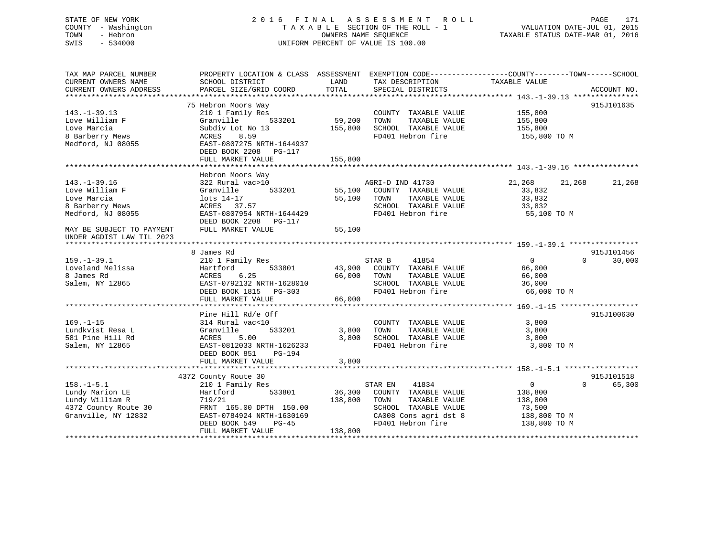## STATE OF NEW YORK 2 0 1 6 F I N A L A S S E S S M E N T R O L L PAGE 171 COUNTY - Washington T A X A B L E SECTION OF THE ROLL - 1 VALUATION DATE-JUL 01, 2015 TOWN - Hebron OWNERS NAME SEQUENCE TAXABLE STATUS DATE-MAR 01, 2016 SWIS - 534000 UNIFORM PERCENT OF VALUE IS 100.00

| TAX MAP PARCEL NUMBER     | PROPERTY LOCATION & CLASS ASSESSMENT |         | EXEMPTION CODE-----------------COUNTY-------TOWN------SCHOOL |                            |             |
|---------------------------|--------------------------------------|---------|--------------------------------------------------------------|----------------------------|-------------|
| CURRENT OWNERS NAME       | SCHOOL DISTRICT                      | LAND    | TAX DESCRIPTION                                              | TAXABLE VALUE              |             |
| CURRENT OWNERS ADDRESS    | PARCEL SIZE/GRID COORD               | TOTAL   | SPECIAL DISTRICTS                                            |                            | ACCOUNT NO. |
| *******************       |                                      |         |                                                              |                            |             |
|                           | 75 Hebron Moors Way                  |         |                                                              |                            | 915J101635  |
| $143. - 1 - 39.13$        | 210 1 Family Res                     |         | COUNTY TAXABLE VALUE                                         | 155,800                    |             |
| Love William F            | 533201<br>Granville                  | 59,200  | TOWN<br>TAXABLE VALUE                                        | 155,800                    |             |
| Love Marcia               | Subdiv Lot No 13                     | 155,800 | SCHOOL TAXABLE VALUE                                         | 155,800                    |             |
| 8 Barberry Mews           | ACRES<br>8.59                        |         | FD401 Hebron fire                                            | 155,800 TO M               |             |
| Medford, NJ 08055         | EAST-0807275 NRTH-1644937            |         |                                                              |                            |             |
|                           | DEED BOOK 2208<br>PG-117             |         |                                                              |                            |             |
|                           | FULL MARKET VALUE                    | 155,800 |                                                              |                            |             |
|                           |                                      |         |                                                              |                            |             |
|                           |                                      |         |                                                              |                            |             |
|                           | Hebron Moors Way                     |         |                                                              |                            |             |
| $143. - 1 - 39.16$        | 322 Rural vac>10                     |         | AGRI-D IND 41730                                             | 21,268<br>21,268           | 21,268      |
| Love William F            | Granville<br>533201                  |         | 55,100 COUNTY TAXABLE VALUE                                  | 33,832                     |             |
| Love Marcia               | lots 14-17                           | 55,100  | TAXABLE VALUE<br>TOWN                                        | 33,832                     |             |
| 8 Barberry Mews           | ACRES 37.57                          |         | SCHOOL TAXABLE VALUE                                         | 33,832                     |             |
| Medford, NJ 08055         | EAST-0807954 NRTH-1644429            |         | FD401 Hebron fire                                            | 55,100 TO M                |             |
|                           | DEED BOOK 2208<br>PG-117             |         |                                                              |                            |             |
| MAY BE SUBJECT TO PAYMENT | FULL MARKET VALUE                    | 55,100  |                                                              |                            |             |
| UNDER AGDIST LAW TIL 2023 |                                      |         |                                                              |                            |             |
|                           |                                      |         |                                                              |                            |             |
|                           | 8 James Rd                           |         |                                                              |                            | 915J101456  |
| $159. - 1 - 39.1$         | 210 1 Family Res                     |         | STAR B<br>41854                                              | $\overline{0}$<br>$\Omega$ | 30,000      |
| Loveland Melissa          | 533801<br>Hartford                   |         | 43,900 COUNTY TAXABLE VALUE                                  | 66,000                     |             |
| 8 James Rd                | 6.25<br>ACRES                        | 66,000  | TOWN<br>TAXABLE VALUE                                        | 66,000                     |             |
| Salem, NY 12865           | EAST-0792132 NRTH-1628010            |         | SCHOOL TAXABLE VALUE                                         | 36,000                     |             |
|                           | DEED BOOK 1815<br>PG-303             |         | FD401 Hebron fire                                            | 66,000 TO M                |             |
|                           | FULL MARKET VALUE                    | 66,000  |                                                              |                            |             |
|                           |                                      |         |                                                              |                            |             |
|                           | Pine Hill Rd/e Off                   |         |                                                              |                            | 915J100630  |
| $169. - 1 - 15$           | 314 Rural vac<10                     |         | COUNTY TAXABLE VALUE                                         | 3,800                      |             |
| Lundkvist Resa L          | 533201<br>Granville                  | 3,800   | TOWN<br>TAXABLE VALUE                                        | 3,800                      |             |
| 581 Pine Hill Rd          | ACRES<br>5.00                        | 3,800   | SCHOOL TAXABLE VALUE                                         | 3,800                      |             |
| Salem, NY 12865           | EAST-0812033 NRTH-1626233            |         | FD401 Hebron fire                                            | 3,800 TO M                 |             |
|                           | DEED BOOK 851<br>PG-194              |         |                                                              |                            |             |
|                           | FULL MARKET VALUE                    | 3,800   |                                                              |                            |             |
|                           |                                      |         |                                                              |                            |             |
|                           | 4372 County Route 30                 |         |                                                              |                            | 915J101518  |
| $158. - 1 - 5.1$          | 210 1 Family Res                     |         | STAR EN<br>41834                                             | $\overline{0}$<br>$\Omega$ | 65,300      |
| Lundy Marion LE           | Hartford<br>533801                   | 36,300  | COUNTY TAXABLE VALUE                                         | 138,800                    |             |
|                           |                                      |         |                                                              |                            |             |
| Lundy William R           | 719/21                               | 138,800 | TAXABLE VALUE<br>TOWN                                        | 138,800                    |             |
| 4372 County Route 30      | FRNT 165.00 DPTH 150.00              |         | SCHOOL TAXABLE VALUE                                         | 73,500                     |             |
| Granville, NY 12832       | EAST-0784924 NRTH-1630169            |         | CA008 Cons agri dst 8                                        | 138,800 TO M               |             |
|                           | DEED BOOK 549<br>$PG-45$             |         | FD401 Hebron fire                                            | 138,800 TO M               |             |
|                           | FULL MARKET VALUE                    | 138,800 |                                                              |                            |             |
|                           |                                      |         |                                                              |                            |             |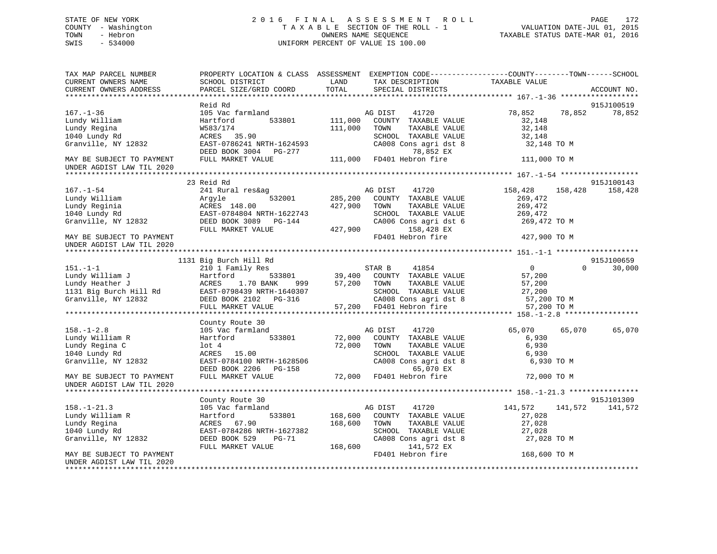## STATE OF NEW YORK 2 0 1 6 F I N A L A S S E S S M E N T R O L L PAGE 172 COUNTY - Washington T A X A B L E SECTION OF THE ROLL - 1 VALUATION DATE-JUL 01, 2015 TOWN - Hebron OWNERS NAME SEQUENCE TAXABLE STATUS DATE-MAR 01, 2016 SWIS - 534000 UNIFORM PERCENT OF VALUE IS 100.00

| TAX MAP PARCEL NUMBER<br>CURRENT OWNERS NAME                                                                              | PROPERTY LOCATION & CLASS ASSESSMENT EXEMPTION CODE----------------COUNTY-------TOWN-----SCHOOL<br>SCHOOL DISTRICT                                                                                                                                                   | LAND        | TAX DESCRIPTION                                                                                                                                                                 | TAXABLE VALUE                                                                   |                                  |
|---------------------------------------------------------------------------------------------------------------------------|----------------------------------------------------------------------------------------------------------------------------------------------------------------------------------------------------------------------------------------------------------------------|-------------|---------------------------------------------------------------------------------------------------------------------------------------------------------------------------------|---------------------------------------------------------------------------------|----------------------------------|
| CURRENT OWNERS ADDRESS                                                                                                    | PARCEL SIZE/GRID COORD                                                                                                                                                                                                                                               | TOTAL       | SPECIAL DISTRICTS                                                                                                                                                               |                                                                                 | ACCOUNT NO.                      |
|                                                                                                                           |                                                                                                                                                                                                                                                                      |             |                                                                                                                                                                                 |                                                                                 |                                  |
| $167. - 1 - 36$<br>Lundy William<br>Lundy Regina<br>1040 Lundy Rd<br>Granville, NY 12832                                  | Reid Rd<br>105 Vac farmland<br>533801<br>Hartford<br>$W383/L/4$<br>ACRES 35.90<br>EAST-0786241 NRTH-1624593<br>DEED BOOK 3004 PG-277 78,852 EX<br>FULL MARKET VALUE 111,000 FD401 Hebron fire                                                                        | 111,000     | AG DIST 41720<br>111,000 COUNTY TAXABLE VALUE<br>TOWN<br>TAXABLE VALUE<br>SCHOOL TAXABLE VALUE<br>CA008 Cons agri dst 8                                                         | 78,852<br>78,852<br>32,148<br>32,148<br>32,148<br>32,148 TO M                   | 915J100519<br>78,852             |
| MAY BE SUBJECT TO PAYMENT<br>UNDER AGDIST LAW TIL 2020                                                                    |                                                                                                                                                                                                                                                                      |             |                                                                                                                                                                                 | 111,000 TO M                                                                    |                                  |
|                                                                                                                           |                                                                                                                                                                                                                                                                      |             |                                                                                                                                                                                 |                                                                                 |                                  |
| $167. - 1 - 54$<br>167.-1-54<br>Lundy William<br>Lundy Reginia<br>1010 Iundy Rd                                           | 23 Reid Rd<br>241 Rural res&ag<br>167.-1-54<br>Lundy William Margyle 532001 285,200<br>Lundy Reginia ACRES 148.00 427,900<br>1040 Lundy Rd EAST-0784804 NRTH-1622743<br>Granville, NY 12832 DEED BOOK 3089 PG-144<br>FULL MARKET VALUE 427,900                       |             | AG DIST 41720<br>532001 285,200 COUNTY TAXABLE VALUE<br>TOWN<br>TAXABLE VALUE<br>SCHOOL TAXABLE VALUE<br>SCHOOL TAXABLE VALUE<br>CA006 Cons agri dst 6<br>158,428 EX            | 158,428 158,428<br>269,472<br>269,472<br>269,472<br>269,472 TO M                | 915J100143<br>158,428            |
| MAY BE SUBJECT TO PAYMENT<br>UNDER AGDIST LAW TIL 2020                                                                    |                                                                                                                                                                                                                                                                      |             | FD401 Hebron fire                                                                                                                                                               | 427,900 TO M                                                                    |                                  |
|                                                                                                                           |                                                                                                                                                                                                                                                                      |             |                                                                                                                                                                                 |                                                                                 |                                  |
| $151. - 1 - 1$                                                                                                            | 1131 Big Burch Hill Rd<br>210 1 Family Res                                                                                                                                                                                                                           |             | STAR B 41854                                                                                                                                                                    | $\overline{0}$                                                                  | 915J100659<br>30,000<br>$\Omega$ |
|                                                                                                                           | Lundy William J<br>Lundy William J<br>Lundy Heather J<br>Lundy Heather J<br>210 1 Family Res<br>533801 39,400 COUNTY TAXABLE VALUE<br>39,400 COUNTY TAXABLE VALUE<br>533801 39,400 COUNTY TAXABLE VALUE<br>57,200 TOWN TAXABLE VALUE<br>TAXABLE<br>FULL MARKET VALUE |             | TOWN TAXABLE VALUE<br>SCHOOL TAXABLE VALUE 27,200<br>57,200 TO M<br>CA008 Cons agri dst 8<br>57,200 FD401 Hebron fire                                                           | 57,200<br>57,200 TO M                                                           |                                  |
|                                                                                                                           |                                                                                                                                                                                                                                                                      |             |                                                                                                                                                                                 |                                                                                 |                                  |
| $158. - 1 - 2.8$<br>Lundy William R<br>Lundy Regina C<br>1040 Lundy Rd<br>Granville, NY 12832                             | County Route 30<br>105 Vac farmland<br>Hartford 533801<br>lot 4<br>ACRES 15.00<br>EAST-0784100 NRTH-1628506<br>DEED BOOK 2206 PG-158 (2008 CONS CONS Agridst<br>FULL MARKET VALUE 72,000 FD401 Hebron fire                                                           | 72,000 TOWN | 41720<br>AG DIST<br>72,000 COUNTY TAXABLE VALUE<br>TAXABLE VALUE<br>SCHOOL TAXABLE VALUE<br>SCHOOL TAXABLE VALUE<br>CA008 Cons agri dst 8<br>65,070 EX                          | 65,070 65,070<br>6,930<br>6,930<br>6,930<br>6,930 TO M                          | 65,070                           |
| MAY BE SUBJECT TO PAYMENT<br>UNDER AGDIST LAW TIL 2020                                                                    |                                                                                                                                                                                                                                                                      |             |                                                                                                                                                                                 | 72,000 TO M                                                                     |                                  |
|                                                                                                                           |                                                                                                                                                                                                                                                                      |             |                                                                                                                                                                                 |                                                                                 |                                  |
| $158. - 1 - 21.3$<br>Lundy William R<br>Lundy Regina<br>1040 Lundy Rd<br>Granville, NY 12832<br>MAY BE SUBJECT TO PAYMENT | County Route 30<br>105 Vac farmland<br>Hartford<br>ACRES 67.90<br>EAST-0784286 NRTH-1627382 SCHOOL<br>DEED BOOK 529 PG-71 CA008 C<br>FULL MARKET VALUE 168,600                                                                                                       | 168,600     | AG DIST 41720<br>533801 168,600 COUNTY TAXABLE VALUE<br>TOWN<br>TAXABLE VALUE<br>SCHOOL TAXABLE VALUE<br>CA008 Cons agri dst 8<br>141 572 EX<br>141,572 EX<br>FD401 Hebron fire | 141,572<br>141,572<br>27,028<br>27,028<br>27,028<br>27,028 TO M<br>168,600 TO M | 915J101309<br>141,572            |
| UNDER AGDIST LAW TIL 2020<br>**********************                                                                       |                                                                                                                                                                                                                                                                      |             |                                                                                                                                                                                 |                                                                                 |                                  |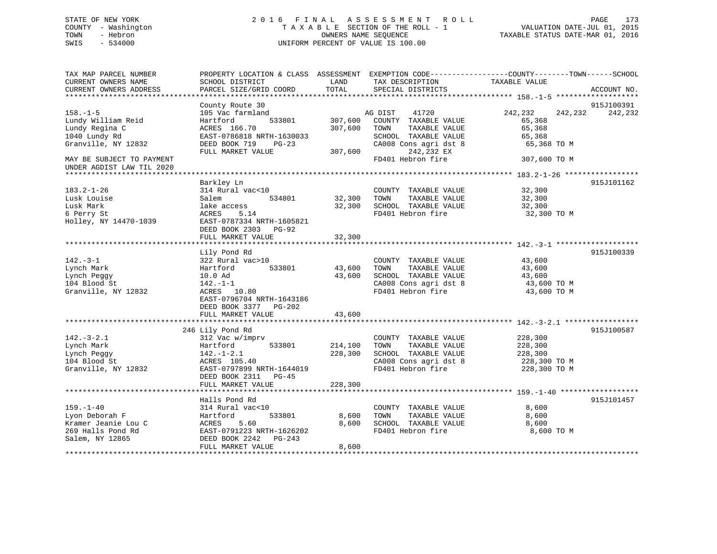## STATE OF NEW YORK 2 0 1 6 F I N A L A S S E S S M E N T R O L L PAGE 173 COUNTY - Washington T A X A B L E SECTION OF THE ROLL - 1 VALUATION DATE-JUL 01, 2015 TOWN - Hebron OWNERS NAME SEQUENCE TAXABLE STATUS DATE-MAR 01, 2016 SWIS - 534000 UNIFORM PERCENT OF VALUE IS 100.00

| TAX MAP PARCEL NUMBER<br>CURRENT OWNERS NAME<br>CURRENT OWNERS ADDRESS                           | SCHOOL DISTRICT<br>PARCEL SIZE/GRID COORD                                                                                                                   | LAND<br>TOTAL              | TAX DESCRIPTION<br>SPECIAL DISTRICTS                                                                                | PROPERTY LOCATION & CLASS ASSESSMENT EXEMPTION CODE----------------COUNTY-------TOWN------SCHOOL<br>TAXABLE VALUE<br>ACCOUNT NO. |         |
|--------------------------------------------------------------------------------------------------|-------------------------------------------------------------------------------------------------------------------------------------------------------------|----------------------------|---------------------------------------------------------------------------------------------------------------------|----------------------------------------------------------------------------------------------------------------------------------|---------|
|                                                                                                  |                                                                                                                                                             |                            |                                                                                                                     |                                                                                                                                  |         |
|                                                                                                  | County Route 30                                                                                                                                             |                            |                                                                                                                     | 915J100391                                                                                                                       |         |
| $158. - 1 - 5$<br>Lundy William Reid<br>Lundy Regina C<br>1040 Lundy Rd<br>Granville, NY 12832   | 105 Vac farmland<br>533801<br>Hartford<br>ACRES 166.70<br>EAST-0786818 NRTH-1630033<br>DEED BOOK 719<br>$PG-23$                                             | 307,600<br>307,600         | 41720<br>AG DIST<br>COUNTY TAXABLE VALUE<br>TAXABLE VALUE<br>TOWN<br>SCHOOL TAXABLE VALUE<br>CA008 Cons agri dst 8  | 242,232<br>242,232<br>65,368<br>65,368<br>65,368<br>65,368 TO M                                                                  | 242,232 |
| MAY BE SUBJECT TO PAYMENT<br>UNDER AGDIST LAW TIL 2020                                           | FULL MARKET VALUE                                                                                                                                           | 307,600                    | 242,232 EX<br>FD401 Hebron fire                                                                                     | 307,600 TO M                                                                                                                     |         |
|                                                                                                  |                                                                                                                                                             |                            |                                                                                                                     |                                                                                                                                  |         |
| $183.2 - 1 - 26$<br>Lusk Louise<br>Lusk Mark<br>6 Perry St<br>Holley, NY 14470-1039              | Barkley Ln<br>314 Rural vac<10<br>Salem<br>534801<br>lake access<br>ACRES<br>5.14<br>EAST-0787334 NRTH-1605821<br>DEED BOOK 2303 PG-92<br>FULL MARKET VALUE | 32,300<br>32,300<br>32,300 | COUNTY TAXABLE VALUE<br>TAXABLE VALUE<br>TOWN<br>SCHOOL TAXABLE VALUE<br>FD401 Hebron fire                          | 915J101162<br>32,300<br>32,300<br>32,300<br>32,300 TO M                                                                          |         |
|                                                                                                  |                                                                                                                                                             |                            |                                                                                                                     |                                                                                                                                  |         |
| $142. - 3 - 1$<br>Lynch Mark<br>Lynch Peggy<br>104 Blood St<br>Granville, NY 12832               | Lily Pond Rd<br>322 Rural vac>10<br>533801<br>Hartford<br>10.0 Ad<br>$142. - 1 - 1$<br>ACRES 10.80<br>EAST-0796704 NRTH-1643186<br>DEED BOOK 3377<br>PG-202 | 43,600<br>43,600           | COUNTY TAXABLE VALUE<br>TOWN<br>TAXABLE VALUE<br>SCHOOL TAXABLE VALUE<br>CA008 Cons agri dst 8<br>FD401 Hebron fire | 915J100339<br>43,600<br>43,600<br>43,600<br>43,600 TO M<br>43,600 TO M                                                           |         |
|                                                                                                  | FULL MARKET VALUE                                                                                                                                           | 43,600                     |                                                                                                                     |                                                                                                                                  |         |
|                                                                                                  |                                                                                                                                                             |                            |                                                                                                                     |                                                                                                                                  |         |
| $142. - 3 - 2.1$<br>Lynch Mark<br>Lynch Peggy<br>104 Blood St<br>Granville, NY 12832             | 246 Lily Pond Rd<br>312 Vac w/imprv<br>Hartford<br>533801<br>$142. - 1 - 2.1$<br>ACRES 105.40<br>EAST-0797899 NRTH-1644019<br>DEED BOOK 2311<br>PG-45       | 214,100<br>228,300         | COUNTY TAXABLE VALUE<br>TOWN<br>TAXABLE VALUE<br>SCHOOL TAXABLE VALUE<br>CA008 Cons agri dst 8<br>FD401 Hebron fire | 915J100587<br>228,300<br>228,300<br>228,300<br>228,300 TO M<br>228,300 TO M                                                      |         |
|                                                                                                  | FULL MARKET VALUE                                                                                                                                           | 228,300                    |                                                                                                                     |                                                                                                                                  |         |
|                                                                                                  |                                                                                                                                                             |                            |                                                                                                                     |                                                                                                                                  |         |
| $159. - 1 - 40$<br>Lyon Deborah F<br>Kramer Jeanie Lou C<br>269 Halls Pond Rd<br>Salem, NY 12865 | Halls Pond Rd<br>314 Rural vac<10<br>533801<br>Hartford<br>ACRES<br>5.60<br>EAST-0791223 NRTH-1626202<br>DEED BOOK 2242<br>PG-243<br>FULL MARKET VALUE      | 8,600<br>8,600<br>8,600    | COUNTY TAXABLE VALUE<br>TOWN<br>TAXABLE VALUE<br>SCHOOL TAXABLE VALUE<br>FD401 Hebron fire                          | 915J101457<br>8,600<br>8,600<br>8,600<br>8,600 TO M                                                                              |         |
|                                                                                                  |                                                                                                                                                             |                            |                                                                                                                     |                                                                                                                                  |         |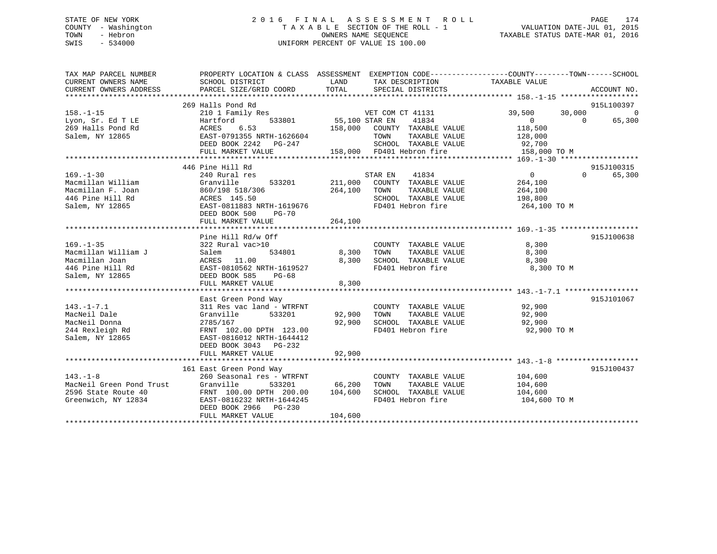## STATE OF NEW YORK 2 0 1 6 F I N A L A S S E S S M E N T R O L L PAGE 174 COUNTY - Washington T A X A B L E SECTION OF THE ROLL - 1 VALUATION DATE-JUL 01, 2015 TOWN - Hebron OWNERS NAME SEQUENCE TAXABLE STATUS DATE-MAR 01, 2016 SWIS - 534000 UNIFORM PERCENT OF VALUE IS 100.00

| TAX MAP PARCEL NUMBER<br>CURRENT OWNERS NAME<br>CURRENT OWNERS ADDRESS                   | PROPERTY LOCATION & CLASS ASSESSMENT EXEMPTION CODE----------------COUNTY-------TOWN------SCHOOL<br>SCHOOL DISTRICT<br>PARCEL SIZE/GRID COORD TOTAL SPECIAL DISTRICTS |              | LAND TAX DESCRIPTION TAXABLE VALUE                                                                                                                                                            |                                                               | ACCOUNT NO.                  |
|------------------------------------------------------------------------------------------|-----------------------------------------------------------------------------------------------------------------------------------------------------------------------|--------------|-----------------------------------------------------------------------------------------------------------------------------------------------------------------------------------------------|---------------------------------------------------------------|------------------------------|
| $158. - 1 - 15$                                                                          | 269 Halls Pond Rd<br>210 1 Family Res                                                                                                                                 |              | VET COM CT 41131                                                                                                                                                                              | 39,500<br>30,000                                              | 915L100397<br>$\overline{0}$ |
|                                                                                          |                                                                                                                                                                       |              | $533801$ 55,100 STAR EN 41834<br>6.53 158,000 COUNTY TAXABLE VALUE                                                                                                                            | $\overline{0}$<br>$\overline{0}$                              | 65,300                       |
|                                                                                          |                                                                                                                                                                       |              |                                                                                                                                                                                               | 118,500                                                       |                              |
| Salem, NY 12865                                                                          | EAST-0791355 NRTH-1626604                                                                                                                                             |              | TOWN                                                                                                                                                                                          | TAXABLE VALUE 128,000                                         |                              |
|                                                                                          | DEED BOOK 2242 PG-247                                                                                                                                                 |              | 158,000 FD401 Hebron fire                                                                                                                                                                     | SCHOOL TAXABLE VALUE 92,700<br>FD401 Hebron fire 158,000 TO M |                              |
|                                                                                          | FULL MARKET VALUE                                                                                                                                                     |              |                                                                                                                                                                                               |                                                               |                              |
|                                                                                          | 446 Pine Hill Rd                                                                                                                                                      |              |                                                                                                                                                                                               |                                                               | 915J100315                   |
| $169. - 1 - 30$                                                                          | 240 Rural res                                                                                                                                                         |              | STAR EN<br>41834                                                                                                                                                                              | $\overline{0}$                                                | $\Omega$<br>65,300           |
|                                                                                          |                                                                                                                                                                       |              |                                                                                                                                                                                               | 264,100                                                       |                              |
| Macmillan William<br>Macmillan F. Joan (1986)<br>446 Pine Hill Rd (1986)<br>71 CT (1998) | 860/198 518/306                                                                                                                                                       | 264,100 TOWN | 533201 211,000 COUNTY TAXABLE VALUE<br>TAXABLE VALUE                                                                                                                                          | 264,100                                                       |                              |
|                                                                                          |                                                                                                                                                                       |              | SCHOOL TAXABLE VALUE 198,800                                                                                                                                                                  |                                                               |                              |
| Salem, NY 12865                                                                          | EAST-0811883 NRTH-1619676                                                                                                                                             |              | FD401 Hebron fire                                                                                                                                                                             | 264,100 TO M                                                  |                              |
|                                                                                          | DEED BOOK 500<br><b>PG-70</b>                                                                                                                                         |              |                                                                                                                                                                                               |                                                               |                              |
|                                                                                          | FULL MARKET VALUE                                                                                                                                                     | 264,100      |                                                                                                                                                                                               |                                                               |                              |
|                                                                                          |                                                                                                                                                                       |              |                                                                                                                                                                                               |                                                               |                              |
|                                                                                          | Pine Hill Rd/w Off                                                                                                                                                    |              |                                                                                                                                                                                               |                                                               | 915J100638                   |
| $169. - 1 - 35$                                                                          | 322 Rural vac>10                                                                                                                                                      |              | $\begin{tabular}{lllllll} \multicolumn{2}{l}{{\text{COUNTY}}} & \multicolumn{2}{l}{\text{TAXABLE VALUE}} & \multicolumn{2}{l}{\text{NALUE}} & \multicolumn{2}{l}{\text{8,300}} \end{tabular}$ |                                                               |                              |
| Macmillan William J                                                                      | Salem                                                                                                                                                                 |              | TAXABLE VALUE<br>TOWN                                                                                                                                                                         | 8,300                                                         |                              |
| Macmillan Joan                                                                           | $534801$ $8,300$<br>$11.00$ $8,300$<br>ACRES 11.00                                                                                                                    | 8,300        | SCHOOL TAXABLE VALUE                                                                                                                                                                          | 8,300                                                         |                              |
| 446 Pine Hill Rd                                                                         |                                                                                                                                                                       |              | FD401 Hebron fire                                                                                                                                                                             | 8,300 TO M                                                    |                              |
| Salem, NY 12865                                                                          | EAST-0810562 NRTH-1619527<br>DEED BOOK 585 PG-68<br>DEED BOOK 585 PG-68                                                                                               |              |                                                                                                                                                                                               |                                                               |                              |
|                                                                                          | FULL MARKET VALUE                                                                                                                                                     | 8,300        |                                                                                                                                                                                               |                                                               |                              |
|                                                                                          |                                                                                                                                                                       |              |                                                                                                                                                                                               |                                                               |                              |
|                                                                                          | East Green Pond Way                                                                                                                                                   |              |                                                                                                                                                                                               |                                                               | 915J101067                   |
| $143. - 1 - 7.1$                                                                         | 311 Res vac land - WTRFNT                                                                                                                                             |              | COUNTY TAXABLE VALUE 92,900                                                                                                                                                                   |                                                               |                              |
| MacNeil Dale                                                                             | 533201<br>Granville                                                                                                                                                   |              | 92,900 TOWN                                                                                                                                                                                   |                                                               |                              |
| MacNeil Donna                                                                            | 2785/167                                                                                                                                                              |              | $\begin{tabular}{lllllllllll} 92,900 & TOWN & TAXABLE VALUE & & & & 92,900 \\ 92,900 & SCHOOL & TAXABLE VALUE & & & & 92,900 \\ \end{tabular}$                                                |                                                               |                              |
| 244 Rexleigh Rd                                                                          | FRNT 102.00 DPTH 123.00                                                                                                                                               |              |                                                                                                                                                                                               | FD401 Hebron fire 92,900 TO M                                 |                              |
| Salem, NY 12865                                                                          | EAST-0816012 NRTH-1644412                                                                                                                                             |              |                                                                                                                                                                                               |                                                               |                              |
|                                                                                          | DEED BOOK 3043 PG-232                                                                                                                                                 |              |                                                                                                                                                                                               |                                                               |                              |
|                                                                                          | FULL MARKET VALUE                                                                                                                                                     | 92,900       |                                                                                                                                                                                               |                                                               |                              |
|                                                                                          |                                                                                                                                                                       |              |                                                                                                                                                                                               |                                                               |                              |
|                                                                                          | 161 East Green Pond Way                                                                                                                                               |              |                                                                                                                                                                                               |                                                               | 915J100437                   |
| $143. - 1 - 8$                                                                           | 260 Seasonal res - WTRFNT                                                                                                                                             |              | COUNTY TAXABLE VALUE                                                                                                                                                                          | 104,600<br>104,600                                            |                              |
| MacNeil Green Pond Trust                                                                 | Granville<br>533201                                                                                                                                                   | 66,200       | TAXABLE VALUE<br>TOWN                                                                                                                                                                         |                                                               |                              |
| 2596 State Route 40                                                                      | FRNT 100.00 DPTH 200.00 104,600                                                                                                                                       |              | SCHOOL TAXABLE VALUE 104,600                                                                                                                                                                  |                                                               |                              |
| Greenwich, NY 12834                                                                      | EAST-0816232 NRTH-1644245                                                                                                                                             |              | FD401 Hebron fire                                                                                                                                                                             | 104,600 TO M                                                  |                              |
|                                                                                          | DEED BOOK 2966 PG-230                                                                                                                                                 |              |                                                                                                                                                                                               |                                                               |                              |
|                                                                                          | FULL MARKET VALUE                                                                                                                                                     | 104,600      |                                                                                                                                                                                               |                                                               |                              |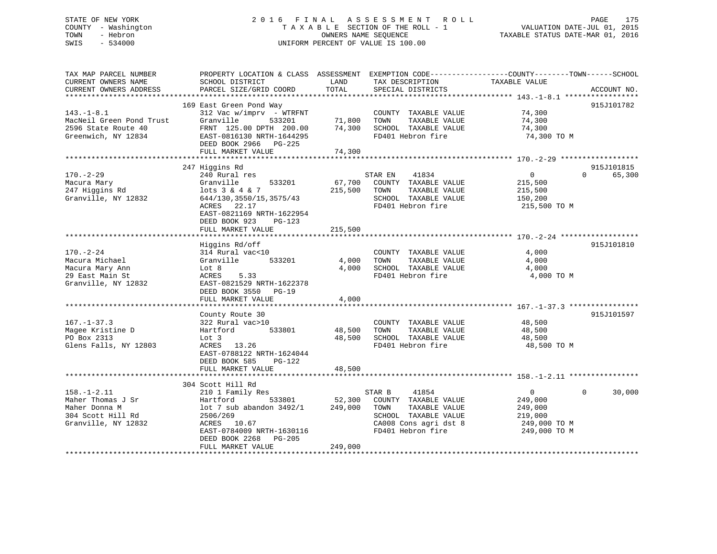## STATE OF NEW YORK 2 0 1 6 F I N A L A S S E S S M E N T R O L L PAGE 175 COUNTY - Washington T A X A B L E SECTION OF THE ROLL - 1 VALUATION DATE-JUL 01, 2015 TOWN - Hebron OWNERS NAME SEQUENCE TAXABLE STATUS DATE-MAR 01, 2016 SWIS - 534000 UNIFORM PERCENT OF VALUE IS 100.00

| TAX MAP PARCEL NUMBER<br>CURRENT OWNERS NAME<br>CURRENT OWNERS ADDRESS                              | PROPERTY LOCATION & CLASS ASSESSMENT EXEMPTION CODE---------------COUNTY-------TOWN-----SCHOOL<br>SCHOOL DISTRICT<br>PARCEL SIZE/GRID COORD                                                       | LAND<br>TOTAL                | TAX DESCRIPTION<br>SPECIAL DISTRICTS                                                                                                          | TAXABLE VALUE                                                                   | ACCOUNT NO.                      |
|-----------------------------------------------------------------------------------------------------|---------------------------------------------------------------------------------------------------------------------------------------------------------------------------------------------------|------------------------------|-----------------------------------------------------------------------------------------------------------------------------------------------|---------------------------------------------------------------------------------|----------------------------------|
|                                                                                                     |                                                                                                                                                                                                   |                              |                                                                                                                                               |                                                                                 |                                  |
| $143.-1-8.1$<br>MacNeil Green Pond Trust<br>2596 State Route 40<br>Greenwich, NY 12834              | 169 East Green Pond Way<br>312 Vac w/imprv - WTRFNT<br>Granville<br>533201<br>FRNT 125.00 DPTH 200.00<br>EAST-0816130 NRTH-1644295<br>DEED BOOK 2966 PG-225<br>FULL MARKET VALUE                  | 71,800<br>74,300<br>74,300   | COUNTY TAXABLE VALUE<br>TOWN<br>TAXABLE VALUE<br>SCHOOL TAXABLE VALUE<br>FD401 Hebron fire                                                    | 74,300<br>74,300<br>74,300<br>74,300 TO M                                       | 915J101782                       |
|                                                                                                     |                                                                                                                                                                                                   |                              |                                                                                                                                               |                                                                                 |                                  |
| $170. - 2 - 29$<br>Macura Mary<br>247 Higgins Rd<br>Granville, NY 12832                             | 247 Higgins Rd<br>240 Rural res<br>Granville<br>533201<br>lots 3 & 4 & 7<br>644/130, 3550/15, 3575/43<br>ACRES 22.17<br>EAST-0821169 NRTH-1622954<br>DEED BOOK 923<br>PG-123<br>FULL MARKET VALUE | 67,700<br>215,500<br>215,500 | STAR EN<br>41834<br>COUNTY TAXABLE VALUE<br>TAXABLE VALUE<br>TOWN<br>SCHOOL TAXABLE VALUE<br>FD401 Hebron fire                                | $\overline{0}$<br>215,500<br>215,500<br>150,200<br>215,500 TO M                 | 915J101815<br>$\Omega$<br>65,300 |
|                                                                                                     |                                                                                                                                                                                                   |                              |                                                                                                                                               |                                                                                 |                                  |
| $170. - 2 - 24$<br>Macura Michael<br>Macura Mary Ann<br>29 East Main St<br>Granville, NY 12832      | Higgins Rd/off<br>314 Rural vac<10<br>533201<br>Granville<br>Lot 8<br>ACRES<br>5.33<br>EAST-0821529 NRTH-1622378<br>DEED BOOK 3550 PG-19<br>FULL MARKET VALUE                                     | 4,000<br>4,000<br>4,000      | COUNTY TAXABLE VALUE<br>TAXABLE VALUE<br>TOWN<br>SCHOOL TAXABLE VALUE<br>FD401 Hebron fire                                                    | 4,000<br>4,000<br>4,000<br>4,000 TO M                                           | 915J101810                       |
|                                                                                                     | County Route 30                                                                                                                                                                                   |                              |                                                                                                                                               |                                                                                 | 915J101597                       |
| $167. - 1 - 37.3$<br>Magee Kristine D<br>PO Box 2313<br>Glens Falls, NY 12803                       | 322 Rural vac>10<br>Hartford<br>533801<br>Lot 3<br>ACRES 13.26<br>EAST-0788122 NRTH-1624044<br>DEED BOOK 585<br>$PG-122$                                                                          | 48,500<br>48,500<br>48,500   | COUNTY TAXABLE VALUE<br>TAXABLE VALUE<br>TOWN<br>SCHOOL TAXABLE VALUE<br>FD401 Hebron fire                                                    | 48,500<br>48,500<br>48,500<br>48,500 TO M                                       |                                  |
|                                                                                                     | FULL MARKET VALUE                                                                                                                                                                                 |                              |                                                                                                                                               |                                                                                 |                                  |
| $158. - 1 - 2.11$<br>Maher Thomas J Sr<br>Maher Donna M<br>304 Scott Hill Rd<br>Granville, NY 12832 | 304 Scott Hill Rd<br>210 1 Family Res<br>533801<br>Hartford<br>lot 7 sub abandon 3492/1<br>2506/269<br>ACRES 10.67<br>EAST-0784009 NRTH-1630116<br>DEED BOOK 2268<br>PG-205<br>FULL MARKET VALUE  | 249,000<br>249,000           | STAR B<br>41854<br>52,300 COUNTY TAXABLE VALUE<br>TOWN<br>TAXABLE VALUE<br>SCHOOL TAXABLE VALUE<br>CA008 Cons agri dst 8<br>FD401 Hebron fire | $\overline{0}$<br>249,000<br>249,000<br>219,000<br>249,000 TO M<br>249,000 TO M | $\Omega$<br>30,000               |
|                                                                                                     |                                                                                                                                                                                                   |                              |                                                                                                                                               |                                                                                 |                                  |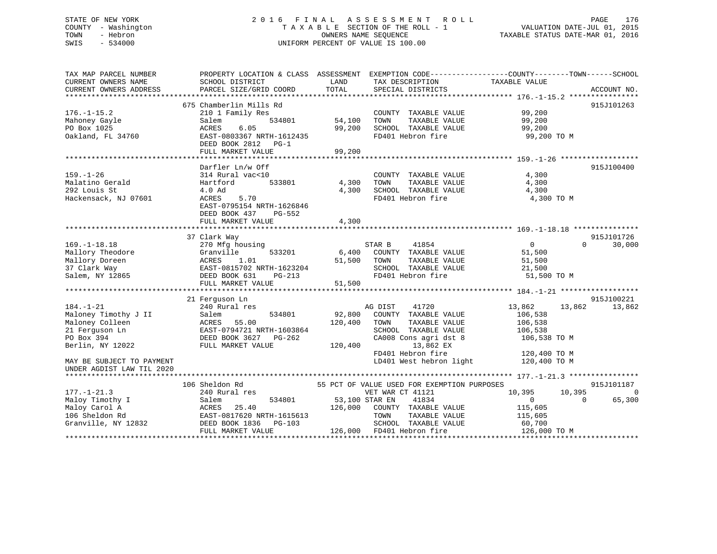## STATE OF NEW YORK 2 0 1 6 F I N A L A S S E S S M E N T R O L L PAGE 176 COUNTY - Washington T A X A B L E SECTION OF THE ROLL - 1 VALUATION DATE-JUL 01, 2015 TOWN - Hebron OWNERS NAME SEQUENCE TAXABLE STATUS DATE-MAR 01, 2016 SWIS - 534000 UNIFORM PERCENT OF VALUE IS 100.00

| TAX MAP PARCEL NUMBER<br>CURRENT OWNERS NAME                                                                                                                             | PROPERTY LOCATION & CLASS ASSESSMENT<br>SCHOOL DISTRICT                                                                                                                      | LAND                         | EXEMPTION CODE-----------------COUNTY-------TOWN------SCHOOL<br>TAX DESCRIPTION                                                                                                 | TAXABLE VALUE                                                                                     |                                              |
|--------------------------------------------------------------------------------------------------------------------------------------------------------------------------|------------------------------------------------------------------------------------------------------------------------------------------------------------------------------|------------------------------|---------------------------------------------------------------------------------------------------------------------------------------------------------------------------------|---------------------------------------------------------------------------------------------------|----------------------------------------------|
| CURRENT OWNERS ADDRESS                                                                                                                                                   | PARCEL SIZE/GRID COORD                                                                                                                                                       | TOTAL                        | SPECIAL DISTRICTS                                                                                                                                                               |                                                                                                   | ACCOUNT NO.                                  |
|                                                                                                                                                                          |                                                                                                                                                                              |                              |                                                                                                                                                                                 |                                                                                                   |                                              |
| $176. - 1 - 15.2$<br>Mahoney Gayle<br>PO Box 1025                                                                                                                        | 675 Chamberlin Mills Rd<br>210 1 Family Res<br>534801<br>Salem<br>6.05<br>ACRES                                                                                              | 54,100<br>99,200             | COUNTY TAXABLE VALUE<br>TOWN<br>TAXABLE VALUE<br>SCHOOL TAXABLE VALUE                                                                                                           | 99,200<br>99,200<br>99,200                                                                        | 915J101263                                   |
| Oakland, FL 34760                                                                                                                                                        | EAST-0803367 NRTH-1612435<br>DEED BOOK 2812 PG-1<br>FULL MARKET VALUE                                                                                                        | 99,200                       | FD401 Hebron fire                                                                                                                                                               | 99,200 TO M                                                                                       |                                              |
|                                                                                                                                                                          |                                                                                                                                                                              |                              |                                                                                                                                                                                 |                                                                                                   |                                              |
| $159. - 1 - 26$<br>Malatino Gerald<br>292 Louis St<br>Hackensack, NJ 07601                                                                                               | Darfler Ln/w Off<br>314 Rural vac<10<br>Hartford<br>533801<br>4.0 Ad<br>5.70<br>ACRES<br>EAST-0795154 NRTH-1626846<br>DEED BOOK 437<br>PG-552<br>FULL MARKET VALUE           | 4,300<br>4,300<br>4,300      | COUNTY TAXABLE VALUE<br>TAXABLE VALUE<br>TOWN<br>SCHOOL TAXABLE VALUE<br>FD401 Hebron fire                                                                                      | 4,300<br>4,300<br>4,300<br>4,300 TO M                                                             | 915J100400                                   |
|                                                                                                                                                                          |                                                                                                                                                                              |                              |                                                                                                                                                                                 |                                                                                                   |                                              |
| $169. - 1 - 18.18$<br>Mallory Theodore<br>Mallory Doreen<br>37 Clark Way<br>Salem, NY 12865                                                                              | 37 Clark Way<br>270 Mfg housing<br>Granville<br>533201<br>ACRES<br>1.01<br>EAST-0815702 NRTH-1623204<br>DEED BOOK 631 PG-213<br>DEED BOOK 631<br>PG-213<br>FULL MARKET VALUE | 6,400<br>51,500<br>51,500    | STAR B<br>41854<br>COUNTY TAXABLE VALUE<br>TOWN<br>TAXABLE VALUE<br>SCHOOL TAXABLE VALUE<br>FD401 Hebron fire                                                                   | $\mathbf{0}$<br>51,500<br>51,500<br>21,500<br>51,500 TO M                                         | 915J101726<br>30,000<br>$\Omega$             |
|                                                                                                                                                                          | 21 Ferquson Ln                                                                                                                                                               |                              |                                                                                                                                                                                 |                                                                                                   | 915J100221                                   |
| $184. - 1 - 21$<br>Maloney Timothy J II<br>Maloney Colleen<br>21 Ferguson Ln<br>PO Box 394<br>Berlin, NY 12022<br>MAY BE SUBJECT TO PAYMENT<br>UNDER AGDIST LAW TIL 2020 | 240 Rural res<br>534801<br>Salem<br>ACRES 55.00<br>EAST-0794721 NRTH-1603864<br>DEED BOOK 3627<br>PG-262<br>FULL MARKET VALUE                                                | 92,800<br>120,400<br>120,400 | AG DIST<br>41720<br>COUNTY TAXABLE VALUE<br>TOWN<br>TAXABLE VALUE<br>SCHOOL TAXABLE VALUE<br>CA008 Cons agri dst 8<br>13,862 EX<br>FD401 Hebron fire<br>LD401 West hebron light | 13,862<br>13,862<br>106,538<br>106,538<br>106,538<br>106,538 TO M<br>120,400 TO M<br>120,400 TO M | 13,862                                       |
|                                                                                                                                                                          |                                                                                                                                                                              |                              |                                                                                                                                                                                 |                                                                                                   |                                              |
| $177. - 1 - 21.3$<br>Maloy Timothy I<br>Maloy Carol A<br>106 Sheldon Rd                                                                                                  | 106 Sheldon Rd<br>240 Rural res<br>534801<br>Salem<br>25.40<br>ACRES<br>EAST-0817620 NRTH-1615613                                                                            | 53,100 STAR EN<br>126,000    | 55 PCT OF VALUE USED FOR EXEMPTION PURPOSES<br>VET WAR CT 41121<br>41834<br>COUNTY TAXABLE VALUE<br>TAXABLE VALUE<br>TOWN                                                       | 10,395<br>10,395<br>$\Omega$<br>115,605<br>115,605                                                | 915J101187<br>$\Omega$<br>65,300<br>$\Omega$ |
| Granville, NY 12832                                                                                                                                                      | DEED BOOK 1836<br>PG-103<br>FULL MARKET VALUE                                                                                                                                |                              | SCHOOL TAXABLE VALUE<br>126,000 FD401 Hebron fire                                                                                                                               | 60,700<br>126,000 TO M                                                                            |                                              |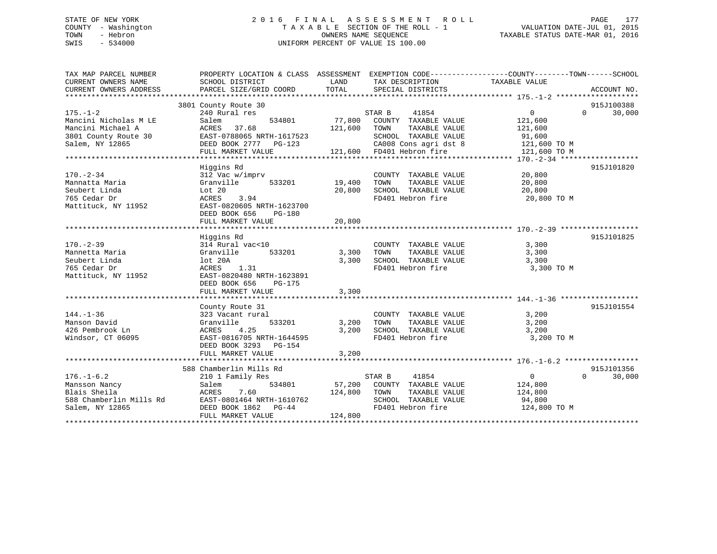## STATE OF NEW YORK 2 0 1 6 F I N A L A S S E S S M E N T R O L L PAGE 177 COUNTY - Washington T A X A B L E SECTION OF THE ROLL - 1 VALUATION DATE-JUL 01, 2015 TOWN - Hebron OWNERS NAME SEQUENCE TAXABLE STATUS DATE-MAR 01, 2016 SWIS - 534000 UNIFORM PERCENT OF VALUE IS 100.00

| TAX MAP PARCEL NUMBER   |                                                               |                                                                                                                                                                               | PROPERTY LOCATION & CLASS ASSESSMENT EXEMPTION CODE---------------COUNTY-------TOWN------SCHOOL |
|-------------------------|---------------------------------------------------------------|-------------------------------------------------------------------------------------------------------------------------------------------------------------------------------|-------------------------------------------------------------------------------------------------|
| CURRENT OWNERS NAME     | SCHOOL DISTRICT                                               | <b>LAND</b><br>TAX DESCRIPTION                                                                                                                                                | TAXABLE VALUE                                                                                   |
| CURRENT OWNERS ADDRESS  | PARCEL SIZE/GRID COORD TOTAL                                  | SPECIAL DISTRICTS                                                                                                                                                             | ACCOUNT NO.                                                                                     |
|                         | 3801 County Route 30                                          |                                                                                                                                                                               | 915J100388                                                                                      |
| $175. - 1 - 2$          | 240 Rural res                                                 |                                                                                                                                                                               | $\overline{0}$<br>30,000<br>$\Omega$                                                            |
| Mancini Nicholas M LE   | 534801<br>Salem                                               |                                                                                                                                                                               | 121,600                                                                                         |
| Mancini Michael A       | ACRES 37.68                                                   | STAR B 41854<br>77,800 COUNTY TAXABLE VALUE<br>TAXABLE VALUE                                                                                                                  | 121,600                                                                                         |
| 3801 County Route 30    |                                                               |                                                                                                                                                                               |                                                                                                 |
| Salem, NY 12865         | DEED BOOK 2777 PG-123                                         |                                                                                                                                                                               |                                                                                                 |
|                         |                                                               | EAST-0788065 NRTH-1617523 SCHOOL TAXABLE VALUE 91,600<br>DEED BOOK 2777 PG-123 CA008 Cons agri dst 8 121,600 TO M<br>FULL MARKET VALUE 121,600 FD401 Hebron fire 121,600 TO M |                                                                                                 |
|                         |                                                               |                                                                                                                                                                               |                                                                                                 |
|                         | Higgins Rd                                                    |                                                                                                                                                                               | 915J101820                                                                                      |
| $170. - 2 - 34$         | 312 Vac w/imprv<br>312 Vac w/imprv<br>Granville 533201 19,400 | COUNTY TAXABLE VALUE                                                                                                                                                          | 20,800                                                                                          |
| Mannatta Maria          |                                                               | TOWN<br>TAXABLE VALUE                                                                                                                                                         | 20,800                                                                                          |
| Seubert Linda           | Lot 20                                                        | 20,800 SCHOOL TAXABLE VALUE                                                                                                                                                   | 20,800                                                                                          |
| 765 Cedar Dr            | $ACRES$ 3.94                                                  |                                                                                                                                                                               | FD401 Hebron fire 20,800 TO M                                                                   |
| Mattituck, NY 11952     | EAST-0820605 NRTH-1623700                                     |                                                                                                                                                                               |                                                                                                 |
|                         | DEED BOOK 656<br>PG-180                                       |                                                                                                                                                                               |                                                                                                 |
|                         | FULL MARKET VALUE                                             | 20,800                                                                                                                                                                        |                                                                                                 |
|                         |                                                               |                                                                                                                                                                               | 915J101825                                                                                      |
| $170. - 2 - 39$         | Higgins Rd<br>314 Rural vac<10                                | COUNTY TAXABLE VALUE                                                                                                                                                          | 3,300                                                                                           |
| Mannetta Maria          | 533201<br>Granville                                           | 3,300 TOWN<br>TAXABLE VALUE                                                                                                                                                   | 3,300                                                                                           |
| Seubert Linda           | lot 20A                                                       | $3,300$ SCHOOL TAXABLE VALUE $3,300$                                                                                                                                          |                                                                                                 |
| 765 Cedar Dr            | ACRES 1.31                                                    | FD401 Hebron fire                                                                                                                                                             | 3,300 TO M                                                                                      |
| Mattituck, NY 11952     | EAST-0820480 NRTH-1623891                                     |                                                                                                                                                                               |                                                                                                 |
|                         | DEED BOOK 656<br>$PG-175$                                     |                                                                                                                                                                               |                                                                                                 |
|                         | FULL MARKET VALUE                                             | 3,300                                                                                                                                                                         |                                                                                                 |
|                         |                                                               |                                                                                                                                                                               |                                                                                                 |
|                         | County Route 31                                               |                                                                                                                                                                               | 915J101554                                                                                      |
| $144. - 1 - 36$         | 323 Vacant rural                                              | COUNTY TAXABLE VALUE                                                                                                                                                          | 3,200                                                                                           |
| Manson David            | Granville                                                     | 533201 3,200<br>TOWN<br>TAXABLE VALUE                                                                                                                                         | 3,200                                                                                           |
| 426 Pembrook Ln         | ACRES<br>4.25                                                 | 3,200<br>TUWN 1.1.1.1.1.<br>SCHOOL TAXABLE VALUE                                                                                                                              | 3,200                                                                                           |
| Windsor, CT 06095       | EAST-0816705 NRTH-1644595                                     | FD401 Hebron fire                                                                                                                                                             | 3,200 TO M                                                                                      |
|                         | DEED BOOK 3293 PG-154                                         |                                                                                                                                                                               |                                                                                                 |
|                         | FULL MARKET VALUE                                             | 3,200                                                                                                                                                                         |                                                                                                 |
|                         |                                                               |                                                                                                                                                                               |                                                                                                 |
|                         | 588 Chamberlin Mills Rd                                       |                                                                                                                                                                               | 915J101356                                                                                      |
| $176. - 1 - 6.2$        | 210 1 Family Res                                              | 41854<br>STAR B                                                                                                                                                               | $\overline{0}$<br>$\Omega$<br>30,000                                                            |
| Mansson Nancy           | Salem                                                         | 534801 57,200 COUNTY TAXABLE VALUE 124,800                                                                                                                                    |                                                                                                 |
| Blais Sheila            |                                                               |                                                                                                                                                                               | 124,800                                                                                         |
| 588 Chamberlin Mills Rd | DEED BOOK 1862 PG-44                                          |                                                                                                                                                                               | 94,800<br>FD401 Hebron fire 124,800 TO M                                                        |
| Salem, NY 12865         | FULL MARKET VALUE                                             | 124,800                                                                                                                                                                       |                                                                                                 |
|                         |                                                               |                                                                                                                                                                               |                                                                                                 |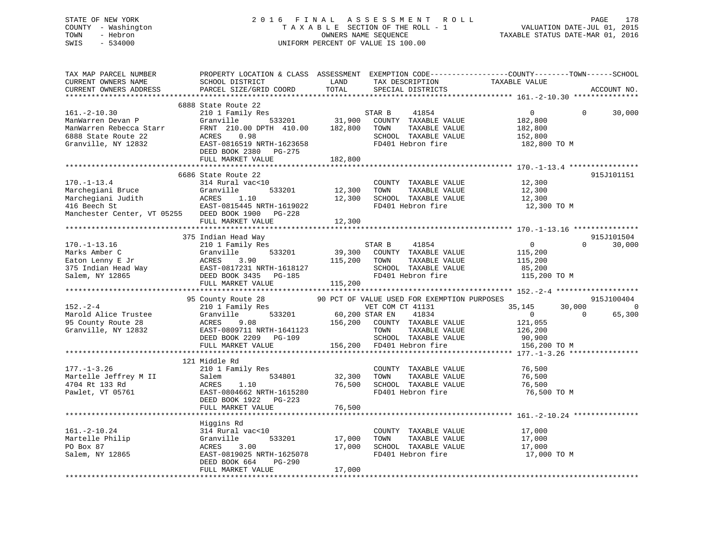## STATE OF NEW YORK 2 0 1 6 F I N A L A S S E S S M E N T R O L L PAGE 178 COUNTY - Washington T A X A B L E SECTION OF THE ROLL - 1 VALUATION DATE-JUL 01, 2015 TOWN - Hebron OWNERS NAME SEQUENCE TAXABLE STATUS DATE-MAR 01, 2016 SWIS - 534000 UNIFORM PERCENT OF VALUE IS 100.00

| TAX MAP PARCEL NUMBER<br>CURRENT OWNERS NAME<br>CURRENT OWNERS ADDRESS                                                               | SCHOOL DISTRICT<br>PARCEL SIZE/GRID COORD                                                                                                                                             | LAND<br>TOTAL                | TAX DESCRIPTION<br>SPECIAL DISTRICTS                                                                                            | PROPERTY LOCATION & CLASS ASSESSMENT EXEMPTION CODE---------------COUNTY-------TOWN------SCHOOL<br>TAXABLE VALUE | ACCOUNT NO.          |
|--------------------------------------------------------------------------------------------------------------------------------------|---------------------------------------------------------------------------------------------------------------------------------------------------------------------------------------|------------------------------|---------------------------------------------------------------------------------------------------------------------------------|------------------------------------------------------------------------------------------------------------------|----------------------|
|                                                                                                                                      |                                                                                                                                                                                       |                              |                                                                                                                                 |                                                                                                                  |                      |
| $161. - 2 - 10.30$<br>ManWarren Devan P<br>ManWarren Rebecca Starr<br>6888 State Route 22<br>Granville, NY 12832                     | 6888 State Route 22<br>210 1 Family Res<br>533201<br>Granville<br>FRNT 210.00 DPTH 410.00<br>0.98<br>ACRES<br>EAST-0816519 NRTH-1623658<br>DEED BOOK 2380 PG-275<br>FULL MARKET VALUE | 31,900<br>182,800<br>182,800 | 41854<br>STAR B<br>COUNTY TAXABLE VALUE<br>TOWN<br>TAXABLE VALUE<br>SCHOOL TAXABLE VALUE<br>FD401 Hebron fire                   | $\overline{0}$<br>$\Omega$<br>182,800<br>182,800<br>152,800<br>182,800 TO M                                      | 30,000               |
|                                                                                                                                      |                                                                                                                                                                                       |                              |                                                                                                                                 |                                                                                                                  |                      |
| $170. - 1 - 13.4$<br>Marchegiani Bruce<br>Marchegiani I<br>Marchegiani Judith<br>Andre<br>Manchester Center, VT 05255 DEED BOOK 1900 | 6686 State Route 22<br>314 Rural vac<10<br>533201<br>Granville<br>ACRES 1.10<br>EAST-0815445 NRTH-1619022<br>-----1000 PG-228<br>FULL MARKET VALUE                                    | 12,300<br>12,300<br>12,300   | COUNTY TAXABLE VALUE<br>TOWN<br>TAXABLE VALUE<br>SCHOOL TAXABLE VALUE<br>FD401 Hebron fire                                      | 12,300<br>12,300<br>12,300<br>12,300 TO M                                                                        | 915J101151           |
|                                                                                                                                      |                                                                                                                                                                                       |                              |                                                                                                                                 |                                                                                                                  |                      |
| $170. - 1 - 13.16$<br>Marks Amber C<br>Eaton Lenny E Jr<br>375 Indian Head Way<br>Salem, NY 12865                                    | 375 Indian Head Way<br>210 1 Family Res<br>Granville<br>533201<br>ACRES<br>3.90<br>EAST-0817231 NRTH-1618127<br>DEED BOOK 3435 PG-185<br>FULL MARKET VALUE                            | 39,300<br>115,200<br>115,200 | STAR B<br>41854<br>COUNTY TAXABLE VALUE<br>TOWN<br>TAXABLE VALUE<br>SCHOOL TAXABLE VALUE<br>FD401 Hebron fire                   | $\overline{0}$<br>$\Omega$<br>115,200<br>115,200<br>85,200<br>115,200 TO M                                       | 915J101504<br>30,000 |
|                                                                                                                                      | 95 County Route 28                                                                                                                                                                    |                              | 90 PCT OF VALUE USED FOR EXEMPTION PURPOSES                                                                                     |                                                                                                                  | 915J100404           |
| $152 - 2 - 4$<br>Marold Alice Trustee<br>95 County Route 28<br>Granville, NY 12832                                                   | 210 1 Family Res<br>533201<br>Granville<br>ACRES<br>9.08<br>EAST-0809711 NRTH-1641123<br>DEED BOOK 2209 PG-109<br>FULL MARKET VALUE                                                   | 60,200 STAR EN<br>156,200    | VET COM CT 41131<br>41834<br>COUNTY TAXABLE VALUE<br>TOWN<br>TAXABLE VALUE<br>SCHOOL TAXABLE VALUE<br>156,200 FD401 Hebron fire | 35,145<br>30,000<br>$\Omega$<br>$\overline{0}$<br>121,055<br>126,200<br>90,900<br>156,200 TO M                   | $\Omega$<br>65,300   |
|                                                                                                                                      |                                                                                                                                                                                       |                              |                                                                                                                                 |                                                                                                                  |                      |
| $177. - 1 - 3.26$<br>Martelle Jeffrey M II<br>4704 Rt 133 Rd<br>Pawlet, VT 05761                                                     | 121 Middle Rd<br>210 1 Family Res<br>534801<br>Salem<br>ACRES<br>1.10<br>EAST-0804662 NRTH-1615280<br>DEED BOOK 1922<br>$PG-223$<br>FULL MARKET VALUE                                 | 32,300<br>76,500<br>76,500   | COUNTY TAXABLE VALUE<br>TOWN<br>TAXABLE VALUE<br>SCHOOL TAXABLE VALUE<br>FD401 Hebron fire                                      | 76,500<br>76,500<br>76,500<br>76,500 TO M                                                                        |                      |
|                                                                                                                                      |                                                                                                                                                                                       |                              |                                                                                                                                 |                                                                                                                  |                      |
| $161. - 2 - 10.24$<br>Martelle Philip<br>PO Box 87<br>Salem, NY 12865                                                                | Higgins Rd<br>314 Rural vac<10<br>Granville<br>533201<br>3.00<br>ACRES<br>EAST-0819025 NRTH-1625078<br>DEED BOOK 664<br>PG-290<br>FULL MARKET VALUE                                   | 17,000<br>17,000<br>17,000   | COUNTY TAXABLE VALUE<br>TOWN<br>TAXABLE VALUE<br>SCHOOL TAXABLE VALUE<br>FD401 Hebron fire                                      | 17,000<br>17,000<br>17,000<br>17,000 TO M                                                                        |                      |
|                                                                                                                                      |                                                                                                                                                                                       |                              |                                                                                                                                 |                                                                                                                  |                      |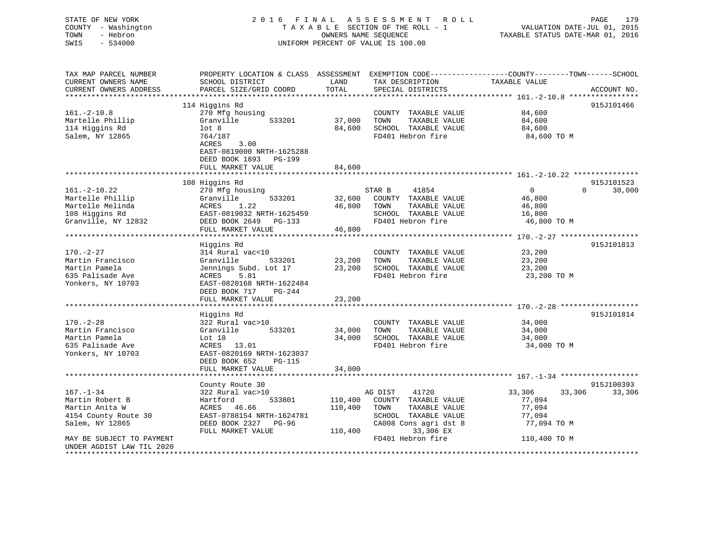| STATE OF NEW YORK<br>COUNTY - Washington<br>TOWN<br>- Hebron<br>$-534000$<br>SWIS |                                                                                                                                              |                             | 2016 FINAL ASSESSMENT<br>R O L L<br>TAXABLE SECTION OF THE ROLL - 1<br>OWNERS NAME SEQUENCE<br>UNIFORM PERCENT OF VALUE IS 100.00 | VALUATION DATE-JUL 01, 2015<br>TAXABLE STATUS DATE-MAR 01, 2016 | PAGE<br>179 |
|-----------------------------------------------------------------------------------|----------------------------------------------------------------------------------------------------------------------------------------------|-----------------------------|-----------------------------------------------------------------------------------------------------------------------------------|-----------------------------------------------------------------|-------------|
| TAX MAP PARCEL NUMBER<br>CURRENT OWNERS NAME<br>CURRENT OWNERS ADDRESS            | PROPERTY LOCATION & CLASS ASSESSMENT EXEMPTION CODE----------------COUNTY-------TOWN-----SCHOOL<br>SCHOOL DISTRICT<br>PARCEL SIZE/GRID COORD | LAND<br>TOTAL               | TAX DESCRIPTION<br>SPECIAL DISTRICTS                                                                                              | TAXABLE VALUE                                                   | ACCOUNT NO. |
|                                                                                   | 114 Higgins Rd                                                                                                                               |                             |                                                                                                                                   |                                                                 | 915J101466  |
| $161.-2-10.8$                                                                     | 270 Mfg housing                                                                                                                              |                             | COUNTY TAXABLE VALUE                                                                                                              | 84,600                                                          |             |
| Martelle Phillip                                                                  | Granville<br>533201                                                                                                                          | 37,000                      | TOWN<br>TAXABLE VALUE                                                                                                             | 84,600                                                          |             |
| 114 Higgins Rd                                                                    | lot <sub>8</sub>                                                                                                                             | 84,600                      | SCHOOL TAXABLE VALUE                                                                                                              | 84,600                                                          |             |
| Salem, NY 12865                                                                   | 764/187                                                                                                                                      |                             | FD401 Hebron fire                                                                                                                 | 84,600 TO M                                                     |             |
|                                                                                   | ACRES<br>3.00                                                                                                                                |                             |                                                                                                                                   |                                                                 |             |
|                                                                                   | EAST-0819000 NRTH-1625288                                                                                                                    |                             |                                                                                                                                   |                                                                 |             |
|                                                                                   | DEED BOOK 1893 PG-199<br>FULL MARKET VALUE                                                                                                   | 84,600                      |                                                                                                                                   |                                                                 |             |
|                                                                                   |                                                                                                                                              | * * * * * * * * * * * * * * |                                                                                                                                   |                                                                 |             |
|                                                                                   | 108 Higgins Rd                                                                                                                               |                             |                                                                                                                                   |                                                                 | 915J101523  |
| $161.-2-10.22$                                                                    | 270 Mfg housing                                                                                                                              |                             | STAR B<br>41854                                                                                                                   | $\overline{0}$<br>$\Omega$                                      | 30,000      |
| Martelle Phillip                                                                  | Granville<br>533201                                                                                                                          | 32,600                      | COUNTY TAXABLE VALUE                                                                                                              | 46,800                                                          |             |
| Martelle Melinda                                                                  | ACRES<br>1.22                                                                                                                                | 46,800                      | TOWN<br>TAXABLE VALUE                                                                                                             | 46,800                                                          |             |
| 108 Higgins Rd                                                                    | EAST-0819032 NRTH-1625459                                                                                                                    |                             | SCHOOL TAXABLE VALUE                                                                                                              | 16,800                                                          |             |
| Granville, NY 12832                                                               | DEED BOOK 2649 PG-133                                                                                                                        |                             | FD401 Hebron fire                                                                                                                 | 46,800 TO M                                                     |             |
|                                                                                   | FULL MARKET VALUE<br>* * * * * * * * * * * * * * * * * * *                                                                                   | 46,800                      |                                                                                                                                   |                                                                 |             |
|                                                                                   | Higgins Rd                                                                                                                                   |                             |                                                                                                                                   |                                                                 | 915J101813  |
| $170. - 2 - 27$                                                                   | 314 Rural vac<10                                                                                                                             |                             | COUNTY TAXABLE VALUE                                                                                                              | 23,200                                                          |             |
| Martin Francisco                                                                  | Granville<br>533201                                                                                                                          | 23,200                      | TOWN<br>TAXABLE VALUE                                                                                                             | 23,200                                                          |             |
| Martin Pamela                                                                     | Jennings Subd. Lot 17                                                                                                                        | 23,200                      | SCHOOL TAXABLE VALUE                                                                                                              | 23,200                                                          |             |
| 635 Palisade Ave                                                                  | 5.81<br>ACRES                                                                                                                                |                             | FD401 Hebron fire                                                                                                                 | 23,200 TO M                                                     |             |
| Yonkers, NY 10703                                                                 | EAST-0820168 NRTH-1622484                                                                                                                    |                             |                                                                                                                                   |                                                                 |             |
|                                                                                   | DEED BOOK 717<br>$PG-244$                                                                                                                    |                             |                                                                                                                                   |                                                                 |             |
|                                                                                   | FULL MARKET VALUE<br>***********************                                                                                                 | 23,200                      |                                                                                                                                   |                                                                 |             |
|                                                                                   | Higgins Rd                                                                                                                                   |                             |                                                                                                                                   |                                                                 | 915J101814  |
| $170. - 2 - 28$                                                                   | 322 Rural vac>10                                                                                                                             |                             | COUNTY TAXABLE VALUE                                                                                                              | 34,000                                                          |             |
| Martin Francisco                                                                  | Granville<br>533201                                                                                                                          | 34,000                      | TOWN<br>TAXABLE VALUE                                                                                                             | 34,000                                                          |             |
| Martin Pamela                                                                     | Lot 18                                                                                                                                       | 34,000                      | SCHOOL TAXABLE VALUE                                                                                                              | 34,000                                                          |             |
| 635 Palisade Ave                                                                  | ACRES 13.01                                                                                                                                  |                             | FD401 Hebron fire                                                                                                                 | 34,000 TO M                                                     |             |
| Yonkers, NY 10703                                                                 | EAST-0820169 NRTH-1623037                                                                                                                    |                             |                                                                                                                                   |                                                                 |             |
|                                                                                   | DEED BOOK 652<br>$PG-115$                                                                                                                    |                             |                                                                                                                                   |                                                                 |             |
|                                                                                   | FULL MARKET VALUE                                                                                                                            | 34,000                      |                                                                                                                                   |                                                                 |             |
|                                                                                   | County Route 30                                                                                                                              |                             |                                                                                                                                   |                                                                 | 915J100393  |
| $167. - 1 - 34$                                                                   | 322 Rural vac>10                                                                                                                             |                             | AG DIST<br>41720                                                                                                                  | 33,306<br>33,306                                                | 33,306      |
| Martin Robert B                                                                   | 533801<br>Hartford                                                                                                                           | 110,400                     | COUNTY TAXABLE VALUE                                                                                                              | 77,094                                                          |             |
| Martin Anita W                                                                    | ACRES 46.66                                                                                                                                  | 110,400                     | TAXABLE VALUE<br>TOWN                                                                                                             | 77,094                                                          |             |
| 4154 County Route 30                                                              | EAST-0788154 NRTH-1624781                                                                                                                    |                             | SCHOOL TAXABLE VALUE                                                                                                              | 77,094                                                          |             |
| Salem, NY 12865                                                                   | DEED BOOK 2327 PG-96                                                                                                                         |                             | CA008 Cons agri dst 8                                                                                                             | 77,094 TO M                                                     |             |
|                                                                                   | FULL MARKET VALUE                                                                                                                            | 110,400                     | 33,306 EX                                                                                                                         |                                                                 |             |
| MAY BE SUBJECT TO PAYMENT                                                         |                                                                                                                                              |                             | FD401 Hebron fire                                                                                                                 | 110,400 TO M                                                    |             |
| UNDER AGDIST LAW TIL 2020<br>*************************                            |                                                                                                                                              |                             |                                                                                                                                   |                                                                 |             |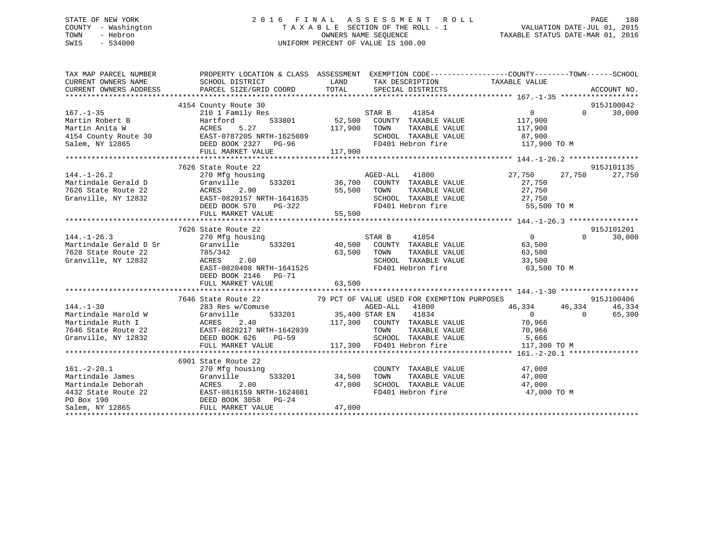## STATE OF NEW YORK 2 0 1 6 F I N A L A S S E S S M E N T R O L L PAGE 180 COUNTY - Washington T A X A B L E SECTION OF THE ROLL - 1 VALUATION DATE-JUL 01, 2015 TOWN - Hebron OWNERS NAME SEQUENCE TAXABLE STATUS DATE-MAR 01, 2016 SWIS - 534000 UNIFORM PERCENT OF VALUE IS 100.00

| TAX MAP PARCEL NUMBER                                                                            | PROPERTY LOCATION & CLASS ASSESSMENT EXEMPTION CODE---------------COUNTY-------TOWN-----SCHOOL                                                                                                                                                 |                           |                   |                                                                                                                                                                                                                                      |          |                                               |
|--------------------------------------------------------------------------------------------------|------------------------------------------------------------------------------------------------------------------------------------------------------------------------------------------------------------------------------------------------|---------------------------|-------------------|--------------------------------------------------------------------------------------------------------------------------------------------------------------------------------------------------------------------------------------|----------|-----------------------------------------------|
| $167. - 1 - 35$                                                                                  | 4154 County Route 30<br>210 1 Family Res                                                                                                                                                                                                       |                           |                   | - 2012<br>Res 533801 52,500 COUNTY TAXABLE VALUE 117,900<br>The state of the state of the state of the state of the state of the state of the state of the state of the s<br>The state of the state of the state of the state of the |          | 915J100042<br>$\Omega$ and $\Omega$<br>30,000 |
|                                                                                                  | Martin Robert B<br>Martin Anita W<br>Martin Anita W<br>4154 County Route 30<br>Salem, NY 12865<br>BEED BOOK 2327 PG-96                                                                                                                         | 117,900 TOWN              | TAXABLE VALUE     | 117,900<br>SCHOOL TAXABLE VALUE 87,900<br>FD401 Hebron fire 117,900 TO M                                                                                                                                                             |          |                                               |
|                                                                                                  | FULL MARKET VALUE                                                                                                                                                                                                                              | 117,900                   |                   |                                                                                                                                                                                                                                      |          |                                               |
|                                                                                                  | 7626 State Route 22                                                                                                                                                                                                                            |                           |                   |                                                                                                                                                                                                                                      |          | 915J101135                                    |
| $144. - 1 - 26.2$<br>Martindale Gerald D Granville<br>7626 State Route 22<br>Granville, NY 12832 | 270 Mfg housing<br>ACRES 2.90<br>ACRES 2.90 55,500 TOWN TAXABLE VALUE 27,750<br>EAST-0820157 NRTH-1641635 SCHOOL TAXABLE VALUE 27,750<br>DEED BOOK 570 PG-322 FD401 Hebron fire 55,500 TO M                                                    |                           |                   |                                                                                                                                                                                                                                      |          | 27,750                                        |
|                                                                                                  | FULL MARKET VALUE                                                                                                                                                                                                                              | 55,500                    |                   |                                                                                                                                                                                                                                      |          |                                               |
|                                                                                                  |                                                                                                                                                                                                                                                |                           |                   |                                                                                                                                                                                                                                      |          |                                               |
|                                                                                                  | 7626 State Route 22                                                                                                                                                                                                                            |                           |                   |                                                                                                                                                                                                                                      |          | 915J101201                                    |
| $144. - 1 - 26.3$                                                                                |                                                                                                                                                                                                                                                |                           |                   |                                                                                                                                                                                                                                      | $\Omega$ | 30,000                                        |
| Martindale Gerald D Sr                                                                           |                                                                                                                                                                                                                                                |                           |                   |                                                                                                                                                                                                                                      |          |                                               |
| 7628 State Route 22                                                                              |                                                                                                                                                                                                                                                |                           |                   |                                                                                                                                                                                                                                      |          |                                               |
| Granville, NY 12832                                                                              |                                                                                                                                                                                                                                                |                           |                   |                                                                                                                                                                                                                                      |          |                                               |
|                                                                                                  | $\begin{tabular}{lllll} 785 / 342 & 63 / 500 & TOWN \\ ACRES & 2.60 & SCHOO \\ EAST-0820408 NRTH-1641525 & FD401 \\ \end{tabular}$<br>DEED BOOK 2146 PG-71                                                                                     |                           | FD401 Hebron fire | 63,500 TO M                                                                                                                                                                                                                          |          |                                               |
|                                                                                                  | FULL MARKET VALUE                                                                                                                                                                                                                              | 63,500                    |                   |                                                                                                                                                                                                                                      |          |                                               |
|                                                                                                  |                                                                                                                                                                                                                                                |                           |                   |                                                                                                                                                                                                                                      |          |                                               |
|                                                                                                  | 7646 State Route 22 79 PCT OF VALUE USED FOR EXEMPTION PURPOSES                                                                                                                                                                                |                           |                   |                                                                                                                                                                                                                                      |          | 915J100406                                    |
|                                                                                                  | Martindale Harold W (Comuse ages ages and the MSED-ALL 41800<br>Martindale Ruth I ACRES 2.40 STAR EN 41834 0<br>7646 State Route 22 EAST-0820217 NRTH-1642039 TOWN TAXABLE VALUE 70,966<br>Granville, NY 12832 DEED BOOK 626 PG-59 S           |                           |                   | 46,334 46,334                                                                                                                                                                                                                        |          | 46,334                                        |
|                                                                                                  |                                                                                                                                                                                                                                                |                           |                   |                                                                                                                                                                                                                                      |          | 65,300                                        |
|                                                                                                  |                                                                                                                                                                                                                                                |                           |                   |                                                                                                                                                                                                                                      |          |                                               |
|                                                                                                  |                                                                                                                                                                                                                                                |                           |                   |                                                                                                                                                                                                                                      |          |                                               |
|                                                                                                  | FULL MARKET VALUE                                                                                                                                                                                                                              | 117,300 FD401 Hebron fire |                   | TOWN TAXABLE VALUE 70,966<br>SCHOOL TAXABLE VALUE 5,666<br>FD401 Hebron fire 117,300 TO M                                                                                                                                            |          |                                               |
|                                                                                                  |                                                                                                                                                                                                                                                |                           |                   |                                                                                                                                                                                                                                      |          |                                               |
|                                                                                                  | 6901 State Route 22                                                                                                                                                                                                                            |                           |                   |                                                                                                                                                                                                                                      |          |                                               |
| $161.-2-20.1$                                                                                    | 270 Mfg housing                                                                                                                                                                                                                                |                           |                   | COUNTY TAXABLE VALUE 47,000                                                                                                                                                                                                          |          |                                               |
|                                                                                                  |                                                                                                                                                                                                                                                | 34,500                    |                   |                                                                                                                                                                                                                                      |          |                                               |
|                                                                                                  | Martindale James<br>Martindale Deborah<br>1432 State Route 22<br>1432 State Route 22<br>16 BAST-0816159 NRTH-1624081<br>16 BAST-0816159 NRTH-1624081<br>16 BAST-0816159 NRTH-1624081<br>16 BAST-0816159 NRTH-1624081<br>16 BAST-0816159 NRTH-1 |                           |                   | $\begin{tabular}{lllllllll} 34,500 & TOWN & TAXABLE VALUE & & & 47,000 \\ 47,000 & SCHOOL & TAXABLE VALUE & & & 47,000 \\ 47,000 & FD401 Hebron fire & & & 47,000 TO M \\ \end{tabular}$                                             |          |                                               |
|                                                                                                  |                                                                                                                                                                                                                                                |                           |                   |                                                                                                                                                                                                                                      |          |                                               |
|                                                                                                  |                                                                                                                                                                                                                                                |                           |                   |                                                                                                                                                                                                                                      |          |                                               |
|                                                                                                  |                                                                                                                                                                                                                                                | 47,000                    |                   |                                                                                                                                                                                                                                      |          |                                               |
|                                                                                                  |                                                                                                                                                                                                                                                |                           |                   |                                                                                                                                                                                                                                      |          |                                               |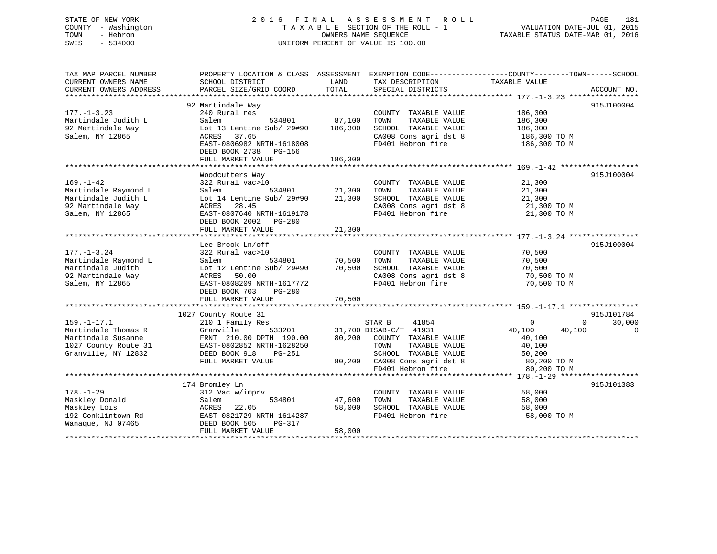## STATE OF NEW YORK 2 0 1 6 F I N A L A S S E S S M E N T R O L L PAGE 181 COUNTY - Washington T A X A B L E SECTION OF THE ROLL - 1 VALUATION DATE-JUL 01, 2015 TOWN - Hebron OWNERS NAME SEQUENCE TAXABLE STATUS DATE-MAR 01, 2016 SWIS - 534000 UNIFORM PERCENT OF VALUE IS 100.00

| TAX MAP PARCEL NUMBER<br>CURRENT OWNERS NAME<br>CURRENT OWNERS ADDRESS | PROPERTY LOCATION & CLASS ASSESSMENT<br>SCHOOL DISTRICT<br>PARCEL SIZE/GRID COORD | LAND<br>TOTAL | TAX DESCRIPTION<br>SPECIAL DISTRICTS | EXEMPTION CODE-----------------COUNTY-------TOWN------SCHOOL<br>TAXABLE VALUE<br>ACCOUNT NO. |
|------------------------------------------------------------------------|-----------------------------------------------------------------------------------|---------------|--------------------------------------|----------------------------------------------------------------------------------------------|
|                                                                        |                                                                                   |               |                                      |                                                                                              |
|                                                                        | 92 Martindale Way                                                                 |               |                                      | 915J100004                                                                                   |
| $177. - 1 - 3.23$                                                      | 240 Rural res                                                                     |               | COUNTY TAXABLE VALUE                 | 186,300                                                                                      |
| Martindale Judith L                                                    | 534801<br>Salem                                                                   | 87,100        | TOWN<br>TAXABLE VALUE                | 186,300                                                                                      |
| 92 Martindale Way                                                      | Lot 13 Lentine Sub/ 29#90                                                         | 186,300       | SCHOOL TAXABLE VALUE                 | 186,300                                                                                      |
| Salem, NY 12865                                                        | ACRES<br>37.65                                                                    |               | CA008 Cons agri dst 8                | 186,300 то м                                                                                 |
|                                                                        | EAST-0806982 NRTH-1618008                                                         |               | FD401 Hebron fire                    | 186,300 TO M                                                                                 |
|                                                                        | DEED BOOK 2738 PG-156                                                             |               |                                      |                                                                                              |
|                                                                        | FULL MARKET VALUE                                                                 | 186,300       |                                      |                                                                                              |
|                                                                        |                                                                                   |               |                                      |                                                                                              |
|                                                                        | Woodcutters Way                                                                   |               |                                      | 915J100004                                                                                   |
| $169. - 1 - 42$                                                        | 322 Rural vac>10                                                                  |               | COUNTY TAXABLE VALUE                 | 21,300                                                                                       |
| Martindale Raymond L                                                   | Salem<br>534801                                                                   | 21,300        | TOWN<br>TAXABLE VALUE                | 21,300                                                                                       |
| Martindale Judith L                                                    | Lot 14 Lentine Sub/ 29#90                                                         | 21,300        | SCHOOL TAXABLE VALUE                 | 21,300                                                                                       |
| 92 Martindale Way                                                      | 28.45<br>ACRES                                                                    |               | CA008 Cons agri dst 8                | 21,300 TO M                                                                                  |
| Salem, NY 12865                                                        | EAST-0807640 NRTH-1619178                                                         |               | FD401 Hebron fire                    | 21,300 TO M                                                                                  |
|                                                                        | DEED BOOK 2002 PG-280                                                             |               |                                      |                                                                                              |
|                                                                        | FULL MARKET VALUE                                                                 | 21,300        |                                      |                                                                                              |
|                                                                        |                                                                                   |               |                                      |                                                                                              |
|                                                                        | Lee Brook Ln/off                                                                  |               |                                      | 915J100004                                                                                   |
| $177. - 1 - 3.24$                                                      | 322 Rural vac>10                                                                  |               | COUNTY TAXABLE VALUE                 | 70,500                                                                                       |
| Martindale Raymond L                                                   | 534801<br>Salem                                                                   | 70,500        | TOWN<br>TAXABLE VALUE                | 70,500                                                                                       |
| Martindale Judith                                                      | Lot 12 Lentine Sub/ 29#90                                                         | 70,500        | SCHOOL TAXABLE VALUE                 | 70,500                                                                                       |
| 92 Martindale Way                                                      | ACRES<br>50.00                                                                    |               | CA008 Cons agri dst 8                | 70,500 TO M                                                                                  |
| Salem, NY 12865                                                        | EAST-0808209 NRTH-1617772                                                         |               | FD401 Hebron fire                    | 70,500 TO M                                                                                  |
|                                                                        | DEED BOOK 703<br>PG-280                                                           |               |                                      |                                                                                              |
|                                                                        | FULL MARKET VALUE                                                                 | 70,500        |                                      |                                                                                              |
|                                                                        |                                                                                   |               |                                      |                                                                                              |
|                                                                        | 1027 County Route 31                                                              |               |                                      | 915J101784                                                                                   |
| $159. - 1 - 17.1$                                                      | 210 1 Family Res                                                                  |               | STAR B<br>41854                      | $\Omega$<br>30,000<br>0                                                                      |
| Martindale Thomas R                                                    | Granville<br>533201                                                               |               | 31,700 DISAB-C/T 41931               | $\Omega$<br>40,100<br>40,100                                                                 |
| Martindale Susanne                                                     | FRNT 210.00 DPTH 190.00                                                           | 80,200        | COUNTY TAXABLE VALUE                 | 40,100                                                                                       |
| 1027 County Route 31                                                   | EAST-0802852 NRTH-1628250                                                         |               | TOWN<br>TAXABLE VALUE                | 40,100                                                                                       |
| Granville, NY 12832                                                    | DEED BOOK 918<br>PG-251                                                           |               | SCHOOL TAXABLE VALUE                 | 50,200                                                                                       |
|                                                                        | FULL MARKET VALUE                                                                 | 80,200        | CA008 Cons agri dst 8                | 80,200 TO M                                                                                  |
|                                                                        |                                                                                   |               | FD401 Hebron fire                    | 80,200 TO M                                                                                  |
|                                                                        |                                                                                   |               |                                      |                                                                                              |
|                                                                        | 174 Bromley Ln                                                                    |               |                                      | 915J101383                                                                                   |
| $178. - 1 - 29$                                                        | 312 Vac w/imprv                                                                   |               | COUNTY TAXABLE VALUE                 | 58,000                                                                                       |
| Maskley Donald                                                         | Salem<br>534801                                                                   | 47,600        | TOWN<br>TAXABLE VALUE                | 58,000                                                                                       |
| Maskley Lois                                                           | 22.05<br>ACRES                                                                    | 58,000        | SCHOOL TAXABLE VALUE                 | 58,000                                                                                       |
| 192 Conklintown Rd                                                     | EAST-0821729 NRTH-1614287                                                         |               | FD401 Hebron fire                    | 58,000 TO M                                                                                  |
| Wanaque, NJ 07465                                                      | DEED BOOK 505<br>PG-317                                                           |               |                                      |                                                                                              |
|                                                                        | FULL MARKET VALUE                                                                 | 58,000        |                                      |                                                                                              |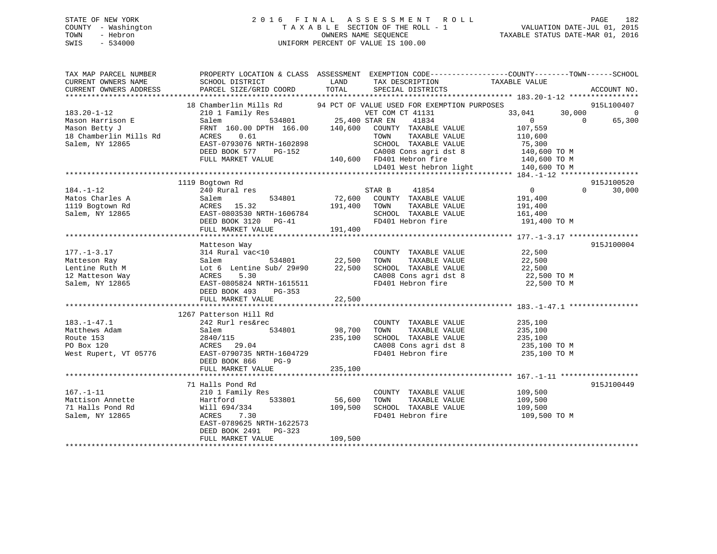## STATE OF NEW YORK 2 0 1 6 F I N A L A S S E S S M E N T R O L L PAGE 182 COUNTY - Washington T A X A B L E SECTION OF THE ROLL - 1 VALUATION DATE-JUL 01, 2015 TOWN - Hebron OWNERS NAME SEQUENCE TAXABLE STATUS DATE-MAR 01, 2016 SWIS - 534000 UNIFORM PERCENT OF VALUE IS 100.00

| TAX MAP PARCEL NUMBER                         | PROPERTY LOCATION & CLASS ASSESSMENT EXEMPTION CODE----------------COUNTY-------TOWN-----SCHOOL |                       |                                             |                    |                        |
|-----------------------------------------------|-------------------------------------------------------------------------------------------------|-----------------------|---------------------------------------------|--------------------|------------------------|
| CURRENT OWNERS NAME<br>CURRENT OWNERS ADDRESS | SCHOOL DISTRICT<br>PARCEL SIZE/GRID COORD                                                       | LAND<br>TOTAL         | TAX DESCRIPTION<br>SPECIAL DISTRICTS        | TAXABLE VALUE      | ACCOUNT NO.            |
|                                               |                                                                                                 |                       |                                             |                    |                        |
|                                               | 18 Chamberlin Mills Rd                                                                          |                       | 94 PCT OF VALUE USED FOR EXEMPTION PURPOSES |                    | 915L100407             |
| $183.20 - 1 - 12$                             | 210 1 Family Res                                                                                |                       | VET COM CT 41131                            | 30,000<br>33,041   | $\overline{0}$         |
| Mason Harrison E                              | Salem                                                                                           | 534801 25,400 STAR EN | 41834                                       | $\overline{0}$     | $\Omega$<br>65,300     |
| Mason Betty J                                 | FRNT 160.00 DPTH 166.00                                                                         | 140,600               | COUNTY TAXABLE VALUE                        | 107,559            |                        |
| 18 Chamberlin Mills Rd                        | ACRES<br>0.61                                                                                   |                       | TAXABLE VALUE<br>TOWN                       | 110,600            |                        |
| Salem, NY 12865                               | EAST-0793076 NRTH-1602898                                                                       |                       | SCHOOL TAXABLE VALUE                        | 75,300             |                        |
|                                               | DEED BOOK 577<br>PG-152                                                                         |                       | CA008 Cons agri dst 8                       | 140,600 TO M       |                        |
|                                               | FULL MARKET VALUE                                                                               |                       | 140,600 FD401 Hebron fire                   | 140,600 TO M       |                        |
|                                               |                                                                                                 |                       | LD401 West hebron light                     | 140,600 TO M       |                        |
|                                               |                                                                                                 |                       |                                             |                    |                        |
| $184. - 1 - 12$                               | 1119 Bogtown Rd<br>240 Rural res                                                                |                       | STAR B<br>41854                             | $\overline{0}$     | 915J100520<br>$\Omega$ |
| Matos Charles A                               | Salem<br>534801                                                                                 | 72,600                | COUNTY TAXABLE VALUE                        | 191,400            | 30,000                 |
|                                               | ACRES 15.32                                                                                     | 191,400               | TOWN<br>TAXABLE VALUE                       |                    |                        |
| 1119 Bogtown Rd<br>Salem, NY 12865            | EAST-0803530 NRTH-1606784                                                                       |                       | SCHOOL TAXABLE VALUE                        | 191,400<br>161,400 |                        |
|                                               |                                                                                                 |                       |                                             |                    |                        |
|                                               | DEED BOOK 3120<br>$PG-41$<br>FULL MARKET VALUE                                                  | 191,400               | FD401 Hebron fire                           | 191,400 TO M       |                        |
|                                               |                                                                                                 |                       |                                             |                    |                        |
|                                               |                                                                                                 |                       |                                             |                    | 915J100004             |
| $177. - 1 - 3.17$                             | Matteson Way<br>314 Rural vac<10                                                                |                       | COUNTY TAXABLE VALUE                        | 22,500             |                        |
| Matteson Ray                                  | 534801<br>Salem                                                                                 | 22,500                | TOWN<br>TAXABLE VALUE                       | 22,500             |                        |
| Lentine Ruth M                                | Lot 6 Lentine Sub/ 29#90                                                                        | 22,500                | SCHOOL TAXABLE VALUE                        | 22,500             |                        |
| 12 Matteson Way                               | 5.30<br>ACRES                                                                                   |                       | CA008 Cons agri dst 8                       | 22,500 TO M        |                        |
| Salem, NY 12865                               | EAST-0805824 NRTH-1615511                                                                       |                       | FD401 Hebron fire                           | 22,500 TO M        |                        |
|                                               | DEED BOOK 493<br>PG-353                                                                         |                       |                                             |                    |                        |
|                                               | FULL MARKET VALUE                                                                               | 22,500                |                                             |                    |                        |
|                                               |                                                                                                 |                       |                                             |                    |                        |
|                                               | 1267 Patterson Hill Rd                                                                          |                       |                                             |                    |                        |
| $183. - 1 - 47.1$                             | 242 Rurl res&rec                                                                                |                       | COUNTY TAXABLE VALUE                        | 235,100            |                        |
| Matthews Adam                                 | Salem<br>534801                                                                                 | 98,700                | TAXABLE VALUE<br>TOWN                       | 235,100            |                        |
| Route 153                                     | 2840/115                                                                                        | 235,100               | SCHOOL TAXABLE VALUE                        | 235,100            |                        |
| PO Box 120                                    | ACRES 29.04                                                                                     |                       | CA008 Cons agri dst 8                       | 235,100 TO M       |                        |
| West Rupert, VT 05776                         | EAST-0790735 NRTH-1604729                                                                       |                       | FD401 Hebron fire                           | 235,100 TO M       |                        |
|                                               | DEED BOOK 866<br>$PG-9$                                                                         |                       |                                             |                    |                        |
|                                               | FULL MARKET VALUE                                                                               | 235,100               |                                             |                    |                        |
|                                               |                                                                                                 |                       |                                             |                    |                        |
|                                               | 71 Halls Pond Rd                                                                                |                       |                                             |                    | 915J100449             |
| $167. - 1 - 11$                               | 210 1 Family Res                                                                                |                       | COUNTY TAXABLE VALUE                        | 109,500            |                        |
| Mattison Annette                              | 533801<br>Hartford                                                                              | 56,600                | TOWN<br>TAXABLE VALUE                       | 109,500            |                        |
| 71 Halls Pond Rd                              | Will 694/334                                                                                    | 109,500               | SCHOOL TAXABLE VALUE                        | 109,500            |                        |
| Salem, NY 12865                               | ACRES<br>7.30                                                                                   |                       | FD401 Hebron fire                           | 109,500 TO M       |                        |
|                                               | EAST-0789625 NRTH-1622573                                                                       |                       |                                             |                    |                        |
|                                               | DEED BOOK 2491<br>PG-323                                                                        |                       |                                             |                    |                        |
|                                               | FULL MARKET VALUE                                                                               | 109,500               |                                             |                    |                        |
|                                               |                                                                                                 |                       |                                             |                    |                        |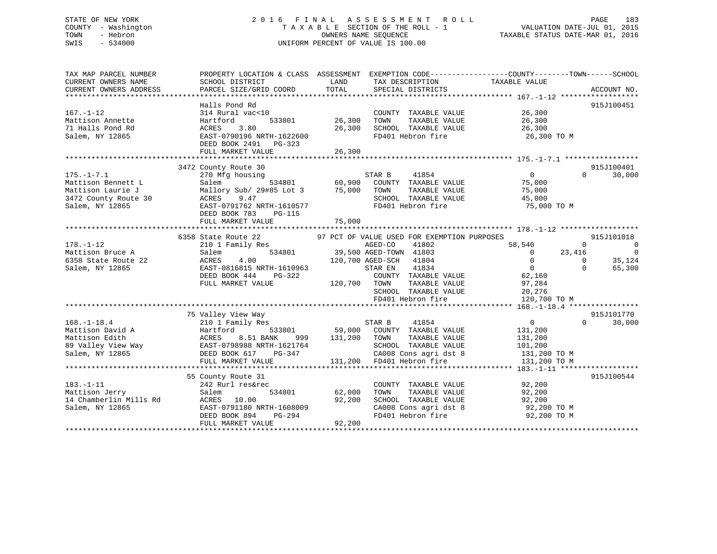## STATE OF NEW YORK 2 0 1 6 F I N A L A S S E S S M E N T R O L L PAGE 183 COUNTY - Washington T A X A B L E SECTION OF THE ROLL - 1 VALUATION DATE-JUL 01, 2015 TOWN - Hebron OWNERS NAME SEQUENCE TAXABLE STATUS DATE-MAR 01, 2016 SWIS - 534000 UNIFORM PERCENT OF VALUE IS 100.00

| TAX MAP PARCEL NUMBER                          |                                           |                                                       | PROPERTY LOCATION & CLASS ASSESSMENT EXEMPTION CODE---------------COUNTY-------TOWN-----SCHOOL |
|------------------------------------------------|-------------------------------------------|-------------------------------------------------------|------------------------------------------------------------------------------------------------|
| CURRENT OWNERS NAME<br>CURRENT OWNERS ADDRESS  | SCHOOL DISTRICT<br>PARCEL SIZE/GRID COORD | LAND<br>TAX DESCRIPTION<br>TOTAL<br>SPECIAL DISTRICTS | TAXABLE VALUE<br>ACCOUNT NO.                                                                   |
|                                                |                                           |                                                       |                                                                                                |
|                                                | Halls Pond Rd                             |                                                       | 915J100451                                                                                     |
| $167. - 1 - 12$                                | 314 Rural vac<10                          | COUNTY TAXABLE VALUE                                  | 26,300                                                                                         |
| Mattison Annette                               | Hartford<br>533801                        | 26,300<br>TOWN<br>TAXABLE VALUE                       | 26,300                                                                                         |
| 71 Halls Pond Rd                               | 3.80<br>ACRES                             | 26,300<br>SCHOOL TAXABLE VALUE                        | 26,300                                                                                         |
| Salem, NY 12865                                | EAST-0790196 NRTH-1622600                 | FD401 Hebron fire                                     | 26,300 TO M                                                                                    |
|                                                | DEED BOOK 2491 PG-323                     |                                                       |                                                                                                |
|                                                | FULL MARKET VALUE                         | 26,300                                                |                                                                                                |
|                                                |                                           |                                                       |                                                                                                |
|                                                | 3472 County Route 30                      |                                                       | 915J100401                                                                                     |
| $175. - 1 - 7.1$                               | 270 Mfg housing                           | STAR B<br>41854                                       | $\Omega$<br>30,000<br>$\Omega$                                                                 |
| Mattison Bennett L                             | Salem                                     | 534801 60,900<br>COUNTY TAXABLE VALUE                 | 75,000                                                                                         |
| Mattison Laurie J                              | Mallory Sub/ 29#85 Lot 3                  | 75,000<br>TOWN<br>TAXABLE VALUE                       | 75,000                                                                                         |
| 3472 County Route 30                           | ACRES<br>9.47                             | SCHOOL TAXABLE VALUE                                  | 45,000                                                                                         |
| Salem, NY 12865                                | EAST-0791762 NRTH-1610577                 | FD401 Hebron fire                                     | 75,000 TO M                                                                                    |
|                                                | DEED BOOK 783<br>PG-115                   |                                                       |                                                                                                |
|                                                | FULL MARKET VALUE                         | 75,000                                                |                                                                                                |
|                                                |                                           |                                                       |                                                                                                |
|                                                | 6358 State Route 22                       | 97 PCT OF VALUE USED FOR EXEMPTION PURPOSES           | 915J101018                                                                                     |
| $178. - 1 - 12$                                | 210 1 Family Res                          | 41802                                                 | 58,540<br>$\Omega$<br>$\overline{0}$                                                           |
| Mattison Bruce A                               | 534801<br>Salem                           | AGED-CO 41802<br>39,500 AGED-TOWN 41803               | $\overline{0}$<br>$\overline{0}$<br>23,416                                                     |
| 6358 State Route 22                            | ACRES<br>4.00                             | 120,700 AGED-SCH<br>41804                             | $\overline{0}$<br>35,124<br>$\Omega$                                                           |
| Salem, NY 12865                                | EAST-0816815 NRTH-1610963                 | 41834<br>STAR EN                                      | $\overline{0}$<br>$\Omega$<br>65,300                                                           |
|                                                | DEED BOOK 444<br>PG-322                   | COUNTY TAXABLE VALUE                                  | 62,160                                                                                         |
|                                                | FULL MARKET VALUE                         | 120,700 TOWN<br>TAXABLE VALUE                         | 97,284                                                                                         |
|                                                |                                           | SCHOOL TAXABLE VALUE                                  | 20,276                                                                                         |
|                                                |                                           | FD401 Hebron fire                                     | 120,700 TO M                                                                                   |
|                                                |                                           |                                                       |                                                                                                |
|                                                | 75 Valley View Way                        |                                                       | 915J101770                                                                                     |
| $168. - 1 - 18.4$                              | 210 1 Family Res                          | STAR B<br>41854                                       | $\overline{0}$<br>$\Omega$<br>30,000                                                           |
| Mattison David A                               | Hartford<br>533801                        | 59,000 COUNTY TAXABLE VALUE                           | 131,200                                                                                        |
| Mattison Edith                                 | ACRES<br>8.51 BANK<br>999                 | 131,200<br>TOWN<br>TAXABLE VALUE                      | 131,200                                                                                        |
| Matthon -<br>89 Valley View Way<br>- Ary 19865 | EAST-0798988 NRTH-1621764                 | SCHOOL TAXABLE VALUE                                  | 101,200                                                                                        |
|                                                | DEED BOOK 617<br>PG-347                   | CA008 Cons agri dst 8                                 | 131,200 TO M                                                                                   |
|                                                | FULL MARKET VALUE                         | 131,200<br>FD401 Hebron fire                          | 131,200 TO M                                                                                   |
|                                                |                                           |                                                       |                                                                                                |
|                                                | 55 County Route 31                        |                                                       | 915J100544                                                                                     |
| $183. - 1 - 11$                                | 242 Rurl res&rec                          | COUNTY TAXABLE VALUE                                  | 92,200                                                                                         |
| Mattison Jerry                                 | 534801<br>Salem                           | 62,000<br>TOWN<br>TAXABLE VALUE                       | 92,200                                                                                         |
| 14 Chamberlin Mills Rd                         | ACRES 10.00                               | 92,200<br>SCHOOL TAXABLE VALUE                        | 92,200                                                                                         |
| Salem, NY 12865                                | EAST-0791180 NRTH-1608009                 | CA008 Cons agri dst 8                                 | 92,200 TO M                                                                                    |
|                                                | DEED BOOK 894<br>PG-294                   | FD401 Hebron fire                                     | 92,200 TO M                                                                                    |
|                                                | FULL MARKET VALUE                         | 92,200                                                |                                                                                                |
|                                                |                                           |                                                       |                                                                                                |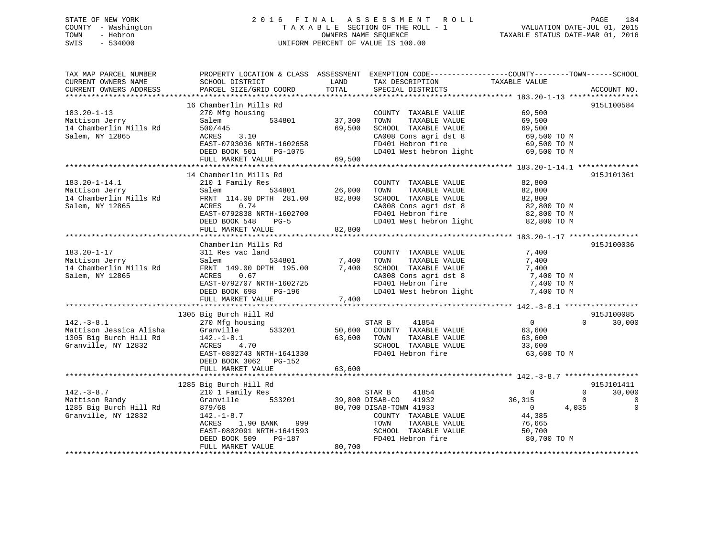## STATE OF NEW YORK 2 0 1 6 F I N A L A S S E S S M E N T R O L L PAGE 184 COUNTY - Washington T A X A B L E SECTION OF THE ROLL - 1 VALUATION DATE-JUL 01, 2015 TOWN - Hebron OWNERS NAME SEQUENCE TAXABLE STATUS DATE-MAR 01, 2016 SWIS - 534000 UNIFORM PERCENT OF VALUE IS 100.00

| TAX MAP PARCEL NUMBER   | PROPERTY LOCATION & CLASS ASSESSMENT EXEMPTION CODE---------------COUNTY-------TOWN------SCHOOL |               |                                                                      |                         |                            |
|-------------------------|-------------------------------------------------------------------------------------------------|---------------|----------------------------------------------------------------------|-------------------------|----------------------------|
| CURRENT OWNERS NAME     | SCHOOL DISTRICT                                                                                 | LAND          | TAX DESCRIPTION                                                      | TAXABLE VALUE           |                            |
| CURRENT OWNERS ADDRESS  | PARCEL SIZE/GRID COORD                                                                          | TOTAL         | SPECIAL DISTRICTS                                                    |                         | ACCOUNT NO.                |
|                         |                                                                                                 |               |                                                                      |                         |                            |
|                         | 16 Chamberlin Mills Rd                                                                          |               |                                                                      |                         | 915L100584                 |
| $183.20 - 1 - 13$       | 270 Mfg housing                                                                                 |               | COUNTY TAXABLE VALUE                                                 | 69,500                  |                            |
| Mattison Jerry          | 534801<br>Salem                                                                                 | 37,300        | TAXABLE VALUE<br>TOWN                                                | 69,500                  |                            |
| 14 Chamberlin Mills Rd  | 500/445                                                                                         | 69,500        | SCHOOL TAXABLE VALUE                                                 | 69,500                  |                            |
| Salem, NY 12865         | ACRES<br>3.10                                                                                   |               | CA008 Cons agri dst 8                                                | 69,500 TO M             |                            |
|                         | EAST-0793036 NRTH-1602658                                                                       |               | FD401 Hebron fire                                                    | 69,500 TO M             |                            |
|                         | DEED BOOK 501<br>PG-1075                                                                        |               | FD401 Hebron fire 69,500 TO M<br>LD401 West hebron light 69,500 TO M |                         |                            |
|                         |                                                                                                 | 69,500        |                                                                      |                         |                            |
|                         | FULL MARKET VALUE                                                                               |               |                                                                      |                         |                            |
|                         |                                                                                                 |               |                                                                      |                         |                            |
|                         | 14 Chamberlin Mills Rd                                                                          |               |                                                                      |                         | 915J101361                 |
| $183.20 - 1 - 14.1$     | 210 1 Family Res                                                                                |               | COUNTY TAXABLE VALUE                                                 | 82,800                  |                            |
| Mattison Jerry          | Salem                                                                                           | 534801 26,000 | TAXABLE VALUE<br>TOWN                                                | 82,800                  |                            |
| 14 Chamberlin Mills Rd  | FRNT 114.00 DPTH 281.00                                                                         | 82,800        | SCHOOL TAXABLE VALUE                                                 | 82,800                  |                            |
| Salem, NY 12865         | ACRES<br>0.74                                                                                   |               | CA008 Cons agri dst 8                                                | 82,800 TO M             |                            |
|                         | EAST-0792838 NRTH-1602700                                                                       |               | FD401 Hebron fire                                                    | 82,800 TO M             |                            |
|                         | DEED BOOK 548<br>$PG-5$                                                                         |               | LD401 West hebron light 82,800 TO M                                  |                         |                            |
|                         | FULL MARKET VALUE                                                                               | 82,800        |                                                                      |                         |                            |
|                         |                                                                                                 |               |                                                                      |                         |                            |
|                         | Chamberlin Mills Rd                                                                             |               |                                                                      |                         | 915J100036                 |
| $183.20 - 1 - 17$       | 311 Res vac land                                                                                |               | COUNTY TAXABLE VALUE                                                 | 7,400                   |                            |
| Mattison Jerry          | Salem                                                                                           | 534801 7,400  | TAXABLE VALUE<br>TOWN                                                | 7,400                   |                            |
| 14 Chamberlin Mills Rd  | FRNT 149.00 DPTH 195.00                                                                         | 7,400         | SCHOOL TAXABLE VALUE                                                 | 7,400                   |                            |
| Salem, NY 12865         | 0.67<br>ACRES                                                                                   |               | CA008 Cons agri dst 8                                                | 7,400 TO M              |                            |
|                         | EAST-0792707 NRTH-1602725                                                                       |               | FD401 Hebron fire                                                    | 7,400 TO M              |                            |
|                         |                                                                                                 |               |                                                                      |                         |                            |
|                         | DEED BOOK 698<br>PG-196                                                                         |               | LD401 West hebron light                                              | 7,400 TO M              |                            |
|                         | FULL MARKET VALUE                                                                               | 7,400         |                                                                      |                         |                            |
|                         |                                                                                                 |               |                                                                      |                         |                            |
|                         | 1305 Big Burch Hill Rd                                                                          |               |                                                                      |                         | 915J100085                 |
| $142. - 3 - 8.1$        | 270 Mfg housing                                                                                 |               | 41854<br>STAR B                                                      | $\overline{0}$          | $\Omega$<br>30,000         |
| Mattison Jessica Alisha | 533201<br>Granville                                                                             |               | 50,600 COUNTY TAXABLE VALUE                                          | 63,600                  |                            |
| 1305 Big Burch Hill Rd  | $142.-1-8.1$                                                                                    | 63,600        | TOWN<br>TAXABLE VALUE                                                | 63,600                  |                            |
| Granville, NY 12832     | 4.70<br>ACRES                                                                                   |               | SCHOOL TAXABLE VALUE                                                 | 33,600                  |                            |
|                         | EAST-0802743 NRTH-1641330                                                                       |               | FD401 Hebron fire                                                    | 63,600 ТО М             |                            |
|                         | DEED BOOK 3062<br>PG-152                                                                        |               |                                                                      |                         |                            |
|                         | FULL MARKET VALUE                                                                               | 63,600        |                                                                      |                         |                            |
|                         |                                                                                                 |               |                                                                      |                         |                            |
|                         | 1285 Big Burch Hill Rd                                                                          |               |                                                                      |                         | 915J101411                 |
| $142. - 3 - 8.7$        | 210 1 Family Res                                                                                |               | STAR B<br>41854                                                      | $\Omega$                | 30,000<br>$\Omega$         |
| Mattison Randy          | 533201<br>Granville                                                                             |               | 39,800 DISAB-CO 41932                                                | 36,315                  | $\overline{0}$<br>$\Omega$ |
| 1285 Big Burch Hill Rd  | 879/68                                                                                          |               | 80,700 DISAB-TOWN 41933                                              | 4,035<br>$\overline{0}$ | $\mathbf{0}$               |
| Granville, NY 12832     | $142.-1-8.7$                                                                                    |               | COUNTY TAXABLE VALUE                                                 | 44,385                  |                            |
|                         |                                                                                                 |               |                                                                      |                         |                            |
|                         | ACRES<br>1.90 BANK 999                                                                          |               | TOWN<br>TAXABLE VALUE                                                | 76,665                  |                            |
|                         | EAST-0802091 NRTH-1641593                                                                       |               | SCHOOL TAXABLE VALUE                                                 | 50,700                  |                            |
|                         | DEED BOOK 509<br>PG-187                                                                         |               | FD401 Hebron fire                                                    | 80,700 TO M             |                            |
|                         | FULL MARKET VALUE                                                                               | 80,700        |                                                                      |                         |                            |
|                         |                                                                                                 |               |                                                                      |                         |                            |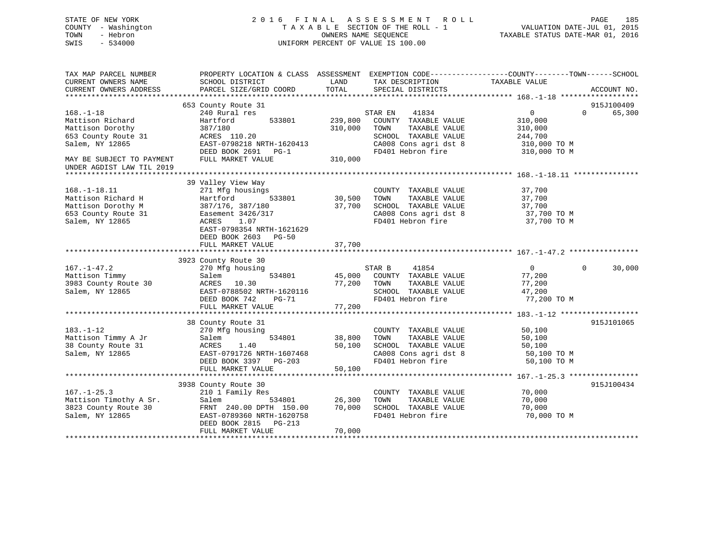## STATE OF NEW YORK 2 0 1 6 F I N A L A S S E S S M E N T R O L L PAGE 185 COUNTY - Washington T A X A B L E SECTION OF THE ROLL - 1 VALUATION DATE-JUL 01, 2015 TOWN - Hebron OWNERS NAME SEQUENCE TAXABLE STATUS DATE-MAR 01, 2016 SWIS - 534000 UNIFORM PERCENT OF VALUE IS 100.00

| TAX MAP PARCEL NUMBER<br>CURRENT OWNERS NAME | PROPERTY LOCATION & CLASS ASSESSMENT EXEMPTION CODE----------------COUNTY-------TOWN------SCHOOL<br>SCHOOL DISTRICT | LAND    | TAX DESCRIPTION       | TAXABLE VALUE  |                    |
|----------------------------------------------|---------------------------------------------------------------------------------------------------------------------|---------|-----------------------|----------------|--------------------|
| CURRENT OWNERS ADDRESS                       | PARCEL SIZE/GRID COORD                                                                                              | TOTAL   | SPECIAL DISTRICTS     |                | ACCOUNT NO.        |
|                                              |                                                                                                                     |         |                       |                |                    |
|                                              |                                                                                                                     |         |                       |                |                    |
|                                              | 653 County Route 31                                                                                                 |         |                       |                | 915J100409         |
| $168. - 1 - 18$                              | 240 Rural res                                                                                                       |         | 41834<br>STAR EN      | $\mathbf{0}$   | $\Omega$<br>65,300 |
| Mattison Richard                             | Hartford<br>533801                                                                                                  | 239,800 | COUNTY TAXABLE VALUE  | 310,000        |                    |
| Mattison Dorothy                             | 387/180                                                                                                             | 310,000 | TAXABLE VALUE<br>TOWN | 310,000        |                    |
| 653 County Route 31                          | ACRES 110.20                                                                                                        |         | SCHOOL TAXABLE VALUE  | 244,700        |                    |
| Salem, NY 12865                              | EAST-0798218 NRTH-1620413                                                                                           |         | CA008 Cons agri dst 8 | 310,000 TO M   |                    |
|                                              | DEED BOOK 2691<br>$PG-1$                                                                                            |         | FD401 Hebron fire     | 310,000 TO M   |                    |
| MAY BE SUBJECT TO PAYMENT                    | FULL MARKET VALUE                                                                                                   | 310,000 |                       |                |                    |
| UNDER AGDIST LAW TIL 2019                    |                                                                                                                     |         |                       |                |                    |
|                                              |                                                                                                                     |         |                       |                |                    |
|                                              | 39 Valley View Way                                                                                                  |         |                       |                |                    |
| $168. - 1 - 18.11$                           | 271 Mfg housings                                                                                                    |         | COUNTY TAXABLE VALUE  | 37,700         |                    |
| Mattison Richard H                           | Hartford<br>533801                                                                                                  | 30,500  | TOWN<br>TAXABLE VALUE | 37,700         |                    |
| Mattison Dorothy M                           | 387/176, 387/180                                                                                                    | 37,700  | SCHOOL TAXABLE VALUE  | 37,700         |                    |
| 653 County Route 31                          | Easement 3426/317                                                                                                   |         | CA008 Cons agri dst 8 | 37,700 TO M    |                    |
| Salem, NY 12865                              | ACRES<br>1.07                                                                                                       |         | FD401 Hebron fire     | 37,700 TO M    |                    |
|                                              |                                                                                                                     |         |                       |                |                    |
|                                              | EAST-0798354 NRTH-1621629                                                                                           |         |                       |                |                    |
|                                              | DEED BOOK 2603<br>$PG-50$                                                                                           |         |                       |                |                    |
|                                              | FULL MARKET VALUE                                                                                                   | 37,700  |                       |                |                    |
|                                              |                                                                                                                     |         |                       |                |                    |
|                                              | 3923 County Route 30                                                                                                |         |                       |                |                    |
| $167. - 1 - 47.2$                            | 270 Mfg housing                                                                                                     |         | STAR B<br>41854       | $\overline{0}$ | $\Omega$<br>30,000 |
| Mattison Timmy                               | 534801<br>Salem                                                                                                     | 45,000  | COUNTY TAXABLE VALUE  | 77,200         |                    |
| 3983 County Route 30                         | ACRES<br>10.30                                                                                                      | 77,200  | TOWN<br>TAXABLE VALUE | 77,200         |                    |
| Salem, NY 12865                              | EAST-0788502 NRTH-1620116                                                                                           |         | SCHOOL TAXABLE VALUE  | 47,200         |                    |
|                                              | DEED BOOK 742<br>$PG-71$                                                                                            |         | FD401 Hebron fire     | 77,200 TO M    |                    |
|                                              | FULL MARKET VALUE                                                                                                   | 77,200  |                       |                |                    |
|                                              |                                                                                                                     |         |                       |                |                    |
|                                              | 38 County Route 31                                                                                                  |         |                       |                | 915J101065         |
| $183. - 1 - 12$                              | 270 Mfg housing                                                                                                     |         | COUNTY TAXABLE VALUE  | 50,100         |                    |
| Mattison Timmy A Jr                          | 534801<br>Salem                                                                                                     | 38,800  | TOWN<br>TAXABLE VALUE | 50,100         |                    |
|                                              |                                                                                                                     |         | SCHOOL TAXABLE VALUE  |                |                    |
| 38 County Route 31                           | ACRES<br>1.40                                                                                                       | 50,100  |                       | 50,100         |                    |
| Salem, NY 12865                              | EAST-0791726 NRTH-1607468                                                                                           |         | CA008 Cons agri dst 8 | 50,100 TO M    |                    |
|                                              | DEED BOOK 3397 PG-203                                                                                               |         | FD401 Hebron fire     | 50,100 TO M    |                    |
|                                              | FULL MARKET VALUE                                                                                                   | 50,100  |                       |                |                    |
|                                              |                                                                                                                     |         |                       |                |                    |
|                                              | 3938 County Route 30                                                                                                |         |                       |                | 915J100434         |
| $167. - 1 - 25.3$                            | 210 1 Family Res                                                                                                    |         | COUNTY TAXABLE VALUE  | 70,000         |                    |
| Mattison Timothy A Sr.                       | Salem<br>534801                                                                                                     | 26,300  | TAXABLE VALUE<br>TOWN | 70,000         |                    |
| 3823 County Route 30                         | FRNT 240.00 DPTH 150.00                                                                                             | 70,000  | SCHOOL TAXABLE VALUE  | 70,000         |                    |
| Salem, NY 12865                              | EAST-0789360 NRTH-1620758                                                                                           |         | FD401 Hebron fire     | 70,000 TO M    |                    |
|                                              | DEED BOOK 2815<br>$PG-213$                                                                                          |         |                       |                |                    |
|                                              | FULL MARKET VALUE                                                                                                   | 70,000  |                       |                |                    |
|                                              |                                                                                                                     |         |                       |                |                    |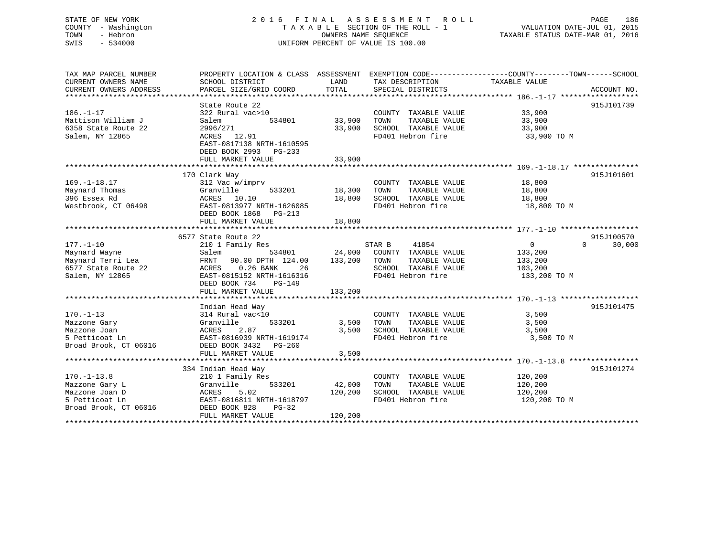## STATE OF NEW YORK 2 0 1 6 F I N A L A S S E S S M E N T R O L L PAGE 186 COUNTY - Washington T A X A B L E SECTION OF THE ROLL - 1 VALUATION DATE-JUL 01, 2015 TOWN - Hebron OWNERS NAME SEQUENCE TAXABLE STATUS DATE-MAR 01, 2016 SWIS - 534000 UNIFORM PERCENT OF VALUE IS 100.00

TAX MAP PARCEL NUMBER PROPERTY LOCATION & CLASS ASSESSMENT EXEMPTION CODE------------------COUNTY--------TOWN------SCHOOL

| CURRENT OWNERS NAME    | SCHOOL DISTRICT            | LAND    | TAX DESCRIPTION       | TAXABLE VALUE  |                    |
|------------------------|----------------------------|---------|-----------------------|----------------|--------------------|
| CURRENT OWNERS ADDRESS | PARCEL SIZE/GRID COORD     | TOTAL   | SPECIAL DISTRICTS     |                | ACCOUNT NO.        |
|                        |                            |         |                       |                |                    |
|                        | State Route 22             |         |                       |                | 915J101739         |
| $186. - 1 - 17$        | 322 Rural vac>10           |         | COUNTY TAXABLE VALUE  | 33,900         |                    |
| Mattison William J     | Salem<br>534801            | 33,900  | TOWN<br>TAXABLE VALUE | 33,900         |                    |
| 6358 State Route 22    | 2996/271                   | 33,900  | SCHOOL TAXABLE VALUE  | 33,900         |                    |
| Salem, NY 12865        | ACRES 12.91                |         | FD401 Hebron fire     | 33,900 TO M    |                    |
|                        | EAST-0817138 NRTH-1610595  |         |                       |                |                    |
|                        | DEED BOOK 2993 PG-233      |         |                       |                |                    |
|                        | FULL MARKET VALUE          | 33,900  |                       |                |                    |
|                        |                            |         |                       |                |                    |
|                        | 170 Clark Way              |         |                       |                | 915J101601         |
| $169. - 1 - 18.17$     | 312 Vac w/imprv            |         | COUNTY TAXABLE VALUE  | 18,800         |                    |
| Maynard Thomas         | 533201<br>Granville        | 18,300  | TAXABLE VALUE<br>TOWN | 18,800         |                    |
| 396 Essex Rd           | ACRES 10.10                | 18,800  | SCHOOL TAXABLE VALUE  | 18,800         |                    |
| Westbrook, CT 06498    | EAST-0813977 NRTH-1626085  |         | FD401 Hebron fire     | 18,800 TO M    |                    |
|                        | DEED BOOK 1868<br>PG-213   |         |                       |                |                    |
|                        | FULL MARKET VALUE          | 18,800  |                       |                |                    |
|                        |                            |         |                       |                |                    |
|                        | 6577 State Route 22        |         |                       |                | 915J100570         |
| $177. - 1 - 10$        | 210 1 Family Res           |         | STAR B<br>41854       | $\overline{0}$ | $\Omega$<br>30,000 |
| Maynard Wayne          | Salem<br>534801            | 24,000  | COUNTY TAXABLE VALUE  | 133,200        |                    |
| Maynard Terri Lea      | FRNT<br>90.00 DPTH 124.00  | 133,200 | TOWN<br>TAXABLE VALUE | 133,200        |                    |
| 6577 State Route 22    | $0.26$ BANK<br>ACRES<br>26 |         | SCHOOL TAXABLE VALUE  | 103,200        |                    |
| Salem, NY 12865        | EAST-0815152 NRTH-1616316  |         | FD401 Hebron fire     | 133,200 TO M   |                    |
|                        | DEED BOOK 734<br>$PG-149$  |         |                       |                |                    |
|                        | FULL MARKET VALUE          | 133,200 |                       |                |                    |
|                        |                            |         |                       |                |                    |
|                        | Indian Head Way            |         |                       |                | 915J101475         |
| $170. - 1 - 13$        | 314 Rural vac<10           |         | COUNTY TAXABLE VALUE  | 3,500          |                    |
| Mazzone Gary           | 533201<br>Granville        | 3,500   | TAXABLE VALUE<br>TOWN | 3,500          |                    |
| Mazzone Joan           | 2.87<br>ACRES              | 3,500   | SCHOOL TAXABLE VALUE  | 3,500          |                    |
| 5 Petticoat Ln         | EAST-0816939 NRTH-1619174  |         | FD401 Hebron fire     | 3,500 TO M     |                    |
| Broad Brook, CT 06016  | DEED BOOK 3432 PG-260      |         |                       |                |                    |
|                        | FULL MARKET VALUE          | 3,500   |                       |                |                    |
|                        |                            |         |                       |                |                    |
|                        | 334 Indian Head Way        |         |                       |                | 915J101274         |
| $170. - 1 - 13.8$      | 210 1 Family Res           |         | COUNTY TAXABLE VALUE  | 120,200        |                    |
| Mazzone Gary L         | Granville<br>533201        | 42,000  | TOWN<br>TAXABLE VALUE | 120,200        |                    |
| Mazzone Joan D         | ACRES<br>5.02              | 120,200 | SCHOOL TAXABLE VALUE  | 120,200        |                    |
| 5 Petticoat Ln         | EAST-0816811 NRTH-1618797  |         | FD401 Hebron fire     | 120,200 TO M   |                    |
| Broad Brook, CT 06016  | DEED BOOK 828<br>$PG-32$   |         |                       |                |                    |
|                        | FULL MARKET VALUE          | 120,200 |                       |                |                    |
|                        |                            |         |                       |                |                    |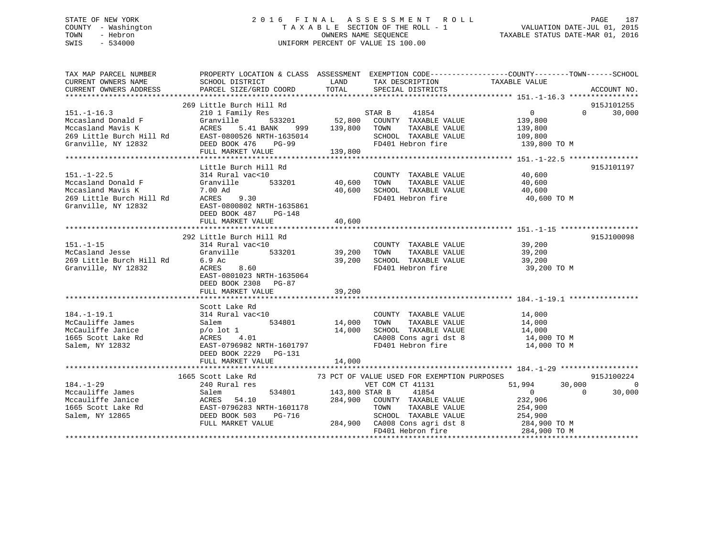# STATE OF NEW YORK 2016 FINAL ASSESSMENT ROLL PAGE 187 COUNTY - Washington  $T A X A B L E$  SECTION OF THE ROLL - 1<br>TOWN - Hebron DATE-JUL 000NERS NAME SEQUENCE SWIS - 534000 UNIFORM PERCENT OF VALUE IS 100.00

TAXABLE STATUS DATE-MAR 01, 2016

| TAX MAP PARCEL NUMBER<br>CURRENT OWNERS NAME SCHOOL DISTRICT | PROPERTY LOCATION & CLASS ASSESSMENT EXEMPTION CODE----------------COUNTY-------TOWN------SCHOOL<br><b>LAND</b>                                                                                                                                                                                          |       | TAX DESCRIPTION TAXABLE VALUE                                                                                                                                                                                   |                                                  |             |
|--------------------------------------------------------------|----------------------------------------------------------------------------------------------------------------------------------------------------------------------------------------------------------------------------------------------------------------------------------------------------------|-------|-----------------------------------------------------------------------------------------------------------------------------------------------------------------------------------------------------------------|--------------------------------------------------|-------------|
| CURRENT OWNERS ADDRESS                                       | PARCEL SIZE/GRID COORD                                                                                                                                                                                                                                                                                   | TOTAL | SPECIAL DISTRICTS                                                                                                                                                                                               |                                                  | ACCOUNT NO. |
|                                                              |                                                                                                                                                                                                                                                                                                          |       |                                                                                                                                                                                                                 |                                                  |             |
|                                                              | 269 Little Burch Hill Rd<br>369 Little Burch Hill Rd<br>Mccasland Donald F 210 1 Family Res<br>Mccasland Mavis K GCRES 5.41 BANK 999 139,800 TOWN TAXABLE VALUE<br>269 Little Rurch Hill Rd<br>269 Little Rurch Hill Rd<br>269 GCRES 5.41 BANK 999 139,800 TOWN TAXA                                     |       |                                                                                                                                                                                                                 |                                                  | 915J101255  |
| $151. - 1 - 22.5$                                            | Little Burch Hill Rd<br>314 Rural vac<10<br>151.-1-22.5 314 Rural vac<10 COUNTY TAXABLE VALUE 40,600<br>Mccasland Donald F Granville 533201 40,600 TOWN TAXABLE VALUE 40,600<br>Mccasland Mavis K 7.00 Ad 40,600 SCHOOL TAXABLE VALUE 40,600<br>269 Little Burch Hill Rd ACRES 9<br>DEED BOOK 487 PG-148 |       | $\begin{tabular}{lllllllll} \multicolumn{2}{c}{\textbf{COUNTY}} & \textbf{TXABLE VALUE} & & & \textbf{40,600} \\ \multicolumn{2}{c}{\textbf{TOWN}} & \textbf{TXABLE VALUE} & & & \textbf{40,600} \end{tabular}$ | 40,600 TO M                                      | 915J101197  |
| Granville, NY 12832                                          | 292 Little Burch Hill Rd<br>314 Rural vac<10<br>6.9 Ac<br>ACRES        8.60<br>EAST-0801023 NRTH-1635064<br>DEED BOOK 2308 PG-87                                                                                                                                                                         |       | COUNTY TAXABLE VALUE 39,200<br>FD401 Hebron fire                                                                                                                                                                | 39,200 TO M                                      | 915J100098  |
|                                                              | Scott Lake Rd<br>184.-1-19.1<br>McCauliffe James<br>McCauliffe James<br>McCauliffe Jamice<br>McCauliffe Janice<br>McCauliffe Janice<br>McCauliffe Janice<br>McCauliffe Janice<br>Po lot 1<br>ACRES<br>4.01<br>Salem, NY 12832<br>EAST-0796982 NRTH-1601797<br>DEED BOOK 2229 PG-131                      |       | COUNTY TAXABLE VALUE 14,000<br>FD401 Hebron fire                                                                                                                                                                | CA008 Cons agri dst 8 14,000 TO M<br>14,000 TO M |             |
| $184. - 1 - 29$                                              | 184.-1-29<br>Mccauliffe James Salem Salem 534801 143,800 STAR B 41854<br>Mccauliffe Jamice ACRES 54.10<br>1665 Scott Lake Rd EAST-0796283 NRTH-1601178 TOWN TAXABLE VALUE 254,900<br>Salem, NY 12865 DEED BOOK 503 PG-716 284,900 CA00                                                                   |       |                                                                                                                                                                                                                 |                                                  |             |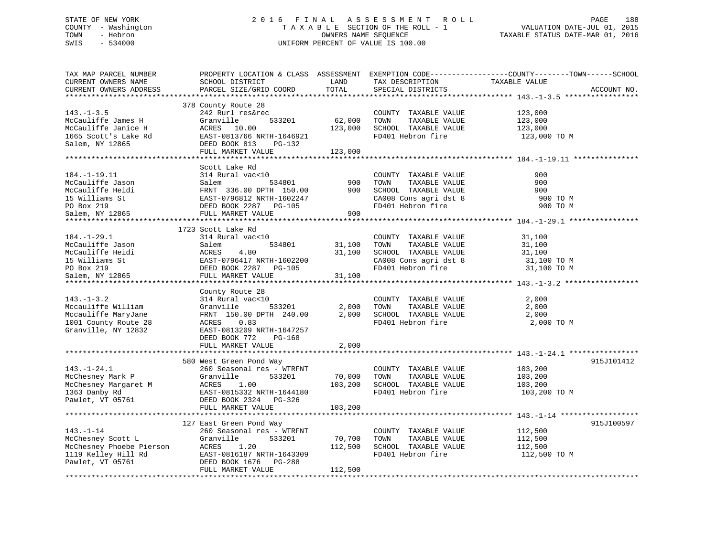## STATE OF NEW YORK 2 0 1 6 F I N A L A S S E S S M E N T R O L L PAGE 188 COUNTY - Washington T A X A B L E SECTION OF THE ROLL - 1 VALUATION DATE-JUL 01, 2015 TOWN - Hebron OWNERS NAME SEQUENCE TAXABLE STATUS DATE-MAR 01, 2016 SWIS - 534000 UNIFORM PERCENT OF VALUE IS 100.00

| TAX MAP PARCEL NUMBER<br>CURRENT OWNERS NAME<br>CURRENT OWNERS ADDRESS                                        | SCHOOL DISTRICT<br>PARCEL SIZE/GRID COORD                                                                                                                                           | LAND<br>TOTAL                | TAX DESCRIPTION<br>SPECIAL DISTRICTS                                                                                | PROPERTY LOCATION & CLASS ASSESSMENT EXEMPTION CODE---------------COUNTY-------TOWN------SCHOOL<br>TAXABLE VALUE<br>ACCOUNT NO. |
|---------------------------------------------------------------------------------------------------------------|-------------------------------------------------------------------------------------------------------------------------------------------------------------------------------------|------------------------------|---------------------------------------------------------------------------------------------------------------------|---------------------------------------------------------------------------------------------------------------------------------|
| $143. - 1 - 3.5$<br>McCauliffe James H<br>McCauliffe Janice H<br>1665 Scott's Lake Rd<br>Salem, NY 12865      | 378 County Route 28<br>242 Rurl res&rec<br>Granville<br>533201<br>ACRES 10.00<br>EAST-0813766 NRTH-1646921<br>DEED BOOK 813<br>PG-132<br>FULL MARKET VALUE                          | 62,000<br>123,000<br>123,000 | COUNTY TAXABLE VALUE<br>TAXABLE VALUE<br>TOWN<br>SCHOOL TAXABLE VALUE<br>FD401 Hebron fire                          | 123,000<br>123,000<br>123,000<br>123,000 TO M                                                                                   |
| $184. - 1 - 19.11$<br>McCauliffe Jason<br>McCauliffe Heidi<br>15 Williams St<br>PO Box 219<br>Salem, NY 12865 | Scott Lake Rd<br>314 Rural vac<10<br>Salem<br>534801<br>FRNT 336.00 DPTH 150.00<br>EAST-0796812 NRTH-1602247<br>DEED BOOK 2287 PG-105<br>FULL MARKET VALUE                          | 900<br>900<br>900            | COUNTY TAXABLE VALUE<br>TOWN<br>TAXABLE VALUE<br>SCHOOL TAXABLE VALUE<br>CA008 Cons agri dst 8<br>FD401 Hebron fire | 900<br>900<br>900<br>900 TO M<br>900 TO M                                                                                       |
| $184. - 1 - 29.1$<br>McCauliffe Jason<br>McCauliffe Heidi<br>15 Williams St<br>PO Box 219<br>Salem, NY 12865  | 1723 Scott Lake Rd<br>314 Rural vac<10<br>534801<br>Salem<br>ACRES<br>4.80<br>EAST-0796417 NRTH-1602200<br>DEED BOOK 2287 PG-105<br>FULL MARKET VALUE                               | 31,100<br>31,100<br>31,100   | COUNTY TAXABLE VALUE<br>TOWN<br>TAXABLE VALUE<br>SCHOOL TAXABLE VALUE<br>CA008 Cons agri dst 8<br>FD401 Hebron fire | 31,100<br>31,100<br>31,100<br>31,100 TO M<br>31,100 TO M                                                                        |
| $143. - 1 - 3.2$<br>Mccauliffe William<br>Mccauliffe MaryJane<br>1001 County Route 28<br>Granville, NY 12832  | County Route 28<br>314 Rural vac<10<br>Granville<br>533201<br>FRNT 150.00 DPTH 240.00<br>0.83<br>ACRES<br>EAST-0813209 NRTH-1647257<br>DEED BOOK 772<br>PG-168<br>FULL MARKET VALUE | 2,000<br>2,000<br>2,000      | COUNTY TAXABLE VALUE<br>TOWN<br>TAXABLE VALUE<br>SCHOOL TAXABLE VALUE<br>FD401 Hebron fire                          | 2,000<br>2,000<br>2,000<br>2,000 TO M                                                                                           |
| $143. - 1 - 24.1$<br>McChesney Mark P<br>McChesney Margaret M<br>1363 Danby Rd<br>Pawlet, VT 05761            | 580 West Green Pond Way<br>260 Seasonal res - WTRFNT<br>533201<br>Granville<br>ACRES<br>1.00<br>EAST-0815332 NRTH-1644180<br>DEED BOOK 2324 PG-326<br>FULL MARKET VALUE             | 70,000<br>103,200<br>103,200 | COUNTY TAXABLE VALUE<br>TOWN<br>TAXABLE VALUE<br>SCHOOL TAXABLE VALUE<br>FD401 Hebron fire                          | 915J101412<br>103,200<br>103,200<br>103,200<br>103,200 TO M                                                                     |
| $143. - 1 - 14$<br>McChesney Scott L<br>McChesney Phoebe Pierson<br>1119 Kelley Hill Rd<br>Pawlet, VT 05761   | 127 East Green Pond Way<br>260 Seasonal res - WTRFNT<br>533201<br>Granville<br>ACRES<br>1.20<br>EAST-0816187 NRTH-1643309<br>DEED BOOK 1676<br>PG-288<br>FULL MARKET VALUE          | 70,700<br>112,500<br>112,500 | COUNTY TAXABLE VALUE<br>TAXABLE VALUE<br>TOWN<br>SCHOOL TAXABLE VALUE<br>FD401 Hebron fire                          | 915J100597<br>112,500<br>112,500<br>112,500<br>112,500 TO M                                                                     |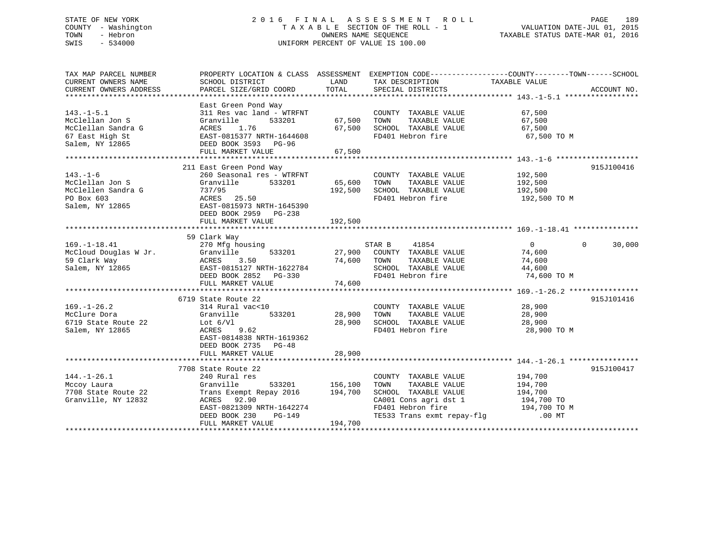## STATE OF NEW YORK 2 0 1 6 F I N A L A S S E S S M E N T R O L L PAGE 189 COUNTY - Washington T A X A B L E SECTION OF THE ROLL - 1 VALUATION DATE-JUL 01, 2015 TOWN - Hebron OWNERS NAME SEQUENCE TAXABLE STATUS DATE-MAR 01, 2016 SWIS - 534000 UNIFORM PERCENT OF VALUE IS 100.00

| TAX MAP PARCEL NUMBER  | PROPERTY LOCATION & CLASS ASSESSMENT EXEMPTION CODE---------------COUNTY-------TOWN-----SCHOOL |         |                             |                |                    |
|------------------------|------------------------------------------------------------------------------------------------|---------|-----------------------------|----------------|--------------------|
| CURRENT OWNERS NAME    | SCHOOL DISTRICT                                                                                | LAND    | TAX DESCRIPTION             | TAXABLE VALUE  |                    |
| CURRENT OWNERS ADDRESS | PARCEL SIZE/GRID COORD                                                                         | TOTAL   | SPECIAL DISTRICTS           |                | ACCOUNT NO.        |
|                        |                                                                                                |         |                             |                |                    |
|                        | East Green Pond Way                                                                            |         |                             |                |                    |
| $143. - 1 - 5.1$       | 311 Res vac land - WTRFNT                                                                      |         | COUNTY TAXABLE VALUE        | 67,500         |                    |
| McClellan Jon S        | Granville<br>533201                                                                            | 67,500  | TOWN<br>TAXABLE VALUE       | 67,500         |                    |
| McClellan Sandra G     | ACRES<br>1.76                                                                                  | 67,500  | SCHOOL TAXABLE VALUE        | 67,500         |                    |
| 67 East High St        | EAST-0815377 NRTH-1644608                                                                      |         | FD401 Hebron fire           | 67,500 TO M    |                    |
| Salem, NY 12865        | DEED BOOK 3593 PG-96                                                                           |         |                             |                |                    |
|                        | FULL MARKET VALUE                                                                              | 67,500  |                             |                |                    |
|                        |                                                                                                |         |                             |                |                    |
|                        | 211 East Green Pond Way                                                                        |         |                             |                | 915J100416         |
| $143. - 1 - 6$         | 260 Seasonal res - WTRFNT                                                                      |         | COUNTY TAXABLE VALUE        | 192,500        |                    |
| McClellan Jon S        | Granville<br>533201                                                                            | 65,600  | TOWN<br>TAXABLE VALUE       | 192,500        |                    |
| McClellen Sandra G     | 737/95                                                                                         | 192,500 | SCHOOL TAXABLE VALUE        | 192,500        |                    |
| PO Box 603             | ACRES<br>25.50                                                                                 |         | FD401 Hebron fire           | 192,500 TO M   |                    |
| Salem, NY 12865        | EAST-0815973 NRTH-1645390                                                                      |         |                             |                |                    |
|                        | DEED BOOK 2959 PG-238                                                                          |         |                             |                |                    |
|                        | FULL MARKET VALUE                                                                              | 192,500 |                             |                |                    |
|                        |                                                                                                |         |                             |                |                    |
|                        | 59 Clark Way                                                                                   |         |                             |                |                    |
| $169. - 1 - 18.41$     | 270 Mfg housing                                                                                |         | STAR B<br>41854             | $\overline{0}$ | $\Omega$<br>30,000 |
| McCloud Douglas W Jr.  | Granville<br>533201                                                                            |         | 27,900 COUNTY TAXABLE VALUE | 74,600         |                    |
| 59 Clark Way           | ACRES<br>3.50                                                                                  | 74,600  | TOWN<br>TAXABLE VALUE       | 74,600         |                    |
| Salem, NY 12865        | EAST-0815127 NRTH-1622784                                                                      |         | SCHOOL TAXABLE VALUE        | 44,600         |                    |
|                        |                                                                                                |         | FD401 Hebron fire           |                |                    |
|                        | DEED BOOK 2852<br>PG-330                                                                       |         |                             | 74,600 TO M    |                    |
|                        | FULL MARKET VALUE                                                                              | 74,600  |                             |                |                    |
|                        |                                                                                                |         |                             |                |                    |
|                        | 6719 State Route 22                                                                            |         |                             |                | 915J101416         |
| $169. - 1 - 26.2$      | 314 Rural vac<10                                                                               |         | COUNTY TAXABLE VALUE        | 28,900         |                    |
| McClure Dora           | Granville<br>533201                                                                            | 28,900  | TOWN<br>TAXABLE VALUE       | 28,900         |                    |
| 6719 State Route 22    | Lot $6/V1$                                                                                     | 28,900  | SCHOOL TAXABLE VALUE        | 28,900         |                    |
| Salem, NY 12865        | 9.62<br>ACRES                                                                                  |         | FD401 Hebron fire           | 28,900 TO M    |                    |
|                        | EAST-0814838 NRTH-1619362                                                                      |         |                             |                |                    |
|                        | DEED BOOK 2735 PG-48                                                                           |         |                             |                |                    |
|                        | FULL MARKET VALUE                                                                              | 28,900  |                             |                |                    |
|                        |                                                                                                |         |                             |                |                    |
|                        | 7708 State Route 22                                                                            |         |                             |                | 915J100417         |
| $144. - 1 - 26.1$      | 240 Rural res                                                                                  |         | COUNTY TAXABLE VALUE        | 194,700        |                    |
| Mccoy Laura            | Granville<br>533201                                                                            | 156,100 | TOWN<br>TAXABLE VALUE       | 194,700        |                    |
| 7708 State Route 22    | Trans Exempt Repay 2016                                                                        | 194,700 | SCHOOL TAXABLE VALUE        | 194,700        |                    |
| Granville, NY 12832    | ACRES<br>92.90                                                                                 |         | CA001 Cons agri dst 1       | 194,700 TO     |                    |
|                        | EAST-0821309 NRTH-1642274                                                                      |         | FD401 Hebron fire           | 194,700 TO M   |                    |
|                        | DEED BOOK 230<br>PG-149                                                                        |         | TE533 Trans exmt repay-flg  | $.00$ MT       |                    |
|                        | FULL MARKET VALUE                                                                              | 194,700 |                             |                |                    |
|                        |                                                                                                |         |                             |                |                    |
|                        |                                                                                                |         |                             |                |                    |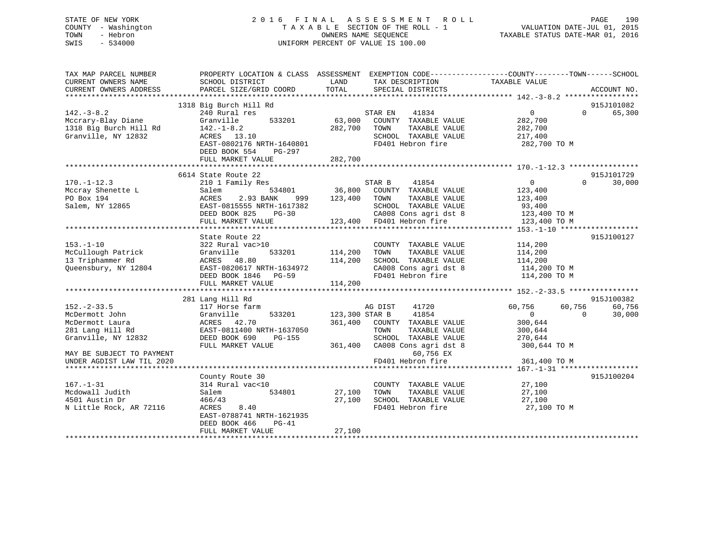## STATE OF NEW YORK 2 0 1 6 F I N A L A S S E S S M E N T R O L L PAGE 190 COUNTY - Washington T A X A B L E SECTION OF THE ROLL - 1 VALUATION DATE-JUL 01, 2015 TOWN - Hebron OWNERS NAME SEQUENCE TAXABLE STATUS DATE-MAR 01, 2016 SWIS - 534000 UNIFORM PERCENT OF VALUE IS 100.00

| 1318 Big Burch Hill Rd<br>915J101082<br>41834<br>$\mathbf{0}$<br>65,300<br>240 Rural res<br>STAR EN<br>$\Omega$<br>533201<br>63,000<br>282,700<br>Granville<br>COUNTY TAXABLE VALUE<br>$142. - 1 - 8.2$<br>282,700<br>TOWN<br>TAXABLE VALUE<br>282,700<br>Granville, NY 12832<br>ACRES 13.10<br>SCHOOL TAXABLE VALUE<br>217,400<br>EAST-0802176 NRTH-1640801<br>FD401 Hebron fire<br>282,700 TO M<br>DEED BOOK 554<br>PG-297<br>282,700<br>FULL MARKET VALUE<br>6614 State Route 22<br>915J101729<br>STAR B<br>41854<br>$\Omega$<br>$\Omega$<br>30,000<br>210 1 Family Res<br>36,800<br>534801<br>COUNTY TAXABLE VALUE<br>123,400<br>Salem<br>2.93 BANK<br>ACRES<br>123,400<br>TOWN<br>TAXABLE VALUE<br>123,400<br>999<br>SCHOOL TAXABLE VALUE<br>EAST-0815555 NRTH-1617382<br>93,400<br>CA008 Cons agri dst 8<br>DEED BOOK 825<br>$PG-30$<br>123,400 TO M<br>123,400 FD401 Hebron fire<br>FULL MARKET VALUE<br>123,400 TO M<br>915J100127<br>State Route 22<br>322 Rural vac>10<br>COUNTY TAXABLE VALUE<br>114,200<br>533201<br>114,200<br>TAXABLE VALUE<br>Granville<br>TOWN<br>114,200<br>ACRES 48.80<br>114,200<br>SCHOOL TAXABLE VALUE<br>114,200<br>CA008 Cons agri dst 8<br>EAST-0820617 NRTH-1634972<br>114,200 TO M<br>FD401 Hebron fire<br>DEED BOOK 1846 PG-59<br>114,200 TO M<br>FULL MARKET VALUE<br>114,200<br>915J100382<br>281 Lang Hill Rd<br>117 Horse farm<br>AG DIST<br>41720<br>60,756<br>60,756<br>60,756<br>41854<br>Granville<br>533201<br>123,300 STAR B<br>$\Omega$<br>$\Omega$<br>30,000<br>ACRES 42.70<br>361,400<br>300,644<br>COUNTY TAXABLE VALUE<br>EAST-0811400 NRTH-1637050<br>TAXABLE VALUE<br>TOWN<br>300,644<br>Granville, NY 12832<br>SCHOOL TAXABLE VALUE<br>DEED BOOK 690<br>PG-155<br>270,644<br>FULL MARKET VALUE<br>361,400<br>CA008 Cons agri dst 8<br>300,644 TO M<br>60,756 EX<br>FD401 Hebron fire<br>361,400 TO M<br>County Route 30<br>915J100204<br>$167. - 1 - 31$<br>314 Rural vac<10<br>COUNTY TAXABLE VALUE<br>27,100<br>Mcdowall Judith<br>534801<br>27,100<br>TOWN<br>TAXABLE VALUE<br>27,100<br>Salem<br>4501 Austin Dr<br>27,100<br>SCHOOL TAXABLE VALUE<br>27,100<br>466/43<br>N Little Rock, AR 72116<br>8.40<br>FD401 Hebron fire<br>ACRES<br>27,100 TO M<br>EAST-0788741 NRTH-1621935<br>DEED BOOK 466<br>$PG-41$<br>27,100<br>FULL MARKET VALUE | TAX MAP PARCEL NUMBER<br>CURRENT OWNERS NAME<br>CURRENT OWNERS ADDRESS | PROPERTY LOCATION & CLASS ASSESSMENT<br>SCHOOL DISTRICT<br>PARCEL SIZE/GRID COORD | LAND<br>TAX DESCRIPTION<br>TOTAL<br>SPECIAL DISTRICTS | EXEMPTION CODE----------------COUNTY-------TOWN------SCHOOL<br>TAXABLE VALUE<br>ACCOUNT NO. |
|----------------------------------------------------------------------------------------------------------------------------------------------------------------------------------------------------------------------------------------------------------------------------------------------------------------------------------------------------------------------------------------------------------------------------------------------------------------------------------------------------------------------------------------------------------------------------------------------------------------------------------------------------------------------------------------------------------------------------------------------------------------------------------------------------------------------------------------------------------------------------------------------------------------------------------------------------------------------------------------------------------------------------------------------------------------------------------------------------------------------------------------------------------------------------------------------------------------------------------------------------------------------------------------------------------------------------------------------------------------------------------------------------------------------------------------------------------------------------------------------------------------------------------------------------------------------------------------------------------------------------------------------------------------------------------------------------------------------------------------------------------------------------------------------------------------------------------------------------------------------------------------------------------------------------------------------------------------------------------------------------------------------------------------------------------------------------------------------------------------------------------------------------------------------------------------------------------------------------------------------------------------------------------------------------------------|------------------------------------------------------------------------|-----------------------------------------------------------------------------------|-------------------------------------------------------|---------------------------------------------------------------------------------------------|
|                                                                                                                                                                                                                                                                                                                                                                                                                                                                                                                                                                                                                                                                                                                                                                                                                                                                                                                                                                                                                                                                                                                                                                                                                                                                                                                                                                                                                                                                                                                                                                                                                                                                                                                                                                                                                                                                                                                                                                                                                                                                                                                                                                                                                                                                                                                |                                                                        |                                                                                   |                                                       |                                                                                             |
|                                                                                                                                                                                                                                                                                                                                                                                                                                                                                                                                                                                                                                                                                                                                                                                                                                                                                                                                                                                                                                                                                                                                                                                                                                                                                                                                                                                                                                                                                                                                                                                                                                                                                                                                                                                                                                                                                                                                                                                                                                                                                                                                                                                                                                                                                                                |                                                                        |                                                                                   |                                                       |                                                                                             |
|                                                                                                                                                                                                                                                                                                                                                                                                                                                                                                                                                                                                                                                                                                                                                                                                                                                                                                                                                                                                                                                                                                                                                                                                                                                                                                                                                                                                                                                                                                                                                                                                                                                                                                                                                                                                                                                                                                                                                                                                                                                                                                                                                                                                                                                                                                                | $142.-3-8.2$                                                           |                                                                                   |                                                       |                                                                                             |
|                                                                                                                                                                                                                                                                                                                                                                                                                                                                                                                                                                                                                                                                                                                                                                                                                                                                                                                                                                                                                                                                                                                                                                                                                                                                                                                                                                                                                                                                                                                                                                                                                                                                                                                                                                                                                                                                                                                                                                                                                                                                                                                                                                                                                                                                                                                | Mccrary-Blay Diane                                                     |                                                                                   |                                                       |                                                                                             |
|                                                                                                                                                                                                                                                                                                                                                                                                                                                                                                                                                                                                                                                                                                                                                                                                                                                                                                                                                                                                                                                                                                                                                                                                                                                                                                                                                                                                                                                                                                                                                                                                                                                                                                                                                                                                                                                                                                                                                                                                                                                                                                                                                                                                                                                                                                                | 1318 Big Burch Hill Rd                                                 |                                                                                   |                                                       |                                                                                             |
|                                                                                                                                                                                                                                                                                                                                                                                                                                                                                                                                                                                                                                                                                                                                                                                                                                                                                                                                                                                                                                                                                                                                                                                                                                                                                                                                                                                                                                                                                                                                                                                                                                                                                                                                                                                                                                                                                                                                                                                                                                                                                                                                                                                                                                                                                                                |                                                                        |                                                                                   |                                                       |                                                                                             |
|                                                                                                                                                                                                                                                                                                                                                                                                                                                                                                                                                                                                                                                                                                                                                                                                                                                                                                                                                                                                                                                                                                                                                                                                                                                                                                                                                                                                                                                                                                                                                                                                                                                                                                                                                                                                                                                                                                                                                                                                                                                                                                                                                                                                                                                                                                                |                                                                        |                                                                                   |                                                       |                                                                                             |
|                                                                                                                                                                                                                                                                                                                                                                                                                                                                                                                                                                                                                                                                                                                                                                                                                                                                                                                                                                                                                                                                                                                                                                                                                                                                                                                                                                                                                                                                                                                                                                                                                                                                                                                                                                                                                                                                                                                                                                                                                                                                                                                                                                                                                                                                                                                |                                                                        |                                                                                   |                                                       |                                                                                             |
|                                                                                                                                                                                                                                                                                                                                                                                                                                                                                                                                                                                                                                                                                                                                                                                                                                                                                                                                                                                                                                                                                                                                                                                                                                                                                                                                                                                                                                                                                                                                                                                                                                                                                                                                                                                                                                                                                                                                                                                                                                                                                                                                                                                                                                                                                                                |                                                                        |                                                                                   |                                                       |                                                                                             |
|                                                                                                                                                                                                                                                                                                                                                                                                                                                                                                                                                                                                                                                                                                                                                                                                                                                                                                                                                                                                                                                                                                                                                                                                                                                                                                                                                                                                                                                                                                                                                                                                                                                                                                                                                                                                                                                                                                                                                                                                                                                                                                                                                                                                                                                                                                                |                                                                        |                                                                                   |                                                       |                                                                                             |
|                                                                                                                                                                                                                                                                                                                                                                                                                                                                                                                                                                                                                                                                                                                                                                                                                                                                                                                                                                                                                                                                                                                                                                                                                                                                                                                                                                                                                                                                                                                                                                                                                                                                                                                                                                                                                                                                                                                                                                                                                                                                                                                                                                                                                                                                                                                |                                                                        |                                                                                   |                                                       |                                                                                             |
|                                                                                                                                                                                                                                                                                                                                                                                                                                                                                                                                                                                                                                                                                                                                                                                                                                                                                                                                                                                                                                                                                                                                                                                                                                                                                                                                                                                                                                                                                                                                                                                                                                                                                                                                                                                                                                                                                                                                                                                                                                                                                                                                                                                                                                                                                                                | $170. - 1 - 12.3$                                                      |                                                                                   |                                                       |                                                                                             |
|                                                                                                                                                                                                                                                                                                                                                                                                                                                                                                                                                                                                                                                                                                                                                                                                                                                                                                                                                                                                                                                                                                                                                                                                                                                                                                                                                                                                                                                                                                                                                                                                                                                                                                                                                                                                                                                                                                                                                                                                                                                                                                                                                                                                                                                                                                                | Mccray Shenette L                                                      |                                                                                   |                                                       |                                                                                             |
|                                                                                                                                                                                                                                                                                                                                                                                                                                                                                                                                                                                                                                                                                                                                                                                                                                                                                                                                                                                                                                                                                                                                                                                                                                                                                                                                                                                                                                                                                                                                                                                                                                                                                                                                                                                                                                                                                                                                                                                                                                                                                                                                                                                                                                                                                                                | PO Box 194                                                             |                                                                                   |                                                       |                                                                                             |
|                                                                                                                                                                                                                                                                                                                                                                                                                                                                                                                                                                                                                                                                                                                                                                                                                                                                                                                                                                                                                                                                                                                                                                                                                                                                                                                                                                                                                                                                                                                                                                                                                                                                                                                                                                                                                                                                                                                                                                                                                                                                                                                                                                                                                                                                                                                | Salem, NY 12865                                                        |                                                                                   |                                                       |                                                                                             |
|                                                                                                                                                                                                                                                                                                                                                                                                                                                                                                                                                                                                                                                                                                                                                                                                                                                                                                                                                                                                                                                                                                                                                                                                                                                                                                                                                                                                                                                                                                                                                                                                                                                                                                                                                                                                                                                                                                                                                                                                                                                                                                                                                                                                                                                                                                                |                                                                        |                                                                                   |                                                       |                                                                                             |
|                                                                                                                                                                                                                                                                                                                                                                                                                                                                                                                                                                                                                                                                                                                                                                                                                                                                                                                                                                                                                                                                                                                                                                                                                                                                                                                                                                                                                                                                                                                                                                                                                                                                                                                                                                                                                                                                                                                                                                                                                                                                                                                                                                                                                                                                                                                |                                                                        |                                                                                   |                                                       |                                                                                             |
|                                                                                                                                                                                                                                                                                                                                                                                                                                                                                                                                                                                                                                                                                                                                                                                                                                                                                                                                                                                                                                                                                                                                                                                                                                                                                                                                                                                                                                                                                                                                                                                                                                                                                                                                                                                                                                                                                                                                                                                                                                                                                                                                                                                                                                                                                                                |                                                                        |                                                                                   |                                                       |                                                                                             |
|                                                                                                                                                                                                                                                                                                                                                                                                                                                                                                                                                                                                                                                                                                                                                                                                                                                                                                                                                                                                                                                                                                                                                                                                                                                                                                                                                                                                                                                                                                                                                                                                                                                                                                                                                                                                                                                                                                                                                                                                                                                                                                                                                                                                                                                                                                                |                                                                        |                                                                                   |                                                       |                                                                                             |
|                                                                                                                                                                                                                                                                                                                                                                                                                                                                                                                                                                                                                                                                                                                                                                                                                                                                                                                                                                                                                                                                                                                                                                                                                                                                                                                                                                                                                                                                                                                                                                                                                                                                                                                                                                                                                                                                                                                                                                                                                                                                                                                                                                                                                                                                                                                | $153. - 1 - 10$                                                        |                                                                                   |                                                       |                                                                                             |
|                                                                                                                                                                                                                                                                                                                                                                                                                                                                                                                                                                                                                                                                                                                                                                                                                                                                                                                                                                                                                                                                                                                                                                                                                                                                                                                                                                                                                                                                                                                                                                                                                                                                                                                                                                                                                                                                                                                                                                                                                                                                                                                                                                                                                                                                                                                | McCullough Patrick                                                     |                                                                                   |                                                       |                                                                                             |
|                                                                                                                                                                                                                                                                                                                                                                                                                                                                                                                                                                                                                                                                                                                                                                                                                                                                                                                                                                                                                                                                                                                                                                                                                                                                                                                                                                                                                                                                                                                                                                                                                                                                                                                                                                                                                                                                                                                                                                                                                                                                                                                                                                                                                                                                                                                | 13 Triphammer Rd                                                       |                                                                                   |                                                       |                                                                                             |
|                                                                                                                                                                                                                                                                                                                                                                                                                                                                                                                                                                                                                                                                                                                                                                                                                                                                                                                                                                                                                                                                                                                                                                                                                                                                                                                                                                                                                                                                                                                                                                                                                                                                                                                                                                                                                                                                                                                                                                                                                                                                                                                                                                                                                                                                                                                | Queensbury, NY 12804                                                   |                                                                                   |                                                       |                                                                                             |
|                                                                                                                                                                                                                                                                                                                                                                                                                                                                                                                                                                                                                                                                                                                                                                                                                                                                                                                                                                                                                                                                                                                                                                                                                                                                                                                                                                                                                                                                                                                                                                                                                                                                                                                                                                                                                                                                                                                                                                                                                                                                                                                                                                                                                                                                                                                |                                                                        |                                                                                   |                                                       |                                                                                             |
|                                                                                                                                                                                                                                                                                                                                                                                                                                                                                                                                                                                                                                                                                                                                                                                                                                                                                                                                                                                                                                                                                                                                                                                                                                                                                                                                                                                                                                                                                                                                                                                                                                                                                                                                                                                                                                                                                                                                                                                                                                                                                                                                                                                                                                                                                                                |                                                                        |                                                                                   |                                                       |                                                                                             |
|                                                                                                                                                                                                                                                                                                                                                                                                                                                                                                                                                                                                                                                                                                                                                                                                                                                                                                                                                                                                                                                                                                                                                                                                                                                                                                                                                                                                                                                                                                                                                                                                                                                                                                                                                                                                                                                                                                                                                                                                                                                                                                                                                                                                                                                                                                                |                                                                        |                                                                                   |                                                       |                                                                                             |
|                                                                                                                                                                                                                                                                                                                                                                                                                                                                                                                                                                                                                                                                                                                                                                                                                                                                                                                                                                                                                                                                                                                                                                                                                                                                                                                                                                                                                                                                                                                                                                                                                                                                                                                                                                                                                                                                                                                                                                                                                                                                                                                                                                                                                                                                                                                |                                                                        |                                                                                   |                                                       |                                                                                             |
|                                                                                                                                                                                                                                                                                                                                                                                                                                                                                                                                                                                                                                                                                                                                                                                                                                                                                                                                                                                                                                                                                                                                                                                                                                                                                                                                                                                                                                                                                                                                                                                                                                                                                                                                                                                                                                                                                                                                                                                                                                                                                                                                                                                                                                                                                                                | $152. - 2 - 33.5$                                                      |                                                                                   |                                                       |                                                                                             |
|                                                                                                                                                                                                                                                                                                                                                                                                                                                                                                                                                                                                                                                                                                                                                                                                                                                                                                                                                                                                                                                                                                                                                                                                                                                                                                                                                                                                                                                                                                                                                                                                                                                                                                                                                                                                                                                                                                                                                                                                                                                                                                                                                                                                                                                                                                                | McDermott John                                                         |                                                                                   |                                                       |                                                                                             |
|                                                                                                                                                                                                                                                                                                                                                                                                                                                                                                                                                                                                                                                                                                                                                                                                                                                                                                                                                                                                                                                                                                                                                                                                                                                                                                                                                                                                                                                                                                                                                                                                                                                                                                                                                                                                                                                                                                                                                                                                                                                                                                                                                                                                                                                                                                                | McDermott Laura                                                        |                                                                                   |                                                       |                                                                                             |
|                                                                                                                                                                                                                                                                                                                                                                                                                                                                                                                                                                                                                                                                                                                                                                                                                                                                                                                                                                                                                                                                                                                                                                                                                                                                                                                                                                                                                                                                                                                                                                                                                                                                                                                                                                                                                                                                                                                                                                                                                                                                                                                                                                                                                                                                                                                | 281 Lang Hill Rd                                                       |                                                                                   |                                                       |                                                                                             |
|                                                                                                                                                                                                                                                                                                                                                                                                                                                                                                                                                                                                                                                                                                                                                                                                                                                                                                                                                                                                                                                                                                                                                                                                                                                                                                                                                                                                                                                                                                                                                                                                                                                                                                                                                                                                                                                                                                                                                                                                                                                                                                                                                                                                                                                                                                                |                                                                        |                                                                                   |                                                       |                                                                                             |
|                                                                                                                                                                                                                                                                                                                                                                                                                                                                                                                                                                                                                                                                                                                                                                                                                                                                                                                                                                                                                                                                                                                                                                                                                                                                                                                                                                                                                                                                                                                                                                                                                                                                                                                                                                                                                                                                                                                                                                                                                                                                                                                                                                                                                                                                                                                |                                                                        |                                                                                   |                                                       |                                                                                             |
|                                                                                                                                                                                                                                                                                                                                                                                                                                                                                                                                                                                                                                                                                                                                                                                                                                                                                                                                                                                                                                                                                                                                                                                                                                                                                                                                                                                                                                                                                                                                                                                                                                                                                                                                                                                                                                                                                                                                                                                                                                                                                                                                                                                                                                                                                                                | MAY BE SUBJECT TO PAYMENT                                              |                                                                                   |                                                       |                                                                                             |
|                                                                                                                                                                                                                                                                                                                                                                                                                                                                                                                                                                                                                                                                                                                                                                                                                                                                                                                                                                                                                                                                                                                                                                                                                                                                                                                                                                                                                                                                                                                                                                                                                                                                                                                                                                                                                                                                                                                                                                                                                                                                                                                                                                                                                                                                                                                | UNDER AGDIST LAW TIL 2020                                              |                                                                                   |                                                       |                                                                                             |
|                                                                                                                                                                                                                                                                                                                                                                                                                                                                                                                                                                                                                                                                                                                                                                                                                                                                                                                                                                                                                                                                                                                                                                                                                                                                                                                                                                                                                                                                                                                                                                                                                                                                                                                                                                                                                                                                                                                                                                                                                                                                                                                                                                                                                                                                                                                |                                                                        |                                                                                   |                                                       |                                                                                             |
|                                                                                                                                                                                                                                                                                                                                                                                                                                                                                                                                                                                                                                                                                                                                                                                                                                                                                                                                                                                                                                                                                                                                                                                                                                                                                                                                                                                                                                                                                                                                                                                                                                                                                                                                                                                                                                                                                                                                                                                                                                                                                                                                                                                                                                                                                                                |                                                                        |                                                                                   |                                                       |                                                                                             |
|                                                                                                                                                                                                                                                                                                                                                                                                                                                                                                                                                                                                                                                                                                                                                                                                                                                                                                                                                                                                                                                                                                                                                                                                                                                                                                                                                                                                                                                                                                                                                                                                                                                                                                                                                                                                                                                                                                                                                                                                                                                                                                                                                                                                                                                                                                                |                                                                        |                                                                                   |                                                       |                                                                                             |
|                                                                                                                                                                                                                                                                                                                                                                                                                                                                                                                                                                                                                                                                                                                                                                                                                                                                                                                                                                                                                                                                                                                                                                                                                                                                                                                                                                                                                                                                                                                                                                                                                                                                                                                                                                                                                                                                                                                                                                                                                                                                                                                                                                                                                                                                                                                |                                                                        |                                                                                   |                                                       |                                                                                             |
|                                                                                                                                                                                                                                                                                                                                                                                                                                                                                                                                                                                                                                                                                                                                                                                                                                                                                                                                                                                                                                                                                                                                                                                                                                                                                                                                                                                                                                                                                                                                                                                                                                                                                                                                                                                                                                                                                                                                                                                                                                                                                                                                                                                                                                                                                                                |                                                                        |                                                                                   |                                                       |                                                                                             |
|                                                                                                                                                                                                                                                                                                                                                                                                                                                                                                                                                                                                                                                                                                                                                                                                                                                                                                                                                                                                                                                                                                                                                                                                                                                                                                                                                                                                                                                                                                                                                                                                                                                                                                                                                                                                                                                                                                                                                                                                                                                                                                                                                                                                                                                                                                                |                                                                        |                                                                                   |                                                       |                                                                                             |
|                                                                                                                                                                                                                                                                                                                                                                                                                                                                                                                                                                                                                                                                                                                                                                                                                                                                                                                                                                                                                                                                                                                                                                                                                                                                                                                                                                                                                                                                                                                                                                                                                                                                                                                                                                                                                                                                                                                                                                                                                                                                                                                                                                                                                                                                                                                |                                                                        |                                                                                   |                                                       |                                                                                             |
|                                                                                                                                                                                                                                                                                                                                                                                                                                                                                                                                                                                                                                                                                                                                                                                                                                                                                                                                                                                                                                                                                                                                                                                                                                                                                                                                                                                                                                                                                                                                                                                                                                                                                                                                                                                                                                                                                                                                                                                                                                                                                                                                                                                                                                                                                                                |                                                                        |                                                                                   |                                                       |                                                                                             |
|                                                                                                                                                                                                                                                                                                                                                                                                                                                                                                                                                                                                                                                                                                                                                                                                                                                                                                                                                                                                                                                                                                                                                                                                                                                                                                                                                                                                                                                                                                                                                                                                                                                                                                                                                                                                                                                                                                                                                                                                                                                                                                                                                                                                                                                                                                                |                                                                        |                                                                                   |                                                       |                                                                                             |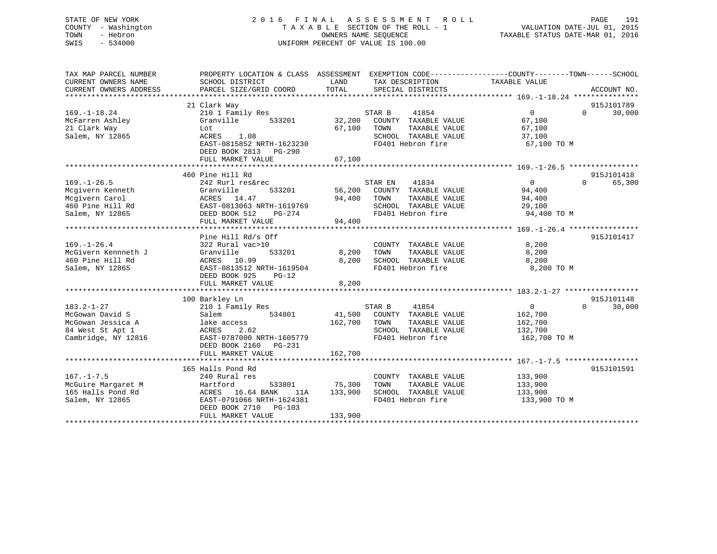## STATE OF NEW YORK 2 0 1 6 F I N A L A S S E S S M E N T R O L L PAGE 191 COUNTY - Washington T A X A B L E SECTION OF THE ROLL - 1 VALUATION DATE-JUL 01, 2015 TOWN - Hebron OWNERS NAME SEQUENCE TAXABLE STATUS DATE-MAR 01, 2016 SWIS - 534000 UNIFORM PERCENT OF VALUE IS 100.00

| TAX MAP PARCEL NUMBER<br>CURRENT OWNERS NAME | PROPERTY LOCATION & CLASS ASSESSMENT EXEMPTION CODE---------------COUNTY-------TOWN-----SCHOOL<br>SCHOOL DISTRICT | LAND          | TAX DESCRIPTION                           | TAXABLE VALUE           |                                  |
|----------------------------------------------|-------------------------------------------------------------------------------------------------------------------|---------------|-------------------------------------------|-------------------------|----------------------------------|
| CURRENT OWNERS ADDRESS                       | PARCEL SIZE/GRID COORD                                                                                            | TOTAL         | SPECIAL DISTRICTS                         |                         | ACCOUNT NO.                      |
|                                              |                                                                                                                   |               |                                           |                         |                                  |
| $169. - 1 - 18.24$                           | 21 Clark Way<br>210 1 Family Res                                                                                  |               | STAR B<br>41854                           | $\mathbf 0$             | 915J101789<br>$\Omega$<br>30,000 |
| McFarren Ashley                              | Granville<br>533201                                                                                               |               | 32,200 COUNTY TAXABLE VALUE               | 67,100                  |                                  |
| 21 Clark Way                                 | Lot                                                                                                               | 67,100        | TOWN<br>TAXABLE VALUE                     | 67,100                  |                                  |
| Salem, NY 12865                              | 1.08<br>ACRES                                                                                                     |               | SCHOOL TAXABLE VALUE                      | 37,100                  |                                  |
|                                              | EAST-0815852 NRTH-1623230                                                                                         |               | FD401 Hebron fire                         | 67,100 TO M             |                                  |
|                                              | DEED BOOK 2813 PG-290                                                                                             |               |                                           |                         |                                  |
|                                              | FULL MARKET VALUE                                                                                                 | 67,100        |                                           |                         |                                  |
|                                              |                                                                                                                   |               |                                           |                         |                                  |
|                                              | 460 Pine Hill Rd                                                                                                  |               |                                           |                         | 915J101418                       |
| $169. - 1 - 26.5$                            | 242 Rurl res&rec                                                                                                  |               | STAR EN<br>41834                          | $0 \qquad \qquad$       | $\Omega$<br>65,300               |
| Mcgivern Kenneth                             | 533201<br>Granville                                                                                               |               | 56,200 COUNTY TAXABLE VALUE               | 94,400                  |                                  |
| Mcgivern Carol                               | ACRES 14.47                                                                                                       | 94,400        | TOWN<br>TAXABLE VALUE                     | 94,400                  |                                  |
| 460 Pine Hill Rd                             | EAST-0813063 NRTH-1619769                                                                                         |               | SCHOOL TAXABLE VALUE                      | 29,100                  |                                  |
| Salem, NY 12865                              | DEED BOOK 512<br>PG-274                                                                                           |               | FD401 Hebron fire                         | 94,400 TO M             |                                  |
|                                              | FULL MARKET VALUE                                                                                                 | 94,400        |                                           |                         |                                  |
|                                              |                                                                                                                   |               |                                           |                         |                                  |
|                                              | Pine Hill Rd/s Off                                                                                                |               |                                           |                         | 915J101417                       |
| $169. - 1 - 26.4$                            | 322 Rural vac>10                                                                                                  |               | COUNTY TAXABLE VALUE                      | 8,200                   |                                  |
| McGivern Kennneth J                          | Granville<br>533201                                                                                               | 8,200         | TAXABLE VALUE<br>TOWN                     | 8,200                   |                                  |
| 460 Pine Hill Rd                             | ACRES 10.99                                                                                                       | 8,200         | SCHOOL TAXABLE VALUE                      | 8,200                   |                                  |
| Salem, NY 12865                              | EAST-0813512 NRTH-1619504                                                                                         |               | FD401 Hebron fire                         | 8,200 TO M              |                                  |
|                                              | DEED BOOK 925<br>$PG-12$                                                                                          |               |                                           |                         |                                  |
|                                              | FULL MARKET VALUE                                                                                                 | 8,200         |                                           |                         |                                  |
|                                              |                                                                                                                   |               |                                           |                         |                                  |
|                                              | 100 Barkley Ln                                                                                                    |               |                                           |                         | 915J101148                       |
| $183.2 - 1 - 27$                             | 210 1 Family Res                                                                                                  |               | STAR B<br>41854                           | $\overline{0}$          | $\Omega$<br>30,000               |
| McGowan David S                              | 534801<br>Salem                                                                                                   |               | 41,500 COUNTY TAXABLE VALUE               | 162,700                 |                                  |
| McGowan Jessica A                            | lake access                                                                                                       | 162,700       | TOWN<br>TAXABLE VALUE                     | 162,700                 |                                  |
| 84 West St Apt 1<br>Cambridge, NY 12816      | 2.62<br>ACRES<br>EAST-0787000 NRTH-1605779                                                                        |               | SCHOOL TAXABLE VALUE<br>FD401 Hebron fire | 132,700<br>162,700 TO M |                                  |
|                                              | PG-231                                                                                                            |               |                                           |                         |                                  |
|                                              | DEED BOOK 2160<br>FULL MARKET VALUE                                                                               | 162,700       |                                           |                         |                                  |
|                                              |                                                                                                                   |               |                                           |                         |                                  |
|                                              | 165 Halls Pond Rd                                                                                                 |               |                                           |                         | 915J101591                       |
| $167. - 1 - 7.5$                             | 240 Rural res                                                                                                     |               | COUNTY TAXABLE VALUE                      | 133,900                 |                                  |
| McGuire Margaret M                           | Hartford                                                                                                          | 533801 75,300 | TOWN<br>TAXABLE VALUE                     | 133,900                 |                                  |
| 165 Halls Pond Rd                            | ACRES 16.64 BANK<br>11A                                                                                           | 133,900       | SCHOOL TAXABLE VALUE                      | 133,900                 |                                  |
| Salem, NY 12865                              | EAST-0791066 NRTH-1624381                                                                                         |               | FD401 Hebron fire                         | 133,900 TO M            |                                  |
|                                              | DEED BOOK 2710<br>PG-103                                                                                          |               |                                           |                         |                                  |
|                                              | FULL MARKET VALUE                                                                                                 | 133,900       |                                           |                         |                                  |
|                                              |                                                                                                                   |               |                                           |                         |                                  |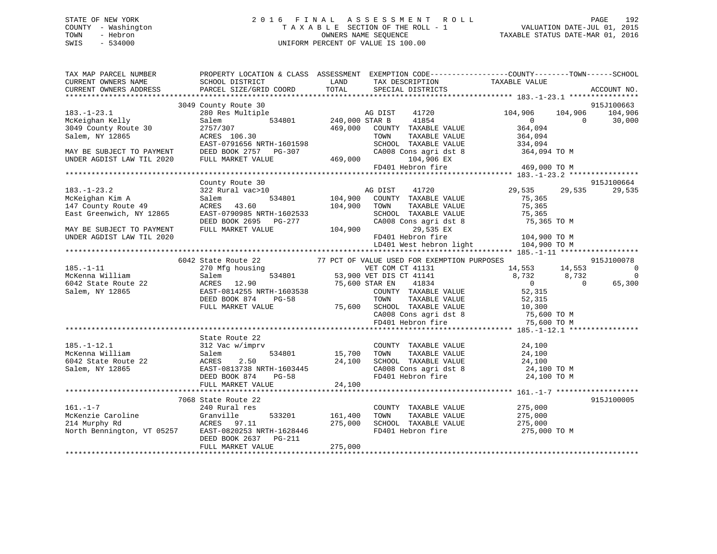# STATE OF NEW YORK 2016 FINAL ASSESSMENT ROLL PAGE 192 COUNTY - Washington  $T A X A B L E$  SECTION OF THE ROLL - 1<br>TOWN - Hebron DATE-JUL 000NERS NAME SEQUENCE SWIS - 534000 UNIFORM PERCENT OF VALUE IS 100.00

VALUATION DATE-JUL 01, 2015 TAXABLE STATUS DATE-MAR 01, 2016

| TAX MAP PARCEL NUMBER<br>CURRENT OWNERS NAME<br>CURRENT OWNERS ADDRESS | PROPERTY LOCATION & CLASS ASSESSMENT EXEMPTION CODE---------------COUNTY-------TOWN-----SCHOOL<br>SCHOOL DISTRICT<br>PARCEL SIZE/GRID COORD | LAND<br>TOTAL  | TAX DESCRIPTION<br>SPECIAL DISTRICTS        | TAXABLE VALUE              | ACCOUNT NO.    |
|------------------------------------------------------------------------|---------------------------------------------------------------------------------------------------------------------------------------------|----------------|---------------------------------------------|----------------------------|----------------|
|                                                                        |                                                                                                                                             |                |                                             |                            |                |
|                                                                        | 3049 County Route 30                                                                                                                        |                |                                             |                            | 915J100663     |
| $183. - 1 - 23.1$                                                      | 280 Res Multiple                                                                                                                            |                | 41720<br>AG DIST                            | 104,906<br>104,906         | 104,906        |
| McKeighan Kelly                                                        | 534801<br>Salem                                                                                                                             | 240,000 STAR B | 41854                                       | $\Omega$<br>$\overline{0}$ | 30,000         |
| 3049 County Route 30                                                   | 2757/307                                                                                                                                    | 469,000        | COUNTY TAXABLE VALUE                        | 364,094                    |                |
| Salem, NY 12865                                                        | ACRES 106.30                                                                                                                                |                | TAXABLE VALUE<br>TOWN                       | 364,094                    |                |
|                                                                        | EAST-0791656 NRTH-1601598                                                                                                                   |                | SCHOOL TAXABLE VALUE                        | 334,094                    |                |
| MAY BE SUBJECT TO PAYMENT                                              | DEED BOOK 2757 PG-307                                                                                                                       |                | CA008 Cons agri dst 8                       | 364,094 TO M               |                |
| UNDER AGDIST LAW TIL 2020                                              | FULL MARKET VALUE                                                                                                                           | 469,000        | 104,906 EX                                  |                            |                |
|                                                                        |                                                                                                                                             |                | FD401 Hebron fire                           | 469,000 TO M               |                |
|                                                                        |                                                                                                                                             |                |                                             |                            |                |
|                                                                        | County Route 30                                                                                                                             |                |                                             |                            | 915J100664     |
| $183. - 1 - 23.2$                                                      | 322 Rural vac>10                                                                                                                            |                | AG DIST<br>41720                            | 29,535<br>29,535           | 29,535         |
| McKeighan Kim A                                                        | 534801<br>Salem                                                                                                                             | 104,900        | COUNTY TAXABLE VALUE                        | 75,365                     |                |
| 147 County Route 49                                                    | ACRES<br>43.60                                                                                                                              | 104,900        | TOWN<br>TAXABLE VALUE                       | 75,365                     |                |
| East Greenwich, NY 12865                                               | EAST-0790985 NRTH-1602533                                                                                                                   |                | SCHOOL TAXABLE VALUE                        | 75,365                     |                |
|                                                                        | DEED BOOK 2695 PG-277                                                                                                                       |                | CA008 Cons agri dst 8                       | 75,365 TO M                |                |
| MAY BE SUBJECT TO PAYMENT<br>UNDER AGDIST LAW TIL 2020                 | FULL MARKET VALUE                                                                                                                           | 104,900        | 29,535 EX<br>FD401 Hebron fire              | 104,900 TO M               |                |
|                                                                        |                                                                                                                                             |                | LD401 West hebron light                     | 104,900 TO M               |                |
|                                                                        |                                                                                                                                             |                |                                             |                            |                |
|                                                                        | 6042 State Route 22                                                                                                                         |                | 77 PCT OF VALUE USED FOR EXEMPTION PURPOSES |                            | 915J100078     |
| $185. - 1 - 11$                                                        | 270 Mfg housing                                                                                                                             |                | VET COM CT 41131                            | 14,553<br>14,553           | 0              |
| McKenna William                                                        | 534801<br>Salem                                                                                                                             |                | 53,900 VET DIS CT 41141                     | 8,732<br>8,732             | $\overline{0}$ |
| 6042 State Route 22                                                    | ACRES<br>12.90                                                                                                                              |                | 75,600 STAR EN<br>41834                     | $\overline{0}$<br>$\Omega$ | 65,300         |
| Salem, NY 12865                                                        | EAST-0814255 NRTH-1603538                                                                                                                   |                | COUNTY TAXABLE VALUE                        | 52,315                     |                |
|                                                                        | DEED BOOK 874<br>$PG-58$                                                                                                                    |                | TAXABLE VALUE<br>TOWN                       | 52,315                     |                |
|                                                                        | FULL MARKET VALUE                                                                                                                           | 75,600         | SCHOOL TAXABLE VALUE                        | 10,300                     |                |
|                                                                        |                                                                                                                                             |                | CA008 Cons agri dst 8                       | 75,600 TO M                |                |
|                                                                        |                                                                                                                                             |                | FD401 Hebron fire                           | 75,600 TO M                |                |
|                                                                        |                                                                                                                                             |                |                                             |                            |                |
|                                                                        | State Route 22                                                                                                                              |                |                                             |                            |                |
| $185. - 1 - 12.1$                                                      | 312 Vac w/imprv                                                                                                                             |                | COUNTY TAXABLE VALUE                        | 24,100                     |                |
| McKenna William                                                        | 534801<br>Salem                                                                                                                             | 15,700         | TAXABLE VALUE<br>TOWN                       | 24,100                     |                |
| 6042 State Route 22                                                    | <b>ACRES</b><br>2.50                                                                                                                        | 24,100         | SCHOOL TAXABLE VALUE                        | 24,100                     |                |
| Salem, NY 12865                                                        | EAST-0813738 NRTH-1603445                                                                                                                   |                | CA008 Cons agri dst 8                       | 24,100 TO M                |                |
|                                                                        | DEED BOOK 874<br>$PG-58$                                                                                                                    |                | FD401 Hebron fire                           | 24,100 TO M                |                |
|                                                                        | FULL MARKET VALUE                                                                                                                           | 24,100         |                                             |                            |                |
|                                                                        |                                                                                                                                             |                |                                             |                            |                |
|                                                                        | 7068 State Route 22                                                                                                                         |                |                                             |                            | 915J100005     |
| $161. - 1 - 7$                                                         | 240 Rural res                                                                                                                               |                | COUNTY TAXABLE VALUE                        | 275,000                    |                |
| McKenzie Caroline                                                      | Granville<br>533201                                                                                                                         | 161,400        | TOWN<br>TAXABLE VALUE                       | 275,000                    |                |
| 214 Murphy Rd                                                          | ACRES<br>97.11                                                                                                                              | 275,000        | SCHOOL TAXABLE VALUE                        | 275,000                    |                |
| North Bennington, VT 05257                                             | EAST-0820253 NRTH-1628446                                                                                                                   |                | FD401 Hebron fire                           | 275,000 TO M               |                |
|                                                                        | DEED BOOK 2637<br><b>PG-211</b>                                                                                                             |                |                                             |                            |                |
|                                                                        | FULL MARKET VALUE                                                                                                                           | 275,000        |                                             |                            |                |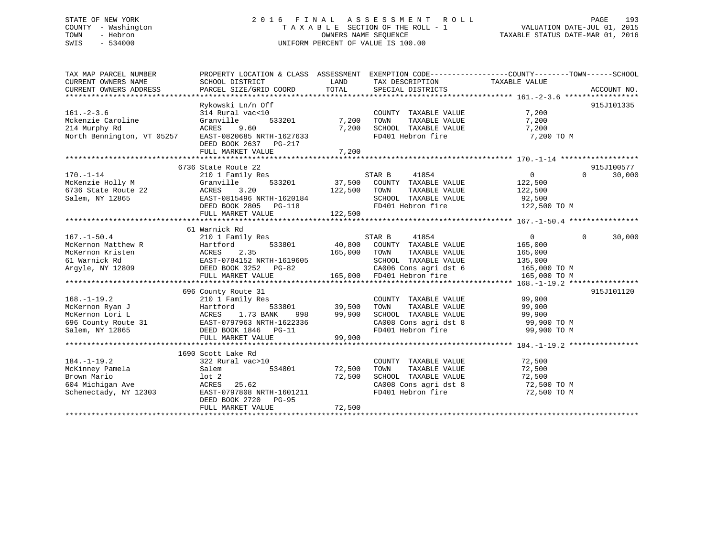## STATE OF NEW YORK 2 0 1 6 F I N A L A S S E S S M E N T R O L L PAGE 193 COUNTY - Washington T A X A B L E SECTION OF THE ROLL - 1 VALUATION DATE-JUL 01, 2015 TOWN - Hebron OWNERS NAME SEQUENCE TAXABLE STATUS DATE-MAR 01, 2016 SWIS - 534000 UNIFORM PERCENT OF VALUE IS 100.00

TAX MAP PARCEL NUMBER PROPERTY LOCATION & CLASS ASSESSMENT EXEMPTION CODE------------------COUNTY--------TOWN------SCHOOL CURRENT OWNERS NAME SCHOOL DISTRICT LAND TAX DESCRIPTION TAXABLE VALUE CURRENT OWNERS ADDRESS PARCEL SIZE/GRID COORD TOTAL SPECIAL DISTRICTS ACCOUNT NO. \*\*\*\*\*\*\*\*\*\*\*\*\*\*\*\*\*\*\*\*\*\*\*\*\*\*\*\*\*\*\*\*\*\*\*\*\*\*\*\*\*\*\*\*\*\*\*\*\*\*\*\*\*\*\*\*\*\*\*\*\*\*\*\*\*\*\*\*\*\*\*\*\*\*\*\*\*\*\*\*\*\*\*\*\*\*\*\*\*\*\*\*\*\*\*\*\*\*\*\*\*\*\* 161.-2-3.6 \*\*\*\*\*\*\*\*\*\*\*\*\*\*\*\*\* Rykowski Ln/n Off 915J101335 161.-2-3.6 314 Rural vac<10 COUNTY TAXABLE VALUE 7,200 Mckenzie Caroline Granville 533201 7,200 TOWN TAXABLE VALUE 7,200 214 Murphy Rd ACRES 9.60 7,200 SCHOOL TAXABLE VALUE 7,200 North Bennington, VT 05257 EAST-0820685 NRTH-1627633 FD401 Hebron fire 7,200 TO M DEED BOOK 2637 PG-217 FULL MARKET VALUE 7,200 \*\*\*\*\*\*\*\*\*\*\*\*\*\*\*\*\*\*\*\*\*\*\*\*\*\*\*\*\*\*\*\*\*\*\*\*\*\*\*\*\*\*\*\*\*\*\*\*\*\*\*\*\*\*\*\*\*\*\*\*\*\*\*\*\*\*\*\*\*\*\*\*\*\*\*\*\*\*\*\*\*\*\*\*\*\*\*\*\*\*\*\*\*\*\*\*\*\*\*\*\*\*\* 170.-1-14 \*\*\*\*\*\*\*\*\*\*\*\*\*\*\*\*\*\* 6736 State Route 22 915J100577 $0 \t 30,000$ 170.-1-14 210 1 Family Res STAR B 41854 0 0 30,000 McKenzie Holly M Granville 533201 37,500 COUNTY TAXABLE VALUE 122,500 6736 State Route 22 ACRES 3.20 122,500 TOWN TAXABLE VALUE 122,500 Salem, NY 12865 EAST-0815496 NRTH-1620184 SCHOOL TAXABLE VALUE 92,500 DEED BOOK 2805 PG-118 FD401 Hebron fire 122,500 TO M FULL MARKET VALUE 122,500 \*\*\*\*\*\*\*\*\*\*\*\*\*\*\*\*\*\*\*\*\*\*\*\*\*\*\*\*\*\*\*\*\*\*\*\*\*\*\*\*\*\*\*\*\*\*\*\*\*\*\*\*\*\*\*\*\*\*\*\*\*\*\*\*\*\*\*\*\*\*\*\*\*\*\*\*\*\*\*\*\*\*\*\*\*\*\*\*\*\*\*\*\*\*\*\*\*\*\*\*\*\*\* 167.-1-50.4 \*\*\*\*\*\*\*\*\*\*\*\*\*\*\*\* 61 Warnick Rd 167.-1-50.4 210 1 Family Res STAR B 41854 0 0 30,000 McKernon Matthew R Hartford 533801 40,800 COUNTY TAXABLE VALUE 165,000 McKernon Kristen ACRES 2.35 165,000 TOWN TAXABLE VALUE 165,000 61 Warnick Rd EAST-0784152 NRTH-1619605 SCHOOL TAXABLE VALUE 135,000 Argyle, NY 12809 DEED BOOK 3252 PG-82 CA006 Cons agri dst 6 165,000 TO M FULL MARKET VALUE 165,000 FD401 Hebron fire 165,000 TO M \*\*\*\*\*\*\*\*\*\*\*\*\*\*\*\*\*\*\*\*\*\*\*\*\*\*\*\*\*\*\*\*\*\*\*\*\*\*\*\*\*\*\*\*\*\*\*\*\*\*\*\*\*\*\*\*\*\*\*\*\*\*\*\*\*\*\*\*\*\*\*\*\*\*\*\*\*\*\*\*\*\*\*\*\*\*\*\*\*\*\*\*\*\*\*\*\*\*\*\*\*\*\* 168.-1-19.2 \*\*\*\*\*\*\*\*\*\*\*\*\*\*\*\* 696 County Route 31 915J101120 168.-1-19.2 210 1 Family Res COUNTY TAXABLE VALUE 99,900 McKernon Ryan J Hartford 533801 39,500 TOWN TAXABLE VALUE 99,900 McKernon Lori L ACRES 1.73 BANK 998 99,900 SCHOOL TAXABLE VALUE 99,900 696 County Route 31 EAST-0797963 NRTH-1622336 CA008 Cons agri dst 8 99,900 TO M Salem, NY 12865 DEED BOOK 1846 PG-11 FD401 Hebron fire 99,900 TO M FULL MARKET VALUE 99,900 \*\*\*\*\*\*\*\*\*\*\*\*\*\*\*\*\*\*\*\*\*\*\*\*\*\*\*\*\*\*\*\*\*\*\*\*\*\*\*\*\*\*\*\*\*\*\*\*\*\*\*\*\*\*\*\*\*\*\*\*\*\*\*\*\*\*\*\*\*\*\*\*\*\*\*\*\*\*\*\*\*\*\*\*\*\*\*\*\*\*\*\*\*\*\*\*\*\*\*\*\*\*\* 184.-1-19.2 \*\*\*\*\*\*\*\*\*\*\*\*\*\*\*\* 1690 Scott Lake Rd184.-1-19.2 322 Rural vac>10 COUNTY TAXABLE VALUE 72,500 McKinney Pamela Salem 534801 72,500 TOWN TAXABLE VALUE 72,500 Brown Mario lot 2 72,500 SCHOOL TAXABLE VALUE 72,500 604 Michigan Ave ACRES 25.62 CA008 Cons agri dst 8 72,500 TO M Schenectady, NY 12303 EAST-0797808 NRTH-1601211 FD401 Hebron fire 72,500 TO M DEED BOOK 2720 PG-95FULL MARKET VALUE 72,500 \*\*\*\*\*\*\*\*\*\*\*\*\*\*\*\*\*\*\*\*\*\*\*\*\*\*\*\*\*\*\*\*\*\*\*\*\*\*\*\*\*\*\*\*\*\*\*\*\*\*\*\*\*\*\*\*\*\*\*\*\*\*\*\*\*\*\*\*\*\*\*\*\*\*\*\*\*\*\*\*\*\*\*\*\*\*\*\*\*\*\*\*\*\*\*\*\*\*\*\*\*\*\*\*\*\*\*\*\*\*\*\*\*\*\*\*\*\*\*\*\*\*\*\*\*\*\*\*\*\*\*\*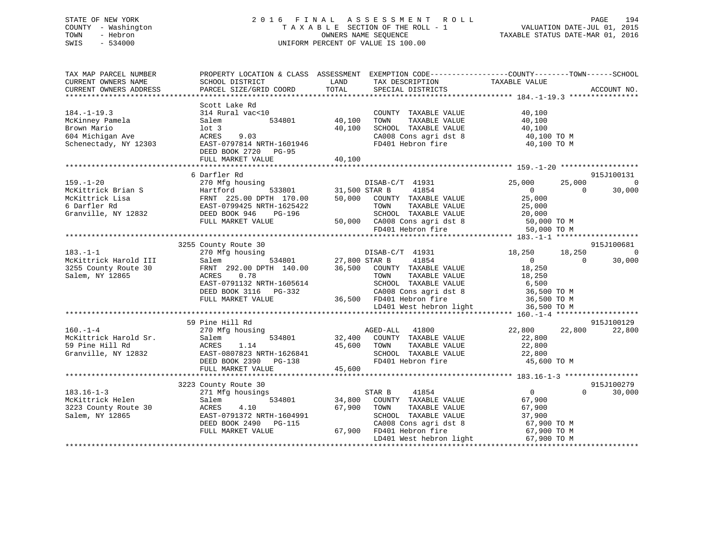## STATE OF NEW YORK 2 0 1 6 F I N A L A S S E S S M E N T R O L L PAGE 194 COUNTY - Washington T A X A B L E SECTION OF THE ROLL - 1 VALUATION DATE-JUL 01, 2015 TOWN - Hebron OWNERS NAME SEQUENCE TAXABLE STATUS DATE-MAR 01, 2016 SWIS - 534000 UNIFORM PERCENT OF VALUE IS 100.00

| TAX MAP PARCEL NUMBER<br>CURRENT OWNERS NAME<br>CURRENT OWNERS ADDRESS                           | SCHOOL DISTRICT<br>PARCEL SIZE/GRID COORD                                                                                                                | PROPERTY LOCATION & CLASS ASSESSMENT EXEMPTION CODE----------------COUNTY-------TOWN------SCHOOL<br>LAND<br>TAX DESCRIPTION<br>TOTAL<br>SPECIAL DISTRICTS                                                                                                                                                      | TAXABLE VALUE<br>ACCOUNT NO.                                                                                            |
|--------------------------------------------------------------------------------------------------|----------------------------------------------------------------------------------------------------------------------------------------------------------|----------------------------------------------------------------------------------------------------------------------------------------------------------------------------------------------------------------------------------------------------------------------------------------------------------------|-------------------------------------------------------------------------------------------------------------------------|
| $184. - 1 - 19.3$<br>McKinney Pamela<br>Brown Mario<br>604 Michigan Ave<br>Schenectady, NY 12303 | Scott Lake Rd<br>314 Rural vac<10<br>534801<br>Salem<br>lot 3<br>ACRES<br>9.03<br>EAST-0797814 NRTH-1601946<br>DEED BOOK 2720 PG-95<br>FULL MARKET VALUE | COUNTY TAXABLE VALUE<br>40,100<br>TAXABLE VALUE<br>TOWN<br>40,100<br>SCHOOL TAXABLE VALUE 40,100<br>CA008 Cons agri dst 8 40,100 TO M<br>FD401 Hebron fire<br>40,100                                                                                                                                           | 40,100<br>40,100<br>40,100 TO M                                                                                         |
|                                                                                                  |                                                                                                                                                          |                                                                                                                                                                                                                                                                                                                | 915J100131                                                                                                              |
| $159. - 1 - 20$<br>McKittrick Brian S<br>McKittrick Lisa<br>6 Darfler Rd<br>Granville, NY 12832  | FULL MARKET VALUE                                                                                                                                        | 270 Mfg housing<br>Hartford 533801 31,500 STAR B 41854<br>FRNT 225.00 DPTH 170.00 50,000 COUNTY TAXABLE VALUE<br>EAST-0799425 NRTH-1625422 TOWN TAXABLE VALUE<br>DEED BOOK 946 DG-106<br>FD401 Hebron fire                                                                                                     | 25,000<br>25,000<br>$\overline{0}$<br>$\Omega$<br>30,000<br>$\overline{0}$<br>25,000<br>25,000<br>20,000<br>50,000 TO M |
|                                                                                                  |                                                                                                                                                          |                                                                                                                                                                                                                                                                                                                |                                                                                                                         |
|                                                                                                  | 3255 County Route 30                                                                                                                                     |                                                                                                                                                                                                                                                                                                                | 915J100681                                                                                                              |
| $183. - 1 - 1$<br>McKittrick Harold III<br>3255 County Route 30<br>Salem, NY 12865               | 270 Mfg housing<br>Salem<br>0.78<br>ACRES<br>EAST-0791132 NRTH-1605614<br>DEED BOOK 3116 PG-332<br>FULL MARKET VALUE                                     | $\begin{tabular}{c} \tt DISAB-C/T & 41931 \\ \tt 534801 & 27,800 STR B & 41854 \\ \end{tabular}$<br>FRNT 292.00 DPTH 140.00 36,500 COUNTY TAXABLE VALUE<br>TOWN<br>TAXABLE VALUE<br>SCHOOL TAXABLE VALUE<br>CAOOL TAXABLE VALUE<br>CAOOS CONS agri dst 8 36,500 TO M<br>36,500 TO M<br>LD401 West hebron light | 18,250<br>18,250<br>$\overline{0}$<br>30,000<br>$\Omega$<br>$\overline{0}$<br>18,250<br>18,250<br>6,500<br>36,500 TO M  |
|                                                                                                  |                                                                                                                                                          |                                                                                                                                                                                                                                                                                                                |                                                                                                                         |
|                                                                                                  | 59 Pine Hill Rd                                                                                                                                          |                                                                                                                                                                                                                                                                                                                | 915J100129                                                                                                              |
| $160. - 1 - 4$<br>McKittrick Harold Sr.<br>59 Pine Hill Rd<br>Granville, NY 12832                | 270 Mfg housing<br>Salem<br>ACRES<br>1.14<br>EAST-0807823 NRTH-1626841<br>DEED BOOK 2390 PG-138<br>FULL MARKET VALUE                                     | AGED-ALL 41800<br>534801 32,400 COUNTY TAXABLE VALUE<br>45,600 TOWN<br>TAXABLE VALUE<br>SCHOOL TAXABLE VALUE<br>FD401 Hebron fire<br>45,600                                                                                                                                                                    | 22,800<br>22,800<br>22,800<br>22,800<br>22,800<br>22,800<br>45,600 TO M                                                 |
|                                                                                                  |                                                                                                                                                          |                                                                                                                                                                                                                                                                                                                |                                                                                                                         |
| $183.16 - 1 - 3$<br>McKittrick Helen<br>3223 County Route 30<br>Salem, NY 12865                  | 3223 County Route 30<br>271 Mfg housings<br>Salem<br>4.10<br>ACRES<br>EAST-0791372 NRTH-1604991<br>DEED BOOK 2490 PG-115<br>FULL MARKET VALUE            | STAR B<br>41854<br>534801 34,800<br>COUNTY TAXABLE VALUE<br>67,900<br>TAXABLE VALUE<br>TOWN<br>SCHOOL TAXABLE VALUE<br>15 CA008 Cons agri day<br>67,900 FD401 Hebron fire<br>CA008 Cons agri dst 8                                                                                                             | 915J100279<br>$\overline{0}$<br>$\Omega$<br>30,000<br>67,900<br>67,900<br>37,900<br>67,900 TO M<br>67,900 TO M          |
|                                                                                                  |                                                                                                                                                          | LD401 West hebron light                                                                                                                                                                                                                                                                                        | 67,900 TO M                                                                                                             |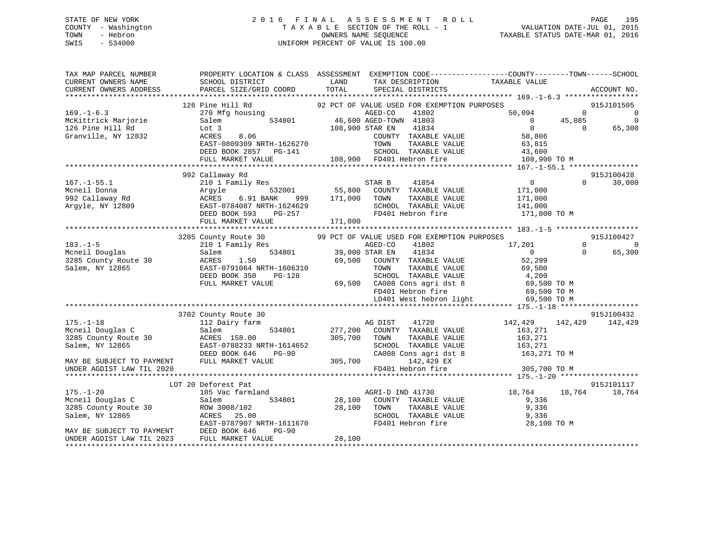## STATE OF NEW YORK 2 0 1 6 F I N A L A S S E S S M E N T R O L L PAGE 195 COUNTY - Washington T A X A B L E SECTION OF THE ROLL - 1 VALUATION DATE-JUL 01, 2015 TOWN - Hebron OWNERS NAME SEQUENCE TAXABLE STATUS DATE-MAR 01, 2016 SWIS - 534000 UNIFORM PERCENT OF VALUE IS 100.00

| TAX MAP PARCEL NUMBER<br>CURRENT OWNERS NAME<br>CURRENT OWNERS ADDRESS | PROPERTY LOCATION & CLASS ASSESSMENT EXEMPTION CODE----------------COUNTY-------TOWN-----SCHOOL<br>SCHOOL DISTRICT<br>PARCEL SIZE/GRID COORD | LAND<br>TOTAL | TAX DESCRIPTION<br>SPECIAL DISTRICTS        | TAXABLE VALUE   |                | ACCOUNT NO.              |
|------------------------------------------------------------------------|----------------------------------------------------------------------------------------------------------------------------------------------|---------------|---------------------------------------------|-----------------|----------------|--------------------------|
|                                                                        |                                                                                                                                              |               |                                             |                 |                |                          |
|                                                                        | 126 Pine Hill Rd                                                                                                                             |               | 92 PCT OF VALUE USED FOR EXEMPTION PURPOSES |                 |                | 915J101505               |
| $169. - 1 - 6.3$                                                       | 270 Mfg housing                                                                                                                              |               | AGED-CO<br>41802                            | 50,094          | $\overline{0}$ | $\overline{\phantom{0}}$ |
| McKittrick Marjorie                                                    | 534801<br>Salem                                                                                                                              |               | 46,600 AGED-TOWN 41803                      | $\overline{0}$  | 45,085         | $\overline{0}$           |
| 126 Pine Hill Rd                                                       | Lot 3                                                                                                                                        |               | 108,900 STAR EN<br>41834                    | $\overline{0}$  | $\Omega$       | 65,300                   |
| Granville, NY 12832                                                    | ACRES<br>8.06                                                                                                                                |               | COUNTY TAXABLE VALUE                        | 58,806          |                |                          |
|                                                                        | EAST-0809309 NRTH-1626270                                                                                                                    |               | TAXABLE VALUE<br>TOWN                       | 63,815          |                |                          |
|                                                                        | DEED BOOK 2857<br>PG-141                                                                                                                     |               | SCHOOL TAXABLE VALUE                        | 43,600          |                |                          |
|                                                                        | FULL MARKET VALUE                                                                                                                            |               | 108,900 FD401 Hebron fire                   | 108,900 TO M    |                |                          |
|                                                                        |                                                                                                                                              |               |                                             |                 |                |                          |
|                                                                        | 992 Callaway Rd                                                                                                                              |               |                                             |                 |                | 915J100428               |
| $167. - 1 - 55.1$                                                      | 210 1 Family Res                                                                                                                             |               | 41854<br>STAR B                             | $\overline{0}$  | $\Omega$       | 30,000                   |
| Mcneil Donna                                                           | Argyle<br>532001                                                                                                                             | 55,800        | COUNTY TAXABLE VALUE                        | 171,000         |                |                          |
| 992 Callaway Rd                                                        | ACRES<br>6.91 BANK<br>999                                                                                                                    | 171,000       | TOWN<br>TAXABLE VALUE                       | 171,000         |                |                          |
| Argyle, NY 12809                                                       | EAST-0784087 NRTH-1624629                                                                                                                    |               | SCHOOL TAXABLE VALUE<br>FD401 Hebron fire   | 141,000         |                |                          |
|                                                                        | PG-257<br>DEED BOOK 593                                                                                                                      |               |                                             | 171,000 TO M    |                |                          |
|                                                                        | FULL MARKET VALUE                                                                                                                            | 171,000       |                                             |                 |                |                          |
|                                                                        | 3285 County Route 30                                                                                                                         |               | 99 PCT OF VALUE USED FOR EXEMPTION PURPOSES |                 |                | 915J100427               |
| $183. - 1 - 5$                                                         | 210 1 Family Res                                                                                                                             |               | AGED-CO<br>41802                            | 17,201          | $\Omega$       | $\overline{0}$           |
| Mcneil Douglas                                                         | 534801<br>Salem                                                                                                                              |               | 39,000 STAR EN<br>41834                     | $\overline{0}$  | $\Omega$       | 65,300                   |
| 3285 County Route 30                                                   | ACRES<br>1.50                                                                                                                                | 69,500        | COUNTY TAXABLE VALUE                        | 52,299          |                |                          |
| Salem, NY 12865                                                        | EAST-0791064 NRTH-1606310                                                                                                                    |               | TAXABLE VALUE<br>TOWN                       | 69,500          |                |                          |
|                                                                        | DEED BOOK 350<br>$PG-128$                                                                                                                    |               | SCHOOL TAXABLE VALUE                        | 4,200           |                |                          |
|                                                                        | FULL MARKET VALUE                                                                                                                            |               | 69,500 CA008 Cons agri dst 8                | 69,500 TO M     |                |                          |
|                                                                        |                                                                                                                                              |               | FD401 Hebron fire                           | 69,500 TO M     |                |                          |
|                                                                        |                                                                                                                                              |               | LD401 West hebron light                     | 69,500 TO M     |                |                          |
|                                                                        |                                                                                                                                              |               |                                             |                 |                |                          |
|                                                                        | 3702 County Route 30                                                                                                                         |               |                                             |                 |                | 915J100432               |
| $175. - 1 - 18$                                                        | 112 Dairy farm                                                                                                                               |               | AG DIST<br>41720                            | 142,429 142,429 |                | 142,429                  |
| Mcneil Douglas C                                                       | Salem<br>534801                                                                                                                              | 277,200       | COUNTY TAXABLE VALUE                        | 163,271         |                |                          |
| 3285 County Route 30                                                   | ACRES 158.00                                                                                                                                 | 305,700       | TOWN<br>TAXABLE VALUE                       | 163,271         |                |                          |
| Salem, NY 12865                                                        | EAST-0788233 NRTH-1614652                                                                                                                    |               | SCHOOL TAXABLE VALUE                        | 163,271         |                |                          |
|                                                                        | DEED BOOK 646<br><b>PG-90</b>                                                                                                                |               | CA008 Cons agri dst 8                       | 163,271 TO M    |                |                          |
| MAY BE SUBJECT TO PAYMENT FULL MARKET VALUE                            |                                                                                                                                              | 305,700       | 142,429 EX                                  |                 |                |                          |
| UNDER AGDIST LAW TIL 2020                                              |                                                                                                                                              |               | FD401 Hebron fire                           | 305,700 TO M    |                |                          |
|                                                                        |                                                                                                                                              |               |                                             |                 |                |                          |
|                                                                        | LOT 20 Deforest Pat                                                                                                                          |               |                                             |                 |                | 915J101117               |
| $175. - 1 - 20$                                                        | 105 Vac farmland                                                                                                                             |               | AGRI-D IND 41730                            | 18,764          | 18,764         | 18,764                   |
| Mcneil Douglas C                                                       | 534801<br>Salem                                                                                                                              | 28,100        | COUNTY TAXABLE VALUE                        | 9,336           |                |                          |
| 3285 County Route 30                                                   | ROW 3008/102                                                                                                                                 | 28,100        | TOWN<br>TAXABLE VALUE                       | 9,336           |                |                          |
| Salem, NY 12865                                                        | ACRES<br>25.00                                                                                                                               |               | SCHOOL TAXABLE VALUE                        | 9,336           |                |                          |
|                                                                        | EAST-0787907 NRTH-1611670                                                                                                                    |               | FD401 Hebron fire                           | 28,100 TO M     |                |                          |
| MAY BE SUBJECT TO PAYMENT                                              | DEED BOOK 646<br><b>PG-90</b>                                                                                                                |               |                                             |                 |                |                          |
| UNDER AGDIST LAW TIL 2023                                              | FULL MARKET VALUE                                                                                                                            | 28,100        |                                             |                 |                |                          |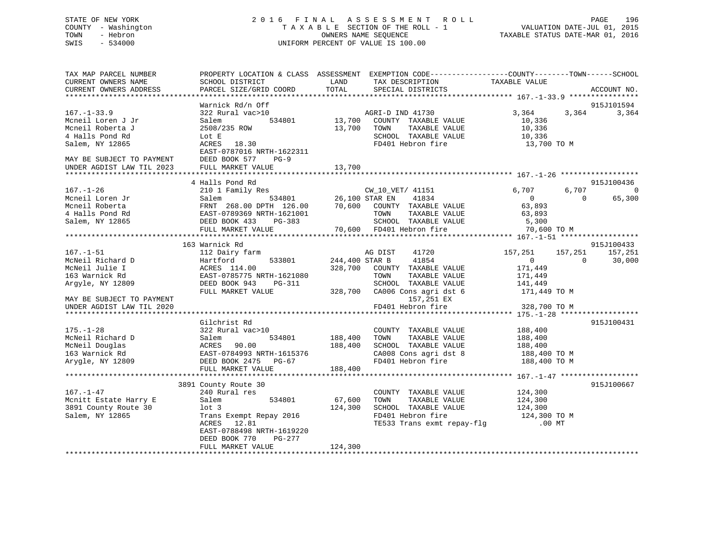## STATE OF NEW YORK 2 0 1 6 F I N A L A S S E S S M E N T R O L L PAGE 196 COUNTY - Washington T A X A B L E SECTION OF THE ROLL - 1 VALUATION DATE-JUL 01, 2015 TOWN - Hebron OWNERS NAME SEQUENCE TAXABLE STATUS DATE-MAR 01, 2016 SWIS - 534000 UNIFORM PERCENT OF VALUE IS 100.00

| TAX MAP PARCEL NUMBER                                  |                                                                                                                                                                                                                                        |                            | PROPERTY LOCATION & CLASS ASSESSMENT EXEMPTION CODE----------------COUNTY-------TOWN------SCHOOL                                                                                                                                                                                                                                                                                                                                       |                |          |             |
|--------------------------------------------------------|----------------------------------------------------------------------------------------------------------------------------------------------------------------------------------------------------------------------------------------|----------------------------|----------------------------------------------------------------------------------------------------------------------------------------------------------------------------------------------------------------------------------------------------------------------------------------------------------------------------------------------------------------------------------------------------------------------------------------|----------------|----------|-------------|
| CURRENT OWNERS NAME                                    | SCHOOL DISTRICT                                                                                                                                                                                                                        | LAND                       | TAX DESCRIPTION                                                                                                                                                                                                                                                                                                                                                                                                                        | TAXABLE VALUE  |          |             |
| CURRENT OWNERS ADDRESS                                 | PARCEL SIZE/GRID COORD                                                                                                                                                                                                                 | TOTAL                      | SPECIAL DISTRICTS                                                                                                                                                                                                                                                                                                                                                                                                                      |                |          | ACCOUNT NO. |
|                                                        |                                                                                                                                                                                                                                        |                            |                                                                                                                                                                                                                                                                                                                                                                                                                                        |                |          |             |
|                                                        | Warnick Rd/n Off                                                                                                                                                                                                                       |                            |                                                                                                                                                                                                                                                                                                                                                                                                                                        |                |          | 915J101594  |
| $167. - 1 - 33.9$                                      | 322 Rural vac>10                                                                                                                                                                                                                       |                            | $\begin{array}{cccccc} \texttt{1} & \texttt{1} & \texttt{1} & \texttt{1} & \texttt{1} & \texttt{1} & \texttt{1} \\ \texttt{1} & \texttt{1} & \texttt{1} & \texttt{1} & \texttt{1} & \texttt{1} & \texttt{1} \\ \texttt{1} & \texttt{1} & \texttt{1} & \texttt{1} & \texttt{1} & \texttt{1} & \texttt{1} & \texttt{1} \\ \texttt{1} & \texttt{1} & \texttt{1} & \texttt{1} & \texttt{1} & \texttt{1} & \texttt{1} & \texttt{1} & \text$ | 3,364          | 3,364    | 3,364       |
| Mcneil Loren J Jr                                      | Salem                                                                                                                                                                                                                                  |                            |                                                                                                                                                                                                                                                                                                                                                                                                                                        | 10,336         |          |             |
| Mcneil Roberta J                                       | 2508/235 ROW                                                                                                                                                                                                                           | 13,700                     | TOWN                                                                                                                                                                                                                                                                                                                                                                                                                                   |                |          |             |
| 4 Halls Pond Rd                                        | Lot E                                                                                                                                                                                                                                  |                            | TOWN TAXABLE VALUE 10,336<br>SCHOOL TAXABLE VALUE 10,336                                                                                                                                                                                                                                                                                                                                                                               |                |          |             |
| Salem, NY 12865                                        | ACRES 18.30                                                                                                                                                                                                                            |                            | FD401 Hebron fire                                                                                                                                                                                                                                                                                                                                                                                                                      | 13,700 TO M    |          |             |
|                                                        | EAST-0787016 NRTH-1622311                                                                                                                                                                                                              |                            |                                                                                                                                                                                                                                                                                                                                                                                                                                        |                |          |             |
|                                                        | DEED BOOK 577<br>$PG-9$                                                                                                                                                                                                                |                            |                                                                                                                                                                                                                                                                                                                                                                                                                                        |                |          |             |
| MAY BE SUBJECT TO PAYMENT<br>UNDER AGDIST LAW TIL 2023 | FULL MARKET VALUE                                                                                                                                                                                                                      | 13,700                     |                                                                                                                                                                                                                                                                                                                                                                                                                                        |                |          |             |
|                                                        |                                                                                                                                                                                                                                        |                            |                                                                                                                                                                                                                                                                                                                                                                                                                                        |                |          |             |
|                                                        | 4 Halls Pond Rd                                                                                                                                                                                                                        |                            |                                                                                                                                                                                                                                                                                                                                                                                                                                        |                |          | 915J100436  |
| $167. - 1 - 26$                                        | 210 1 Family Res                                                                                                                                                                                                                       |                            | CW_10_VET/ 41151                                                                                                                                                                                                                                                                                                                                                                                                                       | 6,707          | 6,707    | 0           |
| Mcneil Loren Jr                                        |                                                                                                                                                                                                                                        | 5<br>534801 26,100 STAR EN |                                                                                                                                                                                                                                                                                                                                                                                                                                        | $\overline{0}$ | $\Omega$ | 65,300      |
| Mcneil Roberta                                         |                                                                                                                                                                                                                                        |                            |                                                                                                                                                                                                                                                                                                                                                                                                                                        | 63,893         |          |             |
| 4 Halls Pond Rd                                        |                                                                                                                                                                                                                                        |                            | TAXABLE VALUE                                                                                                                                                                                                                                                                                                                                                                                                                          | 63,893         |          |             |
| Salem, NY 12865                                        |                                                                                                                                                                                                                                        |                            |                                                                                                                                                                                                                                                                                                                                                                                                                                        |                |          |             |
|                                                        | -- Calem 534801 26,100 STAR EN 41834<br>FRNT 268.00 DPTH 126.00 70,600 COUNTY TAXABLE VALUE<br>EAST-0789369 NRTH-1621001 TOWN TAXABLE VALUE<br>DEED BOOK 433 PG-383 SCHOOL TAXABLE VALUE<br>FULL MARKET VALUE 70,600 FD401 Hebron fire |                            | SCHOOL TAXABLE VALUE 5,300<br>FD401 Hebron fire 70,600                                                                                                                                                                                                                                                                                                                                                                                 | 70,600 TO M    |          |             |
|                                                        |                                                                                                                                                                                                                                        |                            |                                                                                                                                                                                                                                                                                                                                                                                                                                        |                |          |             |
|                                                        | 163 Warnick Rd                                                                                                                                                                                                                         |                            |                                                                                                                                                                                                                                                                                                                                                                                                                                        |                |          | 915J100433  |
| $167. - 1 - 51$                                        | 112 Dairy farm                                                                                                                                                                                                                         |                            | AG DIST<br>41720                                                                                                                                                                                                                                                                                                                                                                                                                       | 157,251        | 157,251  | 157,251     |
| McNeil Richard D                                       |                                                                                                                                                                                                                                        | 533801 244,400 STAR B      | 41854                                                                                                                                                                                                                                                                                                                                                                                                                                  | $\overline{0}$ | $\Omega$ | 30,000      |
| McNeil Julie I                                         | Hartford - ------ 533801<br>ACRES 114.00<br>EAST-0785775 NRTH-1621080                                                                                                                                                                  |                            | 328,700 COUNTY TAXABLE VALUE                                                                                                                                                                                                                                                                                                                                                                                                           | 171,449        |          |             |
| 163 Warnick Rd                                         |                                                                                                                                                                                                                                        |                            | TOWN<br>TAXABLE VALUE                                                                                                                                                                                                                                                                                                                                                                                                                  | 171,449        |          |             |
| Argyle, NY 12809                                       | DEED BOOK 943<br>PG-311                                                                                                                                                                                                                |                            | SCHOOL TAXABLE VALUE                                                                                                                                                                                                                                                                                                                                                                                                                   |                |          |             |
|                                                        | FULL MARKET VALUE                                                                                                                                                                                                                      |                            | SCHOOL TAXABLE VALUE 141,449<br>328,700 CA006 Cons agri dst 6 171,449 TO M                                                                                                                                                                                                                                                                                                                                                             |                |          |             |
| MAY BE SUBJECT TO PAYMENT                              |                                                                                                                                                                                                                                        |                            | 157,251 EX                                                                                                                                                                                                                                                                                                                                                                                                                             |                |          |             |
| UNDER AGDIST LAW TIL 2020                              |                                                                                                                                                                                                                                        |                            | FD401 Hebron fire                                                                                                                                                                                                                                                                                                                                                                                                                      | 328,700 TO M   |          |             |
|                                                        |                                                                                                                                                                                                                                        |                            |                                                                                                                                                                                                                                                                                                                                                                                                                                        |                |          |             |
|                                                        | Gilchrist Rd                                                                                                                                                                                                                           |                            |                                                                                                                                                                                                                                                                                                                                                                                                                                        |                |          | 915J100431  |
| $175. - 1 - 28$                                        | 322 Rural vac>10                                                                                                                                                                                                                       |                            | COUNTY TAXABLE VALUE 188,400                                                                                                                                                                                                                                                                                                                                                                                                           |                |          |             |
|                                                        |                                                                                                                                                                                                                                        |                            | TAXABLE VALUE 188,400                                                                                                                                                                                                                                                                                                                                                                                                                  |                |          |             |
| McNeil Richard D                                       |                                                                                                                                                                                                                                        |                            | TOWN                                                                                                                                                                                                                                                                                                                                                                                                                                   |                |          |             |
| McNeil Douglas                                         |                                                                                                                                                                                                                                        |                            | SCHOOL TAXABLE VALUE 188,400<br>CA008 Cons agri dst 8 188,400 TO M                                                                                                                                                                                                                                                                                                                                                                     |                |          |             |
| 163 Warnick Rd                                         | 32 - - - - 534801 188,400<br>Salem 188,400<br>ACRES 90.00 188,400<br>EAST-0784993 NRTH-1615376                                                                                                                                         |                            |                                                                                                                                                                                                                                                                                                                                                                                                                                        |                |          |             |
| Arygle, NY 12809                                       |                                                                                                                                                                                                                                        |                            | FD401 Hebron fire                                                                                                                                                                                                                                                                                                                                                                                                                      | 188,400 TO M   |          |             |
|                                                        | FULL MARKET VALUE                                                                                                                                                                                                                      | 188,400                    |                                                                                                                                                                                                                                                                                                                                                                                                                                        |                |          |             |
|                                                        |                                                                                                                                                                                                                                        |                            |                                                                                                                                                                                                                                                                                                                                                                                                                                        |                |          |             |
|                                                        | 3891 County Route 30                                                                                                                                                                                                                   |                            |                                                                                                                                                                                                                                                                                                                                                                                                                                        |                |          | 915J100667  |
| $167. - 1 - 47$                                        | 240 Rural res                                                                                                                                                                                                                          |                            | COUNTY TAXABLE VALUE 124,300                                                                                                                                                                                                                                                                                                                                                                                                           |                |          |             |
| Mcnitt Estate Harry E                                  | Salem                                                                                                                                                                                                                                  | 534801 67,600              | TAXABLE VALUE 124,300<br>TOWN                                                                                                                                                                                                                                                                                                                                                                                                          |                |          |             |
| 3891 County Route 30                                   | lot 3                                                                                                                                                                                                                                  | 124,300                    | SCHOOL TAXABLE VALUE<br>SUNULL TAXABLE VALUE<br>FD401 Hebron fire                                                                                                                                                                                                                                                                                                                                                                      | 124,300        |          |             |
| Salem, NY 12865                                        | Trans Exempt Repay 2016                                                                                                                                                                                                                |                            |                                                                                                                                                                                                                                                                                                                                                                                                                                        | 124,300 TO M   |          |             |
|                                                        | ACRES 12.81                                                                                                                                                                                                                            |                            | TE533 Trans exmt repay-flg                                                                                                                                                                                                                                                                                                                                                                                                             | .00 MT         |          |             |
|                                                        | EAST-0788498 NRTH-1619220                                                                                                                                                                                                              |                            |                                                                                                                                                                                                                                                                                                                                                                                                                                        |                |          |             |
|                                                        | DEED BOOK 770<br>PG-277                                                                                                                                                                                                                |                            |                                                                                                                                                                                                                                                                                                                                                                                                                                        |                |          |             |
|                                                        | FULL MARKET VALUE                                                                                                                                                                                                                      | 124,300                    |                                                                                                                                                                                                                                                                                                                                                                                                                                        |                |          |             |
|                                                        |                                                                                                                                                                                                                                        |                            |                                                                                                                                                                                                                                                                                                                                                                                                                                        |                |          |             |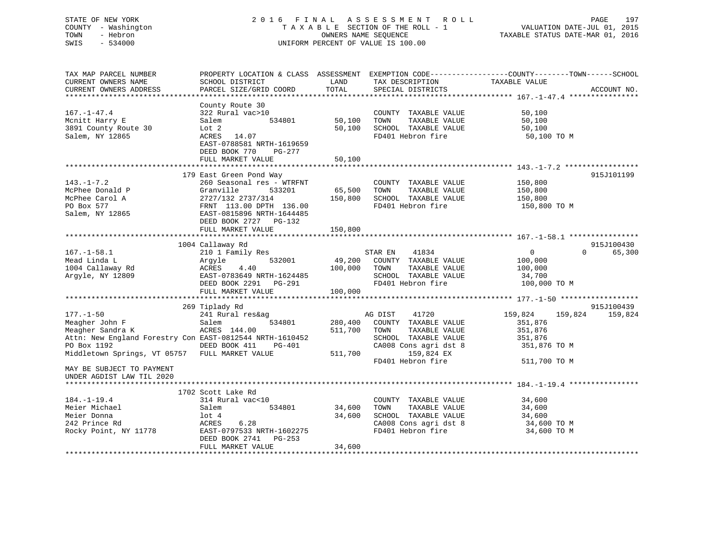## STATE OF NEW YORK 2 0 1 6 F I N A L A S S E S S M E N T R O L L PAGE 197 COUNTY - Washington T A X A B L E SECTION OF THE ROLL - 1 VALUATION DATE-JUL 01, 2015 TOWN - Hebron OWNERS NAME SEQUENCE TAXABLE STATUS DATE-MAR 01, 2016 SWIS - 534000 UNIFORM PERCENT OF VALUE IS 100.00

| TAX MAP PARCEL NUMBER<br>CURRENT OWNERS NAME<br>CURRENT OWNERS ADDRESS<br>*************************                                                                                                                                          | PROPERTY LOCATION & CLASS ASSESSMENT<br>SCHOOL DISTRICT<br>PARCEL SIZE/GRID COORD                                                                                                                      | LAND<br>TOTAL                               | TAX DESCRIPTION<br>SPECIAL DISTRICTS                                                                                                                  | EXEMPTION CODE-----------------COUNTY-------TOWN------SCHOOL<br>TAXABLE VALUE<br>ACCOUNT NO.                 |
|----------------------------------------------------------------------------------------------------------------------------------------------------------------------------------------------------------------------------------------------|--------------------------------------------------------------------------------------------------------------------------------------------------------------------------------------------------------|---------------------------------------------|-------------------------------------------------------------------------------------------------------------------------------------------------------|--------------------------------------------------------------------------------------------------------------|
| $167. - 1 - 47.4$<br>Mcnitt Harry E<br>3891 County Route 30<br>Salem, NY 12865                                                                                                                                                               | County Route 30<br>322 Rural vac>10<br>534801<br>Salem<br>Lot 2<br>ACRES 14.07<br>EAST-0788581 NRTH-1619659<br>DEED BOOK 770<br>PG-277<br>FULL MARKET VALUE                                            | 50,100<br>50,100<br>50,100<br>************* | COUNTY TAXABLE VALUE<br>TOWN<br>TAXABLE VALUE<br>SCHOOL TAXABLE VALUE<br>FD401 Hebron fire                                                            | 50,100<br>50,100<br>50,100<br>50,100 TO M                                                                    |
| $143. - 1 - 7.2$<br>McPhee Donald P<br>McPhee Carol A<br>PO Box 577<br>Salem, NY 12865                                                                                                                                                       | 179 East Green Pond Way<br>260 Seasonal res - WTRFNT<br>Granville<br>533201<br>2727/132 2737/314<br>FRNT 113.00 DPTH 136.00<br>EAST-0815896 NRTH-1644485<br>DEED BOOK 2727 PG-132<br>FULL MARKET VALUE | 65,500<br>150,800<br>150,800                | COUNTY TAXABLE VALUE<br>TAXABLE VALUE<br>TOWN<br>SCHOOL TAXABLE VALUE<br>FD401 Hebron fire                                                            | 915J101199<br>150,800<br>150,800<br>150,800<br>150,800 TO M                                                  |
| $167. - 1 - 58.1$<br>Mead Linda L<br>1004 Callaway Rd<br>Argyle, NY 12809                                                                                                                                                                    | 1004 Callaway Rd<br>210 1 Family Res<br>532001<br>Argyle<br>4.40<br>ACRES<br>EAST-0783649 NRTH-1624485<br>DEED BOOK 2291 PG-291<br>FULL MARKET VALUE                                                   | 49,200<br>100,000<br>100,000                | STAR EN<br>41834<br>COUNTY TAXABLE VALUE<br>TAXABLE VALUE<br>TOWN<br>SCHOOL TAXABLE VALUE<br>FD401 Hebron fire                                        | 915J100430<br>65,300<br>$\overline{0}$<br>$\cap$<br>100,000<br>100,000<br>34,700<br>100,000 TO M             |
| $177. - 1 - 50$<br>Meagher John F<br>Meagher Sandra K<br>Attn: New England Forestry Con EAST-0812544 NRTH-1610452<br>PO Box 1192<br>Middletown Springs, VT 05757 FULL MARKET VALUE<br>MAY BE SUBJECT TO PAYMENT<br>UNDER AGDIST LAW TIL 2020 | 269 Tiplady Rd<br>241 Rural res&ag<br>534801<br>Salem<br>ACRES 144.00<br>DEED BOOK 411<br><b>PG-401</b>                                                                                                | 280,400<br>511,700<br>511,700               | AG DIST<br>41720<br>COUNTY TAXABLE VALUE<br>TOWN<br>TAXABLE VALUE<br>SCHOOL TAXABLE VALUE<br>CA008 Cons agri dst 8<br>159,824 EX<br>FD401 Hebron fire | 915J100439<br>159,824<br>159,824<br>159,824<br>351,876<br>351,876<br>351,876<br>351,876 TO M<br>511,700 TO M |
| $184. - 1 - 19.4$<br>Meier Michael<br>Meier Donna<br>242 Prince Rd<br>Rocky Point, NY 11778                                                                                                                                                  | 1702 Scott Lake Rd<br>314 Rural vac<10<br>534801<br>Salem<br>$1$ ot $4$<br>6.28<br>ACRES<br>EAST-0797533 NRTH-1602275<br>DEED BOOK 2741<br>PG-253<br>FULL MARKET VALUE                                 | 34,600<br>34,600<br>34,600                  | COUNTY TAXABLE VALUE<br>TOWN<br>TAXABLE VALUE<br>SCHOOL TAXABLE VALUE<br>CA008 Cons agri dst 8<br>FD401 Hebron fire                                   | 34,600<br>34,600<br>34,600<br>34,600 TO M<br>34,600 TO M                                                     |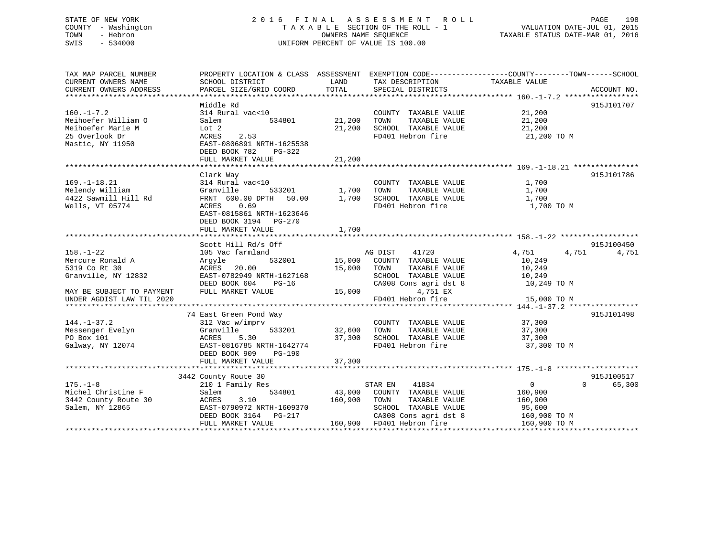## STATE OF NEW YORK 2 0 1 6 F I N A L A S S E S S M E N T R O L L PAGE 198 COUNTY - Washington T A X A B L E SECTION OF THE ROLL - 1 VALUATION DATE-JUL 01, 2015 TOWN - Hebron OWNERS NAME SEQUENCE TAXABLE STATUS DATE-MAR 01, 2016 SWIS - 534000 UNIFORM PERCENT OF VALUE IS 100.00

TAX MAP PARCEL NUMBER PROPERTY LOCATION & CLASS ASSESSMENT EXEMPTION CODE------------------COUNTY--------TOWN------SCHOOL

CURRENT OWNERS NAME SCHOOL DISTRICT LAND TAX DESCRIPTION TAXABLE VALUE CURRENT OWNERS ADDRESS PARCEL SIZE/GRID COORD TOTAL SPECIAL DISTRICTS ACCOUNT NO. \*\*\*\*\*\*\*\*\*\*\*\*\*\*\*\*\*\*\*\*\*\*\*\*\*\*\*\*\*\*\*\*\*\*\*\*\*\*\*\*\*\*\*\*\*\*\*\*\*\*\*\*\*\*\*\*\*\*\*\*\*\*\*\*\*\*\*\*\*\*\*\*\*\*\*\*\*\*\*\*\*\*\*\*\*\*\*\*\*\*\*\*\*\*\*\*\*\*\*\*\*\*\* 160.-1-7.2 \*\*\*\*\*\*\*\*\*\*\*\*\*\*\*\*\* Middle Rd 915J101707160.-1-7.2 314 Rural vac<10 COUNTY TAXABLE VALUE 21,200 Meihoefer William O Salem 534801 21,200 TOWN TAXABLE VALUE 21,200 Meihoefer Marie M Lot 2 21,200 SCHOOL TAXABLE VALUE 21,200 25 Overlook Dr ACRES 2.53 FD401 Hebron fire 21,200 TO M Mastic, NY 11950 EAST-0806891 NRTH-1625538 DEED BOOK 782 PG-322 FULL MARKET VALUE 21,200 \*\*\*\*\*\*\*\*\*\*\*\*\*\*\*\*\*\*\*\*\*\*\*\*\*\*\*\*\*\*\*\*\*\*\*\*\*\*\*\*\*\*\*\*\*\*\*\*\*\*\*\*\*\*\*\*\*\*\*\*\*\*\*\*\*\*\*\*\*\*\*\*\*\*\*\*\*\*\*\*\*\*\*\*\*\*\*\*\*\*\*\*\*\*\*\*\*\*\*\*\*\*\* 169.-1-18.21 \*\*\*\*\*\*\*\*\*\*\*\*\*\*\* Clark Way 915J101786 169.-1-18.21 314 Rural vac<10 COUNTY TAXABLE VALUE 1,700 Melendy William Granville 533201 1,700 TOWN TAXABLE VALUE 1,700 4422 Sawmill Hill Rd FRNT 600.00 DPTH 50.00 1,700 SCHOOL TAXABLE VALUE 1,700 Wells, VT 05774 ACRES 0.69 FD401 Hebron fire 1,700 TO M EAST-0815861 NRTH-1623646 DEED BOOK 3194 PG-270 FULL MARKET VALUE 1,700 \*\*\*\*\*\*\*\*\*\*\*\*\*\*\*\*\*\*\*\*\*\*\*\*\*\*\*\*\*\*\*\*\*\*\*\*\*\*\*\*\*\*\*\*\*\*\*\*\*\*\*\*\*\*\*\*\*\*\*\*\*\*\*\*\*\*\*\*\*\*\*\*\*\*\*\*\*\*\*\*\*\*\*\*\*\*\*\*\*\*\*\*\*\*\*\*\*\*\*\*\*\*\* 158.-1-22 \*\*\*\*\*\*\*\*\*\*\*\*\*\*\*\*\*\* Scott Hill Rd/s Off 915J100450 158.-1-22 105 Vac farmland AG DIST 41720 4,751 4,751 4,751 Mercure Ronald A Argyle 532001 15,000 COUNTY TAXABLE VALUE 10,249 5319 Co Rt 30 ACRES 20.00 15,000 TOWN TAXABLE VALUE 10,249 Granville, NY 12832 EAST-0782949 NRTH-1627168 SCHOOL TAXABLE VALUE 10,249 DEED BOOK 604 PG-16 CA008 Cons agri dst 8 10,249 TO M MAY BE SUBJECT TO PAYMENT FULL MARKET VALUE 15,000 4,751 EX UNDER AGDIST LAW TIL 2020 FD401 Hebron fire 15,000 TO M \*\*\*\*\*\*\*\*\*\*\*\*\*\*\*\*\*\*\*\*\*\*\*\*\*\*\*\*\*\*\*\*\*\*\*\*\*\*\*\*\*\*\*\*\*\*\*\*\*\*\*\*\*\*\*\*\*\*\*\*\*\*\*\*\*\*\*\*\*\*\*\*\*\*\*\*\*\*\*\*\*\*\*\*\*\*\*\*\*\*\*\*\*\*\*\*\*\*\*\*\*\*\* 144.-1-37.2 \*\*\*\*\*\*\*\*\*\*\*\*\*\*\*\* 74 East Green Pond Way 915J101498 144.-1-37.2 312 Vac w/imprv COUNTY TAXABLE VALUE 37,300 Messenger Evelyn Granville 533201 32,600 TOWN TAXABLE VALUE 37,300 PO Box 101 ACRES 5.30 37,300 SCHOOL TAXABLE VALUE 37,300 Galway, NY 12074 **EAST-0816785 NRTH-1642774** FD401 Hebron fire 37,300 TO M DEED BOOK 909 PG-190 FULL MARKET VALUE 37,300 \*\*\*\*\*\*\*\*\*\*\*\*\*\*\*\*\*\*\*\*\*\*\*\*\*\*\*\*\*\*\*\*\*\*\*\*\*\*\*\*\*\*\*\*\*\*\*\*\*\*\*\*\*\*\*\*\*\*\*\*\*\*\*\*\*\*\*\*\*\*\*\*\*\*\*\*\*\*\*\*\*\*\*\*\*\*\*\*\*\*\*\*\*\*\*\*\*\*\*\*\*\*\* 175.-1-8 \*\*\*\*\*\*\*\*\*\*\*\*\*\*\*\*\*\*\* 3442 County Route 30 915J100517 175.-1-8 210 1 Family Res STAR EN 41834 0 65,300 Michel Christine F Salem 534801 43,000 COUNTY TAXABLE VALUE 160,900 3442 County Route 30 ACRES 3.10 160,900 TOWN TAXABLE VALUE 160,900 Salem, NY 12865 EAST-0790972 NRTH-1609370 SCHOOL TAXABLE VALUE 95,600 DEED BOOK 3164 PG-217 CA008 Cons agri dst 8 160,900 TO M FULL MARKET VALUE 160,900 FD401 Hebron fire 160,900 TO M \*\*\*\*\*\*\*\*\*\*\*\*\*\*\*\*\*\*\*\*\*\*\*\*\*\*\*\*\*\*\*\*\*\*\*\*\*\*\*\*\*\*\*\*\*\*\*\*\*\*\*\*\*\*\*\*\*\*\*\*\*\*\*\*\*\*\*\*\*\*\*\*\*\*\*\*\*\*\*\*\*\*\*\*\*\*\*\*\*\*\*\*\*\*\*\*\*\*\*\*\*\*\*\*\*\*\*\*\*\*\*\*\*\*\*\*\*\*\*\*\*\*\*\*\*\*\*\*\*\*\*\*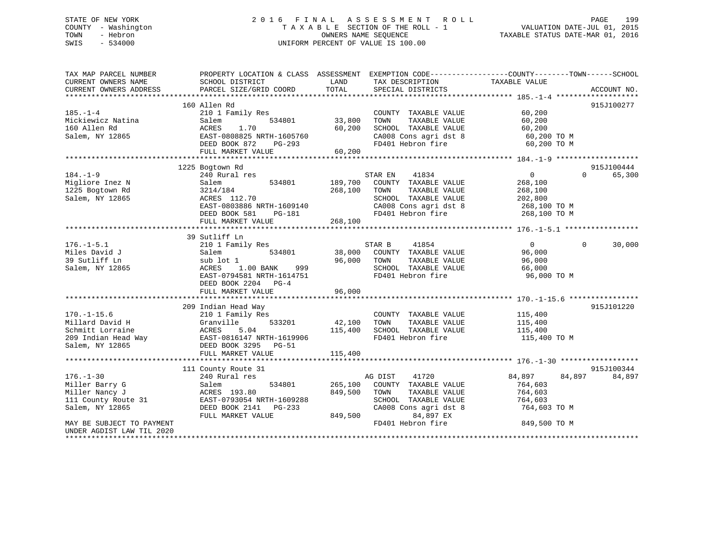## STATE OF NEW YORK 2 0 1 6 F I N A L A S S E S S M E N T R O L L PAGE 199 COUNTY - Washington T A X A B L E SECTION OF THE ROLL - 1 VALUATION DATE-JUL 01, 2015 TOWN - Hebron OWNERS NAME SEQUENCE TAXABLE STATUS DATE-MAR 01, 2016 SWIS - 534000 UNIFORM PERCENT OF VALUE IS 100.00

| TAX MAP PARCEL NUMBER<br>CURRENT OWNERS NAME | PROPERTY LOCATION & CLASS ASSESSMENT<br>SCHOOL DISTRICT | LAND<br>TAX DESCRIPTION TAXABLE VALUE | EXEMPTION CODE-----------------COUNTY-------TOWN------SCHOOL |
|----------------------------------------------|---------------------------------------------------------|---------------------------------------|--------------------------------------------------------------|
| CURRENT OWNERS ADDRESS                       | PARCEL SIZE/GRID COORD                                  | TOTAL<br>SPECIAL DISTRICTS            | ACCOUNT NO.                                                  |
|                                              |                                                         |                                       |                                                              |
|                                              | 160 Allen Rd                                            |                                       | 915J100277                                                   |
| $185. - 1 - 4$                               | 210 1 Family Res                                        | COUNTY TAXABLE VALUE                  | 60,200                                                       |
| Mickiewicz Natina                            | 534801<br>Salem                                         | 33,800<br>TAXABLE VALUE<br>TOWN       | 60,200                                                       |
| 160 Allen Rd                                 | ACRES<br>1.70                                           | 60,200<br>SCHOOL TAXABLE VALUE        | 60,200                                                       |
| Salem, NY 12865                              | EAST-0808825 NRTH-1605760                               | CA008 Cons agri dst 8                 | 60,200 TO M                                                  |
|                                              | DEED BOOK 872<br>PG-293                                 | FD401 Hebron fire                     | 60,200 TO M                                                  |
|                                              | FULL MARKET VALUE                                       | 60,200                                |                                                              |
|                                              |                                                         |                                       |                                                              |
|                                              | 1225 Bogtown Rd                                         |                                       | 915J100444                                                   |
| $184. - 1 - 9$                               | 240 Rural res                                           | STAR EN<br>41834                      | $\Omega$<br>65,300<br>$\Omega$                               |
| Migliore Inez N                              | 534801<br>Salem                                         | 189,700<br>COUNTY TAXABLE VALUE       | 268,100                                                      |
| 1225 Bogtown Rd                              | 3214/184                                                | 268,100<br>TOWN<br>TAXABLE VALUE      | 268,100                                                      |
| Salem, NY 12865                              | ACRES 112.70                                            | SCHOOL TAXABLE VALUE                  | 202,800                                                      |
|                                              | EAST-0803886 NRTH-1609140                               | CA008 Cons agri dst 8                 | 268,100 TO M                                                 |
|                                              | $PG-181$<br>DEED BOOK 581                               | FD401 Hebron fire                     | 268,100 TO M                                                 |
|                                              | FULL MARKET VALUE                                       | 268,100                               |                                                              |
|                                              |                                                         |                                       |                                                              |
|                                              | 39 Sutliff Ln                                           |                                       |                                                              |
| $176. - 1 - 5.1$                             | 210 1 Family Res                                        | STAR B<br>41854                       | $\overline{0}$<br>$\Omega$<br>30,000                         |
| Miles David J                                | 534801<br>Salem                                         | 38,000 COUNTY TAXABLE VALUE           | 96,000                                                       |
| 39 Sutliff Ln                                | sub lot 1                                               | 96,000<br>TAXABLE VALUE<br>TOWN       | 96,000                                                       |
|                                              | 1.00 BANK                                               | SCHOOL TAXABLE VALUE                  |                                                              |
| Salem, NY 12865                              | ACRES<br>999                                            |                                       | 66,000                                                       |
|                                              | EAST-0794581 NRTH-1614751                               | FD401 Hebron fire                     | 96,000 TO M                                                  |
|                                              | DEED BOOK 2204 PG-4                                     |                                       |                                                              |
|                                              | FULL MARKET VALUE                                       | 96,000                                |                                                              |
|                                              |                                                         |                                       |                                                              |
|                                              | 209 Indian Head Way                                     |                                       | 915J101220                                                   |
| $170. - 1 - 15.6$                            | 210 1 Family Res                                        | COUNTY TAXABLE VALUE                  | 115,400                                                      |
| Millard David H                              | 533201 42,100<br>Granville                              | TAXABLE VALUE<br>TOWN                 | 115,400                                                      |
| Schmitt Lorraine                             | ACRES<br>5.04                                           | 115,400<br>SCHOOL TAXABLE VALUE       | 115,400                                                      |
| 209 Indian Head Way                          | EAST-0816147 NRTH-1619906                               | FD401 Hebron fire                     | 115,400 TO M                                                 |
| Salem, NY 12865                              | DEED BOOK 3295 PG-51                                    |                                       |                                                              |
|                                              | FULL MARKET VALUE                                       | 115,400                               |                                                              |
|                                              |                                                         |                                       |                                                              |
|                                              | 111 County Route 31                                     |                                       | 915J100344                                                   |
| $176. - 1 - 30$                              | 240 Rural res                                           | 41720<br>AG DIST                      | 84,897<br>84,897<br>84,897                                   |
| Miller Barry G                               | 534801<br>Salem                                         | 265,100<br>COUNTY TAXABLE VALUE       | 764,603                                                      |
| Miller Nancy J                               | ACRES 193.80                                            | 849,500<br>TOWN<br>TAXABLE VALUE      | 764,603                                                      |
| 111 County Route 31                          | EAST-0793054 NRTH-1609288                               | SCHOOL TAXABLE VALUE                  | 764,603                                                      |
|                                              | DEED BOOK 2141<br>$PG-233$                              | CA008 Cons agri dst 8                 | 764,603 TO M                                                 |
| Salem, NY 12865                              |                                                         |                                       |                                                              |
|                                              | FULL MARKET VALUE                                       | 84,897 EX<br>849,500                  |                                                              |
| MAY BE SUBJECT TO PAYMENT                    |                                                         | FD401 Hebron fire                     | 849,500 TO M                                                 |
| UNDER AGDIST LAW TIL 2020                    |                                                         |                                       |                                                              |
|                                              |                                                         |                                       |                                                              |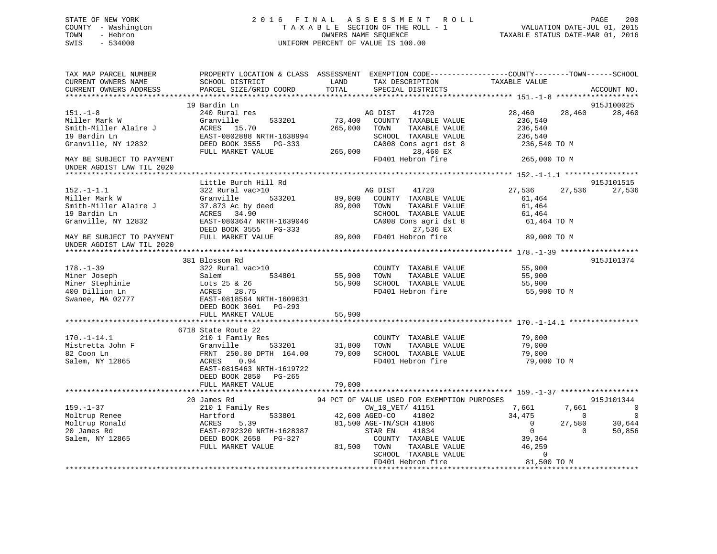## STATE OF NEW YORK 2 0 1 6 F I N A L A S S E S S M E N T R O L L PAGE 200 COUNTY - Washington T A X A B L E SECTION OF THE ROLL - 1 VALUATION DATE-JUL 01, 2015 TOWN - Hebron OWNERS NAME SEQUENCE TAXABLE STATUS DATE-MAR 01, 2016 SWIS - 534000 UNIFORM PERCENT OF VALUE IS 100.00

| TAX MAP PARCEL NUMBER<br>CURRENT OWNERS NAME                             | SCHOOL DISTRICT                                                                     | LAND<br>TAX DESCRIPTION                                                                                                                       | PROPERTY LOCATION & CLASS ASSESSMENT EXEMPTION CODE-----------------COUNTY--------TOWN------SCHOOL<br>TAXABLE VALUE |
|--------------------------------------------------------------------------|-------------------------------------------------------------------------------------|-----------------------------------------------------------------------------------------------------------------------------------------------|---------------------------------------------------------------------------------------------------------------------|
| CURRENT OWNERS ADDRESS                                                   | PARCEL SIZE/GRID COORD                                                              | TOTAL<br>SPECIAL DISTRICTS                                                                                                                    | ACCOUNT NO.                                                                                                         |
|                                                                          | 19 Bardin Ln                                                                        |                                                                                                                                               | 915J100025                                                                                                          |
| $151. - 1 - 8$<br>Miller Mark W<br>Smith-Miller Alaire J<br>19 Bardin Ln | 240 Rural res<br>533201<br>Granville<br>ACRES 15.70<br>EAST-0802888 NRTH-1638994    | AG DIST<br>41720<br>73,400<br>COUNTY TAXABLE VALUE<br>265,000<br>TOWN<br>TAXABLE VALUE<br>SCHOOL TAXABLE VALUE                                | 28,460<br>28,460<br>28,460<br>236,540<br>236,540<br>236,540                                                         |
| Granville, NY 12832                                                      | DEED BOOK 3555 PG-333<br>FIILL MADERS :- PG-333<br>FULL MARKET VALUE                | CA008 Cons agri dst 8<br>265,000<br>28,460 EX                                                                                                 | 236,540 TO M                                                                                                        |
| MAY BE SUBJECT TO PAYMENT<br>UNDER AGDIST LAW TIL 2020                   |                                                                                     | FD401 Hebron fire                                                                                                                             | 265,000 TO M                                                                                                        |
|                                                                          |                                                                                     |                                                                                                                                               |                                                                                                                     |
|                                                                          | Little Burch Hill Rd                                                                |                                                                                                                                               | 915J101515                                                                                                          |
| $152.-1-1.1$                                                             | 322 Rural vac>10                                                                    | AG DIST 41720<br>89,000 COUNTY TAXABLE VALUE                                                                                                  | 27,536<br>27,536<br>27,536                                                                                          |
| Miller Mark W                                                            | Granville 533201                                                                    |                                                                                                                                               | 61,464                                                                                                              |
|                                                                          |                                                                                     | TAXABLE VALUE                                                                                                                                 | 61,464                                                                                                              |
|                                                                          |                                                                                     | SCHOOL TAXABLE VALUE                                                                                                                          | 61,464                                                                                                              |
| Granville, NY 12832                                                      |                                                                                     | CA008 Cons agri dst 8<br>27,536 EX                                                                                                            | 61,464 TO M                                                                                                         |
| MAY BE SUBJECT TO PAYMENT<br>UNDER AGDIST LAW TIL 2020                   |                                                                                     | ACRES 34.90<br>EAST-0803647 NRTH-1639046 CA008 Cons agri dst<br>DEED BOOK 3555 PG-333 27,536 EX<br>FULL MARKET VALUE 89,000 FD401 Hebron fire | 89,000 TO M                                                                                                         |
|                                                                          |                                                                                     |                                                                                                                                               |                                                                                                                     |
|                                                                          | 381 Blossom Rd                                                                      |                                                                                                                                               | 915J101374                                                                                                          |
| $178. - 1 - 39$                                                          | 322 Rural vac>10                                                                    | COUNTY TAXABLE VALUE                                                                                                                          | 55,900                                                                                                              |
| Miner Joseph                                                             | Salem                                                                               | 534801 55,900 TOWN<br>TAXABLE VALUE                                                                                                           | 55,900                                                                                                              |
| Miner Stephinie                                                          |                                                                                     | 55,900 SCHOOL TAXABLE VALUE                                                                                                                   | 55,900                                                                                                              |
| 400 Dillion Ln                                                           | Salem<br>Lots 25 & 26<br>ACRES 28.75<br>EAST-0818564 NRTH-1609631                   | FD401 Hebron fire                                                                                                                             | 55,900 TO M                                                                                                         |
| Swanee, MA 02777                                                         |                                                                                     |                                                                                                                                               |                                                                                                                     |
|                                                                          | DEED BOOK 3601 PG-293                                                               |                                                                                                                                               |                                                                                                                     |
|                                                                          | FULL MARKET VALUE                                                                   | 55,900                                                                                                                                        |                                                                                                                     |
|                                                                          |                                                                                     |                                                                                                                                               |                                                                                                                     |
| $170. - 1 - 14.1$                                                        | 6718 State Route 22<br>210 1 Family Res                                             | COUNTY TAXABLE VALUE                                                                                                                          | 79,000                                                                                                              |
| Mistretta John F                                                         | Granville                                                                           | TOWN<br>TAXABLE VALUE                                                                                                                         | 79,000                                                                                                              |
| 82 Coon Ln                                                               | y Res<br>533201 31,800<br>00 DPTH 164.00 79,000<br>FRNT 250.00 DPTH 164.00          | SCHOOL TAXABLE VALUE                                                                                                                          | 79,000                                                                                                              |
| Salem, NY 12865                                                          | ACRES 0.94                                                                          | FD401 Hebron fire                                                                                                                             | 79,000 TO M                                                                                                         |
|                                                                          | EAST-0815463 NRTH-1619722                                                           |                                                                                                                                               |                                                                                                                     |
|                                                                          | DEED BOOK 2850 PG-265                                                               |                                                                                                                                               |                                                                                                                     |
|                                                                          | FULL MARKET VALUE                                                                   | 79,000                                                                                                                                        |                                                                                                                     |
|                                                                          |                                                                                     |                                                                                                                                               |                                                                                                                     |
|                                                                          | 20 James Rd                                                                         | 94 PCT OF VALUE USED FOR EXEMPTION PURPOSES                                                                                                   | 915J101344                                                                                                          |
| $159. - 1 - 37$                                                          | 210 1 Family Res                                                                    | CW 10 VET/ 41151                                                                                                                              | 7,661<br>7.661<br>0                                                                                                 |
| Moltrup Renee                                                            |                                                                                     | 533801 42,600 AGED-CO<br>41802                                                                                                                | 34,475<br>$\overline{0}$<br>$\overline{0}$                                                                          |
| Moltrup Ronald                                                           |                                                                                     | 81,500 AGE-TN/SCH 41806                                                                                                                       | $\overline{0}$<br>27,580<br>30,644                                                                                  |
|                                                                          |                                                                                     | STAR EN<br>41834                                                                                                                              | $\overline{0}$<br>50,856<br>$\overline{0}$                                                                          |
| Northup Konald<br>20 James Rd<br>Salem, NY 12865                         | Hartford 533801<br>ACRES 5.39<br>EAST-0792320 NRTH-1628387<br>DEED BOOK 2658 PG-327 | COUNTY TAXABLE VALUE                                                                                                                          | 39,364                                                                                                              |
|                                                                          | FULL MARKET VALUE                                                                   | 81,500 TOWN<br>TAXABLE VALUE                                                                                                                  | 46,259                                                                                                              |
|                                                                          |                                                                                     | SCHOOL TAXABLE VALUE                                                                                                                          | $\mathbf 0$                                                                                                         |
|                                                                          |                                                                                     |                                                                                                                                               |                                                                                                                     |
|                                                                          |                                                                                     |                                                                                                                                               |                                                                                                                     |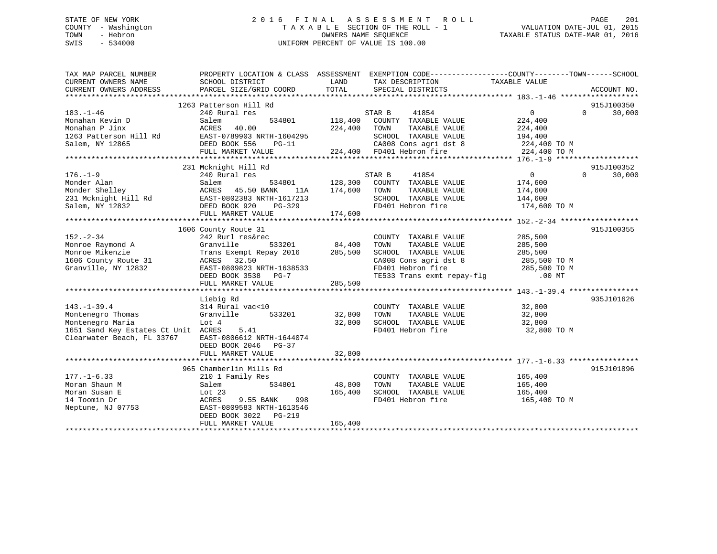## STATE OF NEW YORK 2 0 1 6 F I N A L A S S E S S M E N T R O L L PAGE 201 COUNTY - Washington T A X A B L E SECTION OF THE ROLL - 1 VALUATION DATE-JUL 01, 2015 TOWN - Hebron OWNERS NAME SEQUENCE TAXABLE STATUS DATE-MAR 01, 2016 SWIS - 534000 UNIFORM PERCENT OF VALUE IS 100.00

| TAX MAP PARCEL NUMBER<br>CURRENT OWNERS NAME | PROPERTY LOCATION & CLASS ASSESSMENT EXEMPTION CODE---------------COUNTY-------TOWN------SCHOOL<br>SCHOOL DISTRICT | LAND    | TAX DESCRIPTION                                     | TAXABLE VALUE |                    |
|----------------------------------------------|--------------------------------------------------------------------------------------------------------------------|---------|-----------------------------------------------------|---------------|--------------------|
| CURRENT OWNERS ADDRESS                       | PARCEL SIZE/GRID COORD                                                                                             | TOTAL   | SPECIAL DISTRICTS                                   |               | ACCOUNT NO.        |
|                                              |                                                                                                                    |         |                                                     |               |                    |
|                                              | 1263 Patterson Hill Rd                                                                                             |         |                                                     |               | 915J100350         |
| $183. - 1 - 46$                              | 240 Rural res                                                                                                      |         | 41854<br>STAR B                                     | 0             | 30,000<br>$\Omega$ |
| Monahan Kevin D                              | 534801<br>Salem                                                                                                    | 118,400 | COUNTY TAXABLE VALUE                                | 224,400       |                    |
| Monahan P Jinx                               | ACRES<br>40.00                                                                                                     | 224,400 | TAXABLE VALUE<br>TOWN                               | 224,400       |                    |
| 1263 Patterson Hill Rd                       | EAST-0789903 NRTH-1604295                                                                                          |         | SCHOOL TAXABLE VALUE                                | 194,400       |                    |
| Salem, NY 12865                              | DEED BOOK 556<br>PG-11                                                                                             |         | CA008 Cons agri dst 8 224,400 TO M                  |               |                    |
|                                              | FULL MARKET VALUE                                                                                                  |         | 224,400 FD401 Hebron fire                           | 224,400 TO M  |                    |
|                                              |                                                                                                                    |         |                                                     |               |                    |
|                                              | 231 Mcknight Hill Rd                                                                                               |         |                                                     |               | 915J100352         |
| $176. - 1 - 9$                               | 240 Rural res                                                                                                      |         | STAR B<br>41854                                     | $\Omega$      | $\Omega$<br>30,000 |
| Monder Alan                                  | 534801<br>Salem                                                                                                    | 128,300 | COUNTY TAXABLE VALUE                                | 174,600       |                    |
| Monder Shelley                               | 45.50 BANK<br>ACRES<br>11A                                                                                         | 174,600 | TOWN<br>TAXABLE VALUE                               | 174,600       |                    |
| 231 Mcknight Hill Rd                         | EAST-0802383 NRTH-1617213                                                                                          |         | SCHOOL TAXABLE VALUE<br>FD401 Hebron fire           | 144,600       |                    |
| Salem, NY 12832                              | DEED BOOK 920<br>PG-329                                                                                            |         |                                                     | 174,600 TO M  |                    |
|                                              | FULL MARKET VALUE                                                                                                  | 174,600 |                                                     |               |                    |
|                                              | 1606 County Route 31                                                                                               |         |                                                     |               | 915J100355         |
| $152 - 2 - 34$                               | 242 Rurl res&rec                                                                                                   |         | COUNTY TAXABLE VALUE                                | 285,500       |                    |
| Monroe Raymond A                             | Granville<br>533201                                                                                                | 84,400  | TOWN<br>TAXABLE VALUE                               | 285,500       |                    |
| Monroe Mikenzie                              | Trans Exempt Repay 2016                                                                                            | 285,500 | SCHOOL TAXABLE VALUE                                | 285,500       |                    |
| 1606 County Route 31                         | ACRES 32.50                                                                                                        |         | CA008 Cons agri dst 8                               | 285,500 TO M  |                    |
| Granville, NY 12832                          | EAST-0809823 NRTH-1638533                                                                                          |         |                                                     | 285,500 TO M  |                    |
|                                              | DEED BOOK 3538 PG-7                                                                                                |         | FD401 Hebron fire 285<br>TE533 Trans exmt repay-flg | $.00$ MT      |                    |
|                                              | FULL MARKET VALUE                                                                                                  | 285,500 |                                                     |               |                    |
|                                              |                                                                                                                    |         |                                                     |               |                    |
|                                              | Liebig Rd                                                                                                          |         |                                                     |               | 935J101626         |
| $143. - 1 - 39.4$                            | 314 Rural vac<10                                                                                                   |         | COUNTY TAXABLE VALUE                                | 32,800        |                    |
| Montenegro Thomas                            | Granville<br>533201                                                                                                | 32,800  | TAXABLE VALUE<br>TOWN                               | 32,800        |                    |
| Montenegro Maria                             | Lot 4                                                                                                              | 32,800  | SCHOOL TAXABLE VALUE                                | 32,800        |                    |
| 1651 Sand Key Estates Ct Unit ACRES          | 5.41                                                                                                               |         | FD401 Hebron fire                                   | 32,800 TO M   |                    |
| Clearwater Beach, FL 33767                   | EAST-0806612 NRTH-1644074                                                                                          |         |                                                     |               |                    |
|                                              | DEED BOOK 2046 PG-37                                                                                               |         |                                                     |               |                    |
|                                              | FULL MARKET VALUE                                                                                                  | 32,800  |                                                     |               |                    |
|                                              |                                                                                                                    |         |                                                     |               |                    |
|                                              | 965 Chamberlin Mills Rd                                                                                            |         |                                                     |               | 915J101896         |
| $177. - 1 - 6.33$                            | 210 1 Family Res                                                                                                   |         | COUNTY TAXABLE VALUE                                | 165,400       |                    |
| Moran Shaun M                                | 534801<br>Salem                                                                                                    | 48,800  | TAXABLE VALUE<br>TOWN                               | 165,400       |                    |
| Moran Susan E                                | Lot 23                                                                                                             | 165,400 | SCHOOL TAXABLE VALUE                                | 165,400       |                    |
| 14 Toomin Dr                                 | ACRES<br>9.55 BANK<br>998                                                                                          |         | FD401 Hebron fire                                   | 165,400 TO M  |                    |
| Neptune, NJ 07753                            | EAST-0809583 NRTH-1613546                                                                                          |         |                                                     |               |                    |
|                                              | DEED BOOK 3022<br>PG-219                                                                                           |         |                                                     |               |                    |
|                                              | FULL MARKET VALUE                                                                                                  | 165,400 |                                                     |               |                    |
|                                              |                                                                                                                    |         |                                                     |               |                    |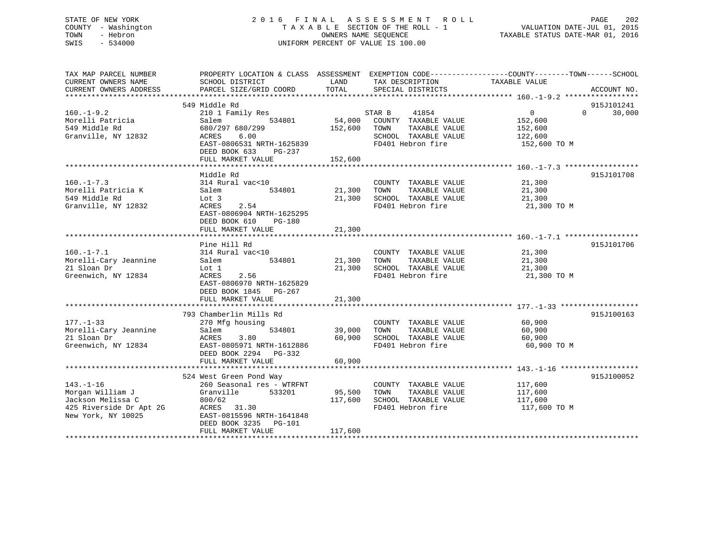## STATE OF NEW YORK 2 0 1 6 F I N A L A S S E S S M E N T R O L L PAGE 202 COUNTY - Washington T A X A B L E SECTION OF THE ROLL - 1 VALUATION DATE-JUL 01, 2015 TOWN - Hebron OWNERS NAME SEQUENCE TAXABLE STATUS DATE-MAR 01, 2016 SWIS - 534000 UNIFORM PERCENT OF VALUE IS 100.00

| TAX MAP PARCEL NUMBER   | PROPERTY LOCATION & CLASS ASSESSMENT EXEMPTION CODE---------------COUNTY-------TOWN-----SCHOOL |         |                             |                |                    |
|-------------------------|------------------------------------------------------------------------------------------------|---------|-----------------------------|----------------|--------------------|
| CURRENT OWNERS NAME     | SCHOOL DISTRICT                                                                                | LAND    | TAX DESCRIPTION             | TAXABLE VALUE  |                    |
| CURRENT OWNERS ADDRESS  | PARCEL SIZE/GRID COORD                                                                         | TOTAL   | SPECIAL DISTRICTS           |                | ACCOUNT NO.        |
| *********************** |                                                                                                |         |                             |                |                    |
|                         | 549 Middle Rd                                                                                  |         |                             |                | 915J101241         |
| $160. - 1 - 9.2$        | 210 1 Family Res                                                                               |         | STAR B<br>41854             | $\overline{0}$ | $\Omega$<br>30,000 |
| Morelli Patricia        | 534801<br>Salem                                                                                |         | 54,000 COUNTY TAXABLE VALUE | 152,600        |                    |
| 549 Middle Rd           | 680/297 680/299                                                                                | 152,600 | TOWN<br>TAXABLE VALUE       | 152,600        |                    |
| Granville, NY 12832     | ACRES<br>6.00                                                                                  |         | SCHOOL TAXABLE VALUE        | 122,600        |                    |
|                         | EAST-0806531 NRTH-1625839                                                                      |         | FD401 Hebron fire           | 152,600 TO M   |                    |
|                         | DEED BOOK 633<br>$PG-237$                                                                      |         |                             |                |                    |
|                         |                                                                                                |         |                             |                |                    |
|                         | FULL MARKET VALUE                                                                              | 152,600 |                             |                |                    |
|                         |                                                                                                |         |                             |                |                    |
|                         | Middle Rd                                                                                      |         |                             |                | 915J101708         |
| $160. - 1 - 7.3$        | 314 Rural vac<10                                                                               |         | COUNTY TAXABLE VALUE        | 21,300         |                    |
| Morelli Patricia K      | 534801<br>Salem                                                                                | 21,300  | TOWN<br>TAXABLE VALUE       | 21,300         |                    |
| 549 Middle Rd           | Lot 3                                                                                          |         | 21,300 SCHOOL TAXABLE VALUE | 21,300         |                    |
| Granville, NY 12832     | ACRES<br>2.54                                                                                  |         | FD401 Hebron fire           | 21,300 TO M    |                    |
|                         | EAST-0806904 NRTH-1625295                                                                      |         |                             |                |                    |
|                         | DEED BOOK 610<br>PG-180                                                                        |         |                             |                |                    |
|                         | FULL MARKET VALUE                                                                              | 21,300  |                             |                |                    |
|                         |                                                                                                |         |                             |                |                    |
|                         | Pine Hill Rd                                                                                   |         |                             |                | 915J101706         |
| $160. - 1 - 7.1$        | 314 Rural vac<10                                                                               |         | COUNTY TAXABLE VALUE        | 21,300         |                    |
| Morelli-Cary Jeannine   | 534801<br>Salem                                                                                | 21,300  | TOWN<br>TAXABLE VALUE       | 21,300         |                    |
| 21 Sloan Dr             | Lot 1                                                                                          |         | 21,300 SCHOOL TAXABLE VALUE | 21,300         |                    |
|                         |                                                                                                |         |                             |                |                    |
| Greenwich, NY 12834     | 2.56<br>ACRES                                                                                  |         | FD401 Hebron fire           | 21,300 TO M    |                    |
|                         | EAST-0806970 NRTH-1625829                                                                      |         |                             |                |                    |
|                         | DEED BOOK 1845 PG-267                                                                          |         |                             |                |                    |
|                         | FULL MARKET VALUE                                                                              | 21,300  |                             |                |                    |
|                         |                                                                                                |         |                             |                |                    |
|                         | 793 Chamberlin Mills Rd                                                                        |         |                             |                | 915J100163         |
| $177. - 1 - 33$         | 270 Mfg housing                                                                                |         | COUNTY TAXABLE VALUE        | 60,900         |                    |
| Morelli-Cary Jeannine   | 534801<br>Salem                                                                                | 39,000  | TOWN<br>TAXABLE VALUE       | 60,900         |                    |
| 21 Sloan Dr             | 3.80<br>ACRES                                                                                  |         | 60,900 SCHOOL TAXABLE VALUE | 60,900         |                    |
| Greenwich, NY 12834     | EAST-0805971 NRTH-1612886                                                                      |         | FD401 Hebron fire           | 60,900 TO M    |                    |
|                         | DEED BOOK 2294 PG-332                                                                          |         |                             |                |                    |
|                         | FULL MARKET VALUE                                                                              | 60,900  |                             |                |                    |
|                         |                                                                                                |         |                             |                |                    |
|                         | 524 West Green Pond Way                                                                        |         |                             |                | 915J100052         |
| $143. - 1 - 16$         | 260 Seasonal res - WTRFNT                                                                      |         | COUNTY TAXABLE VALUE        | 117,600        |                    |
| Morgan William J        | Granville<br>533201                                                                            | 95,500  | TAXABLE VALUE<br>TOWN       | 117,600        |                    |
| Jackson Melissa C       |                                                                                                | 117,600 | SCHOOL TAXABLE VALUE        |                |                    |
|                         | 800/62                                                                                         |         |                             | 117,600        |                    |
| 425 Riverside Dr Apt 2G | ACRES 31.30                                                                                    |         | FD401 Hebron fire           | 117,600 TO M   |                    |
| New York, NY 10025      | EAST-0815596 NRTH-1641848                                                                      |         |                             |                |                    |
|                         | DEED BOOK 3235 PG-101                                                                          |         |                             |                |                    |
|                         | FULL MARKET VALUE                                                                              | 117,600 |                             |                |                    |
|                         |                                                                                                |         |                             |                |                    |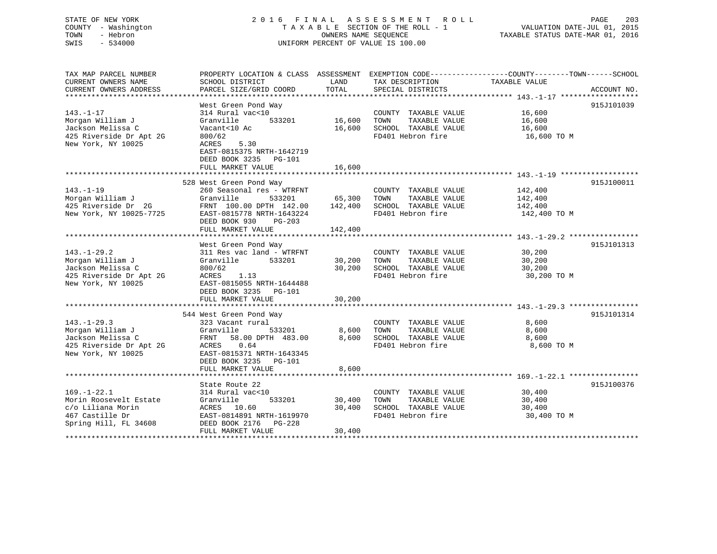## STATE OF NEW YORK 2 0 1 6 F I N A L A S S E S S M E N T R O L L PAGE 203 COUNTY - Washington T A X A B L E SECTION OF THE ROLL - 1 VALUATION DATE-JUL 01, 2015 TOWN - Hebron OWNERS NAME SEQUENCE TAXABLE STATUS DATE-MAR 01, 2016 SWIS - 534000 UNIFORM PERCENT OF VALUE IS 100.00

| TAX MAP PARCEL NUMBER<br>CURRENT OWNERS NAME                                                                | PROPERTY LOCATION & CLASS ASSESSMENT<br>SCHOOL DISTRICT                                                                                                                               | LAND                         | EXEMPTION CODE-----------------COUNTY-------TOWN------SCHOOL<br>TAX DESCRIPTION            | TAXABLE VALUE                                 |             |
|-------------------------------------------------------------------------------------------------------------|---------------------------------------------------------------------------------------------------------------------------------------------------------------------------------------|------------------------------|--------------------------------------------------------------------------------------------|-----------------------------------------------|-------------|
| CURRENT OWNERS ADDRESS                                                                                      | PARCEL SIZE/GRID COORD                                                                                                                                                                | TOTAL                        | SPECIAL DISTRICTS                                                                          |                                               | ACCOUNT NO. |
|                                                                                                             | West Green Pond Way                                                                                                                                                                   |                              |                                                                                            |                                               | 915J101039  |
| $143. - 1 - 17$<br>Morgan William J<br>Jackson Melissa C<br>425 Riverside Dr Apt 2G<br>New York, NY 10025   | 314 Rural vac<10<br>Granville<br>533201<br>Vacant<10 Ac<br>800/62<br>5.30<br>ACRES<br>EAST-0815375 NRTH-1642719<br>DEED BOOK 3235 PG-101<br>FULL MARKET VALUE                         | 16,600<br>16,600<br>16,600   | COUNTY TAXABLE VALUE<br>TAXABLE VALUE<br>TOWN<br>SCHOOL TAXABLE VALUE<br>FD401 Hebron fire | 16,600<br>16,600<br>16,600<br>16,600 TO M     |             |
|                                                                                                             |                                                                                                                                                                                       |                              |                                                                                            |                                               |             |
| $143. - 1 - 19$<br>Morgan William J<br>425 Riverside Dr 2G<br>New York, NY 10025-7725                       | 528 West Green Pond Way<br>260 Seasonal res - WTRFNT<br>Granville<br>533201<br>FRNT 100.00 DPTH 142.00<br>EAST-0815778 NRTH-1643224<br>DEED BOOK 930 PG-203<br>FULL MARKET VALUE      | 65,300<br>142,400<br>142,400 | COUNTY TAXABLE VALUE<br>TOWN<br>TAXABLE VALUE<br>SCHOOL TAXABLE VALUE<br>FD401 Hebron fire | 142,400<br>142,400<br>142,400<br>142,400 TO M | 915J100011  |
|                                                                                                             | West Green Pond Way                                                                                                                                                                   |                              |                                                                                            |                                               | 915J101313  |
| $143. - 1 - 29.2$<br>Morgan William J<br>Jackson Melissa C<br>425 Riverside Dr Apt 2G<br>New York, NY 10025 | 311 Res vac land - WTRFNT<br>Granville<br>533201<br>800/62<br>ACRES<br>1.13<br>EAST-0815055 NRTH-1644488<br>DEED BOOK 3235 PG-101<br>FULL MARKET VALUE                                | 30,200<br>30,200<br>30,200   | COUNTY TAXABLE VALUE<br>TAXABLE VALUE<br>TOWN<br>SCHOOL TAXABLE VALUE<br>FD401 Hebron fire | 30,200<br>30,200<br>30,200<br>30,200 TO M     |             |
|                                                                                                             |                                                                                                                                                                                       |                              |                                                                                            |                                               |             |
| $143. - 1 - 29.3$<br>Morgan William J<br>Jackson Melissa C<br>425 Riverside Dr Apt 2G<br>New York, NY 10025 | 544 West Green Pond Way<br>323 Vacant rural<br>Granville<br>533201<br>FRNT 58.00 DPTH 483.00<br>ACRES 0.64<br>EAST-0815371 NRTH-1643345<br>DEED BOOK 3235 PG-101<br>FULL MARKET VALUE | 8,600<br>8,600<br>8,600      | COUNTY TAXABLE VALUE<br>TOWN<br>TAXABLE VALUE<br>SCHOOL TAXABLE VALUE<br>FD401 Hebron fire | 8,600<br>8,600<br>8,600<br>8,600 TO M         | 915J101314  |
|                                                                                                             |                                                                                                                                                                                       |                              |                                                                                            |                                               |             |
| $169. - 1 - 22.1$                                                                                           | State Route 22<br>314 Rural vac<10                                                                                                                                                    |                              | COUNTY TAXABLE VALUE                                                                       | 30,400                                        | 915J100376  |
| Morin Roosevelt Estate<br>c/o Liliana Morin<br>467 Castille Dr<br>Spring Hill, FL 34608                     | Granville<br>533201<br>ACRES 10.60<br>EAST-0814891 NRTH-1619970<br>DEED BOOK 2176 PG-228<br>FULL MARKET VALUE                                                                         | 30,400<br>30,400<br>30,400   | TAXABLE VALUE<br>TOWN<br>SCHOOL TAXABLE VALUE<br>FD401 Hebron fire                         | 30,400<br>30,400<br>30,400 TO M               |             |
|                                                                                                             |                                                                                                                                                                                       |                              |                                                                                            |                                               |             |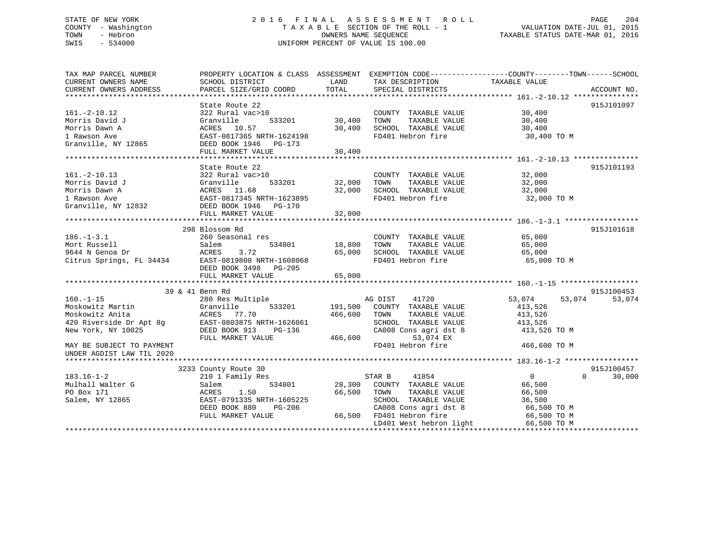## STATE OF NEW YORK 2 0 1 6 F I N A L A S S E S S M E N T R O L L PAGE 204 COUNTY - Washington T A X A B L E SECTION OF THE ROLL - 1 VALUATION DATE-JUL 01, 2015 TOWN - Hebron OWNERS NAME SEQUENCE TAXABLE STATUS DATE-MAR 01, 2016 SWIS - 534000 UNIFORM PERCENT OF VALUE IS 100.00

| TAX MAP PARCEL NUMBER<br>CURRENT OWNERS NAME      | PROPERTY LOCATION & CLASS ASSESSMENT EXEMPTION CODE---------------COUNTY-------TOWN------SCHOOL<br>SCHOOL DISTRICT | LAND<br>TOTAL               | TAX DESCRIPTION TAXABLE VALUE                    |                       |                             |
|---------------------------------------------------|--------------------------------------------------------------------------------------------------------------------|-----------------------------|--------------------------------------------------|-----------------------|-----------------------------|
| CURRENT OWNERS ADDRESS                            | PARCEL SIZE/GRID COORD                                                                                             |                             | SPECIAL DISTRICTS                                |                       | ACCOUNT NO.                 |
|                                                   | State Route 22                                                                                                     |                             |                                                  |                       | 915J101097                  |
| $161. - 2 - 10.12$                                | 322 Rural vac>10                                                                                                   |                             | COUNTY TAXABLE VALUE                             | $\frac{30}{30}$ , 400 |                             |
| Morris David J                                    | Granville<br>533201                                                                                                | COUNT<br>30,400 TOWN        | TAXABLE VALUE                                    |                       |                             |
| Morris Dawn A                                     | ACRES 10.57                                                                                                        |                             | 30,400 SCHOOL TAXABLE VALUE 30,400               |                       |                             |
| 1 Rawson Ave                                      | EAST-0817365 NRTH-1624198                                                                                          |                             | FD401 Hebron fire                                | 30,400 TO M           |                             |
| Granville, NY 12865                               | DEED BOOK 1946    PG-173                                                                                           |                             |                                                  |                       |                             |
|                                                   | FULL MARKET VALUE                                                                                                  | 30,400                      |                                                  |                       |                             |
|                                                   |                                                                                                                    |                             |                                                  |                       |                             |
|                                                   | State Route 22                                                                                                     |                             |                                                  |                       | 915J101193                  |
| $161. - 2 - 10.13$                                | 322 Rural vac>10                                                                                                   |                             | COUNTY TAXABLE VALUE                             | 32,000                |                             |
| Morris David J                                    | Granville                                                                                                          | COUNT<br>533201 32,000 TOWN | TAXABLE VALUE                                    | 32,000                |                             |
| Morris Dawn A                                     |                                                                                                                    | 32,000                      | SCHOOL TAXABLE VALUE                             | 32,000                |                             |
| 1 Rawson Ave                                      |                                                                                                                    |                             | FD401 Hebron fire                                | 32,000 TO M           |                             |
| Granville, NY 12832                               | DEED BOOK 1946 PG-170                                                                                              |                             |                                                  |                       |                             |
|                                                   | FULL MARKET VALUE                                                                                                  | 32,000                      |                                                  |                       |                             |
|                                                   |                                                                                                                    |                             |                                                  |                       |                             |
|                                                   | 298 Blossom Rd                                                                                                     |                             |                                                  |                       | 915J101618                  |
| $186. - 1 - 3.1$                                  | 260 Seasonal res                                                                                                   |                             | COUNTY TAXABLE VALUE 65,000                      |                       |                             |
| Mort Russell                                      | Salem                                                                                                              | 534801 18,800               | TOWN<br>TAXABLE VALUE                            | 65,000                |                             |
|                                                   |                                                                                                                    |                             |                                                  | 65,000                |                             |
|                                                   |                                                                                                                    |                             | 65,000 SCHOOL TAXABLE VALUE<br>FD401 Hebron fire | 65,000 TO M           |                             |
|                                                   | DEED BOOK 3498 PG-205                                                                                              |                             |                                                  |                       |                             |
|                                                   | FULL MARKET VALUE                                                                                                  | 65,000                      |                                                  |                       |                             |
|                                                   |                                                                                                                    |                             |                                                  |                       |                             |
|                                                   | 39 & 41 Benn Rd                                                                                                    |                             |                                                  |                       | 915J100453                  |
| $160. -1 - 15$                                    | 280 Res Multiple                                                                                                   |                             | AG DIST<br>41720                                 | 53,074<br>53,074      | 53,074                      |
| Moskowitz Martin                                  | 533201 191,500<br>Granville<br>ACRES 77.70                                                                         |                             | COUNTY TAXABLE VALUE                             | 413,526               |                             |
| Moskowitz Anita                                   |                                                                                                                    | 466,600                     | TOWN<br>TAXABLE VALUE                            | 413,526               |                             |
| 420 Riverside Dr Apt 8g EAST-0803875 NRTH-1626061 |                                                                                                                    |                             | SCHOOL TAXABLE VALUE                             | 413,526               |                             |
| New York, NY 10025                                | DEED BOOK 913<br>PG-136                                                                                            |                             | CA008 Cons agri dst 8                            | 413,526 TO M          |                             |
|                                                   | FULL MARKET VALUE                                                                                                  | 466,600                     | 53,074 EX                                        |                       |                             |
| MAY BE SUBJECT TO PAYMENT                         |                                                                                                                    |                             | FD401 Hebron fire                                | 466,600 TO M          |                             |
| UNDER AGDIST LAW TIL 2020                         |                                                                                                                    |                             |                                                  |                       |                             |
|                                                   |                                                                                                                    |                             |                                                  |                       |                             |
|                                                   | 3233 County Route 30                                                                                               |                             |                                                  |                       | 915J100457                  |
| $183.16 - 1 - 2$                                  | 210 1 Family Res                                                                                                   |                             | STAR B<br>41854                                  | $\overline{0}$        | $0 \qquad \qquad$<br>30,000 |
| Mulhall Walter G                                  | Salem                                                                                                              |                             | 534801 28,300 COUNTY TAXABLE VALUE               | 66,500                |                             |
| PO Box 171                                        | ACRES<br>1.50                                                                                                      | 66,500                      | TAXABLE VALUE<br>TOWN                            | 66,500                |                             |
| Salem, NY 12865                                   | EAST-0791335 NRTH-1605225                                                                                          |                             | SCHOOL TAXABLE VALUE                             | 36,500                |                             |
|                                                   | DEED BOOK 880<br>PG-206                                                                                            |                             | CA008 Cons agri dst 8<br>CA008 Cons agri dst 8   | 66,500 TO M           |                             |
|                                                   | FULL MARKET VALUE                                                                                                  |                             | 66,500 FD401 Hebron fire                         | 66,500 TO M           |                             |
|                                                   |                                                                                                                    |                             | LD401 West hebron light                          | 66,500 TO M           |                             |
|                                                   |                                                                                                                    |                             |                                                  |                       |                             |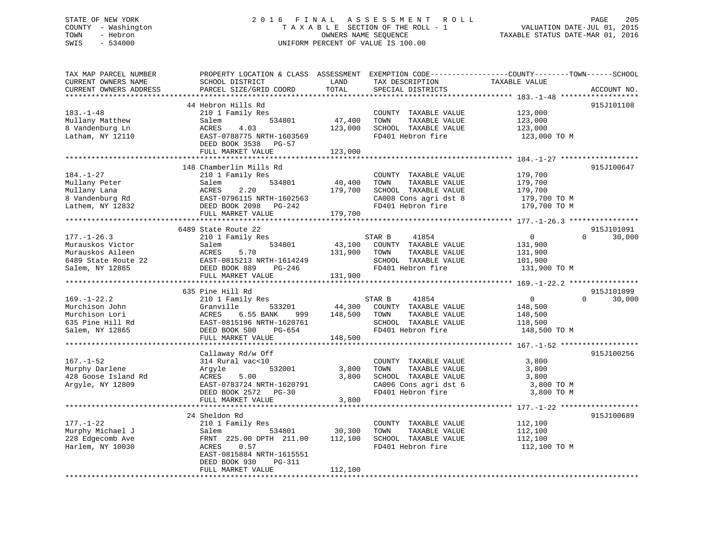## STATE OF NEW YORK 2 0 1 6 F I N A L A S S E S S M E N T R O L L PAGE 205 COUNTY - Washington T A X A B L E SECTION OF THE ROLL - 1 VALUATION DATE-JUL 01, 2015 TOWN - Hebron OWNERS NAME SEQUENCE TAXABLE STATUS DATE-MAR 01, 2016 SWIS - 534000 UNIFORM PERCENT OF VALUE IS 100.00

TAX MAP PARCEL NUMBER PROPERTY LOCATION & CLASS ASSESSMENT EXEMPTION CODE------------------COUNTY--------TOWN------SCHOOL CURRENT OWNERS NAME SCHOOL DISTRICT LAND TAX DESCRIPTION TAXABLE VALUE CURRENT OWNERS ADDRESS PARCEL SIZE/GRID COORD TOTAL SPECIAL DISTRICTS ACCOUNT NO. \*\*\*\*\*\*\*\*\*\*\*\*\*\*\*\*\*\*\*\*\*\*\*\*\*\*\*\*\*\*\*\*\*\*\*\*\*\*\*\*\*\*\*\*\*\*\*\*\*\*\*\*\*\*\*\*\*\*\*\*\*\*\*\*\*\*\*\*\*\*\*\*\*\*\*\*\*\*\*\*\*\*\*\*\*\*\*\*\*\*\*\*\*\*\*\*\*\*\*\*\*\*\* 183.-1-48 \*\*\*\*\*\*\*\*\*\*\*\*\*\*\*\*\*\* 44 Hebron Hills Rd 915J101108183.-1-48 210 1 Family Res COUNTY TAXABLE VALUE 123,000 Mullany Matthew Salem 534801 47,400 TOWN TAXABLE VALUE 123,000 8 Vandenburg Ln ACRES 4.03 123,000 SCHOOL TAXABLE VALUE 123,000 Latham, NY 12110 EAST-0788775 NRTH-1603569 FD401 Hebron fire 123,000 TO M DEED BOOK 3538 PG-57 FULL MARKET VALUE 123,000 \*\*\*\*\*\*\*\*\*\*\*\*\*\*\*\*\*\*\*\*\*\*\*\*\*\*\*\*\*\*\*\*\*\*\*\*\*\*\*\*\*\*\*\*\*\*\*\*\*\*\*\*\*\*\*\*\*\*\*\*\*\*\*\*\*\*\*\*\*\*\*\*\*\*\*\*\*\*\*\*\*\*\*\*\*\*\*\*\*\*\*\*\*\*\*\*\*\*\*\*\*\*\* 184.-1-27 \*\*\*\*\*\*\*\*\*\*\*\*\*\*\*\*\*\* 148 Chamberlin Mills Rd 915J100647184.-1-27 210 1 Family Res COUNTY TAXABLE VALUE 179,700 Mullany Peter Salem 534801 40,400 TOWN TAXABLE VALUE 179,700 Mullany Lana ACRES 2.20 179,700 SCHOOL TAXABLE VALUE 179,700 8 Vandenburg Rd EAST-0796115 NRTH-1602563 CA008 Cons agri dst 8 179,700 TO M Lathem, NY 12832 DEED BOOK 2098 PG-242 FD401 Hebron fire 179,700 TO M FULL MARKET VALUE 179,700 \*\*\*\*\*\*\*\*\*\*\*\*\*\*\*\*\*\*\*\*\*\*\*\*\*\*\*\*\*\*\*\*\*\*\*\*\*\*\*\*\*\*\*\*\*\*\*\*\*\*\*\*\*\*\*\*\*\*\*\*\*\*\*\*\*\*\*\*\*\*\*\*\*\*\*\*\*\*\*\*\*\*\*\*\*\*\*\*\*\*\*\*\*\*\*\*\*\*\*\*\*\*\* 177.-1-26.3 \*\*\*\*\*\*\*\*\*\*\*\*\*\*\*\*915J101091 6489 State Route 22 915J101091 $0 \t 30.000$ 177.-1-26.3 210 1 Family Res STAR B 41854 0 30,000 Murauskos Victor Salem 534801 43,100 COUNTY TAXABLE VALUE 131,900 Murauskos Aileen ACRES 5.70 131,900 TOWN TAXABLE VALUE 131,900 6489 State Route 22 EAST-0815213 NRTH-1614249 SCHOOL TAXABLE VALUE 101,900 Salem, NY 12865 DEED BOOK 889 PG-246 FD401 Hebron fire 131,900 TO M FULL MARKET VALUE 131,900 \*\*\*\*\*\*\*\*\*\*\*\*\*\*\*\*\*\*\*\*\*\*\*\*\*\*\*\*\*\*\*\*\*\*\*\*\*\*\*\*\*\*\*\*\*\*\*\*\*\*\*\*\*\*\*\*\*\*\*\*\*\*\*\*\*\*\*\*\*\*\*\*\*\*\*\*\*\*\*\*\*\*\*\*\*\*\*\*\*\*\*\*\*\*\*\*\*\*\*\*\*\*\* 169.-1-22.2 \*\*\*\*\*\*\*\*\*\*\*\*\*\*\*\* 635 Pine Hill Rd 915J101099169.-1-22.2 210 1 Family Res STAR B 41854 0 0 30,000 Murchison John Granville 533201 44,300 COUNTY TAXABLE VALUE 148,500 Murchison Lori ACRES 6.55 BANK 999 148,500 TOWN TAXABLE VALUE 148,500 635 Pine Hill Rd EAST-0815196 NRTH-1620761 SCHOOL TAXABLE VALUE 118,500 Salem, NY 12865 DEED BOOK 500 PG-654 FD401 Hebron fire 148,500 TO M EAST-0815190 NAIL 101.<br>DEED BOOK 500 PG-654 148,500 \*\*\*\*\*\*\*\*\*\*\*\*\*\*\*\*\*\*\*\*\*\*\*\*\*\*\*\*\*\*\*\*\*\*\*\*\*\*\*\*\*\*\*\*\*\*\*\*\*\*\*\*\*\*\*\*\*\*\*\*\*\*\*\*\*\*\*\*\*\*\*\*\*\*\*\*\*\*\*\*\*\*\*\*\*\*\*\*\*\*\*\*\*\*\*\*\*\*\*\*\*\*\* 167.-1-52 \*\*\*\*\*\*\*\*\*\*\*\*\*\*\*\*\*\*915J100256 Callaway Rd/w Off 167.-1-52 314 Rural vac<10 COUNTY TAXABLE VALUE 3,800 Murphy Darlene Argyle 532001 3,800 TOWN TAXABLE VALUE 3,800 428 Goose Island Rd ACRES 5.00 3,800 SCHOOL TAXABLE VALUE 3,800 Argyle, NY 12809 EAST-0783724 NRTH-1620791 CA006 Cons agri dst 6 3,800 TO M DEED BOOK 2572 PG-30 FD401 Hebron fire 3,800 TO M FULL MARKET VALUE 3,800 \*\*\*\*\*\*\*\*\*\*\*\*\*\*\*\*\*\*\*\*\*\*\*\*\*\*\*\*\*\*\*\*\*\*\*\*\*\*\*\*\*\*\*\*\*\*\*\*\*\*\*\*\*\*\*\*\*\*\*\*\*\*\*\*\*\*\*\*\*\*\*\*\*\*\*\*\*\*\*\*\*\*\*\*\*\*\*\*\*\*\*\*\*\*\*\*\*\*\*\*\*\*\* 177.-1-22 \*\*\*\*\*\*\*\*\*\*\*\*\*\*\*\*\*\* 24 Sheldon Rd 915J100689177.-1-22 210 1 Family Res COUNTY TAXABLE VALUE 112,100 Murphy Michael J Salem 534801 30,300 TOWN TAXABLE VALUE 112,100 228 Edgecomb Ave FRNT 225.00 DPTH 211.00 112,100 SCHOOL TAXABLE VALUE 112,100 Harlem, NY 10030 ACRES 0.57 FD401 Hebron fire 112,100 TO M EAST-0815884 NRTH-1615551 DEED BOOK 930 PG-311ERED BOOR 550 10 512 112,100<br>FULL MARKET VALUE 112,100 \*\*\*\*\*\*\*\*\*\*\*\*\*\*\*\*\*\*\*\*\*\*\*\*\*\*\*\*\*\*\*\*\*\*\*\*\*\*\*\*\*\*\*\*\*\*\*\*\*\*\*\*\*\*\*\*\*\*\*\*\*\*\*\*\*\*\*\*\*\*\*\*\*\*\*\*\*\*\*\*\*\*\*\*\*\*\*\*\*\*\*\*\*\*\*\*\*\*\*\*\*\*\*\*\*\*\*\*\*\*\*\*\*\*\*\*\*\*\*\*\*\*\*\*\*\*\*\*\*\*\*\*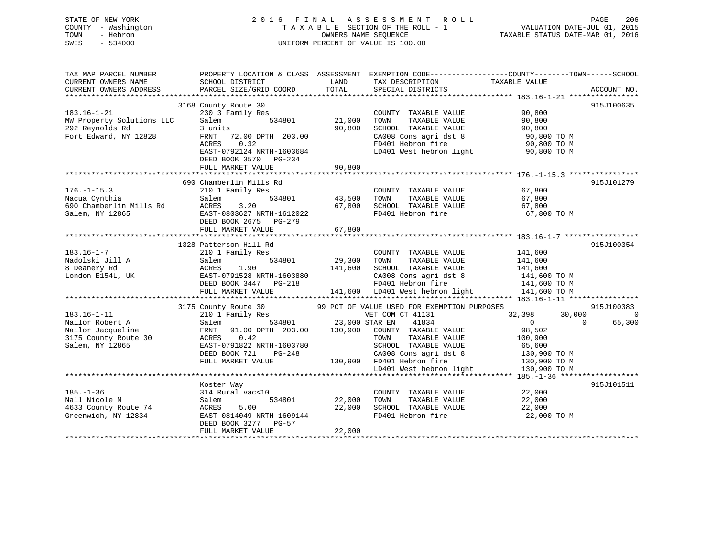## STATE OF NEW YORK 2 0 1 6 F I N A L A S S E S S M E N T R O L L PAGE 206 COUNTY - Washington T A X A B L E SECTION OF THE ROLL - 1 VALUATION DATE-JUL 01, 2015 TOWN - Hebron OWNERS NAME SEQUENCE TAXABLE STATUS DATE-MAR 01, 2016 SWIS - 534000 UNIFORM PERCENT OF VALUE IS 100.00

| TAX MAP PARCEL NUMBER                    | PROPERTY LOCATION & CLASS ASSESSMENT EXEMPTION CODE---------------COUNTY-------TOWN------SCHOOL                                                                                                                                                                                                                                         |               |                                                                                                                                                                          |                     |                |
|------------------------------------------|-----------------------------------------------------------------------------------------------------------------------------------------------------------------------------------------------------------------------------------------------------------------------------------------------------------------------------------------|---------------|--------------------------------------------------------------------------------------------------------------------------------------------------------------------------|---------------------|----------------|
|                                          |                                                                                                                                                                                                                                                                                                                                         |               |                                                                                                                                                                          |                     |                |
|                                          |                                                                                                                                                                                                                                                                                                                                         |               |                                                                                                                                                                          |                     |                |
|                                          |                                                                                                                                                                                                                                                                                                                                         |               |                                                                                                                                                                          |                     |                |
|                                          | 3168 County Route 30                                                                                                                                                                                                                                                                                                                    |               |                                                                                                                                                                          |                     | 915J100635     |
| $183.16 - 1 - 21$                        | 230 3 Family Res                                                                                                                                                                                                                                                                                                                        |               | COUNTY TAXABLE VALUE 90,800                                                                                                                                              |                     |                |
| MW Property Solutions LLC                | Salem                                                                                                                                                                                                                                                                                                                                   |               |                                                                                                                                                                          |                     |                |
| 292 Reynolds Rd                          | Family Res<br>534801 21,000<br>3 units                                                                                                                                                                                                                                                                                                  | 90,800        |                                                                                                                                                                          |                     |                |
| Fort Edward, NY 12828                    | FRNT 72.00 DPTH 203.00                                                                                                                                                                                                                                                                                                                  |               |                                                                                                                                                                          |                     |                |
|                                          |                                                                                                                                                                                                                                                                                                                                         |               | CA008 Cons agri dst 8<br>FD401 Hebron fire 90,800 TO M<br>FD401 Hebron fire 90,800 TO M                                                                                  |                     |                |
|                                          | ACRES<br>0.32                                                                                                                                                                                                                                                                                                                           |               | FD401 Hebron fire 90,800 TO M<br>LD401 West hebron light 90,800 TO M                                                                                                     |                     |                |
|                                          | EAST-0792124 NRTH-1603684                                                                                                                                                                                                                                                                                                               |               |                                                                                                                                                                          |                     |                |
|                                          | DEED BOOK 3570 PG-234                                                                                                                                                                                                                                                                                                                   |               |                                                                                                                                                                          |                     |                |
|                                          | FULL MARKET VALUE                                                                                                                                                                                                                                                                                                                       | 90,800        |                                                                                                                                                                          |                     |                |
|                                          |                                                                                                                                                                                                                                                                                                                                         |               |                                                                                                                                                                          |                     |                |
|                                          | 690 Chamberlin Mills Rd                                                                                                                                                                                                                                                                                                                 |               |                                                                                                                                                                          |                     | 915J101279     |
| $176. - 1 - 15.3$                        | 210 1 Family Res                                                                                                                                                                                                                                                                                                                        |               | COUNTY TAXABLE VALUE 67,800<br>TOWN TAXABLE VALUE 67,800                                                                                                                 |                     |                |
| Nacua Cynthia<br>690 Chamberlin Mills Rd | Salem                                                                                                                                                                                                                                                                                                                                   |               | $\begin{tabular}{lllllllll} 43,500 & TOWN & TAXABLE VALUE & & & & & & 67,800 \\ 67,800 & SCHOOL & TAXABLE VALUE & & & & & 67,800 \end{tabular}$                          |                     |                |
|                                          | ACRES<br>3.20                                                                                                                                                                                                                                                                                                                           |               |                                                                                                                                                                          |                     |                |
| Salem, NY 12865                          | EAST-0803627 NRTH-1612022                                                                                                                                                                                                                                                                                                               |               | FD401 Hebron fire 67,800 TO M                                                                                                                                            |                     |                |
|                                          | DEED BOOK 2675 PG-279                                                                                                                                                                                                                                                                                                                   |               |                                                                                                                                                                          |                     |                |
|                                          | FULL MARKET VALUE                                                                                                                                                                                                                                                                                                                       | 67,800        |                                                                                                                                                                          |                     |                |
|                                          |                                                                                                                                                                                                                                                                                                                                         |               |                                                                                                                                                                          |                     |                |
|                                          | 1328 Patterson Hill Rd                                                                                                                                                                                                                                                                                                                  |               |                                                                                                                                                                          |                     | 915J100354     |
|                                          |                                                                                                                                                                                                                                                                                                                                         |               |                                                                                                                                                                          |                     |                |
| $183.16 - 1 - 7$                         | 210 1 Family Res<br>$\frac{1}{2}$ $\frac{1}{2}$ $\frac{1}{2}$ $\frac{1}{2}$ $\frac{1}{2}$ $\frac{1}{2}$ $\frac{1}{2}$ $\frac{1}{2}$ $\frac{1}{2}$ $\frac{1}{2}$ $\frac{1}{2}$ $\frac{1}{2}$ $\frac{1}{2}$ $\frac{1}{2}$ $\frac{1}{2}$ $\frac{1}{2}$ $\frac{1}{2}$ $\frac{1}{2}$ $\frac{1}{2}$ $\frac{1}{2}$ $\frac{1}{2}$ $\frac{1}{2}$ |               | $\begin{tabular}{lllllllllll} \multicolumn{2}{c}{\text{COUNTY}} & \text{TAXABLE VALUE} & & & 141,600 \\ \text{TOWN} & \text{TAXABLE VALUE} & & 141,600 \\ \end{tabular}$ |                     |                |
| Nadolski Jill A                          | Salem                                                                                                                                                                                                                                                                                                                                   |               |                                                                                                                                                                          |                     |                |
|                                          |                                                                                                                                                                                                                                                                                                                                         |               |                                                                                                                                                                          |                     |                |
|                                          |                                                                                                                                                                                                                                                                                                                                         |               |                                                                                                                                                                          |                     |                |
|                                          |                                                                                                                                                                                                                                                                                                                                         |               |                                                                                                                                                                          |                     |                |
|                                          |                                                                                                                                                                                                                                                                                                                                         |               |                                                                                                                                                                          |                     |                |
|                                          | ACRES 1.90<br>EXERENTE 190<br>London E154L, UK<br>EXERENTE DEED BOOK 3447 PG-218<br>FULL MARKET VALUE<br>FULL MARKET VALUE<br>EXERENTE 141,600<br>EXERENTE 141,600<br>EXERENTE 141,600<br>FULL MARKET VALUE<br>FULL MARKET VALUE<br>FULL MARKET VALU                                                                                    |               |                                                                                                                                                                          |                     |                |
|                                          | 3175 County Route 30 99 PCT OF VALUE USED FOR EXEMPTION PURPOSES<br>210 1 Family Res VET COM CT 41131 32,398<br>Salem 534801 23,000 STAR EN 41834 0<br>FRNT 91.00 DPTH 203.00 130,900 COUNTY TAXABLE VALUE 98,502<br>7 TRNT RAMBLE VAL                                                                                                  |               |                                                                                                                                                                          |                     | 915J100383     |
| $183.16 - 1 - 11$                        |                                                                                                                                                                                                                                                                                                                                         |               |                                                                                                                                                                          | $32,398$ $30,000$ 0 | $\overline{0}$ |
| Nailor Robert A                          |                                                                                                                                                                                                                                                                                                                                         |               |                                                                                                                                                                          |                     | 65,300         |
| Nailor Jacqueline                        |                                                                                                                                                                                                                                                                                                                                         |               |                                                                                                                                                                          |                     |                |
| 3175 County Route 30                     | ACRES 0.42                                                                                                                                                                                                                                                                                                                              |               | TAXABLE VALUE 100,900<br>TOWN                                                                                                                                            |                     |                |
| Salem, NY 12865                          | $\frac{1}{2}$ EAST-0791822 NRTH-1603780<br>EAST-0791822 NRTH-1603780<br>DEED BOOK 721 PG-248 CA008 Cons agri dst 8 130,900 TO M<br>FULL MARKET VALUE 130,900 FD401 Hebron fire 130,900 TO M<br>LD401 West hebron light 130,900 TO M                                                                                                     |               |                                                                                                                                                                          |                     |                |
|                                          |                                                                                                                                                                                                                                                                                                                                         |               |                                                                                                                                                                          |                     |                |
|                                          |                                                                                                                                                                                                                                                                                                                                         |               |                                                                                                                                                                          |                     |                |
|                                          |                                                                                                                                                                                                                                                                                                                                         |               |                                                                                                                                                                          |                     |                |
|                                          |                                                                                                                                                                                                                                                                                                                                         |               |                                                                                                                                                                          |                     |                |
|                                          |                                                                                                                                                                                                                                                                                                                                         |               |                                                                                                                                                                          |                     |                |
|                                          | Koster Way                                                                                                                                                                                                                                                                                                                              |               |                                                                                                                                                                          |                     | 915J101511     |
| $185. - 1 - 36$                          | 314 Rural vac<10                                                                                                                                                                                                                                                                                                                        |               | COUNTY TAXABLE VALUE 22,000                                                                                                                                              |                     |                |
| Nall Nicole M                            | Salem                                                                                                                                                                                                                                                                                                                                   | 534801 22,000 |                                                                                                                                                                          |                     |                |
| 4633 County Route 74                     |                                                                                                                                                                                                                                                                                                                                         | 22,000        |                                                                                                                                                                          |                     |                |
| Greenwich, NY 12834                      | ACRES 5.00 22,00<br>EAST-0814049 NRTH-1609144 22,00                                                                                                                                                                                                                                                                                     |               | FD401 Hebron fire                                                                                                                                                        | 22,000 TO M         |                |
|                                          | DEED BOOK 3277 PG-57                                                                                                                                                                                                                                                                                                                    |               |                                                                                                                                                                          |                     |                |
|                                          | FULL MARKET VALUE                                                                                                                                                                                                                                                                                                                       | 22,000        |                                                                                                                                                                          |                     |                |
|                                          |                                                                                                                                                                                                                                                                                                                                         |               |                                                                                                                                                                          |                     |                |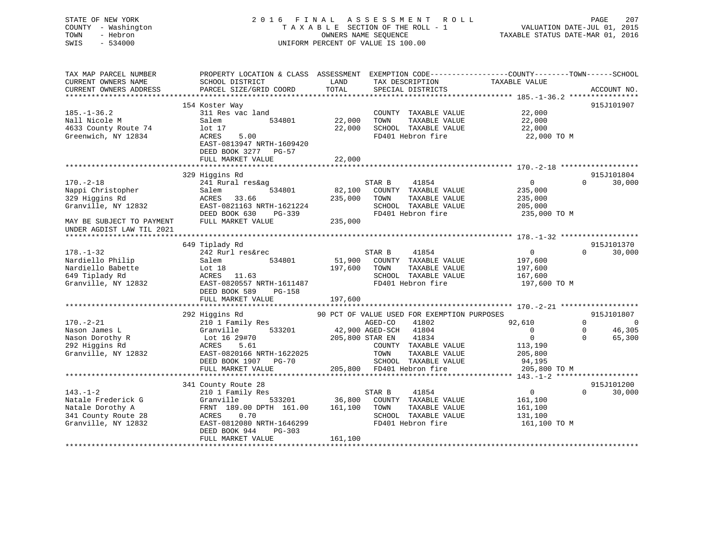## STATE OF NEW YORK 2 0 1 6 F I N A L A S S E S S M E N T R O L L PAGE 207 COUNTY - Washington T A X A B L E SECTION OF THE ROLL - 1 VALUATION DATE-JUL 01, 2015 TOWN - Hebron OWNERS NAME SEQUENCE TAXABLE STATUS DATE-MAR 01, 2016 SWIS - 534000 UNIFORM PERCENT OF VALUE IS 100.00

| TAX MAP PARCEL NUMBER<br>CURRENT OWNERS NAME<br>CURRENT OWNERS ADDRESS                                                                  | PROPERTY LOCATION & CLASS ASSESSMENT<br>SCHOOL DISTRICT<br>PARCEL SIZE/GRID COORD                                                                                                         | LAND<br>TOTAL                | TAX DESCRIPTION<br>SPECIAL DISTRICTS                                                                                                                                          | EXEMPTION CODE-----------------COUNTY-------TOWN------SCHOOL<br>TAXABLE VALUE<br>ACCOUNT NO.                                                          |
|-----------------------------------------------------------------------------------------------------------------------------------------|-------------------------------------------------------------------------------------------------------------------------------------------------------------------------------------------|------------------------------|-------------------------------------------------------------------------------------------------------------------------------------------------------------------------------|-------------------------------------------------------------------------------------------------------------------------------------------------------|
| $185. - 1 - 36.2$<br>Nall Nicole M<br>4633 County Route 74<br>Greenwich, NY 12834                                                       | 154 Koster Way<br>311 Res vac land<br>534801<br>Salem<br>lot <sub>17</sub><br>ACRES<br>5.00<br>EAST-0813947 NRTH-1609420<br>DEED BOOK 3277 PG-57<br>FULL MARKET VALUE                     | 22,000<br>22,000<br>22,000   | COUNTY TAXABLE VALUE<br>TOWN<br>TAXABLE VALUE<br>SCHOOL TAXABLE VALUE<br>FD401 Hebron fire                                                                                    | 915J101907<br>22,000<br>22,000<br>22,000<br>22,000 TO M                                                                                               |
| $170. - 2 - 18$<br>Nappi Christopher<br>329 Higgins Rd<br>Granville, NY 12832<br>MAY BE SUBJECT TO PAYMENT<br>UNDER AGDIST LAW TIL 2021 | 329 Higgins Rd<br>241 Rural res&ag<br>534801<br>Salem<br>ACRES 33.66<br>EAST-0821163 NRTH-1621224<br>DEED BOOK 630<br>PG-339<br>FULL MARKET VALUE                                         | 82,100<br>235,000<br>235,000 | STAR B<br>41854<br>COUNTY TAXABLE VALUE<br>TOWN<br>TAXABLE VALUE<br>SCHOOL TAXABLE VALUE<br>FD401 Hebron fire                                                                 | 915J101804<br>30,000<br>$\overline{0}$<br>$\Omega$<br>235,000<br>235,000<br>205,000<br>235,000 TO M                                                   |
| $178. - 1 - 32$<br>Nardiello Philip<br>Nardiello Babette<br>649 Tiplady Rd<br>Granville, NY 12832                                       | 649 Tiplady Rd<br>242 Rurl res&rec<br>534801<br>Salem<br>Lot 18<br>ACRES 11.63<br>EAST-0820557 NRTH-1611487<br>DEED BOOK 589<br>PG-158<br>FULL MARKET VALUE                               | 51,900<br>197,600<br>197,600 | STAR B<br>41854<br>COUNTY TAXABLE VALUE<br>TOWN<br>TAXABLE VALUE<br>SCHOOL TAXABLE VALUE<br>FD401 Hebron fire                                                                 | 915J101370<br>$\overline{0}$<br>$\Omega$<br>30,000<br>197,600<br>197,600<br>167,600<br>197,600 TO M                                                   |
| $170. - 2 - 21$<br>Nason James L<br>Nason Dorothy R<br>292 Higgins Rd<br>Granville, NY 12832                                            | 292 Higgins Rd<br>210 1 Family Res<br>Granville<br>533201<br>Lot 16 29#70<br>ACRES<br>5.61<br>EAST-0820166 NRTH-1622025<br>DEED BOOK 1907 PG-70                                           | 205,800 STAR EN              | 90 PCT OF VALUE USED FOR EXEMPTION PURPOSES<br>AGED-CO<br>41802<br>41804<br>42,900 AGED-SCH<br>41834<br>COUNTY TAXABLE VALUE<br>TOWN<br>TAXABLE VALUE<br>SCHOOL TAXABLE VALUE | 915J101807<br>$\Omega$<br>92,610<br>$\bigcirc$<br>$\mathbf 0$<br>46,305<br>$\Omega$<br>$\Omega$<br>$\Omega$<br>65,300<br>113,190<br>205,800<br>94,195 |
| $143. - 1 - 2$<br>Natale Frederick G<br>Natale Dorothy A<br>341 County Route 28<br>Granville, NY 12832                                  | 341 County Route 28<br>210 1 Family Res<br>Granville<br>533201<br>FRNT 189.00 DPTH 161.00<br>0.70<br>ACRES<br>EAST-0812080 NRTH-1646299<br>DEED BOOK 944<br>$PG-303$<br>FULL MARKET VALUE | 36,800<br>161,100<br>161,100 | 41854<br>STAR B<br>COUNTY TAXABLE VALUE<br>TOWN<br>TAXABLE VALUE<br>SCHOOL TAXABLE VALUE<br>FD401 Hebron fire                                                                 | 915J101200<br>$\overline{0}$<br>$\Omega$<br>30,000<br>161,100<br>161,100<br>131,100<br>161,100 TO M                                                   |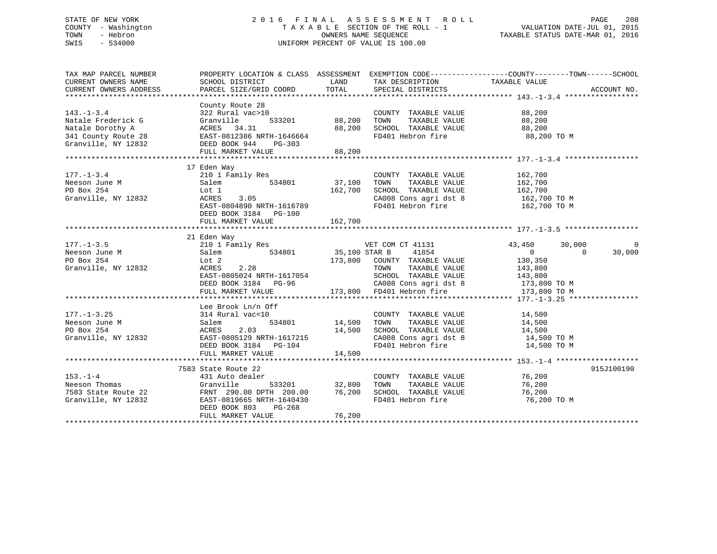## STATE OF NEW YORK 2 0 1 6 F I N A L A S S E S S M E N T R O L L PAGE 208 COUNTY - Washington T A X A B L E SECTION OF THE ROLL - 1 VALUATION DATE-JUL 01, 2015 TOWN - Hebron OWNERS NAME SEQUENCE TAXABLE STATUS DATE-MAR 01, 2016 SWIS - 534000 UNIFORM PERCENT OF VALUE IS 100.00

| TAX MAP PARCEL NUMBER        |                                                                                                                                                                                                                                      |         |                                                                          | PROPERTY LOCATION & CLASS ASSESSMENT EXEMPTION CODE---------------COUNTY-------TOWN------SCHOOL |             |
|------------------------------|--------------------------------------------------------------------------------------------------------------------------------------------------------------------------------------------------------------------------------------|---------|--------------------------------------------------------------------------|-------------------------------------------------------------------------------------------------|-------------|
| CURRENT OWNERS NAME          | SCHOOL DISTRICT<br><b>LAND</b>                                                                                                                                                                                                       |         | TAX DESCRIPTION TAXABLE VALUE                                            |                                                                                                 |             |
|                              |                                                                                                                                                                                                                                      |         |                                                                          |                                                                                                 |             |
|                              |                                                                                                                                                                                                                                      |         |                                                                          |                                                                                                 |             |
|                              |                                                                                                                                                                                                                                      |         |                                                                          |                                                                                                 |             |
| $143. - 1 - 3.4$             | County Route 28<br>322 Rural vac>10                                                                                                                                                                                                  |         | COUNTY TAXABLE VALUE 88,200                                              |                                                                                                 |             |
|                              |                                                                                                                                                                                                                                      |         | 533201 88,200 TOWN TAXABLE VALUE 88,200                                  |                                                                                                 |             |
|                              |                                                                                                                                                                                                                                      |         |                                                                          |                                                                                                 |             |
|                              |                                                                                                                                                                                                                                      |         |                                                                          | 88,200 TO M                                                                                     |             |
|                              | Natale Frederick G Granville 333201 88,200 TOWN TAXABLE VALUE 88,200<br>Natale Dorothy A ACRES 34.31 88,200 SCHOOL TAXABLE VALUE 88,200<br>341 County Route 28 EAST-0812386 NRTH-1646664 FD401 Hebron fire 88,200<br>Granville, NY 1 |         |                                                                          |                                                                                                 |             |
|                              |                                                                                                                                                                                                                                      |         |                                                                          |                                                                                                 |             |
|                              |                                                                                                                                                                                                                                      |         |                                                                          |                                                                                                 |             |
|                              | 17 Eden Way                                                                                                                                                                                                                          |         |                                                                          |                                                                                                 |             |
|                              |                                                                                                                                                                                                                                      |         | COUNTY TAXABLE VALUE                                                     | 162,700                                                                                         |             |
|                              |                                                                                                                                                                                                                                      |         |                                                                          | TAXABLE VALUE 162,700                                                                           |             |
|                              |                                                                                                                                                                                                                                      |         |                                                                          |                                                                                                 |             |
|                              | 177.-1-3.4 210 1 Family Res COUNTY<br>Neeson June M Salem 534801 37,100 TOWN<br>PO Box 254 Lot 1 162,700 SCHOOL<br>Granville, NY 12832 ACRES 3.05 CA008 Co<br>EAST-0804890 NRTH-1616789 FD401 He                                     |         | SCHOOL TAXABLE VALUE 162,700<br>CA008 Cons agri dst 8 162,700 TO M       |                                                                                                 |             |
|                              |                                                                                                                                                                                                                                      |         | CA008 Cons agri dst 8 $162,700$ TO M<br>FD401 Hebron fire $162,700$ TO M |                                                                                                 |             |
|                              |                                                                                                                                                                                                                                      |         |                                                                          |                                                                                                 |             |
|                              | DEED BOOK 3184 PG-100                                                                                                                                                                                                                |         |                                                                          |                                                                                                 |             |
|                              | FULL MARKET VALUE                                                                                                                                                                                                                    | 162,700 |                                                                          |                                                                                                 |             |
|                              |                                                                                                                                                                                                                                      |         |                                                                          |                                                                                                 |             |
|                              | 21 Eden Way<br>210 1 Family Res<br>210 1 Family Res<br>210 200 VET COM CT 41131                                                                                                                                                      |         |                                                                          |                                                                                                 |             |
| $177. - 1 - 3.5$             |                                                                                                                                                                                                                                      |         |                                                                          | 43,450 30,000                                                                                   | $\mathbf 0$ |
|                              | Nesson June M<br>Po Box 254<br>Po Box 254<br>Cot 2<br>Granville, NY 12832<br>ACRES 2.28<br>Po Box 254<br>COUNTY TAXABLE VALUE<br>TOWN TAXABLE VALUE<br>TOWN TAXABLE VALUE                                                            |         |                                                                          | $\begin{array}{c} 0 \\ 130,350 \end{array}$<br>$\Omega$                                         | 30,000      |
|                              |                                                                                                                                                                                                                                      |         | $173,800$ COUNTY TAXABLE VALUE $130,350$<br>TOWN TAXABLE VALUE $143,800$ |                                                                                                 |             |
|                              |                                                                                                                                                                                                                                      |         |                                                                          |                                                                                                 |             |
|                              |                                                                                                                                                                                                                                      |         |                                                                          |                                                                                                 |             |
|                              |                                                                                                                                                                                                                                      |         |                                                                          |                                                                                                 |             |
|                              | EAST-0805024 NRTH-1617054 SCHOOL TAXABLE VALUE 143,800<br>DEED BOOK 3184 PG-96 CA008 Cons agri dst 8 173,800 TO M<br>FULL MARKET VALUE 173,800 FD401 Hebron fire 173,800 TO M                                                        |         |                                                                          |                                                                                                 |             |
|                              |                                                                                                                                                                                                                                      |         |                                                                          |                                                                                                 |             |
|                              | Lee Brook Ln/n Off                                                                                                                                                                                                                   |         |                                                                          |                                                                                                 |             |
| $177. - 1 - 3.25$            |                                                                                                                                                                                                                                      |         | COUNTY TAXABLE VALUE 14,500                                              |                                                                                                 |             |
| 177.-1-3.25<br>Neeson June M | 314 Rural vac<10<br>Salem 53<br>ACRES 2.03<br>534801 14,500 TOWN                                                                                                                                                                     |         | 14,500 TOWN TAXABLE VALUE 14,500<br>14,500 SCHOOL TAXABLE VALUE 14,500   |                                                                                                 |             |
|                              |                                                                                                                                                                                                                                      |         |                                                                          |                                                                                                 |             |
|                              | Granville, NY 12832 EAST-0805129 NRTH-1617215                                                                                                                                                                                        |         | CA008 Cons agri dst 8 14,500 TO M                                        |                                                                                                 |             |
|                              | DEED BOOK 3184 PG-104                                                                                                                                                                                                                |         | FD401 Hebron fire                                                        | 14,500 TO M                                                                                     |             |
|                              | FULL MARKET VALUE                                                                                                                                                                                                                    | 14,500  |                                                                          |                                                                                                 |             |
|                              |                                                                                                                                                                                                                                      |         |                                                                          |                                                                                                 |             |
|                              | 7583 State Route 22                                                                                                                                                                                                                  |         |                                                                          |                                                                                                 | 915J100190  |
| $153. - 1 - 4$               | 431 Auto dealer                                                                                                                                                                                                                      |         | COUNTY TAXABLE VALUE 76,200                                              |                                                                                                 |             |
|                              | Neeson Thomas<br>Text 12832 (Tennyille 1990)<br>Text 12832 (Tennyille 1990)<br>Text 12832 EAST-0819665 NRTH-1640430 (Text 19401 Hebron fire                                                                                          |         |                                                                          |                                                                                                 |             |
|                              |                                                                                                                                                                                                                                      |         |                                                                          | TAXABLE VALUE 76,200<br>TAXABLE VALUE 76,200                                                    |             |
|                              |                                                                                                                                                                                                                                      |         |                                                                          | 76,200 TO M                                                                                     |             |
|                              | DEED BOOK 803<br>PG-268                                                                                                                                                                                                              |         |                                                                          |                                                                                                 |             |
|                              |                                                                                                                                                                                                                                      |         |                                                                          |                                                                                                 |             |
|                              |                                                                                                                                                                                                                                      |         |                                                                          |                                                                                                 |             |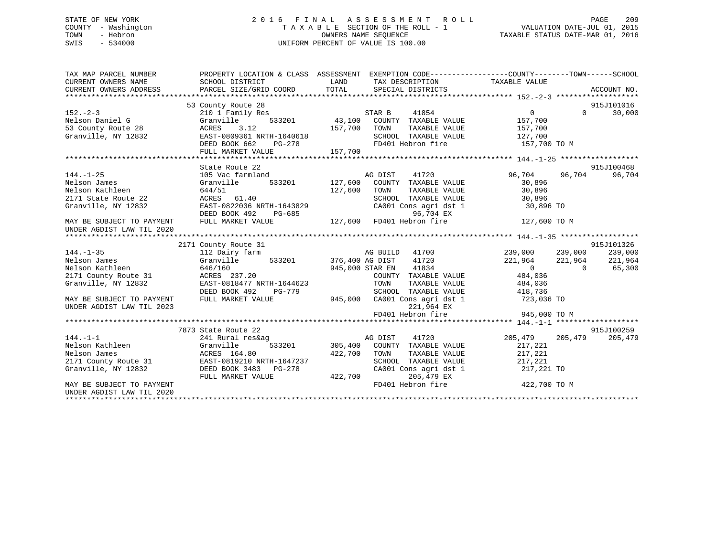## STATE OF NEW YORK 2 0 1 6 F I N A L A S S E S S M E N T R O L L PAGE 209 COUNTY - Washington T A X A B L E SECTION OF THE ROLL - 1 VALUATION DATE-JUL 01, 2015 TOWN - Hebron OWNERS NAME SEQUENCE TAXABLE STATUS DATE-MAR 01, 2016 SWIS - 534000 UNIFORM PERCENT OF VALUE IS 100.00

| TAX MAP PARCEL NUMBER<br>CURRENT OWNERS NAME<br>CURRENT OWNERS ADDRESS | PROPERTY LOCATION & CLASS ASSESSMENT EXEMPTION CODE----------------COUNTY-------TOWN-----SCHOOL<br>SCHOOL DISTRICT<br>PARCEL SIZE/GRID COORD | LAND<br>TOTAL   | TAX DESCRIPTION TAXABLE VALUE<br>SPECIAL DISTRICTS |                               | ACCOUNT NO. |
|------------------------------------------------------------------------|----------------------------------------------------------------------------------------------------------------------------------------------|-----------------|----------------------------------------------------|-------------------------------|-------------|
|                                                                        |                                                                                                                                              |                 |                                                    |                               |             |
|                                                                        | 53 County Route 28                                                                                                                           |                 |                                                    |                               | 915J101016  |
| $152 - 2 - 3$                                                          | 210 1 Family Res                                                                                                                             |                 | STAR B<br>41854                                    | $0 \qquad \qquad$<br>$\Omega$ | 30,000      |
| Nelson Daniel G                                                        | 533201<br>Granville                                                                                                                          |                 | 43,100 COUNTY TAXABLE VALUE                        | 157,700                       |             |
| 53 County Route 28                                                     | 3.12<br>ACRES                                                                                                                                | 157,700         | TOWN<br>TAXABLE VALUE                              | 157,700                       |             |
| Granville, NY 12832                                                    | EAST-0809361 NRTH-1640618                                                                                                                    |                 | SCHOOL TAXABLE VALUE                               | 127,700                       |             |
|                                                                        | DEED BOOK 662<br>PG-278                                                                                                                      |                 | FD401 Hebron fire                                  | 157,700 TO M                  |             |
|                                                                        | FULL MARKET VALUE                                                                                                                            | 157,700         |                                                    |                               |             |
|                                                                        |                                                                                                                                              |                 |                                                    |                               |             |
|                                                                        | State Route 22                                                                                                                               |                 |                                                    |                               | 915J100468  |
| $144. - 1 - 25$                                                        | 105 Vac farmland                                                                                                                             |                 | AG DIST<br>41720                                   | 96,704<br>96,704              | 96,704      |
| Nelson James                                                           | 533201<br>Granville                                                                                                                          | 127,600         | COUNTY TAXABLE VALUE                               | 30,896                        |             |
| Nelson Kathleen                                                        | 644/51                                                                                                                                       | 127,600         | TOWN<br>TAXABLE VALUE                              | 30,896                        |             |
| 2171 State Route 22                                                    | ACRES 61.40                                                                                                                                  |                 | SCHOOL TAXABLE VALUE                               | 30,896                        |             |
| Granville, NY 12832                                                    | EAST-0822036 NRTH-1643829                                                                                                                    |                 | CA001 Cons agri dst 1                              | 30,896 TO                     |             |
|                                                                        | DEED BOOK 492<br>$PG-685$                                                                                                                    |                 | 96,704 EX                                          |                               |             |
| MAY BE SUBJECT TO PAYMENT                                              | FULL MARKET VALUE                                                                                                                            |                 | 127,600 FD401 Hebron fire                          | 127,600 TO M                  |             |
| UNDER AGDIST LAW TIL 2020                                              |                                                                                                                                              |                 |                                                    |                               |             |
|                                                                        |                                                                                                                                              |                 |                                                    |                               | 915J101326  |
| $144. - 1 - 35$                                                        | 2171 County Route 31                                                                                                                         |                 | AG BUILD 41700                                     | 239,000<br>239,000            | 239,000     |
| Nelson James                                                           | 112 Dairy farm<br>Granville                                                                                                                  |                 | 533201 376,400 AG DIST 41720                       | 221,964<br>221,964            | 221,964     |
| Nelson Kathleen                                                        | 646/160                                                                                                                                      | 945,000 STAR EN | 41834                                              | $\overline{0}$<br>$\bigcap$   | 65,300      |
| 2171 County Route 31                                                   | ACRES 237.20                                                                                                                                 |                 | COUNTY TAXABLE VALUE                               | 484,036                       |             |
| Granville, NY 12832                                                    | EAST-0818477 NRTH-1644623                                                                                                                    |                 | TOWN<br>TAXABLE VALUE                              | 484,036                       |             |
|                                                                        | DEED BOOK 492<br>PG-779                                                                                                                      |                 | SCHOOL TAXABLE VALUE                               | 418,736                       |             |
| MAY BE SUBJECT TO PAYMENT                                              | FULL MARKET VALUE                                                                                                                            |                 | 945,000 CA001 Cons agri dst 1                      | 723,036 TO                    |             |
| UNDER AGDIST LAW TIL 2023                                              |                                                                                                                                              |                 | 221,964 EX                                         |                               |             |
|                                                                        |                                                                                                                                              |                 | FD401 Hebron fire                                  | 945,000 TO M                  |             |
|                                                                        |                                                                                                                                              |                 |                                                    |                               |             |
|                                                                        | 7873 State Route 22                                                                                                                          |                 |                                                    |                               | 915J100259  |
| $144. - 1 - 1$                                                         | 241 Rural res&ag                                                                                                                             |                 | 41720<br>AG DIST                                   | 205,479<br>205,479            | 205,479     |
| Nelson Kathleen                                                        | 533201<br>Granville                                                                                                                          | 305,400         | COUNTY TAXABLE VALUE                               | 217,221                       |             |
| Nelson James                                                           | ACRES 164.80                                                                                                                                 | 422,700         | TOWN<br>TAXABLE VALUE                              | 217,221                       |             |
|                                                                        | Nelson James<br>2171 County Route 31 EAST-0819210 NRTH-1647237                                                                               |                 | SCHOOL TAXABLE VALUE                               | 217,221                       |             |
| Granville, NY 12832                                                    | DEED BOOK 3483 PG-278                                                                                                                        |                 | CA001 Cons agri dst 1                              | 217,221 TO                    |             |
|                                                                        | FULL MARKET VALUE                                                                                                                            | 422,700         | 205,479 EX                                         |                               |             |
| MAY BE SUBJECT TO PAYMENT                                              |                                                                                                                                              |                 | FD401 Hebron fire                                  | 422,700 TO M                  |             |
| UNDER AGDIST LAW TIL 2020                                              |                                                                                                                                              |                 |                                                    |                               |             |
|                                                                        |                                                                                                                                              |                 |                                                    |                               |             |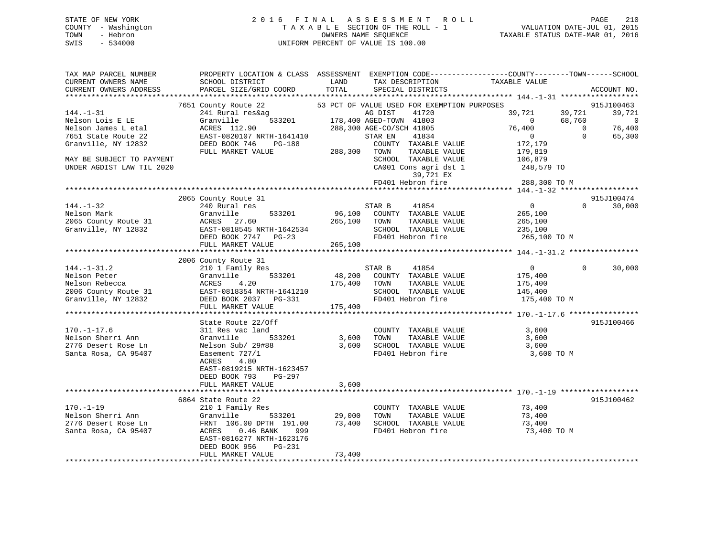## STATE OF NEW YORK 2 0 1 6 F I N A L A S S E S S M E N T R O L L PAGE 210 COUNTY - Washington T A X A B L E SECTION OF THE ROLL - 1 VALUATION DATE-JUL 01, 2015 TOWN - Hebron OWNERS NAME SEQUENCE TAXABLE STATUS DATE-MAR 01, 2016 SWIS - 534000 UNIFORM PERCENT OF VALUE IS 100.00

| PARCEL SIZE/GRID COORD<br>TOTAL<br>CURRENT OWNERS ADDRESS<br>SPECIAL DISTRICTS<br>ACCOUNT NO.<br>915J100463<br>7651 County Route 22<br>53 PCT OF VALUE USED FOR EXEMPTION PURPOSES<br>39,721<br>$144. - 1 - 31$<br>39,721<br>39,721<br>241 Rural res&ag<br>es&ag<br>533201 178,400 AGED-TOWN 41803<br>68,760<br>$\overline{0}$<br>Nelson Lois E LE<br>Granville<br>$\overline{0}$<br>Nelson James L etal<br>ACRES 112.90<br>288,300 AGE-CO/SCH 41805<br>76,400<br>$\bigcirc$<br>76,400<br>EAST-0820107 NRTH-1641410<br>$\sim$ 0<br>7651 State Route 22<br>STAR EN<br>41834<br>$\overline{0}$<br>65,300<br>172,179<br>Granville, NY 12832<br>DEED BOOK 746<br>PG-188<br>COUNTY TAXABLE VALUE<br>FULL MARKET VALUE<br>TAXABLE VALUE<br>179,819<br>MAY BE SUBJECT TO PAYMENT<br>SCHOOL TAXABLE VALUE<br>106,879<br>UNDER AGDIST LAW TIL 2020<br>CA001 Cons agri dst 1<br>248,579 TO<br>39,721 EX<br>FD401 Hebron fire<br>288,300 TO M<br>915J100474<br>2065 County Route 31<br>$144. - 1 - 32$<br>240 Rural res<br>$\overline{0}$<br>$\Omega$<br>30,000<br>STAR B<br>41854<br>533201<br>96,100 COUNTY TAXABLE VALUE<br>Nelson Mark<br>Granville<br>265,100<br>2065 County Route 31<br>ACRES 27.60<br>265,100 TOWN<br>TAXABLE VALUE<br>265,100<br>Granville, NY 12832<br>EAST-0818545 NRTH-1642534<br>SCHOOL TAXABLE VALUE<br>235,100<br>DEED BOOK 2747 PG-23<br>FD401 Hebron fire<br>265,100 TO M<br>FULL MARKET VALUE<br>265,100<br>2006 County Route 31<br>$144. - 1 - 31.2$<br>$\Omega$<br>30,000<br>210 1 Family Res<br>STAR B<br>41854<br>$\overline{0}$<br>533201<br>Nelson Peter<br>48,200 COUNTY TAXABLE VALUE<br>Granville<br>175,400<br>Granvi<br>ACRES<br>Nelson Rebecca<br>4.20<br>175,400 TOWN<br>TAXABLE VALUE<br>175,400<br>EAST-0818354 NRTH-1641210<br>DEED BOOK 2037 PG-331<br>2006 County Route 31<br>SCHOOL TAXABLE VALUE 145,400<br>FD401 Hebron fire<br>Granville, NY 12832<br>175,400 TO M<br>175,400<br>FULL MARKET VALUE<br>State Route 22/Off<br>915J100466<br>$170. - 1 - 17.6$<br>311 Res vac land<br>COUNTY TAXABLE VALUE<br>3,600<br>533201<br>TAXABLE VALUE<br>Nelson Sherri Ann<br>Granville<br>3,600 TOWN<br>3,600<br>3,600 SCHOOL TAXABLE VALUE<br>2776 Desert Rose Ln<br>Nelson Sub/ 29#88<br>3,600<br>Santa Rosa, CA 95407<br>FD401 Hebron fire<br>Easement 727/1<br>3,600 TO M<br>4.80<br>ACRES<br>EAST-0819215 NRTH-1623457<br>DEED BOOK 793<br>PG-297<br>FULL MARKET VALUE<br>3,600<br>915J100462<br>6864 State Route 22<br>210 1 Family Res<br>$170. - 1 - 19$<br>COUNTY TAXABLE VALUE<br>73,400<br>533201<br>Nelson Sherri Ann<br>Granville<br>29,000<br>TOWN<br>TAXABLE VALUE<br>73,400<br>2776 Desert Rose Ln<br>FRNT 106.00 DPTH 191.00<br>73,400<br>SCHOOL TAXABLE VALUE<br>73,400<br>$0.46$ BANK<br>Santa Rosa, CA 95407<br>ACRES<br>999<br>FD401 Hebron fire<br>73,400 TO M<br>EAST-0816277 NRTH-1623176<br>DEED BOOK 956<br>PG-231<br>73,400<br>FULL MARKET VALUE | TAX MAP PARCEL NUMBER<br>CURRENT OWNERS NAME | PROPERTY LOCATION & CLASS ASSESSMENT EXEMPTION CODE---------------COUNTY-------TOWN-----SCHOOL<br>SCHOOL DISTRICT | LAND | TAX DESCRIPTION | TAXABLE VALUE |  |
|----------------------------------------------------------------------------------------------------------------------------------------------------------------------------------------------------------------------------------------------------------------------------------------------------------------------------------------------------------------------------------------------------------------------------------------------------------------------------------------------------------------------------------------------------------------------------------------------------------------------------------------------------------------------------------------------------------------------------------------------------------------------------------------------------------------------------------------------------------------------------------------------------------------------------------------------------------------------------------------------------------------------------------------------------------------------------------------------------------------------------------------------------------------------------------------------------------------------------------------------------------------------------------------------------------------------------------------------------------------------------------------------------------------------------------------------------------------------------------------------------------------------------------------------------------------------------------------------------------------------------------------------------------------------------------------------------------------------------------------------------------------------------------------------------------------------------------------------------------------------------------------------------------------------------------------------------------------------------------------------------------------------------------------------------------------------------------------------------------------------------------------------------------------------------------------------------------------------------------------------------------------------------------------------------------------------------------------------------------------------------------------------------------------------------------------------------------------------------------------------------------------------------------------------------------------------------------------------------------------------------------------------------------------------------------------------------------------------------------------------------------------------------------------------------------------------------------------------------------------------------------------------------------------|----------------------------------------------|-------------------------------------------------------------------------------------------------------------------|------|-----------------|---------------|--|
|                                                                                                                                                                                                                                                                                                                                                                                                                                                                                                                                                                                                                                                                                                                                                                                                                                                                                                                                                                                                                                                                                                                                                                                                                                                                                                                                                                                                                                                                                                                                                                                                                                                                                                                                                                                                                                                                                                                                                                                                                                                                                                                                                                                                                                                                                                                                                                                                                                                                                                                                                                                                                                                                                                                                                                                                                                                                                                                |                                              |                                                                                                                   |      |                 |               |  |
|                                                                                                                                                                                                                                                                                                                                                                                                                                                                                                                                                                                                                                                                                                                                                                                                                                                                                                                                                                                                                                                                                                                                                                                                                                                                                                                                                                                                                                                                                                                                                                                                                                                                                                                                                                                                                                                                                                                                                                                                                                                                                                                                                                                                                                                                                                                                                                                                                                                                                                                                                                                                                                                                                                                                                                                                                                                                                                                |                                              |                                                                                                                   |      |                 |               |  |
|                                                                                                                                                                                                                                                                                                                                                                                                                                                                                                                                                                                                                                                                                                                                                                                                                                                                                                                                                                                                                                                                                                                                                                                                                                                                                                                                                                                                                                                                                                                                                                                                                                                                                                                                                                                                                                                                                                                                                                                                                                                                                                                                                                                                                                                                                                                                                                                                                                                                                                                                                                                                                                                                                                                                                                                                                                                                                                                |                                              |                                                                                                                   |      |                 |               |  |
|                                                                                                                                                                                                                                                                                                                                                                                                                                                                                                                                                                                                                                                                                                                                                                                                                                                                                                                                                                                                                                                                                                                                                                                                                                                                                                                                                                                                                                                                                                                                                                                                                                                                                                                                                                                                                                                                                                                                                                                                                                                                                                                                                                                                                                                                                                                                                                                                                                                                                                                                                                                                                                                                                                                                                                                                                                                                                                                |                                              |                                                                                                                   |      |                 |               |  |
|                                                                                                                                                                                                                                                                                                                                                                                                                                                                                                                                                                                                                                                                                                                                                                                                                                                                                                                                                                                                                                                                                                                                                                                                                                                                                                                                                                                                                                                                                                                                                                                                                                                                                                                                                                                                                                                                                                                                                                                                                                                                                                                                                                                                                                                                                                                                                                                                                                                                                                                                                                                                                                                                                                                                                                                                                                                                                                                |                                              |                                                                                                                   |      |                 |               |  |
|                                                                                                                                                                                                                                                                                                                                                                                                                                                                                                                                                                                                                                                                                                                                                                                                                                                                                                                                                                                                                                                                                                                                                                                                                                                                                                                                                                                                                                                                                                                                                                                                                                                                                                                                                                                                                                                                                                                                                                                                                                                                                                                                                                                                                                                                                                                                                                                                                                                                                                                                                                                                                                                                                                                                                                                                                                                                                                                |                                              |                                                                                                                   |      |                 |               |  |
|                                                                                                                                                                                                                                                                                                                                                                                                                                                                                                                                                                                                                                                                                                                                                                                                                                                                                                                                                                                                                                                                                                                                                                                                                                                                                                                                                                                                                                                                                                                                                                                                                                                                                                                                                                                                                                                                                                                                                                                                                                                                                                                                                                                                                                                                                                                                                                                                                                                                                                                                                                                                                                                                                                                                                                                                                                                                                                                |                                              |                                                                                                                   |      |                 |               |  |
|                                                                                                                                                                                                                                                                                                                                                                                                                                                                                                                                                                                                                                                                                                                                                                                                                                                                                                                                                                                                                                                                                                                                                                                                                                                                                                                                                                                                                                                                                                                                                                                                                                                                                                                                                                                                                                                                                                                                                                                                                                                                                                                                                                                                                                                                                                                                                                                                                                                                                                                                                                                                                                                                                                                                                                                                                                                                                                                |                                              |                                                                                                                   |      |                 |               |  |
|                                                                                                                                                                                                                                                                                                                                                                                                                                                                                                                                                                                                                                                                                                                                                                                                                                                                                                                                                                                                                                                                                                                                                                                                                                                                                                                                                                                                                                                                                                                                                                                                                                                                                                                                                                                                                                                                                                                                                                                                                                                                                                                                                                                                                                                                                                                                                                                                                                                                                                                                                                                                                                                                                                                                                                                                                                                                                                                |                                              |                                                                                                                   |      |                 |               |  |
|                                                                                                                                                                                                                                                                                                                                                                                                                                                                                                                                                                                                                                                                                                                                                                                                                                                                                                                                                                                                                                                                                                                                                                                                                                                                                                                                                                                                                                                                                                                                                                                                                                                                                                                                                                                                                                                                                                                                                                                                                                                                                                                                                                                                                                                                                                                                                                                                                                                                                                                                                                                                                                                                                                                                                                                                                                                                                                                |                                              |                                                                                                                   |      |                 |               |  |
|                                                                                                                                                                                                                                                                                                                                                                                                                                                                                                                                                                                                                                                                                                                                                                                                                                                                                                                                                                                                                                                                                                                                                                                                                                                                                                                                                                                                                                                                                                                                                                                                                                                                                                                                                                                                                                                                                                                                                                                                                                                                                                                                                                                                                                                                                                                                                                                                                                                                                                                                                                                                                                                                                                                                                                                                                                                                                                                |                                              |                                                                                                                   |      |                 |               |  |
|                                                                                                                                                                                                                                                                                                                                                                                                                                                                                                                                                                                                                                                                                                                                                                                                                                                                                                                                                                                                                                                                                                                                                                                                                                                                                                                                                                                                                                                                                                                                                                                                                                                                                                                                                                                                                                                                                                                                                                                                                                                                                                                                                                                                                                                                                                                                                                                                                                                                                                                                                                                                                                                                                                                                                                                                                                                                                                                |                                              |                                                                                                                   |      |                 |               |  |
|                                                                                                                                                                                                                                                                                                                                                                                                                                                                                                                                                                                                                                                                                                                                                                                                                                                                                                                                                                                                                                                                                                                                                                                                                                                                                                                                                                                                                                                                                                                                                                                                                                                                                                                                                                                                                                                                                                                                                                                                                                                                                                                                                                                                                                                                                                                                                                                                                                                                                                                                                                                                                                                                                                                                                                                                                                                                                                                |                                              |                                                                                                                   |      |                 |               |  |
|                                                                                                                                                                                                                                                                                                                                                                                                                                                                                                                                                                                                                                                                                                                                                                                                                                                                                                                                                                                                                                                                                                                                                                                                                                                                                                                                                                                                                                                                                                                                                                                                                                                                                                                                                                                                                                                                                                                                                                                                                                                                                                                                                                                                                                                                                                                                                                                                                                                                                                                                                                                                                                                                                                                                                                                                                                                                                                                |                                              |                                                                                                                   |      |                 |               |  |
|                                                                                                                                                                                                                                                                                                                                                                                                                                                                                                                                                                                                                                                                                                                                                                                                                                                                                                                                                                                                                                                                                                                                                                                                                                                                                                                                                                                                                                                                                                                                                                                                                                                                                                                                                                                                                                                                                                                                                                                                                                                                                                                                                                                                                                                                                                                                                                                                                                                                                                                                                                                                                                                                                                                                                                                                                                                                                                                |                                              |                                                                                                                   |      |                 |               |  |
|                                                                                                                                                                                                                                                                                                                                                                                                                                                                                                                                                                                                                                                                                                                                                                                                                                                                                                                                                                                                                                                                                                                                                                                                                                                                                                                                                                                                                                                                                                                                                                                                                                                                                                                                                                                                                                                                                                                                                                                                                                                                                                                                                                                                                                                                                                                                                                                                                                                                                                                                                                                                                                                                                                                                                                                                                                                                                                                |                                              |                                                                                                                   |      |                 |               |  |
|                                                                                                                                                                                                                                                                                                                                                                                                                                                                                                                                                                                                                                                                                                                                                                                                                                                                                                                                                                                                                                                                                                                                                                                                                                                                                                                                                                                                                                                                                                                                                                                                                                                                                                                                                                                                                                                                                                                                                                                                                                                                                                                                                                                                                                                                                                                                                                                                                                                                                                                                                                                                                                                                                                                                                                                                                                                                                                                |                                              |                                                                                                                   |      |                 |               |  |
|                                                                                                                                                                                                                                                                                                                                                                                                                                                                                                                                                                                                                                                                                                                                                                                                                                                                                                                                                                                                                                                                                                                                                                                                                                                                                                                                                                                                                                                                                                                                                                                                                                                                                                                                                                                                                                                                                                                                                                                                                                                                                                                                                                                                                                                                                                                                                                                                                                                                                                                                                                                                                                                                                                                                                                                                                                                                                                                |                                              |                                                                                                                   |      |                 |               |  |
|                                                                                                                                                                                                                                                                                                                                                                                                                                                                                                                                                                                                                                                                                                                                                                                                                                                                                                                                                                                                                                                                                                                                                                                                                                                                                                                                                                                                                                                                                                                                                                                                                                                                                                                                                                                                                                                                                                                                                                                                                                                                                                                                                                                                                                                                                                                                                                                                                                                                                                                                                                                                                                                                                                                                                                                                                                                                                                                |                                              |                                                                                                                   |      |                 |               |  |
|                                                                                                                                                                                                                                                                                                                                                                                                                                                                                                                                                                                                                                                                                                                                                                                                                                                                                                                                                                                                                                                                                                                                                                                                                                                                                                                                                                                                                                                                                                                                                                                                                                                                                                                                                                                                                                                                                                                                                                                                                                                                                                                                                                                                                                                                                                                                                                                                                                                                                                                                                                                                                                                                                                                                                                                                                                                                                                                |                                              |                                                                                                                   |      |                 |               |  |
|                                                                                                                                                                                                                                                                                                                                                                                                                                                                                                                                                                                                                                                                                                                                                                                                                                                                                                                                                                                                                                                                                                                                                                                                                                                                                                                                                                                                                                                                                                                                                                                                                                                                                                                                                                                                                                                                                                                                                                                                                                                                                                                                                                                                                                                                                                                                                                                                                                                                                                                                                                                                                                                                                                                                                                                                                                                                                                                |                                              |                                                                                                                   |      |                 |               |  |
|                                                                                                                                                                                                                                                                                                                                                                                                                                                                                                                                                                                                                                                                                                                                                                                                                                                                                                                                                                                                                                                                                                                                                                                                                                                                                                                                                                                                                                                                                                                                                                                                                                                                                                                                                                                                                                                                                                                                                                                                                                                                                                                                                                                                                                                                                                                                                                                                                                                                                                                                                                                                                                                                                                                                                                                                                                                                                                                |                                              |                                                                                                                   |      |                 |               |  |
|                                                                                                                                                                                                                                                                                                                                                                                                                                                                                                                                                                                                                                                                                                                                                                                                                                                                                                                                                                                                                                                                                                                                                                                                                                                                                                                                                                                                                                                                                                                                                                                                                                                                                                                                                                                                                                                                                                                                                                                                                                                                                                                                                                                                                                                                                                                                                                                                                                                                                                                                                                                                                                                                                                                                                                                                                                                                                                                |                                              |                                                                                                                   |      |                 |               |  |
|                                                                                                                                                                                                                                                                                                                                                                                                                                                                                                                                                                                                                                                                                                                                                                                                                                                                                                                                                                                                                                                                                                                                                                                                                                                                                                                                                                                                                                                                                                                                                                                                                                                                                                                                                                                                                                                                                                                                                                                                                                                                                                                                                                                                                                                                                                                                                                                                                                                                                                                                                                                                                                                                                                                                                                                                                                                                                                                |                                              |                                                                                                                   |      |                 |               |  |
|                                                                                                                                                                                                                                                                                                                                                                                                                                                                                                                                                                                                                                                                                                                                                                                                                                                                                                                                                                                                                                                                                                                                                                                                                                                                                                                                                                                                                                                                                                                                                                                                                                                                                                                                                                                                                                                                                                                                                                                                                                                                                                                                                                                                                                                                                                                                                                                                                                                                                                                                                                                                                                                                                                                                                                                                                                                                                                                |                                              |                                                                                                                   |      |                 |               |  |
|                                                                                                                                                                                                                                                                                                                                                                                                                                                                                                                                                                                                                                                                                                                                                                                                                                                                                                                                                                                                                                                                                                                                                                                                                                                                                                                                                                                                                                                                                                                                                                                                                                                                                                                                                                                                                                                                                                                                                                                                                                                                                                                                                                                                                                                                                                                                                                                                                                                                                                                                                                                                                                                                                                                                                                                                                                                                                                                |                                              |                                                                                                                   |      |                 |               |  |
|                                                                                                                                                                                                                                                                                                                                                                                                                                                                                                                                                                                                                                                                                                                                                                                                                                                                                                                                                                                                                                                                                                                                                                                                                                                                                                                                                                                                                                                                                                                                                                                                                                                                                                                                                                                                                                                                                                                                                                                                                                                                                                                                                                                                                                                                                                                                                                                                                                                                                                                                                                                                                                                                                                                                                                                                                                                                                                                |                                              |                                                                                                                   |      |                 |               |  |
|                                                                                                                                                                                                                                                                                                                                                                                                                                                                                                                                                                                                                                                                                                                                                                                                                                                                                                                                                                                                                                                                                                                                                                                                                                                                                                                                                                                                                                                                                                                                                                                                                                                                                                                                                                                                                                                                                                                                                                                                                                                                                                                                                                                                                                                                                                                                                                                                                                                                                                                                                                                                                                                                                                                                                                                                                                                                                                                |                                              |                                                                                                                   |      |                 |               |  |
|                                                                                                                                                                                                                                                                                                                                                                                                                                                                                                                                                                                                                                                                                                                                                                                                                                                                                                                                                                                                                                                                                                                                                                                                                                                                                                                                                                                                                                                                                                                                                                                                                                                                                                                                                                                                                                                                                                                                                                                                                                                                                                                                                                                                                                                                                                                                                                                                                                                                                                                                                                                                                                                                                                                                                                                                                                                                                                                |                                              |                                                                                                                   |      |                 |               |  |
|                                                                                                                                                                                                                                                                                                                                                                                                                                                                                                                                                                                                                                                                                                                                                                                                                                                                                                                                                                                                                                                                                                                                                                                                                                                                                                                                                                                                                                                                                                                                                                                                                                                                                                                                                                                                                                                                                                                                                                                                                                                                                                                                                                                                                                                                                                                                                                                                                                                                                                                                                                                                                                                                                                                                                                                                                                                                                                                |                                              |                                                                                                                   |      |                 |               |  |
|                                                                                                                                                                                                                                                                                                                                                                                                                                                                                                                                                                                                                                                                                                                                                                                                                                                                                                                                                                                                                                                                                                                                                                                                                                                                                                                                                                                                                                                                                                                                                                                                                                                                                                                                                                                                                                                                                                                                                                                                                                                                                                                                                                                                                                                                                                                                                                                                                                                                                                                                                                                                                                                                                                                                                                                                                                                                                                                |                                              |                                                                                                                   |      |                 |               |  |
|                                                                                                                                                                                                                                                                                                                                                                                                                                                                                                                                                                                                                                                                                                                                                                                                                                                                                                                                                                                                                                                                                                                                                                                                                                                                                                                                                                                                                                                                                                                                                                                                                                                                                                                                                                                                                                                                                                                                                                                                                                                                                                                                                                                                                                                                                                                                                                                                                                                                                                                                                                                                                                                                                                                                                                                                                                                                                                                |                                              |                                                                                                                   |      |                 |               |  |
|                                                                                                                                                                                                                                                                                                                                                                                                                                                                                                                                                                                                                                                                                                                                                                                                                                                                                                                                                                                                                                                                                                                                                                                                                                                                                                                                                                                                                                                                                                                                                                                                                                                                                                                                                                                                                                                                                                                                                                                                                                                                                                                                                                                                                                                                                                                                                                                                                                                                                                                                                                                                                                                                                                                                                                                                                                                                                                                |                                              |                                                                                                                   |      |                 |               |  |
|                                                                                                                                                                                                                                                                                                                                                                                                                                                                                                                                                                                                                                                                                                                                                                                                                                                                                                                                                                                                                                                                                                                                                                                                                                                                                                                                                                                                                                                                                                                                                                                                                                                                                                                                                                                                                                                                                                                                                                                                                                                                                                                                                                                                                                                                                                                                                                                                                                                                                                                                                                                                                                                                                                                                                                                                                                                                                                                |                                              |                                                                                                                   |      |                 |               |  |
|                                                                                                                                                                                                                                                                                                                                                                                                                                                                                                                                                                                                                                                                                                                                                                                                                                                                                                                                                                                                                                                                                                                                                                                                                                                                                                                                                                                                                                                                                                                                                                                                                                                                                                                                                                                                                                                                                                                                                                                                                                                                                                                                                                                                                                                                                                                                                                                                                                                                                                                                                                                                                                                                                                                                                                                                                                                                                                                |                                              |                                                                                                                   |      |                 |               |  |
|                                                                                                                                                                                                                                                                                                                                                                                                                                                                                                                                                                                                                                                                                                                                                                                                                                                                                                                                                                                                                                                                                                                                                                                                                                                                                                                                                                                                                                                                                                                                                                                                                                                                                                                                                                                                                                                                                                                                                                                                                                                                                                                                                                                                                                                                                                                                                                                                                                                                                                                                                                                                                                                                                                                                                                                                                                                                                                                |                                              |                                                                                                                   |      |                 |               |  |
|                                                                                                                                                                                                                                                                                                                                                                                                                                                                                                                                                                                                                                                                                                                                                                                                                                                                                                                                                                                                                                                                                                                                                                                                                                                                                                                                                                                                                                                                                                                                                                                                                                                                                                                                                                                                                                                                                                                                                                                                                                                                                                                                                                                                                                                                                                                                                                                                                                                                                                                                                                                                                                                                                                                                                                                                                                                                                                                |                                              |                                                                                                                   |      |                 |               |  |
|                                                                                                                                                                                                                                                                                                                                                                                                                                                                                                                                                                                                                                                                                                                                                                                                                                                                                                                                                                                                                                                                                                                                                                                                                                                                                                                                                                                                                                                                                                                                                                                                                                                                                                                                                                                                                                                                                                                                                                                                                                                                                                                                                                                                                                                                                                                                                                                                                                                                                                                                                                                                                                                                                                                                                                                                                                                                                                                |                                              |                                                                                                                   |      |                 |               |  |
|                                                                                                                                                                                                                                                                                                                                                                                                                                                                                                                                                                                                                                                                                                                                                                                                                                                                                                                                                                                                                                                                                                                                                                                                                                                                                                                                                                                                                                                                                                                                                                                                                                                                                                                                                                                                                                                                                                                                                                                                                                                                                                                                                                                                                                                                                                                                                                                                                                                                                                                                                                                                                                                                                                                                                                                                                                                                                                                |                                              |                                                                                                                   |      |                 |               |  |
|                                                                                                                                                                                                                                                                                                                                                                                                                                                                                                                                                                                                                                                                                                                                                                                                                                                                                                                                                                                                                                                                                                                                                                                                                                                                                                                                                                                                                                                                                                                                                                                                                                                                                                                                                                                                                                                                                                                                                                                                                                                                                                                                                                                                                                                                                                                                                                                                                                                                                                                                                                                                                                                                                                                                                                                                                                                                                                                |                                              |                                                                                                                   |      |                 |               |  |
|                                                                                                                                                                                                                                                                                                                                                                                                                                                                                                                                                                                                                                                                                                                                                                                                                                                                                                                                                                                                                                                                                                                                                                                                                                                                                                                                                                                                                                                                                                                                                                                                                                                                                                                                                                                                                                                                                                                                                                                                                                                                                                                                                                                                                                                                                                                                                                                                                                                                                                                                                                                                                                                                                                                                                                                                                                                                                                                |                                              |                                                                                                                   |      |                 |               |  |
|                                                                                                                                                                                                                                                                                                                                                                                                                                                                                                                                                                                                                                                                                                                                                                                                                                                                                                                                                                                                                                                                                                                                                                                                                                                                                                                                                                                                                                                                                                                                                                                                                                                                                                                                                                                                                                                                                                                                                                                                                                                                                                                                                                                                                                                                                                                                                                                                                                                                                                                                                                                                                                                                                                                                                                                                                                                                                                                |                                              |                                                                                                                   |      |                 |               |  |
|                                                                                                                                                                                                                                                                                                                                                                                                                                                                                                                                                                                                                                                                                                                                                                                                                                                                                                                                                                                                                                                                                                                                                                                                                                                                                                                                                                                                                                                                                                                                                                                                                                                                                                                                                                                                                                                                                                                                                                                                                                                                                                                                                                                                                                                                                                                                                                                                                                                                                                                                                                                                                                                                                                                                                                                                                                                                                                                |                                              |                                                                                                                   |      |                 |               |  |
|                                                                                                                                                                                                                                                                                                                                                                                                                                                                                                                                                                                                                                                                                                                                                                                                                                                                                                                                                                                                                                                                                                                                                                                                                                                                                                                                                                                                                                                                                                                                                                                                                                                                                                                                                                                                                                                                                                                                                                                                                                                                                                                                                                                                                                                                                                                                                                                                                                                                                                                                                                                                                                                                                                                                                                                                                                                                                                                |                                              |                                                                                                                   |      |                 |               |  |
|                                                                                                                                                                                                                                                                                                                                                                                                                                                                                                                                                                                                                                                                                                                                                                                                                                                                                                                                                                                                                                                                                                                                                                                                                                                                                                                                                                                                                                                                                                                                                                                                                                                                                                                                                                                                                                                                                                                                                                                                                                                                                                                                                                                                                                                                                                                                                                                                                                                                                                                                                                                                                                                                                                                                                                                                                                                                                                                |                                              |                                                                                                                   |      |                 |               |  |
|                                                                                                                                                                                                                                                                                                                                                                                                                                                                                                                                                                                                                                                                                                                                                                                                                                                                                                                                                                                                                                                                                                                                                                                                                                                                                                                                                                                                                                                                                                                                                                                                                                                                                                                                                                                                                                                                                                                                                                                                                                                                                                                                                                                                                                                                                                                                                                                                                                                                                                                                                                                                                                                                                                                                                                                                                                                                                                                |                                              |                                                                                                                   |      |                 |               |  |
|                                                                                                                                                                                                                                                                                                                                                                                                                                                                                                                                                                                                                                                                                                                                                                                                                                                                                                                                                                                                                                                                                                                                                                                                                                                                                                                                                                                                                                                                                                                                                                                                                                                                                                                                                                                                                                                                                                                                                                                                                                                                                                                                                                                                                                                                                                                                                                                                                                                                                                                                                                                                                                                                                                                                                                                                                                                                                                                |                                              |                                                                                                                   |      |                 |               |  |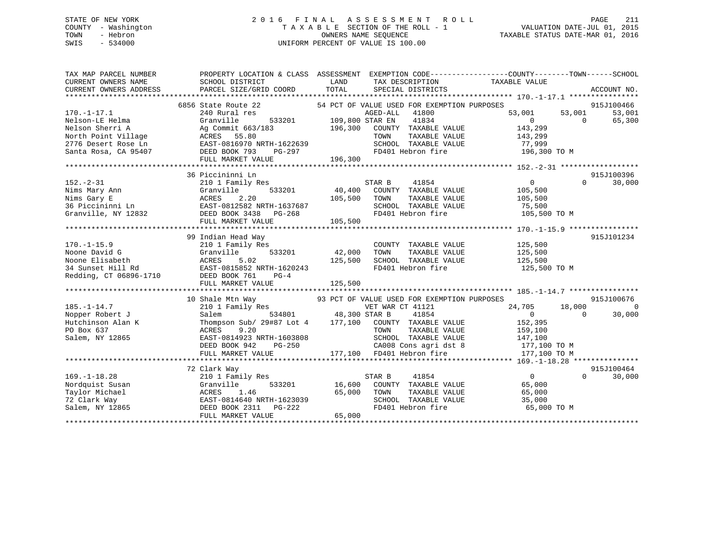## STATE OF NEW YORK 2 0 1 6 F I N A L A S S E S S M E N T R O L L PAGE 211 COUNTY - Washington T A X A B L E SECTION OF THE ROLL - 1 VALUATION DATE-JUL 01, 2015 TOWN - Hebron OWNERS NAME SEQUENCE TAXABLE STATUS DATE-MAR 01, 2016 SWIS - 534000 UNIFORM PERCENT OF VALUE IS 100.00

| TAX MAP PARCEL NUMBER<br>CURRENT OWNERS NAME<br>CURRENT OWNERS ADDRESS                                                                                                                               | PROPERTY LOCATION & CLASS ASSESSMENT EXEMPTION CODE----------------COUNTY-------TOWN------SCHOOL<br>SCHOOL DISTRICT<br>PARCEL SIZE/GRID COORD                                            | LAND<br>TOTAL                | TAX DESCRIPTION TAXABLE VALUE<br>SPECIAL DISTRICTS                                                                                                        |                                                                                                                                                                                                                                                                                                                                    | ACCOUNT NO.                                           |
|------------------------------------------------------------------------------------------------------------------------------------------------------------------------------------------------------|------------------------------------------------------------------------------------------------------------------------------------------------------------------------------------------|------------------------------|-----------------------------------------------------------------------------------------------------------------------------------------------------------|------------------------------------------------------------------------------------------------------------------------------------------------------------------------------------------------------------------------------------------------------------------------------------------------------------------------------------|-------------------------------------------------------|
| $170. - 1 - 17.1$<br>Nelson-LE Helma<br>Nelson Sherri A<br>North Point Village<br>2776 Desert Rose Ln<br>Santa Rosa, CA 95407                                                                        | 6856 State Route 22<br>240 Rural res<br>533201 109,800 STAR EN<br>Granville<br>Ag Commit 663/183<br>ACRES 5.80<br>EAST-0816970 NRTH-1622639<br>DEED BOOK 793 PG-297<br>FULL MARKET VALUE | 196,300<br>196,300           | 54 PCT OF VALUE USED FOR EXEMPTION PURPOSES<br>41834<br>COUNTY TAXABLE VALUE<br>TOWN<br>TAXABLE VALUE<br>SCHOOL TAXABLE VALUE 77,999<br>FD401 Hebron fire | 53,001<br>$\overline{0}$<br>143,299<br>143,299<br>196,300 TO M                                                                                                                                                                                                                                                                     | 915J100466<br>53,001<br>53,001<br>$\bigcap$<br>65,300 |
|                                                                                                                                                                                                      |                                                                                                                                                                                          |                              |                                                                                                                                                           |                                                                                                                                                                                                                                                                                                                                    | 915J100396                                            |
| $152. - 2 - 31$<br>Nims Mary Ann<br>Nims Gary E<br>36 Piccininni Ln<br>36 Piccininni Ln<br>36 Piccininni Ln<br>533201<br>26 BOOK 3438 PG-268<br>27 DEED BOOK 3438 PG-268<br>27 DEED BOOK 3438 PG-268 | 36 Piccininni Ln<br>210 1 Family Res<br>FULL MARKET VALUE                                                                                                                                | 105,500<br>105,500           | STAR B<br>41854<br>STAR B 41854<br>40,400 COUNTY TAXABLE VALUE<br>TAXABLE VALUE<br>TOWN<br>SCHOOL TAXABLE VALUE<br>FD401 Hebron fire                      | $\overline{0}$<br>105,500<br>105,500<br>75,500<br>105,500 TO M                                                                                                                                                                                                                                                                     | $\Omega$<br>30,000                                    |
|                                                                                                                                                                                                      |                                                                                                                                                                                          |                              |                                                                                                                                                           |                                                                                                                                                                                                                                                                                                                                    |                                                       |
| $170. - 1 - 15.9$<br>Noone David G<br>Granv:<br>ACRES<br>Noone Elisabeth                                                                                                                             | 99 Indian Head Way<br>210 1 Family Res<br>533201<br>Granville<br>5.02<br>FULL MARKET VALUE                                                                                               | 42,000<br>125,500<br>125,500 | COUNTY TAXABLE VALUE<br>TAXABLE VALUE<br>TOWN<br>SCHOOL TAXABLE VALUE<br>FD401 Hebron fire                                                                | 125,500<br>125,500<br>125,500<br>125,500 TO M                                                                                                                                                                                                                                                                                      | 915J101234                                            |
|                                                                                                                                                                                                      |                                                                                                                                                                                          |                              |                                                                                                                                                           |                                                                                                                                                                                                                                                                                                                                    |                                                       |
| $185. - 1 - 14.7$                                                                                                                                                                                    | 10 Shale Mtn Way 53 PCT OF VALUE USED FOR EXEMPTION PURPOSES<br>210 1 Family Res                                                                                                         |                              | VET WAR CT 41121                                                                                                                                          | 24,705                                                                                                                                                                                                                                                                                                                             | 915J100676<br>18,000<br>$\Omega$                      |
| Nopper Robert J<br>Hutchinson Alan K<br>PO Box 637<br>Salem, NY 12865                                                                                                                                | ACRES<br>9.20<br>EAST-0814923 NRTH-1603808<br>DEED BOOK 942<br>FULL MARKET VALUE                                                                                                         | $PG-250$                     | TAXABLE VALUE<br>TOWN<br>SCHOOL TAXABLE VALUE<br>CA008 Cons agri dst 8<br>177,100 FD401 Hebron fire                                                       | $\overline{0}$<br>152,395<br>159,100<br>14,,100<br>177,100 TO M<br>177.100 TO M<br>a di kacamatan ing Kabupatèn Kabupatèn Kabupatèn Kabupatèn Kabupatèn Kabupatèn Kabupatèn Kabupatèn Kabupatèn K<br>Kabupatèn Kabupatèn Kabupatèn Kabupatèn Kabupatèn Kabupatèn Kabupatèn Kabupatèn Kabupatèn Kabupatèn Kabupatèn<br>177,100 TO M | 30,000<br>$\Omega$                                    |
|                                                                                                                                                                                                      |                                                                                                                                                                                          |                              |                                                                                                                                                           |                                                                                                                                                                                                                                                                                                                                    |                                                       |
| $169. - 1 - 18.28$<br>Nordquist Susan<br>raylor Michael<br>72 Clark Way<br>Salem, NY 12865                                                                                                           | 72 Clark Way<br>210 1 Family Res<br>Granville<br>1.46<br>ACRES<br>EAST-0814640 NRTH-1623039<br>DEED BOOK 2311 PG-222<br>FULL MARKET VALUE                                                | 65,000<br>65,000             | 41854<br>STAR B<br>533201 16,600 COUNTY TAXABLE VALUE<br>TOWN<br>TAXABLE VALUE<br>SCHOOL TAXABLE VALUE<br>FD401 Hebron fire                               | $\overline{0}$<br>65,000<br>65,000<br>35,000<br>65,000 TO M                                                                                                                                                                                                                                                                        | 915J100464<br>$\Omega$<br>30,000                      |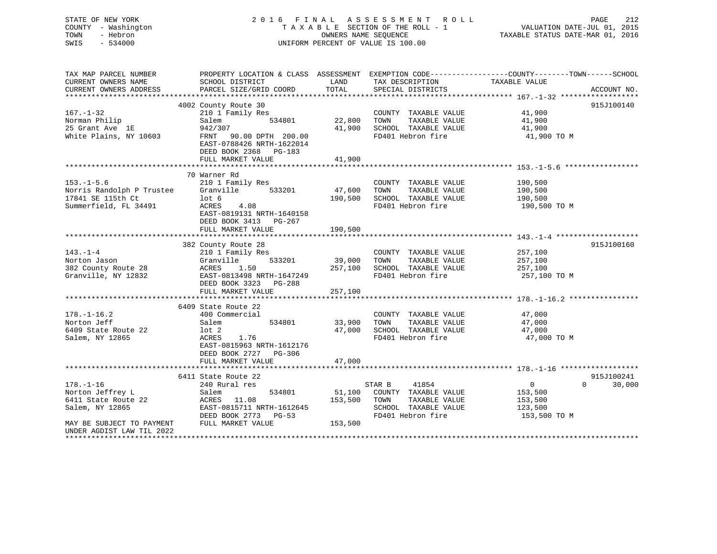STATE OF NEW YORK 2 0 1 6 F I N A L A S S E S S M E N T R O L L PAGE 212 COUNTY - Washington T A X A B L E SECTION OF THE ROLL - 1 VALUATION DATE-JUL 01, 2015 TOWN - Hebron OWNERS NAME SEQUENCE TAXABLE STATUS DATE-MAR 01, 2016 SWIS - 534000 UNIFORM PERCENT OF VALUE IS 100.00 TAX MAP PARCEL NUMBER PROPERTY LOCATION & CLASS ASSESSMENT EXEMPTION CODE------------------COUNTY--------TOWN------SCHOOL CURRENT OWNERS NAME SCHOOL DISTRICT A LAND TAX DESCRIPTION TAXABLE VALUE CURRENT OWNERS ADDRESS PARCEL SIZE/GRID COORD TOTAL SPECIAL DISTRICTS ACCOUNT NO. \*\*\*\*\*\*\*\*\*\*\*\*\*\*\*\*\*\*\*\*\*\*\*\*\*\*\*\*\*\*\*\*\*\*\*\*\*\*\*\*\*\*\*\*\*\*\*\*\*\*\*\*\*\*\*\*\*\*\*\*\*\*\*\*\*\*\*\*\*\*\*\*\*\*\*\*\*\*\*\*\*\*\*\*\*\*\*\*\*\*\*\*\*\*\*\*\*\*\*\*\*\*\* 167.-1-32 \*\*\*\*\*\*\*\*\*\*\*\*\*\*\*\*\*\* 4002 County Route 30 915J100140 167.-1-32 210 1 Family Res COUNTY TAXABLE VALUE

| Norman Philip             | 534801<br>Salem                         | 22,800  | TAXABLE VALUE<br>TOWN       | 41,900                               |  |
|---------------------------|-----------------------------------------|---------|-----------------------------|--------------------------------------|--|
| 25 Grant Ave 1E           | 942/307                                 | 41,900  | SCHOOL TAXABLE VALUE        | 41,900                               |  |
| White Plains, NY 10603    | FRNT 90.00 DPTH 200.00                  |         | FD401 Hebron fire           | 41,900 TO M                          |  |
|                           | EAST-0788426 NRTH-1622014               |         |                             |                                      |  |
|                           | DEED BOOK 2368 PG-183                   |         |                             |                                      |  |
|                           | FULL MARKET VALUE                       | 41,900  |                             |                                      |  |
|                           |                                         |         |                             |                                      |  |
|                           | 70 Warner Rd                            |         |                             |                                      |  |
| $153. - 1 - 5.6$          | 210 1 Family Res                        |         | COUNTY TAXABLE VALUE        | 190,500                              |  |
| Norris Randolph P Trustee | Granville<br>533201                     | 47,600  | TOWN<br>TAXABLE VALUE       | 190,500                              |  |
| 17841 SE 115th Ct         | lot <sub>6</sub>                        | 190,500 | SCHOOL TAXABLE VALUE        | 190,500                              |  |
| Summerfield, FL 34491     | ACRES 4.08<br>EAST-0819131 NRTH-1640158 |         | FD401 Hebron fire           | 190,500 TO M                         |  |
|                           | DEED BOOK 3413 PG-267                   |         |                             |                                      |  |
|                           | FULL MARKET VALUE                       | 190,500 |                             |                                      |  |
|                           |                                         |         |                             |                                      |  |
|                           | 382 County Route 28                     |         |                             | 915J100160                           |  |
| $143. - 1 - 4$            | 210 1 Family Res                        |         | COUNTY TAXABLE VALUE        | 257,100                              |  |
| Norton Jason              | 533201<br>Granville                     | 39,000  | TOWN<br>TAXABLE VALUE       | 257,100                              |  |
| 382 County Route 28       | ACRES<br>1.50                           | 257,100 | SCHOOL TAXABLE VALUE        | 257,100                              |  |
| Granville, NY 12832       | EAST-0813498 NRTH-1647249               |         | FD401 Hebron fire           | 257,100 TO M                         |  |
|                           | DEED BOOK 3323 PG-288                   |         |                             |                                      |  |
|                           | FULL MARKET VALUE                       | 257,100 |                             |                                      |  |
|                           |                                         |         |                             |                                      |  |
|                           | 6409 State Route 22                     |         |                             |                                      |  |
| $178. - 1 - 16.2$         | 400 Commercial                          |         | COUNTY TAXABLE VALUE        | 47,000                               |  |
| Norton Jeff               | 534801<br>Salem                         | 33,900  | TAXABLE VALUE<br>TOWN       | 47,000                               |  |
| 6409 State Route 22       | lot <sub>2</sub>                        | 47,000  | SCHOOL TAXABLE VALUE        | 47,000                               |  |
| Salem, NY 12865           | ACRES<br>1.76                           |         | FD401 Hebron fire           | 47,000 TO M                          |  |
|                           | EAST-0815963 NRTH-1612176               |         |                             |                                      |  |
|                           | DEED BOOK 2727 PG-306                   |         |                             |                                      |  |
|                           | FULL MARKET VALUE                       | 47,000  |                             |                                      |  |
|                           |                                         |         |                             |                                      |  |
|                           | 6411 State Route 22                     |         |                             | 915J100241                           |  |
| $178. - 1 - 16$           | 240 Rural res                           |         | STAR B<br>41854             | $\overline{0}$<br>$\Omega$<br>30,000 |  |
| Norton Jeffrey L          | 534801<br>Salem                         |         | 51,100 COUNTY TAXABLE VALUE | 153,500                              |  |
| 6411 State Route 22       | ACRES 11.08                             | 153,500 | TOWN<br>TAXABLE VALUE       | 153,500                              |  |
| Salem, NY 12865           | EAST-0815711 NRTH-1612645               |         | SCHOOL TAXABLE VALUE        | 123,500                              |  |
|                           | DEED BOOK 2773 PG-53                    |         | FD401 Hebron fire           | 153,500 TO M                         |  |
| MAY BE SUBJECT TO PAYMENT | FULL MARKET VALUE                       | 153,500 |                             |                                      |  |
| UNDER AGDIST LAW TIL 2022 |                                         |         |                             |                                      |  |
|                           |                                         |         |                             |                                      |  |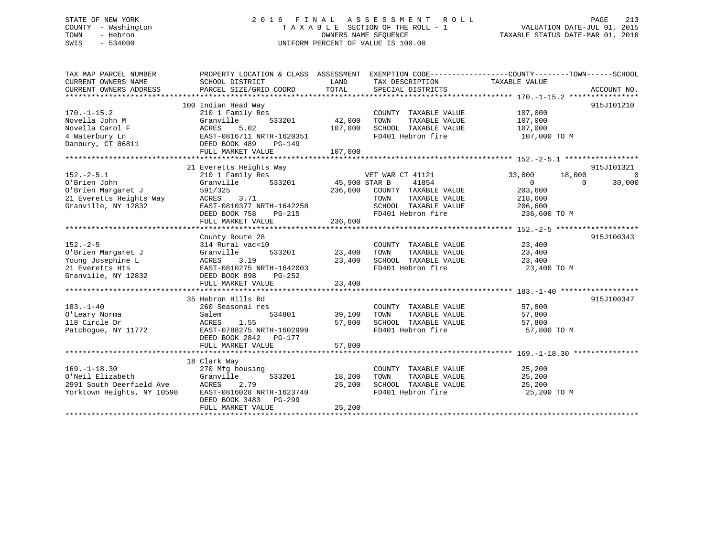## STATE OF NEW YORK 2 0 1 6 F I N A L A S S E S S M E N T R O L L PAGE 213 COUNTY - Washington T A X A B L E SECTION OF THE ROLL - 1 VALUATION DATE-JUL 01, 2015 TOWN - Hebron OWNERS NAME SEQUENCE TAXABLE STATUS DATE-MAR 01, 2016 SWIS - 534000 UNIFORM PERCENT OF VALUE IS 100.00

| TAX MAP PARCEL NUMBER<br>CURRENT OWNERS NAME | PROPERTY LOCATION & CLASS ASSESSMENT EXEMPTION CODE---------------COUNTY-------TOWN-----SCHOOL<br>SCHOOL DISTRICT | LAND                 | TAX DESCRIPTION              | TAXABLE VALUE    |                    |
|----------------------------------------------|-------------------------------------------------------------------------------------------------------------------|----------------------|------------------------------|------------------|--------------------|
| CURRENT OWNERS ADDRESS                       | PARCEL SIZE/GRID COORD                                                                                            | TOTAL                | SPECIAL DISTRICTS            |                  | ACCOUNT NO.        |
|                                              | 100 Indian Head Way                                                                                               |                      |                              |                  | 915J101210         |
| $170. - 1 - 15.2$                            | 210 1 Family Res                                                                                                  |                      | COUNTY TAXABLE VALUE         | 107,000          |                    |
| Novella John M                               | 533201<br>Granville                                                                                               | 42,000               | TAXABLE VALUE<br>TOWN        | 107,000          |                    |
| Novella Carol F                              | ACRES<br>5.02                                                                                                     | 107,000              | SCHOOL TAXABLE VALUE         | 107,000          |                    |
| 4 Waterbury Ln                               | EAST-0816711 NRTH-1620351                                                                                         |                      | FD401 Hebron fire            | 107,000 TO M     |                    |
| Danbury, CT 06811                            | DEED BOOK 489<br>PG-149<br>FULL MARKET VALUE                                                                      | 107,000              |                              |                  |                    |
|                                              |                                                                                                                   |                      |                              |                  |                    |
|                                              | 21 Everetts Heights Way                                                                                           |                      |                              |                  | 915J101321         |
| $152 - 2 - 5.1$                              | 210 1 Family Res                                                                                                  |                      | VET WAR CT 41121             | 33,000<br>18,000 | $\Omega$           |
| O'Brien John                                 | Granville                                                                                                         | 533201 45,900 STAR B | 41854                        | $\overline{0}$   | 30,000<br>$\Omega$ |
| O'Brien Margaret J                           | 591/325                                                                                                           |                      | 236,600 COUNTY TAXABLE VALUE | 203,600          |                    |
| 21 Everetts Heights Way                      | <b>ACRES</b><br>3.71                                                                                              |                      | TOWN<br>TAXABLE VALUE        | 218,600          |                    |
| Granville, NY 12832                          | EAST-0810377 NRTH-1642258                                                                                         |                      | SCHOOL TAXABLE VALUE         | 206,600          |                    |
|                                              | DEED BOOK 758<br>PG-215<br>FULL MARKET VALUE                                                                      | 236,600              | FD401 Hebron fire            | 236,600 TO M     |                    |
|                                              |                                                                                                                   |                      |                              |                  |                    |
|                                              | County Route 28                                                                                                   |                      |                              |                  | 915J100343         |
| $152. - 2 - 5$                               | 314 Rural vac<10                                                                                                  |                      | COUNTY TAXABLE VALUE         | 23,400           |                    |
| O'Brien Margaret J                           | Granville                                                                                                         | 533201 23,400        | TOWN<br>TAXABLE VALUE        | 23,400           |                    |
| Young Josephine L                            | ACRES<br>3.19                                                                                                     | 23,400               | SCHOOL TAXABLE VALUE         | 23,400           |                    |
| 21 Everetts Hts                              | EAST-0810275 NRTH-1642003                                                                                         |                      | FD401 Hebron fire            | 23,400 TO M      |                    |
| Granville, NY 12832                          | DEED BOOK 898<br>PG-252                                                                                           |                      |                              |                  |                    |
|                                              | FULL MARKET VALUE                                                                                                 | 23,400               |                              |                  |                    |
|                                              |                                                                                                                   |                      |                              |                  |                    |
| $183. - 1 - 40$                              | 35 Hebron Hills Rd<br>260 Seasonal res                                                                            |                      | COUNTY TAXABLE VALUE         | 57,800           | 915J100347         |
| O'Leary Norma                                | 534801<br>Salem                                                                                                   | 39,100               | TOWN<br>TAXABLE VALUE        | 57,800           |                    |
| 118 Circle Dr                                | 1.55<br>ACRES                                                                                                     | 57,800               | SCHOOL TAXABLE VALUE         | 57,800           |                    |
| Patchoque, NY 11772                          | EAST-0788275 NRTH-1602999                                                                                         |                      | FD401 Hebron fire            | 57,800 TO M      |                    |
|                                              | DEED BOOK 2842 PG-177                                                                                             |                      |                              |                  |                    |
|                                              | FULL MARKET VALUE                                                                                                 | 57,800               |                              |                  |                    |
|                                              |                                                                                                                   |                      |                              |                  |                    |
|                                              | 18 Clark Way                                                                                                      |                      |                              |                  |                    |
| $169. - 1 - 18.30$                           | 270 Mfg housing<br>Granville                                                                                      |                      | COUNTY TAXABLE VALUE         | 25,200           |                    |
| O'Neil Elizabeth                             | 533201                                                                                                            | 18,200               | TOWN<br>TAXABLE VALUE        | 25,200           |                    |
| 2991 South Deerfield Ave ACRES               | 2.79                                                                                                              | 25,200               | SCHOOL TAXABLE VALUE         | 25,200           |                    |
| Yorktown Heights, NY 10598                   | EAST-0816028 NRTH-1623740                                                                                         |                      | FD401 Hebron fire            | 25,200 TO M      |                    |
|                                              | DEED BOOK 3483 PG-299                                                                                             |                      |                              |                  |                    |
|                                              | FULL MARKET VALUE                                                                                                 | 25,200               |                              |                  |                    |
|                                              |                                                                                                                   |                      |                              |                  |                    |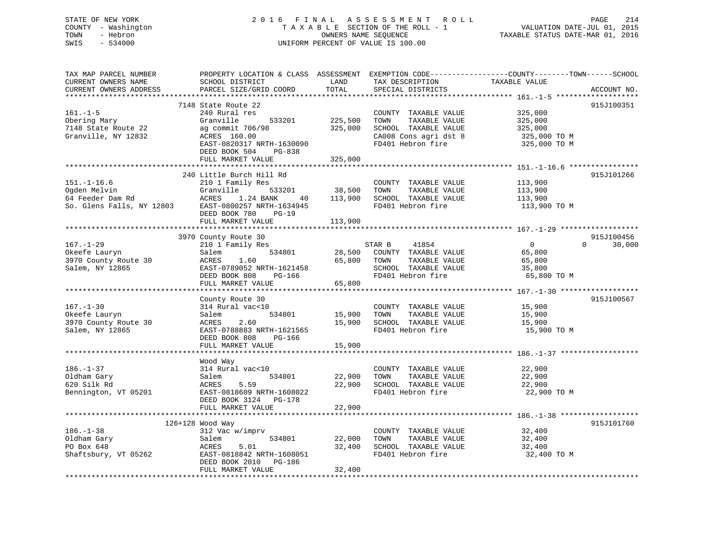## STATE OF NEW YORK 2 0 1 6 F I N A L A S S E S S M E N T R O L L PAGE 214 COUNTY - Washington T A X A B L E SECTION OF THE ROLL - 1 VALUATION DATE-JUL 01, 2015 TOWN - Hebron OWNERS NAME SEQUENCE TAXABLE STATUS DATE-MAR 01, 2016 SWIS - 534000 UNIFORM PERCENT OF VALUE IS 100.00

TAX MAP PARCEL NUMBER PROPERTY LOCATION & CLASS ASSESSMENT EXEMPTION CODE------------------COUNTY--------TOWN------SCHOOL

| CURRENT OWNERS NAME    | SCHOOL DISTRICT                                     | LAND    | TAX DESCRIPTION       | TAXABLE VALUE |                    |
|------------------------|-----------------------------------------------------|---------|-----------------------|---------------|--------------------|
| CURRENT OWNERS ADDRESS | PARCEL SIZE/GRID COORD                              | TOTAL   | SPECIAL DISTRICTS     |               | ACCOUNT NO.        |
|                        |                                                     |         |                       |               |                    |
|                        | 7148 State Route 22                                 |         |                       |               | 915J100351         |
| $161. - 1 - 5$         | 240 Rural res                                       |         | COUNTY TAXABLE VALUE  | 325,000       |                    |
| Obering Mary           | Granville<br>533201                                 | 225,500 | TAXABLE VALUE<br>TOWN | 325,000       |                    |
| 7148 State Route 22    | ag commit 706/98                                    | 325,000 | SCHOOL TAXABLE VALUE  | 325,000       |                    |
| Granville, NY 12832    | ACRES 160.00                                        |         | CA008 Cons agri dst 8 | 325,000 TO M  |                    |
|                        | EAST-0820317 NRTH-1630090                           |         | FD401 Hebron fire     | 325,000 TO M  |                    |
|                        | DEED BOOK 504<br>PG-838                             |         |                       |               |                    |
|                        | FULL MARKET VALUE                                   | 325,000 |                       |               |                    |
|                        |                                                     |         |                       |               |                    |
|                        | 240 Little Burch Hill Rd                            |         |                       |               | 915J101266         |
|                        |                                                     |         |                       |               |                    |
| $151. - 1 - 16.6$      | 210 1 Family Res                                    |         | COUNTY TAXABLE VALUE  | 113,900       |                    |
| Ogden Melvin           | Granville<br>533201                                 | 38,500  | TOWN<br>TAXABLE VALUE | 113,900       |                    |
| 64 Feeder Dam Rd       | ACRES<br>1.24 BANK<br>40                            | 113,900 | SCHOOL TAXABLE VALUE  | 113,900       |                    |
|                        | So. Glens Falls, NY 12803 EAST-0800257 NRTH-1634945 |         | FD401 Hebron fire     | 113,900 TO M  |                    |
|                        | DEED BOOK 780<br>$PG-19$                            |         |                       |               |                    |
|                        | FULL MARKET VALUE                                   | 113,900 |                       |               |                    |
|                        |                                                     |         |                       |               |                    |
|                        | 3970 County Route 30                                |         |                       |               | 915J100456         |
| $167. - 1 - 29$        | 210 1 Family Res                                    |         | 41854<br>STAR B       | $\Omega$      | 30,000<br>$\Omega$ |
| Okeefe Lauryn          | Salem<br>534801                                     | 28,500  | COUNTY TAXABLE VALUE  | 65,800        |                    |
| 3970 County Route 30   | ACRES<br>1.60                                       | 65,800  | TOWN<br>TAXABLE VALUE | 65,800        |                    |
| Salem, NY 12865        | EAST-0789052 NRTH-1621458                           |         | SCHOOL TAXABLE VALUE  | 35,800        |                    |
|                        | DEED BOOK 808<br>PG-166                             |         | FD401 Hebron fire     | 65,800 TO M   |                    |
|                        | FULL MARKET VALUE                                   | 65,800  |                       |               |                    |
|                        |                                                     |         |                       |               |                    |
|                        | County Route 30                                     |         |                       |               | 915J100567         |
| $167. - 1 - 30$        | 314 Rural vac<10                                    |         | COUNTY TAXABLE VALUE  | 15,900        |                    |
| Okeefe Lauryn          | 534801<br>Salem                                     | 15,900  | TOWN<br>TAXABLE VALUE | 15,900        |                    |
| 3970 County Route 30   | 2.60<br>ACRES                                       | 15,900  | SCHOOL TAXABLE VALUE  | 15,900        |                    |
| Salem, NY 12865        | EAST-0788883 NRTH-1621565                           |         | FD401 Hebron fire     | 15,900 TO M   |                    |
|                        | DEED BOOK 808<br>PG-166                             |         |                       |               |                    |
|                        | FULL MARKET VALUE                                   | 15,900  |                       |               |                    |
|                        |                                                     |         |                       |               |                    |
|                        | Wood Way                                            |         |                       |               |                    |
| $186. - 1 - 37$        | 314 Rural vac<10                                    |         | COUNTY TAXABLE VALUE  | 22,900        |                    |
| Oldham Gary            | Salem<br>534801                                     | 22,900  | TOWN<br>TAXABLE VALUE | 22,900        |                    |
| 620 Silk Rd            | 5.59<br>ACRES                                       | 22,900  | SCHOOL TAXABLE VALUE  | 22,900        |                    |
|                        |                                                     |         |                       |               |                    |
| Bennington, VT 05201   | EAST-0818609 NRTH-1608022                           |         | FD401 Hebron fire     | 22,900 TO M   |                    |
|                        | DEED BOOK 3124 PG-178                               |         |                       |               |                    |
|                        | FULL MARKET VALUE                                   | 22,900  |                       |               |                    |
|                        |                                                     |         |                       |               |                    |
|                        | 126+128 Wood Way                                    |         |                       |               | 915J101760         |
| $186. - 1 - 38$        | 312 Vac w/imprv                                     |         | COUNTY TAXABLE VALUE  | 32,400        |                    |
| Oldham Gary            | 534801<br>Salem                                     | 22,000  | TOWN<br>TAXABLE VALUE | 32,400        |                    |
| PO Box 648             | 5.01<br>ACRES                                       | 32,400  | SCHOOL TAXABLE VALUE  | 32,400        |                    |
| Shaftsbury, VT 05262   | EAST-0818842 NRTH-1608051                           |         | FD401 Hebron fire     | 32,400 TO M   |                    |
|                        |                                                     |         |                       |               |                    |
|                        | DEED BOOK 2010 PG-186                               |         |                       |               |                    |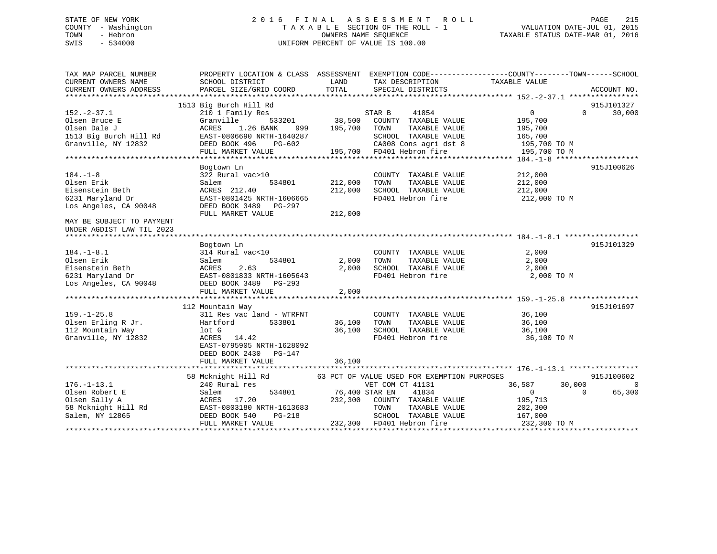## STATE OF NEW YORK 2 0 1 6 F I N A L A S S E S S M E N T R O L L PAGE 215 COUNTY - Washington T A X A B L E SECTION OF THE ROLL - 1 VALUATION DATE-JUL 01, 2015 TOWN - Hebron OWNERS NAME SEQUENCE TAXABLE STATUS DATE-MAR 01, 2016 SWIS - 534000 UNIFORM PERCENT OF VALUE IS 100.00

| TAX MAP PARCEL NUMBER     | PROPERTY LOCATION & CLASS ASSESSMENT EXEMPTION CODE---------------COUNTY-------TOWN-----SCHOOL |                       |                                             |                       |                    |
|---------------------------|------------------------------------------------------------------------------------------------|-----------------------|---------------------------------------------|-----------------------|--------------------|
| CURRENT OWNERS NAME       | SCHOOL DISTRICT                                                                                | LAND                  | TAX DESCRIPTION                             | TAXABLE VALUE         |                    |
| CURRENT OWNERS ADDRESS    | PARCEL SIZE/GRID COORD                                                                         | TOTAL                 | SPECIAL DISTRICTS                           |                       | ACCOUNT NO.        |
|                           |                                                                                                |                       |                                             |                       |                    |
|                           | 1513 Big Burch Hill Rd                                                                         |                       |                                             |                       | 915J101327         |
| $152. - 2 - 37.1$         | 210 1 Family Res                                                                               |                       | STAR B<br>41854                             | $0 \qquad \qquad$     | $\Omega$<br>30,000 |
| Olsen Bruce E             | Granville                                                                                      |                       | 533201 38,500 COUNTY TAXABLE VALUE          | 195,700               |                    |
| Olsen Dale J              | 1.26 BANK<br>ACRES                                                                             | 999 195,700 TOWN      | TAXABLE VALUE                               | 195,700               |                    |
| 1513 Big Burch Hill Rd    | EAST-0806690 NRTH-1640287                                                                      |                       | SCHOOL TAXABLE VALUE                        | $\frac{1}{165}$ , 700 |                    |
| Granville, NY 12832       | DEED BOOK 496<br>PG-602                                                                        |                       | CA008 Cons agri dst 8 195,700 TO M          |                       |                    |
|                           | FULL MARKET VALUE                                                                              |                       | 195,700 FD401 Hebron fire                   | 195,700 TO M          |                    |
|                           |                                                                                                |                       |                                             |                       |                    |
|                           | Bogtown Ln                                                                                     |                       |                                             |                       | 915J100626         |
| $184. - 1 - 8$            | 322 Rural vac>10                                                                               |                       | COUNTY TAXABLE VALUE                        | 212,000               |                    |
| Olsen Erik                | Salem<br>534801                                                                                | 212,000               | TAXABLE VALUE<br>TOWN                       | 212,000               |                    |
| Eisenstein Beth           | ACRES 212.40                                                                                   | 212,000               | SCHOOL TAXABLE VALUE                        | 212,000               |                    |
| 6231 Maryland Dr          | EAST-0801425 NRTH-1606665                                                                      |                       | FD401 Hebron fire                           | 212,000 TO M          |                    |
| Los Angeles, CA 90048     | DEED BOOK 3489 PG-297                                                                          |                       |                                             |                       |                    |
|                           | FULL MARKET VALUE                                                                              | 212,000               |                                             |                       |                    |
| MAY BE SUBJECT TO PAYMENT |                                                                                                |                       |                                             |                       |                    |
| UNDER AGDIST LAW TIL 2023 |                                                                                                |                       |                                             |                       |                    |
|                           |                                                                                                |                       |                                             |                       |                    |
|                           | Bogtown Ln                                                                                     |                       |                                             |                       | 915J101329         |
| $184. - 1 - 8.1$          | 314 Rural vac<10                                                                               |                       | COUNTY TAXABLE VALUE                        | 2,000                 |                    |
| Olsen Erik                | 534801<br>Salem                                                                                | 2,000                 | TOWN<br>TAXABLE VALUE                       | 2,000                 |                    |
| Eisenstein Beth           | ACRES<br>2.63                                                                                  | 2,000                 | SCHOOL TAXABLE VALUE                        | 2,000                 |                    |
| 6231 Maryland Dr          | EAST-0801833 NRTH-1605643                                                                      |                       | FD401 Hebron fire                           | 2,000 TO M            |                    |
| Los Angeles, CA 90048     | DEED BOOK 3489 PG-293                                                                          |                       |                                             |                       |                    |
|                           | FULL MARKET VALUE                                                                              | 2,000                 |                                             |                       |                    |
|                           |                                                                                                |                       |                                             |                       |                    |
|                           | 112 Mountain Way                                                                               |                       |                                             |                       | 915J101697         |
| $159. - 1 - 25.8$         | 311 Res vac land - WTRFNT                                                                      |                       | COUNTY TAXABLE VALUE                        | 36,100                |                    |
| Olsen Erling R Jr.        | Hartford<br>533801                                                                             | 36,100                | TOWN<br>TAXABLE VALUE                       | 36,100                |                    |
| 112 Mountain Way          | lot G                                                                                          | 36,100                | SCHOOL TAXABLE VALUE                        | 36,⊥∪∪<br>36,100      |                    |
| Granville, NY 12832       | ACRES 14.42                                                                                    |                       | FD401 Hebron fire                           | 36,100 TO M           |                    |
|                           | EAST-0795905 NRTH-1628092                                                                      |                       |                                             |                       |                    |
|                           | DEED BOOK 2430<br>PG-147                                                                       |                       |                                             |                       |                    |
|                           | FULL MARKET VALUE                                                                              | 36,100                |                                             |                       |                    |
|                           |                                                                                                |                       |                                             |                       |                    |
|                           | 58 Mcknight Hill Rd                                                                            |                       | 63 PCT OF VALUE USED FOR EXEMPTION PURPOSES |                       | 915J100602         |
| $176. - 1 - 13.1$         | 240 Rural res                                                                                  |                       | VET COM CT 41131                            | 36,587<br>30,000      | $\overline{0}$     |
| Olsen Robert E            |                                                                                                | 534801 76,400 STAR EN | 41834                                       | $0 \qquad \qquad$     | $\Omega$<br>65,300 |
| Olsen Sally A             | Salem                                                                                          |                       |                                             |                       |                    |
|                           | ACRES 17.20<br>EAST-0803180 NRTH-1613683                                                       |                       | 232,300 COUNTY TAXABLE VALUE                | 195,713               |                    |
| 58 Mcknight Hill Rd       |                                                                                                |                       | TOWN<br>TAXABLE VALUE                       | 202,300               |                    |
| Salem, NY 12865           | DEED BOOK 540<br>PG-218                                                                        |                       | SCHOOL TAXABLE VALUE                        | 167,000               |                    |
|                           | FULL MARKET VALUE                                                                              |                       | 232,300 FD401 Hebron fire                   | 232,300 TO M          |                    |
|                           |                                                                                                |                       |                                             |                       |                    |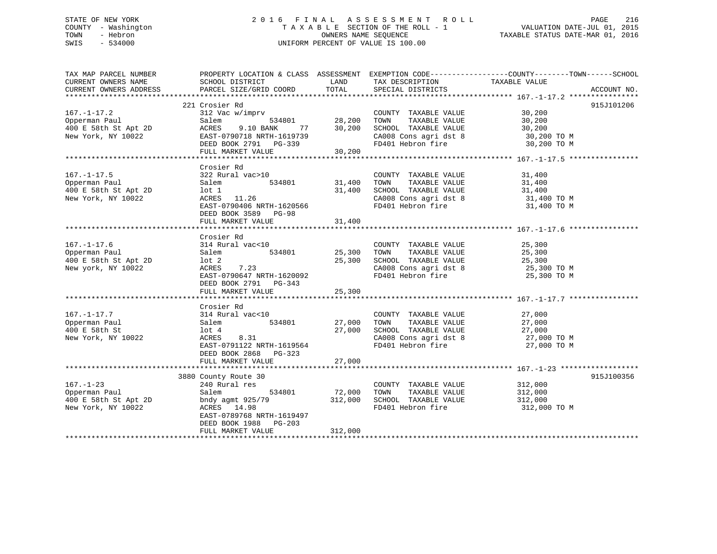## STATE OF NEW YORK 2 0 1 6 F I N A L A S S E S S M E N T R O L L PAGE 216 COUNTY - Washington T A X A B L E SECTION OF THE ROLL - 1 VALUATION DATE-JUL 01, 2015 TOWN - Hebron OWNERS NAME SEQUENCE TAXABLE STATUS DATE-MAR 01, 2016 SWIS - 534000 UNIFORM PERCENT OF VALUE IS 100.00

| TAX MAP PARCEL NUMBER<br>CURRENT OWNERS NAME<br>CURRENT OWNERS ADDRESS                          | SCHOOL DISTRICT<br>PARCEL SIZE/GRID COORD TOTAL                                                                                                                         | <b>LAND</b> | TAX DESCRIPTION TAXABLE VALUE SPECIAL DISTRICTS                                         | PROPERTY LOCATION & CLASS ASSESSMENT EXEMPTION CODE----------------COUNTY-------TOWN------SCHOOL<br>ACCOUNT NO.                                                                                                                                                                                                                                                                                 |
|-------------------------------------------------------------------------------------------------|-------------------------------------------------------------------------------------------------------------------------------------------------------------------------|-------------|-----------------------------------------------------------------------------------------|-------------------------------------------------------------------------------------------------------------------------------------------------------------------------------------------------------------------------------------------------------------------------------------------------------------------------------------------------------------------------------------------------|
|                                                                                                 | 221 Crosier Rd                                                                                                                                                          |             |                                                                                         | 915J101206<br>$\begin{tabular}{lllllllllllll} \hline 167.-1-17.2 & 221 Crossier Rd & 312 Vec w/imprv & 28,200 TOWTY TAXABLE VALUE & 30,200 \\ & 312 Vec w/imprv & 534801 & 28,200 TOWN TAXABLE VALUE & 30,200 \\ & 400 E 58th St Apt 2D & ACRES & 9.10 BANK & 77 & 30,200 SCHOOL TAXABLE VALUE & 30,200 \\ & 400 E 58th St Apt 2D & ACRES & 9.10 BANK & 77 & 30,200 SCHOOL TAXABLE VALUE & 30,$ |
| $167. - 1 - 17.5$<br>167.-1-17.5<br>Opperman Paul<br>400 E 58th St Apt 2D<br>New York, NY 10022 | Crosier Rd<br>322 Rural vac>10 COUNT<br>Salem 534801 31,400 TOWN<br>1ot 1 31,400 SCHOO1<br>ACRES 11.26 CA008<br>EAST-0790406 NRTH-1620566 FD401<br>DEED BOOK 3589 PG-98 |             | COUNTY TAXABLE VALUE<br>TOWN TAXABLE VALUE 31,400<br>SCHOOL TAXABLE VALUE 31,400        | 31,400<br>CA008 Cons agri dst 8 31,400 TO M<br>FD401 Hebron fire 31,400 TO M                                                                                                                                                                                                                                                                                                                    |
| $167. - 1 - 17.6$<br>167.-1-17.6<br>Opperman Paul<br>400 E 58th St Apt 2D<br>New york, NY 10022 | Crosier Rd<br>314 Rural vac<10<br>534801 25,300<br>alem 534801 25,300<br>acres 7.23<br>EAST-0790647 NRTH-1620092<br>DEED BOOK 2791 PG-343                               |             | COUNTY TAXABLE VALUE 25,300<br>TOWN TAXABLE VALUE 25,300<br>SCHOOL TAXABLE VALUE 25,300 | CA008 Cons agri dst 8 25,300 TO M<br>FD401 Hebron fire 25,300 TO M                                                                                                                                                                                                                                                                                                                              |
| 167.-1-17.7<br>Opperman Paul<br>400 E 58th St<br>New York, NY 10022                             | Crosier Rd<br>314 Rural vac<10<br>Salem 534801 27,000<br>1ot 4 27,000<br>ACRES 8.31<br>EAST-0791122 NRTH-1619564<br>DEED BOOK 2868 PG-323                               |             |                                                                                         | COUNTY TAXABLE VALUE $27,000$<br>TOWN TAXABLE VALUE $27,000$<br>SCHOOL TAXABLE VALUE $27,000$<br>CA008 Cons agri dst 8 $27,000$ TO M<br>FD401 Hebron fire $27,000$ TO M                                                                                                                                                                                                                         |
|                                                                                                 | 3880 County Route 30<br>EAST-0789768 NRTH-1619497<br>DEED BOOK 1988 PG-203<br>FULL MARKET VALUE                                                                         | 312,000     | COUNTY TAXABLE VALUE 312,000                                                            | 915J100356<br>FD401 Hebron fire 312,000 TO M                                                                                                                                                                                                                                                                                                                                                    |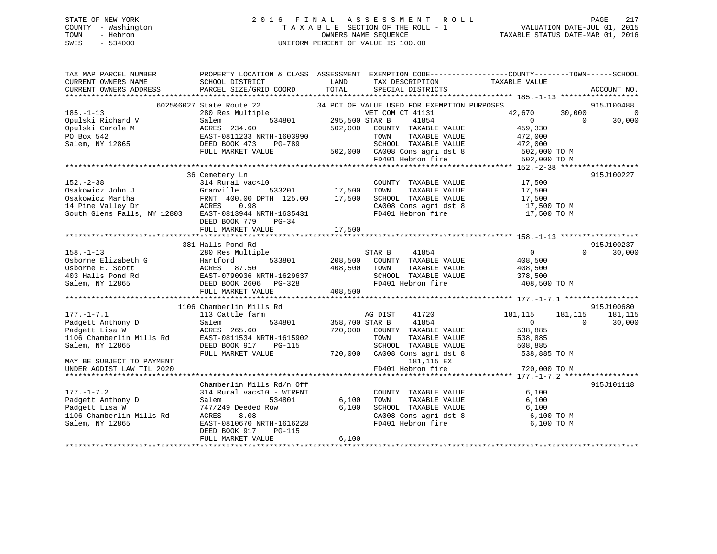# STATE OF NEW YORK 2 0 1 6 F I N A L A S S E S S M E N T R O L L PAGE 217 COUNTY - Washington T A X A B L E SECTION OF THE ROLL - 1 VALUATION DATE-JUL 01, 2015 TOWN - Hebron OWNERS NAME SEQUENCE TAXABLE STATUS DATE-MAR 01, 2016 SWIS - 534000 UNIFORM PERCENT OF VALUE IS 100.00

| TAX MAP PARCEL NUMBER<br>CURRENT OWNERS NAME          | SCHOOL DISTRICT                                                                                 | LAND           | TAX DESCRIPTION                               | PROPERTY LOCATION & CLASS ASSESSMENT EXEMPTION CODE----------------COUNTY-------TOWN------SCHOOL<br>TAXABLE VALUE |                |
|-------------------------------------------------------|-------------------------------------------------------------------------------------------------|----------------|-----------------------------------------------|-------------------------------------------------------------------------------------------------------------------|----------------|
| CURRENT OWNERS ADDRESS                                | PARCEL SIZE/GRID COORD                                                                          | TOTAL          | SPECIAL DISTRICTS                             |                                                                                                                   | ACCOUNT NO.    |
|                                                       | 6025&6027 State Route 22                                                                        |                | 34 PCT OF VALUE USED FOR EXEMPTION PURPOSES   |                                                                                                                   | 915J100488     |
| $185. - 1 - 13$                                       | 280 Res Multiple                                                                                |                | VET COM CT 41131                              | 42,670<br>30,000                                                                                                  | $\overline{0}$ |
| Opulski Richard V                                     |                                                                                                 | 295,500 STAR B | 41854                                         | $\Omega$<br>$\overline{0}$                                                                                        | 30,000         |
| Opulski Carole M                                      |                                                                                                 | 502,000        | COUNTY TAXABLE VALUE                          | 459,330                                                                                                           |                |
| PO Box 542                                            |                                                                                                 |                | TOWN<br>TAXABLE VALUE                         | 472,000                                                                                                           |                |
| Salem, NY 12865                                       |                                                                                                 |                | SCHOOL TAXABLE VALUE                          | 472,000                                                                                                           |                |
|                                                       |                                                                                                 |                | 502,000 CA008 Cons agri dst 8                 | 502,000 TO M                                                                                                      |                |
|                                                       | Salem<br>ACRES 234.60<br>EAST-0811233 NRTH-1603990<br>DEED BOOK 473 PG-789<br>TILL MARKET VALUE |                | FD401 Hebron fire                             | 502,000 TO M                                                                                                      |                |
|                                                       |                                                                                                 |                |                                               |                                                                                                                   |                |
|                                                       | 36 Cemetery Ln                                                                                  |                |                                               |                                                                                                                   | 915J100227     |
| $152 - 2 - 38$<br>Osakowicz John J                    | 314 Rural vac<10<br>Granville<br>533201                                                         | 17,500         | COUNTY TAXABLE VALUE<br>TOWN<br>TAXABLE VALUE | 17,500<br>17,500                                                                                                  |                |
| Osakowicz Martha                                      |                                                                                                 | 17,500         | SCHOOL TAXABLE VALUE                          | 17,500                                                                                                            |                |
| 14 Pine Valley Dr                                     |                                                                                                 |                | CA008 Cons agri dst 8                         | 17,500 TO M                                                                                                       |                |
| South Glens Falls, NY 12803 EAST-0813944 NRTH-1635431 |                                                                                                 |                | FD401 Hebron fire                             | 17,500 TO M                                                                                                       |                |
|                                                       | DEED BOOK 779<br>$PG-34$                                                                        |                |                                               |                                                                                                                   |                |
|                                                       | FULL MARKET VALUE                                                                               | 17,500         |                                               |                                                                                                                   |                |
|                                                       |                                                                                                 |                |                                               |                                                                                                                   |                |
|                                                       | 381 Halls Pond Rd                                                                               |                |                                               |                                                                                                                   | 915J100237     |
| $158. - 1 - 13$                                       | 280 Res Multiple                                                                                |                | STAR B<br>41854                               | $\overline{0}$<br>$\Omega$                                                                                        | 30,000         |
| Osborne Elizabeth G                                   | Hartford 533801<br>ACRES 87.50<br>EAST-0790936 NRTH-1629637                                     | 208,500        | COUNTY TAXABLE VALUE                          | 408,500                                                                                                           |                |
| Osborne E. Scott                                      |                                                                                                 | 408,500        | TOWN<br>TAXABLE VALUE                         | 408,500                                                                                                           |                |
| 403 Halls Pond Rd                                     |                                                                                                 |                | SCHOOL TAXABLE VALUE                          | 378,500                                                                                                           |                |
| Salem, NY 12865                                       | DEED BOOK 2606 PG-328                                                                           |                | FD401 Hebron fire                             | 408,500 TO M                                                                                                      |                |
|                                                       | FULL MARKET VALUE                                                                               | 408,500        |                                               |                                                                                                                   |                |
|                                                       |                                                                                                 |                |                                               |                                                                                                                   |                |
|                                                       | 1106 Chamberlin Mills Rd                                                                        |                |                                               |                                                                                                                   | 915J100680     |
| $177. - 1 - 7.1$                                      | 113 Cattle farm                                                                                 |                | 41720<br>AG DIST                              | 181,115<br>181,115                                                                                                | 181,115        |
| Padgett Anthony D                                     | 534801<br>Salem                                                                                 | 358,700 STAR B | 41854                                         | $\overline{0}$<br>$\Omega$                                                                                        | 30,000         |
| Padgett Lisa W                                        | ACRES 265.60                                                                                    | 720,000        | COUNTY TAXABLE VALUE                          | 538,885                                                                                                           |                |
| 1106 Chamberlin Mills Rd                              | EAST-0811534 NRTH-1615902                                                                       |                | TOWN<br>TAXABLE VALUE                         | 538,885                                                                                                           |                |
| Salem, NY 12865                                       | DEED BOOK 917<br>PG-115                                                                         |                | SCHOOL TAXABLE VALUE                          | 508,885                                                                                                           |                |
| MAY BE SUBJECT TO PAYMENT                             | FULL MARKET VALUE                                                                               | 720,000        | CA008 Cons agri dst 8<br>181,115 EX           | 538,885 TO M                                                                                                      |                |
| UNDER AGDIST LAW TIL 2020                             |                                                                                                 |                | FD401 Hebron fire                             | 720,000 TO M                                                                                                      |                |
|                                                       |                                                                                                 |                |                                               |                                                                                                                   |                |
|                                                       | Chamberlin Mills Rd/n Off                                                                       |                |                                               |                                                                                                                   | 915J101118     |
| $177. - 1 - 7.2$                                      | 314 Rural vac<10 - WTRFNT                                                                       |                | COUNTY TAXABLE VALUE                          | 6,100                                                                                                             |                |
| Padgett Anthony D                                     | 534801<br>Salem                                                                                 | 6,100          | TOWN<br>TAXABLE VALUE                         | 6,100                                                                                                             |                |
| Padgett Lisa W                                        | 747/249 Deeded Row                                                                              | 6,100          | SCHOOL TAXABLE VALUE                          | 6,100                                                                                                             |                |
| 1106 Chamberlin Mills Rd                              | 8.08<br>ACRES                                                                                   |                | CA008 Cons agri dst 8                         | 6,100 TO M                                                                                                        |                |
| Salem, NY 12865                                       | EAST-0810670 NRTH-1616228                                                                       |                | FD401 Hebron fire                             | 6,100 TO M                                                                                                        |                |
|                                                       | DEED BOOK 917<br>PG-115                                                                         |                |                                               |                                                                                                                   |                |
|                                                       | FULL MARKET VALUE                                                                               | 6,100          |                                               |                                                                                                                   |                |
|                                                       |                                                                                                 |                |                                               |                                                                                                                   |                |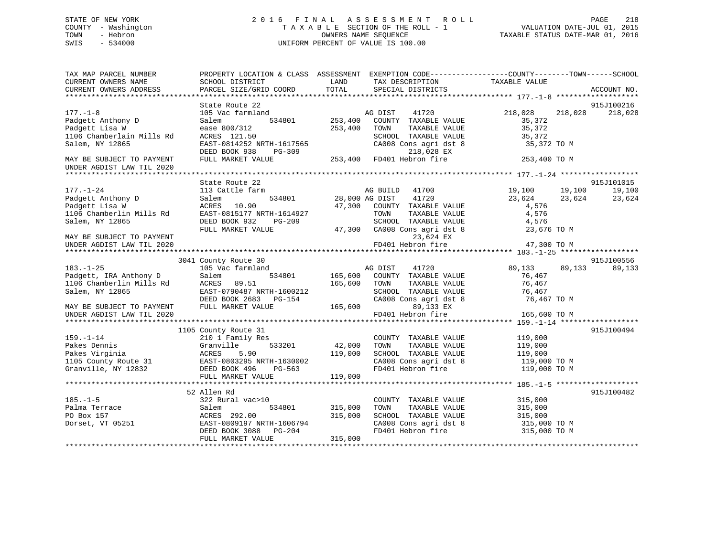# STATE OF NEW YORK 2 0 1 6 F I N A L A S S E S S M E N T R O L L PAGE 218 COUNTY - Washington T A X A B L E SECTION OF THE ROLL - 1 VALUATION DATE-JUL 01, 2015 TOWN - Hebron OWNERS NAME SEQUENCE TAXABLE STATUS DATE-MAR 01, 2016 SWIS - 534000 UNIFORM PERCENT OF VALUE IS 100.00

| TAX MAP PARCEL NUMBER<br>CURRENT OWNERS NAME<br>CURRENT OWNERS ADDRESS                                                                                                                                                                            | PROPERTY LOCATION & CLASS ASSESSMENT EXEMPTION CODE---------------COUNTY-------TOWN-----SCHOOL<br>SCHOOL DISTRICT<br>PARCEL SIZE/GRID COORD | LAND<br>TOTAL              | TAX DESCRIPTION<br>SPECIAL DISTRICTS                                     | TAXABLE VALUE                | ACCOUNT NO.          |
|---------------------------------------------------------------------------------------------------------------------------------------------------------------------------------------------------------------------------------------------------|---------------------------------------------------------------------------------------------------------------------------------------------|----------------------------|--------------------------------------------------------------------------|------------------------------|----------------------|
|                                                                                                                                                                                                                                                   |                                                                                                                                             |                            |                                                                          |                              |                      |
|                                                                                                                                                                                                                                                   | State Route 22                                                                                                                              |                            |                                                                          |                              | 915J100216           |
| $177. - 1 - 8$<br>Padgett Anthony D                                                                                                                                                                                                               | 105 Vac farmland<br>Salem                                                                                                                   | 534801 253,400             | AG DIST<br>41720<br>COUNTY TAXABLE VALUE                                 | 218,028 218,028<br>35,372    | 218,028              |
| Padgett Lisa W<br>1106 Chamberlain Mills Rd                                                                                                                                                                                                       | ease 800/312<br>ACRES 121.50                                                                                                                | 253,400                    | TOWN<br>TAXABLE VALUE<br>SCHOOL TAXABLE VALUE                            | 35,372<br>35,372             |                      |
| Salem, NY 12865                                                                                                                                                                                                                                   | EAST-0814252 NRTH-1617565<br>PG-309<br>DEED BOOK 938                                                                                        |                            | CA008 Cons agri dst 8<br>218,028 EX                                      | 35,372 TO M                  |                      |
| MAY BE SUBJECT TO PAYMENT<br>UNDER AGDIST LAW TIL 2020                                                                                                                                                                                            | FULL MARKET VALUE                                                                                                                           |                            | 253,400 FD401 Hebron fire                                                | 253,400 TO M                 |                      |
|                                                                                                                                                                                                                                                   |                                                                                                                                             |                            |                                                                          |                              |                      |
| $177. - 1 - 24$                                                                                                                                                                                                                                   | State Route 22<br>113 Cattle farm                                                                                                           |                            | AG BUILD 41700                                                           | 19,100 19,100                | 915J101015<br>19,100 |
| Padgett Anthony D                                                                                                                                                                                                                                 | 534801<br>Salem                                                                                                                             | AG BUILD<br>28,000 AG DIST | 41720                                                                    | 23,624                       | 23,624<br>23,624     |
| Padgett Lisa W                                                                                                                                                                                                                                    | ACRES 10.90                                                                                                                                 |                            | 47,300 COUNTY TAXABLE VALUE                                              | 4,576                        |                      |
| 1106 Chamberlin Mills Rd                                                                                                                                                                                                                          | EAST-0815177 NRTH-1614927                                                                                                                   |                            | TOWN<br>TAXABLE VALUE                                                    | 4,576                        |                      |
| Salem, NY 12865                                                                                                                                                                                                                                   | DEED BOOK 932<br>PG-209                                                                                                                     |                            | SCHOOL TAXABLE VALUE<br>47,300 CA008 Cons agri dst 8                     | 4,576                        |                      |
|                                                                                                                                                                                                                                                   | FULL MARKET VALUE                                                                                                                           |                            |                                                                          | 23,676 TO M                  |                      |
| MAY BE SUBJECT TO PAYMENT                                                                                                                                                                                                                         |                                                                                                                                             |                            | 23,624 EX<br>FD401 Hebron fire                                           | 47,300 TO M                  |                      |
| UNDER AGDIST LAW TIL 2020<br>**************************                                                                                                                                                                                           |                                                                                                                                             |                            |                                                                          |                              |                      |
|                                                                                                                                                                                                                                                   | 3041 County Route 30                                                                                                                        |                            |                                                                          |                              | 915J100556           |
| $183. - 1 - 25$                                                                                                                                                                                                                                   | 105 Vac farmland                                                                                                                            |                            | AG DIST<br>41720                                                         | 89,133                       | 89,133<br>89,133     |
| Padgett, IRA Anthony D                                                                                                                                                                                                                            | Salem                                                                                                                                       |                            | 534801 165,600 COUNTY TAXABLE VALUE                                      | 76,467                       |                      |
| 1106 Chamberlin Mills Rd                                                                                                                                                                                                                          | ACRES 89.51                                                                                                                                 | 165,600                    | TOWN<br>TAXABLE VALUE                                                    | 76,467                       |                      |
| Salem, NY 12865                                                                                                                                                                                                                                   | EAST-0790487 NRTH-1600212                                                                                                                   |                            | SCHOOL TAXABLE VALUE                                                     | 76,467                       |                      |
|                                                                                                                                                                                                                                                   | DEED BOOK 2683 PG-154                                                                                                                       |                            | CA008 Cons agri dst 8                                                    | 76,467 TO M                  |                      |
| MAY BE SUBJECT TO PAYMENT                                                                                                                                                                                                                         | FULL MARKET VALUE                                                                                                                           | 165,600                    | 89,133 EX                                                                |                              |                      |
| UNDER AGDIST LAW TIL 2020                                                                                                                                                                                                                         |                                                                                                                                             |                            | FD401 Hebron fire                                                        | 165,600 TO M                 |                      |
|                                                                                                                                                                                                                                                   |                                                                                                                                             |                            |                                                                          |                              |                      |
|                                                                                                                                                                                                                                                   | 1105 County Route 31                                                                                                                        |                            |                                                                          |                              | 915J100494           |
| $159. - 1 - 14$                                                                                                                                                                                                                                   | 210 1 Family Res                                                                                                                            |                            | COUNTY TAXABLE VALUE                                                     | 119,000                      |                      |
| Pakes Dennis<br>Pakes Virginia<br>Pakes Virginia<br>1105 County Route 31<br>Granville, NY 12832<br>CRES  DEAST-0803295 NRTH-1630002<br>Granville, NY 12832<br>DEED BOOK 496<br>CRES  DEAST-0803295 NRTH-1630002<br>DEED BOOK 496<br>CRES  PEG-563 |                                                                                                                                             | 42,000<br>119,000          | TAXABLE VALUE<br>TOWN<br>SCHOOL TAXABLE VALUE                            | 119,000<br>119,000           |                      |
|                                                                                                                                                                                                                                                   |                                                                                                                                             |                            |                                                                          |                              |                      |
|                                                                                                                                                                                                                                                   |                                                                                                                                             |                            | CA008 Cons agri dst 8 $119,000$ TO M<br>FD401 Hebron fire $119,000$ TO M |                              |                      |
|                                                                                                                                                                                                                                                   | FULL MARKET VALUE                                                                                                                           | 119,000                    |                                                                          |                              |                      |
|                                                                                                                                                                                                                                                   |                                                                                                                                             |                            |                                                                          |                              |                      |
|                                                                                                                                                                                                                                                   | 52 Allen Rd                                                                                                                                 |                            |                                                                          |                              | 915J100482           |
| $185. - 1 - 5$                                                                                                                                                                                                                                    | 322 Rural vac>10                                                                                                                            |                            | COUNTY TAXABLE VALUE                                                     | 315,000                      |                      |
| Palma Terrace                                                                                                                                                                                                                                     | Salem<br>534801                                                                                                                             | 315,000                    | TOWN<br>TAXABLE VALUE                                                    | 315,000                      |                      |
| PO Box 157                                                                                                                                                                                                                                        | ACRES 292.00                                                                                                                                | 315,000                    | SCHOOL TAXABLE VALUE                                                     | 315,000                      |                      |
| Dorset, VT 05251                                                                                                                                                                                                                                  | EAST-0809197 NRTH-1606794<br>DEED BOOK 3088 PG-204                                                                                          |                            | CA008 Cons agri dst 8<br>FD401 Hebron fire                               | 315,000 ТО М<br>315,000 ТО М |                      |
|                                                                                                                                                                                                                                                   |                                                                                                                                             |                            |                                                                          |                              |                      |
|                                                                                                                                                                                                                                                   | FULL MARKET VALUE                                                                                                                           | 315,000                    |                                                                          |                              |                      |
|                                                                                                                                                                                                                                                   |                                                                                                                                             |                            |                                                                          |                              |                      |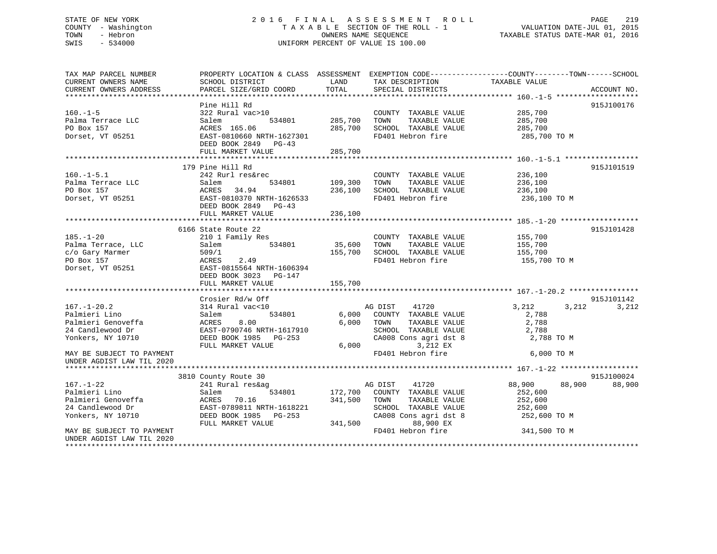# STATE OF NEW YORK 2 0 1 6 F I N A L A S S E S S M E N T R O L L PAGE 219 COUNTY - Washington T A X A B L E SECTION OF THE ROLL - 1 VALUATION DATE-JUL 01, 2015 TOWN - Hebron OWNERS NAME SEQUENCE TAXABLE STATUS DATE-MAR 01, 2016 SWIS - 534000 UNIFORM PERCENT OF VALUE IS 100.00

TAX MAP PARCEL NUMBER PROPERTY LOCATION & CLASS ASSESSMENT EXEMPTION CODE------------------COUNTY--------TOWN------SCHOOL CURRENT OWNERS NAME SCHOOL DISTRICT THE LAND TAX DESCRIPTION TAXABLE VALUE CURRENT OWNERS ADDRESS PARCEL SIZE/GRID COORD TOTAL SPECIAL DISTRICTS ACCOUNT NO. \*\*\*\*\*\*\*\*\*\*\*\*\*\*\*\*\*\*\*\*\*\*\*\*\*\*\*\*\*\*\*\*\*\*\*\*\*\*\*\*\*\*\*\*\*\*\*\*\*\*\*\*\*\*\*\*\*\*\*\*\*\*\*\*\*\*\*\*\*\*\*\*\*\*\*\*\*\*\*\*\*\*\*\*\*\*\*\*\*\*\*\*\*\*\*\*\*\*\*\*\*\*\* 160.-1-5 \*\*\*\*\*\*\*\*\*\*\*\*\*\*\*\*\*\*\*Pine Hill Rd 915J100176 160.-1-5 322 Rural vac>10 COUNTY TAXABLE VALUE 285,700 Palma Terrace LLC Salem 534801 285,700 TOWN TAXABLE VALUE 285,700 PO Box 157 ACRES 165.06 285,700 SCHOOL TAXABLE VALUE 285,700 Dorset, VT 05251 EAST-0810660 NRTH-1627301 FD401 Hebron fire 285,700 TO M DEED BOOK 2849 PG-43 FULL MARKET VALUE 285,700 \*\*\*\*\*\*\*\*\*\*\*\*\*\*\*\*\*\*\*\*\*\*\*\*\*\*\*\*\*\*\*\*\*\*\*\*\*\*\*\*\*\*\*\*\*\*\*\*\*\*\*\*\*\*\*\*\*\*\*\*\*\*\*\*\*\*\*\*\*\*\*\*\*\*\*\*\*\*\*\*\*\*\*\*\*\*\*\*\*\*\*\*\*\*\*\*\*\*\*\*\*\*\* 160.-1-5.1 \*\*\*\*\*\*\*\*\*\*\*\*\*\*\*\*\* 179 Pine Hill Rd 915J101519160.-1-5.1 242 Rurl res&rec COUNTY TAXABLE VALUE 236,100 Palma Terrace LLC Salem 534801 109,300 TOWN TAXABLE VALUE 236,100 PO Box 157 ACRES 34.94 236,100 SCHOOL TAXABLE VALUE 236,100 Dorset, VT 05251 EAST-0810370 NRTH-1626533 FD401 Hebron fire 236,100 TO M DEED BOOK 2849 PG-43FULL MARKET VALUE 236,100 \*\*\*\*\*\*\*\*\*\*\*\*\*\*\*\*\*\*\*\*\*\*\*\*\*\*\*\*\*\*\*\*\*\*\*\*\*\*\*\*\*\*\*\*\*\*\*\*\*\*\*\*\*\*\*\*\*\*\*\*\*\*\*\*\*\*\*\*\*\*\*\*\*\*\*\*\*\*\*\*\*\*\*\*\*\*\*\*\*\*\*\*\*\*\*\*\*\*\*\*\*\*\* 185.-1-20 \*\*\*\*\*\*\*\*\*\*\*\*\*\*\*\*\*\* 6166 State Route 22 915J101428185.-1-20 210 1 Family Res COUNTY TAXABLE VALUE 155,700 Palma Terrace, LLC Salem 534801 35,600 TOWN TAXABLE VALUE 155,700 c/o Gary Marmer 509/1 155,700 SCHOOL TAXABLE VALUE 155,700 PO Box 157 ACRES 2.49 FD401 Hebron fire 155,700 TO M Dorset, VT 05251 EAST-0815564 NRTH-1606394 DEED BOOK 3023 PG-147FULL MARKET VALUE 155,700 \*\*\*\*\*\*\*\*\*\*\*\*\*\*\*\*\*\*\*\*\*\*\*\*\*\*\*\*\*\*\*\*\*\*\*\*\*\*\*\*\*\*\*\*\*\*\*\*\*\*\*\*\*\*\*\*\*\*\*\*\*\*\*\*\*\*\*\*\*\*\*\*\*\*\*\*\*\*\*\*\*\*\*\*\*\*\*\*\*\*\*\*\*\*\*\*\*\*\*\*\*\*\* 167.-1-20.2 \*\*\*\*\*\*\*\*\*\*\*\*\*\*\*\* Crosier Rd/w Off 915J101142 167.-1-20.2 314 Rural vac<10 AG DIST 41720 3,212 3,212 3,212 Palmieri Lino Salem 534801 6,000 COUNTY TAXABLE VALUE 2,788 Palmieri Genoveffa ACRES 8.00 6,000 TOWN TAXABLE VALUE 2,788 24 Candlewood Dr EAST-0790746 NRTH-1617910 SCHOOL TAXABLE VALUE 2,788 Yonkers, NY 10710 DEED BOOK 1985 PG-253 CA008 Cons agri dst 8 2,788 TO M FULL MARKET VALUE 6,000 3,212 EX MAY BE SUBJECT TO PAYMENT FOUR CONTROL TO A SUBSECTIVE SERVICE SERVICE TO MANY BE SUBJECT TO PAYMENT TO MANY AND TO M UNDER AGDIST LAW TIL 2020 \*\*\*\*\*\*\*\*\*\*\*\*\*\*\*\*\*\*\*\*\*\*\*\*\*\*\*\*\*\*\*\*\*\*\*\*\*\*\*\*\*\*\*\*\*\*\*\*\*\*\*\*\*\*\*\*\*\*\*\*\*\*\*\*\*\*\*\*\*\*\*\*\*\*\*\*\*\*\*\*\*\*\*\*\*\*\*\*\*\*\*\*\*\*\*\*\*\*\*\*\*\*\* 167.-1-22 \*\*\*\*\*\*\*\*\*\*\*\*\*\*\*\*\*\* 3810 County Route 30 915J100024 167.-1-22 241 Rural res&ag AG DIST 41720 88,900 88,900 88,900 Palmieri Lino Salem 534801 172,700 COUNTY TAXABLE VALUE 252,600 Palmieri Genoveffa ACRES 70.16 341,500 TOWN TAXABLE VALUE 252,600 24 Candlewood Dr EAST-0789811 NRTH-1618221 SCHOOL TAXABLE VALUE 252,600 Yonkers, NY 10710 DEED BOOK 1985 PG-253 CA008 Cons agri dst 8 252,600 TO M DEED BOOK 1985 PG-253 CA008 Cons agri dst 8<br>FULL MARKET VALUE 341,500 88,900 EX MAY BE SUBJECT TO PAYMENT **FLAULT CONSUMING THE SUBJECT TO PAYMENT** FD401 Hebron fire 341,500 TO M UNDER AGDIST LAW TIL 2020

\*\*\*\*\*\*\*\*\*\*\*\*\*\*\*\*\*\*\*\*\*\*\*\*\*\*\*\*\*\*\*\*\*\*\*\*\*\*\*\*\*\*\*\*\*\*\*\*\*\*\*\*\*\*\*\*\*\*\*\*\*\*\*\*\*\*\*\*\*\*\*\*\*\*\*\*\*\*\*\*\*\*\*\*\*\*\*\*\*\*\*\*\*\*\*\*\*\*\*\*\*\*\*\*\*\*\*\*\*\*\*\*\*\*\*\*\*\*\*\*\*\*\*\*\*\*\*\*\*\*\*\*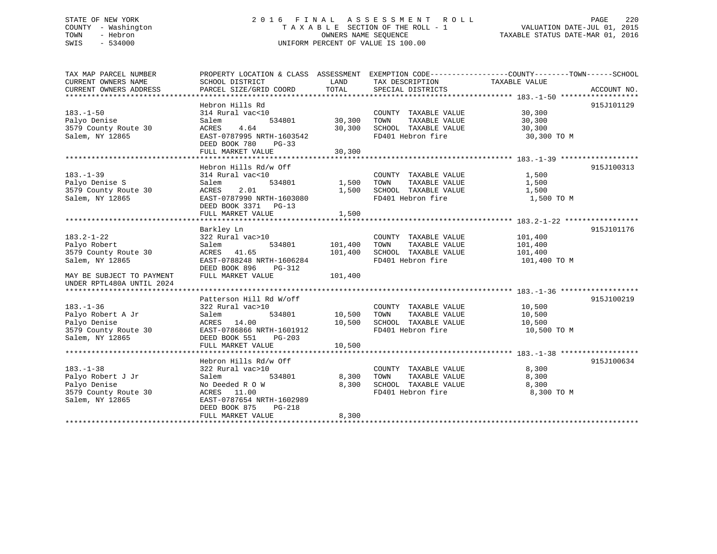# STATE OF NEW YORK 2 0 1 6 F I N A L A S S E S S M E N T R O L L PAGE 220 COUNTY - Washington T A X A B L E SECTION OF THE ROLL - 1 VALUATION DATE-JUL 01, 2015 TOWN - Hebron OWNERS NAME SEQUENCE TAXABLE STATUS DATE-MAR 01, 2016 SWIS - 534000 UNIFORM PERCENT OF VALUE IS 100.00

| TAX MAP PARCEL NUMBER<br>CURRENT OWNERS NAME<br>CURRENT OWNERS ADDRESS                                                                | PROPERTY LOCATION & CLASS ASSESSMENT EXEMPTION CODE----------------COUNTY-------TOWN-----SCHOOL<br>SCHOOL DISTRICT<br>PARCEL SIZE/GRID COORD                                  | LAND<br>TOTAL                 | TAX DESCRIPTION<br>SPECIAL DISTRICTS                                                       | TAXABLE VALUE                                 | ACCOUNT NO. |
|---------------------------------------------------------------------------------------------------------------------------------------|-------------------------------------------------------------------------------------------------------------------------------------------------------------------------------|-------------------------------|--------------------------------------------------------------------------------------------|-----------------------------------------------|-------------|
| $183. - 1 - 50$<br>Palyo Denise<br>3579 County Route 30<br>Salem, NY 12865                                                            | Hebron Hills Rd<br>314 Rural vac<10<br>Salem<br>534801<br>4.64<br>ACRES<br>EAST-0787995 NRTH-1603542<br>DEED BOOK 780<br>$PG-33$                                              | 30,300<br>30,300              | COUNTY TAXABLE VALUE<br>TAXABLE VALUE<br>TOWN<br>SCHOOL TAXABLE VALUE<br>FD401 Hebron fire | 30,300<br>30,300<br>30,300<br>30,300 TO M     | 915J101129  |
|                                                                                                                                       | FULL MARKET VALUE                                                                                                                                                             | 30,300                        |                                                                                            |                                               |             |
| $183. - 1 - 39$<br>Palyo Denise S<br>3579 County Route 30<br>Salem, NY 12865                                                          | Hebron Hills Rd/w Off<br>314 Rural vac<10<br>534801<br>Salem<br>2.01<br>ACRES<br>EAST-0787990 NRTH-1603080<br>DEED BOOK 3371 PG-13<br>FULL MARKET VALUE                       | 1,500<br>1,500<br>1,500       | COUNTY TAXABLE VALUE<br>TOWN<br>TAXABLE VALUE<br>SCHOOL TAXABLE VALUE<br>FD401 Hebron fire | 1,500<br>1,500<br>1,500<br>1,500 TO M         | 915J100313  |
| $183.2 - 1 - 22$<br>Palyo Robert<br>3579 County Route 30<br>Salem, NY 12865<br>MAY BE SUBJECT TO PAYMENT<br>UNDER RPTL480A UNTIL 2024 | Barkley Ln<br>322 Rural vac>10<br>534801<br>Salem<br>ACRES 41.65<br>EAST-0788248 NRTH-1606284<br>DEED BOOK 896<br>PG-312<br>FULL MARKET VALUE                                 | 101,400<br>101,400<br>101,400 | COUNTY TAXABLE VALUE<br>TAXABLE VALUE<br>TOWN<br>SCHOOL TAXABLE VALUE<br>FD401 Hebron fire | 101,400<br>101,400<br>101,400<br>101,400 TO M | 915J101176  |
| $183. - 1 - 36$<br>Palyo Robert A Jr<br>Palyo Denise<br>3579 County Route 30<br>Salem, NY 12865                                       | Patterson Hill Rd W/off<br>322 Rural vac>10<br>Salem<br>534801<br>ACRES 14.00<br>EAST-0786866 NRTH-1601912<br>DEED BOOK 551<br>$PG-203$<br>FULL MARKET VALUE                  | 10,500<br>10,500<br>10,500    | COUNTY TAXABLE VALUE<br>TAXABLE VALUE<br>TOWN<br>SCHOOL TAXABLE VALUE<br>FD401 Hebron fire | 10,500<br>10,500<br>10,500<br>10,500 TO M     | 915J100219  |
| $183. - 1 - 38$<br>Palyo Robert J Jr<br>Palyo Denise<br>3579 County Route 30<br>Salem, NY 12865                                       | Hebron Hills Rd/w Off<br>322 Rural vac>10<br>Salem<br>534801<br>No Deeded R O W<br>ACRES 11.00<br>EAST-0787654 NRTH-1602989<br>DEED BOOK 875<br>$PG-218$<br>FULL MARKET VALUE | 8,300<br>8,300<br>8,300       | COUNTY TAXABLE VALUE<br>TAXABLE VALUE<br>TOWN<br>SCHOOL TAXABLE VALUE<br>FD401 Hebron fire | 8,300<br>8,300<br>8,300<br>8,300 TO M         | 915J100634  |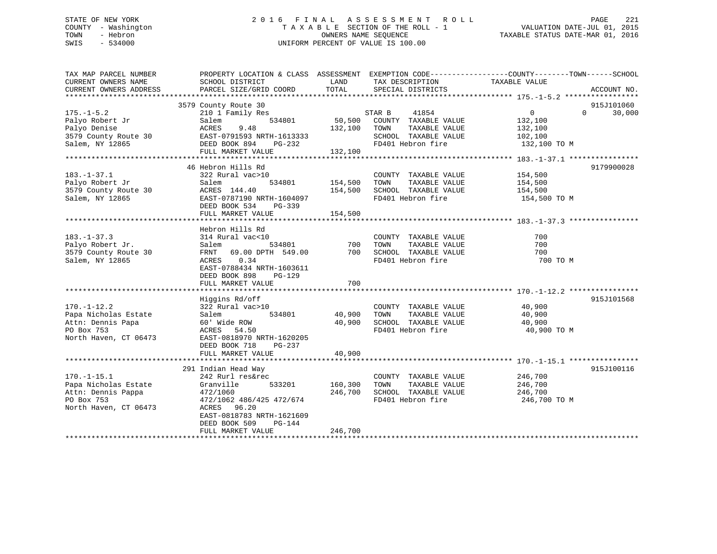# STATE OF NEW YORK 2 0 1 6 F I N A L A S S E S S M E N T R O L L PAGE 221 COUNTY - Washington T A X A B L E SECTION OF THE ROLL - 1 VALUATION DATE-JUL 01, 2015 TOWN - Hebron OWNERS NAME SEQUENCE TAXABLE STATUS DATE-MAR 01, 2016 SWIS - 534000 UNIFORM PERCENT OF VALUE IS 100.00

| TAX MAP PARCEL NUMBER<br>CURRENT OWNERS NAME<br>CURRENT OWNERS ADDRESS                                 | PROPERTY LOCATION & CLASS ASSESSMENT EXEMPTION CODE---------------COUNTY-------TOWN-----SCHOOL<br>SCHOOL DISTRICT<br>PARCEL SIZE/GRID COORD                                                        | LAND<br>TOTAL                 | TAX DESCRIPTION<br>SPECIAL DISTRICTS                                                                          | TAXABLE VALUE                                                   | ACCOUNT NO.                      |
|--------------------------------------------------------------------------------------------------------|----------------------------------------------------------------------------------------------------------------------------------------------------------------------------------------------------|-------------------------------|---------------------------------------------------------------------------------------------------------------|-----------------------------------------------------------------|----------------------------------|
| $175. - 1 - 5.2$<br>Palyo Robert Jr<br>Palyo Denise<br>3579 County Route 30<br>Salem, NY 12865         | 3579 County Route 30<br>210 1 Family Res<br>534801<br>Salem<br>ACRES<br>9.48<br>EAST-0791593 NRTH-1613333<br>DEED BOOK 894<br>PG-232<br>FULL MARKET VALUE                                          | 50,500<br>132,100<br>132,100  | STAR B<br>41854<br>COUNTY TAXABLE VALUE<br>TOWN<br>TAXABLE VALUE<br>SCHOOL TAXABLE VALUE<br>FD401 Hebron fire | $\overline{0}$<br>132,100<br>132,100<br>102,100<br>132,100 TO M | 915J101060<br>$\Omega$<br>30,000 |
| $183. - 1 - 37.1$<br>Palyo Robert Jr<br>3579 County Route 30<br>Salem, NY 12865                        | 46 Hebron Hills Rd<br>322 Rural vac>10<br>534801<br>Salem<br>ACRES 144.40<br>EAST-0787190 NRTH-1604097<br>DEED BOOK 534<br>PG-339<br>FULL MARKET VALUE                                             | 154,500<br>154,500<br>154,500 | COUNTY TAXABLE VALUE<br>TAXABLE VALUE<br>TOWN<br>SCHOOL TAXABLE VALUE<br>FD401 Hebron fire                    | 154,500<br>154,500<br>154,500<br>154,500 TO M                   | 9179900028                       |
| $183. - 1 - 37.3$<br>Palyo Robert Jr.<br>3579 County Route 30<br>Salem, NY 12865                       | Hebron Hills Rd<br>314 Rural vac<10<br>534801<br>Salem<br>FRNT 69.00 DPTH 549.00<br>0.34<br>ACRES<br>EAST-0788434 NRTH-1603611<br>DEED BOOK 898<br>PG-129<br>FULL MARKET VALUE                     | 700<br>700<br>700             | COUNTY TAXABLE VALUE<br>TOWN<br>TAXABLE VALUE<br>SCHOOL TAXABLE VALUE<br>FD401 Hebron fire                    | 700<br>700<br>700<br>700 TO M                                   |                                  |
| $170. - 1 - 12.2$<br>Papa Nicholas Estate<br>Attn: Dennis Papa<br>PO Box 753<br>North Haven, CT 06473  | Higgins Rd/off<br>322 Rural vac>10<br>534801<br>Salem<br>60' Wide ROW<br>ACRES<br>54.50<br>EAST-0818970 NRTH-1620205<br>DEED BOOK 718<br>$PG-237$<br>FULL MARKET VALUE                             | 40,900<br>40,900<br>40,900    | COUNTY TAXABLE VALUE<br>TAXABLE VALUE<br>TOWN<br>SCHOOL TAXABLE VALUE<br>FD401 Hebron fire                    | 40,900<br>40,900<br>40,900<br>40,900 TO M                       | 915J101568                       |
| $170. - 1 - 15.1$<br>Papa Nicholas Estate<br>Attn: Dennis Pappa<br>PO Box 753<br>North Haven, CT 06473 | 291 Indian Head Way<br>242 Rurl res&rec<br>Granville<br>533201<br>472/1060<br>472/1062 486/425 472/674<br>ACRES 96.20<br>EAST-0818783 NRTH-1621609<br>DEED BOOK 509<br>PG-144<br>FULL MARKET VALUE | 160,300<br>246,700<br>246,700 | COUNTY TAXABLE VALUE<br>TOWN<br>TAXABLE VALUE<br>SCHOOL TAXABLE VALUE<br>FD401 Hebron fire                    | 246,700<br>246,700<br>246,700<br>246,700 TO M                   | 915J100116                       |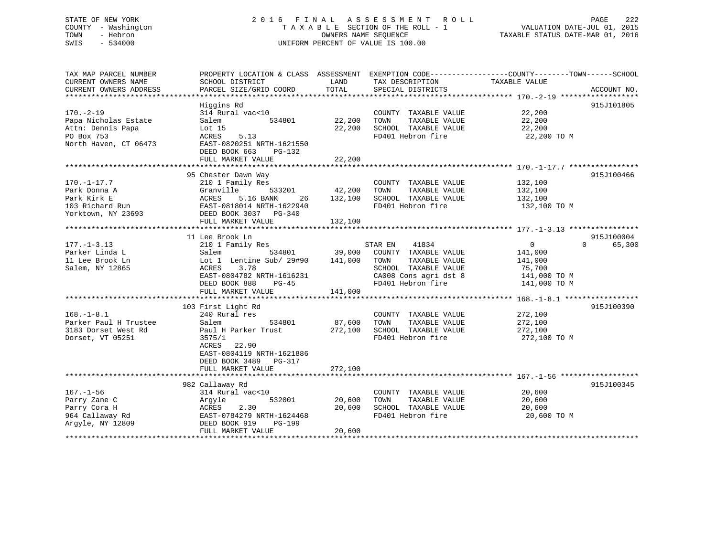# STATE OF NEW YORK 2 0 1 6 F I N A L A S S E S S M E N T R O L L PAGE 222 COUNTY - Washington T A X A B L E SECTION OF THE ROLL - 1 VALUATION DATE-JUL 01, 2015 TOWN - Hebron OWNERS NAME SEQUENCE TAXABLE STATUS DATE-MAR 01, 2016 SWIS - 534000 UNIFORM PERCENT OF VALUE IS 100.00

| TOTAL<br>CURRENT OWNERS ADDRESS<br>PARCEL SIZE/GRID COORD<br>SPECIAL DISTRICTS                                                                                                                                                                                                                                                                                                                                                                                                       |                                                          | ACCOUNT NO.              |
|--------------------------------------------------------------------------------------------------------------------------------------------------------------------------------------------------------------------------------------------------------------------------------------------------------------------------------------------------------------------------------------------------------------------------------------------------------------------------------------|----------------------------------------------------------|--------------------------|
| Higgins Rd<br>$170. - 2 - 19$<br>314 Rural vac<10<br>COUNTY TAXABLE VALUE<br>Papa Nicholas Estate<br>534801<br>22,200<br>TAXABLE VALUE<br>Salem<br>TOWN<br>Attn: Dennis Papa<br>Lot 15<br>22,200<br>SCHOOL TAXABLE VALUE<br>PO Box 753<br>5.13<br>FD401 Hebron fire<br>ACRES<br>North Haven, CT 06473<br>EAST-0820251 NRTH-1621550<br>DEED BOOK 663<br>PG-132<br>22,200<br>FULL MARKET VALUE<br>95 Chester Dawn Way<br>$170. - 1 - 17.7$<br>210 1 Family Res<br>COUNTY TAXABLE VALUE | 22,200<br>22,200<br>22,200<br>22,200 TO M<br>132,100     | 915J101805<br>915J100466 |
| Park Donna A<br>Granville<br>533201<br>42,200<br>TOWN<br>TAXABLE VALUE<br>Park Kirk E<br>ACRES<br>5.16 BANK<br>26<br>132,100<br>SCHOOL TAXABLE VALUE<br>EAST-0818014 NRTH-1622940<br>FD401 Hebron fire<br>103 Richard Run<br>Yorktown, NY 23693<br>DEED BOOK 3037 PG-340<br>FULL MARKET VALUE<br>132,100                                                                                                                                                                             | 132,100<br>132,100<br>132,100 TO M                       |                          |
| 11 Lee Brook Ln                                                                                                                                                                                                                                                                                                                                                                                                                                                                      |                                                          | 915J100004               |
| STAR EN<br>41834<br>$177. - 1 - 3.13$<br>210 1 Family Res<br>39,000<br>Parker Linda L<br>Salem<br>534801<br>COUNTY TAXABLE VALUE<br>Lot 1 Lentine Sub/ 29#90 141,000<br>11 Lee Brook Ln<br>TOWN<br>TAXABLE VALUE<br>Salem, NY 12865<br>ACRES<br>3.78<br>SCHOOL TAXABLE VALUE<br>CA008 Cons agri dst 8 141,000 TO M<br>EAST-0804782 NRTH-1616231<br>DEED BOOK 888<br>FD401 Hebron fire<br>PG-45<br>141,000<br>FULL MARKET VALUE                                                       | $\Omega$<br>141,000<br>141,000<br>75,700<br>141,000 TO M | 65,300<br>$\Omega$       |
| 103 First Light Rd<br>$168. - 1 - 8.1$<br>240 Rural res<br>COUNTY TAXABLE VALUE<br>Parker Paul H Trustee<br>534801<br>87,600<br>TAXABLE VALUE<br>Salem<br>TOWN<br>272,100<br>SCHOOL TAXABLE VALUE<br>3183 Dorset West Rd<br>Paul H Parker Trust<br>FD401 Hebron fire<br>Dorset, VT 05251<br>3575/1<br>ACRES<br>22.90<br>EAST-0804119 NRTH-1621886<br>DEED BOOK 3489 PG-317<br>272,100<br>FULL MARKET VALUE                                                                           | 272,100<br>272,100<br>272,100<br>272,100 TO M            | 915J100390               |
|                                                                                                                                                                                                                                                                                                                                                                                                                                                                                      |                                                          |                          |
| 982 Callaway Rd<br>$167. - 1 - 56$<br>314 Rural vac<10<br>COUNTY TAXABLE VALUE<br>Parry Zane C<br>532001<br>20,600<br>TOWN<br>TAXABLE VALUE<br>Argyle<br>20,600<br>Parry Cora H<br>ACRES<br>2.30<br>SCHOOL TAXABLE VALUE<br>964 Callaway Rd<br>EAST-0784279 NRTH-1624468<br>FD401 Hebron fire<br>Argyle, NY 12809<br>DEED BOOK 919<br>PG-199<br>20,600<br>FULL MARKET VALUE                                                                                                          | 20,600<br>20,600<br>20,600<br>20,600 TO M                | 915J100345               |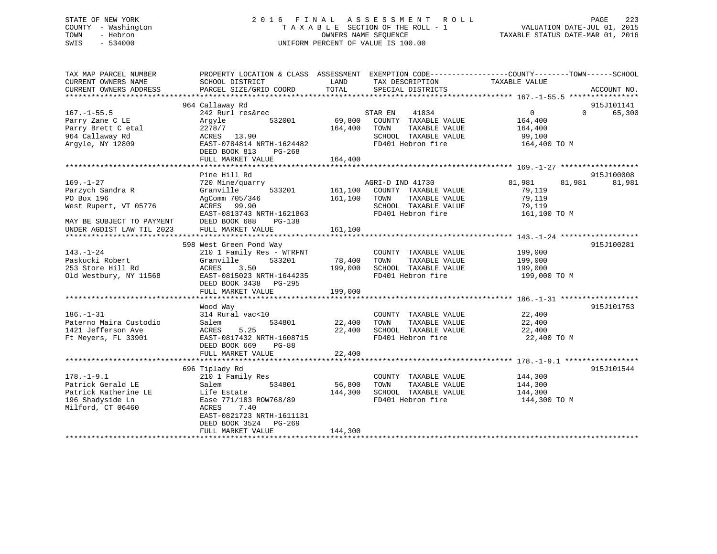# STATE OF NEW YORK 2 0 1 6 F I N A L A S S E S S M E N T R O L L PAGE 223 COUNTY - Washington T A X A B L E SECTION OF THE ROLL - 1 VALUATION DATE-JUL 01, 2015 TOWN - Hebron OWNERS NAME SEQUENCE TAXABLE STATUS DATE-MAR 01, 2016 SWIS - 534000 UNIFORM PERCENT OF VALUE IS 100.00

| TAX MAP PARCEL NUMBER<br>CURRENT OWNERS NAME<br>CURRENT OWNERS ADDRESS | PROPERTY LOCATION & CLASS ASSESSMENT<br>SCHOOL DISTRICT<br>PARCEL SIZE/GRID COORD | LAND<br>TOTAL | TAX DESCRIPTION<br>SPECIAL DISTRICTS | EXEMPTION CODE-----------------COUNTY-------TOWN------SCHOOL<br>TAXABLE VALUE | ACCOUNT NO. |
|------------------------------------------------------------------------|-----------------------------------------------------------------------------------|---------------|--------------------------------------|-------------------------------------------------------------------------------|-------------|
|                                                                        |                                                                                   |               |                                      |                                                                               |             |
|                                                                        | 964 Callaway Rd                                                                   |               |                                      |                                                                               | 915J101141  |
| $167. - 1 - 55.5$                                                      | 242 Rurl res&rec                                                                  |               | STAR EN<br>41834                     | $0 \qquad \qquad$<br>$\Omega$                                                 | 65,300      |
| Parry Zane C LE                                                        | 532001<br>Argyle                                                                  | 69,800        | COUNTY TAXABLE VALUE                 | 164,400                                                                       |             |
| Parry Brett C etal                                                     | 2278/7                                                                            | 164,400       | TOWN<br>TAXABLE VALUE                | 164,400                                                                       |             |
| 964 Callaway Rd                                                        | ACRES 13.90                                                                       |               | SCHOOL TAXABLE VALUE                 | 99,100                                                                        |             |
| Argyle, NY 12809                                                       | EAST-0784814 NRTH-1624482                                                         |               | FD401 Hebron fire                    | 164,400 TO M                                                                  |             |
|                                                                        | DEED BOOK 813<br>PG-268                                                           |               |                                      |                                                                               |             |
|                                                                        | FULL MARKET VALUE                                                                 | 164,400       |                                      |                                                                               |             |
|                                                                        |                                                                                   |               |                                      |                                                                               |             |
|                                                                        | Pine Hill Rd                                                                      |               |                                      |                                                                               | 915J100008  |
| $169. - 1 - 27$                                                        | 720 Mine/quarry                                                                   |               | AGRI-D IND 41730                     | 81,981<br>81,981                                                              | 81,981      |
| Parzych Sandra R                                                       | 533201<br>Granville                                                               | 161,100       | COUNTY TAXABLE VALUE                 | 79,119                                                                        |             |
| PO Box 196                                                             | AgComm 705/346                                                                    | 161,100       | TOWN<br>TAXABLE VALUE                | 79,119                                                                        |             |
| West Rupert, VT 05776                                                  | ACRES 99.90                                                                       |               | SCHOOL TAXABLE VALUE                 | 79,119                                                                        |             |
|                                                                        | EAST-0813743 NRTH-1621863                                                         |               | FD401 Hebron fire                    | 161,100 TO M                                                                  |             |
| MAY BE SUBJECT TO PAYMENT                                              | DEED BOOK 688<br>PG-138                                                           |               |                                      |                                                                               |             |
| UNDER AGDIST LAW TIL 2023                                              | FULL MARKET VALUE                                                                 | 161,100       |                                      |                                                                               |             |
|                                                                        |                                                                                   |               |                                      |                                                                               |             |
|                                                                        | 598 West Green Pond Way                                                           |               |                                      |                                                                               | 915J100281  |
| $143. - 1 - 24$                                                        | 210 1 Family Res - WTRFNT                                                         |               | COUNTY TAXABLE VALUE                 | 199,000                                                                       |             |
| Paskucki Robert                                                        | Granville<br>533201                                                               | 78,400        | TAXABLE VALUE<br>TOWN                | 199,000                                                                       |             |
| 253 Store Hill Rd                                                      | 3.50<br>ACRES                                                                     | 199,000       | SCHOOL TAXABLE VALUE                 | 199,000                                                                       |             |
| Old Westbury, NY 11568                                                 | EAST-0815023 NRTH-1644235                                                         |               | FD401 Hebron fire                    | 199,000 TO M                                                                  |             |
|                                                                        | DEED BOOK 3438 PG-295                                                             |               |                                      |                                                                               |             |
|                                                                        | FULL MARKET VALUE                                                                 | 199,000       |                                      |                                                                               |             |
|                                                                        |                                                                                   |               |                                      |                                                                               |             |
|                                                                        |                                                                                   |               |                                      |                                                                               | 915J101753  |
| $186. - 1 - 31$                                                        | Wood Way<br>314 Rural vac<10                                                      |               |                                      | 22,400                                                                        |             |
|                                                                        |                                                                                   |               | COUNTY TAXABLE VALUE                 |                                                                               |             |
| Paterno Maira Custodio                                                 | 534801<br>Salem                                                                   | 22,400        | TAXABLE VALUE<br>TOWN                | 22,400                                                                        |             |
| 1421 Jefferson Ave                                                     | 5.25<br>ACRES                                                                     | 22,400        | SCHOOL TAXABLE VALUE                 | 22,400                                                                        |             |
| Ft Meyers, FL 33901                                                    | EAST-0817432 NRTH-1608715                                                         |               | FD401 Hebron fire                    | 22,400 TO M                                                                   |             |
|                                                                        | DEED BOOK 669<br>PG-88                                                            |               |                                      |                                                                               |             |
|                                                                        | FULL MARKET VALUE                                                                 | 22,400        |                                      |                                                                               |             |
|                                                                        |                                                                                   |               |                                      |                                                                               |             |
|                                                                        | 696 Tiplady Rd                                                                    |               |                                      |                                                                               | 915J101544  |
| $178. - 1 - 9.1$                                                       | 210 1 Family Res                                                                  |               | COUNTY TAXABLE VALUE                 | 144,300                                                                       |             |
| Patrick Gerald LE                                                      | 534801<br>Salem                                                                   | 56,800        | TAXABLE VALUE<br>TOWN                | 144,300                                                                       |             |
| Patrick Katherine LE                                                   | Life Estate                                                                       | 144,300       | SCHOOL TAXABLE VALUE                 | 144,300                                                                       |             |
| 196 Shadyside Ln                                                       | Ease 771/183 ROW768/89                                                            |               | FD401 Hebron fire                    | 144,300 TO M                                                                  |             |
| Milford, CT 06460                                                      | ACRES<br>7.40                                                                     |               |                                      |                                                                               |             |
|                                                                        | EAST-0821723 NRTH-1611131                                                         |               |                                      |                                                                               |             |
|                                                                        | DEED BOOK 3524 PG-269                                                             |               |                                      |                                                                               |             |
|                                                                        | FULL MARKET VALUE                                                                 | 144,300       |                                      |                                                                               |             |
|                                                                        |                                                                                   |               |                                      |                                                                               |             |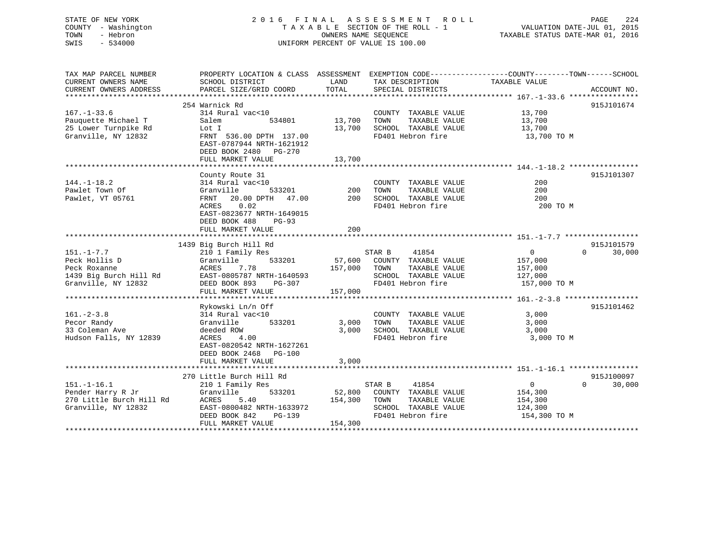# STATE OF NEW YORK 2 0 1 6 F I N A L A S S E S S M E N T R O L L PAGE 224 COUNTY - Washington T A X A B L E SECTION OF THE ROLL - 1 VALUATION DATE-JUL 01, 2015 TOWN - Hebron OWNERS NAME SEQUENCE TAXABLE STATUS DATE-MAR 01, 2016 SWIS - 534000 UNIFORM PERCENT OF VALUE IS 100.00

| TAX MAP PARCEL NUMBER                         | PROPERTY LOCATION & CLASS ASSESSMENT EXEMPTION CODE---------------COUNTY-------TOWN-----SCHOOL |               |                                         |                |                                  |
|-----------------------------------------------|------------------------------------------------------------------------------------------------|---------------|-----------------------------------------|----------------|----------------------------------|
| CURRENT OWNERS NAME<br>CURRENT OWNERS ADDRESS | SCHOOL DISTRICT<br>PARCEL SIZE/GRID COORD                                                      | LAND<br>TOTAL | TAX DESCRIPTION<br>SPECIAL DISTRICTS    | TAXABLE VALUE  | ACCOUNT NO.                      |
|                                               |                                                                                                |               |                                         |                |                                  |
|                                               | 254 Warnick Rd                                                                                 |               |                                         |                | 915J101674                       |
| $167. - 1 - 33.6$                             | 314 Rural vac<10                                                                               |               | COUNTY TAXABLE VALUE                    | 13,700         |                                  |
| Pauquette Michael T                           | 534801<br>Salem                                                                                | 13,700        | TOWN<br>TAXABLE VALUE                   | 13,700         |                                  |
| 25 Lower Turnpike Rd                          | Lot I                                                                                          |               | 13,700 SCHOOL TAXABLE VALUE             | 13,700         |                                  |
| Granville, NY 12832                           | FRNT 536.00 DPTH 137.00                                                                        |               | FD401 Hebron fire                       | 13,700 TO M    |                                  |
|                                               | EAST-0787944 NRTH-1621912                                                                      |               |                                         |                |                                  |
|                                               | DEED BOOK 2480 PG-270                                                                          |               |                                         |                |                                  |
|                                               | FULL MARKET VALUE                                                                              | 13,700        |                                         |                |                                  |
|                                               |                                                                                                |               |                                         |                |                                  |
|                                               | County Route 31                                                                                |               |                                         |                | 915J101307                       |
| $144. - 1 - 18.2$                             | 314 Rural vac<10                                                                               |               | COUNTY TAXABLE VALUE                    | 200            |                                  |
| Pawlet Town Of                                | 533201<br>Granville                                                                            | 200           | TOWN<br>TAXABLE VALUE                   | 200            |                                  |
| Pawlet, VT 05761                              | 20.00 DPTH 47.00<br>FRNT                                                                       |               | 200 SCHOOL TAXABLE VALUE                | 200            |                                  |
|                                               | 0.02<br>ACRES                                                                                  |               | FD401 Hebron fire                       | 200 TO M       |                                  |
|                                               | EAST-0823677 NRTH-1649015                                                                      |               |                                         |                |                                  |
|                                               | DEED BOOK 488<br>PG-93                                                                         |               |                                         |                |                                  |
|                                               | FULL MARKET VALUE                                                                              | 200           |                                         |                |                                  |
|                                               |                                                                                                |               |                                         |                |                                  |
|                                               | 1439 Big Burch Hill Rd                                                                         |               |                                         | $\overline{0}$ | 915J101579<br>30,000<br>$\Omega$ |
| $151. - 1 - 7.7$<br>Peck Hollis D             | 210 1 Family Res<br>533201<br>Granville                                                        | 57,600        | STAR B<br>41854<br>COUNTY TAXABLE VALUE | 157,000        |                                  |
| Peck Roxanne                                  | ACRES<br>7.78                                                                                  | 157,000       | TAXABLE VALUE<br>TOWN                   | 157,000        |                                  |
| 1439 Big Burch Hill Rd                        | EAST-0805787 NRTH-1640593                                                                      |               | SCHOOL TAXABLE VALUE                    | 127,000        |                                  |
| Granville, NY 12832                           | DEED BOOK 893<br>PG-307                                                                        |               | FD401 Hebron fire                       | 157,000 TO M   |                                  |
|                                               | FULL MARKET VALUE                                                                              | 157,000       |                                         |                |                                  |
|                                               |                                                                                                |               |                                         |                |                                  |
|                                               | Rykowski Ln/n Off                                                                              |               |                                         |                | 915J101462                       |
| $161 - 2 - 3.8$                               | 314 Rural vac<10                                                                               |               | COUNTY TAXABLE VALUE                    | 3,000          |                                  |
| Pecor Randy                                   | Granville<br>533201                                                                            | 3,000         | TOWN<br>TAXABLE VALUE                   | 3,000          |                                  |
| 33 Coleman Ave                                | deeded ROW                                                                                     |               | 3,000 SCHOOL TAXABLE VALUE              | 3,000          |                                  |
| Hudson Falls, NY 12839                        | 4.00<br>ACRES                                                                                  |               | FD401 Hebron fire                       | 3,000 TO M     |                                  |
|                                               | EAST-0820542 NRTH-1627261                                                                      |               |                                         |                |                                  |
|                                               | DEED BOOK 2468 PG-100                                                                          |               |                                         |                |                                  |
|                                               | FULL MARKET VALUE                                                                              | 3,000         |                                         |                |                                  |
|                                               |                                                                                                |               |                                         |                |                                  |
|                                               | 270 Little Burch Hill Rd                                                                       |               |                                         |                | 915J100097                       |
| $151. - 1 - 16.1$                             | 210 1 Family Res                                                                               |               | STAR B<br>41854                         | $\overline{0}$ | $\Omega$<br>30,000               |
| Pender Harry R Jr                             | Granville<br>533201                                                                            |               | 52,800 COUNTY TAXABLE VALUE             | 154,300        |                                  |
| 270 Little Burch Hill Rd                      | ACRES<br>5.40                                                                                  | 154,300       | TOWN<br>TAXABLE VALUE                   | 154,300        |                                  |
| Granville, NY 12832                           | EAST-0800482 NRTH-1633972                                                                      |               | SCHOOL TAXABLE VALUE                    | 124,300        |                                  |
|                                               | DEED BOOK 842<br>PG-139                                                                        |               | FD401 Hebron fire                       | 154,300 TO M   |                                  |
|                                               | FULL MARKET VALUE                                                                              | 154,300       |                                         |                |                                  |
|                                               |                                                                                                |               |                                         |                |                                  |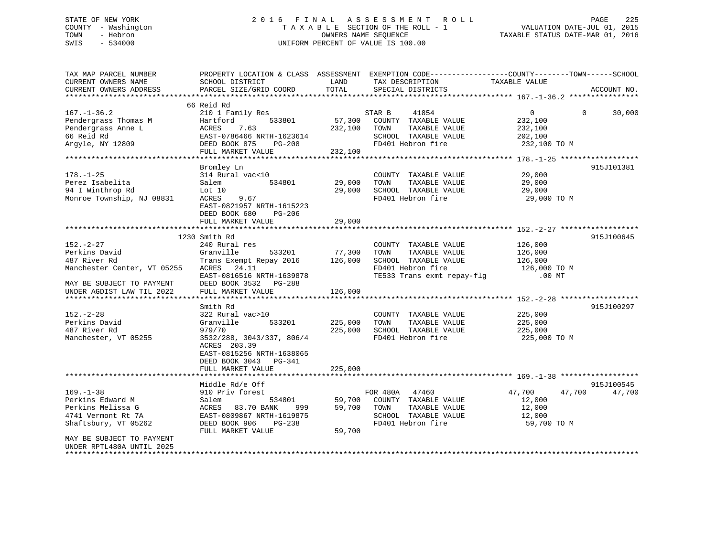# STATE OF NEW YORK 2 0 1 6 F I N A L A S S E S S M E N T R O L L PAGE 225 COUNTY - Washington T A X A B L E SECTION OF THE ROLL - 1 VALUATION DATE-JUL 01, 2015 TOWN - Hebron OWNERS NAME SEQUENCE TAXABLE STATUS DATE-MAR 01, 2016 SWIS - 534000 UNIFORM PERCENT OF VALUE IS 100.00

| TAX MAP PARCEL NUMBER<br>CURRENT OWNERS NAME<br>CURRENT OWNERS ADDRESS                                                              | PROPERTY LOCATION & CLASS ASSESSMENT EXEMPTION CODE----------------COUNTY-------TOWN------SCHOOL<br>SCHOOL DISTRICT<br>PARCEL SIZE/GRID COORD        | LAND<br>TOTAL                | TAX DESCRIPTION<br>SPECIAL DISTRICTS                                                                                     | TAXABLE VALUE                                                               | ACCOUNT NO. |
|-------------------------------------------------------------------------------------------------------------------------------------|------------------------------------------------------------------------------------------------------------------------------------------------------|------------------------------|--------------------------------------------------------------------------------------------------------------------------|-----------------------------------------------------------------------------|-------------|
|                                                                                                                                     |                                                                                                                                                      |                              |                                                                                                                          |                                                                             |             |
| $167. - 1 - 36.2$<br>Pendergrass Thomas M<br>Pendergrass Anne L<br>66 Reid Rd<br>Argyle, NY 12809                                   | 66 Reid Rd<br>210 1 Family Res<br>533801<br>Hartford<br>7.63<br>ACRES<br>EAST-0786466 NRTH-1623614<br>DEED BOOK 875<br>PG-208<br>FULL MARKET VALUE   | 57,300<br>232,100<br>232,100 | 41854<br>STAR B<br>COUNTY TAXABLE VALUE<br>TOWN<br>TAXABLE VALUE<br>SCHOOL TAXABLE VALUE<br>FD401 Hebron fire            | $\overline{0}$<br>$\Omega$<br>232,100<br>232,100<br>202,100<br>232,100 TO M | 30,000      |
|                                                                                                                                     |                                                                                                                                                      |                              |                                                                                                                          |                                                                             |             |
| $178. - 1 - 25$<br>Perez Isabelita<br>94 I Winthrop Rd<br>Monroe Township, NJ 08831                                                 | Bromley Ln<br>314 Rural vac<10<br>534801<br>Salem<br>Lot 10<br>ACRES<br>9.67<br>EAST-0821957 NRTH-1615223<br>DEED BOOK 680<br>PG-206                 | 29,000<br>29,000             | COUNTY TAXABLE VALUE<br>TOWN<br>TAXABLE VALUE<br>SCHOOL TAXABLE VALUE<br>FD401 Hebron fire                               | 29,000<br>29,000<br>29,000<br>29,000 TO M                                   | 915J101381  |
|                                                                                                                                     | FULL MARKET VALUE                                                                                                                                    | 29,000                       |                                                                                                                          |                                                                             |             |
|                                                                                                                                     | 1230 Smith Rd                                                                                                                                        |                              |                                                                                                                          |                                                                             | 915J100645  |
| $152. - 2 - 27$<br>Perkins David<br>487 River Rd<br>Manchester Center, VT 05255<br>MAY BE SUBJECT TO PAYMENT                        | 240 Rural res<br>Granville<br>533201<br>Trans Exempt Repay 2016<br>ACRES 24.11<br>EAST-0816516 NRTH-1639878<br>DEED BOOK 3532 PG-288                 | 77,300<br>126,000            | COUNTY TAXABLE VALUE<br>TOWN<br>TAXABLE VALUE<br>SCHOOL TAXABLE VALUE<br>FD401 Hebron fire<br>TE533 Trans exmt repay-flg | 126,000<br>126,000<br>126,000<br>126,000 TO M<br>$.00$ MT                   |             |
| UNDER AGDIST LAW TIL 2022                                                                                                           | FULL MARKET VALUE                                                                                                                                    | 126,000                      |                                                                                                                          |                                                                             |             |
|                                                                                                                                     | Smith Rd                                                                                                                                             |                              |                                                                                                                          |                                                                             | 915J100297  |
| $152. - 2 - 28$<br>Perkins David<br>487 River Rd<br>Manchester, VT 05255                                                            | 322 Rural vac>10<br>Granville<br>533201<br>979/70<br>3532/288, 3043/337, 806/4<br>ACRES 203.39<br>EAST-0815256 NRTH-1638065<br>DEED BOOK 3043 PG-341 | 225,000<br>225,000           | COUNTY TAXABLE VALUE<br>TAXABLE VALUE<br>TOWN<br>SCHOOL TAXABLE VALUE<br>FD401 Hebron fire                               | 225,000<br>225,000<br>225,000<br>225,000 TO M                               |             |
|                                                                                                                                     | FULL MARKET VALUE                                                                                                                                    | 225,000                      |                                                                                                                          |                                                                             |             |
|                                                                                                                                     | Middle Rd/e Off                                                                                                                                      |                              |                                                                                                                          |                                                                             | 915J100545  |
| $169. - 1 - 38$<br>Perkins Edward M<br>Perkins Melissa G<br>4741 Vermont Rt 7A<br>Shaftsbury, VT 05262<br>MAY BE SUBJECT TO PAYMENT | 910 Priv forest<br>534801<br>Salem<br>83.70 BANK<br>ACRES<br>999<br>EAST-0809867 NRTH-1619875<br>DEED BOOK 906<br>PG-238<br>FULL MARKET VALUE        | 59,700<br>59,700<br>59,700   | FOR 480A 47460<br>COUNTY TAXABLE VALUE<br>TOWN<br>TAXABLE VALUE<br>SCHOOL TAXABLE VALUE<br>FD401 Hebron fire             | 47,700<br>47,700<br>12,000<br>12,000<br>12,000<br>59,700 TO M               | 47,700      |
| UNDER RPTL480A UNTIL 2025                                                                                                           |                                                                                                                                                      |                              |                                                                                                                          |                                                                             |             |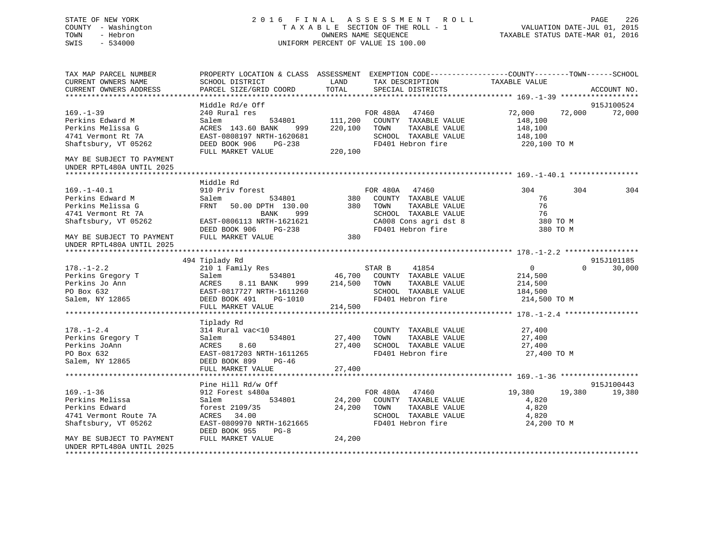# STATE OF NEW YORK 2 0 1 6 F I N A L A S S E S S M E N T R O L L PAGE 226 COUNTY - Washington T A X A B L E SECTION OF THE ROLL - 1 VALUATION DATE-JUL 01, 2015 TOWN - Hebron OWNERS NAME SEQUENCE TAXABLE STATUS DATE-MAR 01, 2016 SWIS - 534000 UNIFORM PERCENT OF VALUE IS 100.00

TAX MAP PARCEL NUMBER PROPERTY LOCATION & CLASS ASSESSMENT EXEMPTION CODE------------------COUNTY--------TOWN------SCHOOL

CURRENT OWNERS NAME SCHOOL DISTRICT THE LAND TAX DESCRIPTION TAXABLE VALUE CURRENT OWNERS ADDRESS PARCEL SIZE/GRID COORD TOTAL SPECIAL DISTRICTS ACCOUNT NO. \*\*\*\*\*\*\*\*\*\*\*\*\*\*\*\*\*\*\*\*\*\*\*\*\*\*\*\*\*\*\*\*\*\*\*\*\*\*\*\*\*\*\*\*\*\*\*\*\*\*\*\*\*\*\*\*\*\*\*\*\*\*\*\*\*\*\*\*\*\*\*\*\*\*\*\*\*\*\*\*\*\*\*\*\*\*\*\*\*\*\*\*\*\*\*\*\*\*\*\*\*\*\* 169.-1-39 \*\*\*\*\*\*\*\*\*\*\*\*\*\*\*\*\*\* Middle Rd/e Off 915J100524 169.-1-39 240 Rural res FOR 480A 47460 72,000 72,000 72,000 Perkins Edward M Salem 534801 111,200 COUNTY TAXABLE VALUE 148,100 Perkins Melissa G ACRES 143.60 BANK 999 220,100 TOWN TAXABLE VALUE 148,100 4741 Vermont Rt 7A EAST-0808197 NRTH-1620681 SCHOOL TAXABLE VALUE 148,100 Shaftsbury, VT 05262 DEED BOOK 906 PG-238 FD401 Hebron fire 220,100 TO M FULL MARKET VALUE 220,100 MAY BE SUBJECT TO PAYMENTUNDER RPTL480A UNTIL 2025 \*\*\*\*\*\*\*\*\*\*\*\*\*\*\*\*\*\*\*\*\*\*\*\*\*\*\*\*\*\*\*\*\*\*\*\*\*\*\*\*\*\*\*\*\*\*\*\*\*\*\*\*\*\*\*\*\*\*\*\*\*\*\*\*\*\*\*\*\*\*\*\*\*\*\*\*\*\*\*\*\*\*\*\*\*\*\*\*\*\*\*\*\*\*\*\*\*\*\*\*\*\*\* 169.-1-40.1 \*\*\*\*\*\*\*\*\*\*\*\*\*\*\*\* Middle Rd169.-1-40.1 910 Priv forest FOR 480A 47460 304 304 304Perkins Edward M 31 Salem 534801 380 COUNTY TAXABLE VALUE 76 Perkins Melissa G FRNT 50.00 DPTH 130.00 380 TOWN TAXABLE VALUE 764741 Vermont Rt 7A BANK 999 SCHOOL TAXABLE VALUE 76380 TO M Shaftsbury, VT 05262 EAST-0806113 NRTH-1621621 CA008 Cons agri dst 8 380 TO M DEED BOOK 906 PG-238 FD401 Hebron fire 380 TO MMAY BE SUBJECT TO PAYMENT FULL MARKET VALUE 380 UNDER RPTL480A UNTIL 2025 \*\*\*\*\*\*\*\*\*\*\*\*\*\*\*\*\*\*\*\*\*\*\*\*\*\*\*\*\*\*\*\*\*\*\*\*\*\*\*\*\*\*\*\*\*\*\*\*\*\*\*\*\*\*\*\*\*\*\*\*\*\*\*\*\*\*\*\*\*\*\*\*\*\*\*\*\*\*\*\*\*\*\*\*\*\*\*\*\*\*\*\*\*\*\*\*\*\*\*\*\*\*\* 178.-1-2.2 \*\*\*\*\*\*\*\*\*\*\*\*\*\*\*\*\* 494 Tiplady Rd 915J101185 178.-1-2.2 210 1 Family Res STAR B 41854 0 30,000 Perkins Gregory T Salem 534801 46,700 COUNTY TAXABLE VALUE 214,500 Perkins Jo Ann ACRES 8.11 BANK 999 214,500 TOWN TAXABLE VALUE 214,500 PO Box 632 EAST-0817727 NRTH-1611260 SCHOOL TAXABLE VALUE 184,500 Salem, NY 12865 DEED BOOK 491 PG-1010 FD401 Hebron fire 214,500 TO M DEED BOOK 491 PG-1010<br>FULL MARKET VALUE 214,500 \*\*\*\*\*\*\*\*\*\*\*\*\*\*\*\*\*\*\*\*\*\*\*\*\*\*\*\*\*\*\*\*\*\*\*\*\*\*\*\*\*\*\*\*\*\*\*\*\*\*\*\*\*\*\*\*\*\*\*\*\*\*\*\*\*\*\*\*\*\*\*\*\*\*\*\*\*\*\*\*\*\*\*\*\*\*\*\*\*\*\*\*\*\*\*\*\*\*\*\*\*\*\* 178.-1-2.4 \*\*\*\*\*\*\*\*\*\*\*\*\*\*\*\*\* Tiplady Rd 178.-1-2.4 314 Rural vac<10 COUNTY TAXABLE VALUE 27,400 Perkins Gregory T Salem 534801 27,400 TOWN TAXABLE VALUE 27,400 Perkins JoAnn ACRES 8.60 27,400 SCHOOL TAXABLE VALUE 27,400 PO Box 632 EAST-0817203 NRTH-1611265 FD401 Hebron fire 27,400 TO M Salem, NY 12865 DEED BOOK 899 PG-46 FULL MARKET VALUE 27,400 \*\*\*\*\*\*\*\*\*\*\*\*\*\*\*\*\*\*\*\*\*\*\*\*\*\*\*\*\*\*\*\*\*\*\*\*\*\*\*\*\*\*\*\*\*\*\*\*\*\*\*\*\*\*\*\*\*\*\*\*\*\*\*\*\*\*\*\*\*\*\*\*\*\*\*\*\*\*\*\*\*\*\*\*\*\*\*\*\*\*\*\*\*\*\*\*\*\*\*\*\*\*\* 169.-1-36 \*\*\*\*\*\*\*\*\*\*\*\*\*\*\*\*\*\* Pine Hill Rd/w Off 915J100443 169.-1-36 912 Forest s480a FOR 480A 47460 19,380 19,380 19,380 Perkins Melissa Salem 534801 24,200 COUNTY TAXABLE VALUE 4,820 Perkins Edward forest 2109/35 24,200 TOWN TAXABLE VALUE 4,820 4741 Vermont Route 7A ACRES 34.00 SCHOOL TAXABLE VALUE 4,820 Shaftsbury, VT 05262 EAST-0809970 NRTH-1621665 FD401 Hebron fire 24,200 TO M DEED BOOK 955 PG-8MAY BE SUBJECT TO PAYMENT FULL MARKET VALUE 24,200 UNDER RPTL480A UNTIL 2025\*\*\*\*\*\*\*\*\*\*\*\*\*\*\*\*\*\*\*\*\*\*\*\*\*\*\*\*\*\*\*\*\*\*\*\*\*\*\*\*\*\*\*\*\*\*\*\*\*\*\*\*\*\*\*\*\*\*\*\*\*\*\*\*\*\*\*\*\*\*\*\*\*\*\*\*\*\*\*\*\*\*\*\*\*\*\*\*\*\*\*\*\*\*\*\*\*\*\*\*\*\*\*\*\*\*\*\*\*\*\*\*\*\*\*\*\*\*\*\*\*\*\*\*\*\*\*\*\*\*\*\*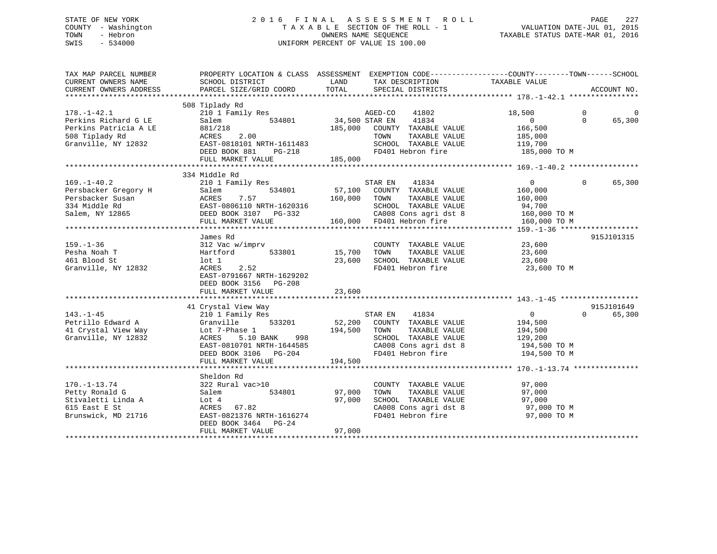# STATE OF NEW YORK 2 0 1 6 F I N A L A S S E S S M E N T R O L L PAGE 227 COUNTY - Washington T A X A B L E SECTION OF THE ROLL - 1 VALUATION DATE-JUL 01, 2015 TOWN - Hebron OWNERS NAME SEQUENCE TAXABLE STATUS DATE-MAR 01, 2016 SWIS - 534000 UNIFORM PERCENT OF VALUE IS 100.00

| TAX MAP PARCEL NUMBER  | PROPERTY LOCATION & CLASS ASSESSMENT EXEMPTION CODE----------------COUNTY-------TOWN------SCHOOL                   |                |                                            |                       |                      |
|------------------------|--------------------------------------------------------------------------------------------------------------------|----------------|--------------------------------------------|-----------------------|----------------------|
| CURRENT OWNERS NAME    | SCHOOL DISTRICT                                                                                                    | LAND           | TAX DESCRIPTION TAXABLE VALUE              |                       |                      |
| CURRENT OWNERS ADDRESS | PARCEL SIZE/GRID COORD                                                                                             | TOTAL          | SPECIAL DISTRICTS                          |                       | ACCOUNT NO.          |
|                        |                                                                                                                    |                |                                            |                       |                      |
|                        | 508 Tiplady Rd                                                                                                     |                |                                            |                       |                      |
| $178. - 1 - 42.1$      | 210 1 Family Res                                                                                                   |                | AGED-CO<br>41802                           | 18,500                | $\Omega$<br>$\Omega$ |
| Perkins Richard G LE   | Salem<br>534801                                                                                                    | 34,500 STAR EN | 41834                                      | $\overline{0}$        | $\Omega$<br>65,300   |
| Perkins Patricia A LE  | 881/218                                                                                                            |                | 185,000 COUNTY TAXABLE VALUE               | 166,500               |                      |
| 508 Tiplady Rd         | 2.00<br>ACRES                                                                                                      |                | TOWN<br>TAXABLE VALUE                      | 185,000               |                      |
| Granville, NY 12832    | $ACRES$ 2.00<br>EAST-0818101 NRTH-1611483                                                                          |                | SCHOOL TAXABLE VALUE 119,700               |                       |                      |
|                        | DEED BOOK 881<br>PG-218                                                                                            |                | FD401 Hebron fire                          | 185,000 TO M          |                      |
|                        | FULL MARKET VALUE                                                                                                  | 185,000        |                                            |                       |                      |
|                        |                                                                                                                    |                |                                            |                       |                      |
|                        | 334 Middle Rd                                                                                                      |                |                                            |                       |                      |
| $169. - 1 - 40.2$      | 210 1 Family Res                                                                                                   |                | STAR EN<br>41834                           | $\overline{0}$        | $\Omega$<br>65,300   |
|                        |                                                                                                                    |                |                                            |                       |                      |
| Persbacker Gregory H   |                                                                                                                    | 57,100         | COUNTY TAXABLE VALUE                       | 160,000               |                      |
| Persbacker Susan       |                                                                                                                    |                | TOWN<br>TAXABLE VALUE                      | 160,000               |                      |
| 334 Middle Rd          |                                                                                                                    |                | SCHOOL TAXABLE VALUE                       | 94,700                |                      |
| Salem, NY 12865        |                                                                                                                    |                | CA008 Cons agri dst 8 160,000 TO M         |                       |                      |
|                        | H Salem 534801<br>ACRES 7.57 160,000<br>EAST-0806110 NRTH-1620316<br>DEED BOOK 3107 PG-332<br>CLEVER VALUE 160,000 |                | 160,000 FD401 Hebron fire                  | 160,000 TO M          |                      |
|                        |                                                                                                                    |                |                                            |                       |                      |
|                        | James Rd                                                                                                           |                |                                            |                       | 915J101315           |
| $159. - 1 - 36$        | 312 Vac w/imprv                                                                                                    |                | COUNTY TAXABLE VALUE                       | 23,600                |                      |
| Pesha Noah T           | Hartford<br>533801                                                                                                 | 15,700         | TOWN<br>TAXABLE VALUE                      | 23,600                |                      |
| 461 Blood St           | lot 1                                                                                                              | 23,600         | SCHOOL TAXABLE VALUE                       | 23,600                |                      |
| Granville, NY 12832    | ACRES<br>2.52                                                                                                      |                | FD401 Hebron fire                          | 23,600 TO M           |                      |
|                        | EAST-0791667 NRTH-1629202                                                                                          |                |                                            |                       |                      |
|                        | DEED BOOK 3156 PG-208                                                                                              |                |                                            |                       |                      |
|                        |                                                                                                                    |                |                                            |                       |                      |
|                        | FULL MARKET VALUE                                                                                                  | 23,600         |                                            |                       |                      |
|                        |                                                                                                                    |                |                                            |                       |                      |
|                        | 41 Crystal View Way                                                                                                |                |                                            |                       | 915J101649           |
| $143. - 1 - 45$        | 210 1 Family Res                                                                                                   |                | STAR EN 41834                              | $\overline{0}$        | 65,300<br>$\Omega$   |
| Petrillo Edward A      | Granville                                                                                                          |                | 533201 52,200 COUNTY TAXABLE VALUE         | 194,500               |                      |
| 41 Crystal View Way    | Lot 7-Phase 1                                                                                                      | 194,500        | TAXABLE VALUE<br>TOWN                      | 194,500               |                      |
| Granville, NY 12832    | ACRES<br>5.10 BANK<br>998                                                                                          |                | SCHOOL TAXABLE VALUE                       | 129,200               |                      |
|                        | EAST-0810701 NRTH-1644585                                                                                          |                | CA008 Cons agri dst 8<br>ED101 Hebron fire | 194,500 TO M          |                      |
|                        | DEED BOOK 3106 PG-204                                                                                              |                | FD401 Hebron fire                          | 194,500 TO M          |                      |
|                        | FULL MARKET VALUE                                                                                                  | 194,500        |                                            |                       |                      |
|                        |                                                                                                                    |                |                                            |                       |                      |
|                        | Sheldon Rd                                                                                                         |                |                                            |                       |                      |
| $170. - 1 - 13.74$     | 322 Rural vac>10                                                                                                   |                | COUNTY TAXABLE VALUE                       | 97,000                |                      |
| Petty Ronald G         | 534801<br>Salem                                                                                                    | 97,000         | TAXABLE VALUE<br>TOWN                      | 97,000                |                      |
|                        |                                                                                                                    |                |                                            |                       |                      |
| Stivaletti Linda A     | Lot 4                                                                                                              | 97,000         | SCHOOL TAXABLE VALUE                       | 97,000<br>97,000 TO M |                      |
| 615 East E St          | ACRES 67.82                                                                                                        |                | CA008 Cons agri dst 8                      |                       |                      |
| Brunswick, MD 21716    | EAST-0821376 NRTH-1616274                                                                                          |                | FD401 Hebron fire                          | 97,000 TO M           |                      |
|                        | DEED BOOK 3464 PG-24                                                                                               |                |                                            |                       |                      |
|                        | FULL MARKET VALUE                                                                                                  | 97,000         |                                            |                       |                      |
|                        |                                                                                                                    |                |                                            |                       |                      |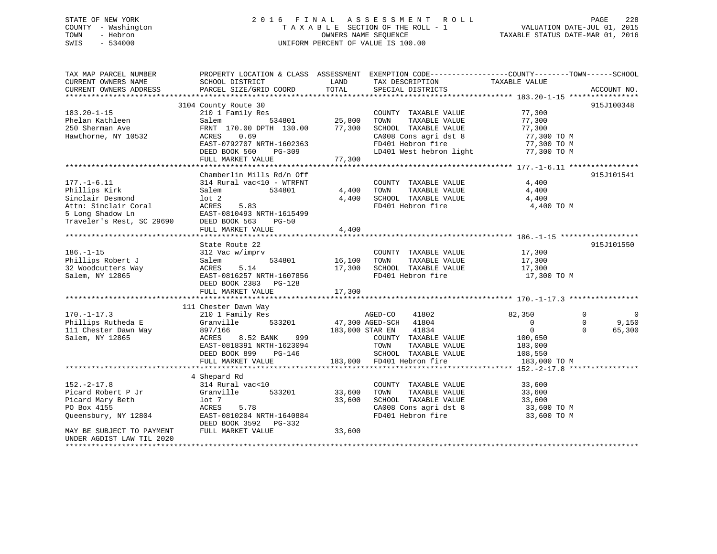# STATE OF NEW YORK 2 0 1 6 F I N A L A S S E S S M E N T R O L L PAGE 228 COUNTY - Washington T A X A B L E SECTION OF THE ROLL - 1 VALUATION DATE-JUL 01, 2015 TOWN - Hebron OWNERS NAME SEQUENCE TAXABLE STATUS DATE-MAR 01, 2016 SWIS - 534000 UNIFORM PERCENT OF VALUE IS 100.00

| TAX MAP PARCEL NUMBER<br>CURRENT OWNERS NAME | SCHOOL DISTRICT                              | LAND   | PROPERTY LOCATION & CLASS ASSESSMENT EXEMPTION CODE----------------COUNTY-------TOWN------SCHOOL<br>TAX DESCRIPTION | TAXABLE VALUE  |              |             |
|----------------------------------------------|----------------------------------------------|--------|---------------------------------------------------------------------------------------------------------------------|----------------|--------------|-------------|
| CURRENT OWNERS ADDRESS                       | PARCEL SIZE/GRID COORD                       | TOTAL  | SPECIAL DISTRICTS                                                                                                   |                |              | ACCOUNT NO. |
|                                              | 3104 County Route 30                         |        |                                                                                                                     |                |              | 915J100348  |
| $183.20 - 1 - 15$                            | 210 1 Family Res                             |        | COUNTY TAXABLE VALUE                                                                                                | 77,300         |              |             |
| Phelan Kathleen                              | 534801<br>Salem                              | 25,800 | TOWN<br>TAXABLE VALUE                                                                                               | 77,300         |              |             |
| 250 Sherman Ave                              | FRNT 170.00 DPTH 130.00                      | 77,300 | SCHOOL TAXABLE VALUE                                                                                                | 77,300         |              |             |
| Hawthorne, NY 10532                          | 0.69<br>ACRES                                |        | CA008 Cons agri dst 8                                                                                               | 77,300 TO M    |              |             |
|                                              | EAST-0792707 NRTH-1602363                    |        | FD401 Hebron fire                                                                                                   | 77,300 TO M    |              |             |
|                                              | DEED BOOK 560<br>PG-309<br>FULL MARKET VALUE | 77,300 | LD401 West hebron light                                                                                             | 77,300 TO M    |              |             |
|                                              |                                              |        |                                                                                                                     |                |              |             |
|                                              | Chamberlin Mills Rd/n Off                    |        |                                                                                                                     |                |              | 915J101541  |
| $177. - 1 - 6.11$                            | 314 Rural vac<10 - WTRFNT                    |        | COUNTY TAXABLE VALUE                                                                                                | 4,400          |              |             |
| Phillips Kirk                                | Salem<br>534801                              |        | 4,400 TOWN<br>TAXABLE VALUE                                                                                         | 4,400          |              |             |
| Sinclair Desmond                             | lot 2                                        |        | 4,400 SCHOOL TAXABLE VALUE                                                                                          | 4,400          |              |             |
| Attn: Sinclair Coral                         | 5.83<br>ACRES                                |        | FD401 Hebron fire                                                                                                   | 4,400 TO M     |              |             |
| 5 Long Shadow Ln                             | EAST-0810493 NRTH-1615499                    |        |                                                                                                                     |                |              |             |
| Traveler's Rest, SC 29690                    | DEED BOOK 563<br>PG-50                       |        |                                                                                                                     |                |              |             |
|                                              | FULL MARKET VALUE                            | 4,400  |                                                                                                                     |                |              |             |
|                                              |                                              |        |                                                                                                                     |                |              |             |
|                                              | State Route 22                               |        |                                                                                                                     |                |              | 915J101550  |
| $186. - 1 - 15$                              | 312 Vac w/imprv                              |        | COUNTY TAXABLE VALUE                                                                                                | 17,300         |              |             |
| Phillips Robert J                            | 534801<br>Salem                              | 16,100 | TOWN<br>TAXABLE VALUE                                                                                               | 17,300         |              |             |
| 32 Woodcutters Way                           | ACRES<br>5.14                                | 17,300 | SCHOOL TAXABLE VALUE                                                                                                | 17,300         |              |             |
| Salem, NY 12865                              | EAST-0816257 NRTH-1607856                    |        | FD401 Hebron fire                                                                                                   | 17,300 TO M    |              |             |
|                                              | DEED BOOK 2383<br>$PG-128$                   |        |                                                                                                                     |                |              |             |
|                                              | FULL MARKET VALUE                            | 17,300 |                                                                                                                     |                |              |             |
|                                              |                                              |        |                                                                                                                     |                |              |             |
|                                              | 111 Chester Dawn Way                         |        |                                                                                                                     |                |              |             |
| $170. - 1 - 17.3$                            | 210 1 Family Res                             |        | AGED-CO<br>41802                                                                                                    | 82,350         | $\Omega$     | 0           |
| Phillips Rutheda E                           | Granville 533201                             |        | 47,300 AGED-SCH<br>41804                                                                                            | $\overline{0}$ | $\mathbf{0}$ | 9,150       |
| 111 Chester Dawn Way                         | 897/166                                      |        | 183,000 STAR EN<br>41834                                                                                            | $\mathbf{0}$   | $\Omega$     | 65,300      |
| Salem, NY 12865                              | ACRES<br>8.52 BANK<br>999                    |        | COUNTY TAXABLE VALUE                                                                                                | 100,650        |              |             |
|                                              | EAST-0818391 NRTH-1623094                    |        | TOWN<br>TAXABLE VALUE                                                                                               | 183,000        |              |             |
|                                              | DEED BOOK 899<br>PG-146                      |        | SCHOOL TAXABLE VALUE                                                                                                | 108,550        |              |             |
|                                              | FULL MARKET VALUE                            |        | 183,000 FD401 Hebron fire                                                                                           | 183,000 TO M   |              |             |
|                                              |                                              |        |                                                                                                                     |                |              |             |
|                                              | 4 Shepard Rd                                 |        |                                                                                                                     |                |              |             |
| $152. - 2 - 17.8$                            | 314 Rural vac<10                             |        | COUNTY TAXABLE VALUE                                                                                                | 33,600         |              |             |
| Picard Robert P Jr                           | 533201<br>Granville                          | 33,600 | TAXABLE VALUE<br>TOWN                                                                                               | 33,600         |              |             |
| Picard Mary Beth                             | lot 7                                        | 33,600 | SCHOOL TAXABLE VALUE                                                                                                | 33,600         |              |             |
| PO Box 4155                                  | <b>ACRES</b><br>5.78                         |        | CA008 Cons agri dst 8                                                                                               | 33,600 TO M    |              |             |
| Queensbury, NY 12804                         | EAST-0810204 NRTH-1640884                    |        | FD401 Hebron fire                                                                                                   | 33,600 TO M    |              |             |
|                                              | DEED BOOK 3592 PG-332                        |        |                                                                                                                     |                |              |             |
| MAY BE SUBJECT TO PAYMENT                    | FULL MARKET VALUE                            | 33,600 |                                                                                                                     |                |              |             |
| UNDER AGDIST LAW TIL 2020                    |                                              |        |                                                                                                                     |                |              |             |
| *********************                        |                                              |        |                                                                                                                     |                |              |             |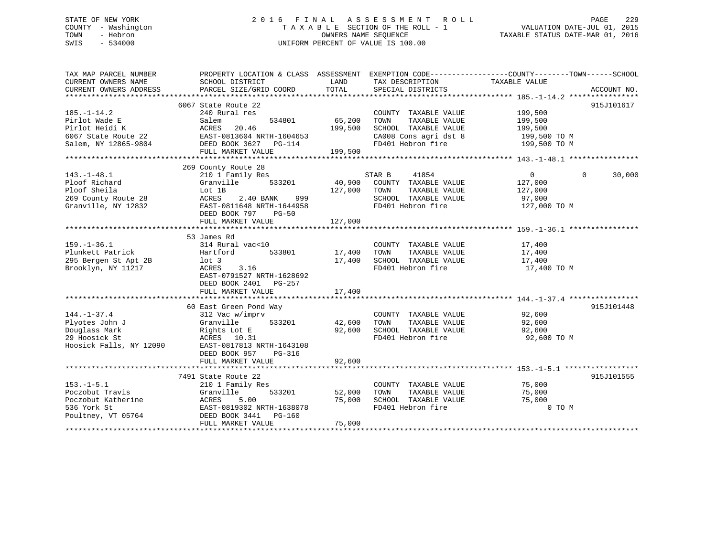# STATE OF NEW YORK 2 0 1 6 F I N A L A S S E S S M E N T R O L L PAGE 229 COUNTY - Washington T A X A B L E SECTION OF THE ROLL - 1 VALUATION DATE-JUL 01, 2015 TOWN - Hebron OWNERS NAME SEQUENCE TAXABLE STATUS DATE-MAR 01, 2016 SWIS - 534000 UNIFORM PERCENT OF VALUE IS 100.00

| TAX MAP PARCEL NUMBER | PROPERTY LOCATION & CLASS ASSESSMENT EXEMPTION CODE----------------COUNTY-------TOWN------SCHOOL                                                                                                                                                                                                                                                                                                                     |         |                                                                |                  |                    |
|-----------------------|----------------------------------------------------------------------------------------------------------------------------------------------------------------------------------------------------------------------------------------------------------------------------------------------------------------------------------------------------------------------------------------------------------------------|---------|----------------------------------------------------------------|------------------|--------------------|
|                       |                                                                                                                                                                                                                                                                                                                                                                                                                      |         |                                                                |                  |                    |
|                       |                                                                                                                                                                                                                                                                                                                                                                                                                      |         |                                                                |                  |                    |
|                       |                                                                                                                                                                                                                                                                                                                                                                                                                      |         |                                                                |                  |                    |
|                       | 6067 State Route 22                                                                                                                                                                                                                                                                                                                                                                                                  |         |                                                                |                  | 915J101617         |
| $185. - 1 - 14.2$     | 240 Rural res<br>ral res $534801$ $65,200$ TOWN                                                                                                                                                                                                                                                                                                                                                                      |         | COUNTY TAXABLE VALUE 199,500                                   |                  |                    |
|                       |                                                                                                                                                                                                                                                                                                                                                                                                                      |         |                                                                |                  |                    |
|                       |                                                                                                                                                                                                                                                                                                                                                                                                                      |         |                                                                |                  |                    |
|                       |                                                                                                                                                                                                                                                                                                                                                                                                                      |         |                                                                |                  |                    |
|                       |                                                                                                                                                                                                                                                                                                                                                                                                                      |         |                                                                |                  |                    |
|                       |                                                                                                                                                                                                                                                                                                                                                                                                                      |         |                                                                |                  |                    |
|                       |                                                                                                                                                                                                                                                                                                                                                                                                                      |         |                                                                |                  |                    |
|                       | Pirlot Wade E 31 Salem 534801 65,200 TOWN TAXABLE VALUE 199,500<br>Pirlot Heidi K ACRES 20.46 199,500 SCHOOL TAXABLE VALUE 199,500<br>Salem, NY 12865-9804 DEED BOOK 3627 PG-114 199,500<br>FULL MARKET VALUE 199,500 FON FD401 Hebr                                                                                                                                                                                 |         |                                                                |                  |                    |
|                       | 269 County Route 28                                                                                                                                                                                                                                                                                                                                                                                                  |         |                                                                |                  |                    |
|                       | 143.-1-48.1 210 1 Family Res<br>Ploof Richard Granville 533201 40,900 COUNTY TAXABLE VALUE 127,000<br>Ploof Sheila (127,000 IOU 127,000 IOUNTY TAXABLE VALUE 127,000<br>CO Country 11 127,000 IOUN TAXABLE VALUE 127,000                                                                                                                                                                                             |         |                                                                |                  | 30,000<br>$\Omega$ |
|                       |                                                                                                                                                                                                                                                                                                                                                                                                                      |         |                                                                |                  |                    |
|                       | Ploof Sheila<br>269 County Route 28 acres 2.40 BANK 999<br>327,000 TOWN TAXABLE VALUE<br>269 County Route 28 acres 2.40 BANK 999<br>327,000 TOWN TAXABLE VALUE<br>327,000 TOWN TAXABLE VALUE<br>327,000 TOWN TAXABLE VALUE<br>327,000 TOWN T                                                                                                                                                                         |         |                                                                |                  |                    |
|                       |                                                                                                                                                                                                                                                                                                                                                                                                                      |         | SCHOOL TAXABLE VALUE 97,000                                    |                  |                    |
|                       |                                                                                                                                                                                                                                                                                                                                                                                                                      |         |                                                                | 127,000 TO M     |                    |
|                       | DEED BOOK 797 PG-50                                                                                                                                                                                                                                                                                                                                                                                                  |         |                                                                |                  |                    |
|                       | FULL MARKET VALUE                                                                                                                                                                                                                                                                                                                                                                                                    | 127,000 |                                                                |                  |                    |
|                       |                                                                                                                                                                                                                                                                                                                                                                                                                      |         |                                                                |                  |                    |
|                       |                                                                                                                                                                                                                                                                                                                                                                                                                      |         |                                                                |                  |                    |
|                       | 53 James Rd                                                                                                                                                                                                                                                                                                                                                                                                          |         |                                                                |                  |                    |
|                       | $159. -1-36.1 \hspace{20pt} 17,400 \hspace{20pt} 134 \hspace{20pt} \text{Rural vac} < 10 \hspace{20pt} 17,400 \hspace{20pt} 100 \hspace{20pt} 174 \hspace{20pt} 189.$                                                                                                                                                                                                                                                |         |                                                                |                  |                    |
|                       |                                                                                                                                                                                                                                                                                                                                                                                                                      |         |                                                                |                  |                    |
|                       | 295 Bergen St Apt 2B<br>Brooklyn, NY 11217 ACRES 3.16<br>Exast-0791527 NRTH-1628692<br>EXAPPED 201 Hebron fire 17,400 TOM TAXABLE VALUE 17,400 TOM TAXABLE VALUE 17,400 TOM                                                                                                                                                                                                                                          |         |                                                                |                  |                    |
|                       |                                                                                                                                                                                                                                                                                                                                                                                                                      |         |                                                                |                  |                    |
|                       | EAST-0791527 NRTH-1628692                                                                                                                                                                                                                                                                                                                                                                                            |         |                                                                |                  |                    |
|                       | DEED BOOK 2401 PG-257                                                                                                                                                                                                                                                                                                                                                                                                |         |                                                                |                  |                    |
|                       | FULL MARKET VALUE                                                                                                                                                                                                                                                                                                                                                                                                    | 17.400  |                                                                |                  |                    |
|                       | $\begin{tabular}{lllllllllllllllllll} \hline 144.-1-37.4 & 60 East Green Pond Way \\ \hline \texttt{Plyotes John J} & 312 Vec w/imprv & \multicolumn{2}{c} & 42,600 TONTY TAXABLE VALUE & 92,600 \\ \texttt{Douglas Mark} & Rights Lot & 533201 & 42,600 TONN & TAXABLE VALUE & 92,600 \\ \texttt{ACRES} & 92,600 & 92,600 & TAXABLE VALUE & 92,600 \\ \texttt{ACRES} & 92,600 & 92,600 & TAXABLE VALUE & 92,600 \\$ |         |                                                                |                  |                    |
|                       |                                                                                                                                                                                                                                                                                                                                                                                                                      |         |                                                                |                  | 915J101448         |
|                       |                                                                                                                                                                                                                                                                                                                                                                                                                      |         |                                                                |                  |                    |
|                       |                                                                                                                                                                                                                                                                                                                                                                                                                      |         |                                                                |                  |                    |
|                       |                                                                                                                                                                                                                                                                                                                                                                                                                      |         |                                                                |                  |                    |
|                       |                                                                                                                                                                                                                                                                                                                                                                                                                      |         |                                                                |                  |                    |
|                       |                                                                                                                                                                                                                                                                                                                                                                                                                      |         |                                                                |                  |                    |
|                       |                                                                                                                                                                                                                                                                                                                                                                                                                      |         |                                                                |                  |                    |
|                       | DEED BOOK 957 PG-316                                                                                                                                                                                                                                                                                                                                                                                                 |         |                                                                |                  |                    |
|                       | FULL MARKET VALUE 92,600                                                                                                                                                                                                                                                                                                                                                                                             |         |                                                                |                  |                    |
|                       |                                                                                                                                                                                                                                                                                                                                                                                                                      |         |                                                                |                  |                    |
|                       | 7491 State Route 22                                                                                                                                                                                                                                                                                                                                                                                                  |         |                                                                |                  | 915J101555         |
| $153. - 1 - 5.1$      |                                                                                                                                                                                                                                                                                                                                                                                                                      |         | COUNTY TAXABLE VALUE                                           | 75,000<br>75,000 |                    |
| Poczobut Travis       |                                                                                                                                                                                                                                                                                                                                                                                                                      |         | TAXABLE VALUE                                                  |                  |                    |
|                       | Poczobut Katherine<br>Boczobut Katherine<br>BAST-0819302 NRTH-1638078<br>Poultney, VT 05764<br>DEED BOOK 3441 PG-160                                                                                                                                                                                                                                                                                                 |         | 75,000 SCHOOL TAXABLE VALUE 75,000<br>FD401 Hebron fire 75,000 |                  |                    |
|                       |                                                                                                                                                                                                                                                                                                                                                                                                                      |         |                                                                | 0 TO M           |                    |
|                       |                                                                                                                                                                                                                                                                                                                                                                                                                      |         |                                                                |                  |                    |
|                       | FULL MARKET VALUE                                                                                                                                                                                                                                                                                                                                                                                                    | 75,000  |                                                                |                  |                    |
|                       |                                                                                                                                                                                                                                                                                                                                                                                                                      |         |                                                                |                  |                    |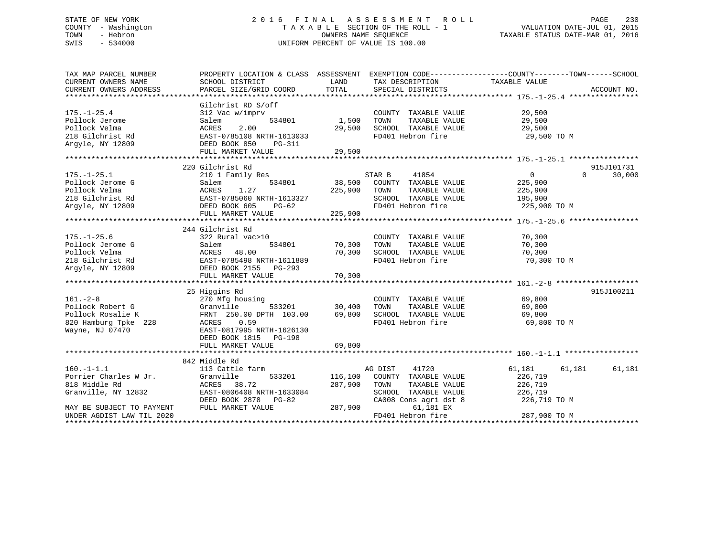# STATE OF NEW YORK 2 0 1 6 F I N A L A S S E S S M E N T R O L L PAGE 230 COUNTY - Washington T A X A B L E SECTION OF THE ROLL - 1 VALUATION DATE-JUL 01, 2015 TOWN - Hebron OWNERS NAME SEQUENCE TAXABLE STATUS DATE-MAR 01, 2016 SWIS - 534000 UNIFORM PERCENT OF VALUE IS 100.00

| TAX MAP PARCEL NUMBER                                                                                                                                                                                                                                  | PROPERTY LOCATION & CLASS ASSESSMENT EXEMPTION CODE---------------COUNTY-------TOWN-----SCHOOL        |              |                                                                                                      |                  |                    |
|--------------------------------------------------------------------------------------------------------------------------------------------------------------------------------------------------------------------------------------------------------|-------------------------------------------------------------------------------------------------------|--------------|------------------------------------------------------------------------------------------------------|------------------|--------------------|
| CURRENT OWNERS NAME                                                                                                                                                                                                                                    | SCHOOL DISTRICT                                                                                       | LAND         | TAX DESCRIPTION                                                                                      | TAXABLE VALUE    |                    |
| CURRENT OWNERS ADDRESS                                                                                                                                                                                                                                 | PARCEL SIZE/GRID COORD                                                                                | TOTAL        | SPECIAL DISTRICTS                                                                                    |                  | ACCOUNT NO.        |
|                                                                                                                                                                                                                                                        |                                                                                                       |              |                                                                                                      |                  |                    |
|                                                                                                                                                                                                                                                        | Gilchrist RD S/off                                                                                    |              |                                                                                                      |                  |                    |
| $175. - 1 - 25.4$                                                                                                                                                                                                                                      | 312 Vac w/imprv                                                                                       |              | COUNTY TAXABLE VALUE                                                                                 | 29,500           |                    |
| Pollock Jerome                                                                                                                                                                                                                                         | 534801<br>Salem                                                                                       | 1,500 TOWN   | TAXABLE VALUE                                                                                        | 29,500           |                    |
| Pollock Velma                                                                                                                                                                                                                                          |                                                                                                       |              | 29,500 SCHOOL TAXABLE VALUE                                                                          | 29,500           |                    |
| 218 Gilchrist Rd                                                                                                                                                                                                                                       |                                                                                                       |              | FD401 Hebron fire                                                                                    | 29,500 TO M      |                    |
| Argyle, NY 12809                                                                                                                                                                                                                                       | ACRES 2.00<br>EAST-0785108 NRTH-1613033<br>DEED BOOK 850 PG-311                                       |              |                                                                                                      |                  |                    |
|                                                                                                                                                                                                                                                        | FULL MARKET VALUE                                                                                     | 29,500       |                                                                                                      |                  |                    |
|                                                                                                                                                                                                                                                        |                                                                                                       |              |                                                                                                      |                  |                    |
|                                                                                                                                                                                                                                                        | 220 Gilchrist Rd                                                                                      |              |                                                                                                      |                  | 915J101731         |
| $175. - 1 - 25.1$                                                                                                                                                                                                                                      | 210 1 Family Res                                                                                      |              |                                                                                                      |                  | $\Omega$<br>30,000 |
| Pollock Jerome G                                                                                                                                                                                                                                       |                                                                                                       |              | $534801 \qquad 38,500 \qquad \text{COUNTY} \qquad \text{TAXABLE} \qquad \text{VALUE} \qquad 225,900$ |                  |                    |
| Pollock Velma                                                                                                                                                                                                                                          |                                                                                                       | 225,900 TOWN | TAXABLE VALUE                                                                                        | 225,900          |                    |
| 218 Gilchrist Rd                                                                                                                                                                                                                                       |                                                                                                       |              | SCHOOL TAXABLE VALUE                                                                                 | 195,900          |                    |
| Argyle, NY 12809                                                                                                                                                                                                                                       | 210 1 Family Res<br>Salem 534801<br>ACRES 1.27<br>EAST-0785060 NRTH-1613327<br>DEED BOOK 605 PG-62    |              | FD401 Hebron fire                                                                                    | 225,900 TO M     |                    |
|                                                                                                                                                                                                                                                        | FULL MARKET VALUE                                                                                     | 225,900      |                                                                                                      |                  |                    |
|                                                                                                                                                                                                                                                        |                                                                                                       |              |                                                                                                      |                  |                    |
|                                                                                                                                                                                                                                                        |                                                                                                       |              |                                                                                                      |                  |                    |
|                                                                                                                                                                                                                                                        | 244 Gilchrist Rd<br>322 Rural vac>10                                                                  |              |                                                                                                      |                  |                    |
| $175. - 1 - 25.6$                                                                                                                                                                                                                                      |                                                                                                       |              | COUNTY TAXABLE VALUE                                                                                 | 70,300<br>70,300 |                    |
| Pollock Jerome G                                                                                                                                                                                                                                       |                                                                                                       | 70,300 TOWN  | TAXABLE VALUE                                                                                        |                  |                    |
| Pollock Velma                                                                                                                                                                                                                                          |                                                                                                       |              | 70,300 SCHOOL TAXABLE VALUE                                                                          | 70,300           |                    |
| 218 Gilchrist Rd                                                                                                                                                                                                                                       | 322 Rural vac>10<br>Salem 534801<br>ACRES 48.00<br>EAST-0785498 NRTH-1611889<br>DEED BOOK 2155 PG-293 |              | FD401 Hebron fire                                                                                    | 70,300 TO M      |                    |
| Arqyle, NY 12809                                                                                                                                                                                                                                       |                                                                                                       |              |                                                                                                      |                  |                    |
|                                                                                                                                                                                                                                                        | FULL MARKET VALUE                                                                                     | 70,300       |                                                                                                      |                  |                    |
|                                                                                                                                                                                                                                                        |                                                                                                       |              |                                                                                                      |                  |                    |
|                                                                                                                                                                                                                                                        | 25 Higgins Rd                                                                                         |              |                                                                                                      |                  | 915J100211         |
|                                                                                                                                                                                                                                                        |                                                                                                       |              |                                                                                                      |                  |                    |
|                                                                                                                                                                                                                                                        |                                                                                                       |              |                                                                                                      |                  |                    |
|                                                                                                                                                                                                                                                        |                                                                                                       |              |                                                                                                      |                  |                    |
| 161.-2-8<br>Pollock Robert G<br>Pollock Robert G<br>Pollock Rosalie K<br>Pollock Rosalie K<br>Pollock Rosalie K<br>Pollock Rosalie K<br>Pollock Rosalie K<br>Pollock Rosalie K<br>Pollock Rosalie K<br>Pollock Rosalie K<br>Pollock Rosalie K<br>Pollo |                                                                                                       |              |                                                                                                      | 69,800 TO M      |                    |
|                                                                                                                                                                                                                                                        |                                                                                                       |              |                                                                                                      |                  |                    |
|                                                                                                                                                                                                                                                        | DEED BOOK 1815 PG-198                                                                                 |              |                                                                                                      |                  |                    |
|                                                                                                                                                                                                                                                        | FULL MARKET VALUE                                                                                     | 69,800       |                                                                                                      |                  |                    |
|                                                                                                                                                                                                                                                        |                                                                                                       |              |                                                                                                      |                  |                    |
|                                                                                                                                                                                                                                                        | 842 Middle Rd                                                                                         |              |                                                                                                      |                  |                    |
| $160.-1-1.1$                                                                                                                                                                                                                                           | 113 Cattle farm                                                                                       |              | AG DIST 41720                                                                                        | 61,181 61,181    | 61,181             |
|                                                                                                                                                                                                                                                        |                                                                                                       |              | 533201 116,100 COUNTY TAXABLE VALUE                                                                  | 226,719          |                    |
|                                                                                                                                                                                                                                                        |                                                                                                       |              | 287,900 TOWN<br>TAXABLE VALUE                                                                        | 226,719          |                    |
|                                                                                                                                                                                                                                                        |                                                                                                       |              | SCHOOL TAXABLE VALUE                                                                                 | 226,719          |                    |
|                                                                                                                                                                                                                                                        | DEED BOOK 2878 PG-82                                                                                  |              | $CAO08$ Cons agri dst 8 226,719 TO M                                                                 |                  |                    |
| $\verb MAX BE SUBJECT TO PAYMENT \hspace{1.5cm} \verb FULL MARKET VALUE \hspace{1.5cm}$                                                                                                                                                                |                                                                                                       | 287,900      | 61,181 EX                                                                                            |                  |                    |
| UNDER AGDIST LAW TIL 2020                                                                                                                                                                                                                              |                                                                                                       |              | FD401 Hebron fire                                                                                    | 287,900 TO M     |                    |
|                                                                                                                                                                                                                                                        |                                                                                                       |              |                                                                                                      |                  |                    |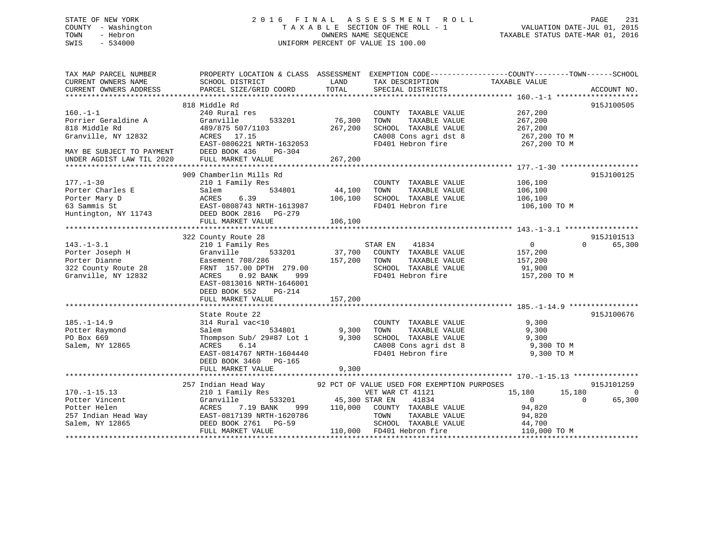# STATE OF NEW YORK 2 0 1 6 F I N A L A S S E S S M E N T R O L L PAGE 231 COUNTY - Washington T A X A B L E SECTION OF THE ROLL - 1 VALUATION DATE-JUL 01, 2015 TOWN - Hebron OWNERS NAME SEQUENCE TAXABLE STATUS DATE-MAR 01, 2016 SWIS - 534000 UNIFORM PERCENT OF VALUE IS 100.00

| TAX MAP PARCEL NUMBER<br>CURRENT OWNERS NAME                                                                                           | PROPERTY LOCATION & CLASS ASSESSMENT EXEMPTION CODE---------------COUNTY-------TOWN------SCHOOL<br>SCHOOL DISTRICT                                                                                                                                                                            | LAND                               | TAX DESCRIPTION                                                                                                                                                                                                                                                                                    | TAXABLE VALUE                                                                         |                                           |
|----------------------------------------------------------------------------------------------------------------------------------------|-----------------------------------------------------------------------------------------------------------------------------------------------------------------------------------------------------------------------------------------------------------------------------------------------|------------------------------------|----------------------------------------------------------------------------------------------------------------------------------------------------------------------------------------------------------------------------------------------------------------------------------------------------|---------------------------------------------------------------------------------------|-------------------------------------------|
| CURRENT OWNERS ADDRESS                                                                                                                 | PARCEL SIZE/GRID COORD                                                                                                                                                                                                                                                                        | TOTAL                              | SPECIAL DISTRICTS                                                                                                                                                                                                                                                                                  |                                                                                       | ACCOUNT NO.                               |
| $160. -1 - 1$<br>Porrier Geraldine A<br>818 Middle Rd<br>Granville, NY 12832<br>MAY BE SUBJECT TO PAYMENT<br>UNDER AGDIST LAW TIL 2020 | 818 Middle Rd<br>240 Rural res<br>533201 76,300<br>Granville<br>489/875 507/1103<br>ACRES 17.15<br>EAST-0806221 NRTH-1632053<br>DEED BOOK 436<br>PG-304<br>FULL MARKET VALUE                                                                                                                  | 267,200<br>267,200                 | COUNTY TAXABLE VALUE 267,200<br>TOWN<br>SCHOOL TAXABLE VALUE 267,200<br>CA008 Cons agri dst 8 267,200 TO M<br>FD401 Hebron fire 267,200 TO M                                                                                                                                                       | TAXABLE VALUE 267,200                                                                 | 915J100505                                |
| $177. - 1 - 30$<br>Porter Charles E<br>Porter Mary D<br>63 Sammis St                                                                   | 909 Chamberlin Mills Rd<br>210 1 Family Res<br>Salem<br>ACRES 6.39 106,100 SCHOOL TAXABLE VALUE 106,100 DAST-0808743 NRTH-1613987 106,100 PD401 Hebron fire 106,100 TO<br>Huntington, NY 11743 DEED BOOK 2816 PG-279                                                                          | s<br>534801                 44,100 | COUNTY TAXABLE VALUE 106,100<br>TOWN                                                                                                                                                                                                                                                               | TAXABLE VALUE 106,100                                                                 | 915J100125                                |
| $143. - 1 - 3.1$<br>143.-1-3.1<br>Porter Joseph H<br>Porter Dianne<br>322 County Route 28<br>22 County Route 28<br>Granville, NY 12832 | 322 County Route 28<br>210 1 Family Res<br>210 1 Family Res<br>210 1 Family Res<br>21 533201 37,700 COUNTY TAXABLE VALUE<br>2157,200 TOWN TAXABLE VALUE<br>FRNT 157.00 DPTH 279.00<br>22 BANK 999 FD401 Hebron fire<br>EAST-0813016 NRTH-1646001<br>DEED BOOK 552 PG-214<br>FULL MARKET VALUE | 157,200                            | SCHOOL TAXABLE VALUE 91,900<br>FD401 Hebron fire 157,200 TO M                                                                                                                                                                                                                                      | $\overline{0}$<br>157,200<br>157,200                                                  | 915J101513<br>$0 \qquad \qquad$<br>65,300 |
| $185. - 1 - 14.9$<br>Potter Raymond<br>PO Box 669<br>Salem, NY 12865                                                                   | State Route 22<br>314 Rural vac<10<br>Salem<br>Thompson Sub/ 29#87 Lot 1 9,300<br>ACRES<br>6.14<br>EAST-0814767 NRTH-1604440<br>DEED BOOK 3460 PG-165<br>FULL MARKET VALUE                                                                                                                    | 534801 9,300 TOWN<br>9,300         | COUNTY TAXABLE VALUE<br>SCHOOL TAXABLE VALUE 9,300<br>$\begin{array}{lllllll} \texttt{CA008} & \texttt{Cons}\ \texttt{agrid}\ \texttt{st}\ 8 & \texttt{9,300}} & \texttt{TO}~\texttt{M} \\ \texttt{FD401} & \texttt{Hebron}\ \texttt{fire} & \texttt{9,300}} & \texttt{TO}~\texttt{M} \end{array}$ | 9,300<br>TAXABLE VALUE 9,300<br>TAXABLE VALUE 9,300                                   | 915J100676                                |
|                                                                                                                                        |                                                                                                                                                                                                                                                                                               |                                    |                                                                                                                                                                                                                                                                                                    |                                                                                       |                                           |
| Potter Vincent<br>Potter Vincent<br>Talen                                                                                              | 257 Indian Head Way 92 PCT OF VALUE USED FOR EXEMPTION PURPOSES<br>210 1 Family Res WET WAR CT 41121<br>y Res<br>533201 45,300 STAR EN<br>Granville<br>FULL MARKET VALUE                                                                                                                      |                                    | 41834<br>999 110,000 COUNTY TAXABLE VALUE 94,820<br>TOWN<br>TAXABLE VALUE<br>SCHOOL TAXABLE VALUE<br>110,000 FD401 Hebron fire                                                                                                                                                                     | 15,180 15,180<br>$\overline{0}$<br>$\overline{0}$<br>94,820<br>44,700<br>110,000 TO M | 915J101259<br>$\Omega$<br>65,300          |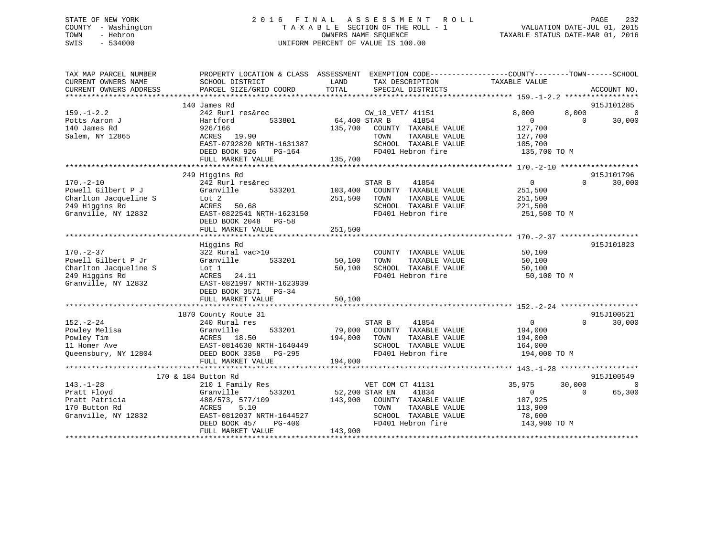# STATE OF NEW YORK 2 0 1 6 F I N A L A S S E S S M E N T R O L L PAGE 232 COUNTY - Washington T A X A B L E SECTION OF THE ROLL - 1 VALUATION DATE-JUL 01, 2015 TOWN - Hebron OWNERS NAME SEQUENCE TAXABLE STATUS DATE-MAR 01, 2016 SWIS - 534000 UNIFORM PERCENT OF VALUE IS 100.00

| TAX MAP PARCEL NUMBER<br>CURRENT OWNERS NAME<br>CURRENT OWNERS ADDRESS | SCHOOL DISTRICT<br>PARCEL SIZE/GRID COORD | PROPERTY LOCATION & CLASS ASSESSMENT EXEMPTION CODE---------------COUNTY-------TOWN-----SCHOOL<br>LAND<br>TAX DESCRIPTION<br>TOTAL<br>SPECIAL DISTRICTS | TAXABLE VALUE<br>ACCOUNT NO.         |
|------------------------------------------------------------------------|-------------------------------------------|---------------------------------------------------------------------------------------------------------------------------------------------------------|--------------------------------------|
|                                                                        |                                           |                                                                                                                                                         |                                      |
|                                                                        | 140 James Rd                              |                                                                                                                                                         | 915J101285                           |
| $159. - 1 - 2.2$                                                       | 242 Rurl res&rec                          | CW_10_VET/ 41151                                                                                                                                        | 8,000<br>8,000<br>0                  |
| Potts Aaron J                                                          | Hartford<br>533801                        | 64,400 STAR B<br>41854                                                                                                                                  | $\mathbf{0}$<br>30,000<br>$\Omega$   |
| 140 James Rd                                                           | 926/166                                   | 135,700<br>COUNTY TAXABLE VALUE                                                                                                                         | 127,700                              |
| Salem, NY 12865                                                        | ACRES 19.90                               | TOWN<br>TAXABLE VALUE                                                                                                                                   | 127,700                              |
|                                                                        | EAST-0792820 NRTH-1631387                 | SCHOOL TAXABLE VALUE                                                                                                                                    | 105,700                              |
|                                                                        | DEED BOOK 926<br>PG-164                   | FD401 Hebron fire                                                                                                                                       | 135,700 TO M                         |
|                                                                        | FULL MARKET VALUE                         | 135,700                                                                                                                                                 |                                      |
|                                                                        |                                           |                                                                                                                                                         |                                      |
|                                                                        | 249 Higgins Rd                            |                                                                                                                                                         | 915J101796                           |
| $170. - 2 - 10$                                                        | 242 Rurl res&rec                          | STAR B<br>41854                                                                                                                                         | $\overline{0}$<br>$\Omega$<br>30,000 |
| Powell Gilbert P J                                                     | 533201<br>Granville                       | 103,400<br>COUNTY TAXABLE VALUE                                                                                                                         | 251,500                              |
| Charlton Jacqueline S                                                  | Lot 2                                     | 251,500<br>TOWN<br>TAXABLE VALUE                                                                                                                        | 251,500                              |
| 249 Higgins Rd                                                         | ACRES<br>50.68                            | SCHOOL TAXABLE VALUE                                                                                                                                    | 221,500                              |
| Granville, NY 12832                                                    | EAST-0822541 NRTH-1623150                 | FD401 Hebron fire                                                                                                                                       |                                      |
|                                                                        |                                           |                                                                                                                                                         | 251,500 TO M                         |
|                                                                        | DEED BOOK 2048 PG-58                      |                                                                                                                                                         |                                      |
|                                                                        | FULL MARKET VALUE                         | 251,500                                                                                                                                                 |                                      |
|                                                                        |                                           |                                                                                                                                                         |                                      |
|                                                                        | Higgins Rd                                |                                                                                                                                                         | 915J101823                           |
| $170. - 2 - 37$                                                        | 322 Rural vac>10                          | COUNTY TAXABLE VALUE                                                                                                                                    | 50,100                               |
| Powell Gilbert P Jr                                                    | 533201<br>Granville                       | 50,100<br>TAXABLE VALUE<br>TOWN                                                                                                                         | 50,100                               |
| Charlton Jacqueline S                                                  | Lot 1                                     | 50,100<br>SCHOOL TAXABLE VALUE                                                                                                                          | 50,100                               |
| 249 Higgins Rd                                                         | ACRES<br>24.11                            | FD401 Hebron fire                                                                                                                                       | 50,100 TO M                          |
| Granville, NY 12832                                                    | EAST-0821997 NRTH-1623939                 |                                                                                                                                                         |                                      |
|                                                                        | DEED BOOK 3571 PG-34                      |                                                                                                                                                         |                                      |
|                                                                        | FULL MARKET VALUE                         | 50,100                                                                                                                                                  |                                      |
|                                                                        |                                           |                                                                                                                                                         |                                      |
|                                                                        | 1870 County Route 31                      |                                                                                                                                                         | 915J100521                           |
| $152. - 2 - 24$                                                        | 240 Rural res                             | STAR B<br>41854                                                                                                                                         | 30,000<br>$\overline{0}$<br>$\Omega$ |
| Powley Melisa                                                          | Granville<br>533201                       | 79,000<br>COUNTY TAXABLE VALUE                                                                                                                          | 194,000                              |
| Powley Tim                                                             | ACRES 18.50                               | 194,000<br>TOWN<br>TAXABLE VALUE                                                                                                                        | 194,000                              |
| 11 Homer Ave                                                           | EAST-0814630 NRTH-1640449                 | SCHOOL TAXABLE VALUE                                                                                                                                    | 164,000                              |
| Oueensbury, NY 12804                                                   | DEED BOOK 3358 PG-295                     | FD401 Hebron fire                                                                                                                                       | 194,000 TO M                         |
|                                                                        | FULL MARKET VALUE                         | 194,000                                                                                                                                                 |                                      |
|                                                                        |                                           |                                                                                                                                                         |                                      |
|                                                                        | 170 & 184 Button Rd                       |                                                                                                                                                         | 915J100549                           |
| $143. - 1 - 28$                                                        | 210 1 Family Res                          | VET COM CT 41131                                                                                                                                        | 35,975<br>30,000<br>$\Omega$         |
| Pratt Floyd                                                            | 533201<br>Granville                       | 52,200 STAR EN<br>41834                                                                                                                                 | 65,300<br>$\Omega$<br>$\mathbf{0}$   |
|                                                                        |                                           |                                                                                                                                                         |                                      |
| Pratt Patricia                                                         | 488/573, 577/109                          | 143,900<br>COUNTY TAXABLE VALUE                                                                                                                         | 107,925                              |
| 170 Button Rd                                                          | ACRES<br>5.10                             | TAXABLE VALUE<br>TOWN                                                                                                                                   | 113,900                              |
| Granville, NY 12832                                                    | EAST-0812037 NRTH-1644527                 | SCHOOL TAXABLE VALUE                                                                                                                                    | 78,600                               |
|                                                                        | DEED BOOK 457<br>$PG-400$                 | FD401 Hebron fire                                                                                                                                       | 143,900 TO M                         |
|                                                                        | FULL MARKET VALUE                         | 143,900                                                                                                                                                 |                                      |
|                                                                        |                                           |                                                                                                                                                         |                                      |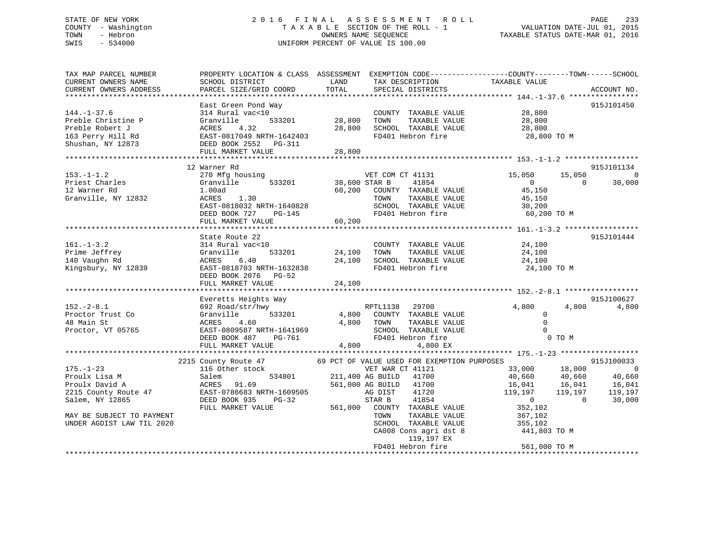# STATE OF NEW YORK 2 0 1 6 F I N A L A S S E S S M E N T R O L L PAGE 233 COUNTY - Washington T A X A B L E SECTION OF THE ROLL - 1 VALUATION DATE-JUL 01, 2015 TOWN - Hebron OWNERS NAME SEQUENCE TAXABLE STATUS DATE-MAR 01, 2016 SWIS - 534000 UNIFORM PERCENT OF VALUE IS 100.00

| TAX MAP PARCEL NUMBER     |                                                                  |               |                                                          | PROPERTY LOCATION & CLASS ASSESSMENT EXEMPTION CODE---------------COUNTY-------TOWN------SCHOOL                                                        |                |
|---------------------------|------------------------------------------------------------------|---------------|----------------------------------------------------------|--------------------------------------------------------------------------------------------------------------------------------------------------------|----------------|
| CURRENT OWNERS NAME       | SCHOOL DISTRICT                                                  | LAND          | TAX DESCRIPTION                                          | TAXABLE VALUE                                                                                                                                          |                |
| CURRENT OWNERS ADDRESS    | PARCEL SIZE/GRID COORD                                           | TOTAL         | SPECIAL DISTRICTS                                        |                                                                                                                                                        | ACCOUNT NO.    |
|                           |                                                                  |               |                                                          |                                                                                                                                                        |                |
|                           | East Green Pond Way                                              |               |                                                          |                                                                                                                                                        | 915J101450     |
| $144. - 1 - 37.6$         | 314 Rural vac<10                                                 |               | COUNTY TAXABLE VALUE                                     | 28,800                                                                                                                                                 |                |
| Preble Christine P        | Granville                                                        | 533201 28,800 | TAXABLE VALUE<br>TOWN                                    | 28,800                                                                                                                                                 |                |
| Preble Robert J           | ACRES<br>4.32                                                    | 28,800        | SCHOOL TAXABLE VALUE                                     | 28,800                                                                                                                                                 |                |
| 163 Perry Hill Rd         | EAST-0817049 NRTH-1642403                                        |               | FD401 Hebron fire                                        | 28,800 TO M                                                                                                                                            |                |
|                           |                                                                  |               |                                                          |                                                                                                                                                        |                |
| Shushan, NY 12873         | DEED BOOK 2552 PG-311                                            |               |                                                          |                                                                                                                                                        |                |
|                           | FULL MARKET VALUE                                                | 28,800        |                                                          |                                                                                                                                                        |                |
|                           |                                                                  |               |                                                          |                                                                                                                                                        |                |
|                           | 12 Warner Rd                                                     |               |                                                          |                                                                                                                                                        | 915J101134     |
| $153. - 1 - 1.2$          | 270 Mfg housing                                                  |               | VET COM CT 41131                                         | 15,050<br>15,050                                                                                                                                       | $\overline{0}$ |
| Priest Charles            | Granville 533201                                                 | 38,600 STAR B | 41854                                                    | $\sim$ 0<br>$\Omega$                                                                                                                                   | 30,000         |
| 12 Warner Rd              | $1.00$ ad                                                        |               | 60,200 COUNTY TAXABLE VALUE                              | 45,150                                                                                                                                                 |                |
| Granville, NY 12832       | ACRES 1.30                                                       |               | TOWN<br>TAXABLE VALUE                                    | 45,150                                                                                                                                                 |                |
|                           | EAST-0818032 NRTH-1640828                                        |               |                                                          | SCHOOL TAXABLE VALUE 30,200<br>FD401 Hebron fire 60,200 TO M                                                                                           |                |
|                           | DEED BOOK 727 PG-145                                             |               |                                                          |                                                                                                                                                        |                |
|                           | FULL MARKET VALUE                                                | 60, 200       |                                                          |                                                                                                                                                        |                |
|                           |                                                                  |               |                                                          |                                                                                                                                                        |                |
|                           | State Route 22                                                   |               |                                                          |                                                                                                                                                        | 915J101444     |
| $161. - 1 - 3.2$          | 314 Rural vac<10                                                 |               | COUNTY TAXABLE VALUE 24,100                              |                                                                                                                                                        |                |
| Prime Jeffrey             | Granville                                                        |               |                                                          |                                                                                                                                                        |                |
| 140 Vaughn Rd             | $533201$ $24,100$<br>ACRES<br>6.40                               | 24,100        | TOWN TAXABLE VALUE 24,100<br>SCHOOL TAXABLE VALUE 24,100 |                                                                                                                                                        |                |
|                           |                                                                  |               | FD401 Hebron fire                                        |                                                                                                                                                        |                |
| Kingsbury, NY 12839       | EAST-0818703 NRTH-1632838                                        |               |                                                          | 24,100 TO M                                                                                                                                            |                |
|                           | DEED BOOK 2076 PG-52                                             |               |                                                          |                                                                                                                                                        |                |
|                           | FULL MARKET VALUE                                                | 24,100        |                                                          |                                                                                                                                                        |                |
|                           |                                                                  |               |                                                          |                                                                                                                                                        |                |
|                           | Everetts Heights Way                                             |               |                                                          |                                                                                                                                                        | 915J100627     |
| $152. - 2 - 8.1$          | 692 Road/str/hwy                                                 |               | RPTL1138<br>29700                                        | 4,800<br>4,800                                                                                                                                         | 4,800          |
| Proctor Trust Co          | Granville                                                        |               | 533201 4,800 COUNTY TAXABLE VALUE                        | $\overline{0}$                                                                                                                                         |                |
| 48 Main St                | ACRES<br>4.60                                                    | 4,800         | TOWN<br>TAXABLE VALUE                                    | $\Omega$                                                                                                                                               |                |
| Proctor, VT 05765         | EAST-0809587 NRTH-1641969                                        |               | SCHOOL TAXABLE VALUE                                     | $\Omega$                                                                                                                                               |                |
|                           | DEED BOOK 487 PG-761                                             |               | FD401 Hebron fire                                        | O TO M                                                                                                                                                 |                |
|                           | FULL MARKET VALUE                                                | 4,800         | 4,800 EX                                                 |                                                                                                                                                        |                |
|                           |                                                                  |               |                                                          |                                                                                                                                                        |                |
|                           | 2215 County Route 47 69 PCT OF VALUE USED FOR EXEMPTION PURPOSES |               |                                                          |                                                                                                                                                        | 915J100033     |
| $175. - 1 - 23$           | 116 Other stock                                                  |               | VET WAR CT 41121                                         | $33,000$ 18,000                                                                                                                                        | $\overline{0}$ |
| Proulx Lisa M             | Salem                                                            |               |                                                          |                                                                                                                                                        |                |
| Proulx David A            | ACRES 91.69                                                      |               | 534801 211,400 AG BUILD 41700<br>561,000 AG BUILD 41700  |                                                                                                                                                        |                |
|                           |                                                                  |               |                                                          | $\begin{array}{cccc} 40,660 & & 40,660 & & 40,660 \ 16,041 & & 16,041 & & 16,041 \ 119,197 & & 119,197 & & 119,197 \ 0 & & & 0 & & 30,000 \end{array}$ |                |
| 2215 County Route 47      | EAST-0786683 NRTH-1609505                                        |               | 41720<br>AG DIST                                         |                                                                                                                                                        |                |
| Salem, NY 12865           | DEED BOOK 935 PG-32                                              |               | 41854<br>STAR B                                          |                                                                                                                                                        |                |
|                           | FULL MARKET VALUE                                                |               | 561,000 COUNTY TAXABLE VALUE                             | 352,102<br>367,102                                                                                                                                     |                |
| MAY BE SUBJECT TO PAYMENT |                                                                  |               | TAXABLE VALUE<br>TOWN                                    |                                                                                                                                                        |                |
|                           |                                                                  |               |                                                          |                                                                                                                                                        |                |
| UNDER AGDIST LAW TIL 2020 |                                                                  |               | SCHOOL TAXABLE VALUE                                     |                                                                                                                                                        |                |
|                           |                                                                  |               | CA008 Cons agri dst 8                                    | 355,102<br>441,803 TO M                                                                                                                                |                |
|                           |                                                                  |               | 119,197 EX                                               |                                                                                                                                                        |                |
|                           |                                                                  |               | FD401 Hebron fire                                        | 561,000 TO M                                                                                                                                           |                |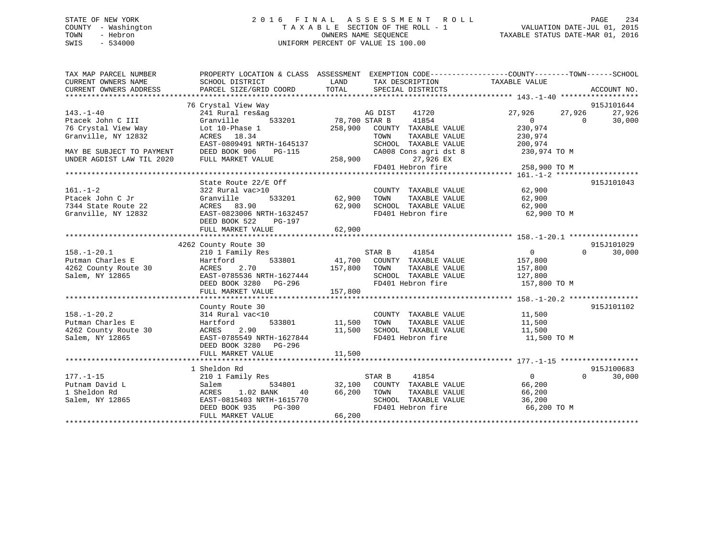# STATE OF NEW YORK 2 0 1 6 F I N A L A S S E S S M E N T R O L L PAGE 234 COUNTY - Washington T A X A B L E SECTION OF THE ROLL - 1 VALUATION DATE-JUL 01, 2015 TOWN - Hebron OWNERS NAME SEQUENCE TAXABLE STATUS DATE-MAR 01, 2016 SWIS - 534000 UNIFORM PERCENT OF VALUE IS 100.00

| TAX MAP PARCEL NUMBER<br>CURRENT OWNERS NAME | PROPERTY LOCATION & CLASS ASSESSMENT EXEMPTION CODE----------------COUNTY-------TOWN------SCHOOL<br>SCHOOL DISTRICT | LAND          | TAX DESCRIPTION                               | TAXABLE VALUE              |                    |
|----------------------------------------------|---------------------------------------------------------------------------------------------------------------------|---------------|-----------------------------------------------|----------------------------|--------------------|
| CURRENT OWNERS ADDRESS                       | PARCEL SIZE/GRID COORD                                                                                              | TOTAL         | SPECIAL DISTRICTS                             |                            | ACCOUNT NO.        |
|                                              | 76 Crystal View Way                                                                                                 |               |                                               |                            | 915J101644         |
| $143. - 1 - 40$                              | 241 Rural res&ag                                                                                                    |               | AG DIST<br>41720                              | 27,926<br>27,926           | 27,926             |
| Ptacek John C III                            | Granville<br>533201                                                                                                 | 78,700 STAR B | 41854                                         | $\overline{0}$<br>$\sim$ 0 | 30,000             |
| 76 Crystal View Way                          | Lot 10-Phase 1                                                                                                      | 258,900       | COUNTY TAXABLE VALUE                          | 230,974                    |                    |
| Granville, NY 12832                          | ACRES 18.34                                                                                                         |               | TOWN<br>TAXABLE VALUE                         | 230,974                    |                    |
|                                              | EAST-0809491 NRTH-1645137                                                                                           |               | SCHOOL TAXABLE VALUE                          | 200,974                    |                    |
| MAY BE SUBJECT TO PAYMENT                    | DEED BOOK 906<br>PG-115                                                                                             |               | CA008 Cons agri dst 8 230,974 TO M            |                            |                    |
| UNDER AGDIST LAW TIL 2020                    | FULL MARKET VALUE                                                                                                   | 258,900       | 27,926 EX                                     |                            |                    |
|                                              |                                                                                                                     |               | $27,920$ EX<br>FD401 Hebron fire 258,900 TO M |                            |                    |
|                                              |                                                                                                                     |               |                                               |                            |                    |
|                                              | State Route 22/E Off                                                                                                |               |                                               |                            | 915J101043         |
| $161. - 1 - 2$                               | 322 Rural vac>10                                                                                                    |               | COUNTY TAXABLE VALUE                          | 62,900                     |                    |
| Ptacek John C Jr                             | Granville                                                                                                           | 533201 62,900 | TAXABLE VALUE<br>TOWN                         | 62,900                     |                    |
| 7344 State Route 22                          | ACRES 83.90                                                                                                         | 62,900        | SCHOOL TAXABLE VALUE                          | 62,900                     |                    |
| Granville, NY 12832                          | EAST-0823006 NRTH-1632457                                                                                           |               | FD401 Hebron fire                             | 62,900 TO M                |                    |
|                                              | DEED BOOK 522<br>PG-197                                                                                             |               |                                               |                            |                    |
|                                              | FULL MARKET VALUE                                                                                                   | 62,900        |                                               |                            |                    |
|                                              |                                                                                                                     |               |                                               |                            |                    |
|                                              | 4262 County Route 30                                                                                                |               |                                               |                            | 915J101029         |
| $158. - 1 - 20.1$                            | 210 1 Family Res                                                                                                    |               | 41854<br>STAR B                               | $\overline{0}$             | $\Omega$<br>30,000 |
| Putman Charles E                             | 533801<br>Hartford                                                                                                  |               | 41,700 COUNTY TAXABLE VALUE                   | 157,800                    |                    |
| 4262 County Route 30                         | <b>ACRES</b><br>2.70                                                                                                | 157,800 TOWN  | TAXABLE VALUE                                 | 157,800                    |                    |
| Salem, NY 12865                              |                                                                                                                     |               |                                               |                            |                    |
|                                              |                                                                                                                     |               |                                               |                            |                    |
|                                              |                                                                                                                     |               |                                               |                            |                    |
|                                              |                                                                                                                     |               |                                               |                            |                    |
|                                              | County Route 30                                                                                                     |               |                                               |                            | 915J101102         |
| $158. - 1 - 20.2$                            | 314 Rural vac<10                                                                                                    |               | COUNTY TAXABLE VALUE                          | 11,500                     |                    |
| Putman Charles E                             | Hartford                                                                                                            | 533801 11,500 | TOWN<br>TAXABLE VALUE                         | 11,500                     |                    |
| 4262 County Route 30                         | 2.90<br>ACRES                                                                                                       | 11,500        | TOWN 1AALLE VALUE<br>SCHOOL TAXABLE VALUE     | 11,500                     |                    |
| Salem, NY 12865                              | EAST-0785549 NRTH-1627844                                                                                           |               |                                               | 11,500 TO M                |                    |
|                                              | DEED BOOK 3280 PG-296                                                                                               |               |                                               |                            |                    |
|                                              | FULL MARKET VALUE                                                                                                   | 11,500        |                                               |                            |                    |
|                                              |                                                                                                                     |               |                                               |                            |                    |
|                                              | 1 Sheldon Rd                                                                                                        |               |                                               |                            | 915J100683         |
| $177. - 1 - 15$                              | 210 1 Family Res                                                                                                    |               | 41854<br>STAR B                               | $\overline{0}$             | $\Omega$<br>30,000 |
| Putnam David L                               | 534801<br>Salem                                                                                                     |               | 32,100 COUNTY TAXABLE VALUE                   | 66,200                     |                    |
| 1 Sheldon Rd                                 | 1.02 BANK<br>ACRES<br>40                                                                                            | 66,200        | TAXABLE VALUE<br>TOWN                         | 66,200                     |                    |
| Salem, NY 12865                              | EAST-0815403 NRTH-1615770                                                                                           |               | SCHOOL TAXABLE VALUE                          | 36, 200                    |                    |
|                                              | DEED BOOK 935<br>PG-300                                                                                             |               | FD401 Hebron fire 66,200 TO M                 |                            |                    |
|                                              | FULL MARKET VALUE                                                                                                   | 66,200        |                                               |                            |                    |
|                                              |                                                                                                                     |               |                                               |                            |                    |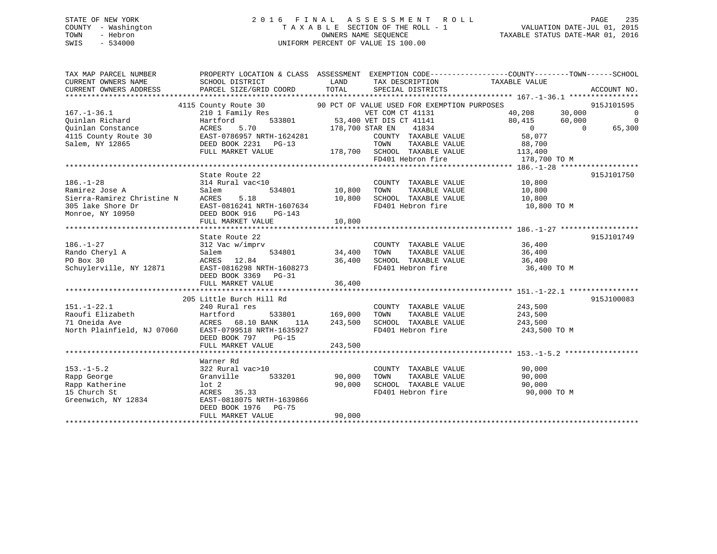# STATE OF NEW YORK 2 0 1 6 F I N A L A S S E S S M E N T R O L L PAGE 235 COUNTY - Washington T A X A B L E SECTION OF THE ROLL - 1 VALUATION DATE-JUL 01, 2015 TOWN - Hebron OWNERS NAME SEQUENCE TAXABLE STATUS DATE-MAR 01, 2016 SWIS - 534000 UNIFORM PERCENT OF VALUE IS 100.00

| TAX MAP PARCEL NUMBER                                                                                                         | PROPERTY LOCATION & CLASS ASSESSMENT EXEMPTION CODE----------------COUNTY-------TOWN------SCHOOL |             |                                                                                                                                                                                                                                |                                        |                |
|-------------------------------------------------------------------------------------------------------------------------------|--------------------------------------------------------------------------------------------------|-------------|--------------------------------------------------------------------------------------------------------------------------------------------------------------------------------------------------------------------------------|----------------------------------------|----------------|
| CURRENT OWNERS NAME                                                                                                           | SCHOOL DISTRICT                                                                                  | <b>LAND</b> | TAX DESCRIPTION TAXABLE VALUE                                                                                                                                                                                                  |                                        |                |
| CURRENT OWNERS ADDRESS                                                                                                        |                                                                                                  |             |                                                                                                                                                                                                                                |                                        |                |
|                                                                                                                               |                                                                                                  |             |                                                                                                                                                                                                                                |                                        |                |
|                                                                                                                               | 4115 County Route 30 90 PCT OF VALUE USED FOR EXEMPTION PURPOSES                                 |             |                                                                                                                                                                                                                                |                                        | 915J101595     |
|                                                                                                                               | 210 I Family Res WET COM CT 41131<br>Hartford 533801 53,400 VET DIS CT 41141                     |             |                                                                                                                                                                                                                                | $40,208$ $30,000$<br>$80,415$ $60,000$ | $\overline{0}$ |
|                                                                                                                               |                                                                                                  |             |                                                                                                                                                                                                                                |                                        | 65,300         |
|                                                                                                                               |                                                                                                  |             |                                                                                                                                                                                                                                | $\sim$ 0                               | 65,300         |
|                                                                                                                               | ACRES 5.70<br>ACRES 5.70 178,700 STAR EN 41834<br>EAST-0786957 NRTH-1624281 COUNTY TAXABLE       |             | COUNTY TAXABLE VALUE                                                                                                                                                                                                           | 0<br>58,077                            |                |
|                                                                                                                               |                                                                                                  |             | TOWN TAXABLE VALUE 88,700                                                                                                                                                                                                      |                                        |                |
|                                                                                                                               |                                                                                                  |             | 178,700 SCHOOL TAXABLE VALUE 113,400                                                                                                                                                                                           |                                        |                |
|                                                                                                                               |                                                                                                  |             |                                                                                                                                                                                                                                |                                        |                |
|                                                                                                                               |                                                                                                  |             |                                                                                                                                                                                                                                |                                        |                |
|                                                                                                                               | State Route 22                                                                                   |             |                                                                                                                                                                                                                                |                                        | 915J101750     |
| $186. - 1 - 28$                                                                                                               | 314 Rural vac<10                                                                                 |             | COUNTY TAXABLE VALUE 10,800                                                                                                                                                                                                    |                                        |                |
| Ramirez Jose A                                                                                                                | Salem                                                                                            |             |                                                                                                                                                                                                                                | TAXABLE VALUE 10,800                   |                |
|                                                                                                                               |                                                                                                  |             |                                                                                                                                                                                                                                |                                        |                |
| Sierra-Ramirez Christine N ACRES 5.18<br>305 lake Shore Dr EAST-0816241 NRTH-1607634<br>Monroe, NY 10950 DEED BOOK 916 PG-143 |                                                                                                  |             | 10,800 SCHOOL TAXABLE VALUE<br>FD401 Hebron fire                                                                                                                                                                               | 10,800<br>10,800 TO M                  |                |
|                                                                                                                               |                                                                                                  |             |                                                                                                                                                                                                                                |                                        |                |
|                                                                                                                               | FULL MARKET VALUE                                                                                | 10,800      |                                                                                                                                                                                                                                |                                        |                |
|                                                                                                                               |                                                                                                  |             |                                                                                                                                                                                                                                |                                        |                |
|                                                                                                                               | State Route 22                                                                                   |             |                                                                                                                                                                                                                                |                                        | 915J101749     |
| $186. - 1 - 27$                                                                                                               | state Route 22<br>312 Vac w/imprv                                                                |             | COUNTY TAXABLE VALUE 36,400                                                                                                                                                                                                    |                                        |                |
|                                                                                                                               | Salem                                                                                            |             | 534801 34,400 TOWN TAXABLE VALUE 36,400                                                                                                                                                                                        |                                        |                |
|                                                                                                                               |                                                                                                  |             |                                                                                                                                                                                                                                |                                        |                |
| 186.-1-27<br>Rando Cheryl A<br>PO Box 30<br>Schuylerville, NY 12871                                                           | ACRES 12.84<br>EAST-0816298 NRTH-1608273<br>EAST-0816298 NRTH-1608273 FD401 Hebron fire 36,400   |             |                                                                                                                                                                                                                                | 36,400 TO M                            |                |
|                                                                                                                               | DEED BOOK 3369 PG-31                                                                             |             |                                                                                                                                                                                                                                |                                        |                |
|                                                                                                                               |                                                                                                  |             |                                                                                                                                                                                                                                |                                        |                |
|                                                                                                                               |                                                                                                  |             |                                                                                                                                                                                                                                |                                        |                |
|                                                                                                                               | 205 Little Burch Hill Rd                                                                         |             |                                                                                                                                                                                                                                |                                        | 915J100083     |
| $151. - 1 - 22.1$                                                                                                             | 240 Rural res                                                                                    |             | $\begin{tabular}{lllllll} \multicolumn{2}{c}{\text{COUNTY}} & \text{TAXABLE} & \text{VALUE} & & \text{243,500} \\ \multicolumn{2}{c}{\text{m}{\text{min}}}& & \text{maxarir.} & \text{VALUE} & & \text{243,500} \end{tabular}$ |                                        |                |
|                                                                                                                               | 533801 169,000 TOWN                                                                              |             |                                                                                                                                                                                                                                |                                        |                |
|                                                                                                                               |                                                                                                  |             |                                                                                                                                                                                                                                |                                        |                |
|                                                                                                                               |                                                                                                  |             | 243,500 SCHOOL TAXABLE VALUE 243,500<br>FD401 Hebron fire                                                                                                                                                                      |                                        |                |
|                                                                                                                               |                                                                                                  |             |                                                                                                                                                                                                                                | 243,500 TO M                           |                |
|                                                                                                                               | DEED BOOK 797 PG-15                                                                              |             |                                                                                                                                                                                                                                |                                        |                |
|                                                                                                                               |                                                                                                  |             |                                                                                                                                                                                                                                |                                        |                |
|                                                                                                                               |                                                                                                  |             |                                                                                                                                                                                                                                |                                        |                |
|                                                                                                                               | Warner Rd                                                                                        |             |                                                                                                                                                                                                                                |                                        |                |
| $153. - 1 - 5.2$                                                                                                              | 322 Rural vac>10                                                                                 |             | COUNTY TAXABLE VALUE                                                                                                                                                                                                           | $90,000$<br>$90,000$                   |                |
| Rapp George                                                                                                                   | 533201 90,000<br>Granville                                                                       |             | TAXABLE VALUE<br>TOWN                                                                                                                                                                                                          | 90,000                                 |                |
| Rapp Katherine                                                                                                                | lot 2<br>ACRES 35.33                                                                             |             | 90,000 SCHOOL TAXABLE VALUE                                                                                                                                                                                                    | 90,000                                 |                |
| 15 Church St                                                                                                                  |                                                                                                  |             | FD401 Hebron fire                                                                                                                                                                                                              | 90,000 TO M                            |                |
| Greenwich, NY 12834                                                                                                           | EAST-0818075 NRTH-1639866                                                                        |             |                                                                                                                                                                                                                                |                                        |                |
|                                                                                                                               | DEED BOOK 1976 PG-75                                                                             |             |                                                                                                                                                                                                                                |                                        |                |
|                                                                                                                               | FULL MARKET VALUE                                                                                | 90,000      |                                                                                                                                                                                                                                |                                        |                |
|                                                                                                                               |                                                                                                  |             |                                                                                                                                                                                                                                |                                        |                |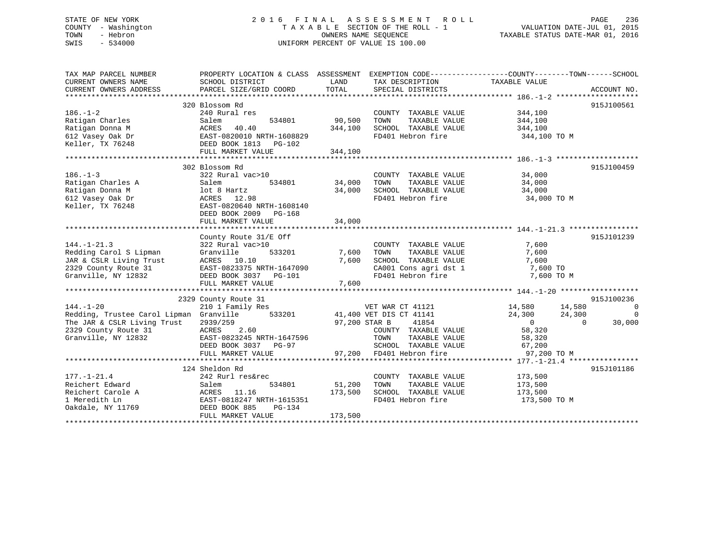# STATE OF NEW YORK 2 0 1 6 F I N A L A S S E S S M E N T R O L L PAGE 236 COUNTY - Washington T A X A B L E SECTION OF THE ROLL - 1 VALUATION DATE-JUL 01, 2015 TOWN - Hebron OWNERS NAME SEQUENCE TAXABLE STATUS DATE-MAR 01, 2016 SWIS - 534000 UNIFORM PERCENT OF VALUE IS 100.00

| TAX MAP PARCEL NUMBER                                                                                                                                                                                                                  | PROPERTY LOCATION & CLASS ASSESSMENT EXEMPTION CODE----------------COUNTY-------TOWN------SCHOOL                                                                         |                    |                                                                                                         |                                                           |                          |
|----------------------------------------------------------------------------------------------------------------------------------------------------------------------------------------------------------------------------------------|--------------------------------------------------------------------------------------------------------------------------------------------------------------------------|--------------------|---------------------------------------------------------------------------------------------------------|-----------------------------------------------------------|--------------------------|
| CURRENT OWNERS NAME                                                                                                                                                                                                                    | SCHOOL DISTRICT                                                                                                                                                          |                    | LAND TAX DESCRIPTION TAXABLE VALUE                                                                      |                                                           |                          |
|                                                                                                                                                                                                                                        |                                                                                                                                                                          |                    |                                                                                                         |                                                           |                          |
|                                                                                                                                                                                                                                        |                                                                                                                                                                          |                    |                                                                                                         |                                                           |                          |
|                                                                                                                                                                                                                                        | 320 Blossom Rd                                                                                                                                                           |                    |                                                                                                         |                                                           | 915J100561               |
| $186. - 1 - 2$                                                                                                                                                                                                                         | 240 Rural res                                                                                                                                                            | 534801 90,500 TOWN |                                                                                                         |                                                           |                          |
| Ratigan Charles                                                                                                                                                                                                                        | Salem                                                                                                                                                                    |                    |                                                                                                         |                                                           |                          |
| Ratigan Donna M                                                                                                                                                                                                                        |                                                                                                                                                                          |                    |                                                                                                         |                                                           |                          |
| 612 Vasey Oak Dr                                                                                                                                                                                                                       | ACRES 40.40<br>EAST-0820010 NRTH-1608829<br>DEED BOOK 1813 PG-102                                                                                                        |                    | FD401 Hebron fire 344,100 TO M                                                                          |                                                           |                          |
| Keller, TX 76248                                                                                                                                                                                                                       |                                                                                                                                                                          |                    |                                                                                                         |                                                           |                          |
|                                                                                                                                                                                                                                        | FULL MARKET VALUE                                                                                                                                                        | 344,100            |                                                                                                         |                                                           |                          |
|                                                                                                                                                                                                                                        |                                                                                                                                                                          |                    |                                                                                                         |                                                           | 915J100459               |
| $186. - 1 - 3$                                                                                                                                                                                                                         | 302 Blossom Rd<br>322 Rural vac>10                                                                                                                                       |                    | COUNTY TAXABLE VALUE 34,000                                                                             |                                                           |                          |
|                                                                                                                                                                                                                                        |                                                                                                                                                                          |                    |                                                                                                         |                                                           |                          |
| Ratigan Charles A<br>Ratigan Donna M<br>Salem 10t 8 Hartz<br>Salem 12.98<br>Salem 12.98<br>Salem 12.98                                                                                                                                 | 534801 34,000 TOWN                                                                                                                                                       |                    | 34,000 TOWN TAXABLE VALUE 34,000<br>34,000 SCHOOL TAXABLE VALUE 34,000<br>FD401 Hebron fire 34,000 TO M |                                                           |                          |
|                                                                                                                                                                                                                                        |                                                                                                                                                                          |                    |                                                                                                         |                                                           |                          |
|                                                                                                                                                                                                                                        |                                                                                                                                                                          |                    |                                                                                                         |                                                           |                          |
|                                                                                                                                                                                                                                        | Keller, TX 76248 EAST-0820640 NRTH-1608140<br>DEED BOOK 2009 PG-168                                                                                                      |                    |                                                                                                         |                                                           |                          |
|                                                                                                                                                                                                                                        | FULL MARKET VALUE                                                                                                                                                        | 34,000             |                                                                                                         |                                                           |                          |
|                                                                                                                                                                                                                                        |                                                                                                                                                                          |                    |                                                                                                         |                                                           |                          |
|                                                                                                                                                                                                                                        | County Route 31/E Off                                                                                                                                                    |                    |                                                                                                         |                                                           | 915J101239               |
| $144. - 1 - 21.3$                                                                                                                                                                                                                      | ac>10 COUNT<br>533201 7,600 TOWN<br>10 5555<br>322 Rural vac>10                                                                                                          |                    | COUNTY TAXABLE VALUE 7,600                                                                              |                                                           |                          |
|                                                                                                                                                                                                                                        |                                                                                                                                                                          |                    |                                                                                                         | TAXABLE VALUE 7,600                                       |                          |
|                                                                                                                                                                                                                                        |                                                                                                                                                                          |                    |                                                                                                         | 7,600                                                     |                          |
|                                                                                                                                                                                                                                        |                                                                                                                                                                          |                    | $CAO01$ Cons agri dst 1 $7,600$ TO                                                                      |                                                           |                          |
|                                                                                                                                                                                                                                        |                                                                                                                                                                          |                    | FD401 Hebron fire 7,600 TO M                                                                            |                                                           |                          |
| 144.-1-21.3<br>Redding Carol S Lipman (Franville 533201 7,600 TOWN TAXABLE VALUE<br>JAR & CSLR Living Trust ACRES 10.10 7,600 SCHOOL TAXABLE VALUE<br>2329 County Route 31 EAST-0823375 NRTH-1647090 CA001 Cons agri dst 1<br>Granvill |                                                                                                                                                                          |                    |                                                                                                         |                                                           |                          |
|                                                                                                                                                                                                                                        |                                                                                                                                                                          |                    |                                                                                                         |                                                           |                          |
|                                                                                                                                                                                                                                        | 2329 County Route 31                                                                                                                                                     |                    |                                                                                                         |                                                           | 915J100236               |
| $144. - 1 - 20$                                                                                                                                                                                                                        | 210 1 Family Res                                                                                                                                                         |                    | VET WAR CT 41121                                                                                        | 14,580 14,580                                             | $\overline{\phantom{0}}$ |
| Redding, Trustee Carol Lipman Granville                                                                                                                                                                                                |                                                                                                                                                                          |                    | 533201 41,400 VET DIS CT 41141<br>97,200 STAR B 41854                                                   | 24,300<br>24,300                                          | $\mathbf 0$              |
|                                                                                                                                                                                                                                        | The JAR & CSLR Living Trust 2939/259 97,200 STAR B 41854<br>2329 County Route 31 ACRES 2.60 COUNTY TAXABLE<br>Granville, NY 12832 EAST-0823245 NRTH-1647596 TOWN TAXABLE |                    |                                                                                                         | $\begin{array}{c}\n0 \\ 0\n\end{array}$<br>$\overline{0}$ | 30,000                   |
|                                                                                                                                                                                                                                        |                                                                                                                                                                          |                    | COUNTY TAXABLE VALUE                                                                                    |                                                           |                          |
|                                                                                                                                                                                                                                        |                                                                                                                                                                          |                    |                                                                                                         | TAXABLE VALUE 58,320                                      |                          |
|                                                                                                                                                                                                                                        | DEED BOOK 3037 PG-97                                                                                                                                                     |                    | SCHOOL TAXABLE VALUE<br>97,200 FD401 Hebron fire                                                        | 67,200<br>97,200 TO M                                     |                          |
|                                                                                                                                                                                                                                        | FULL MARKET VALUE                                                                                                                                                        |                    |                                                                                                         |                                                           |                          |
|                                                                                                                                                                                                                                        |                                                                                                                                                                          |                    |                                                                                                         |                                                           |                          |
|                                                                                                                                                                                                                                        | 124 Sheldon Rd                                                                                                                                                           |                    |                                                                                                         |                                                           | 915J101186               |
| $177. - 1 - 21.4$                                                                                                                                                                                                                      | 242 Rurl res&rec                                                                                                                                                         |                    | COUNTY TAXABLE VALUE 173,500                                                                            |                                                           |                          |
| Reichert Edward                                                                                                                                                                                                                        | Salem                                                                                                                                                                    | 534801 51,200 TOWN | TAXABLE VALUE                                                                                           | 173,500                                                   |                          |
| Reichert Carole A ACRES 11.16                                                                                                                                                                                                          |                                                                                                                                                                          |                    | 173,500 SCHOOL TAXABLE VALUE                                                                            | 173,500                                                   |                          |
| 1 Meredith Ln                                                                                                                                                                                                                          | EAST-0818247 NRTH-1615351                                                                                                                                                |                    | FD401 Hebron fire                                                                                       | 173,500 TO M                                              |                          |
| Oakdale, NY 11769                                                                                                                                                                                                                      | DEED BOOK 885<br>PG-134                                                                                                                                                  |                    |                                                                                                         |                                                           |                          |
|                                                                                                                                                                                                                                        | FULL MARKET VALUE                                                                                                                                                        | 173,500            |                                                                                                         |                                                           |                          |

\*\*\*\*\*\*\*\*\*\*\*\*\*\*\*\*\*\*\*\*\*\*\*\*\*\*\*\*\*\*\*\*\*\*\*\*\*\*\*\*\*\*\*\*\*\*\*\*\*\*\*\*\*\*\*\*\*\*\*\*\*\*\*\*\*\*\*\*\*\*\*\*\*\*\*\*\*\*\*\*\*\*\*\*\*\*\*\*\*\*\*\*\*\*\*\*\*\*\*\*\*\*\*\*\*\*\*\*\*\*\*\*\*\*\*\*\*\*\*\*\*\*\*\*\*\*\*\*\*\*\*\*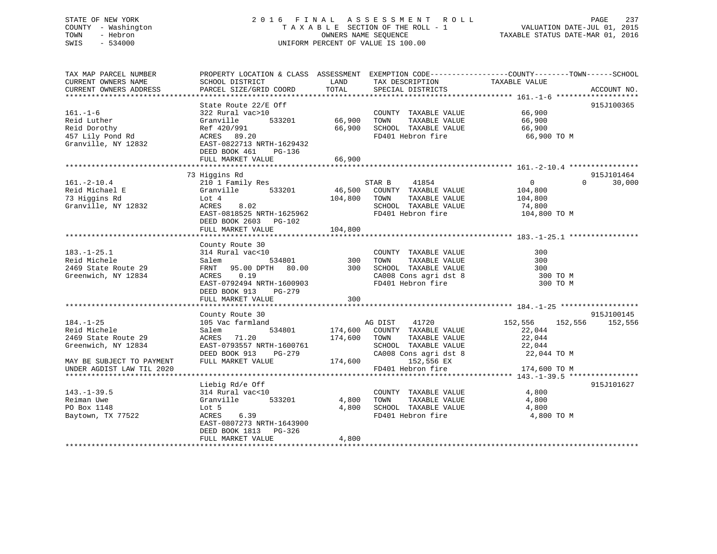# STATE OF NEW YORK 2 0 1 6 F I N A L A S S E S S M E N T R O L L PAGE 237 COUNTY - Washington T A X A B L E SECTION OF THE ROLL - 1 VALUATION DATE-JUL 01, 2015 TOWN - Hebron OWNERS NAME SEQUENCE TAXABLE STATUS DATE-MAR 01, 2016 SWIS - 534000 UNIFORM PERCENT OF VALUE IS 100.00

| TAX MAP PARCEL NUMBER     | PROPERTY LOCATION & CLASS ASSESSMENT EXEMPTION CODE----------------COUNTY-------TOWN------SCHOOL |         |                             |                               |                 |
|---------------------------|--------------------------------------------------------------------------------------------------|---------|-----------------------------|-------------------------------|-----------------|
| CURRENT OWNERS NAME       | SCHOOL DISTRICT                                                                                  | LAND    | TAX DESCRIPTION             | TAXABLE VALUE                 |                 |
| CURRENT OWNERS ADDRESS    | PARCEL SIZE/GRID COORD                                                                           | TOTAL   | SPECIAL DISTRICTS           |                               | ACCOUNT NO.     |
|                           |                                                                                                  |         |                             |                               |                 |
|                           | State Route 22/E Off                                                                             |         |                             |                               | 915J100365      |
| $161. - 1 - 6$            | 322 Rural vac>10                                                                                 |         | COUNTY TAXABLE VALUE        | 66,900                        |                 |
| Reid Luther               | Granville<br>533201                                                                              | 66,900  | TOWN<br>TAXABLE VALUE       | 66,900                        |                 |
| Reid Dorothy              | Ref 420/991                                                                                      | 66,900  | SCHOOL TAXABLE VALUE        | 66,900                        |                 |
| 457 Lily Pond Rd          | ACRES 89.20                                                                                      |         | FD401 Hebron fire           | 66,900 TO M                   |                 |
| Granville, NY 12832       | EAST-0822713 NRTH-1629432                                                                        |         |                             |                               |                 |
|                           | DEED BOOK 461<br>PG-136                                                                          |         |                             |                               |                 |
|                           | FULL MARKET VALUE                                                                                | 66,900  |                             |                               |                 |
|                           |                                                                                                  |         |                             |                               |                 |
|                           | 73 Higgins Rd                                                                                    |         |                             |                               | 915J101464      |
| $161. - 2 - 10.4$         | 210 1 Family Res                                                                                 |         | STAR B<br>41854             | $0 \qquad \qquad$<br>$\Omega$ | 30,000          |
| Reid Michael E            | Granville 533201                                                                                 |         | 46,500 COUNTY TAXABLE VALUE | 104,800                       |                 |
| 73 Higgins Rd             | Lot 4                                                                                            | 104,800 | TOWN<br>TAXABLE VALUE       | 104,800                       |                 |
| Granville, NY 12832       | ACRES<br>8.02                                                                                    |         | SCHOOL TAXABLE VALUE        | 74,800                        |                 |
|                           | EAST-0818525 NRTH-1625962                                                                        |         | FD401 Hebron fire           | 104,800 TO M                  |                 |
|                           | DEED BOOK 2603 PG-102                                                                            |         |                             |                               |                 |
|                           | FULL MARKET VALUE                                                                                | 104,800 |                             |                               |                 |
|                           |                                                                                                  |         |                             |                               |                 |
|                           | County Route 30                                                                                  |         |                             |                               |                 |
| $183. - 1 - 25.1$         | 314 Rural vac<10                                                                                 |         | COUNTY TAXABLE VALUE        | 300                           |                 |
| Reid Michele              | 534801<br>Salem                                                                                  | 300     | TAXABLE VALUE<br>TOWN       | 300                           |                 |
| 2469 State Route 29       | FRNT 95.00 DPTH 80.00                                                                            | 300     | SCHOOL TAXABLE VALUE        | 300                           |                 |
| Greenwich, NY 12834       | ACRES 0.19                                                                                       |         | CA008 Cons agri dst 8       | 300 TO M                      |                 |
|                           | EAST-0792494 NRTH-1600903                                                                        |         | FD401 Hebron fire           | 300 TO M                      |                 |
|                           | DEED BOOK 913<br>PG-279                                                                          |         |                             |                               |                 |
|                           | FULL MARKET VALUE                                                                                | 300     |                             |                               |                 |
|                           |                                                                                                  |         |                             |                               |                 |
|                           | County Route 30                                                                                  |         |                             |                               | 915J100145      |
| $184. - 1 - 25$           | 105 Vac farmland                                                                                 |         | AG DIST<br>41720            | 152,556                       | 152,556 152,556 |
| Reid Michele              | 534801<br>Salem                                                                                  | 174,600 | COUNTY TAXABLE VALUE        | 22,044                        |                 |
| 2469 State Route 29       | ACRES 71.20                                                                                      | 174,600 | TOWN<br>TAXABLE VALUE       | 22,044                        |                 |
| Greenwich, NY 12834       | EAST-0793557 NRTH-1600761                                                                        |         | SCHOOL TAXABLE VALUE        | 22,044                        |                 |
|                           | DEED BOOK 913<br>PG-279                                                                          |         | CA008 Cons agri dst 8       | 22,044 TO M                   |                 |
| MAY BE SUBJECT TO PAYMENT | FULL MARKET VALUE                                                                                | 174,600 | 152,556 EX                  |                               |                 |
| UNDER AGDIST LAW TIL 2020 |                                                                                                  |         | FD401 Hebron fire           | 174,600 TO M                  |                 |
|                           |                                                                                                  |         |                             |                               |                 |
|                           | Liebig Rd/e Off                                                                                  |         |                             |                               | 915J101627      |
| $143. - 1 - 39.5$         | 314 Rural vac<10                                                                                 |         | COUNTY TAXABLE VALUE        | 4,800                         |                 |
| Reiman Uwe                | 533201<br>Granville                                                                              | 4,800   | TAXABLE VALUE<br>TOWN       | 4,800                         |                 |
| PO Box 1148               | Lot 5                                                                                            | 4,800   | SCHOOL TAXABLE VALUE        | 4,800                         |                 |
| Baytown, TX 77522         | 6.39<br>ACRES                                                                                    |         | FD401 Hebron fire           | 4,800 TO M                    |                 |
|                           | EAST-0807273 NRTH-1643900                                                                        |         |                             |                               |                 |
|                           | DEED BOOK 1813 PG-326                                                                            |         |                             |                               |                 |
|                           | FULL MARKET VALUE                                                                                | 4,800   |                             |                               |                 |
|                           |                                                                                                  |         |                             |                               |                 |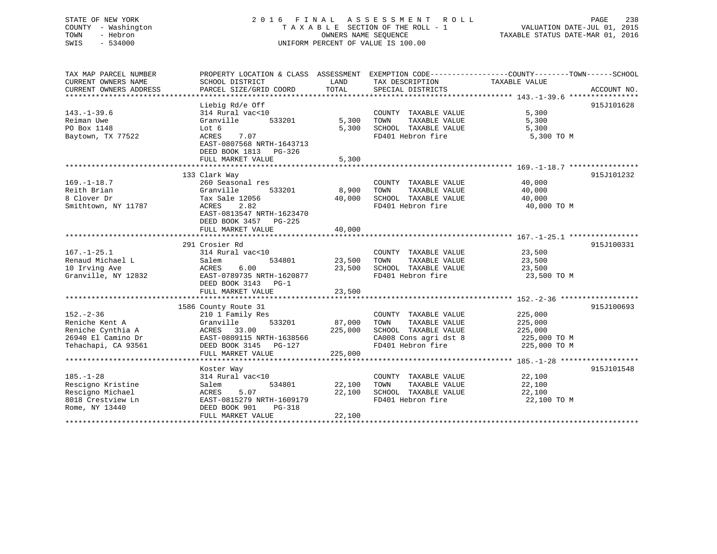# STATE OF NEW YORK 2 0 1 6 F I N A L A S S E S S M E N T R O L L PAGE 238 COUNTY - Washington T A X A B L E SECTION OF THE ROLL - 1 VALUATION DATE-JUL 01, 2015 TOWN - Hebron OWNERS NAME SEQUENCE TAXABLE STATUS DATE-MAR 01, 2016 SWIS - 534000 UNIFORM PERCENT OF VALUE IS 100.00

TAX MAP PARCEL NUMBER PROPERTY LOCATION & CLASS ASSESSMENT EXEMPTION CODE------------------COUNTY--------TOWN------SCHOOL CURRENT OWNERS NAME SCHOOL DISTRICT THE LAND TAX DESCRIPTION TAXABLE VALUE CURRENT OWNERS ADDRESS PARCEL SIZE/GRID COORD TOTAL SPECIAL DISTRICTS ACCOUNT NO. \*\*\*\*\*\*\*\*\*\*\*\*\*\*\*\*\*\*\*\*\*\*\*\*\*\*\*\*\*\*\*\*\*\*\*\*\*\*\*\*\*\*\*\*\*\*\*\*\*\*\*\*\*\*\*\*\*\*\*\*\*\*\*\*\*\*\*\*\*\*\*\*\*\*\*\*\*\*\*\*\*\*\*\*\*\*\*\*\*\*\*\*\*\*\*\*\*\*\*\*\*\*\* 143.-1-39.6 \*\*\*\*\*\*\*\*\*\*\*\*\*\*\*\* Liebig Rd/e Off 915J101628 143.-1-39.6 314 Rural vac<10 COUNTY TAXABLE VALUE 5,300 Reiman Uwe Granville 533201 5,300 TOWN TAXABLE VALUE 5,300 PO Box 1148 Lot 6 5,300 SCHOOL TAXABLE VALUE 5,300 Baytown, TX 77522 ACRES 7.07 FD401 Hebron fire 5,300 TO M EAST-0807568 NRTH-1643713 DEED BOOK 1813 PG-326 FULL MARKET VALUE 5,300 \*\*\*\*\*\*\*\*\*\*\*\*\*\*\*\*\*\*\*\*\*\*\*\*\*\*\*\*\*\*\*\*\*\*\*\*\*\*\*\*\*\*\*\*\*\*\*\*\*\*\*\*\*\*\*\*\*\*\*\*\*\*\*\*\*\*\*\*\*\*\*\*\*\*\*\*\*\*\*\*\*\*\*\*\*\*\*\*\*\*\*\*\*\*\*\*\*\*\*\*\*\*\* 169.-1-18.7 \*\*\*\*\*\*\*\*\*\*\*\*\*\*\*\* 133 Clark Way 915J101232 169.-1-18.7 260 Seasonal res COUNTY TAXABLE VALUE 40,000 Reith Brian Granville 533201 8,900 TOWN TAXABLE VALUE 40,000 8 Clover Dr Tax Sale 12056 40,000 SCHOOL TAXABLE VALUE 40,000 Smithtown, NY 11787 **ACRES** 2.82 **FD401** Hebron fire 40,000 TO M EAST-0813547 NRTH-1623470 DEED BOOK 3457 PG-225 FULL MARKET VALUE 40,000 \*\*\*\*\*\*\*\*\*\*\*\*\*\*\*\*\*\*\*\*\*\*\*\*\*\*\*\*\*\*\*\*\*\*\*\*\*\*\*\*\*\*\*\*\*\*\*\*\*\*\*\*\*\*\*\*\*\*\*\*\*\*\*\*\*\*\*\*\*\*\*\*\*\*\*\*\*\*\*\*\*\*\*\*\*\*\*\*\*\*\*\*\*\*\*\*\*\*\*\*\*\*\* 167.-1-25.1 \*\*\*\*\*\*\*\*\*\*\*\*\*\*\*\* 291 Crosier Rd 915J100331167.-1-25.1 314 Rural vac<10 COUNTY TAXABLE VALUE 23,500 Renaud Michael L Salem 534801 23,500 TOWN TAXABLE VALUE 23,500 10 Irving Ave ACRES 6.00 23,500 SCHOOL TAXABLE VALUE 23,500 Granville, NY 12832 EAST-0789735 NRTH-1620877 FD401 Hebron fire 23,500 TO M DEED BOOK 3143 PG-1PEED DOOR SING THE THE 23,500 \*\*\*\*\*\*\*\*\*\*\*\*\*\*\*\*\*\*\*\*\*\*\*\*\*\*\*\*\*\*\*\*\*\*\*\*\*\*\*\*\*\*\*\*\*\*\*\*\*\*\*\*\*\*\*\*\*\*\*\*\*\*\*\*\*\*\*\*\*\*\*\*\*\*\*\*\*\*\*\*\*\*\*\*\*\*\*\*\*\*\*\*\*\*\*\*\*\*\*\*\*\*\* 152.-2-36 \*\*\*\*\*\*\*\*\*\*\*\*\*\*\*\*\*\* 1586 County Route 31 915J100693 152.-2-36 210 1 Family Res COUNTY TAXABLE VALUE 225,000 Reniche Kent A Granville 533201 87,000 TOWN TAXABLE VALUE 225,000 Reniche Cynthia A ACRES 33.00 225,000 SCHOOL TAXABLE VALUE 225,000 26940 El Camino Dr EAST-0809115 NRTH-1638566 CA008 Cons agri dst 8 225,000 TO M Tehachapi, CA 93561 DEED BOOK 3145 PG-127 FD401 Hebron fire 225,000 TO M EAST-0809115 NAILL 10000<br>DEED BOOK 3145 PG-127<br>- ---------- 225,000 \*\*\*\*\*\*\*\*\*\*\*\*\*\*\*\*\*\*\*\*\*\*\*\*\*\*\*\*\*\*\*\*\*\*\*\*\*\*\*\*\*\*\*\*\*\*\*\*\*\*\*\*\*\*\*\*\*\*\*\*\*\*\*\*\*\*\*\*\*\*\*\*\*\*\*\*\*\*\*\*\*\*\*\*\*\*\*\*\*\*\*\*\*\*\*\*\*\*\*\*\*\*\* 185.-1-28 \*\*\*\*\*\*\*\*\*\*\*\*\*\*\*\*\*\* Koster Way 915J101548 185.-1-28 314 Rural vac<10 COUNTY TAXABLE VALUE 22,100 Rescigno Kristine Salem 534801 22,100 TOWN TAXABLE VALUE 22,100 Rescigno Michael ACRES 5.07 22,100 SCHOOL TAXABLE VALUE 22,100 8018 Crestview Ln EAST-0815279 NRTH-1609179 FD401 Hebron fire 22,100 TO M Rome, NY 13440 DEED BOOK 901 PG-318 FULL MARKET VALUE 22,100 \*\*\*\*\*\*\*\*\*\*\*\*\*\*\*\*\*\*\*\*\*\*\*\*\*\*\*\*\*\*\*\*\*\*\*\*\*\*\*\*\*\*\*\*\*\*\*\*\*\*\*\*\*\*\*\*\*\*\*\*\*\*\*\*\*\*\*\*\*\*\*\*\*\*\*\*\*\*\*\*\*\*\*\*\*\*\*\*\*\*\*\*\*\*\*\*\*\*\*\*\*\*\*\*\*\*\*\*\*\*\*\*\*\*\*\*\*\*\*\*\*\*\*\*\*\*\*\*\*\*\*\*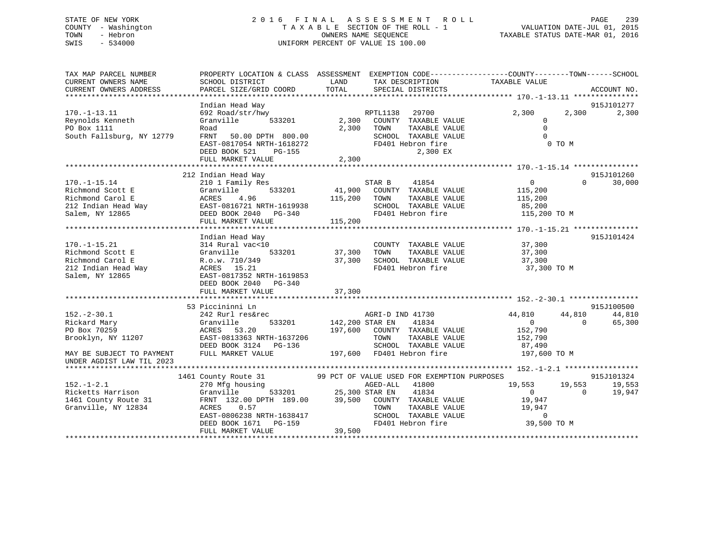# STATE OF NEW YORK 2 0 1 6 F I N A L A S S E S S M E N T R O L L PAGE 239 COUNTY - Washington T A X A B L E SECTION OF THE ROLL - 1 VALUATION DATE-JUL 01, 2015 TOWN - Hebron OWNERS NAME SEQUENCE TAXABLE STATUS DATE-MAR 01, 2016 SWIS - 534000 UNIFORM PERCENT OF VALUE IS 100.00

| TAX MAP PARCEL NUMBER<br>CURRENT OWNERS NAME<br>CURRENT OWNERS ADDRESS | SCHOOL DISTRICT<br>PARCEL SIZE/GRID COORD | LAND<br>TAX DESCRIPTION<br>TOTAL<br>SPECIAL DISTRICTS | PROPERTY LOCATION & CLASS ASSESSMENT EXEMPTION CODE---------------COUNTY-------TOWN-----SCHOOL<br>TAXABLE VALUE<br>ACCOUNT NO. |
|------------------------------------------------------------------------|-------------------------------------------|-------------------------------------------------------|--------------------------------------------------------------------------------------------------------------------------------|
|                                                                        |                                           |                                                       |                                                                                                                                |
|                                                                        | Indian Head Way                           |                                                       | 915J101277                                                                                                                     |
| $170. - 1 - 13.11$                                                     | 692 Road/str/hwy                          | RPTL1138<br>29700                                     | 2,300<br>2,300<br>2,300                                                                                                        |
| Reynolds Kenneth                                                       | Granville<br>533201                       | 2,300 COUNTY TAXABLE VALUE                            | $\Omega$                                                                                                                       |
| PO Box 1111                                                            | Road                                      | 2,300<br>TOWN<br>TAXABLE VALUE                        | $\mathbf 0$                                                                                                                    |
| South Fallsburg, NY 12779                                              | FRNT<br>50.00 DPTH 800.00                 | SCHOOL TAXABLE VALUE                                  | $\Omega$                                                                                                                       |
|                                                                        | EAST-0817054 NRTH-1618272                 | FD401 Hebron fire                                     | 0 TO M                                                                                                                         |
|                                                                        | DEED BOOK 521<br>PG-155                   | 2,300 EX                                              |                                                                                                                                |
|                                                                        | FULL MARKET VALUE                         | 2,300                                                 |                                                                                                                                |
|                                                                        |                                           |                                                       |                                                                                                                                |
|                                                                        | 212 Indian Head Way                       |                                                       | 915J101260                                                                                                                     |
| $170. - 1 - 15.14$                                                     | 210 1 Family Res                          | STAR B<br>41854                                       | 30,000<br>$\Omega$<br>$\Omega$                                                                                                 |
| Richmond Scott E                                                       | 533201<br>Granville                       | 41,900 COUNTY TAXABLE VALUE                           | 115,200                                                                                                                        |
| Richmond Carol E                                                       | 4.96<br>ACRES                             | 115,200<br>TAXABLE VALUE<br>TOWN                      | 115,200                                                                                                                        |
| 212 Indian Head Way                                                    | EAST-0816721 NRTH-1619938                 | SCHOOL TAXABLE VALUE                                  | 85,200                                                                                                                         |
| Salem, NY 12865                                                        | DEED BOOK 2040 PG-340                     | FD401 Hebron fire                                     | 115,200 TO M                                                                                                                   |
|                                                                        | FULL MARKET VALUE                         | 115,200                                               |                                                                                                                                |
|                                                                        |                                           |                                                       |                                                                                                                                |
|                                                                        | Indian Head Way                           |                                                       | 915J101424                                                                                                                     |
| $170. - 1 - 15.21$                                                     | 314 Rural vac<10                          | COUNTY TAXABLE VALUE                                  | 37,300                                                                                                                         |
| Richmond Scott E                                                       | 533201<br>Granville                       | 37,300<br>TAXABLE VALUE<br>TOWN                       | 37,300                                                                                                                         |
| Richmond Carol E                                                       | R.o.w. 710/349                            | 37,300<br>SCHOOL TAXABLE VALUE                        | 37,300                                                                                                                         |
| 212 Indian Head Way                                                    | ACRES 15.21                               | FD401 Hebron fire                                     | 37,300 TO M                                                                                                                    |
| Salem, NY 12865                                                        | EAST-0817352 NRTH-1619853                 |                                                       |                                                                                                                                |
|                                                                        | DEED BOOK 2040 PG-340                     |                                                       |                                                                                                                                |
|                                                                        | FULL MARKET VALUE                         | 37,300                                                |                                                                                                                                |
|                                                                        |                                           |                                                       |                                                                                                                                |
|                                                                        | 53 Piccininni Ln                          |                                                       | 915J100500                                                                                                                     |
| $152 - 2 - 30.1$                                                       | 242 Rurl res&rec                          | AGRI-D IND 41730                                      | 44,810<br>44,810<br>44,810                                                                                                     |
| Rickard Mary                                                           | Granville                                 | 533201 142,200 STAR EN<br>41834                       | 65,300<br>$\overline{0}$<br>$\Omega$                                                                                           |
| PO Box 70259                                                           | ACRES 53.20                               | 197,600<br>COUNTY TAXABLE VALUE                       | 152,790                                                                                                                        |
| Brooklyn, NY 11207                                                     | EAST-0813363 NRTH-1637206                 | TOWN<br>TAXABLE VALUE                                 | 152,790                                                                                                                        |
|                                                                        | DEED BOOK 3124 PG-136                     | SCHOOL TAXABLE VALUE                                  | 87,490                                                                                                                         |
| MAY BE SUBJECT TO PAYMENT                                              | FULL MARKET VALUE                         | 197,600 FD401 Hebron fire                             | 197,600 TO M                                                                                                                   |
| UNDER AGDIST LAW TIL 2023                                              |                                           |                                                       |                                                                                                                                |
|                                                                        |                                           |                                                       |                                                                                                                                |
|                                                                        | 1461 County Route 31                      | 99 PCT OF VALUE USED FOR EXEMPTION PURPOSES           | 915J101324                                                                                                                     |
| $152.-1-2.1$                                                           | 270 Mfg housing                           | AGED-ALL<br>41800                                     | 19,553<br>19,553<br>19,553                                                                                                     |
| Ricketts Harrison                                                      | 533201<br>Granville                       | 25,300 STAR EN<br>41834                               | 19,947<br>$\overline{0}$<br>$\Omega$                                                                                           |
| 1461 County Route 31                                                   | FRNT 132.00 DPTH 189.00                   | 39,500 COUNTY TAXABLE VALUE                           | 19,947                                                                                                                         |
| Granville, NY 12834                                                    | 0.57<br>ACRES                             | TAXABLE VALUE<br>TOWN                                 | 19,947                                                                                                                         |
|                                                                        | EAST-0806238 NRTH-1638417                 | SCHOOL TAXABLE VALUE                                  | $\overline{0}$                                                                                                                 |
|                                                                        | DEED BOOK 1671    PG-159                  | FD401 Hebron fire                                     | 39,500 TO M                                                                                                                    |
|                                                                        | FULL MARKET VALUE                         | 39,500                                                |                                                                                                                                |
|                                                                        |                                           |                                                       |                                                                                                                                |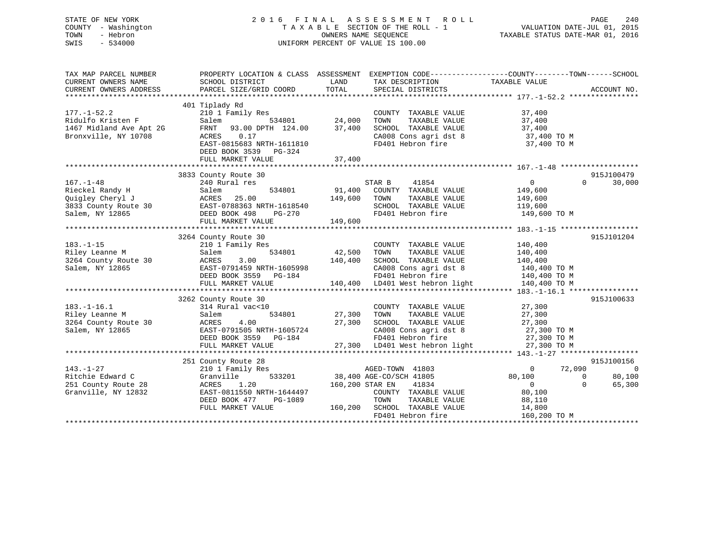# STATE OF NEW YORK 2 0 1 6 F I N A L A S S E S S M E N T R O L L PAGE 240 COUNTY - Washington T A X A B L E SECTION OF THE ROLL - 1 VALUATION DATE-JUL 01, 2015 TOWN - Hebron OWNERS NAME SEQUENCE TAXABLE STATUS DATE-MAR 01, 2016 SWIS - 534000 UNIFORM PERCENT OF VALUE IS 100.00

| TAX MAP PARCEL NUMBER                                                         | PROPERTY LOCATION & CLASS ASSESSMENT EXEMPTION CODE---------------COUNTY-------TOWN------SCHOOL |                 |                                                                    |                          |                    |
|-------------------------------------------------------------------------------|-------------------------------------------------------------------------------------------------|-----------------|--------------------------------------------------------------------|--------------------------|--------------------|
| CURRENT OWNERS NAME                                                           | SCHOOL DISTRICT                                                                                 | LAND            | TAX DESCRIPTION                                                    | TAXABLE VALUE            |                    |
| CURRENT OWNERS ADDRESS                                                        | PARCEL SIZE/GRID COORD                                                                          | TOTAL           | SPECIAL DISTRICTS                                                  |                          | ACCOUNT NO.        |
|                                                                               |                                                                                                 |                 |                                                                    |                          |                    |
|                                                                               | 401 Tiplady Rd                                                                                  |                 |                                                                    |                          |                    |
| $177. - 1 - 52.2$                                                             | 210 1 Family Res                                                                                | 24,000          | COUNTY TAXABLE VALUE                                               | 37,400                   |                    |
| Ridulfo Kristen F                                                             | 534801<br>Salem                                                                                 |                 | TAXABLE VALUE<br>TOWN                                              | 37,400                   |                    |
| 1467 Midland Ave Apt 2G                                                       | FRNT 93.00 DPTH 124.00 37,400                                                                   |                 | SCHOOL TAXABLE VALUE                                               | 37,400                   |                    |
| Bronxville, NY 10708                                                          | 0.17<br>ACRES                                                                                   |                 | CA008 Cons agri dst 8                                              | 37,400 TO M              |                    |
|                                                                               | EAST-0815683 NRTH-1611810                                                                       |                 | FD401 Hebron fire                                                  | 37,400 TO M              |                    |
|                                                                               | DEED BOOK 3539 PG-324                                                                           |                 |                                                                    |                          |                    |
|                                                                               | FULL MARKET VALUE                                                                               | 37,400          |                                                                    |                          |                    |
|                                                                               |                                                                                                 |                 |                                                                    |                          |                    |
|                                                                               | 3833 County Route 30                                                                            |                 |                                                                    |                          | 915J100479         |
| $167. - 1 - 48$                                                               | 240 Rural res                                                                                   |                 | 41854<br>STAR B                                                    | 0                        | $\Omega$<br>30,000 |
| Rieckel Randy H                                                               | 534801<br>Salem                                                                                 |                 | 91,400 COUNTY TAXABLE VALUE                                        | 149,600                  |                    |
|                                                                               | ACRES 25.00                                                                                     | 149,600         | TOWN<br>TAXABLE VALUE                                              | 149,600                  |                    |
|                                                                               | EAST-0788363 NRTH-1618540                                                                       |                 | SCHOOL TAXABLE VALUE                                               | 119,600                  |                    |
| Kiecker Runny -<br>Quigley Cheryl J<br>3833 County Route 30<br>Salam NY 12865 | DEED BOOK 498                                                                                   | $PG-270$        | FD401 Hebron fire                                                  | 149,600 TO M             |                    |
|                                                                               | FULL MARKET VALUE                                                                               | 149,600         |                                                                    |                          |                    |
|                                                                               |                                                                                                 |                 |                                                                    |                          |                    |
|                                                                               | 3264 County Route 30                                                                            |                 |                                                                    |                          | 915J101204         |
| $183. - 1 - 15$                                                               | 210 1 Family Res                                                                                |                 | COUNTY TAXABLE VALUE                                               | 140,400                  |                    |
| Riley Leanne M                                                                | 534801<br>Salem                                                                                 | 42,500          | TAXABLE VALUE<br>TOWN                                              | 140,400                  |                    |
| 3264 County Route 30                                                          |                                                                                                 |                 | SCHOOL TAXABLE VALUE                                               | 140,400                  |                    |
| Salem, NY 12865                                                               | ACRES 3.00 140,400<br>EAST-0791459 NRTH-1605998                                                 |                 |                                                                    | 140,400 TO M             |                    |
|                                                                               | EAST-0791459 NRTH-1605998<br>DEED BOOK 3559 PG-184                                              |                 | CA008 Cons agri dst 8<br>FD401 Hebron fire                         | 140,400 TO M             |                    |
|                                                                               | FULL MARKET VALUE                                                                               |                 | 140,400 LD401 West hebron light 140,400 TO M                       |                          |                    |
|                                                                               |                                                                                                 |                 |                                                                    |                          |                    |
|                                                                               | 3262 County Route 30                                                                            |                 |                                                                    |                          | 915J100633         |
| $183. - 1 - 16.1$                                                             | 314 Rural vac<10                                                                                |                 | COUNTY TAXABLE VALUE                                               | 27,300                   |                    |
| Riley Leanne M                                                                | 534801<br>Salem                                                                                 | 27,300 TOWN     | TAXABLE VALUE                                                      | 27,300                   |                    |
| 3264 County Route 30                                                          | 4.00<br>ACRES                                                                                   |                 | 27,300 SCHOOL TAXABLE VALUE                                        | 27,300                   |                    |
| Salem, NY 12865                                                               | EAST-0791505 NRTH-1605724                                                                       |                 |                                                                    |                          |                    |
|                                                                               | DEED BOOK 3559 PG-184                                                                           |                 | CA008 Cons agri dst 8 27,300 TO M<br>FD401 Hebron fire 27,300 TO M |                          |                    |
|                                                                               | FULL MARKET VALUE                                                                               |                 | 27,300 LD401 West hebron light                                     | 27,300 TO M              |                    |
|                                                                               |                                                                                                 |                 |                                                                    |                          |                    |
|                                                                               | 251 County Route 28                                                                             |                 |                                                                    |                          | 915J100156         |
| $143. - 1 - 27$                                                               | 210 1 Family Res                                                                                |                 | AGED-TOWN 41803                                                    | 72,090<br>$\overline{0}$ | $\overline{0}$     |
| Ritchie Edward C                                                              | 533201<br>Granville                                                                             |                 | 38,400 AGE-CO/SCH 41805                                            | 80,100                   | $\Omega$<br>80,100 |
| 251 County Route 28                                                           | 1.20<br>ACRES                                                                                   | 160,200 STAR EN | 41834                                                              | $\overline{0}$           | $\Omega$<br>65,300 |
| Granville, NY 12832                                                           | EAST-0811550 NRTH-1644497                                                                       |                 | COUNTY TAXABLE VALUE                                               | 80,100                   |                    |
|                                                                               | DEED BOOK 477<br>PG-1089                                                                        |                 | TOWN<br>TAXABLE VALUE                                              | 88,110                   |                    |
|                                                                               | FULL MARKET VALUE                                                                               |                 | 160,200 SCHOOL TAXABLE VALUE                                       | 14,800                   |                    |
|                                                                               |                                                                                                 |                 | FD401 Hebron fire                                                  | 160,200 TO M             |                    |
|                                                                               |                                                                                                 |                 |                                                                    |                          |                    |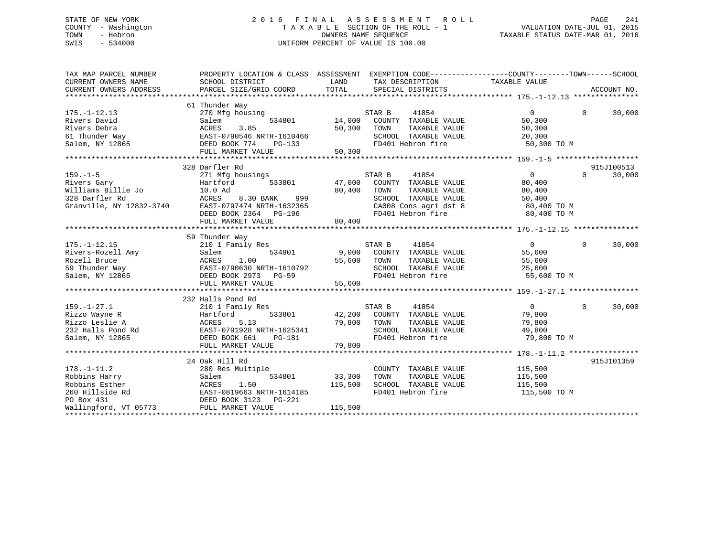# STATE OF NEW YORK 2 0 1 6 F I N A L A S S E S S M E N T R O L L PAGE 241 COUNTY - Washington T A X A B L E SECTION OF THE ROLL - 1 VALUATION DATE-JUL 01, 2015 TOWN - Hebron OWNERS NAME SEQUENCE TAXABLE STATUS DATE-MAR 01, 2016 SWIS - 534000 UNIFORM PERCENT OF VALUE IS 100.00

| TAX MAP PARCEL NUMBER<br>CURRENT OWNERS NAME<br>CURRENT OWNERS ADDRESS | PROPERTY LOCATION & CLASS ASSESSMENT<br>SCHOOL DISTRICT<br>PARCEL SIZE/GRID COORD | LAND<br>TOTAL | EXEMPTION CODE-----------------COUNTY-------TOWN------SCHOOL<br>TAX DESCRIPTION<br>SPECIAL DISTRICTS | TAXABLE VALUE  | ACCOUNT NO.        |
|------------------------------------------------------------------------|-----------------------------------------------------------------------------------|---------------|------------------------------------------------------------------------------------------------------|----------------|--------------------|
|                                                                        |                                                                                   |               |                                                                                                      |                |                    |
|                                                                        | 61 Thunder Way                                                                    |               |                                                                                                      |                |                    |
| $175. - 1 - 12.13$                                                     | 270 Mfg housing                                                                   |               | STAR B<br>41854                                                                                      | $\Omega$       | $\Omega$<br>30,000 |
| Rivers David                                                           | Salem<br>534801                                                                   | 14,000        | COUNTY TAXABLE VALUE                                                                                 | 50,300         |                    |
| Rivers Debra                                                           | 3.85<br>ACRES                                                                     | 50,300        | TAXABLE VALUE<br>TOWN                                                                                | 50,300         |                    |
| 61 Thunder Way                                                         | EAST-0790546 NRTH-1610466                                                         |               | SCHOOL TAXABLE VALUE                                                                                 | 20,300         |                    |
| Salem, NY 12865                                                        | DEED BOOK 774<br>PG-133                                                           |               | FD401 Hebron fire                                                                                    | 50,300 TO M    |                    |
|                                                                        | FULL MARKET VALUE                                                                 | 50,300        |                                                                                                      |                |                    |
|                                                                        |                                                                                   |               |                                                                                                      |                |                    |
|                                                                        | 328 Darfler Rd                                                                    |               |                                                                                                      |                | 915J100513         |
| $159. - 1 - 5$                                                         | 271 Mfg housings                                                                  |               | 41854<br>STAR B                                                                                      | $\Omega$       | $\Omega$<br>30,000 |
| Rivers Gary                                                            | 533801<br>Hartford                                                                | 47,000        | COUNTY TAXABLE VALUE                                                                                 | 80,400         |                    |
| Williams Billie Jo                                                     | 10.0 Ad                                                                           | 80,400        | TAXABLE VALUE<br>TOWN                                                                                | 80,400         |                    |
| 328 Darfler Rd                                                         | ACRES<br>8.30 BANK<br>999                                                         |               | SCHOOL TAXABLE VALUE                                                                                 | 50,400         |                    |
| Granville, NY 12832-3740                                               | EAST-0797474 NRTH-1632365                                                         |               | CA008 Cons agri dst 8                                                                                | 80,400 TO M    |                    |
|                                                                        | DEED BOOK 2364 PG-196                                                             |               | FD401 Hebron fire                                                                                    | 80,400 TO M    |                    |
|                                                                        | FULL MARKET VALUE                                                                 | 80,400        |                                                                                                      |                |                    |
|                                                                        |                                                                                   |               |                                                                                                      |                |                    |
|                                                                        |                                                                                   |               |                                                                                                      |                |                    |
|                                                                        | 59 Thunder Way                                                                    |               |                                                                                                      |                |                    |
| $175. - 1 - 12.15$                                                     | 210 1 Family Res                                                                  |               | 41854<br>STAR B                                                                                      | $\overline{0}$ | $\Omega$<br>30,000 |
| Rivers-Rozell Amy                                                      | 534801<br>Salem                                                                   | 9,000         | COUNTY TAXABLE VALUE                                                                                 | 55,600         |                    |
| Rozell Bruce                                                           | 1.00<br>ACRES                                                                     | 55,600        | TOWN<br>TAXABLE VALUE                                                                                | 55,600         |                    |
| 59 Thunder Way                                                         | EAST-0790630 NRTH-1610792                                                         |               | SCHOOL TAXABLE VALUE                                                                                 | 25,600         |                    |
| Salem, NY 12865                                                        | DEED BOOK 2973<br><b>PG-59</b>                                                    |               | FD401 Hebron fire                                                                                    | 55,600 TO M    |                    |
|                                                                        | FULL MARKET VALUE                                                                 | 55,600        |                                                                                                      |                |                    |
|                                                                        |                                                                                   |               |                                                                                                      |                |                    |
|                                                                        | 232 Halls Pond Rd                                                                 |               |                                                                                                      |                |                    |
| $159. - 1 - 27.1$                                                      | 210 1 Family Res                                                                  |               | 41854<br>STAR B                                                                                      | $\overline{0}$ | $\Omega$<br>30,000 |
| Rizzo Wayne R                                                          | Hartford<br>533801                                                                | 42,200        | COUNTY TAXABLE VALUE                                                                                 | 79,800         |                    |
| Rizzo Leslie A                                                         | ACRES<br>5.13                                                                     | 79,800        | TOWN<br>TAXABLE VALUE                                                                                | 79,800         |                    |
| 232 Halls Pond Rd                                                      | EAST-0791928 NRTH-1625341                                                         |               | SCHOOL TAXABLE VALUE                                                                                 | 49,800         |                    |
| Salem, NY 12865                                                        | DEED BOOK 661<br>PG-181                                                           |               | FD401 Hebron fire                                                                                    | 79,800 TO M    |                    |
|                                                                        | FULL MARKET VALUE                                                                 | 79,800        |                                                                                                      |                |                    |
|                                                                        |                                                                                   |               |                                                                                                      |                |                    |
|                                                                        | 24 Oak Hill Rd                                                                    |               |                                                                                                      |                | 915J101359         |
|                                                                        |                                                                                   |               |                                                                                                      |                |                    |
| $178. - 1 - 11.2$                                                      | 280 Res Multiple                                                                  |               | COUNTY TAXABLE VALUE                                                                                 | 115,500        |                    |
| Robbins Harry                                                          | Salem<br>534801                                                                   | 33,300        | TOWN<br>TAXABLE VALUE                                                                                | 115,500        |                    |
| Robbins Esther                                                         | 1.50<br>ACRES                                                                     | 115,500       | SCHOOL TAXABLE VALUE                                                                                 | 115,500        |                    |
| 260 Hillside Rd                                                        | EAST-0819663 NRTH-1614185                                                         |               | FD401 Hebron fire                                                                                    | 115,500 TO M   |                    |
| PO Box 431                                                             | DEED BOOK 3123<br>PG-221                                                          |               |                                                                                                      |                |                    |
| Wallingford, VT 05773                                                  | FULL MARKET VALUE                                                                 | 115,500       |                                                                                                      |                |                    |
|                                                                        |                                                                                   |               |                                                                                                      |                |                    |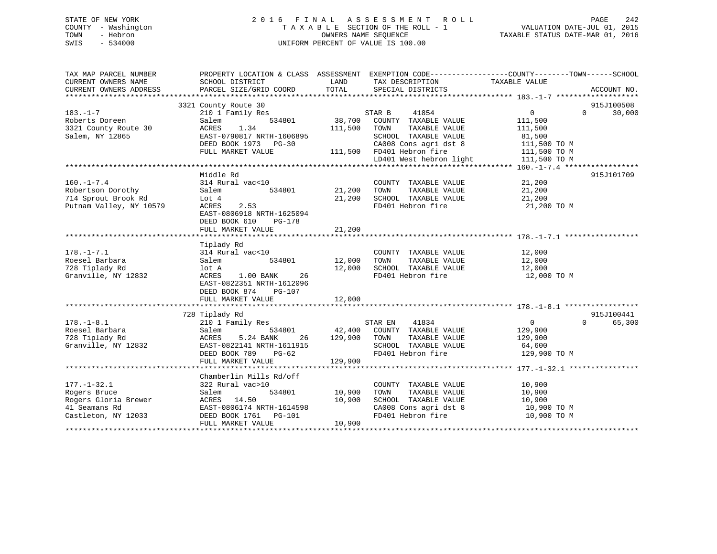# STATE OF NEW YORK 2 0 1 6 F I N A L A S S E S S M E N T R O L L PAGE 242 COUNTY - Washington T A X A B L E SECTION OF THE ROLL - 1 VALUATION DATE-JUL 01, 2015 TOWN - Hebron OWNERS NAME SEQUENCE TAXABLE STATUS DATE-MAR 01, 2016 SWIS - 534000 UNIFORM PERCENT OF VALUE IS 100.00

| TAX MAP PARCEL NUMBER<br>CURRENT OWNERS NAME | SCHOOL DISTRICT           | LAND    | TAX DESCRIPTION                                                                                     | PROPERTY LOCATION & CLASS ASSESSMENT EXEMPTION CODE---------------COUNTY-------TOWN------SCHOOL<br>TAXABLE VALUE |
|----------------------------------------------|---------------------------|---------|-----------------------------------------------------------------------------------------------------|------------------------------------------------------------------------------------------------------------------|
| CURRENT OWNERS ADDRESS                       | PARCEL SIZE/GRID COORD    | TOTAL   | SPECIAL DISTRICTS                                                                                   | ACCOUNT NO.                                                                                                      |
|                                              | 3321 County Route 30      |         |                                                                                                     | 915J100508                                                                                                       |
| $183. - 1 - 7$                               | 210 1 Family Res          |         | STAR B<br>41854                                                                                     | 30,000<br>$0 \qquad \qquad$<br>$\Omega$                                                                          |
| Roberts Doreen                               | 534801<br>Salem           | 38,700  | COUNTY TAXABLE VALUE                                                                                | 111,500                                                                                                          |
| 3321 County Route 30                         | 1.34<br>ACRES             | 111,500 | TAXABLE VALUE<br>TOWN                                                                               | 111,500                                                                                                          |
| Salem, NY 12865                              | EAST-0790817 NRTH-1606895 |         | SCHOOL TAXABLE VALUE                                                                                | 81,500                                                                                                           |
|                                              | DEED BOOK 1973 PG-30      |         | CA008 Cons agri dst 8                                                                               | 111,500 TO M                                                                                                     |
|                                              | FULL MARKET VALUE         |         | 111,500 FD401 Hebron fire<br>FD401 Hebron fire 111,500 TO M<br>LD401 West hebron light 111,500 TO M |                                                                                                                  |
|                                              |                           |         |                                                                                                     |                                                                                                                  |
|                                              |                           |         |                                                                                                     |                                                                                                                  |
|                                              | Middle Rd                 |         |                                                                                                     | 915J101709                                                                                                       |
| $160. - 1 - 7.4$                             | 314 Rural vac<10          |         | COUNTY TAXABLE VALUE                                                                                | 21,200                                                                                                           |
| Robertson Dorothy                            | 534801<br>Salem           | 21,200  | TAXABLE VALUE<br>TOWN                                                                               | 21,200                                                                                                           |
| 714 Sprout Brook Rd                          | Lot 4                     | 21,200  | SCHOOL TAXABLE VALUE                                                                                | 21,200                                                                                                           |
| Putnam Valley, NY 10579                      | <b>ACRES</b><br>2.53      |         | FD401 Hebron fire                                                                                   | 21,200 TO M                                                                                                      |
|                                              | EAST-0806918 NRTH-1625094 |         |                                                                                                     |                                                                                                                  |
|                                              | DEED BOOK 610<br>PG-178   |         |                                                                                                     |                                                                                                                  |
|                                              | FULL MARKET VALUE         | 21,200  |                                                                                                     |                                                                                                                  |
|                                              | Tiplady Rd                |         |                                                                                                     |                                                                                                                  |
| $178. - 1 - 7.1$                             | 314 Rural vac<10          |         | COUNTY TAXABLE VALUE                                                                                | 12,000                                                                                                           |
| Roesel Barbara                               | Salem<br>534801           | 12,000  | TOWN<br>TAXABLE VALUE                                                                               | 12,000                                                                                                           |
| 728 Tiplady Rd                               | lot A                     | 12,000  | SCHOOL TAXABLE VALUE                                                                                | 12,000                                                                                                           |
| Granville, NY 12832                          | 1.00 BANK 26<br>ACRES     |         | FD401 Hebron fire                                                                                   | 12,000 TO M                                                                                                      |
|                                              | EAST-0822351 NRTH-1612096 |         |                                                                                                     |                                                                                                                  |
|                                              | DEED BOOK 874<br>PG-107   |         |                                                                                                     |                                                                                                                  |
|                                              | FULL MARKET VALUE         | 12,000  |                                                                                                     |                                                                                                                  |
|                                              |                           |         |                                                                                                     |                                                                                                                  |
|                                              | 728 Tiplady Rd            |         |                                                                                                     | 915J100441                                                                                                       |
| $178. - 1 - 8.1$                             | 210 1 Family Res          |         | 41834<br>STAR EN                                                                                    | 0<br>$\Omega$<br>65,300                                                                                          |
| Roesel Barbara                               | Salem<br>534801           |         | 42,400 COUNTY TAXABLE VALUE                                                                         | 129,900                                                                                                          |
| 728 Tiplady Rd                               | ACRES<br>5.24 BANK<br>26  | 129,900 | TAXABLE VALUE<br>TOWN                                                                               | 129,900                                                                                                          |
| Granville, NY 12832                          | EAST-0822141 NRTH-1611915 |         | SCHOOL TAXABLE VALUE                                                                                | 64,600                                                                                                           |
|                                              | DEED BOOK 789<br>$PG-62$  |         | FD401 Hebron fire                                                                                   | 129,900 TO M                                                                                                     |
|                                              | FULL MARKET VALUE         | 129,900 |                                                                                                     |                                                                                                                  |
|                                              |                           |         |                                                                                                     |                                                                                                                  |
|                                              | Chamberlin Mills Rd/off   |         |                                                                                                     |                                                                                                                  |
| $177. - 1 - 32.1$                            | 322 Rural vac>10          |         | COUNTY TAXABLE VALUE                                                                                | 10,900                                                                                                           |
| Rogers Bruce                                 | Salem<br>534801           | 10,900  | TOWN<br>TAXABLE VALUE                                                                               | 10,900                                                                                                           |
| Rogers Gloria Brewer                         | ACRES 14.50               | 10,900  | SCHOOL TAXABLE VALUE                                                                                | 10,900                                                                                                           |
| 41 Seamans Rd                                | EAST-0806174 NRTH-1614598 |         | CA008 Cons agri dst 8<br>FD401 Hebron fire                                                          | 10,900 TO M                                                                                                      |
| Castleton, NY 12033                          | DEED BOOK 1761    PG-101  |         |                                                                                                     | 10,900 TO M                                                                                                      |
|                                              | FULL MARKET VALUE         | 10,900  |                                                                                                     |                                                                                                                  |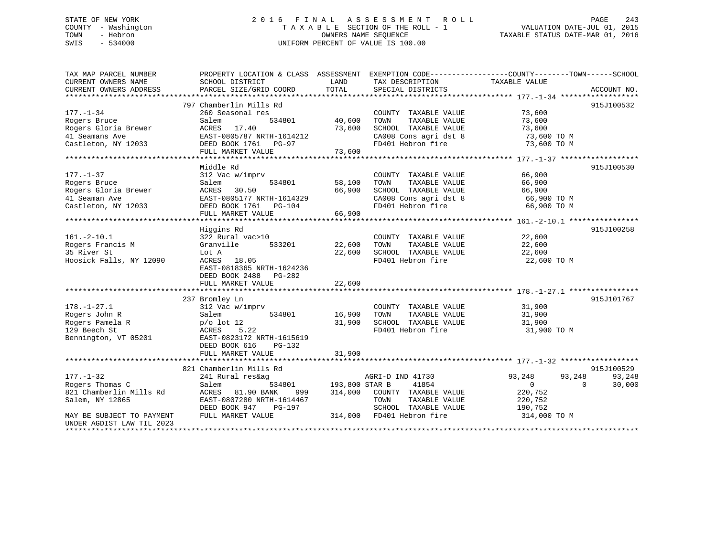# STATE OF NEW YORK 243 2016 FINAL ASSESSMENT ROLL 2016 243 COUNTY - Washington  $T A X A B L E$  SECTION OF THE ROLL - 1<br>TOWN - Hebron DATE-JUL 000NERS NAME SEQUENCE SWIS - 534000 UNIFORM PERCENT OF VALUE IS 100.00

TAXABLE STATUS DATE-MAR 01, 2016

| TAX MAP PARCEL NUMBER     | PROPERTY LOCATION & CLASS ASSESSMENT EXEMPTION CODE--------------COUNTY-------TOWN-----SCHOOL |                |                           |                      |             |
|---------------------------|-----------------------------------------------------------------------------------------------|----------------|---------------------------|----------------------|-------------|
| CURRENT OWNERS NAME       | SCHOOL DISTRICT                                                                               | LAND           | TAX DESCRIPTION           | TAXABLE VALUE        |             |
| CURRENT OWNERS ADDRESS    | PARCEL SIZE/GRID COORD                                                                        | TOTAL          | SPECIAL DISTRICTS         |                      | ACCOUNT NO. |
|                           |                                                                                               |                |                           |                      |             |
|                           | 797 Chamberlin Mills Rd                                                                       |                |                           |                      | 915J100532  |
| $177. - 1 - 34$           | 260 Seasonal res                                                                              |                |                           | 73,600               |             |
|                           |                                                                                               |                | COUNTY TAXABLE VALUE      |                      |             |
| Rogers Bruce              | Salem<br>534801                                                                               | 40,600         | TOWN<br>TAXABLE VALUE     | 73,600               |             |
| Rogers Gloria Brewer      | 17.40<br>ACRES                                                                                | 73,600         | SCHOOL TAXABLE VALUE      | 73,600               |             |
| 41 Seamans Ave            | EAST-0805787 NRTH-1614212                                                                     |                | CA008 Cons agri dst 8     | 73,600 TO M          |             |
| Castleton, NY 12033       | DEED BOOK 1761 PG-97                                                                          |                | FD401 Hebron fire         | 73,600 TO M          |             |
|                           | FULL MARKET VALUE                                                                             | 73,600         |                           |                      |             |
|                           |                                                                                               |                |                           |                      |             |
|                           | Middle Rd                                                                                     |                |                           |                      | 915J100530  |
| $177. - 1 - 37$           | 312 Vac w/imprv                                                                               |                | COUNTY TAXABLE VALUE      | 66,900               |             |
| Rogers Bruce              | Salem<br>534801                                                                               | 58,100         | TAXABLE VALUE<br>TOWN     | 66,900               |             |
| Rogers Gloria Brewer      | ACRES<br>30.50                                                                                | 66,900         | SCHOOL TAXABLE VALUE      | 66,900               |             |
| 41 Seaman Ave             | EAST-0805177 NRTH-1614329                                                                     |                | CA008 Cons agri dst 8     | 66,900 TO M          |             |
| Castleton, NY 12033       | DEED BOOK 1761 PG-104                                                                         |                | FD401 Hebron fire         | 66,900 TO M          |             |
|                           |                                                                                               |                |                           |                      |             |
|                           | FULL MARKET VALUE                                                                             | 66,900         |                           |                      |             |
|                           |                                                                                               |                |                           |                      |             |
|                           | Higgins Rd                                                                                    |                |                           |                      | 915J100258  |
| $161. - 2 - 10.1$         | 322 Rural vac>10                                                                              |                | COUNTY TAXABLE VALUE      | 22,600               |             |
| Rogers Francis M          | Granville<br>533201                                                                           | 22,600         | TOWN<br>TAXABLE VALUE     | 22,600               |             |
| 35 River St               | Lot A                                                                                         | 22,600         | SCHOOL TAXABLE VALUE      | 22,600               |             |
| Hoosick Falls, NY 12090   | ACRES<br>18.05                                                                                |                | FD401 Hebron fire         | 22,600 TO M          |             |
|                           | EAST-0818365 NRTH-1624236                                                                     |                |                           |                      |             |
|                           | DEED BOOK 2488<br>PG-282                                                                      |                |                           |                      |             |
|                           | FULL MARKET VALUE                                                                             | 22,600         |                           |                      |             |
|                           |                                                                                               |                |                           |                      |             |
|                           |                                                                                               |                |                           |                      |             |
|                           | 237 Bromley Ln                                                                                |                |                           |                      | 915J101767  |
| $178. - 1 - 27.1$         | 312 Vac w/imprv                                                                               |                | COUNTY TAXABLE VALUE      | 31,900               |             |
| Rogers John R             | Salem<br>534801                                                                               | 16,900         | TAXABLE VALUE<br>TOWN     | 31,900               |             |
| Rogers Pamela R           | $p/o$ lot 12                                                                                  | 31,900         | SCHOOL TAXABLE VALUE      | 31,900               |             |
| 129 Beech St              | 5.22<br>ACRES                                                                                 |                | FD401 Hebron fire         | 31,900 TO M          |             |
| Bennington, VT 05201      | EAST-0823172 NRTH-1615619                                                                     |                |                           |                      |             |
|                           | DEED BOOK 616<br>$PG-132$                                                                     |                |                           |                      |             |
|                           | FULL MARKET VALUE                                                                             | 31,900         |                           |                      |             |
|                           |                                                                                               |                |                           |                      |             |
|                           | 821 Chamberlin Mills Rd                                                                       |                |                           |                      | 915J100529  |
|                           |                                                                                               |                |                           |                      |             |
| $177. - 1 - 32$           | 241 Rural res&ag                                                                              |                | AGRI-D IND 41730          | 93,248<br>93,248     | 93,248      |
| Rogers Thomas C           | 534801<br>Salem                                                                               | 193,800 STAR B | 41854                     | $\Omega$<br>$\Omega$ | 30,000      |
| 821 Chamberlin Mills Rd   | ACRES<br>81.90 BANK<br>999                                                                    | 314,000        | COUNTY TAXABLE VALUE      | 220,752              |             |
| Salem, NY 12865           | EAST-0807280 NRTH-1614467                                                                     |                | TOWN<br>TAXABLE VALUE     | 220,752              |             |
|                           | DEED BOOK 947<br>PG-197                                                                       |                | SCHOOL TAXABLE VALUE      | 190,752              |             |
| MAY BE SUBJECT TO PAYMENT | FULL MARKET VALUE                                                                             |                | 314,000 FD401 Hebron fire | 314,000 TO M         |             |
| UNDER AGDIST LAW TIL 2023 |                                                                                               |                |                           |                      |             |
|                           |                                                                                               |                |                           |                      |             |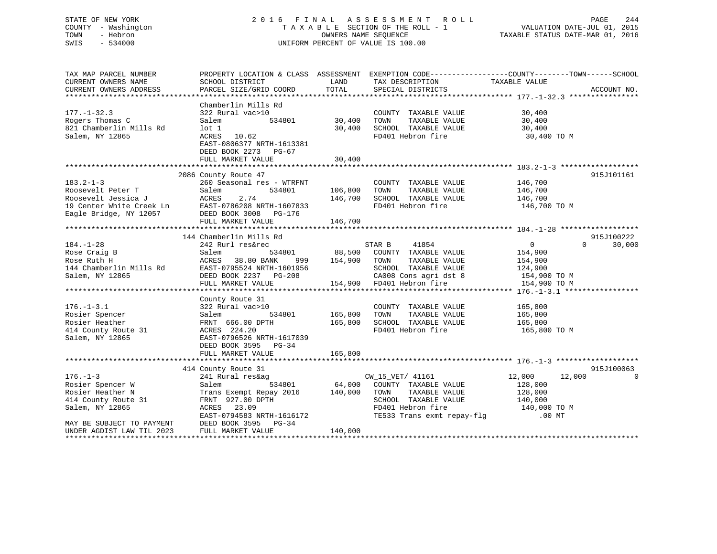# STATE OF NEW YORK 2 0 1 6 F I N A L A S S E S S M E N T R O L L PAGE 244 COUNTY - Washington T A X A B L E SECTION OF THE ROLL - 1 VALUATION DATE-JUL 01, 2015 TOWN - Hebron OWNERS NAME SEQUENCE TAXABLE STATUS DATE-MAR 01, 2016 SWIS - 534000 UNIFORM PERCENT OF VALUE IS 100.00

TAX MAP PARCEL NUMBER PROPERTY LOCATION & CLASS ASSESSMENT EXEMPTION CODE------------------COUNTY--------TOWN------SCHOOL CURRENT OWNERS NAME SCHOOL DISTRICT THE LAND TAX DESCRIPTION TAXABLE VALUE CURRENT OWNERS ADDRESS PARCEL SIZE/GRID COORD TOTAL SPECIAL DISTRICTS ACCOUNT NO. \*\*\*\*\*\*\*\*\*\*\*\*\*\*\*\*\*\*\*\*\*\*\*\*\*\*\*\*\*\*\*\*\*\*\*\*\*\*\*\*\*\*\*\*\*\*\*\*\*\*\*\*\*\*\*\*\*\*\*\*\*\*\*\*\*\*\*\*\*\*\*\*\*\*\*\*\*\*\*\*\*\*\*\*\*\*\*\*\*\*\*\*\*\*\*\*\*\*\*\*\*\*\* 177.-1-32.3 \*\*\*\*\*\*\*\*\*\*\*\*\*\*\*\* Chamberlin Mills Rd 177.-1-32.3 322 Rural vac>10 COUNTY TAXABLE VALUE 30,400 Rogers Thomas C Salem 534801 30,400 TOWN TAXABLE VALUE 30,400 821 Chamberlin Mills Rd lot 1 30,400 SCHOOL TAXABLE VALUE 30,400 Salem, NY 12865 ACRES 10.62 FD401 Hebron fire 30,400 TO M EAST-0806377 NRTH-1613381 DEED BOOK 2273 PG-67FULL MARKET VALUE 30,400 \*\*\*\*\*\*\*\*\*\*\*\*\*\*\*\*\*\*\*\*\*\*\*\*\*\*\*\*\*\*\*\*\*\*\*\*\*\*\*\*\*\*\*\*\*\*\*\*\*\*\*\*\*\*\*\*\*\*\*\*\*\*\*\*\*\*\*\*\*\*\*\*\*\*\*\*\*\*\*\*\*\*\*\*\*\*\*\*\*\*\*\*\*\*\*\*\*\*\*\*\*\*\* 183.2-1-3 \*\*\*\*\*\*\*\*\*\*\*\*\*\*\*\*\*\* 2086 County Route 47 915J101161 183.2-1-3 260 Seasonal res - WTRFNT COUNTY TAXABLE VALUE 146,700 Roosevelt Peter T Salem 534801 106,800 TOWN TAXABLE VALUE 146,700 Roosevelt Jessica J ACRES 2.74 146,700 SCHOOL TAXABLE VALUE 146,700 19 Center White Creek Ln EAST-0786208 NRTH-1607833 FD401 Hebron fire 146,700 TO M Eagle Bridge, NY 12057 DEED BOOK 3008 PG-176 DEED BOOK 3006 FG 170<br>FULL MARKET VALUE 146,700 \*\*\*\*\*\*\*\*\*\*\*\*\*\*\*\*\*\*\*\*\*\*\*\*\*\*\*\*\*\*\*\*\*\*\*\*\*\*\*\*\*\*\*\*\*\*\*\*\*\*\*\*\*\*\*\*\*\*\*\*\*\*\*\*\*\*\*\*\*\*\*\*\*\*\*\*\*\*\*\*\*\*\*\*\*\*\*\*\*\*\*\*\*\*\*\*\*\*\*\*\*\*\* 184.-1-28 \*\*\*\*\*\*\*\*\*\*\*\*\*\*\*\*\*\* 144 Chamberlin Mills Rd 915J100222 $0 \t 0 \t 30,000$ 184.-1-28 242 Rurl res&rec STAR B 41854 0 0 30,000 Rose Craig B Salem 534801 88,500 COUNTY TAXABLE VALUE 154,900 Rose Ruth H ACRES 38.80 BANK 999 154,900 TOWN TAXABLE VALUE 154,900 144 Chamberlin Mills Rd EAST-0795524 NRTH-1601956 SCHOOL TAXABLE VALUE 124,900 Salem, NY 12865 DEED BOOK 2237 PG-208 CA008 Cons agri dst 8 154,900 TO M FULL MARKET VALUE 154,900 FD401 Hebron fire 154,900 TO M \*\*\*\*\*\*\*\*\*\*\*\*\*\*\*\*\*\*\*\*\*\*\*\*\*\*\*\*\*\*\*\*\*\*\*\*\*\*\*\*\*\*\*\*\*\*\*\*\*\*\*\*\*\*\*\*\*\*\*\*\*\*\*\*\*\*\*\*\*\*\*\*\*\*\*\*\*\*\*\*\*\*\*\*\*\*\*\*\*\*\*\*\*\*\*\*\*\*\*\*\*\*\* 176.-1-3.1 \*\*\*\*\*\*\*\*\*\*\*\*\*\*\*\*\* County Route 31 176.-1-3.1 322 Rural vac>10 COUNTY TAXABLE VALUE 165,800 Rosier Spencer Salem 534801 165,800 TOWN TAXABLE VALUE 165,800 Rosier Heather FRNT 666.00 DPTH 165,800 SCHOOL TAXABLE VALUE 165,800 414 County Route 31 ACRES 224.20 FD401 Hebron fire 165,800 TO M Salem, NY 12865 EAST-0796526 NRTH-1617039 DEED BOOK 3595 PG-34FULL MARKET VALUE 165,800 \*\*\*\*\*\*\*\*\*\*\*\*\*\*\*\*\*\*\*\*\*\*\*\*\*\*\*\*\*\*\*\*\*\*\*\*\*\*\*\*\*\*\*\*\*\*\*\*\*\*\*\*\*\*\*\*\*\*\*\*\*\*\*\*\*\*\*\*\*\*\*\*\*\*\*\*\*\*\*\*\*\*\*\*\*\*\*\*\*\*\*\*\*\*\*\*\*\*\*\*\*\*\* 176.-1-3 \*\*\*\*\*\*\*\*\*\*\*\*\*\*\*\*\*\*\* 414 County Route 31 915J100063 176.-1-3 241 Rural res&ag CW\_15\_VET/ 41161 12,000 12,000 0 Rosier Spencer W Salem 534801 64,000 COUNTY TAXABLE VALUE 128,000 Rosier Heather N Trans Exempt Repay 2016 140,000 TOWN TAXABLE VALUE 128,000 414 County Route 31 FRNT 927.00 DPTH SCHOOL TAXABLE VALUE 140,000 Salem, NY 12865 ACRES 23.09 FD401 Hebron fire 140,000 TO M الساب المسابق المسابق المسابق المسابق المسابق المسابق المسابق المسابق المسابق المسابق المسابق المسابق المسابق<br>EAST-0794583 NRTH-1616172 TE533 Trans exmt repay-flg .00 MT MAY BE SUBJECT TO PAYMENT DEED BOOK 3595 PG-34 UNDER AGDIST LAW TIL 2023 FULL MARKET VALUE 140,000 \*\*\*\*\*\*\*\*\*\*\*\*\*\*\*\*\*\*\*\*\*\*\*\*\*\*\*\*\*\*\*\*\*\*\*\*\*\*\*\*\*\*\*\*\*\*\*\*\*\*\*\*\*\*\*\*\*\*\*\*\*\*\*\*\*\*\*\*\*\*\*\*\*\*\*\*\*\*\*\*\*\*\*\*\*\*\*\*\*\*\*\*\*\*\*\*\*\*\*\*\*\*\*\*\*\*\*\*\*\*\*\*\*\*\*\*\*\*\*\*\*\*\*\*\*\*\*\*\*\*\*\*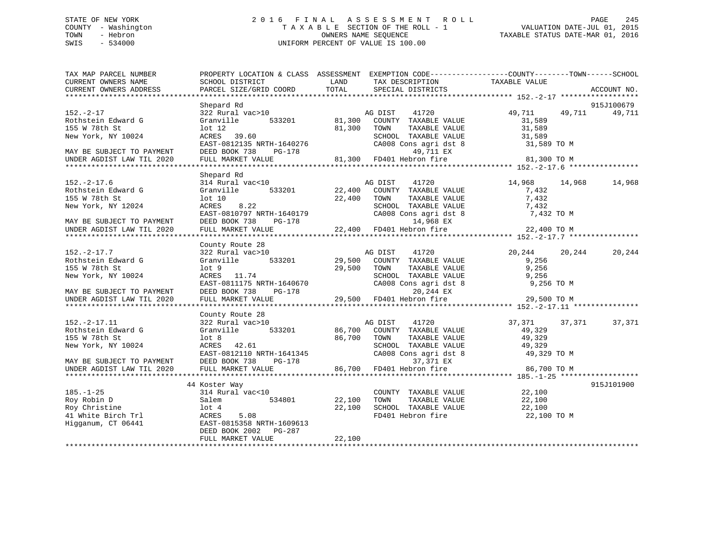# STATE OF NEW YORK 2 0 1 6 F I N A L A S S E S S M E N T R O L L PAGE 245 COUNTY - Washington T A X A B L E SECTION OF THE ROLL - 1 VALUATION DATE-JUL 01, 2015 TOWN - Hebron OWNERS NAME SEQUENCE TAXABLE STATUS DATE-MAR 01, 2016 SWIS - 534000 UNIFORM PERCENT OF VALUE IS 100.00

| TAX MAP PARCEL NUMBER                                  | PROPERTY LOCATION & CLASS ASSESSMENT EXEMPTION CODE----------------COUNTY-------TOWN------SCHOOL |        |                                                                        |                         |        |             |
|--------------------------------------------------------|--------------------------------------------------------------------------------------------------|--------|------------------------------------------------------------------------|-------------------------|--------|-------------|
| CURRENT OWNERS NAME                                    | SCHOOL DISTRICT                                                                                  | LAND   | TAX DESCRIPTION                                                        | TAXABLE VALUE           |        |             |
| CURRENT OWNERS ADDRESS                                 | PARCEL SIZE/GRID COORD                                                                           | TOTAL  | SPECIAL DISTRICTS                                                      |                         |        | ACCOUNT NO. |
|                                                        |                                                                                                  |        |                                                                        |                         |        |             |
|                                                        | Shepard Rd<br>322 Rural vac>10                                                                   |        |                                                                        |                         |        | 915J100679  |
| $152 - 2 - 17$                                         | 533201                                                                                           | 81,300 | 41720<br>AG DIST                                                       | 49,711                  | 49,711 | 49,711      |
| Rothstein Edward G                                     | Granville                                                                                        |        | COUNTY TAXABLE VALUE                                                   | 31,589                  |        |             |
| 155 W 78th St                                          | lot 12                                                                                           | 81,300 | TOWN<br>TAXABLE VALUE                                                  | 31,589                  |        |             |
| New York, NY 10024                                     | ACRES 39.60<br>EAST-0812135 NRTH-1640276                                                         |        | SCHOOL TAXABLE VALUE<br>CA008 Cons agri dst 8                          | 31,589<br>$31,589$ TO M |        |             |
|                                                        |                                                                                                  |        |                                                                        |                         |        |             |
| MAY BE SUBJECT TO PAYMENT                              | DEED BOOK 738<br>PG-178                                                                          |        | 49,711 EX                                                              |                         |        |             |
| UNDER AGDIST LAW TIL 2020                              | FULL MARKET VALUE                                                                                |        | 81,300 FD401 Hebron fire                                               | 81,300 TO M             |        |             |
|                                                        | Shepard Rd                                                                                       |        |                                                                        |                         |        |             |
| $152. - 2 - 17.6$                                      | 314 Rural vac<10                                                                                 |        | 41720<br>AG DIST                                                       | 14,968                  | 14,968 | 14,968      |
| Rothstein Edward G                                     | Granville 533201                                                                                 |        | 22,400 COUNTY TAXABLE VALUE                                            | 7,432                   |        |             |
| 155 W 78th St                                          | lot 10                                                                                           | 22,400 | TAXABLE VALUE<br>TOWN                                                  | 7,432                   |        |             |
| New York, NY 12024                                     | 8.22<br>ACRES                                                                                    |        | SCHOOL TAXABLE VALUE                                                   | 7,432                   |        |             |
|                                                        | EAST-0810797 NRTH-1640179                                                                        |        | CA008 Cons agri dst 8                                                  | 7,432 TO M              |        |             |
|                                                        | DEED BOOK 738<br>PG-178                                                                          |        | 14,968 EX                                                              |                         |        |             |
| MAY BE SUBJECT TO PAYMENT<br>UNDER AGDIST LAW TIL 2020 | FULL MARKET VALUE                                                                                |        | 8 14,968 EX<br>22,400 FD401 Hebron fire                                | 22,400 TO M             |        |             |
|                                                        |                                                                                                  |        |                                                                        |                         |        |             |
|                                                        | County Route 28                                                                                  |        |                                                                        |                         |        |             |
| $152. - 2 - 17.7$                                      | 322 Rural vac>10                                                                                 |        |                                                                        | 20,244                  | 20,244 | 20,244      |
| Rothstein Edward G                                     | Granville 533201                                                                                 |        | AG DIST 41720<br>29,500 COUNTY TAXABLE VALUE                           | 9,256                   |        |             |
| 155 W 78th St                                          | lot 9                                                                                            | 29,500 | TOWN<br>TAXABLE VALUE                                                  | 9,256                   |        |             |
| New York, NY 10024                                     | ACRES 11.74                                                                                      |        | SCHOOL TAXABLE VALUE                                                   | 9,256                   |        |             |
|                                                        |                                                                                                  |        | CA008 Cons agri dst 8                                                  | 9,256 TO M              |        |             |
| MAY BE SUBJECT TO PAYMENT                              | EAST-0811175 NRTH-1640670<br>DEED BOOK 738                                                       |        | 20,244 EX                                                              |                         |        |             |
| UNDER AGDIST LAW TIL 2020                              | FULL MARKET VALUE                                                                                |        | $PG-178$<br>DUE 29,500 FD401 Hebron fire<br>$29,500$ FD401 Hebron fire | 29,500 TO M             |        |             |
|                                                        |                                                                                                  |        |                                                                        |                         |        |             |
|                                                        | County Route 28                                                                                  |        |                                                                        |                         |        |             |
| $152.-2-17.11$                                         | 322 Rural vac>10                                                                                 |        | AG DIST<br>41720                                                       | 37,371                  | 37,371 | 37,371      |
| Rothstein Edward G                                     | Granville 533201                                                                                 | 86,700 | COUNTY TAXABLE VALUE                                                   | 49,329                  |        |             |
| 155 W 78th St                                          | lot <sub>8</sub>                                                                                 | 86,700 | TOWN<br>TAXABLE VALUE                                                  | 49,329                  |        |             |
| New York, NY 10024                                     | ACRES 42.61                                                                                      |        | SCHOOL TAXABLE VALUE                                                   | 49,329                  |        |             |
|                                                        | EAST-0812110 NRTH-1641345<br>DEED BOOK 738 PG-178                                                |        | CA008 Cons agri dst 8                                                  | 49,329 TO M             |        |             |
| MAY BE SUBJECT TO PAYMENT                              |                                                                                                  |        | 37,371 EX                                                              |                         |        |             |
| UNDER AGDIST LAW TIL 2020                              | FULL MARKET VALUE                                                                                |        | 86,700 FD401 Hebron fire                                               | 86,700 TO M             |        |             |
|                                                        |                                                                                                  |        |                                                                        |                         |        |             |
|                                                        | 44 Koster Way                                                                                    |        |                                                                        |                         |        | 915J101900  |
| $185. - 1 - 25$                                        | 314 Rural vac<10                                                                                 |        | COUNTY TAXABLE VALUE                                                   | 22,100                  |        |             |
| Roy Robin D                                            | 534801<br>Salem                                                                                  | 22,100 | TAXABLE VALUE<br>TOWN                                                  | 22,100                  |        |             |
| Roy Christine                                          | lot 4                                                                                            | 22,100 | SCHOOL TAXABLE VALUE                                                   | 22,100                  |        |             |
| 41 White Birch Trl                                     | ACRES<br>5.08                                                                                    |        | FD401 Hebron fire                                                      | 22,100 TO M             |        |             |
| Higganum, CT 06441                                     | EAST-0815358 NRTH-1609613                                                                        |        |                                                                        |                         |        |             |
|                                                        | DEED BOOK 2002 PG-287                                                                            |        |                                                                        |                         |        |             |
|                                                        | FULL MARKET VALUE                                                                                | 22,100 |                                                                        |                         |        |             |
|                                                        |                                                                                                  |        |                                                                        |                         |        |             |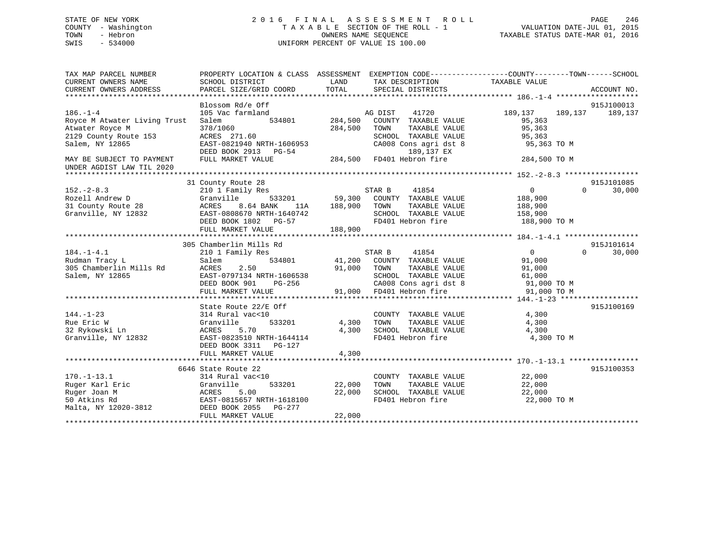# STATE OF NEW YORK 2 0 1 6 F I N A L A S S E S S M E N T R O L L PAGE 246 COUNTY - Washington T A X A B L E SECTION OF THE ROLL - 1 VALUATION DATE-JUL 01, 2015 TOWN - Hebron OWNERS NAME SEQUENCE TAXABLE STATUS DATE-MAR 01, 2016 SWIS - 534000 UNIFORM PERCENT OF VALUE IS 100.00

| TAX MAP PARCEL NUMBER<br>CURRENT OWNERS NAME<br>CURRENT OWNERS ADDRESS                                                                                                  | PROPERTY LOCATION & CLASS ASSESSMENT EXEMPTION CODE---------------COUNTY-------TOWN-----SCHOOL<br>SCHOOL DISTRICT<br>PARCEL SIZE/GRID COORD                          | LAND<br>TOTAL                | TAX DESCRIPTION TAXABLE VALUE<br>SPECIAL DISTRICTS                                                                                                            |                                                                                 | ACCOUNT NO.                      |
|-------------------------------------------------------------------------------------------------------------------------------------------------------------------------|----------------------------------------------------------------------------------------------------------------------------------------------------------------------|------------------------------|---------------------------------------------------------------------------------------------------------------------------------------------------------------|---------------------------------------------------------------------------------|----------------------------------|
| $186. - 1 - 4$<br>Royce M Atwater Living Trust<br>Atwater Royce M<br>2129 County Route 153<br>Salem, NY 12865<br>MAY BE SUBJECT TO PAYMENT<br>UNDER AGDIST LAW TIL 2020 | Blossom Rd/e Off<br>105 Vac farmland<br>534801<br>Salem<br>378/1060<br>ACRES 271.60<br>EAST-0821940 NRTH-1606953<br>DEED BOOK 2913 PG-54<br>FULL MARKET VALUE        | 284,500<br>284,500           | AG DIST<br>41720<br>COUNTY TAXABLE VALUE<br>TOWN<br>TAXABLE VALUE<br>SCHOOL TAXABLE VALUE<br>CA008 Cons agri dst 8<br>189,137 EX<br>284,500 FD401 Hebron fire | 189,137<br>189,137<br>95,363<br>95,363<br>95,363<br>95,363 TO M<br>284,500 TO M | 915J100013<br>189,137            |
| $152 - 2 - 8.3$<br>Rozell Andrew D<br>31 County Route 28<br>Granville, NY 12832                                                                                         | 31 County Route 28<br>210 1 Family Res<br>533201<br>Granville<br>ACRES<br>8.64 BANK<br>11A<br>EAST-0808670 NRTH-1640742<br>DEED BOOK 1802 PG-57<br>FULL MARKET VALUE | 59,300<br>188,900<br>188,900 | STAR B<br>41854<br>COUNTY TAXABLE VALUE<br>TOWN<br>TAXABLE VALUE<br>SCHOOL TAXABLE VALUE<br>FD401 Hebron fire                                                 | 0<br>188,900<br>188,900<br>158,900<br>188,900 TO M                              | 915J101085<br>30,000<br>$\Omega$ |
| $184. - 1 - 4.1$<br>Rudman Tracy L<br>305 Chamberlin Mills Rd<br>Salem, NY 12865                                                                                        | 305 Chamberlin Mills Rd<br>210 1 Family Res<br>534801<br>Salem<br>2.50<br>ACRES<br>EAST-0797134 NRTH-1606538<br>$PG-256$<br>DEED BOOK 901<br>FULL MARKET VALUE       | 91,000                       | 41854<br>STAR B<br>41,200 COUNTY TAXABLE VALUE<br>TAXABLE VALUE<br>TOWN<br>SCHOOL TAXABLE VALUE<br>CA008 Cons agri dst 8<br>91,000 FD401 Hebron fire          | $\overline{0}$<br>91,000<br>91,000<br>61,000<br>91,000 TO M<br>91,000 TO M      | 915J101614<br>$\Omega$<br>30,000 |
| $144. - 1 - 23$<br>Rue Eric W<br>32 Rykowski Ln<br>Granville, NY 12832                                                                                                  | State Route 22/E Off<br>314 Rural vac<10<br>Granville<br>533201<br>5.70<br>ACRES<br>EAST-0823510 NRTH-1644114<br>DEED BOOK 3311 PG-127<br>FULL MARKET VALUE          | 4,300<br>4,300<br>4,300      | COUNTY TAXABLE VALUE<br>TAXABLE VALUE<br>TOWN<br>SCHOOL TAXABLE VALUE<br>FD401 Hebron fire                                                                    | 4,300<br>4,300<br>4,300<br>4,300 TO M                                           | 915J100169                       |
| $170. - 1 - 13.1$<br>Ruger Karl Eric<br>Ruger Joan M<br>50 Atkins Rd<br>Malta, NY 12020-3812                                                                            | 6646 State Route 22<br>314 Rural vac<10<br>Granville<br>533201<br>ACRES<br>5.00<br>EAST-0815657 NRTH-1618100<br>DEED BOOK 2055 PG-277<br>FULL MARKET VALUE           | 22,000<br>22,000<br>22,000   | COUNTY TAXABLE VALUE<br>TOWN<br>TAXABLE VALUE<br>SCHOOL TAXABLE VALUE<br>FD401 Hebron fire                                                                    | 22,000<br>22,000<br>22,000<br>22,000 TO M                                       | 915J100353                       |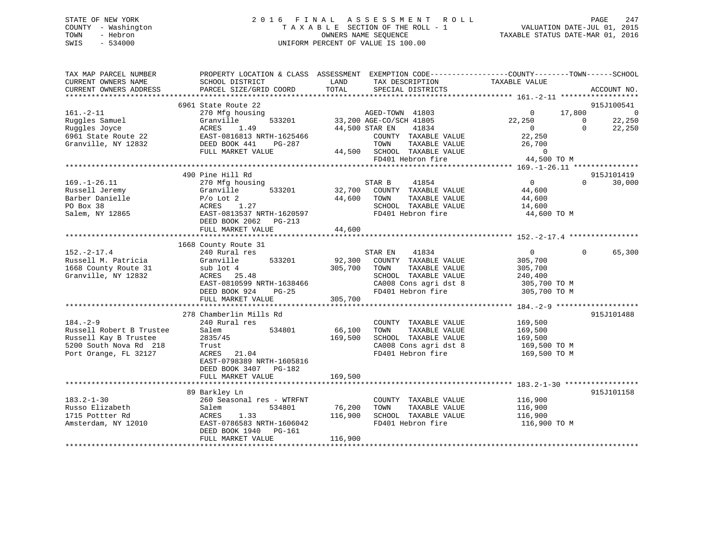# STATE OF NEW YORK 2 0 1 6 F I N A L A S S E S S M E N T R O L L PAGE 247 COUNTY - Washington T A X A B L E SECTION OF THE ROLL - 1 VALUATION DATE-JUL 01, 2015 TOWN - Hebron OWNERS NAME SEQUENCE TAXABLE STATUS DATE-MAR 01, 2016 SWIS - 534000 UNIFORM PERCENT OF VALUE IS 100.00

| TAX MAP PARCEL NUMBER<br>CURRENT OWNERS NAME | PROPERTY LOCATION & CLASS ASSESSMENT EXEMPTION CODE---------------COUNTY-------TOWN------SCHOOL<br>SCHOOL DISTRICT | LAND    | TAX DESCRIPTION                               | TAXABLE VALUE            |                    |
|----------------------------------------------|--------------------------------------------------------------------------------------------------------------------|---------|-----------------------------------------------|--------------------------|--------------------|
| CURRENT OWNERS ADDRESS                       | PARCEL SIZE/GRID COORD                                                                                             | TOTAL   | SPECIAL DISTRICTS                             |                          | ACCOUNT NO.        |
|                                              | 6961 State Route 22                                                                                                |         |                                               |                          | 915J100541         |
| $161. - 2 - 11$                              | 270 Mfg housing                                                                                                    |         | AGED-TOWN 41803                               | 17,800<br>$\overline{0}$ | $\overline{0}$     |
| Ruggles Samuel                               | 533201<br>Granville                                                                                                |         | 33,200 AGE-CO/SCH 41805                       | 22,250                   | 22,250<br>$\Omega$ |
| Ruggles Joyce                                | ACRES<br>1.49                                                                                                      |         | 44,500 STAR EN<br>41834                       | $\overline{0}$           | $\Omega$<br>22,250 |
| 6961 State Route 22                          | EAST-0816813 NRTH-1625466                                                                                          |         | COUNTY TAXABLE VALUE                          | 22,250                   |                    |
| Granville, NY 12832                          | DEED BOOK 441<br>PG-287                                                                                            |         | TOWN<br>TAXABLE VALUE                         | 26,700                   |                    |
|                                              | FULL MARKET VALUE                                                                                                  |         | 44,500 SCHOOL TAXABLE VALUE                   | $\overline{0}$           |                    |
|                                              |                                                                                                                    |         | FD401 Hebron fire                             | 44,500 TO M              |                    |
|                                              | 490 Pine Hill Rd                                                                                                   |         |                                               |                          | 915J101419         |
| $169. - 1 - 26.11$                           | 270 Mfg housing                                                                                                    |         | 41854<br>STAR B                               | $\overline{0}$           | $\Omega$<br>30,000 |
| Russell Jeremy                               | 533201<br>Granville                                                                                                |         | 32,700 COUNTY TAXABLE VALUE                   | 44,600                   |                    |
| Barber Danielle                              | $P/O$ Lot $2$                                                                                                      | 44,600  | TOWN<br>TAXABLE VALUE                         | 44,600                   |                    |
| PO Box 38                                    | ACRES 1.27                                                                                                         |         | SCHOOL TAXABLE VALUE                          | 14,600                   |                    |
| Salem, NY 12865                              | EAST-0813537 NRTH-1620597                                                                                          |         | FD401 Hebron fire                             | 44,600 TO M              |                    |
|                                              | DEED BOOK 2062<br>PG-213                                                                                           |         |                                               |                          |                    |
|                                              | FULL MARKET VALUE                                                                                                  | 44,600  |                                               |                          |                    |
|                                              |                                                                                                                    |         |                                               |                          |                    |
|                                              | 1668 County Route 31                                                                                               |         |                                               |                          |                    |
| $152. - 2 - 17.4$                            | 240 Rural res                                                                                                      |         | STAR EN<br>41834                              | $0 \qquad \qquad$        | 65,300<br>$\Omega$ |
| Russell M. Patricia                          | Granville<br>533201                                                                                                | 92,300  | COUNTY TAXABLE VALUE                          | 305,700                  |                    |
| 1668 County Route 31                         | sub lot 4                                                                                                          | 305,700 | TAXABLE VALUE<br>TOWN                         | 305,700                  |                    |
| Granville, NY 12832                          | ACRES 25.48<br>EAST-0810599 NRTH-1638466                                                                           |         | SCHOOL TAXABLE VALUE<br>CA008 Cons agri dst 8 | 240,400<br>305,700 TO M  |                    |
|                                              | DEED BOOK 924<br>$PG-25$                                                                                           |         | FD401 Hebron fire                             | 305,700 TO M             |                    |
|                                              | FULL MARKET VALUE                                                                                                  | 305,700 |                                               |                          |                    |
|                                              |                                                                                                                    |         |                                               |                          |                    |
|                                              | 278 Chamberlin Mills Rd                                                                                            |         |                                               |                          | 915J101488         |
| $184. - 2 - 9$                               | 240 Rural res                                                                                                      |         | COUNTY TAXABLE VALUE                          | 169,500                  |                    |
| Russell Robert B Trustee                     | 534801<br>Salem                                                                                                    | 66,100  | TAXABLE VALUE<br>TOWN                         | 169,500                  |                    |
| Russell Kay B Trustee                        | 2835/45                                                                                                            | 169,500 | SCHOOL TAXABLE VALUE                          | 169,500                  |                    |
| 5200 South Nova Rd 218                       | Trust                                                                                                              |         | CA008 Cons agri dst 8                         | 169,500 TO M             |                    |
| Port Orange, FL 32127                        | ACRES 21.04                                                                                                        |         | FD401 Hebron fire                             | 169,500 TO M             |                    |
|                                              | EAST-0798389 NRTH-1605816                                                                                          |         |                                               |                          |                    |
|                                              | DEED BOOK 3407 PG-182                                                                                              |         |                                               |                          |                    |
|                                              | FULL MARKET VALUE                                                                                                  | 169,500 |                                               |                          |                    |
|                                              | 89 Barkley Ln                                                                                                      |         |                                               |                          | 915J101158         |
| $183.2 - 1 - 30$                             | 260 Seasonal res - WTRFNT                                                                                          |         | COUNTY TAXABLE VALUE                          | 116,900                  |                    |
| Russo Elizabeth                              | Salem<br>534801                                                                                                    | 76,200  | TOWN<br>TAXABLE VALUE                         | 116,900                  |                    |
| 1715 Pottter Rd                              | ACRES<br>1.33                                                                                                      | 116,900 | SCHOOL TAXABLE VALUE                          | 116,900                  |                    |
| Amsterdam, NY 12010                          | EAST-0786583 NRTH-1606042                                                                                          |         | FD401 Hebron fire                             | 116,900 TO M             |                    |
|                                              | DEED BOOK 1940<br>PG-161                                                                                           |         |                                               |                          |                    |
|                                              | FULL MARKET VALUE                                                                                                  | 116,900 |                                               |                          |                    |
|                                              |                                                                                                                    |         |                                               |                          |                    |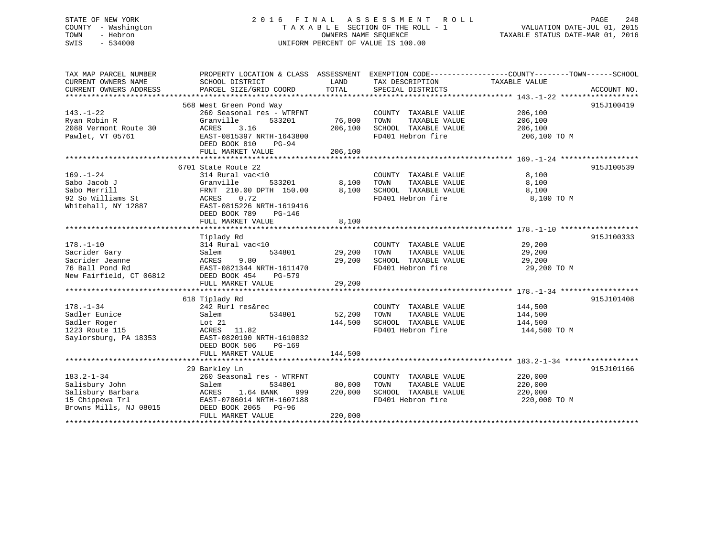#### STATE OF NEW YORK 2 0 1 6 F I N A L A S S E S S M E N T R O L L PAGE 248COUNTY - Washington T A X A B L E SECTION OF THE ROLL - 1 TOWN - Hebron OWNERS NAME SEQUENCE TAXABLE STATUS DATE-MAR 01, 2016 SWIS - 534000 UNIFORM PERCENT OF VALUE IS 100.00

<sup>240</sup> FAGE 240<br>VALUATION DATE-JUL 01, 2015

| TAX MAP PARCEL NUMBER                                                                                                                                                                                                                                                                                                               |                                         |                   |                                                                                                                                                                                                                                                                                                                                                                                                                                                             | PROPERTY LOCATION & CLASS ASSESSMENT EXEMPTION CODE---------------COUNTY-------TOWN------SCHOOL |            |
|-------------------------------------------------------------------------------------------------------------------------------------------------------------------------------------------------------------------------------------------------------------------------------------------------------------------------------------|-----------------------------------------|-------------------|-------------------------------------------------------------------------------------------------------------------------------------------------------------------------------------------------------------------------------------------------------------------------------------------------------------------------------------------------------------------------------------------------------------------------------------------------------------|-------------------------------------------------------------------------------------------------|------------|
|                                                                                                                                                                                                                                                                                                                                     |                                         |                   |                                                                                                                                                                                                                                                                                                                                                                                                                                                             |                                                                                                 |            |
|                                                                                                                                                                                                                                                                                                                                     |                                         |                   |                                                                                                                                                                                                                                                                                                                                                                                                                                                             |                                                                                                 |            |
|                                                                                                                                                                                                                                                                                                                                     | 568 West Green Pond Way                 |                   |                                                                                                                                                                                                                                                                                                                                                                                                                                                             |                                                                                                 | 915J100419 |
| $143. - 1 - 22$                                                                                                                                                                                                                                                                                                                     | 260 Seasonal res - WTRFNT               |                   | COUNTY TAXABLE VALUE                                                                                                                                                                                                                                                                                                                                                                                                                                        | 206,100                                                                                         |            |
| Ryan Robin R                                                                                                                                                                                                                                                                                                                        | Granville<br>533201                     | 76,800<br>206,100 | TOWN TAXABLE VALUE 206,100<br>SCHOOL TAXABLE VALUE 206,100                                                                                                                                                                                                                                                                                                                                                                                                  |                                                                                                 |            |
| 2088 Vermont Route 30                                                                                                                                                                                                                                                                                                               | ACRES<br>3.16                           | 206,100           |                                                                                                                                                                                                                                                                                                                                                                                                                                                             |                                                                                                 |            |
| Pawlet, VT 05761                                                                                                                                                                                                                                                                                                                    | EAST-0815397 NRTH-1643800               |                   | FD401 Hebron fire 206,100 TO M                                                                                                                                                                                                                                                                                                                                                                                                                              |                                                                                                 |            |
|                                                                                                                                                                                                                                                                                                                                     | DEED BOOK 810<br>PG-94                  |                   |                                                                                                                                                                                                                                                                                                                                                                                                                                                             |                                                                                                 |            |
|                                                                                                                                                                                                                                                                                                                                     | FULL MARKET VALUE                       | 206,100           |                                                                                                                                                                                                                                                                                                                                                                                                                                                             |                                                                                                 |            |
|                                                                                                                                                                                                                                                                                                                                     |                                         |                   |                                                                                                                                                                                                                                                                                                                                                                                                                                                             |                                                                                                 |            |
| $169. - 1 - 24$                                                                                                                                                                                                                                                                                                                     | 6701 State Route 22<br>314 Rural vac<10 |                   |                                                                                                                                                                                                                                                                                                                                                                                                                                                             |                                                                                                 | 915J100539 |
|                                                                                                                                                                                                                                                                                                                                     |                                         |                   | COUNTY TAXABLE VALUE 8,100                                                                                                                                                                                                                                                                                                                                                                                                                                  |                                                                                                 |            |
|                                                                                                                                                                                                                                                                                                                                     |                                         |                   | TOWN TAXABLE VALUE $8,100$<br>SCHOOL TAXABLE VALUE $8,100$<br>FD401 Hebron fire $8,100$ TO M                                                                                                                                                                                                                                                                                                                                                                |                                                                                                 |            |
|                                                                                                                                                                                                                                                                                                                                     |                                         |                   |                                                                                                                                                                                                                                                                                                                                                                                                                                                             |                                                                                                 |            |
| Sabo Jacob J<br>Sabo Merrill<br>Sabo Merrill<br>Sabo Merrill<br>Sabo Merrill<br>FRNT 210.00 DPTH 150.00 8,100 SCHOO<br>92 So Williams St<br>Mhitehall, NY 12887<br>EAST-0815226 NRTH-1619416<br>DREED BOOK 789<br>PG-146                                                                                                            |                                         |                   |                                                                                                                                                                                                                                                                                                                                                                                                                                                             |                                                                                                 |            |
|                                                                                                                                                                                                                                                                                                                                     | DEED BOOK 789<br>$PG-146$               |                   |                                                                                                                                                                                                                                                                                                                                                                                                                                                             |                                                                                                 |            |
|                                                                                                                                                                                                                                                                                                                                     | FULL MARKET VALUE                       | 8,100             |                                                                                                                                                                                                                                                                                                                                                                                                                                                             |                                                                                                 |            |
|                                                                                                                                                                                                                                                                                                                                     |                                         |                   |                                                                                                                                                                                                                                                                                                                                                                                                                                                             |                                                                                                 |            |
|                                                                                                                                                                                                                                                                                                                                     | Tiplady Rd                              |                   |                                                                                                                                                                                                                                                                                                                                                                                                                                                             |                                                                                                 | 915J100333 |
| $178. - 1 - 10$                                                                                                                                                                                                                                                                                                                     | 314 Rural vac<10                        |                   | COUNTY TAXABLE VALUE 29, 200                                                                                                                                                                                                                                                                                                                                                                                                                                |                                                                                                 |            |
|                                                                                                                                                                                                                                                                                                                                     |                                         | 534801 29,200     |                                                                                                                                                                                                                                                                                                                                                                                                                                                             |                                                                                                 |            |
|                                                                                                                                                                                                                                                                                                                                     | 29,200                                  |                   | TOWN TAXABLE VALUE<br>SCHOOL TAXABLE VALUE 29,200                                                                                                                                                                                                                                                                                                                                                                                                           |                                                                                                 |            |
| 178.-1-10<br>Sacrider Gary<br>Salem 534801<br>29,200<br>76 Ball Pond Rd EAST-0821344 NRTH-1611470<br>New Fairfield, CT 06812<br>DEED BOOK 454 PG-579                                                                                                                                                                                |                                         |                   | FD401 Hebron fire                                                                                                                                                                                                                                                                                                                                                                                                                                           | 29,200 TO M                                                                                     |            |
|                                                                                                                                                                                                                                                                                                                                     |                                         |                   |                                                                                                                                                                                                                                                                                                                                                                                                                                                             |                                                                                                 |            |
|                                                                                                                                                                                                                                                                                                                                     | FULL MARKET VALUE                       | 29,200            |                                                                                                                                                                                                                                                                                                                                                                                                                                                             |                                                                                                 |            |
|                                                                                                                                                                                                                                                                                                                                     |                                         |                   |                                                                                                                                                                                                                                                                                                                                                                                                                                                             |                                                                                                 |            |
|                                                                                                                                                                                                                                                                                                                                     | 618 Tiplady Rd                          |                   |                                                                                                                                                                                                                                                                                                                                                                                                                                                             |                                                                                                 | 915J101408 |
|                                                                                                                                                                                                                                                                                                                                     | 242 Rurl res&rec                        |                   | COUNTY TAXABLE VALUE 144,500                                                                                                                                                                                                                                                                                                                                                                                                                                |                                                                                                 |            |
|                                                                                                                                                                                                                                                                                                                                     |                                         |                   |                                                                                                                                                                                                                                                                                                                                                                                                                                                             |                                                                                                 |            |
|                                                                                                                                                                                                                                                                                                                                     |                                         |                   | TOWN TAXABLE VALUE 144,500<br>SCHOOL TAXABLE VALUE 144,500                                                                                                                                                                                                                                                                                                                                                                                                  |                                                                                                 |            |
| $\begin{tabular}{lllllllllllll} 178.-1-34 & 242 \; \mathrm{Rurl} \; \text{res\&rec} & \\ \text{Sadler Eunice} & \text{Salem} & 534801 & 52,200 \\ \text{Sadler Roger} & \text{Lot 21} & 144,500 \\ \text{1223 Route 115} & \text{ACRES} & 11.82 \\ \text{Saylorsburg, PA 18353} & \text{EAST-0820190 NRTH-1610832} & \end{tabular}$ |                                         |                   | FD401 Hebron fire                                                                                                                                                                                                                                                                                                                                                                                                                                           | 144,500 TO M                                                                                    |            |
|                                                                                                                                                                                                                                                                                                                                     |                                         |                   |                                                                                                                                                                                                                                                                                                                                                                                                                                                             |                                                                                                 |            |
|                                                                                                                                                                                                                                                                                                                                     | DEED BOOK 506<br>$PG-169$               |                   |                                                                                                                                                                                                                                                                                                                                                                                                                                                             |                                                                                                 |            |
|                                                                                                                                                                                                                                                                                                                                     | FULL MARKET VALUE                       | 144,500           |                                                                                                                                                                                                                                                                                                                                                                                                                                                             |                                                                                                 |            |
|                                                                                                                                                                                                                                                                                                                                     |                                         |                   |                                                                                                                                                                                                                                                                                                                                                                                                                                                             |                                                                                                 |            |
|                                                                                                                                                                                                                                                                                                                                     | 29 Barkley Ln                           |                   |                                                                                                                                                                                                                                                                                                                                                                                                                                                             |                                                                                                 | 915J101166 |
| $183.2 - 1 - 34$                                                                                                                                                                                                                                                                                                                    | 260 Seasonal res - WTRFNT               |                   | $\begin{tabular}{lllllllll} \multicolumn{4}{c}{\textbf{COUNTY}} & \textbf{TAXABLE VALUE} & & & & & 220,000 \\ \multicolumn{4}{c}{\textbf{TAXABLE VALUE}} & & & & 220,000 \\ \multicolumn{4}{c}{\textbf{TAXABLE VALUE}} & & & & 220,000 \\ \multicolumn{4}{c}{\textbf{TAXABLE VALUE}} & & & & 220,000 \\ \multicolumn{4}{c}{\textbf{TAXABLE VALUE}} & & & & 220,000 \\ \multicolumn{4}{c}{\textbf{TAXABLE}} & & & & 220,000 \\ \multicolumn{4}{c}{\textbf{T$ |                                                                                                 |            |
| Salisbury John                                                                                                                                                                                                                                                                                                                      | 534801<br>Salem                         | 80,000            |                                                                                                                                                                                                                                                                                                                                                                                                                                                             |                                                                                                 |            |
|                                                                                                                                                                                                                                                                                                                                     |                                         | 999 220,000       | SCHOOL TAXABLE VALUE 220,000                                                                                                                                                                                                                                                                                                                                                                                                                                |                                                                                                 |            |
|                                                                                                                                                                                                                                                                                                                                     |                                         |                   | FD401 Hebron fire                                                                                                                                                                                                                                                                                                                                                                                                                                           | 220,000 TO M                                                                                    |            |
|                                                                                                                                                                                                                                                                                                                                     |                                         |                   |                                                                                                                                                                                                                                                                                                                                                                                                                                                             |                                                                                                 |            |
|                                                                                                                                                                                                                                                                                                                                     | FULL MARKET VALUE                       | 220,000           |                                                                                                                                                                                                                                                                                                                                                                                                                                                             |                                                                                                 |            |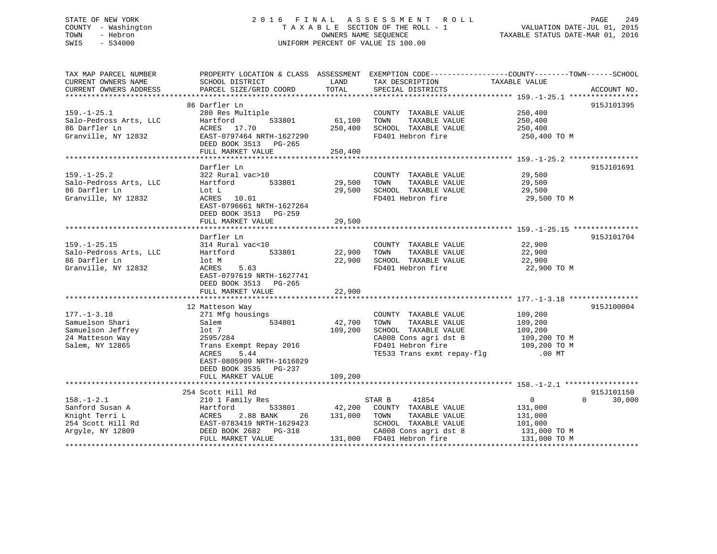# STATE OF NEW YORK 249 2016 FINAL ASSESSMENT ROLL 2016 249 COUNTY - Washington  $T A X A B L E$  SECTION OF THE ROLL - 1<br>TOWN - Hebron DATE-JUL 000NERS NAME SEQUENCE SWIS - 534000 UNIFORM PERCENT OF VALUE IS 100.00

VALUATION DATE-JUL 01, 2015

TAXABLE STATUS DATE-MAR 01, 2016

| TAX MAP PARCEL NUMBER  | PROPERTY LOCATION & CLASS ASSESSMENT EXEMPTION CODE--------------COUNTY-------TOWN-----SCHOOL |              |                            |                            |             |
|------------------------|-----------------------------------------------------------------------------------------------|--------------|----------------------------|----------------------------|-------------|
| CURRENT OWNERS NAME    | SCHOOL DISTRICT                                                                               | LAND         | TAX DESCRIPTION            | TAXABLE VALUE              |             |
| CURRENT OWNERS ADDRESS | PARCEL SIZE/GRID COORD                                                                        | TOTAL        | SPECIAL DISTRICTS          |                            | ACCOUNT NO. |
|                        |                                                                                               |              |                            |                            |             |
|                        | 86 Darfler Ln                                                                                 |              |                            |                            | 915J101395  |
|                        |                                                                                               |              |                            |                            |             |
| $159. - 1 - 25.1$      | 280 Res Multiple                                                                              |              | COUNTY TAXABLE VALUE       | 250,400                    |             |
| Salo-Pedross Arts, LLC | 533801<br>Hartford                                                                            | 61,100       | TOWN<br>TAXABLE VALUE      | 250,400                    |             |
| 86 Darfler Ln          | ACRES 17.70                                                                                   | 250,400      | SCHOOL TAXABLE VALUE       | 250,400                    |             |
| Granville, NY 12832    | EAST-0797464 NRTH-1627290                                                                     |              | FD401 Hebron fire          | 250,400 TO M               |             |
|                        | DEED BOOK 3513<br>PG-265                                                                      |              |                            |                            |             |
|                        | FULL MARKET VALUE                                                                             | 250,400      |                            |                            |             |
|                        |                                                                                               |              |                            |                            |             |
|                        |                                                                                               |              |                            |                            |             |
|                        | Darfler Ln                                                                                    |              |                            |                            | 915J101691  |
| $159. - 1 - 25.2$      | 322 Rural vac>10                                                                              |              | COUNTY TAXABLE VALUE       | 29,500                     |             |
| Salo-Pedross Arts, LLC | 533801<br>Hartford                                                                            | 29,500       | TOWN<br>TAXABLE VALUE      | 29,500                     |             |
| 86 Darfler Ln          | Lot L                                                                                         | 29,500       | SCHOOL TAXABLE VALUE       | 29,500                     |             |
| Granville, NY 12832    | ACRES 10.01                                                                                   |              | FD401 Hebron fire          | 29,500 TO M                |             |
|                        | EAST-0796661 NRTH-1627264                                                                     |              |                            |                            |             |
|                        | DEED BOOK 3513 PG-259                                                                         |              |                            |                            |             |
|                        |                                                                                               |              |                            |                            |             |
|                        | FULL MARKET VALUE                                                                             | 29,500       |                            |                            |             |
|                        |                                                                                               |              |                            |                            |             |
|                        | Darfler Ln                                                                                    |              |                            |                            | 915J101704  |
| $159. - 1 - 25.15$     | 314 Rural vac<10                                                                              |              | COUNTY TAXABLE VALUE       | 22,900                     |             |
| Salo-Pedross Arts, LLC | Hartford<br>533801                                                                            | 22,900       | TAXABLE VALUE<br>TOWN      | 22,900                     |             |
| 86 Darfler Ln          | lot M                                                                                         | 22,900       | SCHOOL TAXABLE VALUE       | 22,900                     |             |
| Granville, NY 12832    | 5.63<br>ACRES                                                                                 |              | FD401 Hebron fire          | 22,900 TO M                |             |
|                        |                                                                                               |              |                            |                            |             |
|                        | EAST-0797619 NRTH-1627741                                                                     |              |                            |                            |             |
|                        | DEED BOOK 3513 PG-265                                                                         |              |                            |                            |             |
|                        | FULL MARKET VALUE                                                                             | 22,900       |                            |                            |             |
|                        |                                                                                               | ************ |                            |                            |             |
|                        | 12 Matteson Way                                                                               |              |                            |                            | 915J100004  |
| $177. - 1 - 3.18$      | 271 Mfg housings                                                                              |              | COUNTY TAXABLE VALUE       | 109,200                    |             |
| Samuelson Shari        | 534801<br>Salem                                                                               | 42,700       | TOWN<br>TAXABLE VALUE      | 109,200                    |             |
|                        |                                                                                               |              |                            |                            |             |
| Samuelson Jeffrey      | lot 7                                                                                         | 109,200      | SCHOOL TAXABLE VALUE       | 109,200                    |             |
| 24 Matteson Way        | 2595/284                                                                                      |              | CA008 Cons agri dst 8      | 109,200 TO M               |             |
| Salem, NY 12865        | Trans Exempt Repay 2016                                                                       |              | FD401 Hebron fire          | 109,200 TO M               |             |
|                        | ACRES<br>5.44                                                                                 |              | TE533 Trans exmt repay-flg | $.00$ MT                   |             |
|                        | EAST-0805909 NRTH-1616029                                                                     |              |                            |                            |             |
|                        | DEED BOOK 3535 PG-237                                                                         |              |                            |                            |             |
|                        | FULL MARKET VALUE                                                                             | 109,200      |                            |                            |             |
|                        |                                                                                               |              |                            |                            |             |
|                        |                                                                                               |              |                            |                            |             |
|                        | 254 Scott Hill Rd                                                                             |              |                            |                            | 915J101150  |
| $158. - 1 - 2.1$       | 210 1 Family Res                                                                              |              | 41854<br>STAR B            | $\overline{0}$<br>$\Omega$ | 30,000      |
| Sanford Susan A        | 533801<br>Hartford                                                                            | 42,200       | COUNTY TAXABLE VALUE       | 131,000                    |             |
| Knight Terri L         | ACRES<br>2.88 BANK<br>26                                                                      | 131,000      | TOWN<br>TAXABLE VALUE      | 131,000                    |             |
| 254 Scott Hill Rd      | EAST-0783419 NRTH-1629423                                                                     |              | SCHOOL TAXABLE VALUE       | 101,000                    |             |
| Argyle, NY 12809       | DEED BOOK 2682 PG-318                                                                         |              | CA008 Cons agri dst 8      |                            |             |
|                        |                                                                                               |              |                            | 131,000 TO M               |             |
|                        | FULL MARKET VALUE                                                                             |              | 131,000 FD401 Hebron fire  | 131,000 TO M               |             |
|                        |                                                                                               |              |                            |                            |             |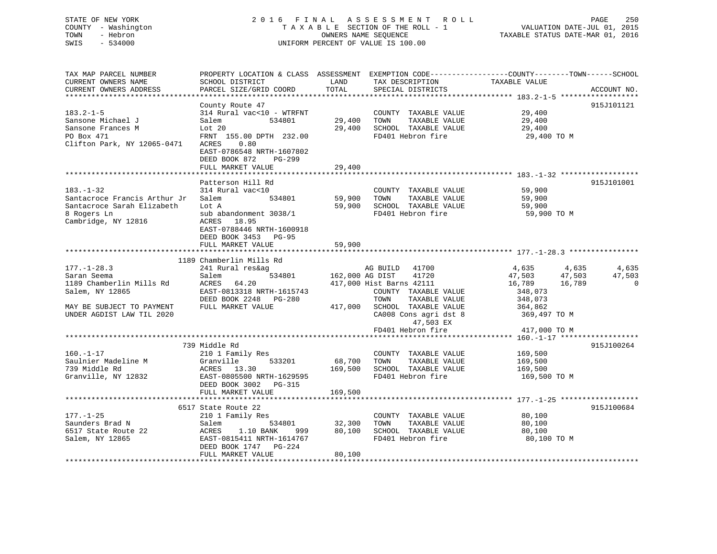# STATE OF NEW YORK 2 0 1 6 F I N A L A S S E S S M E N T R O L L PAGE 250 COUNTY - Washington T A X A B L E SECTION OF THE ROLL - 1 VALUATION DATE-JUL 01, 2015 TOWN - Hebron OWNERS NAME SEQUENCE TAXABLE STATUS DATE-MAR 01, 2016 SWIS - 534000 UNIFORM PERCENT OF VALUE IS 100.00

| TAX MAP PARCEL NUMBER<br>CURRENT OWNERS NAME | PROPERTY LOCATION & CLASS ASSESSMENT EXEMPTION CODE----------------COUNTY-------TOWN------SCHOOL<br>SCHOOL DISTRICT | LAND            | TAX DESCRIPTION              | TAXABLE VALUE    |                |
|----------------------------------------------|---------------------------------------------------------------------------------------------------------------------|-----------------|------------------------------|------------------|----------------|
| CURRENT OWNERS ADDRESS                       | PARCEL SIZE/GRID COORD                                                                                              | TOTAL           | SPECIAL DISTRICTS            |                  | ACCOUNT NO.    |
|                                              |                                                                                                                     |                 |                              |                  |                |
| $183.2 - 1 - 5$                              | County Route 47<br>314 Rural vac<10 - WTRFNT                                                                        |                 | COUNTY TAXABLE VALUE         | 29,400           | 915J101121     |
| Sansone Michael J                            | 534801<br>Salem                                                                                                     | 29,400          | TOWN<br>TAXABLE VALUE        | 29,400           |                |
| Sansone Frances M                            | Lot 20                                                                                                              | 29,400          | SCHOOL TAXABLE VALUE         | 29,400           |                |
| PO Box 471                                   | FRNT 155.00 DPTH 232.00                                                                                             |                 | FD401 Hebron fire            | 29,400 TO M      |                |
| Clifton Park, NY 12065-0471                  | ACRES<br>0.80                                                                                                       |                 |                              |                  |                |
|                                              | EAST-0786548 NRTH-1607802                                                                                           |                 |                              |                  |                |
|                                              | DEED BOOK 872<br>PG-299                                                                                             |                 |                              |                  |                |
|                                              | FULL MARKET VALUE                                                                                                   | 29,400          |                              |                  |                |
|                                              |                                                                                                                     |                 |                              |                  |                |
|                                              | Patterson Hill Rd                                                                                                   |                 |                              |                  | 915J101001     |
| $183. - 1 - 32$                              | 314 Rural vac<10                                                                                                    |                 | COUNTY TAXABLE VALUE         | 59,900           |                |
| Santacroce Francis Arthur Jr                 | Salem<br>534801                                                                                                     | 59,900          | TAXABLE VALUE<br>TOWN        | 59,900           |                |
| Santacroce Sarah Elizabeth                   | Lot A                                                                                                               | 59,900          | SCHOOL TAXABLE VALUE         | 59,900           |                |
| 8 Rogers Ln<br>Cambridge, NY 12816           | sub abandonment 3038/1<br>18.95                                                                                     |                 | FD401 Hebron fire            | 59,900 TO M      |                |
|                                              | ACRES<br>EAST-0788446 NRTH-1600918                                                                                  |                 |                              |                  |                |
|                                              | DEED BOOK 3453 PG-95                                                                                                |                 |                              |                  |                |
|                                              | FULL MARKET VALUE                                                                                                   | 59,900          |                              |                  |                |
|                                              |                                                                                                                     |                 |                              |                  |                |
|                                              | 1189 Chamberlin Mills Rd                                                                                            |                 |                              |                  |                |
| $177. - 1 - 28.3$                            | 241 Rural res&ag                                                                                                    |                 | AG BUILD 41700               | 4,635<br>4,635   | 4,635          |
| Saran Seema                                  | 534801<br>Salem                                                                                                     | 162,000 AG DIST | 41720                        | 47,503<br>47,503 | 47,503         |
| 1189 Chamberlin Mills Rd                     | ACRES 64.20                                                                                                         |                 | 417,000 Hist Barns 42111     | 16,789<br>16,789 | $\overline{0}$ |
| Salem, NY 12865                              | EAST-0813318 NRTH-1615743                                                                                           |                 | COUNTY TAXABLE VALUE         | 348,073          |                |
|                                              | DEED BOOK 2248 PG-280                                                                                               |                 | TAXABLE VALUE<br>TOWN        | 348,073          |                |
| MAY BE SUBJECT TO PAYMENT                    | FULL MARKET VALUE                                                                                                   |                 | 417,000 SCHOOL TAXABLE VALUE | 364,862          |                |
| UNDER AGDIST LAW TIL 2020                    |                                                                                                                     |                 | CA008 Cons agri dst 8        | 369,497 TO M     |                |
|                                              |                                                                                                                     |                 | 47,503 EX                    |                  |                |
|                                              |                                                                                                                     |                 | FD401 Hebron fire            | 417,000 TO M     |                |
|                                              | 739 Middle Rd                                                                                                       |                 |                              |                  | 915J100264     |
| $160. - 1 - 17$                              | 210 1 Family Res                                                                                                    |                 | COUNTY TAXABLE VALUE         | 169,500          |                |
| Saulnier Madeline M                          | Granville<br>533201                                                                                                 | 68,700          | TAXABLE VALUE<br>TOWN        | 169,500          |                |
| 739 Middle Rd                                | ACRES 13.30                                                                                                         | 169,500         | SCHOOL TAXABLE VALUE         | 169,500          |                |
| Granville, NY 12832                          | EAST-0805500 NRTH-1629595                                                                                           |                 | FD401 Hebron fire            | 169,500 TO M     |                |
|                                              | DEED BOOK 3002 PG-315                                                                                               |                 |                              |                  |                |
|                                              | FULL MARKET VALUE                                                                                                   | 169,500         |                              |                  |                |
|                                              |                                                                                                                     |                 |                              |                  |                |
|                                              | 6517 State Route 22                                                                                                 |                 |                              |                  | 915J100684     |
| $177. - 1 - 25$                              | 210 1 Family Res                                                                                                    |                 | COUNTY TAXABLE VALUE         | 80,100           |                |
| Saunders Brad N                              | 534801<br>Salem                                                                                                     | 32,300          | TOWN<br>TAXABLE VALUE        | 80,100           |                |
| 6517 State Route 22                          | 1.10 BANK<br>ACRES<br>999                                                                                           | 80,100          | SCHOOL TAXABLE VALUE         | 80,100           |                |
| Salem, NY 12865                              | EAST-0815411 NRTH-1614767                                                                                           |                 | FD401 Hebron fire            | 80,100 TO M      |                |
|                                              | DEED BOOK 1747 PG-224<br>FULL MARKET VALUE                                                                          | 80,100          |                              |                  |                |
|                                              |                                                                                                                     |                 |                              |                  |                |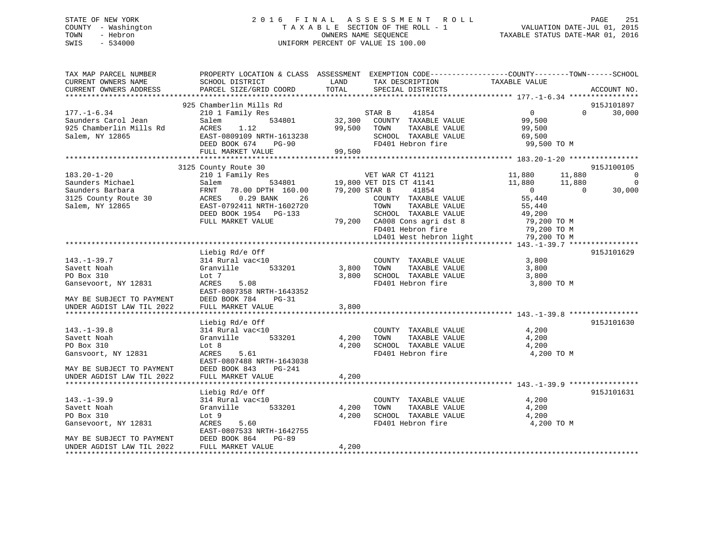# STATE OF NEW YORK 2 0 1 6 F I N A L A S S E S S M E N T R O L L PAGE 251 COUNTY - Washington T A X A B L E SECTION OF THE ROLL - 1 VALUATION DATE-JUL 01, 2015 TOWN - Hebron OWNERS NAME SEQUENCE TAXABLE STATUS DATE-MAR 01, 2016 SWIS - 534000 UNIFORM PERCENT OF VALUE IS 100.00

| TAX MAP PARCEL NUMBER<br>CURRENT OWNERS NAME | SCHOOL DISTRICT               | LAND          | PROPERTY LOCATION & CLASS ASSESSMENT EXEMPTION CODE----------------COUNTY-------TOWN------SCHOOL<br>TAX DESCRIPTION | TAXABLE VALUE  |          |                |
|----------------------------------------------|-------------------------------|---------------|---------------------------------------------------------------------------------------------------------------------|----------------|----------|----------------|
| CURRENT OWNERS ADDRESS                       | PARCEL SIZE/GRID COORD        | TOTAL         | SPECIAL DISTRICTS                                                                                                   |                |          | ACCOUNT NO.    |
|                                              |                               |               |                                                                                                                     |                |          |                |
|                                              | 925 Chamberlin Mills Rd       |               |                                                                                                                     |                | $\Omega$ | 915J101897     |
| $177. - 1 - 6.34$                            | 210 1 Family Res              |               | 41854<br>STAR B                                                                                                     | $\overline{0}$ |          | 30,000         |
| Saunders Carol Jean                          | Salem<br>534801               |               | 32,300 COUNTY TAXABLE VALUE                                                                                         | 99,500         |          |                |
| 925 Chamberlin Mills Rd                      | 1.12<br>ACRES                 | 99,500        | TAXABLE VALUE<br>TOWN                                                                                               | 99,500         |          |                |
| Salem, NY 12865                              | EAST-0809109 NRTH-1613238     |               | SCHOOL TAXABLE VALUE<br>FD401 Hebron fire                                                                           | 69,500         |          |                |
|                                              | DEED BOOK 674<br>$PG-90$      |               |                                                                                                                     | 99,500 TO M    |          |                |
|                                              | FULL MARKET VALUE             | 99,500        |                                                                                                                     |                |          |                |
|                                              | 3125 County Route 30          |               |                                                                                                                     |                |          | 915J100105     |
| $183.20 - 1 - 20$                            | 210 1 Family Res              |               | VET WAR CT 41121                                                                                                    | 11,880         | 11,880   | $\overline{0}$ |
| Saunders Michael                             | 534801<br>Salem               |               | 19,800 VET DIS CT 41141                                                                                             | 11,880         | 11,880   | $\overline{0}$ |
| Saunders Barbara                             | FRNT 78.00 DPTH 160.00        | 79,200 STAR B | 41854                                                                                                               | $\sim$ 0       | $\Omega$ | 30,000         |
| 3125 County Route 30                         | $0.29$ BANK<br>ACRES<br>26    |               | COUNTY TAXABLE VALUE                                                                                                | 55,440         |          |                |
| Salem, NY 12865                              | EAST-0792411 NRTH-1602720     |               | TAXABLE VALUE<br>TOWN                                                                                               | 55,440         |          |                |
|                                              | DEED BOOK 1954 PG-133         |               | SCHOOL TAXABLE VALUE                                                                                                | 49,200         |          |                |
|                                              | FULL MARKET VALUE             |               | 79,200 CA008 Cons agri dst 8                                                                                        | 79,200 TO M    |          |                |
|                                              |                               |               | FD401 Hebron fire                                                                                                   | 79,200 TO M    |          |                |
|                                              |                               |               | LD401 West hebron light                                                                                             | 79,200 TO M    |          |                |
|                                              |                               |               |                                                                                                                     |                |          |                |
|                                              | Liebig Rd/e Off               |               |                                                                                                                     |                |          | 915J101629     |
| $143. - 1 - 39.7$                            | 314 Rural vac<10              |               | COUNTY TAXABLE VALUE                                                                                                | 3,800          |          |                |
| Savett Noah                                  | Granville<br>533201           | 3,800         | TAXABLE VALUE<br>TOWN                                                                                               | 3,800          |          |                |
| PO Box 310                                   | Lot 7                         | 3,800         | SCHOOL TAXABLE VALUE                                                                                                | 3,800          |          |                |
| Gansevoort, NY 12831                         | ACRES<br>5.08                 |               | FD401 Hebron fire                                                                                                   | 3,800 TO M     |          |                |
|                                              | EAST-0807358 NRTH-1643352     |               |                                                                                                                     |                |          |                |
| MAY BE SUBJECT TO PAYMENT                    | DEED BOOK 784<br>$PG-31$      |               |                                                                                                                     |                |          |                |
| UNDER AGDIST LAW TIL 2022                    | FULL MARKET VALUE             | 3,800         |                                                                                                                     |                |          |                |
|                                              |                               |               |                                                                                                                     |                |          |                |
|                                              | Liebig Rd/e Off               |               |                                                                                                                     |                |          | 915J101630     |
| $143. - 1 - 39.8$                            | 314 Rural vac<10              |               | COUNTY TAXABLE VALUE                                                                                                | 4,200          |          |                |
| Savett Noah                                  | Granville<br>533201           | 4,200         | TAXABLE VALUE<br>TOWN                                                                                               | 4,200          |          |                |
| PO Box 310                                   | Lot 8                         | 4,200         | SCHOOL TAXABLE VALUE                                                                                                | 4,200          |          |                |
| Gansvoort, NY 12831                          | 5.61<br>ACRES                 |               | FD401 Hebron fire                                                                                                   | 4,200 TO M     |          |                |
|                                              | EAST-0807488 NRTH-1643038     |               |                                                                                                                     |                |          |                |
| MAY BE SUBJECT TO PAYMENT                    | DEED BOOK 843<br>PG-241       |               |                                                                                                                     |                |          |                |
| UNDER AGDIST LAW TIL 2022                    | FULL MARKET VALUE             | 4,200         |                                                                                                                     |                |          |                |
|                                              |                               |               |                                                                                                                     |                |          |                |
|                                              | Liebig Rd/e Off               |               |                                                                                                                     |                |          | 915J101631     |
| $143. - 1 - 39.9$                            | 314 Rural vac<10              |               | COUNTY TAXABLE VALUE                                                                                                | 4,200          |          |                |
| Savett Noah                                  | Granville<br>533201           | 4,200         | TOWN<br>TAXABLE VALUE                                                                                               | 4,200          |          |                |
| PO Box 310                                   | Lot 9                         | 4,200         | SCHOOL TAXABLE VALUE                                                                                                | 4,200          |          |                |
| Gansevoort, NY 12831                         | ACRES<br>5.60                 |               | FD401 Hebron fire                                                                                                   | 4,200 TO M     |          |                |
|                                              | EAST-0807533 NRTH-1642755     |               |                                                                                                                     |                |          |                |
| MAY BE SUBJECT TO PAYMENT                    | DEED BOOK 864<br><b>PG-89</b> |               |                                                                                                                     |                |          |                |
| UNDER AGDIST LAW TIL 2022                    | FULL MARKET VALUE             | 4,200         |                                                                                                                     |                |          |                |
|                                              |                               |               |                                                                                                                     |                |          |                |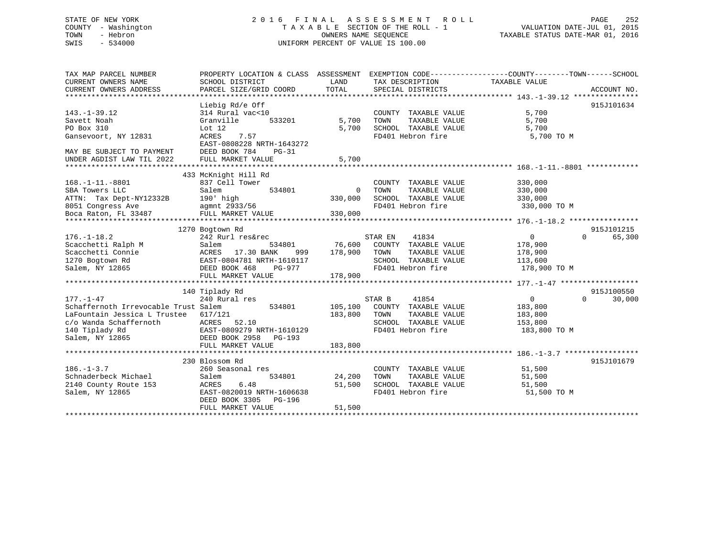# STATE OF NEW YORK 2 0 1 6 F I N A L A S S E S S M E N T R O L L PAGE 252 COUNTY - Washington T A X A B L E SECTION OF THE ROLL - 1 VALUATION DATE-JUL 01, 2015 TOWN - Hebron OWNERS NAME SEQUENCE TAXABLE STATUS DATE-MAR 01, 2016 SWIS - 534000 UNIFORM PERCENT OF VALUE IS 100.00

| TAX MAP PARCEL NUMBER<br>CURRENT OWNERS NAME<br>CURRENT OWNERS ADDRESS | PROPERTY LOCATION & CLASS ASSESSMENT<br>SCHOOL DISTRICT<br>PARCEL SIZE/GRID COORD | LAND<br>TOTAL  | TAX DESCRIPTION<br>SPECIAL DISTRICTS | EXEMPTION CODE-----------------COUNTY-------TOWN------SCHOOL<br>TAXABLE VALUE | ACCOUNT NO.        |
|------------------------------------------------------------------------|-----------------------------------------------------------------------------------|----------------|--------------------------------------|-------------------------------------------------------------------------------|--------------------|
|                                                                        |                                                                                   |                |                                      |                                                                               |                    |
|                                                                        | Liebig Rd/e Off                                                                   |                |                                      |                                                                               | 915J101634         |
| $143. - 1 - 39.12$                                                     | 314 Rural vac<10                                                                  |                | COUNTY TAXABLE VALUE                 | 5,700                                                                         |                    |
| Savett Noah                                                            | Granville<br>533201                                                               | 5,700          | TOWN<br>TAXABLE VALUE                | 5,700                                                                         |                    |
| PO Box 310                                                             | Lot 12                                                                            | 5,700          | SCHOOL TAXABLE VALUE                 | 5,700                                                                         |                    |
| Gansevoort, NY 12831                                                   | ACRES<br>7.57                                                                     |                | FD401 Hebron fire                    | 5,700 TO M                                                                    |                    |
|                                                                        | EAST-0808228 NRTH-1643272                                                         |                |                                      |                                                                               |                    |
| MAY BE SUBJECT TO PAYMENT                                              | DEED BOOK 784<br>PG-31                                                            |                |                                      |                                                                               |                    |
| UNDER AGDIST LAW TIL 2022                                              | FULL MARKET VALUE                                                                 | 5,700          |                                      |                                                                               |                    |
|                                                                        |                                                                                   |                |                                      |                                                                               |                    |
|                                                                        | 433 McKnight Hill Rd                                                              |                |                                      |                                                                               |                    |
| $168. - 1 - 11. - 8801$                                                | 837 Cell Tower                                                                    |                | COUNTY TAXABLE VALUE                 | 330,000                                                                       |                    |
| SBA Towers LLC                                                         | 534801<br>Salem                                                                   | $\overline{0}$ | TAXABLE VALUE<br>TOWN                | 330,000                                                                       |                    |
| ATTN: Tax Dept-NY12332B 190' high                                      |                                                                                   | 330,000        | SCHOOL TAXABLE VALUE                 | 330,000                                                                       |                    |
|                                                                        | agmnt 2933/56                                                                     |                | FD401 Hebron fire                    | 330,000 TO M                                                                  |                    |
|                                                                        | FULL MARKET VALUE                                                                 | 330,000        |                                      |                                                                               |                    |
|                                                                        |                                                                                   |                |                                      |                                                                               |                    |
|                                                                        | 1270 Bogtown Rd                                                                   |                |                                      |                                                                               | 915J101215         |
| $176. - 1 - 18.2$                                                      | 242 Rurl res&rec                                                                  |                | STAR EN<br>41834                     | 0                                                                             | 65,300<br>$\Omega$ |
| Scacchetti Ralph M                                                     | Salem<br>534801                                                                   | 76,600         | COUNTY TAXABLE VALUE                 | 178,900                                                                       |                    |
| Scacchetti Connie<br>1270 Bogtown Rd<br>1270 Bogtown Rd                | ACRES 17.30 BANK<br>999                                                           | 178,900        | TOWN<br>TAXABLE VALUE                | 178,900                                                                       |                    |
|                                                                        | EAST-0804781 NRTH-1610117                                                         |                | SCHOOL TAXABLE VALUE                 | 113,600                                                                       |                    |
| Salem, NY 12865                                                        | DEED BOOK 468<br>PG-977                                                           |                | FD401 Hebron fire                    | 178,900 TO M                                                                  |                    |
|                                                                        | FULL MARKET VALUE                                                                 | 178,900        |                                      |                                                                               |                    |
|                                                                        | 140 Tiplady Rd                                                                    |                |                                      |                                                                               | 915J100550         |
| $177. - 1 - 47$                                                        | 240 Rural res                                                                     |                | STAR B<br>41854                      | $\circ$                                                                       | $\Omega$<br>30,000 |
| Schaffernoth Irrevocable Trust Salem                                   | 534801                                                                            | 105,100        | COUNTY TAXABLE VALUE                 | 183,800                                                                       |                    |
| LaFountain Jessica L Trustee 617/121                                   |                                                                                   | 183,800        | TOWN<br>TAXABLE VALUE                | 183,800                                                                       |                    |
| c/o Wanda Schaffernoth                                                 | ACRES<br>52.10                                                                    |                | SCHOOL TAXABLE VALUE                 | 153,800                                                                       |                    |
| 140 Tiplady Rd                                                         | EAST-0809279 NRTH-1610129                                                         |                | FD401 Hebron fire                    | 183,800 TO M                                                                  |                    |
| Salem, NY 12865                                                        | DEED BOOK 2958 PG-193                                                             |                |                                      |                                                                               |                    |
|                                                                        | FULL MARKET VALUE                                                                 | 183,800        |                                      |                                                                               |                    |
|                                                                        |                                                                                   |                |                                      |                                                                               |                    |
|                                                                        | 230 Blossom Rd                                                                    |                |                                      |                                                                               | 915J101679         |
| $186. - 1 - 3.7$                                                       | 260 Seasonal res                                                                  |                | COUNTY TAXABLE VALUE                 | 51,500                                                                        |                    |
| Schnaderbeck Michael                                                   | 534801<br>Salem                                                                   | 24,200         | TOWN<br>TAXABLE VALUE                | 51,500                                                                        |                    |
| 2140 County Route 153                                                  | 6.48<br>ACRES                                                                     | 51,500         | SCHOOL TAXABLE VALUE                 | 51,500                                                                        |                    |
| Salem, NY 12865                                                        | EAST-0820019 NRTH-1606638                                                         |                | FD401 Hebron fire                    | 51,500 TO M                                                                   |                    |
|                                                                        | DEED BOOK 3305 PG-196                                                             |                |                                      |                                                                               |                    |
|                                                                        | FULL MARKET VALUE                                                                 | 51,500         |                                      |                                                                               |                    |
|                                                                        |                                                                                   |                |                                      |                                                                               |                    |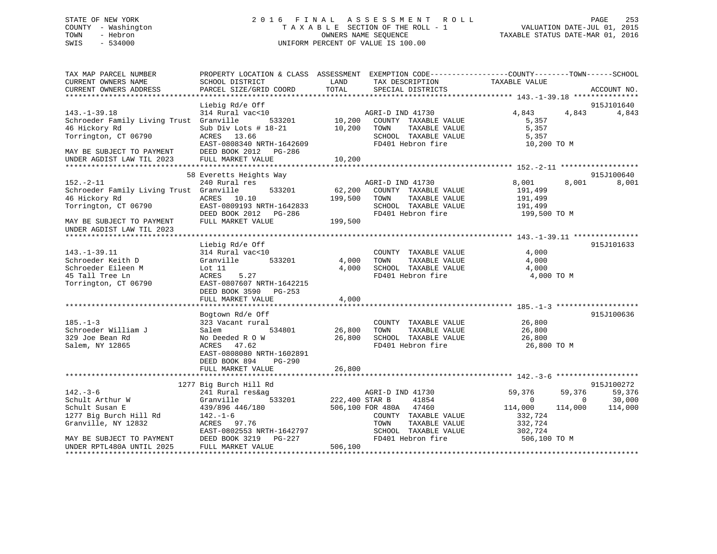# STATE OF NEW YORK 2 0 1 6 F I N A L A S S E S S M E N T R O L L PAGE 253 COUNTY - Washington T A X A B L E SECTION OF THE ROLL - 1 VALUATION DATE-JUL 01, 2015 TOWN - Hebron OWNERS NAME SEQUENCE TAXABLE STATUS DATE-MAR 01, 2016 SWIS - 534000 UNIFORM PERCENT OF VALUE IS 100.00

|                             |                | PROPERTY LOCATION & CLASS ASSESSMENT EXEMPTION CODE----------------COUNTY-------TOWN------SCHOOL |                            |                |                                            | TAX MAP PARCEL NUMBER                                  |
|-----------------------------|----------------|--------------------------------------------------------------------------------------------------|----------------------------|----------------|--------------------------------------------|--------------------------------------------------------|
|                             |                | TAXABLE VALUE                                                                                    | TAX DESCRIPTION            | LAND           | SCHOOL DISTRICT                            | CURRENT OWNERS NAME                                    |
| ACCOUNT NO.                 |                |                                                                                                  | SPECIAL DISTRICTS          | TOTAL          | PARCEL SIZE/GRID COORD                     | CURRENT OWNERS ADDRESS                                 |
|                             |                |                                                                                                  |                            |                |                                            |                                                        |
| 915J101640                  |                |                                                                                                  |                            |                | Liebig Rd/e Off                            |                                                        |
| 4,843                       | 4,843          | 4,843                                                                                            | AGRI-D IND 41730           |                | 314 Rural vac<10                           | $143. - 1 - 39.18$                                     |
|                             |                | 5,357                                                                                            | COUNTY TAXABLE VALUE       | 10,200         | 533201                                     | Schroeder Family Living Trust Granville                |
|                             |                | 5,357                                                                                            | TOWN<br>TAXABLE VALUE      | 10,200         | Sub Div Lots $# 18-21$                     | 46 Hickory Rd                                          |
|                             |                | 5,357                                                                                            | SCHOOL TAXABLE VALUE       |                | ACRES 13.66                                | Torrington, CT 06790                                   |
|                             |                | 10,200 TO M                                                                                      | FD401 Hebron fire          |                | EAST-0808340 NRTH-1642609                  |                                                        |
|                             |                |                                                                                                  |                            |                | DEED BOOK 2012    PG-286                   | MAY BE SUBJECT TO PAYMENT                              |
|                             |                |                                                                                                  |                            |                |                                            |                                                        |
|                             |                |                                                                                                  |                            |                |                                            |                                                        |
|                             |                |                                                                                                  |                            |                |                                            |                                                        |
| 915J100640                  |                |                                                                                                  |                            |                | 58 Everetts Heights Way                    |                                                        |
| 8,001                       | 8,001          | 8,001                                                                                            | AGRI-D IND 41730           |                | 240 Rural res                              | $152. - 2 - 11$                                        |
|                             |                | 191,499                                                                                          | COUNTY TAXABLE VALUE       | 62,200         | 533201                                     | Schroeder Family Living Trust Granville                |
|                             |                | 191,499                                                                                          | 199,500 TOWN TAXABLE VALUE |                | ACRES 10.10                                | 46 Hickory Rd                                          |
|                             |                | 191,499                                                                                          | SCHOOL TAXABLE VALUE       |                | EAST-0809193 NRTH-1642833                  | Torrington, CT 06790                                   |
|                             |                | 199,500 TO M                                                                                     | FD401 Hebron fire          | 199,500        | DEED BOOK 2012    PG-286                   |                                                        |
|                             |                |                                                                                                  |                            |                | FULL MARKET VALUE                          | MAY BE SUBJECT TO PAYMENT                              |
|                             |                |                                                                                                  |                            |                |                                            | UNDER AGDIST LAW TIL 2023                              |
|                             |                |                                                                                                  |                            |                |                                            |                                                        |
| 915J101633                  |                |                                                                                                  |                            |                | Liebig Rd/e Off                            |                                                        |
|                             |                | 4,000                                                                                            | COUNTY TAXABLE VALUE       |                | 314 Rural vac<10                           | $143. - 1 - 39.11$                                     |
|                             |                | 4,000                                                                                            | TAXABLE VALUE<br>TOWN      | 4,000          | Granville<br>533201                        | Schroeder Keith D                                      |
|                             |                | 4,000                                                                                            | SCHOOL TAXABLE VALUE       | 4,000          | Lot 11                                     | Schroeder Eileen M                                     |
|                             |                | 4,000 TO M                                                                                       | FD401 Hebron fire          |                | ACRES<br>5.27                              | 45 Tall Tree Ln                                        |
|                             |                |                                                                                                  |                            |                | EAST-0807607 NRTH-1642215                  | Torrington, CT 06790                                   |
|                             |                |                                                                                                  |                            |                | DEED BOOK 3590 PG-253                      |                                                        |
|                             |                |                                                                                                  |                            | 4,000          | FULL MARKET VALUE                          |                                                        |
|                             |                |                                                                                                  |                            |                |                                            |                                                        |
|                             |                |                                                                                                  |                            |                | Bogtown Rd/e Off                           |                                                        |
|                             |                |                                                                                                  |                            |                |                                            |                                                        |
| 915J100636                  |                |                                                                                                  |                            |                |                                            |                                                        |
|                             |                | 26,800                                                                                           | COUNTY TAXABLE VALUE       |                | 323 Vacant rural                           | $185. - 1 - 3$                                         |
|                             |                | 26,800                                                                                           | TOWN<br>TAXABLE VALUE      | 26,800         | Salem<br>534801                            | Schroeder William J                                    |
|                             |                | 26,800                                                                                           | SCHOOL TAXABLE VALUE       | 26,800         | No Deeded R O W                            | 329 Joe Bean Rd                                        |
|                             |                | 26,800 TO M                                                                                      | FD401 Hebron fire          |                | ACRES 47.62                                | Salem, NY 12865                                        |
|                             |                |                                                                                                  |                            |                | EAST-0808080 NRTH-1602891                  |                                                        |
|                             |                |                                                                                                  |                            |                | DEED BOOK 894 PG-290                       |                                                        |
|                             |                |                                                                                                  |                            | 26,800         | FULL MARKET VALUE                          |                                                        |
|                             |                |                                                                                                  |                            |                |                                            |                                                        |
| 915J100272                  |                |                                                                                                  |                            |                | 1277 Big Burch Hill Rd                     |                                                        |
|                             | 59,376         | 59,376                                                                                           | AGRI-D IND 41730           |                | 241 Rural res&ag                           | $142. - 3 - 6$                                         |
|                             | $\overline{0}$ | $\overline{0}$                                                                                   | 41854                      | 222,400 STAR B | 533201<br>Granville                        | Schult Arthur W                                        |
|                             | 114,000        | 114,000                                                                                          | 506,100 FOR 480A 47460     |                | 439/896 446/180                            | Schult Susan E                                         |
|                             |                | 332,724                                                                                          | COUNTY TAXABLE VALUE       |                | $142. - 1 - 6$                             | 1277 Big Burch Hill Rd                                 |
|                             |                | 332,724                                                                                          | TOWN<br>TAXABLE VALUE      |                | ACRES 97.76                                | Granville, NY 12832                                    |
| 59,376<br>30,000<br>114,000 |                | 302,724                                                                                          | SCHOOL TAXABLE VALUE       |                | EAST-0802553 NRTH-1642797                  |                                                        |
|                             |                | 506,100 TO M                                                                                     | FD401 Hebron fire          | 506,100        | DEED BOOK 3219 PG-227<br>FULL MARKET VALUE | MAY BE SUBJECT TO PAYMENT<br>UNDER RPTL480A UNTIL 2025 |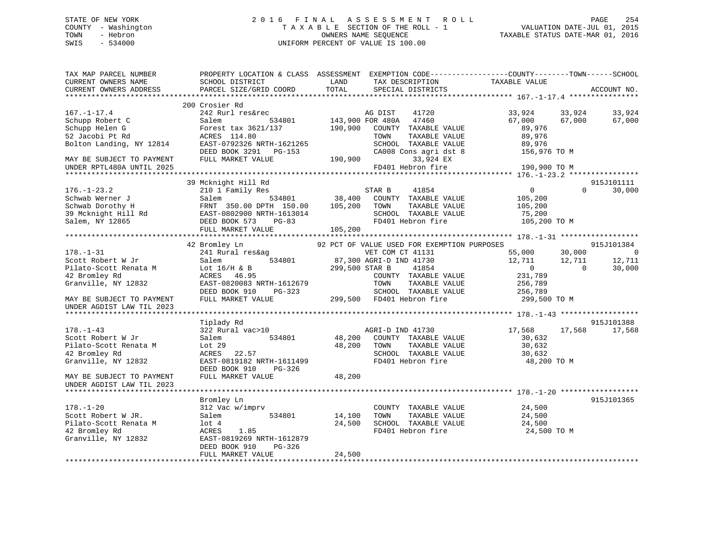# STATE OF NEW YORK 2 0 1 6 F I N A L A S S E S S M E N T R O L L PAGE 254 COUNTY - Washington T A X A B L E SECTION OF THE ROLL - 1 VALUATION DATE-JUL 01, 2015 TOWN - Hebron OWNERS NAME SEQUENCE TAXABLE STATUS DATE-MAR 01, 2016 SWIS - 534000 UNIFORM PERCENT OF VALUE IS 100.00

| TAX MAP PARCEL NUMBER<br>CURRENT OWNERS NAME<br>CURRENT OWNERS ADDRESS | PROPERTY LOCATION & CLASS ASSESSMENT<br>SCHOOL DISTRICT<br>PARCEL SIZE/GRID COORD | LAND<br>TAX DESCRIPTION<br>TOTAL<br>SPECIAL DISTRICTS              | EXEMPTION CODE-----------------COUNTY-------TOWN------SCHOOL<br>TAXABLE VALUE<br>ACCOUNT NO. |
|------------------------------------------------------------------------|-----------------------------------------------------------------------------------|--------------------------------------------------------------------|----------------------------------------------------------------------------------------------|
|                                                                        |                                                                                   |                                                                    |                                                                                              |
|                                                                        | 200 Crosier Rd                                                                    |                                                                    |                                                                                              |
| $167. - 1 - 17.4$<br>Schupp Robert C                                   | 242 Rurl res&rec<br>Salem<br>534801                                               | 41720<br>AG DIST<br>143,900 FOR 480A<br>47460                      | 33,924<br>33,924<br>33,924<br>67,000<br>67,000<br>67,000                                     |
| Schupp Helen G<br>52 Jacobi Pt Rd                                      | Forest tax 3621/137<br>ACRES 114.80                                               | 190,900<br>COUNTY TAXABLE VALUE<br>TAXABLE VALUE<br>TOWN           | 89,976<br>89,976                                                                             |
| Bolton Landing, NY 12814                                               | EAST-0792326 NRTH-1621265<br>DEED BOOK 3291 PG-153                                | SCHOOL TAXABLE VALUE<br>CA008 Cons agri dst 8                      | 89,976<br>156,976 TO M                                                                       |
| MAY BE SUBJECT TO PAYMENT<br>UNDER RPTL480A UNTIL 2025                 | FULL MARKET VALUE                                                                 | 190,900<br>33,924 EX<br>FD401 Hebron fire                          | 190,900 TO M                                                                                 |
|                                                                        |                                                                                   |                                                                    |                                                                                              |
|                                                                        | 39 Mcknight Hill Rd                                                               |                                                                    | 915J101111                                                                                   |
| $176. - 1 - 23.2$                                                      | 210 1 Family Res                                                                  | STAR B<br>41854                                                    | 30,000<br>$0 \qquad \qquad$<br>$\Omega$                                                      |
| Schwab Werner J<br>Schwab Dorothy H                                    | 534801<br>Salem<br>FRNT 350.00 DPTH 150.00                                        | 38,400<br>COUNTY TAXABLE VALUE<br>105,200<br>TOWN<br>TAXABLE VALUE | 105,200<br>105,200                                                                           |
| 39 Mcknight Hill Rd                                                    | EAST-0802900 NRTH-1613014                                                         | SCHOOL TAXABLE VALUE                                               | 75,200                                                                                       |
| Salem, NY 12865                                                        | DEED BOOK 573<br>$PG-83$<br>FULL MARKET VALUE                                     | FD401 Hebron fire<br>105,200                                       | 105,200 TO M                                                                                 |
|                                                                        |                                                                                   |                                                                    |                                                                                              |
|                                                                        | 42 Bromley Ln                                                                     | 92 PCT OF VALUE USED FOR EXEMPTION PURPOSES                        | 915J101384                                                                                   |
| $178. - 1 - 31$                                                        | 241 Rural res&ag                                                                  | VET COM CT 41131                                                   | 30,000<br>55,000<br>0                                                                        |
| Scott Robert W Jr                                                      | 534801<br>Salem                                                                   | 87,300 AGRI-D IND 41730                                            | 12,711<br>12,711<br>12,711                                                                   |
| Pilato-Scott Renata M                                                  | Lot $16/H$ & B                                                                    | 299,500 STAR B<br>41854                                            | $\overline{0}$<br>$\Omega$<br>30,000                                                         |
| 42 Bromley Rd                                                          | ACRES<br>46.95                                                                    | COUNTY TAXABLE VALUE                                               | 231,789                                                                                      |
| Granville, NY 12832                                                    | EAST-0820083 NRTH-1612679                                                         | TOWN<br>TAXABLE VALUE                                              | 256,789                                                                                      |
|                                                                        | DEED BOOK 910<br>PG-323                                                           | SCHOOL TAXABLE VALUE                                               | 256,789                                                                                      |
| MAY BE SUBJECT TO PAYMENT<br>UNDER AGDIST LAW TIL 2023                 | FULL MARKET VALUE                                                                 | 299,500 FD401 Hebron fire                                          | 299,500 TO M                                                                                 |
|                                                                        | Tiplady Rd                                                                        |                                                                    | 915J101388                                                                                   |
| $178. - 1 - 43$                                                        | 322 Rural vac>10                                                                  | AGRI-D IND 41730                                                   | 17,568<br>17,568<br>17,568                                                                   |
| Scott Robert W Jr                                                      | Salem<br>534801                                                                   | 48,200<br>COUNTY TAXABLE VALUE                                     | 30,632                                                                                       |
| Pilato-Scott Renata M                                                  | Lot $29$                                                                          | 48,200<br>TOWN<br>TAXABLE VALUE                                    | 30,632                                                                                       |
| 42 Bromley Rd                                                          | 22.57<br>ACRES                                                                    | SCHOOL TAXABLE VALUE                                               | 30,632                                                                                       |
| Granville, NY 12832                                                    | EAST-0819182 NRTH-1611499                                                         | FD401 Hebron fire                                                  | 48,200 TO M                                                                                  |
|                                                                        | DEED BOOK 910<br>PG-326                                                           |                                                                    |                                                                                              |
| MAY BE SUBJECT TO PAYMENT<br>UNDER AGDIST LAW TIL 2023                 | FULL MARKET VALUE                                                                 | 48,200                                                             |                                                                                              |
|                                                                        |                                                                                   |                                                                    |                                                                                              |
|                                                                        | Bromley Ln                                                                        |                                                                    | 915J101365                                                                                   |
| $178. - 1 - 20$                                                        | 312 Vac w/imprv                                                                   | COUNTY TAXABLE VALUE                                               | 24,500                                                                                       |
| Scott Robert W JR.<br>Pilato-Scott Renata M                            | 534801<br>Salem<br>lot 4                                                          | 14,100<br>TOWN<br>TAXABLE VALUE<br>24,500<br>SCHOOL TAXABLE VALUE  | 24,500<br>24,500                                                                             |
| 42 Bromley Rd                                                          | 1.85<br>ACRES                                                                     | FD401 Hebron fire                                                  | 24,500 TO M                                                                                  |
| Granville, NY 12832                                                    | EAST-0819269 NRTH-1612879                                                         |                                                                    |                                                                                              |
|                                                                        | DEED BOOK 910<br>PG-326                                                           |                                                                    |                                                                                              |
|                                                                        | FULL MARKET VALUE                                                                 | 24,500                                                             |                                                                                              |
|                                                                        |                                                                                   |                                                                    |                                                                                              |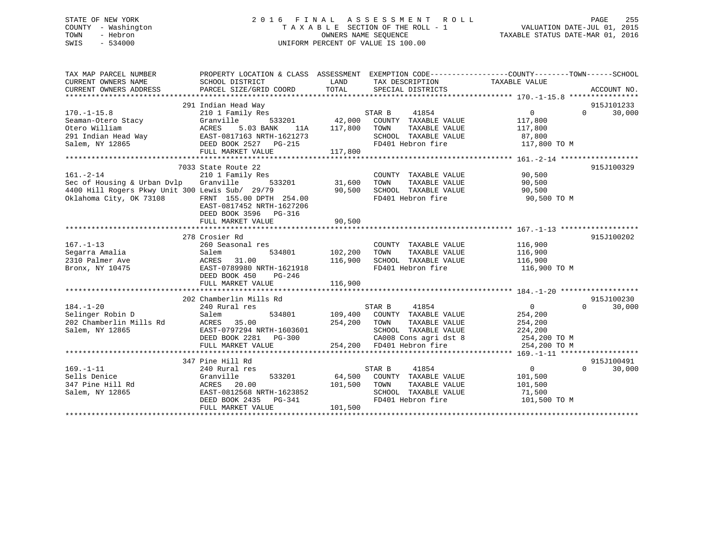# STATE OF NEW YORK 2 0 1 6 F I N A L A S S E S S M E N T R O L L PAGE 255 COUNTY - Washington T A X A B L E SECTION OF THE ROLL - 1 VALUATION DATE-JUL 01, 2015 TOWN - Hebron OWNERS NAME SEQUENCE TAXABLE STATUS DATE-MAR 01, 2016 SWIS - 534000 UNIFORM PERCENT OF VALUE IS 100.00

| TAX MAP PARCEL NUMBER<br>CURRENT OWNERS NAME<br>CURRENT OWNERS ADDRESS                                                       | PROPERTY LOCATION & CLASS ASSESSMENT EXEMPTION CODE---------------COUNTY-------TOWN-----SCHOOL<br>SCHOOL DISTRICT<br>PARCEL SIZE/GRID COORD                              | LAND<br>TOTAL                        | TAX DESCRIPTION<br>SPECIAL DISTRICTS                                                                                                                  | TAXABLE VALUE                                                                      | ACCOUNT NO.                      |
|------------------------------------------------------------------------------------------------------------------------------|--------------------------------------------------------------------------------------------------------------------------------------------------------------------------|--------------------------------------|-------------------------------------------------------------------------------------------------------------------------------------------------------|------------------------------------------------------------------------------------|----------------------------------|
| $170. - 1 - 15.8$<br>Seaman-Otero Stacy<br>Otero William<br>291 Indian Head Way<br>Salem, NY 12865                           | 291 Indian Head Way<br>210 1 Family Res<br>Granville<br>5.03 BANK<br>ACRES<br>11A<br>EAST-0817163 NRTH-1621273<br>DEED BOOK 2527 PG-215<br>FULL MARKET VALUE             | 533201 42,000<br>117,800<br>117,800  | STAR B<br>41854<br>COUNTY TAXABLE VALUE<br>TOWN<br>TAXABLE VALUE<br>SCHOOL TAXABLE VALUE<br>FD401 Hebron fire                                         | $\overline{0}$<br>117,800<br>117,800<br>87,800<br>117,800 TO M                     | 915J101233<br>30,000<br>$\Omega$ |
| $161. - 2 - 14$<br>Sec of Housing & Urban Dvlp<br>4400 Hill Rogers Pkwy Unit 300 Lewis Sub/ 29/79<br>Oklahoma City, OK 73108 | 7033 State Route 22<br>210 1 Family Res<br>Granville<br>533201<br>FRNT 155.00 DPTH 254.00<br>EAST-0817452 NRTH-1627206<br>DEED BOOK 3596 PG-316<br>FULL MARKET VALUE     | 31,600<br>90,500<br>90,500           | COUNTY TAXABLE VALUE<br>TOWN<br>TAXABLE VALUE<br>SCHOOL TAXABLE VALUE<br>FD401 Hebron fire                                                            | 90,500<br>90,500<br>90,500<br>90,500 TO M                                          | 915J100329                       |
| $167. - 1 - 13$<br>Segarra Amalia<br>2310 Palmer Ave<br>Bronx, NY 10475                                                      | 278 Crosier Rd<br>260 Seasonal res<br>Salem<br>ACRES<br>31.00<br>EAST-0789980 NRTH-1621918<br>DEED BOOK 450<br>$PG-246$<br>FULL MARKET VALUE                             | 534801 102,200<br>116,900<br>116,900 | COUNTY TAXABLE VALUE<br>TOWN<br>TAXABLE VALUE<br>SCHOOL TAXABLE VALUE<br>FD401 Hebron fire                                                            | 116,900<br>116,900<br>116,900<br>116,900 TO M                                      | 915J100202                       |
| $184. - 1 - 20$<br>Selinger Robin D<br>202 Chamberlin Mills Rd<br>Salem, NY 12865                                            | 202 Chamberlin Mills Rd<br>240 Rural res<br>Salem<br>ACRES 35.00<br>EAST-0797294 NRTH-1603601<br>LASI-0797294 NRTH-1603601<br>DEED BOOK 2281 PG-300<br>FULL MARKET VALUE | 254,200 TOWN                         | STAR B<br>41854<br>534801 109,400 COUNTY TAXABLE VALUE<br>TAXABLE VALUE<br>SCHOOL TAXABLE VALUE<br>CA008 Cons agri dst 8<br>254,200 FD401 Hebron fire | $0 \qquad \qquad$<br>254,200<br>254,200<br>224,200<br>254,200 TO M<br>254,200 TO M | 915J100230<br>30,000<br>$\Omega$ |
| $169. - 1 - 11$<br>Sells Denice<br>347 Pine Hill Rd<br>Salem, NY 12865                                                       | 347 Pine Hill Rd<br>240 Rural res<br>Granville<br>533201<br>ACRES 20.00<br>EAST-0812568 NRTH-1623852<br>DEED BOOK 2435 PG-341<br>FULL MARKET VALUE                       | 64,500<br>101,500<br>101,500         | 41854<br>STAR B<br>COUNTY TAXABLE VALUE<br>TAXABLE VALUE<br>TOWN<br>SCHOOL TAXABLE VALUE 71,500<br>FD401 Hebron fire                                  | $\overline{0}$<br>101,500<br>101,500<br>101,500 TO M                               | 915J100491<br>$\Omega$<br>30,000 |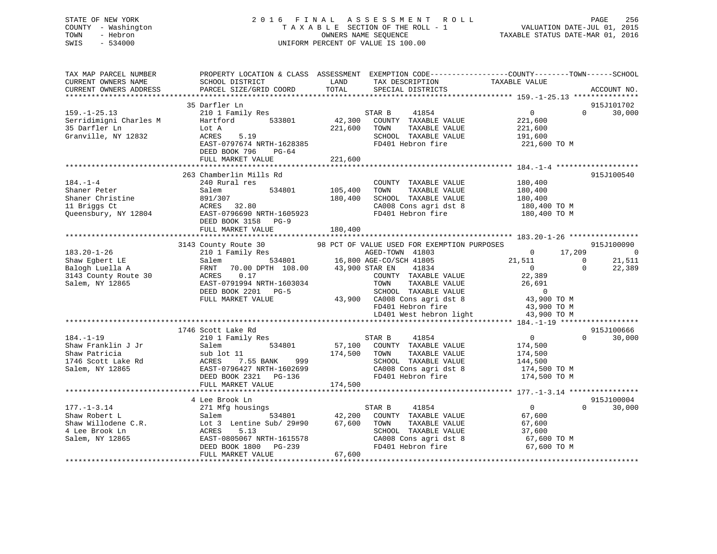# STATE OF NEW YORK 2 0 1 6 F I N A L A S S E S S M E N T R O L L PAGE 256 COUNTY - Washington T A X A B L E SECTION OF THE ROLL - 1 VALUATION DATE-JUL 01, 2015 TOWN - Hebron OWNERS NAME SEQUENCE TAXABLE STATUS DATE-MAR 01, 2016 SWIS - 534000 UNIFORM PERCENT OF VALUE IS 100.00

| TAX MAP PARCEL NUMBER<br>CURRENT OWNERS NAME | PROPERTY LOCATION & CLASS ASSESSMENT EXEMPTION CODE----------------COUNTY-------TOWN------SCHOOL<br>SCHOOL DISTRICT | LAND           | TAX DESCRIPTION<br>SPECIAL DISTRICTS                                      |                                               |                                    |  |
|----------------------------------------------|---------------------------------------------------------------------------------------------------------------------|----------------|---------------------------------------------------------------------------|-----------------------------------------------|------------------------------------|--|
| CURRENT OWNERS ADDRESS                       | PARCEL SIZE/GRID COORD                                                                                              | TOTAL          | SPECIAL DISTRICTS                                                         |                                               | ACCOUNT NO.                        |  |
|                                              |                                                                                                                     |                |                                                                           |                                               |                                    |  |
|                                              | 35 Darfler Ln                                                                                                       |                |                                                                           |                                               | 915J101702                         |  |
| $159. - 1 - 25.13$                           | 210 1 Family Res                                                                                                    |                | STAR B<br>41854                                                           | $\overline{0}$                                | $\Omega$<br>30,000                 |  |
| Serridimigni Charles M                       | 533801<br>Hartford                                                                                                  | 42,300         | COUNTY TAXABLE VALUE                                                      | 221,600                                       |                                    |  |
| 35 Darfler Ln                                | Lot A                                                                                                               | 221,600        | TOWN<br>TAXABLE VALUE                                                     | 221,600                                       |                                    |  |
| Granville, NY 12832                          | 5.19<br>ACRES                                                                                                       |                | SCHOOL TAXABLE VALUE                                                      | 191,600                                       |                                    |  |
|                                              | EAST-0797674 NRTH-1628385                                                                                           |                | FD401 Hebron fire                                                         | 221,600 TO M                                  |                                    |  |
|                                              | DEED BOOK 796<br>PG-64                                                                                              |                |                                                                           |                                               |                                    |  |
|                                              | FULL MARKET VALUE                                                                                                   | 221,600        |                                                                           |                                               |                                    |  |
|                                              |                                                                                                                     |                |                                                                           |                                               |                                    |  |
|                                              | 263 Chamberlin Mills Rd                                                                                             |                |                                                                           |                                               | 915J100540                         |  |
| $184. - 1 - 4$                               | 240 Rural res                                                                                                       | 534801 105,400 | COUNTY TAXABLE VALUE                                                      | 180,400                                       |                                    |  |
| Shaner Peter                                 | Salem                                                                                                               |                | TAXABLE VALUE<br>TOWN                                                     | 180,400                                       |                                    |  |
| Shaner Christine<br>11 Briggs Ct             | 891/307                                                                                                             | 180,400        | SCHOOL TAXABLE VALUE                                                      | 180,400<br>CA008 Cons agri dst 8 180,400 TO M |                                    |  |
| 11 Briggs Ct<br>Queensbury, NY 12804         | ACRES 32.80<br>$EAST-0796690$ NRTH-1605923                                                                          |                | FD401 Hebron fire                                                         |                                               |                                    |  |
|                                              |                                                                                                                     |                |                                                                           | 180,400 TO M                                  |                                    |  |
|                                              | DEED BOOK 3158 PG-9                                                                                                 |                |                                                                           |                                               |                                    |  |
|                                              |                                                                                                                     |                |                                                                           |                                               |                                    |  |
|                                              |                                                                                                                     |                |                                                                           |                                               | 915J100090                         |  |
| $183.20 - 1 - 26$                            |                                                                                                                     |                |                                                                           | $\overline{0}$                                | 17,209<br>$\overline{\phantom{0}}$ |  |
| Shaw Egbert LE                               | Salem                                                                                                               |                | 534801 16,800 AGE-CO/SCH 41805                                            | 21,511                                        | $\mathbf 0$<br>21,511              |  |
| Balogh Luella A                              | FRNT 70.00 DPTH 108.00 43,900 STAR EN                                                                               |                | 41834                                                                     | $\overline{0}$                                | $\Omega$<br>22,389                 |  |
| 3143 County Route 30                         | ACRES<br>0.17                                                                                                       |                | COUNTY TAXABLE VALUE                                                      | 22,389                                        |                                    |  |
| Salem, NY 12865                              | EAST-0791994 NRTH-1603034                                                                                           |                | TAXABLE VALUE<br>TOWN                                                     | 26,691                                        |                                    |  |
|                                              | DEED BOOK 2201 PG-5                                                                                                 |                |                                                                           | $\sim$ 0                                      |                                    |  |
|                                              | FULL MARKET VALUE                                                                                                   |                | SCHOOL TAXABLE VALUE<br>43,900 CA008 Cons agri dst 8<br>FD401 Hebron fire | 43,900 TO M                                   |                                    |  |
|                                              |                                                                                                                     |                |                                                                           | 43,900 TO M                                   |                                    |  |
|                                              |                                                                                                                     |                |                                                                           | LD401 West hebron light 43,900 TO M           |                                    |  |
|                                              |                                                                                                                     |                |                                                                           |                                               |                                    |  |
|                                              | 1746 Scott Lake Rd                                                                                                  |                |                                                                           |                                               | 915J100666                         |  |
| $184. - 1 - 19$                              | 210 1 Family Res                                                                                                    |                | STAR B<br>41854                                                           | $\overline{0}$                                | $\Omega$<br>30,000                 |  |
| Shaw Franklin J Jr                           | Salem<br>534801                                                                                                     |                | 57,100 COUNTY TAXABLE VALUE                                               | 174,500                                       |                                    |  |
| Shaw Patricia                                | sub lot 11                                                                                                          | 174,500 TOWN   | TAXABLE VALUE                                                             | 174,500                                       |                                    |  |
| 1746 Scott Lake Rd                           | ACRES<br>7.55 BANK<br>999                                                                                           |                | SCHOOL TAXABLE VALUE                                                      | 144,500                                       |                                    |  |
| Salem, NY 12865                              | EAST-0796427 NRTH-1602699                                                                                           |                | CA008 Cons agri dst 8                                                     | 174,500 TO M                                  |                                    |  |
|                                              | DEED BOOK 2321 PG-136                                                                                               |                | FD401 Hebron fire                                                         | 174,500 TO M                                  |                                    |  |
|                                              | FULL MARKET VALUE                                                                                                   | 174,500        |                                                                           |                                               |                                    |  |
|                                              |                                                                                                                     |                |                                                                           |                                               |                                    |  |
|                                              | 4 Lee Brook Ln                                                                                                      |                |                                                                           |                                               | 915J100004                         |  |
| $177. - 1 - 3.14$                            | 271 Mfg housings                                                                                                    |                | 41854<br>STAR B                                                           | $\overline{0}$                                | $\Omega$<br>30,000                 |  |
|                                              |                                                                                                                     |                | 42,200 COUNTY TAXABLE VALUE                                               | 67,600                                        |                                    |  |
|                                              |                                                                                                                     |                | TOWN<br>TAXABLE VALUE                                                     | 67,600                                        |                                    |  |
| 4 Lee Brook Ln                               |                                                                                                                     |                | SCHOOL TAXABLE VALUE<br>SCHOOL TAXABLE VALUE<br>CA008 Cons agri dst 8     | 37,600                                        |                                    |  |
| Salem, NY 12865                              | EAST-0805067 NRTH-1615578<br>DEED BOOK 1800 PG-239                                                                  |                |                                                                           | 67,600 TO M                                   |                                    |  |
|                                              |                                                                                                                     |                | FD401 Hebron fire                                                         | 67,600 TO M                                   |                                    |  |
|                                              | FULL MARKET VALUE                                                                                                   | 67,600         |                                                                           |                                               |                                    |  |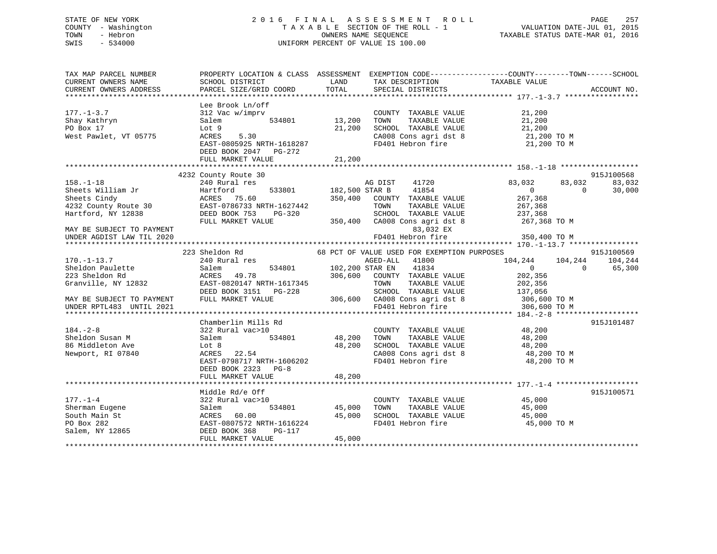# STATE OF NEW YORK 2 0 1 6 F I N A L A S S E S S M E N T R O L L PAGE 257 COUNTY - Washington T A X A B L E SECTION OF THE ROLL - 1 VALUATION DATE-JUL 01, 2015 TOWN - Hebron OWNERS NAME SEQUENCE TAXABLE STATUS DATE-MAR 01, 2016 SWIS - 534000 UNIFORM PERCENT OF VALUE IS 100.00

| TAX MAP PARCEL NUMBER<br>CURRENT OWNERS NAME<br>CURRENT OWNERS ADDRESS                              | SCHOOL DISTRICT<br>PARCEL SIZE/GRID COORD                                                                                                                         | TAX DESCRIPTION TAXABLE VALUE SPECIAL DISTRICTS<br><b>EXAMPLE EXAMPLE EXAMPLE EXAMPLE EXAMPLE EXAMPLE EXAMPLE EXAMPLE EXAMPLE EXAMPLE EXAMPLE EXAMPLE EXAMPLE EXAMPLE</b><br>TOTAL<br>SPECIAL DISTRICTS | PROPERTY LOCATION & CLASS ASSESSMENT EXEMPTION CODE---------------COUNTY-------TOWN------SCHOOL<br>ACCOUNT NO. |
|-----------------------------------------------------------------------------------------------------|-------------------------------------------------------------------------------------------------------------------------------------------------------------------|---------------------------------------------------------------------------------------------------------------------------------------------------------------------------------------------------------|----------------------------------------------------------------------------------------------------------------|
| $177. - 1 - 3.7$<br>Shay Kathryn<br>PO Box 17<br>West Pawlet, VT 05775                              | Lee Brook Ln/off<br>312 Vac w/imprv<br>534801<br>Salem<br>Lot 9<br>ACRES<br>5.30<br>EAST-0805925 NRTH-1618287<br>DEED BOOK 2047 PG-272<br>FULL MARKET VALUE       | COUNTY TAXABLE VALUE<br>13,200<br>TAXABLE VALUE<br>TOWN<br>21,200<br>SCHOOL TAXABLE VALUE<br>CA008 Cons agri dst 8<br>21,200                                                                            | 21,200<br>21,200<br>21,200<br>21,200 TO M<br>200 TO M<br>FD401 Hebron fire 21,200 TO M                         |
|                                                                                                     | 4232 County Route 30                                                                                                                                              |                                                                                                                                                                                                         | 915J100568                                                                                                     |
| $158. - 1 - 18$<br>158.-1-10<br>Sheets William Jr                                                   | 240 Rural res<br>Hartford<br>ACRES 75.60<br>91232 County Route 30<br>Hartford, NY 12838<br>BAST-0786733 NRTH-1627442<br>DEED BOOK 753 PG-320<br>FULL MARKET VALUE | 41720<br>AG DIST<br>533801 182,500 STAR B<br>41854<br>350,400 COUNTY TAXABLE VALUE<br>TOWN<br>TAXABLE VALUE<br>SCHOOL TAXABLE VALUE<br>$350,400$ CA008 Cons agri dst 8 267,368 TO M                     | 83,032<br>83,032<br>83,032<br>$\overline{0}$<br>$\Omega$<br>30,000<br>267,368<br>267,368<br>237,368            |
| MAY BE SUBJECT TO PAYMENT<br>UNDER AGDIST LAW TIL 2020                                              |                                                                                                                                                                   | 83,032 EX<br>FD401 Hebron fire                                                                                                                                                                          | 350,400 TO M                                                                                                   |
|                                                                                                     | 223 Sheldon Rd                                                                                                                                                    | 68 PCT OF VALUE USED FOR EXEMPTION PURPOSES                                                                                                                                                             | 915J100569                                                                                                     |
| $170. - 1 - 13.7$<br>Sheldon Paulette<br>223 Sheldon Rd<br>Granville, NY 12832                      | 240 Rural res<br>Salem<br>ACRES 49.78<br>EAST-0820147 NRTH-1617345<br>DEED BOOK 3151 PG-228                                                                       | AGED-ALL 41800<br>41834<br>306,600 COUNTY TAXABLE VALUE<br>TAXABLE VALUE<br>TOWN<br>SCHOOL TAXABLE VALUE 137,056                                                                                        | 104, 244 104, 244 104, 244<br>65,300<br>202,356<br>202,356                                                     |
| MAY BE SUBJECT TO PAYMENT<br>UNDER RPTL483 UNTIL 2021                                               | FULL MARKET VALUE                                                                                                                                                 | SCHOOD Information<br>306,600 CA008 Cons agri dst 8<br>FD401 Hebron fire                                                                                                                                | 306,600 TO M<br>306,600 TO M                                                                                   |
|                                                                                                     | Chamberlin Mills Rd                                                                                                                                               |                                                                                                                                                                                                         | 915J101487                                                                                                     |
| $184. - 2 - 8$<br>Sheldon Susan M<br>86 Middleton Ave<br>Newport, RI 07840                          | 322 Rural vac>10<br>Salem<br>Lot 8<br>ACRES 22.54<br>EAST-0798717 NRTH-1606202<br>DEED BOOK 2323 PG-8                                                             | 0<br>534801                  48,200<br>COUNTY TAXABLE VALUE 48,200<br>TOWN<br>48,200<br>FD401 Hebron fire                                                                                               | TAXABLE VALUE 48,200<br>SCHOOL TAXABLE VALUE 48,200<br>CA008 Cons agri dst 8 48,200 TO M<br>48,200 TO M        |
|                                                                                                     | FULL MARKET VALUE                                                                                                                                                 | 48,200                                                                                                                                                                                                  |                                                                                                                |
|                                                                                                     | Middle Rd/e Off                                                                                                                                                   |                                                                                                                                                                                                         | 915J100571                                                                                                     |
| $177. - 1 - 4$<br>$177. -1 - 4$<br>Sherman Eugene<br>South Main St<br>PO Box 282<br>Salem, NY 12865 | 322 Rural vac>10<br>534801 45,000<br>Salem<br>ACRES 60.00<br>EAST-0807572 NRTH-1616224<br>DEED BOOK 368<br>PG-117                                                 | COUNTY TAXABLE VALUE 45,000<br>TAXABLE VALUE<br>TOWN<br>45,000<br>SCHOOL TAXABLE VALUE<br>FD401 Hebron fire                                                                                             | $45,000$<br>$45,000$<br>45,000<br>45,000 TO M                                                                  |
|                                                                                                     | FULL MARKET VALUE                                                                                                                                                 | 45,000                                                                                                                                                                                                  |                                                                                                                |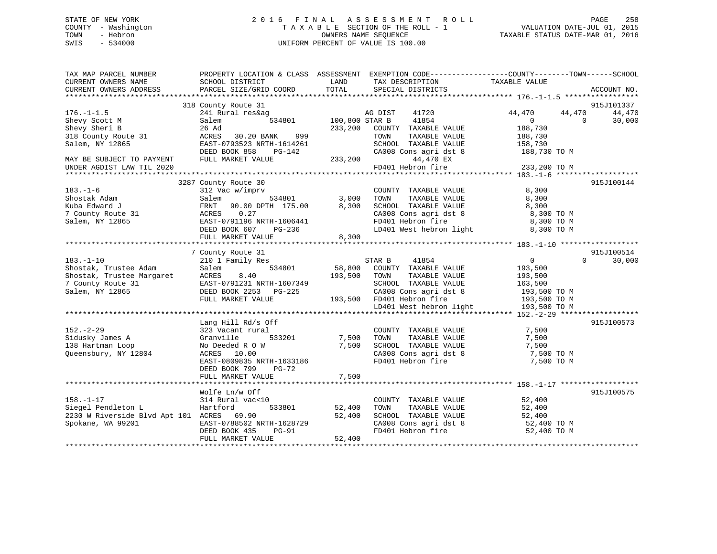# STATE OF NEW YORK 2 0 1 6 F I N A L A S S E S S M E N T R O L L PAGE 258 COUNTY - Washington T A X A B L E SECTION OF THE ROLL - 1 VALUATION DATE-JUL 01, 2015 TOWN - Hebron OWNERS NAME SEQUENCE TAXABLE STATUS DATE-MAR 01, 2016 SWIS - 534000 UNIFORM PERCENT OF VALUE IS 100.00

| TAX MAP PARCEL NUMBER<br>CURRENT OWNERS NAME                                               | PROPERTY LOCATION & CLASS ASSESSMENT<br>SCHOOL DISTRICT | LAND           | EXEMPTION CODE-----------------COUNTY-------TOWN------SCHOOL<br>TAX DESCRIPTION | TAXABLE VALUE                |                    |
|--------------------------------------------------------------------------------------------|---------------------------------------------------------|----------------|---------------------------------------------------------------------------------|------------------------------|--------------------|
| CURRENT OWNERS ADDRESS                                                                     | PARCEL SIZE/GRID COORD                                  | TOTAL          | SPECIAL DISTRICTS                                                               |                              | ACCOUNT NO.        |
|                                                                                            | 318 County Route 31                                     |                |                                                                                 |                              | 915J101337         |
| $176. - 1 - 1.5$                                                                           | 241 Rural res&ag                                        |                | 41720<br>AG DIST                                                                | 44,470<br>44,470             | 44,470             |
| Shevy Scott M                                                                              | 534801<br>Salem                                         | 100,800 STAR B | 41854                                                                           | $\overline{0}$               | 30,000<br>$\Omega$ |
| Shevy Sheri B                                                                              | 26 Ad                                                   | 233,200        | COUNTY TAXABLE VALUE                                                            | 188,730                      |                    |
| 318 County Route 31                                                                        | ACRES<br>30.20 BANK<br>999                              |                | TOWN<br>TAXABLE VALUE                                                           | 188,730                      |                    |
| Salem, NY 12865                                                                            | EAST-0793523 NRTH-1614261                               |                | SCHOOL TAXABLE VALUE                                                            | 158,730                      |                    |
|                                                                                            | DEED BOOK 858<br>PG-142                                 |                | CA008 Cons agri dst 8                                                           | 188,730 TO M                 |                    |
| MAY BE SUBJECT TO PAYMENT                                                                  | FULL MARKET VALUE                                       | 233,200        | 44,470 EX                                                                       |                              |                    |
| UNDER AGDIST LAW TIL 2020                                                                  |                                                         |                | FD401 Hebron fire                                                               | 233,200 TO M                 |                    |
|                                                                                            |                                                         |                |                                                                                 |                              |                    |
|                                                                                            | 3287 County Route 30                                    |                |                                                                                 |                              | 915J100144         |
| $183. - 1 - 6$                                                                             | 312 Vac w/imprv                                         |                | COUNTY TAXABLE VALUE                                                            | 8,300                        |                    |
| Shostak Adam                                                                               | 534801<br>Salem                                         | 3,000          | TAXABLE VALUE<br>TOWN                                                           | 8,300                        |                    |
| Kuba Edward J                                                                              | 90.00 DPTH 175.00<br>FRNT                               | 8,300          | SCHOOL TAXABLE VALUE                                                            | 8,300                        |                    |
| 7 County Route 31                                                                          | 0.27<br>ACRES                                           |                | CA008 Cons agri dst 8                                                           | 8,300 TO M                   |                    |
| Salem, NY 12865                                                                            | EAST-0791196 NRTH-1606441                               |                | FD401 Hebron fire                                                               | 8,300 TO M                   |                    |
|                                                                                            | DEED BOOK 607<br>PG-236                                 |                | LD401 West hebron light                                                         | 8,300 TO M                   |                    |
|                                                                                            | FULL MARKET VALUE                                       | 8,300          |                                                                                 |                              |                    |
|                                                                                            |                                                         |                |                                                                                 |                              |                    |
|                                                                                            | 7 County Route 31                                       |                |                                                                                 |                              | 915J100514         |
| $183. - 1 - 10$                                                                            | 210 1 Family Res                                        |                | 41854<br>STAR B                                                                 | $\overline{0}$               | 30,000<br>$\Omega$ |
| Shostak, Trustee Adam<br>Shostak, Trustee Aargaret<br>7 County Route 31<br>Salem, NY 19865 | 534801<br>Salem                                         | 58,800         | COUNTY TAXABLE VALUE                                                            | 193,500                      |                    |
|                                                                                            | ACRES<br>8.40                                           | 193,500        | TOWN<br>TAXABLE VALUE                                                           | 193,500                      |                    |
| Salem, NY 12865                                                                            | EAST-0791231 NRTH-1607349<br>DEED BOOK 2253 PG-225      |                | SCHOOL TAXABLE VALUE<br>CA008 Cons agri dst 8                                   | 163,500                      |                    |
|                                                                                            | FULL MARKET VALUE                                       |                | 193,500 FD401 Hebron fire                                                       | 193,500 TO M                 |                    |
|                                                                                            |                                                         |                | LD401 West hebron light                                                         | 193,500 TO M<br>193,500 TO M |                    |
|                                                                                            |                                                         |                |                                                                                 |                              |                    |
|                                                                                            | Lang Hill Rd/s Off                                      |                |                                                                                 |                              | 915J100573         |
| $152. - 2 - 29$                                                                            | 323 Vacant rural                                        |                | COUNTY TAXABLE VALUE                                                            | 7,500                        |                    |
| Sidusky James A                                                                            | Granville<br>533201                                     | 7,500          | TOWN<br>TAXABLE VALUE                                                           | 7,500                        |                    |
| 138 Hartman Loop                                                                           | No Deeded R O W                                         | 7,500          | SCHOOL TAXABLE VALUE                                                            | 7,500                        |                    |
| Oueensbury, NY 12804                                                                       | ACRES 10.00                                             |                | CA008 Cons agri dst 8                                                           | 7,500 TO M                   |                    |
|                                                                                            | EAST-0809835 NRTH-1633186                               |                | FD401 Hebron fire                                                               | 7,500 TO M                   |                    |
|                                                                                            | $PG-72$<br>DEED BOOK 799                                |                |                                                                                 |                              |                    |
|                                                                                            | FULL MARKET VALUE                                       | 7,500          |                                                                                 |                              |                    |
|                                                                                            |                                                         |                |                                                                                 |                              |                    |
|                                                                                            | Wolfe Ln/w Off                                          |                |                                                                                 |                              | 915J100575         |
| $158. - 1 - 17$                                                                            | 314 Rural vac<10                                        |                | COUNTY TAXABLE VALUE                                                            | 52,400                       |                    |
| Siegel Pendleton L                                                                         | Hartford<br>533801                                      | 52,400         | TAXABLE VALUE<br>TOWN                                                           | 52,400                       |                    |
| 2230 W Riverside Blvd Apt 101 ACRES                                                        | 69.90                                                   | 52,400         | SCHOOL TAXABLE VALUE                                                            | 52,400                       |                    |
| Spokane, WA 99201                                                                          | EAST-0788502 NRTH-1628729                               |                | CA008 Cons agri dst 8                                                           | 52,400 TO M                  |                    |
|                                                                                            | DEED BOOK 435<br>$PG-91$                                |                | FD401 Hebron fire                                                               | 52,400 TO M                  |                    |
|                                                                                            | FULL MARKET VALUE                                       | 52,400         |                                                                                 |                              |                    |
|                                                                                            |                                                         |                |                                                                                 |                              |                    |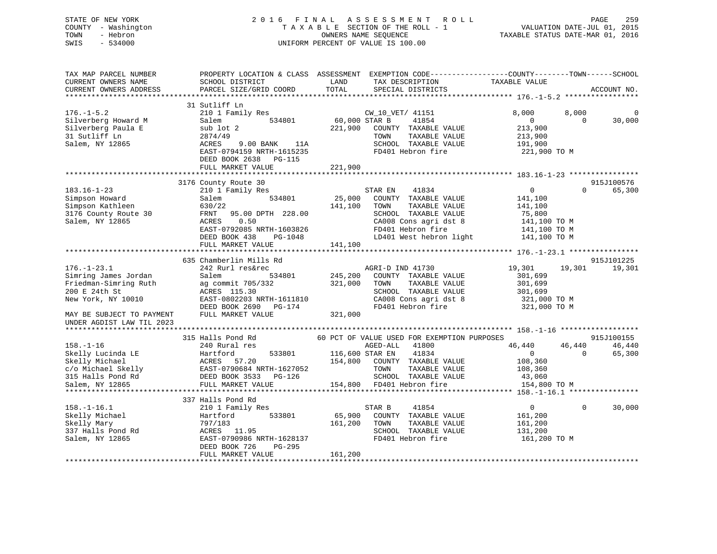# STATE OF NEW YORK 2 0 1 6 F I N A L A S S E S S M E N T R O L L PAGE 259 COUNTY - Washington T A X A B L E SECTION OF THE ROLL - 1 VALUATION DATE-JUL 01, 2015 TOWN - Hebron OWNERS NAME SEQUENCE TAXABLE STATUS DATE-MAR 01, 2016 SWIS - 534000 UNIFORM PERCENT OF VALUE IS 100.00

| TAX MAP PARCEL NUMBER<br>CURRENT OWNERS NAME           | SCHOOL DISTRICT                                                         | LAND            | PROPERTY LOCATION & CLASS ASSESSMENT EXEMPTION CODE---------------COUNTY-------TOWN-----SCHOOL<br>TAX DESCRIPTION | TAXABLE VALUE  |          |             |
|--------------------------------------------------------|-------------------------------------------------------------------------|-----------------|-------------------------------------------------------------------------------------------------------------------|----------------|----------|-------------|
| CURRENT OWNERS ADDRESS                                 | PARCEL SIZE/GRID COORD                                                  | TOTAL           | SPECIAL DISTRICTS                                                                                                 |                |          | ACCOUNT NO. |
|                                                        | ********************************                                        |                 |                                                                                                                   |                |          |             |
|                                                        | 31 Sutliff Ln                                                           |                 |                                                                                                                   |                |          |             |
| $176. - 1 - 5.2$                                       | 210 1 Family Res                                                        |                 | CW_10_VET/ 41151                                                                                                  | 8,000          | 8,000    | 0           |
| Silverberg Howard M                                    | 534801<br>Salem                                                         | 60,000 STAR B   | 41854                                                                                                             | $\overline{0}$ | $\Omega$ | 30,000      |
| Silverberg Paula E                                     | sub lot 2                                                               | 221,900         | COUNTY TAXABLE VALUE                                                                                              | 213,900        |          |             |
| 31 Sutliff Ln                                          | 2874/49                                                                 |                 | TOWN<br>TAXABLE VALUE                                                                                             | 213,900        |          |             |
| Salem, NY 12865                                        | ACRES<br>9.00 BANK<br>11A                                               |                 | SCHOOL TAXABLE VALUE                                                                                              | 191,900        |          |             |
|                                                        | EAST-0794159 NRTH-1615235                                               |                 | FD401 Hebron fire                                                                                                 | 221,900 TO M   |          |             |
|                                                        | DEED BOOK 2638<br><b>PG-115</b>                                         |                 |                                                                                                                   |                |          |             |
|                                                        | FULL MARKET VALUE                                                       | 221,900         |                                                                                                                   |                |          |             |
|                                                        |                                                                         |                 |                                                                                                                   |                |          |             |
|                                                        | 3176 County Route 30                                                    |                 |                                                                                                                   |                |          | 915J100576  |
| $183.16 - 1 - 23$                                      | 210 1 Family Res                                                        |                 | STAR EN<br>41834                                                                                                  | $\mathbf{0}$   | $\Omega$ | 65,300      |
| Simpson Howard                                         | Salem<br>534801                                                         | 25,000          | COUNTY TAXABLE VALUE                                                                                              | 141,100        |          |             |
| Simpson Kathleen                                       | 630/22                                                                  | 141,100         | TAXABLE VALUE<br>TOWN                                                                                             | 141,100        |          |             |
| 3176 County Route 30                                   | 95.00 DPTH 228.00<br>FRNT                                               |                 | SCHOOL TAXABLE VALUE                                                                                              | 75,800         |          |             |
| Salem, NY 12865                                        | ACRES<br>0.50                                                           |                 | CA008 Cons agri dst 8                                                                                             | 141,100 TO M   |          |             |
|                                                        | EAST-0792085 NRTH-1603826                                               |                 | FD401 Hebron fire                                                                                                 | 141,100 TO M   |          |             |
|                                                        | DEED BOOK 438<br>PG-1048                                                |                 | LD401 West hebron light                                                                                           | 141,100 TO M   |          |             |
|                                                        | FULL MARKET VALUE                                                       | 141,100         |                                                                                                                   |                |          |             |
|                                                        | 635 Chamberlin Mills Rd                                                 |                 |                                                                                                                   |                |          | 915J101225  |
| $176. - 1 - 23.1$                                      | 242 Rurl res&rec                                                        |                 | AGRI-D IND 41730                                                                                                  | 19,301         | 19,301   | 19,301      |
| Simring James Jordan                                   | Salem<br>534801                                                         | 245,200         | COUNTY TAXABLE VALUE                                                                                              |                |          |             |
|                                                        |                                                                         |                 | TOWN                                                                                                              | 301,699        |          |             |
| Friedman-Simring Ruth                                  | ag commit 705/332                                                       | 321,000         | TAXABLE VALUE                                                                                                     | 301,699        |          |             |
| 200 E 24th St                                          | ACRES 115.30<br>EAST-0802203 NRTH-1611810                               |                 | SCHOOL TAXABLE VALUE                                                                                              | 301,699        |          |             |
| New York, NY 10010                                     |                                                                         |                 | CA008 Cons agri dst 8                                                                                             | 321,000 TO M   |          |             |
|                                                        | DEED BOOK 2690<br>PG-174                                                | 321,000         | FD401 Hebron fire                                                                                                 | 321,000 TO M   |          |             |
| MAY BE SUBJECT TO PAYMENT<br>UNDER AGDIST LAW TIL 2023 | FULL MARKET VALUE                                                       |                 |                                                                                                                   |                |          |             |
|                                                        |                                                                         |                 |                                                                                                                   |                |          |             |
|                                                        | 315 Halls Pond Rd                                                       |                 | 60 PCT OF VALUE USED FOR EXEMPTION PURPOSES                                                                       |                |          | 915J100155  |
| $158. - 1 - 16$                                        | 240 Rural res                                                           |                 | AGED-ALL<br>41800                                                                                                 | 46,440         | 46,440   | 46,440      |
| Skelly Lucinda LE                                      | 533801<br>Hartford                                                      | 116,600 STAR EN | 41834                                                                                                             | $\Omega$       | $\Omega$ | 65,300      |
| Skelly Michael                                         | 57.20<br>ACRES                                                          | 154,800         | COUNTY TAXABLE VALUE                                                                                              | 108,360        |          |             |
| c/o Michael Skelly                                     |                                                                         |                 | TAXABLE VALUE<br>TOWN                                                                                             | 108,360        |          |             |
| 315 Halls Pond Rd                                      |                                                                         |                 | SCHOOL TAXABLE VALUE                                                                                              | 43,060         |          |             |
| Salem, NY 12865                                        | EAST-0790684 NRTH-1627052<br>DEED BOOK 3533 PG-126<br>FULL MARKET VALUE |                 | 154,800 FD401 Hebron fire                                                                                         | 154,800 TO M   |          |             |
|                                                        |                                                                         |                 |                                                                                                                   |                |          |             |
|                                                        | 337 Halls Pond Rd                                                       |                 |                                                                                                                   |                |          |             |
| $158. - 1 - 16.1$                                      | 210 1 Family Res                                                        |                 | 41854<br>STAR B                                                                                                   | $\mathbf 0$    | $\Omega$ | 30,000      |
| Skelly Michael                                         | 533801<br>Hartford                                                      | 65,900          | COUNTY TAXABLE VALUE                                                                                              | 161,200        |          |             |
| Skelly Mary                                            | 797/183                                                                 | 161,200         | TOWN<br>TAXABLE VALUE                                                                                             | 161,200        |          |             |
| 337 Halls Pond Rd                                      | ACRES<br>11.95                                                          |                 | SCHOOL TAXABLE VALUE                                                                                              | 131,200        |          |             |
| Salem, NY 12865                                        | EAST-0790986 NRTH-1628137                                               |                 | FD401 Hebron fire                                                                                                 | 161,200 TO M   |          |             |
|                                                        | DEED BOOK 726<br>PG-295                                                 |                 |                                                                                                                   |                |          |             |
|                                                        | FULL MARKET VALUE                                                       | 161,200         |                                                                                                                   |                |          |             |
|                                                        |                                                                         |                 |                                                                                                                   |                |          |             |
|                                                        |                                                                         |                 |                                                                                                                   |                |          |             |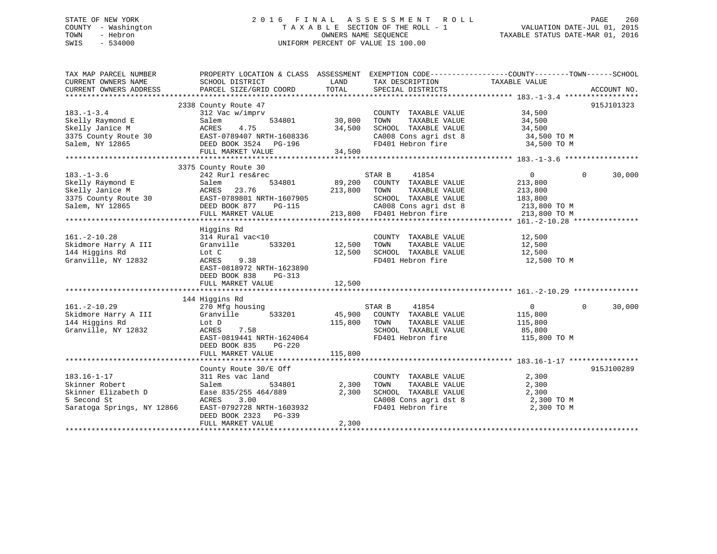# STATE OF NEW YORK 2 0 1 6 F I N A L A S S E S S M E N T R O L L PAGE 260 COUNTY - Washington T A X A B L E SECTION OF THE ROLL - 1 VALUATION DATE-JUL 01, 2015 TOWN - Hebron OWNERS NAME SEQUENCE TAXABLE STATUS DATE-MAR 01, 2016 SWIS - 534000 UNIFORM PERCENT OF VALUE IS 100.00

| TAX MAP PARCEL NUMBER<br>CURRENT OWNERS NAME                                             | PROPERTY LOCATION & CLASS ASSESSMENT EXEMPTION CODE---------------COUNTY-------TOWN------SCHOOL<br>SCHOOL DISTRICT | LAND         | TAX DESCRIPTION                                                                                                   | TAXABLE VALUE             |                    |
|------------------------------------------------------------------------------------------|--------------------------------------------------------------------------------------------------------------------|--------------|-------------------------------------------------------------------------------------------------------------------|---------------------------|--------------------|
|                                                                                          |                                                                                                                    |              |                                                                                                                   |                           |                    |
| $183. - 1 - 3.4$                                                                         | 2338 County Route 47<br>312 Vac w/imprv                                                                            |              | COUNTY TAXABLE VALUE 34,500                                                                                       |                           | 915J101323         |
| Skelly Raymond E                                                                         | 534801<br>Salem                                                                                                    | 30,800       |                                                                                                                   | 34,500                    |                    |
| Skelly Janice M                                                                          | ACRES<br>4.75                                                                                                      | 34,500       | TOWN       TAXABLE  VALUE<br>SCHOOL    TAXABLE  VALUE                                                             | 34,500                    |                    |
| 3375 County Route 30 EAST-0789407 NRTH-1608336                                           |                                                                                                                    |              | CA008 Cons agri dst 8 34,500 TO M                                                                                 |                           |                    |
| Salem, NY 12865                                                                          | DEED BOOK 3524 PG-196                                                                                              |              | FD401 Hebron fire                                                                                                 | 34,500 TO M               |                    |
|                                                                                          | FULL MARKET VALUE                                                                                                  | 34,500       |                                                                                                                   |                           |                    |
|                                                                                          | 3375 County Route 30                                                                                               |              |                                                                                                                   |                           |                    |
| $183. - 1 - 3.6$                                                                         | 242 Rurl res&rec                                                                                                   |              | STAR B<br>41854                                                                                                   | $\overline{0}$            | 30,000<br>$\Omega$ |
| Skelly Raymond E                                                                         | Salem<br>534801                                                                                                    | 89,200       | COUNTY TAXABLE VALUE                                                                                              | 213,800                   |                    |
| Skelly Janice M                                                                          | ACRES 23.76                                                                                                        | 213,800      | TAXABLE VALUE<br>TOWN                                                                                             | 213,800                   |                    |
| 3375 County Route 30 EAST-0789801 NRTH-1607905                                           |                                                                                                                    |              |                                                                                                                   |                           |                    |
| Salem, NY 12865                                                                          | NEXT VIOROUL NRIH-1607905<br>DEED BOOK 877 PG-115<br>TILL 100000 ST7 PG-115                                        |              |                                                                                                                   | 213,800 TO M              |                    |
|                                                                                          | FULL MARKET VALUE                                                                                                  |              | 607905 SCHOOL TAXABLE VALUE 183,800<br>313,800 CA008 Cons agri dst 8 213,800<br>213,800 FD401 Hebron fire 213,800 | 213,800 TO M              |                    |
|                                                                                          |                                                                                                                    |              |                                                                                                                   |                           |                    |
|                                                                                          | Higgins Rd                                                                                                         |              |                                                                                                                   |                           |                    |
| $161. - 2 - 10.28$                                                                       | 314 Rural vac<10                                                                                                   |              | COUNTY TAXABLE VALUE                                                                                              | 12,500                    |                    |
| 161.-2-10.28 314 Rural vac<10<br>Skidmore Harry A III Granville 533201<br>344 Uizzine Pd |                                                                                                                    |              | 12,500 TOWN<br>TAXABLE VALUE<br>SCHOOL TAXABLE VALUE 12,500                                                       | 12,500                    |                    |
| 144 Higgins Rd<br>Granville, NY 12832                                                    | Lot C<br>9.38                                                                                                      | 12,500       | FD401 Hebron fire                                                                                                 | 12,500 TO M               |                    |
|                                                                                          | ACRES<br>EAST-0818972 NRTH-1623890                                                                                 |              |                                                                                                                   |                           |                    |
|                                                                                          | DEED BOOK 838<br>PG-313                                                                                            |              |                                                                                                                   |                           |                    |
|                                                                                          | FULL MARKET VALUE                                                                                                  | 12,500       |                                                                                                                   |                           |                    |
|                                                                                          |                                                                                                                    |              |                                                                                                                   |                           |                    |
|                                                                                          | 144 Higgins Rd<br>270 Mfg housing                                                                                  |              | 41854                                                                                                             |                           | 30,000<br>$\Omega$ |
| $161. -2 - 10.29$                                                                        | 533201<br>Granville                                                                                                |              | STAR B<br>45,900 COUNTY TAXABLE VALUE                                                                             | $\overline{0}$<br>115,800 |                    |
| Skidmore Harry A III<br>144 Higgins Rd                                                   | Lot D                                                                                                              | 115,800 TOWN | TAXABLE VALUE                                                                                                     | 115,800                   |                    |
| Granville, NY 12832                                                                      | ACRES<br>7.58                                                                                                      |              | SCHOOL TAXABLE VALUE 85,800                                                                                       |                           |                    |
|                                                                                          | EAST-0819441 NRTH-1624064                                                                                          |              | FD401 Hebron fire                                                                                                 | 115,800 TO M              |                    |
|                                                                                          | DEED BOOK 835<br>PG-220                                                                                            |              |                                                                                                                   |                           |                    |
|                                                                                          | FULL MARKET VALUE                                                                                                  | 115,800      |                                                                                                                   |                           |                    |
|                                                                                          |                                                                                                                    |              |                                                                                                                   |                           |                    |
|                                                                                          | County Route 30/E Off                                                                                              |              |                                                                                                                   |                           | 915J100289         |
| $183.16 - 1 - 17$                                                                        | 311 Res vac land                                                                                                   |              | COUNTY TAXABLE VALUE                                                                                              | 2,300                     |                    |
| Skinner Robert                                                                           | 534801<br>Salem                                                                                                    | 2,300        | TAXABLE VALUE<br>TOWN                                                                                             | 2,300                     |                    |
| Skinner Elizabeth D                                                                      | Ease 835/255 464/889                                                                                               | 2,300        | SCHOOL TAXABLE VALUE                                                                                              | 2,300                     |                    |
| 5 Second St                                                                              | ACRES 3.00                                                                                                         |              | CA008 Cons agri dst 8                                                                                             | 2,300 TO M                |                    |
| Saratoga Springs, NY 12866                                                               | EAST-0792728 NRTH-1603932                                                                                          |              | FD401 Hebron fire                                                                                                 | 2,300 TO M                |                    |
|                                                                                          | DEED BOOK 2323 PG-339                                                                                              |              |                                                                                                                   |                           |                    |
|                                                                                          | FULL MARKET VALUE                                                                                                  | 2,300        |                                                                                                                   |                           |                    |
|                                                                                          |                                                                                                                    |              |                                                                                                                   |                           |                    |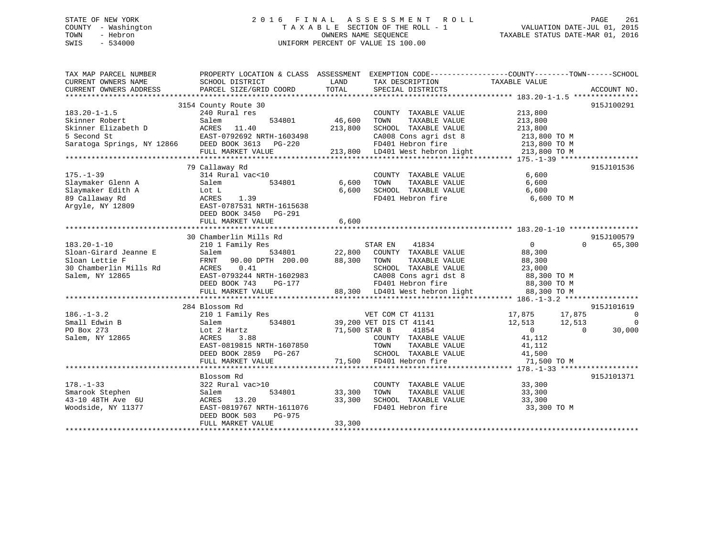# STATE OF NEW YORK 2 0 1 6 F I N A L A S S E S S M E N T R O L L PAGE 261 COUNTY - Washington T A X A B L E SECTION OF THE ROLL - 1 VALUATION DATE-JUL 01, 2015 TOWN - Hebron OWNERS NAME SEQUENCE TAXABLE STATUS DATE-MAR 01, 2016 SWIS - 534000 UNIFORM PERCENT OF VALUE IS 100.00

| TAX MAP PARCEL NUMBER      | PROPERTY LOCATION & CLASS ASSESSMENT |               |                                                                                | EXEMPTION CODE----------------COUNTY-------TOWN------SCHOOL |                |
|----------------------------|--------------------------------------|---------------|--------------------------------------------------------------------------------|-------------------------------------------------------------|----------------|
| CURRENT OWNERS NAME        | SCHOOL DISTRICT                      | LAND          | TAX DESCRIPTION                                                                | TAXABLE VALUE                                               |                |
| CURRENT OWNERS ADDRESS     | PARCEL SIZE/GRID COORD               | TOTAL         | SPECIAL DISTRICTS                                                              |                                                             | ACCOUNT NO.    |
|                            |                                      |               |                                                                                |                                                             |                |
|                            | 3154 County Route 30                 |               |                                                                                |                                                             | 915J100291     |
| $183.20 - 1 - 1.5$         | 240 Rural res                        |               | COUNTY TAXABLE VALUE                                                           | 213,800                                                     |                |
| Skinner Robert             | 534801<br>Salem                      | 46,600        | TOWN<br>TAXABLE VALUE                                                          | 213,800                                                     |                |
| Skinner Elizabeth D        | ACRES<br>11.40                       | 213,800       | SCHOOL TAXABLE VALUE                                                           | 213,800                                                     |                |
| 5 Second St                | EAST-0792692 NRTH-1603498            |               | CA008 Cons agri dst 8                                                          | 213,800 TO M                                                |                |
| Saratoga Springs, NY 12866 | DEED BOOK 3613 PG-220                |               | FD401 Hebron fire                                                              | 213,800 TO M                                                |                |
|                            | FULL MARKET VALUE                    |               | FD401 Hebron fire 213,800 TO M<br>213,800 LD401 West hebron light 213,800 TO M |                                                             |                |
|                            |                                      |               |                                                                                |                                                             |                |
|                            | 79 Callaway Rd                       |               |                                                                                |                                                             | 915J101536     |
| $175. - 1 - 39$            | 314 Rural vac<10                     |               | COUNTY TAXABLE VALUE                                                           | 6,600                                                       |                |
| Slaymaker Glenn A          | 534801<br>Salem                      | 6,600         | TAXABLE VALUE<br>TOWN                                                          | 6,600                                                       |                |
| Slaymaker Edith A          | Lot L                                | 6,600         | SCHOOL TAXABLE VALUE                                                           | 6,600                                                       |                |
| 89 Callaway Rd             | ACRES<br>1.39                        |               | FD401 Hebron fire                                                              | 6,600 TO M                                                  |                |
| Arqyle, NY 12809           | EAST-0787531 NRTH-1615638            |               |                                                                                |                                                             |                |
|                            | DEED BOOK 3450 PG-291                |               |                                                                                |                                                             |                |
|                            | FULL MARKET VALUE                    | 6,600         |                                                                                |                                                             |                |
|                            |                                      |               |                                                                                |                                                             |                |
|                            | 30 Chamberlin Mills Rd               |               |                                                                                |                                                             | 915J100579     |
| $183.20 - 1 - 10$          | 210 1 Family Res                     |               | 41834<br>STAR EN                                                               | $\Omega$<br>$\Omega$                                        | 65,300         |
| Sloan-Girard Jeanne E      | 534801<br>Salem                      | 22,800        | COUNTY TAXABLE VALUE                                                           | 88,300                                                      |                |
| Sloan Lettie F             | FRNT<br>90.00 DPTH 200.00            | 88,300        | TOWN<br>TAXABLE VALUE                                                          | 88,300                                                      |                |
| 30 Chamberlin Mills Rd     | 0.41<br>ACRES                        |               | SCHOOL TAXABLE VALUE                                                           | 23,000                                                      |                |
| Salem, NY 12865            | EAST-0793244 NRTH-1602983            |               | CA008 Cons agri dst 8                                                          | 88,300 TO M                                                 |                |
|                            | DEED BOOK 743<br>PG-177              |               | FD401 Hebron fire                                                              | 88,300 TO M                                                 |                |
|                            | FULL MARKET VALUE                    |               | 88,300 LD401 West hebron light                                                 | 88,300 TO M                                                 |                |
|                            |                                      |               |                                                                                |                                                             |                |
|                            | 284 Blossom Rd                       |               |                                                                                |                                                             | 915J101619     |
| $186. - 1 - 3.2$           | 210 1 Family Res                     |               | VET COM CT 41131                                                               | 17,875<br>17,875                                            | $\Omega$       |
| Small Edwin B              | 534801<br>Salem                      |               | 39,200 VET DIS CT 41141                                                        | 12,513<br>12,513                                            | $\overline{0}$ |
| PO Box 273                 | Lot 2 Hartz                          | 71,500 STAR B | 41854                                                                          | $\overline{0}$<br>$\Omega$                                  | 30,000         |
| Salem, NY 12865            | 3.88<br>ACRES                        |               | COUNTY TAXABLE VALUE                                                           | 41,112                                                      |                |
|                            | EAST-0819815 NRTH-1607850            |               | TOWN<br>TAXABLE VALUE                                                          | 41,112                                                      |                |
|                            | DEED BOOK 2859<br>PG-267             |               | SCHOOL TAXABLE VALUE                                                           | 41,500                                                      |                |
|                            | FULL MARKET VALUE                    |               | 71,500 FD401 Hebron fire                                                       | 71,500 TO M                                                 |                |
|                            |                                      |               |                                                                                |                                                             |                |
|                            | Blossom Rd                           |               |                                                                                |                                                             | 915J101371     |
| $178. - 1 - 33$            | 322 Rural vac>10                     |               | COUNTY TAXABLE VALUE                                                           | 33,300                                                      |                |
| Smarook Stephen            | 534801<br>Salem                      | 33,300        | TOWN<br>TAXABLE VALUE                                                          | 33,300                                                      |                |
| 43-10 48TH Ave 6U          | ACRES 13.20                          | 33,300        | SCHOOL TAXABLE VALUE                                                           | 33,300                                                      |                |
| Woodside, NY 11377         | EAST-0819767 NRTH-1611076            |               | FD401 Hebron fire                                                              | 33,300 TO M                                                 |                |
|                            | DEED BOOK 503<br>PG-975              |               |                                                                                |                                                             |                |
|                            | FULL MARKET VALUE                    | 33,300        |                                                                                |                                                             |                |
|                            |                                      |               |                                                                                |                                                             |                |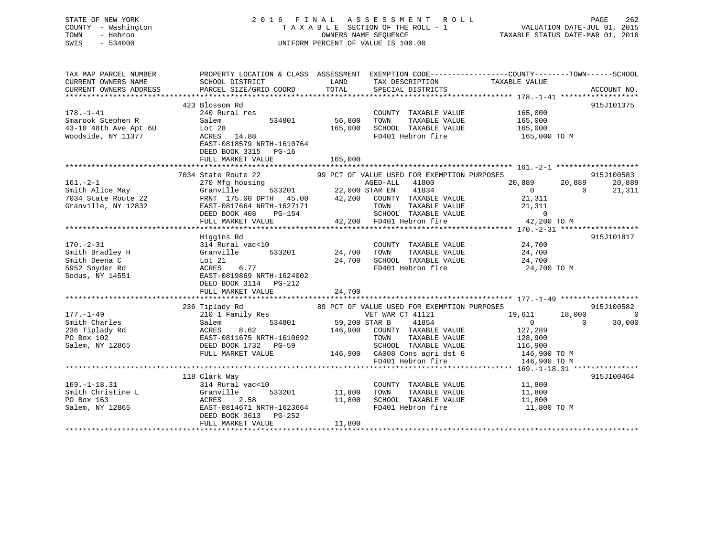| PROPERTY LOCATION & CLASS ASSESSMENT EXEMPTION CODE----------------COUNTY-------TOWN------SCHOOL<br>TAX MAP PARCEL NUMBER<br>CURRENT OWNERS NAME<br>SCHOOL DISTRICT<br>LAND<br>TAX DESCRIPTION<br>TAXABLE VALUE<br>TOTAL<br>CURRENT OWNERS ADDRESS<br>PARCEL SIZE/GRID COORD<br>SPECIAL DISTRICTS<br>423 Blossom Rd<br>240 Rural res<br>$178. - 1 - 41$<br>165,000<br>COUNTY TAXABLE VALUE<br>56,800<br>Smarook Stephen R<br>Salem<br>TAXABLE VALUE<br>534801<br>TOWN<br>165,000<br>43-10 48th Ave Apt 6U<br>Lot 28<br>165,000<br>SCHOOL TAXABLE VALUE<br>165,000<br>Woodside, NY 11377<br>FD401 Hebron fire<br>ACRES 14.88<br>165,000 TO M<br>EAST-0818579 NRTH-1610764<br>DEED BOOK 3315 PG-16<br>FULL MARKET VALUE<br>165,000<br>7034 State Route 22<br>99 PCT OF VALUE USED FOR EXEMPTION PURPOSES<br>$161. - 2 - 1$<br>20,889<br>270 Mfg housing<br>AGED-ALL 41800<br>20,889<br>Granville 533201 22,000 STAR EN 41834<br>FRNT 175.00 DPTH 45.00 42,200 COUNTY TAXABLE VALUE<br>Smith Alice May<br>$\overline{0}$<br>$\overline{0}$<br>7034 State Route 22<br>21,311<br>Granville, NY 12832<br>EAST-0817664 NRTH-1627171<br>TAXABLE VALUE<br>TOWN<br>21,311<br>SCHOOL TAXABLE VALUE<br>DEED BOOK 408<br>PG-154<br>$\overline{0}$<br>42,200 TO M<br>42,200 FD401 Hebron fire<br>FULL MARKET VALUE<br>Higgins Rd<br>$170. - 2 - 31$<br>314 Rural vac<10<br>COUNTY TAXABLE VALUE<br>24,700<br>24,700<br>Smith Bradley H<br>Granville<br>533201<br>TOWN<br>TAXABLE VALUE<br>24,700<br>Smith Deena C<br>Lot 21<br>24,700<br>SCHOOL TAXABLE VALUE<br>24,700<br>6.77<br>5952 Snyder Rd<br><b>ACRES</b><br>FD401 Hebron fire<br>24,700 TO M<br>Sodus, NY 14551<br>EAST-0819869 NRTH-1624002<br>DEED BOOK 3114 PG-212<br>FULL MARKET VALUE<br>24,700<br>89 PCT OF VALUE USED FOR EXEMPTION PURPOSES<br>236 Tiplady Rd<br>915J100582<br>lipiauy Ku<br>210 1 Family Res<br>$177. - 1 - 49$<br>VET WAR CT 41121<br>19,611<br>59,200 STAR B<br>534801<br>Smith Charles<br>Salem<br>41854<br>$\overline{0}$<br>$\overline{0}$<br>146,900 COUNTY TAXABLE VALUE<br>236 Tiplady Rd<br>ACRES<br>8.62<br>127,289<br>PO Box 102<br>TAXABLE VALUE<br>EAST-0811675 NRTH-1610692<br>TOWN<br>128,900<br>Salem, NY 12865<br>DEED BOOK 1732 PG-59<br>SCHOOL TAXABLE VALUE<br>116,900<br>FULL MARKET VALUE<br>146,900 CA008 Cons agri dst 8<br>146,900 TO M<br>FD401 Hebron fire<br>146,900 TO M<br>118 Clark Way<br>$169. - 1 - 18.31$<br>314 Rural vac<10<br>11,800<br>11,800<br>COUNTY TAXABLE VALUE<br>Smith Christine L<br>533201<br>11,800<br>Granville<br>TOWN<br>TAXABLE VALUE<br>PO Box 163<br><b>ACRES</b><br>11,800<br>SCHOOL TAXABLE VALUE<br>2.58<br>11,800<br>Salem, NY 12865<br>EAST-0814671 NRTH-1623664<br>FD401 Hebron fire<br>11,800 TO M<br>DEED BOOK 3613 PG-252 | STATE OF NEW YORK<br>COUNTY - Washington<br>TOWN<br>- Hebron<br>SWIS<br>$-534000$ |  | 2016 FINAL ASSESSMENT ROLL<br>202 FINAL ASSESSMENT KOLL<br>TAXABLE SECTION OF THE ROLL - 1 VALUATION DATE-JUL 01, 2015<br>OWNERS NAME SEQUENCE TAXABLE STATUS DATE-MAR 01, 2016<br>UNIFORM PERCENT OF VALUE IS 100.00 | PAGE<br>262                    |
|----------------------------------------------------------------------------------------------------------------------------------------------------------------------------------------------------------------------------------------------------------------------------------------------------------------------------------------------------------------------------------------------------------------------------------------------------------------------------------------------------------------------------------------------------------------------------------------------------------------------------------------------------------------------------------------------------------------------------------------------------------------------------------------------------------------------------------------------------------------------------------------------------------------------------------------------------------------------------------------------------------------------------------------------------------------------------------------------------------------------------------------------------------------------------------------------------------------------------------------------------------------------------------------------------------------------------------------------------------------------------------------------------------------------------------------------------------------------------------------------------------------------------------------------------------------------------------------------------------------------------------------------------------------------------------------------------------------------------------------------------------------------------------------------------------------------------------------------------------------------------------------------------------------------------------------------------------------------------------------------------------------------------------------------------------------------------------------------------------------------------------------------------------------------------------------------------------------------------------------------------------------------------------------------------------------------------------------------------------------------------------------------------------------------------------------------------------------------------------------------------------------------------------------------------------------------------------------------------------------------------------------------------------------------------------------------------------------------------------------------------------------|-----------------------------------------------------------------------------------|--|-----------------------------------------------------------------------------------------------------------------------------------------------------------------------------------------------------------------------|--------------------------------|
|                                                                                                                                                                                                                                                                                                                                                                                                                                                                                                                                                                                                                                                                                                                                                                                                                                                                                                                                                                                                                                                                                                                                                                                                                                                                                                                                                                                                                                                                                                                                                                                                                                                                                                                                                                                                                                                                                                                                                                                                                                                                                                                                                                                                                                                                                                                                                                                                                                                                                                                                                                                                                                                                                                                                                                |                                                                                   |  |                                                                                                                                                                                                                       | ACCOUNT NO.                    |
|                                                                                                                                                                                                                                                                                                                                                                                                                                                                                                                                                                                                                                                                                                                                                                                                                                                                                                                                                                                                                                                                                                                                                                                                                                                                                                                                                                                                                                                                                                                                                                                                                                                                                                                                                                                                                                                                                                                                                                                                                                                                                                                                                                                                                                                                                                                                                                                                                                                                                                                                                                                                                                                                                                                                                                |                                                                                   |  |                                                                                                                                                                                                                       | 915J101375                     |
|                                                                                                                                                                                                                                                                                                                                                                                                                                                                                                                                                                                                                                                                                                                                                                                                                                                                                                                                                                                                                                                                                                                                                                                                                                                                                                                                                                                                                                                                                                                                                                                                                                                                                                                                                                                                                                                                                                                                                                                                                                                                                                                                                                                                                                                                                                                                                                                                                                                                                                                                                                                                                                                                                                                                                                |                                                                                   |  |                                                                                                                                                                                                                       |                                |
|                                                                                                                                                                                                                                                                                                                                                                                                                                                                                                                                                                                                                                                                                                                                                                                                                                                                                                                                                                                                                                                                                                                                                                                                                                                                                                                                                                                                                                                                                                                                                                                                                                                                                                                                                                                                                                                                                                                                                                                                                                                                                                                                                                                                                                                                                                                                                                                                                                                                                                                                                                                                                                                                                                                                                                |                                                                                   |  |                                                                                                                                                                                                                       | 915J100583<br>20,889<br>21,311 |
|                                                                                                                                                                                                                                                                                                                                                                                                                                                                                                                                                                                                                                                                                                                                                                                                                                                                                                                                                                                                                                                                                                                                                                                                                                                                                                                                                                                                                                                                                                                                                                                                                                                                                                                                                                                                                                                                                                                                                                                                                                                                                                                                                                                                                                                                                                                                                                                                                                                                                                                                                                                                                                                                                                                                                                |                                                                                   |  |                                                                                                                                                                                                                       |                                |
|                                                                                                                                                                                                                                                                                                                                                                                                                                                                                                                                                                                                                                                                                                                                                                                                                                                                                                                                                                                                                                                                                                                                                                                                                                                                                                                                                                                                                                                                                                                                                                                                                                                                                                                                                                                                                                                                                                                                                                                                                                                                                                                                                                                                                                                                                                                                                                                                                                                                                                                                                                                                                                                                                                                                                                |                                                                                   |  |                                                                                                                                                                                                                       | 915J101817                     |
|                                                                                                                                                                                                                                                                                                                                                                                                                                                                                                                                                                                                                                                                                                                                                                                                                                                                                                                                                                                                                                                                                                                                                                                                                                                                                                                                                                                                                                                                                                                                                                                                                                                                                                                                                                                                                                                                                                                                                                                                                                                                                                                                                                                                                                                                                                                                                                                                                                                                                                                                                                                                                                                                                                                                                                |                                                                                   |  |                                                                                                                                                                                                                       |                                |
|                                                                                                                                                                                                                                                                                                                                                                                                                                                                                                                                                                                                                                                                                                                                                                                                                                                                                                                                                                                                                                                                                                                                                                                                                                                                                                                                                                                                                                                                                                                                                                                                                                                                                                                                                                                                                                                                                                                                                                                                                                                                                                                                                                                                                                                                                                                                                                                                                                                                                                                                                                                                                                                                                                                                                                |                                                                                   |  |                                                                                                                                                                                                                       | 18,000 0<br>30,000             |
|                                                                                                                                                                                                                                                                                                                                                                                                                                                                                                                                                                                                                                                                                                                                                                                                                                                                                                                                                                                                                                                                                                                                                                                                                                                                                                                                                                                                                                                                                                                                                                                                                                                                                                                                                                                                                                                                                                                                                                                                                                                                                                                                                                                                                                                                                                                                                                                                                                                                                                                                                                                                                                                                                                                                                                |                                                                                   |  |                                                                                                                                                                                                                       |                                |
| FULL MARKET VALUE<br>11,800                                                                                                                                                                                                                                                                                                                                                                                                                                                                                                                                                                                                                                                                                                                                                                                                                                                                                                                                                                                                                                                                                                                                                                                                                                                                                                                                                                                                                                                                                                                                                                                                                                                                                                                                                                                                                                                                                                                                                                                                                                                                                                                                                                                                                                                                                                                                                                                                                                                                                                                                                                                                                                                                                                                                    |                                                                                   |  |                                                                                                                                                                                                                       | 915J100464                     |

\*\*\*\*\*\*\*\*\*\*\*\*\*\*\*\*\*\*\*\*\*\*\*\*\*\*\*\*\*\*\*\*\*\*\*\*\*\*\*\*\*\*\*\*\*\*\*\*\*\*\*\*\*\*\*\*\*\*\*\*\*\*\*\*\*\*\*\*\*\*\*\*\*\*\*\*\*\*\*\*\*\*\*\*\*\*\*\*\*\*\*\*\*\*\*\*\*\*\*\*\*\*\*\*\*\*\*\*\*\*\*\*\*\*\*\*\*\*\*\*\*\*\*\*\*\*\*\*\*\*\*\*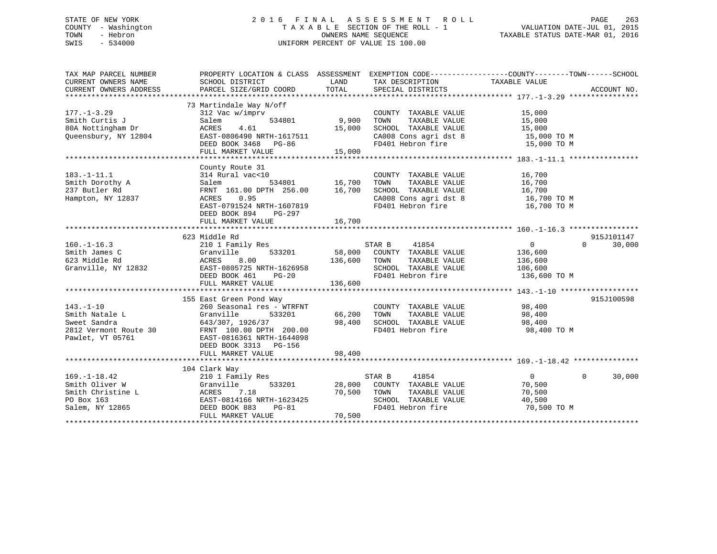# STATE OF NEW YORK 2 0 1 6 F I N A L A S S E S S M E N T R O L L PAGE 263 COUNTY - Washington T A X A B L E SECTION OF THE ROLL - 1 VALUATION DATE-JUL 01, 2015 TOWN - Hebron OWNERS NAME SEQUENCE TAXABLE STATUS DATE-MAR 01, 2016 SWIS - 534000 UNIFORM PERCENT OF VALUE IS 100.00

| TAX MAP PARCEL NUMBER<br>CURRENT OWNERS NAME<br>CURRENT OWNERS ADDRESS                         | PROPERTY LOCATION & CLASS ASSESSMENT EXEMPTION CODE----------------COUNTY-------TOWN------SCHOOL<br>SCHOOL DISTRICT<br>PARCEL SIZE/GRID COORD                                                         | LAND<br>TOTAL             | TAX DESCRIPTION TAXABLE VALUE SPECIAL DISTRICTS                                                                                                                                                |                                                                 | ACCOUNT NO.                      |
|------------------------------------------------------------------------------------------------|-------------------------------------------------------------------------------------------------------------------------------------------------------------------------------------------------------|---------------------------|------------------------------------------------------------------------------------------------------------------------------------------------------------------------------------------------|-----------------------------------------------------------------|----------------------------------|
| $177. - 1 - 3.29$<br>Smith Curtis J<br>80A Nottingham Dr<br>Queensbury, NY 12804               | 73 Martindale Way N/off<br>312 Vac w/imprv<br>534801<br>Salem<br>4.61<br>ACRES<br>EAST-0806490 NRTH-1617511<br>DEED BOOK 3468 PG-86<br>FULL MARKET VALUE                                              | 9,900<br>15,000<br>15,000 | COUNTY TAXABLE VALUE<br>TOWN<br>TAXABLE VALUE<br>SCHOOL TAXABLE VALUE<br>CA008 Cons agri dst 8 15,000 TO M<br>FD401 Hebron fire                                                                | 15,000<br>15,000<br>15,000<br>15,000 TO M                       |                                  |
| $183. - 1 - 11.1$<br>Smith Dorothy A<br>237 Butler Rd<br>Hampton, NY 12837                     | County Route 31<br>314 Rural vac<10<br>Salem 534801 16,700<br>FRNT 161.00 DPTH 256.00 16,700<br>ACRES<br>0.95<br>EAST-0791524 NRTH-1607819<br>DEED BOOK 894 PG-297                                    |                           | COUNTY TAXABLE VALUE 16,700<br>TAXABLE VALUE<br>TOWN<br>SCHOOL TAXABLE VALUE<br>CA008 Cons agri dst 8 16,700 TO M<br>FD401 Hebron fire                                                         | $\frac{16}{16}$ , 700<br>16,700 TO M                            |                                  |
|                                                                                                | FULL MARKET VALUE                                                                                                                                                                                     | 16,700                    |                                                                                                                                                                                                |                                                                 |                                  |
| $160. - 1 - 16.3$<br>Smith James C<br>623 Middle Rd<br>Granville, NY 12832                     | 623 Middle Rd<br>210 1 Family Res<br>Granville<br>8.00<br>ACRES<br>EAST-0805725 NRTH-1626958<br>DEED BOOK 461 PG-20                                                                                   | 136,600 TOWN              | STAR B<br>41854<br>533201 58,000 COUNTY TAXABLE VALUE<br>TAXABLE VALUE<br>SCHOOL TAXABLE VALUE<br>FD401 Hebron fire                                                                            | $\overline{0}$<br>136,600<br>136,600<br>106,600<br>136,600 TO M | 915J101147<br>$\Omega$<br>30,000 |
|                                                                                                | FULL MARKET VALUE                                                                                                                                                                                     | 136,600                   |                                                                                                                                                                                                |                                                                 |                                  |
| $143. - 1 - 10$<br>Smith Natale L<br>Sweet Sandra<br>2812 Vermont Route 30<br>Pawlet, VT 05761 | 155 East Green Pond Way<br>260 Seasonal res - WTRFNT<br>Granville<br>533201<br>643/307, 1926/37<br>FRNT 100.00 DPTH 200.00<br>EAST-0816361 NRTH-1644098<br>DEED BOOK 3313 PG-156<br>FULL MARKET VALUE | 66,200 TOWN<br>98,400     | COUNTY TAXABLE VALUE 98,400<br>$\begin{tabular}{lllllllllll} 66,200 & TOWN & TAXABLE VALUE & & & 98,400 \\ 98,400 & SCHOOL & TAXABLE VALUE & & & 98,400 \\ \end{tabular}$<br>FD401 Hebron fire | 98,400 TO M                                                     | 915J100598                       |
|                                                                                                |                                                                                                                                                                                                       |                           |                                                                                                                                                                                                |                                                                 |                                  |
| $169. - 1 - 18.42$<br>Smith Oliver W<br>Smith Christine L<br>PO Box 163<br>Salem, NY 12865     | 104 Clark Way<br>210 1 Family Res<br>533201<br>Granville<br>7.18<br>ACRES<br>EAST-0814166 NRTH-1623425<br>$PG-81$<br>DEED BOOK 883<br>FULL MARKET VALUE                                               | 70,500<br>70,500          | STAR B 41854<br>28,000 COUNTY TAXABLE VALUE<br>TOWN<br>TAXABLE VALUE<br>SCHOOL TAXABLE VALUE<br>FD401 Hebron fire                                                                              | $\overline{0}$<br>70,500<br>70,500<br>40,500<br>70,500 TO M     | $\Omega$<br>30,000               |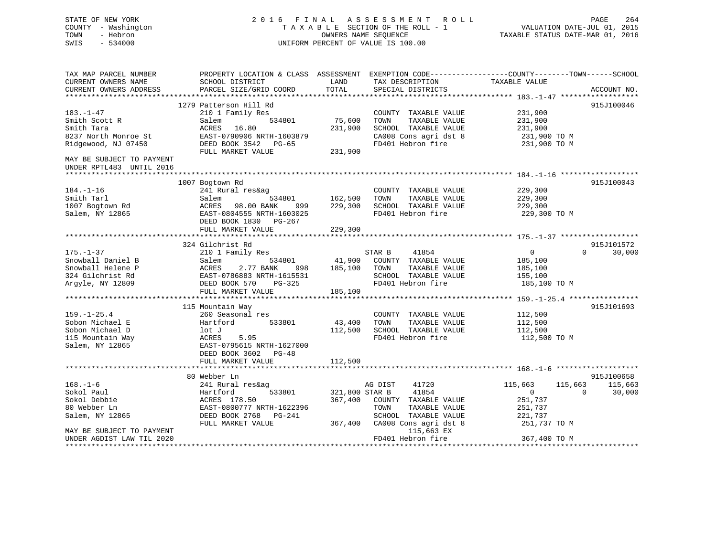# STATE OF NEW YORK 2 0 1 6 F I N A L A S S E S S M E N T R O L L PAGE 264 COUNTY - Washington T A X A B L E SECTION OF THE ROLL - 1 VALUATION DATE-JUL 01, 2015 TOWN - Hebron OWNERS NAME SEQUENCE TAXABLE STATUS DATE-MAR 01, 2016 SWIS - 534000 UNIFORM PERCENT OF VALUE IS 100.00

| TAX MAP PARCEL NUMBER     | PROPERTY LOCATION & CLASS ASSESSMENT EXEMPTION CODE---------------COUNTY-------TOWN------SCHOOL |                     |                                            |                                  |                    |
|---------------------------|-------------------------------------------------------------------------------------------------|---------------------|--------------------------------------------|----------------------------------|--------------------|
| CURRENT OWNERS NAME       | SCHOOL DISTRICT                                                                                 | LAND                | TAX DESCRIPTION                            | TAXABLE VALUE                    |                    |
| CURRENT OWNERS ADDRESS    | PARCEL SIZE/GRID COORD                                                                          | TOTAL               | SPECIAL DISTRICTS                          |                                  | ACCOUNT NO.        |
|                           |                                                                                                 |                     |                                            |                                  |                    |
|                           | 1279 Patterson Hill Rd                                                                          |                     |                                            |                                  | 915J100046         |
| $183. - 1 - 47$           | 210 1 Family Res                                                                                |                     | COUNTY TAXABLE VALUE                       | 231,900                          |                    |
| Smith Scott R             | Salem<br>534801                                                                                 | 75,600              | TAXABLE VALUE<br>TOWN                      | 231,900                          |                    |
| Smith Tara                | ACRES<br>16.80                                                                                  | 231,900             | SCHOOL TAXABLE VALUE                       | 231,900                          |                    |
| 8237 North Monroe St      | EAST-0790906 NRTH-1603879                                                                       |                     |                                            | 231,900 TO M                     |                    |
| Ridgewood, NJ 07450       | DEED BOOK 3542 PG-65                                                                            |                     | CA008 Cons agri dst 8<br>FD401 Hebron fire | 231,900 TO M                     |                    |
|                           | FULL MARKET VALUE                                                                               | 231,900             |                                            |                                  |                    |
| MAY BE SUBJECT TO PAYMENT |                                                                                                 |                     |                                            |                                  |                    |
| UNDER RPTL483 UNTIL 2016  |                                                                                                 |                     |                                            |                                  |                    |
|                           |                                                                                                 |                     |                                            |                                  |                    |
|                           | 1007 Bogtown Rd                                                                                 |                     |                                            |                                  | 915J100043         |
| $184. - 1 - 16$           | 241 Rural res&ag                                                                                |                     | COUNTY TAXABLE VALUE                       | 229,300                          |                    |
| Smith Tarl                | Salem                                                                                           | 534801 162,500 TOWN | TAXABLE VALUE                              | 229,300                          |                    |
| 1007 Bogtown Rd           | ACRES 98.00 BANK                                                                                |                     | 999 229,300 SCHOOL TAXABLE VALUE           | 229,300                          |                    |
| Salem, NY 12865           | EAST-0804555 NRTH-1603025                                                                       |                     | FD401 Hebron fire                          | 229,300 TO M                     |                    |
|                           |                                                                                                 |                     |                                            |                                  |                    |
|                           | DEED BOOK 1830 PG-267                                                                           |                     |                                            |                                  |                    |
|                           | FULL MARKET VALUE                                                                               | 229,300             |                                            |                                  |                    |
|                           |                                                                                                 |                     |                                            |                                  |                    |
|                           | 324 Gilchrist Rd                                                                                |                     |                                            |                                  | 915J101572         |
| $175. - 1 - 37$           | 210 1 Family Res                                                                                |                     | STAR B<br>41854                            | $\overline{0}$                   | $\Omega$<br>30,000 |
| Snowball Daniel B         | 534801<br>Salem                                                                                 |                     | 41,900 COUNTY TAXABLE VALUE                | 185,100                          |                    |
| Snowball Helene P         | ACRES 2.77 BARRIC 3.31                                                                          | 998 185,100 TOWN    | TAXABLE VALUE                              | 185,100                          |                    |
| 324 Gilchrist Rd          |                                                                                                 |                     | SCHOOL TAXABLE VALUE                       | 155,100                          |                    |
| Argyle, NY 12809          | DEED BOOK 570<br>PG-325                                                                         |                     | FD401 Hebron fire                          | 185,100 TO M                     |                    |
|                           | FULL MARKET VALUE                                                                               | 185,100             |                                            |                                  |                    |
|                           |                                                                                                 |                     |                                            |                                  |                    |
|                           | 115 Mountain Way                                                                                |                     |                                            |                                  | 915J101693         |
| $159. - 1 - 25.4$         | 260 Seasonal res                                                                                |                     | COUNTY TAXABLE VALUE 112,500               |                                  |                    |
| Sobon Michael E           | 533801<br>Hartford                                                                              | 43,400 TOWN         | TAXABLE VALUE                              | 112,500                          |                    |
| Sobon Michael D           | lot J                                                                                           |                     | 112,500 SCHOOL TAXABLE VALUE               | 112,500                          |                    |
| 115 Mountain Way          | ACRES<br>5.95                                                                                   |                     | FD401 Hebron fire                          | 112,500 TO M                     |                    |
| Salem, NY 12865           | EAST-0795615 NRTH-1627000                                                                       |                     |                                            |                                  |                    |
|                           | DEED BOOK 3602 PG-48                                                                            |                     |                                            |                                  |                    |
|                           | FULL MARKET VALUE                                                                               | 112,500             |                                            |                                  |                    |
|                           |                                                                                                 |                     |                                            |                                  |                    |
|                           | 80 Webber Ln                                                                                    |                     |                                            |                                  | 915J100658         |
| $168. - 1 - 6$            | 241 Rural res&ag                                                                                |                     | AG DIST<br>41720                           | 115,663<br>115,663               | 115,663            |
| Sokol Paul                | Hartford<br>533801                                                                              | 321,800 STAR B      | 41854                                      | $\overline{0}$<br>$\overline{0}$ | 30,000             |
| Sokol Debbie              | ACRES 178.50                                                                                    |                     | 367,400 COUNTY TAXABLE VALUE               | 251,737                          |                    |
| 80 Webber Ln              | EAST-0800777 NRTH-1622396                                                                       |                     | TOWN<br>TAXABLE VALUE                      | 251,737                          |                    |
| Salem, NY 12865           | DEED BOOK 2768 PG-241                                                                           |                     | SCHOOL TAXABLE VALUE                       | 221,737                          |                    |
|                           | FULL MARKET VALUE                                                                               |                     | 367,400 CA008 Cons agri dst 8              | 251,737 TO M                     |                    |
| MAY BE SUBJECT TO PAYMENT |                                                                                                 |                     | 115,663 EX                                 |                                  |                    |
| UNDER AGDIST LAW TIL 2020 |                                                                                                 |                     | FD401 Hebron fire                          | 367,400 TO M                     |                    |
|                           |                                                                                                 |                     |                                            |                                  |                    |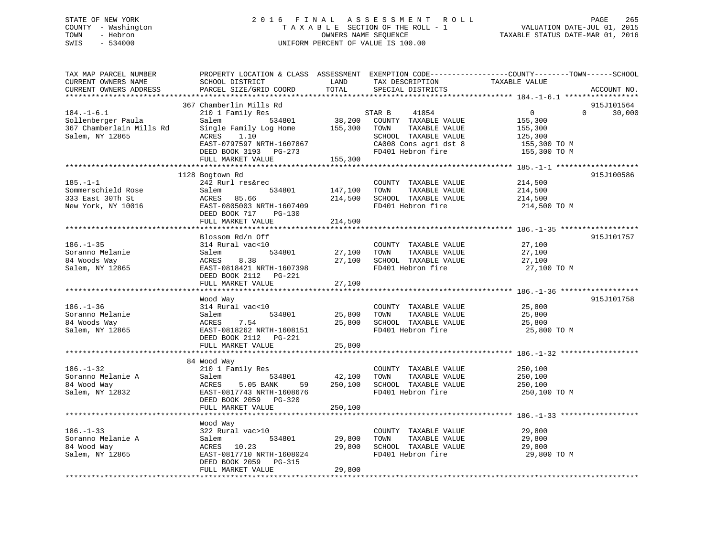# STATE OF NEW YORK 2 0 1 6 F I N A L A S S E S S M E N T R O L L PAGE 265 COUNTY - Washington T A X A B L E SECTION OF THE ROLL - 1 VALUATION DATE-JUL 01, 2015 TOWN - Hebron OWNERS NAME SEQUENCE TAXABLE STATUS DATE-MAR 01, 2016 SWIS - 534000 UNIFORM PERCENT OF VALUE IS 100.00

| TAX MAP PARCEL NUMBER<br>CURRENT OWNERS NAME<br>CURRENT OWNERS ADDRESS | PROPERTY LOCATION & CLASS ASSESSMENT EXEMPTION CODE----------------COUNTY-------TOWN-----SCHOOL<br>SCHOOL DISTRICT<br>PARCEL SIZE/GRID COORD | LAND<br>TOTAL            | TAX DESCRIPTION<br>SPECIAL DISTRICTS | TAXABLE VALUE                                        | ACCOUNT NO. |
|------------------------------------------------------------------------|----------------------------------------------------------------------------------------------------------------------------------------------|--------------------------|--------------------------------------|------------------------------------------------------|-------------|
|                                                                        |                                                                                                                                              |                          |                                      |                                                      |             |
|                                                                        | 367 Chamberlin Mills Rd                                                                                                                      |                          |                                      |                                                      | 915J101564  |
| $184. - 1 - 6.1$                                                       | 210 1 Family Res                                                                                                                             |                          | STAR B<br>41854                      | $\overline{0}$<br>$\Omega$                           | 30,000      |
| Sollenberger Paula                                                     | Salem<br>534801                                                                                                                              | 38,200                   | COUNTY TAXABLE VALUE                 | 155,300                                              |             |
| 367 Chamberlain Mills Rd                                               | Single Family Log Home                                                                                                                       | 155,300                  | TOWN<br>TAXABLE VALUE                | 155,300                                              |             |
| Salem, NY 12865                                                        | ACRES<br>1.10                                                                                                                                |                          | SCHOOL TAXABLE VALUE                 | 125,300                                              |             |
|                                                                        | EAST-0797597 NRTH-1607867                                                                                                                    |                          | CA008 Cons agri dst 8                | 155,300 TO M                                         |             |
|                                                                        | DEED BOOK 3193 PG-273                                                                                                                        |                          | FD401 Hebron fire                    | 155,300 TO M                                         |             |
|                                                                        | FULL MARKET VALUE                                                                                                                            | 155,300                  |                                      |                                                      |             |
|                                                                        |                                                                                                                                              |                          |                                      |                                                      | 915J100586  |
| $185. - 1 - 1$                                                         | 1128 Bogtown Rd<br>242 Rurl res&rec                                                                                                          |                          | COUNTY TAXABLE VALUE                 | 214,500                                              |             |
| Sommerschield Rose                                                     | 534801<br>Salem                                                                                                                              | 147,100                  | TAXABLE VALUE<br>TOWN                | 214,500                                              |             |
| 333 East 30Th St                                                       | ACRES 85.66                                                                                                                                  | 214,500                  | SCHOOL TAXABLE VALUE                 | 214,500                                              |             |
| New York, NY 10016                                                     | EAST-0805003 NRTH-1607409                                                                                                                    |                          | FD401 Hebron fire                    | 214,500 TO M                                         |             |
|                                                                        | DEED BOOK 717<br>PG-130                                                                                                                      |                          |                                      |                                                      |             |
|                                                                        | FULL MARKET VALUE                                                                                                                            | 214,500                  |                                      |                                                      |             |
|                                                                        | ************************                                                                                                                     | ***********              |                                      | ********************* 186.-1-35 *******************  |             |
|                                                                        | Blossom Rd/n Off                                                                                                                             |                          |                                      |                                                      | 915J101757  |
| $186. - 1 - 35$                                                        | 314 Rural vac<10                                                                                                                             |                          | COUNTY TAXABLE VALUE                 | 27,100                                               |             |
| Soranno Melanie                                                        | 534801<br>Salem                                                                                                                              | 27,100                   | TOWN<br>TAXABLE VALUE                | 27,100                                               |             |
| 84 Woods Way                                                           | 8.38<br>ACRES                                                                                                                                | 27,100                   | SCHOOL TAXABLE VALUE                 | 27,100                                               |             |
| Salem, NY 12865                                                        | EAST-0818421 NRTH-1607398                                                                                                                    |                          | FD401 Hebron fire                    | 27,100 TO M                                          |             |
|                                                                        | DEED BOOK 2112 PG-221                                                                                                                        |                          |                                      |                                                      |             |
|                                                                        | FULL MARKET VALUE                                                                                                                            | 27,100                   |                                      |                                                      |             |
|                                                                        | Wood Way                                                                                                                                     |                          |                                      |                                                      | 915J101758  |
| $186. - 1 - 36$                                                        | 314 Rural vac<10                                                                                                                             |                          | COUNTY TAXABLE VALUE                 | 25,800                                               |             |
| Soranno Melanie                                                        | 534801<br>Salem                                                                                                                              | 25,800                   | TAXABLE VALUE<br>TOWN                | 25,800                                               |             |
| 84 Woods Way                                                           | 7.54<br>ACRES                                                                                                                                | 25,800                   | SCHOOL TAXABLE VALUE                 | 25,800                                               |             |
| Salem, NY 12865                                                        | EAST-0818262 NRTH-1608151                                                                                                                    |                          | FD401 Hebron fire                    | 25,800 TO M                                          |             |
|                                                                        | DEED BOOK 2112    PG-221                                                                                                                     |                          |                                      |                                                      |             |
|                                                                        | FULL MARKET VALUE                                                                                                                            | 25,800                   |                                      |                                                      |             |
|                                                                        |                                                                                                                                              |                          |                                      |                                                      |             |
|                                                                        | 84 Wood Way                                                                                                                                  |                          |                                      |                                                      |             |
| $186. - 1 - 32$                                                        | 210 1 Family Res                                                                                                                             |                          | COUNTY TAXABLE VALUE                 | 250,100                                              |             |
| Soranno Melanie A                                                      | Salem<br>534801                                                                                                                              | 42,100                   | TAXABLE VALUE<br>TOWN                | 250,100                                              |             |
| 84 Wood Way                                                            | 5.05 BANK<br>ACRES<br>59                                                                                                                     | 250,100                  | SCHOOL TAXABLE VALUE                 | 250,100                                              |             |
| Salem, NY 12832                                                        | EAST-0817743 NRTH-1608676                                                                                                                    |                          | FD401 Hebron fire                    | 250,100 TO M                                         |             |
|                                                                        | DEED BOOK 2059 PG-320                                                                                                                        |                          |                                      |                                                      |             |
|                                                                        | FULL MARKET VALUE<br>***********************                                                                                                 | 250,100<br>************* |                                      |                                                      |             |
|                                                                        |                                                                                                                                              |                          |                                      | *********************************** 186.-1-33 ****** |             |
| $186. - 1 - 33$                                                        | Wood Way<br>322 Rural vac>10                                                                                                                 |                          | COUNTY TAXABLE VALUE                 | 29,800                                               |             |
| Soranno Melanie A                                                      | Salem<br>534801                                                                                                                              | 29,800                   | TOWN<br>TAXABLE VALUE                | 29,800                                               |             |
| 84 Wood Way                                                            | 10.23<br>ACRES                                                                                                                               | 29,800                   | SCHOOL TAXABLE VALUE                 | 29,800                                               |             |
| Salem, NY 12865                                                        | EAST-0817710 NRTH-1608024                                                                                                                    |                          | FD401 Hebron fire                    | 29,800 TO M                                          |             |
|                                                                        | DEED BOOK 2059 PG-315                                                                                                                        |                          |                                      |                                                      |             |
|                                                                        | FULL MARKET VALUE                                                                                                                            | 29,800                   |                                      |                                                      |             |
|                                                                        |                                                                                                                                              |                          |                                      |                                                      |             |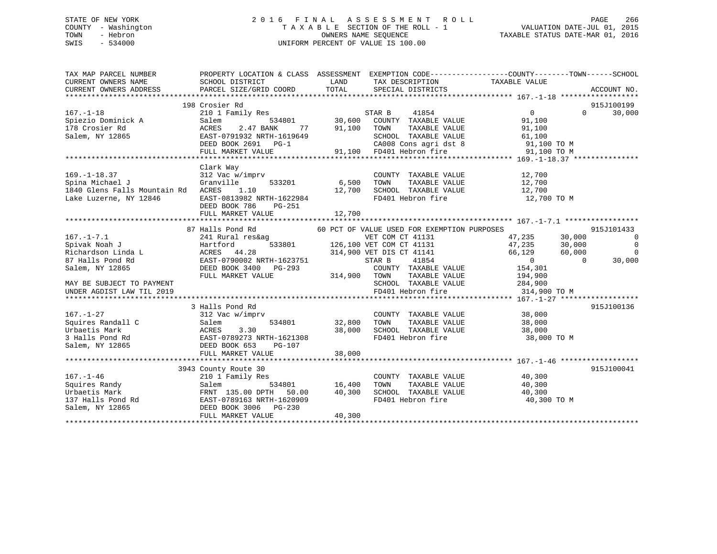# STATE OF NEW YORK 2 0 1 6 F I N A L A S S E S S M E N T R O L L PAGE 266 COUNTY - Washington T A X A B L E SECTION OF THE ROLL - 1 VALUATION DATE-JUL 01, 2015 TOWN - Hebron OWNERS NAME SEQUENCE TAXABLE STATUS DATE-MAR 01, 2016 SWIS - 534000 UNIFORM PERCENT OF VALUE IS 100.00

| TAX MAP PARCEL NUMBER<br>CURRENT OWNERS NAME<br>CURRENT OWNERS ADDRESS | SCHOOL DISTRICT<br>PARCEL SIZE/GRID COORD | LAND<br>TOTAL | TAX DESCRIPTION<br>SPECIAL DISTRICTS                                                                                               | PROPERTY LOCATION & CLASS ASSESSMENT EXEMPTION CODE---------------COUNTY-------TOWN------SCHOOL<br>TAXABLE VALUE | ACCOUNT NO.              |
|------------------------------------------------------------------------|-------------------------------------------|---------------|------------------------------------------------------------------------------------------------------------------------------------|------------------------------------------------------------------------------------------------------------------|--------------------------|
|                                                                        |                                           |               |                                                                                                                                    |                                                                                                                  |                          |
|                                                                        | 198 Crosier Rd                            |               |                                                                                                                                    |                                                                                                                  | 915J100199               |
| $167. - 1 - 18$                                                        | 210 1 Family Res                          |               |                                                                                                                                    | $\overline{0}$                                                                                                   | 30,000<br>$\Omega$       |
| Spiezio Dominick A                                                     | Salem                                     |               |                                                                                                                                    | 91,100                                                                                                           |                          |
| 178 Crosier Rd                                                         | ACRES<br>2.47 BANK                        | 91,100        | TAXABLE VALUE<br>TOWN                                                                                                              | 91,100                                                                                                           |                          |
| Salem, NY 12865                                                        | EAST-0791932 NRTH-1619649                 |               | SCHOOL TAXABLE VALUE                                                                                                               | 61,100                                                                                                           |                          |
|                                                                        | DEED BOOK 2691 PG-1                       |               |                                                                                                                                    | 91,100 TO M                                                                                                      |                          |
|                                                                        | FULL MARKET VALUE                         |               | CA008 Cons agri dst 8<br>FD401 Hebron fire<br>91,100 FD401 Hebron fire                                                             | 91,100 TO M                                                                                                      |                          |
|                                                                        |                                           |               |                                                                                                                                    |                                                                                                                  |                          |
|                                                                        | Clark Way                                 |               |                                                                                                                                    |                                                                                                                  |                          |
| $169. - 1 - 18.37$                                                     | 312 Vac w/imprv                           |               | COUNTY TAXABLE VALUE 12,700                                                                                                        |                                                                                                                  |                          |
| Spina Michael J                                                        | Granville<br>533201                       |               |                                                                                                                                    |                                                                                                                  |                          |
| 1840 Glens Falls Mountain Rd ACRES                                     | 1.10                                      |               | $\begin{tabular}{lllllllllll} 6,500&TOWN& TAXABLE& VALUE & & & 12,700 \\ 12,700& SCHOOL& TAXABLE VALUE & & & 12,700 \end{tabular}$ |                                                                                                                  |                          |
| Lake Luzerne, NY 12846                                                 | EAST-0813982 NRTH-1622984                 |               |                                                                                                                                    | FD401 Hebron fire 12,700 TO M                                                                                    |                          |
|                                                                        | DEED BOOK 786<br>PG-251                   |               |                                                                                                                                    |                                                                                                                  |                          |
|                                                                        | FULL MARKET VALUE                         | 12,700        |                                                                                                                                    |                                                                                                                  |                          |
|                                                                        |                                           |               |                                                                                                                                    |                                                                                                                  |                          |
|                                                                        | 87 Halls Pond Rd                          |               | 60 PCT OF VALUE USED FOR EXEMPTION PURPOSES                                                                                        |                                                                                                                  | 915J101433               |
| $167. - 1 - 7.1$                                                       | 241 Rural res&ag                          |               | VET COM CT 41131                                                                                                                   | 47,235<br>30,000                                                                                                 | $\overline{\phantom{0}}$ |
| Spivak Noah J                                                          | Hartford                                  |               | Skag<br>533801 126,100 VET COM CT 41131                                                                                            | 47,235<br>30,000                                                                                                 | $\overline{0}$           |
| Richardson Linda L                                                     | ACRES 44.28                               |               |                                                                                                                                    |                                                                                                                  | $\overline{0}$           |
| 87 Halls Pond Rd                                                       | EAST-0790002 NRTH-1623751                 |               | 314,900 VET DIS CT 41141<br>STAR B<br>41854                                                                                        | 66,129<br>60,000<br>$\overline{0}$<br>$\Omega$                                                                   | 30,000                   |
|                                                                        | DEED BOOK 3400 PG-293                     |               | COUNTY TAXABLE VALUE                                                                                                               |                                                                                                                  |                          |
| Salem, NY 12865                                                        |                                           | 314,900 TOWN  |                                                                                                                                    | 154,301                                                                                                          |                          |
|                                                                        | FULL MARKET VALUE                         |               | TAXABLE VALUE                                                                                                                      | 194,900                                                                                                          |                          |
| MAY BE SUBJECT TO PAYMENT                                              |                                           |               | SCHOOL TAXABLE VALUE                                                                                                               | 284,900                                                                                                          |                          |
| UNDER AGDIST LAW TIL 2019                                              |                                           |               | FD401 Hebron fire                                                                                                                  | 314,900 TO M                                                                                                     |                          |
|                                                                        |                                           |               |                                                                                                                                    |                                                                                                                  |                          |
|                                                                        | 3 Halls Pond Rd                           |               |                                                                                                                                    |                                                                                                                  | 915J100136               |
| $167. - 1 - 27$                                                        | 312 Vac w/imprv                           | 534801 32,800 | COUNTY TAXABLE VALUE                                                                                                               | 38,000                                                                                                           |                          |
| Squires Randall C                                                      | Salem                                     |               | TOWN<br>TAXABLE VALUE                                                                                                              | 38,000                                                                                                           |                          |
| Urbaetis Mark                                                          | 3.30<br>ACRES                             | 38,000        | SCHOOL TAXABLE VALUE                                                                                                               | 38,000                                                                                                           |                          |
| 3 Halls Pond Rd                                                        | EAST-0789273 NRTH-1621308                 |               | FD401 Hebron fire                                                                                                                  | 38,000 TO M                                                                                                      |                          |
| Salem, NY 12865                                                        | DEED BOOK 653<br>PG-107                   |               |                                                                                                                                    |                                                                                                                  |                          |
|                                                                        | FULL MARKET VALUE                         | 38,000        |                                                                                                                                    |                                                                                                                  |                          |
|                                                                        |                                           |               |                                                                                                                                    |                                                                                                                  |                          |
|                                                                        | 3943 County Route 30                      |               |                                                                                                                                    |                                                                                                                  | 915J100041               |
| $167. - 1 - 46$                                                        | 210 1 Family Res                          |               | COUNTY TAXABLE VALUE                                                                                                               | 40,300                                                                                                           |                          |
|                                                                        |                                           | 534801 16,400 | TAXABLE VALUE<br>TOWN                                                                                                              | 40,300                                                                                                           |                          |
|                                                                        | FRNT 135.00 DPTH 50.00 40,300             |               | SCHOOL TAXABLE VALUE                                                                                                               | 40,300                                                                                                           |                          |
|                                                                        |                                           |               | FD401 Hebron fire                                                                                                                  | 40,300 TO M                                                                                                      |                          |
| Salem, NY 12865                                                        | DEED BOOK 3006 PG-230                     |               |                                                                                                                                    |                                                                                                                  |                          |
|                                                                        | FULL MARKET VALUE                         | 40,300        |                                                                                                                                    |                                                                                                                  |                          |
|                                                                        |                                           |               |                                                                                                                                    |                                                                                                                  |                          |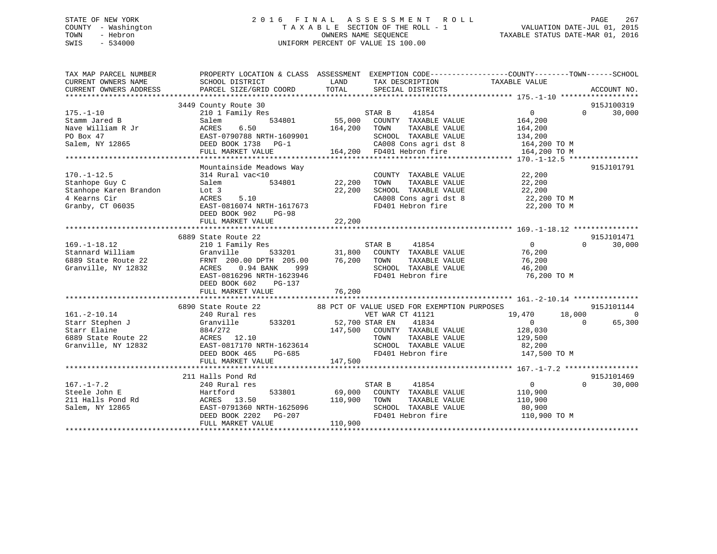# STATE OF NEW YORK 2 0 1 6 F I N A L A S S E S S M E N T R O L L PAGE 267 COUNTY - Washington T A X A B L E SECTION OF THE ROLL - 1 VALUATION DATE-JUL 01, 2015 TOWN - Hebron OWNERS NAME SEQUENCE TAXABLE STATUS DATE-MAR 01, 2016 SWIS - 534000 UNIFORM PERCENT OF VALUE IS 100.00

| TAX MAP PARCEL NUMBER           |                                                                                          |                                                                               | PROPERTY LOCATION & CLASS ASSESSMENT EXEMPTION CODE---------------COUNTY-------TOWN------SCHOOL                                                                                                                                            |
|---------------------------------|------------------------------------------------------------------------------------------|-------------------------------------------------------------------------------|--------------------------------------------------------------------------------------------------------------------------------------------------------------------------------------------------------------------------------------------|
| CURRENT OWNERS NAME             | SCHOOL DISTRICT                                                                          | LAND TAX DESCRIPTION                                                          | TAXABLE VALUE                                                                                                                                                                                                                              |
| CURRENT OWNERS ADDRESS          | PARCEL SIZE/GRID COORD                                                                   | TOTAL<br>SPECIAL DISTRICTS                                                    | ACCOUNT NO.                                                                                                                                                                                                                                |
|                                 |                                                                                          |                                                                               |                                                                                                                                                                                                                                            |
|                                 | 3449 County Route 30                                                                     |                                                                               | 915J100319                                                                                                                                                                                                                                 |
| $175. - 1 - 10$                 |                                                                                          |                                                                               | $\overline{0}$<br>$\Omega$<br>30,000                                                                                                                                                                                                       |
| Stamm Jared B                   | 534801<br>Salem                                                                          | 55,000 COUNTY TAXABLE VALUE 164,200                                           |                                                                                                                                                                                                                                            |
|                                 |                                                                                          |                                                                               |                                                                                                                                                                                                                                            |
|                                 |                                                                                          |                                                                               |                                                                                                                                                                                                                                            |
|                                 |                                                                                          |                                                                               |                                                                                                                                                                                                                                            |
|                                 |                                                                                          |                                                                               | Scheme William R Jr (1990)<br>Now William R Jr (1990)<br>Now William R Jr (1999)<br>Salem, NY 12865 (1990)<br>Salem, NY 12865 (1990)<br>EED BOOK 1738 PG-1 (2000 CANABLE VALUE 134,200 TO M<br>FULL MARKET VALUE 164,200 FD401 Hebron fire |
|                                 |                                                                                          |                                                                               |                                                                                                                                                                                                                                            |
|                                 | Mountainside Meadows Way                                                                 |                                                                               | 915J101791                                                                                                                                                                                                                                 |
| $170. - 1 - 12.5$               | 314 Rural vac<10                                                                         | COUNTY TAXABLE VALUE 22,200                                                   |                                                                                                                                                                                                                                            |
| Stanhope Guy C                  | 534801 22,200 TOWN<br>Salem                                                              |                                                                               | TAXABLE VALUE 22,200                                                                                                                                                                                                                       |
| Stanhope Karen Brandon          | Lot 3                                                                                    | 22,200<br>SCHOOL TAXABLE VALUE $22,200$<br>CA008 Cons agri dst 8 22,200 TO M  |                                                                                                                                                                                                                                            |
| 4 Kearns Cir                    | ACRES 5.10                                                                               |                                                                               |                                                                                                                                                                                                                                            |
| Granby, CT 06035                | EAST-0816074 NRTH-1617673                                                                | FD401 Hebron fire                                                             | 22,200 TO M                                                                                                                                                                                                                                |
|                                 | DEED BOOK 902 PG-98                                                                      |                                                                               |                                                                                                                                                                                                                                            |
|                                 | FULL MARKET VALUE                                                                        | 22,200                                                                        |                                                                                                                                                                                                                                            |
|                                 |                                                                                          |                                                                               |                                                                                                                                                                                                                                            |
|                                 | 6889 State Route 22                                                                      |                                                                               | 915J101471                                                                                                                                                                                                                                 |
| $169. - 1 - 18.12$              |                                                                                          |                                                                               | $\overline{0}$<br>$\Omega$<br>30,000                                                                                                                                                                                                       |
| Stannard William                |                                                                                          |                                                                               | 76,200                                                                                                                                                                                                                                     |
| 6889 State Route 22             | FRNT 200.00 DPTH 205.00 76,200 TOWN<br>ACRES 0.94 BANK 999                               |                                                                               | TAXABLE VALUE 76,200                                                                                                                                                                                                                       |
| Granville, NY 12832             | 210 1 Family Res<br>Granville<br>FRNT 200.00 DPT<br>ACRES 0.94 BA<br>ACRES 0.94 BANK 999 | SCHOOL TAXABLE VALUE                                                          | 46,200                                                                                                                                                                                                                                     |
|                                 | EAST-0816296 NRTH-1623946                                                                | FD401 Hebron fire                                                             | 76,200 TO M                                                                                                                                                                                                                                |
|                                 | DEED BOOK 602<br>PG-137                                                                  |                                                                               |                                                                                                                                                                                                                                            |
|                                 | FULL MARKET VALUE                                                                        | 76,200                                                                        |                                                                                                                                                                                                                                            |
|                                 |                                                                                          |                                                                               |                                                                                                                                                                                                                                            |
|                                 |                                                                                          | 88 PCT OF VALUE USED FOR EXEMPTION PURPOSES                                   | 915J101144                                                                                                                                                                                                                                 |
| $161. - 2 - 10.14$              | 6890 State Route 22<br>240 Rural res                                                     | VET WAR CT 41121                                                              | 19,470 18,000<br>0                                                                                                                                                                                                                         |
| Starr Stephen J<br>Starr Flainc |                                                                                          |                                                                               | 65,300<br>$\overline{0}$<br>$\overline{0}$                                                                                                                                                                                                 |
| Starr Elaine                    |                                                                                          | Granville 533201 52,700 STAR EN 41834<br>884/272 147,500 COUNTY TAXABLE VALUE | 128,030                                                                                                                                                                                                                                    |
| 6889 State Route 22             | ACRES 12.10                                                                              | TOWN                                                                          | TAXABLE VALUE 129,500                                                                                                                                                                                                                      |
| Granville, NY 12832             | EAST-0817170 NRTH-1623614                                                                |                                                                               |                                                                                                                                                                                                                                            |
|                                 | DEED BOOK 465                                                                            |                                                                               | 82,200<br>147,500 TO M                                                                                                                                                                                                                     |
|                                 | FULL MARKET VALUE                                                                        | 147,500                                                                       |                                                                                                                                                                                                                                            |
|                                 |                                                                                          |                                                                               |                                                                                                                                                                                                                                            |
|                                 | 211 Halls Pond Rd                                                                        |                                                                               | 915J101469                                                                                                                                                                                                                                 |
| $167. - 1 - 7.2$                | 240 Rural res                                                                            | STAR B 41854                                                                  | $\overline{0}$<br>$\Omega$<br>30,000                                                                                                                                                                                                       |
| Steele John E                   | Hartford                                                                                 | 533801 69,000 COUNTY TAXABLE VALUE 110,900                                    |                                                                                                                                                                                                                                            |
|                                 |                                                                                          |                                                                               |                                                                                                                                                                                                                                            |
|                                 |                                                                                          |                                                                               |                                                                                                                                                                                                                                            |
|                                 |                                                                                          |                                                                               | 110,900 TO M                                                                                                                                                                                                                               |
|                                 | FULL MARKET VALUE                                                                        | 110,900                                                                       |                                                                                                                                                                                                                                            |
|                                 |                                                                                          |                                                                               |                                                                                                                                                                                                                                            |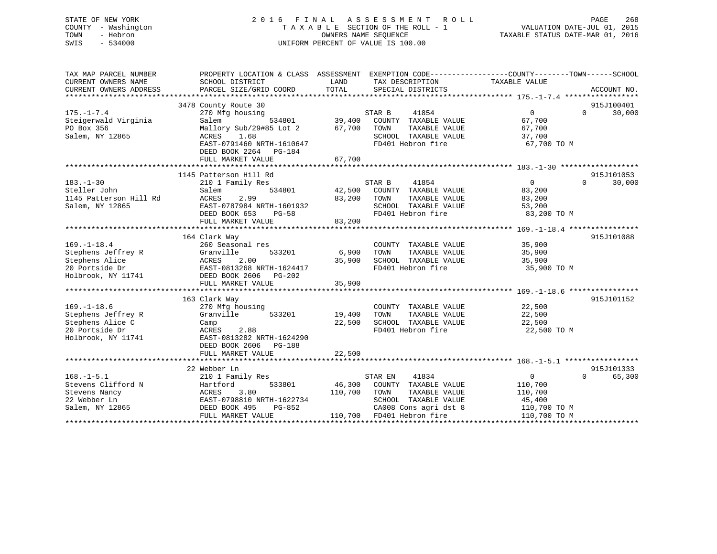# STATE OF NEW YORK 2 0 1 6 F I N A L A S S E S S M E N T R O L L PAGE 268 COUNTY - Washington T A X A B L E SECTION OF THE ROLL - 1 VALUATION DATE-JUL 01, 2015 TOWN - Hebron OWNERS NAME SEQUENCE TAXABLE STATUS DATE-MAR 01, 2016 SWIS - 534000 UNIFORM PERCENT OF VALUE IS 100.00

| TAX MAP PARCEL NUMBER<br>CURRENT OWNERS NAME<br>CURRENT OWNERS ADDRESS | PROPERTY LOCATION & CLASS ASSESSMENT EXEMPTION CODE---------------COUNTY-------TOWN------SCHOOL<br>SCHOOL DISTRICT<br>PARCEL SIZE/GRID COORD | LAND<br>TOTAL     | TAX DESCRIPTION<br>SPECIAL DISTRICTS | TAXABLE VALUE  | ACCOUNT NO.                      |
|------------------------------------------------------------------------|----------------------------------------------------------------------------------------------------------------------------------------------|-------------------|--------------------------------------|----------------|----------------------------------|
|                                                                        |                                                                                                                                              |                   |                                      |                |                                  |
|                                                                        | 3478 County Route 30                                                                                                                         |                   |                                      |                | 915J100401                       |
| $175. - 1 - 7.4$                                                       | 270 Mfg housing                                                                                                                              | STAR B            | 41854                                | $\Omega$       | 30,000<br>$\Omega$               |
| Steigerwald Virginia                                                   | Salem<br>534801                                                                                                                              | 39,400            | COUNTY TAXABLE VALUE                 | 67,700         |                                  |
| PO Box 356                                                             | Mallory Sub/29#85 Lot 2                                                                                                                      | 67,700<br>TOWN    | TAXABLE VALUE                        | 67,700         |                                  |
| Salem, NY 12865                                                        | 1.68<br>ACRES                                                                                                                                |                   | SCHOOL TAXABLE VALUE                 | 37,700         |                                  |
|                                                                        | EAST-0791460 NRTH-1610647                                                                                                                    |                   | FD401 Hebron fire                    | 67,700 TO M    |                                  |
|                                                                        | DEED BOOK 2264 PG-184                                                                                                                        |                   |                                      |                |                                  |
|                                                                        | FULL MARKET VALUE                                                                                                                            | 67,700            |                                      |                |                                  |
|                                                                        |                                                                                                                                              |                   |                                      |                |                                  |
|                                                                        | 1145 Patterson Hill Rd                                                                                                                       |                   |                                      |                | 915J101053                       |
| $183. - 1 - 30$                                                        | 210 1 Family Res                                                                                                                             | STAR B            | 41854                                | $\overline{0}$ | 30,000<br>$\Omega$               |
| Steller John                                                           | 534801<br>Salem                                                                                                                              | 42,500            | COUNTY TAXABLE VALUE                 | 83,200         |                                  |
| 1145 Patterson Hill Rd                                                 | ACRES<br>2.99                                                                                                                                | 83,200<br>TOWN    | TAXABLE VALUE                        | 83,200         |                                  |
| Salem, NY 12865                                                        | EAST-0787984 NRTH-1601932                                                                                                                    |                   | SCHOOL TAXABLE VALUE                 | 53,200         |                                  |
|                                                                        | DEED BOOK 653<br>$PG-58$                                                                                                                     |                   | FD401 Hebron fire                    | 83,200 TO M    |                                  |
|                                                                        | FULL MARKET VALUE                                                                                                                            | 83,200            |                                      |                |                                  |
|                                                                        |                                                                                                                                              |                   |                                      |                |                                  |
|                                                                        | 164 Clark Way                                                                                                                                |                   |                                      |                | 915J101088                       |
| $169. - 1 - 18.4$                                                      | 260 Seasonal res                                                                                                                             |                   | COUNTY TAXABLE VALUE                 | 35,900         |                                  |
| Stephens Jeffrey R                                                     | Granville<br>533201                                                                                                                          | 6,900<br>TOWN     | TAXABLE VALUE                        | 35,900         |                                  |
| Stephens Alice                                                         | ACRES<br>2.00                                                                                                                                | 35,900            | SCHOOL TAXABLE VALUE                 | 35,900         |                                  |
| 20 Portside Dr                                                         | EAST-0813268 NRTH-1624417                                                                                                                    |                   | FD401 Hebron fire                    | 35,900 TO M    |                                  |
| Holbrook, NY 11741                                                     | DEED BOOK 2606 PG-202                                                                                                                        |                   |                                      |                |                                  |
|                                                                        | FULL MARKET VALUE                                                                                                                            | 35,900            |                                      |                |                                  |
|                                                                        |                                                                                                                                              |                   |                                      |                |                                  |
|                                                                        | 163 Clark Way                                                                                                                                |                   |                                      |                | 915J101152                       |
| $169. - 1 - 18.6$                                                      | 270 Mfg housing                                                                                                                              |                   | COUNTY TAXABLE VALUE                 | 22,500         |                                  |
| Stephens Jeffrey R                                                     | 533201<br>Granville                                                                                                                          | 19,400<br>TOWN    | TAXABLE VALUE                        | 22,500         |                                  |
| Stephens Alice C                                                       | Camp                                                                                                                                         | 22,500            | SCHOOL TAXABLE VALUE                 | 22,500         |                                  |
| 20 Portside Dr                                                         | 2.88<br>ACRES                                                                                                                                |                   | FD401 Hebron fire                    | 22,500 TO M    |                                  |
| Holbrook, NY 11741                                                     | EAST-0813282 NRTH-1624290                                                                                                                    |                   |                                      |                |                                  |
|                                                                        | DEED BOOK 2606<br>PG-188                                                                                                                     |                   |                                      |                |                                  |
|                                                                        | FULL MARKET VALUE                                                                                                                            | 22,500            |                                      |                |                                  |
|                                                                        |                                                                                                                                              |                   |                                      |                |                                  |
|                                                                        | 22 Webber Ln                                                                                                                                 |                   |                                      |                | 915J101333<br>65,300<br>$\Omega$ |
| $168. - 1 - 5.1$<br>Stevens Clifford N                                 | 210 1 Family Res<br>533801<br>Hartford                                                                                                       | STAR EN<br>46,300 | 41834<br>COUNTY TAXABLE VALUE        | 0<br>110,700   |                                  |
| Stevens Nancy                                                          | 3.80<br>ACRES                                                                                                                                | 110,700<br>TOWN   | TAXABLE VALUE                        | 110,700        |                                  |
| 22 Webber Ln                                                           | EAST-0798810 NRTH-1622734                                                                                                                    |                   | SCHOOL TAXABLE VALUE                 | 45,400         |                                  |
| Salem, NY 12865                                                        | DEED BOOK 495<br>PG-852                                                                                                                      |                   | CA008 Cons agri dst 8                | 110,700 TO M   |                                  |
|                                                                        | FULL MARKET VALUE                                                                                                                            |                   | 110,700 FD401 Hebron fire            | 110,700 TO M   |                                  |
|                                                                        |                                                                                                                                              |                   |                                      |                |                                  |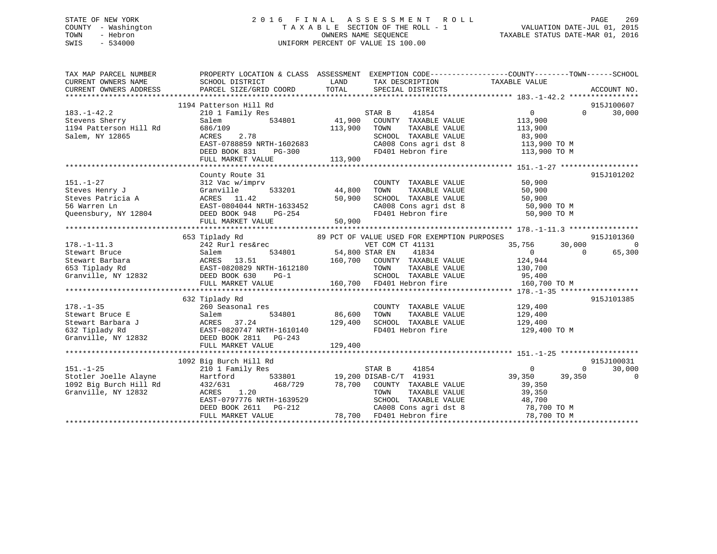# STATE OF NEW YORK 2 0 1 6 F I N A L A S S E S S M E N T R O L L PAGE 269 COUNTY - Washington T A X A B L E SECTION OF THE ROLL - 1 VALUATION DATE-JUL 01, 2015 TOWN - Hebron OWNERS NAME SEQUENCE TAXABLE STATUS DATE-MAR 01, 2016 SWIS - 534000 UNIFORM PERCENT OF VALUE IS 100.00

| 1194 Patterson Hill Rd<br>915J100607<br>$183. - 1 - 42.2$<br>STAR B<br>41854<br>$\overline{0}$<br>$\Omega$<br>30,000<br>210 1 Family Res<br>41,900<br>COUNTY TAXABLE VALUE<br>Stevens Sherry<br>Salem<br>534801<br>113,900<br>1194 Patterson Hill Rd<br>113,900<br>686/109<br>TOWN<br>TAXABLE VALUE<br>113,900<br>2.78<br>SCHOOL TAXABLE VALUE<br>Salem, NY 12865<br>ACRES<br>83,900<br>SCHOOL TAXABLE VALUE<br>CA008 Cons agri dst 8<br>FD401 Hebron fire<br>$113,900$ TO M<br>EAST-0788859 NRTH-1602683<br>DEED BOOK 831<br>PG-300<br>113,900 TO M<br>113,900<br>FULL MARKET VALUE<br>915J101202<br>County Route 31<br>312 Vac w/imprv<br>COUNTY TAXABLE VALUE<br>50,900<br>44,800<br>533201<br>TAXABLE VALUE<br>50,900<br>Granville<br>TOWN<br>50,900<br>SCHOOL TAXABLE VALUE<br>Steves hem y o $ACRES$ 11.72<br>Steves Patricia A $EAST-0804044$ NRTH-1633452<br>50,900<br>SCHOOL TAXABLE VALUE 50,900<br>CA008 Cons agri dst 8 50,900 TO M<br>FD401 Hebron fire 50,900 TO M<br>Queensbury, NY 12804<br>DEED BOOK 948<br>PG-254<br>FULL MARKET VALUE<br>50,900<br>653 Tiplady Rd<br>89 PCT OF VALUE USED FOR EXEMPTION PURPOSES<br>915J101360<br>VET COM CT 41131<br>35,756<br>30,000<br>$\Omega$<br>242 Rurl res&rec<br>534801 54,800 STAR EN<br>Stewart Bruce<br>41834<br>$\Omega$<br>65,300<br>Salem<br>$\Omega$<br>ACRES 13.51 160,700 COUNTY TAXABLE VALUE<br>EAST-0820829 NRTH-1612180 TOWN TAXABLE VALUE<br>124,944<br>Stewart Barbara<br>653 Tiplady Rd<br>130,700<br>Granville, NY 12832 DEED BOOK 630<br>SCHOOL TAXABLE VALUE 95,400<br>$PG-1$<br>160,700 FD401 Hebron fire<br>FULL MARKET VALUE<br>160,700 TO M<br>915J101385<br>632 Tiplady Rd<br>$178. - 1 - 35$<br>260 Seasonal res<br>COUNTY TAXABLE VALUE<br>129,400<br>86,600<br>129,400<br>534801<br>TOWN<br>TAXABLE VALUE<br>Stewart Bruce E<br>Stewart Barbara J<br>$\begin{array}{ccc}\n & \text{ACRES} & 37.24 \\  \text{EAST-0820747 NRTH-1610140} & & \text{EAST-0820747 NRTH-1610140} \\  & \text{EAST-0820747 NRTH-1610140} & & \text{EAST-0811} & \text{DG-243}\n \end{array}$<br>SCHOOL TAXABLE VALUE<br>129,400<br>129,400<br>FD401 Hebron fire<br>129,400 TO M<br>Granville, NY 12832<br>DEED BOOK 2811 PG-243<br>129,400<br>FULL MARKET VALUE<br>1092 Big Burch Hill Rd<br>915J100031<br>$151. - 1 - 25$<br>30,000<br>210 1 Family Res<br>STAR B<br>41854<br>$\overline{0}$<br>$\overline{0}$<br>533801 19,200 DISAB-C/T 41931<br>Stotler Joelle Alayne<br>Hartford<br>39,350<br>39,350<br>$\mathbf 0$<br>78,700 COUNTY TAXABLE VALUE<br>1092 Big Burch Hill Rd<br>468/729<br>39,350<br>432/631<br>ACRES 1.20<br>39,350<br>Granville, NY 12832<br>TOWN<br>TAXABLE VALUE<br>EAST-0797776 NRTH-1639529<br>SCHOOL TAXABLE VALUE<br>48,700<br>DEED BOOK 2611    PG-212<br>CA008 Cons agri dst 8<br>78,700 TO M<br>78,700 FD401 Hebron fire<br>78,700 TO M<br>FULL MARKET VALUE | TAX MAP PARCEL NUMBER<br>CURRENT OWNERS NAME<br>CURRENT OWNERS ADDRESS | SCHOOL DISTRICT<br>PARCEL SIZE/GRID COORD | LAND<br>TAX DESCRIPTION<br>TOTAL<br>SPECIAL DISTRICTS | PROPERTY LOCATION & CLASS ASSESSMENT EXEMPTION CODE----------------COUNTY-------TOWN-----SCHOOL<br>TAXABLE VALUE<br>ACCOUNT NO. |
|---------------------------------------------------------------------------------------------------------------------------------------------------------------------------------------------------------------------------------------------------------------------------------------------------------------------------------------------------------------------------------------------------------------------------------------------------------------------------------------------------------------------------------------------------------------------------------------------------------------------------------------------------------------------------------------------------------------------------------------------------------------------------------------------------------------------------------------------------------------------------------------------------------------------------------------------------------------------------------------------------------------------------------------------------------------------------------------------------------------------------------------------------------------------------------------------------------------------------------------------------------------------------------------------------------------------------------------------------------------------------------------------------------------------------------------------------------------------------------------------------------------------------------------------------------------------------------------------------------------------------------------------------------------------------------------------------------------------------------------------------------------------------------------------------------------------------------------------------------------------------------------------------------------------------------------------------------------------------------------------------------------------------------------------------------------------------------------------------------------------------------------------------------------------------------------------------------------------------------------------------------------------------------------------------------------------------------------------------------------------------------------------------------------------------------------------------------------------------------------------------------------------------------------------------------------------------------------------------------------------------------------------------------------------------------------------------------------------------------------------------------------------------------------------------------------------------------------------------------------|------------------------------------------------------------------------|-------------------------------------------|-------------------------------------------------------|---------------------------------------------------------------------------------------------------------------------------------|
|                                                                                                                                                                                                                                                                                                                                                                                                                                                                                                                                                                                                                                                                                                                                                                                                                                                                                                                                                                                                                                                                                                                                                                                                                                                                                                                                                                                                                                                                                                                                                                                                                                                                                                                                                                                                                                                                                                                                                                                                                                                                                                                                                                                                                                                                                                                                                                                                                                                                                                                                                                                                                                                                                                                                                                                                                                                               |                                                                        |                                           |                                                       |                                                                                                                                 |
|                                                                                                                                                                                                                                                                                                                                                                                                                                                                                                                                                                                                                                                                                                                                                                                                                                                                                                                                                                                                                                                                                                                                                                                                                                                                                                                                                                                                                                                                                                                                                                                                                                                                                                                                                                                                                                                                                                                                                                                                                                                                                                                                                                                                                                                                                                                                                                                                                                                                                                                                                                                                                                                                                                                                                                                                                                                               |                                                                        |                                           |                                                       |                                                                                                                                 |
|                                                                                                                                                                                                                                                                                                                                                                                                                                                                                                                                                                                                                                                                                                                                                                                                                                                                                                                                                                                                                                                                                                                                                                                                                                                                                                                                                                                                                                                                                                                                                                                                                                                                                                                                                                                                                                                                                                                                                                                                                                                                                                                                                                                                                                                                                                                                                                                                                                                                                                                                                                                                                                                                                                                                                                                                                                                               |                                                                        |                                           |                                                       |                                                                                                                                 |
|                                                                                                                                                                                                                                                                                                                                                                                                                                                                                                                                                                                                                                                                                                                                                                                                                                                                                                                                                                                                                                                                                                                                                                                                                                                                                                                                                                                                                                                                                                                                                                                                                                                                                                                                                                                                                                                                                                                                                                                                                                                                                                                                                                                                                                                                                                                                                                                                                                                                                                                                                                                                                                                                                                                                                                                                                                                               |                                                                        |                                           |                                                       |                                                                                                                                 |
|                                                                                                                                                                                                                                                                                                                                                                                                                                                                                                                                                                                                                                                                                                                                                                                                                                                                                                                                                                                                                                                                                                                                                                                                                                                                                                                                                                                                                                                                                                                                                                                                                                                                                                                                                                                                                                                                                                                                                                                                                                                                                                                                                                                                                                                                                                                                                                                                                                                                                                                                                                                                                                                                                                                                                                                                                                                               |                                                                        |                                           |                                                       |                                                                                                                                 |
|                                                                                                                                                                                                                                                                                                                                                                                                                                                                                                                                                                                                                                                                                                                                                                                                                                                                                                                                                                                                                                                                                                                                                                                                                                                                                                                                                                                                                                                                                                                                                                                                                                                                                                                                                                                                                                                                                                                                                                                                                                                                                                                                                                                                                                                                                                                                                                                                                                                                                                                                                                                                                                                                                                                                                                                                                                                               |                                                                        |                                           |                                                       |                                                                                                                                 |
|                                                                                                                                                                                                                                                                                                                                                                                                                                                                                                                                                                                                                                                                                                                                                                                                                                                                                                                                                                                                                                                                                                                                                                                                                                                                                                                                                                                                                                                                                                                                                                                                                                                                                                                                                                                                                                                                                                                                                                                                                                                                                                                                                                                                                                                                                                                                                                                                                                                                                                                                                                                                                                                                                                                                                                                                                                                               |                                                                        |                                           |                                                       |                                                                                                                                 |
|                                                                                                                                                                                                                                                                                                                                                                                                                                                                                                                                                                                                                                                                                                                                                                                                                                                                                                                                                                                                                                                                                                                                                                                                                                                                                                                                                                                                                                                                                                                                                                                                                                                                                                                                                                                                                                                                                                                                                                                                                                                                                                                                                                                                                                                                                                                                                                                                                                                                                                                                                                                                                                                                                                                                                                                                                                                               |                                                                        |                                           |                                                       |                                                                                                                                 |
|                                                                                                                                                                                                                                                                                                                                                                                                                                                                                                                                                                                                                                                                                                                                                                                                                                                                                                                                                                                                                                                                                                                                                                                                                                                                                                                                                                                                                                                                                                                                                                                                                                                                                                                                                                                                                                                                                                                                                                                                                                                                                                                                                                                                                                                                                                                                                                                                                                                                                                                                                                                                                                                                                                                                                                                                                                                               |                                                                        |                                           |                                                       |                                                                                                                                 |
|                                                                                                                                                                                                                                                                                                                                                                                                                                                                                                                                                                                                                                                                                                                                                                                                                                                                                                                                                                                                                                                                                                                                                                                                                                                                                                                                                                                                                                                                                                                                                                                                                                                                                                                                                                                                                                                                                                                                                                                                                                                                                                                                                                                                                                                                                                                                                                                                                                                                                                                                                                                                                                                                                                                                                                                                                                                               |                                                                        |                                           |                                                       |                                                                                                                                 |
|                                                                                                                                                                                                                                                                                                                                                                                                                                                                                                                                                                                                                                                                                                                                                                                                                                                                                                                                                                                                                                                                                                                                                                                                                                                                                                                                                                                                                                                                                                                                                                                                                                                                                                                                                                                                                                                                                                                                                                                                                                                                                                                                                                                                                                                                                                                                                                                                                                                                                                                                                                                                                                                                                                                                                                                                                                                               |                                                                        |                                           |                                                       |                                                                                                                                 |
|                                                                                                                                                                                                                                                                                                                                                                                                                                                                                                                                                                                                                                                                                                                                                                                                                                                                                                                                                                                                                                                                                                                                                                                                                                                                                                                                                                                                                                                                                                                                                                                                                                                                                                                                                                                                                                                                                                                                                                                                                                                                                                                                                                                                                                                                                                                                                                                                                                                                                                                                                                                                                                                                                                                                                                                                                                                               | $151. - 1 - 27$                                                        |                                           |                                                       |                                                                                                                                 |
|                                                                                                                                                                                                                                                                                                                                                                                                                                                                                                                                                                                                                                                                                                                                                                                                                                                                                                                                                                                                                                                                                                                                                                                                                                                                                                                                                                                                                                                                                                                                                                                                                                                                                                                                                                                                                                                                                                                                                                                                                                                                                                                                                                                                                                                                                                                                                                                                                                                                                                                                                                                                                                                                                                                                                                                                                                                               | Steves Henry J                                                         |                                           |                                                       |                                                                                                                                 |
|                                                                                                                                                                                                                                                                                                                                                                                                                                                                                                                                                                                                                                                                                                                                                                                                                                                                                                                                                                                                                                                                                                                                                                                                                                                                                                                                                                                                                                                                                                                                                                                                                                                                                                                                                                                                                                                                                                                                                                                                                                                                                                                                                                                                                                                                                                                                                                                                                                                                                                                                                                                                                                                                                                                                                                                                                                                               |                                                                        |                                           |                                                       |                                                                                                                                 |
|                                                                                                                                                                                                                                                                                                                                                                                                                                                                                                                                                                                                                                                                                                                                                                                                                                                                                                                                                                                                                                                                                                                                                                                                                                                                                                                                                                                                                                                                                                                                                                                                                                                                                                                                                                                                                                                                                                                                                                                                                                                                                                                                                                                                                                                                                                                                                                                                                                                                                                                                                                                                                                                                                                                                                                                                                                                               |                                                                        |                                           |                                                       |                                                                                                                                 |
|                                                                                                                                                                                                                                                                                                                                                                                                                                                                                                                                                                                                                                                                                                                                                                                                                                                                                                                                                                                                                                                                                                                                                                                                                                                                                                                                                                                                                                                                                                                                                                                                                                                                                                                                                                                                                                                                                                                                                                                                                                                                                                                                                                                                                                                                                                                                                                                                                                                                                                                                                                                                                                                                                                                                                                                                                                                               |                                                                        |                                           |                                                       |                                                                                                                                 |
|                                                                                                                                                                                                                                                                                                                                                                                                                                                                                                                                                                                                                                                                                                                                                                                                                                                                                                                                                                                                                                                                                                                                                                                                                                                                                                                                                                                                                                                                                                                                                                                                                                                                                                                                                                                                                                                                                                                                                                                                                                                                                                                                                                                                                                                                                                                                                                                                                                                                                                                                                                                                                                                                                                                                                                                                                                                               |                                                                        |                                           |                                                       |                                                                                                                                 |
|                                                                                                                                                                                                                                                                                                                                                                                                                                                                                                                                                                                                                                                                                                                                                                                                                                                                                                                                                                                                                                                                                                                                                                                                                                                                                                                                                                                                                                                                                                                                                                                                                                                                                                                                                                                                                                                                                                                                                                                                                                                                                                                                                                                                                                                                                                                                                                                                                                                                                                                                                                                                                                                                                                                                                                                                                                                               |                                                                        |                                           |                                                       |                                                                                                                                 |
|                                                                                                                                                                                                                                                                                                                                                                                                                                                                                                                                                                                                                                                                                                                                                                                                                                                                                                                                                                                                                                                                                                                                                                                                                                                                                                                                                                                                                                                                                                                                                                                                                                                                                                                                                                                                                                                                                                                                                                                                                                                                                                                                                                                                                                                                                                                                                                                                                                                                                                                                                                                                                                                                                                                                                                                                                                                               |                                                                        |                                           |                                                       |                                                                                                                                 |
|                                                                                                                                                                                                                                                                                                                                                                                                                                                                                                                                                                                                                                                                                                                                                                                                                                                                                                                                                                                                                                                                                                                                                                                                                                                                                                                                                                                                                                                                                                                                                                                                                                                                                                                                                                                                                                                                                                                                                                                                                                                                                                                                                                                                                                                                                                                                                                                                                                                                                                                                                                                                                                                                                                                                                                                                                                                               | $178. - 1 - 11.3$                                                      |                                           |                                                       |                                                                                                                                 |
|                                                                                                                                                                                                                                                                                                                                                                                                                                                                                                                                                                                                                                                                                                                                                                                                                                                                                                                                                                                                                                                                                                                                                                                                                                                                                                                                                                                                                                                                                                                                                                                                                                                                                                                                                                                                                                                                                                                                                                                                                                                                                                                                                                                                                                                                                                                                                                                                                                                                                                                                                                                                                                                                                                                                                                                                                                                               |                                                                        |                                           |                                                       |                                                                                                                                 |
|                                                                                                                                                                                                                                                                                                                                                                                                                                                                                                                                                                                                                                                                                                                                                                                                                                                                                                                                                                                                                                                                                                                                                                                                                                                                                                                                                                                                                                                                                                                                                                                                                                                                                                                                                                                                                                                                                                                                                                                                                                                                                                                                                                                                                                                                                                                                                                                                                                                                                                                                                                                                                                                                                                                                                                                                                                                               |                                                                        |                                           |                                                       |                                                                                                                                 |
|                                                                                                                                                                                                                                                                                                                                                                                                                                                                                                                                                                                                                                                                                                                                                                                                                                                                                                                                                                                                                                                                                                                                                                                                                                                                                                                                                                                                                                                                                                                                                                                                                                                                                                                                                                                                                                                                                                                                                                                                                                                                                                                                                                                                                                                                                                                                                                                                                                                                                                                                                                                                                                                                                                                                                                                                                                                               |                                                                        |                                           |                                                       |                                                                                                                                 |
|                                                                                                                                                                                                                                                                                                                                                                                                                                                                                                                                                                                                                                                                                                                                                                                                                                                                                                                                                                                                                                                                                                                                                                                                                                                                                                                                                                                                                                                                                                                                                                                                                                                                                                                                                                                                                                                                                                                                                                                                                                                                                                                                                                                                                                                                                                                                                                                                                                                                                                                                                                                                                                                                                                                                                                                                                                                               |                                                                        |                                           |                                                       |                                                                                                                                 |
|                                                                                                                                                                                                                                                                                                                                                                                                                                                                                                                                                                                                                                                                                                                                                                                                                                                                                                                                                                                                                                                                                                                                                                                                                                                                                                                                                                                                                                                                                                                                                                                                                                                                                                                                                                                                                                                                                                                                                                                                                                                                                                                                                                                                                                                                                                                                                                                                                                                                                                                                                                                                                                                                                                                                                                                                                                                               |                                                                        |                                           |                                                       |                                                                                                                                 |
|                                                                                                                                                                                                                                                                                                                                                                                                                                                                                                                                                                                                                                                                                                                                                                                                                                                                                                                                                                                                                                                                                                                                                                                                                                                                                                                                                                                                                                                                                                                                                                                                                                                                                                                                                                                                                                                                                                                                                                                                                                                                                                                                                                                                                                                                                                                                                                                                                                                                                                                                                                                                                                                                                                                                                                                                                                                               |                                                                        |                                           |                                                       |                                                                                                                                 |
|                                                                                                                                                                                                                                                                                                                                                                                                                                                                                                                                                                                                                                                                                                                                                                                                                                                                                                                                                                                                                                                                                                                                                                                                                                                                                                                                                                                                                                                                                                                                                                                                                                                                                                                                                                                                                                                                                                                                                                                                                                                                                                                                                                                                                                                                                                                                                                                                                                                                                                                                                                                                                                                                                                                                                                                                                                                               |                                                                        |                                           |                                                       |                                                                                                                                 |
|                                                                                                                                                                                                                                                                                                                                                                                                                                                                                                                                                                                                                                                                                                                                                                                                                                                                                                                                                                                                                                                                                                                                                                                                                                                                                                                                                                                                                                                                                                                                                                                                                                                                                                                                                                                                                                                                                                                                                                                                                                                                                                                                                                                                                                                                                                                                                                                                                                                                                                                                                                                                                                                                                                                                                                                                                                                               |                                                                        |                                           |                                                       |                                                                                                                                 |
|                                                                                                                                                                                                                                                                                                                                                                                                                                                                                                                                                                                                                                                                                                                                                                                                                                                                                                                                                                                                                                                                                                                                                                                                                                                                                                                                                                                                                                                                                                                                                                                                                                                                                                                                                                                                                                                                                                                                                                                                                                                                                                                                                                                                                                                                                                                                                                                                                                                                                                                                                                                                                                                                                                                                                                                                                                                               |                                                                        |                                           |                                                       |                                                                                                                                 |
|                                                                                                                                                                                                                                                                                                                                                                                                                                                                                                                                                                                                                                                                                                                                                                                                                                                                                                                                                                                                                                                                                                                                                                                                                                                                                                                                                                                                                                                                                                                                                                                                                                                                                                                                                                                                                                                                                                                                                                                                                                                                                                                                                                                                                                                                                                                                                                                                                                                                                                                                                                                                                                                                                                                                                                                                                                                               |                                                                        |                                           |                                                       |                                                                                                                                 |
|                                                                                                                                                                                                                                                                                                                                                                                                                                                                                                                                                                                                                                                                                                                                                                                                                                                                                                                                                                                                                                                                                                                                                                                                                                                                                                                                                                                                                                                                                                                                                                                                                                                                                                                                                                                                                                                                                                                                                                                                                                                                                                                                                                                                                                                                                                                                                                                                                                                                                                                                                                                                                                                                                                                                                                                                                                                               |                                                                        |                                           |                                                       |                                                                                                                                 |
|                                                                                                                                                                                                                                                                                                                                                                                                                                                                                                                                                                                                                                                                                                                                                                                                                                                                                                                                                                                                                                                                                                                                                                                                                                                                                                                                                                                                                                                                                                                                                                                                                                                                                                                                                                                                                                                                                                                                                                                                                                                                                                                                                                                                                                                                                                                                                                                                                                                                                                                                                                                                                                                                                                                                                                                                                                                               |                                                                        |                                           |                                                       |                                                                                                                                 |
|                                                                                                                                                                                                                                                                                                                                                                                                                                                                                                                                                                                                                                                                                                                                                                                                                                                                                                                                                                                                                                                                                                                                                                                                                                                                                                                                                                                                                                                                                                                                                                                                                                                                                                                                                                                                                                                                                                                                                                                                                                                                                                                                                                                                                                                                                                                                                                                                                                                                                                                                                                                                                                                                                                                                                                                                                                                               |                                                                        |                                           |                                                       |                                                                                                                                 |
|                                                                                                                                                                                                                                                                                                                                                                                                                                                                                                                                                                                                                                                                                                                                                                                                                                                                                                                                                                                                                                                                                                                                                                                                                                                                                                                                                                                                                                                                                                                                                                                                                                                                                                                                                                                                                                                                                                                                                                                                                                                                                                                                                                                                                                                                                                                                                                                                                                                                                                                                                                                                                                                                                                                                                                                                                                                               |                                                                        |                                           |                                                       |                                                                                                                                 |
|                                                                                                                                                                                                                                                                                                                                                                                                                                                                                                                                                                                                                                                                                                                                                                                                                                                                                                                                                                                                                                                                                                                                                                                                                                                                                                                                                                                                                                                                                                                                                                                                                                                                                                                                                                                                                                                                                                                                                                                                                                                                                                                                                                                                                                                                                                                                                                                                                                                                                                                                                                                                                                                                                                                                                                                                                                                               |                                                                        |                                           |                                                       |                                                                                                                                 |
|                                                                                                                                                                                                                                                                                                                                                                                                                                                                                                                                                                                                                                                                                                                                                                                                                                                                                                                                                                                                                                                                                                                                                                                                                                                                                                                                                                                                                                                                                                                                                                                                                                                                                                                                                                                                                                                                                                                                                                                                                                                                                                                                                                                                                                                                                                                                                                                                                                                                                                                                                                                                                                                                                                                                                                                                                                                               |                                                                        |                                           |                                                       |                                                                                                                                 |
|                                                                                                                                                                                                                                                                                                                                                                                                                                                                                                                                                                                                                                                                                                                                                                                                                                                                                                                                                                                                                                                                                                                                                                                                                                                                                                                                                                                                                                                                                                                                                                                                                                                                                                                                                                                                                                                                                                                                                                                                                                                                                                                                                                                                                                                                                                                                                                                                                                                                                                                                                                                                                                                                                                                                                                                                                                                               |                                                                        |                                           |                                                       |                                                                                                                                 |
|                                                                                                                                                                                                                                                                                                                                                                                                                                                                                                                                                                                                                                                                                                                                                                                                                                                                                                                                                                                                                                                                                                                                                                                                                                                                                                                                                                                                                                                                                                                                                                                                                                                                                                                                                                                                                                                                                                                                                                                                                                                                                                                                                                                                                                                                                                                                                                                                                                                                                                                                                                                                                                                                                                                                                                                                                                                               |                                                                        |                                           |                                                       |                                                                                                                                 |
|                                                                                                                                                                                                                                                                                                                                                                                                                                                                                                                                                                                                                                                                                                                                                                                                                                                                                                                                                                                                                                                                                                                                                                                                                                                                                                                                                                                                                                                                                                                                                                                                                                                                                                                                                                                                                                                                                                                                                                                                                                                                                                                                                                                                                                                                                                                                                                                                                                                                                                                                                                                                                                                                                                                                                                                                                                                               |                                                                        |                                           |                                                       |                                                                                                                                 |
|                                                                                                                                                                                                                                                                                                                                                                                                                                                                                                                                                                                                                                                                                                                                                                                                                                                                                                                                                                                                                                                                                                                                                                                                                                                                                                                                                                                                                                                                                                                                                                                                                                                                                                                                                                                                                                                                                                                                                                                                                                                                                                                                                                                                                                                                                                                                                                                                                                                                                                                                                                                                                                                                                                                                                                                                                                                               |                                                                        |                                           |                                                       |                                                                                                                                 |
|                                                                                                                                                                                                                                                                                                                                                                                                                                                                                                                                                                                                                                                                                                                                                                                                                                                                                                                                                                                                                                                                                                                                                                                                                                                                                                                                                                                                                                                                                                                                                                                                                                                                                                                                                                                                                                                                                                                                                                                                                                                                                                                                                                                                                                                                                                                                                                                                                                                                                                                                                                                                                                                                                                                                                                                                                                                               |                                                                        |                                           |                                                       |                                                                                                                                 |
|                                                                                                                                                                                                                                                                                                                                                                                                                                                                                                                                                                                                                                                                                                                                                                                                                                                                                                                                                                                                                                                                                                                                                                                                                                                                                                                                                                                                                                                                                                                                                                                                                                                                                                                                                                                                                                                                                                                                                                                                                                                                                                                                                                                                                                                                                                                                                                                                                                                                                                                                                                                                                                                                                                                                                                                                                                                               |                                                                        |                                           |                                                       |                                                                                                                                 |
|                                                                                                                                                                                                                                                                                                                                                                                                                                                                                                                                                                                                                                                                                                                                                                                                                                                                                                                                                                                                                                                                                                                                                                                                                                                                                                                                                                                                                                                                                                                                                                                                                                                                                                                                                                                                                                                                                                                                                                                                                                                                                                                                                                                                                                                                                                                                                                                                                                                                                                                                                                                                                                                                                                                                                                                                                                                               |                                                                        |                                           |                                                       |                                                                                                                                 |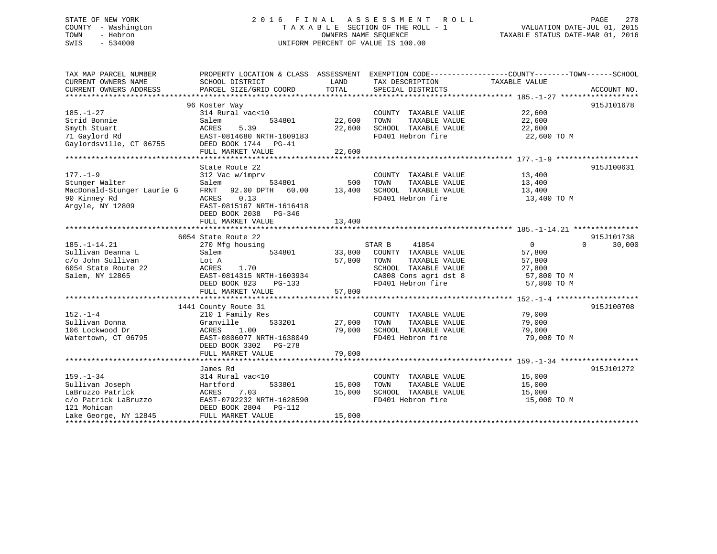# STATE OF NEW YORK 2 0 1 6 F I N A L A S S E S S M E N T R O L L PAGE 270 COUNTY - Washington T A X A B L E SECTION OF THE ROLL - 1 VALUATION DATE-JUL 01, 2015 TOWN - Hebron OWNERS NAME SEQUENCE TAXABLE STATUS DATE-MAR 01, 2016 SWIS - 534000 UNIFORM PERCENT OF VALUE IS 100.00

| TAX MAP PARCEL NUMBER                | PROPERTY LOCATION & CLASS ASSESSMENT EXEMPTION CODE----------------COUNTY-------TOWN------SCHOOL |        |                                               |                  |                    |
|--------------------------------------|--------------------------------------------------------------------------------------------------|--------|-----------------------------------------------|------------------|--------------------|
| CURRENT OWNERS NAME                  | SCHOOL DISTRICT                                                                                  | LAND   | TAX DESCRIPTION                               | TAXABLE VALUE    |                    |
| CURRENT OWNERS ADDRESS               | PARCEL SIZE/GRID COORD                                                                           | TOTAL  | SPECIAL DISTRICTS                             |                  | ACCOUNT NO.        |
|                                      |                                                                                                  |        |                                               |                  |                    |
|                                      | 96 Koster Way                                                                                    |        |                                               |                  | 915J101678         |
| $185. - 1 - 27$                      | 314 Rural vac<10                                                                                 |        | COUNTY TAXABLE VALUE                          | 22,600           |                    |
| Strid Bonnie                         | Salem<br>534801                                                                                  | 22,600 | TOWN<br>TAXABLE VALUE                         | 22,600           |                    |
| Smyth Stuart                         | ACRES<br>5.39                                                                                    | 22,600 | SCHOOL TAXABLE VALUE                          | 22,600           |                    |
| 71 Gaylord Rd                        | EAST-0814680 NRTH-1609183                                                                        |        | FD401 Hebron fire                             | 22,600 TO M      |                    |
| Gaylordsville, CT 06755              | DEED BOOK 1744 PG-41                                                                             |        |                                               |                  |                    |
|                                      | FULL MARKET VALUE                                                                                | 22,600 |                                               |                  |                    |
|                                      |                                                                                                  |        |                                               |                  |                    |
|                                      | State Route 22                                                                                   |        |                                               |                  | 915J100631         |
| $177. - 1 - 9$                       | 312 Vac w/imprv                                                                                  |        | COUNTY TAXABLE VALUE                          | 13,400           |                    |
| Stunger Walter                       | 534801<br>Salem                                                                                  | 500    | TOWN<br>TAXABLE VALUE                         | 13,400           |                    |
| MacDonald-Stunger Laurie G           | FRNT 92.00 DPTH 60.00                                                                            | 13,400 | SCHOOL TAXABLE VALUE                          | 13,400           |                    |
| 90 Kinney Rd                         | 0.13<br>ACRES                                                                                    |        | FD401 Hebron fire                             | 13,400 TO M      |                    |
| Argyle, NY 12809                     | EAST-0815167 NRTH-1616418                                                                        |        |                                               |                  |                    |
|                                      | DEED BOOK 2038<br>PG-346                                                                         |        |                                               |                  |                    |
|                                      | FULL MARKET VALUE                                                                                | 13,400 |                                               |                  |                    |
|                                      |                                                                                                  |        |                                               |                  |                    |
|                                      | 6054 State Route 22                                                                              |        |                                               |                  | 915J101738         |
| $185. - 1 - 14.21$                   | 270 Mfg housing                                                                                  |        | STAR B<br>41854                               | $\overline{0}$   | $\Omega$<br>30,000 |
| Sullivan Deanna L                    | 534801<br>Salem                                                                                  |        | 33,800 COUNTY TAXABLE VALUE                   | 57,800           |                    |
| c/o John Sullivan                    | Lot A                                                                                            | 57,800 | TOWN<br>TAXABLE VALUE                         | 57,800           |                    |
| 6054 State Route 22                  | ACRES<br>1.70                                                                                    |        | SCHOOL TAXABLE VALUE                          | 27,800           |                    |
| Salem, NY 12865                      | EAST-0814315 NRTH-1603934                                                                        |        | CA008 Cons agri dst 8                         | 57,800 TO M      |                    |
|                                      | DEED BOOK 823<br>PG-133                                                                          |        | FD401 Hebron fire                             | 57,800 TO M      |                    |
|                                      | FULL MARKET VALUE                                                                                | 57,800 |                                               |                  |                    |
|                                      |                                                                                                  |        |                                               |                  |                    |
|                                      | 1441 County Route 31                                                                             |        |                                               |                  | 915J100708         |
| $152. - 1 - 4$                       | 210 1 Family Res<br>533201                                                                       |        | COUNTY TAXABLE VALUE                          | 79,000           |                    |
| Sullivan Donna                       | Granville                                                                                        | 27,000 | TAXABLE VALUE<br>TOWN                         | 79,000           |                    |
| 106 Lockwood Dr                      | ACRES<br>1.00                                                                                    | 79,000 | SCHOOL TAXABLE VALUE                          | 79,000           |                    |
| Watertown, CT 06795                  | EAST-0806077 NRTH-1638049                                                                        |        | FD401 Hebron fire                             | 79,000 TO M      |                    |
|                                      | DEED BOOK 3302 PG-278                                                                            |        |                                               |                  |                    |
|                                      | FULL MARKET VALUE                                                                                | 79,000 |                                               |                  |                    |
|                                      |                                                                                                  |        |                                               |                  | 915J101272         |
|                                      | James Rd                                                                                         |        |                                               |                  |                    |
| $159. - 1 - 34$<br>Sullivan Joseph   | 314 Rural vac<10<br>533801                                                                       | 15,000 | COUNTY TAXABLE VALUE<br>TOWN<br>TAXABLE VALUE | 15,000<br>15,000 |                    |
| LaBruzzo Patrick                     | Hartford<br>ACRES 7.03                                                                           | 15,000 | SCHOOL TAXABLE VALUE                          | 15,000           |                    |
| c/o Patrick LaBruzzo                 | EAST-0792232 NRTH-1628590                                                                        |        | FD401 Hebron fire                             | 15,000 TO M      |                    |
|                                      |                                                                                                  |        |                                               |                  |                    |
| 121 Mohican<br>Lake George, NY 12845 | DEED BOOK 2804 PG-112<br>FULL MARKET VALUE                                                       | 15,000 |                                               |                  |                    |
|                                      |                                                                                                  |        |                                               |                  |                    |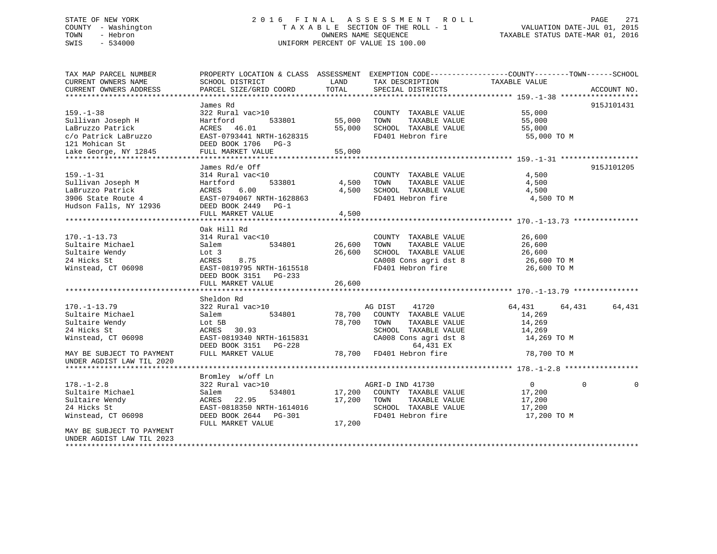# STATE OF NEW YORK 2 0 1 6 F I N A L A S S E S S M E N T R O L L PAGE 271 COUNTY - Washington T A X A B L E SECTION OF THE ROLL - 1 VALUATION DATE-JUL 01, 2015 TOWN - Hebron OWNERS NAME SEQUENCE TAXABLE STATUS DATE-MAR 01, 2016 SWIS - 534000 UNIFORM PERCENT OF VALUE IS 100.00

| TAX MAP PARCEL NUMBER<br>CURRENT OWNERS NAME      | PROPERTY LOCATION & CLASS ASSESSMENT EXEMPTION CODE----------------COUNTY-------TOWN-----SCHOOL<br>SCHOOL DISTRICT | LAND        | TAX DESCRIPTION                            | TAXABLE VALUE    |                      |
|---------------------------------------------------|--------------------------------------------------------------------------------------------------------------------|-------------|--------------------------------------------|------------------|----------------------|
| CURRENT OWNERS ADDRESS                            | PARCEL SIZE/GRID COORD                                                                                             | TOTAL       | SPECIAL DISTRICTS                          |                  | ACCOUNT NO.          |
|                                                   |                                                                                                                    |             |                                            |                  |                      |
|                                                   | James Rd                                                                                                           |             |                                            |                  | 915J101431           |
| $159. - 1 - 38$                                   | 322 Rural vac>10                                                                                                   |             | COUNTY TAXABLE VALUE 55,000                |                  |                      |
| Sullivan Joseph H                                 | 533801<br>Hartford                                                                                                 | 55,000      | TOWN<br>TAXABLE VALUE                      | 55,000           |                      |
| LaBruzzo Patrick                                  | ACRES 46.01                                                                                                        | 55,000      | SCHOOL TAXABLE VALUE                       | 55,000           |                      |
| c/o Patrick LaBruzzo<br>EAST-0793441 NRTH-1628315 |                                                                                                                    |             | FD401 Hebron fire 55,000 TO M              |                  |                      |
| 121 Mohican St                                    | DEED BOOK 1706 PG-3                                                                                                |             |                                            |                  |                      |
| Lake George, NY 12845                             | FULL MARKET VALUE                                                                                                  | 55,000      |                                            |                  |                      |
|                                                   | James Rd/e Off                                                                                                     |             |                                            |                  | 915J101205           |
| $159. - 1 - 31$                                   | 314 Rural vac<10                                                                                                   |             | COUNTY TAXABLE VALUE                       | 4,500            |                      |
| Sullivan Joseph M                                 | Hartford<br>533801                                                                                                 | 4,500 TOWN  | TAXABLE VALUE                              | 4,500            |                      |
| LaBruzzo Patrick                                  | ACRES 6.00                                                                                                         |             | 4,500 SCHOOL TAXABLE VALUE                 | 4,500            |                      |
| 3906 State Route 4                                | EAST-0794067 NRTH-1628863                                                                                          |             | FD401 Hebron fire                          | 4,500 TO M       |                      |
| Hudson Falls, NY 12936                            | DEED BOOK 2449 PG-1                                                                                                |             |                                            |                  |                      |
|                                                   | FULL MARKET VALUE                                                                                                  | 4,500       |                                            |                  |                      |
|                                                   |                                                                                                                    |             |                                            |                  |                      |
|                                                   | Oak Hill Rd                                                                                                        |             |                                            |                  |                      |
| $170. - 1 - 13.73$                                | 314 Rural vac<10                                                                                                   |             | COUNTY TAXABLE VALUE                       | 26,600           |                      |
| Sultaire Michael                                  | 534801<br>Salem                                                                                                    | 26,600      | TAXABLE VALUE<br>TOWN                      | 26,600           |                      |
| Sultaire Wendy                                    | Lot 3                                                                                                              | 26,600      | SCHOOL TAXABLE VALUE                       | 26,600           |                      |
| 24 Hicks St                                       | ACRES<br>8.75                                                                                                      |             |                                            | 26,600 TO M      |                      |
| Winstead, CT 06098                                | EAST-0819795 NRTH-1615518                                                                                          |             | CA008 Cons agri dst 8<br>FD401 Hebron fire | 26,600 TO M      |                      |
|                                                   | DEED BOOK 3151 PG-233                                                                                              |             |                                            |                  |                      |
|                                                   | FULL MARKET VALUE                                                                                                  | 26,600      |                                            |                  |                      |
|                                                   |                                                                                                                    |             |                                            |                  |                      |
|                                                   | Sheldon Rd                                                                                                         |             |                                            |                  |                      |
| $170. - 1 - 13.79$                                | 322 Rural vac>10                                                                                                   |             | AG DIST<br>41720                           | 64,431<br>64,431 | 64,431               |
| Sultaire Michael                                  | 534801<br>Salem                                                                                                    |             | 78,700 COUNTY TAXABLE VALUE                | 14,269           |                      |
| Sultaire Wendy                                    | Lot 5B                                                                                                             | 78,700 TOWN | TAXABLE VALUE                              | 14,269           |                      |
| 24 Hicks St                                       | ACRES 30.93                                                                                                        |             | SCHOOL TAXABLE VALUE                       | 14,269           |                      |
| Winstead, CT 06098                                | EAST-0819340 NRTH-1615831                                                                                          |             | CA008 Cons agri dst 8                      | 14,269 TO M      |                      |
|                                                   | DEED BOOK 3151 PG-228                                                                                              |             | 64,431 EX                                  |                  |                      |
| MAY BE SUBJECT TO PAYMENT                         | FULL MARKET VALUE                                                                                                  |             | 78,700 FD401 Hebron fire                   | 78,700 TO M      |                      |
| UNDER AGDIST LAW TIL 2020                         |                                                                                                                    |             |                                            |                  |                      |
|                                                   |                                                                                                                    |             |                                            |                  |                      |
|                                                   | Bromley w/off Ln                                                                                                   |             |                                            |                  |                      |
| $178. - 1 - 2.8$                                  | 322 Rural vac>10                                                                                                   |             | AGRI-D IND 41730                           | $\overline{0}$   | $\Omega$<br>$\Omega$ |
| Sultaire Michael                                  | 534801<br>Salem                                                                                                    |             | 17,200 COUNTY TAXABLE VALUE                | 17,200           |                      |
| Sultaire Wendy                                    | ACRES<br>22.95                                                                                                     | 17,200 TOWN | TAXABLE VALUE                              | 17,200           |                      |
| 24 Hicks St                                       | EAST-0818350 NRTH-1614016                                                                                          |             | SCHOOL TAXABLE VALUE                       | 17,200           |                      |
| Winstead, CT 06098                                | DEED BOOK 2644 PG-301                                                                                              |             | FD401 Hebron fire                          | 17,200 TO M      |                      |
|                                                   | FULL MARKET VALUE                                                                                                  | 17,200      |                                            |                  |                      |
| MAY BE SUBJECT TO PAYMENT                         |                                                                                                                    |             |                                            |                  |                      |
| UNDER AGDIST LAW TIL 2023                         |                                                                                                                    |             |                                            |                  |                      |
|                                                   |                                                                                                                    |             |                                            |                  |                      |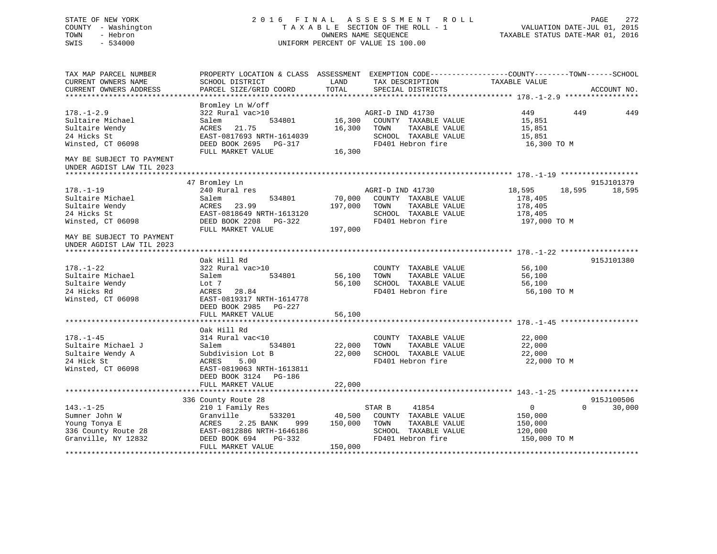# STATE OF NEW YORK 2 0 1 6 F I N A L A S S E S S M E N T R O L L PAGE 272 COUNTY - Washington T A X A B L E SECTION OF THE ROLL - 1 VALUATION DATE-JUL 01, 2015 TOWN - Hebron OWNERS NAME SEQUENCE TAXABLE STATUS DATE-MAR 01, 2016 SWIS - 534000 UNIFORM PERCENT OF VALUE IS 100.00

| TAX MAP PARCEL NUMBER     | PROPERTY LOCATION & CLASS ASSESSMENT EXEMPTION CODE----------------COUNTY-------TOWN------SCHOOL |         |                                                 |                |          |             |
|---------------------------|--------------------------------------------------------------------------------------------------|---------|-------------------------------------------------|----------------|----------|-------------|
| CURRENT OWNERS NAME       | SCHOOL DISTRICT                                                                                  | LAND    | TAX DESCRIPTION                                 | TAXABLE VALUE  |          |             |
| CURRENT OWNERS ADDRESS    | PARCEL SIZE/GRID COORD                                                                           | TOTAL   | SPECIAL DISTRICTS                               |                |          | ACCOUNT NO. |
|                           |                                                                                                  |         |                                                 |                |          |             |
|                           | Bromley Ln W/off                                                                                 |         |                                                 |                |          |             |
| $178. - 1 - 2.9$          | 322 Rural vac>10                                                                                 |         |                                                 | 449            | 449      | 449         |
| Sultaire Michael          | 534801<br>Salem                                                                                  |         | AGRI-D IND 41730<br>16,300 COUNTY TAXABLE VALUE | 15,851         |          |             |
| Sultaire Wendy            | 21.75<br>ACRES                                                                                   | 16,300  | TOWN<br>TAXABLE VALUE                           | 15,851         |          |             |
| 24 Hicks St               | EAST-0817693 NRTH-1614039                                                                        |         | SCHOOL TAXABLE VALUE                            | 15,851         |          |             |
| Winsted, CT 06098         | DEED BOOK 2695 PG-317                                                                            |         | FD401 Hebron fire                               | 16,300 TO M    |          |             |
|                           | FULL MARKET VALUE                                                                                | 16,300  |                                                 |                |          |             |
| MAY BE SUBJECT TO PAYMENT |                                                                                                  |         |                                                 |                |          |             |
| UNDER AGDIST LAW TIL 2023 |                                                                                                  |         |                                                 |                |          |             |
|                           |                                                                                                  |         |                                                 |                |          |             |
|                           | 47 Bromley Ln                                                                                    |         |                                                 |                |          | 915J101379  |
| $178. - 1 - 19$           | 240 Rural res                                                                                    |         | AGRI-D IND 41730                                | 18,595         | 18,595   | 18,595      |
| Sultaire Michael          | 534801<br>Salem                                                                                  | 70,000  | COUNTY TAXABLE VALUE                            | 178,405        |          |             |
| Sultaire Wendy            | ACRES<br>23.99                                                                                   | 197,000 | TOWN<br>TAXABLE VALUE                           | 178,405        |          |             |
| 24 Hicks St               | EAST-0818649 NRTH-1613120                                                                        |         | SCHOOL TAXABLE VALUE                            | 178,405        |          |             |
| Winsted, CT 06098         | DEED BOOK 2208 PG-322                                                                            |         | FD401 Hebron fire                               | 197,000 TO M   |          |             |
|                           | FULL MARKET VALUE                                                                                | 197,000 |                                                 |                |          |             |
| MAY BE SUBJECT TO PAYMENT |                                                                                                  |         |                                                 |                |          |             |
| UNDER AGDIST LAW TIL 2023 |                                                                                                  |         |                                                 |                |          |             |
|                           |                                                                                                  |         |                                                 |                |          |             |
|                           | Oak Hill Rd                                                                                      |         |                                                 |                |          | 915J101380  |
| $178. - 1 - 22$           | 322 Rural vac>10                                                                                 |         | COUNTY TAXABLE VALUE                            | 56,100         |          |             |
| Sultaire Michael          | 534801<br>Salem                                                                                  |         | 56,100 TOWN<br>TAXABLE VALUE                    | 56,100         |          |             |
| Sultaire Wendy            | Lot 7                                                                                            |         | 56,100 SCHOOL TAXABLE VALUE                     | 56,100         |          |             |
| 24 Hicks Rd               | ACRES 28.84                                                                                      |         | FD401 Hebron fire                               |                |          |             |
| Winsted, CT 06098         | EAST-0819317 NRTH-1614778                                                                        |         |                                                 | 56,100 TO M    |          |             |
|                           | DEED BOOK 2985 PG-227                                                                            |         |                                                 |                |          |             |
|                           |                                                                                                  |         |                                                 |                |          |             |
|                           | FULL MARKET VALUE                                                                                | 56,100  |                                                 |                |          |             |
|                           |                                                                                                  |         |                                                 |                |          |             |
|                           | Oak Hill Rd                                                                                      |         |                                                 |                |          |             |
| $178. - 1 - 45$           | 314 Rural vac<10                                                                                 |         | COUNTY TAXABLE VALUE                            | 22,000         |          |             |
| Sultaire Michael J        | 534801<br>Salem                                                                                  | 22,000  | TOWN<br>TAXABLE VALUE                           | 22,000         |          |             |
| Sultaire Wendy A          | Subdivision Lot B                                                                                | 22,000  | SCHOOL TAXABLE VALUE                            | 22,000         |          |             |
| 24 Hick St                | 5.00<br>ACRES                                                                                    |         | FD401 Hebron fire                               | 22,000 TO M    |          |             |
| Winsted, CT 06098         | EAST-0819063 NRTH-1613811                                                                        |         |                                                 |                |          |             |
|                           | DEED BOOK 3124 PG-186                                                                            |         |                                                 |                |          |             |
|                           | FULL MARKET VALUE                                                                                | 22,000  |                                                 |                |          |             |
|                           |                                                                                                  |         |                                                 |                |          |             |
|                           | 336 County Route 28                                                                              |         |                                                 |                |          | 915J100506  |
| $143. - 1 - 25$           | 210 1 Family Res                                                                                 |         | STAR B<br>41854                                 | $\overline{0}$ | $\Omega$ | 30,000      |
| Sumner John W             | 533201<br>Granville                                                                              | 40,500  | COUNTY TAXABLE VALUE                            | 150,000        |          |             |
| Young Tonya E             | 2.25 BANK<br>ACRES<br>999                                                                        | 150,000 | TAXABLE VALUE<br>TOWN                           | 150,000        |          |             |
| 336 County Route 28       | EAST-0812886 NRTH-1646186                                                                        |         | SCHOOL TAXABLE VALUE                            | 120,000        |          |             |
| Granville, NY 12832       | DEED BOOK 694 PG-332                                                                             |         | FD401 Hebron fire                               | 150,000 TO M   |          |             |
|                           | FULL MARKET VALUE                                                                                | 150,000 |                                                 |                |          |             |
|                           |                                                                                                  |         |                                                 |                |          |             |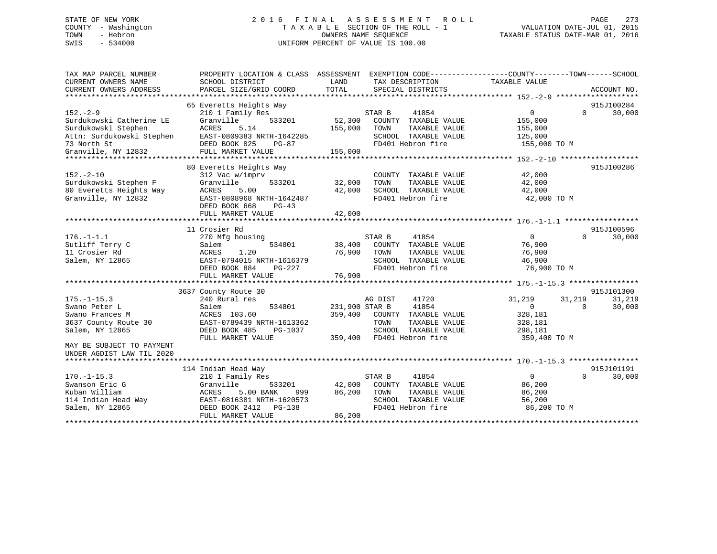# STATE OF NEW YORK 2 0 1 6 F I N A L A S S E S S M E N T R O L L PAGE 273 COUNTY - Washington T A X A B L E SECTION OF THE ROLL - 1 VALUATION DATE-JUL 01, 2015 TOWN - Hebron OWNERS NAME SEQUENCE TAXABLE STATUS DATE-MAR 01, 2016 SWIS - 534000 UNIFORM PERCENT OF VALUE IS 100.00

| TAX MAP PARCEL NUMBER<br>CURRENT OWNERS NAME<br>CURRENT OWNERS ADDRESS | SCHOOL DISTRICT<br>PARCEL SIZE/GRID COORD   | PROPERTY LOCATION & CLASS ASSESSMENT EXEMPTION CODE----------------COUNTY-------TOWN------SCHOOL<br>LAND<br>TAX DESCRIPTION<br>TOTAL<br>SPECIAL DISTRICTS | TAXABLE VALUE<br>ACCOUNT NO.         |
|------------------------------------------------------------------------|---------------------------------------------|-----------------------------------------------------------------------------------------------------------------------------------------------------------|--------------------------------------|
|                                                                        |                                             |                                                                                                                                                           |                                      |
|                                                                        | 65 Everetts Heights Way                     |                                                                                                                                                           | 915J100284<br>$\Omega$<br>$\Omega$   |
| $152. - 2 - 9$                                                         | 210 1 Family Res                            | STAR B<br>41854                                                                                                                                           | 30,000                               |
| Surdukowski Catherine LE<br>Surdukowski Stephen                        | Granville<br>533201<br><b>ACRES</b><br>5.14 | 52,300<br>COUNTY TAXABLE VALUE<br>155,000<br>TOWN<br>TAXABLE VALUE                                                                                        | 155,000<br>155,000                   |
| Attn: Surdukowski Stephen                                              | EAST-0809383 NRTH-1642285                   | SCHOOL TAXABLE VALUE                                                                                                                                      | 125,000                              |
| 73 North St                                                            | DEED BOOK 825<br>PG-87                      | FD401 Hebron fire                                                                                                                                         | 155,000 TO M                         |
| Granville, NY 12832                                                    | FULL MARKET VALUE                           | 155,000                                                                                                                                                   |                                      |
|                                                                        |                                             |                                                                                                                                                           |                                      |
|                                                                        | 80 Everetts Heights Way                     |                                                                                                                                                           | 915J100286                           |
| $152. - 2 - 10$                                                        | 312 Vac w/imprv                             | COUNTY TAXABLE VALUE                                                                                                                                      | 42,000                               |
| Surdukowski Stephen F                                                  | 533201<br>Granville                         | 32,000<br>TOWN<br>TAXABLE VALUE                                                                                                                           | 42,000                               |
| 80 Everetts Heights Way                                                | 5.00<br>ACRES                               | 42,000<br>SCHOOL TAXABLE VALUE                                                                                                                            | 42,000                               |
| Granville, NY 12832                                                    | EAST-0808968 NRTH-1642487                   | FD401 Hebron fire                                                                                                                                         | 42,000 TO M                          |
|                                                                        | DEED BOOK 668<br>$PG-43$                    |                                                                                                                                                           |                                      |
|                                                                        | FULL MARKET VALUE                           | 42,000                                                                                                                                                    |                                      |
|                                                                        |                                             |                                                                                                                                                           |                                      |
|                                                                        | 11 Crosier Rd                               |                                                                                                                                                           | 915J100596                           |
| $176. - 1 - 1.1$                                                       | 270 Mfg housing                             | 41854<br>STAR B                                                                                                                                           | $\Omega$<br>$\Omega$<br>30,000       |
| Sutliff Terry C                                                        | 534801<br>Salem                             | 38,400<br>COUNTY TAXABLE VALUE                                                                                                                            | 76,900                               |
| 11 Crosier Rd                                                          | <b>ACRES</b><br>1.20                        | TAXABLE VALUE<br>76,900<br>TOWN                                                                                                                           | 76,900                               |
| Salem, NY 12865                                                        | EAST-0794015 NRTH-1616379                   | SCHOOL TAXABLE VALUE                                                                                                                                      | 46,900                               |
|                                                                        | DEED BOOK 884<br>PG-227                     | FD401 Hebron fire                                                                                                                                         | 76,900 TO M                          |
|                                                                        | FULL MARKET VALUE                           | 76,900                                                                                                                                                    |                                      |
|                                                                        |                                             |                                                                                                                                                           |                                      |
|                                                                        | 3637 County Route 30                        |                                                                                                                                                           | 915J101300                           |
| $175. - 1 - 15.3$                                                      | 240 Rural res                               | 41720<br>AG DIST                                                                                                                                          | 31,219<br>31,219<br>31,219           |
| Swano Peter L                                                          | Salem<br>534801                             | 41854<br>231,900 STAR B                                                                                                                                   | $\Omega$<br>30,000<br>$\Omega$       |
| Swano Frances M                                                        | ACRES 103.60                                | 359,400<br>COUNTY TAXABLE VALUE                                                                                                                           | 328,181                              |
| 3637 County Route 30                                                   | EAST-0789439 NRTH-1613362                   | TOWN<br>TAXABLE VALUE                                                                                                                                     | 328,181                              |
| Salem, NY 12865                                                        | DEED BOOK 485<br>PG-1037                    | SCHOOL TAXABLE VALUE                                                                                                                                      | 298,181                              |
|                                                                        | FULL MARKET VALUE                           | FD401 Hebron fire<br>359,400                                                                                                                              | 359,400 TO M                         |
| MAY BE SUBJECT TO PAYMENT                                              |                                             |                                                                                                                                                           |                                      |
| UNDER AGDIST LAW TIL 2020                                              |                                             |                                                                                                                                                           |                                      |
|                                                                        |                                             |                                                                                                                                                           |                                      |
|                                                                        | 114 Indian Head Way                         |                                                                                                                                                           | 915J101191                           |
| $170. - 1 - 15.3$                                                      | 210 1 Family Res                            | STAR B<br>41854                                                                                                                                           | 30,000<br>$\overline{0}$<br>$\Omega$ |
| Swanson Eric G                                                         | Granville<br>533201                         | 42,000<br>COUNTY TAXABLE VALUE                                                                                                                            | 86,200                               |
| Kuban William                                                          | ACRES<br>5.00 BANK<br>999                   | 86,200<br>TOWN<br>TAXABLE VALUE                                                                                                                           | 86,200                               |
| 114 Indian Head Way                                                    | EAST-0816381 NRTH-1620573                   | SCHOOL TAXABLE VALUE                                                                                                                                      | 56,200                               |
| Salem, NY 12865                                                        | DEED BOOK 2412 PG-138                       | FD401 Hebron fire                                                                                                                                         | 86,200 TO M                          |
|                                                                        | FULL MARKET VALUE                           | 86,200                                                                                                                                                    |                                      |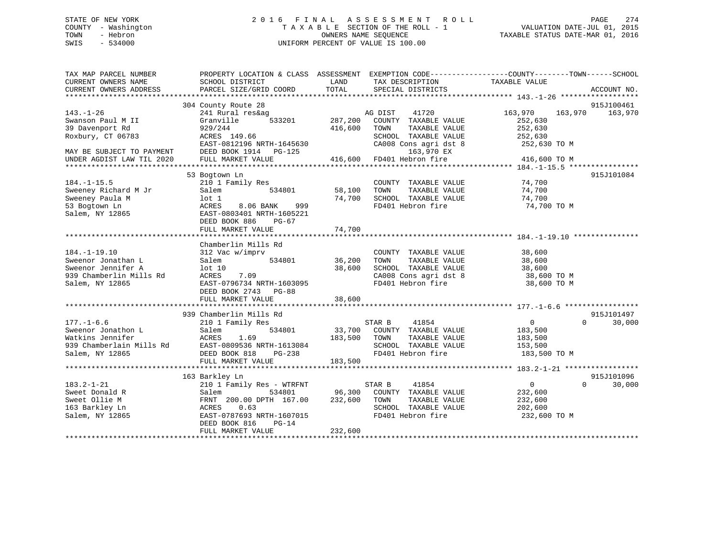# STATE OF NEW YORK 2 0 1 6 F I N A L A S S E S S M E N T R O L L PAGE 274 COUNTY - Washington T A X A B L E SECTION OF THE ROLL - 1 VALUATION DATE-JUL 01, 2015 TOWN - Hebron OWNERS NAME SEQUENCE TAXABLE STATUS DATE-MAR 01, 2016 SWIS - 534000 UNIFORM PERCENT OF VALUE IS 100.00

| TAX MAP PARCEL NUMBER<br>CURRENT OWNERS NAME<br>CURRENT OWNERS ADDRESS                                                                 | PROPERTY LOCATION & CLASS ASSESSMENT<br>SCHOOL DISTRICT<br>PARCEL SIZE/GRID COORD                                                                                                                                       | LAND<br>TAX DESCRIPTION<br>TOTAL<br>SPECIAL DISTRICTS                                                                                                                                                | EXEMPTION CODE----------------COUNTY-------TOWN-----SCHOOL<br>TAXABLE VALUE<br>ACCOUNT NO.          |
|----------------------------------------------------------------------------------------------------------------------------------------|-------------------------------------------------------------------------------------------------------------------------------------------------------------------------------------------------------------------------|------------------------------------------------------------------------------------------------------------------------------------------------------------------------------------------------------|-----------------------------------------------------------------------------------------------------|
| $143. - 1 - 26$<br>Swanson Paul M II<br>39 Davenport Rd<br>Roxbury, CT 06783<br>MAY BE SUBJECT TO PAYMENT<br>UNDER AGDIST LAW TIL 2020 | 304 County Route 28<br>241 Rural res&ag<br>Granville<br>929/244<br>ACRES 149.66<br>EAST-0812196 NRTH-1645630<br>DEED BOOK 1914 PG-125<br>FULL MARKET VALUE                                                              | AG DIST 41720<br>533201 287,200<br>COUNTY TAXABLE VALUE<br>416,600<br>TOWN<br>TAXABLE VALUE<br>SCHOOL TAXABLE VALUE<br>CA008 Cons agri dst 8 252,630 TO M<br>163,970 EX<br>416,600 FD401 Hebron fire | 915J100461<br>163,970 163,970 163,970<br>252,630<br>252,630<br>252,630<br>416,600 TO M              |
| $184. - 1 - 15.5$<br>Sweeney Richard M Jr<br>Sweeney Paula M<br>53 Bogtown Ln<br>Salem, NY 12865                                       | 53 Bogtown Ln<br>210 1 Family Res<br>534801<br>Salem<br>$1$ ot $1$<br>8.06 BANK<br>999<br>ACRES<br>EAST-0803401 NRTH-1605221<br>$PG-67$<br>DEED BOOK 886<br>FULL MARKET VALUE                                           | COUNTY TAXABLE VALUE 74,700<br>58,100<br>TOWN<br>TAXABLE VALUE<br>74,700<br>SCHOOL TAXABLE VALUE<br>FD401 Hebron fire<br>74,700                                                                      | 915J101084<br>74,700<br>74,700<br>74,700 TO M                                                       |
| $184. - 1 - 19.10$<br>Sweenor Jonathan L<br>Sweenor Jennifer A<br>939 Chamberlin Mills Rd<br>Salem, NY 12865                           | Chamberlin Mills Rd<br>312 Vac w/imprv<br>Salem<br>lot 10<br>ACRES<br>7.09<br>EAST-0796734 NRTH-1603095<br>DEED BOOK 2743 PG-88<br>FULL MARKET VALUE                                                                    | COUNTY TAXABLE VALUE<br>534801 36,200<br>TOWN<br>TAXABLE VALUE<br>SCHOOL TAXABLE VALUE 38,600<br>CA008 Cons agri dst 8 38,600 TO M<br>38,600<br>FD401 Hebron fire 38,600 TO M<br>38,600              | 38,600<br>38,600                                                                                    |
| $177. - 1 - 6.6$<br>Sweenor Jonathon L                                                                                                 | 939 Chamberlin Mills Rd<br>210 1 Family Res<br>534801<br>Salem<br>Westing Johnson Mills Rd<br>Watkins Jennifer (RAST-0809536 NRTH-1613084)<br>939 Chamberlain Mills Rd (RAST-0809536 NRTH-1613084)<br>FULL MARKET VALUE | STAR B 41854<br>33,700 COUNTY TAXABLE VALUE 183,500<br>183,500 TOWN<br>TAXABLE VALUE<br>SCHOOL TAXABLE VALUE<br>FD401 Hebron fire<br>183,500                                                         | 915J101497<br>$\overline{0}$<br>$\Omega$<br>30,000<br>183,500<br>153,500<br>183,500 TO M            |
| $183.2 - 1 - 21$<br>Sweet Donald R<br>Sweet Ollie M<br>163 Barkley Ln<br>Salem, NY 12865                                               | 163 Barkley Ln<br>210 1 Family Res - WTRFNT<br>534801<br>Salem<br>FRNT 200.00 DPTH 167.00<br>0.63<br>ACRES<br>EAST-0787693 NRTH-1607015<br>DEED BOOK 816<br>$PG-14$<br>FULL MARKET VALUE                                | 41854<br>STAR B<br>96,300 COUNTY TAXABLE VALUE<br>232,600<br>TOWN<br>TAXABLE VALUE<br>SCHOOL TAXABLE VALUE<br>FD401 Hebron fire<br>232,600                                                           | 915J101096<br>$\overline{0}$<br>$\Omega$<br>30,000<br>232,600<br>232,600<br>202,600<br>232,600 TO M |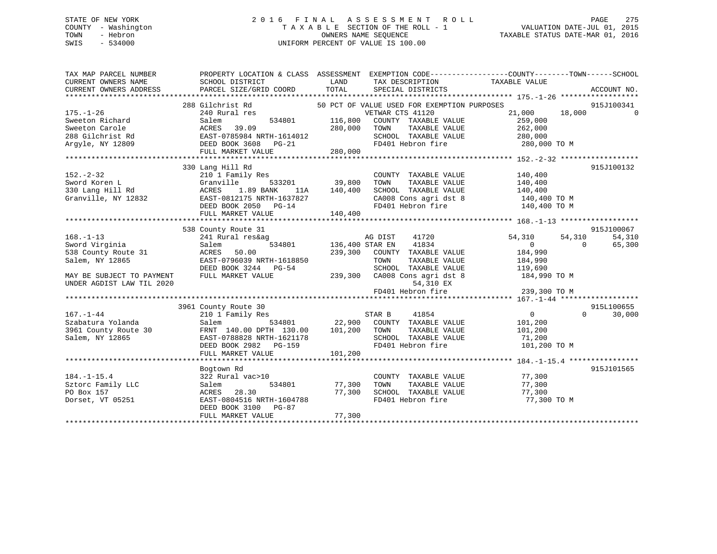# STATE OF NEW YORK 2 0 1 6 F I N A L A S S E S S M E N T R O L L PAGE 275 COUNTY - Washington T A X A B L E SECTION OF THE ROLL - 1 VALUATION DATE-JUL 01, 2015 TOWN - Hebron OWNERS NAME SEQUENCE TAXABLE STATUS DATE-MAR 01, 2016 SWIS - 534000 UNIFORM PERCENT OF VALUE IS 100.00

| TAX MAP PARCEL NUMBER                   |                              |                                                                                                                                          | PROPERTY LOCATION & CLASS ASSESSMENT EXEMPTION CODE---------------COUNTY-------TOWN------SCHOOL |
|-----------------------------------------|------------------------------|------------------------------------------------------------------------------------------------------------------------------------------|-------------------------------------------------------------------------------------------------|
| CURRENT OWNERS NAME                     | SCHOOL DISTRICT              | LAND<br>TAX DESCRIPTION TAXABLE VALUE                                                                                                    |                                                                                                 |
| CURRENT OWNERS ADDRESS                  | PARCEL SIZE/GRID COORD TOTAL | SPECIAL DISTRICTS                                                                                                                        | ACCOUNT NO.                                                                                     |
|                                         |                              |                                                                                                                                          |                                                                                                 |
|                                         |                              |                                                                                                                                          | 915J100341                                                                                      |
| $175. - 1 - 26$                         |                              | 288 Gilchrist Rd 50 PCT OF VALUE USED FOR EXEMPTION PURPOSES<br>240 Rural res vETWAR CTS 41120 21<br>534801 116,800 COUNTY TAXABLE VALUE | 21,000 18,000<br>$\Omega$                                                                       |
| Sweeton Richard                         |                              |                                                                                                                                          | 259,000                                                                                         |
|                                         |                              |                                                                                                                                          | TAXABLE VALUE 262,000                                                                           |
|                                         |                              |                                                                                                                                          | 280,000                                                                                         |
|                                         |                              |                                                                                                                                          | FD401 Hebron fire 280,000 TO M                                                                  |
|                                         | FULL MARKET VALUE 280,000    |                                                                                                                                          |                                                                                                 |
|                                         |                              |                                                                                                                                          |                                                                                                 |
|                                         | 330 Lang Hill Rd             |                                                                                                                                          | 915J100132                                                                                      |
| $152 - 2 - 32$                          | 210 1 Family Res             | COUNTY TAXABLE VALUE 140,400                                                                                                             |                                                                                                 |
| Sword Koren L                           | Granville                    |                                                                                                                                          | TAXABLE VALUE 140,400                                                                           |
| 330 Lang Hill Rd<br>Granville, NY 12832 | 1.89 BANK<br>ACRES           | SCHOOL TAXABLE VALUE 140,400<br>11A 140,400                                                                                              |                                                                                                 |
| Granville, NY 12832                     | EAST-0812175 NRTH-1637827    |                                                                                                                                          | 140,400 TO M                                                                                    |
|                                         | DEED BOOK 2050 PG-14         |                                                                                                                                          | CA008 Cons agri dst 8 140,400 TO M<br>FD401 Hebron fire 140,400 TO M                            |
|                                         | FULL MARKET VALUE            | 140,400                                                                                                                                  |                                                                                                 |
|                                         |                              |                                                                                                                                          |                                                                                                 |
|                                         | 538 County Route 31          |                                                                                                                                          | 915J100067                                                                                      |
| $168. - 1 - 13$                         |                              | 41720                                                                                                                                    | 54,310<br>54,310                                                                                |
| Sword Virginia                          |                              | 41834                                                                                                                                    | $54,310$ $54$<br>65,300<br>$\overline{0}$                                                       |
| 538 County Route 31                     | ACRES 50.00                  | 239,300 COUNTY TAXABLE VALUE 184,990                                                                                                     |                                                                                                 |
| Salem, NY 12865                         | EAST-0796039 NRTH-1618850    |                                                                                                                                          |                                                                                                 |
|                                         | DEED BOOK 3244 PG-54         | TOWN TAXABLE VALUE 184,990<br>SCHOOL TAXABLE VALUE 119,690                                                                               |                                                                                                 |
| MAY BE SUBJECT TO PAYMENT               |                              | FULL MARKET VALUE 239,300 CA008 Cons agri dst 8 184,990 TO M                                                                             |                                                                                                 |
| UNDER AGDIST LAW TIL 2020               |                              | 54,310 EX                                                                                                                                |                                                                                                 |
|                                         |                              |                                                                                                                                          | FD401 Hebron fire 239,300 TO M                                                                  |
|                                         |                              |                                                                                                                                          |                                                                                                 |
|                                         | 3961 County Route 30         |                                                                                                                                          | 915L100655                                                                                      |
| $167. - 1 - 44$                         | 210 1 Family Res             | STAR B<br>41854                                                                                                                          | $\overline{0}$<br>$\Omega$<br>30,000                                                            |
|                                         |                              |                                                                                                                                          |                                                                                                 |
|                                         |                              |                                                                                                                                          | 101,200<br>101,200                                                                              |
| Salem, NY 12865                         | EAST-0788828 NRTH-1621178    | SCHOOL TAXABLE VALUE 71,200                                                                                                              |                                                                                                 |
|                                         | DEED BOOK 2982 PG-159        | FD401 Hebron fire                                                                                                                        | 101,200 TO M                                                                                    |
|                                         | FULL MARKET VALUE            | 101,200                                                                                                                                  |                                                                                                 |
|                                         |                              |                                                                                                                                          |                                                                                                 |
|                                         | Bogtown Rd                   |                                                                                                                                          | 915J101565                                                                                      |
| $184. - 1 - 15.4$                       | 322 Rural vac>10             | COUNTY TAXABLE VALUE                                                                                                                     | 77,300                                                                                          |
| Sztorc Family LLC                       | 534801<br>Salem              | TOWN<br>TAXABLE VALUE                                                                                                                    | 77,300                                                                                          |
| PO Box 157                              | ACRES 28.30                  | 77,300                                                                                                                                   | 77,300                                                                                          |
| Dorset, VT 05251                        | EAST-0804516 NRTH-1604788    | 77,300 SCHOOL TAXABLE VALUE<br>FD401 Hebron fire                                                                                         | 77,300 TO M                                                                                     |
|                                         | DEED BOOK 3100 PG-87         |                                                                                                                                          |                                                                                                 |
|                                         |                              |                                                                                                                                          |                                                                                                 |
|                                         |                              |                                                                                                                                          |                                                                                                 |
|                                         |                              |                                                                                                                                          |                                                                                                 |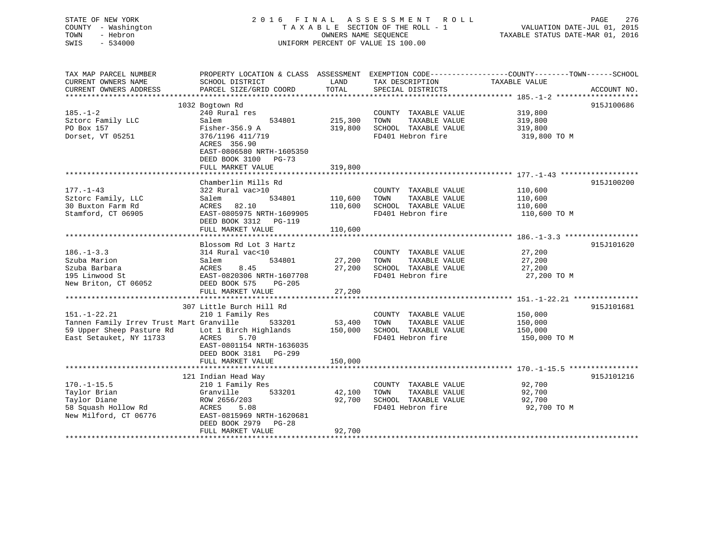| STATE OF NEW YORK<br>COUNTY - Washington<br>TOWN<br>- Hebron<br>SWIS<br>$-534000$                                                            |                                                                                                                                                      | OWNERS NAME SEQUENCE                      | 2016 FINAL ASSESSMENT ROLL<br>TAXABLE SECTION OF THE ROLL - 1<br>UNIFORM PERCENT OF VALUE IS 100.00 | PAGE<br>276<br>VALUATION DATE-JUL 01, 2015<br>TAXABLE STATUS DATE-MAR 01, 2016                                                   |
|----------------------------------------------------------------------------------------------------------------------------------------------|------------------------------------------------------------------------------------------------------------------------------------------------------|-------------------------------------------|-----------------------------------------------------------------------------------------------------|----------------------------------------------------------------------------------------------------------------------------------|
| TAX MAP PARCEL NUMBER<br>CURRENT OWNERS NAME<br>CURRENT OWNERS ADDRESS                                                                       | SCHOOL DISTRICT<br>PARCEL SIZE/GRID COORD                                                                                                            | LAND<br>TOTAL                             | TAX DESCRIPTION<br>SPECIAL DISTRICTS                                                                | PROPERTY LOCATION & CLASS ASSESSMENT EXEMPTION CODE----------------COUNTY-------TOWN------SCHOOL<br>TAXABLE VALUE<br>ACCOUNT NO. |
| ***********************                                                                                                                      |                                                                                                                                                      |                                           |                                                                                                     |                                                                                                                                  |
|                                                                                                                                              | 1032 Bogtown Rd                                                                                                                                      |                                           |                                                                                                     | 915J100686                                                                                                                       |
| $185. - 1 - 2$<br>Sztorc Family LLC<br>PO Box 157<br>Dorset, VT 05251                                                                        | 240 Rural res<br>534801<br>Salem<br>Fisher-356.9 A<br>376/1196 411/719<br>ACRES 356.90<br>EAST-0806580 NRTH-1605350                                  | 215,300<br>319,800                        | COUNTY TAXABLE VALUE<br>TAXABLE VALUE<br>TOWN<br>SCHOOL TAXABLE VALUE<br>FD401 Hebron fire          | 319,800<br>319,800<br>319,800<br>319,800 TO M                                                                                    |
|                                                                                                                                              | DEED BOOK 3100 PG-73                                                                                                                                 |                                           |                                                                                                     |                                                                                                                                  |
|                                                                                                                                              | FULL MARKET VALUE                                                                                                                                    | 319,800                                   |                                                                                                     |                                                                                                                                  |
|                                                                                                                                              | Chamberlin Mills Rd                                                                                                                                  |                                           |                                                                                                     | 915J100200                                                                                                                       |
| $177. - 1 - 43$<br>Sztorc Family, LLC<br>30 Buxton Farm Rd<br>Stamford, CT 06905                                                             | 322 Rural vac>10<br>534801<br>Salem<br>ACRES 82.10<br>EAST-0805975 NRTH-1609905<br>DEED BOOK 3312 PG-119                                             | 110,600<br>110,600                        | COUNTY TAXABLE VALUE<br>TOWN<br>TAXABLE VALUE<br>SCHOOL TAXABLE VALUE<br>FD401 Hebron fire          | 110,600<br>110,600<br>110,600<br>110,600 TO M                                                                                    |
|                                                                                                                                              | FULL MARKET VALUE                                                                                                                                    | 110,600                                   |                                                                                                     |                                                                                                                                  |
|                                                                                                                                              |                                                                                                                                                      |                                           |                                                                                                     |                                                                                                                                  |
|                                                                                                                                              | Blossom Rd Lot 3 Hartz                                                                                                                               |                                           |                                                                                                     | 915J101620                                                                                                                       |
| $186. - 1 - 3.3$<br>Szuba Marion<br>Szuba Barbara<br>195 Linwood St<br>New Briton, CT 06052                                                  | 314 Rural vac<10<br>Salem<br>534801<br>ACRES<br>8.45<br>EAST-0820306 NRTH-1607708<br>DEED BOOK 575<br>PG-205                                         | 27,200<br>27,200                          | COUNTY TAXABLE VALUE<br>TAXABLE VALUE<br>TOWN<br>SCHOOL TAXABLE VALUE<br>FD401 Hebron fire          | 27,200<br>27,200<br>27,200<br>27,200 TO M                                                                                        |
|                                                                                                                                              | FULL MARKET VALUE                                                                                                                                    | 27,200                                    |                                                                                                     | *********************** 151.-1-22.21 ****************                                                                            |
|                                                                                                                                              | 307 Little Burch Hill Rd                                                                                                                             |                                           |                                                                                                     | 915J101681                                                                                                                       |
| $151. - 1 - 22.21$<br>Tannen Family Irrev Trust Mart Granville<br>59 Upper Sheep Pasture Rd Lot 1 Birch Highlands<br>East Setauket, NY 11733 | 210 1 Family Res<br>533201<br>ACRES<br>5.70<br>EAST-0801154 NRTH-1636035<br>DEED BOOK 3181 PG-299                                                    | 53,400<br>150,000                         | COUNTY TAXABLE VALUE<br>TAXABLE VALUE<br>TOWN<br>SCHOOL TAXABLE VALUE<br>FD401 Hebron fire          | 150,000<br>150,000<br>150,000<br>150,000 TO M                                                                                    |
|                                                                                                                                              | FULL MARKET VALUE                                                                                                                                    | 150,000                                   |                                                                                                     |                                                                                                                                  |
|                                                                                                                                              |                                                                                                                                                      |                                           |                                                                                                     |                                                                                                                                  |
| $170. - 1 - 15.5$<br>Taylor Brian<br>Taylor Diane<br>58 Squash Hollow Rd<br>New Milford, CT 06776                                            | 121 Indian Head Way<br>210 1 Family Res<br>533201<br>Granville<br>ROW 2656/203<br>ACRES<br>5.08<br>EAST-0815969 NRTH-1620681<br>DEED BOOK 2979 PG-28 | 42,100<br>92,700                          | COUNTY TAXABLE VALUE<br>TAXABLE VALUE<br>TOWN<br>SCHOOL TAXABLE VALUE<br>FD401 Hebron fire          | 915J101216<br>92,700<br>92,700<br>92,700<br>92,700 TO M                                                                          |
|                                                                                                                                              | FULL MARKET VALUE<br>****************************                                                                                                    | 92,700<br>+ + + + + + + + + + + + + + + + |                                                                                                     |                                                                                                                                  |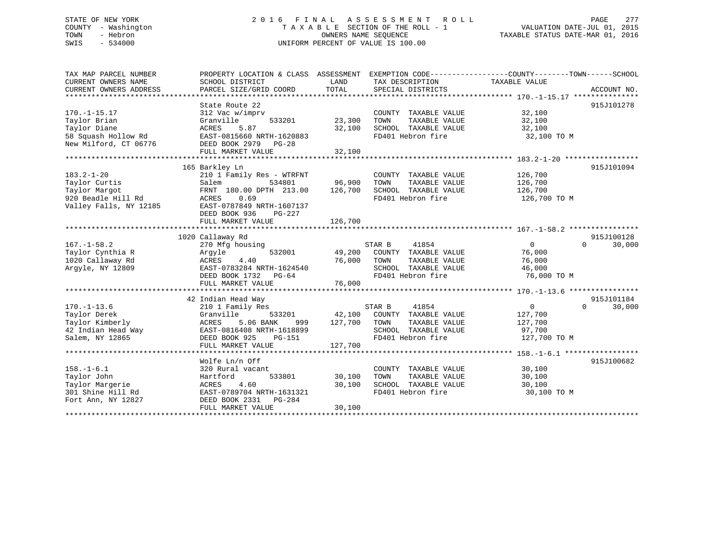# STATE OF NEW YORK 2 0 1 6 F I N A L A S S E S S M E N T R O L L PAGE 277 COUNTY - Washington T A X A B L E SECTION OF THE ROLL - 1 VALUATION DATE-JUL 01, 2015 TOWN - Hebron OWNERS NAME SEQUENCE TAXABLE STATUS DATE-MAR 01, 2016 SWIS - 534000 UNIFORM PERCENT OF VALUE IS 100.00

TAX MAP PARCEL NUMBER PROPERTY LOCATION & CLASS ASSESSMENT EXEMPTION CODE------------------COUNTY--------TOWN------SCHOOL CURRENT OWNERS NAME SCHOOL DISTRICT LAND TAX DESCRIPTION TAXABLE VALUE CURRENT OWNERS ADDRESS PARCEL SIZE/GRID COORD TOTAL SPECIAL DISTRICTS ACCOUNT NO. \*\*\*\*\*\*\*\*\*\*\*\*\*\*\*\*\*\*\*\*\*\*\*\*\*\*\*\*\*\*\*\*\*\*\*\*\*\*\*\*\*\*\*\*\*\*\*\*\*\*\*\*\*\*\*\*\*\*\*\*\*\*\*\*\*\*\*\*\*\*\*\*\*\*\*\*\*\*\*\*\*\*\*\*\*\*\*\*\*\*\*\*\*\*\*\*\*\*\*\*\*\*\* 170.-1-15.17 \*\*\*\*\*\*\*\*\*\*\*\*\*\*\* State Route 22 915J101278170.-1-15.17 312 Vac w/imprv COUNTY TAXABLE VALUE 32,100 Taylor Brian Granville 533201 23,300 TOWN TAXABLE VALUE 32,100 Taylor Diane ACRES 5.87 32,100 SCHOOL TAXABLE VALUE 32,100 58 Squash Hollow Rd EAST-0815660 NRTH-1620883 FD401 Hebron fire 32,100 TO M New Milford, CT 06776 DEED BOOK 2979 PG-28 FULL MARKET VALUE 32,100 \*\*\*\*\*\*\*\*\*\*\*\*\*\*\*\*\*\*\*\*\*\*\*\*\*\*\*\*\*\*\*\*\*\*\*\*\*\*\*\*\*\*\*\*\*\*\*\*\*\*\*\*\*\*\*\*\*\*\*\*\*\*\*\*\*\*\*\*\*\*\*\*\*\*\*\*\*\*\*\*\*\*\*\*\*\*\*\*\*\*\*\*\*\*\*\*\*\*\*\*\*\*\* 183.2-1-20 \*\*\*\*\*\*\*\*\*\*\*\*\*\*\*\*\* 165 Barkley Ln 915J101094 183.2-1-20 210 1 Family Res - WTRFNT COUNTY TAXABLE VALUE 126,700 Taylor Curtis Salem 534801 96,900 TOWN TAXABLE VALUE 126,700 Taylor Margot FRNT 180.00 DPTH 213.00 126,700 SCHOOL TAXABLE VALUE 126,700 920 Beadle Hill Rd ACRES 0.69 FD401 Hebron fire 126,700 TO M Valley Falls, NY 12185 EAST-0787849 NRTH-1607137 DEED BOOK 936 PG-227 FULL MARKET VALUE 126,700 \*\*\*\*\*\*\*\*\*\*\*\*\*\*\*\*\*\*\*\*\*\*\*\*\*\*\*\*\*\*\*\*\*\*\*\*\*\*\*\*\*\*\*\*\*\*\*\*\*\*\*\*\*\*\*\*\*\*\*\*\*\*\*\*\*\*\*\*\*\*\*\*\*\*\*\*\*\*\*\*\*\*\*\*\*\*\*\*\*\*\*\*\*\*\*\*\*\*\*\*\*\*\* 167.-1-58.2 \*\*\*\*\*\*\*\*\*\*\*\*\*\*\*\* 1020 Callaway Rd 915J100128 167.-1-58.2 270 Mfg housing STAR B 41854 0 0 30,000 Taylor Cynthia R Argyle 532001 49,200 COUNTY TAXABLE VALUE 76,000 1020 Callaway Rd ACRES 4.40 76,000 TOWN TAXABLE VALUE 76,000 Argyle, NY 12809 EAST-0783284 NRTH-1624540 SCHOOL TAXABLE VALUE 46,000 DEED BOOK 1732 PG-64 FD401 Hebron fire 76,000 TO M FULL MARKET VALUE 76,000 F<br>FULL MARKET VALUE 76,000 \*\*\*\*\*\*\*\*\*\*\*\*\*\*\*\*\*\*\*\*\*\*\*\*\*\*\*\*\*\*\*\*\*\*\*\*\*\*\*\*\*\*\*\*\*\*\*\*\*\*\*\*\*\*\*\*\*\*\*\*\*\*\*\*\*\*\*\*\*\*\*\*\*\*\*\*\*\*\*\*\*\*\*\*\*\*\*\*\*\*\*\*\*\*\*\*\*\*\*\*\*\*\* 170.-1-13.6 \*\*\*\*\*\*\*\*\*\*\*\*\*\*\*\*915J101184 42 Indian Head Way 915J101184 170.-1-13.6 210 1 Family Res STAR B 41854 0 0 30,000 Taylor Derek Granville 533201 42,100 COUNTY TAXABLE VALUE 127,700 Taylor Kimberly ACRES 5.06 BANK 999 127,700 TOWN TAXABLE VALUE 127,700 42 Indian Head Way EAST-0816408 NRTH-1618899 SCHOOL TAXABLE VALUE 97,700

\*\*\*\*\*\*\*\*\*\*\*\*\*\*\*\*\*\*\*\*\*\*\*\*\*\*\*\*\*\*\*\*\*\*\*\*\*\*\*\*\*\*\*\*\*\*\*\*\*\*\*\*\*\*\*\*\*\*\*\*\*\*\*\*\*\*\*\*\*\*\*\*\*\*\*\*\*\*\*\*\*\*\*\*\*\*\*\*\*\*\*\*\*\*\*\*\*\*\*\*\*\*\* 158.-1-6.1 \*\*\*\*\*\*\*\*\*\*\*\*\*\*\*\*\*

\*\*\*\*\*\*\*\*\*\*\*\*\*\*\*\*\*\*\*\*\*\*\*\*\*\*\*\*\*\*\*\*\*\*\*\*\*\*\*\*\*\*\*\*\*\*\*\*\*\*\*\*\*\*\*\*\*\*\*\*\*\*\*\*\*\*\*\*\*\*\*\*\*\*\*\*\*\*\*\*\*\*\*\*\*\*\*\*\*\*\*\*\*\*\*\*\*\*\*\*\*\*\*\*\*\*\*\*\*\*\*\*\*\*\*\*\*\*\*\*\*\*\*\*\*\*\*\*\*\*\*\*

Wolfe Ln/n Off 915J100682

Salem, NY 12865 DEED BOOK 925 PG-151 FD401 Hebron fire 127,700 TO M

158.-1-6.1 320 Rural vacant COUNTY TAXABLE VALUE 30,100 Taylor John Hartford 533801 30,100 TOWN TAXABLE VALUE 30,100 Taylor Margerie ACRES 4.60 30,100 SCHOOL TAXABLE VALUE 30,100 301 Shine Hill Rd EAST-0789704 NRTH-1631321 FD401 Hebron fire 30,100 TO M

FULL MARKET VALUE 127,700

FULL MARKET VALUE 30,100

Fort Ann, NY 12827 DEED BOOK 2331 PG-284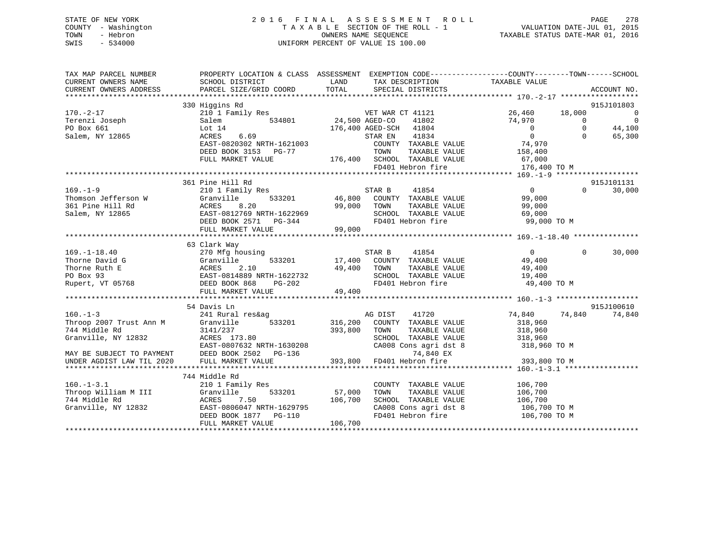# STATE OF NEW YORK 2 0 1 6 F I N A L A S S E S S M E N T R O L L PAGE 278 COUNTY - Washington T A X A B L E SECTION OF THE ROLL - 1 VALUATION DATE-JUL 01, 2015 TOWN - Hebron OWNERS NAME SEQUENCE TAXABLE STATUS DATE-MAR 01, 2016 SWIS - 534000 UNIFORM PERCENT OF VALUE IS 100.00

| TAX MAP PARCEL NUMBER<br>CURRENT OWNERS NAME<br>CURRENT OWNERS ADDRESS | SCHOOL DISTRICT<br>PARCEL SIZE/GRID COORD                                                                 | LAND<br>TAX DESCRIPTION TAXABLE VALUE<br>TOTAL SPECIAL DISTRICTS                                                                                                | PROPERTY LOCATION & CLASS ASSESSMENT EXEMPTION CODE----------------COUNTY-------TOWN------SCHOOL<br>ACCOUNT NO. |
|------------------------------------------------------------------------|-----------------------------------------------------------------------------------------------------------|-----------------------------------------------------------------------------------------------------------------------------------------------------------------|-----------------------------------------------------------------------------------------------------------------|
|                                                                        |                                                                                                           |                                                                                                                                                                 |                                                                                                                 |
|                                                                        | 330 Higgins Rd                                                                                            |                                                                                                                                                                 | 915J101803                                                                                                      |
| $170. - 2 - 17$<br>170.-2-1,<br>Terenzi Joseph                         | 210 1 Family Res                                                                                          | The VET WAR CT<br>amily Res 534801 24,500 AGED-CO<br>VET WAR CT 41121                                                                                           | 26,460 18,000<br>$\overline{0}$                                                                                 |
|                                                                        | Salem                                                                                                     | 41802                                                                                                                                                           | $\overline{0}$<br>74,970<br>$\overline{0}$                                                                      |
|                                                                        | Lot $14$                                                                                                  | 176,400 AGED-SCH 41804                                                                                                                                          | $\Omega$<br>44,100<br>$\overline{0}$                                                                            |
| Salem, NY 12865                                                        | 6.69<br>ACRES                                                                                             | STAR EN 41834                                                                                                                                                   | $\Omega$<br>$\Omega$<br>65,300                                                                                  |
|                                                                        | EAST-0820302 NRTH-1621003                                                                                 | COUNTY TAXABLE VALUE                                                                                                                                            | 74,970                                                                                                          |
|                                                                        | DEED BOOK 3153 PG-77                                                                                      | TOWN<br>TAXABLE VALUE                                                                                                                                           | 158,400                                                                                                         |
|                                                                        | FULL MARKET VALUE                                                                                         | 176,400 SCHOOL TAXABLE VALUE                                                                                                                                    | 67,000                                                                                                          |
|                                                                        |                                                                                                           | FD401 Hebron fire                                                                                                                                               | 176,400 TO M                                                                                                    |
|                                                                        |                                                                                                           |                                                                                                                                                                 |                                                                                                                 |
|                                                                        | 361 Pine Hill Rd                                                                                          |                                                                                                                                                                 | 915J101131                                                                                                      |
| $169. - 1 - 9$                                                         | 210 1 Family Res                                                                                          | s<br>533201 46,800 COUNTY TAXABLE VALUE                                                                                                                         | $\overline{0}$<br>30,000<br>$\Omega$                                                                            |
| Thomson Jefferson W                                                    | Granville                                                                                                 |                                                                                                                                                                 | 99,000                                                                                                          |
| ACRES<br>EAST-C<br>361 Pine Hill Rd                                    | ACRES 8.20 99,000 TOWN<br>EAST-0812769 NRTH-1622969 SCHOC<br>DEED BOOK 2571 PG-344 FD401                  | TAXABLE VALUE                                                                                                                                                   | 99,000                                                                                                          |
| Salem, NY 12865                                                        |                                                                                                           |                                                                                                                                                                 | 69,000                                                                                                          |
|                                                                        |                                                                                                           | SCHOOL TAXABLE VALUE<br>FD401 Hebron fire                                                                                                                       | 99,000 TO M                                                                                                     |
|                                                                        | FULL MARKET VALUE                                                                                         | 99,000                                                                                                                                                          |                                                                                                                 |
|                                                                        |                                                                                                           |                                                                                                                                                                 |                                                                                                                 |
|                                                                        | 63 Clark Way                                                                                              |                                                                                                                                                                 |                                                                                                                 |
| $169. - 1 - 18.40$                                                     |                                                                                                           |                                                                                                                                                                 | $\overline{0}$<br>$\Omega$<br>30,000                                                                            |
| Thorne David G                                                         |                                                                                                           | $\begin{array}{ccccccccc} \text{STAR} & \text{B} & & 41854 & & & 0 \\ \text{533201} & & 17,400 & \text{COUNTY} & \text{TAXABLE VALUE} & & & 49,400 \end{array}$ |                                                                                                                 |
| Thorne Ruth E                                                          |                                                                                                           | 49,400<br>TOWN                                                                                                                                                  |                                                                                                                 |
| PO Box 93                                                              |                                                                                                           | TOWN       TAXABLE  VALUE<br>SCHOOL    TAXABLE  VALUE                                                                                                           | 49,400<br>19,400                                                                                                |
| Rupert, VT 05768                                                       | 270 Mfg housing<br>Granville 533201<br>ACRES 2.10<br>EAST-0814889 NRTH-1622732<br>58 DEED BOOK 868 PG-202 | $PG-202$<br>FD401 Hebron fire                                                                                                                                   | 49,400 TO M                                                                                                     |
|                                                                        | FULL MARKET VALUE                                                                                         | 49,400                                                                                                                                                          |                                                                                                                 |
|                                                                        |                                                                                                           |                                                                                                                                                                 |                                                                                                                 |
|                                                                        | 54 Davis Ln                                                                                               |                                                                                                                                                                 | 915J100610                                                                                                      |
| $160. -1 - 3$                                                          | 241 Rural res&ag                                                                                          | AG DIST 41720                                                                                                                                                   | 74,840 74,840<br>74,840                                                                                         |
| Throop 2007 Trust Ann M                                                | Granville                                                                                                 | 533201 316,200 COUNTY TAXABLE VALUE                                                                                                                             | 318,960                                                                                                         |
| 744 Middle Rd                                                          | 3141/237                                                                                                  | 393,800 TOWN<br>TAXABLE VALUE                                                                                                                                   | 318,960                                                                                                         |
| Granville, NY 12832                                                    | ACRES 173.80                                                                                              | SCHOOL TAXABLE VALUE                                                                                                                                            | 318,960                                                                                                         |
|                                                                        |                                                                                                           |                                                                                                                                                                 | CA008 Cons agri dst 8 318,960 TO M                                                                              |
| MAY BE SUBJECT TO PAYMENT                                              | EAST-0807632 NRTH-1630208<br>DEED BOOK 2502 PG-136                                                        | 74,840 EX                                                                                                                                                       |                                                                                                                 |
| UNDER AGDIST LAW TIL 2020                                              | FULL MARKET VALUE                                                                                         | 393,800 FD401 Hebron fire                                                                                                                                       | 393,800 TO M                                                                                                    |
|                                                                        |                                                                                                           |                                                                                                                                                                 |                                                                                                                 |
|                                                                        | 744 Middle Rd                                                                                             |                                                                                                                                                                 |                                                                                                                 |
| $160. - 1 - 3.1$                                                       | 210 1 Family Res                                                                                          | COUNTY TAXABLE VALUE                                                                                                                                            | 106,700                                                                                                         |
| Throop William M III                                                   | Granville                                                                                                 | 533201 57,000<br>TAXABLE VALUE<br>TOWN                                                                                                                          | 106,700                                                                                                         |
| 744 Middle Rd                                                          |                                                                                                           | SCHOOL TAXABLE VALUE                                                                                                                                            | 106,700                                                                                                         |
| Granville, NY 12832                                                    | ACRES 7.50 106,700<br>EAST-0806047 NRTH-1629795 106,700<br>DEED BOOK 1877 PG-110                          |                                                                                                                                                                 | 106,700 ТО М                                                                                                    |
|                                                                        |                                                                                                           | CA008 Cons agri dst 8<br>FD401 Hebron fire                                                                                                                      | 106,700 TO M                                                                                                    |
|                                                                        |                                                                                                           |                                                                                                                                                                 |                                                                                                                 |
|                                                                        | FULL MARKET VALUE                                                                                         | 106,700                                                                                                                                                         |                                                                                                                 |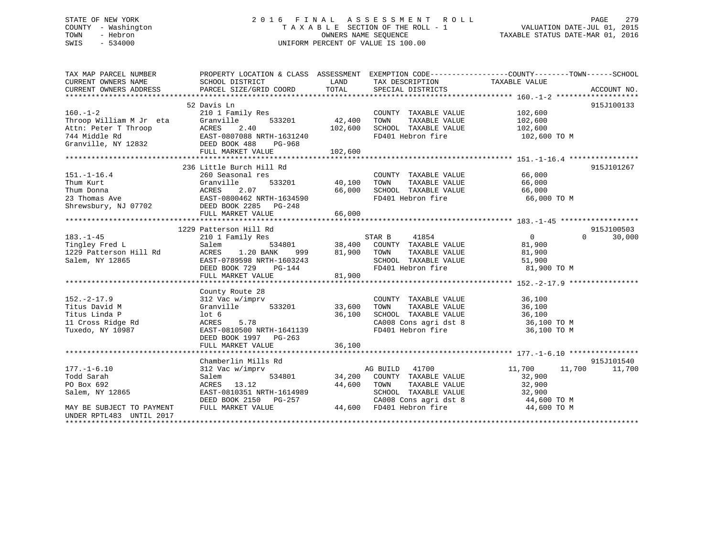# STATE OF NEW YORK 2 0 1 6 F I N A L A S S E S S M E N T R O L L PAGE 279 COUNTY - Washington T A X A B L E SECTION OF THE ROLL - 1 VALUATION DATE-JUL 01, 2015 TOWN - Hebron OWNERS NAME SEQUENCE TAXABLE STATUS DATE-MAR 01, 2016 SWIS - 534000 UNIFORM PERCENT OF VALUE IS 100.00

| TAX MAP PARCEL NUMBER<br>CURRENT OWNERS NAME<br>CURRENT OWNERS ADDRESS | PROPERTY LOCATION & CLASS ASSESSMENT EXEMPTION CODE---------------COUNTY-------TOWN-----SCHOOL<br>SCHOOL DISTRICT<br>PARCEL SIZE/GRID COORD                                                       | LAND<br>TOTAL | TAX DESCRIPTION TAXABLE VALUE<br>SPECIAL DISTRICTS               |                  | ACCOUNT NO.        |
|------------------------------------------------------------------------|---------------------------------------------------------------------------------------------------------------------------------------------------------------------------------------------------|---------------|------------------------------------------------------------------|------------------|--------------------|
|                                                                        |                                                                                                                                                                                                   |               |                                                                  |                  |                    |
|                                                                        | 52 Davis Ln                                                                                                                                                                                       |               |                                                                  |                  | 915J100133         |
| $160. - 1 - 2$                                                         | 210 1 Family Res                                                                                                                                                                                  |               | COUNTY TAXABLE VALUE                                             | 102,600          |                    |
|                                                                        |                                                                                                                                                                                                   | 42,400        | TOWN<br>TAXABLE VALUE                                            | 102,600          |                    |
|                                                                        |                                                                                                                                                                                                   | 102,600       | SCHOOL TAXABLE VALUE                                             | 102,600          |                    |
|                                                                        |                                                                                                                                                                                                   |               | FD401 Hebron fire                                                | 102,600 TO M     |                    |
|                                                                        | Throop William M Jr eta<br>Throop William M Jr eta<br>Attn: Peter T Throop ACRES 2.40<br>744 Middle Rd EAST-0807088 NRTH-1631240<br>Granville, NY 12832 DEED BOOK 488 PG-968<br>FIIL MARKET VALUE |               |                                                                  |                  |                    |
|                                                                        | FULL MARKET VALUE                                                                                                                                                                                 | 102,600       |                                                                  |                  |                    |
|                                                                        |                                                                                                                                                                                                   |               |                                                                  |                  |                    |
|                                                                        | 236 Little Burch Hill Rd                                                                                                                                                                          |               |                                                                  |                  | 915J101267         |
| $151.-1-16.4$                                                          | 260 Seasonal res                                                                                                                                                                                  |               | COUNTY TAXABLE VALUE 66,000                                      |                  |                    |
| Thum Kurt                                                              | 533201<br>Granville                                                                                                                                                                               | 40,100        | TOWN<br>TAXABLE VALUE                                            | 66,000           |                    |
| Thum Donna                                                             | 2.07<br>ACRES                                                                                                                                                                                     | 66,000        |                                                                  |                  |                    |
| 23 Thomas Ave                                                          | EAST-0800462 NRTH-1634590                                                                                                                                                                         |               | SCHOOL TAXABLE VALUE 66,000<br>FD401 Hebron fire 66,000 TO M     |                  |                    |
| Shrewsbury, NJ 07702                                                   | DEED BOOK 2285 PG-248                                                                                                                                                                             |               |                                                                  |                  |                    |
|                                                                        | FULL MARKET VALUE                                                                                                                                                                                 | 66,000        |                                                                  |                  |                    |
|                                                                        |                                                                                                                                                                                                   |               |                                                                  |                  |                    |
|                                                                        | 1229 Patterson Hill Rd                                                                                                                                                                            |               |                                                                  |                  | 915J100503         |
| $183. - 1 - 45$                                                        | 210 1 Family Res                                                                                                                                                                                  |               | 41854<br>STAR B                                                  | $\Omega$         | $\Omega$<br>30,000 |
| Tingley Fred L                                                         | Salem                                                                                                                                                                                             |               | 534801 38,400 COUNTY TAXABLE VALUE                               | 81,900           |                    |
| 1229 Patterson Hill Rd                                                 | ACRES<br>1.20 BANK<br>999 1999                                                                                                                                                                    | 81,900        | TOWN<br>TAXABLE VALUE                                            | 81,900           |                    |
| Salem, NY 12865                                                        | EAST-0789598 NRTH-1603243                                                                                                                                                                         |               | SCHOOL TAXABLE VALUE                                             | 51,900           |                    |
|                                                                        | DEED BOOK 729<br>$PG-144$                                                                                                                                                                         |               | FD401 Hebron fire                                                | 81,900 TO M      |                    |
|                                                                        | FULL MARKET VALUE                                                                                                                                                                                 | 81,900        |                                                                  |                  |                    |
|                                                                        |                                                                                                                                                                                                   |               |                                                                  |                  |                    |
|                                                                        | County Route 28                                                                                                                                                                                   |               |                                                                  |                  |                    |
| $152. - 2 - 17.9$                                                      | 312 Vac w/imprv                                                                                                                                                                                   |               | COUNTY TAXABLE VALUE 36,100                                      |                  |                    |
| Titus David M                                                          | 533201 33,600<br>Granville                                                                                                                                                                        |               | TOWN<br>TAXABLE VALUE                                            | 36,100           |                    |
| Titus Linda P                                                          | lot 6                                                                                                                                                                                             | 36,100        | SCHOOL TAXABLE VALUE 36,100<br>CA008 Cons agri dst 8 36,100 TO M |                  |                    |
| 11 Cross Ridge Rd                                                      | 5.78<br>ACRES                                                                                                                                                                                     |               |                                                                  |                  |                    |
| Tuxedo, NY 10987                                                       | EAST-0810500 NRTH-1641139                                                                                                                                                                         |               | FD401 Hebron fire                                                | 36,100 TO M      |                    |
|                                                                        | DEED BOOK 1997 PG-263                                                                                                                                                                             |               |                                                                  |                  |                    |
|                                                                        | FULL MARKET VALUE                                                                                                                                                                                 | 36,100        |                                                                  |                  |                    |
|                                                                        |                                                                                                                                                                                                   |               |                                                                  |                  |                    |
|                                                                        | Chamberlin Mills Rd                                                                                                                                                                               |               |                                                                  |                  | 915J101540         |
| $177. - 1 - 6.10$                                                      | 312 Vac w/imprv                                                                                                                                                                                   |               | AG BUILD 41700                                                   | 11,700<br>11,700 | 11,700             |
| Todd Sarah                                                             | Salem                                                                                                                                                                                             |               | 534801 34,200 COUNTY TAXABLE VALUE                               | 32,900           |                    |
| PO Box 692                                                             | ACRES 13.12                                                                                                                                                                                       | 44,600        | TOWN<br>TAXABLE VALUE                                            | 32,900           |                    |
| Salem, NY 12865                                                        | EAST-0810351 NRTH-1614989                                                                                                                                                                         |               | SCHOOL TAXABLE VALUE                                             | 32,900           |                    |
|                                                                        | DEED BOOK 2150 PG-257                                                                                                                                                                             |               | CA008 Cons agri dst 8<br>ED401 Hebron fire                       | 44,600 TO M      |                    |
| MAY BE SUBJECT TO PAYMENT                                              | FULL MARKET VALUE                                                                                                                                                                                 |               | 44,600 FD401 Hebron fire                                         | 44,600 TO M      |                    |
| UNDER RPTL483 UNTIL 2017                                               |                                                                                                                                                                                                   |               |                                                                  |                  |                    |
|                                                                        |                                                                                                                                                                                                   |               |                                                                  |                  |                    |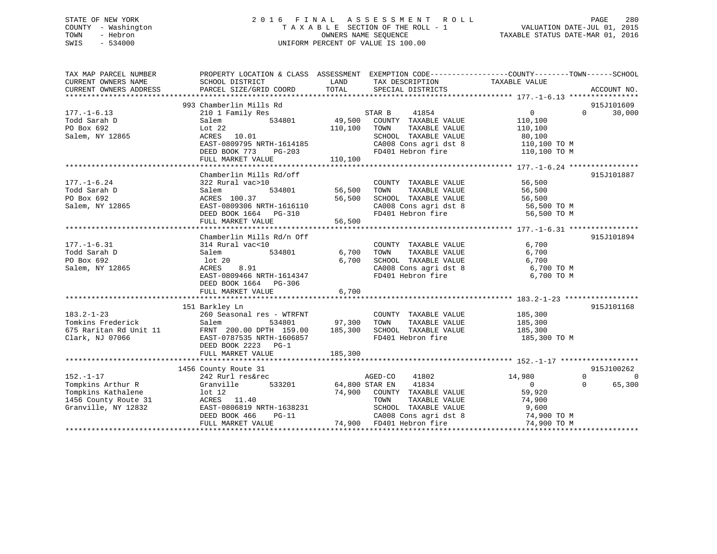# STATE OF NEW YORK 2 0 1 6 F I N A L A S S E S S M E N T R O L L PAGE 280 COUNTY - Washington T A X A B L E SECTION OF THE ROLL - 1 VALUATION DATE-JUL 01, 2015 TOWN - Hebron OWNERS NAME SEQUENCE TAXABLE STATUS DATE-MAR 01, 2016 SWIS - 534000 UNIFORM PERCENT OF VALUE IS 100.00

| TAX MAP PARCEL NUMBER  | PROPERTY LOCATION & CLASS ASSESSMENT EXEMPTION CODE----------------COUNTY-------TOWN------SCHOOL |            |                                                                    |                   |                      |
|------------------------|--------------------------------------------------------------------------------------------------|------------|--------------------------------------------------------------------|-------------------|----------------------|
| CURRENT OWNERS NAME    | SCHOOL DISTRICT                                                                                  | LAND       | TAX DESCRIPTION TAXABLE VALUE                                      |                   |                      |
| CURRENT OWNERS ADDRESS | PARCEL SIZE/GRID COORD TOTAL                                                                     |            | SPECIAL DISTRICTS                                                  |                   | ACCOUNT NO.          |
|                        |                                                                                                  |            |                                                                    |                   |                      |
|                        | 993 Chamberlin Mills Rd                                                                          |            |                                                                    |                   | 915J101609           |
| $177. - 1 - 6.13$      | 210 1 Family Res                                                                                 |            | 41854<br>STAR B                                                    | $0 \qquad \qquad$ | $0 \t 30,000$        |
| Todd Sarah D           | Salem                                                                                            |            | 534801 49,500 COUNTY TAXABLE VALUE                                 | 110,100           |                      |
| PO Box 692             |                                                                                                  |            | 110,100 TOWN TAXABLE VALUE                                         | 110,100           |                      |
| Salem, NY 12865        | Lot 22<br>ACRES 10.01                                                                            |            | SCHOOL TAXABLE VALUE                                               | 80,100            |                      |
|                        | EAST-0809795 NRTH-1614185                                                                        |            | CA008 Cons agri dst 8 110,100 TO M                                 |                   |                      |
|                        | DEED BOOK 773 PG-203                                                                             |            | FD401 Hebron fire                                                  | 110,100 TO M      |                      |
|                        | FULL MARKET VALUE                                                                                | 110,100    |                                                                    |                   |                      |
|                        |                                                                                                  |            |                                                                    |                   |                      |
|                        | Chamberlin Mills Rd/off                                                                          |            |                                                                    |                   | 915J101887           |
| $177. - 1 - 6.24$      | 322 Rural vac>10                                                                                 |            | COUNTY TAXABLE VALUE 56,500                                        |                   |                      |
| Todd Sarah D           | 534801 56,500<br>Salem                                                                           |            |                                                                    |                   |                      |
| PO Box 692             |                                                                                                  |            |                                                                    |                   |                      |
| Salem, NY 12865        |                                                                                                  |            |                                                                    |                   |                      |
|                        | ACRES 100.37<br>EAST-0809306 NRTH-1616110<br>DEED BOOK 1664 PG-310                               |            | CA008 Cons agri dst 8 56,500 TO M<br>FD401 Hebron fire 56,500 TO M |                   |                      |
|                        | FULL MARKET VALUE                                                                                | 56,500     |                                                                    |                   |                      |
|                        |                                                                                                  |            |                                                                    |                   |                      |
|                        | Chamberlin Mills Rd/n Off                                                                        |            |                                                                    |                   | 915J101894           |
| $177. - 1 - 6.31$      | 314 Rural vac<10                                                                                 |            | COUNTY TAXABLE VALUE<br>TOWN      TAXABLE VALUE                    | 6,700             |                      |
| Todd Sarah D           | 534801<br>Salem                                                                                  | 6,700 TOWN |                                                                    | 6,700             |                      |
| PO Box 692             | lot 20                                                                                           | 6,700      | SCHOOL TAXABLE VALUE 6,700                                         |                   |                      |
| Salem, NY 12865        | 8.91<br>ACRES                                                                                    |            | CA008 Cons agri dst 8<br>FD401 Hebron fire                         | 6,700 TO M        |                      |
|                        | EAST-0809466 NRTH-1614347                                                                        |            |                                                                    | 6,700 TO M        |                      |
|                        | DEED BOOK 1664 PG-306                                                                            |            |                                                                    |                   |                      |
|                        | FULL MARKET VALUE                                                                                | 6,700      |                                                                    |                   |                      |
|                        |                                                                                                  |            |                                                                    |                   |                      |
|                        | 151 Barkley Ln                                                                                   |            |                                                                    |                   | 915J101168           |
| $183.2 - 1 - 23$       | 260 Seasonal res - WTRFNT                                                                        |            | COUNTY TAXABLE VALUE 185,300                                       |                   |                      |
|                        |                                                                                                  |            |                                                                    |                   |                      |
|                        |                                                                                                  |            |                                                                    |                   |                      |
| Clark, NJ 07066        | EAST-0787535 NRTH-1606857                                                                        |            | FD401 Hebron fire 185,300 TO M                                     |                   |                      |
|                        | DEED BOOK 2223 PG-1                                                                              |            |                                                                    |                   |                      |
|                        | FULL MARKET VALUE 185,300                                                                        |            |                                                                    |                   |                      |
|                        |                                                                                                  |            |                                                                    |                   |                      |
|                        | 1456 County Route 31                                                                             |            |                                                                    |                   | 915J100262           |
| $152. - 1 - 17$        | 242 Rurl res&rec                                                                                 |            | AGED-CO<br>41802                                                   | 14,980            | $\Omega$<br>$\Omega$ |
|                        | Granville 533201 64,800 STAR EN                                                                  |            | 41834                                                              | $\Omega$          | 65,300<br>$\Omega$   |
|                        |                                                                                                  |            | 74,900 COUNTY TAXABLE VALUE 59,920                                 |                   |                      |
|                        |                                                                                                  |            | TOWN TAXABLE VALUE 74,900<br>SCHOOL TAXABLE VALUE 9,600            |                   |                      |
|                        | 100 100 12<br>1456 County Route 31 ACRES 11.40<br>Granville, NY 12832 EAST-0806819 NRTH-1638231  |            |                                                                    |                   |                      |
|                        | DEED BOOK 466<br>$PG-11$                                                                         |            | CA008 Cons agri dst 8 74,900 TO M                                  |                   |                      |
|                        | FULL MARKET VALUE                                                                                |            | CA008 Cons agri dst 8<br>74,900 FD401 Hebron fire                  | 74,900 TO M       |                      |
|                        |                                                                                                  |            |                                                                    |                   |                      |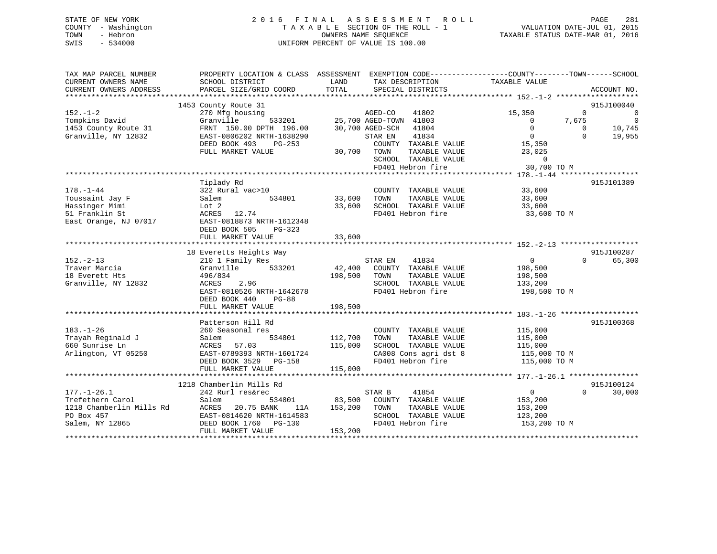# STATE OF NEW YORK 2 0 1 6 F I N A L A S S E S S M E N T R O L L PAGE 281 COUNTY - Washington T A X A B L E SECTION OF THE ROLL - 1 VALUATION DATE-JUL 01, 2015 TOWN - Hebron OWNERS NAME SEQUENCE TAXABLE STATUS DATE-MAR 01, 2016 SWIS - 534000 UNIFORM PERCENT OF VALUE IS 100.00

| TAX MAP PARCEL NUMBER<br>CURRENT OWNERS NAME<br>CURRENT OWNERS ADDRESS | SCHOOL DISTRICT<br>PARCEL SIZE/GRID COORD                             | LAND<br>TAX DESCRIPTION<br>TOTAL<br>SPECIAL DISTRICTS   | PROPERTY LOCATION & CLASS ASSESSMENT EXEMPTION CODE---------------COUNTY-------TOWN-----SCHOOL<br>TAXABLE VALUE<br>ACCOUNT NO. |
|------------------------------------------------------------------------|-----------------------------------------------------------------------|---------------------------------------------------------|--------------------------------------------------------------------------------------------------------------------------------|
|                                                                        |                                                                       |                                                         |                                                                                                                                |
| $152. - 1 - 2$                                                         | 1453 County Route 31<br>270 Mfg housing                               | AGED-CO<br>41802                                        | 915J100040<br>$\Omega$<br>15,350<br>0                                                                                          |
| Tompkins David<br>1453 County Route 31                                 | Granville<br>533201<br>FRNT 150.00 DPTH 196.00                        | 25,700 AGED-TOWN 41803<br>30,700 AGED-SCH<br>41804      | $\Omega$<br>7,675<br>0<br>10,745<br>$\Omega$<br>$\Omega$                                                                       |
| Granville, NY 12832                                                    | EAST-0806202 NRTH-1638290<br>DEED BOOK 493<br>PG-253                  | 41834<br>STAR EN<br>COUNTY TAXABLE VALUE                | $\overline{0}$<br>$\Omega$<br>19,955<br>15,350                                                                                 |
|                                                                        | FULL MARKET VALUE                                                     | 30,700 TOWN<br>TAXABLE VALUE<br>SCHOOL TAXABLE VALUE    | 23,025<br>$\overline{0}$                                                                                                       |
|                                                                        |                                                                       | FD401 Hebron fire                                       | 30,700 TO M                                                                                                                    |
|                                                                        | Tiplady Rd                                                            |                                                         | 915J101389                                                                                                                     |
| $178. - 1 - 44$<br>Toussaint Jay F                                     | 322 Rural vac>10<br>534801<br>Salem                                   | COUNTY TAXABLE VALUE<br>33,600<br>TOWN<br>TAXABLE VALUE | 33,600<br>33,600                                                                                                               |
| Hassinger Mimi                                                         | Lot 2                                                                 | SCHOOL TAXABLE VALUE<br>33,600                          | 33,600                                                                                                                         |
| 51 Franklin St<br>East Orange, NJ 07017                                | ACRES 12.74<br>EAST-0818873 NRTH-1612348<br>DEED BOOK 505<br>$PG-323$ | FD401 Hebron fire                                       | 33,600 TO M                                                                                                                    |
|                                                                        | FULL MARKET VALUE                                                     | 33,600                                                  |                                                                                                                                |
|                                                                        | 18 Everetts Heights Way                                               |                                                         | 915J100287                                                                                                                     |
| $152 - 2 - 13$                                                         | 210 1 Family Res                                                      | STAR EN<br>41834                                        | $\overline{0}$<br>$\Omega$<br>65,300                                                                                           |
| Traver Marcia                                                          | 533201<br>Granville                                                   | 42,400<br>COUNTY TAXABLE VALUE                          | 198,500                                                                                                                        |
| 18 Everett Hts                                                         | 496/834                                                               | 198,500<br>TOWN<br>TAXABLE VALUE                        | 198,500                                                                                                                        |
| Granville, NY 12832                                                    | 2.96<br>ACRES                                                         | SCHOOL TAXABLE VALUE                                    | 133,200                                                                                                                        |
|                                                                        | EAST-0810526 NRTH-1642678<br>DEED BOOK 440<br>$PG-88$                 | FD401 Hebron fire                                       | 198,500 TO M                                                                                                                   |
|                                                                        | FULL MARKET VALUE                                                     | 198,500                                                 |                                                                                                                                |
|                                                                        | Patterson Hill Rd                                                     |                                                         | 915J100368                                                                                                                     |
| $183. - 1 - 26$                                                        | 260 Seasonal res                                                      | COUNTY TAXABLE VALUE                                    | 115,000                                                                                                                        |
| Trayah Reginald J                                                      | Salem<br>534801                                                       | 112,700<br>TOWN<br>TAXABLE VALUE                        | 115,000                                                                                                                        |
| 660 Sunrise Ln                                                         | ACRES<br>57.03                                                        | 115,000<br>SCHOOL TAXABLE VALUE                         | 115,000                                                                                                                        |
| Arlington, VT 05250                                                    | EAST-0789393 NRTH-1601724                                             | CA008 Cons agri dst 8                                   | 115,000 TO M                                                                                                                   |
|                                                                        | DEED BOOK 3529 PG-158                                                 | FD401 Hebron fire                                       | 115,000 TO M                                                                                                                   |
|                                                                        | FULL MARKET VALUE                                                     | 115,000                                                 |                                                                                                                                |
|                                                                        | 1218 Chamberlin Mills Rd                                              |                                                         | 915J100124                                                                                                                     |
| $177. - 1 - 26.1$                                                      | 242 Rurl res&rec                                                      | STAR B<br>41854                                         | $\overline{0}$<br>$\Omega$<br>30,000                                                                                           |
| Trefethern Carol                                                       | Salem<br>534801                                                       | 83,500<br>COUNTY TAXABLE VALUE                          | 153,200                                                                                                                        |
| 1218 Chamberlin Mills Rd                                               | ACRES<br>20.75 BANK<br>11A                                            | 153,200<br>TOWN<br>TAXABLE VALUE                        | 153,200                                                                                                                        |
| PO Box 457                                                             | EAST-0814620 NRTH-1614583                                             | SCHOOL TAXABLE VALUE                                    | 123,200                                                                                                                        |
| Salem, NY 12865                                                        | DEED BOOK 1760 PG-130<br>FULL MARKET VALUE                            | FD401 Hebron fire<br>153,200                            | 153,200 TO M                                                                                                                   |
|                                                                        |                                                                       |                                                         |                                                                                                                                |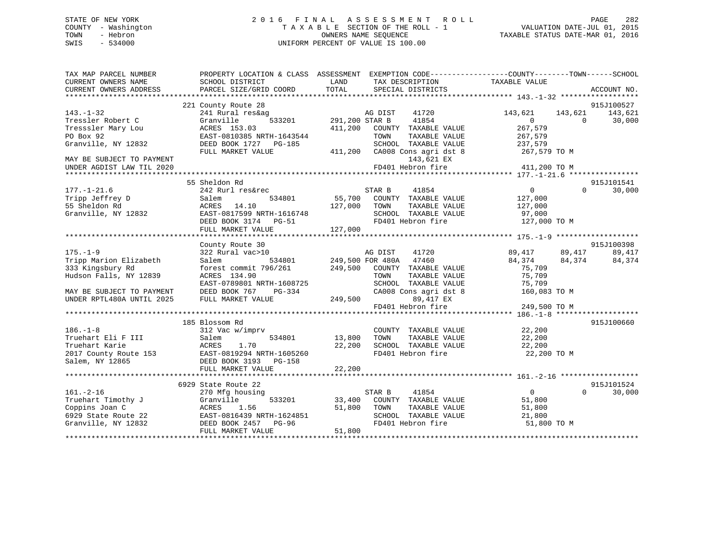# STATE OF NEW YORK 2 0 1 6 F I N A L A S S E S S M E N T R O L L PAGE 282 COUNTY - Washington T A X A B L E SECTION OF THE ROLL - 1 VALUATION DATE-JUL 01, 2015 TOWN - Hebron OWNERS NAME SEQUENCE TAXABLE STATUS DATE-MAR 01, 2016 SWIS - 534000 UNIFORM PERCENT OF VALUE IS 100.00

| TAX MAP PARCEL NUMBER     |                                                    | PROPERTY LOCATION & CLASS ASSESSMENT EXEMPTION CODE-----------------COUNTY-------TOWN------SCHOOL |                                         |
|---------------------------|----------------------------------------------------|---------------------------------------------------------------------------------------------------|-----------------------------------------|
| CURRENT OWNERS NAME       | SCHOOL DISTRICT                                    | LAND<br>TAX DESCRIPTION                                                                           | TAXABLE VALUE                           |
| CURRENT OWNERS ADDRESS    | PARCEL SIZE/GRID COORD                             | TOTAL<br>SPECIAL DISTRICTS                                                                        | ACCOUNT NO.                             |
|                           | 221 County Route 28                                |                                                                                                   | 915J100527                              |
| $143. - 1 - 32$           | 241 Rural res&ag                                   | AG DIST<br>41720                                                                                  | 143,621<br>143,621<br>143,621           |
| Tressler Robert C         | 533201<br>Granville                                | 291,200 STAR B<br>41854                                                                           | $0 \qquad \qquad$<br>$\Omega$<br>30,000 |
| Tresssler Mary Lou        | ACRES 153.03                                       | 411,200 COUNTY TAXABLE VALUE                                                                      | 267,579                                 |
| PO Box 92                 | EAST-0810385 NRTH-1643544                          | TOWN<br>TAXABLE VALUE                                                                             | 267,579                                 |
| Granville, NY 12832       | DEED BOOK 1727 PG-185                              | SCHOOL TAXABLE VALUE                                                                              | 237,579                                 |
|                           | FULL MARKET VALUE                                  | 411,200 CA008 Cons agri dst 8                                                                     | 267,579 TO M                            |
| MAY BE SUBJECT TO PAYMENT |                                                    | 143,621 EX                                                                                        |                                         |
| UNDER AGDIST LAW TIL 2020 |                                                    | FD401 Hebron fire                                                                                 | 411,200 TO M                            |
|                           |                                                    |                                                                                                   |                                         |
|                           | 55 Sheldon Rd                                      |                                                                                                   | 915J101541                              |
| $177. - 1 - 21.6$         | 242 Rurl res&rec                                   | STAR B<br>41854                                                                                   | $\overline{0}$<br>$\Omega$<br>30,000    |
| Tripp Jeffrey D           | 534801<br>Salem                                    | 55,700 COUNTY TAXABLE VALUE                                                                       | 127,000                                 |
| 55 Sheldon Rd             | ACRES 14.10                                        | 127,000<br>TOWN<br>TAXABLE VALUE                                                                  | 127,000                                 |
| Granville, NY 12832       | EAST-0817599 NRTH-1616748                          | SCHOOL TAXABLE VALUE                                                                              | 97,000                                  |
|                           | DEED BOOK 3174 PG-51                               | FD401 Hebron fire                                                                                 | 127,000 TO M                            |
|                           | FULL MARKET VALUE                                  | 127,000                                                                                           |                                         |
|                           |                                                    |                                                                                                   |                                         |
|                           | County Route 30                                    |                                                                                                   | 915J100398                              |
| $175. - 1 - 9$            | 322 Rural vac>10                                   | AG DIST<br>41720                                                                                  | 89,417<br>89,417<br>89,417              |
| Tripp Marion Elizabeth    | Salem<br>534801                                    | 249,500 FOR 480A 47460                                                                            | 84,374<br>84,374<br>84,374              |
| 333 Kingsbury Rd          | forest commit 796/261                              | 249,500 COUNTY TAXABLE VALUE                                                                      | 75,709                                  |
| Hudson Falls, NY 12839    | ACRES 134.90                                       | TOWN<br>TAXABLE VALUE                                                                             | 75,709                                  |
|                           | EAST-0789801 NRTH-1608725                          | SCHOOL TAXABLE VALUE                                                                              | 75,709                                  |
| MAY BE SUBJECT TO PAYMENT | DEED BOOK 767<br>PG-334                            | CA008 Cons agri dst 8                                                                             | 160,083 TO M                            |
| UNDER RPTL480A UNTIL 2025 | FULL MARKET VALUE                                  | 249,500<br>89,417 EX                                                                              |                                         |
|                           |                                                    | FD401 Hebron fire                                                                                 | 249,500 TO M                            |
|                           |                                                    |                                                                                                   |                                         |
| $186. - 1 - 8$            | 185 Blossom Rd                                     |                                                                                                   | 915J100660                              |
| Truehart Eli F III        | 312 Vac w/imprv<br>Salem<br>534801                 | COUNTY TAXABLE VALUE<br>13,800<br>TOWN<br>TAXABLE VALUE                                           | 22,200<br>22,200                        |
| Truehart Karie            | ACRES<br>1.70                                      | 22,200<br>SCHOOL TAXABLE VALUE                                                                    | 22,200                                  |
| 2017 County Route 153     |                                                    | FD401 Hebron fire                                                                                 | 22,200 TO M                             |
| Salem, NY 12865           | EAST-0819294 NRTH-1605260<br>DEED BOOK 3193 PG-158 |                                                                                                   |                                         |
|                           | FULL MARKET VALUE                                  | 22,200                                                                                            |                                         |
|                           |                                                    |                                                                                                   |                                         |
|                           | 6929 State Route 22                                |                                                                                                   | 915J101524                              |
| $161. - 2 - 16$           | 270 Mfg housing                                    | STAR B<br>41854                                                                                   | $\overline{0}$<br>30,000<br>$\Omega$    |
| Truehart Timothy J        | Granville<br>533201                                | 33,400<br>COUNTY TAXABLE VALUE                                                                    | 51,800                                  |
| Coppins Joan C            | 1.56<br>ACRES                                      | 51,800<br>TAXABLE VALUE<br>TOWN                                                                   | 51,800                                  |
| 6929 State Route 22       | EAST-0816439 NRTH-1624851                          | SCHOOL TAXABLE VALUE                                                                              | 21,800                                  |
| Granville, NY 12832       | DEED BOOK 2457 PG-96                               | FD401 Hebron fire                                                                                 | 51,800 TO M                             |
|                           | FULL MARKET VALUE                                  | 51,800                                                                                            |                                         |
|                           |                                                    |                                                                                                   |                                         |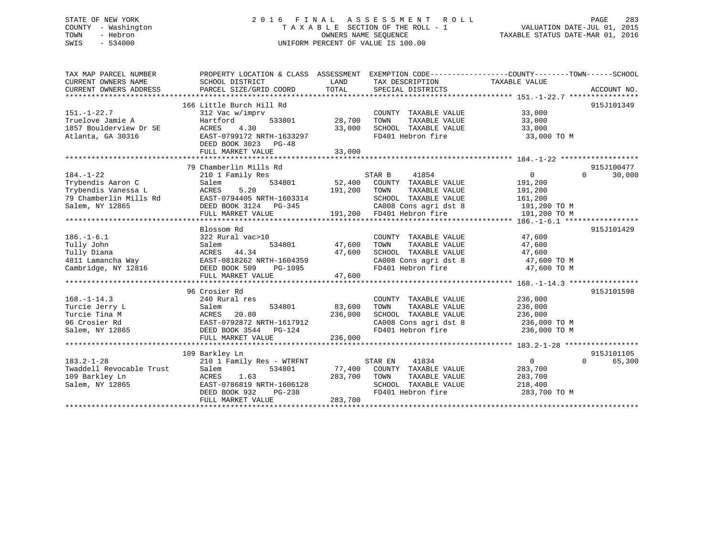# STATE OF NEW YORK 2 0 1 6 F I N A L A S S E S S M E N T R O L L PAGE 283 COUNTY - Washington T A X A B L E SECTION OF THE ROLL - 1 VALUATION DATE-JUL 01, 2015 TOWN - Hebron OWNERS NAME SEQUENCE TAXABLE STATUS DATE-MAR 01, 2016 SWIS - 534000 UNIFORM PERCENT OF VALUE IS 100.00

| TAX MAP PARCEL NUMBER<br>CURRENT OWNERS NAME<br>CURRENT OWNERS ADDRESS                                   | PROPERTY LOCATION & CLASS ASSESSMENT<br>SCHOOL DISTRICT<br>PARCEL SIZE/GRID COORD                                                                              | LAND<br>TOTAL                | EXEMPTION CODE-----------------COUNTY-------TOWN------SCHOOL<br>TAX DESCRIPTION<br>SPECIAL DISTRICTS                                                  | TAXABLE VALUE                                                                   | ACCOUNT NO.                      |
|----------------------------------------------------------------------------------------------------------|----------------------------------------------------------------------------------------------------------------------------------------------------------------|------------------------------|-------------------------------------------------------------------------------------------------------------------------------------------------------|---------------------------------------------------------------------------------|----------------------------------|
| $151. - 1 - 22.7$<br>Truelove Jamie A<br>1857 Boulderview Dr SE<br>Atlanta, GA 30316                     | 166 Little Burch Hill Rd<br>312 Vac w/imprv<br>Hartford<br>533801<br>4.30<br>ACRES<br>EAST-0799172 NRTH-1633297<br>DEED BOOK 3023 PG-48<br>FULL MARKET VALUE   | 28,700<br>33,000<br>33,000   | COUNTY TAXABLE VALUE<br>TAXABLE VALUE<br>TOWN<br>SCHOOL TAXABLE VALUE<br>FD401 Hebron fire                                                            | 33,000<br>33,000<br>33,000<br>33,000 TO M                                       | 915J101349                       |
| $184. - 1 - 22$<br>Trybendis Aaron C<br>Trybendis Vanessa L<br>79 Chamberlin Mills Rd<br>Salem, NY 12865 | 79 Chamberlin Mills Rd<br>210 1 Family Res<br>534801<br>Salem<br>ACRES<br>5.20<br>EAST-0794405 NRTH-1603314<br>DEED BOOK 3124 PG-345<br>FULL MARKET VALUE      | 191,200                      | STAR B<br>41854<br>52,400 COUNTY TAXABLE VALUE<br>TOWN<br>TAXABLE VALUE<br>SCHOOL TAXABLE VALUE<br>CA008 Cons agri dst 8<br>191,200 FD401 Hebron fire | $\overline{0}$<br>191,200<br>191,200<br>161,200<br>191,200 TO M<br>191,200 TO M | 915J100477<br>30,000<br>$\Omega$ |
| $186. - 1 - 6.1$<br>Tully John<br>Tully Diana<br>4811 Lamancha Way<br>Cambridge, NY 12816                | Blossom Rd<br>322 Rural vac>10<br>534801<br>Salem<br>44.34<br>ACRES<br>EAST-0818262 NRTH-1604359<br>DEED BOOK 509<br>PG-1095<br>FULL MARKET VALUE              | 47,600<br>47,600<br>47,600   | COUNTY TAXABLE VALUE<br>TAXABLE VALUE<br>TOWN<br>SCHOOL TAXABLE VALUE<br>CA008 Cons agri dst 8<br>FD401 Hebron fire                                   | 47,600<br>47,600<br>47,600<br>47,600 TO M<br>47,600 TO M                        | 915J101429                       |
| $168. - 1 - 14.3$<br>Turcie Jerry L<br>Turcie Tina M<br>96 Crosier Rd<br>Salem, NY 12865                 | 96 Crosier Rd<br>240 Rural res<br>534801<br>Salem<br>ACRES 20.80<br>EAST-0792872 NRTH-1617912<br>DEED BOOK 3544 PG-124<br>FULL MARKET VALUE                    | 83,600<br>236,000<br>236,000 | COUNTY TAXABLE VALUE<br>TOWN<br>TAXABLE VALUE<br>SCHOOL TAXABLE VALUE<br>CA008 Cons agri dst 8<br>FD401 Hebron fire                                   | 236,000<br>236,000<br>236,000<br>236,000 TO M<br>236,000 TO M                   | 915J101598                       |
| $183.2 - 1 - 28$<br>Twaddell Revocable Trust<br>109 Barkley Ln<br>Salem, NY 12865                        | 109 Barkley Ln<br>210 1 Family Res - WTRFNT<br>534801<br>Salem<br>ACRES<br>1.63<br>EAST-0786819 NRTH-1606128<br>DEED BOOK 932<br>$PG-238$<br>FULL MARKET VALUE | 283,700<br>283,700           | STAR EN<br>41834<br>77,400 COUNTY TAXABLE VALUE<br>TOWN<br>TAXABLE VALUE<br>SCHOOL TAXABLE VALUE<br>FD401 Hebron fire                                 | $\overline{0}$<br>283,700<br>283,700<br>218,400<br>283,700 TO M                 | 915J101105<br>$\Omega$<br>65,300 |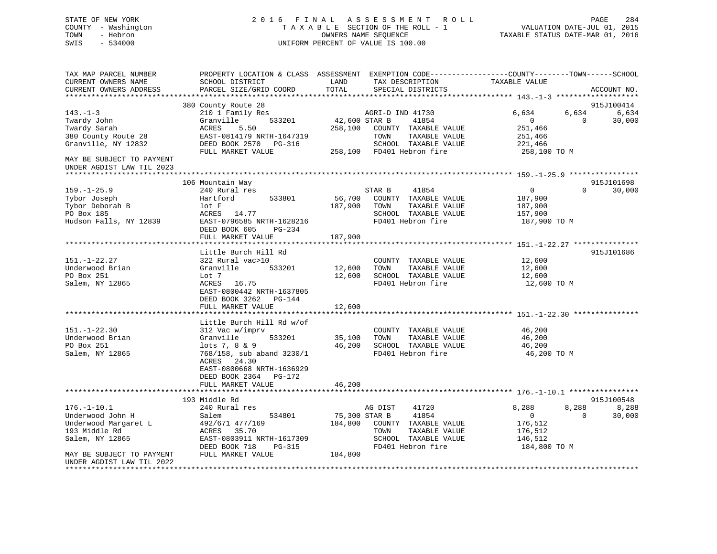# STATE OF NEW YORK 2 0 1 6 F I N A L A S S E S S M E N T R O L L PAGE 284 COUNTY - Washington T A X A B L E SECTION OF THE ROLL - 1 VALUATION DATE-JUL 01, 2015 TOWN - Hebron OWNERS NAME SEQUENCE TAXABLE STATUS DATE-MAR 01, 2016 SWIS - 534000 UNIFORM PERCENT OF VALUE IS 100.00

TAX MAP PARCEL NUMBER PROPERTY LOCATION & CLASS ASSESSMENT EXEMPTION CODE------------------COUNTY--------TOWN------SCHOOL CURRENT OWNERS NAME SCHOOL DISTRICT THE LAND TAX DESCRIPTION TAXABLE VALUE CURRENT OWNERS ADDRESS PARCEL SIZE/GRID COORD TOTAL SPECIAL DISTRICTS ACCOUNT NO. \*\*\*\*\*\*\*\*\*\*\*\*\*\*\*\*\*\*\*\*\*\*\*\*\*\*\*\*\*\*\*\*\*\*\*\*\*\*\*\*\*\*\*\*\*\*\*\*\*\*\*\*\*\*\*\*\*\*\*\*\*\*\*\*\*\*\*\*\*\*\*\*\*\*\*\*\*\*\*\*\*\*\*\*\*\*\*\*\*\*\*\*\*\*\*\*\*\*\*\*\*\*\* 143.-1-3 \*\*\*\*\*\*\*\*\*\*\*\*\*\*\*\*\*\*\* 380 County Route 28 915J100414 143.-1-3 210 1 Family Res AGRI-D IND 41730 6 ,634 6 ,634 6 ,634 Twardy John Granville 533201 42,600 STAR B 41854 0 0 30,000 Twardy Sarah ACRES 5.50 258,100 COUNTY TAXABLE VALUE 251,466 380 County Route 28 EAST-0814179 NRTH-1647319 TOWN TAXABLE VALUE 251,466 Granville, NY 12832 DEED BOOK 2570 PG-316 SCHOOL TAXABLE VALUE 221,466 FULL MARKET VALUE 258,100 FD401 Hebron fire 258,100 TO M MAY BE SUBJECT TO PAYMENTUNDER AGDIST LAW TIL 2023 \*\*\*\*\*\*\*\*\*\*\*\*\*\*\*\*\*\*\*\*\*\*\*\*\*\*\*\*\*\*\*\*\*\*\*\*\*\*\*\*\*\*\*\*\*\*\*\*\*\*\*\*\*\*\*\*\*\*\*\*\*\*\*\*\*\*\*\*\*\*\*\*\*\*\*\*\*\*\*\*\*\*\*\*\*\*\*\*\*\*\*\*\*\*\*\*\*\*\*\*\*\*\* 159.-1-25.9 \*\*\*\*\*\*\*\*\*\*\*\*\*\*\*\* 106 Mountain Way 915J101698 159.-1-25.9 240 Rural res STAR B 41854 0 0 30,000 Tybor Joseph Hartford 533801 56,700 COUNTY TAXABLE VALUE 187,900 Tybor Deborah B lot F 187,900 TOWN TAXABLE VALUE 187,900 PO Box 185 ACRES 14.77 SCHOOL TAXABLE VALUE 157,900 Hudson Falls, NY 12839 EAST-0796585 NRTH-1628216 FD401 Hebron fire 187,900 TO M DEED BOOK 605 PG-234 FULL MARKET VALUE 187,900 \*\*\*\*\*\*\*\*\*\*\*\*\*\*\*\*\*\*\*\*\*\*\*\*\*\*\*\*\*\*\*\*\*\*\*\*\*\*\*\*\*\*\*\*\*\*\*\*\*\*\*\*\*\*\*\*\*\*\*\*\*\*\*\*\*\*\*\*\*\*\*\*\*\*\*\*\*\*\*\*\*\*\*\*\*\*\*\*\*\*\*\*\*\*\*\*\*\*\*\*\*\*\* 151.-1-22.27 \*\*\*\*\*\*\*\*\*\*\*\*\*\*\* Little Burch Hill Rd 915J101686151.-1-22.27 322 Rural vac>10 COUNTY TAXABLE VALUE 12,600 Underwood Brian Granville 533201 12,600 TOWN TAXABLE VALUE 12,600 PO Box 251 Lot 7 12,600 SCHOOL TAXABLE VALUE 12,600 Salem, NY 12865 ACRES 16.75 FD401 Hebron fire 12,600 TO M ACRES 16.75<br>EAST-0800442 NRTH-1637805 DEED BOOK 3262 PG-144FULL MARKET VALUE 12,600 \*\*\*\*\*\*\*\*\*\*\*\*\*\*\*\*\*\*\*\*\*\*\*\*\*\*\*\*\*\*\*\*\*\*\*\*\*\*\*\*\*\*\*\*\*\*\*\*\*\*\*\*\*\*\*\*\*\*\*\*\*\*\*\*\*\*\*\*\*\*\*\*\*\*\*\*\*\*\*\*\*\*\*\*\*\*\*\*\*\*\*\*\*\*\*\*\*\*\*\*\*\*\* 151.-1-22.30 \*\*\*\*\*\*\*\*\*\*\*\*\*\*\* Little Burch Hill Rd w/of 151.-1-22.30 312 Vac w/imprv COUNTY TAXABLE VALUE 46,200 Underwood Brian Granville 533201 35,100 TOWN TAXABLE VALUE 46,200 PO Box 251 lots 7, 8 & 9 46,200 SCHOOL TAXABLE VALUE 46,200 Salem, NY 12865 768/158, sub aband 3230/1 FD401 Hebron fire 46,200 TO M ACRES 24.30 EAST-0800668 NRTH-1636929 DEED BOOK 2364 PG-172 FULL MARKET VALUE 46,200 \*\*\*\*\*\*\*\*\*\*\*\*\*\*\*\*\*\*\*\*\*\*\*\*\*\*\*\*\*\*\*\*\*\*\*\*\*\*\*\*\*\*\*\*\*\*\*\*\*\*\*\*\*\*\*\*\*\*\*\*\*\*\*\*\*\*\*\*\*\*\*\*\*\*\*\*\*\*\*\*\*\*\*\*\*\*\*\*\*\*\*\*\*\*\*\*\*\*\*\*\*\*\* 176.-1-10.1 \*\*\*\*\*\*\*\*\*\*\*\*\*\*\*\* 193 Middle Rd 915J100548176.-1-10.1 240 Rural res AG DIST 41720 8,288 8,288 8,288 Underwood John H Salem 534801 75,300 STAR B 41854 0 0 30,000 Underwood Margaret L 492/671 477/169 184,800 COUNTY TAXABLE VALUE 176,512 193 Middle Rd ACRES 35.70 TOWN TAXABLE VALUE 176,512 Salem, NY 12865 EAST-0803911 NRTH-1617309 SCHOOL TAXABLE VALUE 146,512<br>DEED BOOK 718 PG-315 FD401 Hebron fire 184,80 DEED BOOK 718 PG-315 FD401 Hebron fire 184,800 TO M MAY BE SUBJECT TO PAYMENT FULL MARKET VALUE 184,800 UNDER AGDIST LAW TIL 2022\*\*\*\*\*\*\*\*\*\*\*\*\*\*\*\*\*\*\*\*\*\*\*\*\*\*\*\*\*\*\*\*\*\*\*\*\*\*\*\*\*\*\*\*\*\*\*\*\*\*\*\*\*\*\*\*\*\*\*\*\*\*\*\*\*\*\*\*\*\*\*\*\*\*\*\*\*\*\*\*\*\*\*\*\*\*\*\*\*\*\*\*\*\*\*\*\*\*\*\*\*\*\*\*\*\*\*\*\*\*\*\*\*\*\*\*\*\*\*\*\*\*\*\*\*\*\*\*\*\*\*\*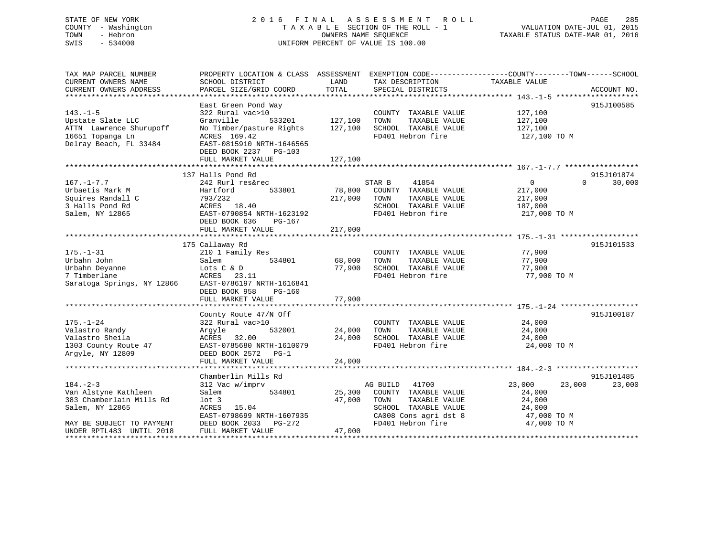# STATE OF NEW YORK 2 0 1 6 F I N A L A S S E S S M E N T R O L L PAGE 285 COUNTY - Washington T A X A B L E SECTION OF THE ROLL - 1 VALUATION DATE-JUL 01, 2015 TOWN - Hebron OWNERS NAME SEQUENCE TAXABLE STATUS DATE-MAR 01, 2016 SWIS - 534000 UNIFORM PERCENT OF VALUE IS 100.00

| VALUATION DATE-JUL 01, 2015 |  |                          |
|-----------------------------|--|--------------------------|
| antr commune naor wan 01.   |  | $\bigcap_{n=1}^{\infty}$ |

| TAX MAP PARCEL NUMBER<br>CURRENT OWNERS NAME<br>CURRENT OWNERS ADDRESS                                                                                                 | PROPERTY LOCATION & CLASS ASSESSMENT<br>SCHOOL DISTRICT<br>PARCEL SIZE/GRID COORD                                                                                                     | LAND<br>TOTAL                 | TAX DESCRIPTION<br>SPECIAL DISTRICTS                                                                                                     | EXEMPTION CODE-----------------COUNTY-------TOWN------SCHOOL<br>TAXABLE VALUE | ACCOUNT NO.                      |
|------------------------------------------------------------------------------------------------------------------------------------------------------------------------|---------------------------------------------------------------------------------------------------------------------------------------------------------------------------------------|-------------------------------|------------------------------------------------------------------------------------------------------------------------------------------|-------------------------------------------------------------------------------|----------------------------------|
| $143. - 1 - 5$<br>Upstate Slate LLC<br>ATTN Lawrence Shurupoff<br>16651 Topanga Ln<br>Delray Beach, FL 33484                                                           | East Green Pond Way<br>322 Rural vac>10<br>533201<br>Granville<br>No Timber/pasture Rights<br>ACRES 169.42<br>EAST-0815910 NRTH-1646565<br>DEED BOOK 2237 PG-103<br>FULL MARKET VALUE | 127,100<br>127,100<br>127,100 | COUNTY TAXABLE VALUE<br>TOWN<br>TAXABLE VALUE<br>SCHOOL TAXABLE VALUE<br>FD401 Hebron fire                                               | 127,100<br>127,100<br>127,100<br>127,100 TO M                                 | 915J100585                       |
|                                                                                                                                                                        |                                                                                                                                                                                       |                               |                                                                                                                                          |                                                                               |                                  |
| $167. - 1 - 7.7$<br>Urbaetis Mark M<br>Squires Randall C<br>3 Halls Pond Rd<br>Salem, NY 12865                                                                         | 137 Halls Pond Rd<br>242 Rurl res&rec<br>533801<br>Hartford<br>793/232<br>ACRES 18.40<br>EAST-0790854 NRTH-1623192<br>DEED BOOK 636<br>PG-167                                         | 78,800<br>217,000             | STAR B<br>41854<br>COUNTY TAXABLE VALUE<br>TAXABLE VALUE<br>TOWN<br>SCHOOL TAXABLE VALUE<br>FD401 Hebron fire                            | 0<br>217,000<br>217,000<br>187,000<br>217,000 TO M                            | 915J101874<br>30,000<br>$\Omega$ |
|                                                                                                                                                                        | FULL MARKET VALUE                                                                                                                                                                     | 217,000                       |                                                                                                                                          |                                                                               |                                  |
| $175. - 1 - 31$<br>Urbahn John<br>Urbahn Deyanne<br>7 Timberlane<br>Saratoga Springs, NY 12866                                                                         | 175 Callaway Rd<br>210 1 Family Res<br>534801<br>Salem<br>Lots C & D<br>ACRES<br>23.11<br>EAST-0786197 NRTH-1616841<br>DEED BOOK 958<br>$PG-160$<br>FULL MARKET VALUE                 | 68,000<br>77,900<br>77,900    | COUNTY TAXABLE VALUE<br>TAXABLE VALUE<br>TOWN<br>SCHOOL TAXABLE VALUE<br>FD401 Hebron fire                                               | 77,900<br>77,900<br>77,900<br>77,900 TO M                                     | 915J101533                       |
|                                                                                                                                                                        |                                                                                                                                                                                       |                               |                                                                                                                                          |                                                                               |                                  |
| $175. - 1 - 24$<br>Valastro Randy<br>Valastro Sheila<br>1303 County Route 47<br>Argyle, NY 12809                                                                       | County Route 47/N Off<br>322 Rural vac>10<br>532001<br>Argyle<br>ACRES<br>32.00<br>EAST-0785680 NRTH-1610079<br>DEED BOOK 2572 PG-1<br>FULL MARKET VALUE                              | 24,000<br>24,000<br>24,000    | COUNTY TAXABLE VALUE<br>TAXABLE VALUE<br>TOWN<br>SCHOOL TAXABLE VALUE<br>FD401 Hebron fire                                               | 24,000<br>24,000<br>24,000<br>24,000 TO M                                     | 915J100187                       |
|                                                                                                                                                                        |                                                                                                                                                                                       |                               |                                                                                                                                          |                                                                               |                                  |
| $184. - 2 - 3$<br>Van Alstyne Kathleen<br>383 Chamberlain Mills Rd<br>Salem, NY 12865<br>MAY BE SUBJECT TO PAYMENT<br>UNDER RPTL483 UNTIL 2018<br>******************** | Chamberlin Mills Rd<br>312 Vac w/imprv<br>534801<br>Salem<br>$1$ ot $3$<br>ACRES<br>15.04<br>EAST-0798699 NRTH-1607935<br>DEED BOOK 2033 PG-272<br>FULL MARKET VALUE                  | 25,300<br>47,000<br>47,000    | AG BUILD<br>41700<br>COUNTY TAXABLE VALUE<br>TAXABLE VALUE<br>TOWN<br>SCHOOL TAXABLE VALUE<br>CA008 Cons agri dst 8<br>FD401 Hebron fire | 23,000<br>23,000<br>24,000<br>24,000<br>24,000<br>47,000 TO M<br>47,000 TO M  | 915J101485<br>23,000             |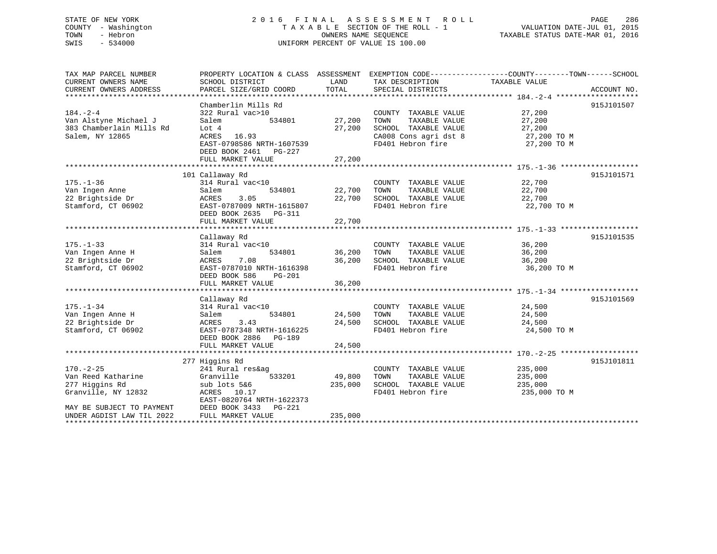# STATE OF NEW YORK 2 0 1 6 F I N A L A S S E S S M E N T R O L L PAGE 286 COUNTY - Washington T A X A B L E SECTION OF THE ROLL - 1 VALUATION DATE-JUL 01, 2015 TOWN - Hebron OWNERS NAME SEQUENCE TAXABLE STATUS DATE-MAR 01, 2016 SWIS - 534000 UNIFORM PERCENT OF VALUE IS 100.00

| TAX MAP PARCEL NUMBER     | PROPERTY LOCATION & CLASS ASSESSMENT EXEMPTION CODE----------------COUNTY-------TOWN-----SCHOOL |         |                              |               |             |
|---------------------------|-------------------------------------------------------------------------------------------------|---------|------------------------------|---------------|-------------|
| CURRENT OWNERS NAME       | SCHOOL DISTRICT                                                                                 | LAND    | TAX DESCRIPTION              | TAXABLE VALUE |             |
| CURRENT OWNERS ADDRESS    | PARCEL SIZE/GRID COORD                                                                          | TOTAL   | SPECIAL DISTRICTS            |               | ACCOUNT NO. |
|                           |                                                                                                 |         |                              |               |             |
|                           | Chamberlin Mills Rd                                                                             |         |                              |               | 915J101507  |
| $184. - 2 - 4$            | 322 Rural vac>10                                                                                |         | COUNTY TAXABLE VALUE         | 27,200        |             |
| Van Alstyne Michael J     | 534801<br>Salem                                                                                 | 27,200  | TAXABLE VALUE<br>TOWN        | 27,200        |             |
| 383 Chamberlain Mills Rd  | Lot 4                                                                                           | 27,200  | SCHOOL TAXABLE VALUE         | 27,200        |             |
| Salem, NY 12865           | ACRES 16.93                                                                                     |         | CA008 Cons agri dst 8        | 27,200 TO M   |             |
|                           | EAST-0798586 NRTH-1607539                                                                       |         | FD401 Hebron fire            | 27,200 TO M   |             |
|                           | DEED BOOK 2461 PG-227                                                                           |         |                              |               |             |
|                           |                                                                                                 |         |                              |               |             |
|                           |                                                                                                 |         |                              |               |             |
|                           | 101 Callaway Rd                                                                                 |         |                              |               | 915J101571  |
| $175. - 1 - 36$           | 314 Rural vac<10                                                                                |         | COUNTY TAXABLE VALUE         | 22,700        |             |
| Van Ingen Anne            | 534801<br>Salem                                                                                 | 22,700  | TOWN<br>TAXABLE VALUE        | 22,700        |             |
| 22 Brightside Dr          | 3.05<br>ACRES                                                                                   | 22,700  | SCHOOL TAXABLE VALUE         | 22,700        |             |
| Stamford, CT 06902        | EAST-0787009 NRTH-1615807                                                                       |         | FD401 Hebron fire            | 22,700 TO M   |             |
|                           | DEED BOOK 2635<br>PG-311                                                                        |         |                              |               |             |
|                           | FULL MARKET VALUE                                                                               | 22,700  |                              |               |             |
|                           |                                                                                                 |         |                              |               |             |
|                           | Callaway Rd                                                                                     |         |                              |               | 915J101535  |
| $175. - 1 - 33$           | 314 Rural vac<10                                                                                |         | COUNTY TAXABLE VALUE         | 36,200        |             |
| Van Ingen Anne H          |                                                                                                 | 36,200  | TAXABLE VALUE                | 36,200        |             |
|                           | Salem<br>534801<br>7.08                                                                         | 36,200  | TOWN<br>SCHOOL TAXABLE VALUE | 36,200        |             |
| 22 Brightside Dr          | ACRES                                                                                           |         |                              |               |             |
| Stamford, CT 06902        | EAST-0787010 NRTH-1616398                                                                       |         | FD401 Hebron fire            | 36,200 TO M   |             |
|                           | DEED BOOK 586<br>$PG-201$                                                                       |         |                              |               |             |
|                           | FULL MARKET VALUE                                                                               | 36,200  |                              |               |             |
|                           |                                                                                                 |         |                              |               |             |
|                           | Callaway Rd                                                                                     |         |                              |               | 915J101569  |
| $175. - 1 - 34$           | 314 Rural vac<10                                                                                |         | COUNTY TAXABLE VALUE         | 24,500        |             |
| Van Ingen Anne H          | Salem<br>534801                                                                                 | 24,500  | TOWN<br>TAXABLE VALUE        | 24,500        |             |
| 22 Brightside Dr          | ACRES<br>3.43                                                                                   | 24,500  | SCHOOL TAXABLE VALUE         | 24,500        |             |
| Stamford, CT 06902        | EAST-0787348 NRTH-1616225                                                                       |         | FD401 Hebron fire            | 24,500 TO M   |             |
|                           | DEED BOOK 2886 PG-189                                                                           |         |                              |               |             |
|                           | FULL MARKET VALUE                                                                               | 24,500  |                              |               |             |
|                           |                                                                                                 |         |                              |               |             |
|                           | 277 Higgins Rd                                                                                  |         |                              |               | 915J101811  |
| $170. - 2 - 25$           | 241 Rural res&ag                                                                                |         | COUNTY TAXABLE VALUE         | 235,000       |             |
| Van Reed Katharine        | Granville<br>533201                                                                             | 49,800  | TAXABLE VALUE<br>TOWN        | 235,000       |             |
| 277 Higgins Rd            | sub lots 5&6                                                                                    | 235,000 | SCHOOL TAXABLE VALUE         | 235,000       |             |
| Granville, NY 12832       | ACRES 10.17                                                                                     |         | FD401 Hebron fire            | 235,000 TO M  |             |
|                           | EAST-0820764 NRTH-1622373                                                                       |         |                              |               |             |
| MAY BE SUBJECT TO PAYMENT | DEED BOOK 3433 PG-221                                                                           |         |                              |               |             |
| UNDER AGDIST LAW TIL 2022 | FULL MARKET VALUE                                                                               | 235,000 |                              |               |             |
|                           |                                                                                                 |         |                              |               |             |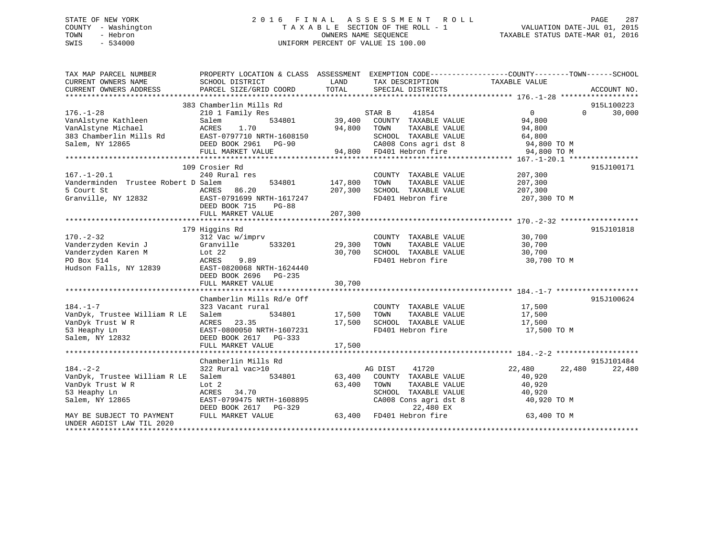# STATE OF NEW YORK 2 0 1 6 F I N A L A S S E S S M E N T R O L L PAGE 287COUNTY - Washington  $T A X A B L E$  SECTION OF THE ROLL - 1<br>TOWN - Hebron DATE-JUL 000NERS NAME SEQUENCE SWIS - 534000 UNIFORM PERCENT OF VALUE IS 100.00

TAXABLE STATUS DATE-MAR 01, 2016

| TAX MAP PARCEL NUMBER               |                                    |         |                                                   | PROPERTY LOCATION & CLASS ASSESSMENT EXEMPTION CODE--------------COUNTY-------TOWN-----SCHOOL                                                                                                                            |            |
|-------------------------------------|------------------------------------|---------|---------------------------------------------------|--------------------------------------------------------------------------------------------------------------------------------------------------------------------------------------------------------------------------|------------|
| CURRENT OWNERS NAME                 | SCHOOL DISTRICT                    | LAND    | TAX DESCRIPTION                                   | TAXABLE VALUE                                                                                                                                                                                                            |            |
|                                     |                                    |         |                                                   |                                                                                                                                                                                                                          |            |
|                                     | 383 Chamberlin Mills Rd            |         |                                                   |                                                                                                                                                                                                                          | 915L100223 |
| $176. - 1 - 28$                     | 210 1 Family Res                   |         | STAR B<br>41854                                   | $\Omega$<br>$\overline{0}$                                                                                                                                                                                               | 30,000     |
| VanAlstyne Kathleen                 | Salem<br>534801                    |         | 39,400 COUNTY TAXABLE VALUE                       | 94,800                                                                                                                                                                                                                   |            |
| VanAlstyne Michael                  | ACRES<br>1.70                      | 94,800  | TOWN<br>TAXABLE VALUE                             | 94,800                                                                                                                                                                                                                   |            |
| 383 Chamberlin Mills Rd             | EAST-0797710 NRTH-1608150          |         |                                                   |                                                                                                                                                                                                                          |            |
| Salem, NY 12865                     | DEED BOOK 2961 PG-90               |         |                                                   | $\begin{tabular}{lllllllll} \texttt{SCHOOL} & \texttt{TAXABLE} & \texttt{VALUE} & \texttt{64,800} \\ \texttt{CA008} & \texttt{Cons}\ \texttt{agri}\ \texttt{dst}\ 8 & & & 94,800\ \texttt{TO}\ \texttt{M} \end{tabular}$ |            |
|                                     | FULL MARKET VALUE                  |         | CA008 Cons agri dst 8<br>94,800 FD401 Hebron fire | 94,800 TO M                                                                                                                                                                                                              |            |
|                                     |                                    |         |                                                   |                                                                                                                                                                                                                          |            |
|                                     | 109 Crosier Rd                     |         |                                                   |                                                                                                                                                                                                                          | 915J100171 |
| $167. - 1 - 20.1$                   | 240 Rural res                      |         | COUNTY TAXABLE VALUE                              | 207,300                                                                                                                                                                                                                  |            |
| Vanderminden Trustee Robert D Salem | 534801                             | 147,800 | TOWN<br>TAXABLE VALUE                             | 207,300                                                                                                                                                                                                                  |            |
| 5 Court St                          | 86.20<br>ACRES                     | 207,300 | SCHOOL TAXABLE VALUE                              | 207,300                                                                                                                                                                                                                  |            |
| Granville, NY 12832                 | EAST-0791699 NRTH-1617247          |         | FD401 Hebron fire                                 | 207,300 TO M                                                                                                                                                                                                             |            |
|                                     | DEED BOOK 715<br>PG-88             |         |                                                   |                                                                                                                                                                                                                          |            |
|                                     | FULL MARKET VALUE                  | 207,300 |                                                   |                                                                                                                                                                                                                          |            |
|                                     |                                    |         |                                                   |                                                                                                                                                                                                                          |            |
|                                     | 179 Higgins Rd                     |         |                                                   |                                                                                                                                                                                                                          | 915J101818 |
| $170. - 2 - 32$                     | 312 Vac w/imprv                    |         | COUNTY TAXABLE VALUE                              | 30,700                                                                                                                                                                                                                   |            |
| Vanderzyden Kevin J                 | 533201<br>Granville                | 29,300  | TOWN<br>TAXABLE VALUE                             | 30,700                                                                                                                                                                                                                   |            |
| Vanderzyden Karen M                 | Lot 22                             | 30,700  | SCHOOL TAXABLE VALUE                              | 30,700                                                                                                                                                                                                                   |            |
| PO Box 514                          | ACRES<br>9.89                      |         | FD401 Hebron fire                                 | 30,700 TO M                                                                                                                                                                                                              |            |
| Hudson Falls, NY 12839              | EAST-0820068 NRTH-1624440          |         |                                                   |                                                                                                                                                                                                                          |            |
|                                     | DEED BOOK 2696 PG-235              |         |                                                   |                                                                                                                                                                                                                          |            |
|                                     | FULL MARKET VALUE                  | 30,700  |                                                   |                                                                                                                                                                                                                          |            |
|                                     |                                    |         |                                                   |                                                                                                                                                                                                                          |            |
|                                     | Chamberlin Mills Rd/e Off          |         |                                                   |                                                                                                                                                                                                                          | 915J100624 |
| $184. - 1 - 7$                      | 323 Vacant rural                   |         | COUNTY TAXABLE VALUE 17,500                       |                                                                                                                                                                                                                          |            |
| VanDyk, Trustee William R LE        | 534801<br>Salem<br>23.35           | 17,500  | TOWN<br>TAXABLE VALUE                             |                                                                                                                                                                                                                          |            |
| VanDyk Trust W R<br>53 Heaphy Ln    | ACRES<br>EAST-0800050 NRTH-1607231 | 17,500  | SCHOOL TAXABLE VALUE<br>FD401 Hebron fire         | $\frac{1}{17}, \frac{500}{500}$<br>17,500 TO M                                                                                                                                                                           |            |
| Salem, NY 12832                     | DEED BOOK 2617 PG-333              |         |                                                   |                                                                                                                                                                                                                          |            |
|                                     | FULL MARKET VALUE                  | 17,500  |                                                   |                                                                                                                                                                                                                          |            |
|                                     |                                    |         |                                                   |                                                                                                                                                                                                                          |            |
|                                     | Chamberlin Mills Rd                |         |                                                   |                                                                                                                                                                                                                          | 915J101484 |
| $184. - 2 - 2$                      | 322 Rural vac>10                   |         | 41720<br>AG DIST                                  | 22,480<br>22,480                                                                                                                                                                                                         | 22,480     |
| VanDyk, Trustee William R LE        | Salem<br>534801                    | 63,400  | COUNTY TAXABLE VALUE                              | 40,920                                                                                                                                                                                                                   |            |
| VanDyk Trust W R                    | Lot 2                              | 63,400  | TOWN<br>TAXABLE VALUE                             | 40,920                                                                                                                                                                                                                   |            |
| 53 Heaphy Ln                        | ACRES<br>34.70                     |         | SCHOOL TAXABLE VALUE                              | 40,920                                                                                                                                                                                                                   |            |
| Salem, NY 12865                     | EAST-0799475 NRTH-1608895          |         | CA008 Cons agri dst 8                             | 40,920 TO M                                                                                                                                                                                                              |            |
|                                     | DEED BOOK 2617 PG-329              |         | 22,480 EX                                         |                                                                                                                                                                                                                          |            |
| MAY BE SUBJECT TO PAYMENT           | FULL MARKET VALUE                  |         | 63,400 FD401 Hebron fire                          | 63,400 TO M                                                                                                                                                                                                              |            |
| UNDER AGDIST LAW TIL 2020           |                                    |         |                                                   |                                                                                                                                                                                                                          |            |
|                                     |                                    |         |                                                   |                                                                                                                                                                                                                          |            |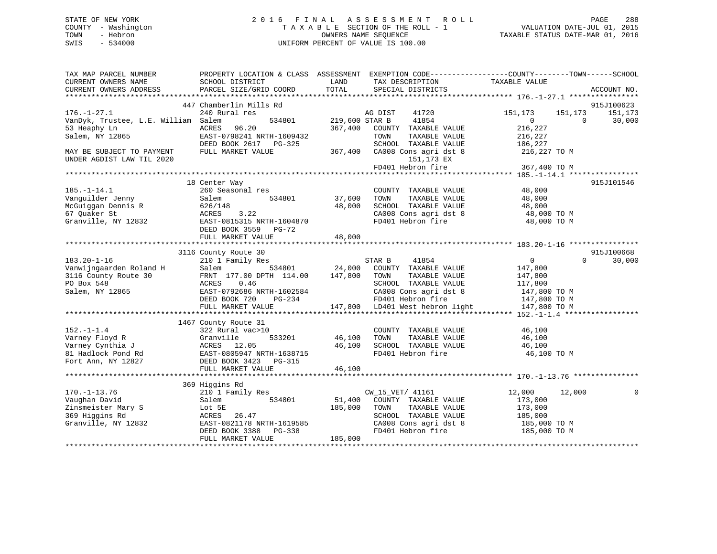# STATE OF NEW YORK 2 0 1 6 F I N A L A S S E S S M E N T R O L L PAGE 288 COUNTY - Washington T A X A B L E SECTION OF THE ROLL - 1 VALUATION DATE-JUL 01, 2015 TOWN - Hebron OWNERS NAME SEQUENCE TAXABLE STATUS DATE-MAR 01, 2016 SWIS - 534000 UNIFORM PERCENT OF VALUE IS 100.00

| TAX MAP PARCEL NUMBER<br>CURRENT OWNERS NAME<br>CURRENT OWNERS ADDRESS                                                                                                              | SCHOOL DISTRICT<br>PARCEL SIZE/GRID COORD                               | LAND<br>TOTAL         | TAX DESCRIPTION<br>SPECIAL DISTRICTS                                                                                                                                                                                                                                                                                                                                                                   | PROPERTY LOCATION & CLASS ASSESSMENT EXEMPTION CODE---------------COUNTY-------TOWN-----SCHOOL<br>TAXABLE VALUE | ACCOUNT NO. |
|-------------------------------------------------------------------------------------------------------------------------------------------------------------------------------------|-------------------------------------------------------------------------|-----------------------|--------------------------------------------------------------------------------------------------------------------------------------------------------------------------------------------------------------------------------------------------------------------------------------------------------------------------------------------------------------------------------------------------------|-----------------------------------------------------------------------------------------------------------------|-------------|
|                                                                                                                                                                                     |                                                                         |                       |                                                                                                                                                                                                                                                                                                                                                                                                        |                                                                                                                 |             |
|                                                                                                                                                                                     | 447 Chamberlin Mills Rd                                                 |                       |                                                                                                                                                                                                                                                                                                                                                                                                        |                                                                                                                 | 915J100623  |
| $176. - 1 - 27.1$                                                                                                                                                                   | 240 Rural res                                                           |                       | 41720<br>AG DIST                                                                                                                                                                                                                                                                                                                                                                                       | 151,173<br>151,173                                                                                              | 151,173     |
| VanDyk, Trustee, L.E. William Salem                                                                                                                                                 |                                                                         | 534801 219,600 STAR B | 41854                                                                                                                                                                                                                                                                                                                                                                                                  | $\overline{0}$<br>$\Omega$                                                                                      | 30,000      |
| 53 Heaphy Ln                                                                                                                                                                        | ACRES 96.20                                                             |                       | 367,400 COUNTY TAXABLE VALUE                                                                                                                                                                                                                                                                                                                                                                           | 216,227                                                                                                         |             |
| Salem, NY 12865                                                                                                                                                                     | EAST-0798241 NRTH-1609432                                               |                       | TAXABLE VALUE<br>TOWN                                                                                                                                                                                                                                                                                                                                                                                  | 216,227                                                                                                         |             |
|                                                                                                                                                                                     | DEED BOOK 2617 PG-325                                                   |                       | -325<br>367,400 CA008 Cons agri dst 8<br>216,227 TO M                                                                                                                                                                                                                                                                                                                                                  |                                                                                                                 |             |
| MAY BE SUBJECT TO PAYMENT<br>UNDER AGDIST LAW TIL 2020                                                                                                                              | FULL MARKET VALUE                                                       |                       | 151,173 EX<br>151,173 EX<br>FD401 Hebron fire                                                                                                                                                                                                                                                                                                                                                          |                                                                                                                 |             |
|                                                                                                                                                                                     |                                                                         |                       |                                                                                                                                                                                                                                                                                                                                                                                                        | 367,400 TO M                                                                                                    |             |
|                                                                                                                                                                                     |                                                                         |                       |                                                                                                                                                                                                                                                                                                                                                                                                        |                                                                                                                 |             |
|                                                                                                                                                                                     | 18 Center Way                                                           |                       |                                                                                                                                                                                                                                                                                                                                                                                                        |                                                                                                                 | 915J101546  |
| $185. - 1 - 14.1$                                                                                                                                                                   | 260 Seasonal res                                                        | 37,600                | $\begin{tabular}{lllllllll} \multicolumn{2}{c}{\textbf{COUNTY}} & \textbf{TXABLE VALUE} & & & \textbf{48,000} \\ \multicolumn{2}{c}{\textbf{TOWN}} & \textbf{TXABLE VALUE} & & & \textbf{48,000} \end{tabular}$                                                                                                                                                                                        |                                                                                                                 |             |
| Vanguilder Jenny                                                                                                                                                                    | 534801<br>Salem                                                         |                       |                                                                                                                                                                                                                                                                                                                                                                                                        |                                                                                                                 |             |
| McGuiggan Dennis R<br>McGuiggan Dennis R<br>17 Oueker St                                                                                                                            | 626/148                                                                 | 48,000                | SCHOOL TAXABLE VALUE 48,000<br>CA008 Cons agri dst 8 48,000 TO M<br>FD401 Hebron fire 48,000 TO M                                                                                                                                                                                                                                                                                                      |                                                                                                                 |             |
|                                                                                                                                                                                     | 3.22<br>ACRES                                                           |                       |                                                                                                                                                                                                                                                                                                                                                                                                        |                                                                                                                 |             |
| Granville, NY 12832 EAST-0815315 NRTH-1604870                                                                                                                                       |                                                                         |                       |                                                                                                                                                                                                                                                                                                                                                                                                        |                                                                                                                 |             |
|                                                                                                                                                                                     | DEED BOOK 3559 PG-72                                                    |                       |                                                                                                                                                                                                                                                                                                                                                                                                        |                                                                                                                 |             |
|                                                                                                                                                                                     | FULL MARKET VALUE                                                       | 48,000                |                                                                                                                                                                                                                                                                                                                                                                                                        |                                                                                                                 |             |
|                                                                                                                                                                                     |                                                                         |                       |                                                                                                                                                                                                                                                                                                                                                                                                        |                                                                                                                 |             |
|                                                                                                                                                                                     | 3116 County Route 30                                                    |                       |                                                                                                                                                                                                                                                                                                                                                                                                        | $\cap$                                                                                                          | 915J100668  |
| $183.20 - 1 - 16$                                                                                                                                                                   | 210 1 Family Res                                                        |                       | STAR B<br>41854                                                                                                                                                                                                                                                                                                                                                                                        | $\overline{0}$                                                                                                  | 30,000      |
| Vanwijngaarden Roland H 21. 1991 - 1992<br>3116 County Route 30 FRNT 177.00 DPTH 114.00 147,800 TOWN<br>PO Box 548 ACRES 0.46 SCHOC Salem, NY 12865 EAST-0792686 NRTH-1602584 CA008 |                                                                         |                       | 534801 24,000 COUNTY TAXABLE VALUE 147,800<br>TAXABLE VALUE                                                                                                                                                                                                                                                                                                                                            |                                                                                                                 |             |
|                                                                                                                                                                                     |                                                                         |                       |                                                                                                                                                                                                                                                                                                                                                                                                        | 147,800<br>117,800                                                                                              |             |
|                                                                                                                                                                                     | EAST-0792686 NRTH-1602584<br>DRED BOOK 700                              |                       | SCHOOL TAXABLE VALUE                                                                                                                                                                                                                                                                                                                                                                                   |                                                                                                                 |             |
|                                                                                                                                                                                     |                                                                         |                       | CA008 Cons agri dst 8 147,800 TO M<br>FD401 Hebron fire 147,800 TO M                                                                                                                                                                                                                                                                                                                                   |                                                                                                                 |             |
|                                                                                                                                                                                     | DEED BOOK $720$ PG-234<br>FULL MARKET VALUE                             |                       | 147,800 LD401 West hebron light 147,800 TO M                                                                                                                                                                                                                                                                                                                                                           |                                                                                                                 |             |
|                                                                                                                                                                                     |                                                                         |                       |                                                                                                                                                                                                                                                                                                                                                                                                        |                                                                                                                 |             |
|                                                                                                                                                                                     | 1467 County Route 31                                                    |                       |                                                                                                                                                                                                                                                                                                                                                                                                        |                                                                                                                 |             |
| $152. - 1 - 1.4$                                                                                                                                                                    | 322 Rural vac>10                                                        |                       | COUNTY TAXABLE VALUE                                                                                                                                                                                                                                                                                                                                                                                   | 46,100                                                                                                          |             |
|                                                                                                                                                                                     |                                                                         | 533201 46,100         |                                                                                                                                                                                                                                                                                                                                                                                                        |                                                                                                                 |             |
|                                                                                                                                                                                     |                                                                         | 46,100                | TOWN      TAXABLE VALUE<br>SCHOOL   TAXABLE VALUE                                                                                                                                                                                                                                                                                                                                                      | 46,⊥∪∪<br>46,100                                                                                                |             |
| varney Floyd R<br>Varney Cynthia J<br>81 Hodis I                                                                                                                                    |                                                                         |                       | FD401 Hebron fire                                                                                                                                                                                                                                                                                                                                                                                      | 46,100 TO M                                                                                                     |             |
|                                                                                                                                                                                     |                                                                         |                       |                                                                                                                                                                                                                                                                                                                                                                                                        |                                                                                                                 |             |
|                                                                                                                                                                                     | FULL MARKET VALUE                                                       | 46,100                |                                                                                                                                                                                                                                                                                                                                                                                                        |                                                                                                                 |             |
|                                                                                                                                                                                     |                                                                         |                       |                                                                                                                                                                                                                                                                                                                                                                                                        |                                                                                                                 |             |
|                                                                                                                                                                                     | 369 Higgins Rd                                                          |                       |                                                                                                                                                                                                                                                                                                                                                                                                        |                                                                                                                 |             |
| $170. - 1 - 13.76$                                                                                                                                                                  | 210 1 Family Res                                                        |                       | CW_15_VET/ 41161                                                                                                                                                                                                                                                                                                                                                                                       | 12,000<br>12,000                                                                                                | 0           |
| Vaughan David                                                                                                                                                                       | 534801<br>Salem                                                         | 51,400                | COUNTY TAXABLE VALUE                                                                                                                                                                                                                                                                                                                                                                                   | 173,000                                                                                                         |             |
|                                                                                                                                                                                     | Lot 5E                                                                  | 185,000               | TAXABLE VALUE<br>TOWN                                                                                                                                                                                                                                                                                                                                                                                  | 173,000                                                                                                         |             |
| Zinsmeister Mary S<br>369 Higgins Rd                                                                                                                                                | ACRES<br>26.47                                                          |                       | SCHOOL TAXABLE VALUE 185,000                                                                                                                                                                                                                                                                                                                                                                           |                                                                                                                 |             |
| Granville, NY 12832                                                                                                                                                                 |                                                                         |                       |                                                                                                                                                                                                                                                                                                                                                                                                        |                                                                                                                 |             |
|                                                                                                                                                                                     | EAST-0821178 NRTH-1619585<br>DEED BOOK 3388 PG-338<br>FULL MADEDE VILLE |                       | $\begin{array}{llllll} \texttt{CA008} & \texttt{Cons}\ \texttt{agri}\ \texttt{dst}\ 8 & & & \texttt{185,000}\ \texttt{FD401} & \texttt{Hebron}\ \texttt{fire} & & & \texttt{185,000}\ \texttt{TO401} & & & \texttt{188,000}\ \texttt{TO401} & & & \texttt{188,000}\ \texttt{TO401} & & & \texttt{188,000}\ \texttt{TO402} & & & \texttt{188,000}\ \texttt{TO403} & & & \texttt{188,000}\ \texttt{TO40$ |                                                                                                                 |             |
|                                                                                                                                                                                     | FULL MARKET VALUE                                                       | 185,000               |                                                                                                                                                                                                                                                                                                                                                                                                        |                                                                                                                 |             |
|                                                                                                                                                                                     |                                                                         |                       |                                                                                                                                                                                                                                                                                                                                                                                                        |                                                                                                                 |             |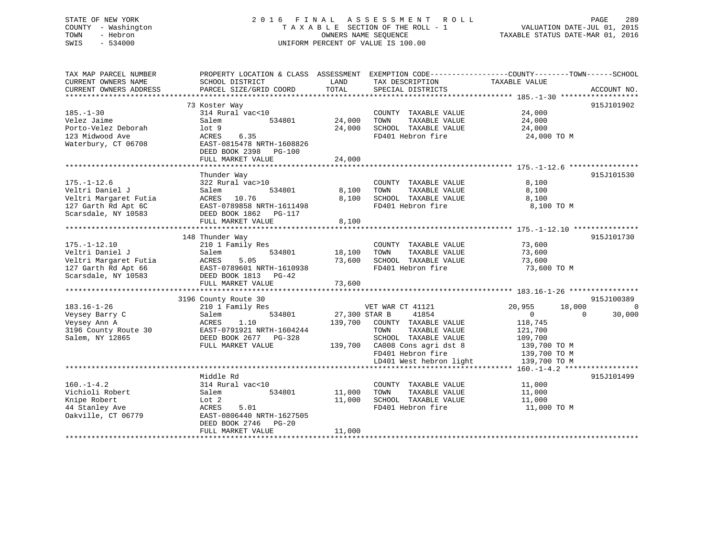# STATE OF NEW YORK 2 0 1 6 F I N A L A S S E S S M E N T R O L L PAGE 289 COUNTY - Washington T A X A B L E SECTION OF THE ROLL - 1 VALUATION DATE-JUL 01, 2015 TOWN - Hebron OWNERS NAME SEQUENCE TAXABLE STATUS DATE-MAR 01, 2016 SWIS - 534000 UNIFORM PERCENT OF VALUE IS 100.00

TAX MAP PARCEL NUMBER PROPERTY LOCATION & CLASS ASSESSMENT EXEMPTION CODE------------------COUNTY--------TOWN------SCHOOL CURRENT OWNERS NAME SCHOOL DISTRICT LAND TAX DESCRIPTION TAXABLE VALUE CURRENT OWNERS ADDRESS PARCEL SIZE/GRID COORD TOTAL SPECIAL DISTRICTS ACCOUNT NO. \*\*\*\*\*\*\*\*\*\*\*\*\*\*\*\*\*\*\*\*\*\*\*\*\*\*\*\*\*\*\*\*\*\*\*\*\*\*\*\*\*\*\*\*\*\*\*\*\*\*\*\*\*\*\*\*\*\*\*\*\*\*\*\*\*\*\*\*\*\*\*\*\*\*\*\*\*\*\*\*\*\*\*\*\*\*\*\*\*\*\*\*\*\*\*\*\*\*\*\*\*\*\* 185.-1-30 \*\*\*\*\*\*\*\*\*\*\*\*\*\*\*\*\*\* 73 Koster Way 915J101902 185.-1-30 314 Rural vac<10 COUNTY TAXABLE VALUE 24,000 Velez Jaime Salem 534801 24,000 TOWN TAXABLE VALUE 24,000 Porto-Velez Deborah lot 9 24,000 SCHOOL TAXABLE VALUE 24,000 123 Midwood Ave ACRES 6.35 FD401 Hebron fire 24,000 TO M Waterbury, CT 06708 EAST-0815478 NRTH-1608826 DEED BOOK 2398 PG-100 FULL MARKET VALUE 24,000 \*\*\*\*\*\*\*\*\*\*\*\*\*\*\*\*\*\*\*\*\*\*\*\*\*\*\*\*\*\*\*\*\*\*\*\*\*\*\*\*\*\*\*\*\*\*\*\*\*\*\*\*\*\*\*\*\*\*\*\*\*\*\*\*\*\*\*\*\*\*\*\*\*\*\*\*\*\*\*\*\*\*\*\*\*\*\*\*\*\*\*\*\*\*\*\*\*\*\*\*\*\*\* 175.-1-12.6 \*\*\*\*\*\*\*\*\*\*\*\*\*\*\*\* Thunder Way 915J101530 175.-1-12.6 322 Rural vac>10 COUNTY TAXABLE VALUE 8,100 Veltri Daniel J Salem 534801 8,100 TOWN TAXABLE VALUE 8,100 Veltri Margaret Futia ACRES 10.76 8,100 SCHOOL TAXABLE VALUE 8,100 127 Garth Rd Apt 6C EAST-0789858 NRTH-1611498 FD401 Hebron fire 8,100 TO M Scarsdale, NY 10583 DEED BOOK 1862 PG-117 FULL MARKET VALUE 8,100 \*\*\*\*\*\*\*\*\*\*\*\*\*\*\*\*\*\*\*\*\*\*\*\*\*\*\*\*\*\*\*\*\*\*\*\*\*\*\*\*\*\*\*\*\*\*\*\*\*\*\*\*\*\*\*\*\*\*\*\*\*\*\*\*\*\*\*\*\*\*\*\*\*\*\*\*\*\*\*\*\*\*\*\*\*\*\*\*\*\*\*\*\*\*\*\*\*\*\*\*\*\*\* 175.-1-12.10 \*\*\*\*\*\*\*\*\*\*\*\*\*\*\* 148 Thunder Way 915J101730 175.-1-12.10 210 1 Family Res COUNTY TAXABLE VALUE 73,600 Veltri Daniel J Salem 534801 18,100 TOWN TAXABLE VALUE 73,600 Veltri Margaret Futia ACRES 5.05 73,600 SCHOOL TAXABLE VALUE 73,600 127 Garth Rd Apt 66 EAST-0789601 NRTH-1610938 FD401 Hebron fire 73,600 TO M Scarsdale, NY 10583 DEED BOOK 1813 PG-42 FULL MARKET VALUE 73,600 \*\*\*\*\*\*\*\*\*\*\*\*\*\*\*\*\*\*\*\*\*\*\*\*\*\*\*\*\*\*\*\*\*\*\*\*\*\*\*\*\*\*\*\*\*\*\*\*\*\*\*\*\*\*\*\*\*\*\*\*\*\*\*\*\*\*\*\*\*\*\*\*\*\*\*\*\*\*\*\*\*\*\*\*\*\*\*\*\*\*\*\*\*\*\*\*\*\*\*\*\*\*\* 183.16-1-26 \*\*\*\*\*\*\*\*\*\*\*\*\*\*\*\*915J100389 3196 County Route 30 915J100389 183.16-1-26 210 1 Family Res VET WAR CT 41121 20,955 18,000 0 Veysey Barry C Salem 534801 27,300 STAR B 41854 0 0 30,000 Veysey Ann A ACRES 1.10 139,700 COUNTY TAXABLE VALUE 118,745 3196 County Route 30 EAST-0791921 NRTH-1604244 TOWN TAXABLE VALUE 121,700 Salem, NY 12865 DEED BOOK 2677 PG-328 SCHOOL TAXABLE VALUE 109,700 FULL MARKET VALUE 139,700 CA008 Cons agri dst 8 139,700 TO M FD401 Hebron fire 139,700 TO M LD401 West hebron light 139,700 TO M \*\*\*\*\*\*\*\*\*\*\*\*\*\*\*\*\*\*\*\*\*\*\*\*\*\*\*\*\*\*\*\*\*\*\*\*\*\*\*\*\*\*\*\*\*\*\*\*\*\*\*\*\*\*\*\*\*\*\*\*\*\*\*\*\*\*\*\*\*\*\*\*\*\*\*\*\*\*\*\*\*\*\*\*\*\*\*\*\*\*\*\*\*\*\*\*\*\*\*\*\*\*\* 160.-1-4.2 \*\*\*\*\*\*\*\*\*\*\*\*\*\*\*\*\* Middle Rd 915J101499160.-1-4.2 314 Rural vac<10 COUNTY TAXABLE VALUE 11,000 Vichioli Robert Salem 534801 11,000 TOWN TAXABLE VALUE 11,000 Knipe Robert Lot 2 11,000 SCHOOL TAXABLE VALUE 11,000 44 Stanley Ave ACRES 5.01 FD401 Hebron fire 11,000 TO M Oakville, CT 06779 EAST-0806440 NRTH-1627505 DEED BOOK 2746 PG-20FULL MARKET VALUE 11,000 \*\*\*\*\*\*\*\*\*\*\*\*\*\*\*\*\*\*\*\*\*\*\*\*\*\*\*\*\*\*\*\*\*\*\*\*\*\*\*\*\*\*\*\*\*\*\*\*\*\*\*\*\*\*\*\*\*\*\*\*\*\*\*\*\*\*\*\*\*\*\*\*\*\*\*\*\*\*\*\*\*\*\*\*\*\*\*\*\*\*\*\*\*\*\*\*\*\*\*\*\*\*\*\*\*\*\*\*\*\*\*\*\*\*\*\*\*\*\*\*\*\*\*\*\*\*\*\*\*\*\*\*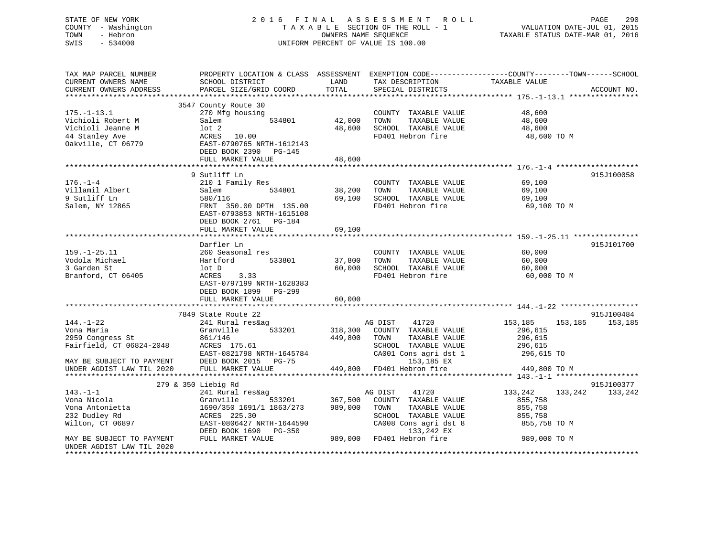# STATE OF NEW YORK 2 0 1 6 F I N A L A S S E S S M E N T R O L L PAGE 290 COUNTY - Washington T A X A B L E SECTION OF THE ROLL - 1 VALUATION DATE-JUL 01, 2015 TOWN - Hebron OWNERS NAME SEQUENCE TAXABLE STATUS DATE-MAR 01, 2016 SWIS - 534000 UNIFORM PERCENT OF VALUE IS 100.00

| TAX MAP PARCEL NUMBER     |                                                                                                                            |               |                              | PROPERTY LOCATION & CLASS ASSESSMENT EXEMPTION CODE----------------COUNTY-------TOWN------SCHOOL |  |
|---------------------------|----------------------------------------------------------------------------------------------------------------------------|---------------|------------------------------|--------------------------------------------------------------------------------------------------|--|
| CURRENT OWNERS NAME       | SCHOOL DISTRICT                                                                                                            | LAND          | TAX DESCRIPTION              | TAXABLE VALUE                                                                                    |  |
| CURRENT OWNERS ADDRESS    | PARCEL SIZE/GRID COORD                                                                                                     | TOTAL         | SPECIAL DISTRICTS            | ACCOUNT NO.                                                                                      |  |
|                           |                                                                                                                            |               |                              |                                                                                                  |  |
|                           | 3547 County Route 30                                                                                                       |               |                              |                                                                                                  |  |
| $175. - 1 - 13.1$         | 270 Mfg housing                                                                                                            |               | COUNTY TAXABLE VALUE         | 48,600                                                                                           |  |
| Vichioli Robert M         | 534801<br>Salem                                                                                                            | 42,000        | TAXABLE VALUE<br>TOWN        | 48,600                                                                                           |  |
| Vichioli Jeanne M         | $1$ ot $2$                                                                                                                 | 48,600        | SCHOOL TAXABLE VALUE         | 48,600                                                                                           |  |
| 44 Stanley Ave            | ACRES 10.00                                                                                                                |               | FD401 Hebron fire            | 48,600 TO M                                                                                      |  |
| Oakville, CT 06779        | EAST-0790765 NRTH-1612143                                                                                                  |               |                              |                                                                                                  |  |
|                           |                                                                                                                            |               |                              |                                                                                                  |  |
|                           | DEED BOOK 2390 PG-145                                                                                                      |               |                              |                                                                                                  |  |
|                           | FULL MARKET VALUE                                                                                                          | 48,600        |                              |                                                                                                  |  |
|                           |                                                                                                                            |               |                              |                                                                                                  |  |
|                           | 9 Sutliff Ln                                                                                                               |               |                              | 915J100058                                                                                       |  |
| $176. - 1 - 4$            | 210 1 Family Res                                                                                                           |               | COUNTY TAXABLE VALUE         | 69,100                                                                                           |  |
| Villamil Albert           | 534801<br>Salem                                                                                                            | 38,200        | TOWN<br>TAXABLE VALUE        | 69,100                                                                                           |  |
| 9 Sutliff Ln              | 580/116                                                                                                                    | 69,100        | SCHOOL TAXABLE VALUE         | 69,100                                                                                           |  |
| Salem, NY 12865           | FRNT 350.00 DPTH 135.00                                                                                                    |               | FD401 Hebron fire            | 69,100 TO M                                                                                      |  |
|                           | EAST-0793853 NRTH-1615108                                                                                                  |               |                              |                                                                                                  |  |
|                           | DEED BOOK 2761 PG-184                                                                                                      |               |                              |                                                                                                  |  |
|                           | FULL MARKET VALUE                                                                                                          | 69,100        |                              |                                                                                                  |  |
|                           |                                                                                                                            |               |                              |                                                                                                  |  |
|                           | Darfler Ln                                                                                                                 |               |                              | 915J101700                                                                                       |  |
| $159. - 1 - 25.11$        | 260 Seasonal res                                                                                                           |               | COUNTY TAXABLE VALUE         | 60,000                                                                                           |  |
| Vodola Michael            | Hartford                                                                                                                   | 533801 37,800 | TAXABLE VALUE<br>TOWN        | 60,000                                                                                           |  |
| 3 Garden St               | lot D                                                                                                                      | 60,000        | SCHOOL TAXABLE VALUE         | 60,000                                                                                           |  |
| Branford, CT 06405        | ACRES<br>3.33                                                                                                              |               | FD401 Hebron fire            | 60,000 TO M                                                                                      |  |
|                           | EAST-0797199 NRTH-1628383                                                                                                  |               |                              |                                                                                                  |  |
|                           | DEED BOOK 1899<br>PG-299                                                                                                   |               |                              |                                                                                                  |  |
|                           | FULL MARKET VALUE                                                                                                          | 60,000        |                              |                                                                                                  |  |
|                           |                                                                                                                            |               |                              |                                                                                                  |  |
|                           |                                                                                                                            |               |                              |                                                                                                  |  |
|                           | 7849 State Route 22                                                                                                        |               |                              | 915J100484                                                                                       |  |
| $144. - 1 - 22$           | 241 Rural res&ag                                                                                                           |               | AG DIST<br>41720             | 153,185 153,185 153,185                                                                          |  |
| Vona Maria                | Granville 533201                                                                                                           |               | 318,300 COUNTY TAXABLE VALUE | 296,615                                                                                          |  |
| 2959 Congress St          | 861/146                                                                                                                    | 449,800       | TOWN<br>TAXABLE VALUE        | 296,615                                                                                          |  |
| Fairfield, CT 06824-2048  | ACRES 175.61                                                                                                               |               | SCHOOL TAXABLE VALUE         | 296,615                                                                                          |  |
|                           | EAST-0821798 NRTH-1645784                                                                                                  |               | CA001 Cons agri dst 1        | 296,615 TO                                                                                       |  |
|                           |                                                                                                                            |               | 153,185 EX                   |                                                                                                  |  |
|                           | EAST-0821798 NRTH-1645784<br>MAY BE SUBJECT TO PAYMENT DEED BOOK 2015 PG-75<br>UNDER AGDIST LAW TIL 2020 FULL MARKET VALUE |               | 449,800 FD401 Hebron fire    | 449,800 TO M                                                                                     |  |
|                           |                                                                                                                            |               |                              |                                                                                                  |  |
|                           | 279 & 350 Liebig Rd                                                                                                        |               |                              | 915J100377                                                                                       |  |
| $143. - 1 - 1$            | 241 Rural res&ag                                                                                                           |               | AG DIST<br>41720             | 133,242<br>133, 242 133, 242                                                                     |  |
| Vona Nicola               | Granville<br>533201                                                                                                        | 367,500       | COUNTY TAXABLE VALUE         | 855,758                                                                                          |  |
| Vona Antonietta           | 1690/350 1691/1 1863/273                                                                                                   | 989,000       | TOWN<br>TAXABLE VALUE        | 855,758                                                                                          |  |
| 232 Dudley Rd             | ACRES 225.30                                                                                                               |               | SCHOOL TAXABLE VALUE         | 855,758                                                                                          |  |
| Wilton, CT 06897          | EAST-0806427 NRTH-1644590                                                                                                  |               | CA008 Cons agri dst 8        | 855,758 TO M                                                                                     |  |
|                           | DEED BOOK 1690 PG-350                                                                                                      |               | 133,242 EX                   |                                                                                                  |  |
| MAY BE SUBJECT TO PAYMENT | FULL MARKET VALUE                                                                                                          |               | 989,000 FD401 Hebron fire    | 989,000 TO M                                                                                     |  |
|                           |                                                                                                                            |               |                              |                                                                                                  |  |
| UNDER AGDIST LAW TIL 2020 |                                                                                                                            |               |                              |                                                                                                  |  |
|                           |                                                                                                                            |               |                              |                                                                                                  |  |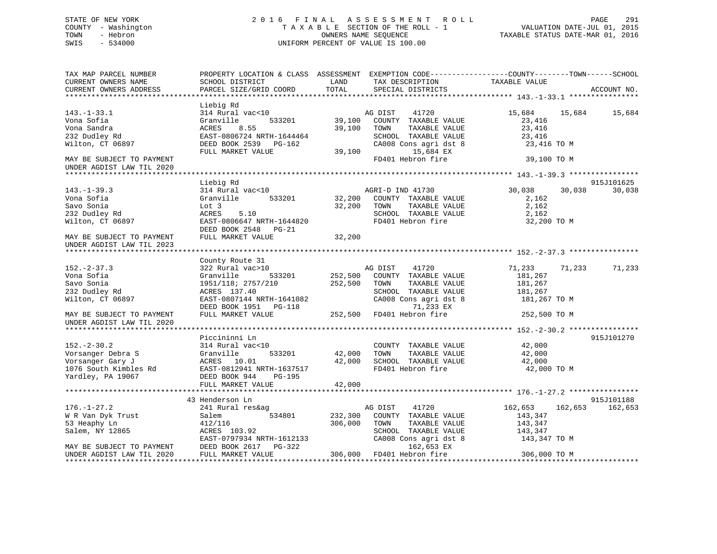# STATE OF NEW YORK 2 0 1 6 F I N A L A S S E S S M E N T R O L L PAGE 291 COUNTY - Washington T A X A B L E SECTION OF THE ROLL - 1 VALUATION DATE-JUL 01, 2015 TOWN - Hebron OWNERS NAME SEQUENCE TAXABLE STATUS DATE-MAR 01, 2016 SWIS - 534000 UNIFORM PERCENT OF VALUE IS 100.00

| TAX MAP PARCEL NUMBER<br>CURRENT OWNERS NAME                                                                                                                                       | PROPERTY LOCATION & CLASS ASSESSMENT EXEMPTION CODE----------------COUNTY-------TOWN-----SCHOOL<br>SCHOOL DISTRICT | LAND                   | TAX DESCRIPTION                    | TAXABLE VALUE           |         |             |
|------------------------------------------------------------------------------------------------------------------------------------------------------------------------------------|--------------------------------------------------------------------------------------------------------------------|------------------------|------------------------------------|-------------------------|---------|-------------|
| CURRENT OWNERS ADDRESS                                                                                                                                                             | PARCEL SIZE/GRID COORD                                                                                             | TOTAL                  | SPECIAL DISTRICTS                  |                         |         | ACCOUNT NO. |
|                                                                                                                                                                                    | Liebig Rd                                                                                                          |                        |                                    |                         |         |             |
| $143. - 1 - 33.1$                                                                                                                                                                  | 314 Rural vac<10                                                                                                   |                        | AG DIST<br>41720                   | 15,684 15,684           |         | 15,684      |
| Vona Sofia                                                                                                                                                                         | Granville<br>533201                                                                                                |                        | 39,100 COUNTY TAXABLE VALUE        | 23,416                  |         |             |
| Vona Sandra                                                                                                                                                                        | 8.55<br>ACRES                                                                                                      | 39,100                 | TOWN<br>TAXABLE VALUE              | 23,416                  |         |             |
| 232 Dudley Rd                                                                                                                                                                      | EAST-0806724 NRTH-1644464                                                                                          |                        | SCHOOL TAXABLE VALUE               | 23,416                  |         |             |
| Wilton, CT 06897                                                                                                                                                                   | DEED BOOK 2539 PG-162                                                                                              |                        | CA008 Cons agri dst 8              | 23,416 TO M             |         |             |
|                                                                                                                                                                                    | FULL MARKET VALUE                                                                                                  | $\frac{2}{39,100}$ CAO | 15,684 EX                          |                         |         |             |
| MAY BE SUBJECT TO PAYMENT                                                                                                                                                          |                                                                                                                    |                        | FD401 Hebron fire                  | 39,100 TO M             |         |             |
| UNDER AGDIST LAW TIL 2020                                                                                                                                                          |                                                                                                                    |                        |                                    |                         |         |             |
|                                                                                                                                                                                    |                                                                                                                    |                        |                                    |                         |         |             |
|                                                                                                                                                                                    | Liebig Rd                                                                                                          |                        |                                    |                         |         | 915J101625  |
| $143. - 1 - 39.3$                                                                                                                                                                  | 314 Rural vac<10                                                                                                   |                        | AGRI-D IND 41730                   | 30,038                  | 30,038  | 30,038      |
| Vona Sofia                                                                                                                                                                         | Granville                                                                                                          |                        | 533201 32,200 COUNTY TAXABLE VALUE | 2,162                   |         |             |
| Savo Sonia                                                                                                                                                                         | Lot 3                                                                                                              | 32,200 TOWN            | TAXABLE VALUE                      | 2,162                   |         |             |
| 232 Dudley Rd                                                                                                                                                                      | <b>ACRES</b><br>5.10                                                                                               |                        | SCHOOL TAXABLE VALUE               | 2,162                   |         |             |
| Wilton, CT 06897                                                                                                                                                                   | EAST-0806647 NRTH-1644820                                                                                          |                        | FD401 Hebron fire                  | 32,200 TO M             |         |             |
|                                                                                                                                                                                    | DEED BOOK 2548 PG-21                                                                                               |                        |                                    |                         |         |             |
| MAY BE SUBJECT TO PAYMENT                                                                                                                                                          | FULL MARKET VALUE                                                                                                  | 32,200                 |                                    |                         |         |             |
| UNDER AGDIST LAW TIL 2023                                                                                                                                                          |                                                                                                                    |                        |                                    |                         |         |             |
|                                                                                                                                                                                    |                                                                                                                    |                        |                                    |                         |         |             |
|                                                                                                                                                                                    | County Route 31                                                                                                    |                        |                                    |                         |         |             |
| $152. - 2 - 37.3$                                                                                                                                                                  | 322 Rural vac>10                                                                                                   |                        | AG DIST<br>41720                   | 71,233                  | 71,233  | 71,233      |
| Vona Sofia                                                                                                                                                                         | 533201<br>Granville                                                                                                | 252,500                | COUNTY TAXABLE VALUE               | 181,267                 |         |             |
| Savo Sonia                                                                                                                                                                         | 1951/118; 2757/210                                                                                                 | 252,500                | TOWN<br>TAXABLE VALUE              | 181,267                 |         |             |
| 232 Dudley Rd                                                                                                                                                                      | ACRES 137.40                                                                                                       |                        | SCHOOL TAXABLE VALUE               | 181,267<br>181,267 TO M |         |             |
| Wilton, CT 06897                                                                                                                                                                   | EAST-0807144 NRTH-1641082                                                                                          |                        | CA008 Cons agri dst 8              |                         |         |             |
|                                                                                                                                                                                    | DEED BOOK 1951 PG-118                                                                                              |                        | 71,233 EX                          |                         |         |             |
| MAY BE SUBJECT TO PAYMENT                                                                                                                                                          | FULL MARKET VALUE                                                                                                  |                        | $252,500$ FD401 Hebron fire        | 252,500 TO M            |         |             |
| UNDER AGDIST LAW TIL 2020                                                                                                                                                          |                                                                                                                    |                        |                                    |                         |         |             |
|                                                                                                                                                                                    |                                                                                                                    |                        |                                    |                         |         |             |
|                                                                                                                                                                                    | Piccininni Ln                                                                                                      |                        |                                    |                         |         | 915J101270  |
|                                                                                                                                                                                    | 314 Rural vac<10                                                                                                   |                        | COUNTY TAXABLE VALUE 42,000        |                         |         |             |
|                                                                                                                                                                                    |                                                                                                                    | 42,000                 | TAXABLE VALUE<br>TOWN              | 42,000                  |         |             |
|                                                                                                                                                                                    |                                                                                                                    |                        | 42,000 SCHOOL TAXABLE VALUE        | 42,000                  |         |             |
| Vorsanger Debra S<br>Vorsanger Gary J<br>Vorsanger Gary J<br>1076 South Kimbles Rd<br>2007 1076 South Kimbles Rd<br>2007 2012941 NRTH-1637517<br>2014 2014 2015                    |                                                                                                                    |                        | FD401 Hebron fire                  | 42,000 TO M             |         |             |
|                                                                                                                                                                                    |                                                                                                                    |                        |                                    |                         |         |             |
|                                                                                                                                                                                    | FULL MARKET VALUE                                                                                                  | 42,000                 |                                    |                         |         |             |
|                                                                                                                                                                                    |                                                                                                                    |                        |                                    |                         |         |             |
|                                                                                                                                                                                    | 43 Henderson Ln                                                                                                    |                        |                                    |                         |         | 915J101188  |
| $176. - 1 - 27.2$                                                                                                                                                                  | 241 Rural res&ag                                                                                                   |                        | 41720<br>AG DIST                   | 162,653                 | 162,653 | 162,653     |
| W R Van Dyk Trust                                                                                                                                                                  | 534801<br>Salem                                                                                                    | 232,300                | COUNTY TAXABLE VALUE               | 143,347                 |         |             |
| 53 Heaphy Ln                                                                                                                                                                       | 412/116                                                                                                            | 306,000                | TAXABLE VALUE<br>TOWN              | 143,347                 |         |             |
| Salem, NY 12865                                                                                                                                                                    | ACRES 103.92                                                                                                       |                        | SCHOOL TAXABLE VALUE               | 143,347                 |         |             |
|                                                                                                                                                                                    |                                                                                                                    |                        | CA008 Cons agri dst 8              | 143,347 TO M            |         |             |
| EAST-0797934 NRTH-1612133 CA008 Cons agrids<br>MAY BE SUBJECT TO PAYMENT DEED BOOK 2617 PG-322 162,653 EX<br>UNDER AGDIST LAW TIL 2020 FULL MARKET VALUE 306,000 FD401 Hebron fire |                                                                                                                    |                        | 162,653 EX                         | 306,000 TO M            |         |             |
|                                                                                                                                                                                    |                                                                                                                    |                        |                                    |                         |         |             |
|                                                                                                                                                                                    |                                                                                                                    |                        |                                    |                         |         |             |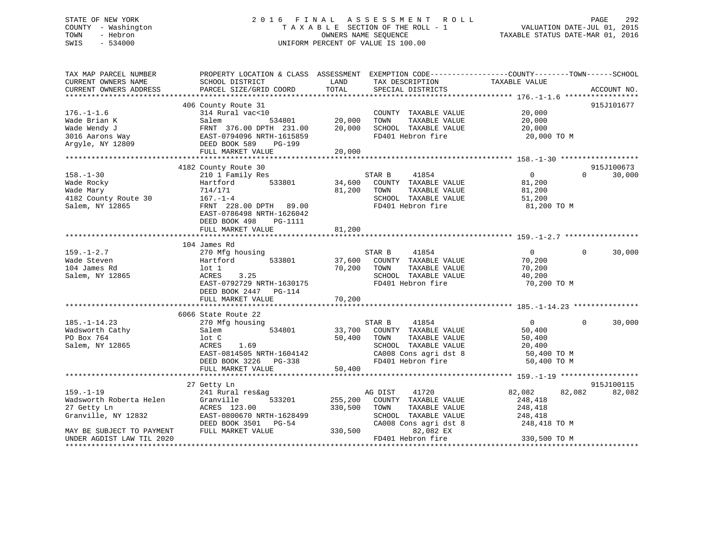# STATE OF NEW YORK 2 0 1 6 F I N A L A S S E S S M E N T R O L L PAGE 292 COUNTY - Washington T A X A B L E SECTION OF THE ROLL - 1 VALUATION DATE-JUL 01, 2015 TOWN - Hebron OWNERS NAME SEQUENCE TAXABLE STATUS DATE-MAR 01, 2016 SWIS - 534000 UNIFORM PERCENT OF VALUE IS 100.00

| TAX MAP PARCEL NUMBER             | PROPERTY LOCATION & CLASS ASSESSMENT EXEMPTION CODE---------------COUNTY-------TOWN-----SCHOOL |                |                              |                |                    |
|-----------------------------------|------------------------------------------------------------------------------------------------|----------------|------------------------------|----------------|--------------------|
| CURRENT OWNERS NAME               | SCHOOL DISTRICT                                                                                | LAND           | TAX DESCRIPTION              | TAXABLE VALUE  |                    |
| CURRENT OWNERS ADDRESS            | PARCEL SIZE/GRID COORD                                                                         | TOTAL          | SPECIAL DISTRICTS            |                | ACCOUNT NO.        |
|                                   |                                                                                                |                |                              |                |                    |
|                                   | 406 County Route 31                                                                            |                |                              |                | 915J101677         |
| $176. - 1 - 1.6$                  | 314 Rural vac<10                                                                               |                | COUNTY TAXABLE VALUE         | 20,000         |                    |
| Wade Brian K                      | Salem<br>534801                                                                                |                | 20,000 TOWN<br>TAXABLE VALUE | 20,000         |                    |
|                                   |                                                                                                |                | 20,000 SCHOOL TAXABLE VALUE  | 20,000         |                    |
|                                   |                                                                                                |                | FD401 Hebron fire            | 20,000 TO M    |                    |
|                                   |                                                                                                |                |                              |                |                    |
|                                   | FULL MARKET VALUE                                                                              | 20,000         |                              |                |                    |
|                                   |                                                                                                |                |                              |                |                    |
|                                   | 4182 County Route 30                                                                           |                |                              |                | 915J100673         |
| $158. - 1 - 30$                   | 210 1 Family Res                                                                               |                | STAR B 41854                 | $\overline{0}$ | 30,000<br>$\Omega$ |
| Wade Rocky                        | Hartford<br>533801                                                                             |                | 34,600 COUNTY TAXABLE VALUE  | 81,200         |                    |
| Wade Mary                         | 714/171                                                                                        |                | 81,200 TOWN<br>TAXABLE VALUE | 81,200         |                    |
| 4182 County Route 30              | $167. - 1 - 4$                                                                                 |                | SCHOOL TAXABLE VALUE         | 51,200         |                    |
| Salem, NY 12865                   | FRNT 228.00 DPTH 89.00                                                                         |                | FD401 Hebron fire            | 81,200 TO M    |                    |
|                                   |                                                                                                |                |                              |                |                    |
|                                   | EAST-0786498 NRTH-1626042                                                                      |                |                              |                |                    |
|                                   | DEED BOOK 498<br>PG-1111                                                                       |                |                              |                |                    |
|                                   | FULL MARKET VALUE                                                                              | 81,200         |                              |                |                    |
|                                   |                                                                                                |                |                              |                |                    |
|                                   | 104 James Rd                                                                                   |                |                              |                |                    |
| $159. - 1 - 2.7$                  | 270 Mfg housing                                                                                |                | STAR B 41854                 | $\overline{0}$ | $\Omega$<br>30,000 |
| Wade Steven                       | 533801<br>Hartford                                                                             |                | 37,600 COUNTY TAXABLE VALUE  | 70,200         |                    |
| 104 James Rd                      | lot 1                                                                                          | 70,200 TOWN    | TAXABLE VALUE                | 70,200         |                    |
| Salem, NY 12865                   | 3.25<br>ACRES                                                                                  |                | SCHOOL TAXABLE VALUE         | 40,200         |                    |
|                                   | EAST-0792729 NRTH-1630175                                                                      |                | FD401 Hebron fire            | 70,200 TO M    |                    |
|                                   | DEED BOOK 2447 PG-114                                                                          |                |                              |                |                    |
|                                   | FULL MARKET VALUE                                                                              | 70,200         |                              |                |                    |
|                                   |                                                                                                |                |                              |                |                    |
|                                   | 6066 State Route 22                                                                            |                |                              |                |                    |
| $185. - 1 - 14.23$                | 270 Mfg housing                                                                                |                | 41854<br>STAR B              | $\overline{0}$ | $\Omega$<br>30,000 |
| Wadsworth Cathy                   | 534801<br>Salem                                                                                |                | 33,700 COUNTY TAXABLE VALUE  | 50,400         |                    |
| PO Box 764                        | lot C                                                                                          | 50,400 TOWN    | TAXABLE VALUE                | 50,400         |                    |
| Salem, NY 12865                   | ACRES<br>1.69                                                                                  |                | SCHOOL TAXABLE VALUE         | 20,400         |                    |
|                                   |                                                                                                |                | CA008 Cons agri dst 8        | 50,400 TO M    |                    |
|                                   | EAST-0814505 NRTH-1604142<br>DEED BOOK 3226 PG-338                                             |                | FD401 Hebron fire            | 50,400 TO M    |                    |
|                                   | FULL MARKET VALUE                                                                              | 50,400         |                              |                |                    |
|                                   |                                                                                                |                |                              |                |                    |
|                                   | 27 Getty Ln                                                                                    |                |                              |                | 915J100115         |
| $159. - 1 - 19$                   | 241 Rural res&ag                                                                               |                | 41720<br>AG DIST             | 82,082         | 82,082<br>82,082   |
|                                   |                                                                                                | 533201 255,200 | COUNTY TAXABLE VALUE         | 248,418        |                    |
| Wadsworth Roberta Helen Granville | ACRES 123.00                                                                                   |                | TAXABLE VALUE<br>TOWN        |                |                    |
| 27 Getty Ln                       |                                                                                                | 330,500        |                              | 248,418        |                    |
| Granville, NY 12832               | EAST-0800670 NRTH-1628499                                                                      |                | SCHOOL TAXABLE VALUE         | 248,418        |                    |
|                                   | DEED BOOK 3501 PG-54                                                                           |                | CA008 Cons agri dst 8        | 248,418 TO M   |                    |
| MAY BE SUBJECT TO PAYMENT         | FULL MARKET VALUE                                                                              | 330,500        | 82,082 EX                    |                |                    |
| UNDER AGDIST LAW TIL 2020         |                                                                                                |                | FD401 Hebron fire            | 330,500 TO M   |                    |
| *********************             |                                                                                                |                |                              |                |                    |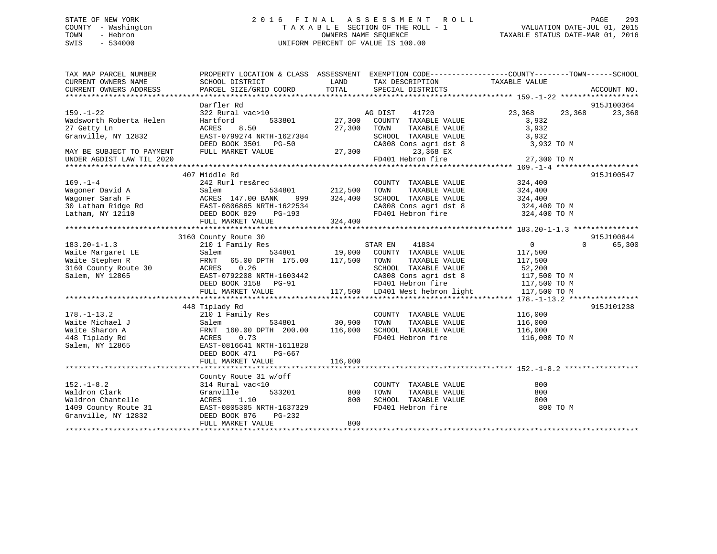# STATE OF NEW YORK 2 0 1 6 F I N A L A S S E S S M E N T R O L L PAGE 293 COUNTY - Washington T A X A B L E SECTION OF THE ROLL - 1 VALUATION DATE-JUL 01, 2015 TOWN - Hebron OWNERS NAME SEQUENCE TAXABLE STATUS DATE-MAR 01, 2016 SWIS - 534000 UNIFORM PERCENT OF VALUE IS 100.00

| ACCOUNT NO.<br>Darfler Rd<br>915J100364<br>$159. - 1 - 22$<br>322 Rural vac>10<br>41720<br>23,368<br>23,368<br>AG DIST<br>23,368<br>Wadsworth Roberta Helen<br>Hartford<br>27,300<br>COUNTY TAXABLE VALUE<br>3,932<br>533801<br><b>ACRES</b><br>8.50<br>27,300<br>TAXABLE VALUE<br>3,932<br>27 Getty Ln<br>TOWN<br>EAST-0799274 NRTH-1627384<br>SCHOOL TAXABLE VALUE<br>3,932<br>DEED BOOK 3501 PG-50<br>CA008 Cons agri dst 8<br>3,932 TO M<br>27,300<br>23,368 EX<br>FULL MARKET VALUE<br>MAY BE SUBJECT TO PAYMENT<br>27,300 TO M<br>FD401 Hebron fire<br>UNDER AGDIST LAW TIL 2020<br>407 Middle Rd<br>915J100547<br>$169. - 1 - 4$<br>242 Rurl res&rec<br>324,400<br>COUNTY TAXABLE VALUE<br>534801<br>212,500<br>TAXABLE VALUE<br>Salem<br>TOWN<br>324,400<br>Wagoner Sarah F<br>ACRES 147.00 BANK<br>999<br>324,400<br>SCHOOL TAXABLE VALUE<br>324,400<br>30 Latham Ridge Rd EAST-0806865 NRTH-1622534<br>324,400 TO M<br>CA008 Cons agri dst 8<br>FD401 Hebron fire<br>Latham, NY 12110<br>DEED BOOK 829<br>324,400 TO M<br>PG-193<br>FULL MARKET VALUE<br>324,400<br>3160 County Route 30<br>915J100644<br>$\overline{0}$<br>$183.20 - 1 - 1.3$<br>210 1 Family Res<br>STAR EN<br>41834<br>$\Omega$<br>65,300<br>19,000<br>Waite Margaret LE<br>Salem<br>534801<br>COUNTY TAXABLE VALUE<br>117,500<br>FRNT 65.00 DPTH 175.00 117,500<br>Waite Stephen R<br>TOWN<br>TAXABLE VALUE<br>117,500<br>3160 County Route 30<br>0.26<br>SCHOOL TAXABLE VALUE<br>ACRES<br>52,200<br>CA008 Cons agri dst 8<br>Salem, NY 12865<br>EAST-0792208 NRTH-1603442<br>117,500 TO M<br>DEED BOOK 3158<br>FD401 Hebron fire<br>117,500 TO M<br>PG-91<br>117,500 LD401 West hebron light<br>117,500 TO M<br>FULL MARKET VALUE<br>448 Tiplady Rd<br>915J101238<br>$178. - 1 - 13.2$<br>210 1 Family Res<br>COUNTY TAXABLE VALUE<br>116,000<br>30,900<br>Waite Michael J<br>534801<br>TOWN<br>TAXABLE VALUE<br>Salem<br>116,000<br>Waite Sharon A<br>FRNT 160.00 DPTH 200.00<br>116,000<br>SCHOOL TAXABLE VALUE<br>116,000<br>448 Tiplady Rd<br>0.73<br>FD401 Hebron fire<br>ACRES<br>116,000 TO M<br>Salem, NY 12865<br>EAST-0816641 NRTH-1611828<br>DEED BOOK 471<br>PG-667<br>116,000<br>FULL MARKET VALUE<br>County Route 31 w/off<br>$152. - 1 - 8.2$<br>314 Rural vac<10<br>COUNTY TAXABLE VALUE<br>800<br>Waldron Clark<br>800<br>Granville<br>533201<br>800<br>TOWN<br>TAXABLE VALUE<br>SCHOOL TAXABLE VALUE<br>ACRES<br>1.10<br>800<br>800<br>FD401 Hebron fire<br>EAST-0805305 NRTH-1637329<br>800 TO M<br>$PG-232$<br>DEED BOOK 876<br>800<br>FULL MARKET VALUE | TAX MAP PARCEL NUMBER<br>CURRENT OWNERS NAME | PROPERTY LOCATION & CLASS ASSESSMENT EXEMPTION CODE----------------COUNTY-------TOWN------SCHOOL<br>SCHOOL DISTRICT | LAND  | TAX DESCRIPTION   | TAXABLE VALUE |  |
|-------------------------------------------------------------------------------------------------------------------------------------------------------------------------------------------------------------------------------------------------------------------------------------------------------------------------------------------------------------------------------------------------------------------------------------------------------------------------------------------------------------------------------------------------------------------------------------------------------------------------------------------------------------------------------------------------------------------------------------------------------------------------------------------------------------------------------------------------------------------------------------------------------------------------------------------------------------------------------------------------------------------------------------------------------------------------------------------------------------------------------------------------------------------------------------------------------------------------------------------------------------------------------------------------------------------------------------------------------------------------------------------------------------------------------------------------------------------------------------------------------------------------------------------------------------------------------------------------------------------------------------------------------------------------------------------------------------------------------------------------------------------------------------------------------------------------------------------------------------------------------------------------------------------------------------------------------------------------------------------------------------------------------------------------------------------------------------------------------------------------------------------------------------------------------------------------------------------------------------------------------------------------------------------------------------------------------------------------------------------------------------------------------------------------------------------------------------------------------------------------------------------------------------------------------------|----------------------------------------------|---------------------------------------------------------------------------------------------------------------------|-------|-------------------|---------------|--|
|                                                                                                                                                                                                                                                                                                                                                                                                                                                                                                                                                                                                                                                                                                                                                                                                                                                                                                                                                                                                                                                                                                                                                                                                                                                                                                                                                                                                                                                                                                                                                                                                                                                                                                                                                                                                                                                                                                                                                                                                                                                                                                                                                                                                                                                                                                                                                                                                                                                                                                                                                             | CURRENT OWNERS ADDRESS                       | PARCEL SIZE/GRID COORD                                                                                              | TOTAL | SPECIAL DISTRICTS |               |  |
|                                                                                                                                                                                                                                                                                                                                                                                                                                                                                                                                                                                                                                                                                                                                                                                                                                                                                                                                                                                                                                                                                                                                                                                                                                                                                                                                                                                                                                                                                                                                                                                                                                                                                                                                                                                                                                                                                                                                                                                                                                                                                                                                                                                                                                                                                                                                                                                                                                                                                                                                                             |                                              |                                                                                                                     |       |                   |               |  |
|                                                                                                                                                                                                                                                                                                                                                                                                                                                                                                                                                                                                                                                                                                                                                                                                                                                                                                                                                                                                                                                                                                                                                                                                                                                                                                                                                                                                                                                                                                                                                                                                                                                                                                                                                                                                                                                                                                                                                                                                                                                                                                                                                                                                                                                                                                                                                                                                                                                                                                                                                             |                                              |                                                                                                                     |       |                   |               |  |
|                                                                                                                                                                                                                                                                                                                                                                                                                                                                                                                                                                                                                                                                                                                                                                                                                                                                                                                                                                                                                                                                                                                                                                                                                                                                                                                                                                                                                                                                                                                                                                                                                                                                                                                                                                                                                                                                                                                                                                                                                                                                                                                                                                                                                                                                                                                                                                                                                                                                                                                                                             |                                              |                                                                                                                     |       |                   |               |  |
|                                                                                                                                                                                                                                                                                                                                                                                                                                                                                                                                                                                                                                                                                                                                                                                                                                                                                                                                                                                                                                                                                                                                                                                                                                                                                                                                                                                                                                                                                                                                                                                                                                                                                                                                                                                                                                                                                                                                                                                                                                                                                                                                                                                                                                                                                                                                                                                                                                                                                                                                                             |                                              |                                                                                                                     |       |                   |               |  |
|                                                                                                                                                                                                                                                                                                                                                                                                                                                                                                                                                                                                                                                                                                                                                                                                                                                                                                                                                                                                                                                                                                                                                                                                                                                                                                                                                                                                                                                                                                                                                                                                                                                                                                                                                                                                                                                                                                                                                                                                                                                                                                                                                                                                                                                                                                                                                                                                                                                                                                                                                             | Granville, NY 12832                          |                                                                                                                     |       |                   |               |  |
|                                                                                                                                                                                                                                                                                                                                                                                                                                                                                                                                                                                                                                                                                                                                                                                                                                                                                                                                                                                                                                                                                                                                                                                                                                                                                                                                                                                                                                                                                                                                                                                                                                                                                                                                                                                                                                                                                                                                                                                                                                                                                                                                                                                                                                                                                                                                                                                                                                                                                                                                                             |                                              |                                                                                                                     |       |                   |               |  |
|                                                                                                                                                                                                                                                                                                                                                                                                                                                                                                                                                                                                                                                                                                                                                                                                                                                                                                                                                                                                                                                                                                                                                                                                                                                                                                                                                                                                                                                                                                                                                                                                                                                                                                                                                                                                                                                                                                                                                                                                                                                                                                                                                                                                                                                                                                                                                                                                                                                                                                                                                             |                                              |                                                                                                                     |       |                   |               |  |
|                                                                                                                                                                                                                                                                                                                                                                                                                                                                                                                                                                                                                                                                                                                                                                                                                                                                                                                                                                                                                                                                                                                                                                                                                                                                                                                                                                                                                                                                                                                                                                                                                                                                                                                                                                                                                                                                                                                                                                                                                                                                                                                                                                                                                                                                                                                                                                                                                                                                                                                                                             |                                              |                                                                                                                     |       |                   |               |  |
|                                                                                                                                                                                                                                                                                                                                                                                                                                                                                                                                                                                                                                                                                                                                                                                                                                                                                                                                                                                                                                                                                                                                                                                                                                                                                                                                                                                                                                                                                                                                                                                                                                                                                                                                                                                                                                                                                                                                                                                                                                                                                                                                                                                                                                                                                                                                                                                                                                                                                                                                                             |                                              |                                                                                                                     |       |                   |               |  |
|                                                                                                                                                                                                                                                                                                                                                                                                                                                                                                                                                                                                                                                                                                                                                                                                                                                                                                                                                                                                                                                                                                                                                                                                                                                                                                                                                                                                                                                                                                                                                                                                                                                                                                                                                                                                                                                                                                                                                                                                                                                                                                                                                                                                                                                                                                                                                                                                                                                                                                                                                             |                                              |                                                                                                                     |       |                   |               |  |
|                                                                                                                                                                                                                                                                                                                                                                                                                                                                                                                                                                                                                                                                                                                                                                                                                                                                                                                                                                                                                                                                                                                                                                                                                                                                                                                                                                                                                                                                                                                                                                                                                                                                                                                                                                                                                                                                                                                                                                                                                                                                                                                                                                                                                                                                                                                                                                                                                                                                                                                                                             |                                              |                                                                                                                     |       |                   |               |  |
|                                                                                                                                                                                                                                                                                                                                                                                                                                                                                                                                                                                                                                                                                                                                                                                                                                                                                                                                                                                                                                                                                                                                                                                                                                                                                                                                                                                                                                                                                                                                                                                                                                                                                                                                                                                                                                                                                                                                                                                                                                                                                                                                                                                                                                                                                                                                                                                                                                                                                                                                                             | Wagoner David A                              |                                                                                                                     |       |                   |               |  |
|                                                                                                                                                                                                                                                                                                                                                                                                                                                                                                                                                                                                                                                                                                                                                                                                                                                                                                                                                                                                                                                                                                                                                                                                                                                                                                                                                                                                                                                                                                                                                                                                                                                                                                                                                                                                                                                                                                                                                                                                                                                                                                                                                                                                                                                                                                                                                                                                                                                                                                                                                             |                                              |                                                                                                                     |       |                   |               |  |
|                                                                                                                                                                                                                                                                                                                                                                                                                                                                                                                                                                                                                                                                                                                                                                                                                                                                                                                                                                                                                                                                                                                                                                                                                                                                                                                                                                                                                                                                                                                                                                                                                                                                                                                                                                                                                                                                                                                                                                                                                                                                                                                                                                                                                                                                                                                                                                                                                                                                                                                                                             |                                              |                                                                                                                     |       |                   |               |  |
|                                                                                                                                                                                                                                                                                                                                                                                                                                                                                                                                                                                                                                                                                                                                                                                                                                                                                                                                                                                                                                                                                                                                                                                                                                                                                                                                                                                                                                                                                                                                                                                                                                                                                                                                                                                                                                                                                                                                                                                                                                                                                                                                                                                                                                                                                                                                                                                                                                                                                                                                                             |                                              |                                                                                                                     |       |                   |               |  |
|                                                                                                                                                                                                                                                                                                                                                                                                                                                                                                                                                                                                                                                                                                                                                                                                                                                                                                                                                                                                                                                                                                                                                                                                                                                                                                                                                                                                                                                                                                                                                                                                                                                                                                                                                                                                                                                                                                                                                                                                                                                                                                                                                                                                                                                                                                                                                                                                                                                                                                                                                             |                                              |                                                                                                                     |       |                   |               |  |
|                                                                                                                                                                                                                                                                                                                                                                                                                                                                                                                                                                                                                                                                                                                                                                                                                                                                                                                                                                                                                                                                                                                                                                                                                                                                                                                                                                                                                                                                                                                                                                                                                                                                                                                                                                                                                                                                                                                                                                                                                                                                                                                                                                                                                                                                                                                                                                                                                                                                                                                                                             |                                              |                                                                                                                     |       |                   |               |  |
|                                                                                                                                                                                                                                                                                                                                                                                                                                                                                                                                                                                                                                                                                                                                                                                                                                                                                                                                                                                                                                                                                                                                                                                                                                                                                                                                                                                                                                                                                                                                                                                                                                                                                                                                                                                                                                                                                                                                                                                                                                                                                                                                                                                                                                                                                                                                                                                                                                                                                                                                                             |                                              |                                                                                                                     |       |                   |               |  |
|                                                                                                                                                                                                                                                                                                                                                                                                                                                                                                                                                                                                                                                                                                                                                                                                                                                                                                                                                                                                                                                                                                                                                                                                                                                                                                                                                                                                                                                                                                                                                                                                                                                                                                                                                                                                                                                                                                                                                                                                                                                                                                                                                                                                                                                                                                                                                                                                                                                                                                                                                             |                                              |                                                                                                                     |       |                   |               |  |
|                                                                                                                                                                                                                                                                                                                                                                                                                                                                                                                                                                                                                                                                                                                                                                                                                                                                                                                                                                                                                                                                                                                                                                                                                                                                                                                                                                                                                                                                                                                                                                                                                                                                                                                                                                                                                                                                                                                                                                                                                                                                                                                                                                                                                                                                                                                                                                                                                                                                                                                                                             |                                              |                                                                                                                     |       |                   |               |  |
|                                                                                                                                                                                                                                                                                                                                                                                                                                                                                                                                                                                                                                                                                                                                                                                                                                                                                                                                                                                                                                                                                                                                                                                                                                                                                                                                                                                                                                                                                                                                                                                                                                                                                                                                                                                                                                                                                                                                                                                                                                                                                                                                                                                                                                                                                                                                                                                                                                                                                                                                                             |                                              |                                                                                                                     |       |                   |               |  |
|                                                                                                                                                                                                                                                                                                                                                                                                                                                                                                                                                                                                                                                                                                                                                                                                                                                                                                                                                                                                                                                                                                                                                                                                                                                                                                                                                                                                                                                                                                                                                                                                                                                                                                                                                                                                                                                                                                                                                                                                                                                                                                                                                                                                                                                                                                                                                                                                                                                                                                                                                             |                                              |                                                                                                                     |       |                   |               |  |
|                                                                                                                                                                                                                                                                                                                                                                                                                                                                                                                                                                                                                                                                                                                                                                                                                                                                                                                                                                                                                                                                                                                                                                                                                                                                                                                                                                                                                                                                                                                                                                                                                                                                                                                                                                                                                                                                                                                                                                                                                                                                                                                                                                                                                                                                                                                                                                                                                                                                                                                                                             |                                              |                                                                                                                     |       |                   |               |  |
|                                                                                                                                                                                                                                                                                                                                                                                                                                                                                                                                                                                                                                                                                                                                                                                                                                                                                                                                                                                                                                                                                                                                                                                                                                                                                                                                                                                                                                                                                                                                                                                                                                                                                                                                                                                                                                                                                                                                                                                                                                                                                                                                                                                                                                                                                                                                                                                                                                                                                                                                                             |                                              |                                                                                                                     |       |                   |               |  |
|                                                                                                                                                                                                                                                                                                                                                                                                                                                                                                                                                                                                                                                                                                                                                                                                                                                                                                                                                                                                                                                                                                                                                                                                                                                                                                                                                                                                                                                                                                                                                                                                                                                                                                                                                                                                                                                                                                                                                                                                                                                                                                                                                                                                                                                                                                                                                                                                                                                                                                                                                             |                                              |                                                                                                                     |       |                   |               |  |
|                                                                                                                                                                                                                                                                                                                                                                                                                                                                                                                                                                                                                                                                                                                                                                                                                                                                                                                                                                                                                                                                                                                                                                                                                                                                                                                                                                                                                                                                                                                                                                                                                                                                                                                                                                                                                                                                                                                                                                                                                                                                                                                                                                                                                                                                                                                                                                                                                                                                                                                                                             |                                              |                                                                                                                     |       |                   |               |  |
|                                                                                                                                                                                                                                                                                                                                                                                                                                                                                                                                                                                                                                                                                                                                                                                                                                                                                                                                                                                                                                                                                                                                                                                                                                                                                                                                                                                                                                                                                                                                                                                                                                                                                                                                                                                                                                                                                                                                                                                                                                                                                                                                                                                                                                                                                                                                                                                                                                                                                                                                                             |                                              |                                                                                                                     |       |                   |               |  |
|                                                                                                                                                                                                                                                                                                                                                                                                                                                                                                                                                                                                                                                                                                                                                                                                                                                                                                                                                                                                                                                                                                                                                                                                                                                                                                                                                                                                                                                                                                                                                                                                                                                                                                                                                                                                                                                                                                                                                                                                                                                                                                                                                                                                                                                                                                                                                                                                                                                                                                                                                             |                                              |                                                                                                                     |       |                   |               |  |
|                                                                                                                                                                                                                                                                                                                                                                                                                                                                                                                                                                                                                                                                                                                                                                                                                                                                                                                                                                                                                                                                                                                                                                                                                                                                                                                                                                                                                                                                                                                                                                                                                                                                                                                                                                                                                                                                                                                                                                                                                                                                                                                                                                                                                                                                                                                                                                                                                                                                                                                                                             |                                              |                                                                                                                     |       |                   |               |  |
|                                                                                                                                                                                                                                                                                                                                                                                                                                                                                                                                                                                                                                                                                                                                                                                                                                                                                                                                                                                                                                                                                                                                                                                                                                                                                                                                                                                                                                                                                                                                                                                                                                                                                                                                                                                                                                                                                                                                                                                                                                                                                                                                                                                                                                                                                                                                                                                                                                                                                                                                                             |                                              |                                                                                                                     |       |                   |               |  |
|                                                                                                                                                                                                                                                                                                                                                                                                                                                                                                                                                                                                                                                                                                                                                                                                                                                                                                                                                                                                                                                                                                                                                                                                                                                                                                                                                                                                                                                                                                                                                                                                                                                                                                                                                                                                                                                                                                                                                                                                                                                                                                                                                                                                                                                                                                                                                                                                                                                                                                                                                             |                                              |                                                                                                                     |       |                   |               |  |
|                                                                                                                                                                                                                                                                                                                                                                                                                                                                                                                                                                                                                                                                                                                                                                                                                                                                                                                                                                                                                                                                                                                                                                                                                                                                                                                                                                                                                                                                                                                                                                                                                                                                                                                                                                                                                                                                                                                                                                                                                                                                                                                                                                                                                                                                                                                                                                                                                                                                                                                                                             |                                              |                                                                                                                     |       |                   |               |  |
|                                                                                                                                                                                                                                                                                                                                                                                                                                                                                                                                                                                                                                                                                                                                                                                                                                                                                                                                                                                                                                                                                                                                                                                                                                                                                                                                                                                                                                                                                                                                                                                                                                                                                                                                                                                                                                                                                                                                                                                                                                                                                                                                                                                                                                                                                                                                                                                                                                                                                                                                                             |                                              |                                                                                                                     |       |                   |               |  |
|                                                                                                                                                                                                                                                                                                                                                                                                                                                                                                                                                                                                                                                                                                                                                                                                                                                                                                                                                                                                                                                                                                                                                                                                                                                                                                                                                                                                                                                                                                                                                                                                                                                                                                                                                                                                                                                                                                                                                                                                                                                                                                                                                                                                                                                                                                                                                                                                                                                                                                                                                             |                                              |                                                                                                                     |       |                   |               |  |
|                                                                                                                                                                                                                                                                                                                                                                                                                                                                                                                                                                                                                                                                                                                                                                                                                                                                                                                                                                                                                                                                                                                                                                                                                                                                                                                                                                                                                                                                                                                                                                                                                                                                                                                                                                                                                                                                                                                                                                                                                                                                                                                                                                                                                                                                                                                                                                                                                                                                                                                                                             |                                              |                                                                                                                     |       |                   |               |  |
|                                                                                                                                                                                                                                                                                                                                                                                                                                                                                                                                                                                                                                                                                                                                                                                                                                                                                                                                                                                                                                                                                                                                                                                                                                                                                                                                                                                                                                                                                                                                                                                                                                                                                                                                                                                                                                                                                                                                                                                                                                                                                                                                                                                                                                                                                                                                                                                                                                                                                                                                                             |                                              |                                                                                                                     |       |                   |               |  |
|                                                                                                                                                                                                                                                                                                                                                                                                                                                                                                                                                                                                                                                                                                                                                                                                                                                                                                                                                                                                                                                                                                                                                                                                                                                                                                                                                                                                                                                                                                                                                                                                                                                                                                                                                                                                                                                                                                                                                                                                                                                                                                                                                                                                                                                                                                                                                                                                                                                                                                                                                             |                                              |                                                                                                                     |       |                   |               |  |
|                                                                                                                                                                                                                                                                                                                                                                                                                                                                                                                                                                                                                                                                                                                                                                                                                                                                                                                                                                                                                                                                                                                                                                                                                                                                                                                                                                                                                                                                                                                                                                                                                                                                                                                                                                                                                                                                                                                                                                                                                                                                                                                                                                                                                                                                                                                                                                                                                                                                                                                                                             | Waldron Chantelle                            |                                                                                                                     |       |                   |               |  |
|                                                                                                                                                                                                                                                                                                                                                                                                                                                                                                                                                                                                                                                                                                                                                                                                                                                                                                                                                                                                                                                                                                                                                                                                                                                                                                                                                                                                                                                                                                                                                                                                                                                                                                                                                                                                                                                                                                                                                                                                                                                                                                                                                                                                                                                                                                                                                                                                                                                                                                                                                             | 1409 County Route 31                         |                                                                                                                     |       |                   |               |  |
|                                                                                                                                                                                                                                                                                                                                                                                                                                                                                                                                                                                                                                                                                                                                                                                                                                                                                                                                                                                                                                                                                                                                                                                                                                                                                                                                                                                                                                                                                                                                                                                                                                                                                                                                                                                                                                                                                                                                                                                                                                                                                                                                                                                                                                                                                                                                                                                                                                                                                                                                                             | Granville, NY 12832                          |                                                                                                                     |       |                   |               |  |
|                                                                                                                                                                                                                                                                                                                                                                                                                                                                                                                                                                                                                                                                                                                                                                                                                                                                                                                                                                                                                                                                                                                                                                                                                                                                                                                                                                                                                                                                                                                                                                                                                                                                                                                                                                                                                                                                                                                                                                                                                                                                                                                                                                                                                                                                                                                                                                                                                                                                                                                                                             |                                              |                                                                                                                     |       |                   |               |  |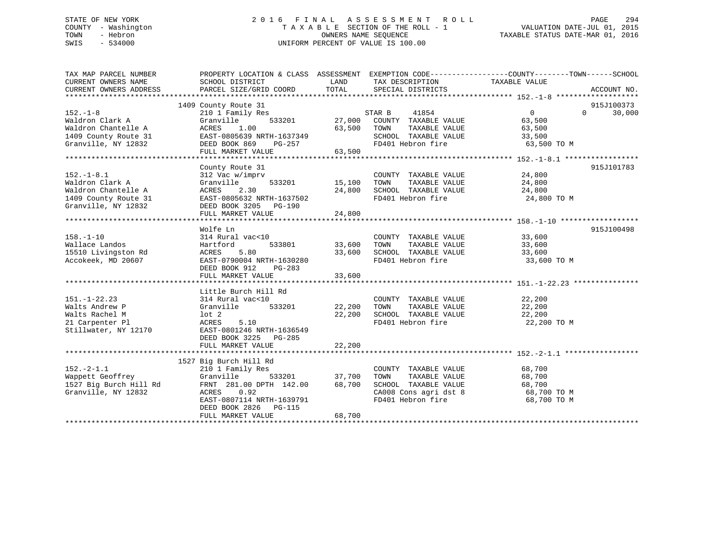# STATE OF NEW YORK 2 0 1 6 F I N A L A S S E S S M E N T R O L L PAGE 294 COUNTY - Washington T A X A B L E SECTION OF THE ROLL - 1 VALUATION DATE-JUL 01, 2015 TOWN - Hebron OWNERS NAME SEQUENCE TAXABLE STATUS DATE-MAR 01, 2016 SWIS - 534000 UNIFORM PERCENT OF VALUE IS 100.00

| TAX MAP PARCEL NUMBER  | PROPERTY LOCATION & CLASS ASSESSMENT EXEMPTION CODE---------------COUNTY-------TOWN-----SCHOOL |               |                                                                  |                            |                    |
|------------------------|------------------------------------------------------------------------------------------------|---------------|------------------------------------------------------------------|----------------------------|--------------------|
| CURRENT OWNERS NAME    | SCHOOL DISTRICT                                                                                | LAND          | TAX DESCRIPTION                                                  | TAXABLE VALUE              |                    |
| CURRENT OWNERS ADDRESS | PARCEL SIZE/GRID COORD                                                                         | TOTAL         | SPECIAL DISTRICTS                                                |                            | ACCOUNT NO.        |
|                        |                                                                                                |               |                                                                  |                            | 915J100373         |
| $152. - 1 - 8$         | 1409 County Route 31<br>210 1 Family Res                                                       |               | STAR B 41854                                                     | $\overline{0}$             | 30,000<br>$\Omega$ |
| Waldron Clark A        | 533201<br>Granville                                                                            |               | 27,000 COUNTY TAXABLE VALUE                                      | 63,500                     |                    |
| Waldron Chantelle A    | ACRES<br>1.00                                                                                  | 63,500 TOWN   | TAXABLE VALUE                                                    | 63,500                     |                    |
| 1409 County Route 31   | EAST-0805639 NRTH-1637349                                                                      |               |                                                                  | 33,500                     |                    |
| Granville, NY 12832    | DEED BOOK 869 PG-257                                                                           |               | SCHOOL TAXABLE VALUE<br>FD401 Hebron fire                        | 63,500 TO M                |                    |
|                        | FULL MARKET VALUE                                                                              | 63,500        |                                                                  |                            |                    |
|                        |                                                                                                |               |                                                                  |                            |                    |
|                        | County Route 31                                                                                |               |                                                                  |                            | 915J101783         |
| $152. - 1 - 8.1$       | 312 Vac w/imprv                                                                                |               |                                                                  |                            |                    |
| Waldron Clark A        | 533201<br>Granville                                                                            | $15,100$ TOWN | COUNTY TAXABLE VALUE<br>TOWN      TAXABLE VALUE                  | 24,800<br>24 ROO<br>24,800 |                    |
| Waldron Chantelle A    | ACRES<br>2.30                                                                                  | 24,800        | SCHOOL TAXABLE VALUE 24,800                                      |                            |                    |
| 1409 County Route 31   | EAST-0805632 NRTH-1637502                                                                      |               | FD401 Hebron fire                                                | 24,800 TO M                |                    |
| Granville, NY 12832    | DEED BOOK 3205 PG-190                                                                          |               |                                                                  |                            |                    |
|                        | FULL MARKET VALUE                                                                              | 24,800        |                                                                  |                            |                    |
|                        |                                                                                                |               |                                                                  |                            |                    |
|                        | Wolfe Ln                                                                                       |               |                                                                  |                            | 915J100498         |
| $158. - 1 - 10$        | 314 Rural vac<10                                                                               |               | COUNTY TAXABLE VALUE                                             | $33,600$<br>33.500         |                    |
| Wallace Landos         | 533801<br>Hartford                                                                             | 33,600        | TAXABLE VALUE<br>TOWN                                            |                            |                    |
| 15510 Livingston Rd    | ACRES<br>5.80                                                                                  | 33,600        | SCHOOL TAXABLE VALUE                                             | 33,600                     |                    |
| Accokeek, MD 20607     | EAST-0790004 NRTH-1630280                                                                      |               | FD401 Hebron fire                                                | 33,600 TO M                |                    |
|                        | DEED BOOK 912<br>PG-283                                                                        |               |                                                                  |                            |                    |
|                        | FULL MARKET VALUE                                                                              | 33,600        |                                                                  |                            |                    |
|                        |                                                                                                |               |                                                                  |                            |                    |
|                        | Little Burch Hill Rd                                                                           |               |                                                                  |                            |                    |
| $151. - 1 - 22.23$     | 314 Rural vac<10                                                                               |               | COUNTY TAXABLE VALUE<br>TOWN      TAXABLE VALUE                  | $\frac{22}{22}$ , 200      |                    |
| Walts Andrew P         | 533201<br>Granville                                                                            |               | 22,200 TOWN                                                      | 22,200                     |                    |
| Walts Rachel M         | $1$ ot $2$                                                                                     | 22,200        | SCHOOL TAXABLE VALUE 22,200                                      |                            |                    |
| 21 Carpenter Pl        | 5.10<br>ACRES                                                                                  |               | FD401 Hebron fire                                                | 22,200 TO M                |                    |
| Stillwater, NY 12170   | EAST-0801246 NRTH-1636549                                                                      |               |                                                                  |                            |                    |
|                        | DEED BOOK 3225 PG-285                                                                          |               |                                                                  |                            |                    |
|                        | FULL MARKET VALUE                                                                              | 22,200        |                                                                  |                            |                    |
|                        |                                                                                                |               |                                                                  |                            |                    |
|                        | 1527 Big Burch Hill Rd                                                                         |               |                                                                  |                            |                    |
| $152 - 2 - 1.1$        | 210 1 Family Res                                                                               |               | COUNTY TAXABLE VALUE                                             | 68,700                     |                    |
| Wappett Geoffrey       | Granville                                                                                      | 533201 37,700 | TOWN<br>TAXABLE VALUE                                            | 68,700                     |                    |
| 1527 Big Burch Hill Rd | FRNT 281.00 DPTH 142.00 68,700                                                                 |               | SCHOOL TAXABLE VALUE 68,700<br>CA008 Cons agri dst 8 68,700 TO M |                            |                    |
| Granville, NY 12832    | ACRES 0.92                                                                                     |               |                                                                  |                            |                    |
|                        | EAST-0807114 NRTH-1639791                                                                      |               | FD401 Hebron fire                                                | 68,700 TO M                |                    |
|                        | DEED BOOK 2826 PG-115<br>FULL MARKET VALUE                                                     | 68,700        |                                                                  |                            |                    |
|                        |                                                                                                |               |                                                                  |                            |                    |
|                        |                                                                                                |               |                                                                  |                            |                    |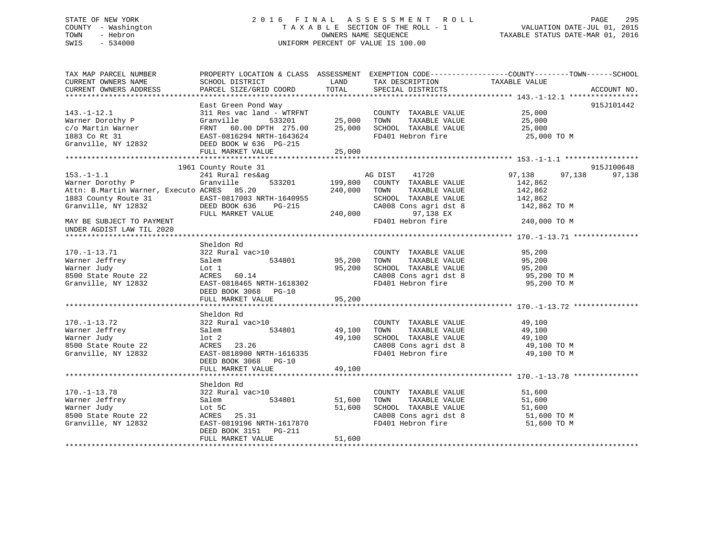# STATE OF NEW YORK 2 0 1 6 F I N A L A S S E S S M E N T R O L L PAGE 295 COUNTY - Washington T A X A B L E SECTION OF THE ROLL - 1 VALUATION DATE-JUL 01, 2015 TOWN - Hebron OWNERS NAME SEQUENCE TAXABLE STATUS DATE-MAR 01, 2016 SWIS - 534000 UNIFORM PERCENT OF VALUE IS 100.00UNIFORM PERCENT OF VALUE IS 100.00

TAX MAP PARCEL NUMBER PROPERTY LOCATION & CLASS ASSESSMENT EXEMPTION CODE------------------COUNTY--------TOWN------SCHOOL CURRENT OWNERS NAME SCHOOL DISTRICT LAND TAX DESCRIPTION TAXABLE VALUE CURRENT OWNERS ADDRESS PARCEL SIZE/GRID COORD TOTAL SPECIAL DISTRICTS ACCOUNT NO. \*\*\*\*\*\*\*\*\*\*\*\*\*\*\*\*\*\*\*\*\*\*\*\*\*\*\*\*\*\*\*\*\*\*\*\*\*\*\*\*\*\*\*\*\*\*\*\*\*\*\*\*\*\*\*\*\*\*\*\*\*\*\*\*\*\*\*\*\*\*\*\*\*\*\*\*\*\*\*\*\*\*\*\*\*\*\*\*\*\*\*\*\*\*\*\*\*\*\*\*\*\*\* 143.-1-12.1 \*\*\*\*\*\*\*\*\*\*\*\*\*\*\*\*

|                                            |                                                                                                                                                                                                                                                     |             |                                                 | 170. - 1-14. 1 |            |
|--------------------------------------------|-----------------------------------------------------------------------------------------------------------------------------------------------------------------------------------------------------------------------------------------------------|-------------|-------------------------------------------------|----------------|------------|
|                                            | East Green Pond Way                                                                                                                                                                                                                                 |             |                                                 |                | 915J101442 |
| $143. - 1 - 12.1$                          | 311 Res vac land - WTRFNT                                                                                                                                                                                                                           |             | COUNTY TAXABLE VALUE                            | 25,000         |            |
| Warner Dorothy P                           | Granville<br>533201                                                                                                                                                                                                                                 | 25,000 TOWN | TAXABLE VALUE                                   | 25,000         |            |
|                                            |                                                                                                                                                                                                                                                     | 25,000      | SCHOOL TAXABLE VALUE 25,000                     |                |            |
|                                            |                                                                                                                                                                                                                                                     |             | FD401 Hebron fire 25,000 TO M                   |                |            |
|                                            |                                                                                                                                                                                                                                                     |             |                                                 |                |            |
|                                            | CONTRACT CONTRACT CONTRACT CONTRACT CONTRACT CONTRACT CONTRACT CONTRACT CONTRACT CONTRACT CONTRACT CONTRACT CONTRACT CONTRACT CONTRACT CONTRACT CONTRACT CONTRACT CONTRACT CONTRACT CONTRACT CONTRACT CONTRACT CONTRACT CONTRA<br>FULL MARKET VALUE | 25,000      |                                                 |                |            |
|                                            |                                                                                                                                                                                                                                                     |             |                                                 |                |            |
|                                            | 1961 County Route 31                                                                                                                                                                                                                                |             |                                                 |                | 915J100648 |
| $153. - 1 - 1.1$                           | 241 Rural res&ag                                                                                                                                                                                                                                    |             | AG DIST 41720                                   | 97,138 97,138  | 97,138     |
| Warner Dorothy P                           | 533201<br>Granville                                                                                                                                                                                                                                 |             | 199,800 COUNTY TAXABLE VALUE                    | 142,862        |            |
| Attn: B.Martin Warner, Executo ACRES 85.20 |                                                                                                                                                                                                                                                     |             | 240,000 TOWN<br>TAXABLE VALUE                   | 142,862        |            |
|                                            |                                                                                                                                                                                                                                                     |             | SCHOOL TAXABLE VALUE 142,862                    |                |            |
|                                            | 1883 County Route 31 EAST-0817003 NRTH-1640955<br>Granville, NY 12832 DEED BOOK 636 PG-215                                                                                                                                                          |             |                                                 |                |            |
|                                            |                                                                                                                                                                                                                                                     |             | CA008 Cons agri dst 8 142,862 TO M              |                |            |
|                                            | $PG-215$ CAUU8 CONTE 240,000<br>FULL MARKET VALUE                                                                                                                                                                                                   |             | 97,138 EX                                       |                |            |
| MAY BE SUBJECT TO PAYMENT                  |                                                                                                                                                                                                                                                     |             | FD401 Hebron fire                               | 240,000 TO M   |            |
| UNDER AGDIST LAW TIL 2020                  |                                                                                                                                                                                                                                                     |             |                                                 |                |            |
|                                            |                                                                                                                                                                                                                                                     |             |                                                 |                |            |
|                                            | Sheldon Rd                                                                                                                                                                                                                                          |             |                                                 |                |            |
| $170. - 1 - 13.71$                         | 322 Rural vac>10                                                                                                                                                                                                                                    |             | COUNTY TAXABLE VALUE                            | 95,200         |            |
| Warner Jeffrey<br>Warner Judy              | 534801<br>Salem                                                                                                                                                                                                                                     | 95,200 TOWN | TAXABLE VALUE                                   | 95,200         |            |
|                                            |                                                                                                                                                                                                                                                     | 95,200      | SCHOOL TAXABLE VALUE 95,200                     |                |            |
| 8500 State Route 22                        | Lot 1<br>ACRES 60.14                                                                                                                                                                                                                                |             | CA008 Cons agri dst 8 95,200 TO M               |                |            |
| Granville, NY 12832                        | EAST-0818465 NRTH-1618302<br>DRED BOOK 3055                                                                                                                                                                                                         |             | FD401 Hebron fire                               | 95,200 TO M    |            |
|                                            | DEED BOOK 3068 PG-10                                                                                                                                                                                                                                |             |                                                 |                |            |
|                                            |                                                                                                                                                                                                                                                     |             |                                                 |                |            |
|                                            |                                                                                                                                                                                                                                                     |             |                                                 |                |            |
|                                            | Sheldon Rd                                                                                                                                                                                                                                          |             |                                                 |                |            |
| $170. - 1 - 13.72$                         | 322 Rural vac>10<br>Salem                                                                                                                                                                                                                           |             |                                                 | 49,100         |            |
|                                            | -al vac>10<br>534801 634801 49,100 TOWN                                                                                                                                                                                                             |             | COUNTY TAXABLE VALUE<br>TOWN      TAXABLE VALUE | 49,100         |            |
| Narner Jeffrey<br>Warner Jeffrey           | lot 2                                                                                                                                                                                                                                               |             | 49,100 SCHOOL TAXABLE VALUE 49,100              |                |            |
|                                            |                                                                                                                                                                                                                                                     |             |                                                 |                |            |
| 8500 State Route 22                        | ACRES 23.26                                                                                                                                                                                                                                         |             | CA008 Cons agri dst 8 49,100 TO M               |                |            |
| Granville, NY 12832                        | EAST-0818900 NRTH-1616335                                                                                                                                                                                                                           |             | FD401 Hebron fire                               | 49,100 TO M    |            |
|                                            | DEED BOOK 3068 PG-10                                                                                                                                                                                                                                |             |                                                 |                |            |
|                                            | FULL MARKET VALUE                                                                                                                                                                                                                                   | 49,100      |                                                 |                |            |
|                                            |                                                                                                                                                                                                                                                     |             |                                                 |                |            |
|                                            | Sheldon Rd                                                                                                                                                                                                                                          |             |                                                 |                |            |
| $170. - 1 - 13.78$                         | 322 Rural vac>10                                                                                                                                                                                                                                    |             | COUNTY TAXABLE VALUE                            | 51,600         |            |
| Warner Jeffrey<br>Warner Judy              | 534801<br>Salem                                                                                                                                                                                                                                     | 51,600      | TAXABLE VALUE<br>TOWN                           | 51,600         |            |
| Warner Judy                                | Lot 5C                                                                                                                                                                                                                                              | 51,600      | SCHOOL TAXABLE VALUE                            | 51,600         |            |
| 8500 State Route 22                        | ACRES 25.31                                                                                                                                                                                                                                         |             | CA008 Cons agri dst 8 51,600 TO M               |                |            |
| Granville, NY 12832                        | EAST-0819196 NRTH-1617870                                                                                                                                                                                                                           |             | FD401 Hebron fire                               | 51,600 TO M    |            |
|                                            | DEED BOOK 3151    PG-211                                                                                                                                                                                                                            |             |                                                 |                |            |
|                                            | FULL MARKET VALUE                                                                                                                                                                                                                                   | 51,600      |                                                 |                |            |
|                                            |                                                                                                                                                                                                                                                     |             |                                                 |                |            |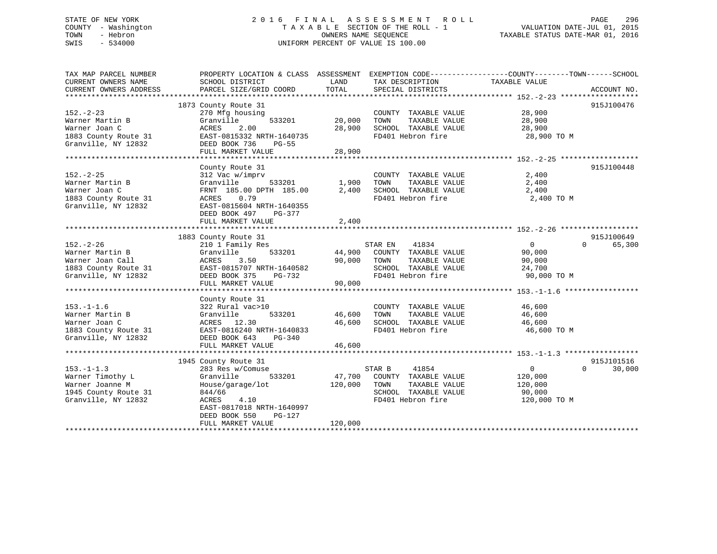# STATE OF NEW YORK 2 0 1 6 F I N A L A S S E S S M E N T R O L L PAGE 296 COUNTY - Washington T A X A B L E SECTION OF THE ROLL - 1 VALUATION DATE-JUL 01, 2015 TOWN - Hebron OWNERS NAME SEQUENCE TAXABLE STATUS DATE-MAR 01, 2016 SWIS - 534000 UNIFORM PERCENT OF VALUE IS 100.00

| TAX MAP PARCEL NUMBER  | PROPERTY LOCATION & CLASS ASSESSMENT EXEMPTION CODE---------------COUNTY-------TOWN-----SCHOOL |         |                       |                |                    |
|------------------------|------------------------------------------------------------------------------------------------|---------|-----------------------|----------------|--------------------|
| CURRENT OWNERS NAME    | SCHOOL DISTRICT                                                                                | LAND    | TAX DESCRIPTION       | TAXABLE VALUE  |                    |
| CURRENT OWNERS ADDRESS | PARCEL SIZE/GRID COORD                                                                         | TOTAL   | SPECIAL DISTRICTS     |                | ACCOUNT NO.        |
|                        |                                                                                                |         |                       |                |                    |
|                        | 1873 County Route 31                                                                           |         |                       |                | 915J100476         |
| $152 - 2 - 23$         | 270 Mfg housing                                                                                |         | COUNTY TAXABLE VALUE  | 28,900         |                    |
| Warner Martin B        | 533201<br>Granville                                                                            | 20,000  | TOWN<br>TAXABLE VALUE | 28,900         |                    |
| Warner Joan C          | ACRES<br>2.00                                                                                  | 28,900  | SCHOOL TAXABLE VALUE  | 28,900         |                    |
| 1883 County Route 31   | EAST-0815332 NRTH-1640735                                                                      |         | FD401 Hebron fire     | 28,900 TO M    |                    |
| Granville, NY 12832    | DEED BOOK 736<br><b>PG-55</b>                                                                  |         |                       |                |                    |
|                        | FULL MARKET VALUE                                                                              | 28,900  |                       |                |                    |
|                        |                                                                                                |         |                       |                |                    |
|                        | County Route 31                                                                                |         |                       |                | 915J100448         |
| $152. - 2 - 25$        | 312 Vac w/imprv                                                                                |         | COUNTY TAXABLE VALUE  | 2,400          |                    |
| Warner Martin B        | Granville<br>533201                                                                            | 1,900   | TAXABLE VALUE<br>TOWN | 2,400          |                    |
| Warner Joan C          | FRNT 185.00 DPTH 185.00                                                                        | 2,400   | SCHOOL TAXABLE VALUE  | 2,400          |                    |
| 1883 County Route 31   | 0.79<br>ACRES                                                                                  |         | FD401 Hebron fire     | 2,400 TO M     |                    |
| Granville, NY 12832    | EAST-0815604 NRTH-1640355                                                                      |         |                       |                |                    |
|                        | DEED BOOK 497<br>PG-377                                                                        |         |                       |                |                    |
|                        | FULL MARKET VALUE                                                                              | 2,400   |                       |                |                    |
|                        |                                                                                                |         |                       |                |                    |
|                        | 1883 County Route 31                                                                           |         |                       |                | 915J100649         |
| $152. - 2 - 26$        | 210 1 Family Res                                                                               |         | STAR EN<br>41834      | $\overline{0}$ | 65,300<br>$\Omega$ |
| Warner Martin B        | 533201<br>Granville                                                                            | 44,900  | COUNTY TAXABLE VALUE  | 90,000         |                    |
| Warner Joan Call       | ACRES<br>3.50                                                                                  | 90,000  | TOWN<br>TAXABLE VALUE | 90,000         |                    |
| 1883 County Route 31   | EAST-0815707 NRTH-1640582                                                                      |         | SCHOOL TAXABLE VALUE  | 24,700         |                    |
| Granville, NY 12832    | DEED BOOK 375<br>PG-732                                                                        |         | FD401 Hebron fire     | 90,000 TO M    |                    |
|                        | FULL MARKET VALUE                                                                              | 90,000  |                       |                |                    |
|                        |                                                                                                |         |                       |                |                    |
|                        | County Route 31                                                                                |         |                       |                |                    |
| $153. - 1 - 1.6$       | 322 Rural vac>10                                                                               |         | COUNTY TAXABLE VALUE  | 46,600         |                    |
| Warner Martin B        | 533201<br>Granville                                                                            | 46,600  | TOWN<br>TAXABLE VALUE | 46,600         |                    |
| Warner Joan C          | ACRES 12.30                                                                                    | 46,600  | SCHOOL TAXABLE VALUE  | 46,600         |                    |
| 1883 County Route 31   | EAST-0816240 NRTH-1640833                                                                      |         | FD401 Hebron fire     | 46,600 TO M    |                    |
| Granville, NY 12832    | DEED BOOK 643                                                                                  |         |                       |                |                    |
|                        | PG-340                                                                                         |         |                       |                |                    |
|                        | FULL MARKET VALUE                                                                              | 46,600  |                       |                |                    |
|                        |                                                                                                |         |                       |                |                    |
|                        | 1945 County Route 31                                                                           |         |                       |                | 915J101516         |
| $153. - 1 - 1.3$       | 283 Res w/Comuse                                                                               |         | 41854<br>STAR B       | $\Omega$       | 30,000<br>$\Omega$ |
| Warner Timothy L       | 533201<br>Granville                                                                            | 47,700  | COUNTY TAXABLE VALUE  | 120,000        |                    |
| Warner Joanne M        | House/garage/lot                                                                               | 120,000 | TAXABLE VALUE<br>TOWN | 120,000        |                    |
| 1945 County Route 31   | 844/66                                                                                         |         | SCHOOL TAXABLE VALUE  | 90,000         |                    |
| Granville, NY 12832    | ACRES<br>4.10                                                                                  |         | FD401 Hebron fire     | 120,000 TO M   |                    |
|                        | EAST-0817018 NRTH-1640997                                                                      |         |                       |                |                    |
|                        | DEED BOOK 550<br>PG-127                                                                        |         |                       |                |                    |
|                        | FULL MARKET VALUE                                                                              | 120,000 |                       |                |                    |
|                        |                                                                                                |         |                       |                |                    |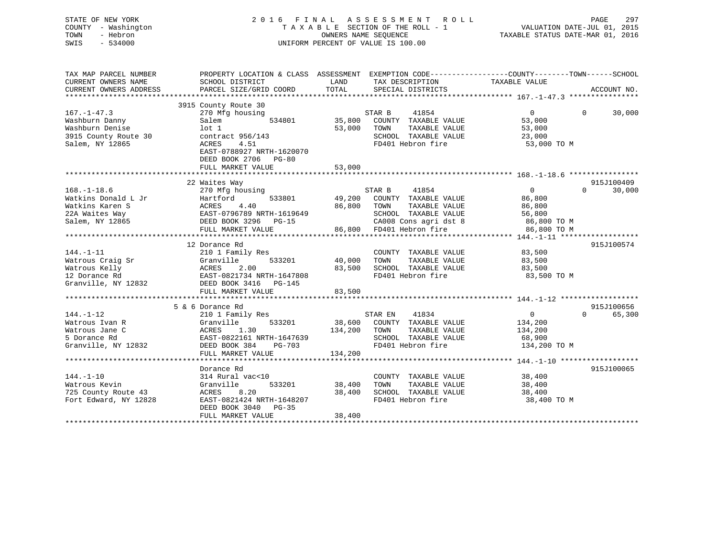| STATE OF NEW YORK<br>COUNTY - Washington<br>- Hebron<br>TOWN<br>SWIS<br>$-534000$ | 2016 FINAL                                                                                                          |                               | A S S E S S M E N T<br>ROLL<br>TAXABLE SECTION OF THE ROLL - 1<br>OWNERS NAME SEQUENCE<br>UNIFORM PERCENT OF VALUE IS 100.00 | VALUATION DATE-JUL 01, 2015<br>TAXABLE STATUS DATE-MAR 01, 2016 | PAGE<br>297                      |
|-----------------------------------------------------------------------------------|---------------------------------------------------------------------------------------------------------------------|-------------------------------|------------------------------------------------------------------------------------------------------------------------------|-----------------------------------------------------------------|----------------------------------|
| TAX MAP PARCEL NUMBER<br>CURRENT OWNERS NAME                                      | PROPERTY LOCATION & CLASS ASSESSMENT EXEMPTION CODE----------------COUNTY-------TOWN------SCHOOL<br>SCHOOL DISTRICT | LAND                          | TAX DESCRIPTION                                                                                                              | TAXABLE VALUE                                                   |                                  |
| CURRENT OWNERS ADDRESS<br>***********************                                 | PARCEL SIZE/GRID COORD                                                                                              | TOTAL                         | SPECIAL DISTRICTS                                                                                                            |                                                                 | ACCOUNT NO.                      |
|                                                                                   | 3915 County Route 30                                                                                                |                               |                                                                                                                              |                                                                 |                                  |
| $167. - 1 - 47.3$                                                                 | 270 Mfg housing                                                                                                     |                               | STAR B<br>41854                                                                                                              | $\mathbf{0}$                                                    | $\Omega$<br>30,000               |
| Washburn Danny                                                                    | 534801<br>Salem                                                                                                     | 35,800                        | COUNTY TAXABLE VALUE                                                                                                         | 53,000                                                          |                                  |
| Washburn Denise                                                                   | lot 1                                                                                                               | 53,000                        | TOWN<br>TAXABLE VALUE                                                                                                        | 53,000                                                          |                                  |
| 3915 County Route 30                                                              | contract 956/143                                                                                                    |                               | SCHOOL TAXABLE VALUE                                                                                                         | 23,000                                                          |                                  |
| Salem, NY 12865                                                                   | <b>ACRES</b><br>4.51                                                                                                |                               | FD401 Hebron fire                                                                                                            | 53,000 TO M                                                     |                                  |
|                                                                                   | EAST-0788927 NRTH-1620070                                                                                           |                               |                                                                                                                              |                                                                 |                                  |
|                                                                                   | DEED BOOK 2706 PG-80                                                                                                |                               |                                                                                                                              |                                                                 |                                  |
|                                                                                   | FULL MARKET VALUE<br>******************                                                                             | 53,000<br>**********          |                                                                                                                              |                                                                 |                                  |
|                                                                                   |                                                                                                                     |                               |                                                                                                                              | ********************* 168.-1-18.6 *****************             |                                  |
| $168. - 1 - 18.6$                                                                 | 22 Waites Way<br>270 Mfg housing                                                                                    |                               | 41854<br>STAR B                                                                                                              | $\overline{0}$                                                  | 915J100409<br>30,000<br>$\Omega$ |
| Watkins Donald L Jr                                                               | Hartford<br>533801                                                                                                  | 49,200                        | COUNTY TAXABLE VALUE                                                                                                         | 86,800                                                          |                                  |
| Watkins Karen S                                                                   | ACRES<br>4.40                                                                                                       | 86,800                        | TAXABLE VALUE<br>TOWN                                                                                                        | 86,800                                                          |                                  |
| 22A Waites Way                                                                    | EAST-0796789 NRTH-1619649                                                                                           |                               | SCHOOL TAXABLE VALUE                                                                                                         | 56,800                                                          |                                  |
| Salem, NY 12865                                                                   | DEED BOOK 3296 PG-15                                                                                                |                               | CA008 Cons agri dst 8                                                                                                        | 86,800 TO M                                                     |                                  |
|                                                                                   | FULL MARKET VALUE                                                                                                   | 86,800                        | FD401 Hebron fire                                                                                                            | 86,800 TO M                                                     |                                  |
|                                                                                   |                                                                                                                     |                               |                                                                                                                              |                                                                 |                                  |
|                                                                                   | 12 Dorance Rd                                                                                                       |                               |                                                                                                                              |                                                                 | 915J100574                       |
| $144. - 1 - 11$                                                                   | 210 1 Family Res                                                                                                    |                               | COUNTY TAXABLE VALUE                                                                                                         | 83,500                                                          |                                  |
| Watrous Craig Sr                                                                  | Granville<br>533201                                                                                                 | 40,000                        | TAXABLE VALUE<br>TOWN                                                                                                        | 83,500                                                          |                                  |
| Watrous Kelly                                                                     | <b>ACRES</b><br>2.00                                                                                                | 83,500                        | SCHOOL TAXABLE VALUE                                                                                                         | 83,500                                                          |                                  |
| 12 Dorance Rd                                                                     | EAST-0821734 NRTH-1647808                                                                                           |                               | FD401 Hebron fire                                                                                                            | 83,500 TO M                                                     |                                  |
| Granville, NY 12832                                                               | DEED BOOK 3416 PG-145                                                                                               |                               |                                                                                                                              |                                                                 |                                  |
|                                                                                   | FULL MARKET VALUE                                                                                                   | 83,500                        |                                                                                                                              |                                                                 |                                  |
|                                                                                   |                                                                                                                     |                               |                                                                                                                              |                                                                 |                                  |
|                                                                                   | 5 & 6 Dorance Rd                                                                                                    |                               |                                                                                                                              |                                                                 | 915J100656                       |
| $144. - 1 - 12$                                                                   | 210 1 Family Res                                                                                                    |                               | 41834<br>STAR EN                                                                                                             | $\overline{0}$                                                  | 65,300<br>$\cap$                 |
| Watrous Ivan R                                                                    | Granville<br>533201                                                                                                 | 38,600                        | COUNTY TAXABLE VALUE                                                                                                         | 134,200                                                         |                                  |
| Watrous Jane C                                                                    | ACRES<br>1.30                                                                                                       | 134,200                       | TOWN<br>TAXABLE VALUE                                                                                                        | 134,200                                                         |                                  |
| 5 Dorance Rd                                                                      | EAST-0822161 NRTH-1647639                                                                                           |                               | SCHOOL TAXABLE VALUE                                                                                                         | 68,900                                                          |                                  |
| Granville, NY 12832                                                               | DEED BOOK 384<br><b>PG-703</b>                                                                                      |                               | FD401 Hebron fire                                                                                                            | 134,200 TO M                                                    |                                  |
|                                                                                   | FULL MARKET VALUE<br>***********************                                                                        | 134,200                       |                                                                                                                              |                                                                 |                                  |
|                                                                                   | Dorance Rd                                                                                                          |                               |                                                                                                                              |                                                                 | 915J100065                       |
| $144. - 1 - 10$                                                                   | 314 Rural vac<10                                                                                                    |                               | COUNTY TAXABLE VALUE                                                                                                         | 38,400                                                          |                                  |
| Watrous Kevin                                                                     | Granville<br>533201                                                                                                 | 38,400                        | TOWN<br>TAXABLE VALUE                                                                                                        | 38,400                                                          |                                  |
| 725 County Route 43                                                               | 8.20<br>ACRES                                                                                                       | 38,400                        | SCHOOL TAXABLE VALUE                                                                                                         | 38,400                                                          |                                  |
| Fort Edward, NY 12828                                                             | EAST-0821424 NRTH-1648207                                                                                           |                               | FD401 Hebron fire                                                                                                            | 38,400 TO M                                                     |                                  |
|                                                                                   | DEED BOOK 3040<br>$PG-35$                                                                                           |                               |                                                                                                                              |                                                                 |                                  |
|                                                                                   | FULL MARKET VALUE                                                                                                   | 38,400                        |                                                                                                                              |                                                                 |                                  |
|                                                                                   |                                                                                                                     | + + + + + + + + + + + + + + + |                                                                                                                              |                                                                 |                                  |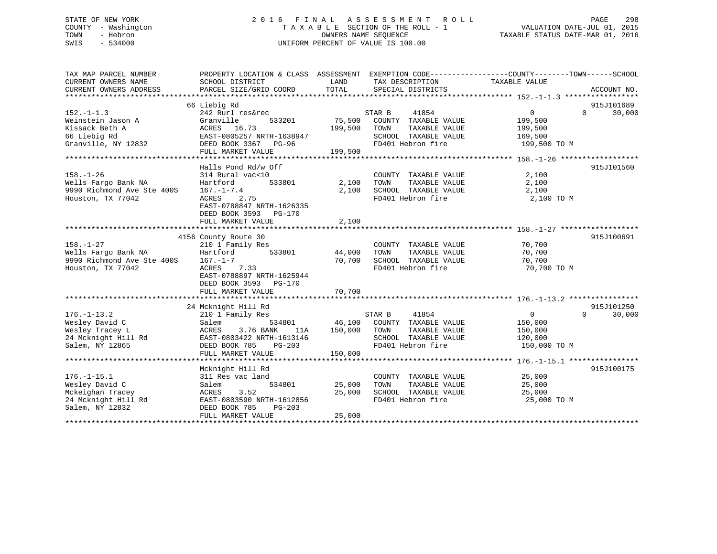# STATE OF NEW YORK 2 0 1 6 F I N A L A S S E S S M E N T R O L L PAGE 298 COUNTY - Washington T A X A B L E SECTION OF THE ROLL - 1 VALUATION DATE-JUL 01, 2015 TOWN - Hebron OWNERS NAME SEQUENCE TAXABLE STATUS DATE-MAR 01, 2016 SWIS - 534000 UNIFORM PERCENT OF VALUE IS 100.00

| TAX MAP PARCEL NUMBER      |                           |         |                       | PROPERTY LOCATION & CLASS ASSESSMENT EXEMPTION CODE----------------COUNTY-------TOWN------SCHOOL |  |
|----------------------------|---------------------------|---------|-----------------------|--------------------------------------------------------------------------------------------------|--|
| CURRENT OWNERS NAME        | SCHOOL DISTRICT           | LAND    | TAX DESCRIPTION       | TAXABLE VALUE                                                                                    |  |
| CURRENT OWNERS ADDRESS     | PARCEL SIZE/GRID COORD    | TOTAL   | SPECIAL DISTRICTS     | ACCOUNT NO.                                                                                      |  |
|                            |                           |         |                       |                                                                                                  |  |
|                            | 66 Liebig Rd              |         |                       | 915J101689                                                                                       |  |
| $152. - 1 - 1.3$           | 242 Rurl res&rec          |         | 41854<br>STAR B       | 0<br>$\Omega$<br>30,000                                                                          |  |
| Weinstein Jason A          | 533201<br>Granville       | 75,500  | COUNTY TAXABLE VALUE  | 199,500                                                                                          |  |
| Kissack Beth A             | ACRES 16.73               | 199,500 | TOWN<br>TAXABLE VALUE | 199,500                                                                                          |  |
| 66 Liebig Rd               | EAST-0805257 NRTH-1638947 |         | SCHOOL TAXABLE VALUE  | 169,500                                                                                          |  |
| Granville, NY 12832        | DEED BOOK 3367 PG-96      |         | FD401 Hebron fire     | 199,500 TO M                                                                                     |  |
|                            | FULL MARKET VALUE         | 199,500 |                       |                                                                                                  |  |
|                            |                           |         |                       |                                                                                                  |  |
|                            | Halls Pond Rd/w Off       |         |                       | 915J101560                                                                                       |  |
| $158. - 1 - 26$            | 314 Rural vac<10          |         | COUNTY TAXABLE VALUE  | 2,100                                                                                            |  |
| Wells Fargo Bank NA        | 533801<br>Hartford        | 2,100   | TAXABLE VALUE<br>TOWN | 2,100                                                                                            |  |
| 9990 Richmond Ave Ste 400S | $167. - 1 - 7.4$          | 2,100   | SCHOOL TAXABLE VALUE  | 2,100                                                                                            |  |
|                            | ACRES 2.75                |         | FD401 Hebron fire     |                                                                                                  |  |
| Houston, TX 77042          |                           |         |                       | 2,100 TO M                                                                                       |  |
|                            | EAST-0788847 NRTH-1626335 |         |                       |                                                                                                  |  |
|                            | DEED BOOK 3593 PG-170     |         |                       |                                                                                                  |  |
|                            | FULL MARKET VALUE         | 2,100   |                       |                                                                                                  |  |
|                            |                           |         |                       |                                                                                                  |  |
|                            | 4156 County Route 30      |         |                       | 915J100691                                                                                       |  |
| $158. - 1 - 27$            | 210 1 Family Res          |         | COUNTY TAXABLE VALUE  | 70,700                                                                                           |  |
| Wells Fargo Bank NA        | 533801<br>Hartford        | 44,000  | TOWN<br>TAXABLE VALUE | 70,700                                                                                           |  |
| 9990 Richmond Ave Ste 400S | $167. - 1 - 7$            | 70,700  | SCHOOL TAXABLE VALUE  | 70,700                                                                                           |  |
| Houston, TX 77042          | 7.33<br>ACRES             |         | FD401 Hebron fire     | 70,700 TO M                                                                                      |  |
|                            | EAST-0788897 NRTH-1625944 |         |                       |                                                                                                  |  |
|                            | DEED BOOK 3593 PG-170     |         |                       |                                                                                                  |  |
|                            | FULL MARKET VALUE         | 70,700  |                       |                                                                                                  |  |
|                            |                           |         |                       |                                                                                                  |  |
|                            | 24 Mcknight Hill Rd       |         |                       | 915J101250                                                                                       |  |
| $176. - 1 - 13.2$          | 210 1 Family Res          |         | 41854<br>STAR B       | $\overline{0}$<br>$\Omega$<br>30,000                                                             |  |
| Wesley David C             | 534801<br>Salem           | 46,100  | COUNTY TAXABLE VALUE  | 150,000                                                                                          |  |
| Wesley Tracey L            | ACRES<br>3.76 BANK<br>11A | 150,000 | TOWN<br>TAXABLE VALUE | 150,000                                                                                          |  |
| 24 Mcknight Hill Rd        | EAST-0803422 NRTH-1613146 |         | SCHOOL TAXABLE VALUE  | 120,000                                                                                          |  |
| Salem, NY 12865            | DEED BOOK 785<br>$PG-203$ |         | FD401 Hebron fire     | 150,000 TO M                                                                                     |  |
|                            | FULL MARKET VALUE         | 150,000 |                       |                                                                                                  |  |
|                            |                           |         |                       |                                                                                                  |  |
|                            | Mcknight Hill Rd          |         |                       | 915J100175                                                                                       |  |
|                            |                           |         |                       |                                                                                                  |  |
| $176. - 1 - 15.1$          | 311 Res vac land          |         | COUNTY TAXABLE VALUE  | 25,000                                                                                           |  |
| Wesley David C             | 534801<br>Salem           | 25,000  | TOWN<br>TAXABLE VALUE | 25,000                                                                                           |  |
| Mckeighan Tracey           | 3.52<br>ACRES             | 25,000  | SCHOOL TAXABLE VALUE  | 25,000                                                                                           |  |
| 24 Mcknight Hill Rd        | EAST-0803590 NRTH-1612856 |         | FD401 Hebron fire     | 25,000 TO M                                                                                      |  |
| Salem, NY 12832            | DEED BOOK 785<br>$PG-203$ |         |                       |                                                                                                  |  |
|                            | FULL MARKET VALUE         | 25,000  |                       |                                                                                                  |  |
|                            |                           |         |                       |                                                                                                  |  |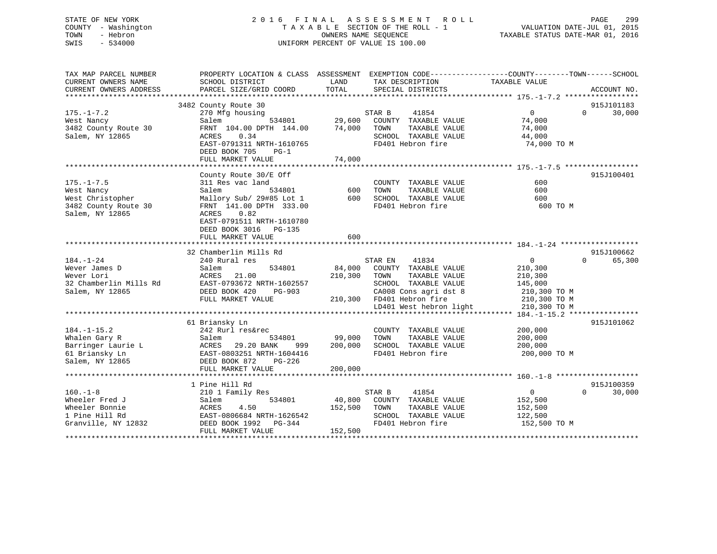# STATE OF NEW YORK 2 0 1 6 F I N A L A S S E S S M E N T R O L L PAGE 299 COUNTY - Washington T A X A B L E SECTION OF THE ROLL - 1 VALUATION DATE-JUL 01, 2015 TOWN - Hebron OWNERS NAME SEQUENCE TAXABLE STATUS DATE-MAR 01, 2016 SWIS - 534000 UNIFORM PERCENT OF VALUE IS 100.00

| TAX MAP PARCEL NUMBER<br>CURRENT OWNERS NAME<br>CURRENT OWNERS ADDRESS                        | PROPERTY LOCATION & CLASS ASSESSMENT<br>SCHOOL DISTRICT<br>PARCEL SIZE/GRID COORD                                                                                                                                  | LAND<br>TAX DESCRIPTION<br>TOTAL<br>SPECIAL DISTRICTS                                                                                                                                              | EXEMPTION CODE-----------------COUNTY-------TOWN------SCHOOL<br>TAXABLE VALUE<br>ACCOUNT NO.                                        |
|-----------------------------------------------------------------------------------------------|--------------------------------------------------------------------------------------------------------------------------------------------------------------------------------------------------------------------|----------------------------------------------------------------------------------------------------------------------------------------------------------------------------------------------------|-------------------------------------------------------------------------------------------------------------------------------------|
| $175. - 1 - 7.2$<br>West Nancy<br>3482 County Route 30<br>Salem, NY 12865                     | 3482 County Route 30<br>270 Mfg housing<br>534801<br>Salem<br>FRNT 104.00 DPTH 144.00<br>ACRES<br>0.34<br>EAST-0791311 NRTH-1610765<br>DEED BOOK 705<br>$PG-1$<br>FULL MARKET VALUE                                | STAR B<br>41854<br>29,600<br>COUNTY TAXABLE VALUE<br>74,000<br>TAXABLE VALUE<br>TOWN<br>SCHOOL TAXABLE VALUE<br>FD401 Hebron fire<br>74,000                                                        | 915J101183<br>30,000<br>0<br>$\Omega$<br>74,000<br>74,000<br>44,000<br>74,000 TO M                                                  |
| $175. - 1 - 7.5$<br>West Nancy<br>West Christopher<br>3482 County Route 30<br>Salem, NY 12865 | County Route 30/E Off<br>311 Res vac land<br>534801<br>Salem<br>Mallory Sub/ 29#85 Lot 1<br>FRNT 141.00 DPTH 333.00<br>ACRES<br>0.82<br>EAST-0791511 NRTH-1610780<br>DEED BOOK 3016<br>PG-135<br>FULL MARKET VALUE | COUNTY TAXABLE VALUE<br>600<br>TAXABLE VALUE<br>TOWN<br>600<br>SCHOOL TAXABLE VALUE<br>FD401 Hebron fire<br>600                                                                                    | 915J100401<br>600<br>600<br>600<br>600 TO M                                                                                         |
| $184. - 1 - 24$<br>Wever James D<br>Wever Lori<br>32 Chamberlin Mills Rd<br>Salem, NY 12865   | 32 Chamberlin Mills Rd<br>240 Rural res<br>534801<br>Salem<br>ACRES<br>21.00<br>EAST-0793672 NRTH-1602557<br>DEED BOOK 420<br>PG-903<br>FULL MARKET VALUE                                                          | STAR EN<br>41834<br>84,000<br>COUNTY TAXABLE VALUE<br>210,300<br>TAXABLE VALUE<br>TOWN<br>SCHOOL TAXABLE VALUE<br>CA008 Cons agri dst 8<br>210,300<br>FD401 Hebron fire<br>LD401 West hebron light | 915J100662<br>65,300<br>$\overline{0}$<br>$\Omega$<br>210,300<br>210,300<br>145,000<br>210,300 TO M<br>210,300 TO M<br>210,300 TO M |
| $184. - 1 - 15.2$<br>Whalen Gary R<br>Barringer Laurie L<br>61 Briansky Ln<br>Salem, NY 12865 | 61 Briansky Ln<br>242 Rurl res&rec<br>Salem<br>534801<br>ACRES<br>29.20 BANK<br>999<br>EAST-0803251 NRTH-1604416<br>DEED BOOK 872<br>PG-226<br>FULL MARKET VALUE                                                   | COUNTY TAXABLE VALUE<br>99,000<br>TOWN<br>TAXABLE VALUE<br>200,000<br>SCHOOL TAXABLE VALUE<br>FD401 Hebron fire<br>200,000                                                                         | 915J101062<br>200,000<br>200,000<br>200,000<br>200,000 TO M                                                                         |
| $160. -1 - 8$<br>Wheeler Fred J<br>Wheeler Bonnie<br>1 Pine Hill Rd<br>Granville, NY 12832    | 1 Pine Hill Rd<br>210 1 Family Res<br>534801<br>Salem<br>4.50<br>ACRES<br>EAST-0806684 NRTH-1626542<br>DEED BOOK 1992<br>PG-344<br>FULL MARKET VALUE                                                               | STAR B<br>41854<br>40,800<br>COUNTY TAXABLE VALUE<br>152,500<br>TOWN<br>TAXABLE VALUE<br>SCHOOL TAXABLE VALUE<br>FD401 Hebron fire<br>152,500                                                      | 915J100359<br>30,000<br>$\overline{0}$<br>$\Omega$<br>152,500<br>152,500<br>122,500<br>152,500 TO M                                 |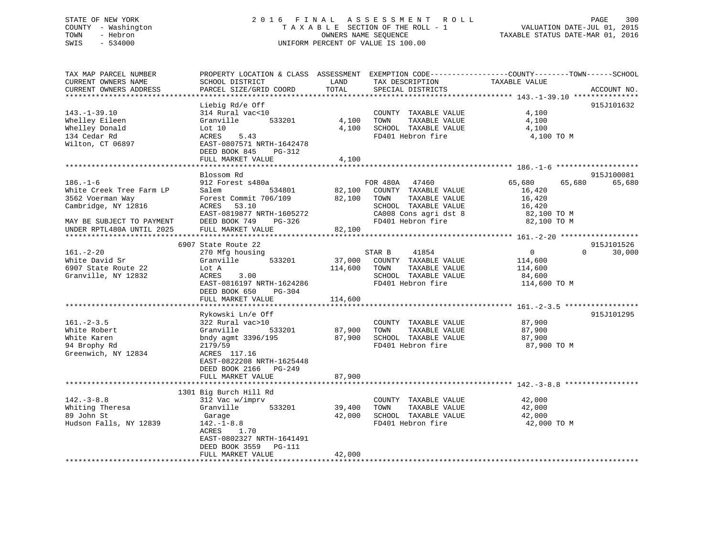## STATE OF NEW YORK 2 0 1 6 F I N A L A S S E S S M E N T R O L L PAGE 300COUNTY - Washington T A X A B L E SECTION OF THE ROLL - 1 TOWN - Hebron OWNERS NAME SEQUENCE TAXABLE STATUS DATE-MAR 01, 2016 SWIS - 534000 UNIFORM PERCENT OF VALUE IS 100.00

| TAX MAP PARCEL NUMBER               |                               |         |                                           | PROPERTY LOCATION & CLASS ASSESSMENT EXEMPTION CODE----------------COUNTY-------TOWN------SCHOOL |  |
|-------------------------------------|-------------------------------|---------|-------------------------------------------|--------------------------------------------------------------------------------------------------|--|
| CURRENT OWNERS NAME                 | SCHOOL DISTRICT               | LAND    | TAX DESCRIPTION                           | TAXABLE VALUE                                                                                    |  |
| CURRENT OWNERS ADDRESS              | PARCEL SIZE/GRID COORD        | TOTAL   | SPECIAL DISTRICTS                         | ACCOUNT NO.                                                                                      |  |
|                                     |                               |         |                                           |                                                                                                  |  |
|                                     | Liebig Rd/e Off               |         |                                           | 915J101632                                                                                       |  |
| $143. - 1 - 39.10$                  | 314 Rural vac<10              |         | COUNTY TAXABLE VALUE                      | 4,100                                                                                            |  |
| Whelley Eileen                      | Granville<br>533201           | 4,100   | TAXABLE VALUE<br>TOWN                     | 4,100                                                                                            |  |
| Whelley Donald                      | Lot 10                        | 4,100   | SCHOOL TAXABLE VALUE                      | 4,100                                                                                            |  |
| 134 Cedar Rd                        | 5.43<br>ACRES                 |         | FD401 Hebron fire                         | 4,100 TO M                                                                                       |  |
| Wilton, CT 06897                    | EAST-0807571 NRTH-1642478     |         |                                           |                                                                                                  |  |
|                                     | DEED BOOK 845<br>PG-312       |         |                                           |                                                                                                  |  |
|                                     | FULL MARKET VALUE             | 4,100   |                                           |                                                                                                  |  |
|                                     |                               |         |                                           |                                                                                                  |  |
|                                     | Blossom Rd                    |         |                                           | 915J100081                                                                                       |  |
| $186. - 1 - 6$                      | 912 Forest s480a              |         | FOR 480A 47460                            | 65,680<br>65,680<br>65,680                                                                       |  |
| White Creek Tree Farm LP            | Salem<br>534801               | 82,100  | COUNTY TAXABLE VALUE                      | 16,420                                                                                           |  |
| 3562 Voerman Way                    | Forest Commit 706/109         | 82,100  | TOWN<br>TAXABLE VALUE                     | 16,420                                                                                           |  |
| Cambridge, NY 12816                 | 53.10<br>ACRES                |         | SCHOOL TAXABLE VALUE                      | 16,420                                                                                           |  |
|                                     | EAST-0819877 NRTH-1605272     |         | CA008 Cons agri dst 8                     | 82,100 TO M                                                                                      |  |
| MAY BE SUBJECT TO PAYMENT           | DEED BOOK 749<br>$PG-326$     |         | FD401 Hebron fire                         | 82,100 TO M                                                                                      |  |
| UNDER RPTL480A UNTIL 2025           | FULL MARKET VALUE             | 82,100  |                                           |                                                                                                  |  |
|                                     |                               |         |                                           |                                                                                                  |  |
|                                     | 6907 State Route 22           |         |                                           | 915J101526                                                                                       |  |
| $161. - 2 - 20$                     | 270 Mfg housing               |         | STAR B<br>41854                           | $\Omega$<br>30,000<br>$\overline{0}$                                                             |  |
| White David Sr                      | 533201<br>Granville           |         | 37,000 COUNTY TAXABLE VALUE               | 114,600                                                                                          |  |
| 6907 State Route 22                 | Lot A                         | 114,600 | TOWN<br>TAXABLE VALUE                     | 114,600                                                                                          |  |
| Granville, NY 12832                 | 3.00<br>ACRES                 |         | SCHOOL TAXABLE VALUE                      | 84,600                                                                                           |  |
|                                     | EAST-0816197 NRTH-1624286     |         | FD401 Hebron fire                         | 114,600 TO M                                                                                     |  |
|                                     | DEED BOOK 650<br>PG-304       |         |                                           |                                                                                                  |  |
|                                     | FULL MARKET VALUE             | 114,600 |                                           |                                                                                                  |  |
|                                     |                               |         |                                           |                                                                                                  |  |
|                                     | Rykowski Ln/e Off             |         |                                           | 915J101295                                                                                       |  |
| $161. - 2 - 3.5$<br>White Robert    | 322 Rural vac>10              |         | COUNTY TAXABLE VALUE<br>TAXABLE VALUE     | 87,900                                                                                           |  |
|                                     | 533201<br>Granville           | 87,900  | TOWN                                      | 87,900                                                                                           |  |
| White Karen                         | bndy agmt 3396/195<br>2179/59 | 87,900  | SCHOOL TAXABLE VALUE<br>FD401 Hebron fire | 87,900                                                                                           |  |
| 94 Brophy Rd<br>Greenwich, NY 12834 | ACRES 117.16                  |         |                                           | 87,900 TO M                                                                                      |  |
|                                     | EAST-0822208 NRTH-1625448     |         |                                           |                                                                                                  |  |
|                                     | DEED BOOK 2166<br>$PG-249$    |         |                                           |                                                                                                  |  |
|                                     | FULL MARKET VALUE             | 87,900  |                                           |                                                                                                  |  |
|                                     |                               |         |                                           |                                                                                                  |  |
|                                     | 1301 Big Burch Hill Rd        |         |                                           |                                                                                                  |  |
| $142. - 3 - 8.8$                    | 312 Vac w/imprv               |         | COUNTY TAXABLE VALUE                      | 42,000                                                                                           |  |
| Whiting Theresa                     | Granville<br>533201           | 39,400  | TOWN<br>TAXABLE VALUE                     | 42,000                                                                                           |  |
| 89 John St                          | Garage                        | 42,000  | SCHOOL TAXABLE VALUE                      | 42,000                                                                                           |  |
| Hudson Falls, NY 12839              | $142. - 1 - 8.8$              |         | FD401 Hebron fire                         | 42,000 TO M                                                                                      |  |
|                                     | ACRES<br>1.70                 |         |                                           |                                                                                                  |  |
|                                     | EAST-0802327 NRTH-1641491     |         |                                           |                                                                                                  |  |
|                                     | DEED BOOK 3559 PG-111         |         |                                           |                                                                                                  |  |
|                                     | FULL MARKET VALUE             | 42,000  |                                           |                                                                                                  |  |
|                                     |                               |         |                                           |                                                                                                  |  |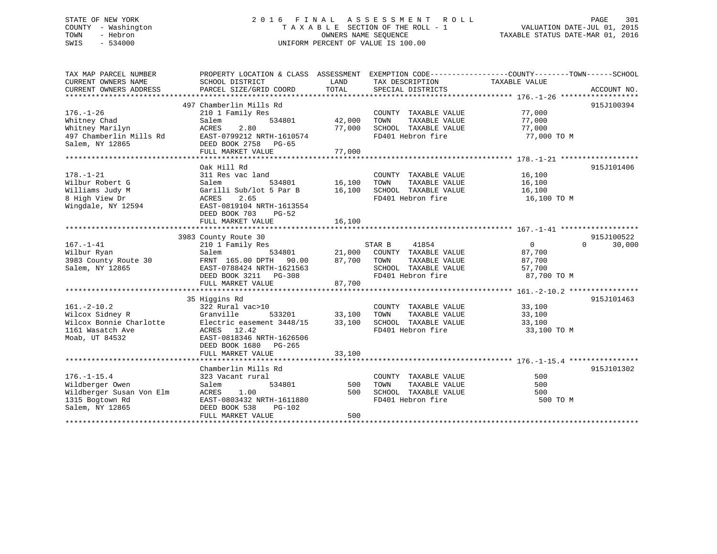# STATE OF NEW YORK 2 0 1 6 F I N A L A S S E S S M E N T R O L L PAGE 301 COUNTY - Washington T A X A B L E SECTION OF THE ROLL - 1 VALUATION DATE-JUL 01, 2015 TOWN - Hebron OWNERS NAME SEQUENCE TAXABLE STATUS DATE-MAR 01, 2016 SWIS - 534000 UNIFORM PERCENT OF VALUE IS 100.00

| TAX MAP PARCEL NUMBER    | PROPERTY LOCATION & CLASS ASSESSMENT EXEMPTION CODE---------------COUNTY-------TOWN-----SCHOOL           |                                                                                                                      |                                           |                      |                    |
|--------------------------|----------------------------------------------------------------------------------------------------------|----------------------------------------------------------------------------------------------------------------------|-------------------------------------------|----------------------|--------------------|
| CURRENT OWNERS NAME      | SCHOOL DISTRICT                                                                                          | <b>EXAMPLE EXAMPLE THE EXAMPLE EXAMPLE EXAMPLE EXAMPLE EXAMPLE EXAMPLE EXAMPLE EXAMPLE EXAMPLE EXAMPLE EXAMPLE E</b> | TAX DESCRIPTION                           | TAXABLE VALUE        |                    |
| CURRENT OWNERS ADDRESS   | PARCEL SIZE/GRID COORD                                                                                   | TOTAL                                                                                                                | SPECIAL DISTRICTS                         |                      | ACCOUNT NO.        |
|                          |                                                                                                          |                                                                                                                      |                                           |                      |                    |
| $176. - 1 - 26$          | 497 Chamberlin Mills Rd                                                                                  |                                                                                                                      | COUNTY TAXABLE VALUE                      | $\frac{77}{77}$ ,000 | 915J100394         |
| Whitney Chad             | 210 1 Family Res<br>534801                                                                               | 42,000 TOWN                                                                                                          | TAXABLE VALUE                             | 77,000               |                    |
| Whitney Marilyn          | Salem<br>2.80<br>ACRES                                                                                   | 77,000                                                                                                               | SCHOOL TAXABLE VALUE                      | 77,000               |                    |
| 497 Chamberlin Mills Rd  | EAST-0799212 NRTH-1610574                                                                                |                                                                                                                      | FD401 Hebron fire                         | 77,000 TO M          |                    |
| Salem, NY 12865          | DEED BOOK 2758 PG-65                                                                                     |                                                                                                                      |                                           |                      |                    |
|                          | FULL MARKET VALUE                                                                                        | 77,000                                                                                                               |                                           |                      |                    |
|                          |                                                                                                          |                                                                                                                      |                                           |                      |                    |
|                          | Oak Hill Rd                                                                                              |                                                                                                                      |                                           |                      | 915J101406         |
| $178. - 1 - 21$          | 311 Res vac land                                                                                         |                                                                                                                      | COUNTY TAXABLE VALUE 16,100               |                      |                    |
| Wilbur Robert G          |                                                                                                          | d COUNTY<br>534801 16,100 TOWN                                                                                       |                                           |                      |                    |
| Williams Judy M          | Salem 534801 16,100 TOWN TAXABLE VALUE 16,100 Garilli Sub/lot 5 Par B 16,100 SCHOOL TAXABLE VALUE 16,100 |                                                                                                                      |                                           |                      |                    |
| 8 High View Dr           | 2.65<br>ACRES                                                                                            |                                                                                                                      | FD401 Hebron fire 16,100 TO M             |                      |                    |
| Wingdale, NY 12594       | EAST-0819104 NRTH-1613554                                                                                |                                                                                                                      |                                           |                      |                    |
|                          | DEED BOOK 703<br>PG-52                                                                                   |                                                                                                                      |                                           |                      |                    |
|                          | FULL MARKET VALUE                                                                                        | 16,100                                                                                                               |                                           |                      |                    |
|                          |                                                                                                          |                                                                                                                      |                                           |                      |                    |
|                          | 3983 County Route 30                                                                                     |                                                                                                                      |                                           |                      | 915J100522         |
| $167. - 1 - 41$          | 210 1 Family Res                                                                                         |                                                                                                                      |                                           | $\overline{0}$       | 30,000<br>$\Omega$ |
| Wilbur Ryan              | Salem                                                                                                    |                                                                                                                      |                                           | 87,700               |                    |
| 3983 County Route 30     | FRNT 165.00 DPTH 90.00 87,700 TOWN                                                                       |                                                                                                                      | TAXABLE VALUE                             | 87,700               |                    |
| Salem, NY 12865          |                                                                                                          |                                                                                                                      |                                           | 57,700               |                    |
|                          | EAST-0788424 NRTH-1621563<br>DEED BOOK 3211 PG-308                                                       |                                                                                                                      | SCHOOL TAXABLE VALUE<br>FD401 Hebron fire | 87,700 TO M          |                    |
|                          | FULL MARKET VALUE                                                                                        | 87,700                                                                                                               |                                           |                      |                    |
|                          |                                                                                                          |                                                                                                                      |                                           |                      |                    |
|                          | 35 Higgins Rd                                                                                            |                                                                                                                      |                                           |                      | 915J101463         |
|                          |                                                                                                          |                                                                                                                      |                                           |                      |                    |
|                          |                                                                                                          |                                                                                                                      |                                           |                      |                    |
|                          |                                                                                                          |                                                                                                                      |                                           |                      |                    |
| 1161 Wasatch Ave         | ACRES 12.42                                                                                              |                                                                                                                      | FD401 Hebron fire 33,100 TO M             |                      |                    |
| Moab, UT 84532           | EAST-0818346 NRTH-1626506                                                                                |                                                                                                                      |                                           |                      |                    |
|                          | DEED BOOK 1680 PG-265                                                                                    |                                                                                                                      |                                           |                      |                    |
|                          | FULL MARKET VALUE                                                                                        | 33,100                                                                                                               |                                           |                      |                    |
|                          |                                                                                                          |                                                                                                                      |                                           |                      |                    |
|                          | Chamberlin Mills Rd                                                                                      |                                                                                                                      |                                           |                      | 915J101302         |
| $176. - 1 - 15.4$        | 323 Vacant rural                                                                                         |                                                                                                                      | COUNTY TAXABLE VALUE                      | 500                  |                    |
| Wildberger Owen          | 534801<br>Salem                                                                                          | 500 TOWN                                                                                                             | TAXABLE VALUE                             | 500                  |                    |
| Wildberger Susan Von Elm | 1.00<br>ACRES                                                                                            | 500                                                                                                                  | SCHOOL TAXABLE VALUE                      | 500                  |                    |
| 1315 Bogtown Rd          | EAST-0803432 NRTH-1611880                                                                                |                                                                                                                      | FD401 Hebron fire                         | 500 TO M             |                    |
| Salem, NY 12865          | DEED BOOK 538<br>PG-102                                                                                  |                                                                                                                      |                                           |                      |                    |
|                          | FULL MARKET VALUE                                                                                        | 500                                                                                                                  |                                           |                      |                    |
|                          |                                                                                                          |                                                                                                                      |                                           |                      |                    |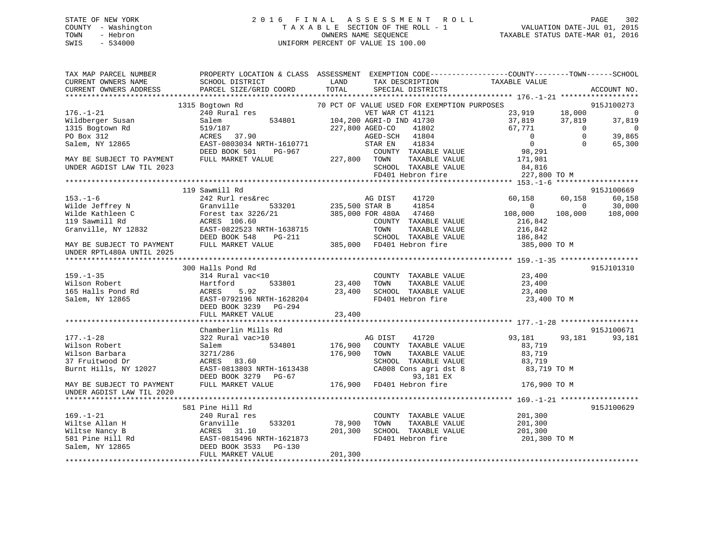# STATE OF NEW YORK 2 0 1 6 F I N A L A S S E S S M E N T R O L L PAGE 302 COUNTY - Washington T A X A B L E SECTION OF THE ROLL - 1 VALUATION DATE-JUL 01, 2015 TOWN - Hebron OWNERS NAME SEQUENCE TAXABLE STATUS DATE-MAR 01, 2016 SWIS - 534000 UNIFORM PERCENT OF VALUE IS 100.00

| 70 PCT OF VALUE USED FOR EXEMPTION PURPOSES<br>1315 Bogtown Rd<br>176.-1-21<br>$\text{Wildberger Susan}$ $\text{D1} \text{M1} \text{M2} \text{M3} \text{M3} \text{M4} \text{M4} \text{M5} \text{M4} \text{M5} \text{M5} \text{M6} \text{M6} \text{M7} \text{M8} \text{M8} \text{M9} \text{M1} \text{M8} \text{M9} \text{M1} \text{M1} \text{M1} \text{M1} \text{M1} \text{M1} \text{M1} \text{M1} \text{M1} \text{M1} \text{M1} \text{M1} \text{M1}$<br>$\begin{tabular}{lllllllll} \textsc{TONN} & \textsc{TAXABLE VALUE} & & & 171,981 \\ \textsc{SCHOOL} & \textsc{TAXABLE VALUE} & & & 84,816 \end{tabular}$<br>UNDER AGDIST LAW TIL 2023<br>FD401 Hebron fire<br>227,800 TO M<br>119 Sawmill Rd<br>11720 60,158 00,158 00,158 00,158 00,158 00,158 00,158 00,158 00,158 00,158 00,158 00,158 00,158 00,158 00,158<br>Granville 533201 235,500 STAR B 41854 0 0 0 30,000 108,000 108,000 108,000 108,000 108,000 108,000 108,000 108 | 915J100273<br>$\sim$ 0<br>37,819<br>$\sim$ 0<br>39,865<br>65,300 |                              |                                                                                                                                                                                                                |  |
|------------------------------------------------------------------------------------------------------------------------------------------------------------------------------------------------------------------------------------------------------------------------------------------------------------------------------------------------------------------------------------------------------------------------------------------------------------------------------------------------------------------------------------------------------------------------------------------------------------------------------------------------------------------------------------------------------------------------------------------------------------------------------------------------------------------------------------------------------------------------------------------------------------------------------------------|------------------------------------------------------------------|------------------------------|----------------------------------------------------------------------------------------------------------------------------------------------------------------------------------------------------------------|--|
|                                                                                                                                                                                                                                                                                                                                                                                                                                                                                                                                                                                                                                                                                                                                                                                                                                                                                                                                          |                                                                  |                              |                                                                                                                                                                                                                |  |
|                                                                                                                                                                                                                                                                                                                                                                                                                                                                                                                                                                                                                                                                                                                                                                                                                                                                                                                                          |                                                                  |                              |                                                                                                                                                                                                                |  |
|                                                                                                                                                                                                                                                                                                                                                                                                                                                                                                                                                                                                                                                                                                                                                                                                                                                                                                                                          |                                                                  |                              |                                                                                                                                                                                                                |  |
|                                                                                                                                                                                                                                                                                                                                                                                                                                                                                                                                                                                                                                                                                                                                                                                                                                                                                                                                          |                                                                  |                              |                                                                                                                                                                                                                |  |
|                                                                                                                                                                                                                                                                                                                                                                                                                                                                                                                                                                                                                                                                                                                                                                                                                                                                                                                                          |                                                                  |                              |                                                                                                                                                                                                                |  |
|                                                                                                                                                                                                                                                                                                                                                                                                                                                                                                                                                                                                                                                                                                                                                                                                                                                                                                                                          |                                                                  |                              |                                                                                                                                                                                                                |  |
|                                                                                                                                                                                                                                                                                                                                                                                                                                                                                                                                                                                                                                                                                                                                                                                                                                                                                                                                          |                                                                  |                              |                                                                                                                                                                                                                |  |
|                                                                                                                                                                                                                                                                                                                                                                                                                                                                                                                                                                                                                                                                                                                                                                                                                                                                                                                                          |                                                                  |                              |                                                                                                                                                                                                                |  |
|                                                                                                                                                                                                                                                                                                                                                                                                                                                                                                                                                                                                                                                                                                                                                                                                                                                                                                                                          |                                                                  |                              |                                                                                                                                                                                                                |  |
|                                                                                                                                                                                                                                                                                                                                                                                                                                                                                                                                                                                                                                                                                                                                                                                                                                                                                                                                          |                                                                  |                              |                                                                                                                                                                                                                |  |
|                                                                                                                                                                                                                                                                                                                                                                                                                                                                                                                                                                                                                                                                                                                                                                                                                                                                                                                                          |                                                                  |                              |                                                                                                                                                                                                                |  |
|                                                                                                                                                                                                                                                                                                                                                                                                                                                                                                                                                                                                                                                                                                                                                                                                                                                                                                                                          |                                                                  |                              |                                                                                                                                                                                                                |  |
|                                                                                                                                                                                                                                                                                                                                                                                                                                                                                                                                                                                                                                                                                                                                                                                                                                                                                                                                          |                                                                  |                              |                                                                                                                                                                                                                |  |
|                                                                                                                                                                                                                                                                                                                                                                                                                                                                                                                                                                                                                                                                                                                                                                                                                                                                                                                                          |                                                                  |                              |                                                                                                                                                                                                                |  |
|                                                                                                                                                                                                                                                                                                                                                                                                                                                                                                                                                                                                                                                                                                                                                                                                                                                                                                                                          |                                                                  |                              |                                                                                                                                                                                                                |  |
|                                                                                                                                                                                                                                                                                                                                                                                                                                                                                                                                                                                                                                                                                                                                                                                                                                                                                                                                          |                                                                  |                              |                                                                                                                                                                                                                |  |
|                                                                                                                                                                                                                                                                                                                                                                                                                                                                                                                                                                                                                                                                                                                                                                                                                                                                                                                                          |                                                                  |                              |                                                                                                                                                                                                                |  |
|                                                                                                                                                                                                                                                                                                                                                                                                                                                                                                                                                                                                                                                                                                                                                                                                                                                                                                                                          |                                                                  |                              |                                                                                                                                                                                                                |  |
|                                                                                                                                                                                                                                                                                                                                                                                                                                                                                                                                                                                                                                                                                                                                                                                                                                                                                                                                          |                                                                  |                              |                                                                                                                                                                                                                |  |
|                                                                                                                                                                                                                                                                                                                                                                                                                                                                                                                                                                                                                                                                                                                                                                                                                                                                                                                                          |                                                                  |                              |                                                                                                                                                                                                                |  |
|                                                                                                                                                                                                                                                                                                                                                                                                                                                                                                                                                                                                                                                                                                                                                                                                                                                                                                                                          |                                                                  |                              |                                                                                                                                                                                                                |  |
|                                                                                                                                                                                                                                                                                                                                                                                                                                                                                                                                                                                                                                                                                                                                                                                                                                                                                                                                          |                                                                  |                              |                                                                                                                                                                                                                |  |
|                                                                                                                                                                                                                                                                                                                                                                                                                                                                                                                                                                                                                                                                                                                                                                                                                                                                                                                                          |                                                                  |                              |                                                                                                                                                                                                                |  |
|                                                                                                                                                                                                                                                                                                                                                                                                                                                                                                                                                                                                                                                                                                                                                                                                                                                                                                                                          |                                                                  |                              |                                                                                                                                                                                                                |  |
| 300 Halls Pond Rd                                                                                                                                                                                                                                                                                                                                                                                                                                                                                                                                                                                                                                                                                                                                                                                                                                                                                                                        | 915J101310                                                       |                              |                                                                                                                                                                                                                |  |
|                                                                                                                                                                                                                                                                                                                                                                                                                                                                                                                                                                                                                                                                                                                                                                                                                                                                                                                                          |                                                                  |                              |                                                                                                                                                                                                                |  |
|                                                                                                                                                                                                                                                                                                                                                                                                                                                                                                                                                                                                                                                                                                                                                                                                                                                                                                                                          |                                                                  |                              |                                                                                                                                                                                                                |  |
|                                                                                                                                                                                                                                                                                                                                                                                                                                                                                                                                                                                                                                                                                                                                                                                                                                                                                                                                          |                                                                  |                              |                                                                                                                                                                                                                |  |
| 159.-1-35<br>Wilson Robert<br>165 Halls Pond Rd<br>165 Halls Pond Rd<br>165 Halls Pond Rd<br>165 Halls Pond Rd<br>165 Halls Pond Rd<br>167-0792196 NRTH-1628204<br>1681-0792196 NRTH-1628204<br>23,400<br>23,400<br>23,400<br>23,400<br>23,400<br>23,400<br><br>$\begin{tabular}{lcccccc}314~Rural vac<10 & & & \texttt{COUNTY} & \texttt{TAXABLE VALUE} & & & 23,400 \\ \texttt{Hartford} & & 533801 & & 23,400 & \texttt{TONIN} & \texttt{TAXABLE VALUE} & & 23,400 \\ \texttt{ACRES} & 5.92 & & 23,400 & \texttt{SCHOLDL} & \texttt{TAXABLE VALUE} & & 23,400 \\ \texttt{EAST-0792196 NRTH-1628204} & & & \texttt{FD401 Hebron fire} & & & 23,400 \\ \texttt{DEED BOK 3239}$                                                                                                                                                                                                                                                          |                                                                  |                              |                                                                                                                                                                                                                |  |
| DEED BOOK 3239 PG-294<br>23,400                                                                                                                                                                                                                                                                                                                                                                                                                                                                                                                                                                                                                                                                                                                                                                                                                                                                                                          |                                                                  |                              |                                                                                                                                                                                                                |  |
| FULL MARKET VALUE                                                                                                                                                                                                                                                                                                                                                                                                                                                                                                                                                                                                                                                                                                                                                                                                                                                                                                                        |                                                                  |                              |                                                                                                                                                                                                                |  |
| Chamberlin Mills Rd                                                                                                                                                                                                                                                                                                                                                                                                                                                                                                                                                                                                                                                                                                                                                                                                                                                                                                                      | 915J100671                                                       |                              |                                                                                                                                                                                                                |  |
| Rd $AG$ DIST $41720$<br>$177. - 1 - 28$<br>322 Rural vac>10<br>93,181 93,181                                                                                                                                                                                                                                                                                                                                                                                                                                                                                                                                                                                                                                                                                                                                                                                                                                                             |                                                                  |                              |                                                                                                                                                                                                                |  |
|                                                                                                                                                                                                                                                                                                                                                                                                                                                                                                                                                                                                                                                                                                                                                                                                                                                                                                                                          | 93,181                                                           |                              |                                                                                                                                                                                                                |  |
| Salem 534801 176,900 COUNTY TAXABLE VALUE<br>Wilson Robert<br>83,719<br>83,719<br>Wilson Barbara<br>TAXABLE VALUE                                                                                                                                                                                                                                                                                                                                                                                                                                                                                                                                                                                                                                                                                                                                                                                                                        |                                                                  |                              |                                                                                                                                                                                                                |  |
|                                                                                                                                                                                                                                                                                                                                                                                                                                                                                                                                                                                                                                                                                                                                                                                                                                                                                                                                          |                                                                  |                              |                                                                                                                                                                                                                |  |
| Salem<br>3271/286<br>ACRES 83.60<br>EAST-0813803 NRTH-1613438<br>DEED BOOK 3279 PG-67<br>TMENT FULL MARKET VALUE<br>THENT TULL MARKET VALUE<br>THENT TAXABLE VALUE<br>THENT TAXABLE VALUE<br>THENT TAXABLE VALUE<br>THENT TAXABLE VALUE<br>37 Fruitwood Dr<br>Burnt Hills, NY 12027<br>SCHOOL TAXABLE VALUE<br>CA008 Cons agri dst 8<br>93,181 EX<br>FD401 Hebron fire 176,900 TO M                                                                                                                                                                                                                                                                                                                                                                                                                                                                                                                                                      |                                                                  |                              |                                                                                                                                                                                                                |  |
|                                                                                                                                                                                                                                                                                                                                                                                                                                                                                                                                                                                                                                                                                                                                                                                                                                                                                                                                          |                                                                  |                              |                                                                                                                                                                                                                |  |
| MAY BE SUBJECT TO PAYMENT                                                                                                                                                                                                                                                                                                                                                                                                                                                                                                                                                                                                                                                                                                                                                                                                                                                                                                                |                                                                  |                              |                                                                                                                                                                                                                |  |
| UNDER AGDIST LAW TIL 2020                                                                                                                                                                                                                                                                                                                                                                                                                                                                                                                                                                                                                                                                                                                                                                                                                                                                                                                |                                                                  |                              |                                                                                                                                                                                                                |  |
|                                                                                                                                                                                                                                                                                                                                                                                                                                                                                                                                                                                                                                                                                                                                                                                                                                                                                                                                          |                                                                  |                              |                                                                                                                                                                                                                |  |
|                                                                                                                                                                                                                                                                                                                                                                                                                                                                                                                                                                                                                                                                                                                                                                                                                                                                                                                                          |                                                                  |                              |                                                                                                                                                                                                                |  |
| $169. - 1 - 21$                                                                                                                                                                                                                                                                                                                                                                                                                                                                                                                                                                                                                                                                                                                                                                                                                                                                                                                          |                                                                  |                              |                                                                                                                                                                                                                |  |
|                                                                                                                                                                                                                                                                                                                                                                                                                                                                                                                                                                                                                                                                                                                                                                                                                                                                                                                                          | 915J100629                                                       |                              |                                                                                                                                                                                                                |  |
| SCHOOL TAXABLE VALUE 201,300                                                                                                                                                                                                                                                                                                                                                                                                                                                                                                                                                                                                                                                                                                                                                                                                                                                                                                             |                                                                  | COUNTY TAXABLE VALUE 201,300 |                                                                                                                                                                                                                |  |
|                                                                                                                                                                                                                                                                                                                                                                                                                                                                                                                                                                                                                                                                                                                                                                                                                                                                                                                                          | 201,300                                                          | TOWN<br>TAXABLE VALUE        |                                                                                                                                                                                                                |  |
|                                                                                                                                                                                                                                                                                                                                                                                                                                                                                                                                                                                                                                                                                                                                                                                                                                                                                                                                          |                                                                  |                              |                                                                                                                                                                                                                |  |
|                                                                                                                                                                                                                                                                                                                                                                                                                                                                                                                                                                                                                                                                                                                                                                                                                                                                                                                                          | 201,300 TO M                                                     | FD401 Hebron fire            |                                                                                                                                                                                                                |  |
|                                                                                                                                                                                                                                                                                                                                                                                                                                                                                                                                                                                                                                                                                                                                                                                                                                                                                                                                          |                                                                  |                              | Viltse Allan H (Granville 533201 78,900<br>Wiltse Nancy B (Granville 533201 78,900<br>581 Pine Hill Rd EAST-0815496 NRTH-1621873 201,300<br>Salem, NY 12865 DEED BOOK 3533 PG-130<br>FULL MARKET VALUE 201,300 |  |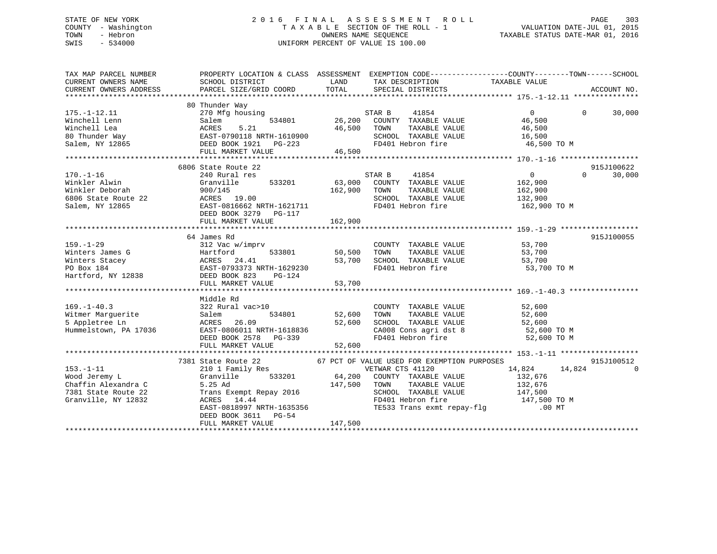# STATE OF NEW YORK 2 0 1 6 F I N A L A S S E S S M E N T R O L L PAGE 303 COUNTY - Washington T A X A B L E SECTION OF THE ROLL - 1 VALUATION DATE-JUL 01, 2015 TOWN - Hebron OWNERS NAME SEQUENCE TAXABLE STATUS DATE-MAR 01, 2016 SWIS - 534000 UNIFORM PERCENT OF VALUE IS 100.00

| TAX MAP PARCEL NUMBER<br>CURRENT OWNERS NAME                                                                                                                                                             | SCHOOL DISTRICT                                                                                                       | <b>LAND</b>   | TAX DESCRIPTION<br>TAX DESCRIPTION TAXABLE VALUE SPECIAL DISTRICTS | PROPERTY LOCATION & CLASS ASSESSMENT EXEMPTION CODE----------------COUNTY-------TOWN-----SCHOOL   |                    |
|----------------------------------------------------------------------------------------------------------------------------------------------------------------------------------------------------------|-----------------------------------------------------------------------------------------------------------------------|---------------|--------------------------------------------------------------------|---------------------------------------------------------------------------------------------------|--------------------|
| CURRENT OWNERS ADDRESS                                                                                                                                                                                   | PARCEL SIZE/GRID COORD                                                                                                | TOTAL         |                                                                    |                                                                                                   | ACCOUNT NO.        |
|                                                                                                                                                                                                          |                                                                                                                       |               |                                                                    |                                                                                                   |                    |
|                                                                                                                                                                                                          | 80 Thunder Way<br>Thunder Way<br>270 Mfg housing<br>534801 26,200 COUNTY TAXABLE VALUE<br>26,200 COUNTY TAXABLE VALUE |               |                                                                    |                                                                                                   |                    |
| $175. - 1 - 12.11$                                                                                                                                                                                       |                                                                                                                       |               |                                                                    | $0 \qquad \qquad$                                                                                 | $\Omega$<br>30,000 |
| Winchell Lenn                                                                                                                                                                                            |                                                                                                                       |               |                                                                    | 46,500                                                                                            |                    |
| Vinchell Lea<br>Winchell Lea<br>20180 Thunder Way<br>20180 Thunder Way<br>20180 Thunder Way<br>20180 EAST-0790118 NRTH-1610900 46,500 TOWN<br>20180 SCHOC<br>20180 EAST-0790118 NRTH-1610900 46,500 TOWN |                                                                                                                       |               |                                                                    | TAXABLE VALUE 46,500<br>TAXABLE VALUE 16,500                                                      |                    |
|                                                                                                                                                                                                          |                                                                                                                       |               |                                                                    |                                                                                                   |                    |
|                                                                                                                                                                                                          |                                                                                                                       |               |                                                                    | SCHOOL TAXABLE VALUE 16,500<br>FD401 Hebron fire 16,500 TO M                                      |                    |
|                                                                                                                                                                                                          | FULL MARKET VALUE                                                                                                     | 46,500        |                                                                    |                                                                                                   |                    |
|                                                                                                                                                                                                          |                                                                                                                       |               |                                                                    |                                                                                                   |                    |
|                                                                                                                                                                                                          | 6806 State Route 22                                                                                                   |               |                                                                    |                                                                                                   | 915J100622         |
| $170. - 1 - 16$                                                                                                                                                                                          | 240 Rural res                                                                                                         |               | STAR B<br>41854                                                    | $\overline{0}$                                                                                    | 30,000<br>$\Omega$ |
| Winkler Alwin                                                                                                                                                                                            | 533201 63,000<br>Granville                                                                                            |               | COUNTY TAXABLE VALUE 162,900                                       |                                                                                                   |                    |
| Winkler Deborah                                                                                                                                                                                          | 900/145                                                                                                               | 162,900       | TOWN<br>TAXABLE VALUE                                              | 162,900                                                                                           |                    |
| 6806 State Route 22                                                                                                                                                                                      | ACRES 19.00                                                                                                           |               | SCHOOL TAXABLE VALUE 132,900                                       |                                                                                                   |                    |
| Salem, NY 12865                                                                                                                                                                                          | EAST-0816662 NRTH-1621711                                                                                             |               | FD401 Hebron fire                                                  | 162,900 TO M                                                                                      |                    |
|                                                                                                                                                                                                          | DEED BOOK 3279 PG-117                                                                                                 |               |                                                                    |                                                                                                   |                    |
|                                                                                                                                                                                                          |                                                                                                                       |               |                                                                    |                                                                                                   |                    |
|                                                                                                                                                                                                          |                                                                                                                       |               |                                                                    |                                                                                                   |                    |
|                                                                                                                                                                                                          | 64 James Rd                                                                                                           |               |                                                                    |                                                                                                   | 915J100055         |
| $159. - 1 - 29$                                                                                                                                                                                          |                                                                                                                       |               |                                                                    |                                                                                                   |                    |
|                                                                                                                                                                                                          | 312 Vac $w/imprv$<br>Hartford 533801 50,500                                                                           |               | COUNTY TAXABLE VALUE 53,700<br>TOWN TAXABLE VALUE 53.700           |                                                                                                   |                    |
| 159.-1-29<br>Winters James G<br>Winters Stacey<br>PO Box 184<br>Hartford, NY 12838                                                                                                                       | Hartford                                                                                                              |               | TAXABLE VALUE<br>TOWN                                              | 53,700                                                                                            |                    |
|                                                                                                                                                                                                          | ACRES<br>24.41                                                                                                        | 53,700        | SCHOOL TAXABLE VALUE 53,700                                        |                                                                                                   |                    |
|                                                                                                                                                                                                          | EAST-0793373 NRTH-1629230                                                                                             |               | FD401 Hebron fire                                                  | 53,700 TO M                                                                                       |                    |
|                                                                                                                                                                                                          | DEED BOOK 823<br>PG-124                                                                                               |               |                                                                    |                                                                                                   |                    |
|                                                                                                                                                                                                          | FULL MARKET VALUE                                                                                                     | 53,700        |                                                                    |                                                                                                   |                    |
|                                                                                                                                                                                                          |                                                                                                                       |               |                                                                    |                                                                                                   |                    |
|                                                                                                                                                                                                          | Middle Rd                                                                                                             |               |                                                                    |                                                                                                   |                    |
| $169. - 1 - 40.3$                                                                                                                                                                                        | 322 Rural vac>10                                                                                                      |               | COUNTY TAXABLE VALUE                                               | 52,600                                                                                            |                    |
| Witmer Marguerite                                                                                                                                                                                        | Salem                                                                                                                 | 534801 52,600 | TAXABLE VALUE<br>TOWN                                              | 52,600                                                                                            |                    |
|                                                                                                                                                                                                          |                                                                                                                       |               |                                                                    |                                                                                                   |                    |
| 5 Appletree Ln<br>Hummelstown, PA 17036                                                                                                                                                                  |                                                                                                                       |               |                                                                    |                                                                                                   |                    |
|                                                                                                                                                                                                          |                                                                                                                       |               |                                                                    | SCHOOL TAXABLE VALUE 52,600<br>CA008 Cons agri dst 8 52,600 TO M<br>FD401 Hebron fire 52,600 TO M |                    |
|                                                                                                                                                                                                          | EAST-0806011 NRTH-1618836<br>DEED BOOK 2578 PG-339<br>FULL MARKET VALUE                                               |               |                                                                    |                                                                                                   |                    |
|                                                                                                                                                                                                          |                                                                                                                       |               | 67 PCT OF VALUE USED FOR EXEMPTION PURPOSES<br>3                   |                                                                                                   |                    |
|                                                                                                                                                                                                          | 7381 State Route 22                                                                                                   |               |                                                                    |                                                                                                   | 915J100512         |
| $153. - 1 - 11$                                                                                                                                                                                          | 210 1 Family Res                                                                                                      |               |                                                                    | 14,824<br>14,824                                                                                  | $\Omega$           |
| Wood Jeremy L                                                                                                                                                                                            | $\frac{1}{2}$ Res<br>533201 64,200<br>Granville                                                                       |               | COUNTY TAXABLE VALUE                                               | 132,676                                                                                           |                    |
| Chaffin Alexandra C                                                                                                                                                                                      | 5.25 Ad                                                                                                               | 147,500       | TOWN<br>TAXABLE VALUE                                              | 132,676                                                                                           |                    |
| 7381 State Route 22                                                                                                                                                                                      |                                                                                                                       |               | SCHOOL TAXABLE VALUE 147,500                                       |                                                                                                   |                    |
|                                                                                                                                                                                                          | Trans Exempt Repay 2016<br>ACRES 14.44                                                                                |               |                                                                    |                                                                                                   |                    |
| Granville, NY 12832                                                                                                                                                                                      | EAST-0818997 NRTH-1635356                                                                                             |               | FD401 Hebron fire 147,500 TO M<br>TE533 Trans exmt repay-flg 00 MT |                                                                                                   |                    |
|                                                                                                                                                                                                          |                                                                                                                       |               |                                                                    |                                                                                                   |                    |
|                                                                                                                                                                                                          | DEED BOOK 3611 PG-54                                                                                                  |               |                                                                    |                                                                                                   |                    |
|                                                                                                                                                                                                          | FULL MARKET VALUE                                                                                                     | 147,500       |                                                                    |                                                                                                   |                    |
|                                                                                                                                                                                                          |                                                                                                                       |               |                                                                    |                                                                                                   |                    |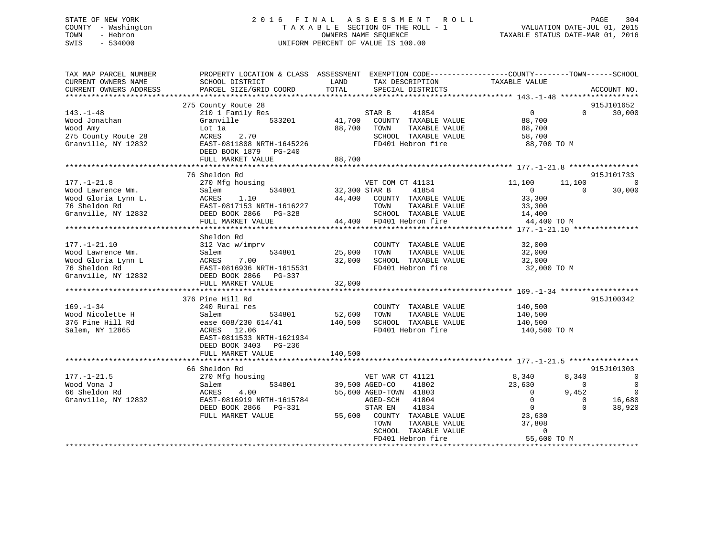# STATE OF NEW YORK 2 0 1 6 F I N A L A S S E S S M E N T R O L L PAGE 304 COUNTY - Washington T A X A B L E SECTION OF THE ROLL - 1 VALUATION DATE-JUL 01, 2015 TOWN - Hebron OWNERS NAME SEQUENCE TAXABLE STATUS DATE-MAR 01, 2016 SWIS - 534000 UNIFORM PERCENT OF VALUE IS 100.00

| TAX MAP PARCEL NUMBER<br>CURRENT OWNERS NAME<br>CURRENT OWNERS ADDRESS                                | PROPERTY LOCATION & CLASS ASSESSMENT<br>SCHOOL DISTRICT<br>PARCEL SIZE/GRID COORD                                                                                           | LAND<br>TAX DESCRIPTION<br>TOTAL<br>SPECIAL DISTRICTS                                                                                                                                                                  | EXEMPTION CODE-----------------COUNTY-------TOWN------SCHOOL<br>TAXABLE VALUE<br>ACCOUNT NO.                                                                                                                                                                              |
|-------------------------------------------------------------------------------------------------------|-----------------------------------------------------------------------------------------------------------------------------------------------------------------------------|------------------------------------------------------------------------------------------------------------------------------------------------------------------------------------------------------------------------|---------------------------------------------------------------------------------------------------------------------------------------------------------------------------------------------------------------------------------------------------------------------------|
| $143. - 1 - 48$<br>Wood Jonathan<br>Wood Amy<br>275 County Route 28<br>Granville, NY 12832            | 275 County Route 28<br>210 1 Family Res<br>Granville<br>533201<br>Lot la<br>2.70<br>ACRES<br>EAST-0811808 NRTH-1645226<br>DEED BOOK 1879<br>PG-240<br>FULL MARKET VALUE     | 41854<br>STAR B<br>41,700<br>COUNTY TAXABLE VALUE<br>88,700<br>TAXABLE VALUE<br>TOWN<br>SCHOOL TAXABLE VALUE<br>FD401 Hebron fire<br>88,700                                                                            | 915J101652<br>$\Omega$<br>30,000<br>$\Omega$<br>88,700<br>88,700<br>58,700<br>88,700 TO M                                                                                                                                                                                 |
| $177. - 1 - 21.8$<br>Wood Lawrence Wm.<br>Wood Gloria Lynn L.<br>76 Sheldon Rd<br>Granville, NY 12832 | 76 Sheldon Rd<br>270 Mfg housing<br>Salem<br>534801<br>ACRES<br>1.10<br>EAST-0817153 NRTH-1616227<br>DEED BOOK 2866<br>PG-328<br>FULL MARKET VALUE                          | VET COM CT 41131<br>32,300 STAR B<br>41854<br>44,400<br>COUNTY TAXABLE VALUE<br>TAXABLE VALUE<br>TOWN<br>SCHOOL TAXABLE VALUE<br>44,400<br>FD401 Hebron fire                                                           | 915J101733<br>11,100<br>11,100<br>$\mathbf 0$<br>30,000<br>$\Omega$<br>$\Omega$<br>33,300<br>33,300<br>14,400<br>44,400 TO M                                                                                                                                              |
| $177. - 1 - 21.10$<br>Wood Lawrence Wm.<br>Wood Gloria Lynn L<br>76 Sheldon Rd<br>Granville, NY 12832 | Sheldon Rd<br>312 Vac w/imprv<br>534801<br>Salem<br>7.00<br>ACRES<br>EAST-0816936 NRTH-1615531<br>DEED BOOK 2866<br>PG-337<br>FULL MARKET VALUE                             | COUNTY TAXABLE VALUE<br>25,000<br>TOWN<br>TAXABLE VALUE<br>32,000<br>SCHOOL TAXABLE VALUE<br>FD401 Hebron fire<br>32,000                                                                                               | 32,000<br>32,000<br>32,000<br>32,000 TO M                                                                                                                                                                                                                                 |
| $169. - 1 - 34$<br>Wood Nicolette H<br>376 Pine Hill Rd<br>Salem, NY 12865                            | 376 Pine Hill Rd<br>240 Rural res<br>Salem<br>534801<br>ease 608/230 614/41<br>ACRES<br>12.06<br>EAST-0811533 NRTH-1621934<br>DEED BOOK 3403<br>PG-236<br>FULL MARKET VALUE | COUNTY TAXABLE VALUE<br>52,600<br>TOWN<br>TAXABLE VALUE<br>140,500<br>SCHOOL TAXABLE VALUE<br>FD401 Hebron fire<br>140,500                                                                                             | 915J100342<br>140,500<br>140,500<br>140,500<br>140,500 TO M                                                                                                                                                                                                               |
| $177. - 1 - 21.5$<br>Wood Vona J<br>66 Sheldon Rd<br>Granville, NY 12832                              | 66 Sheldon Rd<br>270 Mfg housing<br>Salem<br>534801<br>ACRES<br>4.00<br>EAST-0816919 NRTH-1615784<br>DEED BOOK 2866<br>$PG-331$<br>FULL MARKET VALUE                        | VET WAR CT 41121<br>39,500 AGED-CO<br>41802<br>55,600 AGED-TOWN 41803<br>AGED-SCH<br>41804<br>STAR EN<br>41834<br>55,600<br>COUNTY TAXABLE VALUE<br>TOWN<br>TAXABLE VALUE<br>SCHOOL TAXABLE VALUE<br>FD401 Hebron fire | ***************** 177. -1-21. 5. *****************<br>915J101303<br>8,340<br>8,340<br>0<br>23,630<br>$\Omega$<br>$\Omega$<br>9,452<br>$\Omega$<br>0<br>$\mathbf{0}$<br>0<br>16,680<br>$\overline{0}$<br>$\Omega$<br>38,920<br>23,630<br>37,808<br>$\Omega$<br>55,600 TO M |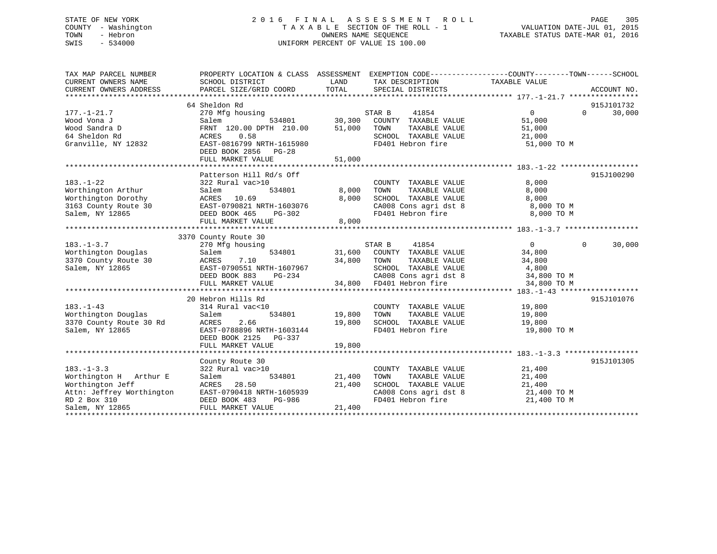# STATE OF NEW YORK 2 0 1 6 F I N A L A S S E S S M E N T R O L L PAGE 305 COUNTY - Washington T A X A B L E SECTION OF THE ROLL - 1 VALUATION DATE-JUL 01, 2015 TOWN - Hebron OWNERS NAME SEQUENCE TAXABLE STATUS DATE-MAR 01, 2016 SWIS - 534000 UNIFORM PERCENT OF VALUE IS 100.00

| TAX MAP PARCEL NUMBER<br>CURRENT OWNERS NAME<br>CURRENT OWNERS ADDRESS                                                         | PROPERTY LOCATION & CLASS ASSESSMENT<br>SCHOOL DISTRICT<br>PARCEL SIZE/GRID COORD                                                                               | LAND<br>TOTAL                                                  | TAX DESCRIPTION<br>SPECIAL DISTRICTS                                                                        | EXEMPTION CODE-----------------COUNTY--------TOWN------SCHOOL<br>TAXABLE VALUE | ACCOUNT NO.                      |
|--------------------------------------------------------------------------------------------------------------------------------|-----------------------------------------------------------------------------------------------------------------------------------------------------------------|----------------------------------------------------------------|-------------------------------------------------------------------------------------------------------------|--------------------------------------------------------------------------------|----------------------------------|
| $177. - 1 - 21.7$<br>Wood Vona J<br>Wood Sandra D<br>64 Sheldon Rd<br>Granville, NY 12832                                      | 64 Sheldon Rd<br>270 Mfg housing<br>Salem<br>FRNT 120.00 DPTH 210.00<br>0.58<br>ACRES<br>EAST-0816799 NRTH-1615980<br>DEED BOOK 2856 PG-28<br>FULL MARKET VALUE | STAR B<br>534801 30,300<br>51,000<br>TOWN<br>51,000            | 41854<br>COUNTY TAXABLE VALUE<br>TAXABLE VALUE<br>SCHOOL TAXABLE VALUE<br>FD401 Hebron fire                 | $\Omega$<br>51,000<br>51,000<br>21,000<br>51,000 TO M                          | 915J101732<br>30,000<br>$\Omega$ |
| $183. - 1 - 22$<br>Worthington Arthur<br>Worthington Dorothy<br>3163 County Route 30<br>Salem, NY 12865                        | Patterson Hill Rd/s Off<br>322 Rural vac>10<br>534801<br>Salem<br>ACRES 10.69<br>EAST-0790821 NRTH-1603076<br>DEED BOOK 465<br>PG-302<br>FULL MARKET VALUE      | 8,000<br>TOWN<br>8,000<br>8,000                                | COUNTY TAXABLE VALUE<br>TAXABLE VALUE<br>SCHOOL TAXABLE VALUE<br>CA008 Cons agri dst 8<br>FD401 Hebron fire | 8,000<br>8,000<br>8,000<br>8,000 TO M<br>8,000 TO M                            | 915J100290                       |
| $183. - 1 - 3.7$<br>Worthington Douglas<br>3370 County Route 30<br>Salem, NY 12865                                             | 3370 County Route 30<br>270 Mfg housing<br>Salem<br>534801<br>ACRES<br>7.10<br>EAST-0790551 NRTH-1607967<br>DEED BOOK 883<br>PG-234<br>FULL MARKET VALUE        | STAR B<br>31,600<br>34,800<br>TOWN<br>34,800 FD401 Hebron fire | 41854<br>COUNTY TAXABLE VALUE<br>TAXABLE VALUE<br>SCHOOL TAXABLE VALUE<br>CA008 Cons agri dst 8             | $\Omega$<br>34,800<br>34,800<br>4,800<br>34,800 TO M<br>34,800 TO M            | $\Omega$<br>30,000               |
| $183. - 1 - 43$<br>Worthington Douglas<br>3370 County Route 30 Rd<br>Salem, NY 12865                                           | 20 Hebron Hills Rd<br>314 Rural vac<10<br>Salem<br>534801<br>2.66<br>ACRES<br>EAST-0788896 NRTH-1603144<br>DEED BOOK 2125 PG-337<br>FULL MARKET VALUE           | 19,800<br>TOWN<br>19,800<br>19,800                             | COUNTY TAXABLE VALUE<br>TAXABLE VALUE<br>SCHOOL TAXABLE VALUE<br>FD401 Hebron fire                          | 19,800<br>19,800<br>19,800<br>19,800 TO M                                      | 915J101076                       |
| $183. - 1 - 3.3$<br>Worthington H Arthur E<br>Worthington Jeff<br>Attn: Jeffrey Worthington<br>RD 2 Box 310<br>Salem, NY 12865 | County Route 30<br>322 Rural vac>10<br>534801<br>Salem<br>28.50<br>ACRES<br>EAST-0790418 NRTH-1605939<br>DEED BOOK 483<br>PG-986<br>FULL MARKET VALUE           | 21,400<br>TOWN<br>21,400<br>21,400                             | COUNTY TAXABLE VALUE<br>TAXABLE VALUE<br>SCHOOL TAXABLE VALUE<br>CA008 Cons agri dst 8<br>FD401 Hebron fire | 21,400<br>21,400<br>21,400<br>21,400 TO M<br>21,400 TO M                       | 915J101305                       |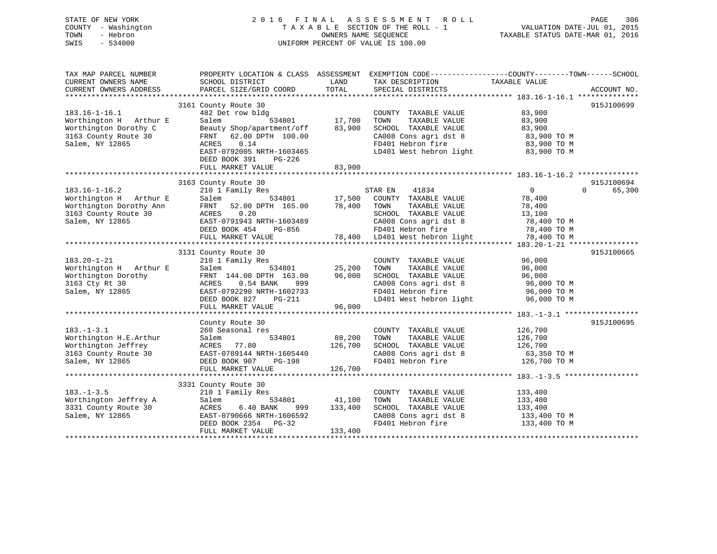# STATE OF NEW YORK 2 0 1 6 F I N A L A S S E S S M E N T R O L L PAGE 306 COUNTY - Washington T A X A B L E SECTION OF THE ROLL - 1 VALUATION DATE-JUL 01, 2015 TOWN - Hebron OWNERS NAME SEQUENCE TAXABLE STATUS DATE-MAR 01, 2016 SWIS - 534000 UNIFORM PERCENT OF VALUE IS 100.00

| TAX MAP PARCEL NUMBER<br>CURRENT OWNERS NAME<br>CURRENT OWNERS ADDRESS | PROPERTY LOCATION & CLASS ASSESSMENT<br>SCHOOL DISTRICT<br>PARCEL SIZE/GRID COORD | LAND<br>TOTAL | EXEMPTION CODE-----------------COUNTY-------TOWN------SCHOOL<br>TAX DESCRIPTION<br>SPECIAL DISTRICTS | TAXABLE VALUE | ACCOUNT NO.        |
|------------------------------------------------------------------------|-----------------------------------------------------------------------------------|---------------|------------------------------------------------------------------------------------------------------|---------------|--------------------|
|                                                                        |                                                                                   |               |                                                                                                      |               |                    |
|                                                                        | 3161 County Route 30                                                              |               |                                                                                                      |               | 915J100699         |
| $183.16 - 1 - 16.1$                                                    | 482 Det row bldg                                                                  |               | COUNTY TAXABLE VALUE                                                                                 | 83,900        |                    |
| Worthington H Arthur E                                                 | Salem<br>534801                                                                   | 17,700        | TAXABLE VALUE<br>TOWN                                                                                | 83,900        |                    |
| Worthington Dorothy C                                                  | Beauty Shop/apartment/off                                                         | 83,900        | SCHOOL TAXABLE VALUE                                                                                 | 83,900        |                    |
| 3163 County Route 30                                                   | 62.00 DPTH 100.00<br>FRNT                                                         |               | CA008 Cons agri dst 8                                                                                | 83,900 TO M   |                    |
| Salem, NY 12865                                                        | ACRES<br>0.14                                                                     |               | FD401 Hebron fire                                                                                    | 83,900 TO M   |                    |
|                                                                        | EAST-0792005 NRTH-1603465                                                         |               | LD401 West hebron light                                                                              | 83,900 TO M   |                    |
|                                                                        | DEED BOOK 391<br>$PG-226$                                                         |               |                                                                                                      |               |                    |
|                                                                        | FULL MARKET VALUE                                                                 | 83,900        |                                                                                                      |               |                    |
|                                                                        |                                                                                   |               |                                                                                                      |               |                    |
|                                                                        | 3163 County Route 30                                                              |               |                                                                                                      |               | 915J100694         |
| $183.16 - 1 - 16.2$                                                    | 210 1 Family Res                                                                  |               | STAR EN<br>41834                                                                                     | $\Omega$      | $\Omega$<br>65,300 |
|                                                                        |                                                                                   | 17,500        |                                                                                                      |               |                    |
| Worthington H Arthur E                                                 | 534801<br>Salem                                                                   |               | COUNTY TAXABLE VALUE                                                                                 | 78,400        |                    |
| Worthington Dorothy Ann                                                | FRNT<br>52.00 DPTH 165.00                                                         | 78,400        | TOWN<br>TAXABLE VALUE                                                                                | 78,400        |                    |
| 3163 County Route 30                                                   | ACRES<br>0.20                                                                     |               | SCHOOL TAXABLE VALUE                                                                                 | 13,100        |                    |
| Salem, NY 12865                                                        | EAST-0791943 NRTH-1603489                                                         |               | CA008 Cons agri dst 8                                                                                | 78,400 TO M   |                    |
|                                                                        | DEED BOOK 454<br>PG-856                                                           |               | FD401 Hebron fire                                                                                    | 78,400 TO M   |                    |
|                                                                        | FULL MARKET VALUE                                                                 |               | 78,400 LD401 West hebron light                                                                       | 78,400 TO M   |                    |
|                                                                        |                                                                                   |               |                                                                                                      |               |                    |
|                                                                        | 3131 County Route 30                                                              |               |                                                                                                      |               | 915J100665         |
| $183.20 - 1 - 21$                                                      | 210 1 Family Res                                                                  |               | COUNTY TAXABLE VALUE                                                                                 | 96,000        |                    |
| Worthington H Arthur E                                                 | Salem<br>534801                                                                   | 25,200        | TOWN<br>TAXABLE VALUE                                                                                | 96,000        |                    |
| Worthington Dorothy                                                    | FRNT 144.00 DPTH 163.00                                                           | 96,000        | SCHOOL TAXABLE VALUE                                                                                 | 96,000        |                    |
| 3163 Cty Rt 30                                                         | ACRES<br>$0.54$ BANK<br>999                                                       |               | CA008 Cons agri dst 8                                                                                | 96,000 TO M   |                    |
| Salem, NY 12865                                                        | EAST-0792290 NRTH-1602733                                                         |               | FD401 Hebron fire                                                                                    | 96,000 TO M   |                    |
|                                                                        | DEED BOOK 827<br>PG-211                                                           |               | LD401 West hebron light                                                                              | 96,000 TO M   |                    |
|                                                                        | FULL MARKET VALUE                                                                 | 96,000        |                                                                                                      |               |                    |
|                                                                        |                                                                                   |               |                                                                                                      |               |                    |
|                                                                        | County Route 30                                                                   |               |                                                                                                      |               | 915J100695         |
| $183. - 1 - 3.1$                                                       | 260 Seasonal res                                                                  |               | COUNTY TAXABLE VALUE                                                                                 | 126,700       |                    |
| Worthington H.E.Arthur                                                 | 534801<br>Salem                                                                   | 88,200        | TOWN<br>TAXABLE VALUE                                                                                | 126,700       |                    |
| Worthington Jeffrey                                                    | 77.80<br>ACRES                                                                    | 126,700       | SCHOOL TAXABLE VALUE                                                                                 | 126,700       |                    |
| 3163 County Route 30                                                   | EAST-0789144 NRTH-1605440                                                         |               | CA008 Cons agri dst 8                                                                                | 63,350 TO M   |                    |
| Salem, NY 12865                                                        | DEED BOOK 907<br>PG-198                                                           |               | FD401 Hebron fire                                                                                    | 126,700 TO M  |                    |
|                                                                        | FULL MARKET VALUE                                                                 | 126,700       |                                                                                                      |               |                    |
|                                                                        |                                                                                   |               |                                                                                                      |               |                    |
|                                                                        | 3331 County Route 30                                                              |               |                                                                                                      |               |                    |
|                                                                        |                                                                                   |               |                                                                                                      |               |                    |
| $183. - 1 - 3.5$                                                       | 210 1 Family Res                                                                  |               | COUNTY TAXABLE VALUE                                                                                 | 133,400       |                    |
| Worthington Jeffrey A                                                  | Salem<br>534801                                                                   | 41,100        | TAXABLE VALUE<br>TOWN                                                                                | 133,400       |                    |
| 3331 County Route 30                                                   | ACRES<br>6.40 BANK<br>999                                                         | 133,400       | SCHOOL TAXABLE VALUE                                                                                 | 133,400       |                    |
| Salem, NY 12865                                                        | EAST-0790666 NRTH-1606592                                                         |               | CA008 Cons agri dst 8                                                                                | 133,400 TO M  |                    |
|                                                                        | DEED BOOK 2354 PG-32                                                              |               | FD401 Hebron fire                                                                                    | 133,400 TO M  |                    |
|                                                                        | FULL MARKET VALUE                                                                 | 133,400       |                                                                                                      |               |                    |
|                                                                        |                                                                                   |               |                                                                                                      |               |                    |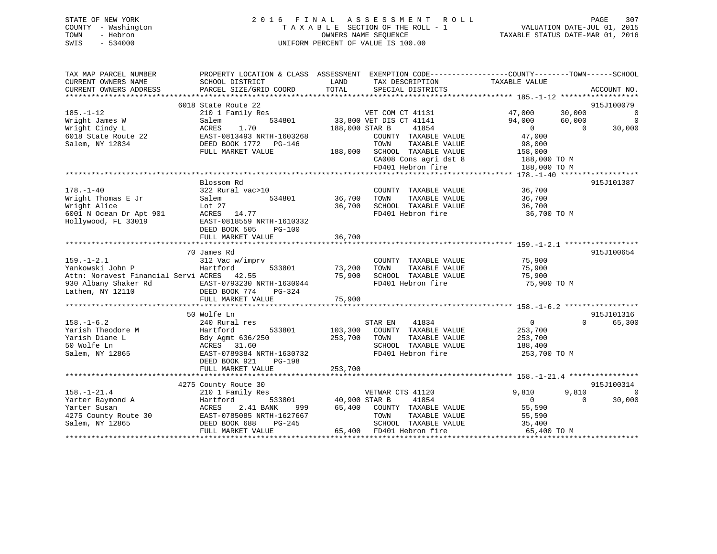# STATE OF NEW YORK 2 0 1 6 F I N A L A S S E S S M E N T R O L L PAGE 307 COUNTY - Washington T A X A B L E SECTION OF THE ROLL - 1 VALUATION DATE-JUL 01, 2015 TOWN - Hebron OWNERS NAME SEQUENCE TAXABLE STATUS DATE-MAR 01, 2016 SWIS - 534000 UNIFORM PERCENT OF VALUE IS 100.00

| TAX MAP PARCEL NUMBER<br>CURRENT OWNERS NAME | PROPERTY LOCATION & CLASS ASSESSMENT<br>SCHOOL DISTRICT | LAND           | EXEMPTION CODE-----------------COUNTY-------TOWN------SCHOOL<br>TAX DESCRIPTION | TAXABLE VALUE  |          |                |
|----------------------------------------------|---------------------------------------------------------|----------------|---------------------------------------------------------------------------------|----------------|----------|----------------|
| CURRENT OWNERS ADDRESS                       | PARCEL SIZE/GRID COORD                                  | TOTAL          | SPECIAL DISTRICTS                                                               |                |          | ACCOUNT NO.    |
|                                              |                                                         |                |                                                                                 |                |          |                |
|                                              | 6018 State Route 22                                     |                |                                                                                 |                |          | 915J100079     |
| $185. - 1 - 12$                              | 210 1 Family Res                                        |                | VET COM CT 41131                                                                | 47,000         | 30,000   | $\overline{0}$ |
| Wright James W                               | 534801<br>Salem                                         |                | 33,800 VET DIS CT 41141                                                         | 94,000         | 60,000   | $\Omega$       |
| Wright Cindy L                               | ACRES<br>1.70                                           | 188,000 STAR B | 41854                                                                           | $\overline{0}$ | $\Omega$ | 30,000         |
| 6018 State Route 22                          | EAST-0813493 NRTH-1603268                               |                | COUNTY TAXABLE VALUE                                                            | 47,000         |          |                |
| Salem, NY 12834                              | DEED BOOK 1772<br>PG-146                                |                | TAXABLE VALUE<br>TOWN                                                           | 98,000         |          |                |
|                                              | FULL MARKET VALUE                                       |                | 188,000 SCHOOL TAXABLE VALUE                                                    | 158,000        |          |                |
|                                              |                                                         |                | CA008 Cons agri dst 8                                                           | 188,000 TO M   |          |                |
|                                              |                                                         |                | FD401 Hebron fire                                                               | 188,000 TO M   |          |                |
|                                              |                                                         |                |                                                                                 |                |          |                |
|                                              | Blossom Rd                                              |                |                                                                                 |                |          | 915J101387     |
| $178. - 1 - 40$                              | 322 Rural vac>10                                        |                | COUNTY TAXABLE VALUE                                                            | 36,700         |          |                |
| Wright Thomas E Jr                           | 534801<br>Salem                                         | 36,700         | TOWN<br>TAXABLE VALUE                                                           | 36,700         |          |                |
| Wright Alice                                 | Lot 27                                                  | 36,700         | SCHOOL TAXABLE VALUE                                                            | 36,700         |          |                |
| 6001 N Ocean Dr Apt 901                      | ACRES 14.77                                             |                | FD401 Hebron fire                                                               | 36,700 TO M    |          |                |
| Hollywood, FL 33019                          | EAST-0818559 NRTH-1610332                               |                |                                                                                 |                |          |                |
|                                              | DEED BOOK 505<br>$PG-100$                               |                |                                                                                 |                |          |                |
|                                              | FULL MARKET VALUE                                       | 36,700         |                                                                                 |                |          |                |
|                                              |                                                         |                |                                                                                 |                |          |                |
|                                              | 70 James Rd                                             |                |                                                                                 |                |          | 915J100654     |
| $159. - 1 - 2.1$                             | 312 Vac w/imprv                                         |                | COUNTY TAXABLE VALUE                                                            | 75,900         |          |                |
| Yankowski John P                             | 533801<br>Hartford                                      | 73,200         | TOWN<br>TAXABLE VALUE                                                           | 75,900         |          |                |
| Attn: Noravest Financial Servi ACRES 42.55   |                                                         | 75,900         | SCHOOL TAXABLE VALUE                                                            | 75,900         |          |                |
| 930 Albany Shaker Rd                         | EAST-0793230 NRTH-1630044                               |                | FD401 Hebron fire                                                               | 75,900 TO M    |          |                |
| Lathem, NY 12110                             | DEED BOOK 774<br>PG-324                                 |                |                                                                                 |                |          |                |
|                                              | FULL MARKET VALUE                                       | 75,900         |                                                                                 |                |          |                |
|                                              |                                                         |                |                                                                                 |                |          |                |
|                                              | 50 Wolfe Ln                                             |                |                                                                                 |                |          | 915J101316     |
| $158. - 1 - 6.2$                             | 240 Rural res                                           |                | 41834<br>STAR EN                                                                | $\Omega$       | $\Omega$ | 65,300         |
| Yarish Theodore M                            | Hartford<br>533801                                      | 103,300        | COUNTY TAXABLE VALUE                                                            | 253,700        |          |                |
| Yarish Diane L                               | Bdy Agmt 636/250                                        | 253,700        | TAXABLE VALUE<br>TOWN                                                           | 253,700        |          |                |
| 50 Wolfe Ln                                  | ACRES 31.60                                             |                | SCHOOL TAXABLE VALUE                                                            | 188,400        |          |                |
| Salem, NY 12865                              | EAST-0789384 NRTH-1630732                               |                | FD401 Hebron fire                                                               | 253,700 TO M   |          |                |
|                                              | DEED BOOK 921<br>$PG-198$                               |                |                                                                                 |                |          |                |
|                                              | FULL MARKET VALUE                                       | 253,700        |                                                                                 |                |          |                |
|                                              |                                                         |                |                                                                                 |                |          |                |
|                                              | 4275 County Route 30                                    |                |                                                                                 |                |          | 915J100314     |
| $158. - 1 - 21.4$                            | 210 1 Family Res                                        |                | VETWAR CTS 41120                                                                | 9,810          | 9,810    | $\Omega$       |
| Yarter Raymond A                             | Hartford<br>533801                                      | 40,900 STAR B  | 41854                                                                           | $\Omega$       | $\Omega$ | 30,000         |
| Yarter Susan                                 | 2.41 BANK<br>ACRES<br>999                               | 65,400         | COUNTY TAXABLE VALUE                                                            | 55,590         |          |                |
| 4275 County Route 30                         | EAST-0785085 NRTH-1627667                               |                | TOWN<br>TAXABLE VALUE                                                           | 55,590         |          |                |
| Salem, NY 12865                              | DEED BOOK 688<br>PG-245                                 |                | SCHOOL TAXABLE VALUE                                                            | 35,400         |          |                |
|                                              | FULL MARKET VALUE                                       |                | 65,400 FD401 Hebron fire                                                        | 65,400 TO M    |          |                |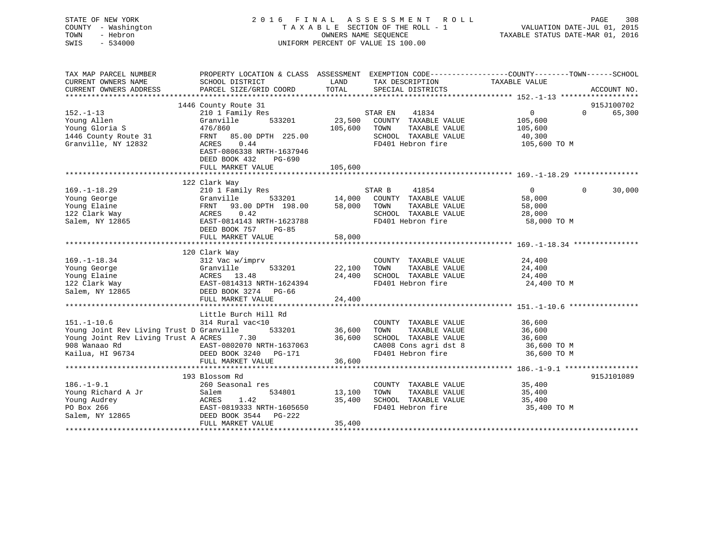| STATE OF NEW YORK<br>COUNTY - Washington<br>- Hebron<br>TOWN<br>$-534000$<br>SWIS     |                                                                                                                     | OWNERS NAME SEQUENCE | 2016 FINAL ASSESSMENT ROLL<br>TAXABLE SECTION OF THE ROLL - 1<br>UNIFORM PERCENT OF VALUE IS 100.00 | VALUATION DATE-JUL 01, 2015<br>TAXABLE STATUS DATE-MAR 01, 2016 | PAGE<br>308        |
|---------------------------------------------------------------------------------------|---------------------------------------------------------------------------------------------------------------------|----------------------|-----------------------------------------------------------------------------------------------------|-----------------------------------------------------------------|--------------------|
| TAX MAP PARCEL NUMBER<br>CURRENT OWNERS NAME                                          | PROPERTY LOCATION & CLASS ASSESSMENT EXEMPTION CODE----------------COUNTY-------TOWN------SCHOOL<br>SCHOOL DISTRICT | LAND                 | TAX DESCRIPTION                                                                                     | TAXABLE VALUE                                                   |                    |
| CURRENT OWNERS ADDRESS                                                                | PARCEL SIZE/GRID COORD                                                                                              | TOTAL                | SPECIAL DISTRICTS                                                                                   |                                                                 | ACCOUNT NO.        |
|                                                                                       |                                                                                                                     |                      |                                                                                                     |                                                                 |                    |
|                                                                                       | 1446 County Route 31                                                                                                |                      |                                                                                                     |                                                                 | 915J100702         |
| $152. - 1 - 13$                                                                       | 210 1 Family Res                                                                                                    |                      | STAR EN<br>41834                                                                                    | $\overline{0}$                                                  | $\Omega$<br>65,300 |
| Young Allen                                                                           | Granville<br>533201                                                                                                 | 23,500               | COUNTY TAXABLE VALUE                                                                                | 105,600                                                         |                    |
| Young Gloria S                                                                        | 476/860                                                                                                             | 105,600              | TAXABLE VALUE<br>TOWN                                                                               | 105,600                                                         |                    |
| 1446 County Route 31                                                                  | FRNT 85.00 DPTH 225.00<br>0.44                                                                                      |                      | SCHOOL TAXABLE VALUE<br>FD401 Hebron fire                                                           | 40,300                                                          |                    |
| Granville, NY 12832                                                                   | ACRES<br>EAST-0806338 NRTH-1637946                                                                                  |                      |                                                                                                     | 105,600 TO M                                                    |                    |
|                                                                                       | DEED BOOK 432<br>PG-690                                                                                             |                      |                                                                                                     |                                                                 |                    |
|                                                                                       | FULL MARKET VALUE                                                                                                   | 105,600              |                                                                                                     |                                                                 |                    |
|                                                                                       |                                                                                                                     |                      |                                                                                                     |                                                                 |                    |
|                                                                                       | 122 Clark Way                                                                                                       |                      |                                                                                                     |                                                                 |                    |
| $169. - 1 - 18.29$                                                                    | 210 1 Family Res                                                                                                    |                      | 41854<br>STAR B                                                                                     | $\overline{0}$                                                  | $\Omega$<br>30,000 |
| Young George                                                                          | 533201<br>Granville                                                                                                 | 14,000               | COUNTY TAXABLE VALUE                                                                                | 58,000                                                          |                    |
| Young Elaine                                                                          | FRNT 93.00 DPTH 198.00                                                                                              | 58,000               | TOWN<br>TAXABLE VALUE                                                                               | 58,000                                                          |                    |
| 122 Clark Way                                                                         | 0.42<br>ACRES                                                                                                       |                      | SCHOOL TAXABLE VALUE                                                                                | 28,000                                                          |                    |
| Salem, NY 12865                                                                       | EAST-0814143 NRTH-1623788<br>DEED BOOK 757                                                                          |                      | FD401 Hebron fire                                                                                   | 58,000 TO M                                                     |                    |
|                                                                                       | <b>PG-85</b><br>FULL MARKET VALUE                                                                                   | 58,000               |                                                                                                     |                                                                 |                    |
|                                                                                       |                                                                                                                     |                      |                                                                                                     |                                                                 |                    |
|                                                                                       | 120 Clark Way                                                                                                       |                      |                                                                                                     |                                                                 |                    |
| $169. - 1 - 18.34$                                                                    | 312 Vac w/imprv                                                                                                     |                      | COUNTY TAXABLE VALUE                                                                                | 24,400                                                          |                    |
| Young George                                                                          | 533201<br>Granville                                                                                                 | 22,100               | TAXABLE VALUE<br>TOWN                                                                               | 24,400                                                          |                    |
| Young Elaine                                                                          | ACRES 13.48                                                                                                         | 24,400               | SCHOOL TAXABLE VALUE                                                                                | 24,400                                                          |                    |
| 122 Clark Way                                                                         | EAST-0814313 NRTH-1624394                                                                                           |                      | FD401 Hebron fire                                                                                   | 24,400 TO M                                                     |                    |
| Salem, NY 12865                                                                       | DEED BOOK 3274 PG-66                                                                                                |                      |                                                                                                     |                                                                 |                    |
|                                                                                       | FULL MARKET VALUE                                                                                                   | 24,400               |                                                                                                     |                                                                 |                    |
|                                                                                       |                                                                                                                     |                      |                                                                                                     |                                                                 |                    |
|                                                                                       | Little Burch Hill Rd                                                                                                |                      |                                                                                                     |                                                                 |                    |
| $151. - 1 - 10.6$                                                                     | 314 Rural vac<10                                                                                                    | 36,600               | COUNTY TAXABLE VALUE<br>TOWN<br>TAXABLE VALUE                                                       | 36,600                                                          |                    |
| Young Joint Rev Living Trust D Granville<br>Young Joint Rev Living Trust A ACRES 7.30 | 533201                                                                                                              | 36,600               | SCHOOL TAXABLE VALUE                                                                                | 36,600<br>36,600                                                |                    |
| 908 Wanaao Rd                                                                         | EAST-0802070 NRTH-1637063                                                                                           |                      | CA008 Cons agri dst 8                                                                               | 36,600 TO M                                                     |                    |
| Kailua, HI 96734                                                                      | DEED BOOK 3240 PG-171                                                                                               |                      | FD401 Hebron fire                                                                                   | 36,600 TO M                                                     |                    |
|                                                                                       | FULL MARKET VALUE                                                                                                   | 36,600               |                                                                                                     |                                                                 |                    |
|                                                                                       |                                                                                                                     |                      |                                                                                                     |                                                                 |                    |
|                                                                                       | 193 Blossom Rd                                                                                                      |                      |                                                                                                     |                                                                 | 915J101089         |
| $186. - 1 - 9.1$                                                                      | 260 Seasonal res                                                                                                    |                      | COUNTY TAXABLE VALUE                                                                                | 35,400                                                          |                    |
| Young Richard A Jr                                                                    | 534801<br>Salem                                                                                                     | 13,100               | TAXABLE VALUE<br>TOWN                                                                               | 35,400                                                          |                    |
| Young Audrey                                                                          | 1.42<br>ACRES                                                                                                       | 35,400               | SCHOOL TAXABLE VALUE                                                                                | 35,400                                                          |                    |
| PO Box 266                                                                            | EAST-0819333 NRTH-1605650                                                                                           |                      | FD401 Hebron fire                                                                                   | 35,400 TO M                                                     |                    |
| Salem, NY 12865                                                                       | DEED BOOK 3544 PG-222<br>FULL MARKET VALUE                                                                          | 35,400               |                                                                                                     |                                                                 |                    |
|                                                                                       |                                                                                                                     |                      |                                                                                                     |                                                                 |                    |

\*\*\*\*\*\*\*\*\*\*\*\*\*\*\*\*\*\*\*\*\*\*\*\*\*\*\*\*\*\*\*\*\*\*\*\*\*\*\*\*\*\*\*\*\*\*\*\*\*\*\*\*\*\*\*\*\*\*\*\*\*\*\*\*\*\*\*\*\*\*\*\*\*\*\*\*\*\*\*\*\*\*\*\*\*\*\*\*\*\*\*\*\*\*\*\*\*\*\*\*\*\*\*\*\*\*\*\*\*\*\*\*\*\*\*\*\*\*\*\*\*\*\*\*\*\*\*\*\*\*\*\*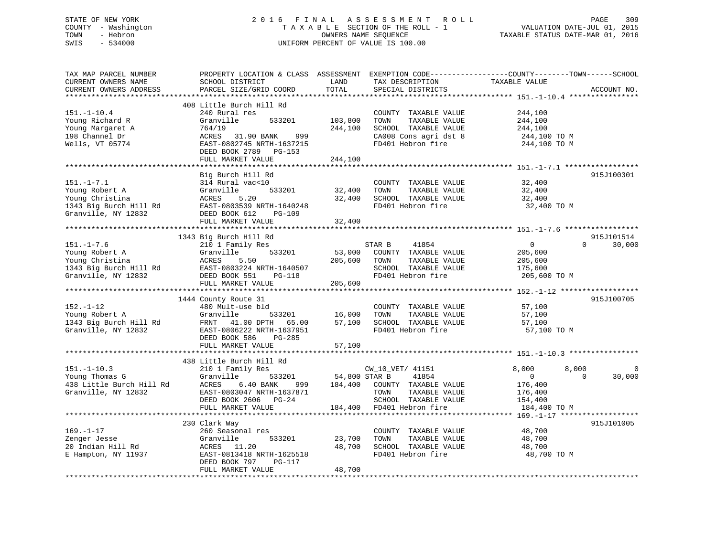# STATE OF NEW YORK 2 0 1 6 F I N A L A S S E S S M E N T R O L L PAGE 309 COUNTY - Washington T A X A B L E SECTION OF THE ROLL - 1 VALUATION DATE-JUL 01, 2015 TOWN - Hebron OWNERS NAME SEQUENCE TAXABLE STATUS DATE-MAR 01, 2016 SWIS - 534000 UNIFORM PERCENT OF VALUE IS 100.00

| TAX MAP PARCEL NUMBER<br>CURRENT OWNERS NAME<br>CURRENT OWNERS ADDRESS<br>*********************        | PROPERTY LOCATION & CLASS ASSESSMENT<br>SCHOOL DISTRICT<br>PARCEL SIZE/GRID COORD<br>**********************                                                                      | LAND<br>TOTAL<br>************** | TAX DESCRIPTION<br>SPECIAL DISTRICTS                                                                                                    | EXEMPTION CODE-----------------COUNTY-------TOWN------SCHOOL<br>TAXABLE VALUE     | ACCOUNT NO.                    |
|--------------------------------------------------------------------------------------------------------|----------------------------------------------------------------------------------------------------------------------------------------------------------------------------------|---------------------------------|-----------------------------------------------------------------------------------------------------------------------------------------|-----------------------------------------------------------------------------------|--------------------------------|
| $151. - 1 - 10.4$<br>Young Richard R<br>Young Margaret A<br>198 Channel Dr<br>Wells, VT 05774          | 408 Little Burch Hill Rd<br>240 Rural res<br>Granville<br>533201<br>764/19<br>ACRES 31.90 BANK<br>999<br>EAST-0802745 NRTH-1637215<br>DEED BOOK 2789 PG-153<br>FULL MARKET VALUE | 103,800<br>244,100<br>244,100   | COUNTY TAXABLE VALUE<br>TOWN<br>TAXABLE VALUE<br>SCHOOL TAXABLE VALUE<br>CA008 Cons agri dst 8<br>FD401 Hebron fire                     | 244,100<br>244,100<br>244,100<br>244,100 TO M<br>244,100 TO M                     |                                |
| $151. - 1 - 7.1$<br>Young Robert A<br>Young Christina<br>1343 Big Burch Hill Rd<br>Granville, NY 12832 | Big Burch Hill Rd<br>314 Rural vac<10<br>533201<br>Granville<br>ACRES<br>5.20<br>EAST-0803539 NRTH-1640248<br>DEED BOOK 612<br><b>PG-109</b><br>FULL MARKET VALUE                | 32,400<br>32,400<br>32,400      | COUNTY TAXABLE VALUE<br>TOWN<br>TAXABLE VALUE<br>SCHOOL TAXABLE VALUE<br>FD401 Hebron fire                                              | 32,400<br>32,400<br>32,400<br>32,400 TO M                                         | 915J100301                     |
| $151. - 1 - 7.6$<br>Young Robert A<br>Young Christina<br>1343 Big Burch Hill Rd<br>Granville, NY 12832 | 1343 Big Burch Hill Rd<br>210 1 Family Res<br>Granville<br>533201<br>ACRES<br>5.50<br>EAST-0803224 NRTH-1640507<br>DEED BOOK 551<br>PG-118<br>FULL MARKET VALUE                  | 53,000<br>205,600<br>205,600    | STAR B<br>41854<br>COUNTY TAXABLE VALUE<br>TAXABLE VALUE<br>TOWN<br>SCHOOL TAXABLE VALUE<br>FD401 Hebron fire                           | $\mathbf 0$<br>205,600<br>205,600<br>175,600<br>205,600 TO M                      | 915J101514<br>$\cap$<br>30,000 |
| $152. - 1 - 12$<br>Young Robert A<br>1343 Big Burch Hill Rd<br>Granville, NY 12832                     | 1444 County Route 31<br>480 Mult-use bld<br>Granville<br>533201<br>FRNT 41.00 DPTH 65.00<br>EAST-0806222 NRTH-1637951<br>DEED BOOK 586<br>PG-285<br>FULL MARKET VALUE            | 16,000<br>57,100<br>57,100      | COUNTY TAXABLE VALUE<br>TAXABLE VALUE<br>TOWN<br>SCHOOL TAXABLE VALUE<br>FD401 Hebron fire                                              | 57,100<br>57,100<br>57,100<br>57,100 TO M                                         | 915J100705                     |
| $151. - 1 - 10.3$<br>Young Thomas G<br>438 Little Burch Hill Rd<br>Granville, NY 12832                 | 438 Little Burch Hill Rd<br>210 1 Family Res<br>Granville<br>533201<br>ACRES<br>6.40 BANK<br>999<br>EAST-0803047 NRTH-1637871<br>DEED BOOK 2606 PG-24<br>FULL MARKET VALUE       | 54,800 STAR B                   | CW_10_VET/ 41151<br>41854<br>184,400 COUNTY TAXABLE VALUE<br>TOWN<br>TAXABLE VALUE<br>SCHOOL TAXABLE VALUE<br>184,400 FD401 Hebron fire | 8,000<br>8,000<br>$\overline{0}$<br>176,400<br>176,400<br>154,400<br>184,400 TO M | $\Omega$<br>30,000             |
| $169. - 1 - 17$<br>Zenger Jesse<br>20 Indian Hill Rd<br>E Hampton, NY 11937                            | 230 Clark Way<br>260 Seasonal res<br>533201<br>Granville<br>ACRES<br>11.20<br>EAST-0813418 NRTH-1625518<br>DEED BOOK 797<br>PG-117<br>FULL MARKET VALUE                          | 23,700<br>48,700<br>48,700      | COUNTY TAXABLE VALUE<br>TAXABLE VALUE<br>TOWN<br>SCHOOL TAXABLE VALUE<br>FD401 Hebron fire                                              | 48,700<br>48,700<br>48,700<br>48,700 TO M                                         | 915J101005                     |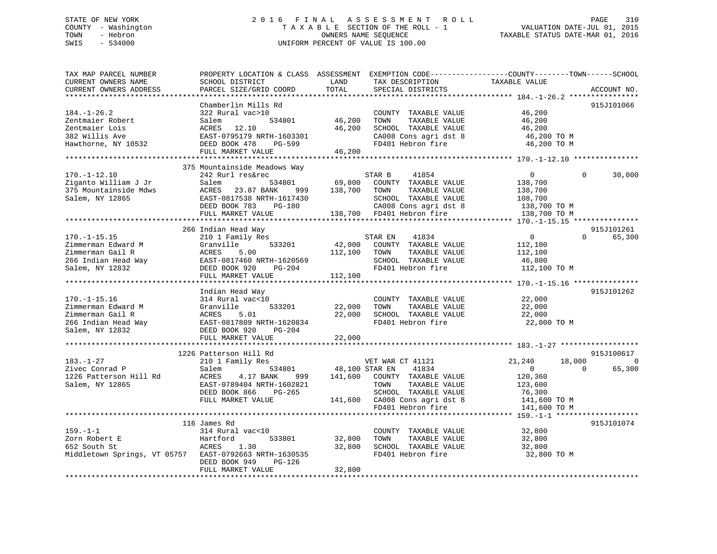# STATE OF NEW YORK 2 0 1 6 F I N A L A S S E S S M E N T R O L L PAGE 310 COUNTY - Washington T A X A B L E SECTION OF THE ROLL - 1 VALUATION DATE-JUL 01, 2015 TOWN - Hebron OWNERS NAME SEQUENCE TAXABLE STATUS DATE-MAR 01, 2016 SWIS - 534000 UNIFORM PERCENT OF VALUE IS 100.00

| TAX MAP PARCEL NUMBER<br>CURRENT OWNERS NAME           | PROPERTY LOCATION & CLASS ASSESSMENT EXEMPTION CODE---------------COUNTY-------TOWN-----SCHOOL<br>SCHOOL DISTRICT | LAND           | TAX DESCRIPTION               | <b>TAXABLE VALUE</b>        |                              |
|--------------------------------------------------------|-------------------------------------------------------------------------------------------------------------------|----------------|-------------------------------|-----------------------------|------------------------------|
| CURRENT OWNERS ADDRESS                                 | PARCEL SIZE/GRID COORD<br>***********************                                                                 | TOTAL          | SPECIAL DISTRICTS             |                             | ACCOUNT NO.                  |
|                                                        | Chamberlin Mills Rd                                                                                               |                |                               |                             | 915J101066                   |
| $184. - 1 - 26.2$                                      | 322 Rural vac>10                                                                                                  |                | COUNTY TAXABLE VALUE          | 46,200                      |                              |
| Zentmaier Robert                                       | 534801<br>Salem                                                                                                   | 46,200         | TAXABLE VALUE<br>TOWN         | 46,200                      |                              |
| Zentmaier Lois                                         | ACRES<br>12.10                                                                                                    | 46,200         | SCHOOL TAXABLE VALUE          | 46,200                      |                              |
| 382 Willis Ave                                         | EAST-0795179 NRTH-1603301                                                                                         |                | CA008 Cons agri dst 8         | 46,200 TO M                 |                              |
| Hawthorne, NY 10532                                    | DEED BOOK 478<br>PG-599                                                                                           |                | FD401 Hebron fire             | 46,200 TO M                 |                              |
|                                                        | FULL MARKET VALUE                                                                                                 | 46,200         |                               |                             |                              |
|                                                        |                                                                                                                   |                |                               |                             |                              |
|                                                        | 375 Mountainside Meadows Way                                                                                      |                |                               |                             |                              |
| $170. - 1 - 12.10$                                     | 242 Rurl res&rec                                                                                                  |                | STAR B<br>41854               | $\overline{0}$              | 30,000<br>$\Omega$           |
| Ziganto William J Jr                                   | Salem<br>534801                                                                                                   | 69,800         | COUNTY TAXABLE VALUE          | 138,700                     |                              |
| 375 Mountainside Mdws                                  | 23.87 BANK<br>ACRES<br>999                                                                                        | 138,700        | TOWN<br>TAXABLE VALUE         | 138,700                     |                              |
| Salem, NY 12865                                        | EAST-0817538 NRTH-1617430                                                                                         |                | SCHOOL TAXABLE VALUE          | 108,700                     |                              |
|                                                        | DEED BOOK 783<br><b>PG-180</b>                                                                                    |                | CA008 Cons agri dst 8         | 138,700 TO M                |                              |
|                                                        | FULL MARKET VALUE                                                                                                 |                | 138,700 FD401 Hebron fire     | 138,700 TO M                |                              |
|                                                        |                                                                                                                   |                |                               |                             |                              |
|                                                        | 266 Indian Head Way                                                                                               |                |                               |                             | 915J101261                   |
| $170. - 1 - 15.15$                                     | 210 1 Family Res                                                                                                  |                | 41834<br>STAR EN              | $\overline{0}$              | $\Omega$<br>65,300           |
| Zimmerman Edward M                                     | 533201<br>Granville                                                                                               | 42,000         | COUNTY TAXABLE VALUE          | 112,100                     |                              |
| Zimmerman Gail R                                       | ACRES<br>5.00                                                                                                     | 112,100        | TOWN<br>TAXABLE VALUE         | 112,100                     |                              |
| 266 Indian Head Way                                    | EAST-0817460 NRTH-1620569                                                                                         |                | SCHOOL TAXABLE VALUE          | 46,800                      |                              |
| Salem, NY 12832                                        | DEED BOOK 920<br>PG-204                                                                                           |                | FD401 Hebron fire             | 112,100 TO M                |                              |
|                                                        | FULL MARKET VALUE                                                                                                 | 112,100        |                               |                             |                              |
|                                                        |                                                                                                                   |                |                               |                             |                              |
|                                                        | Indian Head Way                                                                                                   |                |                               |                             | 915J101262                   |
| $170. - 1 - 15.16$                                     | 314 Rural vac<10                                                                                                  |                | COUNTY TAXABLE VALUE          | 22,000                      |                              |
| Zimmerman Edward M                                     | 533201<br>Granville                                                                                               | 22,000         | TOWN<br>TAXABLE VALUE         | 22,000                      |                              |
| Zimmerman Gail R                                       | 5.01<br>ACRES                                                                                                     | 22,000         | SCHOOL TAXABLE VALUE          | 22,000                      |                              |
| 266 Indian Head Way                                    | EAST-0817809 NRTH-1620834                                                                                         |                | FD401 Hebron fire             | 22,000 TO M                 |                              |
| Salem, NY 12832                                        | DEED BOOK 920<br>PG-204                                                                                           |                |                               |                             |                              |
|                                                        | FULL MARKET VALUE                                                                                                 | 22,000         |                               |                             |                              |
|                                                        |                                                                                                                   |                |                               |                             |                              |
| $183. - 1 - 27$                                        | 1226 Patterson Hill Rd                                                                                            |                | VET WAR CT 41121              | 21,240<br>18,000            | 915J100617<br>$\overline{0}$ |
| Zivec Conrad P                                         | 210 1 Family Res<br>Salem<br>534801                                                                               | 48,100 STAR EN | 41834                         | 0                           | 65,300<br>$\Omega$           |
| 1226 Patterson Hill Rd                                 | ACRES<br>4.17 BANK<br>999                                                                                         | 141,600        | COUNTY TAXABLE VALUE          | 120,360                     |                              |
| Salem, NY 12865                                        | EAST-0789404 NRTH-1602821                                                                                         |                | TOWN<br>TAXABLE VALUE         | 123,600                     |                              |
|                                                        | DEED BOOK 866<br>PG-265                                                                                           |                | SCHOOL TAXABLE VALUE          | 76,300                      |                              |
|                                                        | FULL MARKET VALUE                                                                                                 |                | 141,600 CA008 Cons agri dst 8 | 141,600 TO M                |                              |
|                                                        |                                                                                                                   |                | FD401 Hebron fire             | 141,600 TO M                |                              |
|                                                        | ********************************                                                                                  |                |                               | *********** 159.-1-1 ****** |                              |
|                                                        | 116 James Rd                                                                                                      |                |                               |                             | 915J101074                   |
| $159. - 1 - 1$                                         | 314 Rural vac<10                                                                                                  |                | COUNTY TAXABLE VALUE          | 32,800                      |                              |
| Zorn Robert E                                          | Hartford<br>533801                                                                                                | 32,800         | TAXABLE VALUE<br>TOWN         | 32,800                      |                              |
| 652 South St                                           | ACRES<br>1.30                                                                                                     | 32,800         | SCHOOL TAXABLE VALUE          | 32,800                      |                              |
| Middletown Springs, VT 05757 EAST-0792663 NRTH-1630535 |                                                                                                                   |                | FD401 Hebron fire             | 32,800 TO M                 |                              |
|                                                        | DEED BOOK 949<br>PG-126                                                                                           |                |                               |                             |                              |
|                                                        | FULL MARKET VALUE                                                                                                 | 32,800         |                               |                             |                              |
|                                                        |                                                                                                                   |                |                               |                             |                              |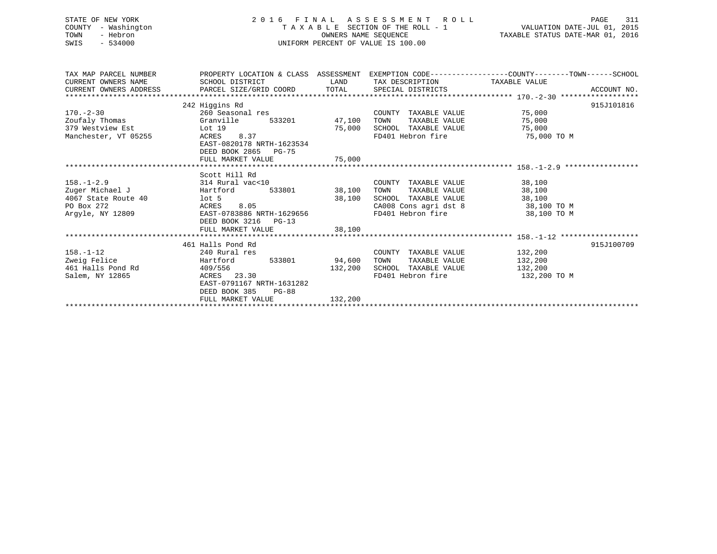| STATE OF NEW YORK<br>COUNTY - Washington<br>- Hebron<br>TOWN<br>$-534000$<br>SWIS | 2016 FINAL ASSESSMENT ROLL<br>TAXABLE SECTION OF THE ROLL - 1<br>TAXABLE SECTION OF THE ROLL - 1<br>OWNERS NAME SEQUENCE TAXABLE STATUS DATE-MAR 01, 2016<br>UNIFORM PERCENT OF VALUE IS 100.00 |         |                                                                                            | PAGE                                                                                                                       | 311 |
|-----------------------------------------------------------------------------------|-------------------------------------------------------------------------------------------------------------------------------------------------------------------------------------------------|---------|--------------------------------------------------------------------------------------------|----------------------------------------------------------------------------------------------------------------------------|-----|
|                                                                                   |                                                                                                                                                                                                 |         |                                                                                            | TAX MAP PARCEL NUMBER THE PROPERTY LOCATION & CLASS ASSESSMENT EXEMPTION CODE---------------COUNTY--------TOWN------SCHOOL |     |
| CURRENT OWNERS NAME                                                               | SCHOOL DISTRICT                                                                                                                                                                                 |         | LAND TAX DESCRIPTION TAXABLE VALUE                                                         |                                                                                                                            |     |
|                                                                                   |                                                                                                                                                                                                 |         |                                                                                            |                                                                                                                            |     |
|                                                                                   | 242 Higgins Rd                                                                                                                                                                                  |         |                                                                                            | 915J101816                                                                                                                 |     |
| $170. - 2 - 30$                                                                   |                                                                                                                                                                                                 |         | COUNTY TAXABLE VALUE 75,000                                                                |                                                                                                                            |     |
| Zoufaly Thomas Granville                                                          |                                                                                                                                                                                                 |         | TAXABLE VALUE 75,000                                                                       |                                                                                                                            |     |
| 379 Westview Est Lot 19                                                           |                                                                                                                                                                                                 |         | $75,000$ SCHOOL TAXABLE VALUE $75,000$                                                     |                                                                                                                            |     |
| Manchester, VT 05255                                                              | ACRES 8.37                                                                                                                                                                                      |         | FD401 Hebron fire 75,000 TO M                                                              |                                                                                                                            |     |
|                                                                                   | EAST-0820178 NRTH-1623534                                                                                                                                                                       |         |                                                                                            |                                                                                                                            |     |
|                                                                                   | DEED BOOK 2865 PG-75                                                                                                                                                                            |         |                                                                                            |                                                                                                                            |     |
|                                                                                   | FULL MARKET VALUE                                                                                                                                                                               | 75,000  |                                                                                            |                                                                                                                            |     |
|                                                                                   |                                                                                                                                                                                                 |         |                                                                                            |                                                                                                                            |     |
| $158. - 1 - 2.9$                                                                  |                                                                                                                                                                                                 |         |                                                                                            |                                                                                                                            |     |
| Zuger Michael J                                                                   |                                                                                                                                                                                                 |         |                                                                                            |                                                                                                                            |     |
| Euger Michael J<br>$4067$ State Route $40$ aCRES $8.05$<br>$20.222$ aCRES $3.05$  |                                                                                                                                                                                                 | 38,100  |                                                                                            |                                                                                                                            |     |
|                                                                                   |                                                                                                                                                                                                 |         |                                                                                            |                                                                                                                            |     |
| Argyle, NY 12809                                                                  | EAST-0783886 NRTH-1629656                                                                                                                                                                       |         | SCHOOL TAXABLE VALUE<br>CA008 Cons agri dst 8 38,100 TO M<br>FD401 Hebron fire 38,100 TO M |                                                                                                                            |     |
|                                                                                   | DEED BOOK 3216 PG-13                                                                                                                                                                            |         |                                                                                            |                                                                                                                            |     |
|                                                                                   | FULL MARKET VALUE                                                                                                                                                                               | 38,100  |                                                                                            |                                                                                                                            |     |
|                                                                                   | 461 Halls Pond Rd                                                                                                                                                                               |         |                                                                                            | 915J100709                                                                                                                 |     |
| $158. - 1 - 12$                                                                   | 240 Rural res                                                                                                                                                                                   |         | COUNTY TAXABLE VALUE 132,200                                                               |                                                                                                                            |     |
| 158.-1-12<br>Zweig Felice<br>461 Halls Pond Rd<br>10005                           | Hartford 533801 94,600                                                                                                                                                                          |         | TOWN TAXABLE VALUE 132,200<br>SCHOOL TAXABLE VALUE 132,200<br>132,200<br>132,200           |                                                                                                                            |     |
|                                                                                   | 409/556                                                                                                                                                                                         | 132,200 |                                                                                            |                                                                                                                            |     |
| Salem, NY 12865                                                                   | ACRES 23.30                                                                                                                                                                                     |         | FD401 Hebron fire                                                                          | 132,200 TO M                                                                                                               |     |
|                                                                                   | EAST-0791167 NRTH-1631282                                                                                                                                                                       |         |                                                                                            |                                                                                                                            |     |
|                                                                                   | DEED BOOK 385<br>$PG-88$                                                                                                                                                                        |         |                                                                                            |                                                                                                                            |     |
|                                                                                   | FULL MARKET VALUE                                                                                                                                                                               | 132,200 |                                                                                            |                                                                                                                            |     |

\*\*\*\*\*\*\*\*\*\*\*\*\*\*\*\*\*\*\*\*\*\*\*\*\*\*\*\*\*\*\*\*\*\*\*\*\*\*\*\*\*\*\*\*\*\*\*\*\*\*\*\*\*\*\*\*\*\*\*\*\*\*\*\*\*\*\*\*\*\*\*\*\*\*\*\*\*\*\*\*\*\*\*\*\*\*\*\*\*\*\*\*\*\*\*\*\*\*\*\*\*\*\*\*\*\*\*\*\*\*\*\*\*\*\*\*\*\*\*\*\*\*\*\*\*\*\*\*\*\*\*\*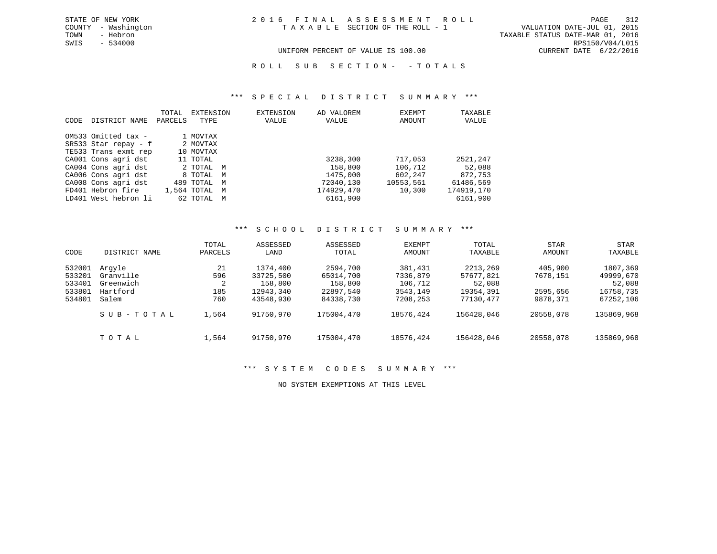TOWN - Hebron TAXABLE STATUS DATE-MAR 01, 2016 UNIFORM PERCENT OF VALUE IS 100.00 CURRENT DATE 6/22/2016

R O L L S U B S E C T I O N - - T O T A L S

#### \*\*\* S P E C I A L D I S T R I C T S U M M A R Y \*\*\*

| CODE. | DISTRICT NAME        | <b>TOTAL</b><br>PARCELS | EXTENSION<br>TYPE |   | <b>EXTENSION</b><br>VALUE | AD VALOREM<br>VALUE | EXEMPT<br>AMOUNT | TAXABLE<br>VALUE |
|-------|----------------------|-------------------------|-------------------|---|---------------------------|---------------------|------------------|------------------|
|       | OM533 Omitted tax -  |                         | 1 MOVTAX          |   |                           |                     |                  |                  |
|       | SR533 Star repay - f |                         | 2 MOVTAX          |   |                           |                     |                  |                  |
|       | TE533 Trans exmt rep |                         | 10 MOVTAX         |   |                           |                     |                  |                  |
|       | CA001 Cons agri dst  |                         | 11 TOTAL          |   |                           | 3238,300            | 717,053          | 2521,247         |
|       | CA004 Cons agri dst  |                         | 2 TOTAL           | M |                           | 158,800             | 106,712          | 52,088           |
|       | CA006 Cons agri dst  |                         | 8 TOTAL           | M |                           | 1475,000            | 602,247          | 872,753          |
|       | CA008 Cons agri dst  |                         | 489 TOTAL         | M |                           | 72040,130           | 10553,561        | 61486,569        |
|       | FD401 Hebron fire    |                         | 1,564 TOTAL       | M |                           | 174929,470          | 10,300           | 174919,170       |
|       | LD401 West hebron li |                         | 62 TOTAL          | M |                           | 6161,900            |                  | 6161,900         |

## \*\*\* S C H O O L D I S T R I C T S U M M A R Y \*\*\*

| CODE                                           | DISTRICT NAME                                         | TOTAL<br>PARCELS             | ASSESSED<br>LAND                                           | ASSESSED<br>TOTAL                                          | <b>EXEMPT</b><br>AMOUNT                                | TOTAL<br>TAXABLE                                          | <b>STAR</b><br>AMOUNT                       | <b>STAR</b><br>TAXABLE                                    |
|------------------------------------------------|-------------------------------------------------------|------------------------------|------------------------------------------------------------|------------------------------------------------------------|--------------------------------------------------------|-----------------------------------------------------------|---------------------------------------------|-----------------------------------------------------------|
| 532001<br>533201<br>533401<br>533801<br>534801 | Arqyle<br>Granville<br>Greenwich<br>Hartford<br>Salem | 21<br>596<br>2<br>185<br>760 | 1374,400<br>33725,500<br>158,800<br>12943,340<br>43548,930 | 2594,700<br>65014,700<br>158,800<br>22897,540<br>84338,730 | 381,431<br>7336,879<br>106,712<br>3543,149<br>7208,253 | 2213,269<br>57677,821<br>52,088<br>19354,391<br>77130,477 | 405,900<br>7678,151<br>2595,656<br>9878,371 | 1807,369<br>49999,670<br>52,088<br>16758,735<br>67252,106 |
|                                                | SUB-TOTAL                                             | 1,564                        | 91750,970                                                  | 175004,470                                                 | 18576,424                                              | 156428,046                                                | 20558,078                                   | 135869,968                                                |
|                                                | TOTAL                                                 | 1,564                        | 91750,970                                                  | 175004,470                                                 | 18576,424                                              | 156428,046                                                | 20558,078                                   | 135869,968                                                |

# \*\*\* S Y S T E M C O D E S S U M M A R Y \*\*\*

NO SYSTEM EXEMPTIONS AT THIS LEVEL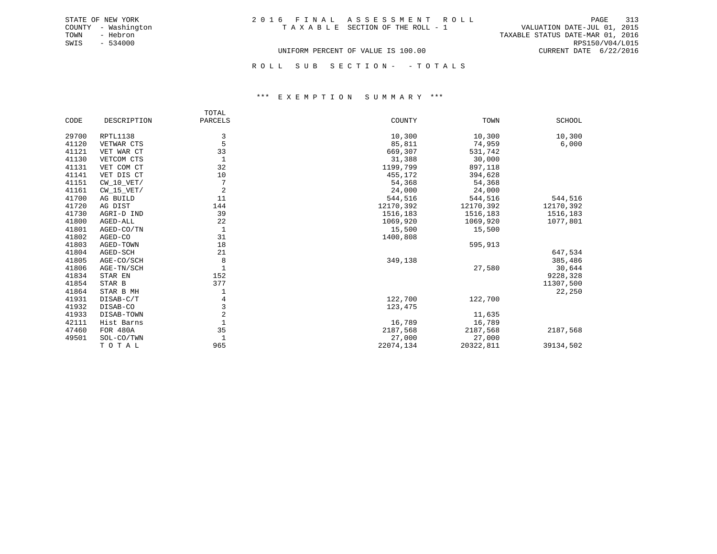UNIFORM PERCENT OF VALUE IS 100.00 CURRENT DATE 6/22/2016

ROLL SUB SECTION - - TOTALS

## \*\*\* E X E M P T I O N S U M M A R Y \*\*\*

|       |              | TOTAL          |           |           |               |
|-------|--------------|----------------|-----------|-----------|---------------|
| CODE  | DESCRIPTION  | PARCELS        | COUNTY    | TOWN      | <b>SCHOOL</b> |
| 29700 | RPTL1138     | 3              | 10,300    | 10,300    | 10,300        |
| 41120 | VETWAR CTS   | 5              | 85,811    | 74,959    | 6,000         |
| 41121 | VET WAR CT   | 33             | 669,307   | 531,742   |               |
| 41130 | VETCOM CTS   | 1              | 31,388    | 30,000    |               |
| 41131 |              | 32             | 1199,799  | 897,118   |               |
|       | VET COM CT   |                |           |           |               |
| 41141 | VET DIS CT   | 10             | 455,172   | 394,628   |               |
| 41151 | $CW_10_VET/$ | 7              | 54,368    | 54,368    |               |
| 41161 | $CW_15_VET/$ | $\overline{2}$ | 24,000    | 24,000    |               |
| 41700 | AG BUILD     | 11             | 544,516   | 544,516   | 544,516       |
| 41720 | AG DIST      | 144            | 12170,392 | 12170,392 | 12170,392     |
| 41730 | AGRI-D IND   | 39             | 1516,183  | 1516,183  | 1516,183      |
| 41800 | AGED-ALL     | 22             | 1069,920  | 1069,920  | 1077,801      |
| 41801 | AGED-CO/TN   | 1              | 15,500    | 15,500    |               |
| 41802 | AGED-CO      | 31             | 1400,808  |           |               |
| 41803 | AGED-TOWN    | 18             |           | 595,913   |               |
| 41804 | AGED-SCH     | 21             |           |           | 647,534       |
| 41805 | AGE-CO/SCH   | 8              | 349,138   |           | 385,486       |
| 41806 | AGE-TN/SCH   |                |           | 27,580    | 30,644        |
| 41834 | STAR EN      | 152            |           |           | 9228,328      |
| 41854 | STAR B       | 377            |           |           | 11307,500     |
| 41864 | STAR B MH    | 1              |           |           | 22,250        |
| 41931 | DISAB-C/T    | 4              | 122,700   | 122,700   |               |
| 41932 | DISAB-CO     | 3              | 123,475   |           |               |
| 41933 | DISAB-TOWN   | 2              |           | 11,635    |               |
| 42111 | Hist Barns   |                | 16,789    | 16,789    |               |
| 47460 | FOR 480A     | 35             | 2187,568  | 2187,568  | 2187,568      |
| 49501 | SOL-CO/TWN   |                | 27,000    | 27,000    |               |
|       | TOTAL        | 965            | 22074,134 | 20322,811 | 39134,502     |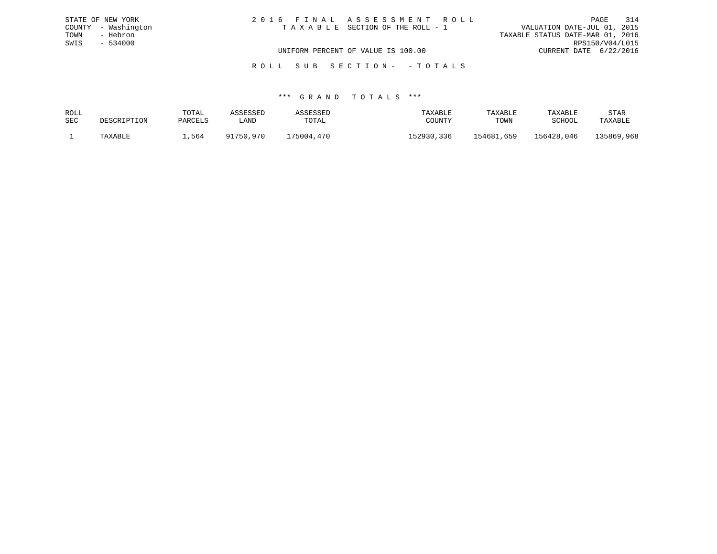| STATE OF NEW YORK   | 2016 FINAL ASSESSMENT ROLL         |                                  | PAGE                        | 314 |
|---------------------|------------------------------------|----------------------------------|-----------------------------|-----|
| COUNTY - Washington | TAXABLE SECTION OF THE ROLL - 1    |                                  | VALUATION DATE-JUL 01, 2015 |     |
| - Hebron<br>TOWN    |                                    | TAXABLE STATUS DATE-MAR 01, 2016 |                             |     |
| SWIS<br>- 534000    |                                    |                                  | RPS150/V04/L015             |     |
|                     | UNIFORM PERCENT OF VALUE IS 100.00 |                                  | CURRENT DATE 6/22/2016      |     |
|                     |                                    |                                  |                             |     |

R O L L S U B S E C T I O N - - T O T A L S

| ROLL       |             | TOTAL   | ASSESSED  | <i><b>\SSESSED</b></i> | TAXABLE    | TAXABLE    | TAXABLE    | STAR       |
|------------|-------------|---------|-----------|------------------------|------------|------------|------------|------------|
| <b>SEC</b> | DESCRIPTION | PARCELS | ∟AND      | TOTAL                  | COUNTY     | TOWN       | SCHOOL     | TAXABLE    |
|            | TAXABLE     | 1,564   | 91750,970 | 175004,470             | 152930,336 | 154681,659 | 156428,046 | 135869,968 |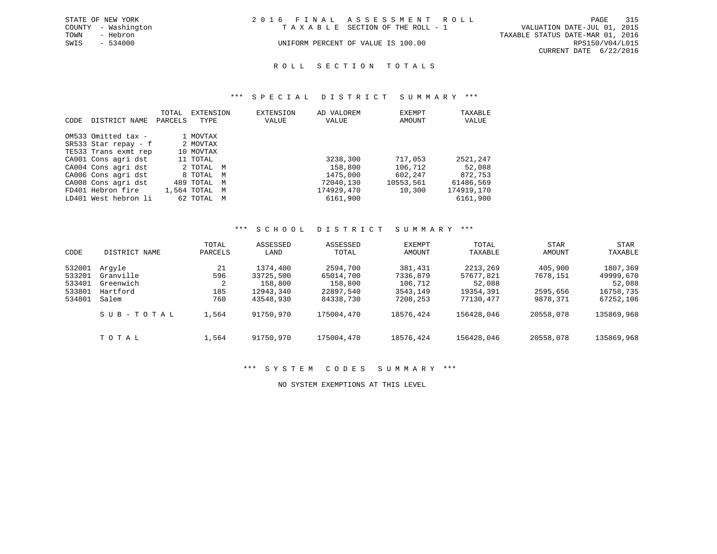|      | STATE OF NEW YORK   | 2016 FINAL ASSESSMENT ROLL         | 315<br>PAGE                      |
|------|---------------------|------------------------------------|----------------------------------|
|      | COUNTY - Washington | TAXABLE SECTION OF THE ROLL - 1    | VALUATION DATE-JUL 01, 2015      |
| TOWN | - Hebron            |                                    | TAXABLE STATUS DATE-MAR 01, 2016 |
| SWIS | - 534000            | UNIFORM PERCENT OF VALUE IS 100.00 | RPS150/V04/L015                  |
|      |                     |                                    | CURRENT DATE 6/22/2016           |

# ROLL SECTION TOTALS

#### \*\*\* S P E C I A L D I S T R I C T S U M M A R Y \*\*\*

| CODE | DISTRICT NAME        | TOTAL<br>PARCELS | EXTENSION<br>TYPE |   | <b>EXTENSION</b><br>VALUE | AD VALOREM<br>VALUE | EXEMPT<br>AMOUNT | TAXABLE<br>VALUE |
|------|----------------------|------------------|-------------------|---|---------------------------|---------------------|------------------|------------------|
|      | OM533 Omitted tax -  |                  | 1 MOVTAX          |   |                           |                     |                  |                  |
|      | SR533 Star repay - f |                  | 2 MOVTAX          |   |                           |                     |                  |                  |
|      | TE533 Trans exmt rep |                  | 10 MOVTAX         |   |                           |                     |                  |                  |
|      | CA001 Cons agri dst  |                  | 11 TOTAL          |   |                           | 3238,300            | 717,053          | 2521,247         |
|      | CA004 Cons agri dst  |                  | 2 TOTAL M         |   |                           | 158,800             | 106,712          | 52,088           |
|      | CA006 Cons agri dst  |                  | 8 TOTAL           | M |                           | 1475,000            | 602,247          | 872,753          |
|      | CA008 Cons agri dst  |                  | 489 TOTAL         | M |                           | 72040,130           | 10553,561        | 61486,569        |
|      | FD401 Hebron fire    |                  | 1,564 TOTAL       | M |                           | 174929,470          | 10,300           | 174919,170       |
|      | LD401 West hebron li |                  | 62 TOTAL          | M |                           | 6161,900            |                  | 6161,900         |

## \*\*\* S C H O O L D I S T R I C T S U M M A R Y \*\*\*

|        |               | TOTAL   | ASSESSED  | ASSESSED   | <b>EXEMPT</b> | TOTAL      | <b>STAR</b> | STAR       |
|--------|---------------|---------|-----------|------------|---------------|------------|-------------|------------|
| CODE   | DISTRICT NAME | PARCELS | LAND      | TOTAL      | AMOUNT        | TAXABLE    | AMOUNT      | TAXABLE    |
| 532001 | Arqyle        | 21      | 1374,400  | 2594,700   | 381,431       | 2213,269   | 405,900     | 1807,369   |
| 533201 | Granville     | 596     | 33725,500 | 65014,700  | 7336,879      | 57677,821  | 7678,151    | 49999,670  |
| 533401 | Greenwich     | 2       | 158,800   | 158,800    | 106,712       | 52,088     |             | 52,088     |
| 533801 | Hartford      | 185     | 12943,340 | 22897,540  | 3543,149      | 19354,391  | 2595,656    | 16758,735  |
| 534801 | Salem         | 760     | 43548,930 | 84338,730  | 7208,253      | 77130.477  | 9878,371    | 67252,106  |
|        | SUB-TOTAL     | 1,564   | 91750,970 | 175004,470 | 18576,424     | 156428,046 | 20558,078   | 135869,968 |
|        | TOTAL         | 1,564   | 91750,970 | 175004,470 | 18576,424     | 156428,046 | 20558,078   | 135869,968 |

# \*\*\* S Y S T E M C O D E S S U M M A R Y \*\*\*

NO SYSTEM EXEMPTIONS AT THIS LEVEL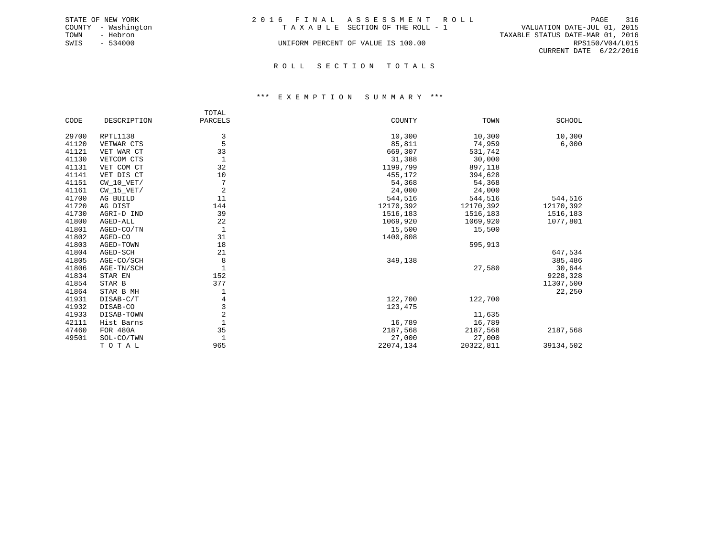|      | STATE OF NEW YORK   | 2016 FINAL ASSESSMENT ROLL         |                                  | PAGE            | 316 |
|------|---------------------|------------------------------------|----------------------------------|-----------------|-----|
|      | COUNTY - Washington | TAXABLE SECTION OF THE ROLL - 1    | VALUATION DATE-JUL 01, 2015      |                 |     |
| TOWN | - Hebron            |                                    | TAXABLE STATUS DATE-MAR 01, 2016 |                 |     |
| SWIS | $-534000$           | UNIFORM PERCENT OF VALUE IS 100.00 |                                  | RPS150/V04/L015 |     |
|      |                     |                                    | CURRENT DATE 6/22/2016           |                 |     |
|      |                     |                                    |                                  |                 |     |

R O L L S E C T I O N T O T A L S

## \*\*\* E X E M P T I O N S U M M A R Y \*\*\*

|       |              | TOTAL          |           |           |               |
|-------|--------------|----------------|-----------|-----------|---------------|
| CODE  | DESCRIPTION  | PARCELS        | COUNTY    | TOWN      | <b>SCHOOL</b> |
| 29700 | RPTL1138     | 3              | 10,300    | 10,300    | 10,300        |
| 41120 | VETWAR CTS   | 5              | 85,811    | 74,959    | 6,000         |
| 41121 | VET WAR CT   | 33             | 669,307   | 531,742   |               |
| 41130 | VETCOM CTS   | $\mathbf{1}$   | 31,388    | 30,000    |               |
| 41131 | VET COM CT   | 32             | 1199,799  | 897,118   |               |
| 41141 | VET DIS CT   | 10             | 455,172   | 394,628   |               |
| 41151 | $CW_10_VET/$ | 7              | 54,368    | 54,368    |               |
| 41161 | $CW_15_VET/$ | $\overline{c}$ | 24,000    | 24,000    |               |
| 41700 | AG BUILD     | 11             | 544,516   | 544,516   | 544,516       |
| 41720 | AG DIST      | 144            | 12170,392 | 12170,392 | 12170,392     |
| 41730 | AGRI-D IND   | 39             | 1516,183  | 1516,183  | 1516,183      |
| 41800 | AGED-ALL     | 22             | 1069,920  | 1069,920  | 1077,801      |
| 41801 | AGED-CO/TN   | $\mathbf{1}$   | 15,500    | 15,500    |               |
| 41802 | AGED-CO      | 31             | 1400,808  |           |               |
| 41803 | AGED-TOWN    | 18             |           | 595,913   |               |
| 41804 | AGED-SCH     | 21             |           |           | 647,534       |
| 41805 | AGE-CO/SCH   | 8              | 349,138   |           | 385,486       |
| 41806 | AGE-TN/SCH   | $\mathbf{1}$   |           | 27,580    | 30,644        |
| 41834 | STAR EN      | 152            |           |           | 9228,328      |
| 41854 | STAR B       | 377            |           |           | 11307,500     |
| 41864 | STAR B MH    | 1              |           |           | 22,250        |
| 41931 | DISAB-C/T    | 4              | 122,700   | 122,700   |               |
| 41932 | DISAB-CO     | 3              | 123,475   |           |               |
| 41933 | DISAB-TOWN   | 2              |           | 11,635    |               |
| 42111 | Hist Barns   |                | 16,789    | 16,789    |               |
| 47460 | FOR 480A     | 35             | 2187,568  | 2187,568  | 2187,568      |
| 49501 | SOL-CO/TWN   | 1              | 27,000    | 27,000    |               |
|       | TOTAL        | 965            | 22074,134 | 20322,811 | 39134,502     |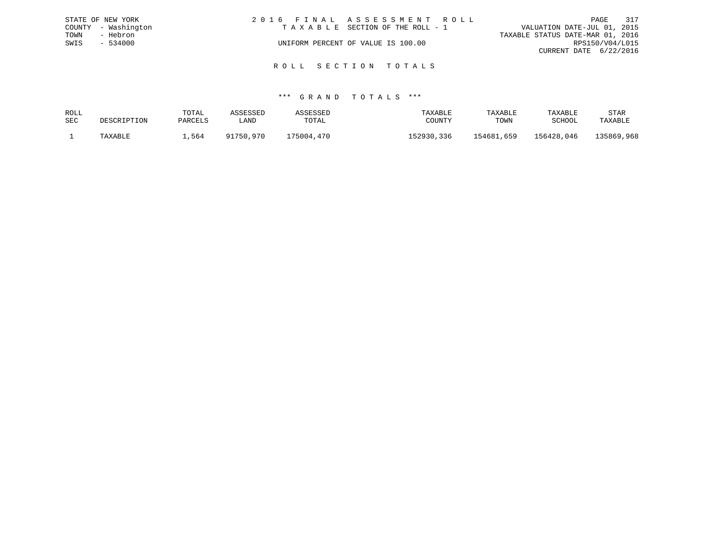|      | STATE OF NEW YORK   | 2016 FINAL ASSESSMENT ROLL |                                    |                                  |                        | PAGE | 317 |
|------|---------------------|----------------------------|------------------------------------|----------------------------------|------------------------|------|-----|
|      | COUNTY - Washington |                            | TAXABLE SECTION OF THE ROLL - 1    | VALUATION DATE-JUL 01, 2015      |                        |      |     |
| TOWN | - Hebron            |                            |                                    | TAXABLE STATUS DATE-MAR 01, 2016 |                        |      |     |
| SWIS | $-534000$           |                            | UNIFORM PERCENT OF VALUE IS 100.00 |                                  | RPS150/V04/L015        |      |     |
|      |                     |                            |                                    |                                  | CURRENT DATE 6/22/2016 |      |     |
|      |                     |                            |                                    |                                  |                        |      |     |

R O L L S E C T I O N T O T A L S

| ROLL       |             | TOTAL   | ASSESSED  | <b>ASSESSED</b> | TAXABLE    | TAXABLE    | TAXABLE    | STAR       |
|------------|-------------|---------|-----------|-----------------|------------|------------|------------|------------|
| <b>SEC</b> | DESCRIPTION | PARCELS | LAND      | TOTAL           | COUNTY     | TOWN       | SCHOOL     | TAXABLE    |
|            | TAXABLE     | .564    | 91750,970 | 175004,470      | 152930,336 | 154681,659 | 156428,046 | 135869,968 |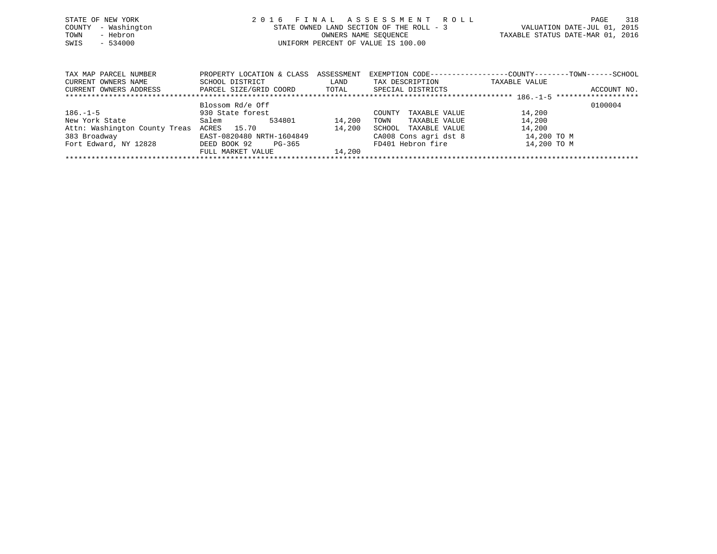| STATE OF NEW YORK   | 2016 FINAL ASSESSMENT ROLL               | 318<br>PAGE                      |
|---------------------|------------------------------------------|----------------------------------|
| COUNTY - Washington | STATE OWNED LAND SECTION OF THE ROLL - 3 | VALUATION DATE-JUL 01, 2015      |
| - Hebron<br>TOWN    | OWNERS NAME SEOUENCE                     | TAXABLE STATUS DATE-MAR 01, 2016 |
| $-534000$<br>SWIS   | UNIFORM PERCENT OF VALUE IS 100.00       |                                  |
|                     |                                          |                                  |

| TAX MAP PARCEL NUMBER         | PROPERTY LOCATION & CLASS | ASSESSMENT | EXEMPTION CODE-----------------COUNTY--------TOWN------SCHOOL |               |             |  |  |  |  |  |  |
|-------------------------------|---------------------------|------------|---------------------------------------------------------------|---------------|-------------|--|--|--|--|--|--|
| CURRENT OWNERS NAME           | SCHOOL DISTRICT           | LAND       | TAX DESCRIPTION                                               | TAXABLE VALUE |             |  |  |  |  |  |  |
| CURRENT OWNERS ADDRESS        | PARCEL SIZE/GRID COORD    | TOTAL      | SPECIAL DISTRICTS                                             |               | ACCOUNT NO. |  |  |  |  |  |  |
|                               |                           |            |                                                               |               |             |  |  |  |  |  |  |
|                               | Blossom Rd/e Off          |            |                                                               |               | 0100004     |  |  |  |  |  |  |
| $186. - 1 - 5$                | 930 State forest          |            | TAXABLE VALUE<br>COUNTY                                       | 14,200        |             |  |  |  |  |  |  |
| New York State                | 534801<br>Salem           | 14,200     | TAXABLE VALUE<br>TOWN                                         | 14,200        |             |  |  |  |  |  |  |
| Attn: Washington County Treas | ACRES 15.70               | 14,200     | TAXABLE VALUE<br>SCHOOL                                       | 14,200        |             |  |  |  |  |  |  |
| 383 Broadway                  | EAST-0820480 NRTH-1604849 |            | CA008 Cons agri dst 8                                         | 14,200 TO M   |             |  |  |  |  |  |  |
| Fort Edward, NY 12828         | DEED BOOK 92<br>PG-365    |            | FD401 Hebron fire                                             | 14,200 TO M   |             |  |  |  |  |  |  |
|                               | FULL MARKET VALUE         | 14,200     |                                                               |               |             |  |  |  |  |  |  |
|                               |                           |            |                                                               |               |             |  |  |  |  |  |  |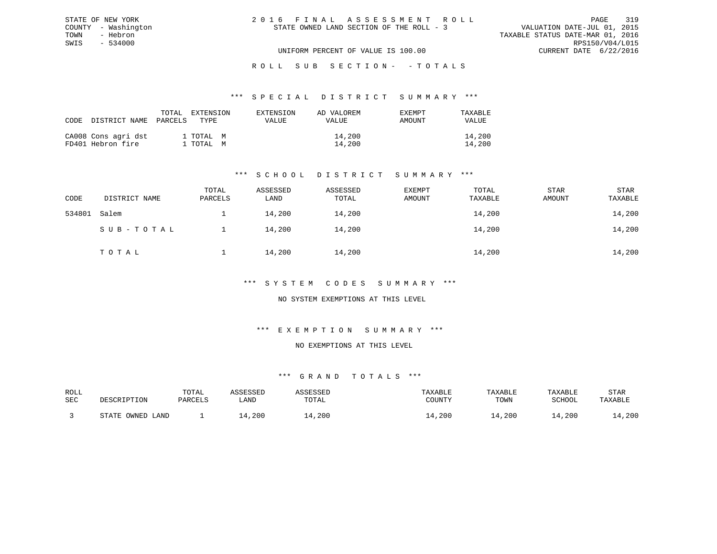| 2016 FINAL ASSESSMENT ROLL               |                                  | 319<br>PAGE     |
|------------------------------------------|----------------------------------|-----------------|
| STATE OWNED LAND SECTION OF THE ROLL - 3 | VALUATION DATE-JUL 01, 2015      |                 |
|                                          | TAXABLE STATUS DATE-MAR 01, 2016 |                 |
|                                          |                                  | RPS150/V04/L015 |
| UNIFORM PERCENT OF VALUE IS 100.00       | CURRENT DATE 6/22/2016           |                 |

ROLL SUB SECTION - - TOTALS

#### \*\*\* S P E C I A L D I S T R I C T S U M M A R Y \*\*\*

| CODE DISTRICT NAME PARCELS               | TOTAL | EXTENSION<br>TYPE.     | EXTENSION<br><b>VALUE</b> | AD VALOREM<br>VALUE | EXEMPT<br>AMOUNT | TAXABLE<br>VALUE |
|------------------------------------------|-------|------------------------|---------------------------|---------------------|------------------|------------------|
| CA008 Cons agri dst<br>FD401 Hebron fire |       | 1 TOTAL M<br>1 TOTAL M |                           | 14,200<br>14,200    |                  | 14,200<br>14,200 |

STATE OF NEW YORK COUNTY - Washington TOWN - Hebron SWIS - 534000

## \*\*\* S C H O O L D I S T R I C T S U M M A R Y \*\*\*

| CODE   | DISTRICT NAME | TOTAL<br>PARCELS | ASSESSED<br>LAND | ASSESSED<br>TOTAL | <b>EXEMPT</b><br>AMOUNT | TOTAL<br>TAXABLE | <b>STAR</b><br>AMOUNT | STAR<br>TAXABLE |
|--------|---------------|------------------|------------------|-------------------|-------------------------|------------------|-----------------------|-----------------|
| 534801 | Salem         |                  | 14,200           | 14,200            |                         | 14,200           |                       | 14,200          |
|        | SUB-TOTAL     |                  | 14,200           | 14,200            |                         | 14,200           |                       | 14,200          |
|        | TOTAL         |                  | 14,200           | 14,200            |                         | 14,200           |                       | 14,200          |

## \*\*\* S Y S T E M C O D E S S U M M A R Y \*\*\*

## NO SYSTEM EXEMPTIONS AT THIS LEVEL

## \*\*\* E X E M P T I O N S U M M A R Y \*\*\*

#### NO EXEMPTIONS AT THIS LEVEL

| ROLL |                                              | TOTAL   | 7 CCFCCFF |             | TAXABLE | TAXABLE | TAXABLE       | STAR    |
|------|----------------------------------------------|---------|-----------|-------------|---------|---------|---------------|---------|
| SEC  | DESCRIPTION                                  | PARCELS | LAND      | TOTAL       | COUNTY  | TOWN    | <b>SCHOOL</b> | TAXABLE |
|      |                                              |         |           |             |         |         |               |         |
|      | OWNED<br>$\sim$ $\sim$ $\sim$ $\sim$<br>LAND |         | , 200     | $\pm$ , 200 | ⊥4,200  | .4,200  | .4,200        | 14,200  |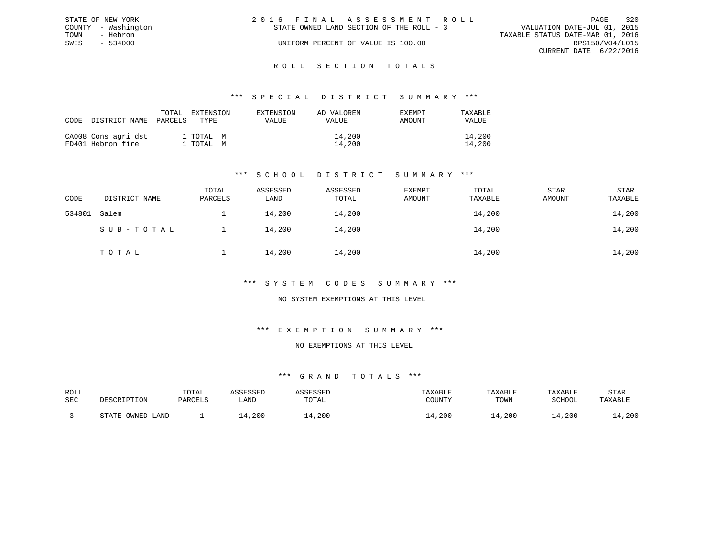|      | STATE OF NEW YORK   | 2016 FINAL ASSESSMENT ROLL                                              | PAGE                   | 320 |
|------|---------------------|-------------------------------------------------------------------------|------------------------|-----|
|      | COUNTY - Washington | VALUATION DATE-JUL 01, 2015<br>STATE OWNED LAND SECTION OF THE ROLL - 3 |                        |     |
| TOWN | - Hebron            | TAXABLE STATUS DATE-MAR 01, 2016                                        |                        |     |
| SWIS | - 534000            | UNIFORM PERCENT OF VALUE IS 100.00                                      | RPS150/V04/L015        |     |
|      |                     |                                                                         | CURRENT DATE 6/22/2016 |     |
|      |                     |                                                                         |                        |     |

#### R O L L S E C T I O N T O T A L S

### \*\*\* S P E C I A L D I S T R I C T S U M M A R Y \*\*\*

| CODE | DISTRICT NAME                            | TOTAL EXTENSION<br>PARCELS | TYPE.                  | EXTENSION<br>VALUE | AD VALOREM<br>VALUE | <b>EXEMPT</b><br>AMOUNT | TAXABLE<br><b>VALUE</b> |
|------|------------------------------------------|----------------------------|------------------------|--------------------|---------------------|-------------------------|-------------------------|
|      | CA008 Cons agri dst<br>FD401 Hebron fire |                            | 1 TOTAL M<br>1 TOTAL M |                    | 14,200<br>14,200    |                         | 14,200<br>14,200        |

## \*\*\* S C H O O L D I S T R I C T S U M M A R Y \*\*\*

| CODE   | DISTRICT NAME | TOTAL<br>PARCELS | ASSESSED<br>LAND | ASSESSED<br>TOTAL | <b>EXEMPT</b><br>AMOUNT | TOTAL<br>TAXABLE | <b>STAR</b><br>AMOUNT | STAR<br>TAXABLE |
|--------|---------------|------------------|------------------|-------------------|-------------------------|------------------|-----------------------|-----------------|
| 534801 | Salem         |                  | 14,200           | 14,200            |                         | 14,200           |                       | 14,200          |
|        | SUB-TOTAL     |                  | 14,200           | 14,200            |                         | 14,200           |                       | 14,200          |
|        | TOTAL         |                  | 14,200           | 14,200            |                         | 14,200           |                       | 14,200          |

## \*\*\* S Y S T E M C O D E S S U M M A R Y \*\*\*

## NO SYSTEM EXEMPTIONS AT THIS LEVEL

# \*\*\* E X E M P T I O N S U M M A R Y \*\*\*

#### NO EXEMPTIONS AT THIS LEVEL

| ROLL |                                              | TOTAL   | 7 CCFCCFF |             | TAXABLE | TAXABLE | TAXABLE       | STAR    |
|------|----------------------------------------------|---------|-----------|-------------|---------|---------|---------------|---------|
| SEC  | DESCRIPTION                                  | PARCELS | LAND      | TOTAL       | COUNTY  | TOWN    | <b>SCHOOL</b> | TAXABLE |
|      |                                              |         |           |             |         |         |               |         |
|      | OWNED<br>$\sim$ $\sim$ $\sim$ $\sim$<br>LAND |         | , 200     | $\pm$ , 200 | ⊥4,200  | .4,200  | .4,200        | 14,200  |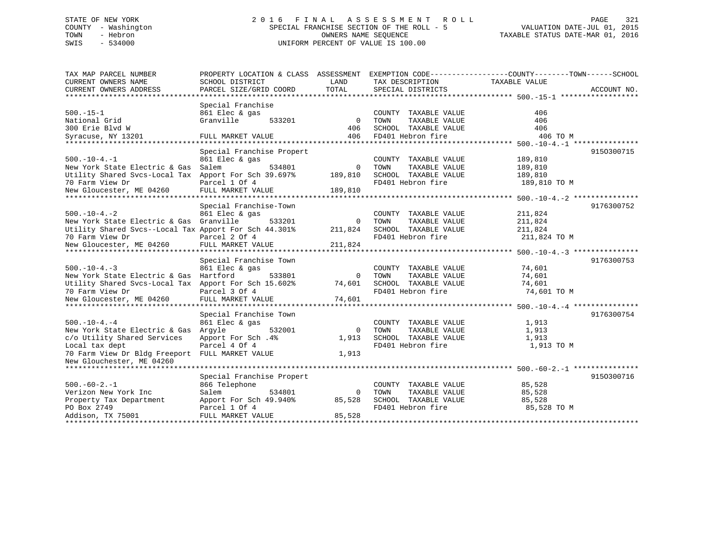# STATE OF NEW YORK 2 0 1 6 F I N A L A S S E S S M E N T R O L L PAGE 321 COUNTY - Washington SPECIAL FRANCHISE SECTION OF THE ROLL - 5 VALUATION DATE-JUL 01, 2015 TOWN - Hebron OWNERS NAME SEQUENCE TAXABLE STATUS DATE-MAR 01, 2016 SWIS - 534000 UNIFORM PERCENT OF VALUE IS 100.00

| TAX MAP PARCEL NUMBER<br>CURRENT OWNERS NAME                             | SCHOOL DISTRICT                                | LAND         | TAX DESCRIPTION                           | PROPERTY LOCATION & CLASS ASSESSMENT EXEMPTION CODE----------------COUNTY-------TOWN------SCHOOL<br>TAXABLE VALUE |
|--------------------------------------------------------------------------|------------------------------------------------|--------------|-------------------------------------------|-------------------------------------------------------------------------------------------------------------------|
| CURRENT OWNERS ADDRESS                                                   | PARCEL SIZE/GRID COORD                         | TOTAL        | SPECIAL DISTRICTS                         | ACCOUNT NO.                                                                                                       |
|                                                                          |                                                |              |                                           |                                                                                                                   |
|                                                                          | Special Franchise                              |              |                                           |                                                                                                                   |
| $500. -15 - 1$                                                           | 861 Elec & gas                                 |              | COUNTY TAXABLE VALUE                      | 406                                                                                                               |
| National Grid                                                            | Granville<br>533201                            | $\mathbf{0}$ | TAXABLE VALUE<br>TOWN                     | 406                                                                                                               |
| 300 Erie Blyd W                                                          |                                                | 406          | SCHOOL TAXABLE VALUE                      | 406                                                                                                               |
| Syracuse, NY 13201                                                       | FULL MARKET VALUE<br>************************* | 406          | FD401 Hebron fire                         | 406 TO M                                                                                                          |
| ****************************                                             |                                                |              |                                           |                                                                                                                   |
|                                                                          | Special Franchise Propert                      |              |                                           | 9150300715                                                                                                        |
| $500. - 10 - 4. - 1$                                                     | 861 Elec & gas                                 |              | COUNTY TAXABLE VALUE                      | 189,810                                                                                                           |
| New York State Electric & Gas                                            | Salem<br>534801                                | $\circ$      | TAXABLE VALUE<br>TOWN                     | 189,810                                                                                                           |
| Utility Shared Svcs-Local Tax                                            | Apport For Sch 39.697%                         | 189,810      | SCHOOL TAXABLE VALUE                      | 189,810                                                                                                           |
| 70 Farm View Dr                                                          | Parcel 1 Of 4                                  |              | FD401 Hebron fire                         | 189,810 TO M                                                                                                      |
| New Gloucester, ME 04260                                                 | FULL MARKET VALUE                              | 189,810      |                                           |                                                                                                                   |
|                                                                          | Special Franchise-Town                         |              |                                           | 9176300752                                                                                                        |
| $500. - 10 - 4. - 2$                                                     | 861 Elec & gas                                 |              | COUNTY TAXABLE VALUE                      | 211,824                                                                                                           |
|                                                                          | Granville                                      | $\Omega$     | TOWN                                      |                                                                                                                   |
| New York State Electric & Gas                                            | 533201                                         |              | TAXABLE VALUE                             | 211,824                                                                                                           |
| Utility Shared Svcs--Local Tax Apport For Sch 44.301%<br>70 Farm View Dr | Parcel 2 Of 4                                  | 211,824      | SCHOOL TAXABLE VALUE<br>FD401 Hebron fire | 211,824<br>211,824 TO M                                                                                           |
| New Gloucester, ME 04260                                                 | FULL MARKET VALUE                              | 211,824      |                                           |                                                                                                                   |
|                                                                          |                                                |              |                                           |                                                                                                                   |
|                                                                          | Special Franchise Town                         |              |                                           | 9176300753                                                                                                        |
| $500. - 10 - 4. - 3$                                                     | 861 Elec & gas                                 |              | COUNTY TAXABLE VALUE                      | 74,601                                                                                                            |
| New York State Electric & Gas                                            | Hartford<br>533801                             | $\Omega$     | TOWN<br>TAXABLE VALUE                     | 74,601                                                                                                            |
| Utility Shared Svcs-Local Tax Apport For Sch 15.602%                     |                                                | 74,601       | SCHOOL TAXABLE VALUE                      | 74,601                                                                                                            |
| 70 Farm View Dr                                                          | Parcel 3 Of 4                                  |              | FD401 Hebron fire                         | 74,601 TO M                                                                                                       |
| New Gloucester, ME 04260                                                 | FULL MARKET VALUE                              | 74,601       |                                           |                                                                                                                   |
|                                                                          |                                                |              |                                           |                                                                                                                   |
|                                                                          | Special Franchise Town                         |              |                                           | 9176300754                                                                                                        |
| $500. - 10 - 4. - 4$                                                     | 861 Elec & gas                                 |              | COUNTY TAXABLE VALUE                      | 1,913                                                                                                             |
| New York State Electric & Gas                                            | Arqyle<br>532001                               | $\Omega$     | TAXABLE VALUE<br>TOWN                     | 1,913                                                                                                             |
| c/o Utility Shared Services                                              | Apport For Sch. 4%                             | 1,913        | SCHOOL TAXABLE VALUE                      | 1,913                                                                                                             |
| Local tax dept                                                           | Parcel 4 Of 4                                  |              | FD401 Hebron fire                         | 1,913 TO M                                                                                                        |
| 70 Farm View Dr Bldg Freeport FULL MARKET VALUE                          |                                                | 1,913        |                                           |                                                                                                                   |
| New Glouchester, ME 04260                                                |                                                |              |                                           |                                                                                                                   |
|                                                                          |                                                |              |                                           |                                                                                                                   |
|                                                                          | Special Franchise Propert                      |              |                                           | 9150300716                                                                                                        |
| $500. -60 - 2. -1$                                                       | 866 Telephone                                  |              | COUNTY TAXABLE VALUE                      | 85,528                                                                                                            |
| Verizon New York Inc                                                     | Salem<br>534801                                | $\Omega$     | TOWN<br>TAXABLE VALUE                     | 85,528                                                                                                            |
| Property Tax Department                                                  | Apport For Sch 49.940%                         | 85,528       | SCHOOL TAXABLE VALUE                      | 85,528                                                                                                            |
| PO Box 2749                                                              | Parcel 1 Of 4                                  |              | FD401 Hebron fire                         | 85,528 TO M                                                                                                       |
| Addison, TX 75001                                                        | FULL MARKET VALUE                              | 85,528       |                                           |                                                                                                                   |
|                                                                          |                                                |              |                                           |                                                                                                                   |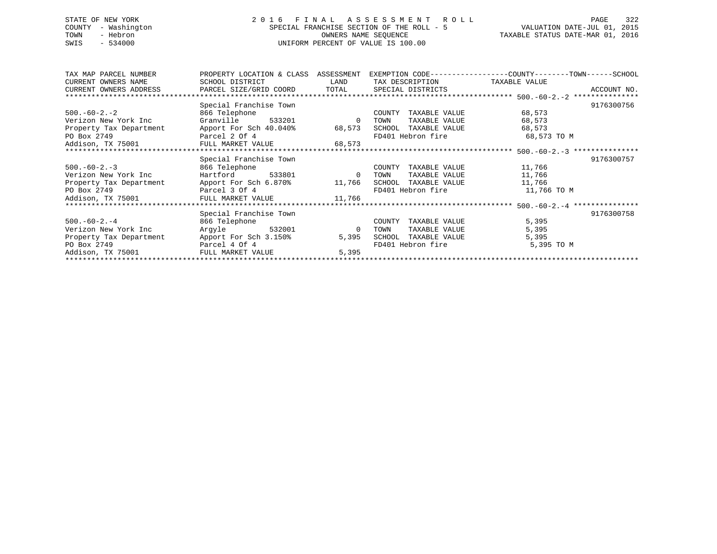# STATE OF NEW YORK 2 0 1 6 F I N A L A S S E S S M E N T R O L L PAGE 322 COUNTY - Washington SPECIAL FRANCHISE SECTION OF THE ROLL - 5 VALUATION DATE-JUL 01, 2015 TOWN - Hebron OWNERS NAME SEQUENCE TAXABLE STATUS DATE-MAR 01, 2016 SWIS - 534000 UNIFORM PERCENT OF VALUE IS 100.00

| TAX MAP PARCEL NUMBER                                                       | PROPERTY LOCATION & CLASS ASSESSMENT |                                                                                         | EXEMPTION CODE-----------------COUNTY-------TOWN------SCHOOL |             |             |
|-----------------------------------------------------------------------------|--------------------------------------|-----------------------------------------------------------------------------------------|--------------------------------------------------------------|-------------|-------------|
| CURRENT OWNERS NAME                                                         | SCHOOL DISTRICT                      | <b>EXAMPLE THE STATE OF STATE OF STATE OF STATE OF STATE OF STATE OF STATE OF STATE</b> | TAX DESCRIPTION TAXABLE VALUE                                |             |             |
| CURRENT OWNERS ADDRESS 6 PARCEL SIZE/GRID COORD 6 TOTAL 5 SPECIAL DISTRICTS |                                      |                                                                                         |                                                              |             | ACCOUNT NO. |
|                                                                             |                                      |                                                                                         |                                                              |             |             |
|                                                                             | Special Franchise Town               |                                                                                         |                                                              |             | 9176300756  |
| $500.-60-2.-2$                                                              | 866 Telephone                        |                                                                                         | COUNTY TAXABLE VALUE                                         | 68,573      |             |
| Verizon New York Inc                                                        | Granville 533201                     | $\overline{0}$                                                                          | TAXABLE VALUE<br>TOWN                                        | 68,573      |             |
| Property Tax Department Apport For Sch 40.040% 68,573 SCHOOL TAXABLE VALUE  |                                      |                                                                                         |                                                              | 68,573      |             |
| PO Box 2749                                                                 | Parcel 2 Of 4                        |                                                                                         | FD401 Hebron fire                                            | 68,573 TO M |             |
| Addison, TX 75001 FULL MARKET VALUE 68,573                                  |                                      |                                                                                         |                                                              |             |             |
|                                                                             |                                      |                                                                                         |                                                              |             |             |
|                                                                             | Special Franchise Town               |                                                                                         |                                                              |             | 9176300757  |
| $500.-60-2.-3$                                                              | 866 Telephone                        |                                                                                         | TAXABLE VALUE<br>COUNTY                                      | 11,766      |             |
| Verizon New York Inc                                                        | Hartford 533801 0 TOWN               |                                                                                         | TAXABLE VALUE                                                | 11,766      |             |
| Property Tax Department Apport For Sch 6.870% 11,766 SCHOOL TAXABLE VALUE   |                                      |                                                                                         |                                                              | 11,766      |             |
| PO Box 2749                                                                 | Parcel 3 Of 4                        |                                                                                         | FD401 Hebron fire                                            | 11,766 TO M |             |
| Addison, TX 75001 FULL MARKET VALUE 11,766                                  |                                      |                                                                                         |                                                              |             |             |
|                                                                             |                                      |                                                                                         |                                                              |             |             |
|                                                                             | Special Franchise Town               |                                                                                         |                                                              |             | 9176300758  |
| $500.-60-2.-4$                                                              | 866 Telephone                        |                                                                                         | TAXABLE VALUE<br>COUNTY                                      | 5,395       |             |
| Verizon New York Inc                                                        | Argyle 532001                        | $\overline{0}$                                                                          | TAXABLE VALUE<br>TOWN                                        | 5,395       |             |
| Property Tax Department                                                     | Apport For Sch 3.150%                | 5,395                                                                                   | TAXABLE VALUE<br>SCHOOL                                      | 5,395       |             |
| PO Box 2749                                                                 | Parcel 4 Of 4                        |                                                                                         | FD401 Hebron fire                                            | 5,395 TO M  |             |
|                                                                             |                                      | 5,395                                                                                   |                                                              |             |             |
|                                                                             |                                      |                                                                                         |                                                              |             |             |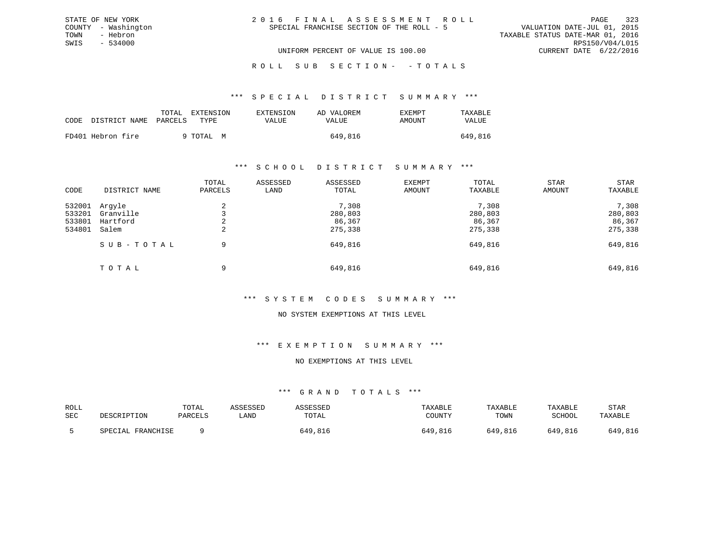|  | 2016 FINAL ASSESSMENT ROLL                |                                  | 323<br>PAGE     |
|--|-------------------------------------------|----------------------------------|-----------------|
|  | SPECIAL FRANCHISE SECTION OF THE ROLL - 5 | VALUATION DATE-JUL 01, 2015      |                 |
|  |                                           | TAXABLE STATUS DATE-MAR 01, 2016 |                 |
|  |                                           |                                  | RPS150/V04/L015 |
|  | UNIFORM PERCENT OF VALUE IS 100.00        | CURRENT DATE 6/22/2016           |                 |

#### \*\*\* S P E C I A L D I S T R I C T S U M M A R Y \*\*\*

|      |                   | TOTAL   | EXTENSION | EXTENSION    | AD VALOREM | <b>EXEMPT</b> | TAXABLE      |
|------|-------------------|---------|-----------|--------------|------------|---------------|--------------|
| CODE | DISTRICT NAME     | PARCELS | TYPE.     | <b>VALUE</b> | VALUE      | AMOUNT        | <b>VALUE</b> |
|      | FD401 Hebron fire |         | 9 TOTAL M |              | 649,816    |               | 649,816      |

STATE OF NEW YORK COUNTY - Washington TOWN - Hebron SWIS - 534000

### \*\*\* S C H O O L D I S T R I C T S U M M A R Y \*\*\*

| CODE                                 | DISTRICT NAME                            | TOTAL<br>PARCELS | ASSESSED<br>LAND | ASSESSED<br>TOTAL                     | EXEMPT<br>AMOUNT | TOTAL<br>TAXABLE                      | <b>STAR</b><br>AMOUNT | STAR<br>TAXABLE                       |
|--------------------------------------|------------------------------------------|------------------|------------------|---------------------------------------|------------------|---------------------------------------|-----------------------|---------------------------------------|
| 532001<br>533201<br>533801<br>534801 | Arqyle<br>Granville<br>Hartford<br>Salem | 4<br>∠           |                  | 7,308<br>280,803<br>86,367<br>275,338 |                  | 7,308<br>280,803<br>86,367<br>275,338 |                       | 7,308<br>280,803<br>86,367<br>275,338 |
|                                      | SUB-TOTAL                                | 9                |                  | 649,816                               |                  | 649,816                               |                       | 649,816                               |
|                                      | TOTAL                                    | 9                |                  | 649,816                               |                  | 649,816                               |                       | 649,816                               |

## \*\*\* S Y S T E M C O D E S S U M M A R Y \*\*\*

## NO SYSTEM EXEMPTIONS AT THIS LEVEL

## \*\*\* E X E M P T I O N S U M M A R Y \*\*\*

#### NO EXEMPTIONS AT THIS LEVEL

| ROLL |                   | TOTAL   | ASSESSED | ASSESSED | TAXABLE | TAXABLE | TAXABLE | STAR    |
|------|-------------------|---------|----------|----------|---------|---------|---------|---------|
| SEC  | DESCRIPTION       | PARCELS | LAND     | TOTAL    | COUNTY  | TOWN    | SCHOOL  | TAXABLE |
|      | SPECIAL FRANCHISE |         |          | 649,816  | 649,816 | 649,816 | 649,816 | 649,816 |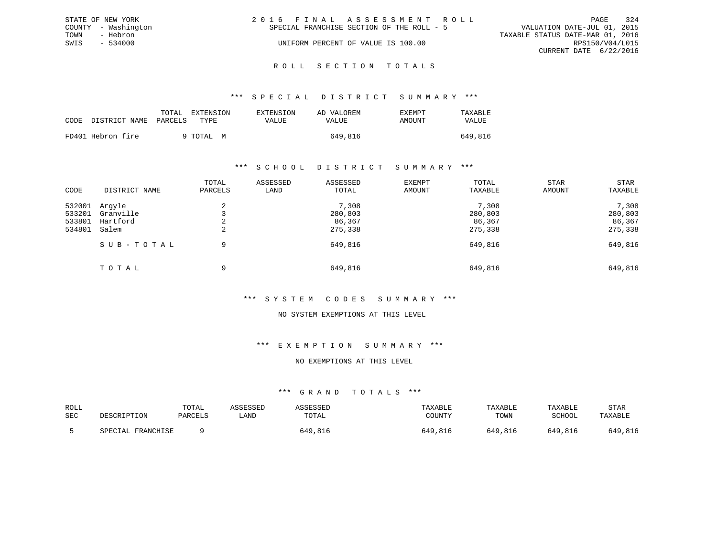| STATE OF NEW YORK   |          | 2016 FINAL ASSESSMENT ROLL |                                           |                                  |                        | PAGE | 324 |
|---------------------|----------|----------------------------|-------------------------------------------|----------------------------------|------------------------|------|-----|
| COUNTY - Washington |          |                            | SPECIAL FRANCHISE SECTION OF THE ROLL - 5 | VALUATION DATE-JUL 01, 2015      |                        |      |     |
| TOWN                | - Hebron |                            |                                           | TAXABLE STATUS DATE-MAR 01, 2016 |                        |      |     |
| SWIS                | - 534000 |                            | UNIFORM PERCENT OF VALUE IS 100.00        |                                  | RPS150/V04/L015        |      |     |
|                     |          |                            |                                           |                                  | CURRENT DATE 6/22/2016 |      |     |
|                     |          |                            |                                           |                                  |                        |      |     |

#### R O L L S E C T I O N T O T A L S

## \*\*\* S P E C I A L D I S T R I C T S U M M A R Y \*\*\*

| CODE | DISTRICT NAME PARCELS | TOTAL | EXTENSION<br>TYPE. | EXTENSION<br>VALUE | AD VALOREM<br>VALUE | EXEMPT<br>AMOUNT | TAXABLE<br>VALUE |
|------|-----------------------|-------|--------------------|--------------------|---------------------|------------------|------------------|
|      |                       |       |                    |                    |                     |                  |                  |
|      | FD401 Hebron fire     |       | 9 ТОТАЬ М          |                    | 649,816             |                  | 649,816          |

## \*\*\* S C H O O L D I S T R I C T S U M M A R Y \*\*\*

| CODE                                 | DISTRICT NAME                            | TOTAL<br>PARCELS      | ASSESSED<br>LAND | ASSESSED<br>TOTAL                     | <b>EXEMPT</b><br>AMOUNT | TOTAL<br>TAXABLE                      | <b>STAR</b><br>AMOUNT | STAR<br>TAXABLE                       |
|--------------------------------------|------------------------------------------|-----------------------|------------------|---------------------------------------|-------------------------|---------------------------------------|-----------------------|---------------------------------------|
| 532001<br>533201<br>533801<br>534801 | Argyle<br>Granville<br>Hartford<br>Salem | $\sim$<br>4<br>4<br>2 |                  | 7,308<br>280,803<br>86,367<br>275,338 |                         | 7,308<br>280,803<br>86,367<br>275,338 |                       | 7,308<br>280,803<br>86,367<br>275,338 |
|                                      | SUB-TOTAL                                | 9                     |                  | 649,816                               |                         | 649,816                               |                       | 649,816                               |
|                                      | TOTAL                                    | 9                     |                  | 649,816                               |                         | 649,816                               |                       | 649,816                               |

## \*\*\* S Y S T E M C O D E S S U M M A R Y \*\*\*

## NO SYSTEM EXEMPTIONS AT THIS LEVEL

## \*\*\* E X E M P T I O N S U M M A R Y \*\*\*

#### NO EXEMPTIONS AT THIS LEVEL

| ROLL<br>SEC | DESCRIPTION       | TOTAL<br>PARCELS | <i>SSESSED</i><br>LAND | SSESSED<br>TOTAL | TAXABLE<br>COUNTY | TAXABLE<br>TOWN | TAXABLE<br>SCHOOL | STAR<br>TAXABLE |
|-------------|-------------------|------------------|------------------------|------------------|-------------------|-----------------|-------------------|-----------------|
|             | SPECIAL FRANCHISE |                  |                        | 649,816          | 649,816           | 649,816         | 649,816           | 649,816         |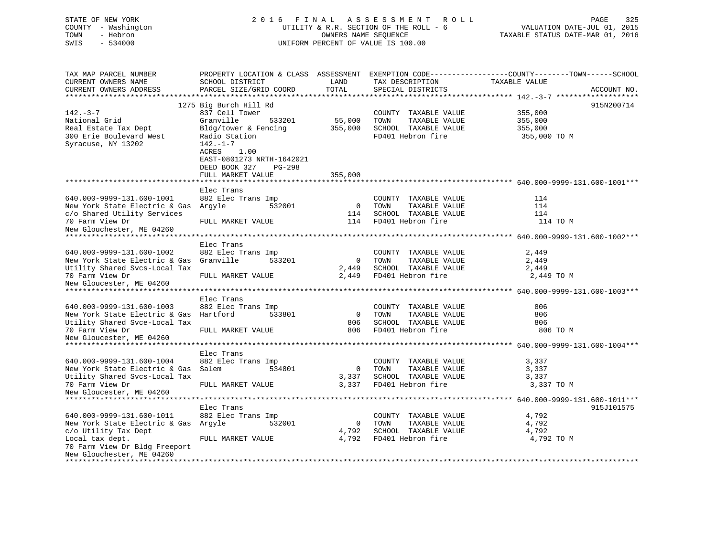| STATE OF NEW YORK<br>COUNTY - Washington<br>- Hebron<br>TOWN<br>SWIS<br>$-534000$ | 2016 FINAL<br>UTILITY & R.R. SECTION OF THE ROLL - 6<br>UNIFORM PERCENT OF VALUE IS 100.00 | PAGE<br>325<br>VALUATION DATE-JUL 01, 2015<br>TAXABLE STATUS DATE-MAR 01, 2016 |                                               |                                                                                                                                 |
|-----------------------------------------------------------------------------------|--------------------------------------------------------------------------------------------|--------------------------------------------------------------------------------|-----------------------------------------------|---------------------------------------------------------------------------------------------------------------------------------|
| TAX MAP PARCEL NUMBER<br>CURRENT OWNERS NAME<br>CURRENT OWNERS ADDRESS            | SCHOOL DISTRICT<br>PARCEL SIZE/GRID COORD                                                  | LAND<br>TOTAL                                                                  | TAX DESCRIPTION<br>SPECIAL DISTRICTS          | PROPERTY LOCATION & CLASS ASSESSMENT EXEMPTION CODE----------------COUNTY-------TOWN-----SCHOOL<br>TAXABLE VALUE<br>ACCOUNT NO. |
|                                                                                   | 1275 Big Burch Hill Rd                                                                     |                                                                                |                                               | 915N200714                                                                                                                      |
| $142. - 3 - 7$                                                                    | 837 Cell Tower                                                                             |                                                                                | COUNTY TAXABLE VALUE                          | 355,000                                                                                                                         |
| National Grid                                                                     | Granville<br>533201                                                                        | 55,000                                                                         | TOWN<br>TAXABLE VALUE                         | 355,000                                                                                                                         |
| Real Estate Tax Dept<br>300 Erie Boulevard West                                   | Bldg/tower & Fencing<br>Radio Station                                                      | 355,000                                                                        | SCHOOL TAXABLE VALUE<br>FD401 Hebron fire     | 355,000<br>355,000 TO M                                                                                                         |
| Syracuse, NY 13202                                                                | $142. - 1 - 7$<br>ACRES<br>1.00<br>EAST-0801273 NRTH-1642021<br>DEED BOOK 327<br>PG-298    |                                                                                |                                               |                                                                                                                                 |
|                                                                                   | FULL MARKET VALUE                                                                          | 355,000                                                                        |                                               |                                                                                                                                 |
|                                                                                   | Elec Trans                                                                                 |                                                                                |                                               |                                                                                                                                 |
| 640.000-9999-131.600-1001                                                         | 882 Elec Trans Imp                                                                         |                                                                                | COUNTY TAXABLE VALUE                          | 114                                                                                                                             |
| New York State Electric & Gas                                                     | Argyle<br>532001                                                                           | $\overline{0}$                                                                 | TOWN<br>TAXABLE VALUE                         | 114                                                                                                                             |
| c/o Shared Utility Services                                                       |                                                                                            | 114                                                                            | SCHOOL TAXABLE VALUE                          | 114                                                                                                                             |
| 70 Farm View Dr                                                                   | FULL MARKET VALUE                                                                          | 114                                                                            | FD401 Hebron fire                             | 114 TO M                                                                                                                        |
| New Glouchester, ME 04260                                                         |                                                                                            |                                                                                |                                               |                                                                                                                                 |
|                                                                                   | Elec Trans                                                                                 |                                                                                |                                               |                                                                                                                                 |
| 640.000-9999-131.600-1002                                                         | 882 Elec Trans Imp                                                                         |                                                                                | COUNTY TAXABLE VALUE                          | 2,449                                                                                                                           |
| New York State Electric & Gas                                                     | Granville<br>533201                                                                        | 0                                                                              | TOWN<br>TAXABLE VALUE                         | 2,449                                                                                                                           |
| Utility Shared Svcs-Local Tax                                                     |                                                                                            | 2,449                                                                          | SCHOOL TAXABLE VALUE                          | 2,449                                                                                                                           |
| 70 Farm View Dr                                                                   | FULL MARKET VALUE                                                                          | 2,449                                                                          | FD401 Hebron fire                             | 2,449 TO M                                                                                                                      |
| New Gloucester, ME 04260                                                          |                                                                                            |                                                                                |                                               |                                                                                                                                 |
| ******************************                                                    |                                                                                            |                                                                                |                                               |                                                                                                                                 |
|                                                                                   | Elec Trans                                                                                 |                                                                                |                                               |                                                                                                                                 |
| 640.000-9999-131.600-1003                                                         | 882 Elec Trans Imp                                                                         |                                                                                | COUNTY TAXABLE VALUE                          | 806                                                                                                                             |
| New York State Electric & Gas<br>Utility Shared Svce-Local Tax                    | Hartford<br>533801                                                                         | $\mathbf 0$<br>806                                                             | TOWN<br>TAXABLE VALUE<br>SCHOOL TAXABLE VALUE | 806<br>806                                                                                                                      |
| 70 Farm View Dr                                                                   | FULL MARKET VALUE                                                                          | 806                                                                            | FD401 Hebron fire                             | 806 TO M                                                                                                                        |
| New Gloucester, ME 04260                                                          |                                                                                            |                                                                                |                                               |                                                                                                                                 |
|                                                                                   |                                                                                            |                                                                                |                                               |                                                                                                                                 |
|                                                                                   | Elec Trans                                                                                 |                                                                                |                                               |                                                                                                                                 |
| 640.000-9999-131.600-1004                                                         | 882 Elec Trans Imp                                                                         |                                                                                | COUNTY TAXABLE VALUE                          | 3,337                                                                                                                           |
| New York State Electric & Gas                                                     | Salem<br>534801                                                                            | $\mathbf{0}$                                                                   | TOWN<br>TAXABLE VALUE                         | 3,337                                                                                                                           |
| Utility Shared Svcs-Local Tax                                                     |                                                                                            | 3,337                                                                          | SCHOOL TAXABLE VALUE                          | 3,337                                                                                                                           |
| 70 Farm View Dr                                                                   | FULL MARKET VALUE                                                                          | 3,337                                                                          | FD401 Hebron fire                             | 3,337 TO M                                                                                                                      |
| New Gloucester, ME 04260                                                          |                                                                                            |                                                                                |                                               |                                                                                                                                 |
|                                                                                   | Elec Trans                                                                                 |                                                                                |                                               | 915J101575                                                                                                                      |
| 640.000-9999-131.600-1011                                                         | 882 Elec Trans Imp                                                                         |                                                                                | COUNTY TAXABLE VALUE                          | 4,792                                                                                                                           |
| New York State Electric & Gas                                                     | 532001<br>Argyle                                                                           | $\mathbf 0$                                                                    | TOWN<br>TAXABLE VALUE                         | 4,792                                                                                                                           |
| c/o Utility Tax Dept                                                              |                                                                                            | 4,792                                                                          | SCHOOL TAXABLE VALUE                          | 4,792                                                                                                                           |
| Local tax dept.                                                                   | FULL MARKET VALUE                                                                          | 4,792                                                                          | FD401 Hebron fire                             | 4,792 TO M                                                                                                                      |
| 70 Farm View Dr Bldg Freeport<br>New Glouchester, ME 04260                        |                                                                                            |                                                                                |                                               |                                                                                                                                 |

\*\*\*\*\*\*\*\*\*\*\*\*\*\*\*\*\*\*\*\*\*\*\*\*\*\*\*\*\*\*\*\*\*\*\*\*\*\*\*\*\*\*\*\*\*\*\*\*\*\*\*\*\*\*\*\*\*\*\*\*\*\*\*\*\*\*\*\*\*\*\*\*\*\*\*\*\*\*\*\*\*\*\*\*\*\*\*\*\*\*\*\*\*\*\*\*\*\*\*\*\*\*\*\*\*\*\*\*\*\*\*\*\*\*\*\*\*\*\*\*\*\*\*\*\*\*\*\*\*\*\*\*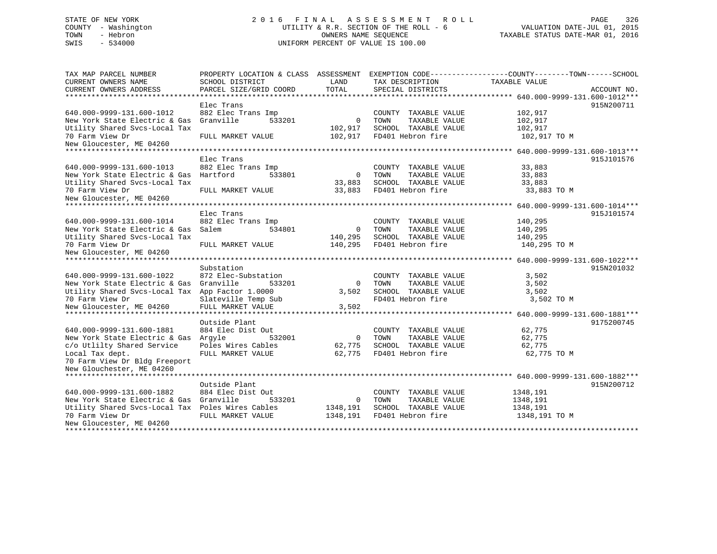# STATE OF NEW YORK 2 0 1 6 F I N A L A S S E S S M E N T R O L L PAGE 326 COUNTY - Washington UTILITY & R.R. SECTION OF THE ROLL - 6 VALUATION DATE-JUL 01, 2015 TOWN - Hebron OWNERS NAME SEQUENCE TAXABLE STATUS DATE-MAR 01, 2016 SWIS - 534000 UNIFORM PERCENT OF VALUE IS 100.00

| TAX MAP PARCEL NUMBER                            |                        |                |                       | PROPERTY LOCATION & CLASS ASSESSMENT EXEMPTION CODE----------------COUNTY-------TOWN------SCHOOL |
|--------------------------------------------------|------------------------|----------------|-----------------------|--------------------------------------------------------------------------------------------------|
| CURRENT OWNERS NAME                              | SCHOOL DISTRICT        | LAND           | TAX DESCRIPTION       | TAXABLE VALUE                                                                                    |
| CURRENT OWNERS ADDRESS                           | PARCEL SIZE/GRID COORD | TOTAL          | SPECIAL DISTRICTS     | ACCOUNT NO.                                                                                      |
|                                                  |                        |                |                       |                                                                                                  |
|                                                  | Elec Trans             |                |                       | 915N200711                                                                                       |
| 640.000-9999-131.600-1012                        | 882 Elec Trans Imp     |                | COUNTY TAXABLE VALUE  | 102,917                                                                                          |
| New York State Electric & Gas                    | Granville<br>533201    | $\mathbf 0$    | TOWN<br>TAXABLE VALUE | 102,917                                                                                          |
| Utility Shared Svcs-Local Tax                    |                        | 102,917        | SCHOOL TAXABLE VALUE  | 102,917                                                                                          |
| 70 Farm View Dr                                  | FULL MARKET VALUE      | 102,917        | FD401 Hebron fire     | 102,917 TO M                                                                                     |
| New Gloucester, ME 04260                         |                        |                |                       |                                                                                                  |
|                                                  |                        |                |                       |                                                                                                  |
|                                                  | Elec Trans             |                |                       | 915J101576                                                                                       |
| 640.000-9999-131.600-1013                        | 882 Elec Trans Imp     |                | COUNTY TAXABLE VALUE  | 33,883                                                                                           |
|                                                  | Hartford<br>533801     | $\Omega$       | TAXABLE VALUE<br>TOWN |                                                                                                  |
| New York State Electric & Gas                    |                        |                | SCHOOL TAXABLE VALUE  | 33,883                                                                                           |
| Utility Shared Svcs-Local Tax                    |                        | 33,883         |                       | 33,883                                                                                           |
| 70 Farm View Dr                                  | FULL MARKET VALUE      | 33,883         | FD401 Hebron fire     | 33,883 TO M                                                                                      |
| New Gloucester, ME 04260                         |                        |                |                       |                                                                                                  |
|                                                  |                        |                |                       |                                                                                                  |
|                                                  | Elec Trans             |                |                       | 915J101574                                                                                       |
| 640.000-9999-131.600-1014                        | 882 Elec Trans Imp     |                | COUNTY TAXABLE VALUE  | 140,295                                                                                          |
| New York State Electric & Gas                    | Salem<br>534801        | $\overline{0}$ | TOWN<br>TAXABLE VALUE | 140,295                                                                                          |
| Utility Shared Svcs-Local Tax                    |                        | 140,295        | SCHOOL TAXABLE VALUE  | 140,295                                                                                          |
| 70 Farm View Dr                                  | FULL MARKET VALUE      | 140,295        | FD401 Hebron fire     | 140,295 TO M                                                                                     |
| New Gloucester, ME 04260                         |                        |                |                       |                                                                                                  |
|                                                  |                        |                |                       |                                                                                                  |
|                                                  | Substation             |                |                       | 915N201032                                                                                       |
| 640.000-9999-131.600-1022                        | 872 Elec-Substation    |                | COUNTY TAXABLE VALUE  | 3,502                                                                                            |
| New York State Electric & Gas                    | Granville<br>533201    | $\Omega$       | TAXABLE VALUE<br>TOWN | 3,502                                                                                            |
| Utility Shared Svcs-Local Tax App Factor 1.0000  |                        | 3,502          | SCHOOL TAXABLE VALUE  | 3,502                                                                                            |
| 70 Farm View Dr                                  | Slateville Temp Sub    |                | FD401 Hebron fire     | 3,502 TO M                                                                                       |
| New Gloucester, ME 04260                         | FULL MARKET VALUE      | 3,502          |                       |                                                                                                  |
|                                                  |                        |                |                       |                                                                                                  |
|                                                  | Outside Plant          |                |                       | 9175200745                                                                                       |
| 640.000-9999-131.600-1881                        | 884 Elec Dist Out      |                | COUNTY TAXABLE VALUE  | 62,775                                                                                           |
| New York State Electric & Gas                    | Arqyle<br>532001       | $\Omega$       | TOWN<br>TAXABLE VALUE | 62,775                                                                                           |
| c/o Utlilty Shared Service                       | Poles Wires Cables     | 62,775         | SCHOOL TAXABLE VALUE  | 62,775                                                                                           |
| Local Tax dept.                                  | FULL MARKET VALUE      | 62,775         | FD401 Hebron fire     | 62,775 TO M                                                                                      |
| 70 Farm View Dr Bldg Freeport                    |                        |                |                       |                                                                                                  |
| New Glouchester, ME 04260                        |                        |                |                       |                                                                                                  |
|                                                  |                        |                |                       |                                                                                                  |
|                                                  | Outside Plant          |                |                       | 915N200712                                                                                       |
| 640.000-9999-131.600-1882                        | 884 Elec Dist Out      |                | COUNTY TAXABLE VALUE  | 1348,191                                                                                         |
| New York State Electric & Gas Granville          | 533201                 | $\mathbf 0$    | TOWN<br>TAXABLE VALUE | 1348,191                                                                                         |
| Utility Shared Svcs-Local Tax Poles Wires Cables |                        | 1348,191       | SCHOOL TAXABLE VALUE  | 1348,191                                                                                         |
| 70 Farm View Dr                                  | FULL MARKET VALUE      | 1348,191       | FD401 Hebron fire     | 1348,191 TO M                                                                                    |
| New Gloucester, ME 04260                         |                        |                |                       |                                                                                                  |
|                                                  |                        |                |                       |                                                                                                  |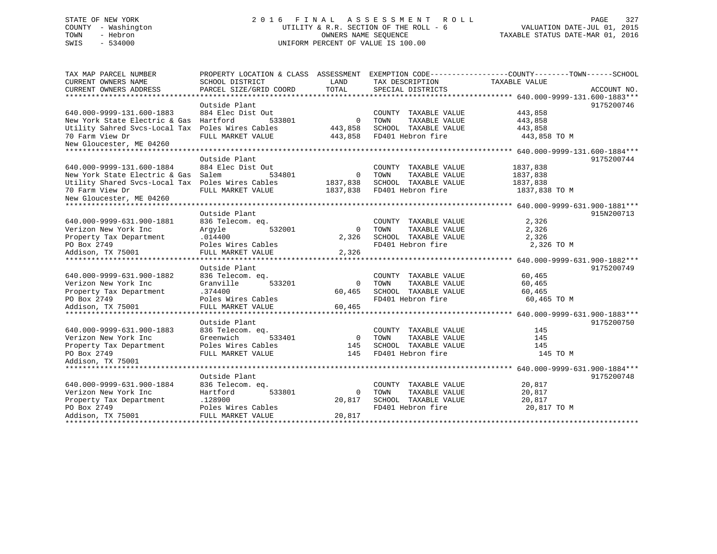# STATE OF NEW YORK 2 0 1 6 F I N A L A S S E S S M E N T R O L L PAGE 327COUNTY - Washington  $U1$  UTILITY & R.R. SECTION OF THE ROLL - 6<br>TOWN - Hebron DATE-JUL 000NERS NAME SEQUENCE SWIS - 534000 UNIFORM PERCENT OF VALUE IS 100.00

TAXABLE STATUS DATE-MAR 01, 2016

| CURRENT OWNERS NAME<br>SCHOOL DISTRICT<br>LAND<br>TAX DESCRIPTION<br>TAXABLE VALUE<br>TOTAL<br>CURRENT OWNERS ADDRESS<br>PARCEL SIZE/GRID COORD<br>SPECIAL DISTRICTS<br>ACCOUNT NO.<br>Outside Plant<br>9175200746<br>640.000-9999-131.600-1883<br>884 Elec Dist Out<br>443,858<br>COUNTY TAXABLE VALUE<br>New York State Electric & Gas Hartford<br>533801<br>$\overline{0}$<br>TOWN<br>TAXABLE VALUE<br>443,858<br>Utility Sahred Svcs-Local Tax Poles Wires Cables<br>443,858<br>SCHOOL TAXABLE VALUE<br>443,858<br>70 Farm View Dr<br>FULL MARKET VALUE<br>443,858<br>FD401 Hebron fire<br>443,858 TO M<br>New Gloucester, ME 04260<br>Outside Plant<br>9175200744<br>884 Elec Dist Out<br>640.000-9999-131.600-1884<br>COUNTY TAXABLE VALUE<br>1837,838<br>New York State Electric & Gas Salem<br>534801<br>TOWN<br>TAXABLE VALUE<br>$\mathbf 0$<br>1837,838<br>Utility Shared Svcs-Local Tax Poles Wires Cables<br>1837,838<br>SCHOOL TAXABLE VALUE<br>1837,838<br>FULL MARKET VALUE<br>1837,838<br>FD401 Hebron fire<br>1837,838 TO M<br>70 Farm View Dr<br>New Gloucester, ME 04260<br>Outside Plant<br>915N200713<br>2,326<br>640.000-9999-631.900-1881<br>836 Telecom. eq.<br>COUNTY TAXABLE VALUE<br>Verizon New York Inc<br>Arqyle<br>532001<br>$\Omega$<br>TOWN<br>TAXABLE VALUE<br>2,326<br>SCHOOL TAXABLE VALUE<br>2,326<br>Property Tax Department<br>.014400<br>2,326<br>PO Box 2749<br>Poles Wires Cables<br>FD401 Hebron fire<br>2,326 TO M<br>Addison, TX 75001<br>FULL MARKET VALUE<br>2,326<br>Outside Plant<br>9175200749<br>640.000-9999-631.900-1882<br>836 Telecom. eq.<br>COUNTY TAXABLE VALUE<br>60,465<br>Verizon New York Inc<br>Granville<br>533201<br>$\mathbf 0$<br>TOWN<br>TAXABLE VALUE<br>60,465<br>.374400<br>SCHOOL TAXABLE VALUE<br>Property Tax Department<br>60,465<br>60,465<br>PO Box 2749<br>Poles Wires Cables<br>FD401 Hebron fire<br>60,465 TO M<br>Addison, TX 75001<br>FULL MARKET VALUE<br>60,465<br>Outside Plant<br>9175200750<br>640.000-9999-631.900-1883<br>836 Telecom. eq.<br>COUNTY TAXABLE VALUE<br>145<br>Verizon New York Inc<br>Greenwich<br>533401<br>$\overline{0}$<br>TOWN<br>TAXABLE VALUE<br>145<br>Poles Wires Cables<br>SCHOOL TAXABLE VALUE<br>Property Tax Department<br>145<br>145<br>PO Box 2749<br>145<br>FD401 Hebron fire<br>145 TO M<br>FULL MARKET VALUE<br>Addison, TX 75001<br>Outside Plant<br>9175200748<br>640.000-9999-631.900-1884<br>836 Telecom. eq.<br>COUNTY TAXABLE VALUE<br>20,817<br>Verizon New York Inc<br>Hartford<br>533801<br>$\overline{0}$<br>TOWN<br>TAXABLE VALUE<br>20,817<br>.128900<br>20,817<br>SCHOOL TAXABLE VALUE<br>20,817<br>Property Tax Department<br>PO Box 2749<br>FD401 Hebron fire<br>Poles Wires Cables<br>20,817 TO M<br>Addison, TX 75001<br>FULL MARKET VALUE<br>20,817 | TAX MAP PARCEL NUMBER | PROPERTY LOCATION & CLASS ASSESSMENT | EXEMPTION CODE-----------------COUNTY-------TOWN------SCHOOL |  |
|-------------------------------------------------------------------------------------------------------------------------------------------------------------------------------------------------------------------------------------------------------------------------------------------------------------------------------------------------------------------------------------------------------------------------------------------------------------------------------------------------------------------------------------------------------------------------------------------------------------------------------------------------------------------------------------------------------------------------------------------------------------------------------------------------------------------------------------------------------------------------------------------------------------------------------------------------------------------------------------------------------------------------------------------------------------------------------------------------------------------------------------------------------------------------------------------------------------------------------------------------------------------------------------------------------------------------------------------------------------------------------------------------------------------------------------------------------------------------------------------------------------------------------------------------------------------------------------------------------------------------------------------------------------------------------------------------------------------------------------------------------------------------------------------------------------------------------------------------------------------------------------------------------------------------------------------------------------------------------------------------------------------------------------------------------------------------------------------------------------------------------------------------------------------------------------------------------------------------------------------------------------------------------------------------------------------------------------------------------------------------------------------------------------------------------------------------------------------------------------------------------------------------------------------------------------------------------------------------------------------------------------------------------------------------------------------------------------------------------------------------------------------------------------------------|-----------------------|--------------------------------------|--------------------------------------------------------------|--|
|                                                                                                                                                                                                                                                                                                                                                                                                                                                                                                                                                                                                                                                                                                                                                                                                                                                                                                                                                                                                                                                                                                                                                                                                                                                                                                                                                                                                                                                                                                                                                                                                                                                                                                                                                                                                                                                                                                                                                                                                                                                                                                                                                                                                                                                                                                                                                                                                                                                                                                                                                                                                                                                                                                                                                                                                 |                       |                                      |                                                              |  |
|                                                                                                                                                                                                                                                                                                                                                                                                                                                                                                                                                                                                                                                                                                                                                                                                                                                                                                                                                                                                                                                                                                                                                                                                                                                                                                                                                                                                                                                                                                                                                                                                                                                                                                                                                                                                                                                                                                                                                                                                                                                                                                                                                                                                                                                                                                                                                                                                                                                                                                                                                                                                                                                                                                                                                                                                 |                       |                                      |                                                              |  |
|                                                                                                                                                                                                                                                                                                                                                                                                                                                                                                                                                                                                                                                                                                                                                                                                                                                                                                                                                                                                                                                                                                                                                                                                                                                                                                                                                                                                                                                                                                                                                                                                                                                                                                                                                                                                                                                                                                                                                                                                                                                                                                                                                                                                                                                                                                                                                                                                                                                                                                                                                                                                                                                                                                                                                                                                 |                       |                                      |                                                              |  |
|                                                                                                                                                                                                                                                                                                                                                                                                                                                                                                                                                                                                                                                                                                                                                                                                                                                                                                                                                                                                                                                                                                                                                                                                                                                                                                                                                                                                                                                                                                                                                                                                                                                                                                                                                                                                                                                                                                                                                                                                                                                                                                                                                                                                                                                                                                                                                                                                                                                                                                                                                                                                                                                                                                                                                                                                 |                       |                                      |                                                              |  |
|                                                                                                                                                                                                                                                                                                                                                                                                                                                                                                                                                                                                                                                                                                                                                                                                                                                                                                                                                                                                                                                                                                                                                                                                                                                                                                                                                                                                                                                                                                                                                                                                                                                                                                                                                                                                                                                                                                                                                                                                                                                                                                                                                                                                                                                                                                                                                                                                                                                                                                                                                                                                                                                                                                                                                                                                 |                       |                                      |                                                              |  |
|                                                                                                                                                                                                                                                                                                                                                                                                                                                                                                                                                                                                                                                                                                                                                                                                                                                                                                                                                                                                                                                                                                                                                                                                                                                                                                                                                                                                                                                                                                                                                                                                                                                                                                                                                                                                                                                                                                                                                                                                                                                                                                                                                                                                                                                                                                                                                                                                                                                                                                                                                                                                                                                                                                                                                                                                 |                       |                                      |                                                              |  |
|                                                                                                                                                                                                                                                                                                                                                                                                                                                                                                                                                                                                                                                                                                                                                                                                                                                                                                                                                                                                                                                                                                                                                                                                                                                                                                                                                                                                                                                                                                                                                                                                                                                                                                                                                                                                                                                                                                                                                                                                                                                                                                                                                                                                                                                                                                                                                                                                                                                                                                                                                                                                                                                                                                                                                                                                 |                       |                                      |                                                              |  |
|                                                                                                                                                                                                                                                                                                                                                                                                                                                                                                                                                                                                                                                                                                                                                                                                                                                                                                                                                                                                                                                                                                                                                                                                                                                                                                                                                                                                                                                                                                                                                                                                                                                                                                                                                                                                                                                                                                                                                                                                                                                                                                                                                                                                                                                                                                                                                                                                                                                                                                                                                                                                                                                                                                                                                                                                 |                       |                                      |                                                              |  |
|                                                                                                                                                                                                                                                                                                                                                                                                                                                                                                                                                                                                                                                                                                                                                                                                                                                                                                                                                                                                                                                                                                                                                                                                                                                                                                                                                                                                                                                                                                                                                                                                                                                                                                                                                                                                                                                                                                                                                                                                                                                                                                                                                                                                                                                                                                                                                                                                                                                                                                                                                                                                                                                                                                                                                                                                 |                       |                                      |                                                              |  |
|                                                                                                                                                                                                                                                                                                                                                                                                                                                                                                                                                                                                                                                                                                                                                                                                                                                                                                                                                                                                                                                                                                                                                                                                                                                                                                                                                                                                                                                                                                                                                                                                                                                                                                                                                                                                                                                                                                                                                                                                                                                                                                                                                                                                                                                                                                                                                                                                                                                                                                                                                                                                                                                                                                                                                                                                 |                       |                                      |                                                              |  |
|                                                                                                                                                                                                                                                                                                                                                                                                                                                                                                                                                                                                                                                                                                                                                                                                                                                                                                                                                                                                                                                                                                                                                                                                                                                                                                                                                                                                                                                                                                                                                                                                                                                                                                                                                                                                                                                                                                                                                                                                                                                                                                                                                                                                                                                                                                                                                                                                                                                                                                                                                                                                                                                                                                                                                                                                 |                       |                                      |                                                              |  |
|                                                                                                                                                                                                                                                                                                                                                                                                                                                                                                                                                                                                                                                                                                                                                                                                                                                                                                                                                                                                                                                                                                                                                                                                                                                                                                                                                                                                                                                                                                                                                                                                                                                                                                                                                                                                                                                                                                                                                                                                                                                                                                                                                                                                                                                                                                                                                                                                                                                                                                                                                                                                                                                                                                                                                                                                 |                       |                                      |                                                              |  |
|                                                                                                                                                                                                                                                                                                                                                                                                                                                                                                                                                                                                                                                                                                                                                                                                                                                                                                                                                                                                                                                                                                                                                                                                                                                                                                                                                                                                                                                                                                                                                                                                                                                                                                                                                                                                                                                                                                                                                                                                                                                                                                                                                                                                                                                                                                                                                                                                                                                                                                                                                                                                                                                                                                                                                                                                 |                       |                                      |                                                              |  |
|                                                                                                                                                                                                                                                                                                                                                                                                                                                                                                                                                                                                                                                                                                                                                                                                                                                                                                                                                                                                                                                                                                                                                                                                                                                                                                                                                                                                                                                                                                                                                                                                                                                                                                                                                                                                                                                                                                                                                                                                                                                                                                                                                                                                                                                                                                                                                                                                                                                                                                                                                                                                                                                                                                                                                                                                 |                       |                                      |                                                              |  |
|                                                                                                                                                                                                                                                                                                                                                                                                                                                                                                                                                                                                                                                                                                                                                                                                                                                                                                                                                                                                                                                                                                                                                                                                                                                                                                                                                                                                                                                                                                                                                                                                                                                                                                                                                                                                                                                                                                                                                                                                                                                                                                                                                                                                                                                                                                                                                                                                                                                                                                                                                                                                                                                                                                                                                                                                 |                       |                                      |                                                              |  |
|                                                                                                                                                                                                                                                                                                                                                                                                                                                                                                                                                                                                                                                                                                                                                                                                                                                                                                                                                                                                                                                                                                                                                                                                                                                                                                                                                                                                                                                                                                                                                                                                                                                                                                                                                                                                                                                                                                                                                                                                                                                                                                                                                                                                                                                                                                                                                                                                                                                                                                                                                                                                                                                                                                                                                                                                 |                       |                                      |                                                              |  |
|                                                                                                                                                                                                                                                                                                                                                                                                                                                                                                                                                                                                                                                                                                                                                                                                                                                                                                                                                                                                                                                                                                                                                                                                                                                                                                                                                                                                                                                                                                                                                                                                                                                                                                                                                                                                                                                                                                                                                                                                                                                                                                                                                                                                                                                                                                                                                                                                                                                                                                                                                                                                                                                                                                                                                                                                 |                       |                                      |                                                              |  |
|                                                                                                                                                                                                                                                                                                                                                                                                                                                                                                                                                                                                                                                                                                                                                                                                                                                                                                                                                                                                                                                                                                                                                                                                                                                                                                                                                                                                                                                                                                                                                                                                                                                                                                                                                                                                                                                                                                                                                                                                                                                                                                                                                                                                                                                                                                                                                                                                                                                                                                                                                                                                                                                                                                                                                                                                 |                       |                                      |                                                              |  |
|                                                                                                                                                                                                                                                                                                                                                                                                                                                                                                                                                                                                                                                                                                                                                                                                                                                                                                                                                                                                                                                                                                                                                                                                                                                                                                                                                                                                                                                                                                                                                                                                                                                                                                                                                                                                                                                                                                                                                                                                                                                                                                                                                                                                                                                                                                                                                                                                                                                                                                                                                                                                                                                                                                                                                                                                 |                       |                                      |                                                              |  |
|                                                                                                                                                                                                                                                                                                                                                                                                                                                                                                                                                                                                                                                                                                                                                                                                                                                                                                                                                                                                                                                                                                                                                                                                                                                                                                                                                                                                                                                                                                                                                                                                                                                                                                                                                                                                                                                                                                                                                                                                                                                                                                                                                                                                                                                                                                                                                                                                                                                                                                                                                                                                                                                                                                                                                                                                 |                       |                                      |                                                              |  |
|                                                                                                                                                                                                                                                                                                                                                                                                                                                                                                                                                                                                                                                                                                                                                                                                                                                                                                                                                                                                                                                                                                                                                                                                                                                                                                                                                                                                                                                                                                                                                                                                                                                                                                                                                                                                                                                                                                                                                                                                                                                                                                                                                                                                                                                                                                                                                                                                                                                                                                                                                                                                                                                                                                                                                                                                 |                       |                                      |                                                              |  |
|                                                                                                                                                                                                                                                                                                                                                                                                                                                                                                                                                                                                                                                                                                                                                                                                                                                                                                                                                                                                                                                                                                                                                                                                                                                                                                                                                                                                                                                                                                                                                                                                                                                                                                                                                                                                                                                                                                                                                                                                                                                                                                                                                                                                                                                                                                                                                                                                                                                                                                                                                                                                                                                                                                                                                                                                 |                       |                                      |                                                              |  |
|                                                                                                                                                                                                                                                                                                                                                                                                                                                                                                                                                                                                                                                                                                                                                                                                                                                                                                                                                                                                                                                                                                                                                                                                                                                                                                                                                                                                                                                                                                                                                                                                                                                                                                                                                                                                                                                                                                                                                                                                                                                                                                                                                                                                                                                                                                                                                                                                                                                                                                                                                                                                                                                                                                                                                                                                 |                       |                                      |                                                              |  |
|                                                                                                                                                                                                                                                                                                                                                                                                                                                                                                                                                                                                                                                                                                                                                                                                                                                                                                                                                                                                                                                                                                                                                                                                                                                                                                                                                                                                                                                                                                                                                                                                                                                                                                                                                                                                                                                                                                                                                                                                                                                                                                                                                                                                                                                                                                                                                                                                                                                                                                                                                                                                                                                                                                                                                                                                 |                       |                                      |                                                              |  |
|                                                                                                                                                                                                                                                                                                                                                                                                                                                                                                                                                                                                                                                                                                                                                                                                                                                                                                                                                                                                                                                                                                                                                                                                                                                                                                                                                                                                                                                                                                                                                                                                                                                                                                                                                                                                                                                                                                                                                                                                                                                                                                                                                                                                                                                                                                                                                                                                                                                                                                                                                                                                                                                                                                                                                                                                 |                       |                                      |                                                              |  |
|                                                                                                                                                                                                                                                                                                                                                                                                                                                                                                                                                                                                                                                                                                                                                                                                                                                                                                                                                                                                                                                                                                                                                                                                                                                                                                                                                                                                                                                                                                                                                                                                                                                                                                                                                                                                                                                                                                                                                                                                                                                                                                                                                                                                                                                                                                                                                                                                                                                                                                                                                                                                                                                                                                                                                                                                 |                       |                                      |                                                              |  |
|                                                                                                                                                                                                                                                                                                                                                                                                                                                                                                                                                                                                                                                                                                                                                                                                                                                                                                                                                                                                                                                                                                                                                                                                                                                                                                                                                                                                                                                                                                                                                                                                                                                                                                                                                                                                                                                                                                                                                                                                                                                                                                                                                                                                                                                                                                                                                                                                                                                                                                                                                                                                                                                                                                                                                                                                 |                       |                                      |                                                              |  |
|                                                                                                                                                                                                                                                                                                                                                                                                                                                                                                                                                                                                                                                                                                                                                                                                                                                                                                                                                                                                                                                                                                                                                                                                                                                                                                                                                                                                                                                                                                                                                                                                                                                                                                                                                                                                                                                                                                                                                                                                                                                                                                                                                                                                                                                                                                                                                                                                                                                                                                                                                                                                                                                                                                                                                                                                 |                       |                                      |                                                              |  |
|                                                                                                                                                                                                                                                                                                                                                                                                                                                                                                                                                                                                                                                                                                                                                                                                                                                                                                                                                                                                                                                                                                                                                                                                                                                                                                                                                                                                                                                                                                                                                                                                                                                                                                                                                                                                                                                                                                                                                                                                                                                                                                                                                                                                                                                                                                                                                                                                                                                                                                                                                                                                                                                                                                                                                                                                 |                       |                                      |                                                              |  |
|                                                                                                                                                                                                                                                                                                                                                                                                                                                                                                                                                                                                                                                                                                                                                                                                                                                                                                                                                                                                                                                                                                                                                                                                                                                                                                                                                                                                                                                                                                                                                                                                                                                                                                                                                                                                                                                                                                                                                                                                                                                                                                                                                                                                                                                                                                                                                                                                                                                                                                                                                                                                                                                                                                                                                                                                 |                       |                                      |                                                              |  |
|                                                                                                                                                                                                                                                                                                                                                                                                                                                                                                                                                                                                                                                                                                                                                                                                                                                                                                                                                                                                                                                                                                                                                                                                                                                                                                                                                                                                                                                                                                                                                                                                                                                                                                                                                                                                                                                                                                                                                                                                                                                                                                                                                                                                                                                                                                                                                                                                                                                                                                                                                                                                                                                                                                                                                                                                 |                       |                                      |                                                              |  |
|                                                                                                                                                                                                                                                                                                                                                                                                                                                                                                                                                                                                                                                                                                                                                                                                                                                                                                                                                                                                                                                                                                                                                                                                                                                                                                                                                                                                                                                                                                                                                                                                                                                                                                                                                                                                                                                                                                                                                                                                                                                                                                                                                                                                                                                                                                                                                                                                                                                                                                                                                                                                                                                                                                                                                                                                 |                       |                                      |                                                              |  |
|                                                                                                                                                                                                                                                                                                                                                                                                                                                                                                                                                                                                                                                                                                                                                                                                                                                                                                                                                                                                                                                                                                                                                                                                                                                                                                                                                                                                                                                                                                                                                                                                                                                                                                                                                                                                                                                                                                                                                                                                                                                                                                                                                                                                                                                                                                                                                                                                                                                                                                                                                                                                                                                                                                                                                                                                 |                       |                                      |                                                              |  |
|                                                                                                                                                                                                                                                                                                                                                                                                                                                                                                                                                                                                                                                                                                                                                                                                                                                                                                                                                                                                                                                                                                                                                                                                                                                                                                                                                                                                                                                                                                                                                                                                                                                                                                                                                                                                                                                                                                                                                                                                                                                                                                                                                                                                                                                                                                                                                                                                                                                                                                                                                                                                                                                                                                                                                                                                 |                       |                                      |                                                              |  |
|                                                                                                                                                                                                                                                                                                                                                                                                                                                                                                                                                                                                                                                                                                                                                                                                                                                                                                                                                                                                                                                                                                                                                                                                                                                                                                                                                                                                                                                                                                                                                                                                                                                                                                                                                                                                                                                                                                                                                                                                                                                                                                                                                                                                                                                                                                                                                                                                                                                                                                                                                                                                                                                                                                                                                                                                 |                       |                                      |                                                              |  |
|                                                                                                                                                                                                                                                                                                                                                                                                                                                                                                                                                                                                                                                                                                                                                                                                                                                                                                                                                                                                                                                                                                                                                                                                                                                                                                                                                                                                                                                                                                                                                                                                                                                                                                                                                                                                                                                                                                                                                                                                                                                                                                                                                                                                                                                                                                                                                                                                                                                                                                                                                                                                                                                                                                                                                                                                 |                       |                                      |                                                              |  |
|                                                                                                                                                                                                                                                                                                                                                                                                                                                                                                                                                                                                                                                                                                                                                                                                                                                                                                                                                                                                                                                                                                                                                                                                                                                                                                                                                                                                                                                                                                                                                                                                                                                                                                                                                                                                                                                                                                                                                                                                                                                                                                                                                                                                                                                                                                                                                                                                                                                                                                                                                                                                                                                                                                                                                                                                 |                       |                                      |                                                              |  |
|                                                                                                                                                                                                                                                                                                                                                                                                                                                                                                                                                                                                                                                                                                                                                                                                                                                                                                                                                                                                                                                                                                                                                                                                                                                                                                                                                                                                                                                                                                                                                                                                                                                                                                                                                                                                                                                                                                                                                                                                                                                                                                                                                                                                                                                                                                                                                                                                                                                                                                                                                                                                                                                                                                                                                                                                 |                       |                                      |                                                              |  |
|                                                                                                                                                                                                                                                                                                                                                                                                                                                                                                                                                                                                                                                                                                                                                                                                                                                                                                                                                                                                                                                                                                                                                                                                                                                                                                                                                                                                                                                                                                                                                                                                                                                                                                                                                                                                                                                                                                                                                                                                                                                                                                                                                                                                                                                                                                                                                                                                                                                                                                                                                                                                                                                                                                                                                                                                 |                       |                                      |                                                              |  |
|                                                                                                                                                                                                                                                                                                                                                                                                                                                                                                                                                                                                                                                                                                                                                                                                                                                                                                                                                                                                                                                                                                                                                                                                                                                                                                                                                                                                                                                                                                                                                                                                                                                                                                                                                                                                                                                                                                                                                                                                                                                                                                                                                                                                                                                                                                                                                                                                                                                                                                                                                                                                                                                                                                                                                                                                 |                       |                                      |                                                              |  |
|                                                                                                                                                                                                                                                                                                                                                                                                                                                                                                                                                                                                                                                                                                                                                                                                                                                                                                                                                                                                                                                                                                                                                                                                                                                                                                                                                                                                                                                                                                                                                                                                                                                                                                                                                                                                                                                                                                                                                                                                                                                                                                                                                                                                                                                                                                                                                                                                                                                                                                                                                                                                                                                                                                                                                                                                 |                       |                                      |                                                              |  |
|                                                                                                                                                                                                                                                                                                                                                                                                                                                                                                                                                                                                                                                                                                                                                                                                                                                                                                                                                                                                                                                                                                                                                                                                                                                                                                                                                                                                                                                                                                                                                                                                                                                                                                                                                                                                                                                                                                                                                                                                                                                                                                                                                                                                                                                                                                                                                                                                                                                                                                                                                                                                                                                                                                                                                                                                 |                       |                                      |                                                              |  |
|                                                                                                                                                                                                                                                                                                                                                                                                                                                                                                                                                                                                                                                                                                                                                                                                                                                                                                                                                                                                                                                                                                                                                                                                                                                                                                                                                                                                                                                                                                                                                                                                                                                                                                                                                                                                                                                                                                                                                                                                                                                                                                                                                                                                                                                                                                                                                                                                                                                                                                                                                                                                                                                                                                                                                                                                 |                       |                                      |                                                              |  |
|                                                                                                                                                                                                                                                                                                                                                                                                                                                                                                                                                                                                                                                                                                                                                                                                                                                                                                                                                                                                                                                                                                                                                                                                                                                                                                                                                                                                                                                                                                                                                                                                                                                                                                                                                                                                                                                                                                                                                                                                                                                                                                                                                                                                                                                                                                                                                                                                                                                                                                                                                                                                                                                                                                                                                                                                 |                       |                                      |                                                              |  |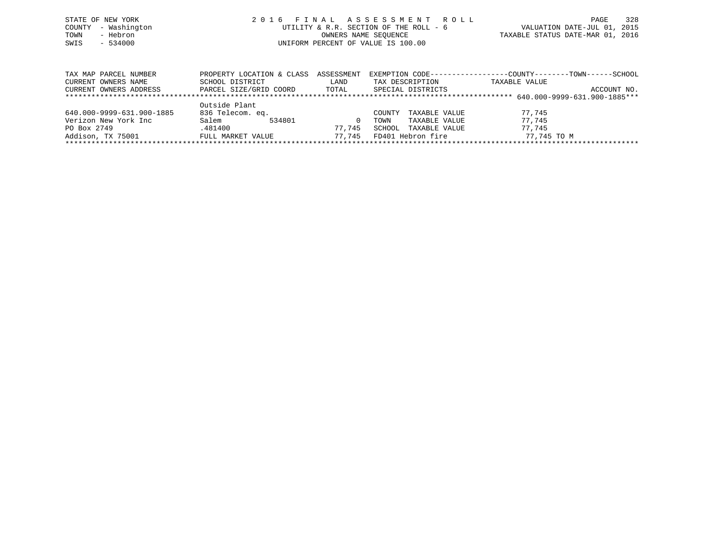|      | STATE OF NEW YORK   | 2016 FINAL ASSESSMENT ROLL             |                                  | PAGE | 328 |
|------|---------------------|----------------------------------------|----------------------------------|------|-----|
|      | COUNTY - Washington | UTILITY & R.R. SECTION OF THE ROLL - 6 | VALUATION DATE-JUL 01, 2015      |      |     |
| TOWN | - Hebron            | OWNERS NAME SEOUENCE                   | TAXABLE STATUS DATE-MAR 01, 2016 |      |     |
| SWIS | $-534000$           | UNIFORM PERCENT OF VALUE IS 100.00     |                                  |      |     |
|      |                     |                                        |                                  |      |     |
|      |                     |                                        |                                  |      |     |

| TAX MAP PARCEL NUMBER     | PROPERTY LOCATION & CLASS ASSESSMENT |        |        |        | EXEMPTION CODE------------------COUNTY-------TOWN------SCHOOL |               |             |
|---------------------------|--------------------------------------|--------|--------|--------|---------------------------------------------------------------|---------------|-------------|
| CURRENT OWNERS NAME       | SCHOOL DISTRICT                      |        | LAND   |        | TAX DESCRIPTION                                               | TAXABLE VALUE |             |
| CURRENT OWNERS ADDRESS    | PARCEL SIZE/GRID COORD               |        | TOTAL  |        | SPECIAL DISTRICTS                                             |               | ACCOUNT NO. |
|                           |                                      |        |        |        |                                                               |               |             |
|                           | Outside Plant                        |        |        |        |                                                               |               |             |
| 640.000-9999-631.900-1885 | 836 Telecom. eq.                     |        |        | COUNTY | TAXABLE VALUE                                                 | 77.745        |             |
| Verizon New York Inc      | Salem                                | 534801 |        | TOWN   | TAXABLE VALUE                                                 | 77.745        |             |
| PO Box 2749               | .481400                              |        | 77.745 | SCHOOL | TAXABLE VALUE                                                 | 77.745        |             |
| Addison, TX 75001         | FULL MARKET VALUE                    |        | 77.745 |        | FD401 Hebron fire                                             | 77,745 TO M   |             |
|                           |                                      |        |        |        |                                                               |               |             |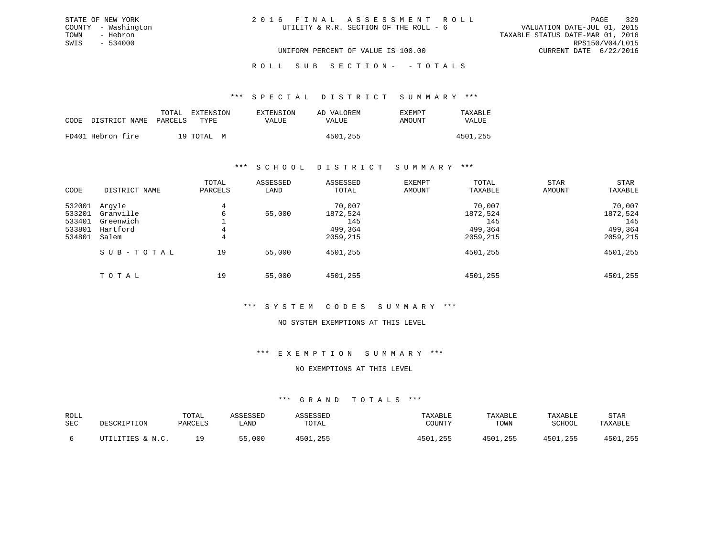# ROLL SUB SECTION - - TOTALS

#### \*\*\* S P E C I A L D I S T R I C T S U M M A R Y \*\*\*

|                            | TOTAL | EXTENSION  | EXTENSION | AD VALOREM | EXEMPT | TAXABLE  |
|----------------------------|-------|------------|-----------|------------|--------|----------|
| CODE DISTRICT NAME PARCELS |       | TYPE.      | VALUE     | VALUE      | AMOUNT | VALUE    |
| FD401 Hebron fire          |       | 19 TOTAL M |           | 4501,255   |        | 4501,255 |

#### \*\*\* S C H O O L D I S T R I C T S U M M A R Y \*\*\*

| CODE                                           | DISTRICT NAME                                         | TOTAL<br>PARCELS | ASSESSED<br>LAND | ASSESSED<br>TOTAL                                | EXEMPT<br><b>AMOUNT</b> | TOTAL<br>TAXABLE                                 | <b>STAR</b><br>AMOUNT | STAR<br>TAXABLE                                  |
|------------------------------------------------|-------------------------------------------------------|------------------|------------------|--------------------------------------------------|-------------------------|--------------------------------------------------|-----------------------|--------------------------------------------------|
| 532001<br>533201<br>533401<br>533801<br>534801 | Arqyle<br>Granville<br>Greenwich<br>Hartford<br>Salem | 4<br>6<br>4<br>4 | 55,000           | 70,007<br>1872,524<br>145<br>499,364<br>2059,215 |                         | 70,007<br>1872,524<br>145<br>499,364<br>2059,215 |                       | 70,007<br>1872,524<br>145<br>499,364<br>2059,215 |
|                                                | SUB-TOTAL                                             | 19               | 55,000           | 4501,255                                         |                         | 4501,255                                         |                       | 4501,255                                         |
|                                                | TOTAL                                                 | 19               | 55,000           | 4501,255                                         |                         | 4501,255                                         |                       | 4501,255                                         |

# \*\*\* S Y S T E M C O D E S S U M M A R Y \*\*\*

#### NO SYSTEM EXEMPTIONS AT THIS LEVEL

# \*\*\* E X E M P T I O N S U M M A R Y \*\*\*

## NO EXEMPTIONS AT THIS LEVEL

| ROLL<br><b>SEC</b> | DESCRIPTION      | TOTAL<br>PARCELS | <b><i>ASSESSED</i></b><br>LAND | ASSESSED<br>TOTAL | TAXABLE<br>COUNTY | TAXABLE<br>TOWN | TAXABLE<br>SCHOOL | <b>STAR</b><br>TAXABLE |
|--------------------|------------------|------------------|--------------------------------|-------------------|-------------------|-----------------|-------------------|------------------------|
|                    | UTILITIES & N.C. | 1 Q              | 55,000                         | 4501,255          | 4501,255          | 4501,255        | 4501,255          | 4501,255               |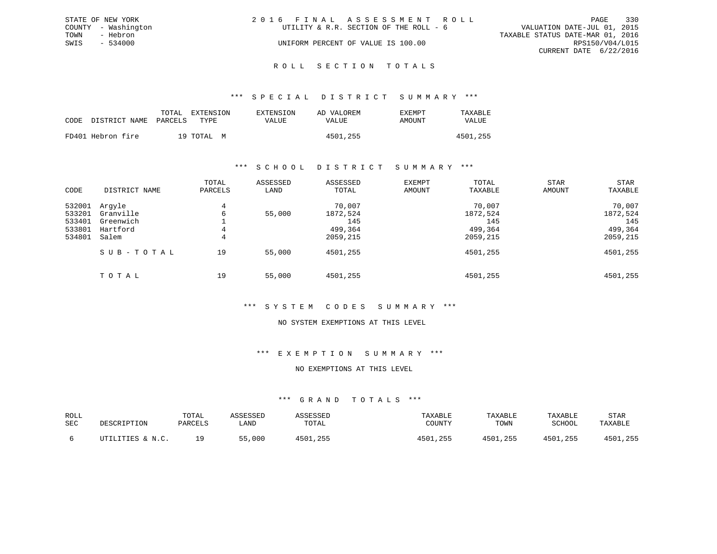|      | STATE OF NEW YORK   | 2016 FINAL ASSESSMENT ROLL |                                        |                                  |                        | PAGE | 330 |
|------|---------------------|----------------------------|----------------------------------------|----------------------------------|------------------------|------|-----|
|      | COUNTY - Washington |                            | UTILITY & R.R. SECTION OF THE ROLL - 6 | VALUATION DATE-JUL 01, 2015      |                        |      |     |
| TOWN | - Hebron            |                            |                                        | TAXABLE STATUS DATE-MAR 01, 2016 |                        |      |     |
| SWIS | $-534000$           |                            | UNIFORM PERCENT OF VALUE IS 100.00     |                                  | RPS150/V04/L015        |      |     |
|      |                     |                            |                                        |                                  | CURRENT DATE 6/22/2016 |      |     |
|      |                     |                            |                                        |                                  |                        |      |     |

#### R O L L S E C T I O N T O T A L S

#### \*\*\* S P E C I A L D I S T R I C T S U M M A R Y \*\*\*

|      |                       | TOTAL | EXTENSION  | EXTENSION | AD VALOREM | EXEMPT | TAXABLE      |
|------|-----------------------|-------|------------|-----------|------------|--------|--------------|
| CODE | DISTRICT NAME PARCELS |       | TYPE.      | VALUE     | VALUE      | AMOUNT | <b>VALUE</b> |
|      | FD401 Hebron fire     |       | 19 TOTAL M |           | 4501,255   |        | 4501,255     |

#### \*\*\* S C H O O L D I S T R I C T S U M M A R Y \*\*\*

| CODE                                           | DISTRICT NAME                                         | TOTAL<br>PARCELS | ASSESSED<br>LAND | ASSESSED<br>TOTAL                                | EXEMPT<br>AMOUNT | TOTAL<br>TAXABLE                                 | <b>STAR</b><br>AMOUNT | STAR<br>TAXABLE                                   |
|------------------------------------------------|-------------------------------------------------------|------------------|------------------|--------------------------------------------------|------------------|--------------------------------------------------|-----------------------|---------------------------------------------------|
| 532001<br>533201<br>533401<br>533801<br>534801 | Argyle<br>Granville<br>Greenwich<br>Hartford<br>Salem | 4<br>6<br>4<br>4 | 55,000           | 70,007<br>1872,524<br>145<br>499,364<br>2059,215 |                  | 70,007<br>1872,524<br>145<br>499,364<br>2059,215 |                       | 70,007<br>1872,524<br>145<br>499,364<br>2059, 215 |
|                                                | SUB-TOTAL                                             | 19               | 55,000           | 4501,255                                         |                  | 4501,255                                         |                       | 4501,255                                          |
|                                                | TOTAL                                                 | 19               | 55,000           | 4501,255                                         |                  | 4501,255                                         |                       | 4501,255                                          |

#### \*\*\* S Y S T E M C O D E S S U M M A R Y \*\*\*

#### NO SYSTEM EXEMPTIONS AT THIS LEVEL

## \*\*\* E X E M P T I O N S U M M A R Y \*\*\*

# NO EXEMPTIONS AT THIS LEVEL

| ROLL<br><b>SEC</b> | DESCRIPTION      | TOTAL<br>PARCELS | <b><i>ASSESSED</i></b><br>LAND | ASSESSED<br>TOTAL | TAXABLE<br>COUNTY | TAXABLE<br>TOWN | TAXABLE<br>SCHOOL | <b>STAR</b><br>TAXABLE |
|--------------------|------------------|------------------|--------------------------------|-------------------|-------------------|-----------------|-------------------|------------------------|
|                    | UTILITIES & N.C. | 1 Q              | 55,000                         | 4501,255          | 4501,255          | 4501,255        | 4501,255          | 4501,255               |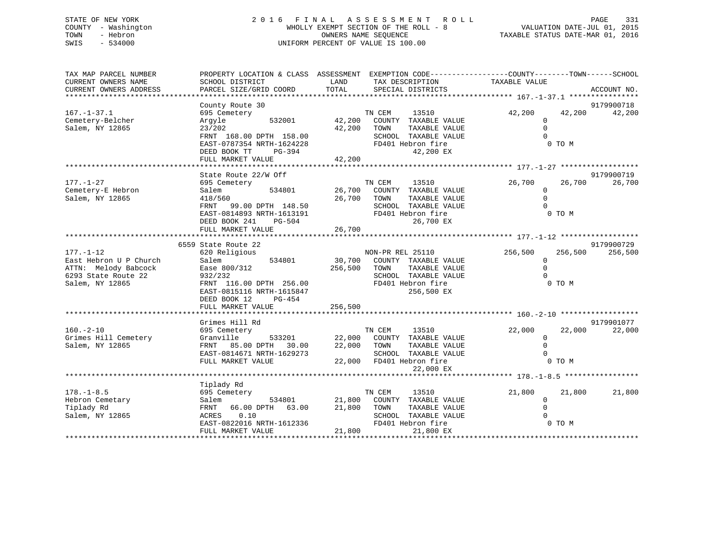# STATE OF NEW YORK 2 0 1 6 F I N A L A S S E S S M E N T R O L L PAGE 331 COUNTY - Washington WHOLLY EXEMPT SECTION OF THE ROLL - 8 VALUATION DATE-JUL 01, 2015 TOWN - Hebron OWNERS NAME SEQUENCE TAXABLE STATUS DATE-MAR 01, 2016 SWIS - 534000 UNIFORM PERCENT OF VALUE IS 100.00UNIFORM PERCENT OF VALUE IS 100.00

| 9179900718<br>County Route 30<br>42,200<br>42,200<br>$167. - 1 - 37.1$<br>695 Cemetery<br>TN CEM<br>13510<br>42,200<br>42,200 COUNTY TAXABLE VALUE<br>Cemetery-Belcher<br>532001<br>Argyle<br>$\Omega$<br>42,200 TOWN<br>Salem, NY 12865<br>23/202<br>TAXABLE VALUE<br>$\overline{0}$<br>$\Omega$<br>FRNT 168.00 DPTH 158.00<br>SCHOOL TAXABLE VALUE<br>FD401 Hebron fire<br>0 TO M<br>EAST-0787354 NRTH-1624228<br>DEED BOOK TT<br>42,200 EX<br>PG-394<br>42,200<br>FULL MARKET VALUE<br>9179900719<br>State Route 22/W Off<br>$177. - 1 - 27$<br>TN CEM<br>13510<br>26,700<br>26,700<br>26,700<br>695 Cemetery<br>Cemetery-E Hebron<br>534801<br>26,700 COUNTY TAXABLE VALUE<br>Salem<br>$\Omega$<br>Salem, NY 12865<br>26,700 TOWN<br>$\Omega$<br>418/560<br>TAXABLE VALUE<br>$\Omega$<br>FRNT<br>99.00 DPTH 148.50<br>SCHOOL TAXABLE VALUE<br>0 TO M<br>EAST-0814893 NRTH-1613191<br>FD401 Hebron fire<br>DEED BOOK 241 PG-504<br>26,700 EX<br>26,700<br>FULL MARKET VALUE<br>9179900729<br>6559 State Route 22<br>256,500<br>$177. - 1 - 12$<br>620 Religious<br>NON-PR REL 25110<br>256,500<br>256,500<br>30,700 COUNTY TAXABLE VALUE<br>East Hebron U P Church<br>Salem<br>534801<br>$\Omega$<br>256,500 TOWN<br>TAXABLE VALUE<br>$\Omega$<br>ATTN: Melody Babcock<br>Ease 800/312<br>SCHOOL TAXABLE VALUE<br>6293 State Route 22<br>932/232<br>FD401 Hebron fire<br>Salem, NY 12865<br>0 TO M<br>FRNT 116.00 DPTH 256.00<br>EAST-0815116 NRTH-1615847<br>256,500 EX<br>DEED BOOK 12<br>PG-454<br>256,500<br>FULL MARKET VALUE<br>Grimes Hill Rd<br>9179901077<br>TN CEM<br>$160. -2 - 10$<br>13510<br>22,000<br>22,000<br>22,000<br>695 Cemetery<br>Grimes Hill Cemetery<br>533201 22,000 COUNTY TAXABLE VALUE<br>Granville<br>$\mathbf{0}$<br>22,000 TOWN<br>Salem, NY 12865<br>FRNT 85.00 DPTH 30.00<br>TAXABLE VALUE<br>$\overline{0}$<br>$\Omega$<br>EAST-0814671 NRTH-1629273<br>SCHOOL TAXABLE VALUE<br>22,000 FD401 Hebron fire<br>0 TO M<br>FULL MARKET VALUE<br>22,000 EX<br>Tiplady Rd<br>$178. - 1 - 8.5$<br>695 Cemetery<br>TN CEM<br>13510<br>21,800<br>21,800<br>21,800<br>Hebron Cemetary<br>534801<br>21,800 COUNTY TAXABLE VALUE<br>Salem<br>0<br>FRNT 66.00 DPTH 63.00<br>21,800<br>$\Omega$<br>Tiplady Rd<br>TOWN<br>TAXABLE VALUE<br>0.10<br>Salem, NY 12865<br>ACRES<br>SCHOOL TAXABLE VALUE<br>0 TO M<br>EAST-0822016 NRTH-1612336<br>FD401 Hebron fire<br>FULL MARKET VALUE<br>21,800<br>21,800 EX | TAX MAP PARCEL NUMBER<br>CURRENT OWNERS NAME<br>CURRENT OWNERS ADDRESS | PROPERTY LOCATION & CLASS ASSESSMENT EXEMPTION CODE---------------COUNTY-------TOWN-----SCHOOL<br>SCHOOL DISTRICT<br>PARCEL SIZE/GRID COORD | LAND<br>TOTAL | TAX DESCRIPTION<br>SPECIAL DISTRICTS | TAXABLE VALUE | ACCOUNT NO. |
|-----------------------------------------------------------------------------------------------------------------------------------------------------------------------------------------------------------------------------------------------------------------------------------------------------------------------------------------------------------------------------------------------------------------------------------------------------------------------------------------------------------------------------------------------------------------------------------------------------------------------------------------------------------------------------------------------------------------------------------------------------------------------------------------------------------------------------------------------------------------------------------------------------------------------------------------------------------------------------------------------------------------------------------------------------------------------------------------------------------------------------------------------------------------------------------------------------------------------------------------------------------------------------------------------------------------------------------------------------------------------------------------------------------------------------------------------------------------------------------------------------------------------------------------------------------------------------------------------------------------------------------------------------------------------------------------------------------------------------------------------------------------------------------------------------------------------------------------------------------------------------------------------------------------------------------------------------------------------------------------------------------------------------------------------------------------------------------------------------------------------------------------------------------------------------------------------------------------------------------------------------------------------------------------------------------------------------------------------------------------------------------------------------------------------------------|------------------------------------------------------------------------|---------------------------------------------------------------------------------------------------------------------------------------------|---------------|--------------------------------------|---------------|-------------|
|                                                                                                                                                                                                                                                                                                                                                                                                                                                                                                                                                                                                                                                                                                                                                                                                                                                                                                                                                                                                                                                                                                                                                                                                                                                                                                                                                                                                                                                                                                                                                                                                                                                                                                                                                                                                                                                                                                                                                                                                                                                                                                                                                                                                                                                                                                                                                                                                                                   |                                                                        |                                                                                                                                             |               |                                      |               |             |
|                                                                                                                                                                                                                                                                                                                                                                                                                                                                                                                                                                                                                                                                                                                                                                                                                                                                                                                                                                                                                                                                                                                                                                                                                                                                                                                                                                                                                                                                                                                                                                                                                                                                                                                                                                                                                                                                                                                                                                                                                                                                                                                                                                                                                                                                                                                                                                                                                                   |                                                                        |                                                                                                                                             |               |                                      |               |             |
|                                                                                                                                                                                                                                                                                                                                                                                                                                                                                                                                                                                                                                                                                                                                                                                                                                                                                                                                                                                                                                                                                                                                                                                                                                                                                                                                                                                                                                                                                                                                                                                                                                                                                                                                                                                                                                                                                                                                                                                                                                                                                                                                                                                                                                                                                                                                                                                                                                   |                                                                        |                                                                                                                                             |               |                                      |               |             |
|                                                                                                                                                                                                                                                                                                                                                                                                                                                                                                                                                                                                                                                                                                                                                                                                                                                                                                                                                                                                                                                                                                                                                                                                                                                                                                                                                                                                                                                                                                                                                                                                                                                                                                                                                                                                                                                                                                                                                                                                                                                                                                                                                                                                                                                                                                                                                                                                                                   |                                                                        |                                                                                                                                             |               |                                      |               |             |
|                                                                                                                                                                                                                                                                                                                                                                                                                                                                                                                                                                                                                                                                                                                                                                                                                                                                                                                                                                                                                                                                                                                                                                                                                                                                                                                                                                                                                                                                                                                                                                                                                                                                                                                                                                                                                                                                                                                                                                                                                                                                                                                                                                                                                                                                                                                                                                                                                                   |                                                                        |                                                                                                                                             |               |                                      |               |             |
|                                                                                                                                                                                                                                                                                                                                                                                                                                                                                                                                                                                                                                                                                                                                                                                                                                                                                                                                                                                                                                                                                                                                                                                                                                                                                                                                                                                                                                                                                                                                                                                                                                                                                                                                                                                                                                                                                                                                                                                                                                                                                                                                                                                                                                                                                                                                                                                                                                   |                                                                        |                                                                                                                                             |               |                                      |               |             |
|                                                                                                                                                                                                                                                                                                                                                                                                                                                                                                                                                                                                                                                                                                                                                                                                                                                                                                                                                                                                                                                                                                                                                                                                                                                                                                                                                                                                                                                                                                                                                                                                                                                                                                                                                                                                                                                                                                                                                                                                                                                                                                                                                                                                                                                                                                                                                                                                                                   |                                                                        |                                                                                                                                             |               |                                      |               |             |
|                                                                                                                                                                                                                                                                                                                                                                                                                                                                                                                                                                                                                                                                                                                                                                                                                                                                                                                                                                                                                                                                                                                                                                                                                                                                                                                                                                                                                                                                                                                                                                                                                                                                                                                                                                                                                                                                                                                                                                                                                                                                                                                                                                                                                                                                                                                                                                                                                                   |                                                                        |                                                                                                                                             |               |                                      |               |             |
|                                                                                                                                                                                                                                                                                                                                                                                                                                                                                                                                                                                                                                                                                                                                                                                                                                                                                                                                                                                                                                                                                                                                                                                                                                                                                                                                                                                                                                                                                                                                                                                                                                                                                                                                                                                                                                                                                                                                                                                                                                                                                                                                                                                                                                                                                                                                                                                                                                   |                                                                        |                                                                                                                                             |               |                                      |               |             |
|                                                                                                                                                                                                                                                                                                                                                                                                                                                                                                                                                                                                                                                                                                                                                                                                                                                                                                                                                                                                                                                                                                                                                                                                                                                                                                                                                                                                                                                                                                                                                                                                                                                                                                                                                                                                                                                                                                                                                                                                                                                                                                                                                                                                                                                                                                                                                                                                                                   |                                                                        |                                                                                                                                             |               |                                      |               |             |
|                                                                                                                                                                                                                                                                                                                                                                                                                                                                                                                                                                                                                                                                                                                                                                                                                                                                                                                                                                                                                                                                                                                                                                                                                                                                                                                                                                                                                                                                                                                                                                                                                                                                                                                                                                                                                                                                                                                                                                                                                                                                                                                                                                                                                                                                                                                                                                                                                                   |                                                                        |                                                                                                                                             |               |                                      |               |             |
|                                                                                                                                                                                                                                                                                                                                                                                                                                                                                                                                                                                                                                                                                                                                                                                                                                                                                                                                                                                                                                                                                                                                                                                                                                                                                                                                                                                                                                                                                                                                                                                                                                                                                                                                                                                                                                                                                                                                                                                                                                                                                                                                                                                                                                                                                                                                                                                                                                   |                                                                        |                                                                                                                                             |               |                                      |               |             |
|                                                                                                                                                                                                                                                                                                                                                                                                                                                                                                                                                                                                                                                                                                                                                                                                                                                                                                                                                                                                                                                                                                                                                                                                                                                                                                                                                                                                                                                                                                                                                                                                                                                                                                                                                                                                                                                                                                                                                                                                                                                                                                                                                                                                                                                                                                                                                                                                                                   |                                                                        |                                                                                                                                             |               |                                      |               |             |
|                                                                                                                                                                                                                                                                                                                                                                                                                                                                                                                                                                                                                                                                                                                                                                                                                                                                                                                                                                                                                                                                                                                                                                                                                                                                                                                                                                                                                                                                                                                                                                                                                                                                                                                                                                                                                                                                                                                                                                                                                                                                                                                                                                                                                                                                                                                                                                                                                                   |                                                                        |                                                                                                                                             |               |                                      |               |             |
|                                                                                                                                                                                                                                                                                                                                                                                                                                                                                                                                                                                                                                                                                                                                                                                                                                                                                                                                                                                                                                                                                                                                                                                                                                                                                                                                                                                                                                                                                                                                                                                                                                                                                                                                                                                                                                                                                                                                                                                                                                                                                                                                                                                                                                                                                                                                                                                                                                   |                                                                        |                                                                                                                                             |               |                                      |               |             |
|                                                                                                                                                                                                                                                                                                                                                                                                                                                                                                                                                                                                                                                                                                                                                                                                                                                                                                                                                                                                                                                                                                                                                                                                                                                                                                                                                                                                                                                                                                                                                                                                                                                                                                                                                                                                                                                                                                                                                                                                                                                                                                                                                                                                                                                                                                                                                                                                                                   |                                                                        |                                                                                                                                             |               |                                      |               |             |
|                                                                                                                                                                                                                                                                                                                                                                                                                                                                                                                                                                                                                                                                                                                                                                                                                                                                                                                                                                                                                                                                                                                                                                                                                                                                                                                                                                                                                                                                                                                                                                                                                                                                                                                                                                                                                                                                                                                                                                                                                                                                                                                                                                                                                                                                                                                                                                                                                                   |                                                                        |                                                                                                                                             |               |                                      |               |             |
|                                                                                                                                                                                                                                                                                                                                                                                                                                                                                                                                                                                                                                                                                                                                                                                                                                                                                                                                                                                                                                                                                                                                                                                                                                                                                                                                                                                                                                                                                                                                                                                                                                                                                                                                                                                                                                                                                                                                                                                                                                                                                                                                                                                                                                                                                                                                                                                                                                   |                                                                        |                                                                                                                                             |               |                                      |               |             |
|                                                                                                                                                                                                                                                                                                                                                                                                                                                                                                                                                                                                                                                                                                                                                                                                                                                                                                                                                                                                                                                                                                                                                                                                                                                                                                                                                                                                                                                                                                                                                                                                                                                                                                                                                                                                                                                                                                                                                                                                                                                                                                                                                                                                                                                                                                                                                                                                                                   |                                                                        |                                                                                                                                             |               |                                      |               |             |
|                                                                                                                                                                                                                                                                                                                                                                                                                                                                                                                                                                                                                                                                                                                                                                                                                                                                                                                                                                                                                                                                                                                                                                                                                                                                                                                                                                                                                                                                                                                                                                                                                                                                                                                                                                                                                                                                                                                                                                                                                                                                                                                                                                                                                                                                                                                                                                                                                                   |                                                                        |                                                                                                                                             |               |                                      |               |             |
|                                                                                                                                                                                                                                                                                                                                                                                                                                                                                                                                                                                                                                                                                                                                                                                                                                                                                                                                                                                                                                                                                                                                                                                                                                                                                                                                                                                                                                                                                                                                                                                                                                                                                                                                                                                                                                                                                                                                                                                                                                                                                                                                                                                                                                                                                                                                                                                                                                   |                                                                        |                                                                                                                                             |               |                                      |               |             |
|                                                                                                                                                                                                                                                                                                                                                                                                                                                                                                                                                                                                                                                                                                                                                                                                                                                                                                                                                                                                                                                                                                                                                                                                                                                                                                                                                                                                                                                                                                                                                                                                                                                                                                                                                                                                                                                                                                                                                                                                                                                                                                                                                                                                                                                                                                                                                                                                                                   |                                                                        |                                                                                                                                             |               |                                      |               |             |
|                                                                                                                                                                                                                                                                                                                                                                                                                                                                                                                                                                                                                                                                                                                                                                                                                                                                                                                                                                                                                                                                                                                                                                                                                                                                                                                                                                                                                                                                                                                                                                                                                                                                                                                                                                                                                                                                                                                                                                                                                                                                                                                                                                                                                                                                                                                                                                                                                                   |                                                                        |                                                                                                                                             |               |                                      |               |             |
|                                                                                                                                                                                                                                                                                                                                                                                                                                                                                                                                                                                                                                                                                                                                                                                                                                                                                                                                                                                                                                                                                                                                                                                                                                                                                                                                                                                                                                                                                                                                                                                                                                                                                                                                                                                                                                                                                                                                                                                                                                                                                                                                                                                                                                                                                                                                                                                                                                   |                                                                        |                                                                                                                                             |               |                                      |               |             |
|                                                                                                                                                                                                                                                                                                                                                                                                                                                                                                                                                                                                                                                                                                                                                                                                                                                                                                                                                                                                                                                                                                                                                                                                                                                                                                                                                                                                                                                                                                                                                                                                                                                                                                                                                                                                                                                                                                                                                                                                                                                                                                                                                                                                                                                                                                                                                                                                                                   |                                                                        |                                                                                                                                             |               |                                      |               |             |
|                                                                                                                                                                                                                                                                                                                                                                                                                                                                                                                                                                                                                                                                                                                                                                                                                                                                                                                                                                                                                                                                                                                                                                                                                                                                                                                                                                                                                                                                                                                                                                                                                                                                                                                                                                                                                                                                                                                                                                                                                                                                                                                                                                                                                                                                                                                                                                                                                                   |                                                                        |                                                                                                                                             |               |                                      |               |             |
|                                                                                                                                                                                                                                                                                                                                                                                                                                                                                                                                                                                                                                                                                                                                                                                                                                                                                                                                                                                                                                                                                                                                                                                                                                                                                                                                                                                                                                                                                                                                                                                                                                                                                                                                                                                                                                                                                                                                                                                                                                                                                                                                                                                                                                                                                                                                                                                                                                   |                                                                        |                                                                                                                                             |               |                                      |               |             |
|                                                                                                                                                                                                                                                                                                                                                                                                                                                                                                                                                                                                                                                                                                                                                                                                                                                                                                                                                                                                                                                                                                                                                                                                                                                                                                                                                                                                                                                                                                                                                                                                                                                                                                                                                                                                                                                                                                                                                                                                                                                                                                                                                                                                                                                                                                                                                                                                                                   |                                                                        |                                                                                                                                             |               |                                      |               |             |
|                                                                                                                                                                                                                                                                                                                                                                                                                                                                                                                                                                                                                                                                                                                                                                                                                                                                                                                                                                                                                                                                                                                                                                                                                                                                                                                                                                                                                                                                                                                                                                                                                                                                                                                                                                                                                                                                                                                                                                                                                                                                                                                                                                                                                                                                                                                                                                                                                                   |                                                                        |                                                                                                                                             |               |                                      |               |             |
|                                                                                                                                                                                                                                                                                                                                                                                                                                                                                                                                                                                                                                                                                                                                                                                                                                                                                                                                                                                                                                                                                                                                                                                                                                                                                                                                                                                                                                                                                                                                                                                                                                                                                                                                                                                                                                                                                                                                                                                                                                                                                                                                                                                                                                                                                                                                                                                                                                   |                                                                        |                                                                                                                                             |               |                                      |               |             |
|                                                                                                                                                                                                                                                                                                                                                                                                                                                                                                                                                                                                                                                                                                                                                                                                                                                                                                                                                                                                                                                                                                                                                                                                                                                                                                                                                                                                                                                                                                                                                                                                                                                                                                                                                                                                                                                                                                                                                                                                                                                                                                                                                                                                                                                                                                                                                                                                                                   |                                                                        |                                                                                                                                             |               |                                      |               |             |
|                                                                                                                                                                                                                                                                                                                                                                                                                                                                                                                                                                                                                                                                                                                                                                                                                                                                                                                                                                                                                                                                                                                                                                                                                                                                                                                                                                                                                                                                                                                                                                                                                                                                                                                                                                                                                                                                                                                                                                                                                                                                                                                                                                                                                                                                                                                                                                                                                                   |                                                                        |                                                                                                                                             |               |                                      |               |             |
|                                                                                                                                                                                                                                                                                                                                                                                                                                                                                                                                                                                                                                                                                                                                                                                                                                                                                                                                                                                                                                                                                                                                                                                                                                                                                                                                                                                                                                                                                                                                                                                                                                                                                                                                                                                                                                                                                                                                                                                                                                                                                                                                                                                                                                                                                                                                                                                                                                   |                                                                        |                                                                                                                                             |               |                                      |               |             |
|                                                                                                                                                                                                                                                                                                                                                                                                                                                                                                                                                                                                                                                                                                                                                                                                                                                                                                                                                                                                                                                                                                                                                                                                                                                                                                                                                                                                                                                                                                                                                                                                                                                                                                                                                                                                                                                                                                                                                                                                                                                                                                                                                                                                                                                                                                                                                                                                                                   |                                                                        |                                                                                                                                             |               |                                      |               |             |
|                                                                                                                                                                                                                                                                                                                                                                                                                                                                                                                                                                                                                                                                                                                                                                                                                                                                                                                                                                                                                                                                                                                                                                                                                                                                                                                                                                                                                                                                                                                                                                                                                                                                                                                                                                                                                                                                                                                                                                                                                                                                                                                                                                                                                                                                                                                                                                                                                                   |                                                                        |                                                                                                                                             |               |                                      |               |             |
|                                                                                                                                                                                                                                                                                                                                                                                                                                                                                                                                                                                                                                                                                                                                                                                                                                                                                                                                                                                                                                                                                                                                                                                                                                                                                                                                                                                                                                                                                                                                                                                                                                                                                                                                                                                                                                                                                                                                                                                                                                                                                                                                                                                                                                                                                                                                                                                                                                   |                                                                        |                                                                                                                                             |               |                                      |               |             |
|                                                                                                                                                                                                                                                                                                                                                                                                                                                                                                                                                                                                                                                                                                                                                                                                                                                                                                                                                                                                                                                                                                                                                                                                                                                                                                                                                                                                                                                                                                                                                                                                                                                                                                                                                                                                                                                                                                                                                                                                                                                                                                                                                                                                                                                                                                                                                                                                                                   |                                                                        |                                                                                                                                             |               |                                      |               |             |
|                                                                                                                                                                                                                                                                                                                                                                                                                                                                                                                                                                                                                                                                                                                                                                                                                                                                                                                                                                                                                                                                                                                                                                                                                                                                                                                                                                                                                                                                                                                                                                                                                                                                                                                                                                                                                                                                                                                                                                                                                                                                                                                                                                                                                                                                                                                                                                                                                                   |                                                                        |                                                                                                                                             |               |                                      |               |             |
|                                                                                                                                                                                                                                                                                                                                                                                                                                                                                                                                                                                                                                                                                                                                                                                                                                                                                                                                                                                                                                                                                                                                                                                                                                                                                                                                                                                                                                                                                                                                                                                                                                                                                                                                                                                                                                                                                                                                                                                                                                                                                                                                                                                                                                                                                                                                                                                                                                   |                                                                        |                                                                                                                                             |               |                                      |               |             |
|                                                                                                                                                                                                                                                                                                                                                                                                                                                                                                                                                                                                                                                                                                                                                                                                                                                                                                                                                                                                                                                                                                                                                                                                                                                                                                                                                                                                                                                                                                                                                                                                                                                                                                                                                                                                                                                                                                                                                                                                                                                                                                                                                                                                                                                                                                                                                                                                                                   |                                                                        |                                                                                                                                             |               |                                      |               |             |
|                                                                                                                                                                                                                                                                                                                                                                                                                                                                                                                                                                                                                                                                                                                                                                                                                                                                                                                                                                                                                                                                                                                                                                                                                                                                                                                                                                                                                                                                                                                                                                                                                                                                                                                                                                                                                                                                                                                                                                                                                                                                                                                                                                                                                                                                                                                                                                                                                                   |                                                                        |                                                                                                                                             |               |                                      |               |             |
|                                                                                                                                                                                                                                                                                                                                                                                                                                                                                                                                                                                                                                                                                                                                                                                                                                                                                                                                                                                                                                                                                                                                                                                                                                                                                                                                                                                                                                                                                                                                                                                                                                                                                                                                                                                                                                                                                                                                                                                                                                                                                                                                                                                                                                                                                                                                                                                                                                   |                                                                        |                                                                                                                                             |               |                                      |               |             |
|                                                                                                                                                                                                                                                                                                                                                                                                                                                                                                                                                                                                                                                                                                                                                                                                                                                                                                                                                                                                                                                                                                                                                                                                                                                                                                                                                                                                                                                                                                                                                                                                                                                                                                                                                                                                                                                                                                                                                                                                                                                                                                                                                                                                                                                                                                                                                                                                                                   |                                                                        |                                                                                                                                             |               |                                      |               |             |
|                                                                                                                                                                                                                                                                                                                                                                                                                                                                                                                                                                                                                                                                                                                                                                                                                                                                                                                                                                                                                                                                                                                                                                                                                                                                                                                                                                                                                                                                                                                                                                                                                                                                                                                                                                                                                                                                                                                                                                                                                                                                                                                                                                                                                                                                                                                                                                                                                                   |                                                                        |                                                                                                                                             |               |                                      |               |             |
|                                                                                                                                                                                                                                                                                                                                                                                                                                                                                                                                                                                                                                                                                                                                                                                                                                                                                                                                                                                                                                                                                                                                                                                                                                                                                                                                                                                                                                                                                                                                                                                                                                                                                                                                                                                                                                                                                                                                                                                                                                                                                                                                                                                                                                                                                                                                                                                                                                   |                                                                        |                                                                                                                                             |               |                                      |               |             |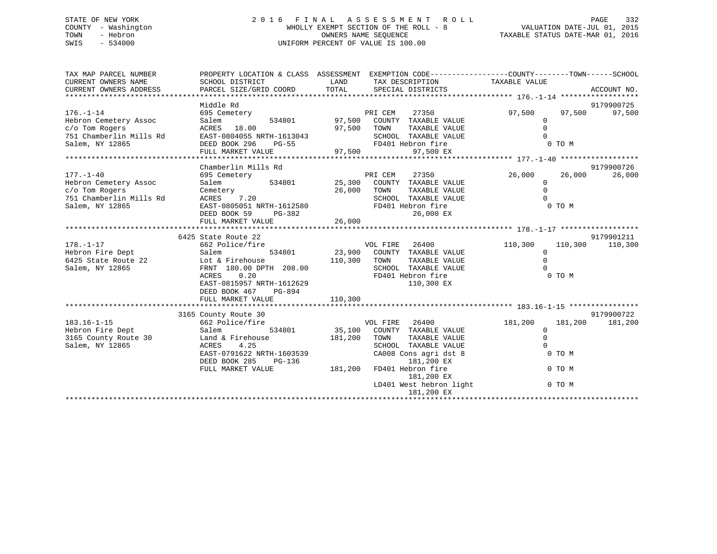# STATE OF NEW YORK 2 0 1 6 F I N A L A S S E S S M E N T R O L L PAGE 332 COUNTY - Washington WHOLLY EXEMPT SECTION OF THE ROLL - 8 VALUATION DATE-JUL 01, 2015 TOWN - Hebron OWNERS NAME SEQUENCE TAXABLE STATUS DATE-MAR 01, 2016 SWIS - 534000 UNIFORM PERCENT OF VALUE IS 100.00

| TAX MAP PARCEL NUMBER<br>CURRENT OWNERS NAME<br>CURRENT OWNERS ADDRESS                | PROPERTY LOCATION & CLASS ASSESSMENT EXEMPTION CODE----------------COUNTY-------TOWN-----SCHOOL<br>SCHOOL DISTRICT<br>PARCEL SIZE/GRID COORD | LAND<br>TOTAL |                 | SPECIAL DISTRICTS                                                             | TAX DESCRIPTION TAXABLE VALUE                 |         | ACCOUNT NO.          |
|---------------------------------------------------------------------------------------|----------------------------------------------------------------------------------------------------------------------------------------------|---------------|-----------------|-------------------------------------------------------------------------------|-----------------------------------------------|---------|----------------------|
| $176. - 1 - 14$<br>Hebron Cemetery Assoc<br>c/o Tom Rogers<br>751 Chamberlin Mills Rd | Middle Rd<br>695 Cemetery<br>534801<br>Salem<br>ACRES 18.00<br>EAST-0804055 NRTH-1613043                                                     | 97,500        | PRI CEM<br>TOWN | 27350<br>97,500 COUNTY TAXABLE VALUE<br>TAXABLE VALUE<br>SCHOOL TAXABLE VALUE | 97,500<br>$\mathbf 0$<br>$\Omega$<br>$\Omega$ | 97,500  | 9179900725<br>97,500 |
| Salem, NY 12865                                                                       | DEED BOOK 296<br>PG-55<br>FULL MARKET VALUE                                                                                                  | FD401 H       |                 | FD401 Hebron fire<br>97,500 EX                                                |                                               | 0 TO M  |                      |
|                                                                                       |                                                                                                                                              |               |                 |                                                                               |                                               |         |                      |
| $177. - 1 - 40$<br>Hebron Cemetery Assoc<br>c/o Tom Rogers                            | Chamberlin Mills Rd<br>695 Cemetery<br>Salem                                                                                                 | 26,000        | TOWN            | TAXABLE VALUE                                                                 | 26,000<br>$\mathbf{0}$<br>$\Omega$            | 26,000  | 9179900726<br>26,000 |
| 751 Chamberlin Mills Rd<br>Salem, NY 12865                                            | Cemetery<br>ACRES 7.20<br>EAST-0805051 NRTH-1612580<br>DEED BOOK 59<br>PG-382                                                                | 26,000        |                 | SCHOOL TAXABLE VALUE<br>FD401 Hebron fire<br>26,000 EX                        | $\Omega$                                      | 0 TO M  |                      |
|                                                                                       | FULL MARKET VALUE                                                                                                                            |               |                 |                                                                               |                                               |         |                      |
|                                                                                       | 6425 State Route 22                                                                                                                          |               |                 |                                                                               |                                               |         | 9179901211           |
| $178. - 1 - 17$                                                                       | 662 Police/fire                                                                                                                              |               | VOL FIRE        | 26400                                                                         | 110,300                                       | 110,300 | 110,300              |
| Hebron Fire Dept                                                                      | Salem                                                                                                                                        |               |                 | 534801 23,900 COUNTY TAXABLE VALUE                                            | $\mathbf{0}$                                  |         |                      |
| 6425 State Route 22                                                                   | Lot & Firehouse                                                                                                                              | 110,300       | TOWN            | TAXABLE VALUE                                                                 | $\mathbf 0$                                   |         |                      |
| Salem, NY 12865                                                                       | FRNT 180.00 DPTH 208.00                                                                                                                      |               |                 | SCHOOL TAXABLE VALUE                                                          | $\Omega$                                      |         |                      |
|                                                                                       | 0.20<br>ACRES                                                                                                                                |               |                 | FD401 Hebron fire                                                             |                                               | 0 TO M  |                      |
|                                                                                       | EAST-0815957 NRTH-1612629                                                                                                                    |               |                 | 110,300 EX                                                                    |                                               |         |                      |
|                                                                                       | DEED BOOK 467<br>PG-894                                                                                                                      |               |                 |                                                                               |                                               |         |                      |
|                                                                                       | FULL MARKET VALUE                                                                                                                            | 110,300       |                 |                                                                               |                                               |         |                      |
|                                                                                       |                                                                                                                                              |               |                 |                                                                               |                                               |         |                      |
|                                                                                       | 3165 County Route 30                                                                                                                         |               |                 |                                                                               |                                               |         | 9179900722           |
| $183.16 - 1 - 15$                                                                     | 662 Police/fire                                                                                                                              |               | VOL FIRE 26400  |                                                                               | 181,200                                       | 181,200 | 181,200              |
| Hebron Fire Dept                                                                      | 534801<br>Salem                                                                                                                              | 35,100        |                 | COUNTY TAXABLE VALUE                                                          | $\mathbf 0$                                   |         |                      |
| 3165 County Route 30                                                                  | Land & Firehouse                                                                                                                             | 181,200       | TOWN            | TAXABLE VALUE                                                                 | $\mathbf 0$                                   |         |                      |
| Salem, NY 12865                                                                       | ACRES<br>4.25                                                                                                                                |               |                 | SCHOOL TAXABLE VALUE                                                          | $\Omega$                                      |         |                      |
|                                                                                       | EAST-0791622 NRTH-1603539<br>DEED BOOK 285<br>$PG-136$                                                                                       |               |                 | CA008 Cons agri dst 8<br>181,200 EX                                           |                                               | 0 TO M  |                      |
|                                                                                       | FULL MARKET VALUE                                                                                                                            | 181,200       |                 | FD401 Hebron fire<br>181,200 EX                                               |                                               | 0 TO M  |                      |
|                                                                                       |                                                                                                                                              |               |                 | LD401 West hebron light<br>181,200 EX                                         |                                               | 0 TO M  |                      |
|                                                                                       |                                                                                                                                              |               |                 |                                                                               |                                               |         |                      |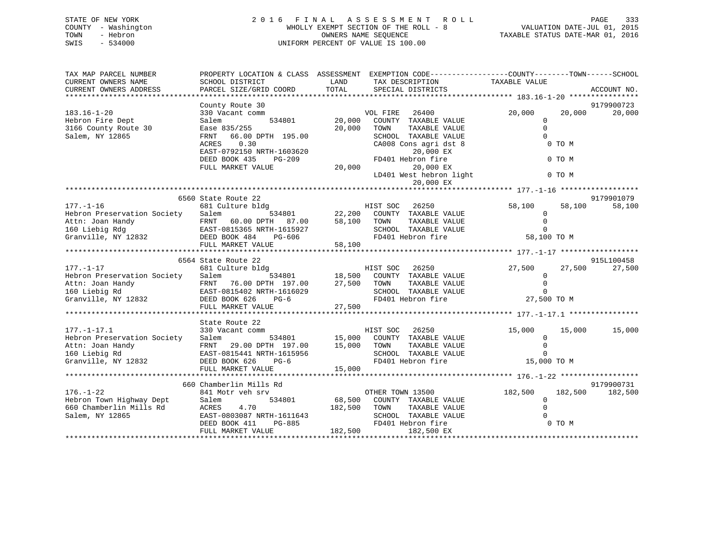# STATE OF NEW YORK 2 0 1 6 F I N A L A S S E S S M E N T R O L L PAGE 333 COUNTY - Washington WHOLLY EXEMPT SECTION OF THE ROLL - 8 VALUATION DATE-JUL 01, 2015 TOWN - Hebron OWNERS NAME SEQUENCE TAXABLE STATUS DATE-MAR 01, 2016 SWIS - 534000 UNIFORM PERCENT OF VALUE IS 100.00

| TAX MAP PARCEL NUMBER<br>CURRENT OWNERS NAME<br>CURRENT OWNERS ADDRESS                                                                                                                                                                                                                                                                                                                                                                                                                                                        | SCHOOL DISTRICT<br>PARCEL SIZE/GRID COORD                                                                                                                                                        | LAND<br>TOTAL                | PROPERTY LOCATION & CLASS ASSESSMENT EXEMPTION CODE---------------COUNTY-------TOWN-----SCHOOL<br>TAX DESCRIPTION<br>SPECIAL DISTRICTS                                                                     | TAXABLE VALUE                                                                  | ACCOUNT NO.           |
|-------------------------------------------------------------------------------------------------------------------------------------------------------------------------------------------------------------------------------------------------------------------------------------------------------------------------------------------------------------------------------------------------------------------------------------------------------------------------------------------------------------------------------|--------------------------------------------------------------------------------------------------------------------------------------------------------------------------------------------------|------------------------------|------------------------------------------------------------------------------------------------------------------------------------------------------------------------------------------------------------|--------------------------------------------------------------------------------|-----------------------|
| $183.16 - 1 - 20$<br>Hebron Fire Dept<br>3166 County Route 30<br>Salem, NY 12865                                                                                                                                                                                                                                                                                                                                                                                                                                              | County Route 30<br>330 Vacant comm<br>534801<br>Salem<br>Ease 835/255<br>66.00 DPTH 195.00<br>FRNT<br>0.30<br>ACRES<br>EAST-0792150 NRTH-1603620<br>DEED BOOK 435<br>PG-209<br>FULL MARKET VALUE | 20,000<br>20,000<br>20,000   | 26400<br>VOL FIRE<br>COUNTY TAXABLE VALUE<br>TOWN<br>TAXABLE VALUE<br>SCHOOL TAXABLE VALUE<br>CA008 Cons agri dst 8<br>20,000 EX<br>FD401 Hebron fire<br>20,000 EX<br>LD401 West hebron light<br>20,000 EX | 20,000<br>20,000<br>0<br>$\mathbf 0$<br>$\Omega$<br>0 TO M<br>0 TO M<br>0 TO M | 9179900723<br>20,000  |
|                                                                                                                                                                                                                                                                                                                                                                                                                                                                                                                               |                                                                                                                                                                                                  |                              |                                                                                                                                                                                                            |                                                                                |                       |
| $177. - 1 - 16$<br>Hebron Preservation Society<br>Attn: Joan Handy<br>160 Liebig Rdg<br>Granville, NY 12832                                                                                                                                                                                                                                                                                                                                                                                                                   | 6560 State Route 22<br>681 Culture bldg<br>Salem<br>FRNT 60.00 DPTH 87.00 58,100<br>EAST-0815365 NRTH-1615927<br>BEED BOOK 484 PG-606<br>FULL MARKET VALUE                                       | 58,100<br>58,100             | HIST SOC 26250<br>534801 22,200 COUNTY TAXABLE VALUE<br>TAXABLE VALUE<br>TOWN<br>SCHOOL TAXABLE VALUE<br>FD401 Hebron fire                                                                                 | 58,100<br>58,100<br>$\mathbf{0}$<br>$\mathbf 0$<br>$\Omega$<br>58,100 TO M     | 9179901079<br>58,100  |
|                                                                                                                                                                                                                                                                                                                                                                                                                                                                                                                               |                                                                                                                                                                                                  |                              |                                                                                                                                                                                                            |                                                                                | 915L100458            |
| $177. - 1 - 17$<br>Hebron Preservation Society Salem<br>Attn: Joan Handy<br>160 Liebig Rd<br>Granville, NY 12832 DEED BOOK 626                                                                                                                                                                                                                                                                                                                                                                                                | 6564 State Route 22<br>681 Culture bldg<br>FRNT 76.00 DPTH 197.00 27,500<br>EAST-0815402 NRTH-1616029<br>$PG-6$<br>FULL MARKET VALUE                                                             | y<br>534801 18,500<br>27,500 | HIST SOC 26250<br>COUNTY TAXABLE VALUE<br>TOWN<br>TAXABLE VALUE<br>SCHOOL TAXABLE VALUE<br>FD401 Hebron fire                                                                                               | 27,500<br>27,500<br>$\mathbf 0$<br>$\mathbf 0$<br>$\mathbf 0$<br>27,500 TO M   | 27,500                |
| $177. - 1 - 17.1$<br>Hebron Preservation Society Salem<br>Attn: Joan Handy<br>160 Liebig Rd<br>Granville, NY 12832                                                                                                                                                                                                                                                                                                                                                                                                            | State Route 22<br>330 Vacant comm<br>FRNT 29.00 DPTH 197.00<br>EAST-0815441 NRTH-1615956<br>DEED BOOK 626<br>$PG-6$<br>FULL MARKET VALUE                                                         | 15,000                       | HIST SOC<br>26250<br>534801 15,000 COUNTY TAXABLE VALUE<br>TH 197.00 15,000 TOWN TAXABLE VALUE<br>TAXABLE VALUE<br>SCHOOL TAXABLE VALUE<br>FD401 Hebron fire                                               | 15,000<br>15,000<br>$\overline{0}$<br>$\mathbf 0$<br>$\Omega$<br>15,000 TO M   | 15,000                |
| $176. - 1 - 22$<br>Hebron Town Highway Dept<br>660 Chamberlin Mills Rd<br>$\begin{tabular}{lllllllll} \texttt{Salem, NY 12865} & & & & & & & & & \texttt{SCHOOL} & \texttt{TAXABLE VALUE} & & & & & \texttt{O} \\ & & & & & & & & & \texttt{DEED BOOK 411} & & & & & \texttt{F0401 Hebron fire} & & & & & \texttt{O} & \texttt{TO M} \\ & & & & & & & & \texttt{DEED BOOK 411} & & & & \texttt{PG-885} & & & \texttt{FD401 Hebron fire} & & & \texttt{O EX} & & & \texttt{O TO M} \\ & & & & & & & & \texttt{FULL MARKET VAL$ | 660 Chamberlin Mills Rd<br>841 Motr veh srv<br>Salem<br>4.70<br>ACRES                                                                                                                            | 182,500 TOWN                 | OTHER TOWN 13500<br>534801 68,500 COUNTY TAXABLE VALUE<br>TAXABLE VALUE                                                                                                                                    | 182,500<br>182,500<br>$\mathbf 0$<br>$\mathbf 0$                               | 9179900731<br>182,500 |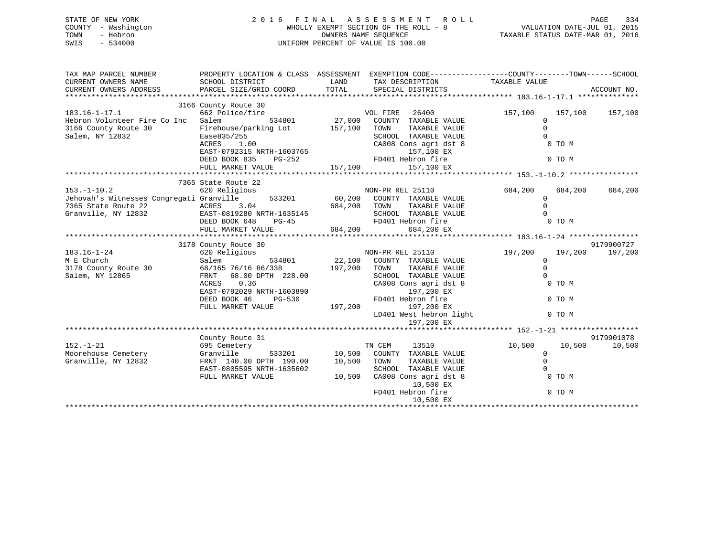| STATE OF NEW YORK   | 2016 FINAL ASSESSMENT ROLL            | 334<br>PAGE                      |
|---------------------|---------------------------------------|----------------------------------|
| COUNTY - Washington | WHOLLY EXEMPT SECTION OF THE ROLL - 8 | VALUATION DATE-JUL 01, 2015      |
| TOWN<br>- Hebron    | OWNERS NAME SEOUENCE                  | TAXABLE STATUS DATE-MAR 01, 2016 |
| SWIS<br>- 534000    | UNIFORM PERCENT OF VALUE IS 100.00    |                                  |

| TAX MAP PARCEL NUMBER                                                       | PROPERTY LOCATION & CLASS ASSESSMENT EXEMPTION CODE---------------COUNTY-------TOWN-----SCHOOL                |         |                                                        |                |         |                 |
|-----------------------------------------------------------------------------|---------------------------------------------------------------------------------------------------------------|---------|--------------------------------------------------------|----------------|---------|-----------------|
| CURRENT OWNERS NAME                                                         | SCHOOL DISTRICT                                                                                               | LAND    | TAX DESCRIPTION                                        | TAXABLE VALUE  |         |                 |
| CURRENT OWNERS ADDRESS                                                      | PARCEL SIZE/GRID COORD                                                                                        | TOTAL   | SPECIAL DISTRICTS                                      |                |         | ACCOUNT NO.     |
|                                                                             | 3166 County Route 30                                                                                          |         |                                                        |                |         |                 |
| $183.16 - 1 - 17.1$                                                         | 662 Police/fire                                                                                               |         | VOL FIRE<br>26400                                      | 157,100        |         | 157,100 157,100 |
| Hebron Volunteer Fire Co Inc                                                | 534801<br>Salem                                                                                               |         | 27,000 COUNTY TAXABLE VALUE                            | $\mathbf{0}$   |         |                 |
| 3166 County Route 30                                                        | Firehouse/parking Lot                                                                                         | 157,100 | TOWN<br>TAXABLE VALUE                                  | $\Omega$       |         |                 |
| Salem, NY 12832                                                             | Ease835/255                                                                                                   |         | SCHOOL TAXABLE VALUE                                   | $\mathbf 0$    |         |                 |
|                                                                             | ACRES<br>1.00                                                                                                 |         | CA008 Cons agri dst 8                                  | O TO M         |         |                 |
|                                                                             | EAST-0792315 NRTH-1603765                                                                                     |         | 157,100 EX                                             |                |         |                 |
|                                                                             | DEED BOOK 835 PG-252 FD401 Hebron fire                                                                        |         |                                                        | 0 TO M         |         |                 |
|                                                                             | FULL MARKET VALUE                                                                                             | 157,100 | 157,100 EX                                             |                |         |                 |
|                                                                             |                                                                                                               |         |                                                        |                |         |                 |
|                                                                             | 7365 State Route 22                                                                                           |         |                                                        |                |         |                 |
| $153. - 1 - 10.2$                                                           | 620 Religious and the set of the set of the set of the set of the set of the set of the set of the set of the |         | NON-PR REL 25110                                       | 684,200        | 684,200 | 684,200         |
| Jehovah's Witnesses Congregati Granville 533201 60,200 COUNTY TAXABLE VALUE |                                                                                                               |         |                                                        | $\overline{0}$ |         |                 |
|                                                                             |                                                                                                               |         | TAXABLE VALUE                                          | $\Omega$       |         |                 |
|                                                                             |                                                                                                               |         | SCHOOL TAXABLE VALUE 0<br>FD401 Hebron fire 0 TO M     |                |         |                 |
|                                                                             | DEED BOOK 648 PG-45 FD401 He<br>FULL MARKET VALUE 684,200                                                     |         | FD401 Hebron fire                                      |                |         |                 |
|                                                                             |                                                                                                               |         | 684,200 EX                                             |                |         |                 |
|                                                                             | 3178 County Route 30                                                                                          |         |                                                        |                |         | 9179900727      |
| $183.16 - 1 - 24$                                                           | 620 Religious                                                                                                 |         |                                                        | 197,200        | 197,200 | 197,200         |
| M E Church                                                                  | Salem                                                                                                         |         | NON-PR REL 25110<br>534801 22,100 COUNTY TAXABLE VALUE | $\mathbf 0$    |         |                 |
| 3178 County Route 30 68/165 76/16 86/338                                    |                                                                                                               | 197,200 | TAXABLE VALUE<br>TOWN                                  | $\Omega$       |         |                 |
| Salem, NY 12865                                                             | FRNT 68.00 DPTH 228.00                                                                                        |         | SCHOOL TAXABLE VALUE                                   | $\Omega$       |         |                 |
|                                                                             | 0.36<br>ACRES                                                                                                 |         | CA008 Cons agri dst 8                                  |                | 0 TO M  |                 |
|                                                                             | EAST-0792029 NRTH-1603890                                                                                     |         | 197,200 EX                                             |                |         |                 |
|                                                                             | DEED BOOK 46<br>PG-530                                                                                        |         | FD401 Hebron fire                                      |                | 0 TO M  |                 |
|                                                                             | FULL MARKET VALUE                                                                                             |         | 197,200 197,200 EX                                     |                |         |                 |
|                                                                             |                                                                                                               |         | $LD401$ West hebron light                              |                | 0 TO M  |                 |
|                                                                             |                                                                                                               |         | 197,200 EX                                             |                |         |                 |
|                                                                             |                                                                                                               |         |                                                        |                |         |                 |
|                                                                             | County Route 31                                                                                               |         |                                                        |                |         | 9179901078      |
| $152. - 1 - 21$                                                             | 695 Cemetery                                                                                                  |         | TN CEM<br>13510                                        | 10,500         | 10,500  | 10,500          |
| Moorehouse Cemetery                                                         | Granville                                                                                                     |         | 533201 10,500 COUNTY TAXABLE VALUE                     | $\overline{0}$ |         |                 |
| Granville, NY 12832                                                         | FRNT 140.00 DPTH 190.00 10,500 TOWN                                                                           |         | TAXABLE VALUE                                          | $\mathbf 0$    |         |                 |
|                                                                             | EAST-0805595 NRTH-1635602                                                                                     |         | SCHOOL TAXABLE VALUE                                   | $\Omega$       |         |                 |
|                                                                             | FULL MARKET VALUE                                                                                             | 10,500  | CA008 Cons agri dst 8                                  | O TO M         |         |                 |
|                                                                             |                                                                                                               |         | 10,500 EX                                              |                |         |                 |
|                                                                             |                                                                                                               |         | FD401 Hebron fire                                      |                | 0 TO M  |                 |
|                                                                             |                                                                                                               |         | 10,500 EX                                              |                |         |                 |
|                                                                             |                                                                                                               |         |                                                        |                |         |                 |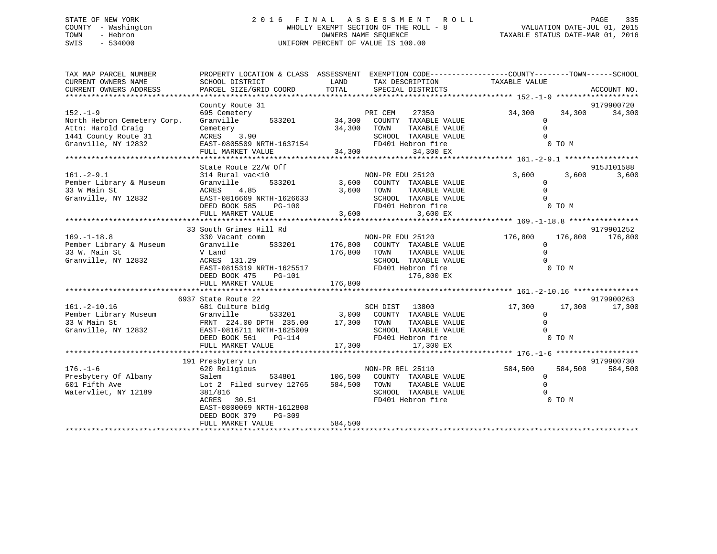# STATE OF NEW YORK 2 0 1 6 F I N A L A S S E S S M E N T R O L L PAGE 335 COUNTY - Washington WHOLLY EXEMPT SECTION OF THE ROLL - 8 VALUATION DATE-JUL 01, 2015 TOWN - Hebron OWNERS NAME SEQUENCE TAXABLE STATUS DATE-MAR 01, 2016 SWIS - 534000 UNIFORM PERCENT OF VALUE IS 100.00

| TAX MAP PARCEL NUMBER<br>CURRENT OWNERS NAME<br>CURRENT OWNERS ADDRESS | PROPERTY LOCATION & CLASS ASSESSMENT EXEMPTION CODE---------------COUNTY-------TOWN-----SCHOOL<br>SCHOOL DISTRICT<br>PARCEL SIZE/GRID COORD | LAND<br>TOTAL  | TAX DESCRIPTION<br>SPECIAL DISTRICTS         | TAXABLE VALUE                                                                            |         | ACCOUNT NO.          |
|------------------------------------------------------------------------|---------------------------------------------------------------------------------------------------------------------------------------------|----------------|----------------------------------------------|------------------------------------------------------------------------------------------|---------|----------------------|
|                                                                        |                                                                                                                                             |                |                                              |                                                                                          |         |                      |
| $152. - 1 - 9$                                                         | County Route 31<br>695 Cemetery                                                                                                             |                | PRI CEM<br>27350                             | 34,300 34,300                                                                            |         | 9179900720<br>34,300 |
| North Hebron Cemetery Corp.                                            | Granville<br>533201                                                                                                                         |                | 34,300 COUNTY TAXABLE VALUE                  | $\Omega$                                                                                 |         |                      |
| Attn: Harold Craig                                                     | Cemetery                                                                                                                                    | 34,300 TOWN    | TAXABLE VALUE                                | $\Omega$                                                                                 |         |                      |
| 1441 County Route 31                                                   | ACRES 3.90                                                                                                                                  |                | SCHOOL TAXABLE VALUE                         | $\Omega$                                                                                 |         |                      |
| Granville, NY 12832                                                    |                                                                                                                                             |                | FD401 Hebron fire                            | $\begin{array}{cccc}\n\text{UE} & & & 0 \\ \text{O} & \text{TO} & \text{M}\n\end{array}$ |         |                      |
|                                                                        | EAST-0805509 NRTH-1637154<br>FULL MARKET VALUE 34,300                                                                                       |                | 34,300 EX                                    |                                                                                          |         |                      |
|                                                                        |                                                                                                                                             |                |                                              |                                                                                          |         |                      |
|                                                                        | State Route 22/W Off                                                                                                                        |                |                                              |                                                                                          |         | 915J101588           |
| $161. - 2 - 9.1$                                                       | 314 Rural vac<10                                                                                                                            |                | NON-PR EDU 25120                             | 3,600                                                                                    | 3,600   | 3,600                |
| Pember Library & Museum                                                | Granville<br>533201                                                                                                                         |                | 3,600 COUNTY TAXABLE VALUE                   | $\Omega$                                                                                 |         |                      |
| 33 W Main St                                                           | ACRES<br>4.85                                                                                                                               | 3,600          | TOWN<br>TAXABLE VALUE                        | $\Omega$                                                                                 |         |                      |
| Granville, NY 12832                                                    | EAST-0816669 NRTH-1626633                                                                                                                   |                | SCHOOL TAXABLE VALUE                         | $\Omega$                                                                                 |         |                      |
|                                                                        | DEED BOOK 585<br>PG-100                                                                                                                     |                | FD401 Hebron fire                            |                                                                                          | 0 TO M  |                      |
|                                                                        | FULL MARKET VALUE                                                                                                                           | 3,600          | 3,600 EX                                     |                                                                                          |         |                      |
|                                                                        |                                                                                                                                             |                |                                              |                                                                                          |         |                      |
|                                                                        | 33 South Grimes Hill Rd                                                                                                                     |                |                                              |                                                                                          |         | 9179901252           |
| $169. - 1 - 18.8$                                                      | 330 Vacant comm                                                                                                                             |                | NON-PR EDU 25120                             | 176,800                                                                                  | 176,800 | 176,800              |
| Pember Library & Museum                                                | Granville                                                                                                                                   |                | 533201 176,800 COUNTY TAXABLE VALUE          | $\overline{0}$                                                                           |         |                      |
| 33 W. Main St                                                          | V Land                                                                                                                                      | 176,800 TOWN   | TAXABLE VALUE                                | $\Omega$                                                                                 |         |                      |
| Granville, NY 12832                                                    | ACRES 131.29<br>ACRES 131.29<br>EAST-0815319 NRTH-1625517<br>PG-101<br>PG-101                                                               |                | SCHOOL TAXABLE VALUE                         |                                                                                          |         |                      |
|                                                                        |                                                                                                                                             |                | FD401 Hebron fire                            |                                                                                          | 0 TO M  |                      |
|                                                                        |                                                                                                                                             |                | 176,800 EX                                   |                                                                                          |         |                      |
|                                                                        | FULL MARKET VALUE                                                                                                                           | 176,800        |                                              |                                                                                          |         |                      |
|                                                                        |                                                                                                                                             |                |                                              |                                                                                          |         |                      |
|                                                                        | 6937 State Route 22                                                                                                                         |                |                                              |                                                                                          |         | 9179900263           |
| $161.-2-10.16$                                                         | 681 Culture bldg                                                                                                                            |                | SCH DIST 13800<br>3,000 COUNTY TAXABLE VALUE | 17,300                                                                                   |         | 17,300 17,300        |
| Pember Library Museum                                                  | 533201<br>Granville                                                                                                                         |                |                                              | $\Omega$<br>$\Omega$                                                                     |         |                      |
| 33 W Main St                                                           | FRNT 224.00 DPTH 235.00<br>EAST-0816711 NRTH-1625009<br>EAST-0816711 NRTH-1625009                                                           | 17,300 TOWN    | TAXABLE VALUE<br>SCHOOL TAXABLE VALUE        | $\cap$                                                                                   |         |                      |
| Granville, NY 12832                                                    | DEED BOOK 561 PG-114                                                                                                                        |                | FD401 Hebron fire                            |                                                                                          | 0 TO M  |                      |
|                                                                        | FULL MARKET VALUE                                                                                                                           | 17,300         | 17,300 EX                                    |                                                                                          |         |                      |
|                                                                        |                                                                                                                                             |                |                                              |                                                                                          |         |                      |
|                                                                        | 191 Presbytery Ln                                                                                                                           |                |                                              |                                                                                          |         | 9179900730           |
| $176. - 1 - 6$                                                         | 620 Religious                                                                                                                               |                | NON-PR REL 25110                             | 584,500                                                                                  | 584,500 | 584,500              |
| Presbytery Of Albany                                                   | Salem                                                                                                                                       | 534801 106,500 | COUNTY TAXABLE VALUE                         | $\mathbf{0}$                                                                             |         |                      |
| 601 Fifth Ave                                                          | Lot 2 Filed survey 12765                                                                                                                    | 584,500        | TAXABLE VALUE<br>TOWN                        | $\mathbf 0$                                                                              |         |                      |
| Watervliet, NY 12189                                                   | 381/816                                                                                                                                     |                | SCHOOL TAXABLE VALUE                         | $\Omega$                                                                                 |         |                      |
|                                                                        | ACRES<br>30.51                                                                                                                              |                | FD401 Hebron fire                            |                                                                                          | 0 TO M  |                      |
|                                                                        | EAST-0800069 NRTH-1612808                                                                                                                   |                |                                              |                                                                                          |         |                      |
|                                                                        | DEED BOOK 379<br>$PG-309$                                                                                                                   |                |                                              |                                                                                          |         |                      |
|                                                                        | FULL MARKET VALUE                                                                                                                           | 584,500        |                                              |                                                                                          |         |                      |
|                                                                        |                                                                                                                                             |                |                                              |                                                                                          |         |                      |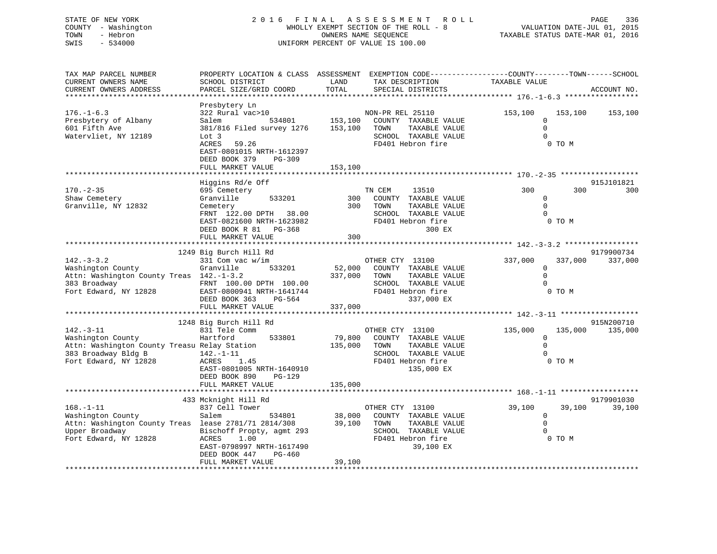# STATE OF NEW YORK 2 0 1 6 F I N A L A S S E S S M E N T R O L L PAGE 336 COUNTY - Washington WHOLLY EXEMPT SECTION OF THE ROLL - 8 VALUATION DATE-JUL 01, 2015 TOWN - Hebron OWNERS NAME SEQUENCE TAXABLE STATUS DATE-MAR 01, 2016 SWIS - 534000 UNIFORM PERCENT OF VALUE IS 100.00

| TAX MAP PARCEL NUMBER<br>CURRENT OWNERS NAME<br>CURRENT OWNERS ADDRESS                                                               | PROPERTY LOCATION & CLASS ASSESSMENT<br>SCHOOL DISTRICT<br>PARCEL SIZE/GRID COORD                                                                                                                                         | LAND<br>TOTAL                 | EXEMPTION CODE-----------------COUNTY-------TOWN------SCHOOL<br>TAX DESCRIPTION<br>SPECIAL DISTRICTS                        | TAXABLE VALUE                                                  | ACCOUNT NO.              |
|--------------------------------------------------------------------------------------------------------------------------------------|---------------------------------------------------------------------------------------------------------------------------------------------------------------------------------------------------------------------------|-------------------------------|-----------------------------------------------------------------------------------------------------------------------------|----------------------------------------------------------------|--------------------------|
| **********************                                                                                                               |                                                                                                                                                                                                                           |                               |                                                                                                                             |                                                                |                          |
| $176. - 1 - 6.3$<br>Presbytery of Albany<br>601 Fifth Ave<br>Watervliet, NY 12189                                                    | Presbytery Ln<br>322 Rural vac>10<br>534801<br>Salem<br>381/816 Filed survey 1276<br>Lot 3<br>59.26<br>ACRES<br>EAST-0801015 NRTH-1612397<br>DEED BOOK 379<br>$PG-309$<br>FULL MARKET VALUE                               | 153,100<br>153,100<br>153,100 | NON-PR REL 25110<br>COUNTY TAXABLE VALUE<br>TOWN<br>TAXABLE VALUE<br>SCHOOL TAXABLE VALUE<br>FD401 Hebron fire              | 153,100<br>153,100<br>0<br>$\Omega$<br>$\Omega$<br>0 TO M      | 153,100                  |
|                                                                                                                                      |                                                                                                                                                                                                                           |                               |                                                                                                                             |                                                                |                          |
| $170. - 2 - 35$<br>Shaw Cemetery<br>Granville, NY 12832                                                                              | Higgins Rd/e Off<br>695 Cemetery<br>533201<br>Granville<br>Cemetery<br>FRNT 122.00 DPTH 38.00<br>EAST-0821600 NRTH-1623982<br>DEED BOOK R 81<br>PG-368<br>FULL MARKET VALUE                                               | 300<br>300<br>300             | TN CEM<br>13510<br>COUNTY TAXABLE VALUE<br>TOWN<br>TAXABLE VALUE<br>SCHOOL TAXABLE VALUE<br>FD401 Hebron fire<br>300 EX     | 300<br>$\mathbf{0}$<br>$\Omega$<br>$\Omega$<br>0 TO M          | 915J101821<br>300<br>300 |
|                                                                                                                                      |                                                                                                                                                                                                                           | ***************************** |                                                                                                                             | ********** 142.-3-3.2                                          |                          |
| $142. - 3 - 3.2$<br>Washington County<br>Attn: Washington County Treas 142.-1-3.2<br>383 Broadway<br>Fort Edward, NY 12828           | 1249 Big Burch Hill Rd<br>331 Com vac w/im<br>Granville<br>533201<br>FRNT 100.00 DPTH 100.00<br>EAST-0800941 NRTH-1641744<br>DEED BOOK 363<br>PG-564<br>FULL MARKET VALUE                                                 | 52,000<br>337,000<br>337,000  | OTHER CTY 13100<br>COUNTY TAXABLE VALUE<br>TOWN<br>TAXABLE VALUE<br>SCHOOL TAXABLE VALUE<br>FD401 Hebron fire<br>337,000 EX | 337,000<br>337,000<br>0<br>$\Omega$<br>0 TO M                  | 9179900734<br>337,000    |
|                                                                                                                                      | 1248 Big Burch Hill Rd                                                                                                                                                                                                    |                               |                                                                                                                             |                                                                | 915N200710               |
| $142. - 3 - 11$<br>Washington County<br>Attn: Washington County Treasu Relay Station<br>383 Broadway Bldg B<br>Fort Edward, NY 12828 | 831 Tele Comm<br>Hartford<br>533801<br>$142. - 1 - 11$<br>ACRES<br>1.45<br>EAST-0801005 NRTH-1640910                                                                                                                      | 79,800<br>135,000             | OTHER CTY 13100<br>COUNTY TAXABLE VALUE<br>TAXABLE VALUE<br>TOWN<br>SCHOOL TAXABLE VALUE<br>FD401 Hebron fire<br>135,000 EX | 135,000<br>135,000<br>0<br>$\Omega$<br>$\Omega$<br>0 TO M      | 135,000                  |
|                                                                                                                                      | DEED BOOK 890<br>PG-129<br>FULL MARKET VALUE                                                                                                                                                                              | 135,000                       |                                                                                                                             |                                                                |                          |
|                                                                                                                                      | *******************                                                                                                                                                                                                       |                               |                                                                                                                             |                                                                |                          |
| $168. - 1 - 11$<br>Washington County<br>Upper Broadway<br>Fort Edward, NY 12828                                                      | 433 Mcknight Hill Rd<br>837 Cell Tower<br>Salem<br>534801<br>Attn: Washington County Treas lease 2781/71 2814/308<br>Bischoff Propty, agmt 293<br>ACRES<br>1.00<br>EAST-0798997 NRTH-1617490<br>DEED BOOK 447<br>$PG-460$ | 38,000<br>39,100              | OTHER CTY 13100<br>COUNTY TAXABLE VALUE<br>TOWN<br>TAXABLE VALUE<br>SCHOOL TAXABLE VALUE<br>FD401 Hebron fire<br>39,100 EX  | 39,100<br>39,100<br>$\Omega$<br>$\Omega$<br>$\Omega$<br>0 TO M | 9179901030<br>39,100     |
|                                                                                                                                      | FULL MARKET VALUE                                                                                                                                                                                                         | 39,100                        |                                                                                                                             |                                                                |                          |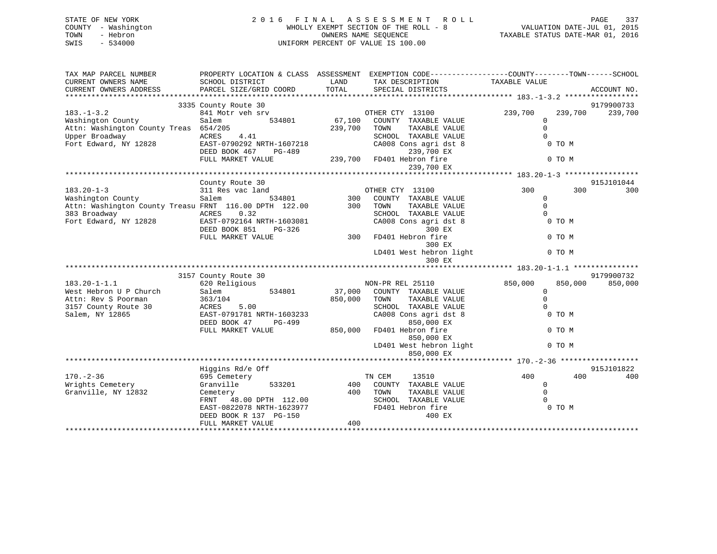| STATE OF NEW YORK             | 2 0 1 6                   | FINAL      | A S S E S S M E N T<br>R O L L        |                                                              | 337<br>PAGE |
|-------------------------------|---------------------------|------------|---------------------------------------|--------------------------------------------------------------|-------------|
| - Washington<br>COUNTY        |                           |            | WHOLLY EXEMPT SECTION OF THE ROLL - 8 | VALUATION DATE-JUL 01, 2015                                  |             |
| - Hebron<br>TOWN              |                           |            | OWNERS NAME SEOUENCE                  | TAXABLE STATUS DATE-MAR 01, 2016                             |             |
| SWIS<br>$-534000$             |                           |            | UNIFORM PERCENT OF VALUE IS 100.00    |                                                              |             |
|                               |                           |            |                                       |                                                              |             |
|                               |                           |            |                                       |                                                              |             |
|                               |                           |            |                                       |                                                              |             |
| TAX MAP PARCEL NUMBER         | PROPERTY LOCATION & CLASS | ASSESSMENT |                                       | EXEMPTION CODE-----------------COUNTY-------TOWN------SCHOOL |             |
| CURRENT OWNERS NAME           | SCHOOL DISTRICT           | LAND       | TAX DESCRIPTION                       | TAXABLE VALUE                                                |             |
| CURRENT OWNERS ADDRESS        | PARCEL SIZE/GRID COORD    | TOTAL      | SPECIAL DISTRICTS                     |                                                              | ACCOUNT NO. |
|                               |                           |            |                                       |                                                              |             |
|                               | 3335 County Route 30      |            |                                       |                                                              | 9179900733  |
| $183. - 1 - 3.2$              | 841 Motr veh srv          |            | OTHER CTY 13100                       | 239,700<br>239,700                                           | 239,700     |
| Washington County             | Salem<br>534801           | 67,100     | COUNTY<br>TAXABLE VALUE               |                                                              |             |
| Attn: Washington County Treas | 654/205                   | 239,700    | TAXABLE VALUE<br>TOWN                 |                                                              |             |
| Upper Broadway                | 4.41<br>ACRES             |            | SCHOOL<br>TAXABLE VALUE               | $\Omega$                                                     |             |
| Fort Edward, NY 12828         | EAST-0790292 NRTH-1607218 |            | CA008 Cons agri dst 8                 | 0 TO M                                                       |             |
|                               | DEED BOOK 467<br>PG-489   |            | 239,700 EX                            |                                                              |             |
|                               |                           |            |                                       |                                                              |             |

|                                                        | FULL MARKET VALUE              | 239,700 | FD401 Hebron fire<br>239,700 EX | 0 TO M   |                    |
|--------------------------------------------------------|--------------------------------|---------|---------------------------------|----------|--------------------|
|                                                        |                                |         |                                 |          |                    |
|                                                        | County Route 30                |         |                                 |          | 915J101044         |
| $183.20 - 1 - 3$                                       | 311 Res vac land               |         | OTHER CTY 13100                 | 300      | 300<br>300         |
| Washington County                                      | Salem<br>534801                | 300     | COUNTY TAXABLE VALUE            | 0        |                    |
| Attn: Washington County Treasu FRNT 116.00 DPTH 122.00 |                                | 300     | TOWN<br>TAXABLE VALUE           | $\Omega$ |                    |
| 383 Broadway                                           | 0.32<br>ACRES                  |         | SCHOOL<br>TAXABLE VALUE         | $\Omega$ |                    |
| Fort Edward, NY 12828                                  | EAST-0792164 NRTH-1603081      |         | CA008 Cons agri dst 8           | 0 TO M   |                    |
|                                                        | DEED BOOK 851<br>$PG-326$      |         | 300 EX                          |          |                    |
|                                                        | FULL MARKET VALUE              | 300     | FD401 Hebron fire               | 0 TO M   |                    |
|                                                        |                                |         | 300 EX                          |          |                    |
|                                                        |                                |         | LD401 West hebron light         | 0 TO M   |                    |
|                                                        |                                |         | 300 EX                          |          |                    |
|                                                        |                                |         |                                 |          |                    |
|                                                        | 3157 County Route 30           |         |                                 |          | 9179900732         |
| $183.20 - 1 - 1.1$                                     | 620 Religious                  |         | NON-PR REL 25110                | 850,000  | 850,000<br>850,000 |
| West Hebron U P Church                                 | Salem<br>534801                | 37,000  | COUNTY TAXABLE VALUE            | $\Omega$ |                    |
| Attn: Rev S Poorman                                    | 363/104                        | 850,000 | TOWN<br>TAXABLE VALUE           | $\Omega$ |                    |
| 3157 County Route 30                                   | 5.00<br>ACRES                  |         | TAXABLE VALUE<br>SCHOOL         | $\Omega$ |                    |
| Salem, NY 12865                                        | EAST-0791781 NRTH-1603233      |         | CA008 Cons agri dst 8           | 0 TO M   |                    |
|                                                        | DEED BOOK 47<br>PG-499         |         | 850,000 EX                      |          |                    |
|                                                        | FULL MARKET VALUE              | 850,000 | FD401 Hebron fire               | 0 TO M   |                    |
|                                                        |                                |         | 850,000 EX                      |          |                    |
|                                                        |                                |         | LD401 West hebron light         | 0 TO M   |                    |
|                                                        |                                |         | 850,000 EX                      |          |                    |
|                                                        |                                |         |                                 |          |                    |
|                                                        | Higgins Rd/e Off               |         |                                 |          | 915J101822         |
| $170. - 2 - 36$                                        | 695 Cemetery                   |         | TN CEM<br>13510                 | 400      | 400<br>400         |
| Wrights Cemetery                                       | Granville<br>533201            | 400     | COUNTY<br>TAXABLE VALUE         | $\Omega$ |                    |
| Granville, NY 12832                                    | Cemetery                       | 400     | TOWN<br>TAXABLE VALUE           | $\Omega$ |                    |
|                                                        | 48.00 DPTH 112.00<br>FRNT      |         | SCHOOL<br>TAXABLE VALUE         |          |                    |
|                                                        | EAST-0822078 NRTH-1623977      |         | FD401 Hebron fire               | 0 TO M   |                    |
|                                                        | DEED BOOK R 137 PG-150         |         | 400 EX                          |          |                    |
|                                                        | FULL MARKET VALUE              | 400     |                                 |          |                    |
|                                                        | ****************************** |         |                                 |          |                    |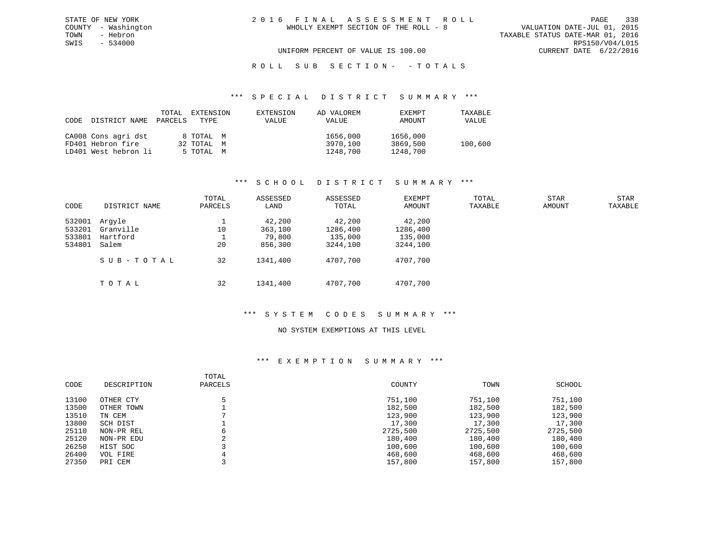VALUATION DATE-JUL 01, 2015 TOWN - Hebron TAXABLE STATUS DATE-MAR 01, 2016 SWIS - 534000 RPS150/V04/L015 UNIFORM PERCENT OF VALUE IS 100.00 CURRENT DATE 6/22/2016

# ROLL SUB SECTION - - TOTALS

#### \*\*\* S P E C I A L D I S T R I C T S U M M A R Y \*\*\*

| CODE | DISTRICT NAME        | TOTAL<br>PARCELS | EXTENSION<br>TYPE | EXTENSION<br><b>VALUE</b> | AD VALOREM<br>VALUE | EXEMPT<br>AMOUNT | TAXABLE<br>VALUE |
|------|----------------------|------------------|-------------------|---------------------------|---------------------|------------------|------------------|
|      | CA008 Cons agri dst  |                  | 8 TOTAL M         |                           | 1656,000            | 1656,000         |                  |
|      | FD401 Hebron fire    |                  | 32 TOTAL M        |                           | 3970,100            | 3869,500         | 100,600          |
|      | LD401 West hebron li |                  | 5 TOTAL M         |                           | 1248,700            | 1248,700         |                  |

#### \*\*\* S C H O O L D I S T R I C T S U M M A R Y \*\*\*

| CODE                                 | DISTRICT NAME                            | TOTAL<br>PARCELS | ASSESSED<br>LAND                       | ASSESSED<br>TOTAL                         | EXEMPT<br>AMOUNT                          | TOTAL<br>TAXABLE | <b>STAR</b><br>AMOUNT | STAR<br>TAXABLE |
|--------------------------------------|------------------------------------------|------------------|----------------------------------------|-------------------------------------------|-------------------------------------------|------------------|-----------------------|-----------------|
| 532001<br>533201<br>533801<br>534801 | Arqyle<br>Granville<br>Hartford<br>Salem | 10<br>20         | 42,200<br>363,100<br>79,800<br>856,300 | 42,200<br>1286,400<br>135,000<br>3244,100 | 42,200<br>1286,400<br>135,000<br>3244,100 |                  |                       |                 |
|                                      | SUB-TOTAL                                | 32               | 1341,400                               | 4707,700                                  | 4707,700                                  |                  |                       |                 |
|                                      | TOTAL                                    | 32               | 1341,400                               | 4707,700                                  | 4707,700                                  |                  |                       |                 |

# \*\*\* S Y S T E M C O D E S S U M M A R Y \*\*\*

### NO SYSTEM EXEMPTIONS AT THIS LEVEL

#### \*\*\* E X E M P T I O N S U M M A R Y \*\*\*

| CODE  | DESCRIPTION | TOTAL<br>PARCELS | COUNTY   | TOWN     | SCHOOL   |
|-------|-------------|------------------|----------|----------|----------|
| 13100 | OTHER CTY   |                  | 751,100  | 751,100  | 751,100  |
| 13500 | OTHER TOWN  |                  | 182,500  | 182,500  | 182,500  |
| 13510 | TN CEM      |                  | 123,900  | 123,900  | 123,900  |
| 13800 | SCH DIST    |                  | 17,300   | 17,300   | 17,300   |
| 25110 | NON-PR REL  | 6                | 2725,500 | 2725,500 | 2725,500 |
| 25120 | NON-PR EDU  | $\Omega$<br>∠    | 180,400  | 180,400  | 180,400  |
| 26250 | HIST SOC    |                  | 100,600  | 100,600  | 100,600  |
| 26400 | VOL FIRE    |                  | 468,600  | 468,600  | 468,600  |
| 27350 | PRI CEM     |                  | 157,800  | 157,800  | 157,800  |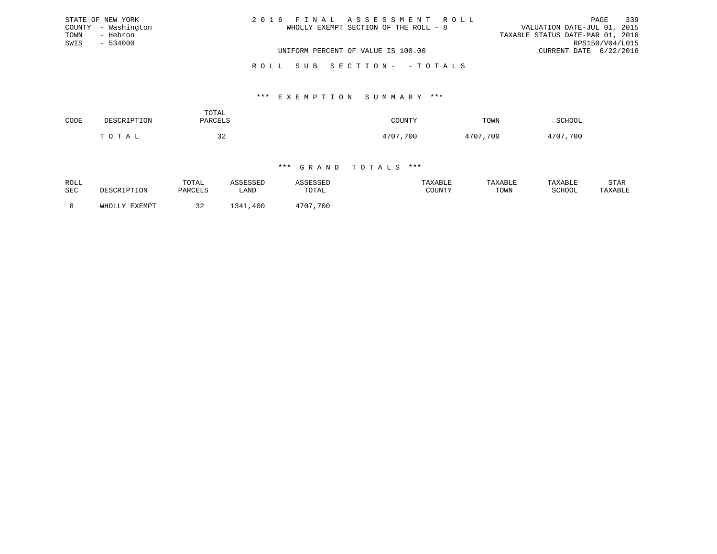| STATE OF NEW YORK   | 2016 FINAL ASSESSMENT ROLL            | 339<br>PAGE                      |
|---------------------|---------------------------------------|----------------------------------|
| COUNTY - Washington | WHOLLY EXEMPT SECTION OF THE ROLL - 8 | VALUATION DATE-JUL 01, 2015      |
| - Hebron<br>TOWN    |                                       | TAXABLE STATUS DATE-MAR 01, 2016 |
| SWIS<br>$-534000$   |                                       | RPS150/V04/L015                  |
|                     | UNIFORM PERCENT OF VALUE IS 100.00    | CURRENT DATE 6/22/2016           |
|                     | ROLL SUB SECTION- - TOTALS            |                                  |

| CODE | רים הח                      | TOTAL<br>DARCFI.S    | COUNTY   | TOWN         | <b>SURVAL</b> |
|------|-----------------------------|----------------------|----------|--------------|---------------|
|      | $\cap$ $\blacksquare$<br>m. | $\sim$ $\sim$<br>ے ر | 4707,700 | פמקו<br>.700 | 1707<br>700   |

| ROLL<br>SEC | זורת דים דים המיק  | TOTAL<br><b>PARCELS</b> | ASSESSED<br>LAND | <i><b>SSESSEL</b></i><br>TOTAL | TAXABLE<br>COUNTY | TAXABLE<br>TOWN | TAXABLE<br>SCHOOL | STAR<br>TAXABLE |
|-------------|--------------------|-------------------------|------------------|--------------------------------|-------------------|-----------------|-------------------|-----------------|
|             | EXEMPT<br>Y.T.TOHW | $\sim$ $\sim$           | ,400<br>ิ 341    | 4707,700                       |                   |                 |                   |                 |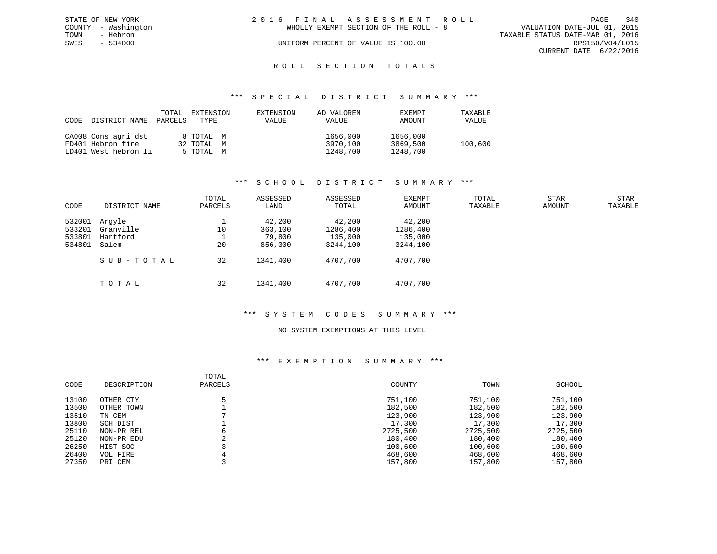|      | STATE OF NEW YORK   | 2016 FINAL ASSESSMENT ROLL |                                       |                                  |                        | PAGE | 340 |
|------|---------------------|----------------------------|---------------------------------------|----------------------------------|------------------------|------|-----|
|      | COUNTY - Washington |                            | WHOLLY EXEMPT SECTION OF THE ROLL - 8 | VALUATION DATE-JUL 01, 2015      |                        |      |     |
| TOWN | - Hebron            |                            |                                       | TAXABLE STATUS DATE-MAR 01, 2016 |                        |      |     |
| SWIS | $-534000$           |                            | UNIFORM PERCENT OF VALUE IS 100.00    |                                  | RPS150/V04/L015        |      |     |
|      |                     |                            |                                       |                                  | CURRENT DATE 6/22/2016 |      |     |
|      |                     |                            |                                       |                                  |                        |      |     |

# ROLL SECTION TOTALS

#### \*\*\* S P E C I A L D I S T R I C T S U M M A R Y \*\*\*

| CODE | DISTRICT NAME        | TOTAL<br>PARCELS | EXTENSION<br>TYPE | EXTENSION<br>VALUE | AD VALOREM<br>VALUE |          | EXEMPT<br>AMOUNT | TAXABLE<br>VALUE |
|------|----------------------|------------------|-------------------|--------------------|---------------------|----------|------------------|------------------|
|      | CA008 Cons agri dst  |                  | 8 TOTAL M         |                    | 1656,000            | 1656,000 |                  |                  |
|      | FD401 Hebron fire    |                  | 32 TOTAL M        |                    | 3970,100            | 3869,500 |                  | 100,600          |
|      | LD401 West hebron li |                  | 5 TOTAL M         |                    | 1248,700            | 1248,700 |                  |                  |

#### \*\*\* S C H O O L D I S T R I C T S U M M A R Y \*\*\*

| CODE                                 | DISTRICT NAME                            | TOTAL<br>PARCELS | ASSESSED<br>LAND                       | ASSESSED<br>TOTAL                         | EXEMPT<br>AMOUNT                          | TOTAL<br>TAXABLE | <b>STAR</b><br>AMOUNT | <b>STAR</b><br>TAXABLE |
|--------------------------------------|------------------------------------------|------------------|----------------------------------------|-------------------------------------------|-------------------------------------------|------------------|-----------------------|------------------------|
| 532001<br>533201<br>533801<br>534801 | Arqyle<br>Granville<br>Hartford<br>Salem | 10<br>20         | 42,200<br>363,100<br>79,800<br>856,300 | 42,200<br>1286,400<br>135,000<br>3244,100 | 42,200<br>1286,400<br>135,000<br>3244,100 |                  |                       |                        |
|                                      | SUB-TOTAL                                | 32               | 1341,400                               | 4707,700                                  | 4707,700                                  |                  |                       |                        |
|                                      | TOTAL                                    | 32               | 1341,400                               | 4707,700                                  | 4707,700                                  |                  |                       |                        |

#### \*\*\* S Y S T E M C O D E S S U M M A R Y \*\*\*

### NO SYSTEM EXEMPTIONS AT THIS LEVEL

#### \*\*\* E X E M P T I O N S U M M A R Y \*\*\*

| CODE  | DESCRIPTION | TOTAL<br>PARCELS | COUNTY   | TOWN     | SCHOOL   |
|-------|-------------|------------------|----------|----------|----------|
| 13100 | OTHER CTY   |                  | 751,100  | 751,100  | 751,100  |
| 13500 | OTHER TOWN  |                  | 182,500  | 182,500  | 182,500  |
| 13510 | TN CEM      |                  | 123,900  | 123,900  | 123,900  |
| 13800 | SCH DIST    |                  | 17,300   | 17,300   | 17,300   |
| 25110 | NON-PR REL  | 6                | 2725,500 | 2725,500 | 2725,500 |
| 25120 | NON-PR EDU  | $\Omega$<br>∠    | 180,400  | 180,400  | 180,400  |
| 26250 | HIST SOC    |                  | 100,600  | 100,600  | 100,600  |
| 26400 | VOL FIRE    |                  | 468,600  | 468,600  | 468,600  |
| 27350 | PRI CEM     |                  | 157,800  | 157,800  | 157,800  |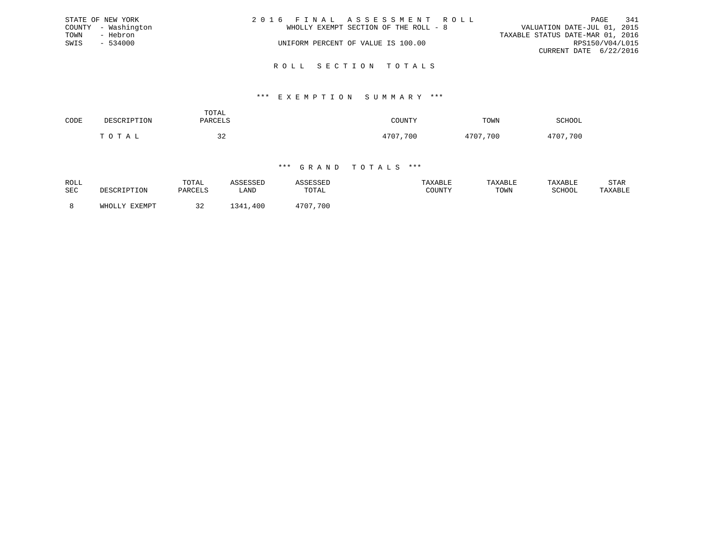|      | STATE OF NEW YORK   | 2016 FINAL ASSESSMENT ROLL            |                                  | PAGE | 341 |
|------|---------------------|---------------------------------------|----------------------------------|------|-----|
|      | COUNTY - Washington | WHOLLY EXEMPT SECTION OF THE ROLL - 8 | VALUATION DATE-JUL 01, 2015      |      |     |
| TOWN | - Hebron            |                                       | TAXABLE STATUS DATE-MAR 01, 2016 |      |     |
| SWIS | $-534000$           | UNIFORM PERCENT OF VALUE IS 100.00    | RPS150/V04/L015                  |      |     |
|      |                     |                                       | CURRENT DATE 6/22/2016           |      |     |
|      |                     |                                       |                                  |      |     |

R O L L S E C T I O N T O T A L S

| CODE | DESCRIPTION | TOTAL<br>PARCELS    | COUNTY   | TOWN     | <b>SCHOOL</b> |
|------|-------------|---------------------|----------|----------|---------------|
|      | ТОТАЬ       | $\sim$ $\sim$<br>34 | 4707,700 | 4707,700 | 4707,700      |

| ROLL<br>SEC | DESCRIPTION   | TOTAL<br>PARCELS | ASSESSED<br>LAND | \SSESSED<br>TOTAL | TAXABLE<br>COUNTY | TAXABLE<br>TOWN | TAXABLE<br>SCHOOL | STAR<br>TAXABLE |
|-------------|---------------|------------------|------------------|-------------------|-------------------|-----------------|-------------------|-----------------|
|             | WHOLLY EXEMPT |                  | ,400<br>ີ 341    | 4707,700          |                   |                 |                   |                 |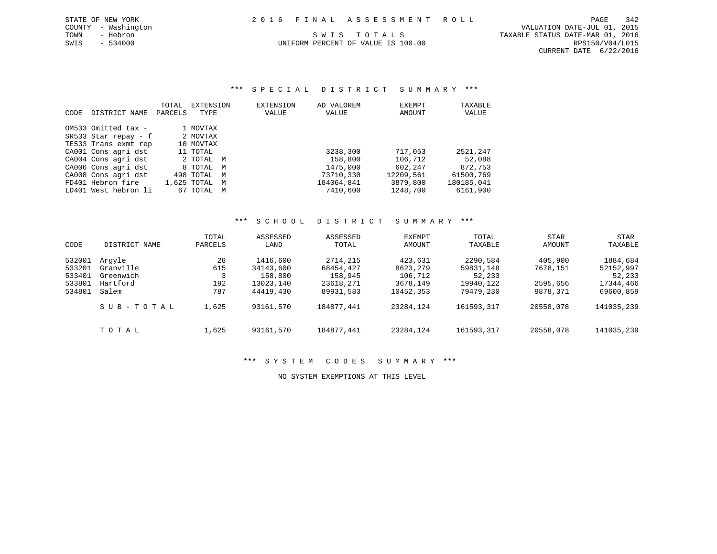CURRENT DATE 6/22/2016

## \*\*\* S P E C I A L D I S T R I C T S U M M A R Y \*\*\*

| <b>CODE</b> | DISTRICT NAME        | TOTAL<br>PARCELS | EXTENSION<br>TYPE |   | EXTENSION<br>VALUE | AD VALOREM<br>VALUE | EXEMPT<br>AMOUNT | TAXABLE<br>VALUE |
|-------------|----------------------|------------------|-------------------|---|--------------------|---------------------|------------------|------------------|
|             | OM533 Omitted tax -  |                  | 1 MOVTAX          |   |                    |                     |                  |                  |
|             | SR533 Star repay - f |                  | 2 MOVTAX          |   |                    |                     |                  |                  |
|             | TE533 Trans exmt rep |                  | 10 MOVTAX         |   |                    |                     |                  |                  |
|             | CA001 Cons agri dst  |                  | 11 TOTAL          |   |                    | 3238,300            | 717,053          | 2521,247         |
|             | CA004 Cons agri dst  |                  | 2 TOTAL M         |   |                    | 158,800             | 106,712          | 52,088           |
|             | CA006 Cons agri dst  |                  | 8 TOTAL M         |   |                    | 1475,000            | 602,247          | 872,753          |
|             | CA008 Cons agri dst  |                  | 498 TOTAL         | M |                    | 73710,330           | 12209,561        | 61500,769        |
|             | FD401 Hebron fire    |                  | 1,625 TOTAL       | M |                    | 184064,841          | 3879,800         | 180185,041       |
|             | LD401 West hebron li |                  | 67 TOTAL          | M |                    | 7410,600            | 1248,700         | 6161,900         |

### \*\*\* S C H O O L D I S T R I C T S U M M A R Y \*\*\*

| CODE   | DISTRICT NAME | TOTAL<br>PARCELS | ASSESSED<br>LAND | ASSESSED<br>TOTAL | <b>EXEMPT</b><br>AMOUNT | TOTAL<br>TAXABLE | STAR<br>AMOUNT | STAR<br>TAXABLE |
|--------|---------------|------------------|------------------|-------------------|-------------------------|------------------|----------------|-----------------|
| 532001 | Arqyle        | 28               | 1416,600         | 2714,215          | 423,631                 | 2290,584         | 405,900        | 1884,684        |
| 533201 | Granville     | 615              | 34143,600        | 68454,427         | 8623,279                | 59831,148        | 7678,151       | 52152,997       |
| 533401 | Greenwich     |                  | 158,800          | 158,945           | 106,712                 | 52,233           |                | 52,233          |
| 533801 | Hartford      | 192              | 13023,140        | 23618,271         | 3678,149                | 19940,122        | 2595,656       | 17344,466       |
| 534801 | Salem         | 787              | 44419,430        | 89931,583         | 10452,353               | 79479,230        | 9878,371       | 69600,859       |
|        | SUB-TOTAL     | 1,625            | 93161,570        | 184877,441        | 23284,124               | 161593,317       | 20558,078      | 141035,239      |
|        | TOTAL         | 1,625            | 93161,570        | 184877,441        | 23284,124               | 161593,317       | 20558,078      | 141035,239      |

## \*\*\* S Y S T E M C O D E S S U M M A R Y \*\*\*

NO SYSTEM EXEMPTIONS AT THIS LEVEL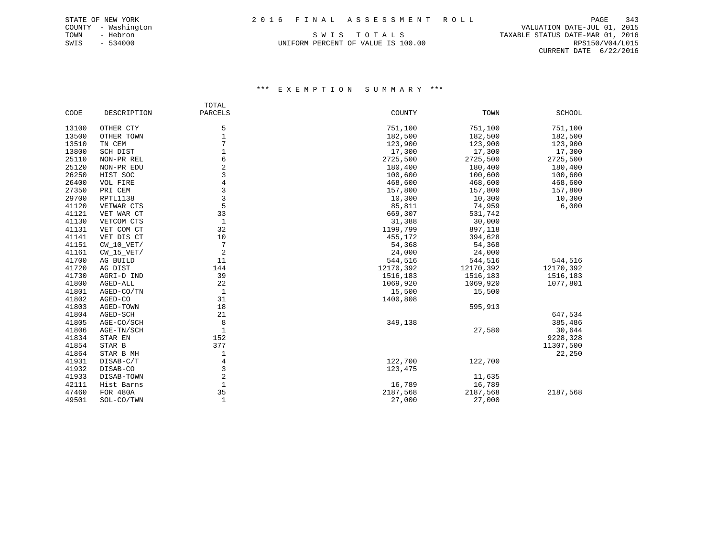UNIFORM PERCENT OF VALUE IS 100.00 RPS150/V04/L015

 COUNTY - Washington VALUATION DATE-JUL 01, 2015 TOWN - Hebron S W I S T O T A L S TAXABLE STATUS DATE-MAR 01, 2016 CURRENT DATE 6/22/2016

## \*\*\* E X E M P T I O N S U M M A R Y \*\*\*

|       |              | TOTAL          |           |           |               |
|-------|--------------|----------------|-----------|-----------|---------------|
| CODE  | DESCRIPTION  | PARCELS        | COUNTY    | TOWN      | <b>SCHOOL</b> |
| 13100 | OTHER CTY    | 5              | 751,100   | 751,100   | 751,100       |
| 13500 | OTHER TOWN   | 1              | 182,500   | 182,500   | 182,500       |
| 13510 | TN CEM       |                | 123,900   | 123,900   | 123,900       |
| 13800 | SCH DIST     |                | 17,300    | 17,300    | 17,300        |
| 25110 | NON-PR REL   | 6              | 2725,500  | 2725,500  | 2725,500      |
| 25120 | NON-PR EDU   | $\overline{2}$ | 180,400   | 180,400   | 180,400       |
| 26250 | HIST SOC     | 3              | 100,600   | 100,600   | 100,600       |
| 26400 | VOL FIRE     | $\overline{4}$ | 468,600   | 468,600   | 468,600       |
| 27350 | PRI CEM      | 3              | 157,800   | 157,800   | 157,800       |
| 29700 | RPTL1138     | $\overline{3}$ | 10,300    | 10,300    | 10,300        |
| 41120 | VETWAR CTS   | 5              | 85,811    | 74,959    | 6,000         |
| 41121 | VET WAR CT   | 33             | 669,307   | 531,742   |               |
| 41130 | VETCOM CTS   | 1              | 31,388    | 30,000    |               |
| 41131 | VET COM CT   | 32             | 1199,799  | 897,118   |               |
| 41141 | VET DIS CT   | 10             | 455,172   | 394,628   |               |
| 41151 | $CW_10_VET/$ | 7              | 54,368    | 54,368    |               |
| 41161 | $CW_15_VET/$ | $\overline{2}$ | 24,000    | 24,000    |               |
| 41700 | AG BUILD     | 11             | 544,516   | 544,516   | 544,516       |
| 41720 | AG DIST      | 144            | 12170,392 | 12170,392 | 12170,392     |
| 41730 | AGRI-D IND   | 39             | 1516,183  | 1516,183  | 1516,183      |
| 41800 | AGED-ALL     | 22             | 1069,920  | 1069,920  | 1077,801      |
| 41801 | AGED-CO/TN   | $\mathbf{1}$   | 15,500    | 15,500    |               |
| 41802 | AGED-CO      | 31             | 1400,808  |           |               |
| 41803 | AGED-TOWN    | 18             |           | 595,913   |               |
| 41804 | AGED-SCH     | 21             |           |           | 647,534       |
| 41805 | AGE-CO/SCH   | 8              | 349,138   |           | 385,486       |
| 41806 | AGE-TN/SCH   | $\mathbf{1}$   |           | 27,580    | 30,644        |
| 41834 | STAR EN      | 152            |           |           | 9228,328      |
| 41854 | STAR B       | 377            |           |           | 11307,500     |
| 41864 | STAR B MH    | 1              |           |           | 22,250        |
| 41931 | DISAB-C/T    | 4              | 122,700   | 122,700   |               |
| 41932 | DISAB-CO     | 3              | 123,475   |           |               |
| 41933 | DISAB-TOWN   | $\overline{2}$ |           | 11,635    |               |
| 42111 | Hist Barns   | 1              | 16,789    | 16,789    |               |
| 47460 | FOR 480A     | 35             | 2187,568  | 2187,568  | 2187,568      |
| 49501 | SOL-CO/TWN   | 1              | 27,000    | 27,000    |               |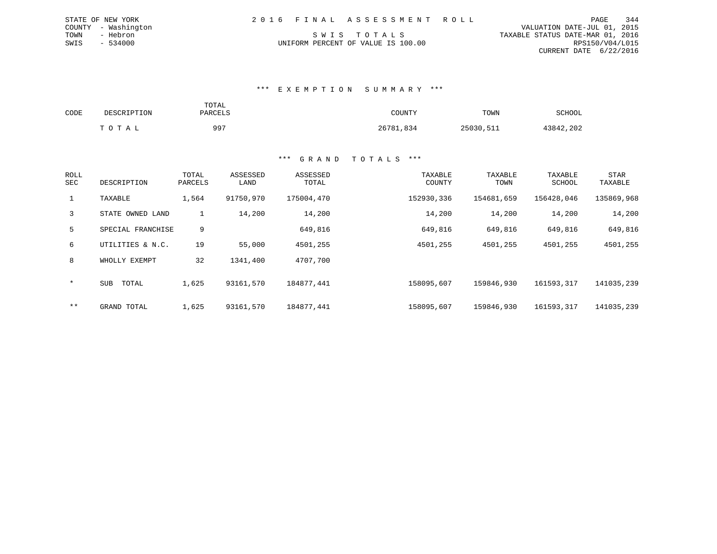|      | STATE OF NEW YORK   |  | 2016 FINAL ASSESSMENT ROLL         |                                  | PAGE            | 344 |
|------|---------------------|--|------------------------------------|----------------------------------|-----------------|-----|
|      | COUNTY - Washington |  |                                    | VALUATION DATE-JUL 01, 2015      |                 |     |
| TOWN | - Hebron            |  | SWIS TOTALS                        | TAXABLE STATUS DATE-MAR 01, 2016 |                 |     |
| SWIS | - 534000            |  | UNIFORM PERCENT OF VALUE IS 100.00 |                                  | RPS150/V04/L015 |     |
|      |                     |  |                                    | CURRENT DATE 6/22/2016           |                 |     |

| CODE | DESCRIPTION | TOTAL<br>PARCELS | COUNTY    | TOWN      | SCHOOL    |
|------|-------------|------------------|-----------|-----------|-----------|
|      | тотаь       | 997              | 26781,834 | 25030,511 | 43842,202 |

| ROLL<br>SEC  | DESCRIPTION       | TOTAL<br>PARCELS | ASSESSED<br>LAND | ASSESSED<br>TOTAL | TAXABLE<br>COUNTY | TAXABLE<br>TOWN | TAXABLE<br>SCHOOL | <b>STAR</b><br>TAXABLE |
|--------------|-------------------|------------------|------------------|-------------------|-------------------|-----------------|-------------------|------------------------|
| $\mathbf{1}$ | TAXABLE           | 1,564            | 91750,970        | 175004,470        | 152930,336        | 154681,659      | 156428,046        | 135869,968             |
| $\mathbf{3}$ | STATE OWNED LAND  |                  | 14,200           | 14,200            | 14,200            | 14,200          | 14,200            | 14,200                 |
| 5            | SPECIAL FRANCHISE | 9                |                  | 649,816           | 649,816           | 649,816         | 649,816           | 649,816                |
| 6            | UTILITIES & N.C.  | 19               | 55,000           | 4501,255          | 4501,255          | 4501,255        | 4501,255          | 4501,255               |
| 8            | WHOLLY EXEMPT     | 32               | 1341,400         | 4707,700          |                   |                 |                   |                        |
| $\star$      | TOTAL<br>SUB      | 1,625            | 93161,570        | 184877,441        | 158095,607        | 159846,930      | 161593,317        | 141035,239             |
| $***$        | GRAND TOTAL       | 1,625            | 93161,570        | 184877,441        | 158095,607        | 159846,930      | 161593,317        | 141035,239             |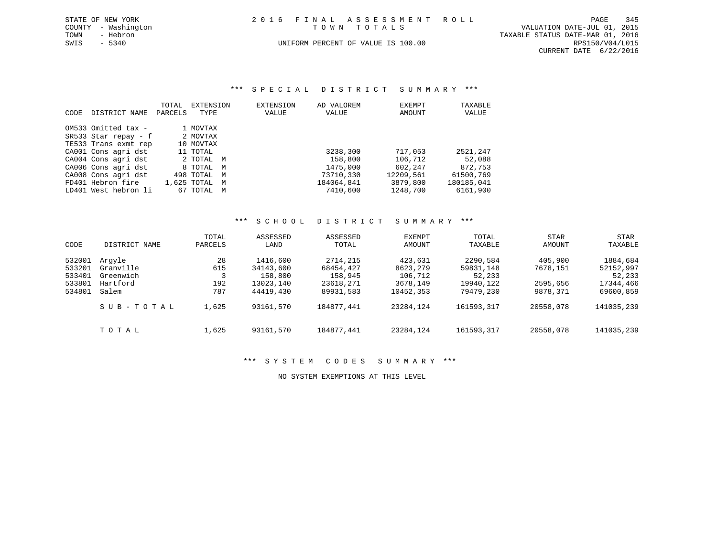|      | STATE OF NEW YORK   |  | 2016 FINAL ASSESSMENT ROLL         |                                  | PAGE            | 345 |
|------|---------------------|--|------------------------------------|----------------------------------|-----------------|-----|
|      | COUNTY - Washington |  | TOWN TOTALS                        | VALUATION DATE-JUL 01, 2015      |                 |     |
| TOWN | - Hebron            |  |                                    | TAXABLE STATUS DATE-MAR 01, 2016 |                 |     |
| SWIS | $-5340$             |  | UNIFORM PERCENT OF VALUE IS 100.00 |                                  | RPS150/V04/L015 |     |
|      |                     |  |                                    | CURRENT DATE 6/22/2016           |                 |     |

\*\*\* S P E C I A L D I S T R I C T S U M M A R Y \*\*\*

| <b>CODE</b> | DISTRICT NAME        | TOTAL<br>PARCELS | EXTENSION<br>TYPE |   | <b>EXTENSION</b><br>VALUE | AD VALOREM<br>VALUE | EXEMPT<br>AMOUNT | TAXABLE<br>VALUE |
|-------------|----------------------|------------------|-------------------|---|---------------------------|---------------------|------------------|------------------|
|             | OM533 Omitted tax -  |                  | 1 MOVTAX          |   |                           |                     |                  |                  |
|             | SR533 Star repay - f |                  | 2 MOVTAX          |   |                           |                     |                  |                  |
|             | TE533 Trans exmt rep |                  | 10 MOVTAX         |   |                           |                     |                  |                  |
|             | CA001 Cons agri dst  |                  | 11 TOTAL          |   |                           | 3238,300            | 717,053          | 2521,247         |
|             | CA004 Cons agri dst  |                  | 2 TOTAL M         |   |                           | 158,800             | 106,712          | 52,088           |
|             | CA006 Cons agri dst  |                  | 8 TOTAL M         |   |                           | 1475,000            | 602,247          | 872,753          |
|             | CA008 Cons agri dst  |                  | 498 TOTAL M       |   |                           | 73710,330           | 12209,561        | 61500,769        |
|             | FD401 Hebron fire    |                  | 1,625 TOTAL       | M |                           | 184064,841          | 3879,800         | 180185,041       |
|             | LD401 West hebron li |                  | 67 TOTAL          | M |                           | 7410,600            | 1248,700         | 6161,900         |

#### \*\*\* S C H O O L D I S T R I C T S U M M A R Y \*\*\*

| CODE                                           | DISTRICT NAME                                         | TOTAL<br>PARCELS        | ASSESSED<br>LAND                                           | ASSESSED<br>TOTAL                                          | EXEMPT<br>AMOUNT                                        | TOTAL<br>TAXABLE                                          | <b>STAR</b><br>AMOUNT                       | STAR<br>TAXABLE                                           |
|------------------------------------------------|-------------------------------------------------------|-------------------------|------------------------------------------------------------|------------------------------------------------------------|---------------------------------------------------------|-----------------------------------------------------------|---------------------------------------------|-----------------------------------------------------------|
| 532001<br>533201<br>533401<br>533801<br>534801 | Arqyle<br>Granville<br>Greenwich<br>Hartford<br>Salem | 28<br>615<br>192<br>787 | 1416,600<br>34143,600<br>158,800<br>13023,140<br>44419,430 | 2714,215<br>68454,427<br>158,945<br>23618,271<br>89931,583 | 423,631<br>8623,279<br>106,712<br>3678,149<br>10452,353 | 2290,584<br>59831,148<br>52,233<br>19940,122<br>79479,230 | 405,900<br>7678,151<br>2595,656<br>9878,371 | 1884,684<br>52152,997<br>52,233<br>17344,466<br>69600,859 |
|                                                | SUB-TOTAL                                             | 1,625                   | 93161,570                                                  | 184877,441                                                 | 23284,124                                               | 161593,317                                                | 20558,078                                   | 141035,239                                                |
|                                                | TOTAL                                                 | 1,625                   | 93161,570                                                  | 184877,441                                                 | 23284,124                                               | 161593,317                                                | 20558,078                                   | 141035,239                                                |

\*\*\* S Y S T E M C O D E S S U M M A R Y \*\*\*

NO SYSTEM EXEMPTIONS AT THIS LEVEL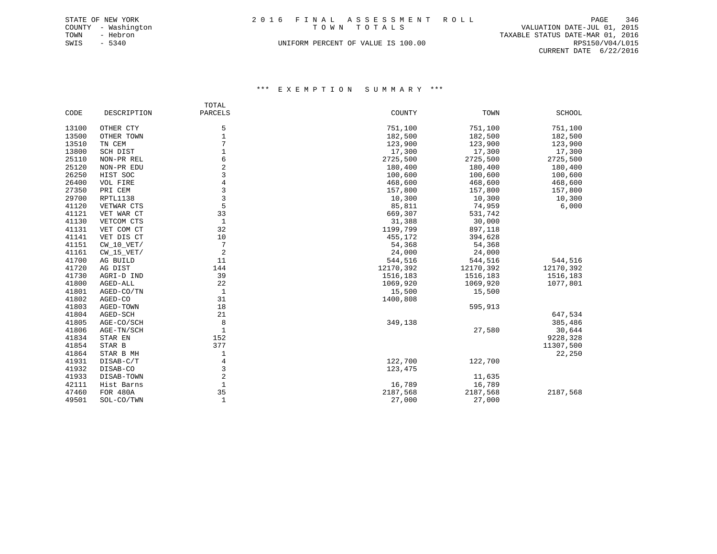|       |                 | TOTAL          |           |           |               |
|-------|-----------------|----------------|-----------|-----------|---------------|
| CODE  | DESCRIPTION     | PARCELS        | COUNTY    | TOWN      | <b>SCHOOL</b> |
| 13100 | OTHER CTY       | 5              | 751,100   | 751,100   | 751,100       |
| 13500 | OTHER TOWN      | $\mathbf{1}$   | 182,500   | 182,500   | 182,500       |
| 13510 | TN CEM          | 7              | 123,900   | 123,900   | 123,900       |
| 13800 | SCH DIST        | 1              | 17,300    | 17,300    | 17,300        |
| 25110 | NON-PR REL      | 6              | 2725,500  | 2725,500  | 2725,500      |
| 25120 | NON-PR EDU      | 2              | 180,400   | 180,400   | 180,400       |
| 26250 | HIST SOC        | 3              | 100,600   | 100,600   | 100,600       |
| 26400 | VOL FIRE        | $\overline{4}$ | 468,600   | 468,600   | 468,600       |
| 27350 | PRI CEM         | 3              | 157,800   | 157,800   | 157,800       |
| 29700 | RPTL1138        | $\overline{3}$ | 10,300    | 10,300    | 10,300        |
| 41120 | VETWAR CTS      | 5              | 85,811    | 74,959    | 6,000         |
| 41121 | VET WAR CT      | 33             | 669,307   | 531,742   |               |
| 41130 | VETCOM CTS      | $\mathbf{1}$   | 31,388    | 30,000    |               |
| 41131 | VET COM CT      | 32             | 1199,799  | 897,118   |               |
| 41141 | VET DIS CT      | 10             | 455,172   | 394,628   |               |
| 41151 | $CW_10_VET/$    | 7              | 54,368    | 54,368    |               |
| 41161 | $CW_15_VET/$    | $\overline{a}$ | 24,000    | 24,000    |               |
| 41700 | AG BUILD        | 11             | 544,516   | 544,516   | 544,516       |
| 41720 | AG DIST         | 144            | 12170,392 | 12170,392 | 12170,392     |
| 41730 | AGRI-D IND      | 39             | 1516,183  | 1516,183  | 1516,183      |
| 41800 | AGED-ALL        | 22             | 1069,920  | 1069,920  | 1077,801      |
| 41801 | AGED-CO/TN      | $\mathbf{1}$   | 15,500    | 15,500    |               |
| 41802 | AGED-CO         | 31             | 1400,808  |           |               |
| 41803 | AGED-TOWN       | 18             |           | 595,913   |               |
| 41804 | AGED-SCH        | 21             |           |           | 647,534       |
| 41805 | AGE-CO/SCH      | 8              | 349,138   |           | 385,486       |
| 41806 | AGE-TN/SCH      | 1              |           | 27,580    | 30,644        |
| 41834 | STAR EN         | 152            |           |           | 9228,328      |
| 41854 | STAR B          | 377            |           |           | 11307,500     |
| 41864 | STAR B MH       | 1              |           |           | 22,250        |
| 41931 | DISAB-C/T       | $\,4$          | 122,700   | 122,700   |               |
| 41932 | DISAB-CO        | 3              | 123,475   |           |               |
| 41933 | DISAB-TOWN      | $\overline{2}$ |           | 11,635    |               |
| 42111 | Hist Barns      | $\mathbf{1}$   | 16,789    | 16,789    |               |
| 47460 | <b>FOR 480A</b> | 35             | 2187,568  | 2187,568  | 2187,568      |
| 49501 | SOL-CO/TWN      | $\mathbf{1}$   | 27,000    | 27,000    |               |